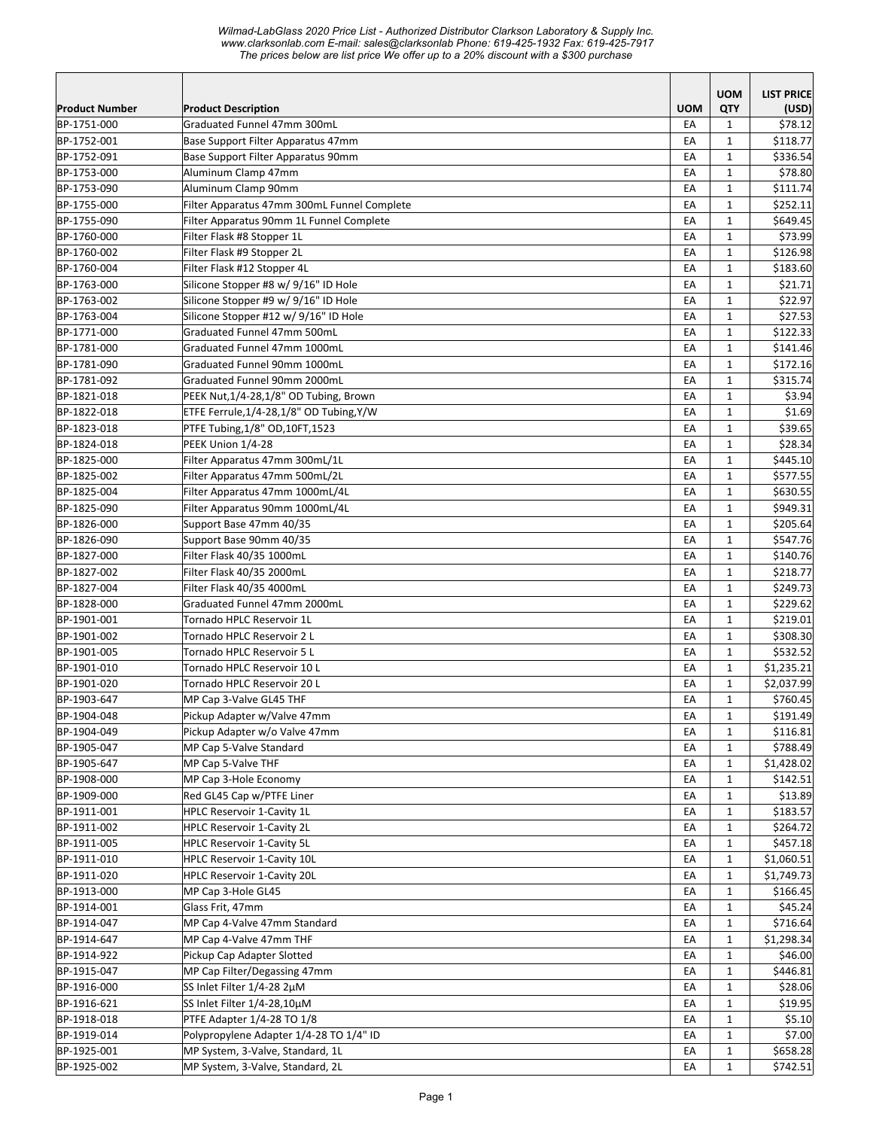|                       |                                             |            | <b>UOM</b>        | <b>LIST PRICE</b> |
|-----------------------|---------------------------------------------|------------|-------------------|-------------------|
| <b>Product Number</b> | <b>Product Description</b>                  | <b>UOM</b> | QTY               | (USD)             |
| BP-1751-000           | Graduated Funnel 47mm 300mL                 | EA         | $\mathbf{1}$      | \$78.12           |
| BP-1752-001           | Base Support Filter Apparatus 47mm          | EA         | $\mathbf{1}$      | \$118.77          |
| BP-1752-091           | Base Support Filter Apparatus 90mm          | EA         | 1                 | \$336.54          |
| BP-1753-000           | Aluminum Clamp 47mm                         | EA         | $\mathbf{1}$      | \$78.80           |
| BP-1753-090           | Aluminum Clamp 90mm                         | EA         | $\mathbf{1}$      | \$111.74          |
| BP-1755-000           | Filter Apparatus 47mm 300mL Funnel Complete | EA         | $\mathbf{1}$      | \$252.11          |
| BP-1755-090           | Filter Apparatus 90mm 1L Funnel Complete    | EA         | $\mathbf{1}$      | \$649.45          |
| BP-1760-000           | Filter Flask #8 Stopper 1L                  | EA         | $\mathbf{1}$      | \$73.99           |
| BP-1760-002           | Filter Flask #9 Stopper 2L                  | EA         | $\mathbf{1}$      | \$126.98          |
| BP-1760-004           | Filter Flask #12 Stopper 4L                 | EA         | $\mathbf{1}$      | \$183.60          |
| BP-1763-000           | Silicone Stopper #8 w/ 9/16" ID Hole        | EA         | $\mathbf{1}$      | \$21.71           |
| BP-1763-002           | Silicone Stopper #9 w/ 9/16" ID Hole        | EA         | $\mathbf{1}$      | \$22.97           |
| BP-1763-004           | Silicone Stopper #12 w/ 9/16" ID Hole       | EA         | $\mathbf{1}$      | \$27.53           |
| BP-1771-000           | Graduated Funnel 47mm 500mL                 | EA         | $\mathbf{1}$      | \$122.33          |
| BP-1781-000           | Graduated Funnel 47mm 1000mL                | EA         | $\mathbf{1}$      | \$141.46          |
| BP-1781-090           | Graduated Funnel 90mm 1000mL                | EA         | $\mathbf{1}$      | \$172.16          |
| BP-1781-092           | Graduated Funnel 90mm 2000mL                | EA         | $\mathbf{1}$      | \$315.74          |
| BP-1821-018           | PEEK Nut, 1/4-28, 1/8" OD Tubing, Brown     | EA         | $\mathbf{1}$      | \$3.94            |
| BP-1822-018           | ETFE Ferrule, 1/4-28, 1/8" OD Tubing, Y/W   | EA         | $\mathbf{1}$      | \$1.69            |
| BP-1823-018           | PTFE Tubing, 1/8" OD, 10FT, 1523            | EA         | $\mathbf{1}$      | \$39.65           |
| BP-1824-018           | PEEK Union 1/4-28                           | EA         | $\mathbf{1}$      | \$28.34           |
| BP-1825-000           | Filter Apparatus 47mm 300mL/1L              | EA         | $\mathbf{1}$      | \$445.10          |
| BP-1825-002           | Filter Apparatus 47mm 500mL/2L              | EA         | $\mathbf{1}$      | \$577.55          |
| BP-1825-004           | Filter Apparatus 47mm 1000mL/4L             | EA         | $\mathbf{1}$      | \$630.55          |
| BP-1825-090           | Filter Apparatus 90mm 1000mL/4L             | EA         | $\mathbf{1}$      | \$949.31          |
| BP-1826-000           | Support Base 47mm 40/35                     | EA         | $\mathbf{1}$      | \$205.64          |
| BP-1826-090           | Support Base 90mm 40/35                     | EA         | $\mathbf{1}$      | \$547.76          |
| BP-1827-000           | Filter Flask 40/35 1000mL                   | EA         | $\mathbf{1}$      | \$140.76          |
| BP-1827-002           | Filter Flask 40/35 2000mL                   | EA         | $\mathbf{1}$      | \$218.77          |
| BP-1827-004           | Filter Flask 40/35 4000mL                   | EA         | $\mathbf{1}$      | \$249.73          |
| BP-1828-000           | Graduated Funnel 47mm 2000mL                | EA         | $\mathbf{1}$      | \$229.62          |
| BP-1901-001           | Tornado HPLC Reservoir 1L                   | EA         | $\mathbf{1}$      | \$219.01          |
| BP-1901-002           | Tornado HPLC Reservoir 2 L                  | EA         | $\mathbf{1}$      | \$308.30          |
| BP-1901-005           | Tornado HPLC Reservoir 5 L                  | EA         | $\mathbf{1}$      | \$532.52          |
| BP-1901-010           | Tornado HPLC Reservoir 10 L                 | EA         | $\mathbf{1}$      | \$1,235.21        |
| BP-1901-020           | Tornado HPLC Reservoir 20 L                 | EA         | $\mathbf{1}$      | \$2,037.99        |
| BP-1903-647           | MP Cap 3-Valve GL45 THF                     | EA         | $\mathbf{1}$      | \$760.45          |
| BP-1904-048           | Pickup Adapter w/Valve 47mm                 | EA         | 1                 | \$191.49          |
| BP-1904-049           | Pickup Adapter w/o Valve 47mm               | EA         | $\mathbf{1}$      | \$116.81          |
| BP-1905-047           | MP Cap 5-Valve Standard                     | EA         | $\mathbf{1}$      | \$788.49          |
| BP-1905-647           | MP Cap 5-Valve THF                          | EA         | $\mathbf{1}$      | \$1,428.02        |
| BP-1908-000           | MP Cap 3-Hole Economy                       | EA         | $\mathbf{1}$      | \$142.51          |
| BP-1909-000           | Red GL45 Cap w/PTFE Liner                   | EA         | $\mathbf{1}$      | \$13.89           |
| BP-1911-001           | HPLC Reservoir 1-Cavity 1L                  | EA         | $\mathbf{1}$      | \$183.57          |
| BP-1911-002           | <b>HPLC Reservoir 1-Cavity 2L</b>           | EA         | $\mathbf{1}$      | \$264.72          |
| BP-1911-005           | <b>HPLC Reservoir 1-Cavity 5L</b>           | EA         | $\mathbf{1}$      | \$457.18          |
| BP-1911-010           | <b>HPLC Reservoir 1-Cavity 10L</b>          | EA         | $\mathbf 1$       | \$1,060.51        |
| BP-1911-020           | <b>HPLC Reservoir 1-Cavity 20L</b>          | EA         | $\mathbf{1}$      | \$1,749.73        |
| BP-1913-000           | MP Cap 3-Hole GL45                          | EA         | $\mathbf{1}$      | \$166.45          |
| BP-1914-001           | Glass Frit, 47mm                            | EA         | $\mathbf{1}$      | \$45.24           |
| BP-1914-047           | MP Cap 4-Valve 47mm Standard                | EA         | $\mathbf{1}$      | \$716.64          |
| BP-1914-647           | MP Cap 4-Valve 47mm THF                     | EA         | $\mathbf{1}$      | \$1,298.34        |
| BP-1914-922           | Pickup Cap Adapter Slotted                  | EA         | $\mathbf{1}$      | \$46.00           |
| BP-1915-047           | MP Cap Filter/Degassing 47mm                | EA         | $\mathbf{1}$      | \$446.81          |
| BP-1916-000           | SS Inlet Filter 1/4-28 2µM                  | EA         | $\mathbf{1}$      | \$28.06           |
| BP-1916-621           | SS Inlet Filter 1/4-28,10µM                 | EA         | $\mathbf{1}$      | \$19.95           |
| BP-1918-018           | PTFE Adapter 1/4-28 TO 1/8                  | EA         | $\mathbf{1}$      | \$5.10            |
| BP-1919-014           | Polypropylene Adapter 1/4-28 TO 1/4" ID     | EA         | $\mathbf{1}$      | \$7.00            |
| BP-1925-001           | MP System, 3-Valve, Standard, 1L            | EA         |                   | \$658.28          |
| BP-1925-002           | MP System, 3-Valve, Standard, 2L            | EA         | $\mathbf{1}$<br>1 | \$742.51          |
|                       |                                             |            |                   |                   |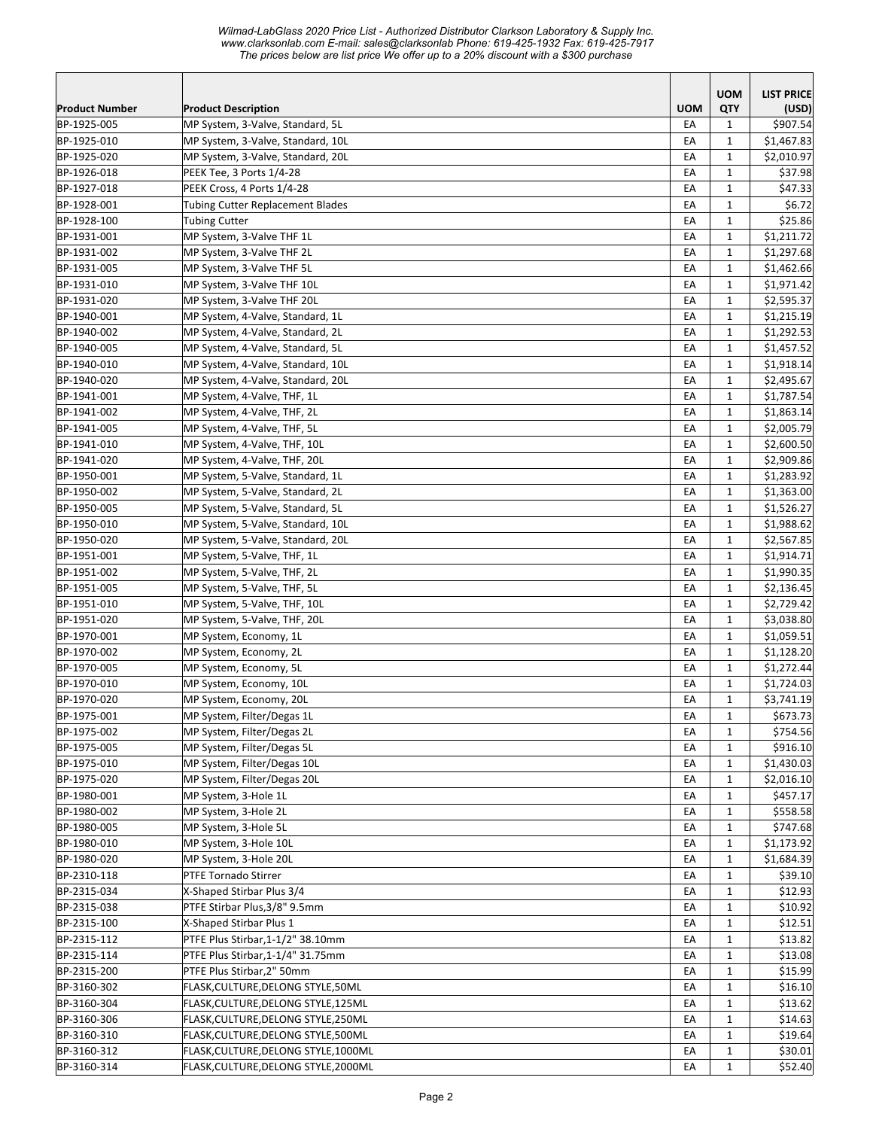|                       |                                         |            | <b>UOM</b>   | <b>LIST PRICE</b> |
|-----------------------|-----------------------------------------|------------|--------------|-------------------|
| <b>Product Number</b> | <b>Product Description</b>              | <b>UOM</b> | QTY          | (USD)             |
| BP-1925-005           | MP System, 3-Valve, Standard, 5L        | EA         | 1            | \$907.54          |
| BP-1925-010           | MP System, 3-Valve, Standard, 10L       | EA         | $\mathbf{1}$ | \$1,467.83        |
| BP-1925-020           | MP System, 3-Valve, Standard, 20L       | EA         | $\mathbf{1}$ | \$2,010.97        |
| BP-1926-018           | PEEK Tee, 3 Ports 1/4-28                | EA         | $\mathbf{1}$ | \$37.98           |
| BP-1927-018           | PEEK Cross, 4 Ports 1/4-28              | EA         | $\mathbf{1}$ | \$47.33           |
| BP-1928-001           | <b>Tubing Cutter Replacement Blades</b> | EA         | $\mathbf{1}$ | \$6.72            |
| BP-1928-100           | <b>Tubing Cutter</b>                    | EA         | $\mathbf{1}$ | \$25.86           |
| BP-1931-001           | MP System, 3-Valve THF 1L               | EA         | $\mathbf{1}$ | \$1,211.72        |
| BP-1931-002           | MP System, 3-Valve THF 2L               | EA         | $\mathbf{1}$ | \$1,297.68        |
| BP-1931-005           | MP System, 3-Valve THF 5L               | EA         | $\mathbf{1}$ | \$1,462.66        |
| BP-1931-010           | MP System, 3-Valve THF 10L              | EA         | $\mathbf{1}$ | \$1,971.42        |
| BP-1931-020           | MP System, 3-Valve THF 20L              | EA         | 1            | \$2,595.37        |
| BP-1940-001           | MP System, 4-Valve, Standard, 1L        | EA         | $\mathbf{1}$ | \$1,215.19        |
| BP-1940-002           | MP System, 4-Valve, Standard, 2L        | EA         | $\mathbf{1}$ | \$1,292.53        |
| BP-1940-005           | MP System, 4-Valve, Standard, 5L        | EA         | $\mathbf{1}$ | \$1,457.52        |
|                       |                                         |            |              |                   |
| BP-1940-010           | MP System, 4-Valve, Standard, 10L       | EA         | 1            | \$1,918.14        |
| BP-1940-020           | MP System, 4-Valve, Standard, 20L       | EA         | $\mathbf{1}$ | \$2,495.67        |
| BP-1941-001           | MP System, 4-Valve, THF, 1L             | EA         | $\mathbf{1}$ | \$1,787.54        |
| BP-1941-002           | MP System, 4-Valve, THF, 2L             | EA         | $\mathbf{1}$ | \$1,863.14        |
| BP-1941-005           | MP System, 4-Valve, THF, 5L             | EA         | $\mathbf{1}$ | \$2,005.79        |
| BP-1941-010           | MP System, 4-Valve, THF, 10L            | EA         | $\mathbf{1}$ | \$2,600.50        |
| BP-1941-020           | MP System, 4-Valve, THF, 20L            | EA         | $\mathbf 1$  | \$2,909.86        |
| BP-1950-001           | MP System, 5-Valve, Standard, 1L        | EA         | $\mathbf{1}$ | \$1,283.92        |
| BP-1950-002           | MP System, 5-Valve, Standard, 2L        | EA         | $\mathbf{1}$ | \$1,363.00        |
| BP-1950-005           | MP System, 5-Valve, Standard, 5L        | EA         | $\mathbf{1}$ | \$1,526.27        |
| BP-1950-010           | MP System, 5-Valve, Standard, 10L       | EA         | $\mathbf{1}$ | \$1,988.62        |
| BP-1950-020           | MP System, 5-Valve, Standard, 20L       | EA         | 1            | \$2,567.85        |
| BP-1951-001           | MP System, 5-Valve, THF, 1L             | EA         | $\mathbf{1}$ | \$1,914.71        |
| BP-1951-002           | MP System, 5-Valve, THF, 2L             | EA         | $\mathbf{1}$ | \$1,990.35        |
| BP-1951-005           | MP System, 5-Valve, THF, 5L             | EA         | $\mathbf{1}$ | \$2,136.45        |
| BP-1951-010           | MP System, 5-Valve, THF, 10L            | EA         | $\mathbf{1}$ | \$2,729.42        |
| BP-1951-020           | MP System, 5-Valve, THF, 20L            | EA         | $\mathbf{1}$ | \$3,038.80        |
| BP-1970-001           | MP System, Economy, 1L                  | EA         | $\mathbf{1}$ | \$1,059.51        |
| BP-1970-002           | MP System, Economy, 2L                  | EA         | $\mathbf{1}$ | \$1,128.20        |
| BP-1970-005           | MP System, Economy, 5L                  | EA         | $\mathbf{1}$ | \$1,272.44        |
| BP-1970-010           | MP System, Economy, 10L                 | EA         | $\mathbf{1}$ | \$1,724.03        |
| BP-1970-020           | MP System, Economy, 20L                 | EA         | $\mathbf 1$  | \$3,741.19        |
| BP-1975-001           | MP System, Filter/Degas 1L              | EA         | $\mathbf 1$  | \$673.73          |
| BP-1975-002           | MP System, Filter/Degas 2L              | EA         | $\mathbf{1}$ | \$754.56          |
|                       | MP System, Filter/Degas 5L              | EA         |              | \$916.10          |
| BP-1975-005           |                                         |            | 1            |                   |
| BP-1975-010           | MP System, Filter/Degas 10L             | EA         | $\mathbf{1}$ | \$1,430.03        |
| BP-1975-020           | MP System, Filter/Degas 20L             | EA         | $\mathbf{1}$ | \$2,016.10        |
| BP-1980-001           | MP System, 3-Hole 1L                    | EA         | $\mathbf{1}$ | \$457.17          |
| BP-1980-002           | MP System, 3-Hole 2L                    | EA         | $\mathbf{1}$ | \$558.58          |
| BP-1980-005           | MP System, 3-Hole 5L                    | EA         | $\mathbf{1}$ | \$747.68          |
| BP-1980-010           | MP System, 3-Hole 10L                   | EA         | $\mathbf 1$  | \$1,173.92        |
| BP-1980-020           | MP System, 3-Hole 20L                   | EA         | $\mathbf{1}$ | \$1,684.39        |
| BP-2310-118           | <b>PTFE Tornado Stirrer</b>             | EA         | $\mathbf{1}$ | \$39.10           |
| BP-2315-034           | X-Shaped Stirbar Plus 3/4               | EA         | $\mathbf{1}$ | \$12.93           |
| BP-2315-038           | PTFE Stirbar Plus, 3/8" 9.5mm           | EA         | $\mathbf{1}$ | \$10.92           |
| BP-2315-100           | X-Shaped Stirbar Plus 1                 | EA         | $\mathbf{1}$ | \$12.51           |
| BP-2315-112           | PTFE Plus Stirbar, 1-1/2" 38.10mm       | EA         | $\mathbf{1}$ | \$13.82           |
| BP-2315-114           | PTFE Plus Stirbar, 1-1/4" 31.75mm       | EA         | $\mathbf{1}$ | \$13.08           |
| BP-2315-200           | PTFE Plus Stirbar, 2" 50mm              | EA         | $\mathbf{1}$ | \$15.99           |
| BP-3160-302           | FLASK, CULTURE, DELONG STYLE, 50ML      | EA         | $\mathbf{1}$ | \$16.10           |
| BP-3160-304           | FLASK, CULTURE, DELONG STYLE, 125ML     | EA         | $\mathbf{1}$ | \$13.62           |
| BP-3160-306           | FLASK, CULTURE, DELONG STYLE, 250ML     | EA         | $\mathbf{1}$ | \$14.63           |
| BP-3160-310           | FLASK, CULTURE, DELONG STYLE, 500ML     | EA         | $\mathbf{1}$ | \$19.64           |
| BP-3160-312           | FLASK, CULTURE, DELONG STYLE, 1000ML    | EA         | $\mathbf{1}$ | \$30.01           |
| BP-3160-314           | FLASK, CULTURE, DELONG STYLE, 2000ML    | EA         | $\mathbf{1}$ | \$52.40           |
|                       |                                         |            |              |                   |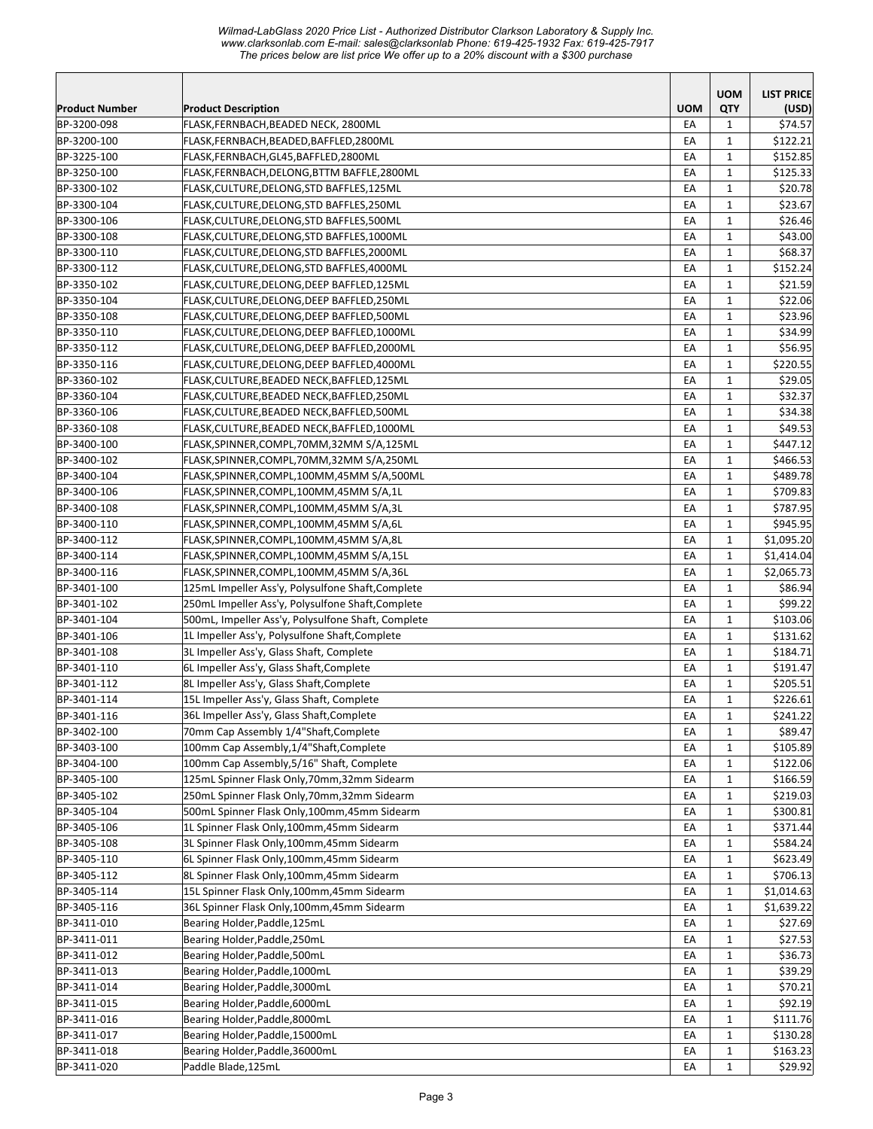*Wilmad-LabGlass 2020 Price List - Authorized Distributor Clarkson Laboratory & Supply Inc. www.clarksonlab.com E-mail: sales@clarksonlab Phone: 619-425-1932 Fax: 619-425-7917 The prices below are list price We offer up to a 20% discount with a \$300 purchase* 

|                       |                                                    |            | <b>UOM</b>   | <b>LIST PRICE</b> |
|-----------------------|----------------------------------------------------|------------|--------------|-------------------|
| <b>Product Number</b> | <b>Product Description</b>                         | <b>UOM</b> | QTY          | (USD)             |
| BP-3200-098           | FLASK,FERNBACH,BEADED NECK, 2800ML                 | EA         | $\mathbf{1}$ | \$74.57           |
| BP-3200-100           | FLASK,FERNBACH,BEADED,BAFFLED,2800ML               | EA         | $\mathbf{1}$ | \$122.21          |
| BP-3225-100           | FLASK,FERNBACH,GL45,BAFFLED,2800ML                 | EA         | $\mathbf{1}$ | \$152.85          |
| BP-3250-100           | FLASK,FERNBACH,DELONG,BTTM BAFFLE,2800ML           | EA         | $\mathbf{1}$ | \$125.33          |
| BP-3300-102           | FLASK,CULTURE,DELONG,STD BAFFLES,125ML             | EA         | $\mathbf{1}$ | \$20.78           |
| BP-3300-104           | FLASK,CULTURE,DELONG,STD BAFFLES,250ML             | EA         | $\mathbf{1}$ | \$23.67           |
| BP-3300-106           | FLASK, CULTURE, DELONG, STD BAFFLES, 500ML         | EA         | $\mathbf{1}$ | \$26.46           |
| BP-3300-108           | FLASK,CULTURE,DELONG,STD BAFFLES,1000ML            | EA         | $\mathbf{1}$ | \$43.00           |
| BP-3300-110           | FLASK,CULTURE,DELONG,STD BAFFLES,2000ML            | EA         | $\mathbf{1}$ | \$68.37           |
| BP-3300-112           | FLASK,CULTURE,DELONG,STD BAFFLES,4000ML            | EA         | $\mathbf{1}$ | \$152.24          |
| BP-3350-102           | FLASK,CULTURE,DELONG,DEEP BAFFLED,125ML            | EA         | 1            | \$21.59           |
| BP-3350-104           | FLASK,CULTURE,DELONG,DEEP BAFFLED,250ML            | EA         | $\mathbf{1}$ | \$22.06           |
| BP-3350-108           | FLASK,CULTURE,DELONG,DEEP BAFFLED,500ML            | EA         | $\mathbf{1}$ | \$23.96           |
| BP-3350-110           | FLASK,CULTURE,DELONG,DEEP BAFFLED,1000ML           | EA         | $\mathbf{1}$ | \$34.99           |
| BP-3350-112           | FLASK,CULTURE,DELONG,DEEP BAFFLED,2000ML           | EA         | $\mathbf{1}$ | \$56.95           |
| BP-3350-116           | FLASK,CULTURE,DELONG,DEEP BAFFLED,4000ML           | EA         | $\mathbf{1}$ | \$220.55          |
| BP-3360-102           | FLASK, CULTURE, BEADED NECK, BAFFLED, 125ML        | EA         | $\mathbf{1}$ | \$29.05           |
| BP-3360-104           | FLASK,CULTURE,BEADED NECK,BAFFLED,250ML            | EA         | $\mathbf{1}$ | \$32.37           |
| BP-3360-106           | FLASK, CULTURE, BEADED NECK, BAFFLED, 500ML        | EA         | $\mathbf{1}$ | \$34.38           |
| BP-3360-108           | FLASK,CULTURE,BEADED NECK,BAFFLED,1000ML           | EA         | $\mathbf{1}$ | \$49.53           |
| BP-3400-100           | FLASK,SPINNER,COMPL,70MM,32MM S/A,125ML            | EA         | $\mathbf{1}$ | \$447.12          |
| BP-3400-102           | FLASK, SPINNER, COMPL, 70MM, 32MM S/A, 250ML       | EA         | $\mathbf{1}$ | \$466.53          |
| BP-3400-104           | FLASK,SPINNER,COMPL,100MM,45MM S/A,500ML           | EA         | $\mathbf{1}$ | \$489.78          |
| BP-3400-106           | FLASK,SPINNER,COMPL,100MM,45MM S/A,1L              | EA         | $\mathbf{1}$ | \$709.83          |
| BP-3400-108           | FLASK,SPINNER,COMPL,100MM,45MM S/A,3L              | EA         | $\mathbf{1}$ | \$787.95          |
| BP-3400-110           | FLASK,SPINNER,COMPL,100MM,45MM S/A,6L              | EA         | 1            | \$945.95          |
| BP-3400-112           | FLASK, SPINNER, COMPL, 100MM, 45MM S/A, 8L         | EA         | 1            | \$1,095.20        |
| BP-3400-114           | FLASK,SPINNER,COMPL,100MM,45MM S/A,15L             | EA         | $\mathbf{1}$ | \$1,414.04        |
| BP-3400-116           | FLASK,SPINNER,COMPL,100MM,45MM S/A,36L             | EA         | $\mathbf{1}$ | \$2,065.73        |
| BP-3401-100           | 125mL Impeller Ass'y, Polysulfone Shaft, Complete  | EA         | $\mathbf{1}$ | \$86.94           |
| BP-3401-102           | 250mL Impeller Ass'y, Polysulfone Shaft, Complete  | EA         | $\mathbf{1}$ | \$99.22           |
| BP-3401-104           | 500mL, Impeller Ass'y, Polysulfone Shaft, Complete | EA         | $\mathbf{1}$ | \$103.06          |
| BP-3401-106           | 1L Impeller Ass'y, Polysulfone Shaft, Complete     | EA         | $\mathbf{1}$ | \$131.62          |
| BP-3401-108           | 3L Impeller Ass'y, Glass Shaft, Complete           | EA         | $\mathbf{1}$ | \$184.71          |
| BP-3401-110           | 6L Impeller Ass'y, Glass Shaft, Complete           | EA         | $\mathbf{1}$ | \$191.47          |
| BP-3401-112           | 8L Impeller Ass'y, Glass Shaft, Complete           | EA         | $\mathbf{1}$ | \$205.51          |
| BP-3401-114           | 15L Impeller Ass'y, Glass Shaft, Complete          | EA         | $\mathbf{1}$ | \$226.61          |
| BP-3401-116           | 36L Impeller Ass'y, Glass Shaft, Complete          | EA         | $\mathbf{1}$ | \$241.22          |
| BP-3402-100           | 70mm Cap Assembly 1/4"Shaft, Complete              | EA         | $\mathbf{1}$ | \$89.47           |
| BP-3403-100           | 100mm Cap Assembly, 1/4"Shaft, Complete            | EA         | 1            | \$105.89          |
| BP-3404-100           | 100mm Cap Assembly, 5/16" Shaft, Complete          | EA         | 1            | \$122.06          |
| BP-3405-100           | 125mL Spinner Flask Only, 70mm, 32mm Sidearm       | EA         | 1            | \$166.59          |
| BP-3405-102           | 250mL Spinner Flask Only, 70mm, 32mm Sidearm       | EA         | $\mathbf{1}$ | \$219.03          |
| BP-3405-104           | 500mL Spinner Flask Only, 100mm, 45mm Sidearm      | EA         | $\mathbf{1}$ | \$300.81          |
| BP-3405-106           | 1L Spinner Flask Only,100mm,45mm Sidearm           | EA         | $\mathbf{1}$ | \$371.44          |
| BP-3405-108           | 3L Spinner Flask Only,100mm,45mm Sidearm           | EA         | $\mathbf{1}$ | \$584.24          |
| BP-3405-110           | 6L Spinner Flask Only,100mm,45mm Sidearm           | EA         | $\mathbf{1}$ | \$623.49          |
| BP-3405-112           | 8L Spinner Flask Only,100mm,45mm Sidearm           | EA         | $\mathbf{1}$ | \$706.13          |
| BP-3405-114           | 15L Spinner Flask Only, 100mm, 45mm Sidearm        | EA         | $\mathbf{1}$ | \$1,014.63        |
| BP-3405-116           | 36L Spinner Flask Only,100mm,45mm Sidearm          | EA         | $\mathbf{1}$ | \$1,639.22        |
| BP-3411-010           | Bearing Holder, Paddle, 125mL                      | EA         | $\mathbf 1$  | \$27.69           |
| BP-3411-011           | Bearing Holder, Paddle, 250mL                      | EA         | $\mathbf{1}$ | \$27.53           |
| BP-3411-012           | Bearing Holder, Paddle, 500mL                      | EA         | $\mathbf{1}$ | \$36.73           |
| BP-3411-013           | Bearing Holder, Paddle, 1000mL                     | EA         | $\mathbf{1}$ | \$39.29           |
| BP-3411-014           | Bearing Holder, Paddle, 3000mL                     | ЕA         | $\mathbf{1}$ | \$70.21           |
| BP-3411-015           | Bearing Holder, Paddle, 6000mL                     | EA         | $\mathbf{1}$ | \$92.19           |
| BP-3411-016           | Bearing Holder, Paddle, 8000mL                     | EA         | 1            | \$111.76          |
| BP-3411-017           | Bearing Holder, Paddle, 15000mL                    | EA         | $\mathbf{1}$ | \$130.28          |
| BP-3411-018           | Bearing Holder, Paddle, 36000mL                    | EA         | $\mathbf{1}$ | \$163.23          |
| BP-3411-020           | Paddle Blade, 125mL                                | EA         | $\mathbf{1}$ | \$29.92           |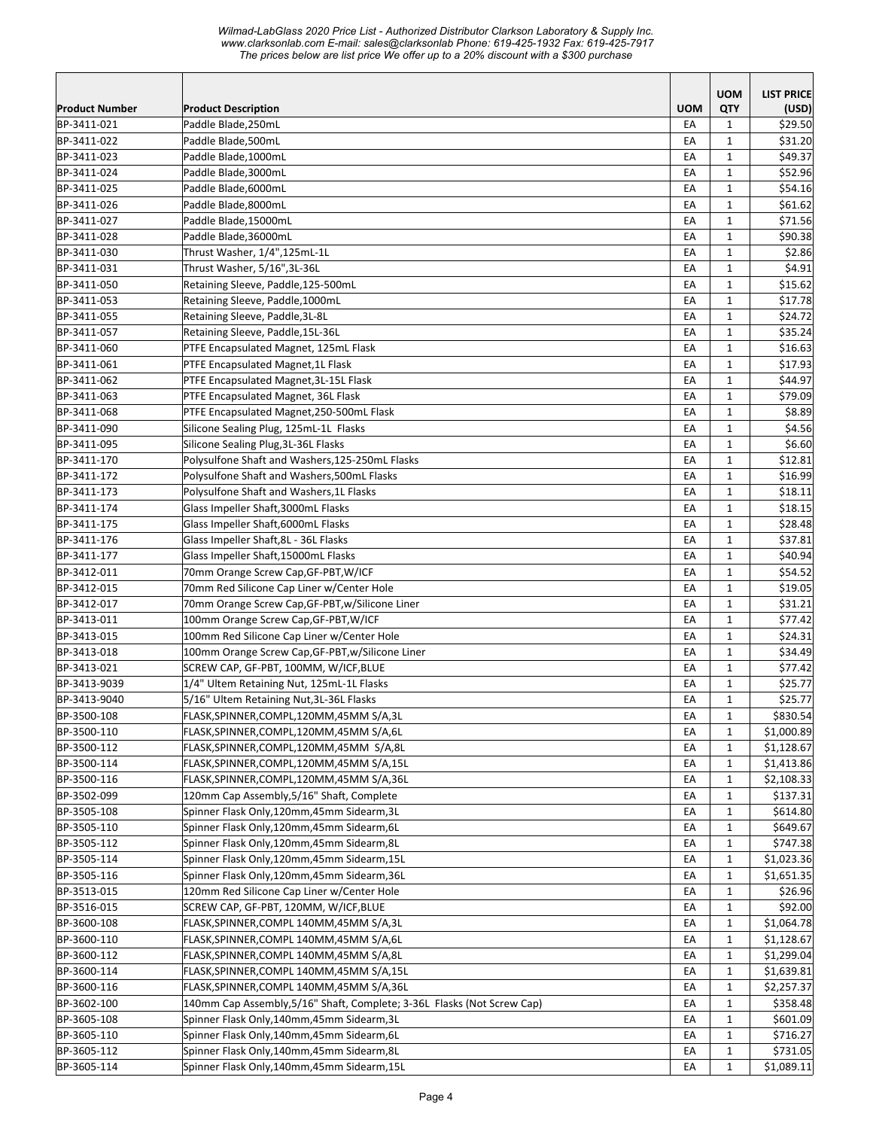*Wilmad-LabGlass 2020 Price List - Authorized Distributor Clarkson Laboratory & Supply Inc. www.clarksonlab.com E-mail: sales@clarksonlab Phone: 619-425-1932 Fax: 619-425-7917 The prices below are list price We offer up to a 20% discount with a \$300 purchase* 

|                            |                                                                                          |            | <b>UOM</b>                   | <b>LIST PRICE</b>    |
|----------------------------|------------------------------------------------------------------------------------------|------------|------------------------------|----------------------|
| <b>Product Number</b>      | <b>Product Description</b>                                                               | <b>UOM</b> | QTY                          | (USD)                |
| BP-3411-021                | Paddle Blade, 250mL                                                                      | EA         | $\mathbf{1}$                 | \$29.50              |
| BP-3411-022                | Paddle Blade, 500mL                                                                      | EA         | $\mathbf{1}$                 | \$31.20              |
| BP-3411-023                | Paddle Blade, 1000mL                                                                     | EA         | $\mathbf{1}$                 | \$49.37              |
| BP-3411-024                | Paddle Blade, 3000mL                                                                     | EA         | $\mathbf{1}$                 | \$52.96              |
| BP-3411-025                | Paddle Blade,6000mL                                                                      | EA         | $\mathbf{1}$                 | \$54.16              |
| BP-3411-026                | Paddle Blade,8000mL                                                                      | EA         | $\mathbf{1}$                 | \$61.62              |
| BP-3411-027                | Paddle Blade,15000mL                                                                     | EA         | $\mathbf{1}$                 | \$71.56              |
| BP-3411-028                | Paddle Blade, 36000mL                                                                    | EA         | $\mathbf{1}$                 | \$90.38              |
| BP-3411-030                | Thrust Washer, 1/4",125mL-1L                                                             | EA         | $\mathbf{1}$                 | \$2.86               |
| BP-3411-031                | Thrust Washer, 5/16",3L-36L                                                              | EА         | $\mathbf{1}$                 | \$4.91               |
| BP-3411-050                | Retaining Sleeve, Paddle, 125-500mL                                                      | EA         | $\mathbf{1}$                 | \$15.62              |
| BP-3411-053                | Retaining Sleeve, Paddle, 1000mL                                                         | EA         | $\mathbf{1}$                 | \$17.78              |
| BP-3411-055                | Retaining Sleeve, Paddle, 3L-8L                                                          | EA         | $\mathbf{1}$                 | \$24.72              |
| BP-3411-057                | Retaining Sleeve, Paddle, 15L-36L                                                        | EA         | $\mathbf{1}$                 | \$35.24              |
| BP-3411-060                | PTFE Encapsulated Magnet, 125mL Flask                                                    | EA         | $\mathbf{1}$                 | \$16.63              |
| BP-3411-061                | PTFE Encapsulated Magnet, 1L Flask                                                       | EA         | $\mathbf{1}$                 | \$17.93              |
| BP-3411-062                | PTFE Encapsulated Magnet, 3L-15L Flask                                                   | EA         | $\mathbf{1}$                 | \$44.97              |
| BP-3411-063                | PTFE Encapsulated Magnet, 36L Flask                                                      | EA         | $\mathbf{1}$                 | \$79.09              |
| BP-3411-068                | PTFE Encapsulated Magnet, 250-500mL Flask                                                | EA         | $\mathbf{1}$                 | \$8.89               |
| BP-3411-090                | Silicone Sealing Plug, 125mL-1L Flasks                                                   | EA         | $\mathbf{1}$                 | \$4.56               |
| BP-3411-095                | Silicone Sealing Plug, 3L-36L Flasks                                                     | EA         | $\mathbf{1}$                 | \$6.60               |
| BP-3411-170                | Polysulfone Shaft and Washers, 125-250mL Flasks                                          | EA         | $\mathbf{1}$                 | \$12.81              |
| BP-3411-172                | Polysulfone Shaft and Washers, 500mL Flasks                                              | EA         | $\mathbf{1}$                 | \$16.99              |
| BP-3411-173                | Polysulfone Shaft and Washers, 1L Flasks                                                 | EA         | $\mathbf{1}$                 | \$18.11              |
| BP-3411-174                | Glass Impeller Shaft, 3000mL Flasks                                                      | EA         | $\mathbf{1}$                 | \$18.15              |
| BP-3411-175                | Glass Impeller Shaft, 6000mL Flasks                                                      | EA         | $\mathbf{1}$                 | \$28.48              |
| BP-3411-176                | Glass Impeller Shaft, 8L - 36L Flasks                                                    | EA         | $\mathbf{1}$                 | \$37.81              |
| BP-3411-177                | Glass Impeller Shaft, 15000mL Flasks                                                     | EA         | $\mathbf{1}$                 | \$40.94              |
| BP-3412-011                | 70mm Orange Screw Cap, GF-PBT, W/ICF                                                     | EA         | $\mathbf{1}$                 | \$54.52              |
| BP-3412-015                | 70mm Red Silicone Cap Liner w/Center Hole                                                | EA         | $\mathbf{1}$                 | \$19.05              |
| BP-3412-017                | 70mm Orange Screw Cap, GF-PBT, w/Silicone Liner                                          | EA         | $\mathbf{1}$                 | \$31.21              |
| BP-3413-011                | 100mm Orange Screw Cap, GF-PBT, W/ICF                                                    | EA         | $\mathbf{1}$                 | \$77.42              |
| BP-3413-015                | 100mm Red Silicone Cap Liner w/Center Hole                                               | EA         | $\mathbf{1}$                 | \$24.31              |
| BP-3413-018                | 100mm Orange Screw Cap, GF-PBT, w/Silicone Liner                                         | EA         | $\mathbf{1}$                 | \$34.49              |
| BP-3413-021                | SCREW CAP, GF-PBT, 100MM, W/ICF,BLUE                                                     | EA         | $\mathbf{1}$                 | \$77.42              |
| BP-3413-9039               | 1/4" Ultem Retaining Nut, 125mL-1L Flasks                                                | EA         | $\mathbf{1}$                 | \$25.77              |
| BP-3413-9040               | 5/16" Ultem Retaining Nut, 3L-36L Flasks                                                 | EA         | $\mathbf{1}$                 | \$25.77              |
| BP-3500-108                | FLASK,SPINNER,COMPL,120MM,45MM S/A,3L                                                    | EA         | $\mathbf 1$                  | \$830.54             |
| BP-3500-110                | FLASK,SPINNER,COMPL,120MM,45MM S/A,6L                                                    | EA         | $\mathbf{1}$                 | \$1,000.89           |
| BP-3500-112                | FLASK, SPINNER, COMPL, 120MM, 45MM S/A, 8L                                               | EA         | 1                            | \$1,128.67           |
| BP-3500-114                | FLASK, SPINNER, COMPL, 120MM, 45MM S/A, 15L                                              | EA         | 1                            | \$1,413.86           |
| BP-3500-116                | FLASK, SPINNER, COMPL, 120MM, 45MM S/A, 36L                                              | EA         | 1                            | \$2,108.33           |
| BP-3502-099                | 120mm Cap Assembly, 5/16" Shaft, Complete                                                | EA         | $\mathbf{1}$                 | \$137.31             |
| BP-3505-108                | Spinner Flask Only,120mm,45mm Sidearm,3L                                                 | EA         | $\mathbf{1}$                 | \$614.80             |
| BP-3505-110                | Spinner Flask Only,120mm,45mm Sidearm,6L                                                 | EA         | $\mathbf{1}$                 | \$649.67             |
| BP-3505-112                | Spinner Flask Only,120mm,45mm Sidearm,8L                                                 | EA         | $\mathbf{1}$                 | \$747.38             |
| BP-3505-114                | Spinner Flask Only,120mm,45mm Sidearm,15L                                                | EA         | $\mathbf{1}$                 | \$1,023.36           |
| BP-3505-116                | Spinner Flask Only,120mm,45mm Sidearm,36L                                                | EA         | $\mathbf{1}$                 | \$1,651.35           |
| BP-3513-015                | 120mm Red Silicone Cap Liner w/Center Hole                                               | EA         | $\mathbf{1}$                 | \$26.96              |
| BP-3516-015                | SCREW CAP, GF-PBT, 120MM, W/ICF,BLUE                                                     | EA         | $\mathbf{1}$                 | \$92.00              |
| BP-3600-108                | FLASK,SPINNER,COMPL 140MM,45MM S/A,3L                                                    | EA         | $\mathbf{1}$                 | \$1,064.78           |
| BP-3600-110                | FLASK,SPINNER,COMPL 140MM,45MM S/A,6L                                                    | EA         | $\mathbf{1}$                 | \$1,128.67           |
| BP-3600-112<br>BP-3600-114 | FLASK, SPINNER, COMPL 140MM, 45MM S/A, 8L                                                | EA         | $\mathbf{1}$                 | \$1,299.04           |
| BP-3600-116                | FLASK, SPINNER, COMPL 140MM, 45MM S/A, 15L<br>FLASK, SPINNER, COMPL 140MM, 45MM S/A, 36L | EA         | $\mathbf{1}$                 | \$1,639.81           |
|                            |                                                                                          | EA         | $\mathbf{1}$                 | \$2,257.37           |
| BP-3602-100                | 140mm Cap Assembly, 5/16" Shaft, Complete; 3-36L Flasks (Not Screw Cap)                  | EA         | 1                            | \$358.48             |
| BP-3605-108                | Spinner Flask Only,140mm,45mm Sidearm,3L<br>Spinner Flask Only,140mm,45mm Sidearm,6L     | EA<br>EA   | 1                            | \$601.09             |
| BP-3605-110<br>BP-3605-112 | Spinner Flask Only,140mm,45mm Sidearm,8L                                                 | EA         | $\mathbf{1}$<br>$\mathbf{1}$ | \$716.27<br>\$731.05 |
| BP-3605-114                | Spinner Flask Only,140mm,45mm Sidearm,15L                                                | EA         | $\mathbf{1}$                 | \$1,089.11           |
|                            |                                                                                          |            |                              |                      |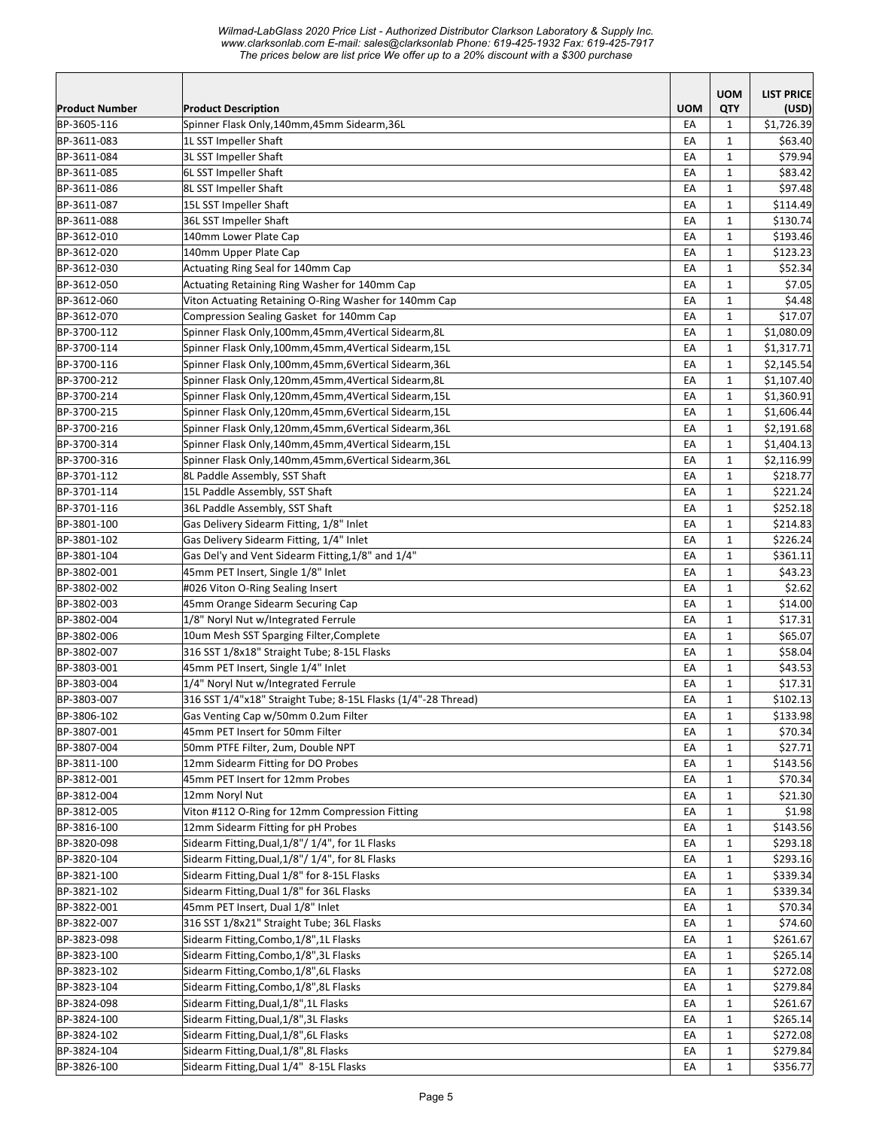*Wilmad-LabGlass 2020 Price List - Authorized Distributor Clarkson Laboratory & Supply Inc. www.clarksonlab.com E-mail: sales@clarksonlab Phone: 619-425-1932 Fax: 619-425-7917 The prices below are list price We offer up to a 20% discount with a \$300 purchase* 

|                            |                                                                                        |            | <b>UOM</b>                   | <b>LIST PRICE</b>  |
|----------------------------|----------------------------------------------------------------------------------------|------------|------------------------------|--------------------|
| <b>Product Number</b>      | <b>Product Description</b>                                                             | <b>UOM</b> | QTY                          | (USD)              |
| BP-3605-116                | Spinner Flask Only,140mm,45mm Sidearm,36L                                              | EA         | $\mathbf{1}$                 | \$1,726.39         |
| BP-3611-083                | 1L SST Impeller Shaft                                                                  | EA         | $\mathbf{1}$                 | \$63.40            |
| BP-3611-084                | 3L SST Impeller Shaft                                                                  | EA         | $\mathbf{1}$                 | \$79.94            |
| BP-3611-085                | 6L SST Impeller Shaft                                                                  | EA         | $\mathbf{1}$                 | \$83.42            |
| BP-3611-086                | 8L SST Impeller Shaft                                                                  | EA         | $\mathbf{1}$                 | \$97.48            |
| BP-3611-087                | 15L SST Impeller Shaft                                                                 | EA         | $\mathbf{1}$                 | \$114.49           |
| BP-3611-088                | 36L SST Impeller Shaft                                                                 | EA         | $\mathbf{1}$                 | \$130.74           |
| BP-3612-010                | 140mm Lower Plate Cap                                                                  | EA         | $\mathbf{1}$                 | \$193.46           |
| BP-3612-020                | 140mm Upper Plate Cap                                                                  | EA         | $\mathbf{1}$                 | \$123.23           |
| BP-3612-030                | Actuating Ring Seal for 140mm Cap                                                      | EA         | $\mathbf{1}$                 | \$52.34            |
| BP-3612-050                | Actuating Retaining Ring Washer for 140mm Cap                                          | EA         | $\mathbf{1}$                 | \$7.05             |
| BP-3612-060                | Viton Actuating Retaining O-Ring Washer for 140mm Cap                                  | EA         | $\mathbf{1}$                 | \$4.48             |
| BP-3612-070                | Compression Sealing Gasket for 140mm Cap                                               | EA         | $\mathbf{1}$                 | \$17.07            |
| BP-3700-112                | Spinner Flask Only,100mm,45mm,4Vertical Sidearm,8L                                     | EA         | $\mathbf{1}$                 | \$1,080.09         |
| BP-3700-114                | Spinner Flask Only,100mm,45mm,4Vertical Sidearm,15L                                    | EA         | $\mathbf 1$                  | \$1,317.71         |
| BP-3700-116                | Spinner Flask Only,100mm,45mm,6Vertical Sidearm,36L                                    | EA         | $\mathbf{1}$                 | \$2,145.54         |
| BP-3700-212                | Spinner Flask Only,120mm,45mm,4Vertical Sidearm,8L                                     | EA         | $\mathbf{1}$                 | \$1,107.40         |
| BP-3700-214                | Spinner Flask Only,120mm,45mm,4Vertical Sidearm,15L                                    | EA         | $\mathbf{1}$                 | \$1,360.91         |
| BP-3700-215                | Spinner Flask Only,120mm,45mm,6Vertical Sidearm,15L                                    | EA         | $\mathbf{1}$                 | \$1,606.44         |
| BP-3700-216                | Spinner Flask Only,120mm,45mm,6Vertical Sidearm,36L                                    | EA         | $\mathbf{1}$                 | \$2,191.68         |
| BP-3700-314                | Spinner Flask Only,140mm,45mm,4Vertical Sidearm,15L                                    | EA         | $\mathbf{1}$                 | \$1,404.13         |
| BP-3700-316                | Spinner Flask Only,140mm,45mm,6Vertical Sidearm,36L                                    | EA         | $\mathbf{1}$                 | \$2,116.99         |
| BP-3701-112                | 8L Paddle Assembly, SST Shaft                                                          | EA         | $\mathbf{1}$                 | \$218.77           |
| BP-3701-114                | 15L Paddle Assembly, SST Shaft                                                         | EA         | $\mathbf{1}$                 | \$221.24           |
| BP-3701-116                | 36L Paddle Assembly, SST Shaft                                                         | EA         | $\mathbf{1}$                 | \$252.18           |
| BP-3801-100                | Gas Delivery Sidearm Fitting, 1/8" Inlet                                               | EA         | $\mathbf{1}$                 | \$214.83           |
| BP-3801-102                | Gas Delivery Sidearm Fitting, 1/4" Inlet                                               | EA         | 1                            | \$226.24           |
| BP-3801-104                | Gas Del'y and Vent Sidearm Fitting, 1/8" and 1/4"                                      | EA         | $\mathbf{1}$                 | \$361.11           |
| BP-3802-001                | 45mm PET Insert, Single 1/8" Inlet                                                     | EA         | $\mathbf{1}$                 | \$43.23            |
| BP-3802-002                | #026 Viton O-Ring Sealing Insert                                                       | EA         | $\mathbf{1}$                 | \$2.62             |
| BP-3802-003                | 45mm Orange Sidearm Securing Cap                                                       | EA         | $\mathbf{1}$                 | \$14.00            |
| BP-3802-004                | 1/8" Noryl Nut w/Integrated Ferrule                                                    | EA         | $\mathbf{1}$                 | \$17.31            |
| BP-3802-006<br>BP-3802-007 | 10um Mesh SST Sparging Filter, Complete<br>316 SST 1/8x18" Straight Tube; 8-15L Flasks | EA         | $\mathbf{1}$                 | \$65.07<br>\$58.04 |
| BP-3803-001                | 45mm PET Insert, Single 1/4" Inlet                                                     | EA<br>EA   | $\mathbf{1}$<br>$\mathbf{1}$ | \$43.53            |
| BP-3803-004                | 1/4" Noryl Nut w/Integrated Ferrule                                                    | EA         | $\mathbf{1}$                 | \$17.31            |
| BP-3803-007                | 316 SST 1/4"x18" Straight Tube; 8-15L Flasks (1/4"-28 Thread)                          | EA         | $\mathbf{1}$                 | \$102.13           |
| BP-3806-102                | Gas Venting Cap w/50mm 0.2um Filter                                                    | EA         | $\mathbf 1$                  | \$133.98           |
| BP-3807-001                | 45mm PET Insert for 50mm Filter                                                        | EA         | 1                            | \$70.34            |
| BP-3807-004                | 50mm PTFE Filter, 2um, Double NPT                                                      | EA         | $\mathbf{1}$                 | \$27.71            |
| BP-3811-100                | 12mm Sidearm Fitting for DO Probes                                                     | EA         | 1                            | \$143.56           |
| BP-3812-001                | 45mm PET Insert for 12mm Probes                                                        | EA         | 1                            | \$70.34            |
| BP-3812-004                | 12mm Noryl Nut                                                                         | EA         | $\mathbf{1}$                 | \$21.30            |
| BP-3812-005                | Viton #112 O-Ring for 12mm Compression Fitting                                         | EA         | $\mathbf{1}$                 | \$1.98             |
| BP-3816-100                | 12mm Sidearm Fitting for pH Probes                                                     | EA         | $\mathbf 1$                  | \$143.56           |
| BP-3820-098                | Sidearm Fitting, Dual, 1/8"/ 1/4", for 1L Flasks                                       | EA         | $\mathbf{1}$                 | \$293.18           |
| BP-3820-104                | Sidearm Fitting, Dual, 1/8"/ 1/4", for 8L Flasks                                       | EA         | $\mathbf{1}$                 | \$293.16           |
| BP-3821-100                | Sidearm Fitting, Dual 1/8" for 8-15L Flasks                                            | EA         | $\mathbf{1}$                 | \$339.34           |
| BP-3821-102                | Sidearm Fitting, Dual 1/8" for 36L Flasks                                              | EA         | $\mathbf{1}$                 | \$339.34           |
| BP-3822-001                | 45mm PET Insert, Dual 1/8" Inlet                                                       | EA         | 1                            | \$70.34            |
| BP-3822-007                | 316 SST 1/8x21" Straight Tube; 36L Flasks                                              | EA         | $\mathbf{1}$                 | \$74.60            |
| BP-3823-098                | Sidearm Fitting, Combo, 1/8", 1L Flasks                                                | EA         | $\mathbf{1}$                 | \$261.67           |
| BP-3823-100                | Sidearm Fitting, Combo, 1/8", 3L Flasks                                                | EA         | $\mathbf{1}$                 | \$265.14           |
| BP-3823-102                | Sidearm Fitting, Combo, 1/8", 6L Flasks                                                | EA         | $\mathbf{1}$                 | \$272.08           |
| BP-3823-104                | Sidearm Fitting, Combo, 1/8", 8L Flasks                                                | EA         | $\mathbf{1}$                 | \$279.84           |
| BP-3824-098                | Sidearm Fitting, Dual, 1/8", 1L Flasks                                                 | EA         | 1                            | \$261.67           |
| BP-3824-100                | Sidearm Fitting, Dual, 1/8", 3L Flasks                                                 | EA         | 1                            | \$265.14           |
| BP-3824-102                | Sidearm Fitting, Dual, 1/8", 6L Flasks                                                 | EA         | 1                            | \$272.08           |
| BP-3824-104                | Sidearm Fitting, Dual, 1/8", 8L Flasks                                                 | EA         | $\mathbf{1}$                 | \$279.84           |
| BP-3826-100                | Sidearm Fitting, Dual 1/4" 8-15L Flasks                                                | EA         | $\mathbf 1$                  | \$356.77           |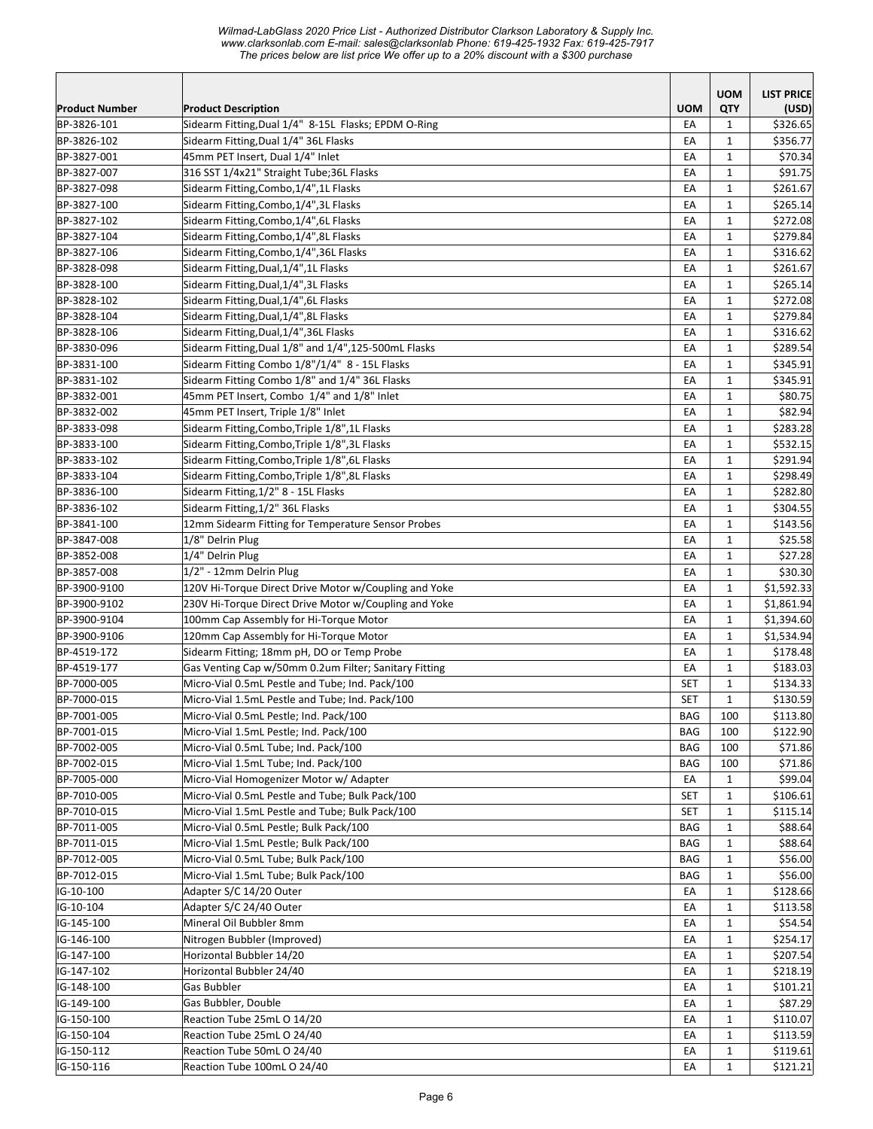|                            |                                                                                  |            | <b>UOM</b>                   | <b>LIST PRICE</b>   |
|----------------------------|----------------------------------------------------------------------------------|------------|------------------------------|---------------------|
| <b>Product Number</b>      | <b>Product Description</b>                                                       | <b>UOM</b> | QTY                          | (USD)               |
| BP-3826-101                | Sidearm Fitting, Dual 1/4" 8-15L Flasks; EPDM O-Ring                             | EA         | $\mathbf{1}$                 | \$326.65            |
| BP-3826-102                | Sidearm Fitting, Dual 1/4" 36L Flasks                                            | EA         | $\mathbf{1}$                 | \$356.77            |
| BP-3827-001                | 45mm PET Insert, Dual 1/4" Inlet                                                 | EA         | $\mathbf{1}$                 | \$70.34             |
| BP-3827-007                | 316 SST 1/4x21" Straight Tube;36L Flasks                                         | EA         | $\mathbf{1}$                 | \$91.75             |
| BP-3827-098                | Sidearm Fitting, Combo, 1/4", 1L Flasks                                          | EA         | $\mathbf{1}$                 | \$261.67            |
| BP-3827-100                | Sidearm Fitting, Combo, 1/4", 3L Flasks                                          | EA         | $\mathbf{1}$                 | \$265.14            |
| BP-3827-102                | Sidearm Fitting, Combo, 1/4", 6L Flasks                                          | EA         | $\mathbf{1}$                 | \$272.08            |
| BP-3827-104                | Sidearm Fitting, Combo, 1/4", 8L Flasks                                          | EA         | $\mathbf{1}$                 | \$279.84            |
| BP-3827-106                | Sidearm Fitting, Combo, 1/4", 36L Flasks                                         | EA         | $\mathbf{1}$                 | \$316.62            |
| BP-3828-098                | Sidearm Fitting, Dual, 1/4", 1L Flasks                                           | EA         | $\mathbf{1}$                 | \$261.67            |
| BP-3828-100                | Sidearm Fitting, Dual, 1/4", 3L Flasks                                           | EA         | $\mathbf{1}$                 | \$265.14            |
| BP-3828-102                | Sidearm Fitting, Dual, 1/4", 6L Flasks                                           | EA         | $\mathbf{1}$                 | \$272.08            |
| BP-3828-104                | Sidearm Fitting, Dual, 1/4", 8L Flasks                                           | EA         | $\mathbf{1}$                 | \$279.84            |
| BP-3828-106                | Sidearm Fitting, Dual, 1/4", 36L Flasks                                          | EA         | $\mathbf{1}$                 | \$316.62            |
| BP-3830-096                | Sidearm Fitting, Dual 1/8" and 1/4", 125-500mL Flasks                            | EA         | $\mathbf{1}$                 | \$289.54            |
| BP-3831-100                | Sidearm Fitting Combo 1/8"/1/4" 8 - 15L Flasks                                   | EA         | $\mathbf{1}$                 | \$345.91            |
| BP-3831-102                | Sidearm Fitting Combo 1/8" and 1/4" 36L Flasks                                   | EA         | $\mathbf{1}$                 | \$345.91            |
| BP-3832-001                | 45mm PET Insert, Combo 1/4" and 1/8" Inlet                                       | EA         | $\mathbf{1}$                 | \$80.75             |
| BP-3832-002                | 45mm PET Insert, Triple 1/8" Inlet                                               | EA         | $\mathbf{1}$                 | \$82.94             |
| BP-3833-098                | Sidearm Fitting, Combo, Triple 1/8", 1L Flasks                                   | EA         | $\mathbf{1}$                 | \$283.28            |
| BP-3833-100                | Sidearm Fitting, Combo, Triple 1/8", 3L Flasks                                   | EA         | $\mathbf{1}$                 | \$532.15            |
| BP-3833-102                | Sidearm Fitting, Combo, Triple 1/8", 6L Flasks                                   | EA         | $\mathbf{1}$                 | \$291.94            |
| BP-3833-104                | Sidearm Fitting, Combo, Triple 1/8", 8L Flasks                                   | EA         | $\mathbf{1}$                 | \$298.49            |
| BP-3836-100                | Sidearm Fitting, 1/2" 8 - 15L Flasks                                             | EA         | $\mathbf{1}$                 | \$282.80            |
| BP-3836-102                | Sidearm Fitting, 1/2" 36L Flasks                                                 | EA         | $\mathbf{1}$                 | \$304.55            |
| BP-3841-100                | 12mm Sidearm Fitting for Temperature Sensor Probes                               | EA         | $\mathbf{1}$                 | \$143.56            |
| BP-3847-008                | 1/8" Delrin Plug                                                                 | EA         | $\mathbf{1}$                 | \$25.58             |
| BP-3852-008                | 1/4" Delrin Plug                                                                 | EA         | $\mathbf{1}$                 | \$27.28             |
| BP-3857-008                | 1/2" - 12mm Delrin Plug                                                          | EA         | $\mathbf{1}$                 | \$30.30             |
| BP-3900-9100               | 120V Hi-Torque Direct Drive Motor w/Coupling and Yoke                            | EA         | $\mathbf{1}$                 | \$1,592.33          |
| BP-3900-9102               | 230V Hi-Torque Direct Drive Motor w/Coupling and Yoke                            | EA         | $\mathbf{1}$                 | \$1,861.94          |
| BP-3900-9104               | 100mm Cap Assembly for Hi-Torque Motor                                           | EA         | $\mathbf{1}$                 | \$1,394.60          |
| BP-3900-9106               | 120mm Cap Assembly for Hi-Torque Motor                                           | EA         | $\mathbf{1}$                 | \$1,534.94          |
| BP-4519-172                | Sidearm Fitting; 18mm pH, DO or Temp Probe                                       | EA         | $\mathbf{1}$                 | \$178.48            |
| BP-4519-177                | Gas Venting Cap w/50mm 0.2um Filter; Sanitary Fitting                            | EA         | $\mathbf{1}$                 | \$183.03            |
| BP-7000-005                | Micro-Vial 0.5mL Pestle and Tube; Ind. Pack/100                                  | <b>SET</b> | $\mathbf{1}$                 | \$134.33            |
| BP-7000-015                | Micro-Vial 1.5mL Pestle and Tube; Ind. Pack/100                                  | <b>SET</b> | $\mathbf{1}$                 | \$130.59            |
| BP-7001-005                | Micro-Vial 0.5mL Pestle; Ind. Pack/100                                           | BAG        | 100                          | \$113.80            |
| BP-7001-015                | Micro-Vial 1.5mL Pestle; Ind. Pack/100                                           | BAG        | 100                          | \$122.90            |
| BP-7002-005                | Micro-Vial 0.5mL Tube; Ind. Pack/100                                             | BAG        | 100                          | \$71.86             |
| BP-7002-015                | Micro-Vial 1.5mL Tube; Ind. Pack/100                                             | BAG        | 100                          | \$71.86             |
| BP-7005-000                | Micro-Vial Homogenizer Motor w/ Adapter                                          | EA         | 1                            | \$99.04             |
| BP-7010-005                | Micro-Vial 0.5mL Pestle and Tube; Bulk Pack/100                                  | <b>SET</b> | 1                            | \$106.61            |
| BP-7010-015                | Micro-Vial 1.5mL Pestle and Tube; Bulk Pack/100                                  | <b>SET</b> | $\mathbf{1}$                 | \$115.14            |
| BP-7011-005                | Micro-Vial 0.5mL Pestle; Bulk Pack/100<br>Micro-Vial 1.5mL Pestle; Bulk Pack/100 | BAG        | $\mathbf 1$                  | \$88.64             |
| BP-7011-015                |                                                                                  | BAG        | $\mathbf{1}$                 | \$88.64<br>\$56.00  |
| BP-7012-005<br>BP-7012-015 | Micro-Vial 0.5mL Tube; Bulk Pack/100<br>Micro-Vial 1.5mL Tube; Bulk Pack/100     | BAG        | $\mathbf{1}$                 |                     |
| IG-10-100                  | Adapter S/C 14/20 Outer                                                          | BAG<br>EA  | $\mathbf{1}$<br>$\mathbf{1}$ | \$56.00<br>\$128.66 |
| IG-10-104                  | Adapter S/C 24/40 Outer                                                          |            | $\mathbf{1}$                 | \$113.58            |
|                            | Mineral Oil Bubbler 8mm                                                          | EA<br>EA   | $\mathbf{1}$                 | \$54.54             |
| IG-145-100<br>IG-146-100   | Nitrogen Bubbler (Improved)                                                      | EA         | $\mathbf 1$                  | \$254.17            |
| IG-147-100                 | Horizontal Bubbler 14/20                                                         | EA         | $\mathbf 1$                  | \$207.54            |
| IG-147-102                 | Horizontal Bubbler 24/40                                                         | EA         | $\mathbf{1}$                 | \$218.19            |
| IG-148-100                 | Gas Bubbler                                                                      | EA         | $\mathbf{1}$                 | \$101.21            |
| IG-149-100                 | Gas Bubbler, Double                                                              | EA         | $\mathbf{1}$                 | \$87.29             |
| IG-150-100                 | Reaction Tube 25mL O 14/20                                                       | EA         | 1                            | \$110.07            |
| IG-150-104                 | Reaction Tube 25mL O 24/40                                                       | EA         | 1                            | \$113.59            |
| IG-150-112                 | Reaction Tube 50mL O 24/40                                                       | EA         | $\mathbf{1}$                 | \$119.61            |
| IG-150-116                 | Reaction Tube 100mL O 24/40                                                      | EA         | $\mathbf{1}$                 | \$121.21            |
|                            |                                                                                  |            |                              |                     |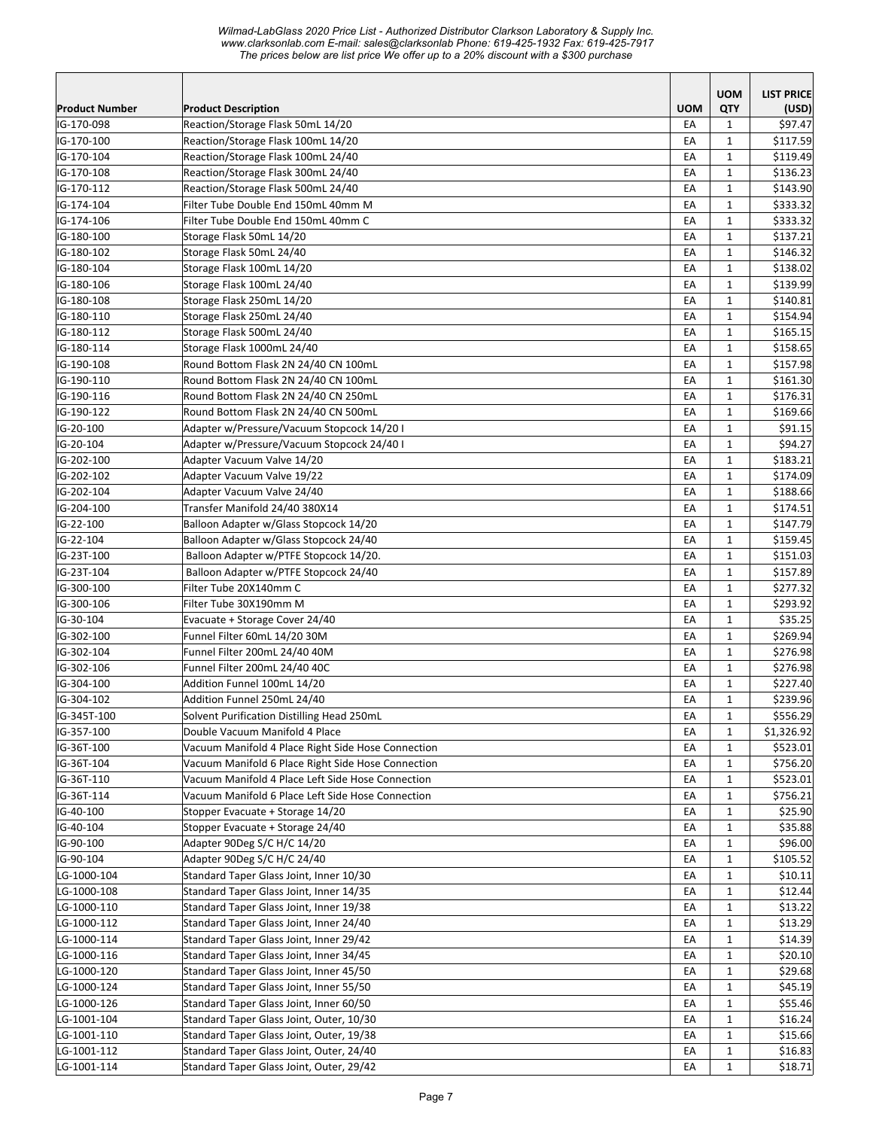|                            |                                                                                       |            | <b>UOM</b>                   | <b>LIST PRICE</b>  |
|----------------------------|---------------------------------------------------------------------------------------|------------|------------------------------|--------------------|
| <b>Product Number</b>      | <b>Product Description</b>                                                            | <b>UOM</b> | QTY                          | (USD)              |
| IG-170-098                 | Reaction/Storage Flask 50mL 14/20                                                     | EA         | $\mathbf{1}$                 | \$97.47            |
| IG-170-100                 | Reaction/Storage Flask 100mL 14/20                                                    | EA         | $\mathbf{1}$                 | \$117.59           |
| IG-170-104                 | Reaction/Storage Flask 100mL 24/40                                                    | EA         | $\mathbf{1}$                 | \$119.49           |
| IG-170-108                 | Reaction/Storage Flask 300mL 24/40                                                    | EA         | $\mathbf{1}$                 | \$136.23           |
| IG-170-112                 | Reaction/Storage Flask 500mL 24/40                                                    | EA         | $\mathbf{1}$                 | \$143.90           |
| IG-174-104                 | Filter Tube Double End 150mL 40mm M                                                   | EA         | $\mathbf{1}$                 | \$333.32           |
| IG-174-106                 | Filter Tube Double End 150mL 40mm C                                                   | EA         | $\mathbf{1}$                 | \$333.32           |
| IG-180-100                 | Storage Flask 50mL 14/20                                                              | EA         | $\mathbf{1}$                 | \$137.21           |
| IG-180-102                 | Storage Flask 50mL 24/40                                                              | EA         | $\mathbf{1}$                 | \$146.32           |
| IG-180-104                 | Storage Flask 100mL 14/20                                                             | EA         | $\mathbf{1}$                 | \$138.02           |
| IG-180-106                 | Storage Flask 100mL 24/40                                                             | EA         | $\mathbf{1}$                 | \$139.99           |
| IG-180-108                 | Storage Flask 250mL 14/20                                                             | EA         | $\mathbf{1}$                 | \$140.81           |
| IG-180-110                 | Storage Flask 250mL 24/40                                                             | EA         | $\mathbf{1}$                 | \$154.94           |
| IG-180-112                 | Storage Flask 500mL 24/40                                                             | EA         | 1                            | \$165.15           |
| IG-180-114                 | Storage Flask 1000mL 24/40                                                            | EA         | $\mathbf{1}$                 | \$158.65           |
| IG-190-108                 | Round Bottom Flask 2N 24/40 CN 100mL                                                  | EA         | $\mathbf{1}$                 | \$157.98           |
| IG-190-110                 | Round Bottom Flask 2N 24/40 CN 100mL                                                  | EA         | $\mathbf{1}$                 | \$161.30           |
| IG-190-116                 | Round Bottom Flask 2N 24/40 CN 250mL                                                  | EA         | $\mathbf{1}$                 | \$176.31           |
| IG-190-122                 | Round Bottom Flask 2N 24/40 CN 500mL                                                  | EA         | $\mathbf{1}$                 | \$169.66           |
| IG-20-100                  | Adapter w/Pressure/Vacuum Stopcock 14/20 I                                            | EA         | $\mathbf{1}$                 | \$91.15            |
| IG-20-104                  | Adapter w/Pressure/Vacuum Stopcock 24/40 I                                            | EA         | $\mathbf{1}$                 | \$94.27            |
| IG-202-100                 | Adapter Vacuum Valve 14/20                                                            | EA         | $\mathbf{1}$                 | \$183.21           |
| IG-202-102                 | Adapter Vacuum Valve 19/22                                                            | EA         | $\mathbf{1}$                 | \$174.09           |
| IG-202-104                 | Adapter Vacuum Valve 24/40                                                            | EA         | $\mathbf{1}$                 | \$188.66           |
| IG-204-100                 | Transfer Manifold 24/40 380X14                                                        | EA         | $\mathbf{1}$                 | \$174.51           |
| IG-22-100                  | Balloon Adapter w/Glass Stopcock 14/20                                                | EA         | $\mathbf{1}$                 | \$147.79           |
| IG-22-104                  | Balloon Adapter w/Glass Stopcock 24/40                                                | EA         | $\mathbf{1}$                 | \$159.45           |
| IG-23T-100                 | Balloon Adapter w/PTFE Stopcock 14/20.                                                | EA         | $\mathbf{1}$                 | \$151.03           |
| IG-23T-104                 | Balloon Adapter w/PTFE Stopcock 24/40                                                 | EA         | 1                            | \$157.89           |
| IG-300-100                 | Filter Tube 20X140mm C                                                                | EA         | $\mathbf{1}$                 | \$277.32           |
| IG-300-106                 | Filter Tube 30X190mm M                                                                | EA         | $\mathbf{1}$                 | \$293.92           |
| IG-30-104                  | Evacuate + Storage Cover 24/40                                                        | EA         | $\mathbf{1}$                 | \$35.25            |
| IG-302-100                 | Funnel Filter 60mL 14/20 30M                                                          | EA         | $\mathbf{1}$                 | \$269.94           |
| IG-302-104                 | Funnel Filter 200mL 24/40 40M                                                         | EA         | $\mathbf{1}$                 | \$276.98           |
| IG-302-106                 | Funnel Filter 200mL 24/40 40C<br>Addition Funnel 100mL 14/20                          | EA         | $\mathbf{1}$                 | \$276.98           |
| IG-304-100                 |                                                                                       | EA         | $\mathbf{1}$                 | \$227.40           |
| IG-304-102<br>IG-345T-100  | Addition Funnel 250mL 24/40                                                           | EA<br>EA   | $\mathbf{1}$                 | \$239.96           |
|                            | Solvent Purification Distilling Head 250mL                                            |            | $\mathbf 1$                  | \$556.29           |
| IG-357-100                 | Double Vacuum Manifold 4 Place                                                        | EA         | $\mathbf{1}$                 | \$1,326.92         |
| IG-36T-100                 | Vacuum Manifold 4 Place Right Side Hose Connection                                    | EA         | $\mathbf{1}$                 | \$523.01           |
| IG-36T-104                 | Vacuum Manifold 6 Place Right Side Hose Connection                                    | EA         | 1                            | \$756.20           |
| IG-36T-110                 | Vacuum Manifold 4 Place Left Side Hose Connection                                     | EA         | $\mathbf{1}$                 | \$523.01           |
| IG-36T-114                 | Vacuum Manifold 6 Place Left Side Hose Connection<br>Stopper Evacuate + Storage 14/20 | EA         | $\mathbf{1}$                 | \$756.21           |
| IG-40-100<br>IG-40-104     | Stopper Evacuate + Storage 24/40                                                      | EA         | 1                            | \$25.90            |
| IG-90-100                  | Adapter 90Deg S/C H/C 14/20                                                           | EA<br>EA   | $\mathbf{1}$<br>$\mathbf{1}$ | \$35.88<br>\$96.00 |
| IG-90-104                  | Adapter 90Deg S/C H/C 24/40                                                           |            |                              |                    |
| LG-1000-104                | Standard Taper Glass Joint, Inner 10/30                                               | EA         | $\mathbf{1}$<br>$\mathbf{1}$ | \$105.52           |
| LG-1000-108                | Standard Taper Glass Joint, Inner 14/35                                               | EA         | $\mathbf{1}$                 | \$10.11<br>\$12.44 |
| LG-1000-110                | Standard Taper Glass Joint, Inner 19/38                                               | EA         | $\mathbf 1$                  | \$13.22            |
|                            |                                                                                       | EA         |                              |                    |
| LG-1000-112<br>LG-1000-114 | Standard Taper Glass Joint, Inner 24/40<br>Standard Taper Glass Joint, Inner 29/42    | EA<br>EA   | $\mathbf{1}$<br>$\mathbf{1}$ | \$13.29<br>\$14.39 |
| LG-1000-116                | Standard Taper Glass Joint, Inner 34/45                                               | EA         | $\mathbf{1}$                 | \$20.10            |
| LG-1000-120                | Standard Taper Glass Joint, Inner 45/50                                               | EA         | $\mathbf 1$                  | \$29.68            |
| LG-1000-124                | Standard Taper Glass Joint, Inner 55/50                                               | EA         | $\mathbf{1}$                 | \$45.19            |
| LG-1000-126                | Standard Taper Glass Joint, Inner 60/50                                               | EA         | $\mathbf{1}$                 | \$55.46            |
| LG-1001-104                | Standard Taper Glass Joint, Outer, 10/30                                              | EA         | $\mathbf{1}$                 | \$16.24            |
| LG-1001-110                | Standard Taper Glass Joint, Outer, 19/38                                              |            |                              | \$15.66            |
| LG-1001-112                | Standard Taper Glass Joint, Outer, 24/40                                              | EA<br>EA   | 1                            | \$16.83            |
| LG-1001-114                | Standard Taper Glass Joint, Outer, 29/42                                              | EA         | $\mathbf{1}$<br>$\mathbf{1}$ | \$18.71            |
|                            |                                                                                       |            |                              |                    |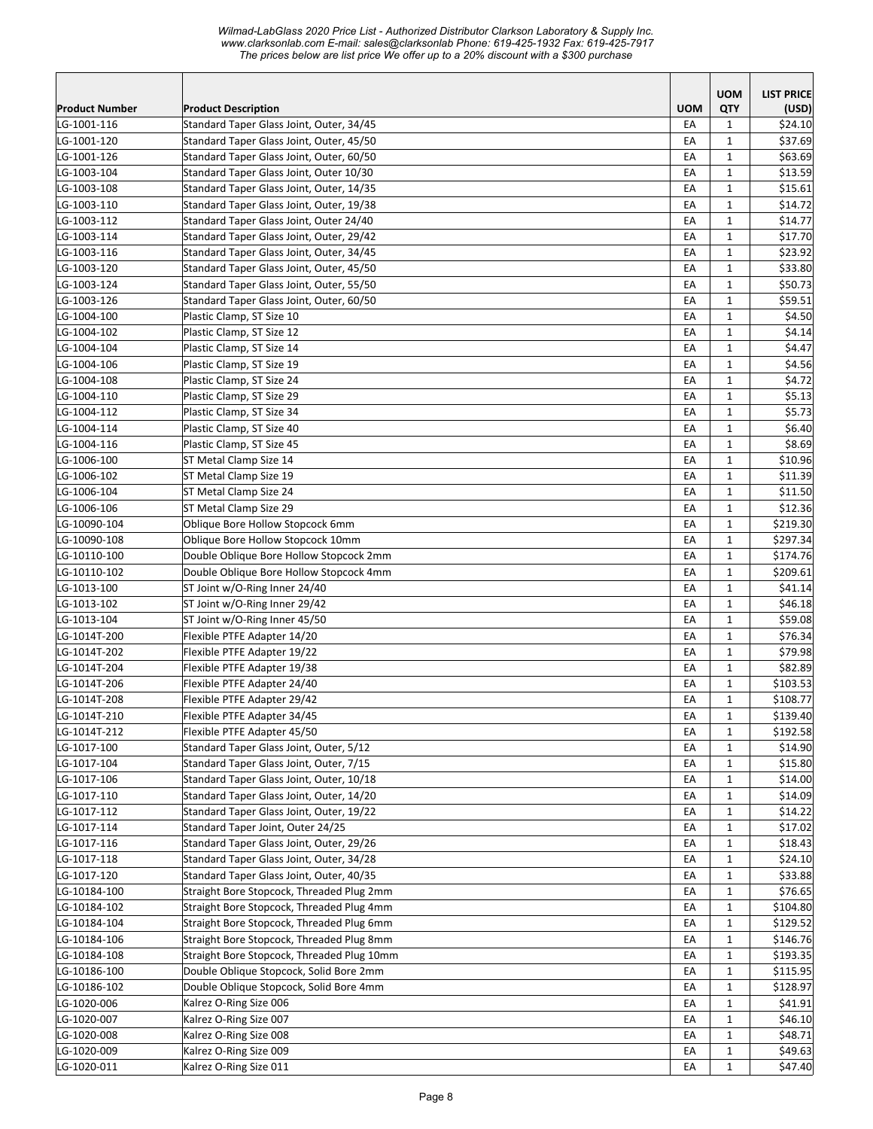|                |                                            |            | <b>UOM</b>        | <b>LIST PRICE</b> |
|----------------|--------------------------------------------|------------|-------------------|-------------------|
| Product Number | <b>Product Description</b>                 | <b>UOM</b> | QTY               | (USD)             |
| LG-1001-116    | Standard Taper Glass Joint, Outer, 34/45   | EA         | 1                 | \$24.10           |
| LG-1001-120    | Standard Taper Glass Joint, Outer, 45/50   | EA         | 1                 | \$37.69           |
| LG-1001-126    | Standard Taper Glass Joint, Outer, 60/50   | EA         | $\mathbf{1}$      | \$63.69           |
| LG-1003-104    | Standard Taper Glass Joint, Outer 10/30    | EA         | $\mathbf{1}$      | \$13.59           |
| LG-1003-108    | Standard Taper Glass Joint, Outer, 14/35   | EA         | $\mathbf{1}$      | \$15.61           |
| LG-1003-110    | Standard Taper Glass Joint, Outer, 19/38   | EA         | $\mathbf{1}$      | \$14.72           |
| LG-1003-112    | Standard Taper Glass Joint, Outer 24/40    | EA         | $\mathbf{1}$      | \$14.77           |
| LG-1003-114    | Standard Taper Glass Joint, Outer, 29/42   | EA         | $\mathbf 1$       | \$17.70           |
| LG-1003-116    | Standard Taper Glass Joint, Outer, 34/45   | EA         | $\mathbf{1}$      | \$23.92           |
| LG-1003-120    | Standard Taper Glass Joint, Outer, 45/50   | EA         | $\mathbf{1}$      | \$33.80           |
| LG-1003-124    | Standard Taper Glass Joint, Outer, 55/50   | EA         | $\mathbf 1$       | \$50.73           |
| LG-1003-126    | Standard Taper Glass Joint, Outer, 60/50   | EA         | $\mathbf 1$       | \$59.51           |
| LG-1004-100    | Plastic Clamp, ST Size 10                  | EA         | $\mathbf{1}$      | \$4.50            |
| LG-1004-102    | Plastic Clamp, ST Size 12                  | EA         | $\mathbf 1$       | \$4.14            |
| LG-1004-104    | Plastic Clamp, ST Size 14                  | EA         | $\mathbf{1}$      | \$4.47            |
| LG-1004-106    | Plastic Clamp, ST Size 19                  | EA         | $\mathbf{1}$      | \$4.56            |
| LG-1004-108    | Plastic Clamp, ST Size 24                  | EA         | 1                 | \$4.72            |
| LG-1004-110    | Plastic Clamp, ST Size 29                  | EA         | $\mathbf{1}$      | \$5.13            |
| LG-1004-112    | Plastic Clamp, ST Size 34                  | EA         | $\mathbf{1}$      | \$5.73            |
| LG-1004-114    | Plastic Clamp, ST Size 40                  | EA         | $\mathbf{1}$      | \$6.40            |
| LG-1004-116    | Plastic Clamp, ST Size 45                  | EA         | $\mathbf{1}$      | \$8.69            |
| LG-1006-100    | ST Metal Clamp Size 14                     | EA         | $\mathbf{1}$      | \$10.96           |
| LG-1006-102    | ST Metal Clamp Size 19                     | EA         | $\mathbf 1$       | \$11.39           |
| LG-1006-104    | ST Metal Clamp Size 24                     | EA         | $\mathbf{1}$      | \$11.50           |
| LG-1006-106    | ST Metal Clamp Size 29                     | EA         | $\mathbf{1}$      | \$12.36           |
| LG-10090-104   | Oblique Bore Hollow Stopcock 6mm           | EA         | $\mathbf 1$       | \$219.30          |
| LG-10090-108   | Oblique Bore Hollow Stopcock 10mm          | EA         | $\mathbf{1}$      | \$297.34          |
| LG-10110-100   | Double Oblique Bore Hollow Stopcock 2mm    | EA         | $\mathbf{1}$      | \$174.76          |
| LG-10110-102   | Double Oblique Bore Hollow Stopcock 4mm    | EA         | $\mathbf 1$       | \$209.61          |
| LG-1013-100    | ST Joint w/O-Ring Inner 24/40              | EA         | $\mathbf{1}$      | \$41.14           |
| LG-1013-102    | ST Joint w/O-Ring Inner 29/42              | EA         | $\mathbf 1$       | \$46.18           |
| LG-1013-104    | ST Joint w/O-Ring Inner 45/50              | EA         | $\mathbf{1}$      | \$59.08           |
| LG-1014T-200   | Flexible PTFE Adapter 14/20                | EA         | $\mathbf{1}$      | \$76.34           |
| LG-1014T-202   | Flexible PTFE Adapter 19/22                | EA         | $\mathbf{1}$      | \$79.98           |
| LG-1014T-204   | Flexible PTFE Adapter 19/38                | EA         | $\mathbf{1}$      | \$82.89           |
| LG-1014T-206   | Flexible PTFE Adapter 24/40                | EA         | $\mathbf{1}$      | \$103.53          |
| LG-1014T-208   | Flexible PTFE Adapter 29/42                | EA         | $\mathbf 1$       | \$108.77          |
| LG-1014T-210   | Flexible PTFE Adapter 34/45                | EA         | $\mathbf 1$       | \$139.40          |
| LG-1014T-212   | Flexible PTFE Adapter 45/50                | EA         | $\mathbf{1}$      | \$192.58          |
| LG-1017-100    | Standard Taper Glass Joint, Outer, 5/12    | EA         | $\mathbf{1}$      | \$14.90           |
| LG-1017-104    | Standard Taper Glass Joint, Outer, 7/15    | EA         | $\mathbf{1}$      | \$15.80           |
| LG-1017-106    | Standard Taper Glass Joint, Outer, 10/18   | EA         | $\mathbf{1}$      | \$14.00           |
| LG-1017-110    | Standard Taper Glass Joint, Outer, 14/20   | EA         | $\mathbf{1}$      | \$14.09           |
| LG-1017-112    | Standard Taper Glass Joint, Outer, 19/22   | EA         | $\mathbf{1}$      | \$14.22           |
| LG-1017-114    | Standard Taper Joint, Outer 24/25          | EA         | $\mathbf{1}$      | \$17.02           |
| LG-1017-116    | Standard Taper Glass Joint, Outer, 29/26   | EA         | $\mathbf 1$       | \$18.43           |
| LG-1017-118    | Standard Taper Glass Joint, Outer, 34/28   | EA         | $\mathbf 1$       | \$24.10           |
| LG-1017-120    | Standard Taper Glass Joint, Outer, 40/35   | EA         | $\mathbf{1}$      | \$33.88           |
| LG-10184-100   | Straight Bore Stopcock, Threaded Plug 2mm  | EA         | $\mathbf{1}$      | \$76.65           |
| LG-10184-102   | Straight Bore Stopcock, Threaded Plug 4mm  | EА         | $\mathbf{1}$      | \$104.80          |
| LG-10184-104   | Straight Bore Stopcock, Threaded Plug 6mm  | EA         |                   | \$129.52          |
| LG-10184-106   | Straight Bore Stopcock, Threaded Plug 8mm  | EA         | 1<br>$\mathbf{1}$ | \$146.76          |
|                | Straight Bore Stopcock, Threaded Plug 10mm | EA         | $\mathbf 1$       |                   |
| LG-10184-108   |                                            |            |                   | \$193.35          |
| LG-10186-100   | Double Oblique Stopcock, Solid Bore 2mm    | EA         | $\mathbf{1}$      | \$115.95          |
| LG-10186-102   | Double Oblique Stopcock, Solid Bore 4mm    | EA         | $\mathbf{1}$      | \$128.97          |
| LG-1020-006    | Kalrez O-Ring Size 006                     | EA         | $\mathbf{1}$      | \$41.91           |
| LG-1020-007    | Kalrez O-Ring Size 007                     | EA         | $\mathbf{1}$      | \$46.10           |
| LG-1020-008    | Kalrez O-Ring Size 008                     | EA         | $\mathbf{1}$      | \$48.71           |
| LG-1020-009    | Kalrez O-Ring Size 009                     | EA         | $\mathbf{1}$      | \$49.63           |
| LG-1020-011    | Kalrez O-Ring Size 011                     | EA         | $\mathbf{1}$      | \$47.40           |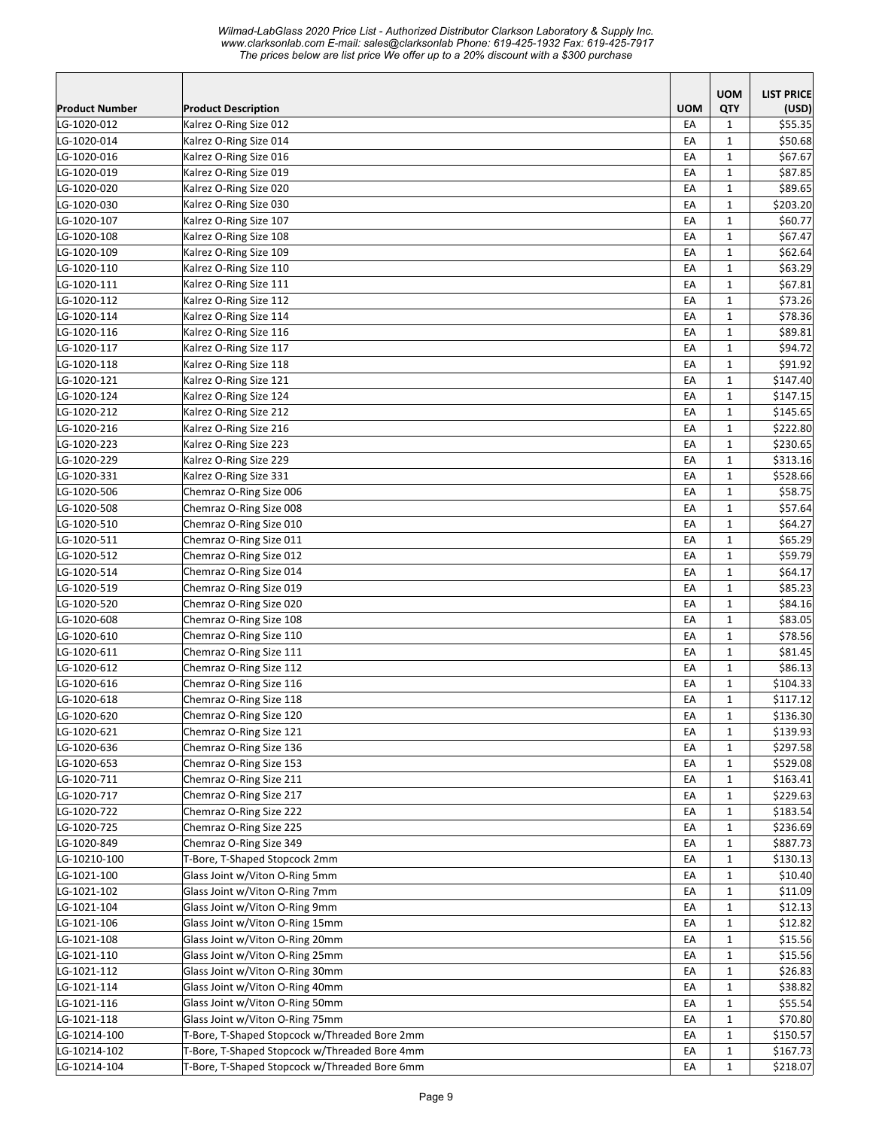*Wilmad-LabGlass 2020 Price List - Authorized Distributor Clarkson Laboratory & Supply Inc. www.clarksonlab.com E-mail: sales@clarksonlab Phone: 619-425-1932 Fax: 619-425-7917 The prices below are list price We offer up to a 20% discount with a \$300 purchase* 

|                       |                                                    |            | <b>UOM</b>   | <b>LIST PRICE</b> |
|-----------------------|----------------------------------------------------|------------|--------------|-------------------|
| <b>Product Number</b> | <b>Product Description</b>                         | <b>UOM</b> | QTY          | (USD)             |
| LG-1020-012           | Kalrez O-Ring Size 012                             | EA         | $\mathbf{1}$ | \$55.35           |
| LG-1020-014           | Kalrez O-Ring Size 014                             | EA         | $\mathbf{1}$ | \$50.68           |
| LG-1020-016           | Kalrez O-Ring Size 016                             | EA         | $\mathbf{1}$ | \$67.67           |
| LG-1020-019           | Kalrez O-Ring Size 019                             | EA         | 1            | \$87.85           |
| LG-1020-020           | Kalrez O-Ring Size 020                             | EA         | $\mathbf{1}$ | \$89.65           |
| LG-1020-030           | Kalrez O-Ring Size 030                             | EA         | $\mathbf{1}$ | \$203.20          |
| LG-1020-107           | Kalrez O-Ring Size 107                             | EA         | 1            | \$60.77           |
| LG-1020-108           | Kalrez O-Ring Size 108                             | EA         | 1            | \$67.47           |
| LG-1020-109           | Kalrez O-Ring Size 109                             | EA         | $\mathbf{1}$ | \$62.64           |
| LG-1020-110           | Kalrez O-Ring Size 110                             | EA         | $\mathbf{1}$ | \$63.29           |
| LG-1020-111           | Kalrez O-Ring Size 111                             | EA         | $\mathbf{1}$ | \$67.81           |
| LG-1020-112           | Kalrez O-Ring Size 112                             | EA         | 1            | \$73.26           |
| LG-1020-114           | Kalrez O-Ring Size 114                             | EA         | $\mathbf{1}$ | \$78.36           |
| LG-1020-116           | Kalrez O-Ring Size 116                             | EA         | $\mathbf{1}$ | \$89.81           |
| LG-1020-117           | Kalrez O-Ring Size 117                             | EA         | 1            | \$94.72           |
| LG-1020-118           | Kalrez O-Ring Size 118                             | EA         | 1            | \$91.92           |
| LG-1020-121           | Kalrez O-Ring Size 121                             | EA         | $\mathbf{1}$ | \$147.40          |
| LG-1020-124           | Kalrez O-Ring Size 124                             | EA         | $\mathbf{1}$ | \$147.15          |
| LG-1020-212           | Kalrez O-Ring Size 212                             | EA         | 1            | \$145.65          |
| LG-1020-216           | Kalrez O-Ring Size 216                             | EA         | $\mathbf{1}$ | \$222.80          |
| LG-1020-223           | Kalrez O-Ring Size 223                             | EA         | $\mathbf{1}$ | \$230.65          |
| LG-1020-229           | Kalrez O-Ring Size 229                             | EA         | $\mathbf{1}$ | \$313.16          |
| LG-1020-331           | Kalrez O-Ring Size 331                             | EA         | 1            | \$528.66          |
| LG-1020-506           | Chemraz O-Ring Size 006                            | EA         | 1            | \$58.75           |
| LG-1020-508           | Chemraz O-Ring Size 008                            | EA         | $\mathbf{1}$ | \$57.64           |
| LG-1020-510           | Chemraz O-Ring Size 010                            | EA         | $\mathbf{1}$ | \$64.27           |
| LG-1020-511           | Chemraz O-Ring Size 011                            | EA         | 1            | \$65.29           |
| LG-1020-512           | Chemraz O-Ring Size 012                            | EA         | $\mathbf{1}$ | \$59.79           |
| LG-1020-514           | Chemraz O-Ring Size 014                            | EA         | $\mathbf{1}$ | \$64.17           |
| LG-1020-519           | Chemraz O-Ring Size 019                            | EA         | 1            | \$85.23           |
| LG-1020-520           | Chemraz O-Ring Size 020                            | EA         | 1            | \$84.16           |
| LG-1020-608           | Chemraz O-Ring Size 108                            | EA         | $\mathbf{1}$ | \$83.05           |
| LG-1020-610           | Chemraz O-Ring Size 110                            | EA         | $\mathbf{1}$ | \$78.56           |
| LG-1020-611           | Chemraz O-Ring Size 111                            | EA         | $\mathbf{1}$ | \$81.45           |
| LG-1020-612           | Chemraz O-Ring Size 112                            | EA         | $\mathbf{1}$ | \$86.13           |
| LG-1020-616           | Chemraz O-Ring Size 116                            | EA         | $\mathbf{1}$ | \$104.33          |
| LG-1020-618           | Chemraz O-Ring Size 118                            | EA         | $\mathbf{1}$ | \$117.12          |
| LG-1020-620           | Chemraz O-Ring Size 120                            | EA         |              | \$136.30          |
|                       | Chemraz O-Ring Size 121                            |            | $\mathbf{1}$ | \$139.93          |
| LG-1020-621           |                                                    | EA         | $\mathbf{1}$ |                   |
| LG-1020-636           | Chemraz O-Ring Size 136<br>Chemraz O-Ring Size 153 | EA         | $\mathbf{1}$ | \$297.58          |
| LG-1020-653           |                                                    | EA         | 1            | \$529.08          |
| LG-1020-711           | Chemraz O-Ring Size 211                            | EA         | 1            | \$163.41          |
| LG-1020-717           | Chemraz O-Ring Size 217                            | EA         | $\mathbf{1}$ | \$229.63          |
| LG-1020-722           | Chemraz O-Ring Size 222                            | EA         | $\mathbf{1}$ | \$183.54          |
| LG-1020-725           | Chemraz O-Ring Size 225                            | EA         | $\mathbf{1}$ | \$236.69          |
| LG-1020-849           | Chemraz O-Ring Size 349                            | EA         | $\mathbf{1}$ | \$887.73          |
| LG-10210-100          | T-Bore, T-Shaped Stopcock 2mm                      | EA         | $\mathbf{1}$ | \$130.13          |
| LG-1021-100           | Glass Joint w/Viton O-Ring 5mm                     | EA         | $\mathbf{1}$ | \$10.40           |
| LG-1021-102           | Glass Joint w/Viton O-Ring 7mm                     | EA         | $\mathbf{1}$ | \$11.09           |
| LG-1021-104           | Glass Joint w/Viton O-Ring 9mm                     | EA         | $\mathbf{1}$ | \$12.13           |
| LG-1021-106           | Glass Joint w/Viton O-Ring 15mm                    | EA         | $\mathbf{1}$ | \$12.82           |
| LG-1021-108           | Glass Joint w/Viton O-Ring 20mm                    | EA         | $\mathbf{1}$ | \$15.56           |
| LG-1021-110           | Glass Joint w/Viton O-Ring 25mm                    | EA         | $\mathbf{1}$ | \$15.56           |
| LG-1021-112           | Glass Joint w/Viton O-Ring 30mm                    | EA         | $\mathbf{1}$ | \$26.83           |
| LG-1021-114           | Glass Joint w/Viton O-Ring 40mm                    | EA         | $\mathbf{1}$ | \$38.82           |
| LG-1021-116           | Glass Joint w/Viton O-Ring 50mm                    | EА         | $\mathbf{1}$ | \$55.54           |
| LG-1021-118           | Glass Joint w/Viton O-Ring 75mm                    | EA         | 1            | \$70.80           |
| LG-10214-100          | T-Bore, T-Shaped Stopcock w/Threaded Bore 2mm      | EA         | 1            | \$150.57          |
| LG-10214-102          | T-Bore, T-Shaped Stopcock w/Threaded Bore 4mm      | EA         | $\mathbf{1}$ | \$167.73          |
| LG-10214-104          | T-Bore, T-Shaped Stopcock w/Threaded Bore 6mm      | EA         | $\mathbf{1}$ | \$218.07          |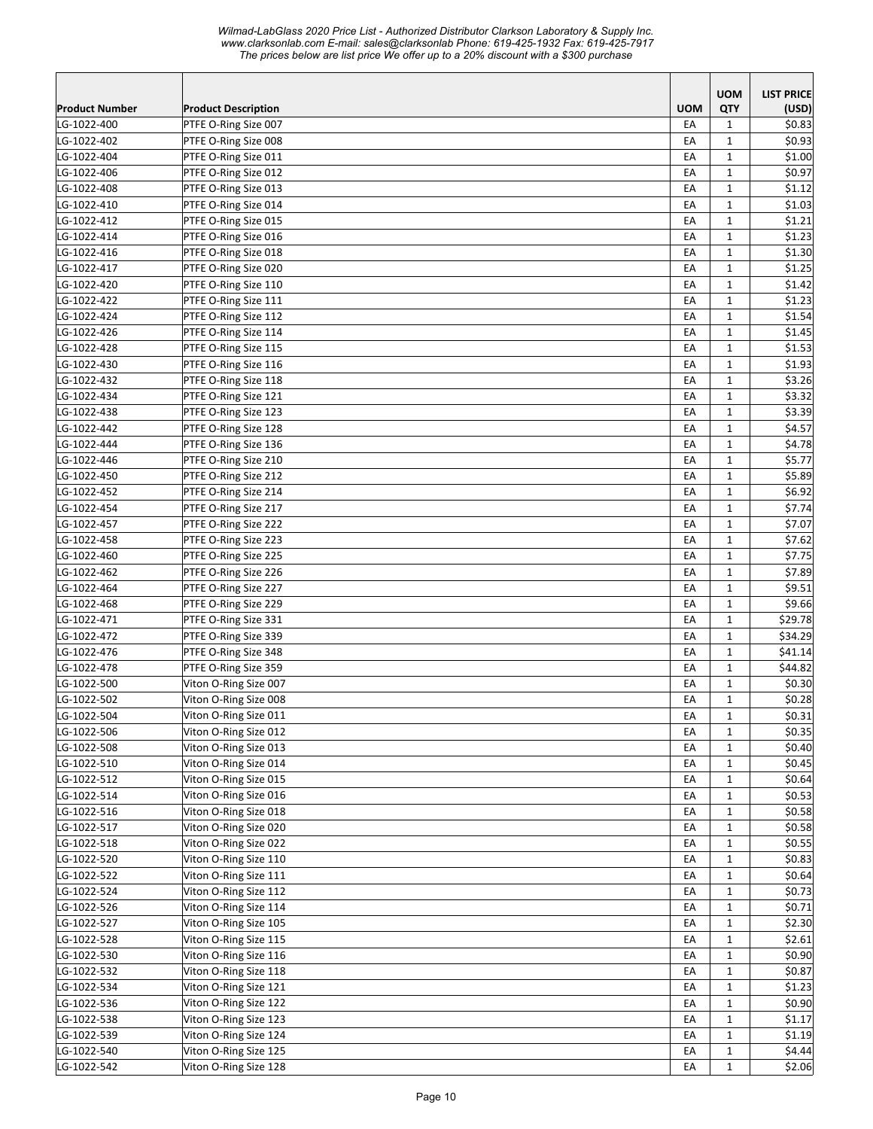*Wilmad-LabGlass 2020 Price List - Authorized Distributor Clarkson Laboratory & Supply Inc. www.clarksonlab.com E-mail: sales@clarksonlab Phone: 619-425-1932 Fax: 619-425-7917 The prices below are list price We offer up to a 20% discount with a \$300 purchase* 

| <b>UOM</b><br><b>LIST PRICE</b><br><b>UOM</b><br>QTY<br>Product Number<br><b>Product Description</b><br>(USD)<br>LG-1022-400<br>EA<br>\$0.83<br>PTFE O-Ring Size 007<br>1<br>LG-1022-402<br>EA<br>\$0.93<br>PTFE O-Ring Size 008<br>1<br>LG-1022-404<br>\$1.00<br>PTFE O-Ring Size 011<br>EA<br>$\mathbf{1}$<br>EA<br>$\mathbf{1}$<br>\$0.97<br>PTFE O-Ring Size 012<br>EA<br>1<br>\$1.12<br>PTFE O-Ring Size 013<br>$\mathbf{1}$<br>\$1.03<br>PTFE O-Ring Size 014<br>EA<br>EA<br>$\mathbf{1}$<br>\$1.21<br>PTFE O-Ring Size 015<br>$\mathbf 1$<br>\$1.23<br>EA<br>PTFE O-Ring Size 016<br>EA<br>$\mathbf{1}$<br>\$1.30<br>PTFE O-Ring Size 018<br>\$1.25<br>PTFE O-Ring Size 020<br>EA<br>$\mathbf{1}$<br>EA<br>$\mathbf{1}$<br>\$1.42<br>PTFE O-Ring Size 110<br>\$1.23<br>EA<br>1<br>PTFE O-Ring Size 111<br>$\mathbf{1}$<br>\$1.54<br>EA<br>PTFE O-Ring Size 112<br>EA<br>$\mathbf{1}$<br>\$1.45<br>PTFE O-Ring Size 114<br>EA<br>$\mathbf{1}$<br>\$1.53<br>PTFE O-Ring Size 115<br>\$1.93<br>EA<br>1<br>PTFE O-Ring Size 116<br>EA<br>\$3.26<br>PTFE O-Ring Size 118<br>1<br>PTFE O-Ring Size 121<br>EA<br>1<br>\$3.32<br>EA<br>1<br>\$3.39<br>PTFE O-Ring Size 123<br>EA<br>1<br>\$4.57<br>PTFE O-Ring Size 128<br>\$4.78<br>PTFE O-Ring Size 136<br>EA<br>$\mathbf{1}$<br>EA<br>$\mathbf{1}$<br>\$5.77<br>PTFE O-Ring Size 210<br>EA<br>$\mathbf 1$<br>\$5.89<br>PTFE O-Ring Size 212<br>EA<br>$\mathbf{1}$<br>\$6.92<br>PTFE O-Ring Size 214<br>\$7.74<br>PTFE O-Ring Size 217<br>EA<br>$\mathbf{1}$<br>$\mathbf{1}$<br>EА<br>\$7.07<br>PTFE O-Ring Size 222<br>\$7.62<br>PTFE O-Ring Size 223<br>EA<br>$\mathbf{1}$<br>EA<br>$\mathbf{1}$<br>\$7.75<br>PTFE O-Ring Size 225<br>EA<br>$\mathbf{1}$<br>\$7.89<br>PTFE O-Ring Size 226<br>EA<br>$\mathbf{1}$<br>\$9.51<br>PTFE O-Ring Size 227<br>\$9.66<br>EA<br>1<br>PTFE O-Ring Size 229<br>\$29.78<br>LG-1022-471<br>EA<br>1<br>PTFE O-Ring Size 331<br>\$34.29<br>LG-1022-472<br>EA<br>$\mathbf{1}$<br>PTFE O-Ring Size 339<br>\$41.14<br>LG-1022-476<br>EА<br>PTFE O-Ring Size 348<br>1<br>LG-1022-478<br>EA<br>\$44.82<br>PTFE O-Ring Size 359<br>1<br>EA<br>$\mathbf{1}$<br>\$0.30<br>LG-1022-500<br>Viton O-Ring Size 007<br>$\mathbf{1}$<br>EA<br>\$0.28<br>LG-1022-502<br>Viton O-Ring Size 008<br>\$0.31<br>LG-1022-504<br>Viton O-Ring Size 011<br>EA<br>$\mathbf 1$<br>\$0.35<br>Viton O-Ring Size 012<br>EA<br>$\mathbf{1}$<br>LG-1022-506<br>LG-1022-508<br>Viton O-Ring Size 013<br>\$0.40<br>EA<br>$\mathbf{1}$<br>Viton O-Ring Size 014<br>LG-1022-510<br>EA<br>$\mathbf{1}$<br>\$0.45<br>Viton O-Ring Size 015<br>LG-1022-512<br>\$0.64<br>EA<br>$\mathbf{1}$<br>Viton O-Ring Size 016<br>\$0.53<br>LG-1022-514<br>EA<br>$\mathbf{1}$<br>Viton O-Ring Size 018<br>EA<br>$\mathbf{1}$<br>\$0.58<br>LG-1022-516<br>LG-1022-517<br>Viton O-Ring Size 020<br>EA<br>$\mathbf{1}$<br>\$0.58<br>$\mathbf{1}$<br>\$0.55<br>LG-1022-518<br>Viton O-Ring Size 022<br>EA<br>LG-1022-520<br>$\mathbf{1}$<br>\$0.83<br>Viton O-Ring Size 110<br>EA<br>LG-1022-522<br>Viton O-Ring Size 111<br>\$0.64<br>EA<br>$\mathbf{1}$<br>\$0.73<br>LG-1022-524<br>Viton O-Ring Size 112<br>EA<br>$\mathbf{1}$<br>LG-1022-526<br>Viton O-Ring Size 114<br>EA<br>$\mathbf{1}$<br>\$0.71<br>$\mathbf{1}$<br>LG-1022-527<br>Viton O-Ring Size 105<br>EA<br>\$2.30<br>$\mathbf{1}$<br>LG-1022-528<br>Viton O-Ring Size 115<br>EA<br>\$2.61<br>\$0.90<br>LG-1022-530<br>Viton O-Ring Size 116<br>EA<br>$\mathbf{1}$<br>LG-1022-532<br>Viton O-Ring Size 118<br>EA<br>$\mathbf{1}$<br>\$0.87<br>LG-1022-534<br>Viton O-Ring Size 121<br>EA<br>$\mathbf{1}$<br>\$1.23<br>$\mathbf{1}$<br>LG-1022-536<br>Viton O-Ring Size 122<br>EA<br>\$0.90<br>Viton O-Ring Size 123<br>\$1.17<br>LG-1022-538<br>EA<br>$\mathbf{1}$<br>Viton O-Ring Size 124<br>EA<br>$\mathbf{1}$<br>\$1.19<br>LG-1022-539<br>Viton O-Ring Size 125<br>$\mathbf{1}$<br>\$4.44<br>LG-1022-540<br>EA<br>Viton O-Ring Size 128<br>$\mathbf{1}$<br>\$2.06<br>EA |             |  |  |
|---------------------------------------------------------------------------------------------------------------------------------------------------------------------------------------------------------------------------------------------------------------------------------------------------------------------------------------------------------------------------------------------------------------------------------------------------------------------------------------------------------------------------------------------------------------------------------------------------------------------------------------------------------------------------------------------------------------------------------------------------------------------------------------------------------------------------------------------------------------------------------------------------------------------------------------------------------------------------------------------------------------------------------------------------------------------------------------------------------------------------------------------------------------------------------------------------------------------------------------------------------------------------------------------------------------------------------------------------------------------------------------------------------------------------------------------------------------------------------------------------------------------------------------------------------------------------------------------------------------------------------------------------------------------------------------------------------------------------------------------------------------------------------------------------------------------------------------------------------------------------------------------------------------------------------------------------------------------------------------------------------------------------------------------------------------------------------------------------------------------------------------------------------------------------------------------------------------------------------------------------------------------------------------------------------------------------------------------------------------------------------------------------------------------------------------------------------------------------------------------------------------------------------------------------------------------------------------------------------------------------------------------------------------------------------------------------------------------------------------------------------------------------------------------------------------------------------------------------------------------------------------------------------------------------------------------------------------------------------------------------------------------------------------------------------------------------------------------------------------------------------------------------------------------------------------------------------------------------------------------------------------------------------------------------------------------------------------------------------------------------------------------------------------------------------------------------------------------------------------------------------------------------------------------------------------------------------------------------------------------------------------------------------------------------------------------------------------------------------------------------------------------------------------------------------------------------------------------------------------------------------------------------------------------------------------------------------------------------|-------------|--|--|
|                                                                                                                                                                                                                                                                                                                                                                                                                                                                                                                                                                                                                                                                                                                                                                                                                                                                                                                                                                                                                                                                                                                                                                                                                                                                                                                                                                                                                                                                                                                                                                                                                                                                                                                                                                                                                                                                                                                                                                                                                                                                                                                                                                                                                                                                                                                                                                                                                                                                                                                                                                                                                                                                                                                                                                                                                                                                                                                                                                                                                                                                                                                                                                                                                                                                                                                                                                                                                                                                                                                                                                                                                                                                                                                                                                                                                                                                                                                                                                           |             |  |  |
|                                                                                                                                                                                                                                                                                                                                                                                                                                                                                                                                                                                                                                                                                                                                                                                                                                                                                                                                                                                                                                                                                                                                                                                                                                                                                                                                                                                                                                                                                                                                                                                                                                                                                                                                                                                                                                                                                                                                                                                                                                                                                                                                                                                                                                                                                                                                                                                                                                                                                                                                                                                                                                                                                                                                                                                                                                                                                                                                                                                                                                                                                                                                                                                                                                                                                                                                                                                                                                                                                                                                                                                                                                                                                                                                                                                                                                                                                                                                                                           |             |  |  |
|                                                                                                                                                                                                                                                                                                                                                                                                                                                                                                                                                                                                                                                                                                                                                                                                                                                                                                                                                                                                                                                                                                                                                                                                                                                                                                                                                                                                                                                                                                                                                                                                                                                                                                                                                                                                                                                                                                                                                                                                                                                                                                                                                                                                                                                                                                                                                                                                                                                                                                                                                                                                                                                                                                                                                                                                                                                                                                                                                                                                                                                                                                                                                                                                                                                                                                                                                                                                                                                                                                                                                                                                                                                                                                                                                                                                                                                                                                                                                                           |             |  |  |
|                                                                                                                                                                                                                                                                                                                                                                                                                                                                                                                                                                                                                                                                                                                                                                                                                                                                                                                                                                                                                                                                                                                                                                                                                                                                                                                                                                                                                                                                                                                                                                                                                                                                                                                                                                                                                                                                                                                                                                                                                                                                                                                                                                                                                                                                                                                                                                                                                                                                                                                                                                                                                                                                                                                                                                                                                                                                                                                                                                                                                                                                                                                                                                                                                                                                                                                                                                                                                                                                                                                                                                                                                                                                                                                                                                                                                                                                                                                                                                           |             |  |  |
|                                                                                                                                                                                                                                                                                                                                                                                                                                                                                                                                                                                                                                                                                                                                                                                                                                                                                                                                                                                                                                                                                                                                                                                                                                                                                                                                                                                                                                                                                                                                                                                                                                                                                                                                                                                                                                                                                                                                                                                                                                                                                                                                                                                                                                                                                                                                                                                                                                                                                                                                                                                                                                                                                                                                                                                                                                                                                                                                                                                                                                                                                                                                                                                                                                                                                                                                                                                                                                                                                                                                                                                                                                                                                                                                                                                                                                                                                                                                                                           | LG-1022-406 |  |  |
|                                                                                                                                                                                                                                                                                                                                                                                                                                                                                                                                                                                                                                                                                                                                                                                                                                                                                                                                                                                                                                                                                                                                                                                                                                                                                                                                                                                                                                                                                                                                                                                                                                                                                                                                                                                                                                                                                                                                                                                                                                                                                                                                                                                                                                                                                                                                                                                                                                                                                                                                                                                                                                                                                                                                                                                                                                                                                                                                                                                                                                                                                                                                                                                                                                                                                                                                                                                                                                                                                                                                                                                                                                                                                                                                                                                                                                                                                                                                                                           | LG-1022-408 |  |  |
|                                                                                                                                                                                                                                                                                                                                                                                                                                                                                                                                                                                                                                                                                                                                                                                                                                                                                                                                                                                                                                                                                                                                                                                                                                                                                                                                                                                                                                                                                                                                                                                                                                                                                                                                                                                                                                                                                                                                                                                                                                                                                                                                                                                                                                                                                                                                                                                                                                                                                                                                                                                                                                                                                                                                                                                                                                                                                                                                                                                                                                                                                                                                                                                                                                                                                                                                                                                                                                                                                                                                                                                                                                                                                                                                                                                                                                                                                                                                                                           | LG-1022-410 |  |  |
|                                                                                                                                                                                                                                                                                                                                                                                                                                                                                                                                                                                                                                                                                                                                                                                                                                                                                                                                                                                                                                                                                                                                                                                                                                                                                                                                                                                                                                                                                                                                                                                                                                                                                                                                                                                                                                                                                                                                                                                                                                                                                                                                                                                                                                                                                                                                                                                                                                                                                                                                                                                                                                                                                                                                                                                                                                                                                                                                                                                                                                                                                                                                                                                                                                                                                                                                                                                                                                                                                                                                                                                                                                                                                                                                                                                                                                                                                                                                                                           | LG-1022-412 |  |  |
|                                                                                                                                                                                                                                                                                                                                                                                                                                                                                                                                                                                                                                                                                                                                                                                                                                                                                                                                                                                                                                                                                                                                                                                                                                                                                                                                                                                                                                                                                                                                                                                                                                                                                                                                                                                                                                                                                                                                                                                                                                                                                                                                                                                                                                                                                                                                                                                                                                                                                                                                                                                                                                                                                                                                                                                                                                                                                                                                                                                                                                                                                                                                                                                                                                                                                                                                                                                                                                                                                                                                                                                                                                                                                                                                                                                                                                                                                                                                                                           | LG-1022-414 |  |  |
|                                                                                                                                                                                                                                                                                                                                                                                                                                                                                                                                                                                                                                                                                                                                                                                                                                                                                                                                                                                                                                                                                                                                                                                                                                                                                                                                                                                                                                                                                                                                                                                                                                                                                                                                                                                                                                                                                                                                                                                                                                                                                                                                                                                                                                                                                                                                                                                                                                                                                                                                                                                                                                                                                                                                                                                                                                                                                                                                                                                                                                                                                                                                                                                                                                                                                                                                                                                                                                                                                                                                                                                                                                                                                                                                                                                                                                                                                                                                                                           | LG-1022-416 |  |  |
|                                                                                                                                                                                                                                                                                                                                                                                                                                                                                                                                                                                                                                                                                                                                                                                                                                                                                                                                                                                                                                                                                                                                                                                                                                                                                                                                                                                                                                                                                                                                                                                                                                                                                                                                                                                                                                                                                                                                                                                                                                                                                                                                                                                                                                                                                                                                                                                                                                                                                                                                                                                                                                                                                                                                                                                                                                                                                                                                                                                                                                                                                                                                                                                                                                                                                                                                                                                                                                                                                                                                                                                                                                                                                                                                                                                                                                                                                                                                                                           | LG-1022-417 |  |  |
|                                                                                                                                                                                                                                                                                                                                                                                                                                                                                                                                                                                                                                                                                                                                                                                                                                                                                                                                                                                                                                                                                                                                                                                                                                                                                                                                                                                                                                                                                                                                                                                                                                                                                                                                                                                                                                                                                                                                                                                                                                                                                                                                                                                                                                                                                                                                                                                                                                                                                                                                                                                                                                                                                                                                                                                                                                                                                                                                                                                                                                                                                                                                                                                                                                                                                                                                                                                                                                                                                                                                                                                                                                                                                                                                                                                                                                                                                                                                                                           | LG-1022-420 |  |  |
|                                                                                                                                                                                                                                                                                                                                                                                                                                                                                                                                                                                                                                                                                                                                                                                                                                                                                                                                                                                                                                                                                                                                                                                                                                                                                                                                                                                                                                                                                                                                                                                                                                                                                                                                                                                                                                                                                                                                                                                                                                                                                                                                                                                                                                                                                                                                                                                                                                                                                                                                                                                                                                                                                                                                                                                                                                                                                                                                                                                                                                                                                                                                                                                                                                                                                                                                                                                                                                                                                                                                                                                                                                                                                                                                                                                                                                                                                                                                                                           | LG-1022-422 |  |  |
|                                                                                                                                                                                                                                                                                                                                                                                                                                                                                                                                                                                                                                                                                                                                                                                                                                                                                                                                                                                                                                                                                                                                                                                                                                                                                                                                                                                                                                                                                                                                                                                                                                                                                                                                                                                                                                                                                                                                                                                                                                                                                                                                                                                                                                                                                                                                                                                                                                                                                                                                                                                                                                                                                                                                                                                                                                                                                                                                                                                                                                                                                                                                                                                                                                                                                                                                                                                                                                                                                                                                                                                                                                                                                                                                                                                                                                                                                                                                                                           | LG-1022-424 |  |  |
|                                                                                                                                                                                                                                                                                                                                                                                                                                                                                                                                                                                                                                                                                                                                                                                                                                                                                                                                                                                                                                                                                                                                                                                                                                                                                                                                                                                                                                                                                                                                                                                                                                                                                                                                                                                                                                                                                                                                                                                                                                                                                                                                                                                                                                                                                                                                                                                                                                                                                                                                                                                                                                                                                                                                                                                                                                                                                                                                                                                                                                                                                                                                                                                                                                                                                                                                                                                                                                                                                                                                                                                                                                                                                                                                                                                                                                                                                                                                                                           | LG-1022-426 |  |  |
|                                                                                                                                                                                                                                                                                                                                                                                                                                                                                                                                                                                                                                                                                                                                                                                                                                                                                                                                                                                                                                                                                                                                                                                                                                                                                                                                                                                                                                                                                                                                                                                                                                                                                                                                                                                                                                                                                                                                                                                                                                                                                                                                                                                                                                                                                                                                                                                                                                                                                                                                                                                                                                                                                                                                                                                                                                                                                                                                                                                                                                                                                                                                                                                                                                                                                                                                                                                                                                                                                                                                                                                                                                                                                                                                                                                                                                                                                                                                                                           | LG-1022-428 |  |  |
|                                                                                                                                                                                                                                                                                                                                                                                                                                                                                                                                                                                                                                                                                                                                                                                                                                                                                                                                                                                                                                                                                                                                                                                                                                                                                                                                                                                                                                                                                                                                                                                                                                                                                                                                                                                                                                                                                                                                                                                                                                                                                                                                                                                                                                                                                                                                                                                                                                                                                                                                                                                                                                                                                                                                                                                                                                                                                                                                                                                                                                                                                                                                                                                                                                                                                                                                                                                                                                                                                                                                                                                                                                                                                                                                                                                                                                                                                                                                                                           | LG-1022-430 |  |  |
|                                                                                                                                                                                                                                                                                                                                                                                                                                                                                                                                                                                                                                                                                                                                                                                                                                                                                                                                                                                                                                                                                                                                                                                                                                                                                                                                                                                                                                                                                                                                                                                                                                                                                                                                                                                                                                                                                                                                                                                                                                                                                                                                                                                                                                                                                                                                                                                                                                                                                                                                                                                                                                                                                                                                                                                                                                                                                                                                                                                                                                                                                                                                                                                                                                                                                                                                                                                                                                                                                                                                                                                                                                                                                                                                                                                                                                                                                                                                                                           | LG-1022-432 |  |  |
|                                                                                                                                                                                                                                                                                                                                                                                                                                                                                                                                                                                                                                                                                                                                                                                                                                                                                                                                                                                                                                                                                                                                                                                                                                                                                                                                                                                                                                                                                                                                                                                                                                                                                                                                                                                                                                                                                                                                                                                                                                                                                                                                                                                                                                                                                                                                                                                                                                                                                                                                                                                                                                                                                                                                                                                                                                                                                                                                                                                                                                                                                                                                                                                                                                                                                                                                                                                                                                                                                                                                                                                                                                                                                                                                                                                                                                                                                                                                                                           | LG-1022-434 |  |  |
|                                                                                                                                                                                                                                                                                                                                                                                                                                                                                                                                                                                                                                                                                                                                                                                                                                                                                                                                                                                                                                                                                                                                                                                                                                                                                                                                                                                                                                                                                                                                                                                                                                                                                                                                                                                                                                                                                                                                                                                                                                                                                                                                                                                                                                                                                                                                                                                                                                                                                                                                                                                                                                                                                                                                                                                                                                                                                                                                                                                                                                                                                                                                                                                                                                                                                                                                                                                                                                                                                                                                                                                                                                                                                                                                                                                                                                                                                                                                                                           | LG-1022-438 |  |  |
|                                                                                                                                                                                                                                                                                                                                                                                                                                                                                                                                                                                                                                                                                                                                                                                                                                                                                                                                                                                                                                                                                                                                                                                                                                                                                                                                                                                                                                                                                                                                                                                                                                                                                                                                                                                                                                                                                                                                                                                                                                                                                                                                                                                                                                                                                                                                                                                                                                                                                                                                                                                                                                                                                                                                                                                                                                                                                                                                                                                                                                                                                                                                                                                                                                                                                                                                                                                                                                                                                                                                                                                                                                                                                                                                                                                                                                                                                                                                                                           | LG-1022-442 |  |  |
|                                                                                                                                                                                                                                                                                                                                                                                                                                                                                                                                                                                                                                                                                                                                                                                                                                                                                                                                                                                                                                                                                                                                                                                                                                                                                                                                                                                                                                                                                                                                                                                                                                                                                                                                                                                                                                                                                                                                                                                                                                                                                                                                                                                                                                                                                                                                                                                                                                                                                                                                                                                                                                                                                                                                                                                                                                                                                                                                                                                                                                                                                                                                                                                                                                                                                                                                                                                                                                                                                                                                                                                                                                                                                                                                                                                                                                                                                                                                                                           | LG-1022-444 |  |  |
|                                                                                                                                                                                                                                                                                                                                                                                                                                                                                                                                                                                                                                                                                                                                                                                                                                                                                                                                                                                                                                                                                                                                                                                                                                                                                                                                                                                                                                                                                                                                                                                                                                                                                                                                                                                                                                                                                                                                                                                                                                                                                                                                                                                                                                                                                                                                                                                                                                                                                                                                                                                                                                                                                                                                                                                                                                                                                                                                                                                                                                                                                                                                                                                                                                                                                                                                                                                                                                                                                                                                                                                                                                                                                                                                                                                                                                                                                                                                                                           | LG-1022-446 |  |  |
|                                                                                                                                                                                                                                                                                                                                                                                                                                                                                                                                                                                                                                                                                                                                                                                                                                                                                                                                                                                                                                                                                                                                                                                                                                                                                                                                                                                                                                                                                                                                                                                                                                                                                                                                                                                                                                                                                                                                                                                                                                                                                                                                                                                                                                                                                                                                                                                                                                                                                                                                                                                                                                                                                                                                                                                                                                                                                                                                                                                                                                                                                                                                                                                                                                                                                                                                                                                                                                                                                                                                                                                                                                                                                                                                                                                                                                                                                                                                                                           | LG-1022-450 |  |  |
|                                                                                                                                                                                                                                                                                                                                                                                                                                                                                                                                                                                                                                                                                                                                                                                                                                                                                                                                                                                                                                                                                                                                                                                                                                                                                                                                                                                                                                                                                                                                                                                                                                                                                                                                                                                                                                                                                                                                                                                                                                                                                                                                                                                                                                                                                                                                                                                                                                                                                                                                                                                                                                                                                                                                                                                                                                                                                                                                                                                                                                                                                                                                                                                                                                                                                                                                                                                                                                                                                                                                                                                                                                                                                                                                                                                                                                                                                                                                                                           | LG-1022-452 |  |  |
|                                                                                                                                                                                                                                                                                                                                                                                                                                                                                                                                                                                                                                                                                                                                                                                                                                                                                                                                                                                                                                                                                                                                                                                                                                                                                                                                                                                                                                                                                                                                                                                                                                                                                                                                                                                                                                                                                                                                                                                                                                                                                                                                                                                                                                                                                                                                                                                                                                                                                                                                                                                                                                                                                                                                                                                                                                                                                                                                                                                                                                                                                                                                                                                                                                                                                                                                                                                                                                                                                                                                                                                                                                                                                                                                                                                                                                                                                                                                                                           | LG-1022-454 |  |  |
|                                                                                                                                                                                                                                                                                                                                                                                                                                                                                                                                                                                                                                                                                                                                                                                                                                                                                                                                                                                                                                                                                                                                                                                                                                                                                                                                                                                                                                                                                                                                                                                                                                                                                                                                                                                                                                                                                                                                                                                                                                                                                                                                                                                                                                                                                                                                                                                                                                                                                                                                                                                                                                                                                                                                                                                                                                                                                                                                                                                                                                                                                                                                                                                                                                                                                                                                                                                                                                                                                                                                                                                                                                                                                                                                                                                                                                                                                                                                                                           | LG-1022-457 |  |  |
|                                                                                                                                                                                                                                                                                                                                                                                                                                                                                                                                                                                                                                                                                                                                                                                                                                                                                                                                                                                                                                                                                                                                                                                                                                                                                                                                                                                                                                                                                                                                                                                                                                                                                                                                                                                                                                                                                                                                                                                                                                                                                                                                                                                                                                                                                                                                                                                                                                                                                                                                                                                                                                                                                                                                                                                                                                                                                                                                                                                                                                                                                                                                                                                                                                                                                                                                                                                                                                                                                                                                                                                                                                                                                                                                                                                                                                                                                                                                                                           | LG-1022-458 |  |  |
|                                                                                                                                                                                                                                                                                                                                                                                                                                                                                                                                                                                                                                                                                                                                                                                                                                                                                                                                                                                                                                                                                                                                                                                                                                                                                                                                                                                                                                                                                                                                                                                                                                                                                                                                                                                                                                                                                                                                                                                                                                                                                                                                                                                                                                                                                                                                                                                                                                                                                                                                                                                                                                                                                                                                                                                                                                                                                                                                                                                                                                                                                                                                                                                                                                                                                                                                                                                                                                                                                                                                                                                                                                                                                                                                                                                                                                                                                                                                                                           | LG-1022-460 |  |  |
|                                                                                                                                                                                                                                                                                                                                                                                                                                                                                                                                                                                                                                                                                                                                                                                                                                                                                                                                                                                                                                                                                                                                                                                                                                                                                                                                                                                                                                                                                                                                                                                                                                                                                                                                                                                                                                                                                                                                                                                                                                                                                                                                                                                                                                                                                                                                                                                                                                                                                                                                                                                                                                                                                                                                                                                                                                                                                                                                                                                                                                                                                                                                                                                                                                                                                                                                                                                                                                                                                                                                                                                                                                                                                                                                                                                                                                                                                                                                                                           | LG-1022-462 |  |  |
|                                                                                                                                                                                                                                                                                                                                                                                                                                                                                                                                                                                                                                                                                                                                                                                                                                                                                                                                                                                                                                                                                                                                                                                                                                                                                                                                                                                                                                                                                                                                                                                                                                                                                                                                                                                                                                                                                                                                                                                                                                                                                                                                                                                                                                                                                                                                                                                                                                                                                                                                                                                                                                                                                                                                                                                                                                                                                                                                                                                                                                                                                                                                                                                                                                                                                                                                                                                                                                                                                                                                                                                                                                                                                                                                                                                                                                                                                                                                                                           | LG-1022-464 |  |  |
|                                                                                                                                                                                                                                                                                                                                                                                                                                                                                                                                                                                                                                                                                                                                                                                                                                                                                                                                                                                                                                                                                                                                                                                                                                                                                                                                                                                                                                                                                                                                                                                                                                                                                                                                                                                                                                                                                                                                                                                                                                                                                                                                                                                                                                                                                                                                                                                                                                                                                                                                                                                                                                                                                                                                                                                                                                                                                                                                                                                                                                                                                                                                                                                                                                                                                                                                                                                                                                                                                                                                                                                                                                                                                                                                                                                                                                                                                                                                                                           | LG-1022-468 |  |  |
|                                                                                                                                                                                                                                                                                                                                                                                                                                                                                                                                                                                                                                                                                                                                                                                                                                                                                                                                                                                                                                                                                                                                                                                                                                                                                                                                                                                                                                                                                                                                                                                                                                                                                                                                                                                                                                                                                                                                                                                                                                                                                                                                                                                                                                                                                                                                                                                                                                                                                                                                                                                                                                                                                                                                                                                                                                                                                                                                                                                                                                                                                                                                                                                                                                                                                                                                                                                                                                                                                                                                                                                                                                                                                                                                                                                                                                                                                                                                                                           |             |  |  |
|                                                                                                                                                                                                                                                                                                                                                                                                                                                                                                                                                                                                                                                                                                                                                                                                                                                                                                                                                                                                                                                                                                                                                                                                                                                                                                                                                                                                                                                                                                                                                                                                                                                                                                                                                                                                                                                                                                                                                                                                                                                                                                                                                                                                                                                                                                                                                                                                                                                                                                                                                                                                                                                                                                                                                                                                                                                                                                                                                                                                                                                                                                                                                                                                                                                                                                                                                                                                                                                                                                                                                                                                                                                                                                                                                                                                                                                                                                                                                                           |             |  |  |
|                                                                                                                                                                                                                                                                                                                                                                                                                                                                                                                                                                                                                                                                                                                                                                                                                                                                                                                                                                                                                                                                                                                                                                                                                                                                                                                                                                                                                                                                                                                                                                                                                                                                                                                                                                                                                                                                                                                                                                                                                                                                                                                                                                                                                                                                                                                                                                                                                                                                                                                                                                                                                                                                                                                                                                                                                                                                                                                                                                                                                                                                                                                                                                                                                                                                                                                                                                                                                                                                                                                                                                                                                                                                                                                                                                                                                                                                                                                                                                           |             |  |  |
|                                                                                                                                                                                                                                                                                                                                                                                                                                                                                                                                                                                                                                                                                                                                                                                                                                                                                                                                                                                                                                                                                                                                                                                                                                                                                                                                                                                                                                                                                                                                                                                                                                                                                                                                                                                                                                                                                                                                                                                                                                                                                                                                                                                                                                                                                                                                                                                                                                                                                                                                                                                                                                                                                                                                                                                                                                                                                                                                                                                                                                                                                                                                                                                                                                                                                                                                                                                                                                                                                                                                                                                                                                                                                                                                                                                                                                                                                                                                                                           |             |  |  |
|                                                                                                                                                                                                                                                                                                                                                                                                                                                                                                                                                                                                                                                                                                                                                                                                                                                                                                                                                                                                                                                                                                                                                                                                                                                                                                                                                                                                                                                                                                                                                                                                                                                                                                                                                                                                                                                                                                                                                                                                                                                                                                                                                                                                                                                                                                                                                                                                                                                                                                                                                                                                                                                                                                                                                                                                                                                                                                                                                                                                                                                                                                                                                                                                                                                                                                                                                                                                                                                                                                                                                                                                                                                                                                                                                                                                                                                                                                                                                                           |             |  |  |
|                                                                                                                                                                                                                                                                                                                                                                                                                                                                                                                                                                                                                                                                                                                                                                                                                                                                                                                                                                                                                                                                                                                                                                                                                                                                                                                                                                                                                                                                                                                                                                                                                                                                                                                                                                                                                                                                                                                                                                                                                                                                                                                                                                                                                                                                                                                                                                                                                                                                                                                                                                                                                                                                                                                                                                                                                                                                                                                                                                                                                                                                                                                                                                                                                                                                                                                                                                                                                                                                                                                                                                                                                                                                                                                                                                                                                                                                                                                                                                           |             |  |  |
|                                                                                                                                                                                                                                                                                                                                                                                                                                                                                                                                                                                                                                                                                                                                                                                                                                                                                                                                                                                                                                                                                                                                                                                                                                                                                                                                                                                                                                                                                                                                                                                                                                                                                                                                                                                                                                                                                                                                                                                                                                                                                                                                                                                                                                                                                                                                                                                                                                                                                                                                                                                                                                                                                                                                                                                                                                                                                                                                                                                                                                                                                                                                                                                                                                                                                                                                                                                                                                                                                                                                                                                                                                                                                                                                                                                                                                                                                                                                                                           |             |  |  |
|                                                                                                                                                                                                                                                                                                                                                                                                                                                                                                                                                                                                                                                                                                                                                                                                                                                                                                                                                                                                                                                                                                                                                                                                                                                                                                                                                                                                                                                                                                                                                                                                                                                                                                                                                                                                                                                                                                                                                                                                                                                                                                                                                                                                                                                                                                                                                                                                                                                                                                                                                                                                                                                                                                                                                                                                                                                                                                                                                                                                                                                                                                                                                                                                                                                                                                                                                                                                                                                                                                                                                                                                                                                                                                                                                                                                                                                                                                                                                                           |             |  |  |
|                                                                                                                                                                                                                                                                                                                                                                                                                                                                                                                                                                                                                                                                                                                                                                                                                                                                                                                                                                                                                                                                                                                                                                                                                                                                                                                                                                                                                                                                                                                                                                                                                                                                                                                                                                                                                                                                                                                                                                                                                                                                                                                                                                                                                                                                                                                                                                                                                                                                                                                                                                                                                                                                                                                                                                                                                                                                                                                                                                                                                                                                                                                                                                                                                                                                                                                                                                                                                                                                                                                                                                                                                                                                                                                                                                                                                                                                                                                                                                           |             |  |  |
|                                                                                                                                                                                                                                                                                                                                                                                                                                                                                                                                                                                                                                                                                                                                                                                                                                                                                                                                                                                                                                                                                                                                                                                                                                                                                                                                                                                                                                                                                                                                                                                                                                                                                                                                                                                                                                                                                                                                                                                                                                                                                                                                                                                                                                                                                                                                                                                                                                                                                                                                                                                                                                                                                                                                                                                                                                                                                                                                                                                                                                                                                                                                                                                                                                                                                                                                                                                                                                                                                                                                                                                                                                                                                                                                                                                                                                                                                                                                                                           |             |  |  |
|                                                                                                                                                                                                                                                                                                                                                                                                                                                                                                                                                                                                                                                                                                                                                                                                                                                                                                                                                                                                                                                                                                                                                                                                                                                                                                                                                                                                                                                                                                                                                                                                                                                                                                                                                                                                                                                                                                                                                                                                                                                                                                                                                                                                                                                                                                                                                                                                                                                                                                                                                                                                                                                                                                                                                                                                                                                                                                                                                                                                                                                                                                                                                                                                                                                                                                                                                                                                                                                                                                                                                                                                                                                                                                                                                                                                                                                                                                                                                                           |             |  |  |
|                                                                                                                                                                                                                                                                                                                                                                                                                                                                                                                                                                                                                                                                                                                                                                                                                                                                                                                                                                                                                                                                                                                                                                                                                                                                                                                                                                                                                                                                                                                                                                                                                                                                                                                                                                                                                                                                                                                                                                                                                                                                                                                                                                                                                                                                                                                                                                                                                                                                                                                                                                                                                                                                                                                                                                                                                                                                                                                                                                                                                                                                                                                                                                                                                                                                                                                                                                                                                                                                                                                                                                                                                                                                                                                                                                                                                                                                                                                                                                           |             |  |  |
|                                                                                                                                                                                                                                                                                                                                                                                                                                                                                                                                                                                                                                                                                                                                                                                                                                                                                                                                                                                                                                                                                                                                                                                                                                                                                                                                                                                                                                                                                                                                                                                                                                                                                                                                                                                                                                                                                                                                                                                                                                                                                                                                                                                                                                                                                                                                                                                                                                                                                                                                                                                                                                                                                                                                                                                                                                                                                                                                                                                                                                                                                                                                                                                                                                                                                                                                                                                                                                                                                                                                                                                                                                                                                                                                                                                                                                                                                                                                                                           |             |  |  |
|                                                                                                                                                                                                                                                                                                                                                                                                                                                                                                                                                                                                                                                                                                                                                                                                                                                                                                                                                                                                                                                                                                                                                                                                                                                                                                                                                                                                                                                                                                                                                                                                                                                                                                                                                                                                                                                                                                                                                                                                                                                                                                                                                                                                                                                                                                                                                                                                                                                                                                                                                                                                                                                                                                                                                                                                                                                                                                                                                                                                                                                                                                                                                                                                                                                                                                                                                                                                                                                                                                                                                                                                                                                                                                                                                                                                                                                                                                                                                                           |             |  |  |
|                                                                                                                                                                                                                                                                                                                                                                                                                                                                                                                                                                                                                                                                                                                                                                                                                                                                                                                                                                                                                                                                                                                                                                                                                                                                                                                                                                                                                                                                                                                                                                                                                                                                                                                                                                                                                                                                                                                                                                                                                                                                                                                                                                                                                                                                                                                                                                                                                                                                                                                                                                                                                                                                                                                                                                                                                                                                                                                                                                                                                                                                                                                                                                                                                                                                                                                                                                                                                                                                                                                                                                                                                                                                                                                                                                                                                                                                                                                                                                           |             |  |  |
|                                                                                                                                                                                                                                                                                                                                                                                                                                                                                                                                                                                                                                                                                                                                                                                                                                                                                                                                                                                                                                                                                                                                                                                                                                                                                                                                                                                                                                                                                                                                                                                                                                                                                                                                                                                                                                                                                                                                                                                                                                                                                                                                                                                                                                                                                                                                                                                                                                                                                                                                                                                                                                                                                                                                                                                                                                                                                                                                                                                                                                                                                                                                                                                                                                                                                                                                                                                                                                                                                                                                                                                                                                                                                                                                                                                                                                                                                                                                                                           |             |  |  |
|                                                                                                                                                                                                                                                                                                                                                                                                                                                                                                                                                                                                                                                                                                                                                                                                                                                                                                                                                                                                                                                                                                                                                                                                                                                                                                                                                                                                                                                                                                                                                                                                                                                                                                                                                                                                                                                                                                                                                                                                                                                                                                                                                                                                                                                                                                                                                                                                                                                                                                                                                                                                                                                                                                                                                                                                                                                                                                                                                                                                                                                                                                                                                                                                                                                                                                                                                                                                                                                                                                                                                                                                                                                                                                                                                                                                                                                                                                                                                                           |             |  |  |
|                                                                                                                                                                                                                                                                                                                                                                                                                                                                                                                                                                                                                                                                                                                                                                                                                                                                                                                                                                                                                                                                                                                                                                                                                                                                                                                                                                                                                                                                                                                                                                                                                                                                                                                                                                                                                                                                                                                                                                                                                                                                                                                                                                                                                                                                                                                                                                                                                                                                                                                                                                                                                                                                                                                                                                                                                                                                                                                                                                                                                                                                                                                                                                                                                                                                                                                                                                                                                                                                                                                                                                                                                                                                                                                                                                                                                                                                                                                                                                           |             |  |  |
|                                                                                                                                                                                                                                                                                                                                                                                                                                                                                                                                                                                                                                                                                                                                                                                                                                                                                                                                                                                                                                                                                                                                                                                                                                                                                                                                                                                                                                                                                                                                                                                                                                                                                                                                                                                                                                                                                                                                                                                                                                                                                                                                                                                                                                                                                                                                                                                                                                                                                                                                                                                                                                                                                                                                                                                                                                                                                                                                                                                                                                                                                                                                                                                                                                                                                                                                                                                                                                                                                                                                                                                                                                                                                                                                                                                                                                                                                                                                                                           |             |  |  |
|                                                                                                                                                                                                                                                                                                                                                                                                                                                                                                                                                                                                                                                                                                                                                                                                                                                                                                                                                                                                                                                                                                                                                                                                                                                                                                                                                                                                                                                                                                                                                                                                                                                                                                                                                                                                                                                                                                                                                                                                                                                                                                                                                                                                                                                                                                                                                                                                                                                                                                                                                                                                                                                                                                                                                                                                                                                                                                                                                                                                                                                                                                                                                                                                                                                                                                                                                                                                                                                                                                                                                                                                                                                                                                                                                                                                                                                                                                                                                                           |             |  |  |
|                                                                                                                                                                                                                                                                                                                                                                                                                                                                                                                                                                                                                                                                                                                                                                                                                                                                                                                                                                                                                                                                                                                                                                                                                                                                                                                                                                                                                                                                                                                                                                                                                                                                                                                                                                                                                                                                                                                                                                                                                                                                                                                                                                                                                                                                                                                                                                                                                                                                                                                                                                                                                                                                                                                                                                                                                                                                                                                                                                                                                                                                                                                                                                                                                                                                                                                                                                                                                                                                                                                                                                                                                                                                                                                                                                                                                                                                                                                                                                           |             |  |  |
|                                                                                                                                                                                                                                                                                                                                                                                                                                                                                                                                                                                                                                                                                                                                                                                                                                                                                                                                                                                                                                                                                                                                                                                                                                                                                                                                                                                                                                                                                                                                                                                                                                                                                                                                                                                                                                                                                                                                                                                                                                                                                                                                                                                                                                                                                                                                                                                                                                                                                                                                                                                                                                                                                                                                                                                                                                                                                                                                                                                                                                                                                                                                                                                                                                                                                                                                                                                                                                                                                                                                                                                                                                                                                                                                                                                                                                                                                                                                                                           |             |  |  |
|                                                                                                                                                                                                                                                                                                                                                                                                                                                                                                                                                                                                                                                                                                                                                                                                                                                                                                                                                                                                                                                                                                                                                                                                                                                                                                                                                                                                                                                                                                                                                                                                                                                                                                                                                                                                                                                                                                                                                                                                                                                                                                                                                                                                                                                                                                                                                                                                                                                                                                                                                                                                                                                                                                                                                                                                                                                                                                                                                                                                                                                                                                                                                                                                                                                                                                                                                                                                                                                                                                                                                                                                                                                                                                                                                                                                                                                                                                                                                                           |             |  |  |
|                                                                                                                                                                                                                                                                                                                                                                                                                                                                                                                                                                                                                                                                                                                                                                                                                                                                                                                                                                                                                                                                                                                                                                                                                                                                                                                                                                                                                                                                                                                                                                                                                                                                                                                                                                                                                                                                                                                                                                                                                                                                                                                                                                                                                                                                                                                                                                                                                                                                                                                                                                                                                                                                                                                                                                                                                                                                                                                                                                                                                                                                                                                                                                                                                                                                                                                                                                                                                                                                                                                                                                                                                                                                                                                                                                                                                                                                                                                                                                           |             |  |  |
|                                                                                                                                                                                                                                                                                                                                                                                                                                                                                                                                                                                                                                                                                                                                                                                                                                                                                                                                                                                                                                                                                                                                                                                                                                                                                                                                                                                                                                                                                                                                                                                                                                                                                                                                                                                                                                                                                                                                                                                                                                                                                                                                                                                                                                                                                                                                                                                                                                                                                                                                                                                                                                                                                                                                                                                                                                                                                                                                                                                                                                                                                                                                                                                                                                                                                                                                                                                                                                                                                                                                                                                                                                                                                                                                                                                                                                                                                                                                                                           |             |  |  |
|                                                                                                                                                                                                                                                                                                                                                                                                                                                                                                                                                                                                                                                                                                                                                                                                                                                                                                                                                                                                                                                                                                                                                                                                                                                                                                                                                                                                                                                                                                                                                                                                                                                                                                                                                                                                                                                                                                                                                                                                                                                                                                                                                                                                                                                                                                                                                                                                                                                                                                                                                                                                                                                                                                                                                                                                                                                                                                                                                                                                                                                                                                                                                                                                                                                                                                                                                                                                                                                                                                                                                                                                                                                                                                                                                                                                                                                                                                                                                                           |             |  |  |
|                                                                                                                                                                                                                                                                                                                                                                                                                                                                                                                                                                                                                                                                                                                                                                                                                                                                                                                                                                                                                                                                                                                                                                                                                                                                                                                                                                                                                                                                                                                                                                                                                                                                                                                                                                                                                                                                                                                                                                                                                                                                                                                                                                                                                                                                                                                                                                                                                                                                                                                                                                                                                                                                                                                                                                                                                                                                                                                                                                                                                                                                                                                                                                                                                                                                                                                                                                                                                                                                                                                                                                                                                                                                                                                                                                                                                                                                                                                                                                           |             |  |  |
|                                                                                                                                                                                                                                                                                                                                                                                                                                                                                                                                                                                                                                                                                                                                                                                                                                                                                                                                                                                                                                                                                                                                                                                                                                                                                                                                                                                                                                                                                                                                                                                                                                                                                                                                                                                                                                                                                                                                                                                                                                                                                                                                                                                                                                                                                                                                                                                                                                                                                                                                                                                                                                                                                                                                                                                                                                                                                                                                                                                                                                                                                                                                                                                                                                                                                                                                                                                                                                                                                                                                                                                                                                                                                                                                                                                                                                                                                                                                                                           | LG-1022-542 |  |  |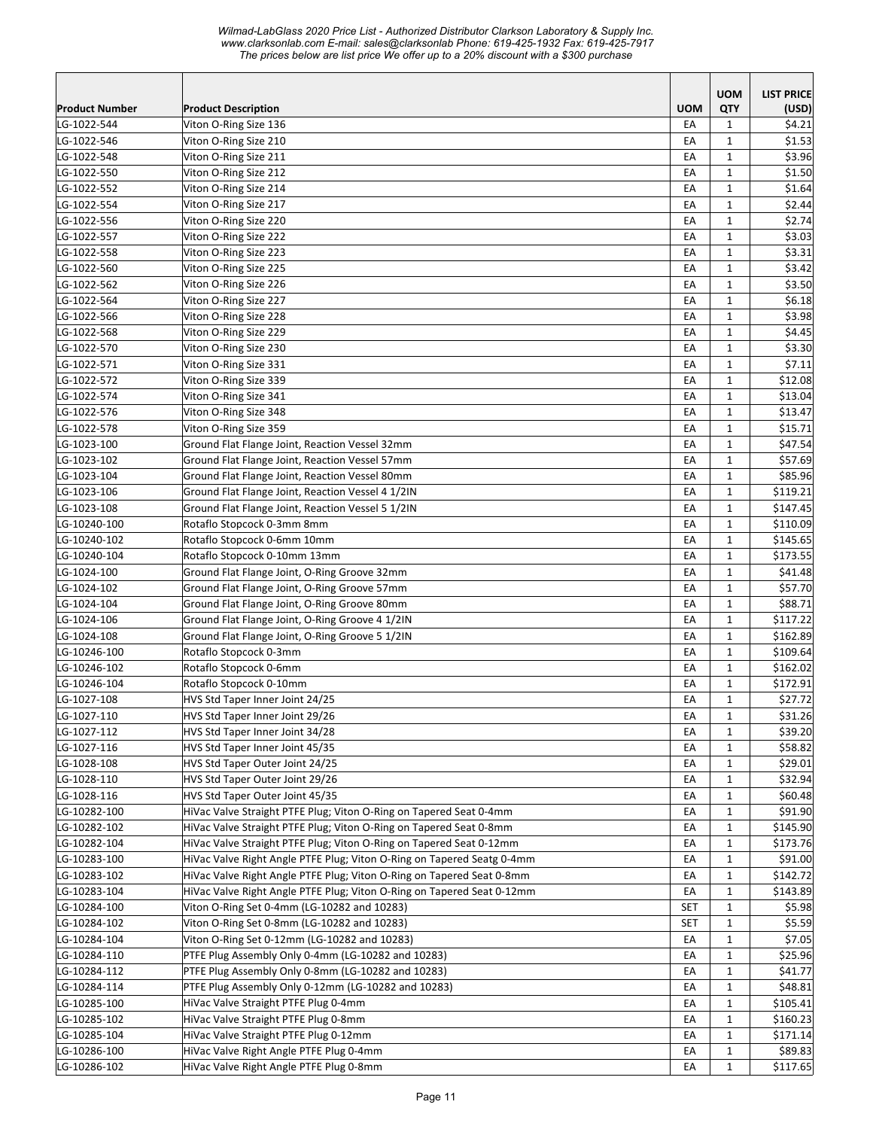*Wilmad-LabGlass 2020 Price List - Authorized Distributor Clarkson Laboratory & Supply Inc. www.clarksonlab.com E-mail: sales@clarksonlab Phone: 619-425-1932 Fax: 619-425-7917 The prices below are list price We offer up to a 20% discount with a \$300 purchase* 

| <b>UOM</b><br><b>QTY</b><br>Product Number<br><b>Product Description</b><br>(USD)<br>LG-1022-544<br>Viton O-Ring Size 136<br>EA<br>$\mathbf{1}$<br>\$4.21<br>Viton O-Ring Size 210<br>\$1.53<br>LG-1022-546<br>$\mathbf{1}$<br>EA<br>Viton O-Ring Size 211<br>\$3.96<br>LG-1022-548<br>EA<br>$\mathbf{1}$<br>LG-1022-550<br>Viton O-Ring Size 212<br>EA<br>$\mathbf{1}$<br>\$1.50<br>$\mathbf{1}$<br>\$1.64<br>Viton O-Ring Size 214<br>EA<br>LG-1022-552<br>$\mathbf{1}$<br>Viton O-Ring Size 217<br>EA<br>\$2.44<br>LG-1022-554<br>$\mathbf{1}$<br>\$2.74<br>LG-1022-556<br>Viton O-Ring Size 220<br>EA<br>LG-1022-557<br>Viton O-Ring Size 222<br>EA<br>$\mathbf{1}$<br>\$3.03<br>Viton O-Ring Size 223<br>\$3.31<br>LG-1022-558<br>EA<br>$\mathbf{1}$<br>Viton O-Ring Size 225<br>EA<br>\$3.42<br>LG-1022-560<br>$\mathbf{1}$<br>LG-1022-562<br>Viton O-Ring Size 226<br>EA<br>$\mathbf{1}$<br>\$3.50<br>EA<br>$\mathbf{1}$<br>\$6.18<br>LG-1022-564<br>Viton O-Ring Size 227<br>\$3.98<br>Viton O-Ring Size 228<br>EA<br>$\mathbf{1}$<br>LG-1022-566<br>EA<br>$\mathbf{1}$<br>\$4.45<br>Viton O-Ring Size 229<br>LG-1022-568<br>LG-1022-570<br>Viton O-Ring Size 230<br>EA<br>$\mathbf{1}$<br>\$3.30<br>\$7.11<br>LG-1022-571<br>EA<br>$\mathbf{1}$<br>Viton O-Ring Size 331<br>Viton O-Ring Size 339<br>\$12.08<br>LG-1022-572<br>EA<br>$\mathbf{1}$<br>\$13.04<br>LG-1022-574<br>Viton O-Ring Size 341<br>EA<br>$\mathbf{1}$<br>\$13.47<br>LG-1022-576<br>Viton O-Ring Size 348<br>EA<br>$\mathbf{1}$<br>$\mathbf{1}$<br>\$15.71<br>Viton O-Ring Size 359<br>EA<br>LG-1022-578<br>$\mathbf 1$<br>EA<br>\$47.54<br>LG-1023-100<br>Ground Flat Flange Joint, Reaction Vessel 32mm<br>$\mathbf{1}$<br>\$57.69<br>LG-1023-102<br>Ground Flat Flange Joint, Reaction Vessel 57mm<br>EA<br>\$85.96<br>LG-1023-104<br>Ground Flat Flange Joint, Reaction Vessel 80mm<br>EA<br>$\mathbf{1}$<br>\$119.21<br>LG-1023-106<br>Ground Flat Flange Joint, Reaction Vessel 4 1/2IN<br>EA<br>$\mathbf{1}$<br>Ground Flat Flange Joint, Reaction Vessel 5 1/2IN<br>\$147.45<br>LG-1023-108<br>EA<br>$\mathbf{1}$<br>LG-10240-100<br>Rotaflo Stopcock 0-3mm 8mm<br>EA<br>\$110.09<br>1<br>Rotaflo Stopcock 0-6mm 10mm<br>LG-10240-102<br>EA<br>$\mathbf{1}$<br>\$145.65<br>\$173.55<br>Rotaflo Stopcock 0-10mm 13mm<br>EA<br>$\mathbf{1}$<br>LG-10240-104<br>EA<br>$\mathbf{1}$<br>\$41.48<br>LG-1024-100<br>Ground Flat Flange Joint, O-Ring Groove 32mm<br>\$57.70<br>LG-1024-102<br>Ground Flat Flange Joint, O-Ring Groove 57mm<br>EA<br>$\mathbf{1}$<br>\$88.71<br>LG-1024-104<br>Ground Flat Flange Joint, O-Ring Groove 80mm<br>EA<br>$\mathbf{1}$<br>Ground Flat Flange Joint, O-Ring Groove 4 1/2IN<br>\$117.22<br>LG-1024-106<br>$\mathbf{1}$<br>EA<br>\$162.89<br>LG-1024-108<br>Ground Flat Flange Joint, O-Ring Groove 5 1/2IN<br>EA<br>$\mathbf{1}$<br>Rotaflo Stopcock 0-3mm<br>LG-10246-100<br>EA<br>$\mathbf{1}$<br>\$109.64<br>Rotaflo Stopcock 0-6mm<br>EA<br>$\mathbf{1}$<br>\$162.02<br>LG-10246-102<br>Rotaflo Stopcock 0-10mm<br>EA<br>$\mathbf{1}$<br>\$172.91<br>LG-10246-104<br>$\mathbf{1}$<br>LG-1027-108<br>EA<br>\$27.72<br>HVS Std Taper Inner Joint 24/25<br>\$31.26<br>EA<br>LG-1027-110<br>HVS Std Taper Inner Joint 29/26<br>$\mathbf 1$<br>\$39.20<br>LG-1027-112<br>HVS Std Taper Inner Joint 34/28<br>EA<br>1<br>LG-1027-116<br>HVS Std Taper Inner Joint 45/35<br>\$58.82<br>EA<br>$\mathbf{1}$<br>LG-1028-108<br>HVS Std Taper Outer Joint 24/25<br>\$29.01<br>EA<br>1<br>LG-1028-110<br>HVS Std Taper Outer Joint 29/26<br>EA<br>\$32.94<br>1<br>LG-1028-116<br>HVS Std Taper Outer Joint 45/35<br>$\mathbf{1}$<br>\$60.48<br>EA<br>$\mathbf{1}$<br>\$91.90<br>LG-10282-100<br>HiVac Valve Straight PTFE Plug; Viton O-Ring on Tapered Seat 0-4mm<br>EA<br>LG-10282-102<br>HiVac Valve Straight PTFE Plug; Viton O-Ring on Tapered Seat 0-8mm<br>$\mathbf{1}$<br>\$145.90<br>EA<br>LG-10282-104<br>HiVac Valve Straight PTFE Plug; Viton O-Ring on Tapered Seat 0-12mm<br>EA<br>$\mathbf{1}$<br>\$173.76<br>LG-10283-100<br>HiVac Valve Right Angle PTFE Plug; Viton O-Ring on Tapered Seatg 0-4mm<br>\$91.00<br>$\mathbf{1}$<br>EA<br>\$142.72<br>LG-10283-102<br>HiVac Valve Right Angle PTFE Plug; Viton O-Ring on Tapered Seat 0-8mm<br>EA<br>$\mathbf{1}$<br>HiVac Valve Right Angle PTFE Plug; Viton O-Ring on Tapered Seat 0-12mm<br>LG-10283-104<br>EA<br>$\mathbf{1}$<br>\$143.89<br>Viton O-Ring Set 0-4mm (LG-10282 and 10283)<br><b>SET</b><br>LG-10284-100<br>1<br>\$5.98<br>LG-10284-102<br>Viton O-Ring Set 0-8mm (LG-10282 and 10283)<br><b>SET</b><br>$\mathbf{1}$<br>\$5.59<br>LG-10284-104<br>Viton O-Ring Set 0-12mm (LG-10282 and 10283)<br>EA<br>$\mathbf{1}$<br>\$7.05<br>LG-10284-110<br>PTFE Plug Assembly Only 0-4mm (LG-10282 and 10283)<br>EA<br>$\mathbf{1}$<br>\$25.96<br>PTFE Plug Assembly Only 0-8mm (LG-10282 and 10283)<br>\$41.77<br>$\mathbf{1}$<br>EA<br>PTFE Plug Assembly Only 0-12mm (LG-10282 and 10283)<br>EA<br>$\mathbf{1}$<br>\$48.81<br>LG-10285-100<br>HiVac Valve Straight PTFE Plug 0-4mm<br>\$105.41<br>EА<br>1<br>HiVac Valve Straight PTFE Plug 0-8mm<br>LG-10285-102<br>\$160.23<br>EA<br>1<br>HiVac Valve Straight PTFE Plug 0-12mm<br>LG-10285-104<br>1<br>\$171.14<br>EA<br>HiVac Valve Right Angle PTFE Plug 0-4mm<br>$\mathbf{1}$<br>\$89.83<br>LG-10286-100<br>EA<br>HiVac Valve Right Angle PTFE Plug 0-8mm<br>$\mathbf{1}$<br>\$117.65<br>EA |              |  | <b>UOM</b> | <b>LIST PRICE</b> |
|------------------------------------------------------------------------------------------------------------------------------------------------------------------------------------------------------------------------------------------------------------------------------------------------------------------------------------------------------------------------------------------------------------------------------------------------------------------------------------------------------------------------------------------------------------------------------------------------------------------------------------------------------------------------------------------------------------------------------------------------------------------------------------------------------------------------------------------------------------------------------------------------------------------------------------------------------------------------------------------------------------------------------------------------------------------------------------------------------------------------------------------------------------------------------------------------------------------------------------------------------------------------------------------------------------------------------------------------------------------------------------------------------------------------------------------------------------------------------------------------------------------------------------------------------------------------------------------------------------------------------------------------------------------------------------------------------------------------------------------------------------------------------------------------------------------------------------------------------------------------------------------------------------------------------------------------------------------------------------------------------------------------------------------------------------------------------------------------------------------------------------------------------------------------------------------------------------------------------------------------------------------------------------------------------------------------------------------------------------------------------------------------------------------------------------------------------------------------------------------------------------------------------------------------------------------------------------------------------------------------------------------------------------------------------------------------------------------------------------------------------------------------------------------------------------------------------------------------------------------------------------------------------------------------------------------------------------------------------------------------------------------------------------------------------------------------------------------------------------------------------------------------------------------------------------------------------------------------------------------------------------------------------------------------------------------------------------------------------------------------------------------------------------------------------------------------------------------------------------------------------------------------------------------------------------------------------------------------------------------------------------------------------------------------------------------------------------------------------------------------------------------------------------------------------------------------------------------------------------------------------------------------------------------------------------------------------------------------------------------------------------------------------------------------------------------------------------------------------------------------------------------------------------------------------------------------------------------------------------------------------------------------------------------------------------------------------------------------------------------------------------------------------------------------------------------------------------------------------------------------------------------------------------------------------------------------------------------------------------------------------------------------------------------------------------------------------------------------------------------------------------------------------------------------------------------------------------------------------------------------------------------------------------------------------------------------------------------------------------------------------------------------------------------------------------------------------------------------------------------------------------------------------------------------------------------------------------------------------------------------------------------------------------------------------------------------------------------------------------------------------------------------------------------------------------------|--------------|--|------------|-------------------|
|                                                                                                                                                                                                                                                                                                                                                                                                                                                                                                                                                                                                                                                                                                                                                                                                                                                                                                                                                                                                                                                                                                                                                                                                                                                                                                                                                                                                                                                                                                                                                                                                                                                                                                                                                                                                                                                                                                                                                                                                                                                                                                                                                                                                                                                                                                                                                                                                                                                                                                                                                                                                                                                                                                                                                                                                                                                                                                                                                                                                                                                                                                                                                                                                                                                                                                                                                                                                                                                                                                                                                                                                                                                                                                                                                                                                                                                                                                                                                                                                                                                                                                                                                                                                                                                                                                                                                                                                                                                                                                                                                                                                                                                                                                                                                                                                                                                                                                                                                                                                                                                                                                                                                                                                                                                                                                                                                                                                                                          |              |  |            |                   |
|                                                                                                                                                                                                                                                                                                                                                                                                                                                                                                                                                                                                                                                                                                                                                                                                                                                                                                                                                                                                                                                                                                                                                                                                                                                                                                                                                                                                                                                                                                                                                                                                                                                                                                                                                                                                                                                                                                                                                                                                                                                                                                                                                                                                                                                                                                                                                                                                                                                                                                                                                                                                                                                                                                                                                                                                                                                                                                                                                                                                                                                                                                                                                                                                                                                                                                                                                                                                                                                                                                                                                                                                                                                                                                                                                                                                                                                                                                                                                                                                                                                                                                                                                                                                                                                                                                                                                                                                                                                                                                                                                                                                                                                                                                                                                                                                                                                                                                                                                                                                                                                                                                                                                                                                                                                                                                                                                                                                                                          |              |  |            |                   |
|                                                                                                                                                                                                                                                                                                                                                                                                                                                                                                                                                                                                                                                                                                                                                                                                                                                                                                                                                                                                                                                                                                                                                                                                                                                                                                                                                                                                                                                                                                                                                                                                                                                                                                                                                                                                                                                                                                                                                                                                                                                                                                                                                                                                                                                                                                                                                                                                                                                                                                                                                                                                                                                                                                                                                                                                                                                                                                                                                                                                                                                                                                                                                                                                                                                                                                                                                                                                                                                                                                                                                                                                                                                                                                                                                                                                                                                                                                                                                                                                                                                                                                                                                                                                                                                                                                                                                                                                                                                                                                                                                                                                                                                                                                                                                                                                                                                                                                                                                                                                                                                                                                                                                                                                                                                                                                                                                                                                                                          |              |  |            |                   |
|                                                                                                                                                                                                                                                                                                                                                                                                                                                                                                                                                                                                                                                                                                                                                                                                                                                                                                                                                                                                                                                                                                                                                                                                                                                                                                                                                                                                                                                                                                                                                                                                                                                                                                                                                                                                                                                                                                                                                                                                                                                                                                                                                                                                                                                                                                                                                                                                                                                                                                                                                                                                                                                                                                                                                                                                                                                                                                                                                                                                                                                                                                                                                                                                                                                                                                                                                                                                                                                                                                                                                                                                                                                                                                                                                                                                                                                                                                                                                                                                                                                                                                                                                                                                                                                                                                                                                                                                                                                                                                                                                                                                                                                                                                                                                                                                                                                                                                                                                                                                                                                                                                                                                                                                                                                                                                                                                                                                                                          |              |  |            |                   |
|                                                                                                                                                                                                                                                                                                                                                                                                                                                                                                                                                                                                                                                                                                                                                                                                                                                                                                                                                                                                                                                                                                                                                                                                                                                                                                                                                                                                                                                                                                                                                                                                                                                                                                                                                                                                                                                                                                                                                                                                                                                                                                                                                                                                                                                                                                                                                                                                                                                                                                                                                                                                                                                                                                                                                                                                                                                                                                                                                                                                                                                                                                                                                                                                                                                                                                                                                                                                                                                                                                                                                                                                                                                                                                                                                                                                                                                                                                                                                                                                                                                                                                                                                                                                                                                                                                                                                                                                                                                                                                                                                                                                                                                                                                                                                                                                                                                                                                                                                                                                                                                                                                                                                                                                                                                                                                                                                                                                                                          |              |  |            |                   |
|                                                                                                                                                                                                                                                                                                                                                                                                                                                                                                                                                                                                                                                                                                                                                                                                                                                                                                                                                                                                                                                                                                                                                                                                                                                                                                                                                                                                                                                                                                                                                                                                                                                                                                                                                                                                                                                                                                                                                                                                                                                                                                                                                                                                                                                                                                                                                                                                                                                                                                                                                                                                                                                                                                                                                                                                                                                                                                                                                                                                                                                                                                                                                                                                                                                                                                                                                                                                                                                                                                                                                                                                                                                                                                                                                                                                                                                                                                                                                                                                                                                                                                                                                                                                                                                                                                                                                                                                                                                                                                                                                                                                                                                                                                                                                                                                                                                                                                                                                                                                                                                                                                                                                                                                                                                                                                                                                                                                                                          |              |  |            |                   |
|                                                                                                                                                                                                                                                                                                                                                                                                                                                                                                                                                                                                                                                                                                                                                                                                                                                                                                                                                                                                                                                                                                                                                                                                                                                                                                                                                                                                                                                                                                                                                                                                                                                                                                                                                                                                                                                                                                                                                                                                                                                                                                                                                                                                                                                                                                                                                                                                                                                                                                                                                                                                                                                                                                                                                                                                                                                                                                                                                                                                                                                                                                                                                                                                                                                                                                                                                                                                                                                                                                                                                                                                                                                                                                                                                                                                                                                                                                                                                                                                                                                                                                                                                                                                                                                                                                                                                                                                                                                                                                                                                                                                                                                                                                                                                                                                                                                                                                                                                                                                                                                                                                                                                                                                                                                                                                                                                                                                                                          |              |  |            |                   |
|                                                                                                                                                                                                                                                                                                                                                                                                                                                                                                                                                                                                                                                                                                                                                                                                                                                                                                                                                                                                                                                                                                                                                                                                                                                                                                                                                                                                                                                                                                                                                                                                                                                                                                                                                                                                                                                                                                                                                                                                                                                                                                                                                                                                                                                                                                                                                                                                                                                                                                                                                                                                                                                                                                                                                                                                                                                                                                                                                                                                                                                                                                                                                                                                                                                                                                                                                                                                                                                                                                                                                                                                                                                                                                                                                                                                                                                                                                                                                                                                                                                                                                                                                                                                                                                                                                                                                                                                                                                                                                                                                                                                                                                                                                                                                                                                                                                                                                                                                                                                                                                                                                                                                                                                                                                                                                                                                                                                                                          |              |  |            |                   |
|                                                                                                                                                                                                                                                                                                                                                                                                                                                                                                                                                                                                                                                                                                                                                                                                                                                                                                                                                                                                                                                                                                                                                                                                                                                                                                                                                                                                                                                                                                                                                                                                                                                                                                                                                                                                                                                                                                                                                                                                                                                                                                                                                                                                                                                                                                                                                                                                                                                                                                                                                                                                                                                                                                                                                                                                                                                                                                                                                                                                                                                                                                                                                                                                                                                                                                                                                                                                                                                                                                                                                                                                                                                                                                                                                                                                                                                                                                                                                                                                                                                                                                                                                                                                                                                                                                                                                                                                                                                                                                                                                                                                                                                                                                                                                                                                                                                                                                                                                                                                                                                                                                                                                                                                                                                                                                                                                                                                                                          |              |  |            |                   |
|                                                                                                                                                                                                                                                                                                                                                                                                                                                                                                                                                                                                                                                                                                                                                                                                                                                                                                                                                                                                                                                                                                                                                                                                                                                                                                                                                                                                                                                                                                                                                                                                                                                                                                                                                                                                                                                                                                                                                                                                                                                                                                                                                                                                                                                                                                                                                                                                                                                                                                                                                                                                                                                                                                                                                                                                                                                                                                                                                                                                                                                                                                                                                                                                                                                                                                                                                                                                                                                                                                                                                                                                                                                                                                                                                                                                                                                                                                                                                                                                                                                                                                                                                                                                                                                                                                                                                                                                                                                                                                                                                                                                                                                                                                                                                                                                                                                                                                                                                                                                                                                                                                                                                                                                                                                                                                                                                                                                                                          |              |  |            |                   |
|                                                                                                                                                                                                                                                                                                                                                                                                                                                                                                                                                                                                                                                                                                                                                                                                                                                                                                                                                                                                                                                                                                                                                                                                                                                                                                                                                                                                                                                                                                                                                                                                                                                                                                                                                                                                                                                                                                                                                                                                                                                                                                                                                                                                                                                                                                                                                                                                                                                                                                                                                                                                                                                                                                                                                                                                                                                                                                                                                                                                                                                                                                                                                                                                                                                                                                                                                                                                                                                                                                                                                                                                                                                                                                                                                                                                                                                                                                                                                                                                                                                                                                                                                                                                                                                                                                                                                                                                                                                                                                                                                                                                                                                                                                                                                                                                                                                                                                                                                                                                                                                                                                                                                                                                                                                                                                                                                                                                                                          |              |  |            |                   |
|                                                                                                                                                                                                                                                                                                                                                                                                                                                                                                                                                                                                                                                                                                                                                                                                                                                                                                                                                                                                                                                                                                                                                                                                                                                                                                                                                                                                                                                                                                                                                                                                                                                                                                                                                                                                                                                                                                                                                                                                                                                                                                                                                                                                                                                                                                                                                                                                                                                                                                                                                                                                                                                                                                                                                                                                                                                                                                                                                                                                                                                                                                                                                                                                                                                                                                                                                                                                                                                                                                                                                                                                                                                                                                                                                                                                                                                                                                                                                                                                                                                                                                                                                                                                                                                                                                                                                                                                                                                                                                                                                                                                                                                                                                                                                                                                                                                                                                                                                                                                                                                                                                                                                                                                                                                                                                                                                                                                                                          |              |  |            |                   |
|                                                                                                                                                                                                                                                                                                                                                                                                                                                                                                                                                                                                                                                                                                                                                                                                                                                                                                                                                                                                                                                                                                                                                                                                                                                                                                                                                                                                                                                                                                                                                                                                                                                                                                                                                                                                                                                                                                                                                                                                                                                                                                                                                                                                                                                                                                                                                                                                                                                                                                                                                                                                                                                                                                                                                                                                                                                                                                                                                                                                                                                                                                                                                                                                                                                                                                                                                                                                                                                                                                                                                                                                                                                                                                                                                                                                                                                                                                                                                                                                                                                                                                                                                                                                                                                                                                                                                                                                                                                                                                                                                                                                                                                                                                                                                                                                                                                                                                                                                                                                                                                                                                                                                                                                                                                                                                                                                                                                                                          |              |  |            |                   |
|                                                                                                                                                                                                                                                                                                                                                                                                                                                                                                                                                                                                                                                                                                                                                                                                                                                                                                                                                                                                                                                                                                                                                                                                                                                                                                                                                                                                                                                                                                                                                                                                                                                                                                                                                                                                                                                                                                                                                                                                                                                                                                                                                                                                                                                                                                                                                                                                                                                                                                                                                                                                                                                                                                                                                                                                                                                                                                                                                                                                                                                                                                                                                                                                                                                                                                                                                                                                                                                                                                                                                                                                                                                                                                                                                                                                                                                                                                                                                                                                                                                                                                                                                                                                                                                                                                                                                                                                                                                                                                                                                                                                                                                                                                                                                                                                                                                                                                                                                                                                                                                                                                                                                                                                                                                                                                                                                                                                                                          |              |  |            |                   |
|                                                                                                                                                                                                                                                                                                                                                                                                                                                                                                                                                                                                                                                                                                                                                                                                                                                                                                                                                                                                                                                                                                                                                                                                                                                                                                                                                                                                                                                                                                                                                                                                                                                                                                                                                                                                                                                                                                                                                                                                                                                                                                                                                                                                                                                                                                                                                                                                                                                                                                                                                                                                                                                                                                                                                                                                                                                                                                                                                                                                                                                                                                                                                                                                                                                                                                                                                                                                                                                                                                                                                                                                                                                                                                                                                                                                                                                                                                                                                                                                                                                                                                                                                                                                                                                                                                                                                                                                                                                                                                                                                                                                                                                                                                                                                                                                                                                                                                                                                                                                                                                                                                                                                                                                                                                                                                                                                                                                                                          |              |  |            |                   |
|                                                                                                                                                                                                                                                                                                                                                                                                                                                                                                                                                                                                                                                                                                                                                                                                                                                                                                                                                                                                                                                                                                                                                                                                                                                                                                                                                                                                                                                                                                                                                                                                                                                                                                                                                                                                                                                                                                                                                                                                                                                                                                                                                                                                                                                                                                                                                                                                                                                                                                                                                                                                                                                                                                                                                                                                                                                                                                                                                                                                                                                                                                                                                                                                                                                                                                                                                                                                                                                                                                                                                                                                                                                                                                                                                                                                                                                                                                                                                                                                                                                                                                                                                                                                                                                                                                                                                                                                                                                                                                                                                                                                                                                                                                                                                                                                                                                                                                                                                                                                                                                                                                                                                                                                                                                                                                                                                                                                                                          |              |  |            |                   |
|                                                                                                                                                                                                                                                                                                                                                                                                                                                                                                                                                                                                                                                                                                                                                                                                                                                                                                                                                                                                                                                                                                                                                                                                                                                                                                                                                                                                                                                                                                                                                                                                                                                                                                                                                                                                                                                                                                                                                                                                                                                                                                                                                                                                                                                                                                                                                                                                                                                                                                                                                                                                                                                                                                                                                                                                                                                                                                                                                                                                                                                                                                                                                                                                                                                                                                                                                                                                                                                                                                                                                                                                                                                                                                                                                                                                                                                                                                                                                                                                                                                                                                                                                                                                                                                                                                                                                                                                                                                                                                                                                                                                                                                                                                                                                                                                                                                                                                                                                                                                                                                                                                                                                                                                                                                                                                                                                                                                                                          |              |  |            |                   |
|                                                                                                                                                                                                                                                                                                                                                                                                                                                                                                                                                                                                                                                                                                                                                                                                                                                                                                                                                                                                                                                                                                                                                                                                                                                                                                                                                                                                                                                                                                                                                                                                                                                                                                                                                                                                                                                                                                                                                                                                                                                                                                                                                                                                                                                                                                                                                                                                                                                                                                                                                                                                                                                                                                                                                                                                                                                                                                                                                                                                                                                                                                                                                                                                                                                                                                                                                                                                                                                                                                                                                                                                                                                                                                                                                                                                                                                                                                                                                                                                                                                                                                                                                                                                                                                                                                                                                                                                                                                                                                                                                                                                                                                                                                                                                                                                                                                                                                                                                                                                                                                                                                                                                                                                                                                                                                                                                                                                                                          |              |  |            |                   |
|                                                                                                                                                                                                                                                                                                                                                                                                                                                                                                                                                                                                                                                                                                                                                                                                                                                                                                                                                                                                                                                                                                                                                                                                                                                                                                                                                                                                                                                                                                                                                                                                                                                                                                                                                                                                                                                                                                                                                                                                                                                                                                                                                                                                                                                                                                                                                                                                                                                                                                                                                                                                                                                                                                                                                                                                                                                                                                                                                                                                                                                                                                                                                                                                                                                                                                                                                                                                                                                                                                                                                                                                                                                                                                                                                                                                                                                                                                                                                                                                                                                                                                                                                                                                                                                                                                                                                                                                                                                                                                                                                                                                                                                                                                                                                                                                                                                                                                                                                                                                                                                                                                                                                                                                                                                                                                                                                                                                                                          |              |  |            |                   |
|                                                                                                                                                                                                                                                                                                                                                                                                                                                                                                                                                                                                                                                                                                                                                                                                                                                                                                                                                                                                                                                                                                                                                                                                                                                                                                                                                                                                                                                                                                                                                                                                                                                                                                                                                                                                                                                                                                                                                                                                                                                                                                                                                                                                                                                                                                                                                                                                                                                                                                                                                                                                                                                                                                                                                                                                                                                                                                                                                                                                                                                                                                                                                                                                                                                                                                                                                                                                                                                                                                                                                                                                                                                                                                                                                                                                                                                                                                                                                                                                                                                                                                                                                                                                                                                                                                                                                                                                                                                                                                                                                                                                                                                                                                                                                                                                                                                                                                                                                                                                                                                                                                                                                                                                                                                                                                                                                                                                                                          |              |  |            |                   |
|                                                                                                                                                                                                                                                                                                                                                                                                                                                                                                                                                                                                                                                                                                                                                                                                                                                                                                                                                                                                                                                                                                                                                                                                                                                                                                                                                                                                                                                                                                                                                                                                                                                                                                                                                                                                                                                                                                                                                                                                                                                                                                                                                                                                                                                                                                                                                                                                                                                                                                                                                                                                                                                                                                                                                                                                                                                                                                                                                                                                                                                                                                                                                                                                                                                                                                                                                                                                                                                                                                                                                                                                                                                                                                                                                                                                                                                                                                                                                                                                                                                                                                                                                                                                                                                                                                                                                                                                                                                                                                                                                                                                                                                                                                                                                                                                                                                                                                                                                                                                                                                                                                                                                                                                                                                                                                                                                                                                                                          |              |  |            |                   |
|                                                                                                                                                                                                                                                                                                                                                                                                                                                                                                                                                                                                                                                                                                                                                                                                                                                                                                                                                                                                                                                                                                                                                                                                                                                                                                                                                                                                                                                                                                                                                                                                                                                                                                                                                                                                                                                                                                                                                                                                                                                                                                                                                                                                                                                                                                                                                                                                                                                                                                                                                                                                                                                                                                                                                                                                                                                                                                                                                                                                                                                                                                                                                                                                                                                                                                                                                                                                                                                                                                                                                                                                                                                                                                                                                                                                                                                                                                                                                                                                                                                                                                                                                                                                                                                                                                                                                                                                                                                                                                                                                                                                                                                                                                                                                                                                                                                                                                                                                                                                                                                                                                                                                                                                                                                                                                                                                                                                                                          |              |  |            |                   |
|                                                                                                                                                                                                                                                                                                                                                                                                                                                                                                                                                                                                                                                                                                                                                                                                                                                                                                                                                                                                                                                                                                                                                                                                                                                                                                                                                                                                                                                                                                                                                                                                                                                                                                                                                                                                                                                                                                                                                                                                                                                                                                                                                                                                                                                                                                                                                                                                                                                                                                                                                                                                                                                                                                                                                                                                                                                                                                                                                                                                                                                                                                                                                                                                                                                                                                                                                                                                                                                                                                                                                                                                                                                                                                                                                                                                                                                                                                                                                                                                                                                                                                                                                                                                                                                                                                                                                                                                                                                                                                                                                                                                                                                                                                                                                                                                                                                                                                                                                                                                                                                                                                                                                                                                                                                                                                                                                                                                                                          |              |  |            |                   |
|                                                                                                                                                                                                                                                                                                                                                                                                                                                                                                                                                                                                                                                                                                                                                                                                                                                                                                                                                                                                                                                                                                                                                                                                                                                                                                                                                                                                                                                                                                                                                                                                                                                                                                                                                                                                                                                                                                                                                                                                                                                                                                                                                                                                                                                                                                                                                                                                                                                                                                                                                                                                                                                                                                                                                                                                                                                                                                                                                                                                                                                                                                                                                                                                                                                                                                                                                                                                                                                                                                                                                                                                                                                                                                                                                                                                                                                                                                                                                                                                                                                                                                                                                                                                                                                                                                                                                                                                                                                                                                                                                                                                                                                                                                                                                                                                                                                                                                                                                                                                                                                                                                                                                                                                                                                                                                                                                                                                                                          |              |  |            |                   |
|                                                                                                                                                                                                                                                                                                                                                                                                                                                                                                                                                                                                                                                                                                                                                                                                                                                                                                                                                                                                                                                                                                                                                                                                                                                                                                                                                                                                                                                                                                                                                                                                                                                                                                                                                                                                                                                                                                                                                                                                                                                                                                                                                                                                                                                                                                                                                                                                                                                                                                                                                                                                                                                                                                                                                                                                                                                                                                                                                                                                                                                                                                                                                                                                                                                                                                                                                                                                                                                                                                                                                                                                                                                                                                                                                                                                                                                                                                                                                                                                                                                                                                                                                                                                                                                                                                                                                                                                                                                                                                                                                                                                                                                                                                                                                                                                                                                                                                                                                                                                                                                                                                                                                                                                                                                                                                                                                                                                                                          |              |  |            |                   |
|                                                                                                                                                                                                                                                                                                                                                                                                                                                                                                                                                                                                                                                                                                                                                                                                                                                                                                                                                                                                                                                                                                                                                                                                                                                                                                                                                                                                                                                                                                                                                                                                                                                                                                                                                                                                                                                                                                                                                                                                                                                                                                                                                                                                                                                                                                                                                                                                                                                                                                                                                                                                                                                                                                                                                                                                                                                                                                                                                                                                                                                                                                                                                                                                                                                                                                                                                                                                                                                                                                                                                                                                                                                                                                                                                                                                                                                                                                                                                                                                                                                                                                                                                                                                                                                                                                                                                                                                                                                                                                                                                                                                                                                                                                                                                                                                                                                                                                                                                                                                                                                                                                                                                                                                                                                                                                                                                                                                                                          |              |  |            |                   |
|                                                                                                                                                                                                                                                                                                                                                                                                                                                                                                                                                                                                                                                                                                                                                                                                                                                                                                                                                                                                                                                                                                                                                                                                                                                                                                                                                                                                                                                                                                                                                                                                                                                                                                                                                                                                                                                                                                                                                                                                                                                                                                                                                                                                                                                                                                                                                                                                                                                                                                                                                                                                                                                                                                                                                                                                                                                                                                                                                                                                                                                                                                                                                                                                                                                                                                                                                                                                                                                                                                                                                                                                                                                                                                                                                                                                                                                                                                                                                                                                                                                                                                                                                                                                                                                                                                                                                                                                                                                                                                                                                                                                                                                                                                                                                                                                                                                                                                                                                                                                                                                                                                                                                                                                                                                                                                                                                                                                                                          |              |  |            |                   |
|                                                                                                                                                                                                                                                                                                                                                                                                                                                                                                                                                                                                                                                                                                                                                                                                                                                                                                                                                                                                                                                                                                                                                                                                                                                                                                                                                                                                                                                                                                                                                                                                                                                                                                                                                                                                                                                                                                                                                                                                                                                                                                                                                                                                                                                                                                                                                                                                                                                                                                                                                                                                                                                                                                                                                                                                                                                                                                                                                                                                                                                                                                                                                                                                                                                                                                                                                                                                                                                                                                                                                                                                                                                                                                                                                                                                                                                                                                                                                                                                                                                                                                                                                                                                                                                                                                                                                                                                                                                                                                                                                                                                                                                                                                                                                                                                                                                                                                                                                                                                                                                                                                                                                                                                                                                                                                                                                                                                                                          |              |  |            |                   |
|                                                                                                                                                                                                                                                                                                                                                                                                                                                                                                                                                                                                                                                                                                                                                                                                                                                                                                                                                                                                                                                                                                                                                                                                                                                                                                                                                                                                                                                                                                                                                                                                                                                                                                                                                                                                                                                                                                                                                                                                                                                                                                                                                                                                                                                                                                                                                                                                                                                                                                                                                                                                                                                                                                                                                                                                                                                                                                                                                                                                                                                                                                                                                                                                                                                                                                                                                                                                                                                                                                                                                                                                                                                                                                                                                                                                                                                                                                                                                                                                                                                                                                                                                                                                                                                                                                                                                                                                                                                                                                                                                                                                                                                                                                                                                                                                                                                                                                                                                                                                                                                                                                                                                                                                                                                                                                                                                                                                                                          |              |  |            |                   |
|                                                                                                                                                                                                                                                                                                                                                                                                                                                                                                                                                                                                                                                                                                                                                                                                                                                                                                                                                                                                                                                                                                                                                                                                                                                                                                                                                                                                                                                                                                                                                                                                                                                                                                                                                                                                                                                                                                                                                                                                                                                                                                                                                                                                                                                                                                                                                                                                                                                                                                                                                                                                                                                                                                                                                                                                                                                                                                                                                                                                                                                                                                                                                                                                                                                                                                                                                                                                                                                                                                                                                                                                                                                                                                                                                                                                                                                                                                                                                                                                                                                                                                                                                                                                                                                                                                                                                                                                                                                                                                                                                                                                                                                                                                                                                                                                                                                                                                                                                                                                                                                                                                                                                                                                                                                                                                                                                                                                                                          |              |  |            |                   |
|                                                                                                                                                                                                                                                                                                                                                                                                                                                                                                                                                                                                                                                                                                                                                                                                                                                                                                                                                                                                                                                                                                                                                                                                                                                                                                                                                                                                                                                                                                                                                                                                                                                                                                                                                                                                                                                                                                                                                                                                                                                                                                                                                                                                                                                                                                                                                                                                                                                                                                                                                                                                                                                                                                                                                                                                                                                                                                                                                                                                                                                                                                                                                                                                                                                                                                                                                                                                                                                                                                                                                                                                                                                                                                                                                                                                                                                                                                                                                                                                                                                                                                                                                                                                                                                                                                                                                                                                                                                                                                                                                                                                                                                                                                                                                                                                                                                                                                                                                                                                                                                                                                                                                                                                                                                                                                                                                                                                                                          |              |  |            |                   |
|                                                                                                                                                                                                                                                                                                                                                                                                                                                                                                                                                                                                                                                                                                                                                                                                                                                                                                                                                                                                                                                                                                                                                                                                                                                                                                                                                                                                                                                                                                                                                                                                                                                                                                                                                                                                                                                                                                                                                                                                                                                                                                                                                                                                                                                                                                                                                                                                                                                                                                                                                                                                                                                                                                                                                                                                                                                                                                                                                                                                                                                                                                                                                                                                                                                                                                                                                                                                                                                                                                                                                                                                                                                                                                                                                                                                                                                                                                                                                                                                                                                                                                                                                                                                                                                                                                                                                                                                                                                                                                                                                                                                                                                                                                                                                                                                                                                                                                                                                                                                                                                                                                                                                                                                                                                                                                                                                                                                                                          |              |  |            |                   |
|                                                                                                                                                                                                                                                                                                                                                                                                                                                                                                                                                                                                                                                                                                                                                                                                                                                                                                                                                                                                                                                                                                                                                                                                                                                                                                                                                                                                                                                                                                                                                                                                                                                                                                                                                                                                                                                                                                                                                                                                                                                                                                                                                                                                                                                                                                                                                                                                                                                                                                                                                                                                                                                                                                                                                                                                                                                                                                                                                                                                                                                                                                                                                                                                                                                                                                                                                                                                                                                                                                                                                                                                                                                                                                                                                                                                                                                                                                                                                                                                                                                                                                                                                                                                                                                                                                                                                                                                                                                                                                                                                                                                                                                                                                                                                                                                                                                                                                                                                                                                                                                                                                                                                                                                                                                                                                                                                                                                                                          |              |  |            |                   |
|                                                                                                                                                                                                                                                                                                                                                                                                                                                                                                                                                                                                                                                                                                                                                                                                                                                                                                                                                                                                                                                                                                                                                                                                                                                                                                                                                                                                                                                                                                                                                                                                                                                                                                                                                                                                                                                                                                                                                                                                                                                                                                                                                                                                                                                                                                                                                                                                                                                                                                                                                                                                                                                                                                                                                                                                                                                                                                                                                                                                                                                                                                                                                                                                                                                                                                                                                                                                                                                                                                                                                                                                                                                                                                                                                                                                                                                                                                                                                                                                                                                                                                                                                                                                                                                                                                                                                                                                                                                                                                                                                                                                                                                                                                                                                                                                                                                                                                                                                                                                                                                                                                                                                                                                                                                                                                                                                                                                                                          |              |  |            |                   |
|                                                                                                                                                                                                                                                                                                                                                                                                                                                                                                                                                                                                                                                                                                                                                                                                                                                                                                                                                                                                                                                                                                                                                                                                                                                                                                                                                                                                                                                                                                                                                                                                                                                                                                                                                                                                                                                                                                                                                                                                                                                                                                                                                                                                                                                                                                                                                                                                                                                                                                                                                                                                                                                                                                                                                                                                                                                                                                                                                                                                                                                                                                                                                                                                                                                                                                                                                                                                                                                                                                                                                                                                                                                                                                                                                                                                                                                                                                                                                                                                                                                                                                                                                                                                                                                                                                                                                                                                                                                                                                                                                                                                                                                                                                                                                                                                                                                                                                                                                                                                                                                                                                                                                                                                                                                                                                                                                                                                                                          |              |  |            |                   |
|                                                                                                                                                                                                                                                                                                                                                                                                                                                                                                                                                                                                                                                                                                                                                                                                                                                                                                                                                                                                                                                                                                                                                                                                                                                                                                                                                                                                                                                                                                                                                                                                                                                                                                                                                                                                                                                                                                                                                                                                                                                                                                                                                                                                                                                                                                                                                                                                                                                                                                                                                                                                                                                                                                                                                                                                                                                                                                                                                                                                                                                                                                                                                                                                                                                                                                                                                                                                                                                                                                                                                                                                                                                                                                                                                                                                                                                                                                                                                                                                                                                                                                                                                                                                                                                                                                                                                                                                                                                                                                                                                                                                                                                                                                                                                                                                                                                                                                                                                                                                                                                                                                                                                                                                                                                                                                                                                                                                                                          |              |  |            |                   |
|                                                                                                                                                                                                                                                                                                                                                                                                                                                                                                                                                                                                                                                                                                                                                                                                                                                                                                                                                                                                                                                                                                                                                                                                                                                                                                                                                                                                                                                                                                                                                                                                                                                                                                                                                                                                                                                                                                                                                                                                                                                                                                                                                                                                                                                                                                                                                                                                                                                                                                                                                                                                                                                                                                                                                                                                                                                                                                                                                                                                                                                                                                                                                                                                                                                                                                                                                                                                                                                                                                                                                                                                                                                                                                                                                                                                                                                                                                                                                                                                                                                                                                                                                                                                                                                                                                                                                                                                                                                                                                                                                                                                                                                                                                                                                                                                                                                                                                                                                                                                                                                                                                                                                                                                                                                                                                                                                                                                                                          |              |  |            |                   |
|                                                                                                                                                                                                                                                                                                                                                                                                                                                                                                                                                                                                                                                                                                                                                                                                                                                                                                                                                                                                                                                                                                                                                                                                                                                                                                                                                                                                                                                                                                                                                                                                                                                                                                                                                                                                                                                                                                                                                                                                                                                                                                                                                                                                                                                                                                                                                                                                                                                                                                                                                                                                                                                                                                                                                                                                                                                                                                                                                                                                                                                                                                                                                                                                                                                                                                                                                                                                                                                                                                                                                                                                                                                                                                                                                                                                                                                                                                                                                                                                                                                                                                                                                                                                                                                                                                                                                                                                                                                                                                                                                                                                                                                                                                                                                                                                                                                                                                                                                                                                                                                                                                                                                                                                                                                                                                                                                                                                                                          |              |  |            |                   |
|                                                                                                                                                                                                                                                                                                                                                                                                                                                                                                                                                                                                                                                                                                                                                                                                                                                                                                                                                                                                                                                                                                                                                                                                                                                                                                                                                                                                                                                                                                                                                                                                                                                                                                                                                                                                                                                                                                                                                                                                                                                                                                                                                                                                                                                                                                                                                                                                                                                                                                                                                                                                                                                                                                                                                                                                                                                                                                                                                                                                                                                                                                                                                                                                                                                                                                                                                                                                                                                                                                                                                                                                                                                                                                                                                                                                                                                                                                                                                                                                                                                                                                                                                                                                                                                                                                                                                                                                                                                                                                                                                                                                                                                                                                                                                                                                                                                                                                                                                                                                                                                                                                                                                                                                                                                                                                                                                                                                                                          |              |  |            |                   |
|                                                                                                                                                                                                                                                                                                                                                                                                                                                                                                                                                                                                                                                                                                                                                                                                                                                                                                                                                                                                                                                                                                                                                                                                                                                                                                                                                                                                                                                                                                                                                                                                                                                                                                                                                                                                                                                                                                                                                                                                                                                                                                                                                                                                                                                                                                                                                                                                                                                                                                                                                                                                                                                                                                                                                                                                                                                                                                                                                                                                                                                                                                                                                                                                                                                                                                                                                                                                                                                                                                                                                                                                                                                                                                                                                                                                                                                                                                                                                                                                                                                                                                                                                                                                                                                                                                                                                                                                                                                                                                                                                                                                                                                                                                                                                                                                                                                                                                                                                                                                                                                                                                                                                                                                                                                                                                                                                                                                                                          |              |  |            |                   |
|                                                                                                                                                                                                                                                                                                                                                                                                                                                                                                                                                                                                                                                                                                                                                                                                                                                                                                                                                                                                                                                                                                                                                                                                                                                                                                                                                                                                                                                                                                                                                                                                                                                                                                                                                                                                                                                                                                                                                                                                                                                                                                                                                                                                                                                                                                                                                                                                                                                                                                                                                                                                                                                                                                                                                                                                                                                                                                                                                                                                                                                                                                                                                                                                                                                                                                                                                                                                                                                                                                                                                                                                                                                                                                                                                                                                                                                                                                                                                                                                                                                                                                                                                                                                                                                                                                                                                                                                                                                                                                                                                                                                                                                                                                                                                                                                                                                                                                                                                                                                                                                                                                                                                                                                                                                                                                                                                                                                                                          |              |  |            |                   |
|                                                                                                                                                                                                                                                                                                                                                                                                                                                                                                                                                                                                                                                                                                                                                                                                                                                                                                                                                                                                                                                                                                                                                                                                                                                                                                                                                                                                                                                                                                                                                                                                                                                                                                                                                                                                                                                                                                                                                                                                                                                                                                                                                                                                                                                                                                                                                                                                                                                                                                                                                                                                                                                                                                                                                                                                                                                                                                                                                                                                                                                                                                                                                                                                                                                                                                                                                                                                                                                                                                                                                                                                                                                                                                                                                                                                                                                                                                                                                                                                                                                                                                                                                                                                                                                                                                                                                                                                                                                                                                                                                                                                                                                                                                                                                                                                                                                                                                                                                                                                                                                                                                                                                                                                                                                                                                                                                                                                                                          |              |  |            |                   |
|                                                                                                                                                                                                                                                                                                                                                                                                                                                                                                                                                                                                                                                                                                                                                                                                                                                                                                                                                                                                                                                                                                                                                                                                                                                                                                                                                                                                                                                                                                                                                                                                                                                                                                                                                                                                                                                                                                                                                                                                                                                                                                                                                                                                                                                                                                                                                                                                                                                                                                                                                                                                                                                                                                                                                                                                                                                                                                                                                                                                                                                                                                                                                                                                                                                                                                                                                                                                                                                                                                                                                                                                                                                                                                                                                                                                                                                                                                                                                                                                                                                                                                                                                                                                                                                                                                                                                                                                                                                                                                                                                                                                                                                                                                                                                                                                                                                                                                                                                                                                                                                                                                                                                                                                                                                                                                                                                                                                                                          |              |  |            |                   |
|                                                                                                                                                                                                                                                                                                                                                                                                                                                                                                                                                                                                                                                                                                                                                                                                                                                                                                                                                                                                                                                                                                                                                                                                                                                                                                                                                                                                                                                                                                                                                                                                                                                                                                                                                                                                                                                                                                                                                                                                                                                                                                                                                                                                                                                                                                                                                                                                                                                                                                                                                                                                                                                                                                                                                                                                                                                                                                                                                                                                                                                                                                                                                                                                                                                                                                                                                                                                                                                                                                                                                                                                                                                                                                                                                                                                                                                                                                                                                                                                                                                                                                                                                                                                                                                                                                                                                                                                                                                                                                                                                                                                                                                                                                                                                                                                                                                                                                                                                                                                                                                                                                                                                                                                                                                                                                                                                                                                                                          |              |  |            |                   |
|                                                                                                                                                                                                                                                                                                                                                                                                                                                                                                                                                                                                                                                                                                                                                                                                                                                                                                                                                                                                                                                                                                                                                                                                                                                                                                                                                                                                                                                                                                                                                                                                                                                                                                                                                                                                                                                                                                                                                                                                                                                                                                                                                                                                                                                                                                                                                                                                                                                                                                                                                                                                                                                                                                                                                                                                                                                                                                                                                                                                                                                                                                                                                                                                                                                                                                                                                                                                                                                                                                                                                                                                                                                                                                                                                                                                                                                                                                                                                                                                                                                                                                                                                                                                                                                                                                                                                                                                                                                                                                                                                                                                                                                                                                                                                                                                                                                                                                                                                                                                                                                                                                                                                                                                                                                                                                                                                                                                                                          |              |  |            |                   |
|                                                                                                                                                                                                                                                                                                                                                                                                                                                                                                                                                                                                                                                                                                                                                                                                                                                                                                                                                                                                                                                                                                                                                                                                                                                                                                                                                                                                                                                                                                                                                                                                                                                                                                                                                                                                                                                                                                                                                                                                                                                                                                                                                                                                                                                                                                                                                                                                                                                                                                                                                                                                                                                                                                                                                                                                                                                                                                                                                                                                                                                                                                                                                                                                                                                                                                                                                                                                                                                                                                                                                                                                                                                                                                                                                                                                                                                                                                                                                                                                                                                                                                                                                                                                                                                                                                                                                                                                                                                                                                                                                                                                                                                                                                                                                                                                                                                                                                                                                                                                                                                                                                                                                                                                                                                                                                                                                                                                                                          |              |  |            |                   |
|                                                                                                                                                                                                                                                                                                                                                                                                                                                                                                                                                                                                                                                                                                                                                                                                                                                                                                                                                                                                                                                                                                                                                                                                                                                                                                                                                                                                                                                                                                                                                                                                                                                                                                                                                                                                                                                                                                                                                                                                                                                                                                                                                                                                                                                                                                                                                                                                                                                                                                                                                                                                                                                                                                                                                                                                                                                                                                                                                                                                                                                                                                                                                                                                                                                                                                                                                                                                                                                                                                                                                                                                                                                                                                                                                                                                                                                                                                                                                                                                                                                                                                                                                                                                                                                                                                                                                                                                                                                                                                                                                                                                                                                                                                                                                                                                                                                                                                                                                                                                                                                                                                                                                                                                                                                                                                                                                                                                                                          |              |  |            |                   |
|                                                                                                                                                                                                                                                                                                                                                                                                                                                                                                                                                                                                                                                                                                                                                                                                                                                                                                                                                                                                                                                                                                                                                                                                                                                                                                                                                                                                                                                                                                                                                                                                                                                                                                                                                                                                                                                                                                                                                                                                                                                                                                                                                                                                                                                                                                                                                                                                                                                                                                                                                                                                                                                                                                                                                                                                                                                                                                                                                                                                                                                                                                                                                                                                                                                                                                                                                                                                                                                                                                                                                                                                                                                                                                                                                                                                                                                                                                                                                                                                                                                                                                                                                                                                                                                                                                                                                                                                                                                                                                                                                                                                                                                                                                                                                                                                                                                                                                                                                                                                                                                                                                                                                                                                                                                                                                                                                                                                                                          |              |  |            |                   |
|                                                                                                                                                                                                                                                                                                                                                                                                                                                                                                                                                                                                                                                                                                                                                                                                                                                                                                                                                                                                                                                                                                                                                                                                                                                                                                                                                                                                                                                                                                                                                                                                                                                                                                                                                                                                                                                                                                                                                                                                                                                                                                                                                                                                                                                                                                                                                                                                                                                                                                                                                                                                                                                                                                                                                                                                                                                                                                                                                                                                                                                                                                                                                                                                                                                                                                                                                                                                                                                                                                                                                                                                                                                                                                                                                                                                                                                                                                                                                                                                                                                                                                                                                                                                                                                                                                                                                                                                                                                                                                                                                                                                                                                                                                                                                                                                                                                                                                                                                                                                                                                                                                                                                                                                                                                                                                                                                                                                                                          |              |  |            |                   |
|                                                                                                                                                                                                                                                                                                                                                                                                                                                                                                                                                                                                                                                                                                                                                                                                                                                                                                                                                                                                                                                                                                                                                                                                                                                                                                                                                                                                                                                                                                                                                                                                                                                                                                                                                                                                                                                                                                                                                                                                                                                                                                                                                                                                                                                                                                                                                                                                                                                                                                                                                                                                                                                                                                                                                                                                                                                                                                                                                                                                                                                                                                                                                                                                                                                                                                                                                                                                                                                                                                                                                                                                                                                                                                                                                                                                                                                                                                                                                                                                                                                                                                                                                                                                                                                                                                                                                                                                                                                                                                                                                                                                                                                                                                                                                                                                                                                                                                                                                                                                                                                                                                                                                                                                                                                                                                                                                                                                                                          |              |  |            |                   |
|                                                                                                                                                                                                                                                                                                                                                                                                                                                                                                                                                                                                                                                                                                                                                                                                                                                                                                                                                                                                                                                                                                                                                                                                                                                                                                                                                                                                                                                                                                                                                                                                                                                                                                                                                                                                                                                                                                                                                                                                                                                                                                                                                                                                                                                                                                                                                                                                                                                                                                                                                                                                                                                                                                                                                                                                                                                                                                                                                                                                                                                                                                                                                                                                                                                                                                                                                                                                                                                                                                                                                                                                                                                                                                                                                                                                                                                                                                                                                                                                                                                                                                                                                                                                                                                                                                                                                                                                                                                                                                                                                                                                                                                                                                                                                                                                                                                                                                                                                                                                                                                                                                                                                                                                                                                                                                                                                                                                                                          |              |  |            |                   |
|                                                                                                                                                                                                                                                                                                                                                                                                                                                                                                                                                                                                                                                                                                                                                                                                                                                                                                                                                                                                                                                                                                                                                                                                                                                                                                                                                                                                                                                                                                                                                                                                                                                                                                                                                                                                                                                                                                                                                                                                                                                                                                                                                                                                                                                                                                                                                                                                                                                                                                                                                                                                                                                                                                                                                                                                                                                                                                                                                                                                                                                                                                                                                                                                                                                                                                                                                                                                                                                                                                                                                                                                                                                                                                                                                                                                                                                                                                                                                                                                                                                                                                                                                                                                                                                                                                                                                                                                                                                                                                                                                                                                                                                                                                                                                                                                                                                                                                                                                                                                                                                                                                                                                                                                                                                                                                                                                                                                                                          |              |  |            |                   |
|                                                                                                                                                                                                                                                                                                                                                                                                                                                                                                                                                                                                                                                                                                                                                                                                                                                                                                                                                                                                                                                                                                                                                                                                                                                                                                                                                                                                                                                                                                                                                                                                                                                                                                                                                                                                                                                                                                                                                                                                                                                                                                                                                                                                                                                                                                                                                                                                                                                                                                                                                                                                                                                                                                                                                                                                                                                                                                                                                                                                                                                                                                                                                                                                                                                                                                                                                                                                                                                                                                                                                                                                                                                                                                                                                                                                                                                                                                                                                                                                                                                                                                                                                                                                                                                                                                                                                                                                                                                                                                                                                                                                                                                                                                                                                                                                                                                                                                                                                                                                                                                                                                                                                                                                                                                                                                                                                                                                                                          |              |  |            |                   |
|                                                                                                                                                                                                                                                                                                                                                                                                                                                                                                                                                                                                                                                                                                                                                                                                                                                                                                                                                                                                                                                                                                                                                                                                                                                                                                                                                                                                                                                                                                                                                                                                                                                                                                                                                                                                                                                                                                                                                                                                                                                                                                                                                                                                                                                                                                                                                                                                                                                                                                                                                                                                                                                                                                                                                                                                                                                                                                                                                                                                                                                                                                                                                                                                                                                                                                                                                                                                                                                                                                                                                                                                                                                                                                                                                                                                                                                                                                                                                                                                                                                                                                                                                                                                                                                                                                                                                                                                                                                                                                                                                                                                                                                                                                                                                                                                                                                                                                                                                                                                                                                                                                                                                                                                                                                                                                                                                                                                                                          | LG-10284-112 |  |            |                   |
|                                                                                                                                                                                                                                                                                                                                                                                                                                                                                                                                                                                                                                                                                                                                                                                                                                                                                                                                                                                                                                                                                                                                                                                                                                                                                                                                                                                                                                                                                                                                                                                                                                                                                                                                                                                                                                                                                                                                                                                                                                                                                                                                                                                                                                                                                                                                                                                                                                                                                                                                                                                                                                                                                                                                                                                                                                                                                                                                                                                                                                                                                                                                                                                                                                                                                                                                                                                                                                                                                                                                                                                                                                                                                                                                                                                                                                                                                                                                                                                                                                                                                                                                                                                                                                                                                                                                                                                                                                                                                                                                                                                                                                                                                                                                                                                                                                                                                                                                                                                                                                                                                                                                                                                                                                                                                                                                                                                                                                          | LG-10284-114 |  |            |                   |
|                                                                                                                                                                                                                                                                                                                                                                                                                                                                                                                                                                                                                                                                                                                                                                                                                                                                                                                                                                                                                                                                                                                                                                                                                                                                                                                                                                                                                                                                                                                                                                                                                                                                                                                                                                                                                                                                                                                                                                                                                                                                                                                                                                                                                                                                                                                                                                                                                                                                                                                                                                                                                                                                                                                                                                                                                                                                                                                                                                                                                                                                                                                                                                                                                                                                                                                                                                                                                                                                                                                                                                                                                                                                                                                                                                                                                                                                                                                                                                                                                                                                                                                                                                                                                                                                                                                                                                                                                                                                                                                                                                                                                                                                                                                                                                                                                                                                                                                                                                                                                                                                                                                                                                                                                                                                                                                                                                                                                                          |              |  |            |                   |
|                                                                                                                                                                                                                                                                                                                                                                                                                                                                                                                                                                                                                                                                                                                                                                                                                                                                                                                                                                                                                                                                                                                                                                                                                                                                                                                                                                                                                                                                                                                                                                                                                                                                                                                                                                                                                                                                                                                                                                                                                                                                                                                                                                                                                                                                                                                                                                                                                                                                                                                                                                                                                                                                                                                                                                                                                                                                                                                                                                                                                                                                                                                                                                                                                                                                                                                                                                                                                                                                                                                                                                                                                                                                                                                                                                                                                                                                                                                                                                                                                                                                                                                                                                                                                                                                                                                                                                                                                                                                                                                                                                                                                                                                                                                                                                                                                                                                                                                                                                                                                                                                                                                                                                                                                                                                                                                                                                                                                                          |              |  |            |                   |
|                                                                                                                                                                                                                                                                                                                                                                                                                                                                                                                                                                                                                                                                                                                                                                                                                                                                                                                                                                                                                                                                                                                                                                                                                                                                                                                                                                                                                                                                                                                                                                                                                                                                                                                                                                                                                                                                                                                                                                                                                                                                                                                                                                                                                                                                                                                                                                                                                                                                                                                                                                                                                                                                                                                                                                                                                                                                                                                                                                                                                                                                                                                                                                                                                                                                                                                                                                                                                                                                                                                                                                                                                                                                                                                                                                                                                                                                                                                                                                                                                                                                                                                                                                                                                                                                                                                                                                                                                                                                                                                                                                                                                                                                                                                                                                                                                                                                                                                                                                                                                                                                                                                                                                                                                                                                                                                                                                                                                                          |              |  |            |                   |
|                                                                                                                                                                                                                                                                                                                                                                                                                                                                                                                                                                                                                                                                                                                                                                                                                                                                                                                                                                                                                                                                                                                                                                                                                                                                                                                                                                                                                                                                                                                                                                                                                                                                                                                                                                                                                                                                                                                                                                                                                                                                                                                                                                                                                                                                                                                                                                                                                                                                                                                                                                                                                                                                                                                                                                                                                                                                                                                                                                                                                                                                                                                                                                                                                                                                                                                                                                                                                                                                                                                                                                                                                                                                                                                                                                                                                                                                                                                                                                                                                                                                                                                                                                                                                                                                                                                                                                                                                                                                                                                                                                                                                                                                                                                                                                                                                                                                                                                                                                                                                                                                                                                                                                                                                                                                                                                                                                                                                                          |              |  |            |                   |
|                                                                                                                                                                                                                                                                                                                                                                                                                                                                                                                                                                                                                                                                                                                                                                                                                                                                                                                                                                                                                                                                                                                                                                                                                                                                                                                                                                                                                                                                                                                                                                                                                                                                                                                                                                                                                                                                                                                                                                                                                                                                                                                                                                                                                                                                                                                                                                                                                                                                                                                                                                                                                                                                                                                                                                                                                                                                                                                                                                                                                                                                                                                                                                                                                                                                                                                                                                                                                                                                                                                                                                                                                                                                                                                                                                                                                                                                                                                                                                                                                                                                                                                                                                                                                                                                                                                                                                                                                                                                                                                                                                                                                                                                                                                                                                                                                                                                                                                                                                                                                                                                                                                                                                                                                                                                                                                                                                                                                                          | LG-10286-102 |  |            |                   |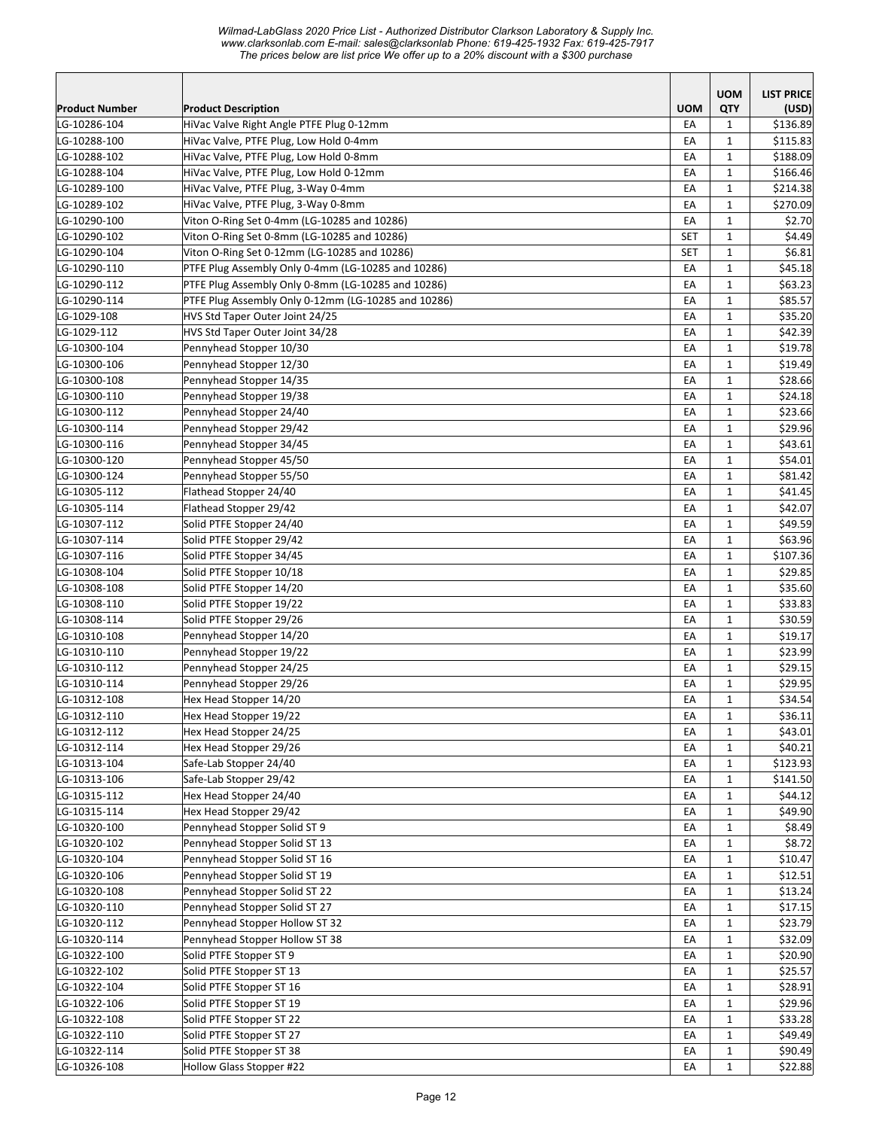|                              |                                                      |            | <b>UOM</b>   | <b>LIST PRICE</b>  |
|------------------------------|------------------------------------------------------|------------|--------------|--------------------|
| Product Number               | <b>Product Description</b>                           | <b>UOM</b> | QTY          | (USD)              |
| LG-10286-104                 | HiVac Valve Right Angle PTFE Plug 0-12mm             | EA         | 1            | \$136.89           |
| LG-10288-100                 | HiVac Valve, PTFE Plug, Low Hold 0-4mm               | EA         | $\mathbf{1}$ | \$115.83           |
| LG-10288-102                 | HiVac Valve, PTFE Plug, Low Hold 0-8mm               | EA         | 1            | \$188.09           |
| LG-10288-104                 | HiVac Valve, PTFE Plug, Low Hold 0-12mm              | EA         | $\mathbf{1}$ | \$166.46           |
| LG-10289-100                 | HiVac Valve, PTFE Plug, 3-Way 0-4mm                  | EA         | $\mathbf{1}$ | \$214.38           |
| LG-10289-102                 | HiVac Valve, PTFE Plug, 3-Way 0-8mm                  | EA         | 1            | \$270.09           |
| LG-10290-100                 | Viton O-Ring Set 0-4mm (LG-10285 and 10286)          | EA         | $\mathbf{1}$ | \$2.70             |
| LG-10290-102                 | Viton O-Ring Set 0-8mm (LG-10285 and 10286)          | <b>SET</b> | $\mathbf{1}$ | \$4.49             |
| LG-10290-104                 | Viton O-Ring Set 0-12mm (LG-10285 and 10286)         | <b>SET</b> | $\mathbf{1}$ | \$6.81             |
| LG-10290-110                 | PTFE Plug Assembly Only 0-4mm (LG-10285 and 10286)   | EA         | $\mathbf{1}$ | \$45.18            |
| LG-10290-112                 | PTFE Plug Assembly Only 0-8mm (LG-10285 and 10286)   | EA         | $\mathbf{1}$ | \$63.23            |
| LG-10290-114                 | PTFE Plug Assembly Only 0-12mm (LG-10285 and 10286)  | EA         | $\mathbf{1}$ | \$85.57            |
| LG-1029-108                  | HVS Std Taper Outer Joint 24/25                      | EA         | $\mathbf{1}$ | \$35.20            |
| LG-1029-112                  | HVS Std Taper Outer Joint 34/28                      | EA         | $\mathbf{1}$ | \$42.39            |
| LG-10300-104                 | Pennyhead Stopper 10/30                              | EA         | $\mathbf{1}$ | \$19.78            |
| LG-10300-106                 | Pennyhead Stopper 12/30                              | EA         | $\mathbf{1}$ | \$19.49            |
| LG-10300-108                 | Pennyhead Stopper 14/35                              | EA         | $\mathbf{1}$ | \$28.66            |
| LG-10300-110                 | Pennyhead Stopper 19/38                              | EA         | 1            | \$24.18            |
| LG-10300-112                 | Pennyhead Stopper 24/40                              | EA         | $\mathbf{1}$ | \$23.66            |
| LG-10300-114                 | Pennyhead Stopper 29/42                              | EA         | $\mathbf{1}$ | \$29.96            |
| LG-10300-116                 | Pennyhead Stopper 34/45                              | EA         | $\mathbf{1}$ | \$43.61            |
| LG-10300-120                 | Pennyhead Stopper 45/50                              | EA         | $\mathbf{1}$ | \$54.01            |
| LG-10300-124                 | Pennyhead Stopper 55/50                              | EA         | $\mathbf{1}$ | \$81.42            |
| LG-10305-112                 | Flathead Stopper 24/40                               | EA         | $\mathbf{1}$ | \$41.45            |
| LG-10305-114                 | Flathead Stopper 29/42                               | EA         | $\mathbf{1}$ | \$42.07            |
| LG-10307-112                 | Solid PTFE Stopper 24/40                             | EA         | $\mathbf{1}$ | \$49.59            |
| LG-10307-114                 | Solid PTFE Stopper 29/42                             | EA         | $\mathbf{1}$ | \$63.96            |
| LG-10307-116                 | Solid PTFE Stopper 34/45                             | EA         | $\mathbf{1}$ | \$107.36           |
| LG-10308-104                 | Solid PTFE Stopper 10/18                             | EA         | $\mathbf{1}$ | \$29.85            |
| LG-10308-108                 | Solid PTFE Stopper 14/20                             | EA         | $\mathbf{1}$ | \$35.60            |
| LG-10308-110                 | Solid PTFE Stopper 19/22                             | EA         | $\mathbf{1}$ | \$33.83            |
| LG-10308-114                 | Solid PTFE Stopper 29/26                             | EA         | $\mathbf{1}$ | \$30.59            |
| LG-10310-108                 | Pennyhead Stopper 14/20                              | EA         | 1            | \$19.17            |
| LG-10310-110                 | Pennyhead Stopper 19/22                              | EA         | $\mathbf{1}$ | \$23.99            |
| LG-10310-112                 | Pennyhead Stopper 24/25                              | EA         | $\mathbf{1}$ | \$29.15            |
| LG-10310-114                 | Pennyhead Stopper 29/26                              | EA         | 1            | \$29.95            |
| LG-10312-108                 | Hex Head Stopper 14/20                               | EA         | $\mathbf{1}$ | \$34.54            |
| LG-10312-110                 | Hex Head Stopper 19/22                               | EA         | $\mathbf 1$  | \$36.11            |
| LG-10312-112                 | Hex Head Stopper 24/25                               | EA         | $\mathbf{1}$ | \$43.01            |
| LG-10312-114                 | Hex Head Stopper 29/26                               | EA         | $\mathbf{1}$ | \$40.21            |
| LG-10313-104                 | Safe-Lab Stopper 24/40                               | EA         | $\mathbf{1}$ | \$123.93           |
| LG-10313-106                 | Safe-Lab Stopper 29/42                               | EA         | $\mathbf{1}$ | \$141.50           |
| LG-10315-112                 | Hex Head Stopper 24/40                               | EA         | $\mathbf{1}$ | \$44.12            |
| LG-10315-114                 | Hex Head Stopper 29/42                               | EA         | $\mathbf{1}$ | \$49.90            |
| LG-10320-100                 | Pennyhead Stopper Solid ST 9                         | EA         | $\mathbf{1}$ | \$8.49             |
| LG-10320-102                 | Pennyhead Stopper Solid ST 13                        | EA         | $\mathbf 1$  | \$8.72             |
| LG-10320-104                 | Pennyhead Stopper Solid ST 16                        | EA         | $\mathbf{1}$ | \$10.47            |
| LG-10320-106                 | Pennyhead Stopper Solid ST 19                        | EA         | $\mathbf{1}$ | \$12.51            |
| LG-10320-108                 | Pennyhead Stopper Solid ST 22                        | EA         | $\mathbf{1}$ | \$13.24            |
| LG-10320-110                 | Pennyhead Stopper Solid ST 27                        | EA         | 1            | \$17.15            |
| LG-10320-112                 | Pennyhead Stopper Hollow ST 32                       | EA         | $\mathbf{1}$ | \$23.79            |
| LG-10320-114                 | Pennyhead Stopper Hollow ST 38                       | EA         | $\mathbf{1}$ | \$32.09            |
| LG-10322-100                 | Solid PTFE Stopper ST 9                              | EA         | $\mathbf{1}$ | \$20.90            |
| LG-10322-102                 | Solid PTFE Stopper ST 13                             | EA         | $\mathbf{1}$ | \$25.57            |
| LG-10322-104                 | Solid PTFE Stopper ST 16                             | EA         | $\mathbf{1}$ | \$28.91            |
| LG-10322-106                 | Solid PTFE Stopper ST 19                             | EA         | $\mathbf{1}$ | \$29.96            |
|                              |                                                      |            |              |                    |
| LG-10322-108<br>LG-10322-110 | Solid PTFE Stopper ST 22                             | EA         | $\mathbf{1}$ | \$33.28<br>\$49.49 |
|                              | Solid PTFE Stopper ST 27                             | EA         | $\mathbf{1}$ |                    |
| LG-10322-114<br>LG-10326-108 | Solid PTFE Stopper ST 38<br>Hollow Glass Stopper #22 | EA         | $\mathbf{1}$ | \$90.49            |
|                              |                                                      | EA         | $\mathbf{1}$ | \$22.88            |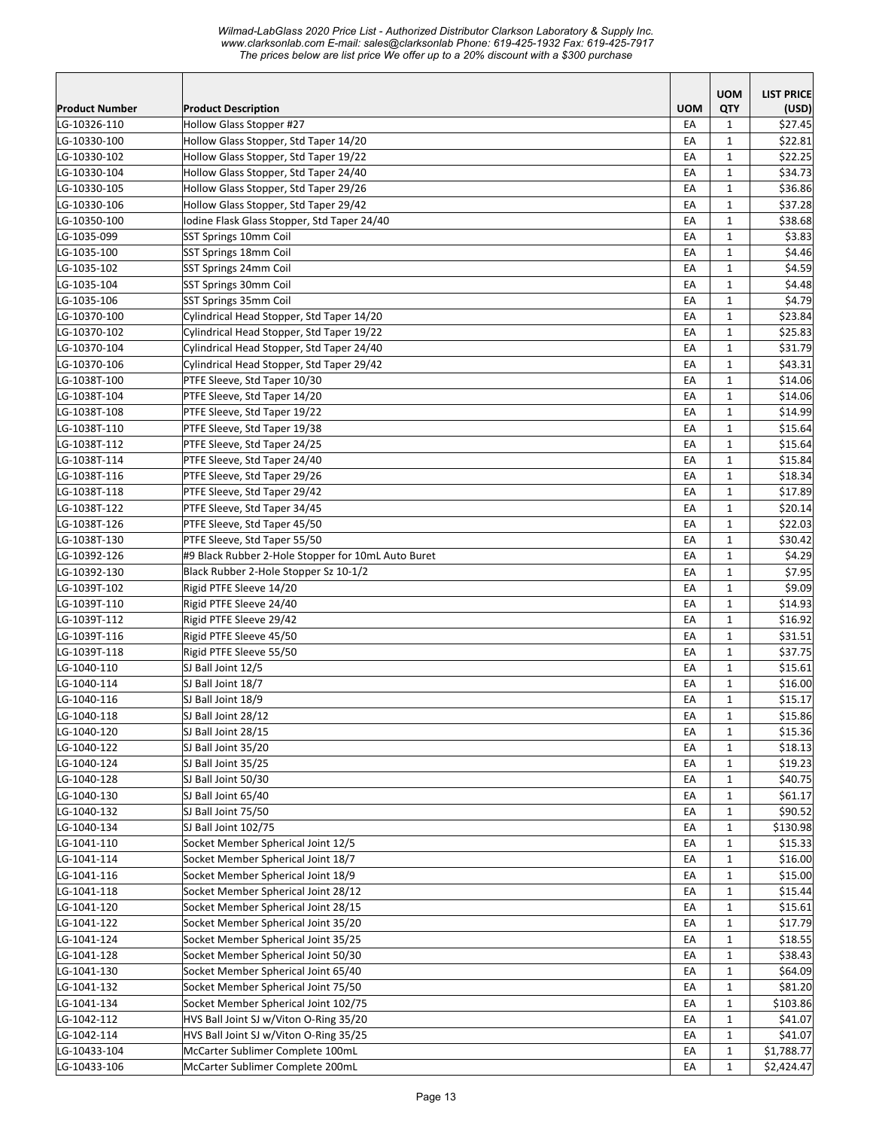|                            |                                                    |            | <b>UOM</b>                   | <b>LIST PRICE</b>  |
|----------------------------|----------------------------------------------------|------------|------------------------------|--------------------|
| <b>Product Number</b>      | <b>Product Description</b>                         | <b>UOM</b> | QTY                          | (USD)              |
| LG-10326-110               | <b>Hollow Glass Stopper #27</b>                    | EA         | $\mathbf{1}$                 | \$27.45            |
| LG-10330-100               | Hollow Glass Stopper, Std Taper 14/20              | EA         | $\mathbf{1}$                 | \$22.81            |
| LG-10330-102               | Hollow Glass Stopper, Std Taper 19/22              | EA         | $\mathbf{1}$                 | \$22.25            |
| LG-10330-104               | Hollow Glass Stopper, Std Taper 24/40              | EA         | $\mathbf{1}$                 | \$34.73            |
| LG-10330-105               | Hollow Glass Stopper, Std Taper 29/26              | EA         | $\mathbf{1}$                 | \$36.86            |
| LG-10330-106               | Hollow Glass Stopper, Std Taper 29/42              | EA         | $\mathbf{1}$                 | \$37.28            |
| LG-10350-100               | Iodine Flask Glass Stopper, Std Taper 24/40        | EA         | $\mathbf{1}$                 | \$38.68            |
| LG-1035-099                | SST Springs 10mm Coil                              | EA         | $\mathbf{1}$                 | \$3.83             |
| LG-1035-100                | SST Springs 18mm Coil                              | EA         | $\mathbf{1}$                 | \$4.46             |
| LG-1035-102                | SST Springs 24mm Coil                              | EA         | $\mathbf{1}$                 | \$4.59             |
| LG-1035-104                | SST Springs 30mm Coil                              | EA         | $\mathbf{1}$                 | \$4.48             |
| LG-1035-106                | SST Springs 35mm Coil                              | EA         | $\mathbf{1}$                 | \$4.79             |
| LG-10370-100               | Cylindrical Head Stopper, Std Taper 14/20          | EA         | $\mathbf{1}$                 | \$23.84            |
| LG-10370-102               | Cylindrical Head Stopper, Std Taper 19/22          | EA         | 1                            | \$25.83            |
| LG-10370-104               | Cylindrical Head Stopper, Std Taper 24/40          | EA         | $\mathbf{1}$                 | \$31.79            |
| LG-10370-106               | Cylindrical Head Stopper, Std Taper 29/42          | EA         | $\mathbf{1}$                 | \$43.31            |
| LG-1038T-100               | PTFE Sleeve, Std Taper 10/30                       | EA         | $\mathbf{1}$                 | \$14.06            |
| LG-1038T-104               | PTFE Sleeve, Std Taper 14/20                       | EA         | $\mathbf{1}$                 | \$14.06            |
| LG-1038T-108               | PTFE Sleeve, Std Taper 19/22                       | EA         | $\mathbf{1}$                 | \$14.99            |
| LG-1038T-110               | PTFE Sleeve, Std Taper 19/38                       | EA         | $\mathbf{1}$                 | \$15.64            |
| LG-1038T-112               | PTFE Sleeve, Std Taper 24/25                       | EA         | $\mathbf{1}$                 | \$15.64            |
| LG-1038T-114               | PTFE Sleeve, Std Taper 24/40                       | EA         | $\mathbf{1}$                 | \$15.84            |
| LG-1038T-116               | PTFE Sleeve, Std Taper 29/26                       | EA         | $\mathbf{1}$                 | \$18.34            |
| LG-1038T-118               | PTFE Sleeve, Std Taper 29/42                       | EA         | $\mathbf 1$                  | \$17.89            |
| LG-1038T-122               | PTFE Sleeve, Std Taper 34/45                       | EA         | $\mathbf{1}$                 | \$20.14            |
| LG-1038T-126               | PTFE Sleeve, Std Taper 45/50                       | EA         | $\mathbf{1}$                 | \$22.03            |
| LG-1038T-130               | PTFE Sleeve, Std Taper 55/50                       | EA         | $\mathbf{1}$                 | \$30.42            |
| LG-10392-126               | #9 Black Rubber 2-Hole Stopper for 10mL Auto Buret | EA         | $\mathbf{1}$                 | \$4.29             |
| LG-10392-130               | Black Rubber 2-Hole Stopper Sz 10-1/2              | EA         | $\mathbf{1}$                 | \$7.95             |
| LG-1039T-102               | Rigid PTFE Sleeve 14/20                            | EA         | $\mathbf{1}$                 | \$9.09             |
| LG-1039T-110               | Rigid PTFE Sleeve 24/40                            | EA         | $\mathbf{1}$                 | \$14.93            |
| LG-1039T-112               | Rigid PTFE Sleeve 29/42                            | EA         | $\mathbf{1}$                 | \$16.92            |
| LG-1039T-116               | Rigid PTFE Sleeve 45/50                            | EA         | $\mathbf{1}$                 | \$31.51            |
| LG-1039T-118               | Rigid PTFE Sleeve 55/50                            | EA         | $\mathbf{1}$                 | \$37.75            |
| LG-1040-110<br>LG-1040-114 | SJ Ball Joint 12/5<br>SJ Ball Joint 18/7           | EA         | $\mathbf{1}$                 | \$15.61<br>\$16.00 |
| LG-1040-116                | SJ Ball Joint 18/9                                 | EA<br>EA   | $\mathbf{1}$<br>$\mathbf{1}$ | \$15.17            |
| LG-1040-118                | SJ Ball Joint 28/12                                |            |                              | \$15.86            |
| LG-1040-120                | SJ Ball Joint 28/15                                | EА<br>EA   | 1<br>$\mathbf 1$             | \$15.36            |
| LG-1040-122                | SJ Ball Joint 35/20                                | EA         | $\mathbf{1}$                 | \$18.13            |
| LG-1040-124                | SJ Ball Joint 35/25                                | EA         | $\mathbf{1}$                 | \$19.23            |
| LG-1040-128                | SJ Ball Joint 50/30                                | EA         | $\mathbf{1}$                 | \$40.75            |
| LG-1040-130                | SJ Ball Joint 65/40                                | EA         | $\mathbf{1}$                 | \$61.17            |
| LG-1040-132                | SJ Ball Joint 75/50                                | EA         | $\mathbf{1}$                 | \$90.52            |
| LG-1040-134                | SJ Ball Joint 102/75                               | EA         | $\mathbf{1}$                 | \$130.98           |
| LG-1041-110                | Socket Member Spherical Joint 12/5                 | EA         | $\mathbf{1}$                 | \$15.33            |
| LG-1041-114                | Socket Member Spherical Joint 18/7                 | EA         | $\mathbf{1}$                 | \$16.00            |
| LG-1041-116                | Socket Member Spherical Joint 18/9                 | EA         | $\mathbf 1$                  | \$15.00            |
| LG-1041-118                | Socket Member Spherical Joint 28/12                | EA         | $\mathbf{1}$                 | \$15.44            |
| LG-1041-120                | Socket Member Spherical Joint 28/15                | EA         | $\mathbf{1}$                 | \$15.61            |
| LG-1041-122                | Socket Member Spherical Joint 35/20                | EA         | $\mathbf{1}$                 | \$17.79            |
| LG-1041-124                | Socket Member Spherical Joint 35/25                | EA         | $\mathbf{1}$                 | \$18.55            |
| LG-1041-128                | Socket Member Spherical Joint 50/30                | EA         | $\mathbf{1}$                 | \$38.43            |
| LG-1041-130                | Socket Member Spherical Joint 65/40                | EA         | $\mathbf 1$                  | \$64.09            |
| LG-1041-132                | Socket Member Spherical Joint 75/50                | EA         | $\mathbf{1}$                 | \$81.20            |
| LG-1041-134                | Socket Member Spherical Joint 102/75               | EA         | $\mathbf{1}$                 | \$103.86           |
| LG-1042-112                | HVS Ball Joint SJ w/Viton O-Ring 35/20             | EA         | $\mathbf{1}$                 | \$41.07            |
| LG-1042-114                | HVS Ball Joint SJ w/Viton O-Ring 35/25             | EA         | $\mathbf{1}$                 | \$41.07            |
| LG-10433-104               | McCarter Sublimer Complete 100mL                   | EA         | $\mathbf{1}$                 | \$1,788.77         |
| LG-10433-106               | McCarter Sublimer Complete 200mL                   | EA         | $\mathbf 1$                  | \$2,424.47         |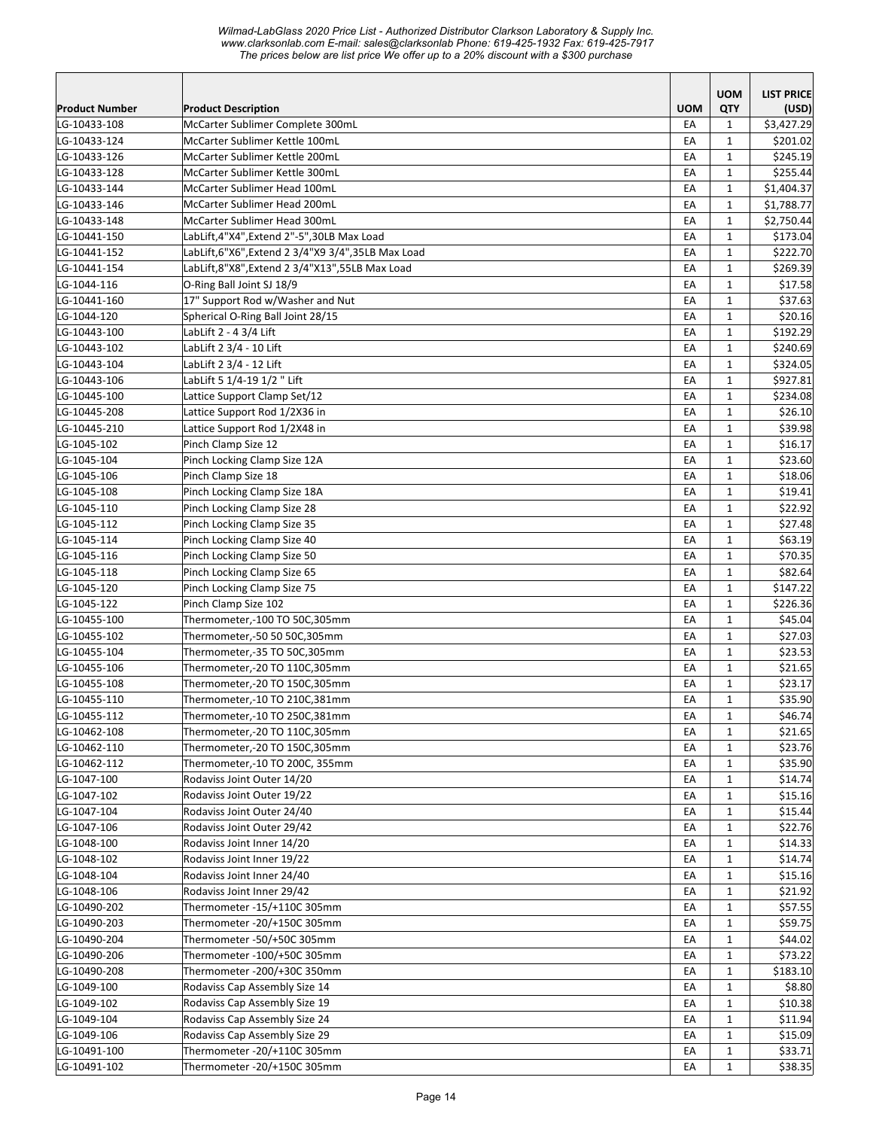| <b>UOM</b><br><b>LIST PRICE</b><br>QTY<br><b>Product Description</b><br><b>UOM</b><br><b>Product Number</b><br>(USD)<br>\$3,427.29<br>LG-10433-108<br>McCarter Sublimer Complete 300mL<br>EA<br>1<br>McCarter Sublimer Kettle 100mL<br>\$201.02<br>LG-10433-124<br>EA<br>$\mathbf{1}$<br>McCarter Sublimer Kettle 200mL<br>LG-10433-126<br>\$245.19<br>EA<br>1<br>EA<br>\$255.44<br>LG-10433-128<br>McCarter Sublimer Kettle 300mL<br>$\mathbf{1}$<br>McCarter Sublimer Head 100mL<br>\$1,404.37<br>LG-10433-144<br>EA<br>$\mathbf{1}$<br>\$1,788.77<br>LG-10433-146<br>McCarter Sublimer Head 200mL<br>EA<br>$\mathbf{1}$<br>McCarter Sublimer Head 300mL<br>EA<br>\$2,750.44<br>LG-10433-148<br>$\mathbf{1}$<br>LabLift,4"X4", Extend 2"-5", 30LB Max Load<br>EA<br>$\mathbf{1}$<br>\$173.04<br>LG-10441-150<br>LabLift,6"X6", Extend 2 3/4"X9 3/4", 35LB Max Load<br>EA<br>\$222.70<br>LG-10441-152<br>$\mathbf{1}$<br>LabLift,8"X8", Extend 2 3/4"X13", 55LB Max Load<br>EA<br>\$269.39<br>LG-10441-154<br>$\mathbf{1}$<br>O-Ring Ball Joint SJ 18/9<br>EA<br>\$17.58<br>LG-1044-116<br>$\mathbf{1}$<br>17" Support Rod w/Washer and Nut<br>EA<br>\$37.63<br>LG-10441-160<br>$\mathbf{1}$<br>Spherical O-Ring Ball Joint 28/15<br>\$20.16<br>LG-1044-120<br>EA<br>$\mathbf{1}$<br>LabLift 2 - 4 3/4 Lift<br>EA<br>\$192.29<br>LG-10443-100<br>$\mathbf{1}$<br>LabLift 2 3/4 - 10 Lift<br>EA<br>\$240.69<br>LG-10443-102<br>$\mathbf{1}$<br>LG-10443-104<br>LabLift 2 3/4 - 12 Lift<br>EA<br>$\mathbf{1}$<br>\$324.05<br>LabLift 5 1/4-19 1/2 " Lift<br>\$927.81<br>LG-10443-106<br>EA<br>$\mathbf{1}$<br>Lattice Support Clamp Set/12<br>\$234.08<br>LG-10445-100<br>EA<br>1<br>Lattice Support Rod 1/2X36 in<br>EA<br>\$26.10<br>LG-10445-208<br>$\mathbf{1}$<br>\$39.98<br>LG-10445-210<br>Lattice Support Rod 1/2X48 in<br>EA<br>$\mathbf{1}$<br>Pinch Clamp Size 12<br>\$16.17<br>LG-1045-102<br>EA<br>$\mathbf{1}$<br>Pinch Locking Clamp Size 12A<br>$\mathbf{1}$<br>\$23.60<br>LG-1045-104<br>EA<br>Pinch Clamp Size 18<br>EA<br>$\mathbf{1}$<br>\$18.06<br>LG-1045-106<br>LG-1045-108<br>Pinch Locking Clamp Size 18A<br>EA<br>$\mathbf{1}$<br>\$19.41<br>\$22.92<br>Pinch Locking Clamp Size 28<br>EA<br>$\mathbf{1}$<br>LG-1045-110<br>Pinch Locking Clamp Size 35<br>\$27.48<br>LG-1045-112<br>EA<br>$\mathbf{1}$<br>Pinch Locking Clamp Size 40<br>EA<br>\$63.19<br>LG-1045-114<br>$\mathbf{1}$<br>Pinch Locking Clamp Size 50<br>\$70.35<br>LG-1045-116<br>EA<br>$\mathbf{1}$<br>Pinch Locking Clamp Size 65<br>EA<br>\$82.64<br>LG-1045-118<br>$\mathbf{1}$<br>Pinch Locking Clamp Size 75<br>EA<br>$\mathbf{1}$<br>\$147.22<br>LG-1045-120<br>Pinch Clamp Size 102<br>EA<br>\$226.36<br>LG-1045-122<br>$\mathbf{1}$<br>\$45.04<br>LG-10455-100<br>Thermometer,-100 TO 50C,305mm<br>EA<br>$\mathbf{1}$<br>\$27.03<br>LG-10455-102<br>Thermometer,-50 50 50C,305mm<br>EA<br>$\mathbf{1}$<br>\$23.53<br>LG-10455-104<br>Thermometer,-35 TO 50C,305mm<br>EA<br>$\mathbf{1}$<br>\$21.65<br>LG-10455-106<br>Thermometer,-20 TO 110C,305mm<br>EA<br>1<br>\$23.17<br>Thermometer,-20 TO 150C,305mm<br>EA<br>$\mathbf{1}$<br>LG-10455-108<br>EA<br>$\mathbf{1}$<br>\$35.90<br>LG-10455-110<br>Thermometer,-10 TO 210C,381mm<br>\$46.74<br>Thermometer,-10 TO 250C,381mm<br>EA<br>$\mathbf 1$<br>LG-10455-112<br>EA<br>$\mathbf{1}$<br>\$21.65<br>LG-10462-108<br>Thermometer,-20 TO 110C,305mm<br>LG-10462-110<br>Thermometer,-20 TO 150C,305mm<br>EA<br>$\mathbf{1}$<br>\$23.76<br>LG-10462-112<br>Thermometer,-10 TO 200C, 355mm<br>EA<br>$\mathbf{1}$<br>\$35.90<br>LG-1047-100<br>Rodaviss Joint Outer 14/20<br>EA<br>$\mathbf{1}$<br>\$14.74<br>LG-1047-102<br>Rodaviss Joint Outer 19/22<br>EA<br>\$15.16<br>$\mathbf{1}$<br>\$15.44<br>LG-1047-104<br>Rodaviss Joint Outer 24/40<br>EA<br>$\mathbf{1}$<br>Rodaviss Joint Outer 29/42<br>EA<br>$\mathbf{1}$<br>\$22.76<br>LG-1047-106<br>LG-1048-100<br>$\mathbf{1}$<br>Rodaviss Joint Inner 14/20<br>EA<br>\$14.33<br>LG-1048-102<br>\$14.74<br>Rodaviss Joint Inner 19/22<br>EA<br>$\mathbf{1}$<br>LG-1048-104<br>Rodaviss Joint Inner 24/40<br>$\mathbf{1}$<br>\$15.16<br>EA<br>Rodaviss Joint Inner 29/42<br>\$21.92<br>LG-1048-106<br>EA<br>$\mathbf{1}$<br>Thermometer -15/+110C 305mm<br>\$57.55<br>LG-10490-202<br>EA<br>$\mathbf{1}$<br>LG-10490-203<br>Thermometer -20/+150C 305mm<br>EA<br>$\mathbf{1}$<br>\$59.75<br>LG-10490-204<br>Thermometer -50/+50C 305mm<br>$\mathbf{1}$<br>\$44.02<br>EA<br>$\mathbf{1}$<br>LG-10490-206<br>Thermometer -100/+50C 305mm<br>EA<br>\$73.22<br>Thermometer -200/+30C 350mm<br>LG-10490-208<br>EA<br>$\mathbf{1}$<br>\$183.10<br>LG-1049-100<br>Rodaviss Cap Assembly Size 14<br>EA<br>$\mathbf{1}$<br>\$8.80<br>LG-1049-102<br>Rodaviss Cap Assembly Size 19<br>EA<br>$\mathbf{1}$<br>\$10.38<br>Rodaviss Cap Assembly Size 24<br>LG-1049-104<br>EA<br>$\mathbf{1}$<br>\$11.94<br>Rodaviss Cap Assembly Size 29<br>LG-1049-106<br>EA<br>$\mathbf{1}$<br>\$15.09<br>Thermometer -20/+110C 305mm<br>LG-10491-100<br>EA<br>$\mathbf{1}$<br>\$33.71<br>LG-10491-102<br>Thermometer -20/+150C 305mm<br>$\mathbf{1}$<br>EA<br>\$38.35 |  |  |  |
|--------------------------------------------------------------------------------------------------------------------------------------------------------------------------------------------------------------------------------------------------------------------------------------------------------------------------------------------------------------------------------------------------------------------------------------------------------------------------------------------------------------------------------------------------------------------------------------------------------------------------------------------------------------------------------------------------------------------------------------------------------------------------------------------------------------------------------------------------------------------------------------------------------------------------------------------------------------------------------------------------------------------------------------------------------------------------------------------------------------------------------------------------------------------------------------------------------------------------------------------------------------------------------------------------------------------------------------------------------------------------------------------------------------------------------------------------------------------------------------------------------------------------------------------------------------------------------------------------------------------------------------------------------------------------------------------------------------------------------------------------------------------------------------------------------------------------------------------------------------------------------------------------------------------------------------------------------------------------------------------------------------------------------------------------------------------------------------------------------------------------------------------------------------------------------------------------------------------------------------------------------------------------------------------------------------------------------------------------------------------------------------------------------------------------------------------------------------------------------------------------------------------------------------------------------------------------------------------------------------------------------------------------------------------------------------------------------------------------------------------------------------------------------------------------------------------------------------------------------------------------------------------------------------------------------------------------------------------------------------------------------------------------------------------------------------------------------------------------------------------------------------------------------------------------------------------------------------------------------------------------------------------------------------------------------------------------------------------------------------------------------------------------------------------------------------------------------------------------------------------------------------------------------------------------------------------------------------------------------------------------------------------------------------------------------------------------------------------------------------------------------------------------------------------------------------------------------------------------------------------------------------------------------------------------------------------------------------------------------------------------------------------------------------------------------------------------------------------------------------------------------------------------------------------------------------------------------------------------------------------------------------------------------------------------------------------------------------------------------------------------------------------------------------------------------------------------------------------------------------------------------------------------------------------------------------------------------------------------------------------------------------------------------------------------------------------------------------------------------------------------------------------------------------------------------------------------------------------------------------------------------------------------------------------------------------------------------------------------------------------------------------------------------------------------------------------------------------------------------------------------------------------------|--|--|--|
|                                                                                                                                                                                                                                                                                                                                                                                                                                                                                                                                                                                                                                                                                                                                                                                                                                                                                                                                                                                                                                                                                                                                                                                                                                                                                                                                                                                                                                                                                                                                                                                                                                                                                                                                                                                                                                                                                                                                                                                                                                                                                                                                                                                                                                                                                                                                                                                                                                                                                                                                                                                                                                                                                                                                                                                                                                                                                                                                                                                                                                                                                                                                                                                                                                                                                                                                                                                                                                                                                                                                                                                                                                                                                                                                                                                                                                                                                                                                                                                                                                                                                                                                                                                                                                                                                                                                                                                                                                                                                                                                                                                                                                                                                                                                                                                                                                                                                                                                                                                                                                                                                                                                                  |  |  |  |
|                                                                                                                                                                                                                                                                                                                                                                                                                                                                                                                                                                                                                                                                                                                                                                                                                                                                                                                                                                                                                                                                                                                                                                                                                                                                                                                                                                                                                                                                                                                                                                                                                                                                                                                                                                                                                                                                                                                                                                                                                                                                                                                                                                                                                                                                                                                                                                                                                                                                                                                                                                                                                                                                                                                                                                                                                                                                                                                                                                                                                                                                                                                                                                                                                                                                                                                                                                                                                                                                                                                                                                                                                                                                                                                                                                                                                                                                                                                                                                                                                                                                                                                                                                                                                                                                                                                                                                                                                                                                                                                                                                                                                                                                                                                                                                                                                                                                                                                                                                                                                                                                                                                                                  |  |  |  |
|                                                                                                                                                                                                                                                                                                                                                                                                                                                                                                                                                                                                                                                                                                                                                                                                                                                                                                                                                                                                                                                                                                                                                                                                                                                                                                                                                                                                                                                                                                                                                                                                                                                                                                                                                                                                                                                                                                                                                                                                                                                                                                                                                                                                                                                                                                                                                                                                                                                                                                                                                                                                                                                                                                                                                                                                                                                                                                                                                                                                                                                                                                                                                                                                                                                                                                                                                                                                                                                                                                                                                                                                                                                                                                                                                                                                                                                                                                                                                                                                                                                                                                                                                                                                                                                                                                                                                                                                                                                                                                                                                                                                                                                                                                                                                                                                                                                                                                                                                                                                                                                                                                                                                  |  |  |  |
|                                                                                                                                                                                                                                                                                                                                                                                                                                                                                                                                                                                                                                                                                                                                                                                                                                                                                                                                                                                                                                                                                                                                                                                                                                                                                                                                                                                                                                                                                                                                                                                                                                                                                                                                                                                                                                                                                                                                                                                                                                                                                                                                                                                                                                                                                                                                                                                                                                                                                                                                                                                                                                                                                                                                                                                                                                                                                                                                                                                                                                                                                                                                                                                                                                                                                                                                                                                                                                                                                                                                                                                                                                                                                                                                                                                                                                                                                                                                                                                                                                                                                                                                                                                                                                                                                                                                                                                                                                                                                                                                                                                                                                                                                                                                                                                                                                                                                                                                                                                                                                                                                                                                                  |  |  |  |
|                                                                                                                                                                                                                                                                                                                                                                                                                                                                                                                                                                                                                                                                                                                                                                                                                                                                                                                                                                                                                                                                                                                                                                                                                                                                                                                                                                                                                                                                                                                                                                                                                                                                                                                                                                                                                                                                                                                                                                                                                                                                                                                                                                                                                                                                                                                                                                                                                                                                                                                                                                                                                                                                                                                                                                                                                                                                                                                                                                                                                                                                                                                                                                                                                                                                                                                                                                                                                                                                                                                                                                                                                                                                                                                                                                                                                                                                                                                                                                                                                                                                                                                                                                                                                                                                                                                                                                                                                                                                                                                                                                                                                                                                                                                                                                                                                                                                                                                                                                                                                                                                                                                                                  |  |  |  |
|                                                                                                                                                                                                                                                                                                                                                                                                                                                                                                                                                                                                                                                                                                                                                                                                                                                                                                                                                                                                                                                                                                                                                                                                                                                                                                                                                                                                                                                                                                                                                                                                                                                                                                                                                                                                                                                                                                                                                                                                                                                                                                                                                                                                                                                                                                                                                                                                                                                                                                                                                                                                                                                                                                                                                                                                                                                                                                                                                                                                                                                                                                                                                                                                                                                                                                                                                                                                                                                                                                                                                                                                                                                                                                                                                                                                                                                                                                                                                                                                                                                                                                                                                                                                                                                                                                                                                                                                                                                                                                                                                                                                                                                                                                                                                                                                                                                                                                                                                                                                                                                                                                                                                  |  |  |  |
|                                                                                                                                                                                                                                                                                                                                                                                                                                                                                                                                                                                                                                                                                                                                                                                                                                                                                                                                                                                                                                                                                                                                                                                                                                                                                                                                                                                                                                                                                                                                                                                                                                                                                                                                                                                                                                                                                                                                                                                                                                                                                                                                                                                                                                                                                                                                                                                                                                                                                                                                                                                                                                                                                                                                                                                                                                                                                                                                                                                                                                                                                                                                                                                                                                                                                                                                                                                                                                                                                                                                                                                                                                                                                                                                                                                                                                                                                                                                                                                                                                                                                                                                                                                                                                                                                                                                                                                                                                                                                                                                                                                                                                                                                                                                                                                                                                                                                                                                                                                                                                                                                                                                                  |  |  |  |
|                                                                                                                                                                                                                                                                                                                                                                                                                                                                                                                                                                                                                                                                                                                                                                                                                                                                                                                                                                                                                                                                                                                                                                                                                                                                                                                                                                                                                                                                                                                                                                                                                                                                                                                                                                                                                                                                                                                                                                                                                                                                                                                                                                                                                                                                                                                                                                                                                                                                                                                                                                                                                                                                                                                                                                                                                                                                                                                                                                                                                                                                                                                                                                                                                                                                                                                                                                                                                                                                                                                                                                                                                                                                                                                                                                                                                                                                                                                                                                                                                                                                                                                                                                                                                                                                                                                                                                                                                                                                                                                                                                                                                                                                                                                                                                                                                                                                                                                                                                                                                                                                                                                                                  |  |  |  |
|                                                                                                                                                                                                                                                                                                                                                                                                                                                                                                                                                                                                                                                                                                                                                                                                                                                                                                                                                                                                                                                                                                                                                                                                                                                                                                                                                                                                                                                                                                                                                                                                                                                                                                                                                                                                                                                                                                                                                                                                                                                                                                                                                                                                                                                                                                                                                                                                                                                                                                                                                                                                                                                                                                                                                                                                                                                                                                                                                                                                                                                                                                                                                                                                                                                                                                                                                                                                                                                                                                                                                                                                                                                                                                                                                                                                                                                                                                                                                                                                                                                                                                                                                                                                                                                                                                                                                                                                                                                                                                                                                                                                                                                                                                                                                                                                                                                                                                                                                                                                                                                                                                                                                  |  |  |  |
|                                                                                                                                                                                                                                                                                                                                                                                                                                                                                                                                                                                                                                                                                                                                                                                                                                                                                                                                                                                                                                                                                                                                                                                                                                                                                                                                                                                                                                                                                                                                                                                                                                                                                                                                                                                                                                                                                                                                                                                                                                                                                                                                                                                                                                                                                                                                                                                                                                                                                                                                                                                                                                                                                                                                                                                                                                                                                                                                                                                                                                                                                                                                                                                                                                                                                                                                                                                                                                                                                                                                                                                                                                                                                                                                                                                                                                                                                                                                                                                                                                                                                                                                                                                                                                                                                                                                                                                                                                                                                                                                                                                                                                                                                                                                                                                                                                                                                                                                                                                                                                                                                                                                                  |  |  |  |
|                                                                                                                                                                                                                                                                                                                                                                                                                                                                                                                                                                                                                                                                                                                                                                                                                                                                                                                                                                                                                                                                                                                                                                                                                                                                                                                                                                                                                                                                                                                                                                                                                                                                                                                                                                                                                                                                                                                                                                                                                                                                                                                                                                                                                                                                                                                                                                                                                                                                                                                                                                                                                                                                                                                                                                                                                                                                                                                                                                                                                                                                                                                                                                                                                                                                                                                                                                                                                                                                                                                                                                                                                                                                                                                                                                                                                                                                                                                                                                                                                                                                                                                                                                                                                                                                                                                                                                                                                                                                                                                                                                                                                                                                                                                                                                                                                                                                                                                                                                                                                                                                                                                                                  |  |  |  |
|                                                                                                                                                                                                                                                                                                                                                                                                                                                                                                                                                                                                                                                                                                                                                                                                                                                                                                                                                                                                                                                                                                                                                                                                                                                                                                                                                                                                                                                                                                                                                                                                                                                                                                                                                                                                                                                                                                                                                                                                                                                                                                                                                                                                                                                                                                                                                                                                                                                                                                                                                                                                                                                                                                                                                                                                                                                                                                                                                                                                                                                                                                                                                                                                                                                                                                                                                                                                                                                                                                                                                                                                                                                                                                                                                                                                                                                                                                                                                                                                                                                                                                                                                                                                                                                                                                                                                                                                                                                                                                                                                                                                                                                                                                                                                                                                                                                                                                                                                                                                                                                                                                                                                  |  |  |  |
|                                                                                                                                                                                                                                                                                                                                                                                                                                                                                                                                                                                                                                                                                                                                                                                                                                                                                                                                                                                                                                                                                                                                                                                                                                                                                                                                                                                                                                                                                                                                                                                                                                                                                                                                                                                                                                                                                                                                                                                                                                                                                                                                                                                                                                                                                                                                                                                                                                                                                                                                                                                                                                                                                                                                                                                                                                                                                                                                                                                                                                                                                                                                                                                                                                                                                                                                                                                                                                                                                                                                                                                                                                                                                                                                                                                                                                                                                                                                                                                                                                                                                                                                                                                                                                                                                                                                                                                                                                                                                                                                                                                                                                                                                                                                                                                                                                                                                                                                                                                                                                                                                                                                                  |  |  |  |
|                                                                                                                                                                                                                                                                                                                                                                                                                                                                                                                                                                                                                                                                                                                                                                                                                                                                                                                                                                                                                                                                                                                                                                                                                                                                                                                                                                                                                                                                                                                                                                                                                                                                                                                                                                                                                                                                                                                                                                                                                                                                                                                                                                                                                                                                                                                                                                                                                                                                                                                                                                                                                                                                                                                                                                                                                                                                                                                                                                                                                                                                                                                                                                                                                                                                                                                                                                                                                                                                                                                                                                                                                                                                                                                                                                                                                                                                                                                                                                                                                                                                                                                                                                                                                                                                                                                                                                                                                                                                                                                                                                                                                                                                                                                                                                                                                                                                                                                                                                                                                                                                                                                                                  |  |  |  |
|                                                                                                                                                                                                                                                                                                                                                                                                                                                                                                                                                                                                                                                                                                                                                                                                                                                                                                                                                                                                                                                                                                                                                                                                                                                                                                                                                                                                                                                                                                                                                                                                                                                                                                                                                                                                                                                                                                                                                                                                                                                                                                                                                                                                                                                                                                                                                                                                                                                                                                                                                                                                                                                                                                                                                                                                                                                                                                                                                                                                                                                                                                                                                                                                                                                                                                                                                                                                                                                                                                                                                                                                                                                                                                                                                                                                                                                                                                                                                                                                                                                                                                                                                                                                                                                                                                                                                                                                                                                                                                                                                                                                                                                                                                                                                                                                                                                                                                                                                                                                                                                                                                                                                  |  |  |  |
|                                                                                                                                                                                                                                                                                                                                                                                                                                                                                                                                                                                                                                                                                                                                                                                                                                                                                                                                                                                                                                                                                                                                                                                                                                                                                                                                                                                                                                                                                                                                                                                                                                                                                                                                                                                                                                                                                                                                                                                                                                                                                                                                                                                                                                                                                                                                                                                                                                                                                                                                                                                                                                                                                                                                                                                                                                                                                                                                                                                                                                                                                                                                                                                                                                                                                                                                                                                                                                                                                                                                                                                                                                                                                                                                                                                                                                                                                                                                                                                                                                                                                                                                                                                                                                                                                                                                                                                                                                                                                                                                                                                                                                                                                                                                                                                                                                                                                                                                                                                                                                                                                                                                                  |  |  |  |
|                                                                                                                                                                                                                                                                                                                                                                                                                                                                                                                                                                                                                                                                                                                                                                                                                                                                                                                                                                                                                                                                                                                                                                                                                                                                                                                                                                                                                                                                                                                                                                                                                                                                                                                                                                                                                                                                                                                                                                                                                                                                                                                                                                                                                                                                                                                                                                                                                                                                                                                                                                                                                                                                                                                                                                                                                                                                                                                                                                                                                                                                                                                                                                                                                                                                                                                                                                                                                                                                                                                                                                                                                                                                                                                                                                                                                                                                                                                                                                                                                                                                                                                                                                                                                                                                                                                                                                                                                                                                                                                                                                                                                                                                                                                                                                                                                                                                                                                                                                                                                                                                                                                                                  |  |  |  |
|                                                                                                                                                                                                                                                                                                                                                                                                                                                                                                                                                                                                                                                                                                                                                                                                                                                                                                                                                                                                                                                                                                                                                                                                                                                                                                                                                                                                                                                                                                                                                                                                                                                                                                                                                                                                                                                                                                                                                                                                                                                                                                                                                                                                                                                                                                                                                                                                                                                                                                                                                                                                                                                                                                                                                                                                                                                                                                                                                                                                                                                                                                                                                                                                                                                                                                                                                                                                                                                                                                                                                                                                                                                                                                                                                                                                                                                                                                                                                                                                                                                                                                                                                                                                                                                                                                                                                                                                                                                                                                                                                                                                                                                                                                                                                                                                                                                                                                                                                                                                                                                                                                                                                  |  |  |  |
|                                                                                                                                                                                                                                                                                                                                                                                                                                                                                                                                                                                                                                                                                                                                                                                                                                                                                                                                                                                                                                                                                                                                                                                                                                                                                                                                                                                                                                                                                                                                                                                                                                                                                                                                                                                                                                                                                                                                                                                                                                                                                                                                                                                                                                                                                                                                                                                                                                                                                                                                                                                                                                                                                                                                                                                                                                                                                                                                                                                                                                                                                                                                                                                                                                                                                                                                                                                                                                                                                                                                                                                                                                                                                                                                                                                                                                                                                                                                                                                                                                                                                                                                                                                                                                                                                                                                                                                                                                                                                                                                                                                                                                                                                                                                                                                                                                                                                                                                                                                                                                                                                                                                                  |  |  |  |
|                                                                                                                                                                                                                                                                                                                                                                                                                                                                                                                                                                                                                                                                                                                                                                                                                                                                                                                                                                                                                                                                                                                                                                                                                                                                                                                                                                                                                                                                                                                                                                                                                                                                                                                                                                                                                                                                                                                                                                                                                                                                                                                                                                                                                                                                                                                                                                                                                                                                                                                                                                                                                                                                                                                                                                                                                                                                                                                                                                                                                                                                                                                                                                                                                                                                                                                                                                                                                                                                                                                                                                                                                                                                                                                                                                                                                                                                                                                                                                                                                                                                                                                                                                                                                                                                                                                                                                                                                                                                                                                                                                                                                                                                                                                                                                                                                                                                                                                                                                                                                                                                                                                                                  |  |  |  |
|                                                                                                                                                                                                                                                                                                                                                                                                                                                                                                                                                                                                                                                                                                                                                                                                                                                                                                                                                                                                                                                                                                                                                                                                                                                                                                                                                                                                                                                                                                                                                                                                                                                                                                                                                                                                                                                                                                                                                                                                                                                                                                                                                                                                                                                                                                                                                                                                                                                                                                                                                                                                                                                                                                                                                                                                                                                                                                                                                                                                                                                                                                                                                                                                                                                                                                                                                                                                                                                                                                                                                                                                                                                                                                                                                                                                                                                                                                                                                                                                                                                                                                                                                                                                                                                                                                                                                                                                                                                                                                                                                                                                                                                                                                                                                                                                                                                                                                                                                                                                                                                                                                                                                  |  |  |  |
|                                                                                                                                                                                                                                                                                                                                                                                                                                                                                                                                                                                                                                                                                                                                                                                                                                                                                                                                                                                                                                                                                                                                                                                                                                                                                                                                                                                                                                                                                                                                                                                                                                                                                                                                                                                                                                                                                                                                                                                                                                                                                                                                                                                                                                                                                                                                                                                                                                                                                                                                                                                                                                                                                                                                                                                                                                                                                                                                                                                                                                                                                                                                                                                                                                                                                                                                                                                                                                                                                                                                                                                                                                                                                                                                                                                                                                                                                                                                                                                                                                                                                                                                                                                                                                                                                                                                                                                                                                                                                                                                                                                                                                                                                                                                                                                                                                                                                                                                                                                                                                                                                                                                                  |  |  |  |
|                                                                                                                                                                                                                                                                                                                                                                                                                                                                                                                                                                                                                                                                                                                                                                                                                                                                                                                                                                                                                                                                                                                                                                                                                                                                                                                                                                                                                                                                                                                                                                                                                                                                                                                                                                                                                                                                                                                                                                                                                                                                                                                                                                                                                                                                                                                                                                                                                                                                                                                                                                                                                                                                                                                                                                                                                                                                                                                                                                                                                                                                                                                                                                                                                                                                                                                                                                                                                                                                                                                                                                                                                                                                                                                                                                                                                                                                                                                                                                                                                                                                                                                                                                                                                                                                                                                                                                                                                                                                                                                                                                                                                                                                                                                                                                                                                                                                                                                                                                                                                                                                                                                                                  |  |  |  |
|                                                                                                                                                                                                                                                                                                                                                                                                                                                                                                                                                                                                                                                                                                                                                                                                                                                                                                                                                                                                                                                                                                                                                                                                                                                                                                                                                                                                                                                                                                                                                                                                                                                                                                                                                                                                                                                                                                                                                                                                                                                                                                                                                                                                                                                                                                                                                                                                                                                                                                                                                                                                                                                                                                                                                                                                                                                                                                                                                                                                                                                                                                                                                                                                                                                                                                                                                                                                                                                                                                                                                                                                                                                                                                                                                                                                                                                                                                                                                                                                                                                                                                                                                                                                                                                                                                                                                                                                                                                                                                                                                                                                                                                                                                                                                                                                                                                                                                                                                                                                                                                                                                                                                  |  |  |  |
|                                                                                                                                                                                                                                                                                                                                                                                                                                                                                                                                                                                                                                                                                                                                                                                                                                                                                                                                                                                                                                                                                                                                                                                                                                                                                                                                                                                                                                                                                                                                                                                                                                                                                                                                                                                                                                                                                                                                                                                                                                                                                                                                                                                                                                                                                                                                                                                                                                                                                                                                                                                                                                                                                                                                                                                                                                                                                                                                                                                                                                                                                                                                                                                                                                                                                                                                                                                                                                                                                                                                                                                                                                                                                                                                                                                                                                                                                                                                                                                                                                                                                                                                                                                                                                                                                                                                                                                                                                                                                                                                                                                                                                                                                                                                                                                                                                                                                                                                                                                                                                                                                                                                                  |  |  |  |
|                                                                                                                                                                                                                                                                                                                                                                                                                                                                                                                                                                                                                                                                                                                                                                                                                                                                                                                                                                                                                                                                                                                                                                                                                                                                                                                                                                                                                                                                                                                                                                                                                                                                                                                                                                                                                                                                                                                                                                                                                                                                                                                                                                                                                                                                                                                                                                                                                                                                                                                                                                                                                                                                                                                                                                                                                                                                                                                                                                                                                                                                                                                                                                                                                                                                                                                                                                                                                                                                                                                                                                                                                                                                                                                                                                                                                                                                                                                                                                                                                                                                                                                                                                                                                                                                                                                                                                                                                                                                                                                                                                                                                                                                                                                                                                                                                                                                                                                                                                                                                                                                                                                                                  |  |  |  |
|                                                                                                                                                                                                                                                                                                                                                                                                                                                                                                                                                                                                                                                                                                                                                                                                                                                                                                                                                                                                                                                                                                                                                                                                                                                                                                                                                                                                                                                                                                                                                                                                                                                                                                                                                                                                                                                                                                                                                                                                                                                                                                                                                                                                                                                                                                                                                                                                                                                                                                                                                                                                                                                                                                                                                                                                                                                                                                                                                                                                                                                                                                                                                                                                                                                                                                                                                                                                                                                                                                                                                                                                                                                                                                                                                                                                                                                                                                                                                                                                                                                                                                                                                                                                                                                                                                                                                                                                                                                                                                                                                                                                                                                                                                                                                                                                                                                                                                                                                                                                                                                                                                                                                  |  |  |  |
|                                                                                                                                                                                                                                                                                                                                                                                                                                                                                                                                                                                                                                                                                                                                                                                                                                                                                                                                                                                                                                                                                                                                                                                                                                                                                                                                                                                                                                                                                                                                                                                                                                                                                                                                                                                                                                                                                                                                                                                                                                                                                                                                                                                                                                                                                                                                                                                                                                                                                                                                                                                                                                                                                                                                                                                                                                                                                                                                                                                                                                                                                                                                                                                                                                                                                                                                                                                                                                                                                                                                                                                                                                                                                                                                                                                                                                                                                                                                                                                                                                                                                                                                                                                                                                                                                                                                                                                                                                                                                                                                                                                                                                                                                                                                                                                                                                                                                                                                                                                                                                                                                                                                                  |  |  |  |
|                                                                                                                                                                                                                                                                                                                                                                                                                                                                                                                                                                                                                                                                                                                                                                                                                                                                                                                                                                                                                                                                                                                                                                                                                                                                                                                                                                                                                                                                                                                                                                                                                                                                                                                                                                                                                                                                                                                                                                                                                                                                                                                                                                                                                                                                                                                                                                                                                                                                                                                                                                                                                                                                                                                                                                                                                                                                                                                                                                                                                                                                                                                                                                                                                                                                                                                                                                                                                                                                                                                                                                                                                                                                                                                                                                                                                                                                                                                                                                                                                                                                                                                                                                                                                                                                                                                                                                                                                                                                                                                                                                                                                                                                                                                                                                                                                                                                                                                                                                                                                                                                                                                                                  |  |  |  |
|                                                                                                                                                                                                                                                                                                                                                                                                                                                                                                                                                                                                                                                                                                                                                                                                                                                                                                                                                                                                                                                                                                                                                                                                                                                                                                                                                                                                                                                                                                                                                                                                                                                                                                                                                                                                                                                                                                                                                                                                                                                                                                                                                                                                                                                                                                                                                                                                                                                                                                                                                                                                                                                                                                                                                                                                                                                                                                                                                                                                                                                                                                                                                                                                                                                                                                                                                                                                                                                                                                                                                                                                                                                                                                                                                                                                                                                                                                                                                                                                                                                                                                                                                                                                                                                                                                                                                                                                                                                                                                                                                                                                                                                                                                                                                                                                                                                                                                                                                                                                                                                                                                                                                  |  |  |  |
|                                                                                                                                                                                                                                                                                                                                                                                                                                                                                                                                                                                                                                                                                                                                                                                                                                                                                                                                                                                                                                                                                                                                                                                                                                                                                                                                                                                                                                                                                                                                                                                                                                                                                                                                                                                                                                                                                                                                                                                                                                                                                                                                                                                                                                                                                                                                                                                                                                                                                                                                                                                                                                                                                                                                                                                                                                                                                                                                                                                                                                                                                                                                                                                                                                                                                                                                                                                                                                                                                                                                                                                                                                                                                                                                                                                                                                                                                                                                                                                                                                                                                                                                                                                                                                                                                                                                                                                                                                                                                                                                                                                                                                                                                                                                                                                                                                                                                                                                                                                                                                                                                                                                                  |  |  |  |
|                                                                                                                                                                                                                                                                                                                                                                                                                                                                                                                                                                                                                                                                                                                                                                                                                                                                                                                                                                                                                                                                                                                                                                                                                                                                                                                                                                                                                                                                                                                                                                                                                                                                                                                                                                                                                                                                                                                                                                                                                                                                                                                                                                                                                                                                                                                                                                                                                                                                                                                                                                                                                                                                                                                                                                                                                                                                                                                                                                                                                                                                                                                                                                                                                                                                                                                                                                                                                                                                                                                                                                                                                                                                                                                                                                                                                                                                                                                                                                                                                                                                                                                                                                                                                                                                                                                                                                                                                                                                                                                                                                                                                                                                                                                                                                                                                                                                                                                                                                                                                                                                                                                                                  |  |  |  |
|                                                                                                                                                                                                                                                                                                                                                                                                                                                                                                                                                                                                                                                                                                                                                                                                                                                                                                                                                                                                                                                                                                                                                                                                                                                                                                                                                                                                                                                                                                                                                                                                                                                                                                                                                                                                                                                                                                                                                                                                                                                                                                                                                                                                                                                                                                                                                                                                                                                                                                                                                                                                                                                                                                                                                                                                                                                                                                                                                                                                                                                                                                                                                                                                                                                                                                                                                                                                                                                                                                                                                                                                                                                                                                                                                                                                                                                                                                                                                                                                                                                                                                                                                                                                                                                                                                                                                                                                                                                                                                                                                                                                                                                                                                                                                                                                                                                                                                                                                                                                                                                                                                                                                  |  |  |  |
|                                                                                                                                                                                                                                                                                                                                                                                                                                                                                                                                                                                                                                                                                                                                                                                                                                                                                                                                                                                                                                                                                                                                                                                                                                                                                                                                                                                                                                                                                                                                                                                                                                                                                                                                                                                                                                                                                                                                                                                                                                                                                                                                                                                                                                                                                                                                                                                                                                                                                                                                                                                                                                                                                                                                                                                                                                                                                                                                                                                                                                                                                                                                                                                                                                                                                                                                                                                                                                                                                                                                                                                                                                                                                                                                                                                                                                                                                                                                                                                                                                                                                                                                                                                                                                                                                                                                                                                                                                                                                                                                                                                                                                                                                                                                                                                                                                                                                                                                                                                                                                                                                                                                                  |  |  |  |
|                                                                                                                                                                                                                                                                                                                                                                                                                                                                                                                                                                                                                                                                                                                                                                                                                                                                                                                                                                                                                                                                                                                                                                                                                                                                                                                                                                                                                                                                                                                                                                                                                                                                                                                                                                                                                                                                                                                                                                                                                                                                                                                                                                                                                                                                                                                                                                                                                                                                                                                                                                                                                                                                                                                                                                                                                                                                                                                                                                                                                                                                                                                                                                                                                                                                                                                                                                                                                                                                                                                                                                                                                                                                                                                                                                                                                                                                                                                                                                                                                                                                                                                                                                                                                                                                                                                                                                                                                                                                                                                                                                                                                                                                                                                                                                                                                                                                                                                                                                                                                                                                                                                                                  |  |  |  |
|                                                                                                                                                                                                                                                                                                                                                                                                                                                                                                                                                                                                                                                                                                                                                                                                                                                                                                                                                                                                                                                                                                                                                                                                                                                                                                                                                                                                                                                                                                                                                                                                                                                                                                                                                                                                                                                                                                                                                                                                                                                                                                                                                                                                                                                                                                                                                                                                                                                                                                                                                                                                                                                                                                                                                                                                                                                                                                                                                                                                                                                                                                                                                                                                                                                                                                                                                                                                                                                                                                                                                                                                                                                                                                                                                                                                                                                                                                                                                                                                                                                                                                                                                                                                                                                                                                                                                                                                                                                                                                                                                                                                                                                                                                                                                                                                                                                                                                                                                                                                                                                                                                                                                  |  |  |  |
|                                                                                                                                                                                                                                                                                                                                                                                                                                                                                                                                                                                                                                                                                                                                                                                                                                                                                                                                                                                                                                                                                                                                                                                                                                                                                                                                                                                                                                                                                                                                                                                                                                                                                                                                                                                                                                                                                                                                                                                                                                                                                                                                                                                                                                                                                                                                                                                                                                                                                                                                                                                                                                                                                                                                                                                                                                                                                                                                                                                                                                                                                                                                                                                                                                                                                                                                                                                                                                                                                                                                                                                                                                                                                                                                                                                                                                                                                                                                                                                                                                                                                                                                                                                                                                                                                                                                                                                                                                                                                                                                                                                                                                                                                                                                                                                                                                                                                                                                                                                                                                                                                                                                                  |  |  |  |
|                                                                                                                                                                                                                                                                                                                                                                                                                                                                                                                                                                                                                                                                                                                                                                                                                                                                                                                                                                                                                                                                                                                                                                                                                                                                                                                                                                                                                                                                                                                                                                                                                                                                                                                                                                                                                                                                                                                                                                                                                                                                                                                                                                                                                                                                                                                                                                                                                                                                                                                                                                                                                                                                                                                                                                                                                                                                                                                                                                                                                                                                                                                                                                                                                                                                                                                                                                                                                                                                                                                                                                                                                                                                                                                                                                                                                                                                                                                                                                                                                                                                                                                                                                                                                                                                                                                                                                                                                                                                                                                                                                                                                                                                                                                                                                                                                                                                                                                                                                                                                                                                                                                                                  |  |  |  |
|                                                                                                                                                                                                                                                                                                                                                                                                                                                                                                                                                                                                                                                                                                                                                                                                                                                                                                                                                                                                                                                                                                                                                                                                                                                                                                                                                                                                                                                                                                                                                                                                                                                                                                                                                                                                                                                                                                                                                                                                                                                                                                                                                                                                                                                                                                                                                                                                                                                                                                                                                                                                                                                                                                                                                                                                                                                                                                                                                                                                                                                                                                                                                                                                                                                                                                                                                                                                                                                                                                                                                                                                                                                                                                                                                                                                                                                                                                                                                                                                                                                                                                                                                                                                                                                                                                                                                                                                                                                                                                                                                                                                                                                                                                                                                                                                                                                                                                                                                                                                                                                                                                                                                  |  |  |  |
|                                                                                                                                                                                                                                                                                                                                                                                                                                                                                                                                                                                                                                                                                                                                                                                                                                                                                                                                                                                                                                                                                                                                                                                                                                                                                                                                                                                                                                                                                                                                                                                                                                                                                                                                                                                                                                                                                                                                                                                                                                                                                                                                                                                                                                                                                                                                                                                                                                                                                                                                                                                                                                                                                                                                                                                                                                                                                                                                                                                                                                                                                                                                                                                                                                                                                                                                                                                                                                                                                                                                                                                                                                                                                                                                                                                                                                                                                                                                                                                                                                                                                                                                                                                                                                                                                                                                                                                                                                                                                                                                                                                                                                                                                                                                                                                                                                                                                                                                                                                                                                                                                                                                                  |  |  |  |
|                                                                                                                                                                                                                                                                                                                                                                                                                                                                                                                                                                                                                                                                                                                                                                                                                                                                                                                                                                                                                                                                                                                                                                                                                                                                                                                                                                                                                                                                                                                                                                                                                                                                                                                                                                                                                                                                                                                                                                                                                                                                                                                                                                                                                                                                                                                                                                                                                                                                                                                                                                                                                                                                                                                                                                                                                                                                                                                                                                                                                                                                                                                                                                                                                                                                                                                                                                                                                                                                                                                                                                                                                                                                                                                                                                                                                                                                                                                                                                                                                                                                                                                                                                                                                                                                                                                                                                                                                                                                                                                                                                                                                                                                                                                                                                                                                                                                                                                                                                                                                                                                                                                                                  |  |  |  |
|                                                                                                                                                                                                                                                                                                                                                                                                                                                                                                                                                                                                                                                                                                                                                                                                                                                                                                                                                                                                                                                                                                                                                                                                                                                                                                                                                                                                                                                                                                                                                                                                                                                                                                                                                                                                                                                                                                                                                                                                                                                                                                                                                                                                                                                                                                                                                                                                                                                                                                                                                                                                                                                                                                                                                                                                                                                                                                                                                                                                                                                                                                                                                                                                                                                                                                                                                                                                                                                                                                                                                                                                                                                                                                                                                                                                                                                                                                                                                                                                                                                                                                                                                                                                                                                                                                                                                                                                                                                                                                                                                                                                                                                                                                                                                                                                                                                                                                                                                                                                                                                                                                                                                  |  |  |  |
|                                                                                                                                                                                                                                                                                                                                                                                                                                                                                                                                                                                                                                                                                                                                                                                                                                                                                                                                                                                                                                                                                                                                                                                                                                                                                                                                                                                                                                                                                                                                                                                                                                                                                                                                                                                                                                                                                                                                                                                                                                                                                                                                                                                                                                                                                                                                                                                                                                                                                                                                                                                                                                                                                                                                                                                                                                                                                                                                                                                                                                                                                                                                                                                                                                                                                                                                                                                                                                                                                                                                                                                                                                                                                                                                                                                                                                                                                                                                                                                                                                                                                                                                                                                                                                                                                                                                                                                                                                                                                                                                                                                                                                                                                                                                                                                                                                                                                                                                                                                                                                                                                                                                                  |  |  |  |
|                                                                                                                                                                                                                                                                                                                                                                                                                                                                                                                                                                                                                                                                                                                                                                                                                                                                                                                                                                                                                                                                                                                                                                                                                                                                                                                                                                                                                                                                                                                                                                                                                                                                                                                                                                                                                                                                                                                                                                                                                                                                                                                                                                                                                                                                                                                                                                                                                                                                                                                                                                                                                                                                                                                                                                                                                                                                                                                                                                                                                                                                                                                                                                                                                                                                                                                                                                                                                                                                                                                                                                                                                                                                                                                                                                                                                                                                                                                                                                                                                                                                                                                                                                                                                                                                                                                                                                                                                                                                                                                                                                                                                                                                                                                                                                                                                                                                                                                                                                                                                                                                                                                                                  |  |  |  |
|                                                                                                                                                                                                                                                                                                                                                                                                                                                                                                                                                                                                                                                                                                                                                                                                                                                                                                                                                                                                                                                                                                                                                                                                                                                                                                                                                                                                                                                                                                                                                                                                                                                                                                                                                                                                                                                                                                                                                                                                                                                                                                                                                                                                                                                                                                                                                                                                                                                                                                                                                                                                                                                                                                                                                                                                                                                                                                                                                                                                                                                                                                                                                                                                                                                                                                                                                                                                                                                                                                                                                                                                                                                                                                                                                                                                                                                                                                                                                                                                                                                                                                                                                                                                                                                                                                                                                                                                                                                                                                                                                                                                                                                                                                                                                                                                                                                                                                                                                                                                                                                                                                                                                  |  |  |  |
|                                                                                                                                                                                                                                                                                                                                                                                                                                                                                                                                                                                                                                                                                                                                                                                                                                                                                                                                                                                                                                                                                                                                                                                                                                                                                                                                                                                                                                                                                                                                                                                                                                                                                                                                                                                                                                                                                                                                                                                                                                                                                                                                                                                                                                                                                                                                                                                                                                                                                                                                                                                                                                                                                                                                                                                                                                                                                                                                                                                                                                                                                                                                                                                                                                                                                                                                                                                                                                                                                                                                                                                                                                                                                                                                                                                                                                                                                                                                                                                                                                                                                                                                                                                                                                                                                                                                                                                                                                                                                                                                                                                                                                                                                                                                                                                                                                                                                                                                                                                                                                                                                                                                                  |  |  |  |
|                                                                                                                                                                                                                                                                                                                                                                                                                                                                                                                                                                                                                                                                                                                                                                                                                                                                                                                                                                                                                                                                                                                                                                                                                                                                                                                                                                                                                                                                                                                                                                                                                                                                                                                                                                                                                                                                                                                                                                                                                                                                                                                                                                                                                                                                                                                                                                                                                                                                                                                                                                                                                                                                                                                                                                                                                                                                                                                                                                                                                                                                                                                                                                                                                                                                                                                                                                                                                                                                                                                                                                                                                                                                                                                                                                                                                                                                                                                                                                                                                                                                                                                                                                                                                                                                                                                                                                                                                                                                                                                                                                                                                                                                                                                                                                                                                                                                                                                                                                                                                                                                                                                                                  |  |  |  |
|                                                                                                                                                                                                                                                                                                                                                                                                                                                                                                                                                                                                                                                                                                                                                                                                                                                                                                                                                                                                                                                                                                                                                                                                                                                                                                                                                                                                                                                                                                                                                                                                                                                                                                                                                                                                                                                                                                                                                                                                                                                                                                                                                                                                                                                                                                                                                                                                                                                                                                                                                                                                                                                                                                                                                                                                                                                                                                                                                                                                                                                                                                                                                                                                                                                                                                                                                                                                                                                                                                                                                                                                                                                                                                                                                                                                                                                                                                                                                                                                                                                                                                                                                                                                                                                                                                                                                                                                                                                                                                                                                                                                                                                                                                                                                                                                                                                                                                                                                                                                                                                                                                                                                  |  |  |  |
|                                                                                                                                                                                                                                                                                                                                                                                                                                                                                                                                                                                                                                                                                                                                                                                                                                                                                                                                                                                                                                                                                                                                                                                                                                                                                                                                                                                                                                                                                                                                                                                                                                                                                                                                                                                                                                                                                                                                                                                                                                                                                                                                                                                                                                                                                                                                                                                                                                                                                                                                                                                                                                                                                                                                                                                                                                                                                                                                                                                                                                                                                                                                                                                                                                                                                                                                                                                                                                                                                                                                                                                                                                                                                                                                                                                                                                                                                                                                                                                                                                                                                                                                                                                                                                                                                                                                                                                                                                                                                                                                                                                                                                                                                                                                                                                                                                                                                                                                                                                                                                                                                                                                                  |  |  |  |
|                                                                                                                                                                                                                                                                                                                                                                                                                                                                                                                                                                                                                                                                                                                                                                                                                                                                                                                                                                                                                                                                                                                                                                                                                                                                                                                                                                                                                                                                                                                                                                                                                                                                                                                                                                                                                                                                                                                                                                                                                                                                                                                                                                                                                                                                                                                                                                                                                                                                                                                                                                                                                                                                                                                                                                                                                                                                                                                                                                                                                                                                                                                                                                                                                                                                                                                                                                                                                                                                                                                                                                                                                                                                                                                                                                                                                                                                                                                                                                                                                                                                                                                                                                                                                                                                                                                                                                                                                                                                                                                                                                                                                                                                                                                                                                                                                                                                                                                                                                                                                                                                                                                                                  |  |  |  |
|                                                                                                                                                                                                                                                                                                                                                                                                                                                                                                                                                                                                                                                                                                                                                                                                                                                                                                                                                                                                                                                                                                                                                                                                                                                                                                                                                                                                                                                                                                                                                                                                                                                                                                                                                                                                                                                                                                                                                                                                                                                                                                                                                                                                                                                                                                                                                                                                                                                                                                                                                                                                                                                                                                                                                                                                                                                                                                                                                                                                                                                                                                                                                                                                                                                                                                                                                                                                                                                                                                                                                                                                                                                                                                                                                                                                                                                                                                                                                                                                                                                                                                                                                                                                                                                                                                                                                                                                                                                                                                                                                                                                                                                                                                                                                                                                                                                                                                                                                                                                                                                                                                                                                  |  |  |  |
|                                                                                                                                                                                                                                                                                                                                                                                                                                                                                                                                                                                                                                                                                                                                                                                                                                                                                                                                                                                                                                                                                                                                                                                                                                                                                                                                                                                                                                                                                                                                                                                                                                                                                                                                                                                                                                                                                                                                                                                                                                                                                                                                                                                                                                                                                                                                                                                                                                                                                                                                                                                                                                                                                                                                                                                                                                                                                                                                                                                                                                                                                                                                                                                                                                                                                                                                                                                                                                                                                                                                                                                                                                                                                                                                                                                                                                                                                                                                                                                                                                                                                                                                                                                                                                                                                                                                                                                                                                                                                                                                                                                                                                                                                                                                                                                                                                                                                                                                                                                                                                                                                                                                                  |  |  |  |
|                                                                                                                                                                                                                                                                                                                                                                                                                                                                                                                                                                                                                                                                                                                                                                                                                                                                                                                                                                                                                                                                                                                                                                                                                                                                                                                                                                                                                                                                                                                                                                                                                                                                                                                                                                                                                                                                                                                                                                                                                                                                                                                                                                                                                                                                                                                                                                                                                                                                                                                                                                                                                                                                                                                                                                                                                                                                                                                                                                                                                                                                                                                                                                                                                                                                                                                                                                                                                                                                                                                                                                                                                                                                                                                                                                                                                                                                                                                                                                                                                                                                                                                                                                                                                                                                                                                                                                                                                                                                                                                                                                                                                                                                                                                                                                                                                                                                                                                                                                                                                                                                                                                                                  |  |  |  |
|                                                                                                                                                                                                                                                                                                                                                                                                                                                                                                                                                                                                                                                                                                                                                                                                                                                                                                                                                                                                                                                                                                                                                                                                                                                                                                                                                                                                                                                                                                                                                                                                                                                                                                                                                                                                                                                                                                                                                                                                                                                                                                                                                                                                                                                                                                                                                                                                                                                                                                                                                                                                                                                                                                                                                                                                                                                                                                                                                                                                                                                                                                                                                                                                                                                                                                                                                                                                                                                                                                                                                                                                                                                                                                                                                                                                                                                                                                                                                                                                                                                                                                                                                                                                                                                                                                                                                                                                                                                                                                                                                                                                                                                                                                                                                                                                                                                                                                                                                                                                                                                                                                                                                  |  |  |  |
|                                                                                                                                                                                                                                                                                                                                                                                                                                                                                                                                                                                                                                                                                                                                                                                                                                                                                                                                                                                                                                                                                                                                                                                                                                                                                                                                                                                                                                                                                                                                                                                                                                                                                                                                                                                                                                                                                                                                                                                                                                                                                                                                                                                                                                                                                                                                                                                                                                                                                                                                                                                                                                                                                                                                                                                                                                                                                                                                                                                                                                                                                                                                                                                                                                                                                                                                                                                                                                                                                                                                                                                                                                                                                                                                                                                                                                                                                                                                                                                                                                                                                                                                                                                                                                                                                                                                                                                                                                                                                                                                                                                                                                                                                                                                                                                                                                                                                                                                                                                                                                                                                                                                                  |  |  |  |
|                                                                                                                                                                                                                                                                                                                                                                                                                                                                                                                                                                                                                                                                                                                                                                                                                                                                                                                                                                                                                                                                                                                                                                                                                                                                                                                                                                                                                                                                                                                                                                                                                                                                                                                                                                                                                                                                                                                                                                                                                                                                                                                                                                                                                                                                                                                                                                                                                                                                                                                                                                                                                                                                                                                                                                                                                                                                                                                                                                                                                                                                                                                                                                                                                                                                                                                                                                                                                                                                                                                                                                                                                                                                                                                                                                                                                                                                                                                                                                                                                                                                                                                                                                                                                                                                                                                                                                                                                                                                                                                                                                                                                                                                                                                                                                                                                                                                                                                                                                                                                                                                                                                                                  |  |  |  |
|                                                                                                                                                                                                                                                                                                                                                                                                                                                                                                                                                                                                                                                                                                                                                                                                                                                                                                                                                                                                                                                                                                                                                                                                                                                                                                                                                                                                                                                                                                                                                                                                                                                                                                                                                                                                                                                                                                                                                                                                                                                                                                                                                                                                                                                                                                                                                                                                                                                                                                                                                                                                                                                                                                                                                                                                                                                                                                                                                                                                                                                                                                                                                                                                                                                                                                                                                                                                                                                                                                                                                                                                                                                                                                                                                                                                                                                                                                                                                                                                                                                                                                                                                                                                                                                                                                                                                                                                                                                                                                                                                                                                                                                                                                                                                                                                                                                                                                                                                                                                                                                                                                                                                  |  |  |  |
|                                                                                                                                                                                                                                                                                                                                                                                                                                                                                                                                                                                                                                                                                                                                                                                                                                                                                                                                                                                                                                                                                                                                                                                                                                                                                                                                                                                                                                                                                                                                                                                                                                                                                                                                                                                                                                                                                                                                                                                                                                                                                                                                                                                                                                                                                                                                                                                                                                                                                                                                                                                                                                                                                                                                                                                                                                                                                                                                                                                                                                                                                                                                                                                                                                                                                                                                                                                                                                                                                                                                                                                                                                                                                                                                                                                                                                                                                                                                                                                                                                                                                                                                                                                                                                                                                                                                                                                                                                                                                                                                                                                                                                                                                                                                                                                                                                                                                                                                                                                                                                                                                                                                                  |  |  |  |
|                                                                                                                                                                                                                                                                                                                                                                                                                                                                                                                                                                                                                                                                                                                                                                                                                                                                                                                                                                                                                                                                                                                                                                                                                                                                                                                                                                                                                                                                                                                                                                                                                                                                                                                                                                                                                                                                                                                                                                                                                                                                                                                                                                                                                                                                                                                                                                                                                                                                                                                                                                                                                                                                                                                                                                                                                                                                                                                                                                                                                                                                                                                                                                                                                                                                                                                                                                                                                                                                                                                                                                                                                                                                                                                                                                                                                                                                                                                                                                                                                                                                                                                                                                                                                                                                                                                                                                                                                                                                                                                                                                                                                                                                                                                                                                                                                                                                                                                                                                                                                                                                                                                                                  |  |  |  |
|                                                                                                                                                                                                                                                                                                                                                                                                                                                                                                                                                                                                                                                                                                                                                                                                                                                                                                                                                                                                                                                                                                                                                                                                                                                                                                                                                                                                                                                                                                                                                                                                                                                                                                                                                                                                                                                                                                                                                                                                                                                                                                                                                                                                                                                                                                                                                                                                                                                                                                                                                                                                                                                                                                                                                                                                                                                                                                                                                                                                                                                                                                                                                                                                                                                                                                                                                                                                                                                                                                                                                                                                                                                                                                                                                                                                                                                                                                                                                                                                                                                                                                                                                                                                                                                                                                                                                                                                                                                                                                                                                                                                                                                                                                                                                                                                                                                                                                                                                                                                                                                                                                                                                  |  |  |  |
|                                                                                                                                                                                                                                                                                                                                                                                                                                                                                                                                                                                                                                                                                                                                                                                                                                                                                                                                                                                                                                                                                                                                                                                                                                                                                                                                                                                                                                                                                                                                                                                                                                                                                                                                                                                                                                                                                                                                                                                                                                                                                                                                                                                                                                                                                                                                                                                                                                                                                                                                                                                                                                                                                                                                                                                                                                                                                                                                                                                                                                                                                                                                                                                                                                                                                                                                                                                                                                                                                                                                                                                                                                                                                                                                                                                                                                                                                                                                                                                                                                                                                                                                                                                                                                                                                                                                                                                                                                                                                                                                                                                                                                                                                                                                                                                                                                                                                                                                                                                                                                                                                                                                                  |  |  |  |
|                                                                                                                                                                                                                                                                                                                                                                                                                                                                                                                                                                                                                                                                                                                                                                                                                                                                                                                                                                                                                                                                                                                                                                                                                                                                                                                                                                                                                                                                                                                                                                                                                                                                                                                                                                                                                                                                                                                                                                                                                                                                                                                                                                                                                                                                                                                                                                                                                                                                                                                                                                                                                                                                                                                                                                                                                                                                                                                                                                                                                                                                                                                                                                                                                                                                                                                                                                                                                                                                                                                                                                                                                                                                                                                                                                                                                                                                                                                                                                                                                                                                                                                                                                                                                                                                                                                                                                                                                                                                                                                                                                                                                                                                                                                                                                                                                                                                                                                                                                                                                                                                                                                                                  |  |  |  |
|                                                                                                                                                                                                                                                                                                                                                                                                                                                                                                                                                                                                                                                                                                                                                                                                                                                                                                                                                                                                                                                                                                                                                                                                                                                                                                                                                                                                                                                                                                                                                                                                                                                                                                                                                                                                                                                                                                                                                                                                                                                                                                                                                                                                                                                                                                                                                                                                                                                                                                                                                                                                                                                                                                                                                                                                                                                                                                                                                                                                                                                                                                                                                                                                                                                                                                                                                                                                                                                                                                                                                                                                                                                                                                                                                                                                                                                                                                                                                                                                                                                                                                                                                                                                                                                                                                                                                                                                                                                                                                                                                                                                                                                                                                                                                                                                                                                                                                                                                                                                                                                                                                                                                  |  |  |  |
|                                                                                                                                                                                                                                                                                                                                                                                                                                                                                                                                                                                                                                                                                                                                                                                                                                                                                                                                                                                                                                                                                                                                                                                                                                                                                                                                                                                                                                                                                                                                                                                                                                                                                                                                                                                                                                                                                                                                                                                                                                                                                                                                                                                                                                                                                                                                                                                                                                                                                                                                                                                                                                                                                                                                                                                                                                                                                                                                                                                                                                                                                                                                                                                                                                                                                                                                                                                                                                                                                                                                                                                                                                                                                                                                                                                                                                                                                                                                                                                                                                                                                                                                                                                                                                                                                                                                                                                                                                                                                                                                                                                                                                                                                                                                                                                                                                                                                                                                                                                                                                                                                                                                                  |  |  |  |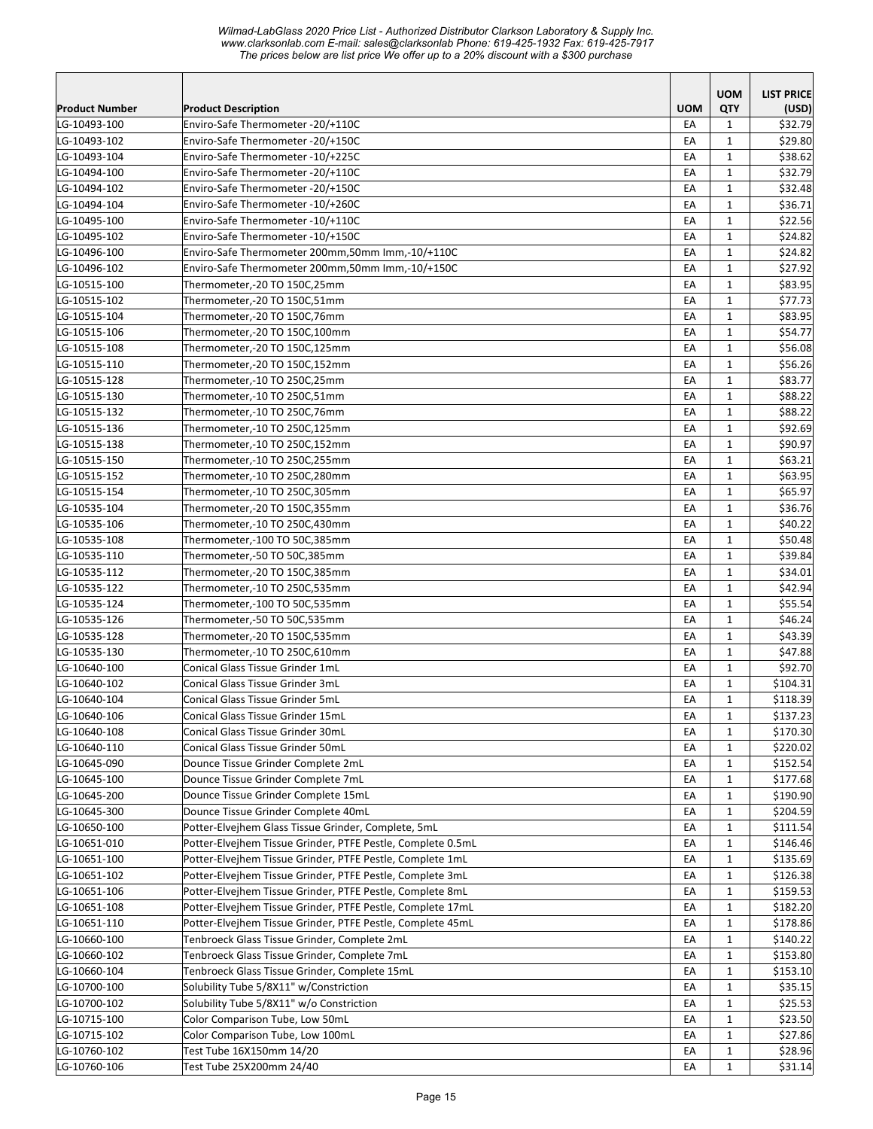|                       |                                                             |            | <b>UOM</b>   | <b>LIST PRICE</b> |
|-----------------------|-------------------------------------------------------------|------------|--------------|-------------------|
| <b>Product Number</b> | <b>Product Description</b>                                  | <b>UOM</b> | QTY          | (USD)             |
| LG-10493-100          | Enviro-Safe Thermometer -20/+110C                           | EA         | 1            | \$32.79           |
| LG-10493-102          | Enviro-Safe Thermometer -20/+150C                           | EA         | $\mathbf{1}$ | \$29.80           |
| LG-10493-104          | Enviro-Safe Thermometer -10/+225C                           | EA         | $\mathbf{1}$ | \$38.62           |
| LG-10494-100          | Enviro-Safe Thermometer -20/+110C                           | EA         | $\mathbf{1}$ | \$32.79           |
| LG-10494-102          | Enviro-Safe Thermometer -20/+150C                           | EA         | $\mathbf{1}$ | \$32.48           |
| LG-10494-104          | Enviro-Safe Thermometer -10/+260C                           | EA         | $\mathbf{1}$ | \$36.71           |
| LG-10495-100          | Enviro-Safe Thermometer -10/+110C                           | EA         | $\mathbf{1}$ | \$22.56           |
| LG-10495-102          | Enviro-Safe Thermometer -10/+150C                           | EA         | $\mathbf{1}$ | \$24.82           |
| LG-10496-100          | Enviro-Safe Thermometer 200mm,50mm Imm,-10/+110C            | EA         | $\mathbf{1}$ | \$24.82           |
| LG-10496-102          | Enviro-Safe Thermometer 200mm,50mm Imm,-10/+150C            | EA         | $\mathbf{1}$ | \$27.92           |
| LG-10515-100          | Thermometer,-20 TO 150C,25mm                                | EA         | $\mathbf{1}$ | \$83.95           |
| LG-10515-102          | Thermometer,-20 TO 150C,51mm                                | EA         | $\mathbf{1}$ | \$77.73           |
| LG-10515-104          | Thermometer,-20 TO 150C,76mm                                | EA         | $\mathbf{1}$ | \$83.95           |
| LG-10515-106          | Thermometer,-20 TO 150C,100mm                               | EA         | $\mathbf{1}$ | \$54.77           |
| LG-10515-108          | Thermometer,-20 TO 150C,125mm                               | EA         | $\mathbf{1}$ | \$56.08           |
| LG-10515-110          | Thermometer,-20 TO 150C,152mm                               | EA         | $\mathbf{1}$ | \$56.26           |
| LG-10515-128          | Thermometer,-10 TO 250C,25mm                                | EA         | $\mathbf{1}$ | \$83.77           |
| LG-10515-130          | Thermometer,-10 TO 250C,51mm                                | EA         | $\mathbf{1}$ | \$88.22           |
| LG-10515-132          | Thermometer,-10 TO 250C,76mm                                | EA         | $\mathbf{1}$ | \$88.22           |
| LG-10515-136          | Thermometer,-10 TO 250C,125mm                               | EA         | $\mathbf{1}$ | \$92.69           |
| LG-10515-138          | Thermometer,-10 TO 250C,152mm                               | EA         | $\mathbf{1}$ | \$90.97           |
| LG-10515-150          | Thermometer,-10 TO 250C,255mm                               | EA         | $\mathbf{1}$ | \$63.21           |
| LG-10515-152          | Thermometer,-10 TO 250C,280mm                               | EA         | $\mathbf{1}$ | \$63.95           |
| LG-10515-154          | Thermometer,-10 TO 250C,305mm                               | EA         | $\mathbf{1}$ | \$65.97           |
| LG-10535-104          | Thermometer,-20 TO 150C,355mm                               | EA         | $\mathbf{1}$ | \$36.76           |
| LG-10535-106          | Thermometer,-10 TO 250C,430mm                               | EA         | $\mathbf{1}$ | \$40.22           |
| LG-10535-108          | Thermometer,-100 TO 50C,385mm                               | EA         | $\mathbf{1}$ | \$50.48           |
| LG-10535-110          | Thermometer,-50 TO 50C,385mm                                | EA         | $\mathbf{1}$ | \$39.84           |
| LG-10535-112          | Thermometer,-20 TO 150C,385mm                               | EA         | $\mathbf{1}$ | \$34.01           |
| LG-10535-122          | Thermometer,-10 TO 250C,535mm                               | EA         | $\mathbf{1}$ | \$42.94           |
| LG-10535-124          | Thermometer,-100 TO 50C,535mm                               | EA         | $\mathbf{1}$ | \$55.54           |
| LG-10535-126          | Thermometer,-50 TO 50C,535mm                                | EA         | $\mathbf{1}$ | \$46.24           |
| LG-10535-128          | Thermometer,-20 TO 150C,535mm                               | EA         | $\mathbf{1}$ | \$43.39           |
| LG-10535-130          | Thermometer,-10 TO 250C,610mm                               | EA         | $\mathbf{1}$ | \$47.88           |
| LG-10640-100          | Conical Glass Tissue Grinder 1mL                            | EA         | 1            | \$92.70           |
| LG-10640-102          | Conical Glass Tissue Grinder 3mL                            | EA         | $\mathbf{1}$ | \$104.31          |
| LG-10640-104          | Conical Glass Tissue Grinder 5mL                            | EA         | $\mathbf{1}$ | \$118.39          |
| LG-10640-106          | Conical Glass Tissue Grinder 15mL                           | EA         | $\mathbf{1}$ | \$137.23          |
| LG-10640-108          | Conical Glass Tissue Grinder 30mL                           | EA         | $\mathbf{1}$ | \$170.30          |
| LG-10640-110          | Conical Glass Tissue Grinder 50mL                           | EA         | 1            | \$220.02          |
| LG-10645-090          | Dounce Tissue Grinder Complete 2mL                          | EA         | $\mathbf{1}$ | \$152.54          |
| LG-10645-100          | Dounce Tissue Grinder Complete 7mL                          | EA         | $\mathbf{1}$ | \$177.68          |
| LG-10645-200          | Dounce Tissue Grinder Complete 15mL                         | EA         | 1            | \$190.90          |
| LG-10645-300          | Dounce Tissue Grinder Complete 40mL                         | EA         | $\mathbf{1}$ | \$204.59          |
| LG-10650-100          | Potter-Elvejhem Glass Tissue Grinder, Complete, 5mL         | EA         | $\mathbf{1}$ | \$111.54          |
| LG-10651-010          | Potter-Elvejhem Tissue Grinder, PTFE Pestle, Complete 0.5mL | EA         | $\mathbf{1}$ | \$146.46          |
| LG-10651-100          | Potter-Elvejhem Tissue Grinder, PTFE Pestle, Complete 1mL   | EA         | $\mathbf{1}$ | \$135.69          |
| LG-10651-102          | Potter-Elvejhem Tissue Grinder, PTFE Pestle, Complete 3mL   | EA         | $\mathbf{1}$ | \$126.38          |
|                       | Potter-Elvejhem Tissue Grinder, PTFE Pestle, Complete 8mL   |            |              | \$159.53          |
| LG-10651-106          | Potter-Elvejhem Tissue Grinder, PTFE Pestle, Complete 17mL  | EA         | $\mathbf{1}$ |                   |
| LG-10651-108          |                                                             | EA         | 1            | \$182.20          |
| LG-10651-110          | Potter-Elvejhem Tissue Grinder, PTFE Pestle, Complete 45mL  | EA         | $\mathbf{1}$ | \$178.86          |
| LG-10660-100          | Tenbroeck Glass Tissue Grinder, Complete 2mL                | EA         | $\mathbf{1}$ | \$140.22          |
| LG-10660-102          | Tenbroeck Glass Tissue Grinder, Complete 7mL                | EA         | $\mathbf{1}$ | \$153.80          |
| LG-10660-104          | Tenbroeck Glass Tissue Grinder, Complete 15mL               | EA         | $\mathbf{1}$ | \$153.10          |
| LG-10700-100          | Solubility Tube 5/8X11" w/Constriction                      | EA         | $\mathbf{1}$ | \$35.15           |
| LG-10700-102          | Solubility Tube 5/8X11" w/o Constriction                    | EA         | $\mathbf{1}$ | \$25.53           |
| LG-10715-100          | Color Comparison Tube, Low 50mL                             | EA         | $\mathbf{1}$ | \$23.50           |
| LG-10715-102          | Color Comparison Tube, Low 100mL                            | EA         | $\mathbf{1}$ | \$27.86           |
| LG-10760-102          | Test Tube 16X150mm 14/20                                    | EA         | $\mathbf{1}$ | \$28.96           |
| LG-10760-106          | Test Tube 25X200mm 24/40                                    | EA         | $\mathbf{1}$ | \$31.14           |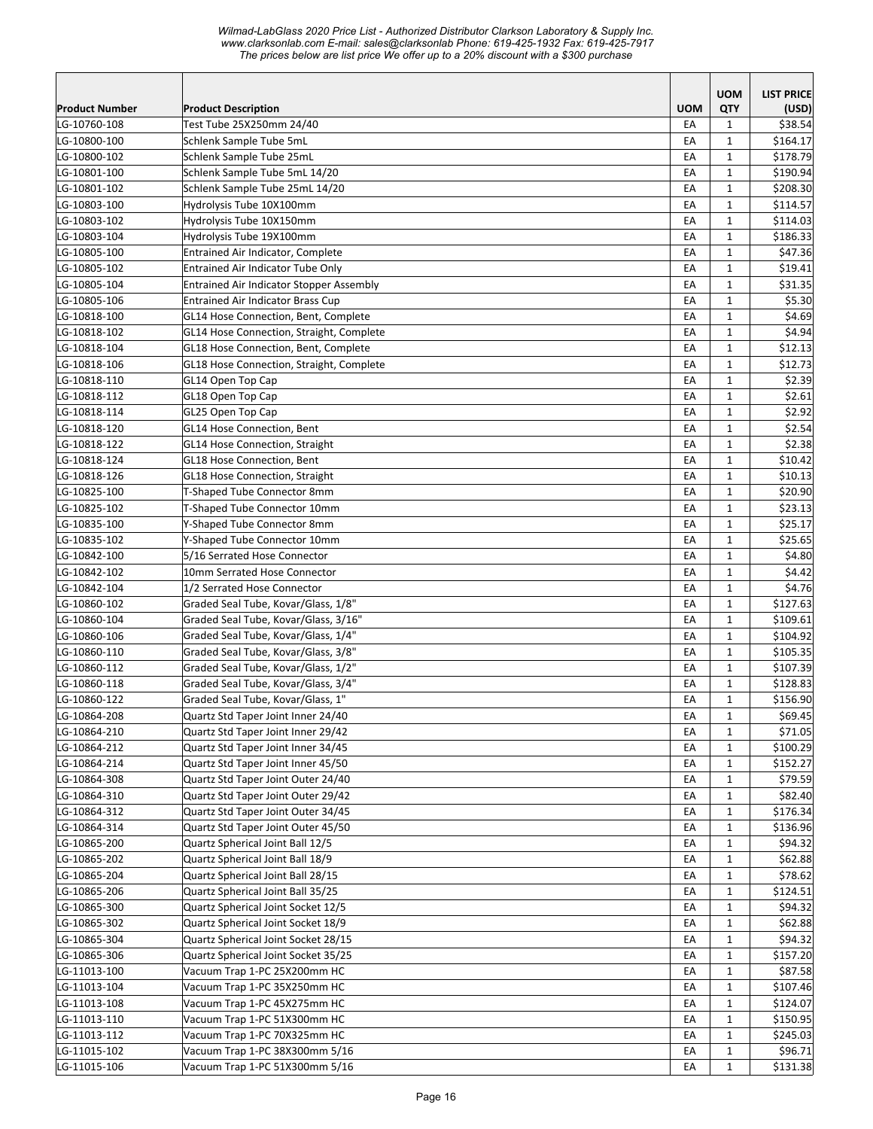|                       |                                                 |            | <b>UOM</b>        | <b>LIST PRICE</b> |
|-----------------------|-------------------------------------------------|------------|-------------------|-------------------|
| <b>Product Number</b> | <b>Product Description</b>                      | <b>UOM</b> | QTY               | (USD)             |
| LG-10760-108          | Test Tube 25X250mm 24/40                        | EA         | $\mathbf{1}$      | \$38.54           |
| LG-10800-100          | Schlenk Sample Tube 5mL                         | EA         | $\mathbf{1}$      | \$164.17          |
| LG-10800-102          | Schlenk Sample Tube 25mL                        | EA         | 1                 | \$178.79          |
| LG-10801-100          | Schlenk Sample Tube 5mL 14/20                   | EA         | $\mathbf{1}$      | \$190.94          |
| LG-10801-102          | Schlenk Sample Tube 25mL 14/20                  | EA         | $\mathbf{1}$      | \$208.30          |
| LG-10803-100          | Hydrolysis Tube 10X100mm                        | EA         | $\mathbf{1}$      | \$114.57          |
| LG-10803-102          | Hydrolysis Tube 10X150mm                        | EA         | $\mathbf{1}$      | \$114.03          |
| LG-10803-104          | Hydrolysis Tube 19X100mm                        | EA         | $\mathbf{1}$      | \$186.33          |
| LG-10805-100          | Entrained Air Indicator, Complete               | EA         | $\mathbf 1$       | \$47.36           |
| LG-10805-102          | Entrained Air Indicator Tube Only               | EA         | $\mathbf{1}$      | \$19.41           |
| LG-10805-104          | <b>Entrained Air Indicator Stopper Assembly</b> | EA         | $\mathbf{1}$      | \$31.35           |
| LG-10805-106          | Entrained Air Indicator Brass Cup               | EA         | $\mathbf{1}$      | \$5.30            |
| LG-10818-100          | GL14 Hose Connection, Bent, Complete            | EA         | $\mathbf{1}$      | \$4.69            |
| LG-10818-102          | GL14 Hose Connection, Straight, Complete        | EA         | $\mathbf{1}$      | \$4.94            |
| LG-10818-104          | GL18 Hose Connection, Bent, Complete            | EA         | $\mathbf{1}$      | \$12.13           |
| LG-10818-106          | GL18 Hose Connection, Straight, Complete        | EA         | $\mathbf{1}$      | \$12.73           |
| LG-10818-110          | GL14 Open Top Cap                               | EA         | $\mathbf{1}$      | \$2.39            |
| LG-10818-112          | GL18 Open Top Cap                               | EA         | 1                 | \$2.61            |
| LG-10818-114          | GL25 Open Top Cap                               | EA         | $\mathbf{1}$      | \$2.92            |
| LG-10818-120          | GL14 Hose Connection, Bent                      | EA         | $\mathbf{1}$      | \$2.54            |
| LG-10818-122          | GL14 Hose Connection, Straight                  | EA         | $\mathbf{1}$      | \$2.38            |
| LG-10818-124          | GL18 Hose Connection, Bent                      | EA         | $\mathbf{1}$      | \$10.42           |
| LG-10818-126          | GL18 Hose Connection, Straight                  | EA         | $\mathbf{1}$      | \$10.13           |
| LG-10825-100          | T-Shaped Tube Connector 8mm                     | EA         | $\mathbf{1}$      | \$20.90           |
| LG-10825-102          | T-Shaped Tube Connector 10mm                    | EA         | $\mathbf{1}$      | \$23.13           |
| LG-10835-100          | Y-Shaped Tube Connector 8mm                     | EA         | $\mathbf{1}$      | \$25.17           |
| LG-10835-102          | Y-Shaped Tube Connector 10mm                    | EA         | $\mathbf{1}$      | \$25.65           |
| LG-10842-100          | 5/16 Serrated Hose Connector                    | EA         | $\mathbf{1}$      | \$4.80            |
| LG-10842-102          | 10mm Serrated Hose Connector                    | EA         | $\mathbf{1}$      | \$4.42            |
| LG-10842-104          | 1/2 Serrated Hose Connector                     | EA         | $\mathbf{1}$      | \$4.76            |
| LG-10860-102          | Graded Seal Tube, Kovar/Glass, 1/8"             | EA         | $\mathbf{1}$      | \$127.63          |
| LG-10860-104          | Graded Seal Tube, Kovar/Glass, 3/16"            | EA         | $\mathbf{1}$      | \$109.61          |
| LG-10860-106          | Graded Seal Tube, Kovar/Glass, 1/4"             | EA         | $\mathbf{1}$      | \$104.92          |
| LG-10860-110          | Graded Seal Tube, Kovar/Glass, 3/8"             | EA         | $\mathbf{1}$      | \$105.35          |
| LG-10860-112          | Graded Seal Tube, Kovar/Glass, 1/2"             | EA         | $\mathbf{1}$      | \$107.39          |
| LG-10860-118          | Graded Seal Tube, Kovar/Glass, 3/4"             | EA         | $\mathbf{1}$      | \$128.83          |
| LG-10860-122          | Graded Seal Tube, Kovar/Glass, 1"               | EA         | $\mathbf{1}$      | \$156.90          |
| LG-10864-208          | Quartz Std Taper Joint Inner 24/40              | ŁА         | 1                 | \$69.45           |
| LG-10864-210          | Quartz Std Taper Joint Inner 29/42              | EA         | $\mathbf{1}$      | \$71.05           |
| LG-10864-212          | Quartz Std Taper Joint Inner 34/45              | EA         | $\mathbf{1}$      | \$100.29          |
| LG-10864-214          | Quartz Std Taper Joint Inner 45/50              | EA         | $\mathbf{1}$      | \$152.27          |
| LG-10864-308          | Quartz Std Taper Joint Outer 24/40              | EA         | $\mathbf{1}$      | \$79.59           |
| LG-10864-310          | Quartz Std Taper Joint Outer 29/42              | EA         | $\mathbf{1}$      | \$82.40           |
| LG-10864-312          | Quartz Std Taper Joint Outer 34/45              | EA         |                   | \$176.34          |
|                       | Quartz Std Taper Joint Outer 45/50              |            | 1<br>$\mathbf{1}$ | \$136.96          |
| LG-10864-314          | Quartz Spherical Joint Ball 12/5                | EA         | $\mathbf{1}$      |                   |
| LG-10865-200          |                                                 | EA         |                   | \$94.32           |
| LG-10865-202          | Quartz Spherical Joint Ball 18/9                | EA         | $\mathbf{1}$      | \$62.88           |
| LG-10865-204          | Quartz Spherical Joint Ball 28/15               | EA         | $\mathbf{1}$      | \$78.62           |
| LG-10865-206          | Quartz Spherical Joint Ball 35/25               | EA         | 1                 | \$124.51          |
| LG-10865-300          | Quartz Spherical Joint Socket 12/5              | EA         | $\mathbf{1}$      | \$94.32           |
| LG-10865-302          | Quartz Spherical Joint Socket 18/9              | EA         | $\mathbf{1}$      | \$62.88           |
| LG-10865-304          | Quartz Spherical Joint Socket 28/15             | EA         | $\mathbf{1}$      | \$94.32           |
| LG-10865-306          | Quartz Spherical Joint Socket 35/25             | EA         | $\mathbf{1}$      | \$157.20          |
| LG-11013-100          | Vacuum Trap 1-PC 25X200mm HC                    | EA         | $\mathbf 1$       | \$87.58           |
| LG-11013-104          | Vacuum Trap 1-PC 35X250mm HC                    | EA         | $\mathbf{1}$      | \$107.46          |
| LG-11013-108          | Vacuum Trap 1-PC 45X275mm HC                    | EA         | $\mathbf{1}$      | \$124.07          |
| LG-11013-110          | Vacuum Trap 1-PC 51X300mm HC                    | EA         | $\mathbf{1}$      | \$150.95          |
| LG-11013-112          | Vacuum Trap 1-PC 70X325mm HC                    | EA         | $\mathbf{1}$      | \$245.03          |
| LG-11015-102          | Vacuum Trap 1-PC 38X300mm 5/16                  | EA         | $\mathbf{1}$      | \$96.71           |
| LG-11015-106          | Vacuum Trap 1-PC 51X300mm 5/16                  | EA         | $\mathbf{1}$      | \$131.38          |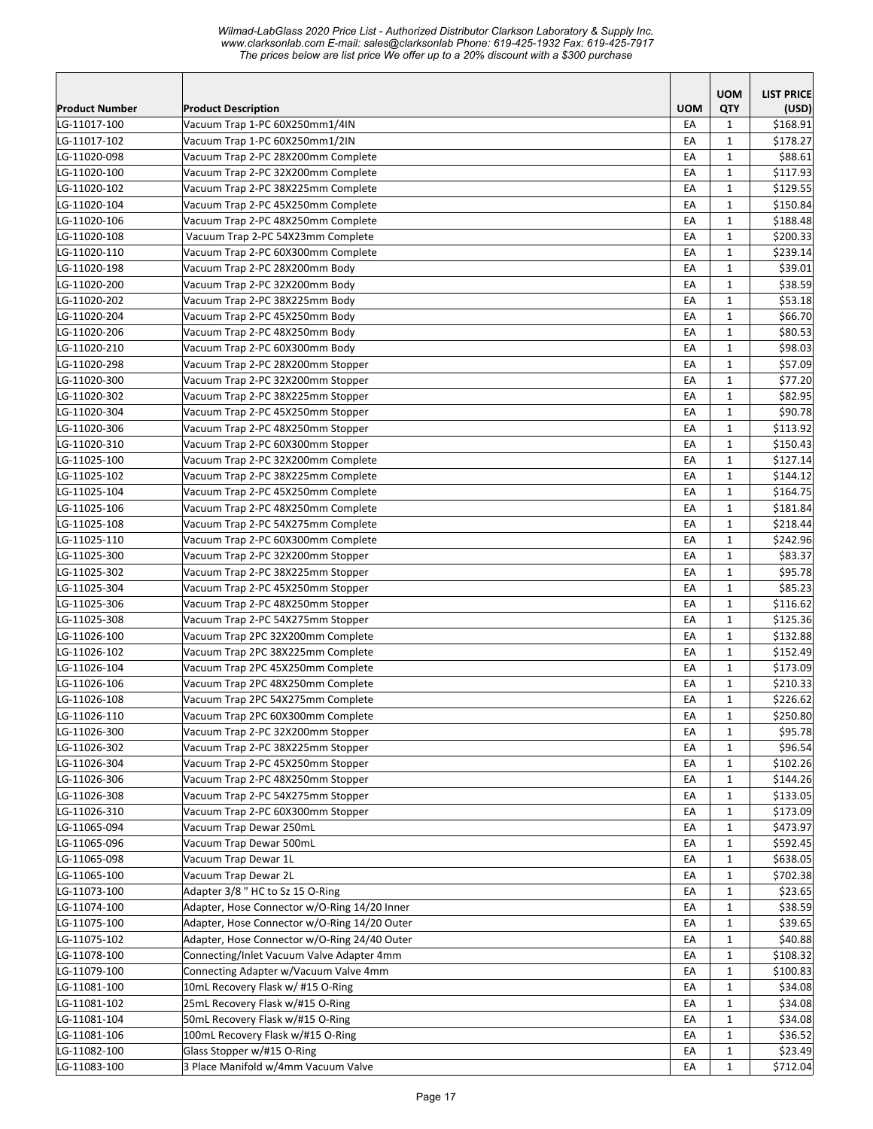|                       |                                              |            | <b>UOM</b>   | <b>LIST PRICE</b> |
|-----------------------|----------------------------------------------|------------|--------------|-------------------|
| <b>Product Number</b> | <b>Product Description</b>                   | <b>UOM</b> | QTY          | (USD)             |
| LG-11017-100          | Vacuum Trap 1-PC 60X250mm1/4IN               | EA         | $\mathbf{1}$ | \$168.91          |
| LG-11017-102          | Vacuum Trap 1-PC 60X250mm1/2IN               | EA         | $\mathbf{1}$ | \$178.27          |
| LG-11020-098          | Vacuum Trap 2-PC 28X200mm Complete           | EA         | $\mathbf{1}$ | \$88.61           |
| LG-11020-100          | Vacuum Trap 2-PC 32X200mm Complete           | EA         | $\mathbf{1}$ | \$117.93          |
| LG-11020-102          | Vacuum Trap 2-PC 38X225mm Complete           | EA         | $\mathbf{1}$ | \$129.55          |
| LG-11020-104          | Vacuum Trap 2-PC 45X250mm Complete           | EA         | $\mathbf{1}$ | \$150.84          |
| LG-11020-106          | Vacuum Trap 2-PC 48X250mm Complete           | EA         | $\mathbf{1}$ | \$188.48          |
| LG-11020-108          | Vacuum Trap 2-PC 54X23mm Complete            | EA         | $\mathbf{1}$ | \$200.33          |
| LG-11020-110          | Vacuum Trap 2-PC 60X300mm Complete           | EA         | $\mathbf{1}$ | \$239.14          |
| LG-11020-198          | Vacuum Trap 2-PC 28X200mm Body               | EA         | $\mathbf{1}$ | \$39.01           |
| LG-11020-200          | Vacuum Trap 2-PC 32X200mm Body               | EA         | $\mathbf{1}$ | \$38.59           |
| LG-11020-202          | Vacuum Trap 2-PC 38X225mm Body               | EA         | $\mathbf{1}$ | \$53.18           |
| LG-11020-204          | Vacuum Trap 2-PC 45X250mm Body               | EA         | $\mathbf{1}$ | \$66.70           |
| LG-11020-206          | Vacuum Trap 2-PC 48X250mm Body               | EA         | 1            | \$80.53           |
| LG-11020-210          | Vacuum Trap 2-PC 60X300mm Body               | EA         | $\mathbf{1}$ | \$98.03           |
| LG-11020-298          | Vacuum Trap 2-PC 28X200mm Stopper            | EA         | $\mathbf{1}$ | \$57.09           |
| LG-11020-300          | Vacuum Trap 2-PC 32X200mm Stopper            | EA         | $\mathbf{1}$ | \$77.20           |
| LG-11020-302          | Vacuum Trap 2-PC 38X225mm Stopper            | EA         | $\mathbf{1}$ | \$82.95           |
| LG-11020-304          | Vacuum Trap 2-PC 45X250mm Stopper            | EA         | $\mathbf{1}$ | \$90.78           |
| LG-11020-306          | Vacuum Trap 2-PC 48X250mm Stopper            | EA         | $\mathbf{1}$ | \$113.92          |
| LG-11020-310          | Vacuum Trap 2-PC 60X300mm Stopper            | EA         | $\mathbf{1}$ | \$150.43          |
| LG-11025-100          | Vacuum Trap 2-PC 32X200mm Complete           | EA         | $\mathbf{1}$ | \$127.14          |
| LG-11025-102          | Vacuum Trap 2-PC 38X225mm Complete           | EA         | $\mathbf{1}$ | \$144.12          |
| LG-11025-104          | Vacuum Trap 2-PC 45X250mm Complete           | EA         | $\mathbf{1}$ | \$164.75          |
| LG-11025-106          | Vacuum Trap 2-PC 48X250mm Complete           | EA         | $\mathbf{1}$ | \$181.84          |
| LG-11025-108          | Vacuum Trap 2-PC 54X275mm Complete           | EA         | $\mathbf{1}$ | \$218.44          |
| LG-11025-110          | Vacuum Trap 2-PC 60X300mm Complete           | EA         | $\mathbf{1}$ | \$242.96          |
| LG-11025-300          | Vacuum Trap 2-PC 32X200mm Stopper            | EA         | $\mathbf{1}$ | \$83.37           |
| LG-11025-302          | Vacuum Trap 2-PC 38X225mm Stopper            | EA         | $\mathbf{1}$ | \$95.78           |
| LG-11025-304          | Vacuum Trap 2-PC 45X250mm Stopper            | EA         | $\mathbf{1}$ | \$85.23           |
| LG-11025-306          | Vacuum Trap 2-PC 48X250mm Stopper            | EA         | $\mathbf{1}$ | \$116.62          |
| LG-11025-308          | Vacuum Trap 2-PC 54X275mm Stopper            | EA         | $\mathbf{1}$ | \$125.36          |
| LG-11026-100          | Vacuum Trap 2PC 32X200mm Complete            | EA         | $\mathbf{1}$ | \$132.88          |
| LG-11026-102          | Vacuum Trap 2PC 38X225mm Complete            | EA         | $\mathbf{1}$ | \$152.49          |
| LG-11026-104          | Vacuum Trap 2PC 45X250mm Complete            | EA         | $\mathbf{1}$ | \$173.09          |
| LG-11026-106          | Vacuum Trap 2PC 48X250mm Complete            | EA         | $\mathbf{1}$ | \$210.33          |
| LG-11026-108          | Vacuum Trap 2PC 54X275mm Complete            | EA         | $\mathbf{1}$ | \$226.62          |
| LG-11026-110          | Vacuum Trap 2PC 60X300mm Complete            | EA         | $\mathbf 1$  | \$250.80          |
| LG-11026-300          | Vacuum Trap 2-PC 32X200mm Stopper            | EA         | $\mathbf{1}$ | \$95.78           |
| LG-11026-302          | Vacuum Trap 2-PC 38X225mm Stopper            | EA         | $\mathbf{1}$ | \$96.54           |
| LG-11026-304          | Vacuum Trap 2-PC 45X250mm Stopper            | EA         | $\mathbf{1}$ | \$102.26          |
| LG-11026-306          | Vacuum Trap 2-PC 48X250mm Stopper            | EA         | $\mathbf{1}$ | \$144.26          |
| LG-11026-308          | Vacuum Trap 2-PC 54X275mm Stopper            | EA         | $\mathbf{1}$ | \$133.05          |
| LG-11026-310          | Vacuum Trap 2-PC 60X300mm Stopper            | EA         | 1            | \$173.09          |
| LG-11065-094          | Vacuum Trap Dewar 250mL                      | EA         | $\mathbf{1}$ | \$473.97          |
| LG-11065-096          | Vacuum Trap Dewar 500mL                      | EA         | $\mathbf{1}$ | \$592.45          |
| LG-11065-098          | Vacuum Trap Dewar 1L                         | EA         | $\mathbf{1}$ | \$638.05          |
| LG-11065-100          | Vacuum Trap Dewar 2L                         | EA         | $\mathbf{1}$ | \$702.38          |
| LG-11073-100          | Adapter 3/8" HC to Sz 15 O-Ring              | EA         | $\mathbf{1}$ | \$23.65           |
| LG-11074-100          | Adapter, Hose Connector w/O-Ring 14/20 Inner | EA         | $\mathbf{1}$ | \$38.59           |
| LG-11075-100          | Adapter, Hose Connector w/O-Ring 14/20 Outer | EA         | $\mathbf{1}$ | \$39.65           |
| LG-11075-102          | Adapter, Hose Connector w/O-Ring 24/40 Outer | EA         | $\mathbf{1}$ | \$40.88           |
| LG-11078-100          | Connecting/Inlet Vacuum Valve Adapter 4mm    | EA         | $\mathbf{1}$ | \$108.32          |
| LG-11079-100          | Connecting Adapter w/Vacuum Valve 4mm        | EA         | $\mathbf 1$  | \$100.83          |
| LG-11081-100          | 10mL Recovery Flask w/ #15 O-Ring            | EA         | $\mathbf{1}$ | \$34.08           |
| LG-11081-102          | 25mL Recovery Flask w/#15 O-Ring             | EA         | $\mathbf{1}$ | \$34.08           |
| LG-11081-104          | 50mL Recovery Flask w/#15 O-Ring             | EA         | $\mathbf{1}$ | \$34.08           |
| LG-11081-106          | 100mL Recovery Flask w/#15 O-Ring            | EA         | 1            | \$36.52           |
| LG-11082-100          | Glass Stopper w/#15 O-Ring                   | EA         | $\mathbf{1}$ | \$23.49           |
| LG-11083-100          | 3 Place Manifold w/4mm Vacuum Valve          | EA         | $\mathbf{1}$ | \$712.04          |
|                       |                                              |            |              |                   |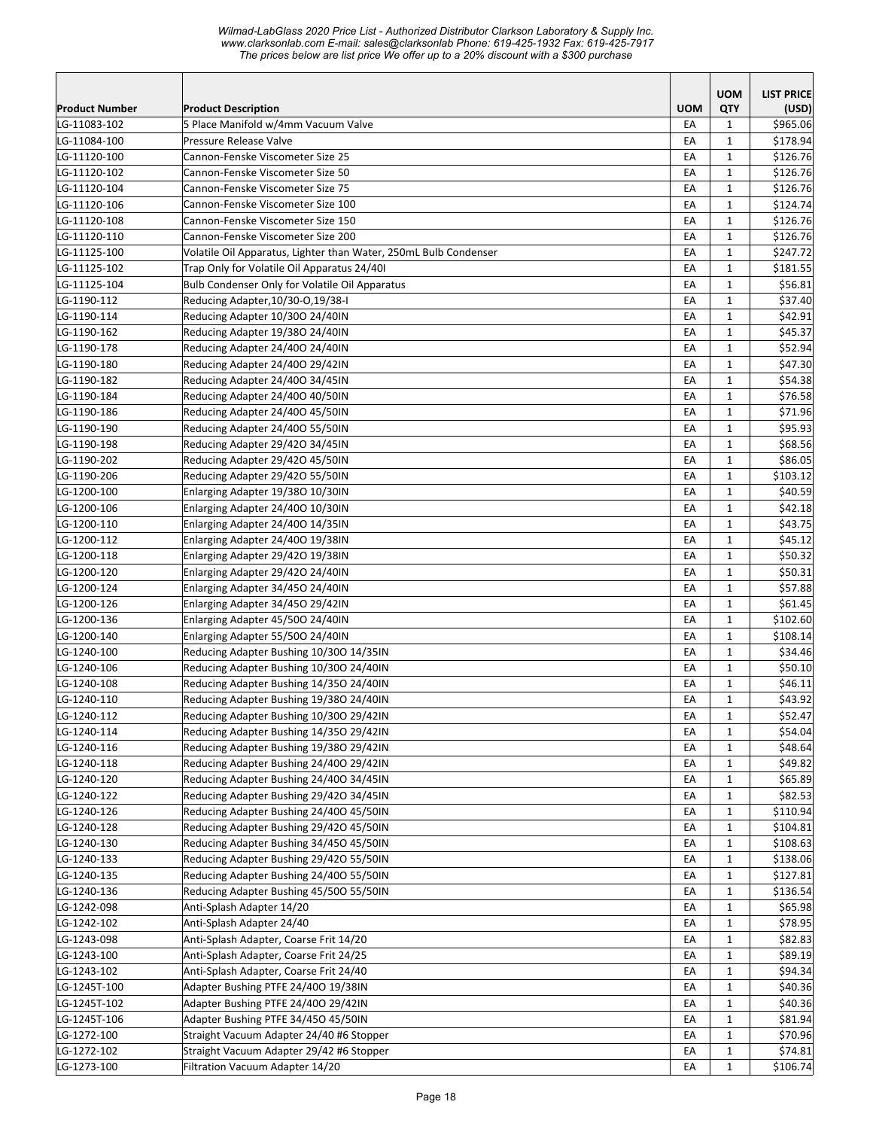|                            |                                                                  |            | <b>UOM</b>   | <b>LIST PRICE</b> |
|----------------------------|------------------------------------------------------------------|------------|--------------|-------------------|
| Product Number             | <b>Product Description</b>                                       | <b>UOM</b> | QTY          | (USD)             |
| LG-11083-102               | 5 Place Manifold w/4mm Vacuum Valve                              | EA         | $\mathbf{1}$ | \$965.06          |
| LG-11084-100               | Pressure Release Valve                                           | EA         | $\mathbf{1}$ | \$178.94          |
| LG-11120-100               | Cannon-Fenske Viscometer Size 25                                 | EA         | $\mathbf{1}$ | \$126.76          |
| LG-11120-102               | Cannon-Fenske Viscometer Size 50                                 | EA         | $\mathbf{1}$ | \$126.76          |
| LG-11120-104               | Cannon-Fenske Viscometer Size 75                                 | EA         | $\mathbf{1}$ | \$126.76          |
| LG-11120-106               | Cannon-Fenske Viscometer Size 100                                | EA         | $\mathbf{1}$ | \$124.74          |
| LG-11120-108               | Cannon-Fenske Viscometer Size 150                                | EA         | $\mathbf{1}$ | \$126.76          |
| LG-11120-110               | Cannon-Fenske Viscometer Size 200                                | EA         | $\mathbf{1}$ | \$126.76          |
| LG-11125-100               | Volatile Oil Apparatus, Lighter than Water, 250mL Bulb Condenser | EA         | $\mathbf{1}$ | \$247.72          |
| LG-11125-102               | Trap Only for Volatile Oil Apparatus 24/40I                      | EA         | $\mathbf{1}$ | \$181.55          |
| LG-11125-104               | Bulb Condenser Only for Volatile Oil Apparatus                   | EA         | $\mathbf{1}$ | \$56.81           |
| LG-1190-112                | Reducing Adapter, 10/30-0, 19/38-I                               | EA         | $\mathbf{1}$ | \$37.40           |
| LG-1190-114                | Reducing Adapter 10/300 24/40IN                                  | EA         | $\mathbf{1}$ | \$42.91           |
| LG-1190-162                | Reducing Adapter 19/380 24/40IN                                  | EA         | 1            | \$45.37           |
| LG-1190-178                | Reducing Adapter 24/400 24/40IN                                  | EA         | $\mathbf{1}$ | \$52.94           |
| LG-1190-180                | Reducing Adapter 24/400 29/42IN                                  | EA         | $\mathbf{1}$ | \$47.30           |
| LG-1190-182                | Reducing Adapter 24/400 34/45IN                                  | EA         | $\mathbf{1}$ | \$54.38           |
| LG-1190-184                | Reducing Adapter 24/400 40/50IN                                  | EA         | $\mathbf{1}$ | \$76.58           |
| LG-1190-186                | Reducing Adapter 24/400 45/50IN                                  | EA         | $\mathbf{1}$ | \$71.96           |
| LG-1190-190                | Reducing Adapter 24/400 55/50IN                                  | EA         | $\mathbf{1}$ | \$95.93           |
| LG-1190-198                | Reducing Adapter 29/420 34/45IN                                  | EA         | $\mathbf{1}$ | \$68.56           |
| LG-1190-202                | Reducing Adapter 29/420 45/50IN                                  | EA         | $\mathbf{1}$ | \$86.05           |
| LG-1190-206                | Reducing Adapter 29/420 55/50IN                                  | EA         | $\mathbf{1}$ | \$103.12          |
| LG-1200-100                | Enlarging Adapter 19/380 10/30IN                                 | EA         | $\mathbf{1}$ | \$40.59           |
| LG-1200-106                | Enlarging Adapter 24/400 10/30IN                                 | EA         | $\mathbf{1}$ | \$42.18           |
| LG-1200-110                | Enlarging Adapter 24/400 14/35IN                                 | EA         | $\mathbf{1}$ | \$43.75           |
| LG-1200-112                | Enlarging Adapter 24/400 19/38IN                                 | EA         | $\mathbf{1}$ | \$45.12           |
| LG-1200-118                | Enlarging Adapter 29/420 19/38IN                                 | EA         | $\mathbf{1}$ | \$50.32           |
| LG-1200-120                | Enlarging Adapter 29/420 24/40IN                                 | EA         | 1            | \$50.31           |
| LG-1200-124                | Enlarging Adapter 34/450 24/40IN                                 | EA         | $\mathbf{1}$ | \$57.88           |
| LG-1200-126                | Enlarging Adapter 34/450 29/42IN                                 | EA         | $\mathbf{1}$ | \$61.45           |
| LG-1200-136                | Enlarging Adapter 45/500 24/40IN                                 | EA         | $\mathbf{1}$ | \$102.60          |
| LG-1200-140                | Enlarging Adapter 55/500 24/40IN                                 | EA         | $\mathbf{1}$ | \$108.14          |
| LG-1240-100                | Reducing Adapter Bushing 10/300 14/35IN                          | EA         | $\mathbf{1}$ | \$34.46           |
| LG-1240-106                | Reducing Adapter Bushing 10/300 24/40IN                          | EA         | $\mathbf{1}$ | \$50.10           |
| LG-1240-108                | Reducing Adapter Bushing 14/350 24/40IN                          | EA         | $\mathbf{1}$ | \$46.11           |
| LG-1240-110                | Reducing Adapter Bushing 19/380 24/40IN                          | EA         | $\mathbf{1}$ | \$43.92           |
| LG-1240-112                | Reducing Adapter Bushing 10/300 29/42IN                          | EA         | $\mathbf 1$  | \$52.47           |
| LG-1240-114                | Reducing Adapter Bushing 14/350 29/42IN                          | EA         | $\mathbf{1}$ | \$54.04           |
| LG-1240-116                | Reducing Adapter Bushing 19/380 29/42IN                          | EA         | $\mathbf{1}$ | \$48.64           |
| LG-1240-118                | Reducing Adapter Bushing 24/400 29/42IN                          | EA         | 1            | \$49.82           |
| LG-1240-120                | Reducing Adapter Bushing 24/400 34/45IN                          | EA         | $\mathbf{1}$ | \$65.89           |
| LG-1240-122                | Reducing Adapter Bushing 29/420 34/45IN                          | EA         | $\mathbf{1}$ | \$82.53           |
| LG-1240-126                | Reducing Adapter Bushing 24/400 45/50IN                          | EA         | $\mathbf{1}$ | \$110.94          |
| LG-1240-128                | Reducing Adapter Bushing 29/420 45/50IN                          | EA         | $\mathbf{1}$ | \$104.81          |
| LG-1240-130                | Reducing Adapter Bushing 34/450 45/50IN                          | EA         | $\mathbf{1}$ | \$108.63          |
| LG-1240-133                | Reducing Adapter Bushing 29/420 55/50IN                          | EA         | $\mathbf 1$  | \$138.06          |
| LG-1240-135                | Reducing Adapter Bushing 24/400 55/50IN                          | EA         | $\mathbf{1}$ | \$127.81          |
| LG-1240-136                | Reducing Adapter Bushing 45/500 55/50IN                          | EA         | $\mathbf{1}$ | \$136.54          |
| LG-1242-098                | Anti-Splash Adapter 14/20                                        | EA         | $\mathbf{1}$ | \$65.98           |
| LG-1242-102                | Anti-Splash Adapter 24/40                                        | EA         | $\mathbf{1}$ | \$78.95           |
|                            | Anti-Splash Adapter, Coarse Frit 14/20                           | EA         | $\mathbf{1}$ | \$82.83           |
| LG-1243-098<br>LG-1243-100 | Anti-Splash Adapter, Coarse Frit 24/25                           | EA         | $\mathbf{1}$ | \$89.19           |
| LG-1243-102                |                                                                  |            | $\mathbf{1}$ | \$94.34           |
|                            | Anti-Splash Adapter, Coarse Frit 24/40                           | EA         |              |                   |
| LG-1245T-100               | Adapter Bushing PTFE 24/400 19/38IN                              | EA         | $\mathbf{1}$ | \$40.36           |
| LG-1245T-102               | Adapter Bushing PTFE 24/400 29/42IN                              | EA         | $\mathbf{1}$ | \$40.36           |
| LG-1245T-106               | Adapter Bushing PTFE 34/450 45/50IN                              | EA         | $\mathbf{1}$ | \$81.94           |
| LG-1272-100                | Straight Vacuum Adapter 24/40 #6 Stopper                         | EA         | $\mathbf{1}$ | \$70.96           |
| LG-1272-102                | Straight Vacuum Adapter 29/42 #6 Stopper                         | EA         | $\mathbf{1}$ | \$74.81           |
| LG-1273-100                | Filtration Vacuum Adapter 14/20                                  | EA         | $\mathbf{1}$ | \$106.74          |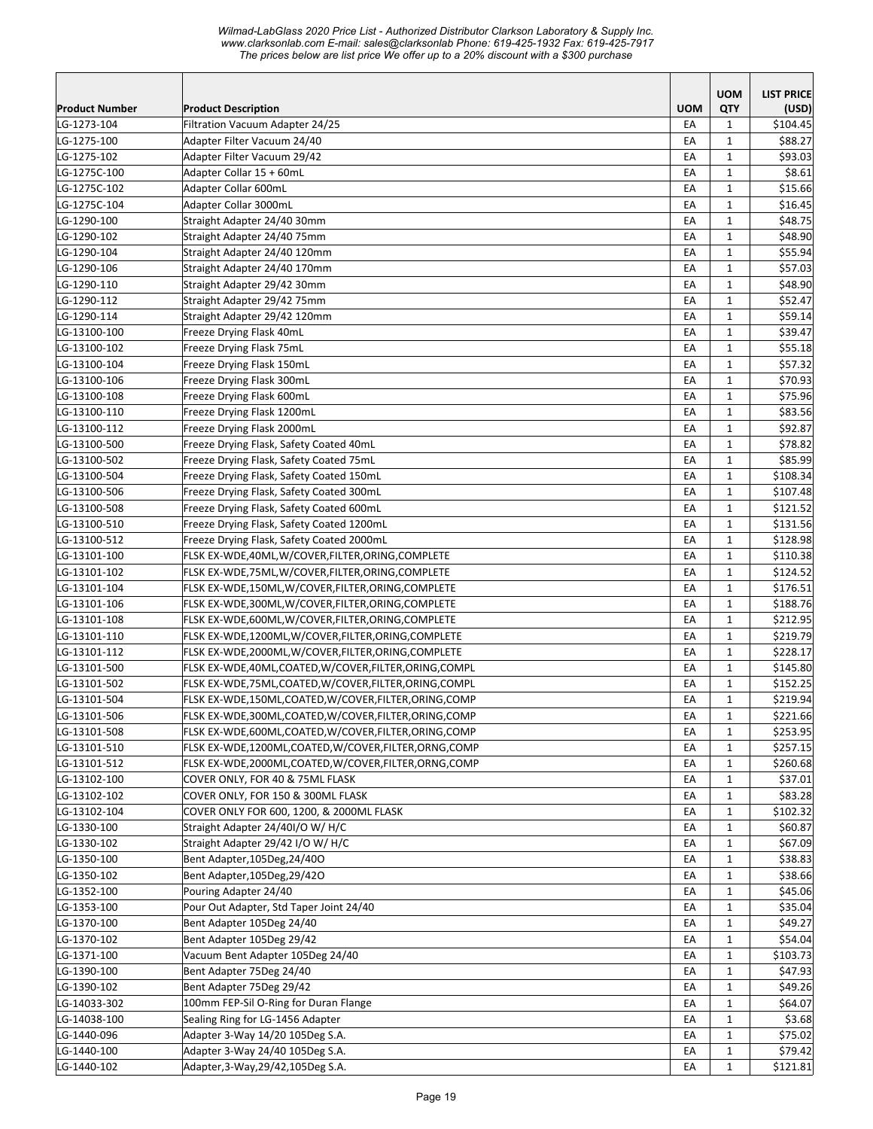*Wilmad-LabGlass 2020 Price List - Authorized Distributor Clarkson Laboratory & Supply Inc. www.clarksonlab.com E-mail: sales@clarksonlab Phone: 619-425-1932 Fax: 619-425-7917 The prices below are list price We offer up to a 20% discount with a \$300 purchase* 

|                            |                                                                    |            | <b>UOM</b>                   | <b>LIST PRICE</b>  |
|----------------------------|--------------------------------------------------------------------|------------|------------------------------|--------------------|
| <b>Product Number</b>      | <b>Product Description</b>                                         | <b>UOM</b> | QTY                          | (USD)              |
| LG-1273-104                | Filtration Vacuum Adapter 24/25                                    | EA         | $\mathbf{1}$                 | \$104.45           |
| LG-1275-100                | Adapter Filter Vacuum 24/40                                        | EA         | $\mathbf{1}$                 | \$88.27            |
| LG-1275-102                | Adapter Filter Vacuum 29/42                                        | EA         | $\mathbf{1}$                 | \$93.03            |
| LG-1275C-100               | Adapter Collar 15 + 60mL                                           | EA         | $\mathbf{1}$                 | \$8.61             |
| LG-1275C-102               | Adapter Collar 600mL                                               | EA         | $\mathbf{1}$                 | \$15.66            |
| LG-1275C-104               | Adapter Collar 3000mL                                              | EA         | $\mathbf{1}$                 | \$16.45            |
| LG-1290-100                | Straight Adapter 24/40 30mm                                        | EA         | $\mathbf{1}$                 | \$48.75            |
| LG-1290-102                | Straight Adapter 24/40 75mm                                        | EA         | $\mathbf{1}$                 | \$48.90            |
| LG-1290-104                | Straight Adapter 24/40 120mm                                       | EA         | $\mathbf{1}$                 | \$55.94            |
| LG-1290-106                | Straight Adapter 24/40 170mm                                       | EA         | $\mathbf{1}$                 | \$57.03            |
| LG-1290-110                | Straight Adapter 29/42 30mm                                        | EA         | $\mathbf{1}$                 | \$48.90            |
| LG-1290-112                | Straight Adapter 29/42 75mm                                        | EA         | 1                            | \$52.47            |
| LG-1290-114                | Straight Adapter 29/42 120mm                                       | EA         | $\mathbf{1}$                 | \$59.14            |
| LG-13100-100               | Freeze Drying Flask 40mL                                           | EA         | $\mathbf{1}$                 | \$39.47            |
| LG-13100-102               | Freeze Drying Flask 75mL                                           | EA         | $\mathbf{1}$                 | \$55.18            |
| LG-13100-104               | Freeze Drying Flask 150mL                                          | EA         | $\mathbf{1}$                 | \$57.32            |
| LG-13100-106               | Freeze Drying Flask 300mL                                          | EA         | $\mathbf{1}$                 | \$70.93            |
| LG-13100-108               | Freeze Drying Flask 600mL                                          | EA         | $\mathbf{1}$                 | \$75.96            |
| LG-13100-110               | Freeze Drying Flask 1200mL                                         | EA         | $\mathbf{1}$                 | \$83.56            |
| LG-13100-112               | Freeze Drying Flask 2000mL                                         | EA         | $\mathbf{1}$                 | \$92.87            |
| LG-13100-500               | Freeze Drying Flask, Safety Coated 40mL                            | EA         | $\mathbf{1}$                 | \$78.82            |
| LG-13100-502               | Freeze Drying Flask, Safety Coated 75mL                            | EA         | $\mathbf{1}$                 | \$85.99            |
| LG-13100-504               | Freeze Drying Flask, Safety Coated 150mL                           | EA         | $\mathbf{1}$                 | \$108.34           |
| LG-13100-506               | Freeze Drying Flask, Safety Coated 300mL                           | EA         | $\mathbf{1}$                 | \$107.48           |
| LG-13100-508               | Freeze Drying Flask, Safety Coated 600mL                           | EA         | $\mathbf{1}$                 | \$121.52           |
| LG-13100-510               | Freeze Drying Flask, Safety Coated 1200mL                          | EA         | $\mathbf{1}$                 | \$131.56           |
| LG-13100-512               | Freeze Drying Flask, Safety Coated 2000mL                          | EA         | 1                            | \$128.98           |
| LG-13101-100               | FLSK EX-WDE,40ML,W/COVER,FILTER,ORING,COMPLETE                     | EA         | $\mathbf{1}$                 | \$110.38           |
| LG-13101-102               | FLSK EX-WDE,75ML,W/COVER,FILTER,ORING,COMPLETE                     | EA         | $\mathbf{1}$                 | \$124.52           |
| LG-13101-104               | FLSK EX-WDE,150ML,W/COVER,FILTER,ORING,COMPLETE                    | EA         | $\mathbf{1}$                 | \$176.51           |
| LG-13101-106               | FLSK EX-WDE,300ML,W/COVER,FILTER,ORING,COMPLETE                    | EA         | $\mathbf{1}$                 | \$188.76           |
| LG-13101-108               | FLSK EX-WDE,600ML,W/COVER,FILTER,ORING,COMPLETE                    | EA         | $\mathbf{1}$                 | \$212.95           |
| LG-13101-110               | FLSK EX-WDE,1200ML,W/COVER,FILTER,ORING,COMPLETE                   | EA         | $\mathbf{1}$                 | \$219.79           |
| LG-13101-112               | FLSK EX-WDE,2000ML,W/COVER,FILTER,ORING,COMPLETE                   | EA         | $\mathbf{1}$                 | \$228.17           |
| LG-13101-500               | FLSK EX-WDE,40ML,COATED,W/COVER,FILTER,ORING,COMPL                 | EA         | $\mathbf{1}$                 | \$145.80           |
| LG-13101-502               | FLSK EX-WDE,75ML,COATED,W/COVER,FILTER,ORING,COMPL                 | EA         | $\mathbf{1}$                 | \$152.25           |
| LG-13101-504               | FLSK EX-WDE,150ML,COATED,W/COVER,FILTER,ORING,COMP                 | EA         | $\mathbf{1}$                 | \$219.94           |
| LG-13101-506               | FLSK EX-WDE,300ML,COATED,W/COVER,FILTER,ORING,COMP                 | EA         | $\mathbf 1$                  | \$221.66           |
| LG-13101-508               | FLSK EX-WDE,600ML,COATED,W/COVER,FILTER,ORING,COMP                 | EA         | 1                            | \$253.95           |
| LG-13101-510               | FLSK EX-WDE,1200ML,COATED,W/COVER,FILTER,ORNG,COMP                 | EA         | $\mathbf{1}$                 | \$257.15           |
| LG-13101-512               | FLSK EX-WDE,2000ML,COATED,W/COVER,FILTER,ORNG,COMP                 | EA         | 1                            | \$260.68           |
| LG-13102-100               | COVER ONLY, FOR 40 & 75ML FLASK                                    | EA         | 1                            | \$37.01            |
| LG-13102-102               | COVER ONLY, FOR 150 & 300ML FLASK                                  | EA         | $\mathbf{1}$                 | \$83.28            |
| LG-13102-104               | COVER ONLY FOR 600, 1200, & 2000ML FLASK                           | EA         | $\mathbf{1}$                 | \$102.32           |
| LG-1330-100                | Straight Adapter 24/40I/O W/ H/C                                   | EA         | $\mathbf{1}$                 | \$60.87            |
| LG-1330-102                | Straight Adapter 29/42 I/O W/ H/C                                  | EA         | $\mathbf{1}$                 | \$67.09            |
| LG-1350-100                | Bent Adapter, 105Deg, 24/40O                                       | EA         | $\mathbf{1}$                 | \$38.83            |
| LG-1350-102                | Bent Adapter, 105Deg, 29/42O                                       | EA         | $\mathbf{1}$                 | \$38.66            |
| LG-1352-100                | Pouring Adapter 24/40                                              | EA         | $\mathbf{1}$                 | \$45.06            |
| LG-1353-100                | Pour Out Adapter, Std Taper Joint 24/40                            | EA         | $\mathbf{1}$                 | \$35.04            |
| LG-1370-100                | Bent Adapter 105Deg 24/40                                          | EA         | $\mathbf{1}$                 | \$49.27            |
| LG-1370-102                | Bent Adapter 105Deg 29/42                                          | EA         | $\mathbf{1}$                 | \$54.04            |
| LG-1371-100                | Vacuum Bent Adapter 105Deg 24/40                                   | EA         | $\mathbf{1}$                 | \$103.73           |
| LG-1390-100                | Bent Adapter 75Deg 24/40                                           | EA         | $\mathbf{1}$                 | \$47.93            |
| LG-1390-102                | Bent Adapter 75Deg 29/42                                           | EA         | $\mathbf{1}$                 | \$49.26            |
| LG-14033-302               | 100mm FEP-Sil O-Ring for Duran Flange                              | EА         | $\mathbf{1}$                 | \$64.07            |
| LG-14038-100               | Sealing Ring for LG-1456 Adapter                                   | EA         | 1                            | \$3.68             |
| LG-1440-096<br>LG-1440-100 | Adapter 3-Way 14/20 105Deg S.A.<br>Adapter 3-Way 24/40 105Deg S.A. | EA         | 1                            | \$75.02<br>\$79.42 |
| LG-1440-102                | Adapter, 3-Way, 29/42, 105Deg S.A.                                 | EA<br>EA   | $\mathbf{1}$<br>$\mathbf{1}$ | \$121.81           |
|                            |                                                                    |            |                              |                    |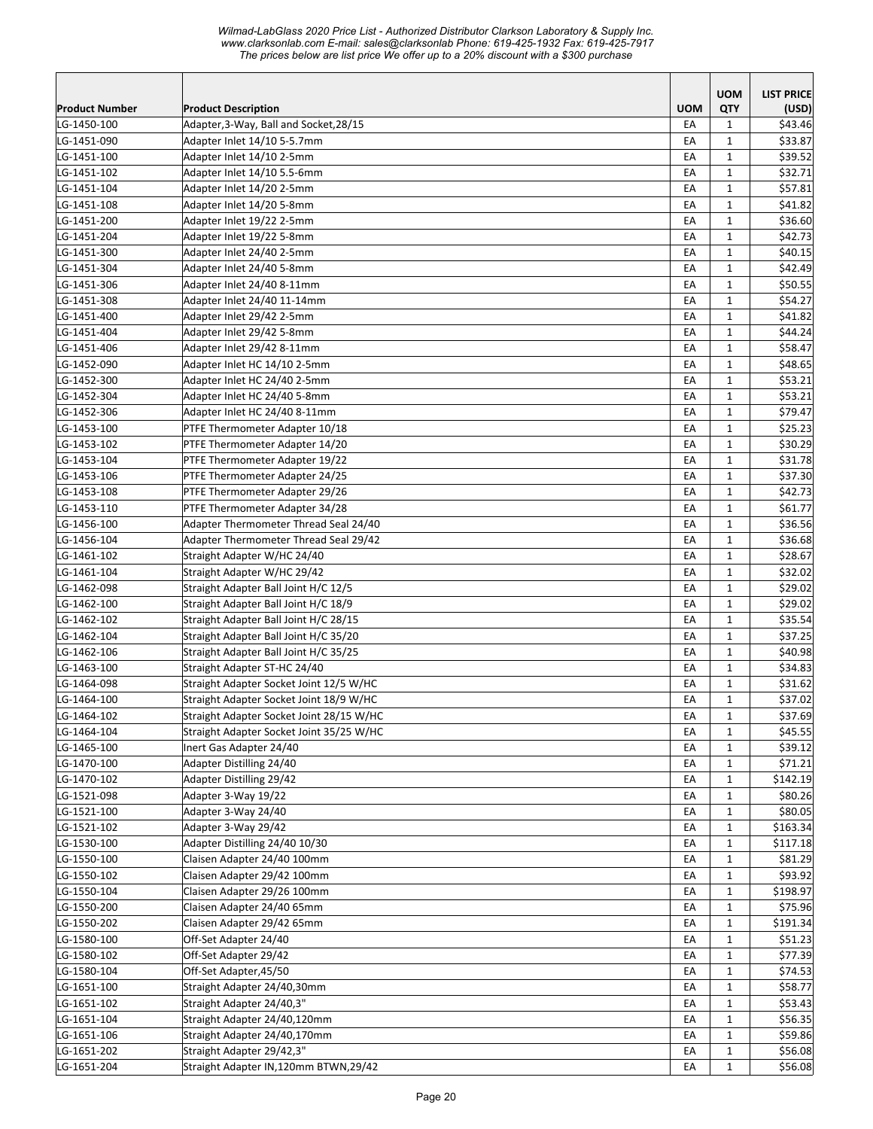| <b>UOM</b><br><b>LIST PRICE</b><br><b>UOM</b><br>QTY<br><b>Product Number</b><br><b>Product Description</b><br>(USD)<br>EA<br>\$43.46<br>LG-1450-100<br>Adapter, 3-Way, Ball and Socket, 28/15<br>$\mathbf{1}$<br>Adapter Inlet 14/10 5-5.7mm<br>\$33.87<br>LG-1451-090<br>EA<br>1<br>LG-1451-100<br>Adapter Inlet 14/10 2-5mm<br>\$39.52<br>EA<br>1<br>LG-1451-102<br>Adapter Inlet 14/10 5.5-6mm<br>\$32.71<br>EA<br>$\mathbf{1}$<br>LG-1451-104<br>Adapter Inlet 14/20 2-5mm<br>EA<br>$\mathbf{1}$<br>\$57.81<br>LG-1451-108<br>Adapter Inlet 14/20 5-8mm<br>\$41.82<br>EA<br>$\mathbf{1}$<br>Adapter Inlet 19/22 2-5mm<br>EA<br>$\mathbf{1}$<br>\$36.60<br>LG-1451-200<br>Adapter Inlet 19/22 5-8mm<br>EA<br>$\mathbf{1}$<br>\$42.73<br>LG-1451-204<br>$\mathbf 1$<br>Adapter Inlet 24/40 2-5mm<br>EA<br>\$40.15<br>LG-1451-300<br>LG-1451-304<br>Adapter Inlet 24/40 5-8mm<br>EA<br>$\mathbf 1$<br>\$42.49<br>LG-1451-306<br>Adapter Inlet 24/40 8-11mm<br>EA<br>$\mathbf{1}$<br>\$50.55<br>LG-1451-308<br>Adapter Inlet 24/40 11-14mm<br>EA<br>$\mathbf{1}$<br>\$54.27<br>LG-1451-400<br>Adapter Inlet 29/42 2-5mm<br>EA<br>$\mathbf 1$<br>\$41.82<br>Adapter Inlet 29/42 5-8mm<br>\$44.24<br>LG-1451-404<br>EA<br>$\mathbf{1}$<br>Adapter Inlet 29/42 8-11mm<br>EA<br>$\mathbf{1}$<br>\$58.47<br>LG-1451-406<br>Adapter Inlet HC 14/10 2-5mm<br>EA<br>$\mathbf{1}$<br>\$48.65<br>LG-1452-090<br>Adapter Inlet HC 24/40 2-5mm<br>\$53.21<br>LG-1452-300<br>EA<br>$\mathbf{1}$<br>Adapter Inlet HC 24/40 5-8mm<br>\$53.21<br>LG-1452-304<br>EA<br>$\mathbf{1}$<br>Adapter Inlet HC 24/40 8-11mm<br>\$79.47<br>LG-1452-306<br>EA<br>$\mathbf{1}$<br>LG-1453-100<br>PTFE Thermometer Adapter 10/18<br>EA<br>$\mathbf{1}$<br>\$25.23<br>LG-1453-102<br>PTFE Thermometer Adapter 14/20<br>\$30.29<br>EA<br>$\mathbf{1}$<br>PTFE Thermometer Adapter 19/22<br>EA<br>$\mathbf{1}$<br>\$31.78<br>LG-1453-104<br>PTFE Thermometer Adapter 24/25<br>EA<br>$\mathbf{1}$<br>\$37.30<br>LG-1453-106<br>$\mathbf 1$<br>PTFE Thermometer Adapter 29/26<br>EA<br>\$42.73<br>LG-1453-108<br>PTFE Thermometer Adapter 34/28<br>EA<br>$\mathbf 1$<br>\$61.77<br>LG-1453-110<br>Adapter Thermometer Thread Seal 24/40<br>EA<br>$\mathbf{1}$<br>\$36.56<br>LG-1456-100<br>Adapter Thermometer Thread Seal 29/42<br>LG-1456-104<br>EA<br>$\mathbf{1}$<br>\$36.68<br>EA<br>$\mathbf 1$<br>\$28.67<br>LG-1461-102<br>Straight Adapter W/HC 24/40<br>Straight Adapter W/HC 29/42<br>EA<br>\$32.02<br>LG-1461-104<br>$\mathbf{1}$<br>Straight Adapter Ball Joint H/C 12/5<br>EA<br>$\mathbf{1}$<br>\$29.02<br>LG-1462-098<br>EA<br>Straight Adapter Ball Joint H/C 18/9<br>$\mathbf{1}$<br>\$29.02<br>LG-1462-100<br>LG-1462-102<br>Straight Adapter Ball Joint H/C 28/15<br>EA<br>$\mathbf{1}$<br>\$35.54<br>Straight Adapter Ball Joint H/C 35/20<br>\$37.25<br>LG-1462-104<br>EA<br>$\mathbf{1}$<br>Straight Adapter Ball Joint H/C 35/25<br>\$40.98<br>LG-1462-106<br>EA<br>$\mathbf{1}$<br>LG-1463-100<br>Straight Adapter ST-HC 24/40<br>\$34.83<br>EA<br>$\mathbf{1}$<br>LG-1464-098<br>Straight Adapter Socket Joint 12/5 W/HC<br>\$31.62<br>EA<br>$\mathbf{1}$<br>\$37.02<br>LG-1464-100<br>Straight Adapter Socket Joint 18/9 W/HC<br>EA<br>$\mathbf{1}$<br>\$37.69<br>LG-1464-102<br>Straight Adapter Socket Joint 28/15 W/HC<br>ŁА<br>1<br>$\mathbf{1}$<br>\$45.55<br>LG-1464-104<br>Straight Adapter Socket Joint 35/25 W/HC<br>EA<br>LG-1465-100<br>Inert Gas Adapter 24/40<br>\$39.12<br>EA<br>$\mathbf{1}$<br>LG-1470-100<br>Adapter Distilling 24/40<br>\$71.21<br>EA<br>$\mathbf{1}$<br>LG-1470-102<br>Adapter Distilling 29/42<br>\$142.19<br>EA<br>$\mathbf{1}$<br>LG-1521-098<br>\$80.26<br>Adapter 3-Way 19/22<br>EA<br>$\mathbf{1}$<br>LG-1521-100<br>Adapter 3-Way 24/40<br>EA<br>$\mathbf{1}$<br>\$80.05<br>\$163.34<br>LG-1521-102<br>Adapter 3-Way 29/42<br>EA<br>$\mathbf{1}$<br>LG-1530-100<br>Adapter Distilling 24/40 10/30<br>EA<br>$\mathbf{1}$<br>\$117.18<br>LG-1550-100<br>Claisen Adapter 24/40 100mm<br>$\mathbf{1}$<br>\$81.29<br>EA<br>Claisen Adapter 29/42 100mm<br>\$93.92<br>LG-1550-102<br>EA<br>$\mathbf{1}$<br>LG-1550-104<br>Claisen Adapter 29/26 100mm<br>\$198.97<br>$\mathbf{1}$<br>EA<br>LG-1550-200<br>Claisen Adapter 24/40 65mm<br>\$75.96<br>EA<br>$\mathbf{1}$<br>Claisen Adapter 29/42 65mm<br>LG-1550-202<br>EA<br>$\mathbf{1}$<br>\$191.34<br>Off-Set Adapter 24/40<br>LG-1580-100<br>EA<br>$\mathbf{1}$<br>\$51.23<br>Off-Set Adapter 29/42<br>\$77.39<br>LG-1580-102<br>EA<br>$\mathbf{1}$<br>Off-Set Adapter, 45/50<br>$\mathbf{1}$<br>LG-1580-104<br>EA<br>\$74.53<br>LG-1651-100<br>Straight Adapter 24/40,30mm<br>EA<br>$\mathbf{1}$<br>\$58.77<br>LG-1651-102<br>Straight Adapter 24/40,3"<br>EA<br>$\mathbf{1}$<br>\$53.43<br>LG-1651-104<br>Straight Adapter 24/40,120mm<br>EA<br>$\mathbf{1}$<br>\$56.35<br>LG-1651-106<br>Straight Adapter 24/40,170mm<br>\$59.86<br>EA<br>$\mathbf{1}$<br>LG-1651-202<br>Straight Adapter 29/42,3"<br>EA<br>$\mathbf{1}$<br>\$56.08<br>Straight Adapter IN,120mm BTWN,29/42<br>LG-1651-204<br>EA<br>$\mathbf{1}$<br>\$56.08 |  |  |  |
|------------------------------------------------------------------------------------------------------------------------------------------------------------------------------------------------------------------------------------------------------------------------------------------------------------------------------------------------------------------------------------------------------------------------------------------------------------------------------------------------------------------------------------------------------------------------------------------------------------------------------------------------------------------------------------------------------------------------------------------------------------------------------------------------------------------------------------------------------------------------------------------------------------------------------------------------------------------------------------------------------------------------------------------------------------------------------------------------------------------------------------------------------------------------------------------------------------------------------------------------------------------------------------------------------------------------------------------------------------------------------------------------------------------------------------------------------------------------------------------------------------------------------------------------------------------------------------------------------------------------------------------------------------------------------------------------------------------------------------------------------------------------------------------------------------------------------------------------------------------------------------------------------------------------------------------------------------------------------------------------------------------------------------------------------------------------------------------------------------------------------------------------------------------------------------------------------------------------------------------------------------------------------------------------------------------------------------------------------------------------------------------------------------------------------------------------------------------------------------------------------------------------------------------------------------------------------------------------------------------------------------------------------------------------------------------------------------------------------------------------------------------------------------------------------------------------------------------------------------------------------------------------------------------------------------------------------------------------------------------------------------------------------------------------------------------------------------------------------------------------------------------------------------------------------------------------------------------------------------------------------------------------------------------------------------------------------------------------------------------------------------------------------------------------------------------------------------------------------------------------------------------------------------------------------------------------------------------------------------------------------------------------------------------------------------------------------------------------------------------------------------------------------------------------------------------------------------------------------------------------------------------------------------------------------------------------------------------------------------------------------------------------------------------------------------------------------------------------------------------------------------------------------------------------------------------------------------------------------------------------------------------------------------------------------------------------------------------------------------------------------------------------------------------------------------------------------------------------------------------------------------------------------------------------------------------------------------------------------------------------------------------------------------------------------------------------------------------------------------------------------------------------------------------------------------------------------------------------------------------------------------------------------------------------------------------------------------------------------------------------------------------------------------------------------------------------------------------------------------------|--|--|--|
|                                                                                                                                                                                                                                                                                                                                                                                                                                                                                                                                                                                                                                                                                                                                                                                                                                                                                                                                                                                                                                                                                                                                                                                                                                                                                                                                                                                                                                                                                                                                                                                                                                                                                                                                                                                                                                                                                                                                                                                                                                                                                                                                                                                                                                                                                                                                                                                                                                                                                                                                                                                                                                                                                                                                                                                                                                                                                                                                                                                                                                                                                                                                                                                                                                                                                                                                                                                                                                                                                                                                                                                                                                                                                                                                                                                                                                                                                                                                                                                                                                                                                                                                                                                                                                                                                                                                                                                                                                                                                                                                                                                                                                                                                                                                                                                                                                                                                                                                                                                                                                                                                                                  |  |  |  |
|                                                                                                                                                                                                                                                                                                                                                                                                                                                                                                                                                                                                                                                                                                                                                                                                                                                                                                                                                                                                                                                                                                                                                                                                                                                                                                                                                                                                                                                                                                                                                                                                                                                                                                                                                                                                                                                                                                                                                                                                                                                                                                                                                                                                                                                                                                                                                                                                                                                                                                                                                                                                                                                                                                                                                                                                                                                                                                                                                                                                                                                                                                                                                                                                                                                                                                                                                                                                                                                                                                                                                                                                                                                                                                                                                                                                                                                                                                                                                                                                                                                                                                                                                                                                                                                                                                                                                                                                                                                                                                                                                                                                                                                                                                                                                                                                                                                                                                                                                                                                                                                                                                                  |  |  |  |
|                                                                                                                                                                                                                                                                                                                                                                                                                                                                                                                                                                                                                                                                                                                                                                                                                                                                                                                                                                                                                                                                                                                                                                                                                                                                                                                                                                                                                                                                                                                                                                                                                                                                                                                                                                                                                                                                                                                                                                                                                                                                                                                                                                                                                                                                                                                                                                                                                                                                                                                                                                                                                                                                                                                                                                                                                                                                                                                                                                                                                                                                                                                                                                                                                                                                                                                                                                                                                                                                                                                                                                                                                                                                                                                                                                                                                                                                                                                                                                                                                                                                                                                                                                                                                                                                                                                                                                                                                                                                                                                                                                                                                                                                                                                                                                                                                                                                                                                                                                                                                                                                                                                  |  |  |  |
|                                                                                                                                                                                                                                                                                                                                                                                                                                                                                                                                                                                                                                                                                                                                                                                                                                                                                                                                                                                                                                                                                                                                                                                                                                                                                                                                                                                                                                                                                                                                                                                                                                                                                                                                                                                                                                                                                                                                                                                                                                                                                                                                                                                                                                                                                                                                                                                                                                                                                                                                                                                                                                                                                                                                                                                                                                                                                                                                                                                                                                                                                                                                                                                                                                                                                                                                                                                                                                                                                                                                                                                                                                                                                                                                                                                                                                                                                                                                                                                                                                                                                                                                                                                                                                                                                                                                                                                                                                                                                                                                                                                                                                                                                                                                                                                                                                                                                                                                                                                                                                                                                                                  |  |  |  |
|                                                                                                                                                                                                                                                                                                                                                                                                                                                                                                                                                                                                                                                                                                                                                                                                                                                                                                                                                                                                                                                                                                                                                                                                                                                                                                                                                                                                                                                                                                                                                                                                                                                                                                                                                                                                                                                                                                                                                                                                                                                                                                                                                                                                                                                                                                                                                                                                                                                                                                                                                                                                                                                                                                                                                                                                                                                                                                                                                                                                                                                                                                                                                                                                                                                                                                                                                                                                                                                                                                                                                                                                                                                                                                                                                                                                                                                                                                                                                                                                                                                                                                                                                                                                                                                                                                                                                                                                                                                                                                                                                                                                                                                                                                                                                                                                                                                                                                                                                                                                                                                                                                                  |  |  |  |
|                                                                                                                                                                                                                                                                                                                                                                                                                                                                                                                                                                                                                                                                                                                                                                                                                                                                                                                                                                                                                                                                                                                                                                                                                                                                                                                                                                                                                                                                                                                                                                                                                                                                                                                                                                                                                                                                                                                                                                                                                                                                                                                                                                                                                                                                                                                                                                                                                                                                                                                                                                                                                                                                                                                                                                                                                                                                                                                                                                                                                                                                                                                                                                                                                                                                                                                                                                                                                                                                                                                                                                                                                                                                                                                                                                                                                                                                                                                                                                                                                                                                                                                                                                                                                                                                                                                                                                                                                                                                                                                                                                                                                                                                                                                                                                                                                                                                                                                                                                                                                                                                                                                  |  |  |  |
|                                                                                                                                                                                                                                                                                                                                                                                                                                                                                                                                                                                                                                                                                                                                                                                                                                                                                                                                                                                                                                                                                                                                                                                                                                                                                                                                                                                                                                                                                                                                                                                                                                                                                                                                                                                                                                                                                                                                                                                                                                                                                                                                                                                                                                                                                                                                                                                                                                                                                                                                                                                                                                                                                                                                                                                                                                                                                                                                                                                                                                                                                                                                                                                                                                                                                                                                                                                                                                                                                                                                                                                                                                                                                                                                                                                                                                                                                                                                                                                                                                                                                                                                                                                                                                                                                                                                                                                                                                                                                                                                                                                                                                                                                                                                                                                                                                                                                                                                                                                                                                                                                                                  |  |  |  |
|                                                                                                                                                                                                                                                                                                                                                                                                                                                                                                                                                                                                                                                                                                                                                                                                                                                                                                                                                                                                                                                                                                                                                                                                                                                                                                                                                                                                                                                                                                                                                                                                                                                                                                                                                                                                                                                                                                                                                                                                                                                                                                                                                                                                                                                                                                                                                                                                                                                                                                                                                                                                                                                                                                                                                                                                                                                                                                                                                                                                                                                                                                                                                                                                                                                                                                                                                                                                                                                                                                                                                                                                                                                                                                                                                                                                                                                                                                                                                                                                                                                                                                                                                                                                                                                                                                                                                                                                                                                                                                                                                                                                                                                                                                                                                                                                                                                                                                                                                                                                                                                                                                                  |  |  |  |
|                                                                                                                                                                                                                                                                                                                                                                                                                                                                                                                                                                                                                                                                                                                                                                                                                                                                                                                                                                                                                                                                                                                                                                                                                                                                                                                                                                                                                                                                                                                                                                                                                                                                                                                                                                                                                                                                                                                                                                                                                                                                                                                                                                                                                                                                                                                                                                                                                                                                                                                                                                                                                                                                                                                                                                                                                                                                                                                                                                                                                                                                                                                                                                                                                                                                                                                                                                                                                                                                                                                                                                                                                                                                                                                                                                                                                                                                                                                                                                                                                                                                                                                                                                                                                                                                                                                                                                                                                                                                                                                                                                                                                                                                                                                                                                                                                                                                                                                                                                                                                                                                                                                  |  |  |  |
|                                                                                                                                                                                                                                                                                                                                                                                                                                                                                                                                                                                                                                                                                                                                                                                                                                                                                                                                                                                                                                                                                                                                                                                                                                                                                                                                                                                                                                                                                                                                                                                                                                                                                                                                                                                                                                                                                                                                                                                                                                                                                                                                                                                                                                                                                                                                                                                                                                                                                                                                                                                                                                                                                                                                                                                                                                                                                                                                                                                                                                                                                                                                                                                                                                                                                                                                                                                                                                                                                                                                                                                                                                                                                                                                                                                                                                                                                                                                                                                                                                                                                                                                                                                                                                                                                                                                                                                                                                                                                                                                                                                                                                                                                                                                                                                                                                                                                                                                                                                                                                                                                                                  |  |  |  |
|                                                                                                                                                                                                                                                                                                                                                                                                                                                                                                                                                                                                                                                                                                                                                                                                                                                                                                                                                                                                                                                                                                                                                                                                                                                                                                                                                                                                                                                                                                                                                                                                                                                                                                                                                                                                                                                                                                                                                                                                                                                                                                                                                                                                                                                                                                                                                                                                                                                                                                                                                                                                                                                                                                                                                                                                                                                                                                                                                                                                                                                                                                                                                                                                                                                                                                                                                                                                                                                                                                                                                                                                                                                                                                                                                                                                                                                                                                                                                                                                                                                                                                                                                                                                                                                                                                                                                                                                                                                                                                                                                                                                                                                                                                                                                                                                                                                                                                                                                                                                                                                                                                                  |  |  |  |
|                                                                                                                                                                                                                                                                                                                                                                                                                                                                                                                                                                                                                                                                                                                                                                                                                                                                                                                                                                                                                                                                                                                                                                                                                                                                                                                                                                                                                                                                                                                                                                                                                                                                                                                                                                                                                                                                                                                                                                                                                                                                                                                                                                                                                                                                                                                                                                                                                                                                                                                                                                                                                                                                                                                                                                                                                                                                                                                                                                                                                                                                                                                                                                                                                                                                                                                                                                                                                                                                                                                                                                                                                                                                                                                                                                                                                                                                                                                                                                                                                                                                                                                                                                                                                                                                                                                                                                                                                                                                                                                                                                                                                                                                                                                                                                                                                                                                                                                                                                                                                                                                                                                  |  |  |  |
|                                                                                                                                                                                                                                                                                                                                                                                                                                                                                                                                                                                                                                                                                                                                                                                                                                                                                                                                                                                                                                                                                                                                                                                                                                                                                                                                                                                                                                                                                                                                                                                                                                                                                                                                                                                                                                                                                                                                                                                                                                                                                                                                                                                                                                                                                                                                                                                                                                                                                                                                                                                                                                                                                                                                                                                                                                                                                                                                                                                                                                                                                                                                                                                                                                                                                                                                                                                                                                                                                                                                                                                                                                                                                                                                                                                                                                                                                                                                                                                                                                                                                                                                                                                                                                                                                                                                                                                                                                                                                                                                                                                                                                                                                                                                                                                                                                                                                                                                                                                                                                                                                                                  |  |  |  |
|                                                                                                                                                                                                                                                                                                                                                                                                                                                                                                                                                                                                                                                                                                                                                                                                                                                                                                                                                                                                                                                                                                                                                                                                                                                                                                                                                                                                                                                                                                                                                                                                                                                                                                                                                                                                                                                                                                                                                                                                                                                                                                                                                                                                                                                                                                                                                                                                                                                                                                                                                                                                                                                                                                                                                                                                                                                                                                                                                                                                                                                                                                                                                                                                                                                                                                                                                                                                                                                                                                                                                                                                                                                                                                                                                                                                                                                                                                                                                                                                                                                                                                                                                                                                                                                                                                                                                                                                                                                                                                                                                                                                                                                                                                                                                                                                                                                                                                                                                                                                                                                                                                                  |  |  |  |
|                                                                                                                                                                                                                                                                                                                                                                                                                                                                                                                                                                                                                                                                                                                                                                                                                                                                                                                                                                                                                                                                                                                                                                                                                                                                                                                                                                                                                                                                                                                                                                                                                                                                                                                                                                                                                                                                                                                                                                                                                                                                                                                                                                                                                                                                                                                                                                                                                                                                                                                                                                                                                                                                                                                                                                                                                                                                                                                                                                                                                                                                                                                                                                                                                                                                                                                                                                                                                                                                                                                                                                                                                                                                                                                                                                                                                                                                                                                                                                                                                                                                                                                                                                                                                                                                                                                                                                                                                                                                                                                                                                                                                                                                                                                                                                                                                                                                                                                                                                                                                                                                                                                  |  |  |  |
|                                                                                                                                                                                                                                                                                                                                                                                                                                                                                                                                                                                                                                                                                                                                                                                                                                                                                                                                                                                                                                                                                                                                                                                                                                                                                                                                                                                                                                                                                                                                                                                                                                                                                                                                                                                                                                                                                                                                                                                                                                                                                                                                                                                                                                                                                                                                                                                                                                                                                                                                                                                                                                                                                                                                                                                                                                                                                                                                                                                                                                                                                                                                                                                                                                                                                                                                                                                                                                                                                                                                                                                                                                                                                                                                                                                                                                                                                                                                                                                                                                                                                                                                                                                                                                                                                                                                                                                                                                                                                                                                                                                                                                                                                                                                                                                                                                                                                                                                                                                                                                                                                                                  |  |  |  |
|                                                                                                                                                                                                                                                                                                                                                                                                                                                                                                                                                                                                                                                                                                                                                                                                                                                                                                                                                                                                                                                                                                                                                                                                                                                                                                                                                                                                                                                                                                                                                                                                                                                                                                                                                                                                                                                                                                                                                                                                                                                                                                                                                                                                                                                                                                                                                                                                                                                                                                                                                                                                                                                                                                                                                                                                                                                                                                                                                                                                                                                                                                                                                                                                                                                                                                                                                                                                                                                                                                                                                                                                                                                                                                                                                                                                                                                                                                                                                                                                                                                                                                                                                                                                                                                                                                                                                                                                                                                                                                                                                                                                                                                                                                                                                                                                                                                                                                                                                                                                                                                                                                                  |  |  |  |
|                                                                                                                                                                                                                                                                                                                                                                                                                                                                                                                                                                                                                                                                                                                                                                                                                                                                                                                                                                                                                                                                                                                                                                                                                                                                                                                                                                                                                                                                                                                                                                                                                                                                                                                                                                                                                                                                                                                                                                                                                                                                                                                                                                                                                                                                                                                                                                                                                                                                                                                                                                                                                                                                                                                                                                                                                                                                                                                                                                                                                                                                                                                                                                                                                                                                                                                                                                                                                                                                                                                                                                                                                                                                                                                                                                                                                                                                                                                                                                                                                                                                                                                                                                                                                                                                                                                                                                                                                                                                                                                                                                                                                                                                                                                                                                                                                                                                                                                                                                                                                                                                                                                  |  |  |  |
|                                                                                                                                                                                                                                                                                                                                                                                                                                                                                                                                                                                                                                                                                                                                                                                                                                                                                                                                                                                                                                                                                                                                                                                                                                                                                                                                                                                                                                                                                                                                                                                                                                                                                                                                                                                                                                                                                                                                                                                                                                                                                                                                                                                                                                                                                                                                                                                                                                                                                                                                                                                                                                                                                                                                                                                                                                                                                                                                                                                                                                                                                                                                                                                                                                                                                                                                                                                                                                                                                                                                                                                                                                                                                                                                                                                                                                                                                                                                                                                                                                                                                                                                                                                                                                                                                                                                                                                                                                                                                                                                                                                                                                                                                                                                                                                                                                                                                                                                                                                                                                                                                                                  |  |  |  |
|                                                                                                                                                                                                                                                                                                                                                                                                                                                                                                                                                                                                                                                                                                                                                                                                                                                                                                                                                                                                                                                                                                                                                                                                                                                                                                                                                                                                                                                                                                                                                                                                                                                                                                                                                                                                                                                                                                                                                                                                                                                                                                                                                                                                                                                                                                                                                                                                                                                                                                                                                                                                                                                                                                                                                                                                                                                                                                                                                                                                                                                                                                                                                                                                                                                                                                                                                                                                                                                                                                                                                                                                                                                                                                                                                                                                                                                                                                                                                                                                                                                                                                                                                                                                                                                                                                                                                                                                                                                                                                                                                                                                                                                                                                                                                                                                                                                                                                                                                                                                                                                                                                                  |  |  |  |
|                                                                                                                                                                                                                                                                                                                                                                                                                                                                                                                                                                                                                                                                                                                                                                                                                                                                                                                                                                                                                                                                                                                                                                                                                                                                                                                                                                                                                                                                                                                                                                                                                                                                                                                                                                                                                                                                                                                                                                                                                                                                                                                                                                                                                                                                                                                                                                                                                                                                                                                                                                                                                                                                                                                                                                                                                                                                                                                                                                                                                                                                                                                                                                                                                                                                                                                                                                                                                                                                                                                                                                                                                                                                                                                                                                                                                                                                                                                                                                                                                                                                                                                                                                                                                                                                                                                                                                                                                                                                                                                                                                                                                                                                                                                                                                                                                                                                                                                                                                                                                                                                                                                  |  |  |  |
|                                                                                                                                                                                                                                                                                                                                                                                                                                                                                                                                                                                                                                                                                                                                                                                                                                                                                                                                                                                                                                                                                                                                                                                                                                                                                                                                                                                                                                                                                                                                                                                                                                                                                                                                                                                                                                                                                                                                                                                                                                                                                                                                                                                                                                                                                                                                                                                                                                                                                                                                                                                                                                                                                                                                                                                                                                                                                                                                                                                                                                                                                                                                                                                                                                                                                                                                                                                                                                                                                                                                                                                                                                                                                                                                                                                                                                                                                                                                                                                                                                                                                                                                                                                                                                                                                                                                                                                                                                                                                                                                                                                                                                                                                                                                                                                                                                                                                                                                                                                                                                                                                                                  |  |  |  |
|                                                                                                                                                                                                                                                                                                                                                                                                                                                                                                                                                                                                                                                                                                                                                                                                                                                                                                                                                                                                                                                                                                                                                                                                                                                                                                                                                                                                                                                                                                                                                                                                                                                                                                                                                                                                                                                                                                                                                                                                                                                                                                                                                                                                                                                                                                                                                                                                                                                                                                                                                                                                                                                                                                                                                                                                                                                                                                                                                                                                                                                                                                                                                                                                                                                                                                                                                                                                                                                                                                                                                                                                                                                                                                                                                                                                                                                                                                                                                                                                                                                                                                                                                                                                                                                                                                                                                                                                                                                                                                                                                                                                                                                                                                                                                                                                                                                                                                                                                                                                                                                                                                                  |  |  |  |
|                                                                                                                                                                                                                                                                                                                                                                                                                                                                                                                                                                                                                                                                                                                                                                                                                                                                                                                                                                                                                                                                                                                                                                                                                                                                                                                                                                                                                                                                                                                                                                                                                                                                                                                                                                                                                                                                                                                                                                                                                                                                                                                                                                                                                                                                                                                                                                                                                                                                                                                                                                                                                                                                                                                                                                                                                                                                                                                                                                                                                                                                                                                                                                                                                                                                                                                                                                                                                                                                                                                                                                                                                                                                                                                                                                                                                                                                                                                                                                                                                                                                                                                                                                                                                                                                                                                                                                                                                                                                                                                                                                                                                                                                                                                                                                                                                                                                                                                                                                                                                                                                                                                  |  |  |  |
|                                                                                                                                                                                                                                                                                                                                                                                                                                                                                                                                                                                                                                                                                                                                                                                                                                                                                                                                                                                                                                                                                                                                                                                                                                                                                                                                                                                                                                                                                                                                                                                                                                                                                                                                                                                                                                                                                                                                                                                                                                                                                                                                                                                                                                                                                                                                                                                                                                                                                                                                                                                                                                                                                                                                                                                                                                                                                                                                                                                                                                                                                                                                                                                                                                                                                                                                                                                                                                                                                                                                                                                                                                                                                                                                                                                                                                                                                                                                                                                                                                                                                                                                                                                                                                                                                                                                                                                                                                                                                                                                                                                                                                                                                                                                                                                                                                                                                                                                                                                                                                                                                                                  |  |  |  |
|                                                                                                                                                                                                                                                                                                                                                                                                                                                                                                                                                                                                                                                                                                                                                                                                                                                                                                                                                                                                                                                                                                                                                                                                                                                                                                                                                                                                                                                                                                                                                                                                                                                                                                                                                                                                                                                                                                                                                                                                                                                                                                                                                                                                                                                                                                                                                                                                                                                                                                                                                                                                                                                                                                                                                                                                                                                                                                                                                                                                                                                                                                                                                                                                                                                                                                                                                                                                                                                                                                                                                                                                                                                                                                                                                                                                                                                                                                                                                                                                                                                                                                                                                                                                                                                                                                                                                                                                                                                                                                                                                                                                                                                                                                                                                                                                                                                                                                                                                                                                                                                                                                                  |  |  |  |
|                                                                                                                                                                                                                                                                                                                                                                                                                                                                                                                                                                                                                                                                                                                                                                                                                                                                                                                                                                                                                                                                                                                                                                                                                                                                                                                                                                                                                                                                                                                                                                                                                                                                                                                                                                                                                                                                                                                                                                                                                                                                                                                                                                                                                                                                                                                                                                                                                                                                                                                                                                                                                                                                                                                                                                                                                                                                                                                                                                                                                                                                                                                                                                                                                                                                                                                                                                                                                                                                                                                                                                                                                                                                                                                                                                                                                                                                                                                                                                                                                                                                                                                                                                                                                                                                                                                                                                                                                                                                                                                                                                                                                                                                                                                                                                                                                                                                                                                                                                                                                                                                                                                  |  |  |  |
|                                                                                                                                                                                                                                                                                                                                                                                                                                                                                                                                                                                                                                                                                                                                                                                                                                                                                                                                                                                                                                                                                                                                                                                                                                                                                                                                                                                                                                                                                                                                                                                                                                                                                                                                                                                                                                                                                                                                                                                                                                                                                                                                                                                                                                                                                                                                                                                                                                                                                                                                                                                                                                                                                                                                                                                                                                                                                                                                                                                                                                                                                                                                                                                                                                                                                                                                                                                                                                                                                                                                                                                                                                                                                                                                                                                                                                                                                                                                                                                                                                                                                                                                                                                                                                                                                                                                                                                                                                                                                                                                                                                                                                                                                                                                                                                                                                                                                                                                                                                                                                                                                                                  |  |  |  |
|                                                                                                                                                                                                                                                                                                                                                                                                                                                                                                                                                                                                                                                                                                                                                                                                                                                                                                                                                                                                                                                                                                                                                                                                                                                                                                                                                                                                                                                                                                                                                                                                                                                                                                                                                                                                                                                                                                                                                                                                                                                                                                                                                                                                                                                                                                                                                                                                                                                                                                                                                                                                                                                                                                                                                                                                                                                                                                                                                                                                                                                                                                                                                                                                                                                                                                                                                                                                                                                                                                                                                                                                                                                                                                                                                                                                                                                                                                                                                                                                                                                                                                                                                                                                                                                                                                                                                                                                                                                                                                                                                                                                                                                                                                                                                                                                                                                                                                                                                                                                                                                                                                                  |  |  |  |
|                                                                                                                                                                                                                                                                                                                                                                                                                                                                                                                                                                                                                                                                                                                                                                                                                                                                                                                                                                                                                                                                                                                                                                                                                                                                                                                                                                                                                                                                                                                                                                                                                                                                                                                                                                                                                                                                                                                                                                                                                                                                                                                                                                                                                                                                                                                                                                                                                                                                                                                                                                                                                                                                                                                                                                                                                                                                                                                                                                                                                                                                                                                                                                                                                                                                                                                                                                                                                                                                                                                                                                                                                                                                                                                                                                                                                                                                                                                                                                                                                                                                                                                                                                                                                                                                                                                                                                                                                                                                                                                                                                                                                                                                                                                                                                                                                                                                                                                                                                                                                                                                                                                  |  |  |  |
|                                                                                                                                                                                                                                                                                                                                                                                                                                                                                                                                                                                                                                                                                                                                                                                                                                                                                                                                                                                                                                                                                                                                                                                                                                                                                                                                                                                                                                                                                                                                                                                                                                                                                                                                                                                                                                                                                                                                                                                                                                                                                                                                                                                                                                                                                                                                                                                                                                                                                                                                                                                                                                                                                                                                                                                                                                                                                                                                                                                                                                                                                                                                                                                                                                                                                                                                                                                                                                                                                                                                                                                                                                                                                                                                                                                                                                                                                                                                                                                                                                                                                                                                                                                                                                                                                                                                                                                                                                                                                                                                                                                                                                                                                                                                                                                                                                                                                                                                                                                                                                                                                                                  |  |  |  |
|                                                                                                                                                                                                                                                                                                                                                                                                                                                                                                                                                                                                                                                                                                                                                                                                                                                                                                                                                                                                                                                                                                                                                                                                                                                                                                                                                                                                                                                                                                                                                                                                                                                                                                                                                                                                                                                                                                                                                                                                                                                                                                                                                                                                                                                                                                                                                                                                                                                                                                                                                                                                                                                                                                                                                                                                                                                                                                                                                                                                                                                                                                                                                                                                                                                                                                                                                                                                                                                                                                                                                                                                                                                                                                                                                                                                                                                                                                                                                                                                                                                                                                                                                                                                                                                                                                                                                                                                                                                                                                                                                                                                                                                                                                                                                                                                                                                                                                                                                                                                                                                                                                                  |  |  |  |
|                                                                                                                                                                                                                                                                                                                                                                                                                                                                                                                                                                                                                                                                                                                                                                                                                                                                                                                                                                                                                                                                                                                                                                                                                                                                                                                                                                                                                                                                                                                                                                                                                                                                                                                                                                                                                                                                                                                                                                                                                                                                                                                                                                                                                                                                                                                                                                                                                                                                                                                                                                                                                                                                                                                                                                                                                                                                                                                                                                                                                                                                                                                                                                                                                                                                                                                                                                                                                                                                                                                                                                                                                                                                                                                                                                                                                                                                                                                                                                                                                                                                                                                                                                                                                                                                                                                                                                                                                                                                                                                                                                                                                                                                                                                                                                                                                                                                                                                                                                                                                                                                                                                  |  |  |  |
|                                                                                                                                                                                                                                                                                                                                                                                                                                                                                                                                                                                                                                                                                                                                                                                                                                                                                                                                                                                                                                                                                                                                                                                                                                                                                                                                                                                                                                                                                                                                                                                                                                                                                                                                                                                                                                                                                                                                                                                                                                                                                                                                                                                                                                                                                                                                                                                                                                                                                                                                                                                                                                                                                                                                                                                                                                                                                                                                                                                                                                                                                                                                                                                                                                                                                                                                                                                                                                                                                                                                                                                                                                                                                                                                                                                                                                                                                                                                                                                                                                                                                                                                                                                                                                                                                                                                                                                                                                                                                                                                                                                                                                                                                                                                                                                                                                                                                                                                                                                                                                                                                                                  |  |  |  |
|                                                                                                                                                                                                                                                                                                                                                                                                                                                                                                                                                                                                                                                                                                                                                                                                                                                                                                                                                                                                                                                                                                                                                                                                                                                                                                                                                                                                                                                                                                                                                                                                                                                                                                                                                                                                                                                                                                                                                                                                                                                                                                                                                                                                                                                                                                                                                                                                                                                                                                                                                                                                                                                                                                                                                                                                                                                                                                                                                                                                                                                                                                                                                                                                                                                                                                                                                                                                                                                                                                                                                                                                                                                                                                                                                                                                                                                                                                                                                                                                                                                                                                                                                                                                                                                                                                                                                                                                                                                                                                                                                                                                                                                                                                                                                                                                                                                                                                                                                                                                                                                                                                                  |  |  |  |
|                                                                                                                                                                                                                                                                                                                                                                                                                                                                                                                                                                                                                                                                                                                                                                                                                                                                                                                                                                                                                                                                                                                                                                                                                                                                                                                                                                                                                                                                                                                                                                                                                                                                                                                                                                                                                                                                                                                                                                                                                                                                                                                                                                                                                                                                                                                                                                                                                                                                                                                                                                                                                                                                                                                                                                                                                                                                                                                                                                                                                                                                                                                                                                                                                                                                                                                                                                                                                                                                                                                                                                                                                                                                                                                                                                                                                                                                                                                                                                                                                                                                                                                                                                                                                                                                                                                                                                                                                                                                                                                                                                                                                                                                                                                                                                                                                                                                                                                                                                                                                                                                                                                  |  |  |  |
|                                                                                                                                                                                                                                                                                                                                                                                                                                                                                                                                                                                                                                                                                                                                                                                                                                                                                                                                                                                                                                                                                                                                                                                                                                                                                                                                                                                                                                                                                                                                                                                                                                                                                                                                                                                                                                                                                                                                                                                                                                                                                                                                                                                                                                                                                                                                                                                                                                                                                                                                                                                                                                                                                                                                                                                                                                                                                                                                                                                                                                                                                                                                                                                                                                                                                                                                                                                                                                                                                                                                                                                                                                                                                                                                                                                                                                                                                                                                                                                                                                                                                                                                                                                                                                                                                                                                                                                                                                                                                                                                                                                                                                                                                                                                                                                                                                                                                                                                                                                                                                                                                                                  |  |  |  |
|                                                                                                                                                                                                                                                                                                                                                                                                                                                                                                                                                                                                                                                                                                                                                                                                                                                                                                                                                                                                                                                                                                                                                                                                                                                                                                                                                                                                                                                                                                                                                                                                                                                                                                                                                                                                                                                                                                                                                                                                                                                                                                                                                                                                                                                                                                                                                                                                                                                                                                                                                                                                                                                                                                                                                                                                                                                                                                                                                                                                                                                                                                                                                                                                                                                                                                                                                                                                                                                                                                                                                                                                                                                                                                                                                                                                                                                                                                                                                                                                                                                                                                                                                                                                                                                                                                                                                                                                                                                                                                                                                                                                                                                                                                                                                                                                                                                                                                                                                                                                                                                                                                                  |  |  |  |
|                                                                                                                                                                                                                                                                                                                                                                                                                                                                                                                                                                                                                                                                                                                                                                                                                                                                                                                                                                                                                                                                                                                                                                                                                                                                                                                                                                                                                                                                                                                                                                                                                                                                                                                                                                                                                                                                                                                                                                                                                                                                                                                                                                                                                                                                                                                                                                                                                                                                                                                                                                                                                                                                                                                                                                                                                                                                                                                                                                                                                                                                                                                                                                                                                                                                                                                                                                                                                                                                                                                                                                                                                                                                                                                                                                                                                                                                                                                                                                                                                                                                                                                                                                                                                                                                                                                                                                                                                                                                                                                                                                                                                                                                                                                                                                                                                                                                                                                                                                                                                                                                                                                  |  |  |  |
|                                                                                                                                                                                                                                                                                                                                                                                                                                                                                                                                                                                                                                                                                                                                                                                                                                                                                                                                                                                                                                                                                                                                                                                                                                                                                                                                                                                                                                                                                                                                                                                                                                                                                                                                                                                                                                                                                                                                                                                                                                                                                                                                                                                                                                                                                                                                                                                                                                                                                                                                                                                                                                                                                                                                                                                                                                                                                                                                                                                                                                                                                                                                                                                                                                                                                                                                                                                                                                                                                                                                                                                                                                                                                                                                                                                                                                                                                                                                                                                                                                                                                                                                                                                                                                                                                                                                                                                                                                                                                                                                                                                                                                                                                                                                                                                                                                                                                                                                                                                                                                                                                                                  |  |  |  |
|                                                                                                                                                                                                                                                                                                                                                                                                                                                                                                                                                                                                                                                                                                                                                                                                                                                                                                                                                                                                                                                                                                                                                                                                                                                                                                                                                                                                                                                                                                                                                                                                                                                                                                                                                                                                                                                                                                                                                                                                                                                                                                                                                                                                                                                                                                                                                                                                                                                                                                                                                                                                                                                                                                                                                                                                                                                                                                                                                                                                                                                                                                                                                                                                                                                                                                                                                                                                                                                                                                                                                                                                                                                                                                                                                                                                                                                                                                                                                                                                                                                                                                                                                                                                                                                                                                                                                                                                                                                                                                                                                                                                                                                                                                                                                                                                                                                                                                                                                                                                                                                                                                                  |  |  |  |
|                                                                                                                                                                                                                                                                                                                                                                                                                                                                                                                                                                                                                                                                                                                                                                                                                                                                                                                                                                                                                                                                                                                                                                                                                                                                                                                                                                                                                                                                                                                                                                                                                                                                                                                                                                                                                                                                                                                                                                                                                                                                                                                                                                                                                                                                                                                                                                                                                                                                                                                                                                                                                                                                                                                                                                                                                                                                                                                                                                                                                                                                                                                                                                                                                                                                                                                                                                                                                                                                                                                                                                                                                                                                                                                                                                                                                                                                                                                                                                                                                                                                                                                                                                                                                                                                                                                                                                                                                                                                                                                                                                                                                                                                                                                                                                                                                                                                                                                                                                                                                                                                                                                  |  |  |  |
|                                                                                                                                                                                                                                                                                                                                                                                                                                                                                                                                                                                                                                                                                                                                                                                                                                                                                                                                                                                                                                                                                                                                                                                                                                                                                                                                                                                                                                                                                                                                                                                                                                                                                                                                                                                                                                                                                                                                                                                                                                                                                                                                                                                                                                                                                                                                                                                                                                                                                                                                                                                                                                                                                                                                                                                                                                                                                                                                                                                                                                                                                                                                                                                                                                                                                                                                                                                                                                                                                                                                                                                                                                                                                                                                                                                                                                                                                                                                                                                                                                                                                                                                                                                                                                                                                                                                                                                                                                                                                                                                                                                                                                                                                                                                                                                                                                                                                                                                                                                                                                                                                                                  |  |  |  |
|                                                                                                                                                                                                                                                                                                                                                                                                                                                                                                                                                                                                                                                                                                                                                                                                                                                                                                                                                                                                                                                                                                                                                                                                                                                                                                                                                                                                                                                                                                                                                                                                                                                                                                                                                                                                                                                                                                                                                                                                                                                                                                                                                                                                                                                                                                                                                                                                                                                                                                                                                                                                                                                                                                                                                                                                                                                                                                                                                                                                                                                                                                                                                                                                                                                                                                                                                                                                                                                                                                                                                                                                                                                                                                                                                                                                                                                                                                                                                                                                                                                                                                                                                                                                                                                                                                                                                                                                                                                                                                                                                                                                                                                                                                                                                                                                                                                                                                                                                                                                                                                                                                                  |  |  |  |
|                                                                                                                                                                                                                                                                                                                                                                                                                                                                                                                                                                                                                                                                                                                                                                                                                                                                                                                                                                                                                                                                                                                                                                                                                                                                                                                                                                                                                                                                                                                                                                                                                                                                                                                                                                                                                                                                                                                                                                                                                                                                                                                                                                                                                                                                                                                                                                                                                                                                                                                                                                                                                                                                                                                                                                                                                                                                                                                                                                                                                                                                                                                                                                                                                                                                                                                                                                                                                                                                                                                                                                                                                                                                                                                                                                                                                                                                                                                                                                                                                                                                                                                                                                                                                                                                                                                                                                                                                                                                                                                                                                                                                                                                                                                                                                                                                                                                                                                                                                                                                                                                                                                  |  |  |  |
|                                                                                                                                                                                                                                                                                                                                                                                                                                                                                                                                                                                                                                                                                                                                                                                                                                                                                                                                                                                                                                                                                                                                                                                                                                                                                                                                                                                                                                                                                                                                                                                                                                                                                                                                                                                                                                                                                                                                                                                                                                                                                                                                                                                                                                                                                                                                                                                                                                                                                                                                                                                                                                                                                                                                                                                                                                                                                                                                                                                                                                                                                                                                                                                                                                                                                                                                                                                                                                                                                                                                                                                                                                                                                                                                                                                                                                                                                                                                                                                                                                                                                                                                                                                                                                                                                                                                                                                                                                                                                                                                                                                                                                                                                                                                                                                                                                                                                                                                                                                                                                                                                                                  |  |  |  |
|                                                                                                                                                                                                                                                                                                                                                                                                                                                                                                                                                                                                                                                                                                                                                                                                                                                                                                                                                                                                                                                                                                                                                                                                                                                                                                                                                                                                                                                                                                                                                                                                                                                                                                                                                                                                                                                                                                                                                                                                                                                                                                                                                                                                                                                                                                                                                                                                                                                                                                                                                                                                                                                                                                                                                                                                                                                                                                                                                                                                                                                                                                                                                                                                                                                                                                                                                                                                                                                                                                                                                                                                                                                                                                                                                                                                                                                                                                                                                                                                                                                                                                                                                                                                                                                                                                                                                                                                                                                                                                                                                                                                                                                                                                                                                                                                                                                                                                                                                                                                                                                                                                                  |  |  |  |
|                                                                                                                                                                                                                                                                                                                                                                                                                                                                                                                                                                                                                                                                                                                                                                                                                                                                                                                                                                                                                                                                                                                                                                                                                                                                                                                                                                                                                                                                                                                                                                                                                                                                                                                                                                                                                                                                                                                                                                                                                                                                                                                                                                                                                                                                                                                                                                                                                                                                                                                                                                                                                                                                                                                                                                                                                                                                                                                                                                                                                                                                                                                                                                                                                                                                                                                                                                                                                                                                                                                                                                                                                                                                                                                                                                                                                                                                                                                                                                                                                                                                                                                                                                                                                                                                                                                                                                                                                                                                                                                                                                                                                                                                                                                                                                                                                                                                                                                                                                                                                                                                                                                  |  |  |  |
|                                                                                                                                                                                                                                                                                                                                                                                                                                                                                                                                                                                                                                                                                                                                                                                                                                                                                                                                                                                                                                                                                                                                                                                                                                                                                                                                                                                                                                                                                                                                                                                                                                                                                                                                                                                                                                                                                                                                                                                                                                                                                                                                                                                                                                                                                                                                                                                                                                                                                                                                                                                                                                                                                                                                                                                                                                                                                                                                                                                                                                                                                                                                                                                                                                                                                                                                                                                                                                                                                                                                                                                                                                                                                                                                                                                                                                                                                                                                                                                                                                                                                                                                                                                                                                                                                                                                                                                                                                                                                                                                                                                                                                                                                                                                                                                                                                                                                                                                                                                                                                                                                                                  |  |  |  |
|                                                                                                                                                                                                                                                                                                                                                                                                                                                                                                                                                                                                                                                                                                                                                                                                                                                                                                                                                                                                                                                                                                                                                                                                                                                                                                                                                                                                                                                                                                                                                                                                                                                                                                                                                                                                                                                                                                                                                                                                                                                                                                                                                                                                                                                                                                                                                                                                                                                                                                                                                                                                                                                                                                                                                                                                                                                                                                                                                                                                                                                                                                                                                                                                                                                                                                                                                                                                                                                                                                                                                                                                                                                                                                                                                                                                                                                                                                                                                                                                                                                                                                                                                                                                                                                                                                                                                                                                                                                                                                                                                                                                                                                                                                                                                                                                                                                                                                                                                                                                                                                                                                                  |  |  |  |
|                                                                                                                                                                                                                                                                                                                                                                                                                                                                                                                                                                                                                                                                                                                                                                                                                                                                                                                                                                                                                                                                                                                                                                                                                                                                                                                                                                                                                                                                                                                                                                                                                                                                                                                                                                                                                                                                                                                                                                                                                                                                                                                                                                                                                                                                                                                                                                                                                                                                                                                                                                                                                                                                                                                                                                                                                                                                                                                                                                                                                                                                                                                                                                                                                                                                                                                                                                                                                                                                                                                                                                                                                                                                                                                                                                                                                                                                                                                                                                                                                                                                                                                                                                                                                                                                                                                                                                                                                                                                                                                                                                                                                                                                                                                                                                                                                                                                                                                                                                                                                                                                                                                  |  |  |  |
|                                                                                                                                                                                                                                                                                                                                                                                                                                                                                                                                                                                                                                                                                                                                                                                                                                                                                                                                                                                                                                                                                                                                                                                                                                                                                                                                                                                                                                                                                                                                                                                                                                                                                                                                                                                                                                                                                                                                                                                                                                                                                                                                                                                                                                                                                                                                                                                                                                                                                                                                                                                                                                                                                                                                                                                                                                                                                                                                                                                                                                                                                                                                                                                                                                                                                                                                                                                                                                                                                                                                                                                                                                                                                                                                                                                                                                                                                                                                                                                                                                                                                                                                                                                                                                                                                                                                                                                                                                                                                                                                                                                                                                                                                                                                                                                                                                                                                                                                                                                                                                                                                                                  |  |  |  |
|                                                                                                                                                                                                                                                                                                                                                                                                                                                                                                                                                                                                                                                                                                                                                                                                                                                                                                                                                                                                                                                                                                                                                                                                                                                                                                                                                                                                                                                                                                                                                                                                                                                                                                                                                                                                                                                                                                                                                                                                                                                                                                                                                                                                                                                                                                                                                                                                                                                                                                                                                                                                                                                                                                                                                                                                                                                                                                                                                                                                                                                                                                                                                                                                                                                                                                                                                                                                                                                                                                                                                                                                                                                                                                                                                                                                                                                                                                                                                                                                                                                                                                                                                                                                                                                                                                                                                                                                                                                                                                                                                                                                                                                                                                                                                                                                                                                                                                                                                                                                                                                                                                                  |  |  |  |
|                                                                                                                                                                                                                                                                                                                                                                                                                                                                                                                                                                                                                                                                                                                                                                                                                                                                                                                                                                                                                                                                                                                                                                                                                                                                                                                                                                                                                                                                                                                                                                                                                                                                                                                                                                                                                                                                                                                                                                                                                                                                                                                                                                                                                                                                                                                                                                                                                                                                                                                                                                                                                                                                                                                                                                                                                                                                                                                                                                                                                                                                                                                                                                                                                                                                                                                                                                                                                                                                                                                                                                                                                                                                                                                                                                                                                                                                                                                                                                                                                                                                                                                                                                                                                                                                                                                                                                                                                                                                                                                                                                                                                                                                                                                                                                                                                                                                                                                                                                                                                                                                                                                  |  |  |  |
|                                                                                                                                                                                                                                                                                                                                                                                                                                                                                                                                                                                                                                                                                                                                                                                                                                                                                                                                                                                                                                                                                                                                                                                                                                                                                                                                                                                                                                                                                                                                                                                                                                                                                                                                                                                                                                                                                                                                                                                                                                                                                                                                                                                                                                                                                                                                                                                                                                                                                                                                                                                                                                                                                                                                                                                                                                                                                                                                                                                                                                                                                                                                                                                                                                                                                                                                                                                                                                                                                                                                                                                                                                                                                                                                                                                                                                                                                                                                                                                                                                                                                                                                                                                                                                                                                                                                                                                                                                                                                                                                                                                                                                                                                                                                                                                                                                                                                                                                                                                                                                                                                                                  |  |  |  |
|                                                                                                                                                                                                                                                                                                                                                                                                                                                                                                                                                                                                                                                                                                                                                                                                                                                                                                                                                                                                                                                                                                                                                                                                                                                                                                                                                                                                                                                                                                                                                                                                                                                                                                                                                                                                                                                                                                                                                                                                                                                                                                                                                                                                                                                                                                                                                                                                                                                                                                                                                                                                                                                                                                                                                                                                                                                                                                                                                                                                                                                                                                                                                                                                                                                                                                                                                                                                                                                                                                                                                                                                                                                                                                                                                                                                                                                                                                                                                                                                                                                                                                                                                                                                                                                                                                                                                                                                                                                                                                                                                                                                                                                                                                                                                                                                                                                                                                                                                                                                                                                                                                                  |  |  |  |
|                                                                                                                                                                                                                                                                                                                                                                                                                                                                                                                                                                                                                                                                                                                                                                                                                                                                                                                                                                                                                                                                                                                                                                                                                                                                                                                                                                                                                                                                                                                                                                                                                                                                                                                                                                                                                                                                                                                                                                                                                                                                                                                                                                                                                                                                                                                                                                                                                                                                                                                                                                                                                                                                                                                                                                                                                                                                                                                                                                                                                                                                                                                                                                                                                                                                                                                                                                                                                                                                                                                                                                                                                                                                                                                                                                                                                                                                                                                                                                                                                                                                                                                                                                                                                                                                                                                                                                                                                                                                                                                                                                                                                                                                                                                                                                                                                                                                                                                                                                                                                                                                                                                  |  |  |  |
|                                                                                                                                                                                                                                                                                                                                                                                                                                                                                                                                                                                                                                                                                                                                                                                                                                                                                                                                                                                                                                                                                                                                                                                                                                                                                                                                                                                                                                                                                                                                                                                                                                                                                                                                                                                                                                                                                                                                                                                                                                                                                                                                                                                                                                                                                                                                                                                                                                                                                                                                                                                                                                                                                                                                                                                                                                                                                                                                                                                                                                                                                                                                                                                                                                                                                                                                                                                                                                                                                                                                                                                                                                                                                                                                                                                                                                                                                                                                                                                                                                                                                                                                                                                                                                                                                                                                                                                                                                                                                                                                                                                                                                                                                                                                                                                                                                                                                                                                                                                                                                                                                                                  |  |  |  |
|                                                                                                                                                                                                                                                                                                                                                                                                                                                                                                                                                                                                                                                                                                                                                                                                                                                                                                                                                                                                                                                                                                                                                                                                                                                                                                                                                                                                                                                                                                                                                                                                                                                                                                                                                                                                                                                                                                                                                                                                                                                                                                                                                                                                                                                                                                                                                                                                                                                                                                                                                                                                                                                                                                                                                                                                                                                                                                                                                                                                                                                                                                                                                                                                                                                                                                                                                                                                                                                                                                                                                                                                                                                                                                                                                                                                                                                                                                                                                                                                                                                                                                                                                                                                                                                                                                                                                                                                                                                                                                                                                                                                                                                                                                                                                                                                                                                                                                                                                                                                                                                                                                                  |  |  |  |
|                                                                                                                                                                                                                                                                                                                                                                                                                                                                                                                                                                                                                                                                                                                                                                                                                                                                                                                                                                                                                                                                                                                                                                                                                                                                                                                                                                                                                                                                                                                                                                                                                                                                                                                                                                                                                                                                                                                                                                                                                                                                                                                                                                                                                                                                                                                                                                                                                                                                                                                                                                                                                                                                                                                                                                                                                                                                                                                                                                                                                                                                                                                                                                                                                                                                                                                                                                                                                                                                                                                                                                                                                                                                                                                                                                                                                                                                                                                                                                                                                                                                                                                                                                                                                                                                                                                                                                                                                                                                                                                                                                                                                                                                                                                                                                                                                                                                                                                                                                                                                                                                                                                  |  |  |  |
|                                                                                                                                                                                                                                                                                                                                                                                                                                                                                                                                                                                                                                                                                                                                                                                                                                                                                                                                                                                                                                                                                                                                                                                                                                                                                                                                                                                                                                                                                                                                                                                                                                                                                                                                                                                                                                                                                                                                                                                                                                                                                                                                                                                                                                                                                                                                                                                                                                                                                                                                                                                                                                                                                                                                                                                                                                                                                                                                                                                                                                                                                                                                                                                                                                                                                                                                                                                                                                                                                                                                                                                                                                                                                                                                                                                                                                                                                                                                                                                                                                                                                                                                                                                                                                                                                                                                                                                                                                                                                                                                                                                                                                                                                                                                                                                                                                                                                                                                                                                                                                                                                                                  |  |  |  |
|                                                                                                                                                                                                                                                                                                                                                                                                                                                                                                                                                                                                                                                                                                                                                                                                                                                                                                                                                                                                                                                                                                                                                                                                                                                                                                                                                                                                                                                                                                                                                                                                                                                                                                                                                                                                                                                                                                                                                                                                                                                                                                                                                                                                                                                                                                                                                                                                                                                                                                                                                                                                                                                                                                                                                                                                                                                                                                                                                                                                                                                                                                                                                                                                                                                                                                                                                                                                                                                                                                                                                                                                                                                                                                                                                                                                                                                                                                                                                                                                                                                                                                                                                                                                                                                                                                                                                                                                                                                                                                                                                                                                                                                                                                                                                                                                                                                                                                                                                                                                                                                                                                                  |  |  |  |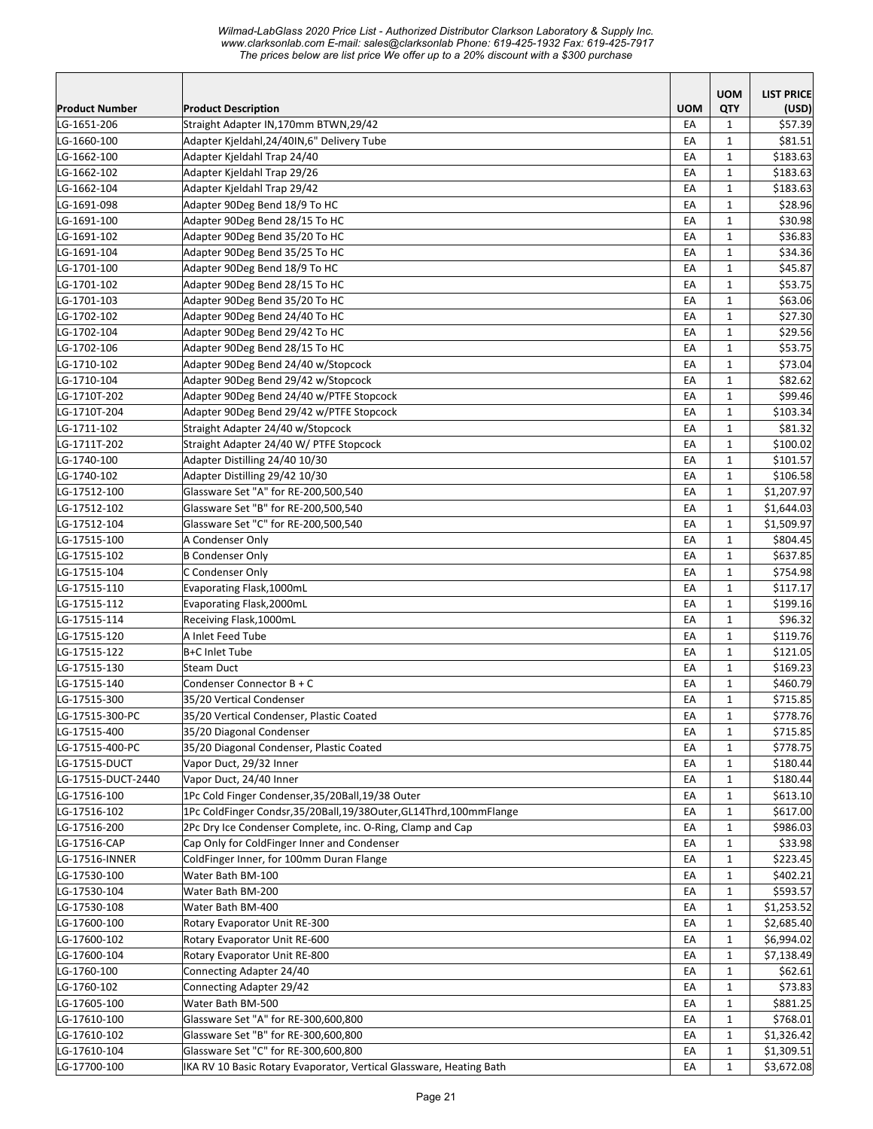|                              |                                                                                     |            | <b>UOM</b>   | <b>LIST PRICE</b>        |
|------------------------------|-------------------------------------------------------------------------------------|------------|--------------|--------------------------|
| <b>Product Number</b>        | <b>Product Description</b>                                                          | <b>UOM</b> | QTY          | (USD)                    |
| LG-1651-206<br>LG-1660-100   | Straight Adapter IN,170mm BTWN,29/42<br>Adapter Kjeldahl, 24/40IN, 6" Delivery Tube | EA         | $\mathbf{1}$ | \$57.39<br>\$81.51       |
| LG-1662-100                  | Adapter Kjeldahl Trap 24/40                                                         | EA<br>EA   | 1<br>1       | \$183.63                 |
| LG-1662-102                  | Adapter Kjeldahl Trap 29/26                                                         | EA         | $\mathbf{1}$ | \$183.63                 |
| LG-1662-104                  | Adapter Kjeldahl Trap 29/42                                                         | EA         | $\mathbf{1}$ | \$183.63                 |
| LG-1691-098                  | Adapter 90Deg Bend 18/9 To HC                                                       | EA         | 1            | \$28.96                  |
| LG-1691-100                  | Adapter 90Deg Bend 28/15 To HC                                                      | EA         | $\mathbf 1$  | \$30.98                  |
| LG-1691-102                  | Adapter 90Deg Bend 35/20 To HC                                                      | EA         | $\mathbf 1$  | \$36.83                  |
| LG-1691-104                  | Adapter 90Deg Bend 35/25 To HC                                                      | EA         | $\mathbf 1$  | \$34.36                  |
| LG-1701-100                  | Adapter 90Deg Bend 18/9 To HC                                                       | EA         | $\mathbf 1$  | \$45.87                  |
| LG-1701-102                  | Adapter 90Deg Bend 28/15 To HC                                                      | EA         | $\mathbf 1$  | \$53.75                  |
| LG-1701-103                  | Adapter 90Deg Bend 35/20 To HC                                                      | EA         | $\mathbf 1$  | \$63.06                  |
| LG-1702-102                  | Adapter 90Deg Bend 24/40 To HC                                                      | EA         | 1            | \$27.30                  |
| LG-1702-104                  | Adapter 90Deg Bend 29/42 To HC                                                      | EA         | $\mathbf{1}$ | \$29.56                  |
| LG-1702-106                  | Adapter 90Deg Bend 28/15 To HC                                                      | EA         | $\mathbf 1$  | \$53.75                  |
| LG-1710-102                  | Adapter 90Deg Bend 24/40 w/Stopcock                                                 | EA         | $\mathbf 1$  | \$73.04                  |
| LG-1710-104                  | Adapter 90Deg Bend 29/42 w/Stopcock                                                 | EA         | $\mathbf 1$  | \$82.62                  |
| LG-1710T-202                 | Adapter 90Deg Bend 24/40 w/PTFE Stopcock                                            | EA         | 1            | \$99.46                  |
| LG-1710T-204                 | Adapter 90Deg Bend 29/42 w/PTFE Stopcock                                            | EA         | $\mathbf 1$  | \$103.34                 |
| LG-1711-102                  | Straight Adapter 24/40 w/Stopcock                                                   | EA         | $\mathbf 1$  | \$81.32                  |
| LG-1711T-202                 | Straight Adapter 24/40 W/ PTFE Stopcock                                             | EA         | 1            | \$100.02                 |
| LG-1740-100                  | Adapter Distilling 24/40 10/30                                                      | EA         | $\mathbf{1}$ | \$101.57                 |
| LG-1740-102                  | Adapter Distilling 29/42 10/30                                                      | EA         | $\mathbf 1$  | \$106.58                 |
| LG-17512-100                 | Glassware Set "A" for RE-200,500,540                                                | EA         | $\mathbf 1$  | \$1,207.97               |
| LG-17512-102                 | Glassware Set "B" for RE-200,500,540                                                | EA         | $\mathbf 1$  | \$1,644.03               |
| LG-17512-104                 | Glassware Set "C" for RE-200,500,540                                                | EA         | $\mathbf 1$  | \$1,509.97               |
| LG-17515-100                 | A Condenser Only                                                                    | EA         | 1            | \$804.45                 |
| LG-17515-102                 | <b>B Condenser Only</b>                                                             | EA         | 1            | \$637.85                 |
| LG-17515-104                 | C Condenser Only                                                                    | EA         | 1            | \$754.98                 |
| LG-17515-110                 | Evaporating Flask, 1000mL                                                           | EA         | 1            | \$117.17                 |
| LG-17515-112                 | Evaporating Flask, 2000mL                                                           | EA         | $\mathbf{1}$ | \$199.16                 |
| LG-17515-114                 | Receiving Flask, 1000mL                                                             | EA         | 1            | \$96.32                  |
| LG-17515-120                 | A Inlet Feed Tube                                                                   | EA         | $\mathbf{1}$ | \$119.76                 |
| LG-17515-122                 | B+C Inlet Tube                                                                      | EA         | 1            | \$121.05                 |
| LG-17515-130                 | <b>Steam Duct</b>                                                                   | EA         | $\mathbf{1}$ | \$169.23                 |
| LG-17515-140                 | Condenser Connector B + C                                                           | EA         | 1            | \$460.79                 |
| LG-17515-300                 | 35/20 Vertical Condenser                                                            | EA         | $\mathbf{1}$ | \$715.85                 |
| LG-17515-300-PC              | 35/20 Vertical Condenser, Plastic Coated                                            | EA         | $\mathbf 1$  | \$778.76                 |
| LG-17515-400                 | 35/20 Diagonal Condenser                                                            | EA         | $\mathbf{1}$ | \$715.85                 |
| LG-17515-400-PC              | 35/20 Diagonal Condenser, Plastic Coated                                            | EA         | 1            | \$778.75                 |
| LG-17515-DUCT                | Vapor Duct, 29/32 Inner                                                             | EA         | 1            | \$180.44                 |
| LG-17515-DUCT-2440           | Vapor Duct, 24/40 Inner                                                             | EA         | 1            | \$180.44                 |
| LG-17516-100                 | 1Pc Cold Finger Condenser, 35/20Ball, 19/38 Outer                                   | EA         | 1            | \$613.10                 |
| LG-17516-102                 | 1Pc ColdFinger Condsr, 35/20Ball, 19/38Outer, GL14Thrd, 100mmFlange                 | EA         | 1            | \$617.00                 |
| LG-17516-200                 | 2Pc Dry Ice Condenser Complete, inc. O-Ring, Clamp and Cap                          | EA         | 1            | \$986.03                 |
| LG-17516-CAP                 | Cap Only for ColdFinger Inner and Condenser                                         | EA         | $\mathbf 1$  | \$33.98                  |
| LG-17516-INNER               | ColdFinger Inner, for 100mm Duran Flange                                            | EA         | 1            | \$223.45                 |
| LG-17530-100                 | Water Bath BM-100                                                                   | EA         | 1            | \$402.21                 |
| LG-17530-104                 | Water Bath BM-200                                                                   | EA         | 1            | \$593.57                 |
| LG-17530-108                 | Water Bath BM-400                                                                   | EA         | $\mathbf 1$  | \$1,253.52               |
| LG-17600-100                 | Rotary Evaporator Unit RE-300                                                       | EA         | 1            | \$2,685.40               |
| LG-17600-102                 | Rotary Evaporator Unit RE-600                                                       | EA         | $\mathbf 1$  | \$6,994.02               |
| LG-17600-104                 | Rotary Evaporator Unit RE-800                                                       | EA         | $\mathbf 1$  | \$7,138.49               |
| LG-1760-100                  | Connecting Adapter 24/40                                                            | EA         | $\mathbf 1$  | \$62.61                  |
| LG-1760-102                  | Connecting Adapter 29/42                                                            | EA         | 1            | \$73.83                  |
| LG-17605-100                 | Water Bath BM-500                                                                   | EA         | 1            | \$881.25                 |
| LG-17610-100                 | Glassware Set "A" for RE-300,600,800                                                | EA         | 1            | \$768.01                 |
| LG-17610-102                 | Glassware Set "B" for RE-300,600,800<br>Glassware Set "C" for RE-300,600,800        | EA         | 1            | \$1,326.42<br>\$1,309.51 |
| LG-17610-104<br>LG-17700-100 | IKA RV 10 Basic Rotary Evaporator, Vertical Glassware, Heating Bath                 | EA<br>EA   | 1<br>1       | \$3,672.08               |
|                              |                                                                                     |            |              |                          |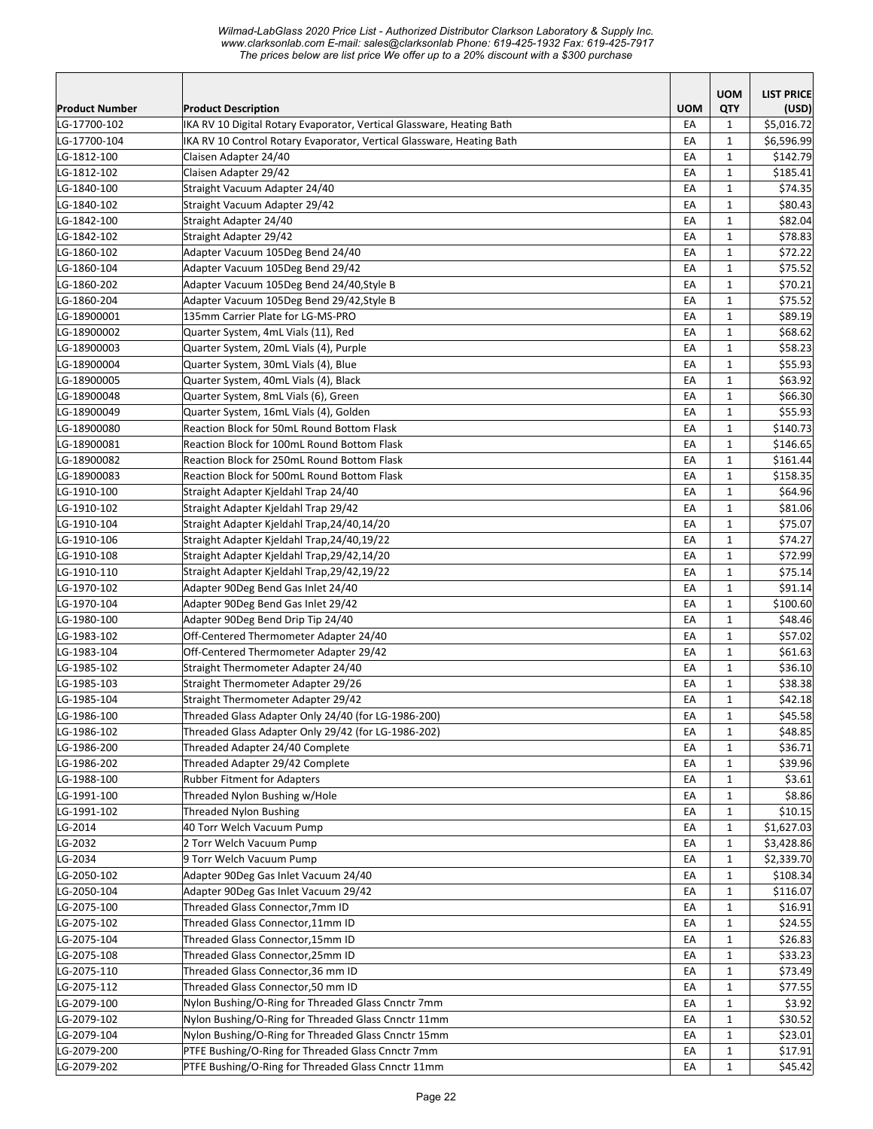|                       |                                                                       |            | <b>UOM</b>                   | <b>LIST PRICE</b>        |
|-----------------------|-----------------------------------------------------------------------|------------|------------------------------|--------------------------|
| <b>Product Number</b> | <b>Product Description</b>                                            | <b>UOM</b> | QTY                          | (USD)                    |
| LG-17700-102          | IKA RV 10 Digital Rotary Evaporator, Vertical Glassware, Heating Bath | EA         | $\mathbf{1}$                 | \$5,016.72               |
| LG-17700-104          | IKA RV 10 Control Rotary Evaporator, Vertical Glassware, Heating Bath | EA         | $\mathbf{1}$                 | \$6,596.99               |
| LG-1812-100           | Claisen Adapter 24/40                                                 | EA         | $\mathbf{1}$                 | \$142.79                 |
| LG-1812-102           | Claisen Adapter 29/42                                                 | EA         | $\mathbf{1}$                 | \$185.41                 |
| LG-1840-100           | Straight Vacuum Adapter 24/40                                         | EA         | $\mathbf{1}$                 | \$74.35                  |
| LG-1840-102           | Straight Vacuum Adapter 29/42                                         | EA         | $\mathbf{1}$                 | \$80.43                  |
| LG-1842-100           | Straight Adapter 24/40                                                | EA         | $\mathbf{1}$                 | \$82.04                  |
| LG-1842-102           | Straight Adapter 29/42                                                | EA         | $\mathbf{1}$                 | \$78.83                  |
| LG-1860-102           | Adapter Vacuum 105Deg Bend 24/40                                      | EA         | $\mathbf{1}$                 | \$72.22                  |
| LG-1860-104           | Adapter Vacuum 105Deg Bend 29/42                                      | EA         | $\mathbf{1}$                 | \$75.52                  |
| LG-1860-202           | Adapter Vacuum 105Deg Bend 24/40, Style B                             | EA         | $\mathbf{1}$                 | \$70.21                  |
| LG-1860-204           | Adapter Vacuum 105Deg Bend 29/42, Style B                             | EA         | $\mathbf{1}$                 | \$75.52                  |
| LG-18900001           | 135mm Carrier Plate for LG-MS-PRO                                     | EA         | $\mathbf{1}$                 | \$89.19                  |
| LG-18900002           | Quarter System, 4mL Vials (11), Red                                   | EA         | $\mathbf{1}$                 | \$68.62                  |
| LG-18900003           | Quarter System, 20mL Vials (4), Purple                                | EA         | $\mathbf{1}$                 | \$58.23                  |
| LG-18900004           | Quarter System, 30mL Vials (4), Blue                                  | EA         | $\mathbf{1}$                 | \$55.93                  |
| LG-18900005           | Quarter System, 40mL Vials (4), Black                                 | EA         | $\mathbf 1$                  | \$63.92                  |
| LG-18900048           | Quarter System, 8mL Vials (6), Green                                  | EA         | $\mathbf{1}$                 | \$66.30                  |
| LG-18900049           | Quarter System, 16mL Vials (4), Golden                                | EA         | $\mathbf{1}$                 | \$55.93                  |
| LG-18900080           | <b>Reaction Block for 50mL Round Bottom Flask</b>                     | EA         | $\mathbf{1}$                 | \$140.73                 |
| LG-18900081           | Reaction Block for 100mL Round Bottom Flask                           | EA         | $\mathbf{1}$                 | \$146.65                 |
| LG-18900082           | Reaction Block for 250mL Round Bottom Flask                           | EA         | $\mathbf{1}$                 | \$161.44                 |
| LG-18900083           | Reaction Block for 500mL Round Bottom Flask                           | EA         | $\mathbf{1}$                 | \$158.35                 |
| LG-1910-100           | Straight Adapter Kjeldahl Trap 24/40                                  | EA         | $\mathbf{1}$                 | \$64.96                  |
| LG-1910-102           | Straight Adapter Kjeldahl Trap 29/42                                  | EA         | $\mathbf{1}$                 | \$81.06                  |
| LG-1910-104           | Straight Adapter Kjeldahl Trap, 24/40, 14/20                          | EA         | $\mathbf{1}$                 | \$75.07                  |
| LG-1910-106           | Straight Adapter Kjeldahl Trap, 24/40, 19/22                          | EA         | $\mathbf{1}$                 | \$74.27                  |
| LG-1910-108           | Straight Adapter Kjeldahl Trap, 29/42, 14/20                          | EA         | $\mathbf{1}$                 | \$72.99                  |
| LG-1910-110           | Straight Adapter Kjeldahl Trap, 29/42, 19/22                          | EA         | $\mathbf{1}$                 | \$75.14                  |
| LG-1970-102           | Adapter 90Deg Bend Gas Inlet 24/40                                    | EA         | $\mathbf{1}$                 | \$91.14                  |
| LG-1970-104           | Adapter 90Deg Bend Gas Inlet 29/42                                    | EA         | $\mathbf{1}$                 | \$100.60                 |
| LG-1980-100           | Adapter 90Deg Bend Drip Tip 24/40                                     | EA         | $\mathbf 1$                  | \$48.46                  |
| LG-1983-102           | Off-Centered Thermometer Adapter 24/40                                | EA         | $\mathbf{1}$                 | \$57.02                  |
| LG-1983-104           | Off-Centered Thermometer Adapter 29/42                                | EA         | $\mathbf{1}$                 | \$61.63                  |
| LG-1985-102           | Straight Thermometer Adapter 24/40                                    | EA         | $\mathbf{1}$                 | \$36.10                  |
| LG-1985-103           | Straight Thermometer Adapter 29/26                                    | EA         | $\mathbf{1}$                 | \$38.38                  |
| LG-1985-104           | Straight Thermometer Adapter 29/42                                    | EA         | $\mathbf{1}$                 | \$42.18                  |
| LG-1986-100           | Threaded Glass Adapter Only 24/40 (for LG-1986-200)                   | EA         | 1                            | \$45.58                  |
| LG-1986-102           | Threaded Glass Adapter Only 29/42 (for LG-1986-202)                   | EA         | $\mathbf{1}$                 | \$48.85                  |
| LG-1986-200           | Threaded Adapter 24/40 Complete                                       | EA         | $\mathbf{1}$                 | \$36.71                  |
| LG-1986-202           | Threaded Adapter 29/42 Complete                                       | EA         | $\mathbf{1}$                 | \$39.96                  |
| LG-1988-100           | <b>Rubber Fitment for Adapters</b>                                    | EA         | $\mathbf{1}$                 | \$3.61                   |
| LG-1991-100           | Threaded Nylon Bushing w/Hole<br>Threaded Nylon Bushing               | EA         | $\mathbf{1}$                 | \$8.86                   |
| LG-1991-102           |                                                                       | EA         | $\mathbf{1}$                 | \$10.15                  |
| LG-2014<br>LG-2032    | 40 Torr Welch Vacuum Pump<br>2 Torr Welch Vacuum Pump                 | EA<br>EA   | $\mathbf{1}$<br>$\mathbf{1}$ | \$1,627.03<br>\$3,428.86 |
| LG-2034               | 9 Torr Welch Vacuum Pump                                              | EA         | $\mathbf{1}$                 | \$2,339.70               |
| LG-2050-102           | Adapter 90Deg Gas Inlet Vacuum 24/40                                  | EA         | $\mathbf{1}$                 | \$108.34                 |
| LG-2050-104           | Adapter 90Deg Gas Inlet Vacuum 29/42                                  | EA         | $\mathbf{1}$                 | \$116.07                 |
| LG-2075-100           | Threaded Glass Connector, 7mm ID                                      | EA         | $\mathbf{1}$                 | \$16.91                  |
| LG-2075-102           | Threaded Glass Connector, 11mm ID                                     | EA         | $\mathbf{1}$                 | \$24.55                  |
| LG-2075-104           | Threaded Glass Connector, 15mm ID                                     | EA         | $\mathbf{1}$                 | \$26.83                  |
| LG-2075-108           | Threaded Glass Connector, 25mm ID                                     | EA         | $\mathbf{1}$                 | \$33.23                  |
| LG-2075-110           | Threaded Glass Connector, 36 mm ID                                    | EA         | $\mathbf{1}$                 | \$73.49                  |
| LG-2075-112           | Threaded Glass Connector,50 mm ID                                     | EA         | $\mathbf{1}$                 | \$77.55                  |
| LG-2079-100           | Nylon Bushing/O-Ring for Threaded Glass Cnnctr 7mm                    | EA         | $\mathbf{1}$                 | \$3.92                   |
| LG-2079-102           | Nylon Bushing/O-Ring for Threaded Glass Cnnctr 11mm                   | EA         | $\mathbf{1}$                 | \$30.52                  |
| LG-2079-104           | Nylon Bushing/O-Ring for Threaded Glass Cnnctr 15mm                   | EA         | $\mathbf{1}$                 | \$23.01                  |
| LG-2079-200           | PTFE Bushing/O-Ring for Threaded Glass Cnnctr 7mm                     | EA         | $\mathbf{1}$                 | \$17.91                  |
| LG-2079-202           | PTFE Bushing/O-Ring for Threaded Glass Cnnctr 11mm                    | EA         | $\mathbf{1}$                 | \$45.42                  |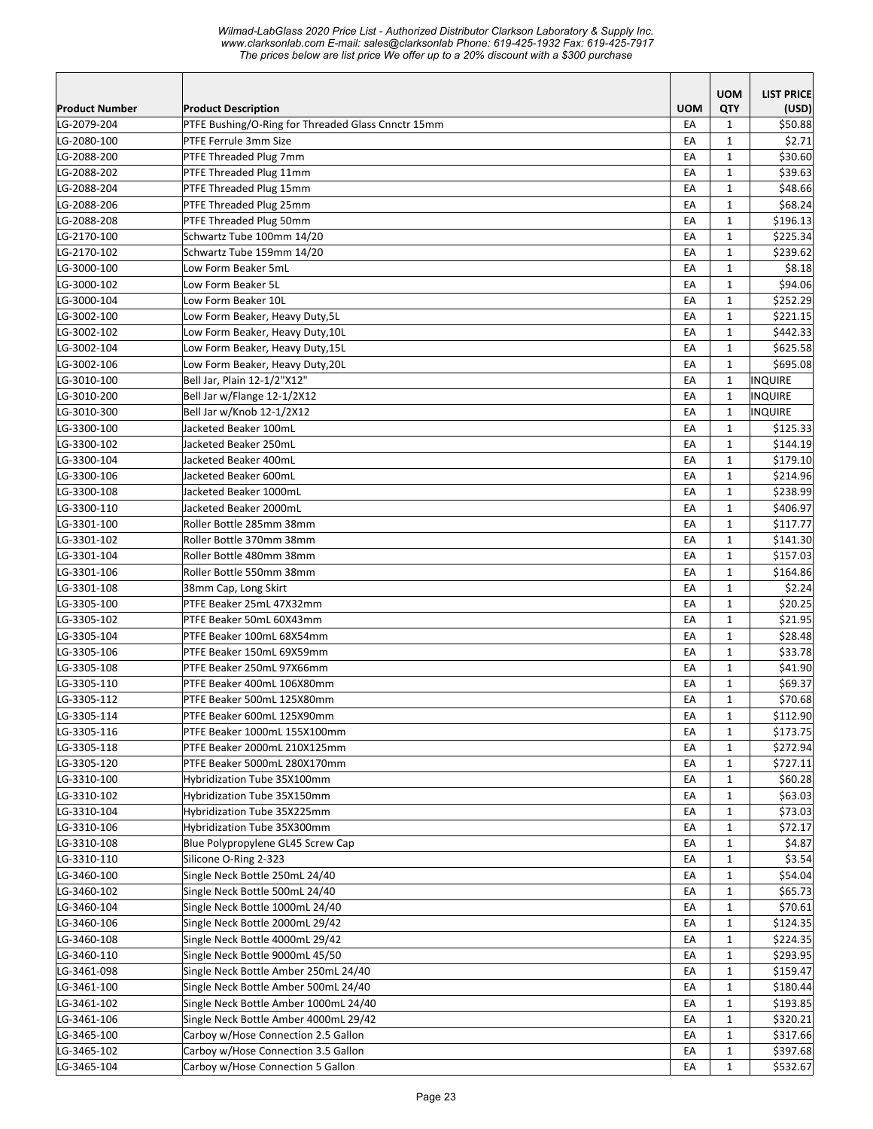| <b>Product Number</b>      | <b>Product Description</b>                         | <b>UOM</b> | <b>UOM</b><br>QTY | <b>LIST PRICE</b><br>(USD) |
|----------------------------|----------------------------------------------------|------------|-------------------|----------------------------|
| LG-2079-204                | PTFE Bushing/O-Ring for Threaded Glass Cnnctr 15mm | EA         | $\mathbf{1}$      | \$50.88                    |
| LG-2080-100                | PTFE Ferrule 3mm Size                              | EA         | $\mathbf{1}$      | \$2.71                     |
| LG-2088-200                | PTFE Threaded Plug 7mm                             | EA         | $\mathbf{1}$      | \$30.60                    |
| LG-2088-202                | PTFE Threaded Plug 11mm                            | EA         | $\mathbf{1}$      | \$39.63                    |
| LG-2088-204                | PTFE Threaded Plug 15mm                            | EA         | $\mathbf{1}$      | \$48.66                    |
| LG-2088-206                | PTFE Threaded Plug 25mm                            | EA         | $\mathbf{1}$      | \$68.24                    |
| LG-2088-208                | PTFE Threaded Plug 50mm                            | EA         | $\mathbf{1}$      | \$196.13                   |
| LG-2170-100                | Schwartz Tube 100mm 14/20                          | EA         | $\mathbf{1}$      | \$225.34                   |
| LG-2170-102                | Schwartz Tube 159mm 14/20                          | EA         | $\mathbf{1}$      | \$239.62                   |
| LG-3000-100                | Low Form Beaker 5mL                                | EA         | $\mathbf{1}$      | \$8.18                     |
| LG-3000-102                | Low Form Beaker 5L                                 | EA         | $\mathbf{1}$      | \$94.06                    |
| LG-3000-104                | Low Form Beaker 10L                                | EA         | $\mathbf{1}$      | \$252.29                   |
| LG-3002-100                | Low Form Beaker, Heavy Duty,5L                     | EA         | $\mathbf{1}$      | \$221.15                   |
| LG-3002-102                | Low Form Beaker, Heavy Duty,10L                    | EA         | 1                 | \$442.33                   |
| LG-3002-104                | Low Form Beaker, Heavy Duty,15L                    | EA         | $\mathbf{1}$      | \$625.58                   |
| LG-3002-106                | Low Form Beaker, Heavy Duty,20L                    | EA         | $\mathbf{1}$      | \$695.08                   |
| LG-3010-100                | Bell Jar, Plain 12-1/2"X12"                        | EA         | $\mathbf{1}$      | <b>INQUIRE</b>             |
| LG-3010-200                | Bell Jar w/Flange 12-1/2X12                        | EA         | $\mathbf{1}$      | <b>INQUIRE</b>             |
| LG-3010-300                | Bell Jar w/Knob 12-1/2X12                          | EA         | $\mathbf{1}$      | <b>INQUIRE</b>             |
| LG-3300-100                | Jacketed Beaker 100mL                              | EA         | $\mathbf{1}$      | \$125.33                   |
| LG-3300-102                | Jacketed Beaker 250mL                              | EA         | $\mathbf{1}$      | \$144.19                   |
| LG-3300-104                | Jacketed Beaker 400mL                              | EA         | 1                 | \$179.10                   |
| LG-3300-106                | Jacketed Beaker 600mL                              | EA         | $\mathbf{1}$      | \$214.96                   |
| LG-3300-108                | Jacketed Beaker 1000mL                             | EA         | $\mathbf{1}$      | \$238.99                   |
| LG-3300-110                | Jacketed Beaker 2000mL                             | EA         | $\mathbf{1}$      | \$406.97                   |
| LG-3301-100                | Roller Bottle 285mm 38mm                           | EA         | $\mathbf{1}$      | \$117.77                   |
| LG-3301-102                | Roller Bottle 370mm 38mm                           | EA         | $\mathbf{1}$      | \$141.30                   |
| LG-3301-104                | Roller Bottle 480mm 38mm                           | EA         | $\mathbf{1}$      | \$157.03                   |
| LG-3301-106                | Roller Bottle 550mm 38mm                           | EA<br>EA   | 1<br>$\mathbf{1}$ | \$164.86                   |
| LG-3301-108                | 38mm Cap, Long Skirt<br>PTFE Beaker 25mL 47X32mm   | EA         | $\mathbf{1}$      | \$2.24<br>\$20.25          |
| LG-3305-100<br>LG-3305-102 | PTFE Beaker 50mL 60X43mm                           | EA         | $\mathbf{1}$      | \$21.95                    |
| LG-3305-104                | PTFE Beaker 100mL 68X54mm                          | EA         | $\mathbf{1}$      | \$28.48                    |
| LG-3305-106                | PTFE Beaker 150mL 69X59mm                          | EA         | $\mathbf{1}$      | \$33.78                    |
| LG-3305-108                | PTFE Beaker 250mL 97X66mm                          | EA         | $\mathbf{1}$      | \$41.90                    |
| LG-3305-110                | PTFE Beaker 400mL 106X80mm                         | EA         | $\mathbf{1}$      | \$69.37                    |
| LG-3305-112                | PTFE Beaker 500mL 125X80mm                         | EA         | $\mathbf{1}$      | \$70.68                    |
| LG-3305-114                | PTFE Beaker 600mL 125X90mm                         | EA         | $\mathbf{1}$      | \$112.90                   |
| LG-3305-116                | PTFE Beaker 1000mL 155X100mm                       | EA         | $\mathbf{1}$      | \$173.75                   |
| LG-3305-118                | PTFE Beaker 2000mL 210X125mm                       | EA         | $\mathbf{1}$      | \$272.94                   |
| LG-3305-120                | PTFE Beaker 5000mL 280X170mm                       | EA         | 1                 | \$727.11                   |
| LG-3310-100                | Hybridization Tube 35X100mm                        | EA         | $\mathbf{1}$      | \$60.28                    |
| LG-3310-102                | Hybridization Tube 35X150mm                        | EA         | $\mathbf{1}$      | \$63.03                    |
| LG-3310-104                | Hybridization Tube 35X225mm                        | EA         | $\mathbf{1}$      | \$73.03                    |
| LG-3310-106                | Hybridization Tube 35X300mm                        | EA         | $\mathbf{1}$      | \$72.17                    |
| LG-3310-108                | Blue Polypropylene GL45 Screw Cap                  | EA         | $\mathbf{1}$      | \$4.87                     |
| LG-3310-110                | Silicone O-Ring 2-323                              | EA         | $\mathbf{1}$      | \$3.54                     |
| LG-3460-100                | Single Neck Bottle 250mL 24/40                     | EA         | $\mathbf{1}$      | \$54.04                    |
| LG-3460-102                | Single Neck Bottle 500mL 24/40                     | EA         | $\mathbf{1}$      | \$65.73                    |
| LG-3460-104                | Single Neck Bottle 1000mL 24/40                    | EA         | $\mathbf{1}$      | \$70.61                    |
| LG-3460-106                | Single Neck Bottle 2000mL 29/42                    | EA         | $\mathbf{1}$      | \$124.35                   |
| LG-3460-108                | Single Neck Bottle 4000mL 29/42                    | EA         | $\mathbf{1}$      | \$224.35                   |
| LG-3460-110                | Single Neck Bottle 9000mL 45/50                    | EA         | $\mathbf{1}$      | \$293.95                   |
| LG-3461-098                | Single Neck Bottle Amber 250mL 24/40               | EA         | $\mathbf{1}$      | \$159.47                   |
| LG-3461-100                | Single Neck Bottle Amber 500mL 24/40               | EA         | $\mathbf{1}$      | \$180.44                   |
| LG-3461-102                | Single Neck Bottle Amber 1000mL 24/40              | EA         | $\mathbf{1}$      | \$193.85                   |
| LG-3461-106                | Single Neck Bottle Amber 4000mL 29/42              | EA         | $\mathbf{1}$      | \$320.21                   |
| LG-3465-100                | Carboy w/Hose Connection 2.5 Gallon                | EA         | 1                 | \$317.66                   |
| LG-3465-102                | Carboy w/Hose Connection 3.5 Gallon                | EA         | 1                 | \$397.68                   |
| LG-3465-104                | Carboy w/Hose Connection 5 Gallon                  | EA         | $\mathbf{1}$      | \$532.67                   |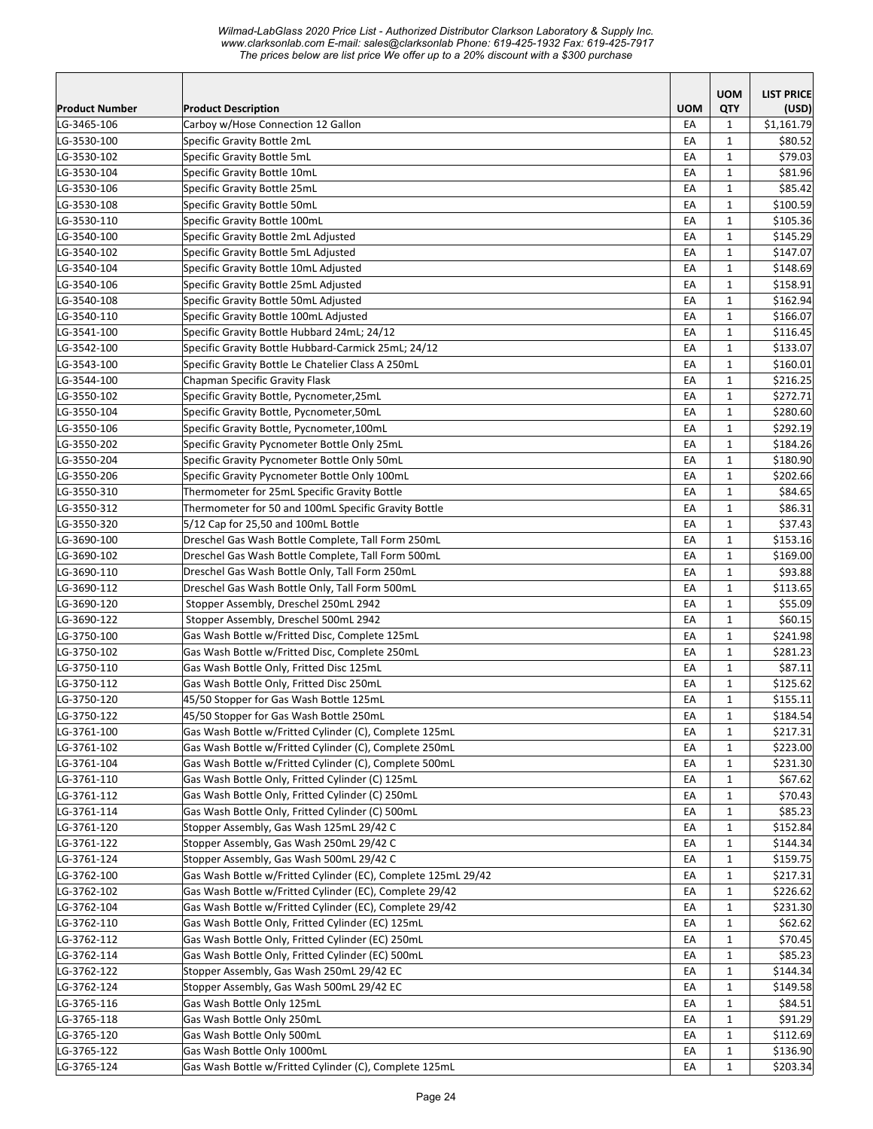| <b>Product Number</b>      |                                                                                       | <b>UOM</b> | <b>UOM</b><br>QTY            | <b>LIST PRICE</b>    |
|----------------------------|---------------------------------------------------------------------------------------|------------|------------------------------|----------------------|
| LG-3465-106                | <b>Product Description</b><br>Carboy w/Hose Connection 12 Gallon                      | EA         | $\mathbf{1}$                 | (USD)<br>\$1,161.79  |
| LG-3530-100                | Specific Gravity Bottle 2mL                                                           | EA         | $\mathbf{1}$                 | \$80.52              |
| LG-3530-102                | Specific Gravity Bottle 5mL                                                           | EA         | $\mathbf{1}$                 | \$79.03              |
| LG-3530-104                | Specific Gravity Bottle 10mL                                                          | EA         | $\mathbf{1}$                 | \$81.96              |
| LG-3530-106                | Specific Gravity Bottle 25mL                                                          | EA         | $\mathbf{1}$                 | \$85.42              |
| LG-3530-108                | Specific Gravity Bottle 50mL                                                          | EA         | $\mathbf{1}$                 | \$100.59             |
| LG-3530-110                | Specific Gravity Bottle 100mL                                                         | EA         | $\mathbf{1}$                 | \$105.36             |
| LG-3540-100                | Specific Gravity Bottle 2mL Adjusted                                                  | EA         | $\mathbf{1}$                 | \$145.29             |
| LG-3540-102                | Specific Gravity Bottle 5mL Adjusted                                                  | EA         | $\mathbf{1}$                 | \$147.07             |
| LG-3540-104                | Specific Gravity Bottle 10mL Adjusted                                                 | EA         | $\mathbf{1}$                 | \$148.69             |
| LG-3540-106                | Specific Gravity Bottle 25mL Adjusted                                                 | EA         | $\mathbf{1}$                 | \$158.91             |
| LG-3540-108                | Specific Gravity Bottle 50mL Adjusted                                                 | EA         | $\mathbf{1}$                 | \$162.94             |
| LG-3540-110                | Specific Gravity Bottle 100mL Adjusted                                                | EA         | $\mathbf{1}$                 | \$166.07             |
| LG-3541-100                | Specific Gravity Bottle Hubbard 24mL; 24/12                                           | EA         | $\mathbf{1}$                 | \$116.45             |
| LG-3542-100                | Specific Gravity Bottle Hubbard-Carmick 25mL; 24/12                                   | EA         | $\mathbf{1}$                 | \$133.07             |
| LG-3543-100                | Specific Gravity Bottle Le Chatelier Class A 250mL                                    | EA         | $\mathbf{1}$                 | \$160.01             |
| LG-3544-100                | Chapman Specific Gravity Flask                                                        | EA         | $\mathbf{1}$                 | \$216.25             |
| LG-3550-102                | Specific Gravity Bottle, Pycnometer, 25mL                                             | EA         | $\mathbf{1}$                 | \$272.71             |
| LG-3550-104                | Specific Gravity Bottle, Pycnometer, 50mL                                             | EA         | $\mathbf{1}$                 | \$280.60             |
| LG-3550-106                | Specific Gravity Bottle, Pycnometer, 100mL                                            | EA         | $\mathbf{1}$                 | \$292.19             |
| LG-3550-202                | Specific Gravity Pycnometer Bottle Only 25mL                                          | EA         | $\mathbf{1}$                 | \$184.26             |
| LG-3550-204                | Specific Gravity Pycnometer Bottle Only 50mL                                          | EA         | $\mathbf{1}$                 | \$180.90             |
| LG-3550-206                | Specific Gravity Pycnometer Bottle Only 100mL                                         | EA         | $\mathbf{1}$                 | \$202.66             |
| LG-3550-310                | Thermometer for 25mL Specific Gravity Bottle                                          | EA         | $\mathbf{1}$                 | \$84.65              |
| LG-3550-312                | Thermometer for 50 and 100mL Specific Gravity Bottle                                  | EA         | $\mathbf{1}$                 | \$86.31              |
| LG-3550-320                | 5/12 Cap for 25,50 and 100mL Bottle                                                   | EA         | $\mathbf{1}$                 | \$37.43              |
| LG-3690-100                | Dreschel Gas Wash Bottle Complete, Tall Form 250mL                                    | EA         | $\mathbf{1}$                 | \$153.16             |
| LG-3690-102                | Dreschel Gas Wash Bottle Complete, Tall Form 500mL                                    | EA         | $\mathbf{1}$                 | \$169.00             |
| LG-3690-110                | Dreschel Gas Wash Bottle Only, Tall Form 250mL                                        | EA<br>EA   | $\mathbf{1}$<br>$\mathbf{1}$ | \$93.88              |
| LG-3690-112<br>LG-3690-120 | Dreschel Gas Wash Bottle Only, Tall Form 500mL                                        | EA         | $\mathbf{1}$                 | \$113.65<br>\$55.09  |
| LG-3690-122                | Stopper Assembly, Dreschel 250mL 2942<br>Stopper Assembly, Dreschel 500mL 2942        | EA         | $\mathbf{1}$                 | \$60.15              |
| LG-3750-100                | Gas Wash Bottle w/Fritted Disc, Complete 125mL                                        | EA         | $\mathbf{1}$                 | \$241.98             |
| LG-3750-102                | Gas Wash Bottle w/Fritted Disc, Complete 250mL                                        | EA         | $\mathbf{1}$                 | \$281.23             |
| LG-3750-110                | Gas Wash Bottle Only, Fritted Disc 125mL                                              | EA         | $\mathbf{1}$                 | \$87.11              |
| LG-3750-112                | Gas Wash Bottle Only, Fritted Disc 250mL                                              | EA         | $\mathbf{1}$                 | \$125.62             |
| LG-3750-120                | 45/50 Stopper for Gas Wash Bottle 125mL                                               | EA         | $\mathbf{1}$                 | \$155.11             |
| LG-3750-122                | 45/50 Stopper for Gas Wash Bottle 250mL                                               | EA         | 1                            | \$184.54             |
| LG-3761-100                | Gas Wash Bottle w/Fritted Cylinder (C), Complete 125mL                                | EA         | $\mathbf{1}$                 | \$217.31             |
| LG-3761-102                | Gas Wash Bottle w/Fritted Cylinder (C), Complete 250mL                                | EA         | 1                            | \$223.00             |
| LG-3761-104                | Gas Wash Bottle w/Fritted Cylinder (C), Complete 500mL                                | EA         | $\mathbf{1}$                 | \$231.30             |
| LG-3761-110                | Gas Wash Bottle Only, Fritted Cylinder (C) 125mL                                      | EA         | 1                            | \$67.62              |
| LG-3761-112                | Gas Wash Bottle Only, Fritted Cylinder (C) 250mL                                      | EA         | $\mathbf{1}$                 | \$70.43              |
| LG-3761-114                | Gas Wash Bottle Only, Fritted Cylinder (C) 500mL                                      | EA         | $\mathbf{1}$                 | \$85.23              |
| LG-3761-120                | Stopper Assembly, Gas Wash 125mL 29/42 C                                              | EA         | $\mathbf{1}$                 | \$152.84             |
| LG-3761-122                | Stopper Assembly, Gas Wash 250mL 29/42 C                                              | EA         | $\mathbf{1}$                 | \$144.34             |
| LG-3761-124                | Stopper Assembly, Gas Wash 500mL 29/42 C                                              | EA         | $\mathbf{1}$                 | \$159.75             |
| LG-3762-100                | Gas Wash Bottle w/Fritted Cylinder (EC), Complete 125mL 29/42                         | EA         | $\mathbf{1}$                 | \$217.31             |
| LG-3762-102                | Gas Wash Bottle w/Fritted Cylinder (EC), Complete 29/42                               | EA         | $\mathbf{1}$                 | \$226.62             |
| LG-3762-104                | Gas Wash Bottle w/Fritted Cylinder (EC), Complete 29/42                               | EA         | $\mathbf{1}$                 | \$231.30             |
| LG-3762-110                | Gas Wash Bottle Only, Fritted Cylinder (EC) 125mL                                     | EA         | 1                            | \$62.62              |
| LG-3762-112                | Gas Wash Bottle Only, Fritted Cylinder (EC) 250mL                                     | EA         | $\mathbf{1}$                 | \$70.45              |
| LG-3762-114                | Gas Wash Bottle Only, Fritted Cylinder (EC) 500mL                                     | EA         | $\mathbf{1}$                 | \$85.23              |
| LG-3762-122                | Stopper Assembly, Gas Wash 250mL 29/42 EC                                             | EA         | $\mathbf{1}$                 | \$144.34             |
| LG-3762-124                | Stopper Assembly, Gas Wash 500mL 29/42 EC                                             | EA         | $\mathbf{1}$                 | \$149.58             |
| LG-3765-116                | Gas Wash Bottle Only 125mL                                                            | EA         | $\mathbf{1}$                 | \$84.51              |
| LG-3765-118                | Gas Wash Bottle Only 250mL                                                            | EA         | 1                            | \$91.29              |
| LG-3765-120                | Gas Wash Bottle Only 500mL                                                            | EA         | $\mathbf{1}$                 | \$112.69             |
| LG-3765-122<br>LG-3765-124 | Gas Wash Bottle Only 1000mL<br>Gas Wash Bottle w/Fritted Cylinder (C), Complete 125mL | EA<br>EA   | $\mathbf{1}$<br>$\mathbf{1}$ | \$136.90<br>\$203.34 |
|                            |                                                                                       |            |                              |                      |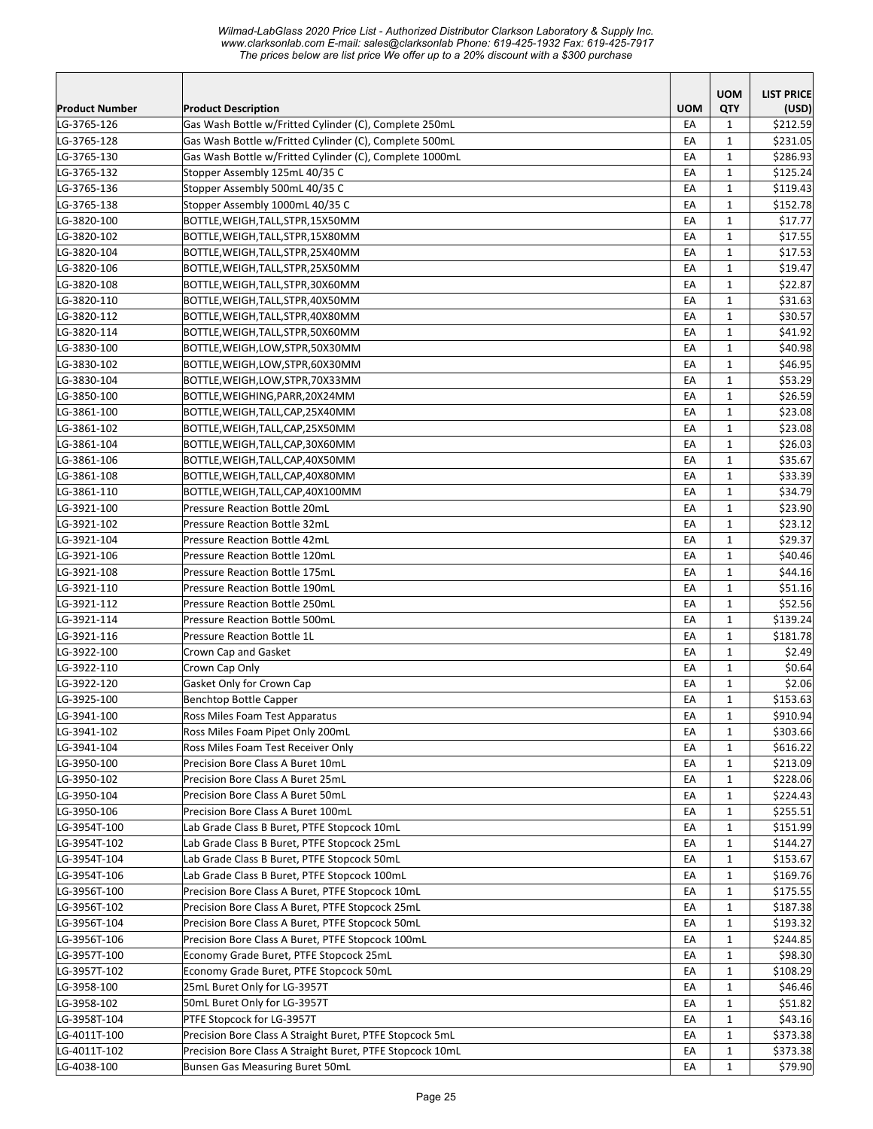|                       |                                                           |            | <b>UOM</b>   | <b>LIST PRICE</b> |
|-----------------------|-----------------------------------------------------------|------------|--------------|-------------------|
| <b>Product Number</b> | <b>Product Description</b>                                | <b>UOM</b> | QTY          | (USD)             |
| LG-3765-126           | Gas Wash Bottle w/Fritted Cylinder (C), Complete 250mL    | EA         | 1            | \$212.59          |
| LG-3765-128           | Gas Wash Bottle w/Fritted Cylinder (C), Complete 500mL    | EA         | $\mathbf{1}$ | \$231.05          |
| LG-3765-130           | Gas Wash Bottle w/Fritted Cylinder (C), Complete 1000mL   | EA         | $\mathbf{1}$ | \$286.93          |
| LG-3765-132           | Stopper Assembly 125mL 40/35 C                            | EA         | $\mathbf{1}$ | \$125.24          |
| LG-3765-136           | Stopper Assembly 500mL 40/35 C                            | EA         | $\mathbf{1}$ | \$119.43          |
| LG-3765-138           | Stopper Assembly 1000mL 40/35 C                           | EA         | 1            | \$152.78          |
| LG-3820-100           | BOTTLE, WEIGH, TALL, STPR, 15X50MM                        | EA         | $\mathbf{1}$ | \$17.77           |
| LG-3820-102           | BOTTLE, WEIGH, TALL, STPR, 15X80MM                        | EA         | $\mathbf{1}$ | \$17.55           |
| LG-3820-104           | BOTTLE, WEIGH, TALL, STPR, 25X40MM                        | EA         | $\mathbf{1}$ | \$17.53           |
| LG-3820-106           | BOTTLE, WEIGH, TALL, STPR, 25X50MM                        | EA         | $\mathbf{1}$ | \$19.47           |
| LG-3820-108           | BOTTLE, WEIGH, TALL, STPR, 30X60MM                        | EA         | $\mathbf{1}$ | \$22.87           |
| LG-3820-110           | BOTTLE,WEIGH,TALL,STPR,40X50MM                            | EA         | $\mathbf{1}$ | \$31.63           |
| LG-3820-112           | BOTTLE, WEIGH, TALL, STPR, 40X80MM                        | EA         | $\mathbf{1}$ | \$30.57           |
| LG-3820-114           | BOTTLE,WEIGH,TALL,STPR,50X60MM                            | EA         | $\mathbf{1}$ | \$41.92           |
| LG-3830-100           | BOTTLE,WEIGH,LOW,STPR,50X30MM                             | EA         | $\mathbf{1}$ | \$40.98           |
| LG-3830-102           | BOTTLE,WEIGH,LOW,STPR,60X30MM                             | EA         | $\mathbf{1}$ | \$46.95           |
| LG-3830-104           | BOTTLE, WEIGH, LOW, STPR, 70X33MM                         | EA         | $\mathbf{1}$ | \$53.29           |
| LG-3850-100           | BOTTLE,WEIGHING,PARR,20X24MM                              | EA         | 1            | \$26.59           |
| LG-3861-100           | BOTTLE,WEIGH,TALL,CAP,25X40MM                             | EA         | $\mathbf{1}$ | \$23.08           |
| LG-3861-102           | BOTTLE,WEIGH,TALL,CAP,25X50MM                             | EA         | $\mathbf{1}$ | \$23.08           |
| LG-3861-104           | BOTTLE,WEIGH,TALL,CAP,30X60MM                             | EA         | $\mathbf{1}$ | \$26.03           |
| LG-3861-106           | BOTTLE,WEIGH,TALL,CAP,40X50MM                             | EA         | $\mathbf{1}$ | \$35.67           |
| LG-3861-108           | BOTTLE,WEIGH,TALL,CAP,40X80MM                             | EA         | $\mathbf{1}$ | \$33.39           |
| LG-3861-110           | BOTTLE,WEIGH,TALL,CAP,40X100MM                            | EA         | $\mathbf{1}$ | \$34.79           |
| LG-3921-100           | <b>Pressure Reaction Bottle 20mL</b>                      | EA         | $\mathbf{1}$ | \$23.90           |
| LG-3921-102           | Pressure Reaction Bottle 32mL                             | EA         | $\mathbf{1}$ | \$23.12           |
| LG-3921-104           | <b>Pressure Reaction Bottle 42mL</b>                      | EA         | $\mathbf{1}$ | \$29.37           |
| LG-3921-106           | <b>Pressure Reaction Bottle 120mL</b>                     | EA         | $\mathbf{1}$ | \$40.46           |
| LG-3921-108           | <b>Pressure Reaction Bottle 175mL</b>                     | EA         | $\mathbf{1}$ | \$44.16           |
| LG-3921-110           | <b>Pressure Reaction Bottle 190mL</b>                     | EA         | $\mathbf{1}$ | \$51.16           |
| LG-3921-112           | <b>Pressure Reaction Bottle 250mL</b>                     | EA         | $\mathbf{1}$ | \$52.56           |
| LG-3921-114           | <b>Pressure Reaction Bottle 500mL</b>                     | EA         | $\mathbf{1}$ | \$139.24          |
| LG-3921-116           | Pressure Reaction Bottle 1L                               | EA         | 1            | \$181.78          |
| LG-3922-100           | Crown Cap and Gasket                                      | EA         | $\mathbf{1}$ | \$2.49            |
| LG-3922-110           | Crown Cap Only                                            | EA         | $\mathbf{1}$ | \$0.64            |
| LG-3922-120           | Gasket Only for Crown Cap                                 | EA         | $\mathbf{1}$ | \$2.06            |
| LG-3925-100           | Benchtop Bottle Capper                                    | EA         | $\mathbf{1}$ | \$153.63          |
| LG-3941-100           | Ross Miles Foam Test Apparatus                            | EA         | $\mathbf{1}$ | \$910.94          |
| LG-3941-102           | Ross Miles Foam Pipet Only 200mL                          | EA         | $\mathbf{1}$ | \$303.66          |
| LG-3941-104           | Ross Miles Foam Test Receiver Only                        | EA         | $\mathbf{1}$ | \$616.22          |
| LG-3950-100           | Precision Bore Class A Buret 10mL                         | EA         | $\mathbf{1}$ | \$213.09          |
| LG-3950-102           | Precision Bore Class A Buret 25mL                         | EA         | $\mathbf{1}$ | \$228.06          |
| LG-3950-104           | Precision Bore Class A Buret 50mL                         | EA         | 1            | \$224.43          |
| LG-3950-106           | Precision Bore Class A Buret 100mL                        | EA         | $\mathbf{1}$ | \$255.51          |
| LG-3954T-100          | Lab Grade Class B Buret, PTFE Stopcock 10mL               | EA         | $\mathbf{1}$ | \$151.99          |
| LG-3954T-102          | Lab Grade Class B Buret, PTFE Stopcock 25mL               | EA         | $\mathbf{1}$ | \$144.27          |
| LG-3954T-104          | Lab Grade Class B Buret, PTFE Stopcock 50mL               | EA         | $\mathbf{1}$ | \$153.67          |
| LG-3954T-106          | Lab Grade Class B Buret, PTFE Stopcock 100mL              | EA         | $\mathbf{1}$ | \$169.76          |
| LG-3956T-100          | Precision Bore Class A Buret, PTFE Stopcock 10mL          | EA         | $\mathbf{1}$ | \$175.55          |
| LG-3956T-102          | Precision Bore Class A Buret, PTFE Stopcock 25mL          | EA         | 1            | \$187.38          |
| LG-3956T-104          | Precision Bore Class A Buret, PTFE Stopcock 50mL          | EA         | 1            | \$193.32          |
| LG-3956T-106          | Precision Bore Class A Buret, PTFE Stopcock 100mL         | EA         | $\mathbf{1}$ | \$244.85          |
| LG-3957T-100          | Economy Grade Buret, PTFE Stopcock 25mL                   | EA         | $\mathbf{1}$ | \$98.30           |
| LG-3957T-102          | Economy Grade Buret, PTFE Stopcock 50mL                   | EA         | $\mathbf{1}$ | \$108.29          |
| LG-3958-100           | 25mL Buret Only for LG-3957T                              | EA         | $\mathbf{1}$ | \$46.46           |
| LG-3958-102           | 50mL Buret Only for LG-3957T                              | EA         | $\mathbf{1}$ | \$51.82           |
| LG-3958T-104          | PTFE Stopcock for LG-3957T                                | EA         | $\mathbf{1}$ | \$43.16           |
| LG-4011T-100          | Precision Bore Class A Straight Buret, PTFE Stopcock 5mL  | EA         | $\mathbf{1}$ | \$373.38          |
| LG-4011T-102          | Precision Bore Class A Straight Buret, PTFE Stopcock 10mL |            | $\mathbf{1}$ | \$373.38          |
| LG-4038-100           | Bunsen Gas Measuring Buret 50mL                           | EA<br>EA   | $\mathbf{1}$ | \$79.90           |
|                       |                                                           |            |              |                   |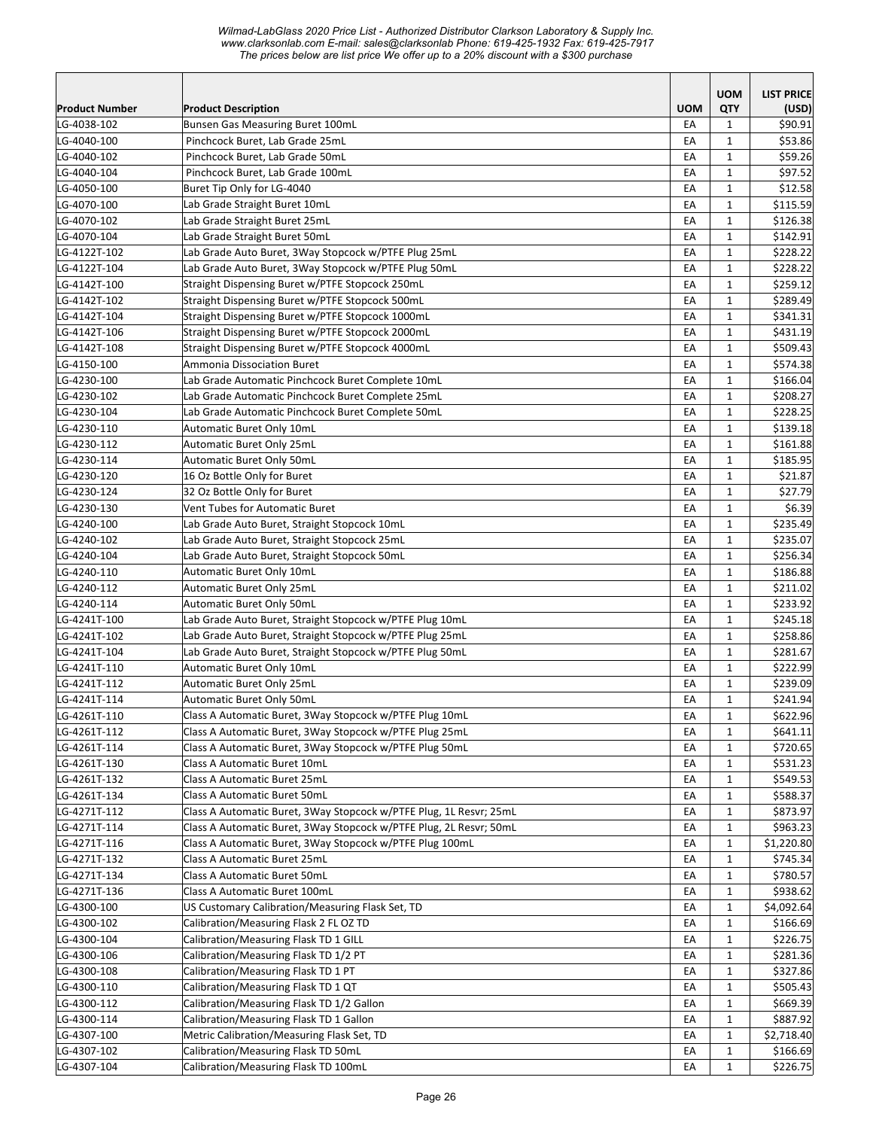|                            |                                                                                      |            | <b>UOM</b>                   | <b>LIST PRICE</b>    |
|----------------------------|--------------------------------------------------------------------------------------|------------|------------------------------|----------------------|
| <b>Product Number</b>      | <b>Product Description</b>                                                           | <b>UOM</b> | QTY                          | (USD)                |
| LG-4038-102<br>LG-4040-100 | Bunsen Gas Measuring Buret 100mL<br>Pinchcock Buret, Lab Grade 25mL                  | EA<br>EA   | $\mathbf{1}$<br>$\mathbf{1}$ | \$90.91<br>\$53.86   |
| LG-4040-102                | Pinchcock Buret, Lab Grade 50mL                                                      | EA         | $\mathbf{1}$                 | \$59.26              |
| LG-4040-104                | Pinchcock Buret, Lab Grade 100mL                                                     | EA         | $\mathbf{1}$                 | \$97.52              |
| LG-4050-100                | Buret Tip Only for LG-4040                                                           | EA         | $\mathbf{1}$                 | \$12.58              |
| LG-4070-100                | Lab Grade Straight Buret 10mL                                                        | EA         | $\mathbf{1}$                 | \$115.59             |
| LG-4070-102                | Lab Grade Straight Buret 25mL                                                        | EA         | 1                            | \$126.38             |
| LG-4070-104                | Lab Grade Straight Buret 50mL                                                        | EA         | $\mathbf{1}$                 | \$142.91             |
| LG-4122T-102               | Lab Grade Auto Buret, 3Way Stopcock w/PTFE Plug 25mL                                 | EA         | $\mathbf{1}$                 | \$228.22             |
| LG-4122T-104               | Lab Grade Auto Buret, 3Way Stopcock w/PTFE Plug 50mL                                 | EA         | $\mathbf{1}$                 | \$228.22             |
| LG-4142T-100               | Straight Dispensing Buret w/PTFE Stopcock 250mL                                      | EA         | $\mathbf{1}$                 | \$259.12             |
| LG-4142T-102               | Straight Dispensing Buret w/PTFE Stopcock 500mL                                      | EA         | $\mathbf{1}$                 | \$289.49             |
| LG-4142T-104               | Straight Dispensing Buret w/PTFE Stopcock 1000mL                                     | EA         | $\mathbf{1}$                 | \$341.31             |
| LG-4142T-106               | Straight Dispensing Buret w/PTFE Stopcock 2000mL                                     | EA         | $\mathbf{1}$                 | \$431.19             |
| LG-4142T-108               | Straight Dispensing Buret w/PTFE Stopcock 4000mL                                     | EA         | $\mathbf{1}$                 | \$509.43             |
| LG-4150-100                | Ammonia Dissociation Buret                                                           | EA         | $\mathbf{1}$                 | \$574.38             |
| LG-4230-100                | Lab Grade Automatic Pinchcock Buret Complete 10mL                                    | EA         | $\mathbf{1}$                 | \$166.04             |
| LG-4230-102                | Lab Grade Automatic Pinchcock Buret Complete 25mL                                    | EA         | $\mathbf{1}$                 | \$208.27             |
| LG-4230-104                | Lab Grade Automatic Pinchcock Buret Complete 50mL                                    | EA         | $\mathbf{1}$                 | \$228.25             |
| LG-4230-110                | Automatic Buret Only 10mL                                                            | EA         | $\mathbf{1}$                 | \$139.18             |
| LG-4230-112                | Automatic Buret Only 25mL                                                            | EA         | $\mathbf{1}$                 | \$161.88             |
| LG-4230-114                | Automatic Buret Only 50mL                                                            | EA         | 1                            | \$185.95             |
| LG-4230-120                | 16 Oz Bottle Only for Buret                                                          | EA         | $\mathbf{1}$                 | \$21.87              |
| LG-4230-124                | 32 Oz Bottle Only for Buret                                                          | EA         | $\mathbf{1}$                 | \$27.79              |
| LG-4230-130                | Vent Tubes for Automatic Buret                                                       | EA         | $\mathbf{1}$                 | \$6.39               |
| LG-4240-100                | Lab Grade Auto Buret, Straight Stopcock 10mL                                         | EA         | $\mathbf{1}$                 | \$235.49             |
| LG-4240-102                | Lab Grade Auto Buret, Straight Stopcock 25mL                                         | EA         | $\mathbf{1}$                 | \$235.07             |
| LG-4240-104                | Lab Grade Auto Buret, Straight Stopcock 50mL                                         | EA         | $\mathbf{1}$                 | \$256.34             |
| LG-4240-110                | Automatic Buret Only 10mL                                                            | EA         | $\mathbf{1}$                 | \$186.88             |
| LG-4240-112                | Automatic Buret Only 25mL                                                            | EA         | $\mathbf{1}$                 | \$211.02             |
| LG-4240-114                | Automatic Buret Only 50mL                                                            | EA         | $\mathbf{1}$                 | \$233.92             |
| LG-4241T-100               | Lab Grade Auto Buret, Straight Stopcock w/PTFE Plug 10mL                             | EA         | $\mathbf{1}$                 | \$245.18             |
| LG-4241T-102               | Lab Grade Auto Buret, Straight Stopcock w/PTFE Plug 25mL                             | EA         | $\mathbf{1}$                 | \$258.86             |
| LG-4241T-104               | Lab Grade Auto Buret, Straight Stopcock w/PTFE Plug 50mL                             | EA         | $\mathbf{1}$                 | \$281.67             |
| LG-4241T-110               | Automatic Buret Only 10mL                                                            | EA         | $\mathbf{1}$                 | \$222.99             |
| LG-4241T-112               | Automatic Buret Only 25mL                                                            | EA         | $\mathbf{1}$                 | \$239.09             |
| LG-4241T-114               | Automatic Buret Only 50mL                                                            | EA         | $\mathbf{1}$                 | \$241.94             |
| LG-4261T-110               | Class A Automatic Buret, 3Way Stopcock w/PTFE Plug 10mL                              | EA         | 1                            | \$622.96             |
| LG-4261T-112               | Class A Automatic Buret, 3Way Stopcock w/PTFE Plug 25mL                              | EA         | $\mathbf{1}$                 | \$641.11             |
| LG-4261T-114               | Class A Automatic Buret, 3Way Stopcock w/PTFE Plug 50mL                              | EA         | 1                            | \$720.65             |
| LG-4261T-130               | Class A Automatic Buret 10mL                                                         | EA         | $\mathbf{1}$                 | \$531.23             |
| LG-4261T-132               | Class A Automatic Buret 25mL                                                         | EA         | $\mathbf{1}$                 | \$549.53             |
| LG-4261T-134               | Class A Automatic Buret 50mL                                                         | EA         | $\mathbf{1}$                 | \$588.37             |
| LG-4271T-112               | Class A Automatic Buret, 3Way Stopcock w/PTFE Plug, 1L Resvr; 25mL                   | EA         | $\mathbf{1}$                 | \$873.97             |
| LG-4271T-114               | Class A Automatic Buret, 3Way Stopcock w/PTFE Plug, 2L Resvr; 50mL                   | EA         | $\mathbf{1}$                 | \$963.23             |
| LG-4271T-116               | Class A Automatic Buret, 3Way Stopcock w/PTFE Plug 100mL                             | EA         | $\mathbf{1}$                 | \$1,220.80           |
| LG-4271T-132               | Class A Automatic Buret 25mL                                                         | EA         | $\mathbf{1}$                 | \$745.34             |
| LG-4271T-134               | <b>Class A Automatic Buret 50mL</b>                                                  | EA         | $\mathbf{1}$                 | \$780.57             |
| LG-4271T-136               | Class A Automatic Buret 100mL                                                        | EA         | $\mathbf{1}$                 | \$938.62             |
| LG-4300-100                | US Customary Calibration/Measuring Flask Set, TD                                     | EA         | $\mathbf{1}$                 | \$4,092.64           |
| LG-4300-102                | Calibration/Measuring Flask 2 FL OZ TD                                               | EA         | $\mathbf{1}$                 | \$166.69             |
| LG-4300-104                | Calibration/Measuring Flask TD 1 GILL                                                | EA         | 1                            | \$226.75             |
| LG-4300-106                | Calibration/Measuring Flask TD 1/2 PT                                                | EA         | $\mathbf{1}$                 | \$281.36             |
| LG-4300-108<br>LG-4300-110 | Calibration/Measuring Flask TD 1 PT                                                  | EA         | $\mathbf{1}$                 | \$327.86             |
|                            | Calibration/Measuring Flask TD 1 QT                                                  | EA         | $\mathbf{1}$                 | \$505.43             |
| LG-4300-112<br>LG-4300-114 | Calibration/Measuring Flask TD 1/2 Gallon<br>Calibration/Measuring Flask TD 1 Gallon | EA         | $\mathbf{1}$                 | \$669.39<br>\$887.92 |
| LG-4307-100                | Metric Calibration/Measuring Flask Set, TD                                           | EA<br>EA   | 1<br>$\mathbf{1}$            | \$2,718.40           |
| LG-4307-102                | Calibration/Measuring Flask TD 50mL                                                  | EA         | 1                            | \$166.69             |
| LG-4307-104                | Calibration/Measuring Flask TD 100mL                                                 | EA         | $\mathbf{1}$                 | \$226.75             |
|                            |                                                                                      |            |                              |                      |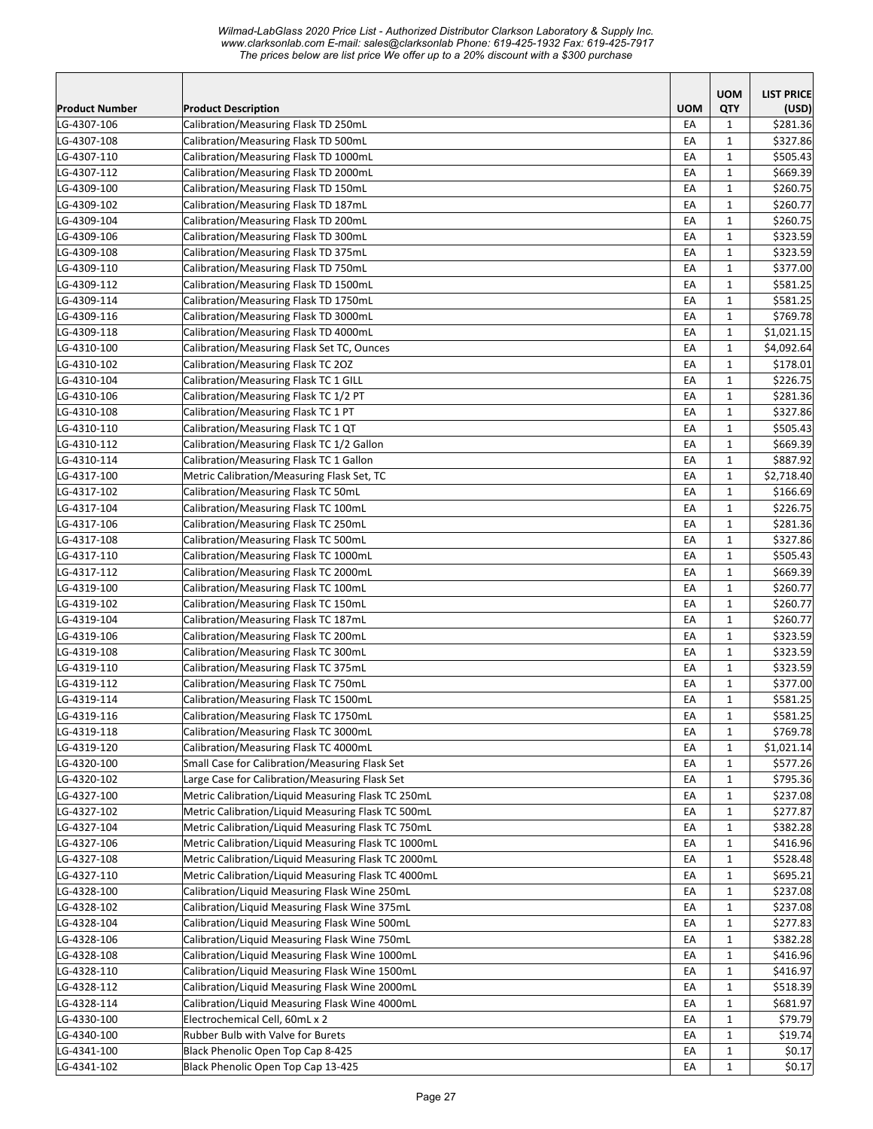|                       |                                                     |            | <b>UOM</b>   | <b>LIST PRICE</b> |
|-----------------------|-----------------------------------------------------|------------|--------------|-------------------|
| <b>Product Number</b> | <b>Product Description</b>                          | <b>UOM</b> | QTY          | (USD)             |
| LG-4307-106           | Calibration/Measuring Flask TD 250mL                | EA         | 1            | \$281.36          |
| LG-4307-108           | Calibration/Measuring Flask TD 500mL                | EA         | $\mathbf{1}$ | \$327.86          |
| LG-4307-110           | Calibration/Measuring Flask TD 1000mL               | EA         | 1            | \$505.43          |
| LG-4307-112           | Calibration/Measuring Flask TD 2000mL               | EA         | $\mathbf{1}$ | \$669.39          |
| LG-4309-100           | Calibration/Measuring Flask TD 150mL                | EA         | $\mathbf{1}$ | \$260.75          |
| LG-4309-102           | Calibration/Measuring Flask TD 187mL                | EA         | $\mathbf{1}$ | \$260.77          |
| LG-4309-104           | Calibration/Measuring Flask TD 200mL                | EA         | $\mathbf{1}$ | \$260.75          |
| LG-4309-106           | Calibration/Measuring Flask TD 300mL                | EA         | $\mathbf{1}$ | \$323.59          |
| LG-4309-108           | Calibration/Measuring Flask TD 375mL                | EA         | $\mathbf 1$  | \$323.59          |
| LG-4309-110           | Calibration/Measuring Flask TD 750mL                | EA         | $\mathbf{1}$ | \$377.00          |
| LG-4309-112           | Calibration/Measuring Flask TD 1500mL               | EA         | $\mathbf{1}$ | \$581.25          |
| LG-4309-114           | Calibration/Measuring Flask TD 1750mL               | EA         | $\mathbf 1$  | \$581.25          |
| LG-4309-116           | Calibration/Measuring Flask TD 3000mL               | EA         | $\mathbf{1}$ | \$769.78          |
| LG-4309-118           | Calibration/Measuring Flask TD 4000mL               | EA         | $\mathbf{1}$ | \$1,021.15        |
| LG-4310-100           | Calibration/Measuring Flask Set TC, Ounces          | EA         | $\mathbf{1}$ | \$4,092.64        |
| LG-4310-102           | Calibration/Measuring Flask TC 20Z                  | EA         | $\mathbf{1}$ | \$178.01          |
| LG-4310-104           | Calibration/Measuring Flask TC 1 GILL               | EA         | $\mathbf{1}$ | \$226.75          |
| LG-4310-106           | Calibration/Measuring Flask TC 1/2 PT               | EA         | 1            | \$281.36          |
| LG-4310-108           | Calibration/Measuring Flask TC 1 PT                 | EA         | $\mathbf{1}$ | \$327.86          |
| LG-4310-110           | Calibration/Measuring Flask TC 1 QT                 | EA         | $\mathbf{1}$ | \$505.43          |
| LG-4310-112           | Calibration/Measuring Flask TC 1/2 Gallon           | EA         | $\mathbf{1}$ | \$669.39          |
| LG-4310-114           | Calibration/Measuring Flask TC 1 Gallon             | EA         | $\mathbf{1}$ | \$887.92          |
| LG-4317-100           | Metric Calibration/Measuring Flask Set, TC          | EA         | $\mathbf{1}$ | \$2,718.40        |
| LG-4317-102           | Calibration/Measuring Flask TC 50mL                 | EA         | $\mathbf{1}$ | \$166.69          |
| LG-4317-104           | Calibration/Measuring Flask TC 100mL                | EA         | $\mathbf 1$  | \$226.75          |
| LG-4317-106           | Calibration/Measuring Flask TC 250mL                | EA         | $\mathbf 1$  | \$281.36          |
| LG-4317-108           | Calibration/Measuring Flask TC 500mL                | EA         | $\mathbf 1$  | \$327.86          |
| LG-4317-110           | Calibration/Measuring Flask TC 1000mL               | EA         | $\mathbf{1}$ | \$505.43          |
| LG-4317-112           | Calibration/Measuring Flask TC 2000mL               | EA         | $\mathbf{1}$ | \$669.39          |
| LG-4319-100           | Calibration/Measuring Flask TC 100mL                | EA         | $\mathbf{1}$ | \$260.77          |
| LG-4319-102           | Calibration/Measuring Flask TC 150mL                | EA         | $\mathbf 1$  | \$260.77          |
| LG-4319-104           | Calibration/Measuring Flask TC 187mL                | EA         | $\mathbf{1}$ | \$260.77          |
| LG-4319-106           | Calibration/Measuring Flask TC 200mL                | EA         | $\mathbf{1}$ | \$323.59          |
| LG-4319-108           | Calibration/Measuring Flask TC 300mL                | EA         | $\mathbf{1}$ | \$323.59          |
| LG-4319-110           | Calibration/Measuring Flask TC 375mL                | EA         | 1            | \$323.59          |
| LG-4319-112           | Calibration/Measuring Flask TC 750mL                | EA         | $\mathbf{1}$ | \$377.00          |
| LG-4319-114           | Calibration/Measuring Flask TC 1500mL               | EA         | $\mathbf{1}$ | \$581.25          |
| LG-4319-116           | Calibration/Measuring Flask TC 1750mL               | EA         | $\mathbf 1$  | \$581.25          |
| LG-4319-118           | Calibration/Measuring Flask TC 3000mL               | EA         | $\mathbf{1}$ | \$769.78          |
| LG-4319-120           | Calibration/Measuring Flask TC 4000mL               | EA         | $\mathbf{1}$ | \$1,021.14        |
| LG-4320-100           | Small Case for Calibration/Measuring Flask Set      | EA         | $\mathbf{1}$ | \$577.26          |
| LG-4320-102           | Large Case for Calibration/Measuring Flask Set      | EA         | $\mathbf{1}$ | \$795.36          |
| LG-4327-100           | Metric Calibration/Liquid Measuring Flask TC 250mL  | EA         | 1            | \$237.08          |
| LG-4327-102           | Metric Calibration/Liquid Measuring Flask TC 500mL  | EA         | $\mathbf{1}$ | \$277.87          |
| LG-4327-104           | Metric Calibration/Liquid Measuring Flask TC 750mL  | EA         | $\mathbf{1}$ | \$382.28          |
| LG-4327-106           | Metric Calibration/Liquid Measuring Flask TC 1000mL | EA         | $\mathbf 1$  | \$416.96          |
| LG-4327-108           | Metric Calibration/Liquid Measuring Flask TC 2000mL | EA         | $\mathbf 1$  | \$528.48          |
| LG-4327-110           | Metric Calibration/Liquid Measuring Flask TC 4000mL | EA         | $\mathbf{1}$ | \$695.21          |
| LG-4328-100           | Calibration/Liquid Measuring Flask Wine 250mL       | EA         | $\mathbf{1}$ | \$237.08          |
| LG-4328-102           | Calibration/Liquid Measuring Flask Wine 375mL       | EA         | 1            | \$237.08          |
| LG-4328-104           | Calibration/Liquid Measuring Flask Wine 500mL       | EA         | 1            | \$277.83          |
| LG-4328-106           | Calibration/Liquid Measuring Flask Wine 750mL       | EA         | $\mathbf{1}$ | \$382.28          |
| LG-4328-108           | Calibration/Liquid Measuring Flask Wine 1000mL      | EA         | $\mathbf 1$  | \$416.96          |
| LG-4328-110           | Calibration/Liquid Measuring Flask Wine 1500mL      | EA         | $\mathbf{1}$ | \$416.97          |
| LG-4328-112           | Calibration/Liquid Measuring Flask Wine 2000mL      | EA         | $\mathbf{1}$ | \$518.39          |
| LG-4328-114           | Calibration/Liquid Measuring Flask Wine 4000mL      | EA         | $\mathbf{1}$ | \$681.97          |
| LG-4330-100           | Electrochemical Cell, 60mL x 2                      | EA         | $\mathbf{1}$ | \$79.79           |
| LG-4340-100           | Rubber Bulb with Valve for Burets                   | EA         | $\mathbf{1}$ | \$19.74           |
| LG-4341-100           | Black Phenolic Open Top Cap 8-425                   | EA         | $\mathbf{1}$ | \$0.17            |
| LG-4341-102           | Black Phenolic Open Top Cap 13-425                  | EA         | $\mathbf{1}$ | \$0.17            |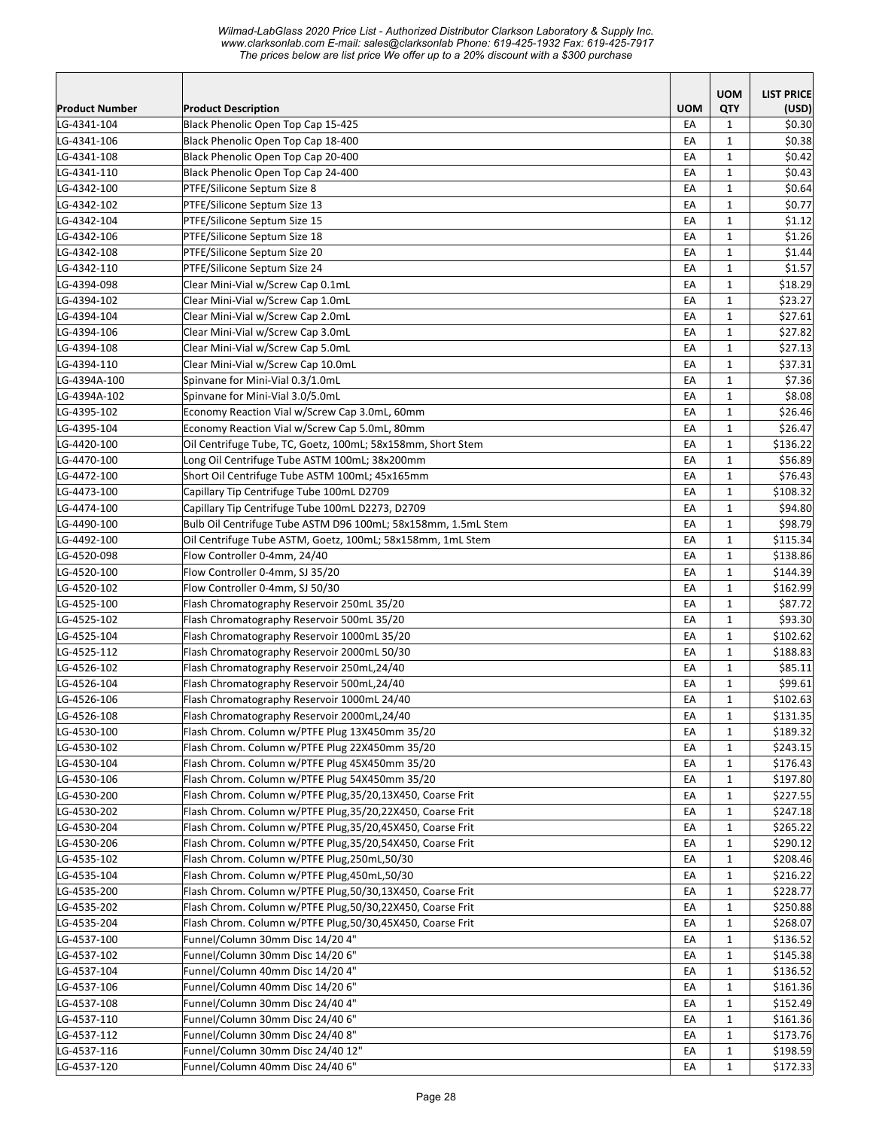|                            |                                                                          |                  | <b>UOM</b>          | <b>LIST PRICE</b> |
|----------------------------|--------------------------------------------------------------------------|------------------|---------------------|-------------------|
| <b>Product Number</b>      | <b>Product Description</b>                                               | <b>UOM</b><br>EA | QTY<br>$\mathbf{1}$ | (USD)             |
| LG-4341-104<br>LG-4341-106 | Black Phenolic Open Top Cap 15-425<br>Black Phenolic Open Top Cap 18-400 | EA               | $\mathbf{1}$        | \$0.30<br>\$0.38  |
| LG-4341-108                | Black Phenolic Open Top Cap 20-400                                       | EA               | $\mathbf{1}$        | \$0.42            |
| LG-4341-110                | Black Phenolic Open Top Cap 24-400                                       | EA               | $\mathbf 1$         | \$0.43            |
| LG-4342-100                | PTFE/Silicone Septum Size 8                                              | EA               | $\mathbf{1}$        | \$0.64            |
| LG-4342-102                | PTFE/Silicone Septum Size 13                                             | EA               | $\mathbf{1}$        | \$0.77            |
| LG-4342-104                | PTFE/Silicone Septum Size 15                                             | EA               | $\mathbf{1}$        | \$1.12            |
| LG-4342-106                | PTFE/Silicone Septum Size 18                                             | EA               | $\mathbf 1$         | \$1.26            |
| LG-4342-108                | PTFE/Silicone Septum Size 20                                             | EA               | $\mathbf 1$         | \$1.44            |
| LG-4342-110                | PTFE/Silicone Septum Size 24                                             | EA               | $\mathbf 1$         | \$1.57            |
| LG-4394-098                | Clear Mini-Vial w/Screw Cap 0.1mL                                        | EA               | $\mathbf{1}$        | \$18.29           |
| LG-4394-102                | Clear Mini-Vial w/Screw Cap 1.0mL                                        | EA               | $\mathbf{1}$        | \$23.27           |
| LG-4394-104                | Clear Mini-Vial w/Screw Cap 2.0mL                                        | EA               | $\mathbf{1}$        | \$27.61           |
| LG-4394-106                | Clear Mini-Vial w/Screw Cap 3.0mL                                        | EA               | $\mathbf{1}$        | \$27.82           |
| LG-4394-108                | Clear Mini-Vial w/Screw Cap 5.0mL                                        | EA               | $\mathbf{1}$        | \$27.13           |
| LG-4394-110                | Clear Mini-Vial w/Screw Cap 10.0mL                                       | EA               | $\mathbf{1}$        | \$37.31           |
| LG-4394A-100               | Spinvane for Mini-Vial 0.3/1.0mL                                         | EA               | $\mathbf{1}$        | \$7.36            |
| LG-4394A-102               | Spinvane for Mini-Vial 3.0/5.0mL                                         | EA               | $\mathbf{1}$        | \$8.08            |
| LG-4395-102                | Economy Reaction Vial w/Screw Cap 3.0mL, 60mm                            | EA               | $\mathbf{1}$        | \$26.46           |
| LG-4395-104                | Economy Reaction Vial w/Screw Cap 5.0mL, 80mm                            | EA               | $\mathbf{1}$        | \$26.47           |
| LG-4420-100                | Oil Centrifuge Tube, TC, Goetz, 100mL; 58x158mm, Short Stem              | EA               | $\mathbf{1}$        | \$136.22          |
| LG-4470-100                | Long Oil Centrifuge Tube ASTM 100mL; 38x200mm                            | EA               | $\mathbf{1}$        | \$56.89           |
| LG-4472-100                | Short Oil Centrifuge Tube ASTM 100mL; 45x165mm                           | EA               | $\mathbf{1}$        | \$76.43           |
| LG-4473-100                | Capillary Tip Centrifuge Tube 100mL D2709                                | EA               | $\mathbf 1$         | \$108.32          |
| LG-4474-100                | Capillary Tip Centrifuge Tube 100mL D2273, D2709                         | EA               | $\mathbf{1}$        | \$94.80           |
| LG-4490-100                | Bulb Oil Centrifuge Tube ASTM D96 100mL; 58x158mm, 1.5mL Stem            | EA               | $\mathbf{1}$        | \$98.79           |
| LG-4492-100                | Oil Centrifuge Tube ASTM, Goetz, 100mL; 58x158mm, 1mL Stem               | EA               | $\mathbf 1$         | \$115.34          |
| LG-4520-098                | Flow Controller 0-4mm, 24/40                                             | EA               | $\mathbf{1}$        | \$138.86          |
| LG-4520-100                | Flow Controller 0-4mm, SJ 35/20                                          | EA               | $\mathbf{1}$        | \$144.39          |
| LG-4520-102                | Flow Controller 0-4mm, SJ 50/30                                          | EA               | $\mathbf{1}$        | \$162.99          |
| LG-4525-100                | Flash Chromatography Reservoir 250mL 35/20                               | EA               | $\mathbf{1}$        | \$87.72           |
| LG-4525-102                | Flash Chromatography Reservoir 500mL 35/20                               | EA               | $\mathbf{1}$        | \$93.30           |
| LG-4525-104                | Flash Chromatography Reservoir 1000mL 35/20                              | EA               | $\mathbf{1}$        | \$102.62          |
| LG-4525-112                | Flash Chromatography Reservoir 2000mL 50/30                              | EA               | $\mathbf{1}$        | \$188.83          |
| LG-4526-102                | Flash Chromatography Reservoir 250mL,24/40                               | EA               | $\mathbf{1}$        | \$85.11           |
| LG-4526-104                | Flash Chromatography Reservoir 500mL,24/40                               | EA               | $\mathbf{1}$        | \$99.61           |
| LG-4526-106                | Flash Chromatography Reservoir 1000mL 24/40                              | EA               | $\mathbf{1}$        | \$102.63          |
| LG-4526-108                | Flash Chromatography Reservoir 2000mL,24/40                              | ŁА               | $\mathbf{1}$        | \$131.35          |
| LG-4530-100                | Flash Chrom. Column w/PTFE Plug 13X450mm 35/20                           | EA               | $\mathbf{1}$        | \$189.32          |
| LG-4530-102                | Flash Chrom. Column w/PTFE Plug 22X450mm 35/20                           | EA               | $\mathbf{1}$        | \$243.15          |
| LG-4530-104                | Flash Chrom. Column w/PTFE Plug 45X450mm 35/20                           | EA               | $\mathbf{1}$        | \$176.43          |
| LG-4530-106                | Flash Chrom. Column w/PTFE Plug 54X450mm 35/20                           | EA               | $\mathbf{1}$        | \$197.80          |
| LG-4530-200                | Flash Chrom. Column w/PTFE Plug, 35/20, 13X450, Coarse Frit              | EA               | $\mathbf{1}$        | \$227.55          |
| LG-4530-202                | Flash Chrom. Column w/PTFE Plug, 35/20, 22X450, Coarse Frit              | EA               | $\mathbf{1}$        | \$247.18          |
| LG-4530-204                | Flash Chrom. Column w/PTFE Plug, 35/20, 45X450, Coarse Frit              | EA               | $\mathbf{1}$        | \$265.22          |
| LG-4530-206                | Flash Chrom. Column w/PTFE Plug, 35/20, 54X450, Coarse Frit              | EA               | $\mathbf{1}$        | \$290.12          |
| LG-4535-102                | Flash Chrom. Column w/PTFE Plug,250mL,50/30                              | EA               | $\mathbf 1$         | \$208.46          |
| LG-4535-104                | Flash Chrom. Column w/PTFE Plug,450mL,50/30                              | EA               | $\mathbf{1}$        | \$216.22          |
| LG-4535-200                | Flash Chrom. Column w/PTFE Plug, 50/30, 13X450, Coarse Frit              | EA               | $\mathbf{1}$        | \$228.77          |
| LG-4535-202                | Flash Chrom. Column w/PTFE Plug, 50/30, 22X450, Coarse Frit              | EA               | $\mathbf{1}$        | \$250.88          |
| LG-4535-204                | Flash Chrom. Column w/PTFE Plug,50/30,45X450, Coarse Frit                | EA               | 1                   | \$268.07          |
| LG-4537-100                | Funnel/Column 30mm Disc 14/20 4"                                         | EA               | 1                   | \$136.52          |
| LG-4537-102                | Funnel/Column 30mm Disc 14/20 6"                                         | EA               | $\mathbf{1}$        | \$145.38          |
| LG-4537-104                | Funnel/Column 40mm Disc 14/20 4"                                         | EA               | $\mathbf{1}$        | \$136.52          |
| LG-4537-106                | Funnel/Column 40mm Disc 14/20 6"                                         | EA               | $\mathbf{1}$        | \$161.36          |
| LG-4537-108                | Funnel/Column 30mm Disc 24/40 4"                                         | EA               | $\mathbf{1}$        | \$152.49          |
| LG-4537-110                | Funnel/Column 30mm Disc 24/40 6"                                         | EA               | $\mathbf{1}$        | \$161.36          |
| LG-4537-112                | Funnel/Column 30mm Disc 24/40 8"                                         | EA               | $\mathbf{1}$        | \$173.76          |
| LG-4537-116<br>LG-4537-120 | Funnel/Column 30mm Disc 24/40 12"<br>Funnel/Column 40mm Disc 24/40 6"    | EA               | $\mathbf{1}$        | \$198.59          |
|                            |                                                                          | EA               | $\mathbf 1$         | \$172.33          |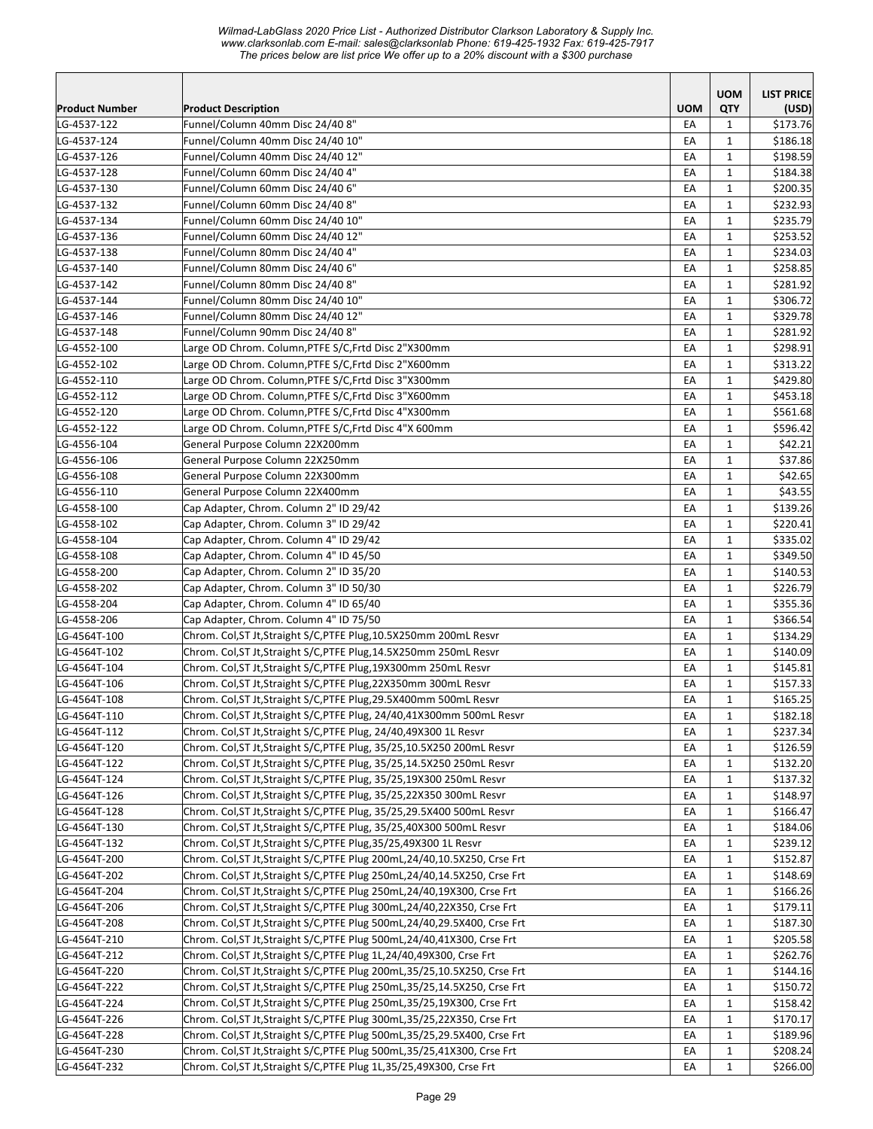|                       |                                                                             |            | <b>UOM</b>   | <b>LIST PRICE</b> |
|-----------------------|-----------------------------------------------------------------------------|------------|--------------|-------------------|
| <b>Product Number</b> | <b>Product Description</b>                                                  | <b>UOM</b> | QTY          | (USD)             |
| LG-4537-122           | Funnel/Column 40mm Disc 24/40 8"                                            | EA         | 1            | \$173.76          |
| LG-4537-124           | Funnel/Column 40mm Disc 24/40 10"                                           | EA         | $\mathbf{1}$ | \$186.18          |
| LG-4537-126           | Funnel/Column 40mm Disc 24/40 12"                                           | EA         | $\mathbf{1}$ | \$198.59          |
| LG-4537-128           | Funnel/Column 60mm Disc 24/40 4"                                            | EA         | $\mathbf{1}$ | \$184.38          |
| LG-4537-130           | Funnel/Column 60mm Disc 24/40 6"                                            | EA         | $\mathbf{1}$ | \$200.35          |
| LG-4537-132           | Funnel/Column 60mm Disc 24/40 8"                                            | EA         | $\mathbf{1}$ | \$232.93          |
| LG-4537-134           | Funnel/Column 60mm Disc 24/40 10"                                           | EA         | $\mathbf{1}$ | \$235.79          |
| LG-4537-136           | Funnel/Column 60mm Disc 24/40 12"                                           | EA         | $\mathbf{1}$ | \$253.52          |
| LG-4537-138           | Funnel/Column 80mm Disc 24/40 4"                                            | EA         | $\mathbf 1$  | \$234.03          |
| LG-4537-140           | Funnel/Column 80mm Disc 24/40 6"                                            | EA         | $\mathbf{1}$ | \$258.85          |
| LG-4537-142           | Funnel/Column 80mm Disc 24/40 8"                                            | EA         | $\mathbf{1}$ | \$281.92          |
| LG-4537-144           | Funnel/Column 80mm Disc 24/40 10"                                           | EA         | $\mathbf{1}$ | \$306.72          |
| LG-4537-146           | Funnel/Column 80mm Disc 24/40 12"                                           | EA         | $\mathbf{1}$ | \$329.78          |
| LG-4537-148           | Funnel/Column 90mm Disc 24/40 8"                                            | EA         | $\mathbf{1}$ | \$281.92          |
| LG-4552-100           | Large OD Chrom. Column, PTFE S/C, Frtd Disc 2"X300mm                        | EA         | $\mathbf{1}$ | \$298.91          |
| LG-4552-102           | Large OD Chrom. Column, PTFE S/C, Frtd Disc 2"X600mm                        | EA         | $\mathbf{1}$ | \$313.22          |
| LG-4552-110           | Large OD Chrom. Column, PTFE S/C, Frtd Disc 3"X300mm                        | EA         | $\mathbf{1}$ | \$429.80          |
| LG-4552-112           | Large OD Chrom. Column, PTFE S/C, Frtd Disc 3"X600mm                        | EA         | $\mathbf{1}$ | \$453.18          |
| LG-4552-120           | Large OD Chrom. Column, PTFE S/C, Frtd Disc 4"X300mm                        | EA         | $\mathbf{1}$ | \$561.68          |
| LG-4552-122           | Large OD Chrom. Column, PTFE S/C, Frtd Disc 4"X 600mm                       | EA         | $\mathbf{1}$ | \$596.42          |
| LG-4556-104           | General Purpose Column 22X200mm                                             | EA         | $\mathbf{1}$ | \$42.21           |
| LG-4556-106           | General Purpose Column 22X250mm                                             | EA         | $\mathbf{1}$ | \$37.86           |
| LG-4556-108           | General Purpose Column 22X300mm                                             | EA         | $\mathbf{1}$ | \$42.65           |
| LG-4556-110           | General Purpose Column 22X400mm                                             | EA         | $\mathbf{1}$ | \$43.55           |
| LG-4558-100           | Cap Adapter, Chrom. Column 2" ID 29/42                                      | EA         | $\mathbf 1$  | \$139.26          |
| LG-4558-102           | Cap Adapter, Chrom. Column 3" ID 29/42                                      | EA         | $\mathbf 1$  | \$220.41          |
| LG-4558-104           | Cap Adapter, Chrom. Column 4" ID 29/42                                      | EA         | $\mathbf{1}$ | \$335.02          |
| LG-4558-108           | Cap Adapter, Chrom. Column 4" ID 45/50                                      | EA         | $\mathbf{1}$ | \$349.50          |
| LG-4558-200           | Cap Adapter, Chrom. Column 2" ID 35/20                                      | EA         | $\mathbf{1}$ | \$140.53          |
| LG-4558-202           | Cap Adapter, Chrom. Column 3" ID 50/30                                      | EA         | $\mathbf{1}$ | \$226.79          |
| LG-4558-204           | Cap Adapter, Chrom. Column 4" ID 65/40                                      | EA         | $\mathbf{1}$ | \$355.36          |
| LG-4558-206           | Cap Adapter, Chrom. Column 4" ID 75/50                                      | EA         | $\mathbf{1}$ | \$366.54          |
| LG-4564T-100          | Chrom. Col, ST Jt, Straight S/C, PTFE Plug, 10.5X250mm 200mL Resvr          | EA         | $\mathbf{1}$ | \$134.29          |
| LG-4564T-102          | Chrom. Col, ST Jt, Straight S/C, PTFE Plug, 14.5X250mm 250mL Resvr          | EA         | $\mathbf{1}$ | \$140.09          |
| LG-4564T-104          | Chrom. Col, ST Jt, Straight S/C, PTFE Plug, 19X300mm 250mL Resvr            | EA         | $\mathbf{1}$ | \$145.81          |
| LG-4564T-106          | Chrom. Col, ST Jt, Straight S/C, PTFE Plug, 22X350mm 300mL Resvr            | EA         | $\mathbf{1}$ | \$157.33          |
| LG-4564T-108          | Chrom. Col, ST Jt, Straight S/C, PTFE Plug, 29.5X400mm 500mL Resvr          | EA         | $\mathbf{1}$ | \$165.25          |
| LG-4564T-110          | Chrom. Col, ST Jt, Straight S/C, PTFE Plug, 24/40, 41X300mm 500mL Resvr     | EA         | $\mathbf 1$  | \$182.18          |
| LG-4564T-112          | Chrom. Col, ST Jt, Straight S/C, PTFE Plug, 24/40, 49X300 1L Resvr          | EA         | $\mathbf{1}$ | \$237.34          |
| LG-4564T-120          | Chrom. Col, ST Jt, Straight S/C, PTFE Plug, 35/25, 10.5X250 200mL Resvr     | EA         | 1            | \$126.59          |
| LG-4564T-122          | Chrom. Col, ST Jt, Straight S/C, PTFE Plug, 35/25, 14.5X250 250mL Resvr     | EA         | $\mathbf{1}$ | \$132.20          |
| LG-4564T-124          | Chrom. Col, ST Jt, Straight S/C, PTFE Plug, 35/25, 19X300 250mL Resvr       | EA         | $\mathbf{1}$ | \$137.32          |
| LG-4564T-126          | Chrom. Col, ST Jt, Straight S/C, PTFE Plug, 35/25, 22X350 300mL Resvr       | EA         | $\mathbf{1}$ | \$148.97          |
| LG-4564T-128          | Chrom. Col, ST Jt, Straight S/C, PTFE Plug, 35/25, 29.5X400 500mL Resvr     | EA         | $\mathbf{1}$ | \$166.47          |
| LG-4564T-130          | Chrom. Col, ST Jt, Straight S/C, PTFE Plug, 35/25, 40X300 500mL Resvr       | EA         | $\mathbf{1}$ | \$184.06          |
| LG-4564T-132          | Chrom. Col, ST Jt, Straight S/C, PTFE Plug, 35/25, 49X300 1L Resvr          | EA         | $\mathbf{1}$ | \$239.12          |
| LG-4564T-200          | Chrom. Col, ST Jt, Straight S/C, PTFE Plug 200mL, 24/40, 10.5X250, Crse Frt | EA         | $\mathbf{1}$ | \$152.87          |
| LG-4564T-202          | Chrom. Col, ST Jt, Straight S/C, PTFE Plug 250mL, 24/40, 14.5X250, Crse Frt | EA         | $\mathbf{1}$ | \$148.69          |
| LG-4564T-204          | Chrom. Col, ST Jt, Straight S/C, PTFE Plug 250mL, 24/40, 19X300, Crse Frt   |            |              |                   |
|                       |                                                                             | EA         | $\mathbf{1}$ | \$166.26          |
| LG-4564T-206          | Chrom. Col, ST Jt, Straight S/C, PTFE Plug 300mL, 24/40, 22X350, Crse Frt   | EA         | 1            | \$179.11          |
| LG-4564T-208          | Chrom. Col, ST Jt, Straight S/C, PTFE Plug 500mL, 24/40, 29.5X400, Crse Frt | EA         | 1            | \$187.30          |
| LG-4564T-210          | Chrom. Col, ST Jt, Straight S/C, PTFE Plug 500mL, 24/40, 41X300, Crse Frt   | EA         | $\mathbf{1}$ | \$205.58          |
| LG-4564T-212          | Chrom. Col, ST Jt, Straight S/C, PTFE Plug 1L, 24/40, 49X300, Crse Frt      | EA         | $\mathbf{1}$ | \$262.76          |
| LG-4564T-220          | Chrom. Col, ST Jt, Straight S/C, PTFE Plug 200mL, 35/25, 10.5X250, Crse Frt | EA         | $\mathbf{1}$ | \$144.16          |
| LG-4564T-222          | Chrom. Col, ST Jt, Straight S/C, PTFE Plug 250mL, 35/25, 14.5X250, Crse Frt | EA         | $\mathbf{1}$ | \$150.72          |
| LG-4564T-224          | Chrom. Col, ST Jt, Straight S/C, PTFE Plug 250mL, 35/25, 19X300, Crse Frt   | EA         | $\mathbf{1}$ | \$158.42          |
| LG-4564T-226          | Chrom. Col, ST Jt, Straight S/C, PTFE Plug 300mL, 35/25, 22X350, Crse Frt   | EA         | $\mathbf{1}$ | \$170.17          |
| LG-4564T-228          | Chrom. Col, ST Jt, Straight S/C, PTFE Plug 500mL, 35/25, 29.5X400, Crse Frt | EA         | $\mathbf{1}$ | \$189.96          |
| LG-4564T-230          | Chrom. Col, ST Jt, Straight S/C, PTFE Plug 500mL, 35/25, 41X300, Crse Frt   | EA         | 1            | \$208.24          |
| LG-4564T-232          | Chrom. Col, ST Jt, Straight S/C, PTFE Plug 1L, 35/25, 49X300, Crse Frt      | EA         | $\mathbf{1}$ | \$266.00          |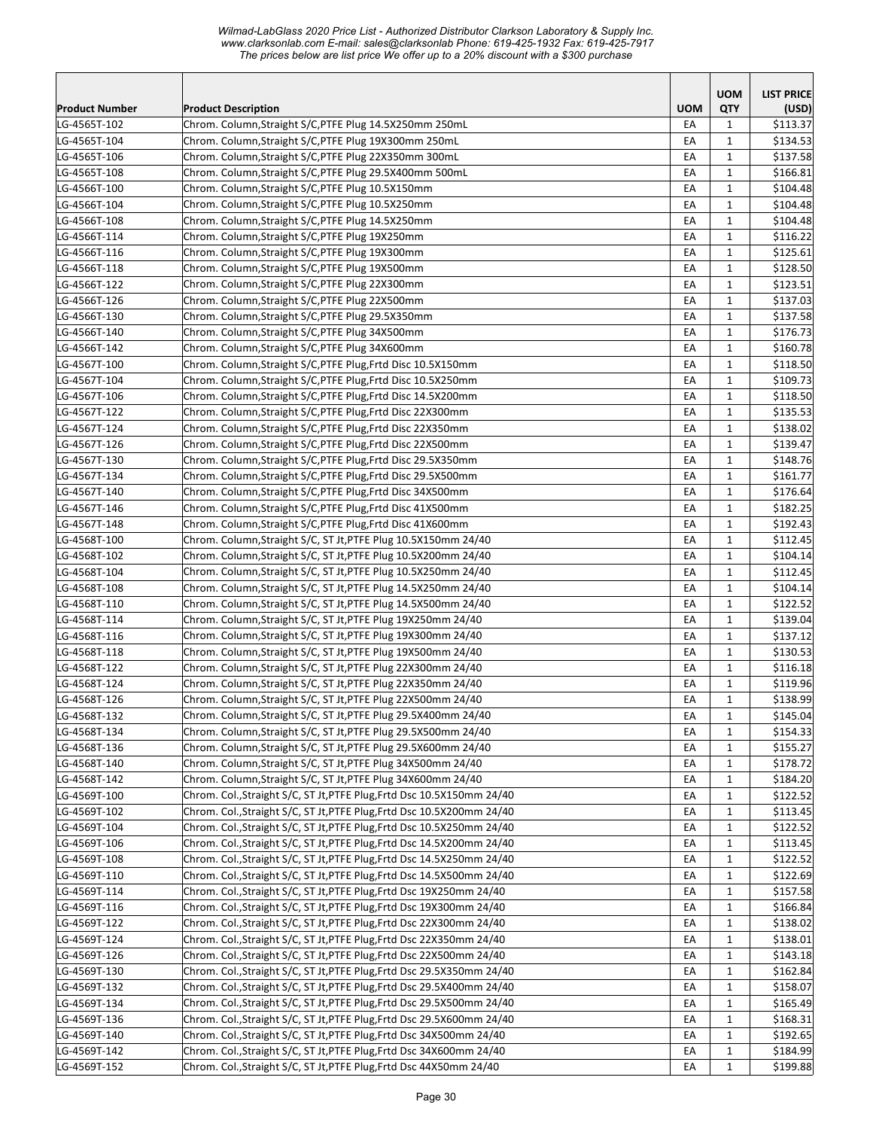|                       |                                                                        |            | <b>UOM</b>   | <b>LIST PRICE</b>    |
|-----------------------|------------------------------------------------------------------------|------------|--------------|----------------------|
| <b>Product Number</b> | <b>Product Description</b>                                             | <b>UOM</b> | QTY          | (USD)                |
| LG-4565T-102          | Chrom. Column, Straight S/C, PTFE Plug 14.5X250mm 250mL                | EA         | 1            | \$113.37             |
| LG-4565T-104          | Chrom. Column, Straight S/C, PTFE Plug 19X300mm 250mL                  | EA         | $\mathbf{1}$ | \$134.53             |
| LG-4565T-106          | Chrom. Column, Straight S/C, PTFE Plug 22X350mm 300mL                  | EA         | 1            | \$137.58             |
| LG-4565T-108          | Chrom. Column, Straight S/C, PTFE Plug 29.5X400mm 500mL                | EA         | $\mathbf{1}$ | \$166.81             |
| LG-4566T-100          | Chrom. Column, Straight S/C, PTFE Plug 10.5X150mm                      | EA         | $\mathbf{1}$ | \$104.48             |
| LG-4566T-104          | Chrom. Column, Straight S/C, PTFE Plug 10.5X250mm                      | EA         | $\mathbf{1}$ | \$104.48             |
| LG-4566T-108          | Chrom. Column, Straight S/C, PTFE Plug 14.5X250mm                      | EA         | $\mathbf{1}$ | \$104.48             |
| LG-4566T-114          | Chrom. Column, Straight S/C, PTFE Plug 19X250mm                        | EA         | $\mathbf{1}$ | \$116.22             |
| LG-4566T-116          | Chrom. Column, Straight S/C, PTFE Plug 19X300mm                        | EA         | $\mathbf{1}$ | \$125.61             |
| LG-4566T-118          | Chrom. Column, Straight S/C, PTFE Plug 19X500mm                        | EA         | $\mathbf{1}$ | \$128.50             |
| LG-4566T-122          | Chrom. Column, Straight S/C, PTFE Plug 22X300mm                        | EA         | $\mathbf{1}$ | \$123.51             |
| LG-4566T-126          | Chrom. Column, Straight S/C, PTFE Plug 22X500mm                        | EA         | $\mathbf{1}$ | \$137.03             |
| LG-4566T-130          | Chrom. Column, Straight S/C, PTFE Plug 29.5X350mm                      | EA         | $\mathbf{1}$ | \$137.58             |
| LG-4566T-140          | Chrom. Column, Straight S/C, PTFE Plug 34X500mm                        | EA         | $\mathbf{1}$ | \$176.73             |
| LG-4566T-142          | Chrom. Column, Straight S/C, PTFE Plug 34X600mm                        | EA         | $\mathbf{1}$ | \$160.78             |
| LG-4567T-100          | Chrom. Column, Straight S/C, PTFE Plug, Frtd Disc 10.5X150mm           | EA         | $\mathbf{1}$ | \$118.50             |
| LG-4567T-104          | Chrom. Column, Straight S/C, PTFE Plug, Frtd Disc 10.5X250mm           | EA         | $\mathbf{1}$ | \$109.73             |
| LG-4567T-106          | Chrom. Column, Straight S/C, PTFE Plug, Frtd Disc 14.5X200mm           | EA         | 1            | \$118.50             |
| LG-4567T-122          | Chrom. Column, Straight S/C, PTFE Plug, Frtd Disc 22X300mm             | EA         | $\mathbf{1}$ | \$135.53             |
| LG-4567T-124          | Chrom. Column, Straight S/C, PTFE Plug, Frtd Disc 22X350mm             | EA         | $\mathbf{1}$ | \$138.02             |
| LG-4567T-126          | Chrom. Column, Straight S/C, PTFE Plug, Frtd Disc 22X500mm             | EA         | 1            | \$139.47             |
| LG-4567T-130          | Chrom. Column, Straight S/C, PTFE Plug, Frtd Disc 29.5X350mm           | EA         | $\mathbf{1}$ | \$148.76             |
| LG-4567T-134          | Chrom. Column, Straight S/C, PTFE Plug, Frtd Disc 29.5X500mm           | EA         | $\mathbf{1}$ | \$161.77             |
| LG-4567T-140          | Chrom. Column, Straight S/C, PTFE Plug, Frtd Disc 34X500mm             | EA         | $\mathbf{1}$ | \$176.64             |
| LG-4567T-146          | Chrom. Column, Straight S/C, PTFE Plug, Frtd Disc 41X500mm             | EA         | $\mathbf{1}$ | \$182.25             |
| LG-4567T-148          | Chrom. Column, Straight S/C, PTFE Plug, Frtd Disc 41X600mm             | EA         | $\mathbf{1}$ | \$192.43             |
| LG-4568T-100          | Chrom. Column, Straight S/C, ST Jt, PTFE Plug 10.5X150mm 24/40         | EA         | $\mathbf{1}$ | \$112.45             |
| LG-4568T-102          | Chrom. Column, Straight S/C, ST Jt, PTFE Plug 10.5X200mm 24/40         | EA         | $\mathbf{1}$ | \$104.14             |
| LG-4568T-104          | Chrom. Column, Straight S/C, ST Jt, PTFE Plug 10.5X250mm 24/40         | EA         | $\mathbf{1}$ | \$112.45             |
| LG-4568T-108          | Chrom. Column, Straight S/C, ST Jt, PTFE Plug 14.5X250mm 24/40         | EA         | $\mathbf{1}$ | \$104.14             |
| LG-4568T-110          | Chrom. Column, Straight S/C, ST Jt, PTFE Plug 14.5X500mm 24/40         | EA         | $\mathbf{1}$ | \$122.52             |
| LG-4568T-114          | Chrom. Column, Straight S/C, ST Jt, PTFE Plug 19X250mm 24/40           | EA         | $\mathbf{1}$ | \$139.04             |
| LG-4568T-116          | Chrom. Column, Straight S/C, ST Jt, PTFE Plug 19X300mm 24/40           | EA         | 1            | \$137.12             |
| LG-4568T-118          | Chrom. Column, Straight S/C, ST Jt, PTFE Plug 19X500mm 24/40           | EA         | $\mathbf{1}$ | \$130.53             |
| LG-4568T-122          | Chrom. Column, Straight S/C, ST Jt, PTFE Plug 22X300mm 24/40           | EA         | 1            | \$116.18             |
| LG-4568T-124          | Chrom. Column, Straight S/C, ST Jt, PTFE Plug 22X350mm 24/40           | EA         | 1            | \$119.96             |
| LG-4568T-126          | Chrom. Column, Straight S/C, ST Jt, PTFE Plug 22X500mm 24/40           | EA         | $\mathbf{1}$ | \$138.99             |
| LG-4568T-132          | Chrom. Column, Straight S/C, ST Jt, PTFE Plug 29.5X400mm 24/40         | EA         | $\mathbf 1$  | \$145.04             |
| LG-4568T-134          | Chrom. Column, Straight S/C, ST Jt, PTFE Plug 29.5X500mm 24/40         | EA         | $\mathbf{1}$ | \$154.33             |
| LG-4568T-136          | Chrom. Column, Straight S/C, ST Jt, PTFE Plug 29.5X600mm 24/40         | EA         | 1            | \$155.27             |
| LG-4568T-140          | Chrom. Column, Straight S/C, ST Jt, PTFE Plug 34X500mm 24/40           |            | $\mathbf{1}$ | \$178.72             |
| LG-4568T-142          | Chrom. Column, Straight S/C, ST Jt, PTFE Plug 34X600mm 24/40           | EA<br>EA   | $\mathbf{1}$ | \$184.20             |
| LG-4569T-100          | Chrom. Col., Straight S/C, ST Jt, PTFE Plug, Frtd Dsc 10.5X150mm 24/40 | EA         |              | \$122.52             |
|                       |                                                                        |            | $\mathbf{1}$ |                      |
| LG-4569T-102          | Chrom. Col., Straight S/C, ST Jt, PTFE Plug, Frtd Dsc 10.5X200mm 24/40 | EA         | $\mathbf{1}$ | \$113.45<br>\$122.52 |
| LG-4569T-104          | Chrom. Col., Straight S/C, ST Jt, PTFE Plug, Frtd Dsc 10.5X250mm 24/40 | EA         | $\mathbf 1$  |                      |
| LG-4569T-106          | Chrom. Col., Straight S/C, ST Jt, PTFE Plug, Frtd Dsc 14.5X200mm 24/40 | EA         | $\mathbf{1}$ | \$113.45             |
| LG-4569T-108          | Chrom. Col., Straight S/C, ST Jt, PTFE Plug, Frtd Dsc 14.5X250mm 24/40 | EA         | $\mathbf 1$  | \$122.52             |
| LG-4569T-110          | Chrom. Col., Straight S/C, ST Jt, PTFE Plug, Frtd Dsc 14.5X500mm 24/40 | EA         | $\mathbf{1}$ | \$122.69             |
| LG-4569T-114          | Chrom. Col., Straight S/C, ST Jt, PTFE Plug, Frtd Dsc 19X250mm 24/40   | EA         | $\mathbf{1}$ | \$157.58             |
| LG-4569T-116          | Chrom. Col., Straight S/C, ST Jt, PTFE Plug, Frtd Dsc 19X300mm 24/40   | EA         | 1            | \$166.84             |
| LG-4569T-122          | Chrom. Col., Straight S/C, ST Jt, PTFE Plug, Frtd Dsc 22X300mm 24/40   | EA         | $\mathbf{1}$ | \$138.02             |
| LG-4569T-124          | Chrom. Col., Straight S/C, ST Jt, PTFE Plug, Frtd Dsc 22X350mm 24/40   | EA         | $\mathbf{1}$ | \$138.01             |
| LG-4569T-126          | Chrom. Col., Straight S/C, ST Jt, PTFE Plug, Frtd Dsc 22X500mm 24/40   | EA         | $\mathbf{1}$ | \$143.18             |
| LG-4569T-130          | Chrom. Col., Straight S/C, ST Jt, PTFE Plug, Frtd Dsc 29.5X350mm 24/40 | EA         | $\mathbf{1}$ | \$162.84             |
| LG-4569T-132          | Chrom. Col., Straight S/C, ST Jt, PTFE Plug, Frtd Dsc 29.5X400mm 24/40 | EA         | $\mathbf{1}$ | \$158.07             |
| LG-4569T-134          | Chrom. Col., Straight S/C, ST Jt, PTFE Plug, Frtd Dsc 29.5X500mm 24/40 | EA         | $\mathbf{1}$ | \$165.49             |
| LG-4569T-136          | Chrom. Col., Straight S/C, ST Jt, PTFE Plug, Frtd Dsc 29.5X600mm 24/40 | EA         | $\mathbf{1}$ | \$168.31             |
| LG-4569T-140          | Chrom. Col., Straight S/C, ST Jt, PTFE Plug, Frtd Dsc 34X500mm 24/40   | EA         | $\mathbf{1}$ | \$192.65             |
| LG-4569T-142          | Chrom. Col., Straight S/C, ST Jt, PTFE Plug, Frtd Dsc 34X600mm 24/40   | EA         | $\mathbf{1}$ | \$184.99             |
| LG-4569T-152          | Chrom. Col., Straight S/C, ST Jt, PTFE Plug, Frtd Dsc 44X50mm 24/40    | EA         | $\mathbf 1$  | \$199.88             |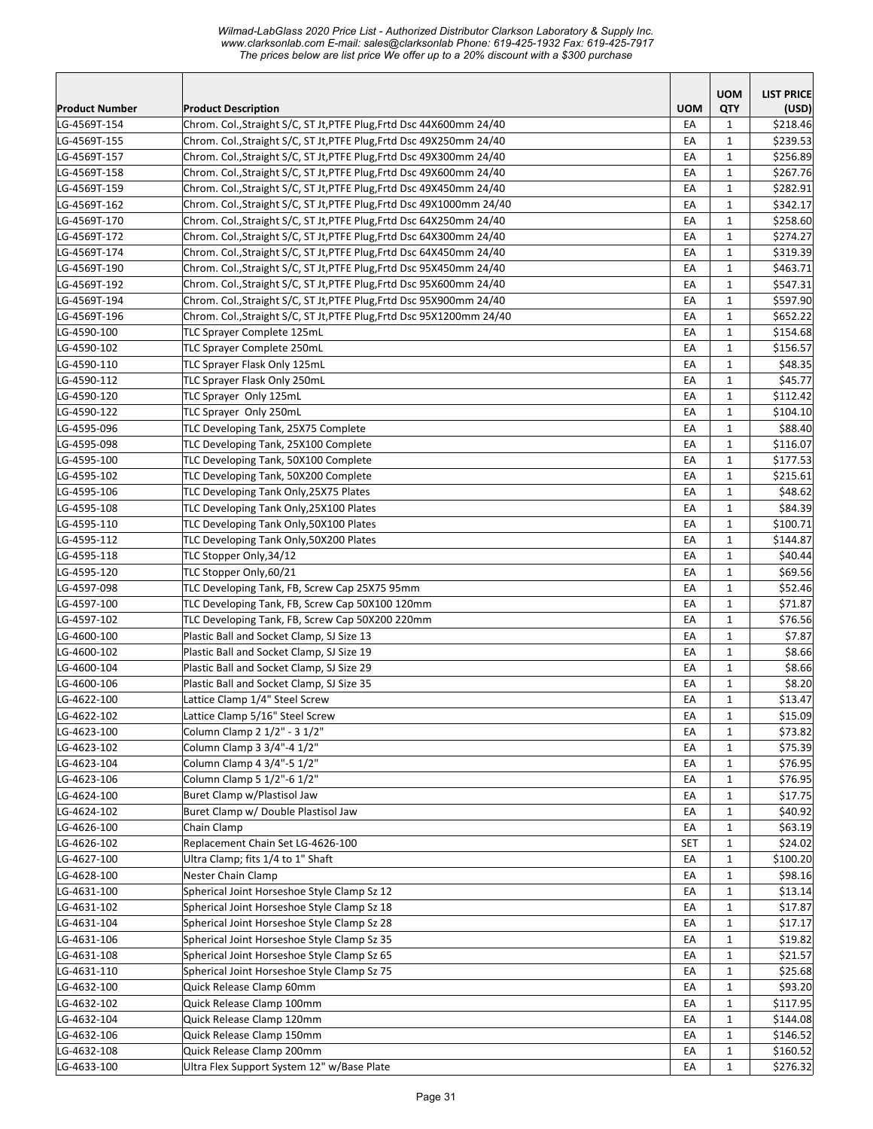|                       |                                                                       |            | <b>UOM</b>   | <b>LIST PRICE</b> |
|-----------------------|-----------------------------------------------------------------------|------------|--------------|-------------------|
| <b>Product Number</b> | <b>Product Description</b>                                            | <b>UOM</b> | QTY          | (USD)             |
| LG-4569T-154          | Chrom. Col., Straight S/C, ST Jt, PTFE Plug, Frtd Dsc 44X600mm 24/40  | EA         | 1            | \$218.46          |
| LG-4569T-155          | Chrom. Col., Straight S/C, ST Jt, PTFE Plug, Frtd Dsc 49X250mm 24/40  | EA         | $\mathbf{1}$ | \$239.53          |
| LG-4569T-157          | Chrom. Col., Straight S/C, ST Jt, PTFE Plug, Frtd Dsc 49X300mm 24/40  | EA         | 1            | \$256.89          |
| LG-4569T-158          | Chrom. Col., Straight S/C, ST Jt, PTFE Plug, Frtd Dsc 49X600mm 24/40  | EA         | $\mathbf{1}$ | \$267.76          |
| LG-4569T-159          | Chrom. Col., Straight S/C, ST Jt, PTFE Plug, Frtd Dsc 49X450mm 24/40  | EA         | $\mathbf{1}$ | \$282.91          |
| LG-4569T-162          | Chrom. Col., Straight S/C, ST Jt, PTFE Plug, Frtd Dsc 49X1000mm 24/40 | EA         | $\mathbf{1}$ | \$342.17          |
| LG-4569T-170          | Chrom. Col., Straight S/C, ST Jt, PTFE Plug, Frtd Dsc 64X250mm 24/40  | EA         | $\mathbf{1}$ | \$258.60          |
| LG-4569T-172          | Chrom. Col., Straight S/C, ST Jt, PTFE Plug, Frtd Dsc 64X300mm 24/40  | EA         | $\mathbf{1}$ | \$274.27          |
| LG-4569T-174          | Chrom. Col., Straight S/C, ST Jt, PTFE Plug, Frtd Dsc 64X450mm 24/40  | EA         | $\mathbf{1}$ | \$319.39          |
| LG-4569T-190          | Chrom. Col., Straight S/C, ST Jt, PTFE Plug, Frtd Dsc 95X450mm 24/40  | EA         | $\mathbf{1}$ | \$463.71          |
| LG-4569T-192          | Chrom. Col., Straight S/C, ST Jt, PTFE Plug, Frtd Dsc 95X600mm 24/40  | EA         | $\mathbf{1}$ | \$547.31          |
| LG-4569T-194          | Chrom. Col., Straight S/C, ST Jt, PTFE Plug, Frtd Dsc 95X900mm 24/40  | EA         | $\mathbf{1}$ | \$597.90          |
| LG-4569T-196          | Chrom. Col., Straight S/C, ST Jt, PTFE Plug, Frtd Dsc 95X1200mm 24/40 | EA         | $\mathbf{1}$ | \$652.22          |
| LG-4590-100           | TLC Sprayer Complete 125mL                                            | EA         | $\mathbf{1}$ | \$154.68          |
| LG-4590-102           | TLC Sprayer Complete 250mL                                            | EA         | $\mathbf{1}$ | \$156.57          |
| LG-4590-110           | TLC Sprayer Flask Only 125mL                                          | EA         | 1            | \$48.35           |
| LG-4590-112           | TLC Sprayer Flask Only 250mL                                          | EA         | $\mathbf{1}$ | \$45.77           |
| LG-4590-120           | TLC Sprayer Only 125mL                                                | EA         | 1            | \$112.42          |
| LG-4590-122           | TLC Sprayer Only 250mL                                                | EA         | $\mathbf{1}$ | \$104.10          |
| LG-4595-096           | TLC Developing Tank, 25X75 Complete                                   | EA         | $\mathbf{1}$ | \$88.40           |
| LG-4595-098           | TLC Developing Tank, 25X100 Complete                                  | EA         | $\mathbf{1}$ | \$116.07          |
| LG-4595-100           | TLC Developing Tank, 50X100 Complete                                  | EA         | $\mathbf{1}$ | \$177.53          |
| LG-4595-102           | TLC Developing Tank, 50X200 Complete                                  | EA         | $\mathbf{1}$ | \$215.61          |
| LG-4595-106           | TLC Developing Tank Only, 25X75 Plates                                | EA         | $\mathbf{1}$ | \$48.62           |
| LG-4595-108           | TLC Developing Tank Only, 25X100 Plates                               | EA         | $\mathbf{1}$ | \$84.39           |
| LG-4595-110           | TLC Developing Tank Only, 50X100 Plates                               | EA         | $\mathbf{1}$ | \$100.71          |
| LG-4595-112           | TLC Developing Tank Only, 50X200 Plates                               | EA         | $\mathbf{1}$ | \$144.87          |
| LG-4595-118           | TLC Stopper Only, 34/12                                               | EA         | $\mathbf{1}$ | \$40.44]          |
| LG-4595-120           | TLC Stopper Only,60/21                                                | EA         | $\mathbf{1}$ | \$69.56           |
| LG-4597-098           | TLC Developing Tank, FB, Screw Cap 25X75 95mm                         | EA         | $\mathbf{1}$ | \$52.46           |
| LG-4597-100           | TLC Developing Tank, FB, Screw Cap 50X100 120mm                       | EA         | $\mathbf{1}$ | \$71.87           |
| LG-4597-102           | TLC Developing Tank, FB, Screw Cap 50X200 220mm                       | EA         | $\mathbf{1}$ | \$76.56           |
| LG-4600-100           | Plastic Ball and Socket Clamp, SJ Size 13                             | EA         | $\mathbf{1}$ | \$7.87            |
| LG-4600-102           | Plastic Ball and Socket Clamp, SJ Size 19                             | EA         | $\mathbf{1}$ | \$8.66            |
| LG-4600-104           | Plastic Ball and Socket Clamp, SJ Size 29                             | EA         | $\mathbf{1}$ | \$8.66            |
| LG-4600-106           | Plastic Ball and Socket Clamp, SJ Size 35                             | EA         | $\mathbf{1}$ | \$8.20            |
| LG-4622-100           | Lattice Clamp 1/4" Steel Screw                                        | EA         | $\mathbf{1}$ | \$13.47           |
| LG-4622-102           | Lattice Clamp 5/16" Steel Screw                                       | EA         | $\mathbf 1$  | \$15.09           |
| LG-4623-100           | Column Clamp 2 1/2" - 3 1/2"                                          | EA         | $\mathbf{1}$ | \$73.82           |
| LG-4623-102           | Column Clamp 3 3/4"-4 1/2"                                            | EA         | 1            | \$75.39           |
| LG-4623-104           | Column Clamp 4 3/4"-5 1/2"                                            | EA         | $\mathbf{1}$ | \$76.95           |
| LG-4623-106           | Column Clamp 5 1/2"-6 1/2"                                            | EA         | $\mathbf{1}$ | \$76.95           |
| LG-4624-100           | Buret Clamp w/Plastisol Jaw                                           | EA         | $\mathbf{1}$ | \$17.75           |
| LG-4624-102           | Buret Clamp w/ Double Plastisol Jaw                                   | EA         | $\mathbf{1}$ | \$40.92           |
| LG-4626-100           | Chain Clamp                                                           | EA         | $\mathbf{1}$ | \$63.19           |
| LG-4626-102           | Replacement Chain Set LG-4626-100                                     | <b>SET</b> | $\mathbf{1}$ | \$24.02           |
| LG-4627-100           | Ultra Clamp; fits 1/4 to 1" Shaft                                     | EA         | $\mathbf{1}$ | \$100.20          |
| LG-4628-100           | Nester Chain Clamp                                                    | EA         | $\mathbf{1}$ | \$98.16           |
| LG-4631-100           | Spherical Joint Horseshoe Style Clamp Sz 12                           | EA         | $\mathbf{1}$ | \$13.14           |
| LG-4631-102           | Spherical Joint Horseshoe Style Clamp Sz 18                           | EA         | 1            | \$17.87           |
| LG-4631-104           | Spherical Joint Horseshoe Style Clamp Sz 28                           |            | $\mathbf{1}$ | \$17.17           |
| LG-4631-106           | Spherical Joint Horseshoe Style Clamp Sz 35                           | EA<br>EA   | $\mathbf{1}$ | \$19.82           |
|                       |                                                                       |            | $\mathbf{1}$ |                   |
| LG-4631-108           | Spherical Joint Horseshoe Style Clamp Sz 65                           | EA         |              | \$21.57           |
| LG-4631-110           | Spherical Joint Horseshoe Style Clamp Sz 75                           | EA         | $\mathbf{1}$ | \$25.68           |
| LG-4632-100           | Quick Release Clamp 60mm                                              | EA         | $\mathbf{1}$ | \$93.20           |
| LG-4632-102           | Quick Release Clamp 100mm                                             | EA         | $\mathbf{1}$ | \$117.95          |
| LG-4632-104           | Quick Release Clamp 120mm                                             | EA         | $\mathbf{1}$ | \$144.08          |
| LG-4632-106           | Quick Release Clamp 150mm                                             | EA         | $\mathbf{1}$ | \$146.52          |
| LG-4632-108           | Quick Release Clamp 200mm                                             | EA         | $\mathbf{1}$ | \$160.52          |
| LG-4633-100           | Ultra Flex Support System 12" w/Base Plate                            | EA         | $\mathbf{1}$ | \$276.32          |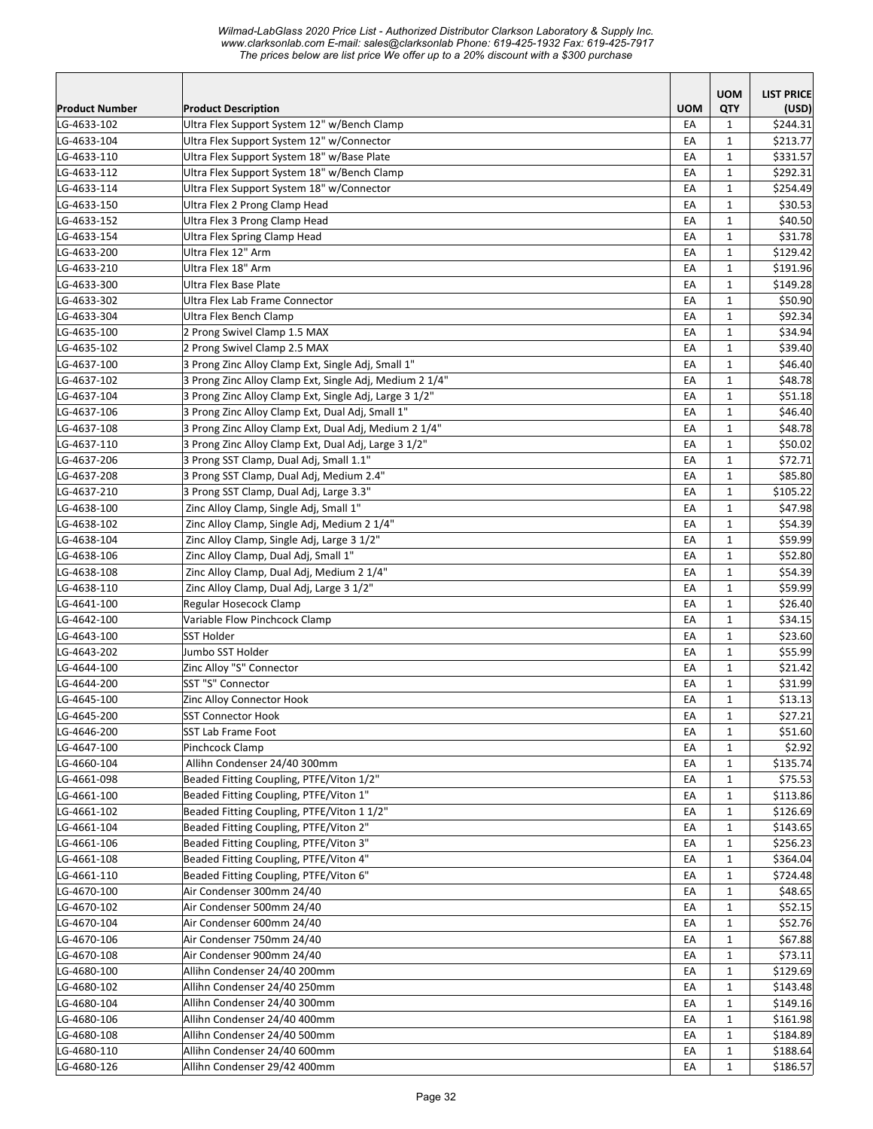|                       |                                                         |            | <b>UOM</b>   | <b>LIST PRICE</b> |
|-----------------------|---------------------------------------------------------|------------|--------------|-------------------|
| <b>Product Number</b> | <b>Product Description</b>                              | <b>UOM</b> | QTY          | (USD)             |
| LG-4633-102           | Ultra Flex Support System 12" w/Bench Clamp             | EA         | $\mathbf{1}$ | \$244.31          |
| LG-4633-104           | Ultra Flex Support System 12" w/Connector               | EA         | $\mathbf{1}$ | \$213.77          |
| LG-4633-110           | Ultra Flex Support System 18" w/Base Plate              | EA         | $\mathbf{1}$ | \$331.57          |
| LG-4633-112           | Ultra Flex Support System 18" w/Bench Clamp             | EA         | $\mathbf{1}$ | \$292.31          |
| LG-4633-114           | Ultra Flex Support System 18" w/Connector               | EA         | $\mathbf{1}$ | \$254.49          |
| LG-4633-150           | Ultra Flex 2 Prong Clamp Head                           | EA         | $\mathbf{1}$ | \$30.53           |
| LG-4633-152           | Ultra Flex 3 Prong Clamp Head                           | EA         | $\mathbf{1}$ | \$40.50           |
| LG-4633-154           | Ultra Flex Spring Clamp Head                            | EA         | $\mathbf{1}$ | \$31.78           |
| LG-4633-200           | Ultra Flex 12" Arm                                      | EA         | $\mathbf{1}$ | \$129.42          |
| LG-4633-210           | Ultra Flex 18" Arm                                      | EA         | $\mathbf 1$  | \$191.96          |
| LG-4633-300           | Ultra Flex Base Plate                                   | EA         | $\mathbf{1}$ | \$149.28          |
| LG-4633-302           | Ultra Flex Lab Frame Connector                          | EA         | $\mathbf{1}$ | \$50.90           |
| LG-4633-304           | Ultra Flex Bench Clamp                                  | EA         | $\mathbf{1}$ | \$92.34           |
| LG-4635-100           | 2 Prong Swivel Clamp 1.5 MAX                            | EA         | $\mathbf{1}$ | \$34.94           |
| LG-4635-102           | 2 Prong Swivel Clamp 2.5 MAX                            | EA         | $\mathbf{1}$ | \$39.40           |
| LG-4637-100           | 3 Prong Zinc Alloy Clamp Ext, Single Adj, Small 1"      | EA         | $\mathbf{1}$ | \$46.40           |
| LG-4637-102           | 3 Prong Zinc Alloy Clamp Ext, Single Adj, Medium 2 1/4" | EA         | $\mathbf{1}$ | \$48.78           |
| LG-4637-104           | 3 Prong Zinc Alloy Clamp Ext, Single Adj, Large 3 1/2"  | EA         | $\mathbf{1}$ | \$51.18           |
| LG-4637-106           | 3 Prong Zinc Alloy Clamp Ext, Dual Adj, Small 1"        | EA         | $\mathbf{1}$ | \$46.40           |
| LG-4637-108           | 3 Prong Zinc Alloy Clamp Ext, Dual Adj, Medium 2 1/4"   | EA         | $\mathbf{1}$ | \$48.78           |
| LG-4637-110           | 3 Prong Zinc Alloy Clamp Ext, Dual Adj, Large 3 1/2"    | EA         | $\mathbf{1}$ | \$50.02           |
| LG-4637-206           | 3 Prong SST Clamp, Dual Adj, Small 1.1"                 | EA         | $\mathbf{1}$ | \$72.71           |
| LG-4637-208           | 3 Prong SST Clamp, Dual Adj, Medium 2.4"                | EA         | $\mathbf{1}$ | \$85.80           |
| LG-4637-210           | 3 Prong SST Clamp, Dual Adj, Large 3.3"                 | EA         | $\mathbf{1}$ | \$105.22          |
| LG-4638-100           | Zinc Alloy Clamp, Single Adj, Small 1"                  | EA         | $\mathbf{1}$ | \$47.98           |
| LG-4638-102           | Zinc Alloy Clamp, Single Adj, Medium 2 1/4"             | EA         | $\mathbf{1}$ | \$54.39           |
| LG-4638-104           | Zinc Alloy Clamp, Single Adj, Large 3 1/2"              | EA         | $\mathbf{1}$ | \$59.99           |
| LG-4638-106           | Zinc Alloy Clamp, Dual Adj, Small 1"                    | EA         | $\mathbf{1}$ | \$52.80           |
| LG-4638-108           | Zinc Alloy Clamp, Dual Adj, Medium 2 1/4"               | EA         | $\mathbf{1}$ | \$54.39           |
| LG-4638-110           | Zinc Alloy Clamp, Dual Adj, Large 3 1/2"                | EA         | $\mathbf{1}$ | \$59.99           |
| LG-4641-100           | Regular Hosecock Clamp                                  | EA         | $\mathbf{1}$ | \$26.40           |
| LG-4642-100           | Variable Flow Pinchcock Clamp                           | EA         | $\mathbf{1}$ | \$34.15           |
| LG-4643-100           | SST Holder                                              | EA         | $\mathbf{1}$ | \$23.60           |
| LG-4643-202           | Jumbo SST Holder                                        | EA         | $\mathbf{1}$ | \$55.99           |
| LG-4644-100           | Zinc Alloy "S" Connector                                | EA         | $\mathbf{1}$ | \$21.42           |
| LG-4644-200           | SST "S" Connector                                       | EA         | $\mathbf{1}$ | \$31.99           |
| LG-4645-100           | Zinc Alloy Connector Hook                               | EA         | $\mathbf{1}$ | \$13.13           |
| LG-4645-200           | <b>SST Connector Hook</b>                               | EA         | 1            | \$27.21           |
| LG-4646-200           | SST Lab Frame Foot                                      | EA         | $\mathbf{1}$ | \$51.60           |
| LG-4647-100           | Pinchcock Clamp                                         | EA         | $\mathbf{1}$ | \$2.92            |
| LG-4660-104           | Allihn Condenser 24/40 300mm                            | EA         | $\mathbf{1}$ | \$135.74          |
| LG-4661-098           | Beaded Fitting Coupling, PTFE/Viton 1/2"                | EA         | $\mathbf{1}$ | \$75.53           |
| LG-4661-100           | Beaded Fitting Coupling, PTFE/Viton 1"                  | EA         | $\mathbf{1}$ | \$113.86          |
| LG-4661-102           | Beaded Fitting Coupling, PTFE/Viton 1 1/2"              | EA         | $\mathbf{1}$ | \$126.69          |
| LG-4661-104           | Beaded Fitting Coupling, PTFE/Viton 2"                  | EA         | $\mathbf{1}$ | \$143.65          |
| LG-4661-106           | Beaded Fitting Coupling, PTFE/Viton 3"                  | EA         | $\mathbf{1}$ | \$256.23          |
| LG-4661-108           | Beaded Fitting Coupling, PTFE/Viton 4"                  | EA         | $\mathbf{1}$ | \$364.04          |
| LG-4661-110           | Beaded Fitting Coupling, PTFE/Viton 6"                  | EA         | $\mathbf{1}$ | \$724.48          |
| LG-4670-100           | Air Condenser 300mm 24/40                               | EA         | $\mathbf{1}$ | \$48.65           |
| LG-4670-102           | Air Condenser 500mm 24/40                               | EA         | $\mathbf{1}$ | \$52.15           |
| LG-4670-104           | Air Condenser 600mm 24/40                               | EA         | $\mathbf{1}$ | \$52.76           |
| LG-4670-106           | Air Condenser 750mm 24/40                               | EA         | $\mathbf{1}$ | \$67.88           |
| LG-4670-108           | Air Condenser 900mm 24/40                               | EA         | $\mathbf{1}$ | \$73.11           |
| LG-4680-100           | Allihn Condenser 24/40 200mm                            | EA         | $\mathbf{1}$ | \$129.69          |
| LG-4680-102           | Allihn Condenser 24/40 250mm                            | EA         | $\mathbf{1}$ | \$143.48          |
| LG-4680-104           | Allihn Condenser 24/40 300mm                            | EA         | $\mathbf{1}$ | \$149.16          |
| LG-4680-106           | Allihn Condenser 24/40 400mm                            | EA         | $\mathbf{1}$ | \$161.98          |
| LG-4680-108           | Allihn Condenser 24/40 500mm                            | EA         | $\mathbf{1}$ | \$184.89          |
| LG-4680-110           | Allihn Condenser 24/40 600mm                            | EA         | $\mathbf{1}$ | \$188.64          |
| LG-4680-126           | Allihn Condenser 29/42 400mm                            | EA         | $\mathbf{1}$ | \$186.57          |
|                       |                                                         |            |              |                   |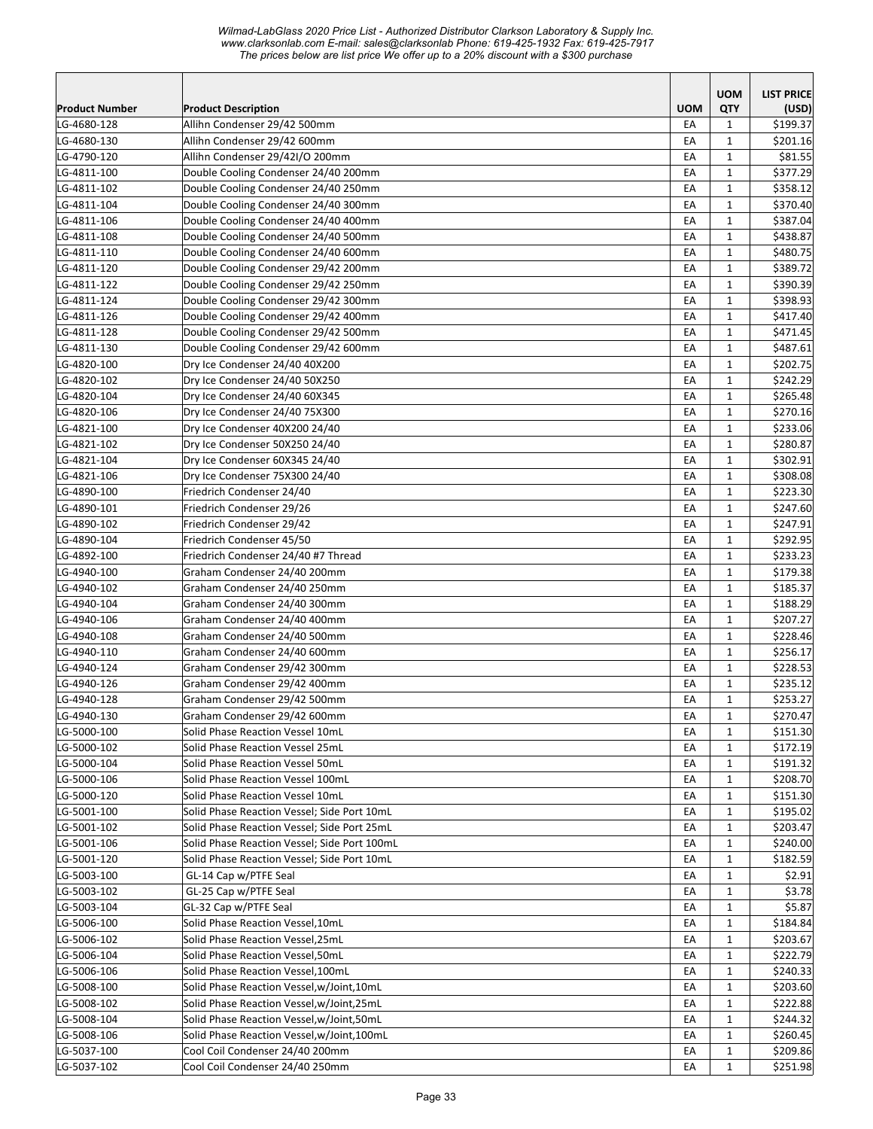|                            |                                              |            | <b>UOM</b>        | <b>LIST PRICE</b>    |
|----------------------------|----------------------------------------------|------------|-------------------|----------------------|
| <b>Product Number</b>      | <b>Product Description</b>                   | <b>UOM</b> | QTY               | (USD)                |
| LG-4680-128                | Allihn Condenser 29/42 500mm                 | EA         | 1                 | \$199.37             |
| LG-4680-130                | Allihn Condenser 29/42 600mm                 | EA         | $\mathbf{1}$      | \$201.16             |
| LG-4790-120                | Allihn Condenser 29/42I/O 200mm              | EA         | 1                 | \$81.55              |
| LG-4811-100                | Double Cooling Condenser 24/40 200mm         | EA         | $\mathbf{1}$      | \$377.29             |
| LG-4811-102                | Double Cooling Condenser 24/40 250mm         | EA         | $\mathbf{1}$      | \$358.12             |
| LG-4811-104                | Double Cooling Condenser 24/40 300mm         | EA         | 1                 | \$370.40             |
| LG-4811-106                | Double Cooling Condenser 24/40 400mm         | EA         | $\mathbf{1}$      | \$387.04             |
| LG-4811-108                | Double Cooling Condenser 24/40 500mm         | EA         | $\mathbf{1}$      | \$438.87             |
| LG-4811-110                | Double Cooling Condenser 24/40 600mm         | EA         | $\mathbf{1}$      | \$480.75             |
| LG-4811-120                | Double Cooling Condenser 29/42 200mm         | EA         | $\mathbf{1}$      | \$389.72             |
| LG-4811-122                | Double Cooling Condenser 29/42 250mm         | EA         | $\mathbf{1}$      | \$390.39             |
| LG-4811-124                | Double Cooling Condenser 29/42 300mm         | EA         | $\mathbf{1}$      | \$398.93             |
| LG-4811-126                | Double Cooling Condenser 29/42 400mm         | EA         | $\mathbf{1}$      | \$417.40             |
| LG-4811-128                | Double Cooling Condenser 29/42 500mm         | EA         | $\mathbf{1}$      | \$471.45             |
| LG-4811-130                | Double Cooling Condenser 29/42 600mm         | EA         | $\mathbf{1}$      | \$487.61             |
| LG-4820-100                | Dry Ice Condenser 24/40 40X200               | EA         | $\mathbf{1}$      | \$202.75             |
| LG-4820-102                | Dry Ice Condenser 24/40 50X250               | EA         | $\mathbf{1}$      | \$242.29             |
| LG-4820-104                | Dry Ice Condenser 24/40 60X345               | EA         | $\mathbf{1}$      | \$265.48             |
| LG-4820-106                | Dry Ice Condenser 24/40 75X300               | EA         | $\mathbf{1}$      | \$270.16             |
| LG-4821-100                | Dry Ice Condenser 40X200 24/40               | EA         | $\mathbf{1}$      | \$233.06             |
| LG-4821-102                | Dry Ice Condenser 50X250 24/40               | EA         | $\mathbf{1}$      | \$280.87             |
| LG-4821-104                | Dry Ice Condenser 60X345 24/40               | EA         | $\mathbf{1}$      | \$302.91             |
| LG-4821-106                | Dry Ice Condenser 75X300 24/40               | EA         | $\mathbf{1}$      | \$308.08             |
| LG-4890-100                | Friedrich Condenser 24/40                    | EA         | $\mathbf{1}$      | \$223.30             |
| LG-4890-101                | Friedrich Condenser 29/26                    | EA         | $\mathbf{1}$      | \$247.60             |
| LG-4890-102                | Friedrich Condenser 29/42                    | EA         | $\mathbf{1}$      | \$247.91             |
| LG-4890-104                | Friedrich Condenser 45/50                    | EA         | $\mathbf{1}$      | \$292.95             |
| LG-4892-100                | Friedrich Condenser 24/40 #7 Thread          | EA         | $\mathbf{1}$      | \$233.23             |
| LG-4940-100                | Graham Condenser 24/40 200mm                 | EA         | $\mathbf{1}$      | \$179.38             |
| LG-4940-102                | Graham Condenser 24/40 250mm                 | EA         | $\mathbf{1}$      | \$185.37             |
| LG-4940-104                | Graham Condenser 24/40 300mm                 | EA         | $\mathbf{1}$      | \$188.29             |
| LG-4940-106                | Graham Condenser 24/40 400mm                 | EA         | $\mathbf{1}$      | \$207.27             |
| LG-4940-108                | Graham Condenser 24/40 500mm                 | EA         | $\mathbf{1}$      | \$228.46             |
| LG-4940-110                | Graham Condenser 24/40 600mm                 | EA         | $\mathbf{1}$      | \$256.17             |
| LG-4940-124                | Graham Condenser 29/42 300mm                 | EA         | 1                 | \$228.53             |
| LG-4940-126                | Graham Condenser 29/42 400mm                 | EA         | $\mathbf{1}$      | \$235.12             |
| LG-4940-128                | Graham Condenser 29/42 500mm                 | EA         | $\mathbf{1}$      | \$253.27             |
| LG-4940-130                | Graham Condenser 29/42 600mm                 | EA         | $\mathbf{1}$      | \$270.47             |
| LG-5000-100                | Solid Phase Reaction Vessel 10mL             | EA         | $\mathbf{1}$      | \$151.30             |
| LG-5000-102                | Solid Phase Reaction Vessel 25mL             | EA         | 1                 | \$172.19             |
| LG-5000-104                | Solid Phase Reaction Vessel 50mL             | EA         | 1                 | \$191.32             |
| LG-5000-106                | Solid Phase Reaction Vessel 100mL            | EA         | 1                 | \$208.70             |
| LG-5000-120                | Solid Phase Reaction Vessel 10mL             | EA         | 1                 | \$151.30             |
| LG-5001-100                | Solid Phase Reaction Vessel; Side Port 10mL  | EA         | 1                 | \$195.02             |
| LG-5001-102                | Solid Phase Reaction Vessel; Side Port 25mL  | EA         | $\mathbf{1}$      | \$203.47             |
| LG-5001-106                | Solid Phase Reaction Vessel; Side Port 100mL | EA         | 1                 | \$240.00             |
| LG-5001-120                | Solid Phase Reaction Vessel; Side Port 10mL  | EA         | $\mathbf{1}$      | \$182.59             |
| LG-5003-100                | GL-14 Cap w/PTFE Seal                        | EA         | 1                 | \$2.91               |
| LG-5003-102                | GL-25 Cap w/PTFE Seal                        | EA         | $\mathbf{1}$      | \$3.78               |
| LG-5003-104                | GL-32 Cap w/PTFE Seal                        | EA         | 1                 | \$5.87               |
| LG-5006-100                | Solid Phase Reaction Vessel,10mL             | EA         | 1                 | \$184.84             |
| LG-5006-102                | Solid Phase Reaction Vessel,25mL             | EA         | 1                 | \$203.67             |
| LG-5006-104                | Solid Phase Reaction Vessel,50mL             | EA         | $\mathbf{1}$      | \$222.79             |
| LG-5006-106                | Solid Phase Reaction Vessel,100mL            | EA         | 1                 | \$240.33             |
| LG-5008-100                | Solid Phase Reaction Vessel, w/Joint, 10mL   | EA         | $\mathbf{1}$      | \$203.60             |
| LG-5008-102                | Solid Phase Reaction Vessel, w/Joint, 25mL   | EA         | $\mathbf{1}$      | \$222.88             |
| LG-5008-104                | Solid Phase Reaction Vessel, w/Joint, 50mL   | EA         | 1                 | \$244.32             |
| LG-5008-106                | Solid Phase Reaction Vessel, w/Joint, 100mL  | EA         | 1                 | \$260.45             |
|                            | Cool Coil Condenser 24/40 200mm              |            |                   |                      |
| LG-5037-100<br>LG-5037-102 | Cool Coil Condenser 24/40 250mm              | EA<br>EA   | 1<br>$\mathbf{1}$ | \$209.86<br>\$251.98 |
|                            |                                              |            |                   |                      |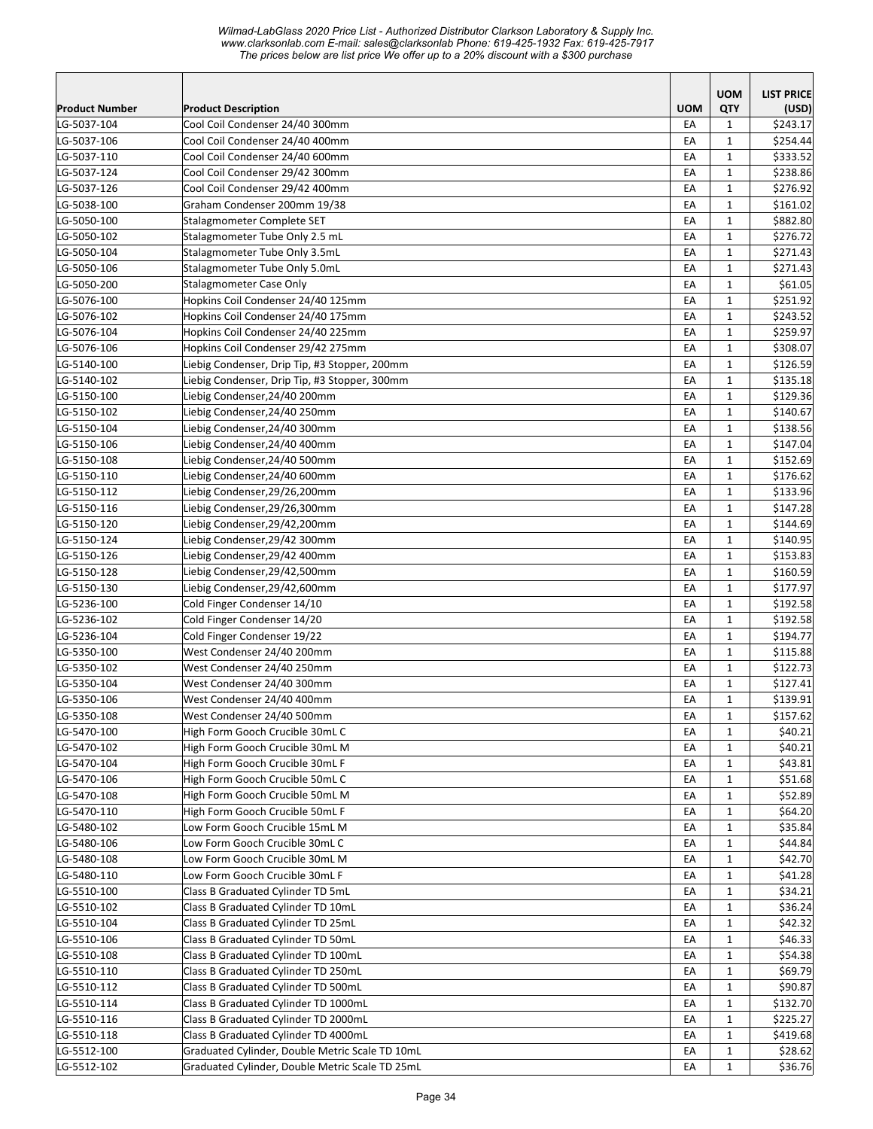|                       |                                                 |            | <b>UOM</b>   | <b>LIST PRICE</b> |
|-----------------------|-------------------------------------------------|------------|--------------|-------------------|
| <b>Product Number</b> | <b>Product Description</b>                      | <b>UOM</b> | QTY          | (USD)             |
| LG-5037-104           | Cool Coil Condenser 24/40 300mm                 | EA         | $\mathbf{1}$ | \$243.17          |
| LG-5037-106           | Cool Coil Condenser 24/40 400mm                 | EA         | $\mathbf{1}$ | \$254.44          |
| LG-5037-110           | Cool Coil Condenser 24/40 600mm                 | EA         | $\mathbf{1}$ | \$333.52          |
| LG-5037-124           | Cool Coil Condenser 29/42 300mm                 | EA         | $\mathbf{1}$ | \$238.86          |
| LG-5037-126           | Cool Coil Condenser 29/42 400mm                 | EA         | $\mathbf{1}$ | \$276.92          |
| LG-5038-100           | Graham Condenser 200mm 19/38                    | EA         | $\mathbf{1}$ | \$161.02          |
| LG-5050-100           | Stalagmometer Complete SET                      | EA         | $\mathbf{1}$ | \$882.80          |
| LG-5050-102           | Stalagmometer Tube Only 2.5 mL                  | EA         | $\mathbf{1}$ | \$276.72          |
| LG-5050-104           | Stalagmometer Tube Only 3.5mL                   | EA         | $\mathbf{1}$ | \$271.43          |
| LG-5050-106           | Stalagmometer Tube Only 5.0mL                   | EA         | $\mathbf{1}$ | \$271.43          |
| LG-5050-200           | Stalagmometer Case Only                         | EA         | $\mathbf{1}$ | \$61.05           |
| LG-5076-100           | Hopkins Coil Condenser 24/40 125mm              | EA         | $\mathbf{1}$ | \$251.92          |
| LG-5076-102           | Hopkins Coil Condenser 24/40 175mm              | EA         | $\mathbf{1}$ | \$243.52          |
| LG-5076-104           | Hopkins Coil Condenser 24/40 225mm              | EA         | 1            | \$259.97          |
| LG-5076-106           | Hopkins Coil Condenser 29/42 275mm              | EA         | $\mathbf{1}$ | \$308.07          |
| LG-5140-100           | Liebig Condenser, Drip Tip, #3 Stopper, 200mm   | EA         | $\mathbf{1}$ | \$126.59          |
| LG-5140-102           | Liebig Condenser, Drip Tip, #3 Stopper, 300mm   | EA         | $\mathbf{1}$ | \$135.18          |
| LG-5150-100           | Liebig Condenser, 24/40 200mm                   | EA         | $\mathbf{1}$ | \$129.36          |
| LG-5150-102           | Liebig Condenser, 24/40 250mm                   | EA         | $\mathbf{1}$ | \$140.67          |
| LG-5150-104           | Liebig Condenser, 24/40 300mm                   | EA         | $\mathbf{1}$ | \$138.56          |
| LG-5150-106           | Liebig Condenser, 24/40 400mm                   | EA         | $\mathbf{1}$ | \$147.04          |
| LG-5150-108           | Liebig Condenser, 24/40 500mm                   | EA         | $\mathbf{1}$ | \$152.69          |
| LG-5150-110           | Liebig Condenser, 24/40 600mm                   | EA         | $\mathbf{1}$ | \$176.62          |
| LG-5150-112           | Liebig Condenser, 29/26, 200mm                  | EA         | $\mathbf{1}$ | \$133.96          |
| LG-5150-116           | Liebig Condenser, 29/26, 300mm                  | EA         | $\mathbf{1}$ | \$147.28          |
| LG-5150-120           | Liebig Condenser, 29/42, 200mm                  | EA         | $\mathbf{1}$ | \$144.69          |
| LG-5150-124           | Liebig Condenser, 29/42 300mm                   | EA         | $\mathbf{1}$ | \$140.95          |
| LG-5150-126           | Liebig Condenser, 29/42 400mm                   | EA         | $\mathbf{1}$ | \$153.83          |
| LG-5150-128           | Liebig Condenser,29/42,500mm                    | EA         | 1            | \$160.59          |
| LG-5150-130           | Liebig Condenser, 29/42,600mm                   | EA         | $\mathbf{1}$ | \$177.97          |
| LG-5236-100           | Cold Finger Condenser 14/10                     | EA         | $\mathbf{1}$ | \$192.58          |
| LG-5236-102           | Cold Finger Condenser 14/20                     | EA         | $\mathbf{1}$ | \$192.58          |
| LG-5236-104           | Cold Finger Condenser 19/22                     | EA         | $\mathbf{1}$ | \$194.77          |
| LG-5350-100           | West Condenser 24/40 200mm                      | EA         | $\mathbf{1}$ | \$115.88          |
| LG-5350-102           | West Condenser 24/40 250mm                      | EA         | $\mathbf{1}$ | \$122.73          |
| LG-5350-104           | West Condenser 24/40 300mm                      | EA         | $\mathbf{1}$ | \$127.41          |
| LG-5350-106           | West Condenser 24/40 400mm                      | EA         | $\mathbf{1}$ | \$139.91          |
| LG-5350-108           | West Condenser 24/40 500mm                      | EA         | $\mathbf 1$  | \$157.62          |
| LG-5470-100           | High Form Gooch Crucible 30mL C                 | EA         | $\mathbf{1}$ | \$40.21           |
| LG-5470-102           | High Form Gooch Crucible 30mL M                 | EA         | $\mathbf{1}$ | \$40.21           |
| LG-5470-104           | High Form Gooch Crucible 30mL F                 | EA         | 1            | \$43.81           |
| LG-5470-106           | High Form Gooch Crucible 50mL C                 | EA         | $\mathbf{1}$ | \$51.68           |
| LG-5470-108           | High Form Gooch Crucible 50mL M                 | EA         | $\mathbf{1}$ | \$52.89           |
| LG-5470-110           | High Form Gooch Crucible 50mL F                 | EA         | $\mathbf{1}$ | \$64.20           |
| LG-5480-102           | Low Form Gooch Crucible 15mL M                  | EA         | $\mathbf{1}$ | \$35.84           |
| LG-5480-106           | Low Form Gooch Crucible 30mL C                  | EA         | $\mathbf{1}$ | \$44.84           |
| LG-5480-108           | Low Form Gooch Crucible 30mL M                  | EA         | $\mathbf 1$  | \$42.70           |
| LG-5480-110           | Low Form Gooch Crucible 30mL F                  | EA         | $\mathbf 1$  | \$41.28           |
| LG-5510-100           | Class B Graduated Cylinder TD 5mL               | EA         | $\mathbf{1}$ | \$34.21           |
| LG-5510-102           | Class B Graduated Cylinder TD 10mL              | EA         | $\mathbf{1}$ | \$36.24           |
| LG-5510-104           | Class B Graduated Cylinder TD 25mL              | EA         | 1            | \$42.32           |
| LG-5510-106           | Class B Graduated Cylinder TD 50mL              | EA         | $\mathbf{1}$ | \$46.33           |
| LG-5510-108           | Class B Graduated Cylinder TD 100mL             | EA         | $\mathbf{1}$ | \$54.38           |
| LG-5510-110           | Class B Graduated Cylinder TD 250mL             | EA         | $\mathbf{1}$ | \$69.79           |
| LG-5510-112           | Class B Graduated Cylinder TD 500mL             | EA         | $\mathbf{1}$ | \$90.87           |
| LG-5510-114           | Class B Graduated Cylinder TD 1000mL            | EA         | $\mathbf{1}$ | \$132.70          |
| LG-5510-116           | Class B Graduated Cylinder TD 2000mL            | EA         | $\mathbf{1}$ | \$225.27          |
| LG-5510-118           | Class B Graduated Cylinder TD 4000mL            | EA         | 1            | \$419.68          |
| LG-5512-100           | Graduated Cylinder, Double Metric Scale TD 10mL | EA         | $\mathbf{1}$ | \$28.62           |
| LG-5512-102           | Graduated Cylinder, Double Metric Scale TD 25mL | EA         | $\mathbf{1}$ | \$36.76           |
|                       |                                                 |            |              |                   |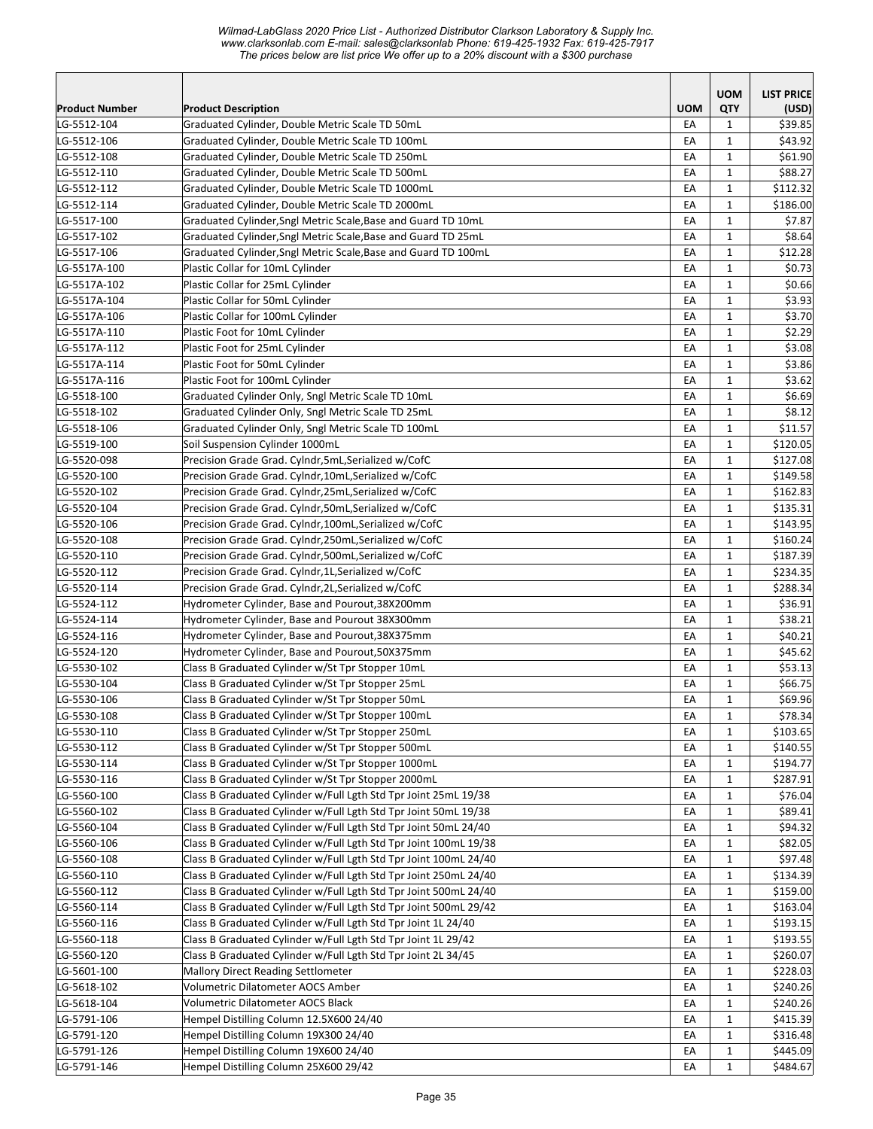*Wilmad-LabGlass 2020 Price List - Authorized Distributor Clarkson Laboratory & Supply Inc. www.clarksonlab.com E-mail: sales@clarksonlab Phone: 619-425-1932 Fax: 619-425-7917 The prices below are list price We offer up to a 20% discount with a \$300 purchase* 

|                       |                                                                  |            | <b>UOM</b>   | <b>LIST PRICE</b> |
|-----------------------|------------------------------------------------------------------|------------|--------------|-------------------|
| <b>Product Number</b> | <b>Product Description</b>                                       | <b>UOM</b> | QTY          | (USD)             |
| LG-5512-104           | Graduated Cylinder, Double Metric Scale TD 50mL                  | EA         | 1            | \$39.85           |
| LG-5512-106           | Graduated Cylinder, Double Metric Scale TD 100mL                 | EA         | $\mathbf{1}$ | \$43.92           |
| LG-5512-108           | Graduated Cylinder, Double Metric Scale TD 250mL                 | EA         | 1            | \$61.90           |
| LG-5512-110           | Graduated Cylinder, Double Metric Scale TD 500mL                 | EA         | $\mathbf{1}$ | \$88.27           |
| LG-5512-112           | Graduated Cylinder, Double Metric Scale TD 1000mL                | EA         | $\mathbf{1}$ | \$112.32          |
| LG-5512-114           | Graduated Cylinder, Double Metric Scale TD 2000mL                | EA         | $\mathbf{1}$ | \$186.00          |
| LG-5517-100           | Graduated Cylinder, Sngl Metric Scale, Base and Guard TD 10mL    | EA         | $\mathbf{1}$ | \$7.87            |
| LG-5517-102           | Graduated Cylinder, Sngl Metric Scale, Base and Guard TD 25mL    | EA         | $\mathbf{1}$ | \$8.64            |
| LG-5517-106           | Graduated Cylinder, Sngl Metric Scale, Base and Guard TD 100mL   | EA         | $\mathbf{1}$ | \$12.28           |
| LG-5517A-100          | Plastic Collar for 10mL Cylinder                                 | EA         | $\mathbf{1}$ | \$0.73            |
| LG-5517A-102          | Plastic Collar for 25mL Cylinder                                 | EA         | $\mathbf{1}$ | \$0.66            |
| LG-5517A-104          | Plastic Collar for 50mL Cylinder                                 | EA         | $\mathbf{1}$ | \$3.93            |
| LG-5517A-106          | Plastic Collar for 100mL Cylinder                                | EA         | $\mathbf{1}$ | \$3.70            |
| LG-5517A-110          | Plastic Foot for 10mL Cylinder                                   | EA         | $\mathbf{1}$ | \$2.29            |
| LG-5517A-112          | Plastic Foot for 25mL Cylinder                                   | EA         | $\mathbf{1}$ | \$3.08            |
| LG-5517A-114          | Plastic Foot for 50mL Cylinder                                   | EA         | $\mathbf{1}$ | \$3.86            |
| LG-5517A-116          | Plastic Foot for 100mL Cylinder                                  | EA         | $\mathbf{1}$ | \$3.62            |
| LG-5518-100           | Graduated Cylinder Only, Sngl Metric Scale TD 10mL               | EA         | $\mathbf{1}$ | \$6.69            |
| LG-5518-102           | Graduated Cylinder Only, Sngl Metric Scale TD 25mL               | EA         | $\mathbf{1}$ | \$8.12            |
| LG-5518-106           | Graduated Cylinder Only, Sngl Metric Scale TD 100mL              | EA         | $\mathbf{1}$ | \$11.57           |
| LG-5519-100           | Soil Suspension Cylinder 1000mL                                  | EA         | $\mathbf{1}$ | \$120.05          |
| LG-5520-098           | Precision Grade Grad. Cylndr, 5mL, Serialized w/CofC             | EA         | $\mathbf{1}$ | \$127.08          |
| LG-5520-100           | Precision Grade Grad. Cylndr,10mL,Serialized w/CofC              | EA         | $\mathbf{1}$ | \$149.58          |
| LG-5520-102           | Precision Grade Grad. Cylndr, 25mL, Serialized w/CofC            | EA         | $\mathbf{1}$ | \$162.83          |
| LG-5520-104           | Precision Grade Grad. Cylndr, 50mL, Serialized w/CofC            | EA         | $\mathbf{1}$ | \$135.31          |
| LG-5520-106           | Precision Grade Grad. Cylndr,100mL,Serialized w/CofC             | EA         | $\mathbf{1}$ | \$143.95          |
| LG-5520-108           | Precision Grade Grad. Cylndr,250mL,Serialized w/CofC             | EA         | $\mathbf{1}$ | \$160.24          |
| LG-5520-110           | Precision Grade Grad. Cylndr,500mL,Serialized w/CofC             | EA         | $\mathbf{1}$ | \$187.39          |
| LG-5520-112           | Precision Grade Grad. Cylndr, 1L, Serialized w/CofC              | EA         | $\mathbf{1}$ | \$234.35          |
| LG-5520-114           | Precision Grade Grad. Cylndr, 2L, Serialized w/CofC              | EA         | $\mathbf{1}$ | \$288.34          |
| LG-5524-112           | Hydrometer Cylinder, Base and Pourout, 38X200mm                  | EA         | $\mathbf{1}$ | \$36.91           |
| LG-5524-114           | Hydrometer Cylinder, Base and Pourout 38X300mm                   | EA         | $\mathbf{1}$ | \$38.21           |
| LG-5524-116           | Hydrometer Cylinder, Base and Pourout, 38X375mm                  | EA         | 1            | \$40.21           |
| LG-5524-120           | Hydrometer Cylinder, Base and Pourout,50X375mm                   | EA         | $\mathbf{1}$ | \$45.62           |
| LG-5530-102           | Class B Graduated Cylinder w/St Tpr Stopper 10mL                 | EA         | $\mathbf{1}$ | \$53.13           |
| LG-5530-104           | Class B Graduated Cylinder w/St Tpr Stopper 25mL                 | EA         | $\mathbf{1}$ | \$66.75           |
| LG-5530-106           | Class B Graduated Cylinder w/St Tpr Stopper 50mL                 | EA         | $\mathbf{1}$ | \$69.96           |
| LG-5530-108           | Class B Graduated Cylinder w/St Tpr Stopper 100mL                | EA         | $\mathbf 1$  | \$78.34           |
| LG-5530-110           | Class B Graduated Cylinder w/St Tpr Stopper 250mL                | EA         | $\mathbf{1}$ | \$103.65          |
| LG-5530-112           | Class B Graduated Cylinder w/St Tpr Stopper 500mL                | EA         | 1            | \$140.55          |
| LG-5530-114           | Class B Graduated Cylinder w/St Tpr Stopper 1000mL               | EA         | $\mathbf{1}$ | \$194.77          |
| LG-5530-116           | Class B Graduated Cylinder w/St Tpr Stopper 2000mL               | EA         | 1            | \$287.91          |
| LG-5560-100           | Class B Graduated Cylinder w/Full Lgth Std Tpr Joint 25mL 19/38  | EA         | $\mathbf{1}$ | \$76.04           |
| LG-5560-102           | Class B Graduated Cylinder w/Full Lgth Std Tpr Joint 50mL 19/38  | EA         | $\mathbf{1}$ | \$89.41           |
| LG-5560-104           | Class B Graduated Cylinder w/Full Lgth Std Tpr Joint 50mL 24/40  | EA         | $\mathbf{1}$ | \$94.32           |
| LG-5560-106           | Class B Graduated Cylinder w/Full Lgth Std Tpr Joint 100mL 19/38 | EA         | $\mathbf{1}$ | \$82.05           |
| LG-5560-108           | Class B Graduated Cylinder w/Full Lgth Std Tpr Joint 100mL 24/40 | EA         | $\mathbf{1}$ | \$97.48           |
| LG-5560-110           | Class B Graduated Cylinder w/Full Lgth Std Tpr Joint 250mL 24/40 | EA         | 1            | \$134.39          |
| LG-5560-112           | Class B Graduated Cylinder w/Full Lgth Std Tpr Joint 500mL 24/40 | EA         | 1            | \$159.00          |
| LG-5560-114           | Class B Graduated Cylinder w/Full Lgth Std Tpr Joint 500mL 29/42 | EA         | 1            | \$163.04          |
| LG-5560-116           | Class B Graduated Cylinder w/Full Lgth Std Tpr Joint 1L 24/40    | EA         | $\mathbf{1}$ | \$193.15          |
| LG-5560-118           | Class B Graduated Cylinder w/Full Lgth Std Tpr Joint 1L 29/42    | EA         | $\mathbf{1}$ | \$193.55          |
| LG-5560-120           | Class B Graduated Cylinder w/Full Lgth Std Tpr Joint 2L 34/45    | EA         | $\mathbf{1}$ | \$260.07          |
| LG-5601-100           | Mallory Direct Reading Settlometer                               | EA         | $\mathbf{1}$ | \$228.03          |
| LG-5618-102           | Volumetric Dilatometer AOCS Amber                                | EA         | $\mathbf{1}$ | \$240.26          |
| LG-5618-104           | Volumetric Dilatometer AOCS Black                                | EA         | $\mathbf{1}$ | \$240.26          |
| LG-5791-106           | Hempel Distilling Column 12.5X600 24/40                          | EA         | 1            | \$415.39          |
| LG-5791-120           | Hempel Distilling Column 19X300 24/40                            | EA         | $\mathbf{1}$ | \$316.48          |
| LG-5791-126           | Hempel Distilling Column 19X600 24/40                            | EA         | $\mathbf{1}$ | \$445.09          |
| LG-5791-146           | Hempel Distilling Column 25X600 29/42                            | EA         | $\mathbf{1}$ | \$484.67          |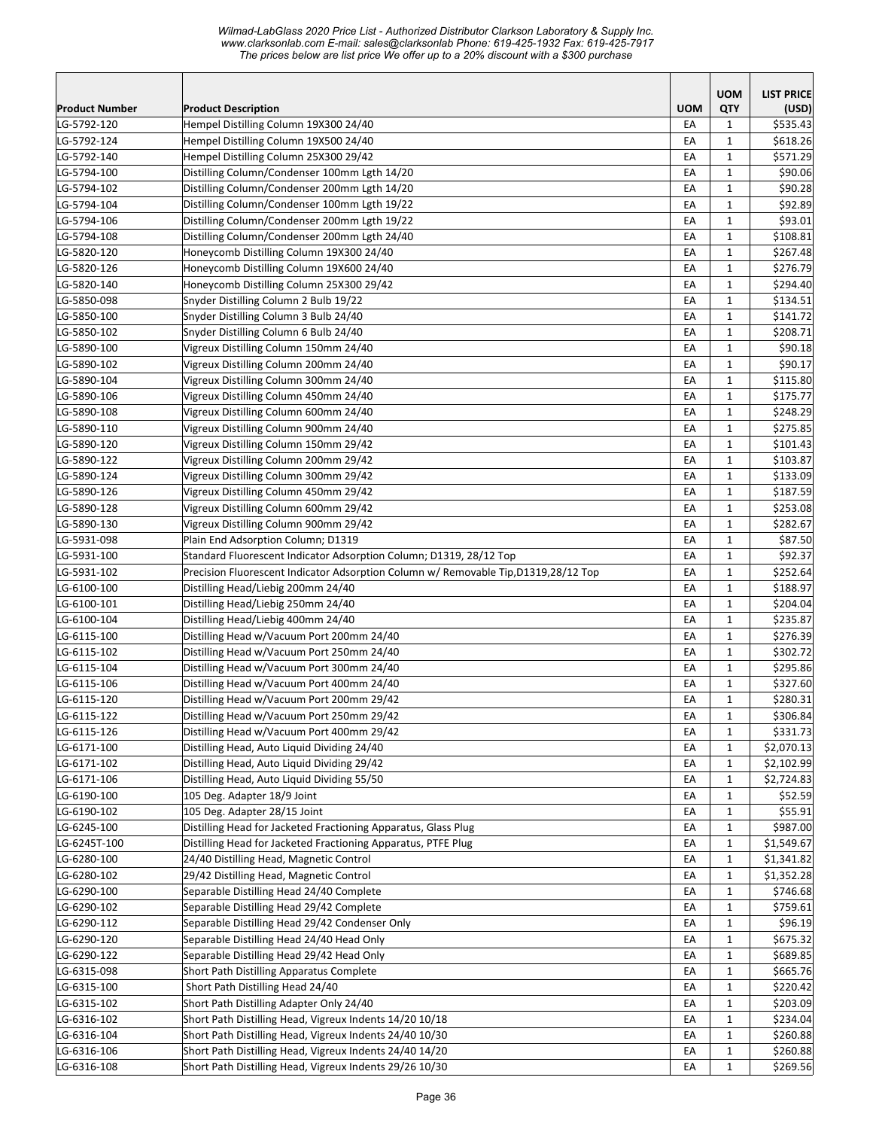| Product Number             | <b>Product Description</b>                                                             | <b>UOM</b> | <b>UOM</b><br><b>QTY</b>     | <b>LIST PRICE</b><br>(USD) |
|----------------------------|----------------------------------------------------------------------------------------|------------|------------------------------|----------------------------|
| LG-5792-120                | Hempel Distilling Column 19X300 24/40                                                  | EA         | $\mathbf{1}$                 | \$535.43                   |
| LG-5792-124                | Hempel Distilling Column 19X500 24/40                                                  | EA         | $\mathbf{1}$                 | \$618.26                   |
| LG-5792-140                | Hempel Distilling Column 25X300 29/42                                                  | EA         | $\mathbf{1}$                 | \$571.29                   |
| LG-5794-100                | Distilling Column/Condenser 100mm Lgth 14/20                                           | EA         | $\mathbf{1}$                 | \$90.06                    |
| LG-5794-102                | Distilling Column/Condenser 200mm Lgth 14/20                                           | EA         | $\mathbf{1}$                 | \$90.28                    |
| LG-5794-104                | Distilling Column/Condenser 100mm Lgth 19/22                                           | EA         | $\mathbf{1}$                 | \$92.89                    |
| LG-5794-106                | Distilling Column/Condenser 200mm Lgth 19/22                                           | EA         | $\mathbf{1}$                 | \$93.01                    |
| LG-5794-108                | Distilling Column/Condenser 200mm Lgth 24/40                                           | EA         | $\mathbf{1}$                 | \$108.81                   |
| LG-5820-120                | Honeycomb Distilling Column 19X300 24/40                                               | EA         | $\mathbf{1}$                 | \$267.48                   |
| LG-5820-126                | Honeycomb Distilling Column 19X600 24/40                                               | EA         | $\mathbf{1}$                 | \$276.79                   |
| LG-5820-140                | Honeycomb Distilling Column 25X300 29/42                                               | EA         | $\mathbf{1}$                 | \$294.40                   |
| LG-5850-098                | Snyder Distilling Column 2 Bulb 19/22                                                  | EA         | $\mathbf{1}$                 | \$134.51                   |
| LG-5850-100                | Snyder Distilling Column 3 Bulb 24/40                                                  | EA         | 1                            | \$141.72                   |
| LG-5850-102                | Snyder Distilling Column 6 Bulb 24/40                                                  | EA         | $\mathbf{1}$                 | \$208.71                   |
| LG-5890-100                | Vigreux Distilling Column 150mm 24/40                                                  | EA         | $\mathbf{1}$                 | \$90.18                    |
| LG-5890-102                | Vigreux Distilling Column 200mm 24/40                                                  | EA         | $\mathbf{1}$                 | \$90.17                    |
| LG-5890-104                | Vigreux Distilling Column 300mm 24/40                                                  | EA         | $\mathbf{1}$                 | \$115.80                   |
| LG-5890-106                | Vigreux Distilling Column 450mm 24/40                                                  | EA         | $\mathbf{1}$                 | \$175.77                   |
| LG-5890-108                | Vigreux Distilling Column 600mm 24/40                                                  | EA         | $\mathbf{1}$                 | \$248.29                   |
| LG-5890-110                | Vigreux Distilling Column 900mm 24/40                                                  | EA         | $\mathbf{1}$                 | \$275.85                   |
| LG-5890-120                | Vigreux Distilling Column 150mm 29/42                                                  | EA         | 1                            | \$101.43                   |
| LG-5890-122                | Vigreux Distilling Column 200mm 29/42                                                  | EA         | $\mathbf{1}$                 | \$103.87                   |
| LG-5890-124                | Vigreux Distilling Column 300mm 29/42                                                  | EA         | $\mathbf{1}$                 | \$133.09                   |
| LG-5890-126                | Vigreux Distilling Column 450mm 29/42                                                  | EA         | $\mathbf{1}$                 | \$187.59                   |
| LG-5890-128                | Vigreux Distilling Column 600mm 29/42                                                  | EA<br>EA   | $\mathbf{1}$<br>$\mathbf{1}$ | \$253.08<br>\$282.67       |
| LG-5890-130                | Vigreux Distilling Column 900mm 29/42<br>Plain End Adsorption Column; D1319            |            |                              | \$87.50                    |
| LG-5931-098<br>LG-5931-100 | Standard Fluorescent Indicator Adsorption Column; D1319, 28/12 Top                     | EA<br>EA   | 1<br>1                       | \$92.37                    |
| LG-5931-102                | Precision Fluorescent Indicator Adsorption Column w/ Removable Tip, D1319, 28/12 Top   | EA         | $\mathbf{1}$                 | \$252.64                   |
| LG-6100-100                | Distilling Head/Liebig 200mm 24/40                                                     | EA         | $\mathbf{1}$                 | \$188.97                   |
| LG-6100-101                | Distilling Head/Liebig 250mm 24/40                                                     | EA         | $\mathbf{1}$                 | \$204.04                   |
| LG-6100-104                | Distilling Head/Liebig 400mm 24/40                                                     | EA         | 1                            | \$235.87                   |
| LG-6115-100                | Distilling Head w/Vacuum Port 200mm 24/40                                              | EA         | $\mathbf{1}$                 | \$276.39                   |
| LG-6115-102                | Distilling Head w/Vacuum Port 250mm 24/40                                              | EA         | $\mathbf{1}$                 | \$302.72                   |
| LG-6115-104                | Distilling Head w/Vacuum Port 300mm 24/40                                              | EA         | $\mathbf{1}$                 | \$295.86                   |
| LG-6115-106                | Distilling Head w/Vacuum Port 400mm 24/40                                              | EA         | $\mathbf{1}$                 | \$327.60                   |
| LG-6115-120                | Distilling Head w/Vacuum Port 200mm 29/42                                              | EA         | $\mathbf{1}$                 | \$280.31                   |
| LG-6115-122                | Distilling Head w/Vacuum Port 250mm 29/42                                              | EA         | $\mathbf 1$                  | \$306.84                   |
| LG-6115-126                | Distilling Head w/Vacuum Port 400mm 29/42                                              | EA         | $\mathbf{1}$                 | \$331.73                   |
| LG-6171-100                | Distilling Head, Auto Liquid Dividing 24/40                                            | EA         | 1                            | \$2,070.13                 |
| LG-6171-102                | Distilling Head, Auto Liquid Dividing 29/42                                            | EA         | $\mathbf{1}$                 | \$2,102.99                 |
| LG-6171-106                | Distilling Head, Auto Liquid Dividing 55/50                                            | EA         | 1                            | \$2,724.83                 |
| LG-6190-100                | 105 Deg. Adapter 18/9 Joint                                                            | EA         | $\mathbf{1}$                 | \$52.59                    |
| LG-6190-102                | 105 Deg. Adapter 28/15 Joint                                                           | EA         | $\mathbf{1}$                 | \$55.91                    |
| LG-6245-100                | Distilling Head for Jacketed Fractioning Apparatus, Glass Plug                         | EA         | $\mathbf{1}$                 | \$987.00                   |
| LG-6245T-100               | Distilling Head for Jacketed Fractioning Apparatus, PTFE Plug                          | EA         | $\mathbf{1}$                 | \$1,549.67                 |
| LG-6280-100                | 24/40 Distilling Head, Magnetic Control                                                | EA         | $\mathbf{1}$                 | \$1,341.82                 |
| LG-6280-102                | 29/42 Distilling Head, Magnetic Control                                                | EA         | $\mathbf{1}$                 | \$1,352.28                 |
| LG-6290-100                | Separable Distilling Head 24/40 Complete                                               | EA         | $\mathbf{1}$                 | \$746.68                   |
| LG-6290-102                | Separable Distilling Head 29/42 Complete                                               | EA         | $\mathbf{1}$                 | \$759.61                   |
| LG-6290-112                | Separable Distilling Head 29/42 Condenser Only                                         | EA<br>EA   | $\mathbf{1}$<br>$\mathbf{1}$ | \$96.19<br>\$675.32        |
| LG-6290-120<br>LG-6290-122 | Separable Distilling Head 24/40 Head Only<br>Separable Distilling Head 29/42 Head Only | EA         | $\mathbf{1}$                 | \$689.85                   |
| LG-6315-098                | Short Path Distilling Apparatus Complete                                               | EA         | $\mathbf{1}$                 | \$665.76                   |
| LG-6315-100                | Short Path Distilling Head 24/40                                                       | EA         | $\mathbf{1}$                 | \$220.42                   |
| LG-6315-102                | Short Path Distilling Adapter Only 24/40                                               | EA         | $\mathbf{1}$                 | \$203.09                   |
| LG-6316-102                | Short Path Distilling Head, Vigreux Indents 14/20 10/18                                | EA         | 1                            | \$234.04                   |
| LG-6316-104                | Short Path Distilling Head, Vigreux Indents 24/40 10/30                                | EA         | 1                            | \$260.88                   |
| LG-6316-106                | Short Path Distilling Head, Vigreux Indents 24/40 14/20                                | EA         | $\mathbf{1}$                 | \$260.88                   |
| LG-6316-108                | Short Path Distilling Head, Vigreux Indents 29/26 10/30                                | EA         | $\mathbf{1}$                 | \$269.56                   |
|                            |                                                                                        |            |                              |                            |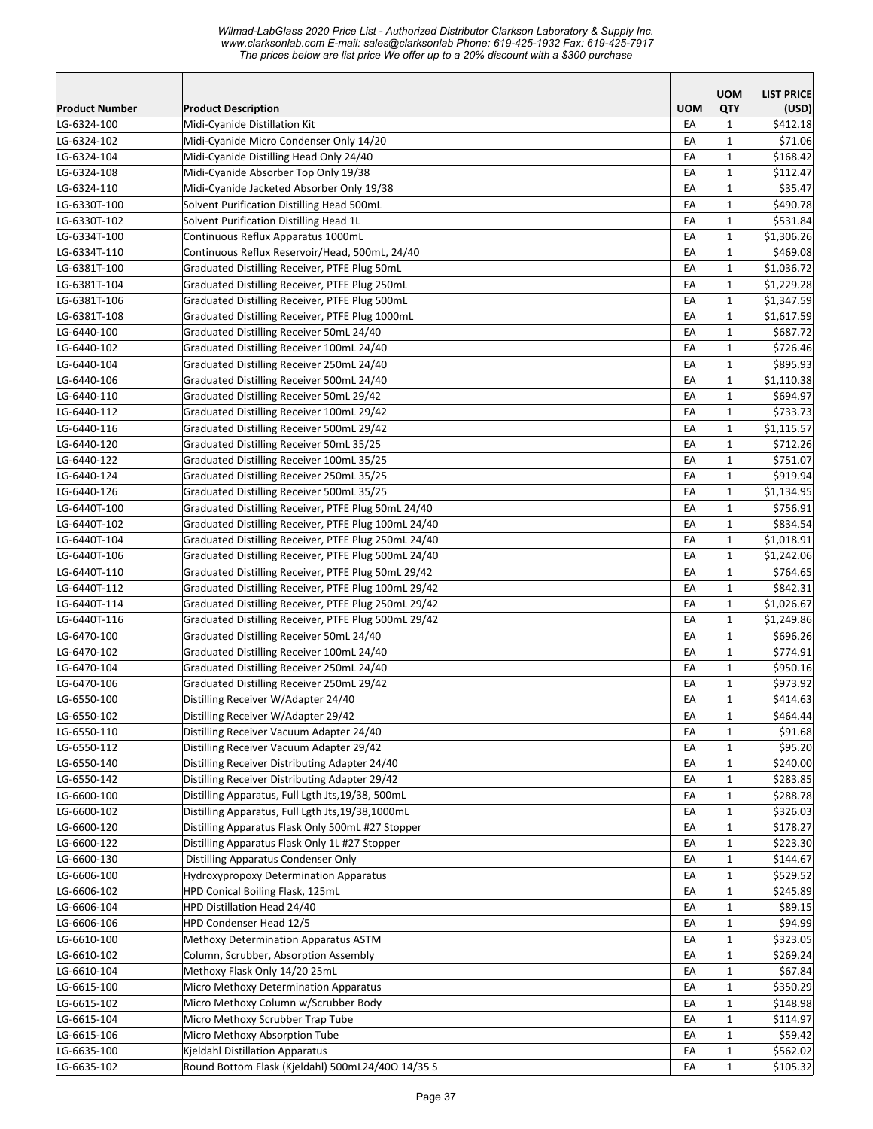|                |                                                      |            | <b>UOM</b>   | <b>LIST PRICE</b> |
|----------------|------------------------------------------------------|------------|--------------|-------------------|
| Product Number | <b>Product Description</b>                           | <b>UOM</b> | QTY          | (USD)             |
| LG-6324-100    | Midi-Cyanide Distillation Kit                        | EA         | $\mathbf{1}$ | \$412.18          |
| LG-6324-102    | Midi-Cyanide Micro Condenser Only 14/20              | EA         | $\mathbf{1}$ | \$71.06           |
| LG-6324-104    | Midi-Cyanide Distilling Head Only 24/40              | EA         | $\mathbf{1}$ | \$168.42          |
| LG-6324-108    | Midi-Cyanide Absorber Top Only 19/38                 | EA         | $\mathbf{1}$ | \$112.47          |
| LG-6324-110    | Midi-Cyanide Jacketed Absorber Only 19/38            | EA         | $\mathbf{1}$ | \$35.47           |
| LG-6330T-100   | Solvent Purification Distilling Head 500mL           | EA         | $\mathbf{1}$ | \$490.78          |
| LG-6330T-102   | Solvent Purification Distilling Head 1L              | EA         | $\mathbf{1}$ | \$531.84          |
| LG-6334T-100   | Continuous Reflux Apparatus 1000mL                   | EA         | $\mathbf{1}$ | \$1,306.26        |
| LG-6334T-110   | Continuous Reflux Reservoir/Head, 500mL, 24/40       | EA         | $\mathbf{1}$ | \$469.08          |
| LG-6381T-100   | Graduated Distilling Receiver, PTFE Plug 50mL        | EA         | $\mathbf{1}$ | \$1,036.72        |
| LG-6381T-104   | Graduated Distilling Receiver, PTFE Plug 250mL       | EA         | $\mathbf{1}$ | \$1,229.28        |
| LG-6381T-106   | Graduated Distilling Receiver, PTFE Plug 500mL       | EA         | $\mathbf{1}$ | \$1,347.59        |
| LG-6381T-108   | Graduated Distilling Receiver, PTFE Plug 1000mL      | EA         | $\mathbf{1}$ | \$1,617.59        |
| LG-6440-100    | Graduated Distilling Receiver 50mL 24/40             | EA         | $\mathbf{1}$ | \$687.72          |
| LG-6440-102    | Graduated Distilling Receiver 100mL 24/40            | EA         | $\mathbf{1}$ | \$726.46          |
| LG-6440-104    | Graduated Distilling Receiver 250mL 24/40            | EA         | $\mathbf{1}$ | \$895.93          |
| LG-6440-106    | Graduated Distilling Receiver 500mL 24/40            | EA         | $\mathbf{1}$ | \$1,110.38        |
| LG-6440-110    | Graduated Distilling Receiver 50mL 29/42             | EA         | $\mathbf{1}$ | \$694.97          |
| LG-6440-112    | Graduated Distilling Receiver 100mL 29/42            | EA         | $\mathbf{1}$ | \$733.73          |
| LG-6440-116    | Graduated Distilling Receiver 500mL 29/42            | EA         | $\mathbf{1}$ | \$1,115.57        |
| LG-6440-120    | Graduated Distilling Receiver 50mL 35/25             | EA         | $\mathbf{1}$ | \$712.26          |
| LG-6440-122    | Graduated Distilling Receiver 100mL 35/25            | EA         | 1            | \$751.07          |
| LG-6440-124    | Graduated Distilling Receiver 250mL 35/25            | EA         | $\mathbf{1}$ | \$919.94          |
| LG-6440-126    | Graduated Distilling Receiver 500mL 35/25            | EA         | $\mathbf{1}$ | \$1,134.95        |
| LG-6440T-100   | Graduated Distilling Receiver, PTFE Plug 50mL 24/40  | EA         | $\mathbf{1}$ | \$756.91          |
| LG-6440T-102   | Graduated Distilling Receiver, PTFE Plug 100mL 24/40 | EA         | $\mathbf{1}$ | \$834.54          |
| LG-6440T-104   | Graduated Distilling Receiver, PTFE Plug 250mL 24/40 | EA         | $\mathbf{1}$ | \$1,018.91        |
| LG-6440T-106   | Graduated Distilling Receiver, PTFE Plug 500mL 24/40 | EA         | $\mathbf{1}$ | \$1,242.06        |
| LG-6440T-110   | Graduated Distilling Receiver, PTFE Plug 50mL 29/42  | EA         | 1            | \$764.65          |
| LG-6440T-112   | Graduated Distilling Receiver, PTFE Plug 100mL 29/42 | EA         | $\mathbf{1}$ | \$842.31          |
| LG-6440T-114   | Graduated Distilling Receiver, PTFE Plug 250mL 29/42 | EA         | $\mathbf{1}$ | \$1,026.67        |
| LG-6440T-116   | Graduated Distilling Receiver, PTFE Plug 500mL 29/42 | EA         | $\mathbf{1}$ | \$1,249.86        |
| LG-6470-100    | Graduated Distilling Receiver 50mL 24/40             | EA         | $\mathbf{1}$ | \$696.26          |
| LG-6470-102    | Graduated Distilling Receiver 100mL 24/40            | EA         | $\mathbf{1}$ | \$774.91          |
| LG-6470-104    | Graduated Distilling Receiver 250mL 24/40            | EA         | $\mathbf{1}$ | \$950.16          |
| LG-6470-106    | Graduated Distilling Receiver 250mL 29/42            | EA         | $\mathbf{1}$ | \$973.92          |
| LG-6550-100    | Distilling Receiver W/Adapter 24/40                  | EA         | $\mathbf{1}$ | \$414.63          |
| LG-6550-102    | Distilling Receiver W/Adapter 29/42                  | EA         | $\mathbf 1$  | \$464.44          |
| LG-6550-110    | Distilling Receiver Vacuum Adapter 24/40             | EA         | $\mathbf{1}$ | \$91.68           |
| LG-6550-112    | Distilling Receiver Vacuum Adapter 29/42             | EA         | $\mathbf{1}$ | \$95.20           |
| LG-6550-140    | Distilling Receiver Distributing Adapter 24/40       | EA         | 1            | \$240.00          |
| LG-6550-142    | Distilling Receiver Distributing Adapter 29/42       | EA         | $\mathbf{1}$ | \$283.85          |
| LG-6600-100    | Distilling Apparatus, Full Lgth Jts, 19/38, 500mL    | EA         | $\mathbf{1}$ | \$288.78          |
| LG-6600-102    | Distilling Apparatus, Full Lgth Jts, 19/38, 1000mL   | EA         | $\mathbf{1}$ | \$326.03          |
| LG-6600-120    | Distilling Apparatus Flask Only 500mL #27 Stopper    | EA         | $\mathbf{1}$ | \$178.27          |
| LG-6600-122    | Distilling Apparatus Flask Only 1L #27 Stopper       | EA         | $\mathbf{1}$ | \$223.30          |
| LG-6600-130    | Distilling Apparatus Condenser Only                  | EA         | $\mathbf{1}$ | \$144.67          |
| LG-6606-100    | Hydroxypropoxy Determination Apparatus               | EA         | $\mathbf{1}$ | \$529.52          |
| LG-6606-102    | HPD Conical Boiling Flask, 125mL                     | EA         | $\mathbf{1}$ | \$245.89          |
| LG-6606-104    | HPD Distillation Head 24/40                          | EA         | $\mathbf{1}$ | \$89.15           |
| LG-6606-106    | HPD Condenser Head 12/5                              | EA         | $\mathbf{1}$ | \$94.99           |
| LG-6610-100    | Methoxy Determination Apparatus ASTM                 | EA         | $\mathbf{1}$ | \$323.05          |
| LG-6610-102    | Column, Scrubber, Absorption Assembly                | EA         | $\mathbf{1}$ | \$269.24          |
| LG-6610-104    | Methoxy Flask Only 14/20 25mL                        | EA         | $\mathbf{1}$ | \$67.84           |
| LG-6615-100    | Micro Methoxy Determination Apparatus                | EA         | $\mathbf{1}$ | \$350.29          |
| LG-6615-102    | Micro Methoxy Column w/Scrubber Body                 | EA         | $\mathbf{1}$ | \$148.98          |
| LG-6615-104    | Micro Methoxy Scrubber Trap Tube                     | EA         | $\mathbf{1}$ | \$114.97          |
| LG-6615-106    | Micro Methoxy Absorption Tube                        | EA         | 1            | \$59.42           |
| LG-6635-100    | Kjeldahl Distillation Apparatus                      | EA         | $\mathbf{1}$ | \$562.02          |
| LG-6635-102    | Round Bottom Flask (Kjeldahl) 500mL24/40O 14/35 S    | EA         | $\mathbf{1}$ | \$105.32          |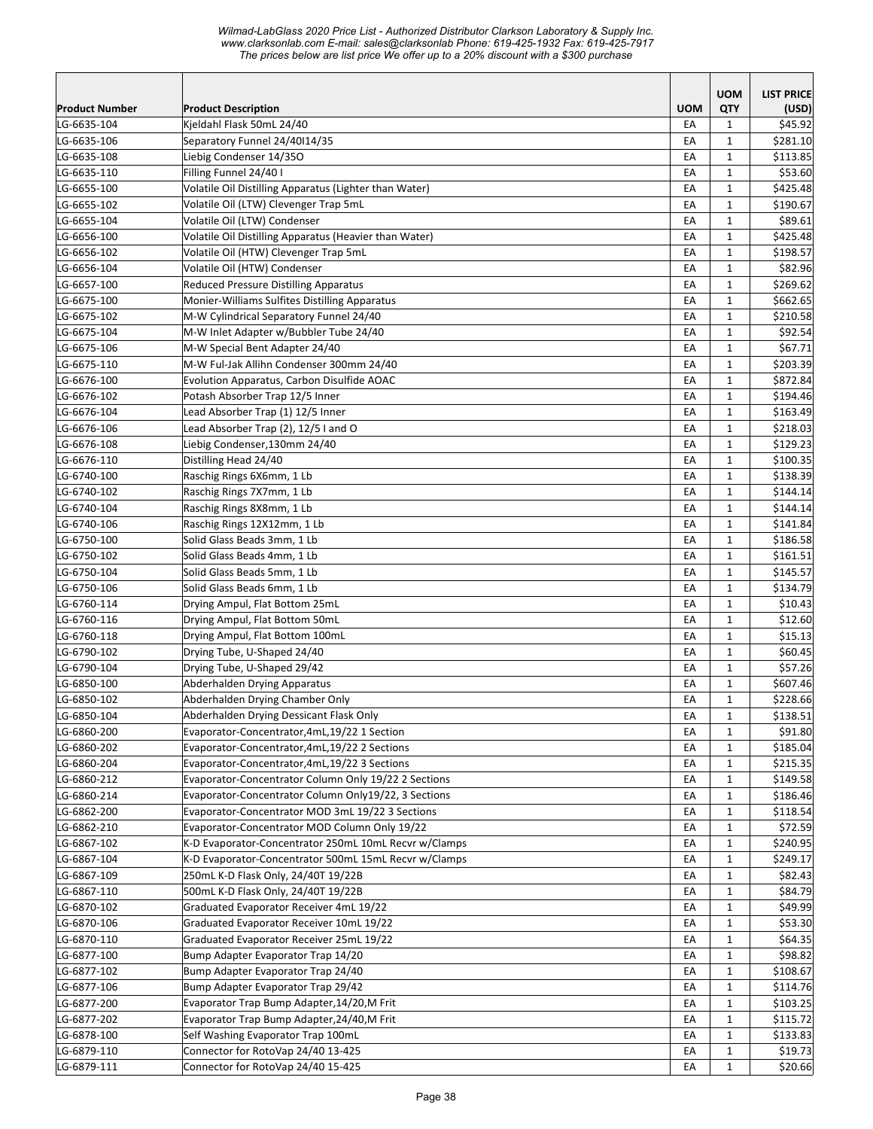*Wilmad-LabGlass 2020 Price List - Authorized Distributor Clarkson Laboratory & Supply Inc. www.clarksonlab.com E-mail: sales@clarksonlab Phone: 619-425-1932 Fax: 619-425-7917 The prices below are list price We offer up to a 20% discount with a \$300 purchase* 

|                       |                                                        |            | <b>UOM</b>   | <b>LIST PRICE</b> |
|-----------------------|--------------------------------------------------------|------------|--------------|-------------------|
| <b>Product Number</b> | <b>Product Description</b>                             | <b>UOM</b> | QTY          | (USD)             |
| LG-6635-104           | Kieldahl Flask 50mL 24/40                              | EA         | $\mathbf{1}$ | \$45.92           |
| LG-6635-106           | Separatory Funnel 24/40114/35                          | EA         | $\mathbf{1}$ | \$281.10          |
| LG-6635-108           | Liebig Condenser 14/350                                | EA         | $\mathbf{1}$ | \$113.85          |
| LG-6635-110           | Filling Funnel 24/40 I                                 | EA         | $\mathbf{1}$ | \$53.60           |
| LG-6655-100           | Volatile Oil Distilling Apparatus (Lighter than Water) | EA         | $\mathbf{1}$ | \$425.48          |
| LG-6655-102           | Volatile Oil (LTW) Clevenger Trap 5mL                  | EA         | $\mathbf{1}$ | \$190.67          |
| LG-6655-104           | Volatile Oil (LTW) Condenser                           | EA         | $\mathbf{1}$ | \$89.61           |
| LG-6656-100           | Volatile Oil Distilling Apparatus (Heavier than Water) | EA         | $\mathbf{1}$ | \$425.48          |
| LG-6656-102           | Volatile Oil (HTW) Clevenger Trap 5mL                  | EA         | $\mathbf{1}$ | \$198.57          |
| LG-6656-104           | Volatile Oil (HTW) Condenser                           | EA         | $\mathbf{1}$ | \$82.96           |
| LG-6657-100           | <b>Reduced Pressure Distilling Apparatus</b>           | EA         | 1            | \$269.62          |
| LG-6675-100           | Monier-Williams Sulfites Distilling Apparatus          | EA         | $\mathbf{1}$ | \$662.65          |
| LG-6675-102           | M-W Cylindrical Separatory Funnel 24/40                | EA         | $\mathbf{1}$ | \$210.58          |
| LG-6675-104           | M-W Inlet Adapter w/Bubbler Tube 24/40                 | EA         | $\mathbf{1}$ | \$92.54           |
| LG-6675-106           | M-W Special Bent Adapter 24/40                         | EA         | $\mathbf{1}$ | \$67.71           |
| LG-6675-110           | M-W Ful-Jak Allihn Condenser 300mm 24/40               | EA         | $\mathbf{1}$ | \$203.39          |
| LG-6676-100           | Evolution Apparatus, Carbon Disulfide AOAC             | EA         | $\mathbf{1}$ | \$872.84          |
| LG-6676-102           | Potash Absorber Trap 12/5 Inner                        | EA         | $\mathbf{1}$ | \$194.46          |
| LG-6676-104           | Lead Absorber Trap (1) 12/5 Inner                      | EA         | $\mathbf{1}$ | \$163.49          |
| LG-6676-106           | Lead Absorber Trap (2), 12/5 I and O                   | EA         | $\mathbf{1}$ | \$218.03          |
| LG-6676-108           | Liebig Condenser, 130mm 24/40                          | EA         | $\mathbf{1}$ | \$129.23          |
| LG-6676-110           | Distilling Head 24/40                                  | EA         | $\mathbf{1}$ | \$100.35          |
| LG-6740-100           | Raschig Rings 6X6mm, 1 Lb                              | EA         | $\mathbf{1}$ | \$138.39          |
| LG-6740-102           | Raschig Rings 7X7mm, 1 Lb                              | EA         | $\mathbf{1}$ | \$144.14          |
| LG-6740-104           | Raschig Rings 8X8mm, 1 Lb                              | EA         | $\mathbf{1}$ | \$144.14          |
| LG-6740-106           | Raschig Rings 12X12mm, 1 Lb                            | EA         | 1            | \$141.84          |
| LG-6750-100           | Solid Glass Beads 3mm, 1 Lb                            | EA         | 1            | \$186.58          |
| LG-6750-102           | Solid Glass Beads 4mm, 1 Lb                            | EA         | $\mathbf{1}$ | \$161.51          |
| LG-6750-104           | Solid Glass Beads 5mm, 1 Lb                            | EA         | $\mathbf{1}$ | \$145.57          |
| LG-6750-106           | Solid Glass Beads 6mm, 1 Lb                            | EA         | 1            | \$134.79          |
| LG-6760-114           | Drying Ampul, Flat Bottom 25mL                         | EA         | $\mathbf{1}$ | \$10.43           |
| LG-6760-116           | Drying Ampul, Flat Bottom 50mL                         | EA         | $\mathbf{1}$ | \$12.60           |
| LG-6760-118           | Drying Ampul, Flat Bottom 100mL                        | EA         | $\mathbf{1}$ | \$15.13           |
| LG-6790-102           | Drying Tube, U-Shaped 24/40                            | EA         | $\mathbf{1}$ | \$60.45           |
| LG-6790-104           | Drying Tube, U-Shaped 29/42                            | EA         | $\mathbf{1}$ | \$57.26           |
| LG-6850-100           | Abderhalden Drying Apparatus                           | EA         | $\mathbf{1}$ | \$607.46          |
| LG-6850-102           | Abderhalden Drying Chamber Only                        | EA         | $\mathbf{1}$ | \$228.66          |
| LG-6850-104           | Abderhalden Drying Dessicant Flask Only                | EA         | $\mathbf 1$  | \$138.51          |
| LG-6860-200           | Evaporator-Concentrator,4mL,19/22 1 Section            | EA         | $\mathbf{1}$ | \$91.80           |
| LG-6860-202           | Evaporator-Concentrator, 4mL, 19/22 2 Sections         | EA         | 1            | \$185.04          |
| LG-6860-204           | Evaporator-Concentrator, 4mL, 19/22 3 Sections         | EA         | 1            | \$215.35          |
| LG-6860-212           | Evaporator-Concentrator Column Only 19/22 2 Sections   | EA         | 1            | \$149.58          |
| LG-6860-214           | Evaporator-Concentrator Column Only19/22, 3 Sections   | EA         | $\mathbf{1}$ | \$186.46          |
| LG-6862-200           | Evaporator-Concentrator MOD 3mL 19/22 3 Sections       | EA         | $\mathbf{1}$ | \$118.54          |
| LG-6862-210           | Evaporator-Concentrator MOD Column Only 19/22          | EA         | $\mathbf{1}$ | \$72.59           |
| LG-6867-102           | K-D Evaporator-Concentrator 250mL 10mL Recvr w/Clamps  | EA         | $\mathbf{1}$ | \$240.95          |
| LG-6867-104           | K-D Evaporator-Concentrator 500mL 15mL Recvr w/Clamps  | EA         | $\mathbf{1}$ | \$249.17          |
| LG-6867-109           | 250mL K-D Flask Only, 24/40T 19/22B                    | EA         | $\mathbf{1}$ | \$82.43           |
| LG-6867-110           | 500mL K-D Flask Only, 24/40T 19/22B                    | EA         | $\mathbf{1}$ | \$84.79           |
| LG-6870-102           | Graduated Evaporator Receiver 4mL 19/22                | EA         | $\mathbf{1}$ | \$49.99           |
| LG-6870-106           | Graduated Evaporator Receiver 10mL 19/22               | EA         | $\mathbf{1}$ | \$53.30           |
| LG-6870-110           | Graduated Evaporator Receiver 25mL 19/22               | EA         | $\mathbf{1}$ | \$64.35           |
| LG-6877-100           | Bump Adapter Evaporator Trap 14/20                     | EA         | $\mathbf{1}$ | \$98.82           |
| LG-6877-102           | Bump Adapter Evaporator Trap 24/40                     | EA         | $\mathbf{1}$ | \$108.67          |
| LG-6877-106           | Bump Adapter Evaporator Trap 29/42                     | EA         | $\mathbf{1}$ | \$114.76          |
| LG-6877-200           | Evaporator Trap Bump Adapter, 14/20, M Frit            | EA         | 1            | \$103.25          |
| LG-6877-202           | Evaporator Trap Bump Adapter, 24/40, M Frit            | EA         | $\mathbf{1}$ | \$115.72          |
| LG-6878-100           | Self Washing Evaporator Trap 100mL                     | EA         | $\mathbf{1}$ | \$133.83          |
| LG-6879-110           | Connector for RotoVap 24/40 13-425                     | EA         | $\mathbf{1}$ | \$19.73           |
| LG-6879-111           | Connector for RotoVap 24/40 15-425                     | EA         | $\mathbf{1}$ | \$20.66           |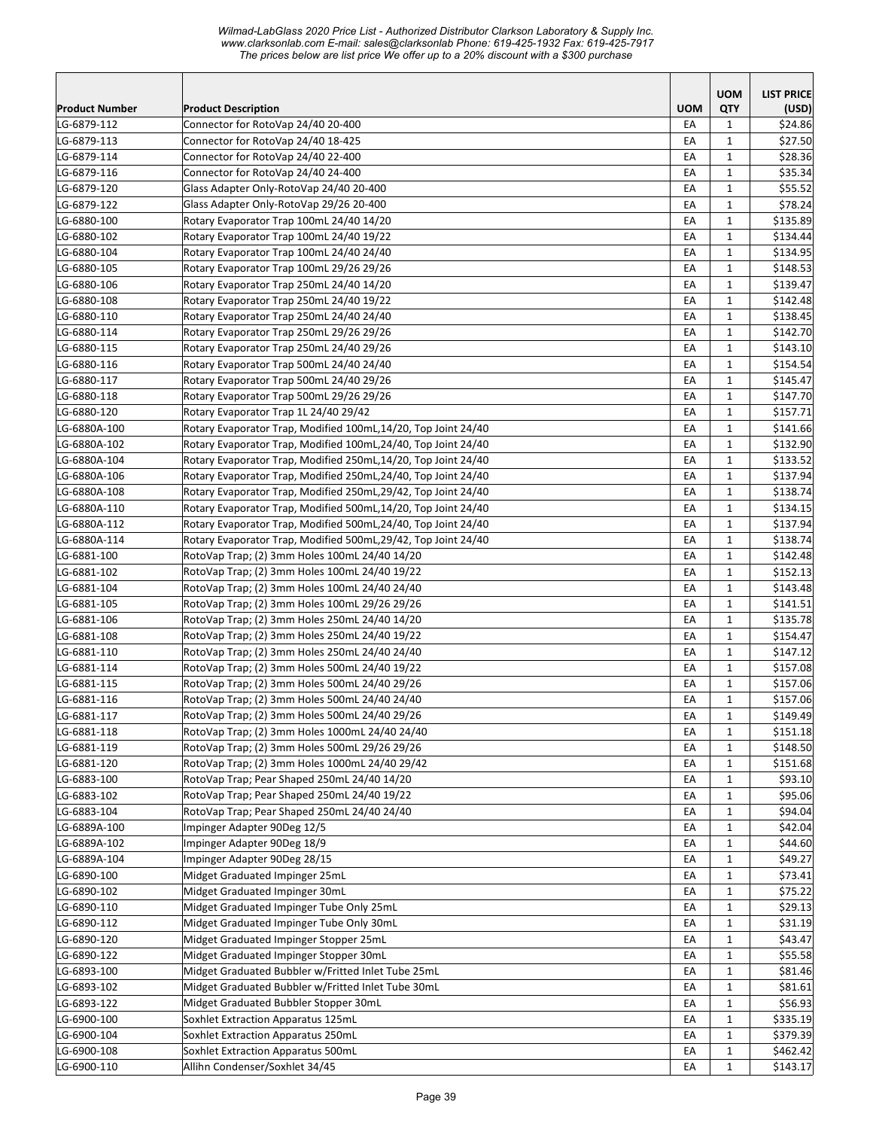|                |                                                               |            | <b>UOM</b>   | <b>LIST PRICE</b> |
|----------------|---------------------------------------------------------------|------------|--------------|-------------------|
| Product Number | <b>Product Description</b>                                    | <b>UOM</b> | QTY          | (USD)             |
| LG-6879-112    | Connector for RotoVap 24/40 20-400                            | EA         | 1            | \$24.86           |
| LG-6879-113    | Connector for RotoVap 24/40 18-425                            | EA         | $\mathbf{1}$ | \$27.50           |
| LG-6879-114    | Connector for RotoVap 24/40 22-400                            | EA         | $\mathbf{1}$ | \$28.36           |
| LG-6879-116    | Connector for RotoVap 24/40 24-400                            | EA         | $\mathbf{1}$ | \$35.34           |
| LG-6879-120    | Glass Adapter Only-RotoVap 24/40 20-400                       | EA         | $\mathbf{1}$ | \$55.52           |
| LG-6879-122    | Glass Adapter Only-RotoVap 29/26 20-400                       | EA         | $\mathbf{1}$ | \$78.24           |
| LG-6880-100    | Rotary Evaporator Trap 100mL 24/40 14/20                      | EA         | $\mathbf{1}$ | \$135.89          |
| LG-6880-102    | Rotary Evaporator Trap 100mL 24/40 19/22                      | EA         | $\mathbf{1}$ | \$134.44          |
| LG-6880-104    | Rotary Evaporator Trap 100mL 24/40 24/40                      | EA         | $\mathbf{1}$ | \$134.95          |
| LG-6880-105    | Rotary Evaporator Trap 100mL 29/26 29/26                      | EA         | $\mathbf{1}$ | \$148.53          |
| LG-6880-106    | Rotary Evaporator Trap 250mL 24/40 14/20                      | EA         | $\mathbf{1}$ | \$139.47          |
| LG-6880-108    | Rotary Evaporator Trap 250mL 24/40 19/22                      | EA         | $\mathbf{1}$ | \$142.48          |
| LG-6880-110    | Rotary Evaporator Trap 250mL 24/40 24/40                      | EA         | $\mathbf{1}$ | \$138.45          |
| LG-6880-114    | Rotary Evaporator Trap 250mL 29/26 29/26                      | EA         | 1            | \$142.70          |
| LG-6880-115    | Rotary Evaporator Trap 250mL 24/40 29/26                      | EA         | $\mathbf{1}$ | \$143.10          |
| LG-6880-116    | Rotary Evaporator Trap 500mL 24/40 24/40                      | EA         | 1            | \$154.54          |
| LG-6880-117    | Rotary Evaporator Trap 500mL 24/40 29/26                      | EA         | $\mathbf{1}$ | \$145.47          |
| LG-6880-118    | Rotary Evaporator Trap 500mL 29/26 29/26                      | EA         | 1            | \$147.70          |
| LG-6880-120    | Rotary Evaporator Trap 1L 24/40 29/42                         | EA         | $\mathbf{1}$ | \$157.71          |
| LG-6880A-100   | Rotary Evaporator Trap, Modified 100mL,14/20, Top Joint 24/40 | EA         | $\mathbf{1}$ | \$141.66          |
| LG-6880A-102   | Rotary Evaporator Trap, Modified 100mL,24/40, Top Joint 24/40 | EA         | $\mathbf{1}$ | \$132.90          |
| LG-6880A-104   | Rotary Evaporator Trap, Modified 250mL,14/20, Top Joint 24/40 | EA         | $\mathbf{1}$ | \$133.52          |
| LG-6880A-106   | Rotary Evaporator Trap, Modified 250mL,24/40, Top Joint 24/40 | EA         | $\mathbf{1}$ | \$137.94          |
| LG-6880A-108   | Rotary Evaporator Trap, Modified 250mL,29/42, Top Joint 24/40 | EA         | $\mathbf{1}$ | \$138.74          |
| LG-6880A-110   | Rotary Evaporator Trap, Modified 500mL,14/20, Top Joint 24/40 | EA         | $\mathbf{1}$ | \$134.15          |
| LG-6880A-112   | Rotary Evaporator Trap, Modified 500mL,24/40, Top Joint 24/40 | EA         | $\mathbf{1}$ | \$137.94          |
| LG-6880A-114   | Rotary Evaporator Trap, Modified 500mL,29/42, Top Joint 24/40 | EA         | $\mathbf{1}$ | \$138.74          |
| LG-6881-100    | RotoVap Trap; (2) 3mm Holes 100mL 24/40 14/20                 | EA         | $\mathbf{1}$ | \$142.48          |
| LG-6881-102    | RotoVap Trap; (2) 3mm Holes 100mL 24/40 19/22                 | EA         | $\mathbf{1}$ | \$152.13          |
| LG-6881-104    | RotoVap Trap; (2) 3mm Holes 100mL 24/40 24/40                 | EA         | $\mathbf{1}$ | \$143.48          |
| LG-6881-105    | RotoVap Trap; (2) 3mm Holes 100mL 29/26 29/26                 | EA         | 1            | \$141.51          |
| LG-6881-106    | RotoVap Trap; (2) 3mm Holes 250mL 24/40 14/20                 | EA         | $\mathbf{1}$ | \$135.78          |
| LG-6881-108    | RotoVap Trap; (2) 3mm Holes 250mL 24/40 19/22                 | EA         | 1            | \$154.47          |
| LG-6881-110    | RotoVap Trap; (2) 3mm Holes 250mL 24/40 24/40                 | EA         | $\mathbf{1}$ | \$147.12          |
| LG-6881-114    | RotoVap Trap; (2) 3mm Holes 500mL 24/40 19/22                 | EA         | 1            | \$157.08          |
| LG-6881-115    | RotoVap Trap; (2) 3mm Holes 500mL 24/40 29/26                 | EA         | $\mathbf{1}$ | \$157.06          |
| LG-6881-116    | RotoVap Trap; (2) 3mm Holes 500mL 24/40 24/40                 | EA         | $\mathbf{1}$ | \$157.06          |
| LG-6881-117    | RotoVap Trap; (2) 3mm Holes 500mL 24/40 29/26                 | EA         | $\mathbf 1$  | \$149.49          |
| LG-6881-118    | RotoVap Trap; (2) 3mm Holes 1000mL 24/40 24/40                | EA         | $\mathbf{1}$ | \$151.18          |
| LG-6881-119    | RotoVap Trap; (2) 3mm Holes 500mL 29/26 29/26                 | EA         | $\mathbf{1}$ | \$148.50          |
| LG-6881-120    | RotoVap Trap; (2) 3mm Holes 1000mL 24/40 29/42                | EA         | $\mathbf{1}$ | \$151.68          |
| LG-6883-100    | RotoVap Trap; Pear Shaped 250mL 24/40 14/20                   | EA         | $\mathbf{1}$ | \$93.10           |
| LG-6883-102    | RotoVap Trap; Pear Shaped 250mL 24/40 19/22                   | EA         | $\mathbf{1}$ | \$95.06           |
| LG-6883-104    | RotoVap Trap; Pear Shaped 250mL 24/40 24/40                   | EA         | $\mathbf{1}$ | \$94.04           |
| LG-6889A-100   | Impinger Adapter 90Deg 12/5                                   | EA         | $\mathbf{1}$ | \$42.04]          |
| LG-6889A-102   | Impinger Adapter 90Deg 18/9                                   | EA         | $\mathbf 1$  | \$44.60           |
| LG-6889A-104   | Impinger Adapter 90Deg 28/15                                  | EA         | $\mathbf{1}$ | \$49.27           |
| LG-6890-100    | Midget Graduated Impinger 25mL                                | EA         | $\mathbf{1}$ | \$73.41           |
| LG-6890-102    | Midget Graduated Impinger 30mL                                | EA         | $\mathbf{1}$ | \$75.22           |
| LG-6890-110    | Midget Graduated Impinger Tube Only 25mL                      | EA         | 1            | \$29.13           |
| LG-6890-112    | Midget Graduated Impinger Tube Only 30mL                      | EA         | 1            | \$31.19           |
| LG-6890-120    | Midget Graduated Impinger Stopper 25mL                        | EA         | $\mathbf{1}$ | \$43.47           |
| LG-6890-122    | Midget Graduated Impinger Stopper 30mL                        | EA         | $\mathbf{1}$ | \$55.58           |
| LG-6893-100    | Midget Graduated Bubbler w/Fritted Inlet Tube 25mL            | EA         | $\mathbf{1}$ | \$81.46           |
| LG-6893-102    | Midget Graduated Bubbler w/Fritted Inlet Tube 30mL            | EA         | $\mathbf{1}$ | \$81.61           |
| LG-6893-122    | Midget Graduated Bubbler Stopper 30mL                         | EA         | $\mathbf{1}$ | \$56.93           |
|                | Soxhlet Extraction Apparatus 125mL                            |            |              |                   |
| LG-6900-100    | Soxhlet Extraction Apparatus 250mL                            | EA         | $\mathbf{1}$ | \$335.19          |
| LG-6900-104    |                                                               | EA         | $\mathbf{1}$ | \$379.39          |
| LG-6900-108    | Soxhlet Extraction Apparatus 500mL                            | EA         | $\mathbf{1}$ | \$462.42]         |
| LG-6900-110    | Allihn Condenser/Soxhlet 34/45                                | EA         | $\mathbf{1}$ | \$143.17          |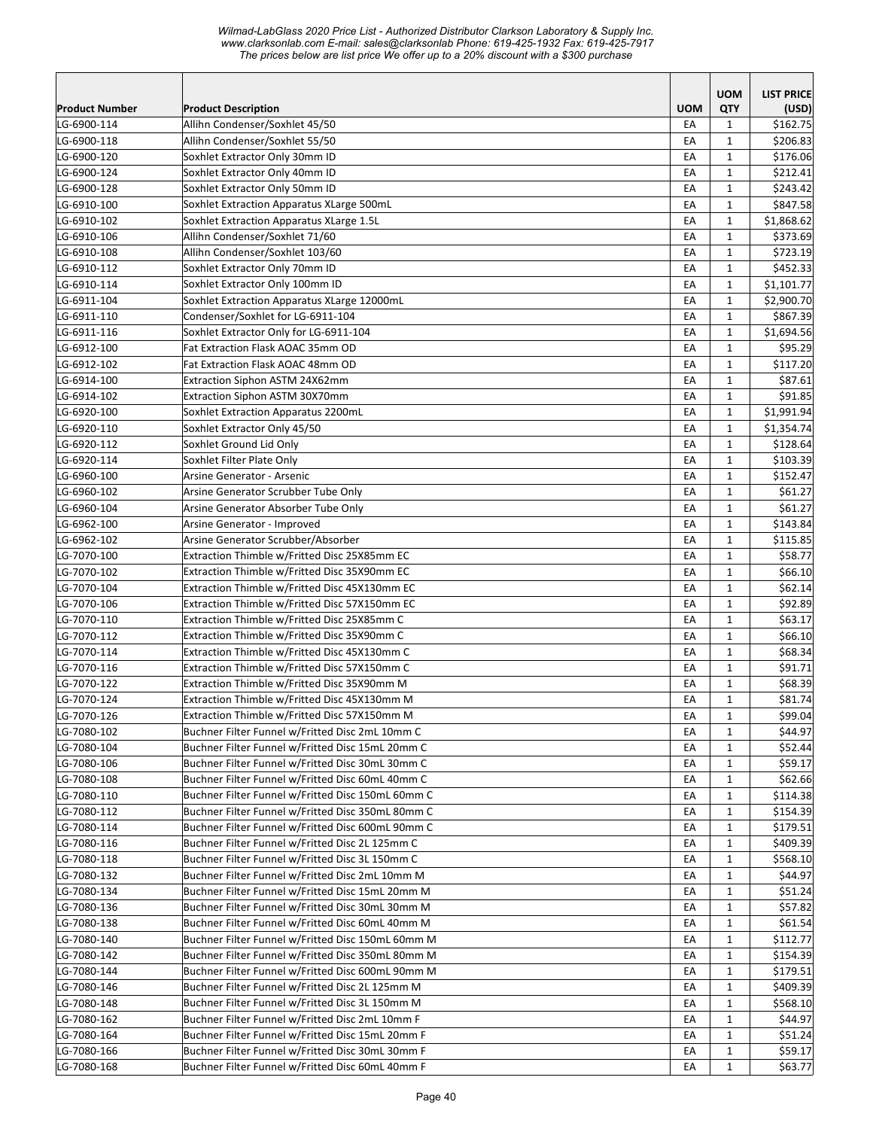|                       |                                                                                                     |            | <b>UOM</b>   | <b>LIST PRICE</b> |
|-----------------------|-----------------------------------------------------------------------------------------------------|------------|--------------|-------------------|
| <b>Product Number</b> | <b>Product Description</b>                                                                          | <b>UOM</b> | QTY          | (USD)             |
| LG-6900-114           | Allihn Condenser/Soxhlet 45/50                                                                      | EA         | $\mathbf{1}$ | \$162.75          |
| LG-6900-118           | Allihn Condenser/Soxhlet 55/50                                                                      | EA         | $\mathbf{1}$ | \$206.83          |
| LG-6900-120           | Soxhlet Extractor Only 30mm ID                                                                      | EA         | $\mathbf{1}$ | \$176.06          |
| LG-6900-124           | Soxhlet Extractor Only 40mm ID                                                                      | EA         | $\mathbf{1}$ | \$212.41          |
| LG-6900-128           | Soxhlet Extractor Only 50mm ID                                                                      | EA         | $\mathbf{1}$ | \$243.42          |
| LG-6910-100           | Soxhlet Extraction Apparatus XLarge 500mL                                                           | EA         | $\mathbf{1}$ | \$847.58          |
| LG-6910-102           | Soxhlet Extraction Apparatus XLarge 1.5L                                                            | EA         | $\mathbf{1}$ | \$1,868.62        |
| LG-6910-106           | Allihn Condenser/Soxhlet 71/60                                                                      | EA         | $\mathbf{1}$ | \$373.69          |
| LG-6910-108           | Allihn Condenser/Soxhlet 103/60                                                                     | EA         | $\mathbf{1}$ | \$723.19          |
| LG-6910-112           | Soxhlet Extractor Only 70mm ID                                                                      | EA         | $\mathbf{1}$ | \$452.33          |
| LG-6910-114           | Soxhlet Extractor Only 100mm ID                                                                     | EA         | $\mathbf{1}$ | \$1,101.77        |
| LG-6911-104           | Soxhlet Extraction Apparatus XLarge 12000mL                                                         | EA         | $\mathbf{1}$ | \$2,900.70        |
| LG-6911-110           | Condenser/Soxhlet for LG-6911-104                                                                   | EA         | $\mathbf{1}$ | \$867.39          |
| LG-6911-116           | Soxhlet Extractor Only for LG-6911-104                                                              | EA         | $\mathbf{1}$ | \$1,694.56        |
| LG-6912-100           | Fat Extraction Flask AOAC 35mm OD                                                                   | EA         | $\mathbf{1}$ | \$95.29           |
| LG-6912-102           | Fat Extraction Flask AOAC 48mm OD                                                                   | EA         | $\mathbf{1}$ | \$117.20          |
| LG-6914-100           | Extraction Siphon ASTM 24X62mm                                                                      | EA         | $\mathbf{1}$ | \$87.61           |
| LG-6914-102           | Extraction Siphon ASTM 30X70mm                                                                      | EA         | $\mathbf{1}$ | \$91.85           |
| LG-6920-100           | Soxhlet Extraction Apparatus 2200mL                                                                 | EA         | $\mathbf{1}$ | \$1,991.94        |
| LG-6920-110           | Soxhlet Extractor Only 45/50                                                                        | EA         | $\mathbf{1}$ | \$1,354.74        |
| LG-6920-112           | Soxhlet Ground Lid Only                                                                             | EA         | $\mathbf{1}$ | \$128.64          |
| LG-6920-114           | Soxhlet Filter Plate Only                                                                           | EA         | $\mathbf{1}$ | \$103.39          |
| LG-6960-100           | Arsine Generator - Arsenic                                                                          | EA         | $\mathbf{1}$ | \$152.47          |
| LG-6960-102           | Arsine Generator Scrubber Tube Only                                                                 | EA         | $\mathbf{1}$ | \$61.27           |
| LG-6960-104           | Arsine Generator Absorber Tube Only                                                                 | EA         | $\mathbf{1}$ | \$61.27           |
| LG-6962-100           | Arsine Generator - Improved                                                                         | EA         | $\mathbf{1}$ | \$143.84          |
| LG-6962-102           | Arsine Generator Scrubber/Absorber                                                                  | EA         | $\mathbf{1}$ | \$115.85          |
| LG-7070-100           | Extraction Thimble w/Fritted Disc 25X85mm EC                                                        | EA         | 1            | \$58.77           |
| LG-7070-102           | Extraction Thimble w/Fritted Disc 35X90mm EC                                                        | EA         | $\mathbf{1}$ | \$66.10           |
| LG-7070-104           | Extraction Thimble w/Fritted Disc 45X130mm EC                                                       | EA         | $\mathbf{1}$ | \$62.14           |
| LG-7070-106           | Extraction Thimble w/Fritted Disc 57X150mm EC                                                       | EA         | $\mathbf{1}$ | \$92.89           |
| LG-7070-110           | Extraction Thimble w/Fritted Disc 25X85mm C                                                         | EA         | $\mathbf{1}$ | \$63.17           |
| LG-7070-112           | Extraction Thimble w/Fritted Disc 35X90mm C                                                         | EA         | $\mathbf{1}$ | \$66.10           |
| LG-7070-114           | Extraction Thimble w/Fritted Disc 45X130mm C                                                        | EA         | $\mathbf{1}$ | \$68.34           |
| LG-7070-116           | Extraction Thimble w/Fritted Disc 57X150mm C                                                        | EA         | $\mathbf{1}$ | \$91.71           |
| LG-7070-122           | Extraction Thimble w/Fritted Disc 35X90mm M                                                         | EA         | $\mathbf{1}$ | \$68.39           |
| LG-7070-124           | Extraction Thimble w/Fritted Disc 45X130mm M                                                        | EA         | $\mathbf{1}$ | \$81.74           |
| LG-7070-126           | Extraction Thimble w/Fritted Disc 57X150mm M                                                        | EA         | $\mathbf 1$  | \$99.04           |
| LG-7080-102           | Buchner Filter Funnel w/Fritted Disc 2mL 10mm C                                                     | EA         | $\mathbf{1}$ | \$44.97           |
| LG-7080-104           | Buchner Filter Funnel w/Fritted Disc 15mL 20mm C                                                    | EA         | 1            | \$52.44           |
| LG-7080-106           | Buchner Filter Funnel w/Fritted Disc 30mL 30mm C                                                    | EA         | 1            | \$59.17           |
| LG-7080-108           | Buchner Filter Funnel w/Fritted Disc 60mL 40mm C                                                    | EA         | 1            | \$62.66           |
| LG-7080-110           | Buchner Filter Funnel w/Fritted Disc 150mL 60mm C                                                   | EA         | 1            | \$114.38          |
| LG-7080-112           | Buchner Filter Funnel w/Fritted Disc 350mL 80mm C                                                   | EA         | 1            | \$154.39          |
| LG-7080-114           | Buchner Filter Funnel w/Fritted Disc 600mL 90mm C                                                   | EA         | $\mathbf{1}$ | \$179.51          |
| LG-7080-116           | Buchner Filter Funnel w/Fritted Disc 2L 125mm C                                                     | EA         | $\mathbf{1}$ | \$409.39          |
| LG-7080-118           | Buchner Filter Funnel w/Fritted Disc 3L 150mm C                                                     | EA         | $\mathbf{1}$ | \$568.10          |
| LG-7080-132           | Buchner Filter Funnel w/Fritted Disc 2mL 10mm M                                                     | EA         | $\mathbf{1}$ | \$44.97           |
| LG-7080-134           | Buchner Filter Funnel w/Fritted Disc 15mL 20mm M                                                    | EA         | $\mathbf{1}$ | \$51.24           |
| LG-7080-136           | Buchner Filter Funnel w/Fritted Disc 30mL 30mm M                                                    | EA         | $\mathbf{1}$ | \$57.82           |
| LG-7080-138           | Buchner Filter Funnel w/Fritted Disc 60mL 40mm M                                                    | EA         | 1            | \$61.54           |
| LG-7080-140           | Buchner Filter Funnel w/Fritted Disc 150mL 60mm M                                                   | EA         | $\mathbf{1}$ | \$112.77          |
| LG-7080-142           | Buchner Filter Funnel w/Fritted Disc 350mL 80mm M                                                   | EA         | $\mathbf{1}$ | \$154.39          |
| LG-7080-144           | Buchner Filter Funnel w/Fritted Disc 600mL 90mm M                                                   | EA         | $\mathbf{1}$ | \$179.51          |
| LG-7080-146           | Buchner Filter Funnel w/Fritted Disc 2L 125mm M                                                     | EA         | $\mathbf{1}$ | \$409.39          |
| LG-7080-148           | Buchner Filter Funnel w/Fritted Disc 3L 150mm M                                                     |            |              | \$568.10          |
|                       |                                                                                                     | EA         | 1            |                   |
| LG-7080-162           | Buchner Filter Funnel w/Fritted Disc 2mL 10mm F<br>Buchner Filter Funnel w/Fritted Disc 15mL 20mm F | EA         | 1            | \$44.97           |
| LG-7080-164           |                                                                                                     | EA         | 1            | \$51.24           |
| LG-7080-166           | Buchner Filter Funnel w/Fritted Disc 30mL 30mm F                                                    | EA         | $\mathbf{1}$ | \$59.17           |
| LG-7080-168           | Buchner Filter Funnel w/Fritted Disc 60mL 40mm F                                                    | EA         | $\mathbf{1}$ | \$63.77           |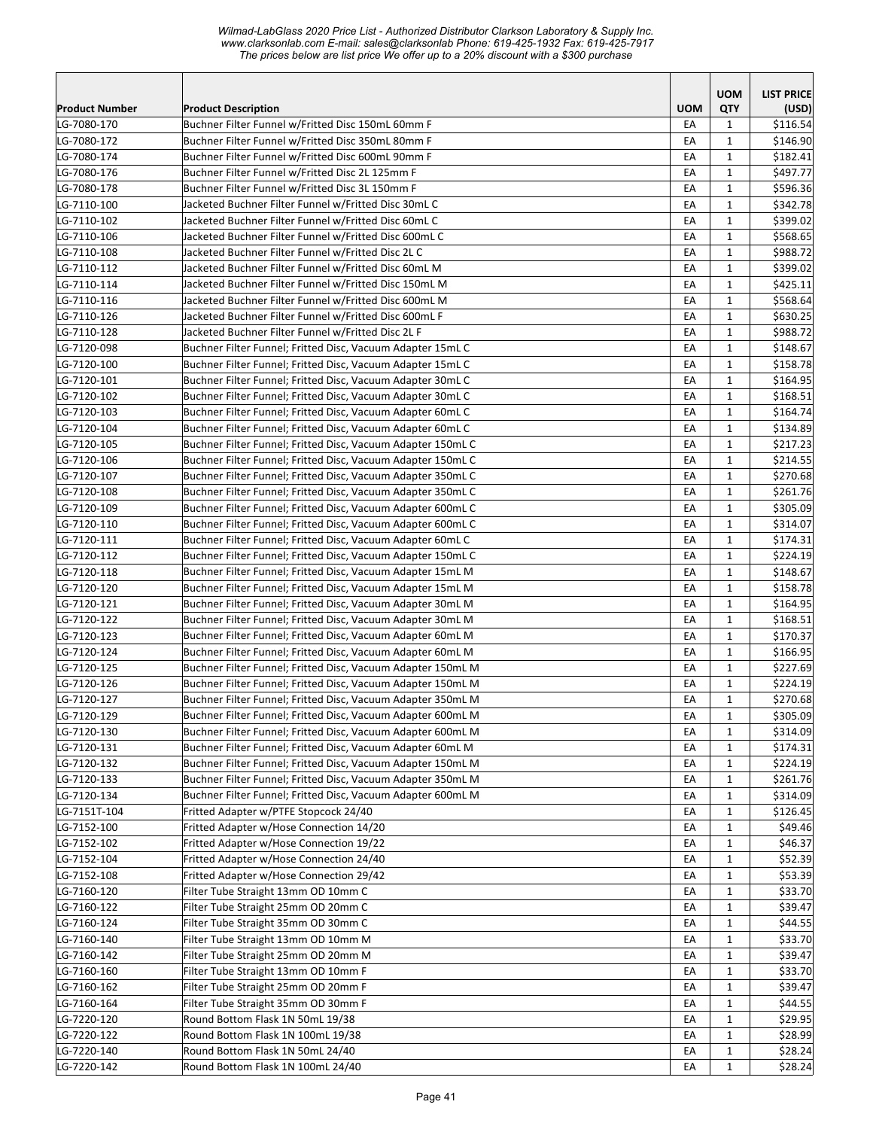| Product Number             | <b>Product Description</b>                                                                                               | <b>UOM</b> | <b>UOM</b><br>QTY           | <b>LIST PRICE</b><br>(USD) |
|----------------------------|--------------------------------------------------------------------------------------------------------------------------|------------|-----------------------------|----------------------------|
| LG-7080-170                | Buchner Filter Funnel w/Fritted Disc 150mL 60mm F                                                                        | EA         | $\mathbf{1}$                | \$116.54                   |
| LG-7080-172                | Buchner Filter Funnel w/Fritted Disc 350mL 80mm F                                                                        | EA         | 1                           | \$146.90                   |
| LG-7080-174                | Buchner Filter Funnel w/Fritted Disc 600mL 90mm F                                                                        | EA         | 1                           | \$182.41                   |
| LG-7080-176                | Buchner Filter Funnel w/Fritted Disc 2L 125mm F                                                                          | EA         | $\mathbf{1}$                | \$497.77                   |
| LG-7080-178                | Buchner Filter Funnel w/Fritted Disc 3L 150mm F                                                                          | EA         | $\mathbf{1}$                | \$596.36                   |
| LG-7110-100                | Jacketed Buchner Filter Funnel w/Fritted Disc 30mL C                                                                     | EA         | $\mathbf{1}$                | \$342.78                   |
| LG-7110-102                | Jacketed Buchner Filter Funnel w/Fritted Disc 60mL C                                                                     | EA         | 1                           | \$399.02                   |
| LG-7110-106                | Jacketed Buchner Filter Funnel w/Fritted Disc 600mL C                                                                    | EA         | $\mathbf{1}$                | \$568.65                   |
| LG-7110-108                | Jacketed Buchner Filter Funnel w/Fritted Disc 2L C                                                                       | EA         | $\mathbf 1$                 | \$988.72                   |
| LG-7110-112                | Jacketed Buchner Filter Funnel w/Fritted Disc 60mL M                                                                     | EA         | $\mathbf 1$                 | \$399.02                   |
| LG-7110-114                | Jacketed Buchner Filter Funnel w/Fritted Disc 150mL M                                                                    | EA         | $\mathbf{1}$                | \$425.11                   |
| LG-7110-116                | Jacketed Buchner Filter Funnel w/Fritted Disc 600mL M                                                                    | EA         | $\mathbf{1}$                | \$568.64                   |
| LG-7110-126                | Jacketed Buchner Filter Funnel w/Fritted Disc 600mL F                                                                    | EA         | $\mathbf 1$                 | \$630.25                   |
| LG-7110-128                | Jacketed Buchner Filter Funnel w/Fritted Disc 2L F                                                                       | EA         | 1                           | \$988.72                   |
| LG-7120-098                | Buchner Filter Funnel; Fritted Disc, Vacuum Adapter 15mL C                                                               | EA         | $\mathbf 1$                 | \$148.67                   |
| LG-7120-100                | Buchner Filter Funnel; Fritted Disc, Vacuum Adapter 15mL C                                                               | EA         | $\mathbf{1}$                | \$158.78                   |
| LG-7120-101                | Buchner Filter Funnel; Fritted Disc, Vacuum Adapter 30mL C                                                               | EA         | $\mathbf{1}$                | \$164.95                   |
| LG-7120-102                | Buchner Filter Funnel; Fritted Disc, Vacuum Adapter 30mL C                                                               | EA         | 1                           | \$168.51                   |
| LG-7120-103                | Buchner Filter Funnel; Fritted Disc, Vacuum Adapter 60mL C                                                               | EA         | $\mathbf{1}$                | \$164.74                   |
| LG-7120-104                | Buchner Filter Funnel; Fritted Disc, Vacuum Adapter 60mL C                                                               | EA         | $\mathbf{1}$                | \$134.89                   |
| LG-7120-105                | Buchner Filter Funnel; Fritted Disc, Vacuum Adapter 150mL C                                                              | EA         | $\mathbf{1}$                | \$217.23                   |
| LG-7120-106                | Buchner Filter Funnel; Fritted Disc, Vacuum Adapter 150mL C                                                              | EA         | $\mathbf 1$                 | \$214.55                   |
| LG-7120-107                | Buchner Filter Funnel; Fritted Disc, Vacuum Adapter 350mL C                                                              | EA         | $\mathbf{1}$                | \$270.68                   |
| LG-7120-108                | Buchner Filter Funnel; Fritted Disc, Vacuum Adapter 350mL C                                                              | EA         | $\mathbf 1$                 | \$261.76                   |
| LG-7120-109                | Buchner Filter Funnel; Fritted Disc, Vacuum Adapter 600mL C                                                              | EA         | $\mathbf 1$                 | \$305.09                   |
| LG-7120-110                | Buchner Filter Funnel; Fritted Disc, Vacuum Adapter 600mL C                                                              | EA         | $\mathbf{1}$                | \$314.07                   |
| LG-7120-111                | Buchner Filter Funnel; Fritted Disc, Vacuum Adapter 60mL C                                                               | EA         | $\mathbf{1}$                | \$174.31                   |
| LG-7120-112                | Buchner Filter Funnel; Fritted Disc, Vacuum Adapter 150mL C                                                              | EA         | $\mathbf 1$                 | \$224.19                   |
| LG-7120-118                | Buchner Filter Funnel; Fritted Disc, Vacuum Adapter 15mL M                                                               | EA         | $\mathbf{1}$                | \$148.67                   |
| LG-7120-120                | Buchner Filter Funnel; Fritted Disc, Vacuum Adapter 15mL M                                                               | EA<br>EA   | $\mathbf 1$<br>$\mathbf{1}$ | \$158.78                   |
| LG-7120-121                | Buchner Filter Funnel; Fritted Disc, Vacuum Adapter 30mL M                                                               | EA         | $\mathbf 1$                 | \$164.95<br>\$168.51       |
| LG-7120-122<br>LG-7120-123 | Buchner Filter Funnel; Fritted Disc, Vacuum Adapter 30mL M<br>Buchner Filter Funnel; Fritted Disc, Vacuum Adapter 60mL M | EA         | $\mathbf{1}$                | \$170.37                   |
| LG-7120-124                | Buchner Filter Funnel; Fritted Disc, Vacuum Adapter 60mL M                                                               | EA         | $\mathbf{1}$                | \$166.95                   |
| LG-7120-125                | Buchner Filter Funnel; Fritted Disc, Vacuum Adapter 150mL M                                                              | EA         | $\mathbf{1}$                | \$227.69                   |
| LG-7120-126                | Buchner Filter Funnel; Fritted Disc, Vacuum Adapter 150mL M                                                              | EA         | $\mathbf{1}$                | \$224.19                   |
| LG-7120-127                | Buchner Filter Funnel; Fritted Disc, Vacuum Adapter 350mL M                                                              | EA         | 1                           | \$270.68                   |
| LG-7120-129                | Buchner Filter Funnel; Fritted Disc, Vacuum Adapter 600mL M                                                              | ЕA         | 1                           | \$305.09                   |
| LG-7120-130                | Buchner Filter Funnel; Fritted Disc, Vacuum Adapter 600mL M                                                              | EA         | $\mathbf{1}$                | \$314.09                   |
| LG-7120-131                | Buchner Filter Funnel; Fritted Disc, Vacuum Adapter 60mL M                                                               | EA         | $\mathbf{1}$                | \$174.31                   |
| LG-7120-132                | Buchner Filter Funnel; Fritted Disc, Vacuum Adapter 150mL M                                                              | EA         | $\mathbf{1}$                | \$224.19                   |
| LG-7120-133                | Buchner Filter Funnel; Fritted Disc, Vacuum Adapter 350mL M                                                              | EA         | $\mathbf{1}$                | \$261.76                   |
| LG-7120-134                | Buchner Filter Funnel; Fritted Disc, Vacuum Adapter 600mL M                                                              | EA         | $\mathbf{1}$                | \$314.09                   |
| LG-7151T-104               | Fritted Adapter w/PTFE Stopcock 24/40                                                                                    | EA         | $\mathbf{1}$                | \$126.45                   |
| LG-7152-100                | Fritted Adapter w/Hose Connection 14/20                                                                                  | EA         | $\mathbf{1}$                | \$49.46                    |
| LG-7152-102                | Fritted Adapter w/Hose Connection 19/22                                                                                  | EA         | $\mathbf{1}$                | \$46.37                    |
| LG-7152-104                | Fritted Adapter w/Hose Connection 24/40                                                                                  | EA         | $\mathbf 1$                 | \$52.39                    |
| LG-7152-108                | Fritted Adapter w/Hose Connection 29/42                                                                                  | EA         | $\mathbf{1}$                | \$53.39                    |
| LG-7160-120                | Filter Tube Straight 13mm OD 10mm C                                                                                      | EA         | $\mathbf{1}$                | \$33.70                    |
| LG-7160-122                | Filter Tube Straight 25mm OD 20mm C                                                                                      | EA         | $\mathbf{1}$                | \$39.47                    |
| LG-7160-124                | Filter Tube Straight 35mm OD 30mm C                                                                                      | EA         | $\mathbf{1}$                | \$44.55                    |
| LG-7160-140                | Filter Tube Straight 13mm OD 10mm M                                                                                      | EA         | 1                           | \$33.70                    |
| LG-7160-142                | Filter Tube Straight 25mm OD 20mm M                                                                                      | EA         | $\mathbf{1}$                | \$39.47                    |
| LG-7160-160                | Filter Tube Straight 13mm OD 10mm F                                                                                      | EA         | $\mathbf 1$                 | \$33.70                    |
| LG-7160-162                | Filter Tube Straight 25mm OD 20mm F                                                                                      | EA         | $\mathbf{1}$                | \$39.47                    |
| LG-7160-164                | Filter Tube Straight 35mm OD 30mm F                                                                                      | EA         | $\mathbf{1}$                | \$44.55                    |
| LG-7220-120                | Round Bottom Flask 1N 50mL 19/38                                                                                         | EA         | $\mathbf{1}$                | \$29.95                    |
| LG-7220-122                | Round Bottom Flask 1N 100mL 19/38                                                                                        | EA         | $\mathbf{1}$                | \$28.99                    |
| LG-7220-140                | Round Bottom Flask 1N 50mL 24/40                                                                                         | EA         | $\mathbf{1}$                | \$28.24                    |
| LG-7220-142                | Round Bottom Flask 1N 100mL 24/40                                                                                        | EA         | $\mathbf{1}$                | \$28.24                    |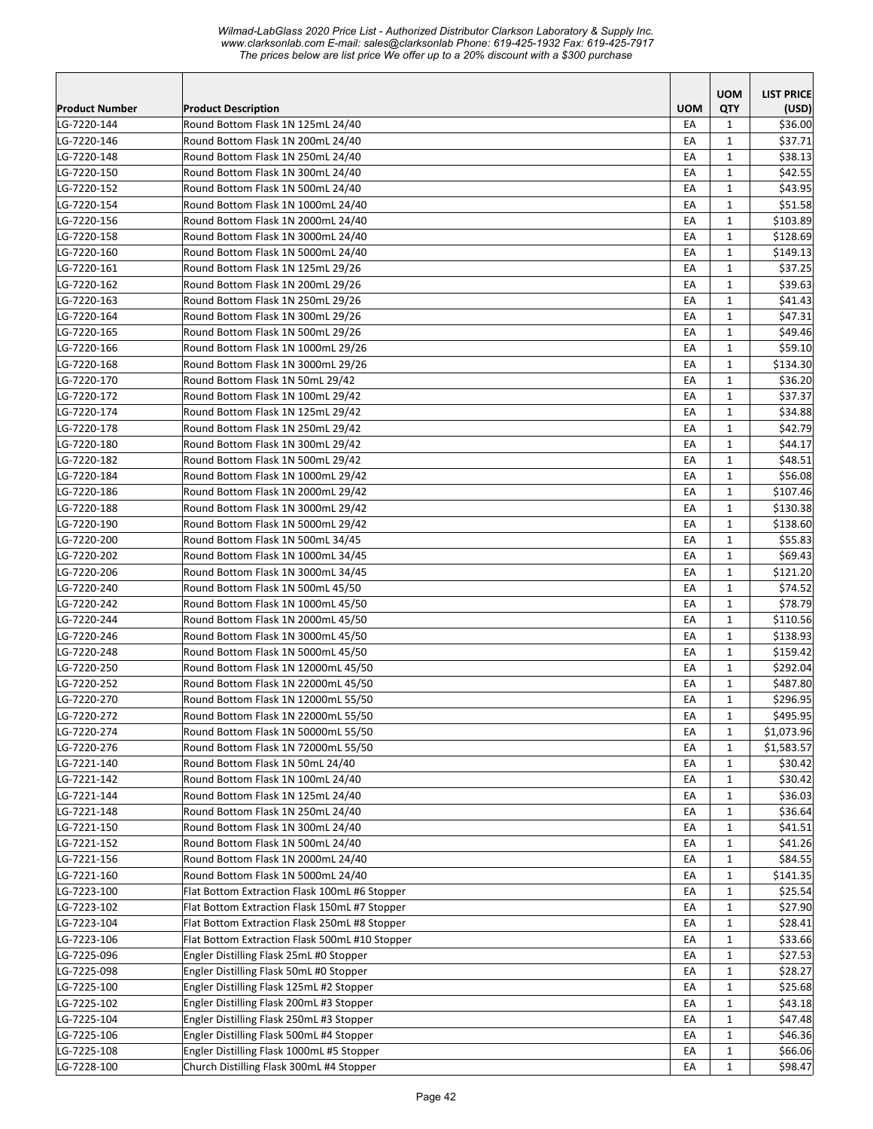| <b>UOM</b><br><b>QTY</b><br><b>Product Number</b><br><b>Product Description</b><br>(USD)<br>Round Bottom Flask 1N 125mL 24/40<br>EA<br>\$36.00<br>LG-7220-144<br>1<br>Round Bottom Flask 1N 200mL 24/40<br>LG-7220-146<br>EA<br>1<br>\$37.71<br>Round Bottom Flask 1N 250mL 24/40<br>LG-7220-148<br>\$38.13<br>EA<br>1<br>LG-7220-150<br>Round Bottom Flask 1N 300mL 24/40<br>EA<br>$\mathbf{1}$<br>\$42.55<br>LG-7220-152<br>Round Bottom Flask 1N 500mL 24/40<br>EA<br>$\mathbf{1}$<br>\$43.95<br>Round Bottom Flask 1N 1000mL 24/40<br>EA<br>$\mathbf{1}$<br>\$51.58<br>LG-7220-154<br>LG-7220-156<br>Round Bottom Flask 1N 2000mL 24/40<br>EA<br>$\mathbf{1}$<br>\$103.89<br>EA<br>$\mathbf{1}$<br>LG-7220-158<br>Round Bottom Flask 1N 3000mL 24/40<br>\$128.69<br>\$149.13<br>LG-7220-160<br>Round Bottom Flask 1N 5000mL 24/40<br>EA<br>1<br>\$37.25<br>LG-7220-161<br>Round Bottom Flask 1N 125mL 29/26<br>EA<br>1<br>LG-7220-162<br>Round Bottom Flask 1N 200mL 29/26<br>EA<br>$\mathbf{1}$<br>\$39.63<br>Round Bottom Flask 1N 250mL 29/26<br>LG-7220-163<br>EA<br>$\mathbf{1}$<br>\$41.43<br>LG-7220-164<br>Round Bottom Flask 1N 300mL 29/26<br>EA<br>1<br>\$47.31<br>\$49.46<br>LG-7220-165<br>Round Bottom Flask 1N 500mL 29/26<br>EA<br>$\mathbf{1}$<br>\$59.10<br>LG-7220-166<br>Round Bottom Flask 1N 1000mL 29/26<br>EA<br>1<br>Round Bottom Flask 1N 3000mL 29/26<br>EA<br>\$134.30<br>LG-7220-168<br>1<br>LG-7220-170<br>Round Bottom Flask 1N 50mL 29/42<br>EA<br>1<br>\$36.20<br>Round Bottom Flask 1N 100mL 29/42<br>\$37.37<br>LG-7220-172<br>EA<br>1<br>LG-7220-174<br>Round Bottom Flask 1N 125mL 29/42<br>EA<br>$\mathbf{1}$<br>\$34.88<br>LG-7220-178<br>Round Bottom Flask 1N 250mL 29/42<br>EA<br>$\mathbf{1}$<br>\$42.79<br>Round Bottom Flask 1N 300mL 29/42<br>EA<br>1<br>\$44.17<br>LG-7220-180<br>LG-7220-182<br>Round Bottom Flask 1N 500mL 29/42<br>EA<br>$\mathbf{1}$<br>\$48.51<br>$\mathbf{1}$<br>\$56.08<br>Round Bottom Flask 1N 1000mL 29/42<br>EA<br>LG-7220-184<br>Round Bottom Flask 1N 2000mL 29/42<br>LG-7220-186<br>EA<br>$\mathbf{1}$<br>\$107.46<br>LG-7220-188<br>Round Bottom Flask 1N 3000mL 29/42<br>EA<br>1<br>\$130.38<br>LG-7220-190<br>Round Bottom Flask 1N 5000mL 29/42<br>EA<br>$\mathbf{1}$<br>\$138.60<br>Round Bottom Flask 1N 500mL 34/45<br>LG-7220-200<br>EA<br>$\mathbf{1}$<br>\$55.83<br>LG-7220-202<br>Round Bottom Flask 1N 1000mL 34/45<br>EA<br>1<br>\$69.43<br>\$121.20<br>Round Bottom Flask 1N 3000mL 34/45<br>EA<br>$\mathbf{1}$<br>LG-7220-206<br>EA<br>\$74.52<br>LG-7220-240<br>Round Bottom Flask 1N 500mL 45/50<br>1<br>Round Bottom Flask 1N 1000mL 45/50<br>\$78.79<br>LG-7220-242<br>EA<br>$\mathbf{1}$<br>LG-7220-244<br>Round Bottom Flask 1N 2000mL 45/50<br>EA<br>1<br>\$110.56<br>LG-7220-246<br>Round Bottom Flask 1N 3000mL 45/50<br>\$138.93<br>EA<br>1<br>Round Bottom Flask 1N 5000mL 45/50<br>LG-7220-248<br>EA<br>$\mathbf{1}$<br>\$159.42<br>Round Bottom Flask 1N 12000mL 45/50<br>LG-7220-250<br>EA<br>\$292.04<br>1<br>Round Bottom Flask 1N 22000mL 45/50<br>1<br>\$487.80<br>LG-7220-252<br>EA<br>EA<br>$\mathbf{1}$<br>LG-7220-270<br>Round Bottom Flask 1N 12000mL 55/50<br>\$296.95<br>EA<br>$\mathbf{1}$<br>\$495.95<br>LG-7220-272<br>Round Bottom Flask 1N 22000mL 55/50<br>LG-7220-274<br>Round Bottom Flask 1N 50000mL 55/50<br>EA<br>$\mathbf{1}$<br>\$1,073.96<br>LG-7220-276<br>Round Bottom Flask 1N 72000mL 55/50<br>EA<br>\$1,583.57<br>1<br>LG-7221-140<br>Round Bottom Flask 1N 50mL 24/40<br>\$30.42<br>EA<br>$\mathbf{1}$<br>Round Bottom Flask 1N 100mL 24/40<br>LG-7221-142<br>EA<br>$\mathbf{1}$<br>\$30.42<br>LG-7221-144<br>Round Bottom Flask 1N 125mL 24/40<br>EA<br>\$36.03<br>1<br>\$36.64<br>LG-7221-148<br>Round Bottom Flask 1N 250mL 24/40<br>EA<br>$\mathbf{1}$<br>Round Bottom Flask 1N 300mL 24/40<br>EA<br>$\mathbf{1}$<br>\$41.51<br>LG-7221-150<br>LG-7221-152<br>Round Bottom Flask 1N 500mL 24/40<br>$\mathbf{1}$<br>\$41.26<br>EA<br>Round Bottom Flask 1N 2000mL 24/40<br>\$84.55<br>LG-7221-156<br>EA<br>$\mathbf{1}$<br>Round Bottom Flask 1N 5000mL 24/40<br>\$141.35<br>LG-7221-160<br>$\mathbf{1}$<br>EA<br>\$25.54<br>LG-7223-100<br>Flat Bottom Extraction Flask 100mL #6 Stopper<br>EA<br>$\mathbf{1}$<br>LG-7223-102<br>Flat Bottom Extraction Flask 150mL #7 Stopper<br>EA<br>\$27.90<br>1<br>\$28.41<br>LG-7223-104<br>Flat Bottom Extraction Flask 250mL #8 Stopper<br>EA<br>$\mathbf{1}$<br>LG-7223-106<br>$\mathbf{1}$<br>\$33.66<br>Flat Bottom Extraction Flask 500mL #10 Stopper<br>EA<br>$\mathbf{1}$<br>\$27.53<br>LG-7225-096<br>Engler Distilling Flask 25mL #0 Stopper<br>EA<br>LG-7225-098<br>Engler Distilling Flask 50mL #0 Stopper<br>EA<br>$\mathbf{1}$<br>\$28.27<br>LG-7225-100<br>Engler Distilling Flask 125mL #2 Stopper<br>EA<br>$\mathbf{1}$<br>\$25.68<br>LG-7225-102<br>\$43.18<br>Engler Distilling Flask 200mL #3 Stopper<br>$\mathbf{1}$<br>EA<br>\$47.48<br>LG-7225-104<br>Engler Distilling Flask 250mL #3 Stopper<br>EA<br>$\mathbf{1}$<br>Engler Distilling Flask 500mL #4 Stopper<br>LG-7225-106<br>EA<br>$\mathbf{1}$<br>\$46.36<br>Engler Distilling Flask 1000mL #5 Stopper<br>LG-7225-108<br>EA<br>$\mathbf{1}$<br>\$66.06<br>Church Distilling Flask 300mL #4 Stopper<br>$\mathbf{1}$<br>LG-7228-100<br>EA<br>\$98.47 |  |            |                   |
|-------------------------------------------------------------------------------------------------------------------------------------------------------------------------------------------------------------------------------------------------------------------------------------------------------------------------------------------------------------------------------------------------------------------------------------------------------------------------------------------------------------------------------------------------------------------------------------------------------------------------------------------------------------------------------------------------------------------------------------------------------------------------------------------------------------------------------------------------------------------------------------------------------------------------------------------------------------------------------------------------------------------------------------------------------------------------------------------------------------------------------------------------------------------------------------------------------------------------------------------------------------------------------------------------------------------------------------------------------------------------------------------------------------------------------------------------------------------------------------------------------------------------------------------------------------------------------------------------------------------------------------------------------------------------------------------------------------------------------------------------------------------------------------------------------------------------------------------------------------------------------------------------------------------------------------------------------------------------------------------------------------------------------------------------------------------------------------------------------------------------------------------------------------------------------------------------------------------------------------------------------------------------------------------------------------------------------------------------------------------------------------------------------------------------------------------------------------------------------------------------------------------------------------------------------------------------------------------------------------------------------------------------------------------------------------------------------------------------------------------------------------------------------------------------------------------------------------------------------------------------------------------------------------------------------------------------------------------------------------------------------------------------------------------------------------------------------------------------------------------------------------------------------------------------------------------------------------------------------------------------------------------------------------------------------------------------------------------------------------------------------------------------------------------------------------------------------------------------------------------------------------------------------------------------------------------------------------------------------------------------------------------------------------------------------------------------------------------------------------------------------------------------------------------------------------------------------------------------------------------------------------------------------------------------------------------------------------------------------------------------------------------------------------------------------------------------------------------------------------------------------------------------------------------------------------------------------------------------------------------------------------------------------------------------------------------------------------------------------------------------------------------------------------------------------------------------------------------------------------------------------------------------------------------------------------------------------------------------------------------------------------------------------------------------------------------------------------------------------------------------------------------------------------------------------------------------------------------------------------------------------------------------------------------------------------------------------------------------------------------------------------------------------------------------------------------------------------------------------------------------------------------------------------------------------------------------------------------------------------------------------------------------------------------------------------------------|--|------------|-------------------|
|                                                                                                                                                                                                                                                                                                                                                                                                                                                                                                                                                                                                                                                                                                                                                                                                                                                                                                                                                                                                                                                                                                                                                                                                                                                                                                                                                                                                                                                                                                                                                                                                                                                                                                                                                                                                                                                                                                                                                                                                                                                                                                                                                                                                                                                                                                                                                                                                                                                                                                                                                                                                                                                                                                                                                                                                                                                                                                                                                                                                                                                                                                                                                                                                                                                                                                                                                                                                                                                                                                                                                                                                                                                                                                                                                                                                                                                                                                                                                                                                                                                                                                                                                                                                                                                                                                                                                                                                                                                                                                                                                                                                                                                                                                                                                                                                                                                                                                                                                                                                                                                                                                                                                                                                                                                                                                                         |  | <b>UOM</b> | <b>LIST PRICE</b> |
|                                                                                                                                                                                                                                                                                                                                                                                                                                                                                                                                                                                                                                                                                                                                                                                                                                                                                                                                                                                                                                                                                                                                                                                                                                                                                                                                                                                                                                                                                                                                                                                                                                                                                                                                                                                                                                                                                                                                                                                                                                                                                                                                                                                                                                                                                                                                                                                                                                                                                                                                                                                                                                                                                                                                                                                                                                                                                                                                                                                                                                                                                                                                                                                                                                                                                                                                                                                                                                                                                                                                                                                                                                                                                                                                                                                                                                                                                                                                                                                                                                                                                                                                                                                                                                                                                                                                                                                                                                                                                                                                                                                                                                                                                                                                                                                                                                                                                                                                                                                                                                                                                                                                                                                                                                                                                                                         |  |            |                   |
|                                                                                                                                                                                                                                                                                                                                                                                                                                                                                                                                                                                                                                                                                                                                                                                                                                                                                                                                                                                                                                                                                                                                                                                                                                                                                                                                                                                                                                                                                                                                                                                                                                                                                                                                                                                                                                                                                                                                                                                                                                                                                                                                                                                                                                                                                                                                                                                                                                                                                                                                                                                                                                                                                                                                                                                                                                                                                                                                                                                                                                                                                                                                                                                                                                                                                                                                                                                                                                                                                                                                                                                                                                                                                                                                                                                                                                                                                                                                                                                                                                                                                                                                                                                                                                                                                                                                                                                                                                                                                                                                                                                                                                                                                                                                                                                                                                                                                                                                                                                                                                                                                                                                                                                                                                                                                                                         |  |            |                   |
|                                                                                                                                                                                                                                                                                                                                                                                                                                                                                                                                                                                                                                                                                                                                                                                                                                                                                                                                                                                                                                                                                                                                                                                                                                                                                                                                                                                                                                                                                                                                                                                                                                                                                                                                                                                                                                                                                                                                                                                                                                                                                                                                                                                                                                                                                                                                                                                                                                                                                                                                                                                                                                                                                                                                                                                                                                                                                                                                                                                                                                                                                                                                                                                                                                                                                                                                                                                                                                                                                                                                                                                                                                                                                                                                                                                                                                                                                                                                                                                                                                                                                                                                                                                                                                                                                                                                                                                                                                                                                                                                                                                                                                                                                                                                                                                                                                                                                                                                                                                                                                                                                                                                                                                                                                                                                                                         |  |            |                   |
|                                                                                                                                                                                                                                                                                                                                                                                                                                                                                                                                                                                                                                                                                                                                                                                                                                                                                                                                                                                                                                                                                                                                                                                                                                                                                                                                                                                                                                                                                                                                                                                                                                                                                                                                                                                                                                                                                                                                                                                                                                                                                                                                                                                                                                                                                                                                                                                                                                                                                                                                                                                                                                                                                                                                                                                                                                                                                                                                                                                                                                                                                                                                                                                                                                                                                                                                                                                                                                                                                                                                                                                                                                                                                                                                                                                                                                                                                                                                                                                                                                                                                                                                                                                                                                                                                                                                                                                                                                                                                                                                                                                                                                                                                                                                                                                                                                                                                                                                                                                                                                                                                                                                                                                                                                                                                                                         |  |            |                   |
|                                                                                                                                                                                                                                                                                                                                                                                                                                                                                                                                                                                                                                                                                                                                                                                                                                                                                                                                                                                                                                                                                                                                                                                                                                                                                                                                                                                                                                                                                                                                                                                                                                                                                                                                                                                                                                                                                                                                                                                                                                                                                                                                                                                                                                                                                                                                                                                                                                                                                                                                                                                                                                                                                                                                                                                                                                                                                                                                                                                                                                                                                                                                                                                                                                                                                                                                                                                                                                                                                                                                                                                                                                                                                                                                                                                                                                                                                                                                                                                                                                                                                                                                                                                                                                                                                                                                                                                                                                                                                                                                                                                                                                                                                                                                                                                                                                                                                                                                                                                                                                                                                                                                                                                                                                                                                                                         |  |            |                   |
|                                                                                                                                                                                                                                                                                                                                                                                                                                                                                                                                                                                                                                                                                                                                                                                                                                                                                                                                                                                                                                                                                                                                                                                                                                                                                                                                                                                                                                                                                                                                                                                                                                                                                                                                                                                                                                                                                                                                                                                                                                                                                                                                                                                                                                                                                                                                                                                                                                                                                                                                                                                                                                                                                                                                                                                                                                                                                                                                                                                                                                                                                                                                                                                                                                                                                                                                                                                                                                                                                                                                                                                                                                                                                                                                                                                                                                                                                                                                                                                                                                                                                                                                                                                                                                                                                                                                                                                                                                                                                                                                                                                                                                                                                                                                                                                                                                                                                                                                                                                                                                                                                                                                                                                                                                                                                                                         |  |            |                   |
|                                                                                                                                                                                                                                                                                                                                                                                                                                                                                                                                                                                                                                                                                                                                                                                                                                                                                                                                                                                                                                                                                                                                                                                                                                                                                                                                                                                                                                                                                                                                                                                                                                                                                                                                                                                                                                                                                                                                                                                                                                                                                                                                                                                                                                                                                                                                                                                                                                                                                                                                                                                                                                                                                                                                                                                                                                                                                                                                                                                                                                                                                                                                                                                                                                                                                                                                                                                                                                                                                                                                                                                                                                                                                                                                                                                                                                                                                                                                                                                                                                                                                                                                                                                                                                                                                                                                                                                                                                                                                                                                                                                                                                                                                                                                                                                                                                                                                                                                                                                                                                                                                                                                                                                                                                                                                                                         |  |            |                   |
|                                                                                                                                                                                                                                                                                                                                                                                                                                                                                                                                                                                                                                                                                                                                                                                                                                                                                                                                                                                                                                                                                                                                                                                                                                                                                                                                                                                                                                                                                                                                                                                                                                                                                                                                                                                                                                                                                                                                                                                                                                                                                                                                                                                                                                                                                                                                                                                                                                                                                                                                                                                                                                                                                                                                                                                                                                                                                                                                                                                                                                                                                                                                                                                                                                                                                                                                                                                                                                                                                                                                                                                                                                                                                                                                                                                                                                                                                                                                                                                                                                                                                                                                                                                                                                                                                                                                                                                                                                                                                                                                                                                                                                                                                                                                                                                                                                                                                                                                                                                                                                                                                                                                                                                                                                                                                                                         |  |            |                   |
|                                                                                                                                                                                                                                                                                                                                                                                                                                                                                                                                                                                                                                                                                                                                                                                                                                                                                                                                                                                                                                                                                                                                                                                                                                                                                                                                                                                                                                                                                                                                                                                                                                                                                                                                                                                                                                                                                                                                                                                                                                                                                                                                                                                                                                                                                                                                                                                                                                                                                                                                                                                                                                                                                                                                                                                                                                                                                                                                                                                                                                                                                                                                                                                                                                                                                                                                                                                                                                                                                                                                                                                                                                                                                                                                                                                                                                                                                                                                                                                                                                                                                                                                                                                                                                                                                                                                                                                                                                                                                                                                                                                                                                                                                                                                                                                                                                                                                                                                                                                                                                                                                                                                                                                                                                                                                                                         |  |            |                   |
|                                                                                                                                                                                                                                                                                                                                                                                                                                                                                                                                                                                                                                                                                                                                                                                                                                                                                                                                                                                                                                                                                                                                                                                                                                                                                                                                                                                                                                                                                                                                                                                                                                                                                                                                                                                                                                                                                                                                                                                                                                                                                                                                                                                                                                                                                                                                                                                                                                                                                                                                                                                                                                                                                                                                                                                                                                                                                                                                                                                                                                                                                                                                                                                                                                                                                                                                                                                                                                                                                                                                                                                                                                                                                                                                                                                                                                                                                                                                                                                                                                                                                                                                                                                                                                                                                                                                                                                                                                                                                                                                                                                                                                                                                                                                                                                                                                                                                                                                                                                                                                                                                                                                                                                                                                                                                                                         |  |            |                   |
|                                                                                                                                                                                                                                                                                                                                                                                                                                                                                                                                                                                                                                                                                                                                                                                                                                                                                                                                                                                                                                                                                                                                                                                                                                                                                                                                                                                                                                                                                                                                                                                                                                                                                                                                                                                                                                                                                                                                                                                                                                                                                                                                                                                                                                                                                                                                                                                                                                                                                                                                                                                                                                                                                                                                                                                                                                                                                                                                                                                                                                                                                                                                                                                                                                                                                                                                                                                                                                                                                                                                                                                                                                                                                                                                                                                                                                                                                                                                                                                                                                                                                                                                                                                                                                                                                                                                                                                                                                                                                                                                                                                                                                                                                                                                                                                                                                                                                                                                                                                                                                                                                                                                                                                                                                                                                                                         |  |            |                   |
|                                                                                                                                                                                                                                                                                                                                                                                                                                                                                                                                                                                                                                                                                                                                                                                                                                                                                                                                                                                                                                                                                                                                                                                                                                                                                                                                                                                                                                                                                                                                                                                                                                                                                                                                                                                                                                                                                                                                                                                                                                                                                                                                                                                                                                                                                                                                                                                                                                                                                                                                                                                                                                                                                                                                                                                                                                                                                                                                                                                                                                                                                                                                                                                                                                                                                                                                                                                                                                                                                                                                                                                                                                                                                                                                                                                                                                                                                                                                                                                                                                                                                                                                                                                                                                                                                                                                                                                                                                                                                                                                                                                                                                                                                                                                                                                                                                                                                                                                                                                                                                                                                                                                                                                                                                                                                                                         |  |            |                   |
|                                                                                                                                                                                                                                                                                                                                                                                                                                                                                                                                                                                                                                                                                                                                                                                                                                                                                                                                                                                                                                                                                                                                                                                                                                                                                                                                                                                                                                                                                                                                                                                                                                                                                                                                                                                                                                                                                                                                                                                                                                                                                                                                                                                                                                                                                                                                                                                                                                                                                                                                                                                                                                                                                                                                                                                                                                                                                                                                                                                                                                                                                                                                                                                                                                                                                                                                                                                                                                                                                                                                                                                                                                                                                                                                                                                                                                                                                                                                                                                                                                                                                                                                                                                                                                                                                                                                                                                                                                                                                                                                                                                                                                                                                                                                                                                                                                                                                                                                                                                                                                                                                                                                                                                                                                                                                                                         |  |            |                   |
|                                                                                                                                                                                                                                                                                                                                                                                                                                                                                                                                                                                                                                                                                                                                                                                                                                                                                                                                                                                                                                                                                                                                                                                                                                                                                                                                                                                                                                                                                                                                                                                                                                                                                                                                                                                                                                                                                                                                                                                                                                                                                                                                                                                                                                                                                                                                                                                                                                                                                                                                                                                                                                                                                                                                                                                                                                                                                                                                                                                                                                                                                                                                                                                                                                                                                                                                                                                                                                                                                                                                                                                                                                                                                                                                                                                                                                                                                                                                                                                                                                                                                                                                                                                                                                                                                                                                                                                                                                                                                                                                                                                                                                                                                                                                                                                                                                                                                                                                                                                                                                                                                                                                                                                                                                                                                                                         |  |            |                   |
|                                                                                                                                                                                                                                                                                                                                                                                                                                                                                                                                                                                                                                                                                                                                                                                                                                                                                                                                                                                                                                                                                                                                                                                                                                                                                                                                                                                                                                                                                                                                                                                                                                                                                                                                                                                                                                                                                                                                                                                                                                                                                                                                                                                                                                                                                                                                                                                                                                                                                                                                                                                                                                                                                                                                                                                                                                                                                                                                                                                                                                                                                                                                                                                                                                                                                                                                                                                                                                                                                                                                                                                                                                                                                                                                                                                                                                                                                                                                                                                                                                                                                                                                                                                                                                                                                                                                                                                                                                                                                                                                                                                                                                                                                                                                                                                                                                                                                                                                                                                                                                                                                                                                                                                                                                                                                                                         |  |            |                   |
|                                                                                                                                                                                                                                                                                                                                                                                                                                                                                                                                                                                                                                                                                                                                                                                                                                                                                                                                                                                                                                                                                                                                                                                                                                                                                                                                                                                                                                                                                                                                                                                                                                                                                                                                                                                                                                                                                                                                                                                                                                                                                                                                                                                                                                                                                                                                                                                                                                                                                                                                                                                                                                                                                                                                                                                                                                                                                                                                                                                                                                                                                                                                                                                                                                                                                                                                                                                                                                                                                                                                                                                                                                                                                                                                                                                                                                                                                                                                                                                                                                                                                                                                                                                                                                                                                                                                                                                                                                                                                                                                                                                                                                                                                                                                                                                                                                                                                                                                                                                                                                                                                                                                                                                                                                                                                                                         |  |            |                   |
|                                                                                                                                                                                                                                                                                                                                                                                                                                                                                                                                                                                                                                                                                                                                                                                                                                                                                                                                                                                                                                                                                                                                                                                                                                                                                                                                                                                                                                                                                                                                                                                                                                                                                                                                                                                                                                                                                                                                                                                                                                                                                                                                                                                                                                                                                                                                                                                                                                                                                                                                                                                                                                                                                                                                                                                                                                                                                                                                                                                                                                                                                                                                                                                                                                                                                                                                                                                                                                                                                                                                                                                                                                                                                                                                                                                                                                                                                                                                                                                                                                                                                                                                                                                                                                                                                                                                                                                                                                                                                                                                                                                                                                                                                                                                                                                                                                                                                                                                                                                                                                                                                                                                                                                                                                                                                                                         |  |            |                   |
|                                                                                                                                                                                                                                                                                                                                                                                                                                                                                                                                                                                                                                                                                                                                                                                                                                                                                                                                                                                                                                                                                                                                                                                                                                                                                                                                                                                                                                                                                                                                                                                                                                                                                                                                                                                                                                                                                                                                                                                                                                                                                                                                                                                                                                                                                                                                                                                                                                                                                                                                                                                                                                                                                                                                                                                                                                                                                                                                                                                                                                                                                                                                                                                                                                                                                                                                                                                                                                                                                                                                                                                                                                                                                                                                                                                                                                                                                                                                                                                                                                                                                                                                                                                                                                                                                                                                                                                                                                                                                                                                                                                                                                                                                                                                                                                                                                                                                                                                                                                                                                                                                                                                                                                                                                                                                                                         |  |            |                   |
|                                                                                                                                                                                                                                                                                                                                                                                                                                                                                                                                                                                                                                                                                                                                                                                                                                                                                                                                                                                                                                                                                                                                                                                                                                                                                                                                                                                                                                                                                                                                                                                                                                                                                                                                                                                                                                                                                                                                                                                                                                                                                                                                                                                                                                                                                                                                                                                                                                                                                                                                                                                                                                                                                                                                                                                                                                                                                                                                                                                                                                                                                                                                                                                                                                                                                                                                                                                                                                                                                                                                                                                                                                                                                                                                                                                                                                                                                                                                                                                                                                                                                                                                                                                                                                                                                                                                                                                                                                                                                                                                                                                                                                                                                                                                                                                                                                                                                                                                                                                                                                                                                                                                                                                                                                                                                                                         |  |            |                   |
|                                                                                                                                                                                                                                                                                                                                                                                                                                                                                                                                                                                                                                                                                                                                                                                                                                                                                                                                                                                                                                                                                                                                                                                                                                                                                                                                                                                                                                                                                                                                                                                                                                                                                                                                                                                                                                                                                                                                                                                                                                                                                                                                                                                                                                                                                                                                                                                                                                                                                                                                                                                                                                                                                                                                                                                                                                                                                                                                                                                                                                                                                                                                                                                                                                                                                                                                                                                                                                                                                                                                                                                                                                                                                                                                                                                                                                                                                                                                                                                                                                                                                                                                                                                                                                                                                                                                                                                                                                                                                                                                                                                                                                                                                                                                                                                                                                                                                                                                                                                                                                                                                                                                                                                                                                                                                                                         |  |            |                   |
|                                                                                                                                                                                                                                                                                                                                                                                                                                                                                                                                                                                                                                                                                                                                                                                                                                                                                                                                                                                                                                                                                                                                                                                                                                                                                                                                                                                                                                                                                                                                                                                                                                                                                                                                                                                                                                                                                                                                                                                                                                                                                                                                                                                                                                                                                                                                                                                                                                                                                                                                                                                                                                                                                                                                                                                                                                                                                                                                                                                                                                                                                                                                                                                                                                                                                                                                                                                                                                                                                                                                                                                                                                                                                                                                                                                                                                                                                                                                                                                                                                                                                                                                                                                                                                                                                                                                                                                                                                                                                                                                                                                                                                                                                                                                                                                                                                                                                                                                                                                                                                                                                                                                                                                                                                                                                                                         |  |            |                   |
|                                                                                                                                                                                                                                                                                                                                                                                                                                                                                                                                                                                                                                                                                                                                                                                                                                                                                                                                                                                                                                                                                                                                                                                                                                                                                                                                                                                                                                                                                                                                                                                                                                                                                                                                                                                                                                                                                                                                                                                                                                                                                                                                                                                                                                                                                                                                                                                                                                                                                                                                                                                                                                                                                                                                                                                                                                                                                                                                                                                                                                                                                                                                                                                                                                                                                                                                                                                                                                                                                                                                                                                                                                                                                                                                                                                                                                                                                                                                                                                                                                                                                                                                                                                                                                                                                                                                                                                                                                                                                                                                                                                                                                                                                                                                                                                                                                                                                                                                                                                                                                                                                                                                                                                                                                                                                                                         |  |            |                   |
|                                                                                                                                                                                                                                                                                                                                                                                                                                                                                                                                                                                                                                                                                                                                                                                                                                                                                                                                                                                                                                                                                                                                                                                                                                                                                                                                                                                                                                                                                                                                                                                                                                                                                                                                                                                                                                                                                                                                                                                                                                                                                                                                                                                                                                                                                                                                                                                                                                                                                                                                                                                                                                                                                                                                                                                                                                                                                                                                                                                                                                                                                                                                                                                                                                                                                                                                                                                                                                                                                                                                                                                                                                                                                                                                                                                                                                                                                                                                                                                                                                                                                                                                                                                                                                                                                                                                                                                                                                                                                                                                                                                                                                                                                                                                                                                                                                                                                                                                                                                                                                                                                                                                                                                                                                                                                                                         |  |            |                   |
|                                                                                                                                                                                                                                                                                                                                                                                                                                                                                                                                                                                                                                                                                                                                                                                                                                                                                                                                                                                                                                                                                                                                                                                                                                                                                                                                                                                                                                                                                                                                                                                                                                                                                                                                                                                                                                                                                                                                                                                                                                                                                                                                                                                                                                                                                                                                                                                                                                                                                                                                                                                                                                                                                                                                                                                                                                                                                                                                                                                                                                                                                                                                                                                                                                                                                                                                                                                                                                                                                                                                                                                                                                                                                                                                                                                                                                                                                                                                                                                                                                                                                                                                                                                                                                                                                                                                                                                                                                                                                                                                                                                                                                                                                                                                                                                                                                                                                                                                                                                                                                                                                                                                                                                                                                                                                                                         |  |            |                   |
|                                                                                                                                                                                                                                                                                                                                                                                                                                                                                                                                                                                                                                                                                                                                                                                                                                                                                                                                                                                                                                                                                                                                                                                                                                                                                                                                                                                                                                                                                                                                                                                                                                                                                                                                                                                                                                                                                                                                                                                                                                                                                                                                                                                                                                                                                                                                                                                                                                                                                                                                                                                                                                                                                                                                                                                                                                                                                                                                                                                                                                                                                                                                                                                                                                                                                                                                                                                                                                                                                                                                                                                                                                                                                                                                                                                                                                                                                                                                                                                                                                                                                                                                                                                                                                                                                                                                                                                                                                                                                                                                                                                                                                                                                                                                                                                                                                                                                                                                                                                                                                                                                                                                                                                                                                                                                                                         |  |            |                   |
|                                                                                                                                                                                                                                                                                                                                                                                                                                                                                                                                                                                                                                                                                                                                                                                                                                                                                                                                                                                                                                                                                                                                                                                                                                                                                                                                                                                                                                                                                                                                                                                                                                                                                                                                                                                                                                                                                                                                                                                                                                                                                                                                                                                                                                                                                                                                                                                                                                                                                                                                                                                                                                                                                                                                                                                                                                                                                                                                                                                                                                                                                                                                                                                                                                                                                                                                                                                                                                                                                                                                                                                                                                                                                                                                                                                                                                                                                                                                                                                                                                                                                                                                                                                                                                                                                                                                                                                                                                                                                                                                                                                                                                                                                                                                                                                                                                                                                                                                                                                                                                                                                                                                                                                                                                                                                                                         |  |            |                   |
|                                                                                                                                                                                                                                                                                                                                                                                                                                                                                                                                                                                                                                                                                                                                                                                                                                                                                                                                                                                                                                                                                                                                                                                                                                                                                                                                                                                                                                                                                                                                                                                                                                                                                                                                                                                                                                                                                                                                                                                                                                                                                                                                                                                                                                                                                                                                                                                                                                                                                                                                                                                                                                                                                                                                                                                                                                                                                                                                                                                                                                                                                                                                                                                                                                                                                                                                                                                                                                                                                                                                                                                                                                                                                                                                                                                                                                                                                                                                                                                                                                                                                                                                                                                                                                                                                                                                                                                                                                                                                                                                                                                                                                                                                                                                                                                                                                                                                                                                                                                                                                                                                                                                                                                                                                                                                                                         |  |            |                   |
|                                                                                                                                                                                                                                                                                                                                                                                                                                                                                                                                                                                                                                                                                                                                                                                                                                                                                                                                                                                                                                                                                                                                                                                                                                                                                                                                                                                                                                                                                                                                                                                                                                                                                                                                                                                                                                                                                                                                                                                                                                                                                                                                                                                                                                                                                                                                                                                                                                                                                                                                                                                                                                                                                                                                                                                                                                                                                                                                                                                                                                                                                                                                                                                                                                                                                                                                                                                                                                                                                                                                                                                                                                                                                                                                                                                                                                                                                                                                                                                                                                                                                                                                                                                                                                                                                                                                                                                                                                                                                                                                                                                                                                                                                                                                                                                                                                                                                                                                                                                                                                                                                                                                                                                                                                                                                                                         |  |            |                   |
|                                                                                                                                                                                                                                                                                                                                                                                                                                                                                                                                                                                                                                                                                                                                                                                                                                                                                                                                                                                                                                                                                                                                                                                                                                                                                                                                                                                                                                                                                                                                                                                                                                                                                                                                                                                                                                                                                                                                                                                                                                                                                                                                                                                                                                                                                                                                                                                                                                                                                                                                                                                                                                                                                                                                                                                                                                                                                                                                                                                                                                                                                                                                                                                                                                                                                                                                                                                                                                                                                                                                                                                                                                                                                                                                                                                                                                                                                                                                                                                                                                                                                                                                                                                                                                                                                                                                                                                                                                                                                                                                                                                                                                                                                                                                                                                                                                                                                                                                                                                                                                                                                                                                                                                                                                                                                                                         |  |            |                   |
|                                                                                                                                                                                                                                                                                                                                                                                                                                                                                                                                                                                                                                                                                                                                                                                                                                                                                                                                                                                                                                                                                                                                                                                                                                                                                                                                                                                                                                                                                                                                                                                                                                                                                                                                                                                                                                                                                                                                                                                                                                                                                                                                                                                                                                                                                                                                                                                                                                                                                                                                                                                                                                                                                                                                                                                                                                                                                                                                                                                                                                                                                                                                                                                                                                                                                                                                                                                                                                                                                                                                                                                                                                                                                                                                                                                                                                                                                                                                                                                                                                                                                                                                                                                                                                                                                                                                                                                                                                                                                                                                                                                                                                                                                                                                                                                                                                                                                                                                                                                                                                                                                                                                                                                                                                                                                                                         |  |            |                   |
|                                                                                                                                                                                                                                                                                                                                                                                                                                                                                                                                                                                                                                                                                                                                                                                                                                                                                                                                                                                                                                                                                                                                                                                                                                                                                                                                                                                                                                                                                                                                                                                                                                                                                                                                                                                                                                                                                                                                                                                                                                                                                                                                                                                                                                                                                                                                                                                                                                                                                                                                                                                                                                                                                                                                                                                                                                                                                                                                                                                                                                                                                                                                                                                                                                                                                                                                                                                                                                                                                                                                                                                                                                                                                                                                                                                                                                                                                                                                                                                                                                                                                                                                                                                                                                                                                                                                                                                                                                                                                                                                                                                                                                                                                                                                                                                                                                                                                                                                                                                                                                                                                                                                                                                                                                                                                                                         |  |            |                   |
|                                                                                                                                                                                                                                                                                                                                                                                                                                                                                                                                                                                                                                                                                                                                                                                                                                                                                                                                                                                                                                                                                                                                                                                                                                                                                                                                                                                                                                                                                                                                                                                                                                                                                                                                                                                                                                                                                                                                                                                                                                                                                                                                                                                                                                                                                                                                                                                                                                                                                                                                                                                                                                                                                                                                                                                                                                                                                                                                                                                                                                                                                                                                                                                                                                                                                                                                                                                                                                                                                                                                                                                                                                                                                                                                                                                                                                                                                                                                                                                                                                                                                                                                                                                                                                                                                                                                                                                                                                                                                                                                                                                                                                                                                                                                                                                                                                                                                                                                                                                                                                                                                                                                                                                                                                                                                                                         |  |            |                   |
|                                                                                                                                                                                                                                                                                                                                                                                                                                                                                                                                                                                                                                                                                                                                                                                                                                                                                                                                                                                                                                                                                                                                                                                                                                                                                                                                                                                                                                                                                                                                                                                                                                                                                                                                                                                                                                                                                                                                                                                                                                                                                                                                                                                                                                                                                                                                                                                                                                                                                                                                                                                                                                                                                                                                                                                                                                                                                                                                                                                                                                                                                                                                                                                                                                                                                                                                                                                                                                                                                                                                                                                                                                                                                                                                                                                                                                                                                                                                                                                                                                                                                                                                                                                                                                                                                                                                                                                                                                                                                                                                                                                                                                                                                                                                                                                                                                                                                                                                                                                                                                                                                                                                                                                                                                                                                                                         |  |            |                   |
|                                                                                                                                                                                                                                                                                                                                                                                                                                                                                                                                                                                                                                                                                                                                                                                                                                                                                                                                                                                                                                                                                                                                                                                                                                                                                                                                                                                                                                                                                                                                                                                                                                                                                                                                                                                                                                                                                                                                                                                                                                                                                                                                                                                                                                                                                                                                                                                                                                                                                                                                                                                                                                                                                                                                                                                                                                                                                                                                                                                                                                                                                                                                                                                                                                                                                                                                                                                                                                                                                                                                                                                                                                                                                                                                                                                                                                                                                                                                                                                                                                                                                                                                                                                                                                                                                                                                                                                                                                                                                                                                                                                                                                                                                                                                                                                                                                                                                                                                                                                                                                                                                                                                                                                                                                                                                                                         |  |            |                   |
|                                                                                                                                                                                                                                                                                                                                                                                                                                                                                                                                                                                                                                                                                                                                                                                                                                                                                                                                                                                                                                                                                                                                                                                                                                                                                                                                                                                                                                                                                                                                                                                                                                                                                                                                                                                                                                                                                                                                                                                                                                                                                                                                                                                                                                                                                                                                                                                                                                                                                                                                                                                                                                                                                                                                                                                                                                                                                                                                                                                                                                                                                                                                                                                                                                                                                                                                                                                                                                                                                                                                                                                                                                                                                                                                                                                                                                                                                                                                                                                                                                                                                                                                                                                                                                                                                                                                                                                                                                                                                                                                                                                                                                                                                                                                                                                                                                                                                                                                                                                                                                                                                                                                                                                                                                                                                                                         |  |            |                   |
|                                                                                                                                                                                                                                                                                                                                                                                                                                                                                                                                                                                                                                                                                                                                                                                                                                                                                                                                                                                                                                                                                                                                                                                                                                                                                                                                                                                                                                                                                                                                                                                                                                                                                                                                                                                                                                                                                                                                                                                                                                                                                                                                                                                                                                                                                                                                                                                                                                                                                                                                                                                                                                                                                                                                                                                                                                                                                                                                                                                                                                                                                                                                                                                                                                                                                                                                                                                                                                                                                                                                                                                                                                                                                                                                                                                                                                                                                                                                                                                                                                                                                                                                                                                                                                                                                                                                                                                                                                                                                                                                                                                                                                                                                                                                                                                                                                                                                                                                                                                                                                                                                                                                                                                                                                                                                                                         |  |            |                   |
|                                                                                                                                                                                                                                                                                                                                                                                                                                                                                                                                                                                                                                                                                                                                                                                                                                                                                                                                                                                                                                                                                                                                                                                                                                                                                                                                                                                                                                                                                                                                                                                                                                                                                                                                                                                                                                                                                                                                                                                                                                                                                                                                                                                                                                                                                                                                                                                                                                                                                                                                                                                                                                                                                                                                                                                                                                                                                                                                                                                                                                                                                                                                                                                                                                                                                                                                                                                                                                                                                                                                                                                                                                                                                                                                                                                                                                                                                                                                                                                                                                                                                                                                                                                                                                                                                                                                                                                                                                                                                                                                                                                                                                                                                                                                                                                                                                                                                                                                                                                                                                                                                                                                                                                                                                                                                                                         |  |            |                   |
|                                                                                                                                                                                                                                                                                                                                                                                                                                                                                                                                                                                                                                                                                                                                                                                                                                                                                                                                                                                                                                                                                                                                                                                                                                                                                                                                                                                                                                                                                                                                                                                                                                                                                                                                                                                                                                                                                                                                                                                                                                                                                                                                                                                                                                                                                                                                                                                                                                                                                                                                                                                                                                                                                                                                                                                                                                                                                                                                                                                                                                                                                                                                                                                                                                                                                                                                                                                                                                                                                                                                                                                                                                                                                                                                                                                                                                                                                                                                                                                                                                                                                                                                                                                                                                                                                                                                                                                                                                                                                                                                                                                                                                                                                                                                                                                                                                                                                                                                                                                                                                                                                                                                                                                                                                                                                                                         |  |            |                   |
|                                                                                                                                                                                                                                                                                                                                                                                                                                                                                                                                                                                                                                                                                                                                                                                                                                                                                                                                                                                                                                                                                                                                                                                                                                                                                                                                                                                                                                                                                                                                                                                                                                                                                                                                                                                                                                                                                                                                                                                                                                                                                                                                                                                                                                                                                                                                                                                                                                                                                                                                                                                                                                                                                                                                                                                                                                                                                                                                                                                                                                                                                                                                                                                                                                                                                                                                                                                                                                                                                                                                                                                                                                                                                                                                                                                                                                                                                                                                                                                                                                                                                                                                                                                                                                                                                                                                                                                                                                                                                                                                                                                                                                                                                                                                                                                                                                                                                                                                                                                                                                                                                                                                                                                                                                                                                                                         |  |            |                   |
|                                                                                                                                                                                                                                                                                                                                                                                                                                                                                                                                                                                                                                                                                                                                                                                                                                                                                                                                                                                                                                                                                                                                                                                                                                                                                                                                                                                                                                                                                                                                                                                                                                                                                                                                                                                                                                                                                                                                                                                                                                                                                                                                                                                                                                                                                                                                                                                                                                                                                                                                                                                                                                                                                                                                                                                                                                                                                                                                                                                                                                                                                                                                                                                                                                                                                                                                                                                                                                                                                                                                                                                                                                                                                                                                                                                                                                                                                                                                                                                                                                                                                                                                                                                                                                                                                                                                                                                                                                                                                                                                                                                                                                                                                                                                                                                                                                                                                                                                                                                                                                                                                                                                                                                                                                                                                                                         |  |            |                   |
|                                                                                                                                                                                                                                                                                                                                                                                                                                                                                                                                                                                                                                                                                                                                                                                                                                                                                                                                                                                                                                                                                                                                                                                                                                                                                                                                                                                                                                                                                                                                                                                                                                                                                                                                                                                                                                                                                                                                                                                                                                                                                                                                                                                                                                                                                                                                                                                                                                                                                                                                                                                                                                                                                                                                                                                                                                                                                                                                                                                                                                                                                                                                                                                                                                                                                                                                                                                                                                                                                                                                                                                                                                                                                                                                                                                                                                                                                                                                                                                                                                                                                                                                                                                                                                                                                                                                                                                                                                                                                                                                                                                                                                                                                                                                                                                                                                                                                                                                                                                                                                                                                                                                                                                                                                                                                                                         |  |            |                   |
|                                                                                                                                                                                                                                                                                                                                                                                                                                                                                                                                                                                                                                                                                                                                                                                                                                                                                                                                                                                                                                                                                                                                                                                                                                                                                                                                                                                                                                                                                                                                                                                                                                                                                                                                                                                                                                                                                                                                                                                                                                                                                                                                                                                                                                                                                                                                                                                                                                                                                                                                                                                                                                                                                                                                                                                                                                                                                                                                                                                                                                                                                                                                                                                                                                                                                                                                                                                                                                                                                                                                                                                                                                                                                                                                                                                                                                                                                                                                                                                                                                                                                                                                                                                                                                                                                                                                                                                                                                                                                                                                                                                                                                                                                                                                                                                                                                                                                                                                                                                                                                                                                                                                                                                                                                                                                                                         |  |            |                   |
|                                                                                                                                                                                                                                                                                                                                                                                                                                                                                                                                                                                                                                                                                                                                                                                                                                                                                                                                                                                                                                                                                                                                                                                                                                                                                                                                                                                                                                                                                                                                                                                                                                                                                                                                                                                                                                                                                                                                                                                                                                                                                                                                                                                                                                                                                                                                                                                                                                                                                                                                                                                                                                                                                                                                                                                                                                                                                                                                                                                                                                                                                                                                                                                                                                                                                                                                                                                                                                                                                                                                                                                                                                                                                                                                                                                                                                                                                                                                                                                                                                                                                                                                                                                                                                                                                                                                                                                                                                                                                                                                                                                                                                                                                                                                                                                                                                                                                                                                                                                                                                                                                                                                                                                                                                                                                                                         |  |            |                   |
|                                                                                                                                                                                                                                                                                                                                                                                                                                                                                                                                                                                                                                                                                                                                                                                                                                                                                                                                                                                                                                                                                                                                                                                                                                                                                                                                                                                                                                                                                                                                                                                                                                                                                                                                                                                                                                                                                                                                                                                                                                                                                                                                                                                                                                                                                                                                                                                                                                                                                                                                                                                                                                                                                                                                                                                                                                                                                                                                                                                                                                                                                                                                                                                                                                                                                                                                                                                                                                                                                                                                                                                                                                                                                                                                                                                                                                                                                                                                                                                                                                                                                                                                                                                                                                                                                                                                                                                                                                                                                                                                                                                                                                                                                                                                                                                                                                                                                                                                                                                                                                                                                                                                                                                                                                                                                                                         |  |            |                   |
|                                                                                                                                                                                                                                                                                                                                                                                                                                                                                                                                                                                                                                                                                                                                                                                                                                                                                                                                                                                                                                                                                                                                                                                                                                                                                                                                                                                                                                                                                                                                                                                                                                                                                                                                                                                                                                                                                                                                                                                                                                                                                                                                                                                                                                                                                                                                                                                                                                                                                                                                                                                                                                                                                                                                                                                                                                                                                                                                                                                                                                                                                                                                                                                                                                                                                                                                                                                                                                                                                                                                                                                                                                                                                                                                                                                                                                                                                                                                                                                                                                                                                                                                                                                                                                                                                                                                                                                                                                                                                                                                                                                                                                                                                                                                                                                                                                                                                                                                                                                                                                                                                                                                                                                                                                                                                                                         |  |            |                   |
|                                                                                                                                                                                                                                                                                                                                                                                                                                                                                                                                                                                                                                                                                                                                                                                                                                                                                                                                                                                                                                                                                                                                                                                                                                                                                                                                                                                                                                                                                                                                                                                                                                                                                                                                                                                                                                                                                                                                                                                                                                                                                                                                                                                                                                                                                                                                                                                                                                                                                                                                                                                                                                                                                                                                                                                                                                                                                                                                                                                                                                                                                                                                                                                                                                                                                                                                                                                                                                                                                                                                                                                                                                                                                                                                                                                                                                                                                                                                                                                                                                                                                                                                                                                                                                                                                                                                                                                                                                                                                                                                                                                                                                                                                                                                                                                                                                                                                                                                                                                                                                                                                                                                                                                                                                                                                                                         |  |            |                   |
|                                                                                                                                                                                                                                                                                                                                                                                                                                                                                                                                                                                                                                                                                                                                                                                                                                                                                                                                                                                                                                                                                                                                                                                                                                                                                                                                                                                                                                                                                                                                                                                                                                                                                                                                                                                                                                                                                                                                                                                                                                                                                                                                                                                                                                                                                                                                                                                                                                                                                                                                                                                                                                                                                                                                                                                                                                                                                                                                                                                                                                                                                                                                                                                                                                                                                                                                                                                                                                                                                                                                                                                                                                                                                                                                                                                                                                                                                                                                                                                                                                                                                                                                                                                                                                                                                                                                                                                                                                                                                                                                                                                                                                                                                                                                                                                                                                                                                                                                                                                                                                                                                                                                                                                                                                                                                                                         |  |            |                   |
|                                                                                                                                                                                                                                                                                                                                                                                                                                                                                                                                                                                                                                                                                                                                                                                                                                                                                                                                                                                                                                                                                                                                                                                                                                                                                                                                                                                                                                                                                                                                                                                                                                                                                                                                                                                                                                                                                                                                                                                                                                                                                                                                                                                                                                                                                                                                                                                                                                                                                                                                                                                                                                                                                                                                                                                                                                                                                                                                                                                                                                                                                                                                                                                                                                                                                                                                                                                                                                                                                                                                                                                                                                                                                                                                                                                                                                                                                                                                                                                                                                                                                                                                                                                                                                                                                                                                                                                                                                                                                                                                                                                                                                                                                                                                                                                                                                                                                                                                                                                                                                                                                                                                                                                                                                                                                                                         |  |            |                   |
|                                                                                                                                                                                                                                                                                                                                                                                                                                                                                                                                                                                                                                                                                                                                                                                                                                                                                                                                                                                                                                                                                                                                                                                                                                                                                                                                                                                                                                                                                                                                                                                                                                                                                                                                                                                                                                                                                                                                                                                                                                                                                                                                                                                                                                                                                                                                                                                                                                                                                                                                                                                                                                                                                                                                                                                                                                                                                                                                                                                                                                                                                                                                                                                                                                                                                                                                                                                                                                                                                                                                                                                                                                                                                                                                                                                                                                                                                                                                                                                                                                                                                                                                                                                                                                                                                                                                                                                                                                                                                                                                                                                                                                                                                                                                                                                                                                                                                                                                                                                                                                                                                                                                                                                                                                                                                                                         |  |            |                   |
|                                                                                                                                                                                                                                                                                                                                                                                                                                                                                                                                                                                                                                                                                                                                                                                                                                                                                                                                                                                                                                                                                                                                                                                                                                                                                                                                                                                                                                                                                                                                                                                                                                                                                                                                                                                                                                                                                                                                                                                                                                                                                                                                                                                                                                                                                                                                                                                                                                                                                                                                                                                                                                                                                                                                                                                                                                                                                                                                                                                                                                                                                                                                                                                                                                                                                                                                                                                                                                                                                                                                                                                                                                                                                                                                                                                                                                                                                                                                                                                                                                                                                                                                                                                                                                                                                                                                                                                                                                                                                                                                                                                                                                                                                                                                                                                                                                                                                                                                                                                                                                                                                                                                                                                                                                                                                                                         |  |            |                   |
|                                                                                                                                                                                                                                                                                                                                                                                                                                                                                                                                                                                                                                                                                                                                                                                                                                                                                                                                                                                                                                                                                                                                                                                                                                                                                                                                                                                                                                                                                                                                                                                                                                                                                                                                                                                                                                                                                                                                                                                                                                                                                                                                                                                                                                                                                                                                                                                                                                                                                                                                                                                                                                                                                                                                                                                                                                                                                                                                                                                                                                                                                                                                                                                                                                                                                                                                                                                                                                                                                                                                                                                                                                                                                                                                                                                                                                                                                                                                                                                                                                                                                                                                                                                                                                                                                                                                                                                                                                                                                                                                                                                                                                                                                                                                                                                                                                                                                                                                                                                                                                                                                                                                                                                                                                                                                                                         |  |            |                   |
|                                                                                                                                                                                                                                                                                                                                                                                                                                                                                                                                                                                                                                                                                                                                                                                                                                                                                                                                                                                                                                                                                                                                                                                                                                                                                                                                                                                                                                                                                                                                                                                                                                                                                                                                                                                                                                                                                                                                                                                                                                                                                                                                                                                                                                                                                                                                                                                                                                                                                                                                                                                                                                                                                                                                                                                                                                                                                                                                                                                                                                                                                                                                                                                                                                                                                                                                                                                                                                                                                                                                                                                                                                                                                                                                                                                                                                                                                                                                                                                                                                                                                                                                                                                                                                                                                                                                                                                                                                                                                                                                                                                                                                                                                                                                                                                                                                                                                                                                                                                                                                                                                                                                                                                                                                                                                                                         |  |            |                   |
|                                                                                                                                                                                                                                                                                                                                                                                                                                                                                                                                                                                                                                                                                                                                                                                                                                                                                                                                                                                                                                                                                                                                                                                                                                                                                                                                                                                                                                                                                                                                                                                                                                                                                                                                                                                                                                                                                                                                                                                                                                                                                                                                                                                                                                                                                                                                                                                                                                                                                                                                                                                                                                                                                                                                                                                                                                                                                                                                                                                                                                                                                                                                                                                                                                                                                                                                                                                                                                                                                                                                                                                                                                                                                                                                                                                                                                                                                                                                                                                                                                                                                                                                                                                                                                                                                                                                                                                                                                                                                                                                                                                                                                                                                                                                                                                                                                                                                                                                                                                                                                                                                                                                                                                                                                                                                                                         |  |            |                   |
|                                                                                                                                                                                                                                                                                                                                                                                                                                                                                                                                                                                                                                                                                                                                                                                                                                                                                                                                                                                                                                                                                                                                                                                                                                                                                                                                                                                                                                                                                                                                                                                                                                                                                                                                                                                                                                                                                                                                                                                                                                                                                                                                                                                                                                                                                                                                                                                                                                                                                                                                                                                                                                                                                                                                                                                                                                                                                                                                                                                                                                                                                                                                                                                                                                                                                                                                                                                                                                                                                                                                                                                                                                                                                                                                                                                                                                                                                                                                                                                                                                                                                                                                                                                                                                                                                                                                                                                                                                                                                                                                                                                                                                                                                                                                                                                                                                                                                                                                                                                                                                                                                                                                                                                                                                                                                                                         |  |            |                   |
|                                                                                                                                                                                                                                                                                                                                                                                                                                                                                                                                                                                                                                                                                                                                                                                                                                                                                                                                                                                                                                                                                                                                                                                                                                                                                                                                                                                                                                                                                                                                                                                                                                                                                                                                                                                                                                                                                                                                                                                                                                                                                                                                                                                                                                                                                                                                                                                                                                                                                                                                                                                                                                                                                                                                                                                                                                                                                                                                                                                                                                                                                                                                                                                                                                                                                                                                                                                                                                                                                                                                                                                                                                                                                                                                                                                                                                                                                                                                                                                                                                                                                                                                                                                                                                                                                                                                                                                                                                                                                                                                                                                                                                                                                                                                                                                                                                                                                                                                                                                                                                                                                                                                                                                                                                                                                                                         |  |            |                   |
|                                                                                                                                                                                                                                                                                                                                                                                                                                                                                                                                                                                                                                                                                                                                                                                                                                                                                                                                                                                                                                                                                                                                                                                                                                                                                                                                                                                                                                                                                                                                                                                                                                                                                                                                                                                                                                                                                                                                                                                                                                                                                                                                                                                                                                                                                                                                                                                                                                                                                                                                                                                                                                                                                                                                                                                                                                                                                                                                                                                                                                                                                                                                                                                                                                                                                                                                                                                                                                                                                                                                                                                                                                                                                                                                                                                                                                                                                                                                                                                                                                                                                                                                                                                                                                                                                                                                                                                                                                                                                                                                                                                                                                                                                                                                                                                                                                                                                                                                                                                                                                                                                                                                                                                                                                                                                                                         |  |            |                   |
|                                                                                                                                                                                                                                                                                                                                                                                                                                                                                                                                                                                                                                                                                                                                                                                                                                                                                                                                                                                                                                                                                                                                                                                                                                                                                                                                                                                                                                                                                                                                                                                                                                                                                                                                                                                                                                                                                                                                                                                                                                                                                                                                                                                                                                                                                                                                                                                                                                                                                                                                                                                                                                                                                                                                                                                                                                                                                                                                                                                                                                                                                                                                                                                                                                                                                                                                                                                                                                                                                                                                                                                                                                                                                                                                                                                                                                                                                                                                                                                                                                                                                                                                                                                                                                                                                                                                                                                                                                                                                                                                                                                                                                                                                                                                                                                                                                                                                                                                                                                                                                                                                                                                                                                                                                                                                                                         |  |            |                   |
|                                                                                                                                                                                                                                                                                                                                                                                                                                                                                                                                                                                                                                                                                                                                                                                                                                                                                                                                                                                                                                                                                                                                                                                                                                                                                                                                                                                                                                                                                                                                                                                                                                                                                                                                                                                                                                                                                                                                                                                                                                                                                                                                                                                                                                                                                                                                                                                                                                                                                                                                                                                                                                                                                                                                                                                                                                                                                                                                                                                                                                                                                                                                                                                                                                                                                                                                                                                                                                                                                                                                                                                                                                                                                                                                                                                                                                                                                                                                                                                                                                                                                                                                                                                                                                                                                                                                                                                                                                                                                                                                                                                                                                                                                                                                                                                                                                                                                                                                                                                                                                                                                                                                                                                                                                                                                                                         |  |            |                   |
|                                                                                                                                                                                                                                                                                                                                                                                                                                                                                                                                                                                                                                                                                                                                                                                                                                                                                                                                                                                                                                                                                                                                                                                                                                                                                                                                                                                                                                                                                                                                                                                                                                                                                                                                                                                                                                                                                                                                                                                                                                                                                                                                                                                                                                                                                                                                                                                                                                                                                                                                                                                                                                                                                                                                                                                                                                                                                                                                                                                                                                                                                                                                                                                                                                                                                                                                                                                                                                                                                                                                                                                                                                                                                                                                                                                                                                                                                                                                                                                                                                                                                                                                                                                                                                                                                                                                                                                                                                                                                                                                                                                                                                                                                                                                                                                                                                                                                                                                                                                                                                                                                                                                                                                                                                                                                                                         |  |            |                   |
|                                                                                                                                                                                                                                                                                                                                                                                                                                                                                                                                                                                                                                                                                                                                                                                                                                                                                                                                                                                                                                                                                                                                                                                                                                                                                                                                                                                                                                                                                                                                                                                                                                                                                                                                                                                                                                                                                                                                                                                                                                                                                                                                                                                                                                                                                                                                                                                                                                                                                                                                                                                                                                                                                                                                                                                                                                                                                                                                                                                                                                                                                                                                                                                                                                                                                                                                                                                                                                                                                                                                                                                                                                                                                                                                                                                                                                                                                                                                                                                                                                                                                                                                                                                                                                                                                                                                                                                                                                                                                                                                                                                                                                                                                                                                                                                                                                                                                                                                                                                                                                                                                                                                                                                                                                                                                                                         |  |            |                   |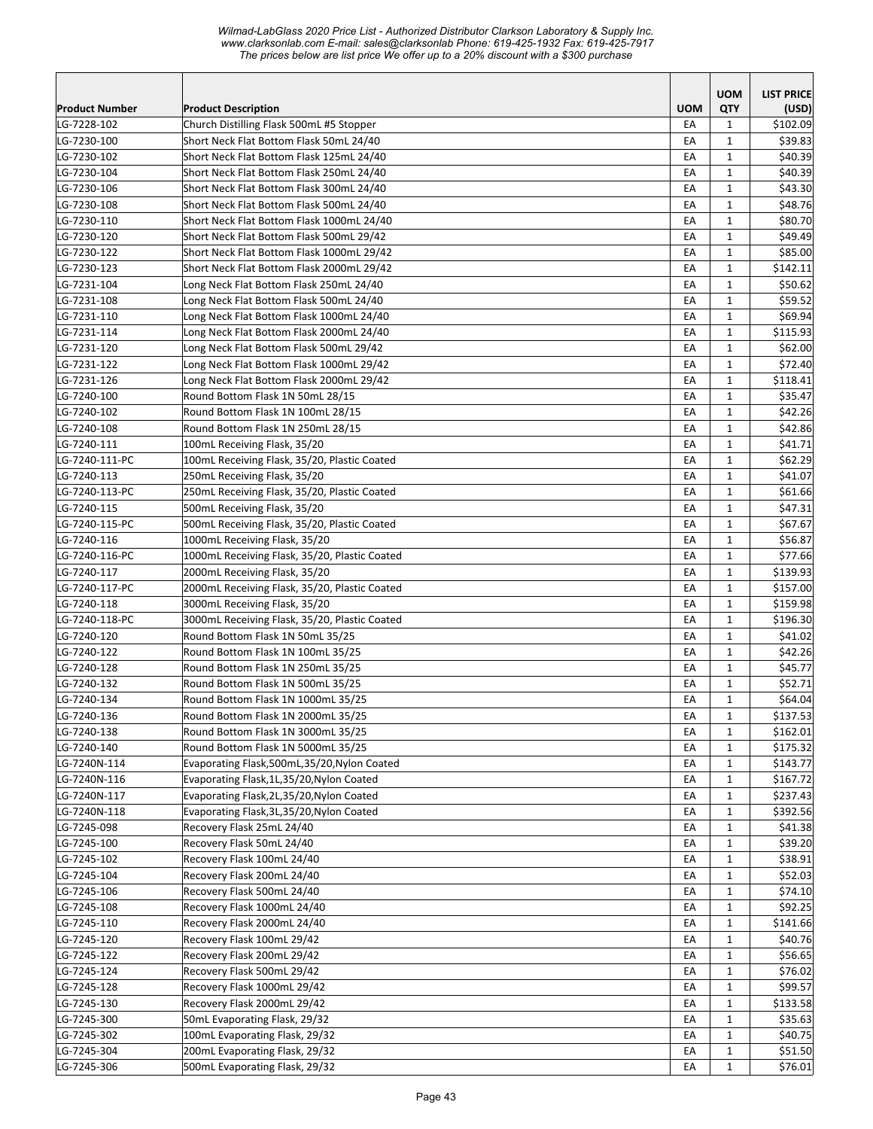|                            |                                                                                      |            | <b>UOM</b>                   | <b>LIST PRICE</b>  |
|----------------------------|--------------------------------------------------------------------------------------|------------|------------------------------|--------------------|
| Product Number             | <b>Product Description</b>                                                           | <b>UOM</b> | QTY                          | (USD)              |
| LG-7228-102                | Church Distilling Flask 500mL #5 Stopper                                             | EA         | $\mathbf{1}$                 | \$102.09           |
| LG-7230-100                | Short Neck Flat Bottom Flask 50mL 24/40                                              | EA         | $\mathbf{1}$                 | \$39.83            |
| LG-7230-102<br>LG-7230-104 | Short Neck Flat Bottom Flask 125mL 24/40                                             | EA<br>EA   | $\mathbf{1}$<br>$\mathbf{1}$ | \$40.39<br>\$40.39 |
| LG-7230-106                | Short Neck Flat Bottom Flask 250mL 24/40<br>Short Neck Flat Bottom Flask 300mL 24/40 | EA         | $\mathbf{1}$                 | \$43.30            |
| LG-7230-108                | Short Neck Flat Bottom Flask 500mL 24/40                                             | EA         | $\mathbf{1}$                 | \$48.76            |
| LG-7230-110                | Short Neck Flat Bottom Flask 1000mL 24/40                                            | EA         | $\mathbf{1}$                 | \$80.70            |
| LG-7230-120                | Short Neck Flat Bottom Flask 500mL 29/42                                             | EA         | $\mathbf{1}$                 | \$49.49            |
| LG-7230-122                | Short Neck Flat Bottom Flask 1000mL 29/42                                            | EA         | $\mathbf{1}$                 | \$85.00            |
| LG-7230-123                | Short Neck Flat Bottom Flask 2000mL 29/42                                            | EA         | $\mathbf{1}$                 | \$142.11           |
| LG-7231-104                | Long Neck Flat Bottom Flask 250mL 24/40                                              | EA         | $\mathbf{1}$                 | \$50.62            |
| LG-7231-108                | Long Neck Flat Bottom Flask 500mL 24/40                                              | EA         | $\mathbf{1}$                 | \$59.52            |
| LG-7231-110                | Long Neck Flat Bottom Flask 1000mL 24/40                                             | EA         | $\mathbf{1}$                 | \$69.94            |
| LG-7231-114                | Long Neck Flat Bottom Flask 2000mL 24/40                                             | EA         | $\mathbf{1}$                 | \$115.93           |
| LG-7231-120                | Long Neck Flat Bottom Flask 500mL 29/42                                              | EA         | $\mathbf{1}$                 | \$62.00            |
| LG-7231-122                | Long Neck Flat Bottom Flask 1000mL 29/42                                             | EA         | $\mathbf{1}$                 | \$72.40            |
| LG-7231-126                | Long Neck Flat Bottom Flask 2000mL 29/42                                             | EA         | $\mathbf{1}$                 | \$118.41           |
| LG-7240-100                | Round Bottom Flask 1N 50mL 28/15                                                     | EA         | $\mathbf{1}$                 | \$35.47            |
| LG-7240-102                | Round Bottom Flask 1N 100mL 28/15                                                    | EA         | $\mathbf{1}$                 | \$42.26            |
| LG-7240-108                | Round Bottom Flask 1N 250mL 28/15                                                    | EA         | $\mathbf{1}$                 | \$42.86            |
| LG-7240-111                | 100mL Receiving Flask, 35/20                                                         | EA         | $\mathbf{1}$                 | \$41.71            |
| LG-7240-111-PC             | 100mL Receiving Flask, 35/20, Plastic Coated                                         | EA         | $\mathbf{1}$                 | \$62.29            |
| LG-7240-113                | 250mL Receiving Flask, 35/20                                                         | EA         | $\mathbf{1}$                 | \$41.07            |
| LG-7240-113-PC             | 250mL Receiving Flask, 35/20, Plastic Coated                                         | EA         | $\mathbf{1}$                 | \$61.66            |
| LG-7240-115                | 500mL Receiving Flask, 35/20                                                         | EA         | $\mathbf{1}$                 | \$47.31            |
| LG-7240-115-PC             | 500mL Receiving Flask, 35/20, Plastic Coated                                         | EA         | $\mathbf{1}$                 | \$67.67            |
| LG-7240-116                | 1000mL Receiving Flask, 35/20                                                        | EA         | $\mathbf{1}$                 | \$56.87            |
| LG-7240-116-PC             | 1000mL Receiving Flask, 35/20, Plastic Coated                                        | EA         | $\mathbf{1}$                 | \$77.66            |
| LG-7240-117                | 2000mL Receiving Flask, 35/20                                                        | EA         | $\mathbf{1}$                 | \$139.93           |
| LG-7240-117-PC             | 2000mL Receiving Flask, 35/20, Plastic Coated                                        | EA         | $\mathbf{1}$                 | \$157.00           |
| LG-7240-118                | 3000mL Receiving Flask, 35/20                                                        | EA         | $\mathbf{1}$                 | \$159.98           |
| LG-7240-118-PC             | 3000mL Receiving Flask, 35/20, Plastic Coated                                        | EA         | $\mathbf{1}$                 | \$196.30           |
| LG-7240-120                | Round Bottom Flask 1N 50mL 35/25                                                     | EA         | $\mathbf{1}$                 | \$41.02            |
| LG-7240-122                | Round Bottom Flask 1N 100mL 35/25                                                    | EA         | $\mathbf{1}$                 | \$42.26            |
| LG-7240-128                | Round Bottom Flask 1N 250mL 35/25                                                    | EA         | $\mathbf{1}$                 | \$45.77            |
| LG-7240-132                | Round Bottom Flask 1N 500mL 35/25                                                    | EA         | $\mathbf{1}$                 | \$52.71            |
| LG-7240-134                | Round Bottom Flask 1N 1000mL 35/25                                                   | EA         | $\mathbf{1}$                 | \$64.04            |
| LG-7240-136                | Round Bottom Flask 1N 2000mL 35/25                                                   | EA         | $\mathbf{1}$                 | \$137.53           |
| LG-7240-138                | Round Bottom Flask 1N 3000mL 35/25                                                   | EA         | $\mathbf{1}$                 | \$162.01           |
| LG-7240-140                | Round Bottom Flask 1N 5000mL 35/25                                                   | EA         | $\mathbf{1}$                 | \$175.32           |
| LG-7240N-114               | Evaporating Flask,500mL,35/20, Nylon Coated                                          | EA         | 1                            | \$143.77           |
| LG-7240N-116               | Evaporating Flask, 1L, 35/20, Nylon Coated                                           | EA         | $\mathbf{1}$                 | \$167.72           |
| LG-7240N-117               | Evaporating Flask, 2L, 35/20, Nylon Coated                                           | EA         | 1                            | \$237.43           |
| LG-7240N-118               | Evaporating Flask, 3L, 35/20, Nylon Coated                                           | EA         | $\mathbf{1}$                 | \$392.56           |
| LG-7245-098                | Recovery Flask 25mL 24/40                                                            | EA         | $\mathbf{1}$                 | \$41.38            |
| LG-7245-100                | Recovery Flask 50mL 24/40                                                            | EA         | $\mathbf{1}$                 | \$39.20            |
| LG-7245-102                | Recovery Flask 100mL 24/40                                                           | EA         | $\mathbf{1}$                 | \$38.91            |
| LG-7245-104                | Recovery Flask 200mL 24/40                                                           | EA         | $\mathbf{1}$                 | \$52.03            |
| LG-7245-106                | Recovery Flask 500mL 24/40                                                           | EA         | $\mathbf{1}$                 | \$74.10            |
| LG-7245-108                | Recovery Flask 1000mL 24/40                                                          | EA         | $\mathbf{1}$                 | \$92.25            |
| LG-7245-110                | Recovery Flask 2000mL 24/40                                                          | EA         | 1                            | \$141.66           |
| LG-7245-120                | Recovery Flask 100mL 29/42                                                           | EA         | $\mathbf{1}$                 | \$40.76            |
| LG-7245-122                | Recovery Flask 200mL 29/42                                                           | EA         | $\mathbf{1}$                 | \$56.65            |
| LG-7245-124                | Recovery Flask 500mL 29/42                                                           | EA         | $\mathbf{1}$                 | \$76.02            |
| LG-7245-128                | Recovery Flask 1000mL 29/42                                                          | EA         | $\mathbf{1}$                 | \$99.57            |
| LG-7245-130                | Recovery Flask 2000mL 29/42                                                          | EA         | $\mathbf{1}$                 | \$133.58           |
| LG-7245-300                | 50mL Evaporating Flask, 29/32                                                        | EA         | $\mathbf{1}$                 | \$35.63            |
| LG-7245-302                | 100mL Evaporating Flask, 29/32                                                       | EA         | 1                            | \$40.75            |
| LG-7245-304                | 200mL Evaporating Flask, 29/32                                                       | EA         | 1                            | \$51.50            |
| LG-7245-306                | 500mL Evaporating Flask, 29/32                                                       | EA         | $\mathbf{1}$                 | \$76.01            |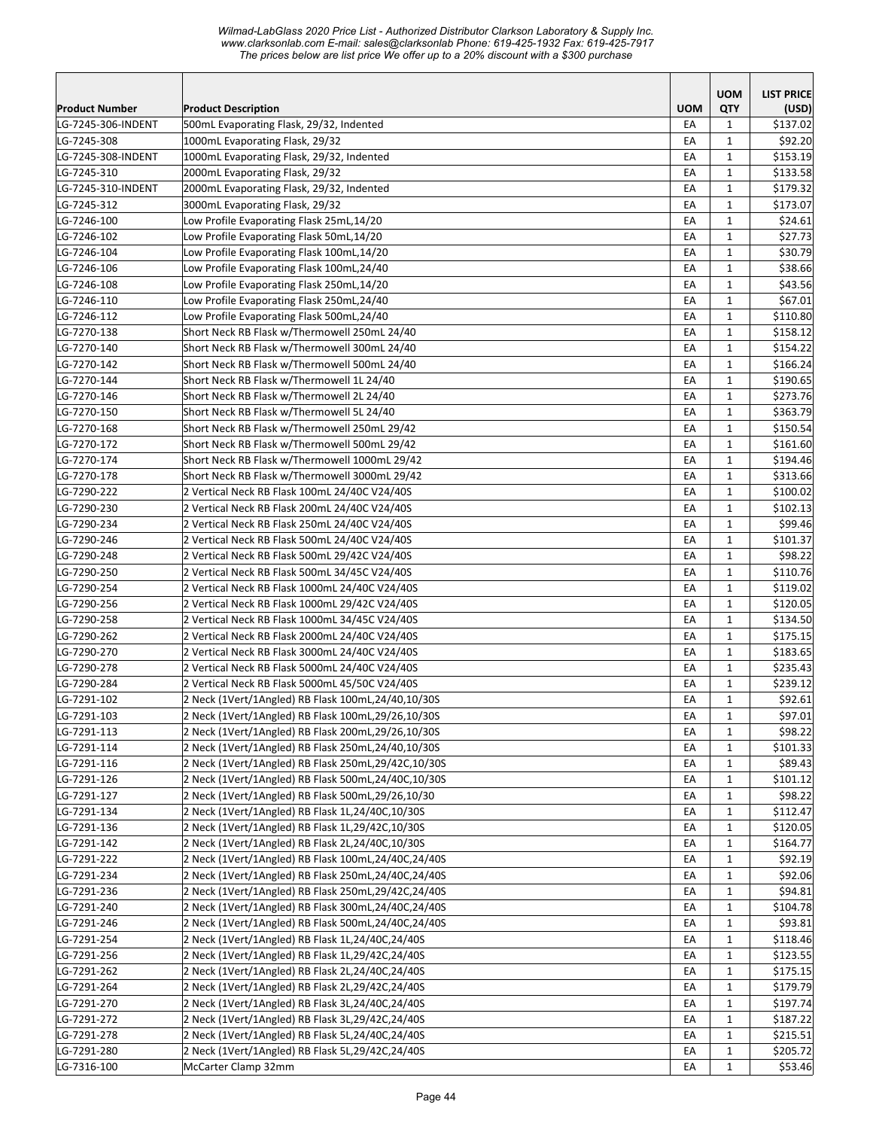|                                   |                                                                              |            | <b>UOM</b>                   | <b>LIST PRICE</b>   |
|-----------------------------------|------------------------------------------------------------------------------|------------|------------------------------|---------------------|
| Product Number                    | <b>Product Description</b>                                                   | <b>UOM</b> | QTY                          | (USD)               |
| LG-7245-306-INDENT                | 500mL Evaporating Flask, 29/32, Indented                                     | EA<br>EA   | $\mathbf{1}$<br>$\mathbf{1}$ | \$137.02<br>\$92.20 |
| LG-7245-308<br>LG-7245-308-INDENT | 1000mL Evaporating Flask, 29/32<br>1000mL Evaporating Flask, 29/32, Indented | EA         | $\mathbf{1}$                 | \$153.19            |
| LG-7245-310                       | 2000mL Evaporating Flask, 29/32                                              | EA         | $\mathbf{1}$                 | \$133.58            |
| LG-7245-310-INDENT                | 2000mL Evaporating Flask, 29/32, Indented                                    | EA         | $\mathbf{1}$                 | \$179.32            |
| LG-7245-312                       | 3000mL Evaporating Flask, 29/32                                              | EA         | 1                            | \$173.07            |
| LG-7246-100                       | Low Profile Evaporating Flask 25mL,14/20                                     | EA         | 1                            | \$24.61             |
| LG-7246-102                       | Low Profile Evaporating Flask 50mL,14/20                                     | EA         | $\mathbf{1}$                 | \$27.73             |
| LG-7246-104                       | Low Profile Evaporating Flask 100mL,14/20                                    | EA         | $\mathbf{1}$                 | \$30.79             |
| LG-7246-106                       | Low Profile Evaporating Flask 100mL,24/40                                    | EA         | $\mathbf{1}$                 | \$38.66             |
| LG-7246-108                       | Low Profile Evaporating Flask 250mL,14/20                                    | EA         | $\mathbf{1}$                 | \$43.56             |
| LG-7246-110                       | Low Profile Evaporating Flask 250mL,24/40                                    | EA         | $\mathbf{1}$                 | \$67.01             |
| LG-7246-112                       | Low Profile Evaporating Flask 500mL,24/40                                    | EA         | $\mathbf{1}$                 | \$110.80            |
| LG-7270-138                       | Short Neck RB Flask w/Thermowell 250mL 24/40                                 | EA         | 1                            | \$158.12            |
| LG-7270-140                       | Short Neck RB Flask w/Thermowell 300mL 24/40                                 | EA         | $\mathbf{1}$                 | \$154.22            |
| LG-7270-142                       | Short Neck RB Flask w/Thermowell 500mL 24/40                                 | EA         | $\mathbf{1}$                 | \$166.24            |
| LG-7270-144                       | Short Neck RB Flask w/Thermowell 1L 24/40                                    | EA         | $\mathbf{1}$                 | \$190.65            |
| LG-7270-146                       | Short Neck RB Flask w/Thermowell 2L 24/40                                    | EA         | $\mathbf{1}$                 | \$273.76            |
| LG-7270-150                       | Short Neck RB Flask w/Thermowell 5L 24/40                                    | EA         | $\mathbf{1}$                 | \$363.79            |
| LG-7270-168                       | Short Neck RB Flask w/Thermowell 250mL 29/42                                 | EA         | $\mathbf{1}$                 | \$150.54            |
| LG-7270-172                       | Short Neck RB Flask w/Thermowell 500mL 29/42                                 | EA         | 1                            | \$161.60            |
| LG-7270-174                       | Short Neck RB Flask w/Thermowell 1000mL 29/42                                | EA         | 1                            | \$194.46            |
| LG-7270-178                       | Short Neck RB Flask w/Thermowell 3000mL 29/42                                | EA         | $\mathbf{1}$                 | \$313.66            |
| LG-7290-222                       | 2 Vertical Neck RB Flask 100mL 24/40C V24/40S                                | EA         | $\mathbf{1}$                 | \$100.02            |
| LG-7290-230                       | 2 Vertical Neck RB Flask 200mL 24/40C V24/40S                                | EA         | $\mathbf{1}$                 | \$102.13            |
| LG-7290-234                       | 2 Vertical Neck RB Flask 250mL 24/40C V24/40S                                | EA         | $\mathbf{1}$                 | \$99.46             |
| LG-7290-246                       | 2 Vertical Neck RB Flask 500mL 24/40C V24/40S                                | EA         | $\mathbf{1}$                 | \$101.37            |
| LG-7290-248                       | 2 Vertical Neck RB Flask 500mL 29/42C V24/40S                                | EA         | $\mathbf{1}$                 | \$98.22             |
| LG-7290-250                       | 2 Vertical Neck RB Flask 500mL 34/45C V24/40S                                | EA         | 1                            | \$110.76            |
| LG-7290-254                       | 2 Vertical Neck RB Flask 1000mL 24/40C V24/40S                               | EA         | $\mathbf{1}$                 | \$119.02            |
| LG-7290-256                       | 2 Vertical Neck RB Flask 1000mL 29/42C V24/40S                               | EA         | $\mathbf{1}$                 | \$120.05            |
| LG-7290-258                       | 2 Vertical Neck RB Flask 1000mL 34/45C V24/40S                               | EA         | $\mathbf{1}$                 | \$134.50            |
| LG-7290-262                       | 2 Vertical Neck RB Flask 2000mL 24/40C V24/40S                               | EA         | $\mathbf{1}$                 | \$175.15            |
| LG-7290-270                       | 2 Vertical Neck RB Flask 3000mL 24/40C V24/40S                               | EA         | $\mathbf{1}$                 | \$183.65            |
| LG-7290-278                       | 2 Vertical Neck RB Flask 5000mL 24/40C V24/40S                               | EA         | $\mathbf{1}$                 | \$235.43            |
| LG-7290-284                       | 2 Vertical Neck RB Flask 5000mL 45/50C V24/40S                               | EA         | $\mathbf{1}$                 | \$239.12            |
| LG-7291-102                       | 2 Neck (1Vert/1Angled) RB Flask 100mL,24/40,10/30S                           | EA         | $\mathbf{1}$                 | \$92.61             |
| LG-7291-103                       | 2 Neck (1Vert/1Angled) RB Flask 100mL,29/26,10/30S                           | EA         | $\mathbf 1$                  | \$97.01             |
| LG-7291-113                       | 2 Neck (1Vert/1Angled) RB Flask 200mL,29/26,10/30S                           | EA         | $\mathbf{1}$                 | \$98.22             |
| LG-7291-114                       | 2 Neck (1Vert/1Angled) RB Flask 250mL,24/40,10/30S                           | EA         | $\mathbf{1}$                 | \$101.33            |
| LG-7291-116                       | 2 Neck (1Vert/1Angled) RB Flask 250mL,29/42C,10/30S                          | EA         | $\mathbf{1}$                 | \$89.43             |
| LG-7291-126                       | 2 Neck (1Vert/1Angled) RB Flask 500mL,24/40C,10/30S                          | EA         | $\mathbf{1}$                 | \$101.12            |
| LG-7291-127                       | 2 Neck (1Vert/1Angled) RB Flask 500mL,29/26,10/30                            | EA         | $\mathbf{1}$                 | \$98.22             |
| LG-7291-134                       | 2 Neck (1Vert/1Angled) RB Flask 1L,24/40C,10/30S                             | EA         | $\mathbf{1}$                 | \$112.47            |
| LG-7291-136                       | 2 Neck (1Vert/1Angled) RB Flask 1L,29/42C,10/30S                             | EA         | $\mathbf{1}$                 | \$120.05            |
| LG-7291-142                       | 2 Neck (1Vert/1Angled) RB Flask 2L,24/40C,10/30S                             | EA         | $\mathbf{1}$                 | \$164.77            |
| LG-7291-222                       | 2 Neck (1Vert/1Angled) RB Flask 100mL,24/40C,24/40S                          | EA         | $\mathbf 1$                  | \$92.19             |
| LG-7291-234                       | 2 Neck (1Vert/1Angled) RB Flask 250mL,24/40C,24/40S                          | EA         | $\mathbf 1$                  | \$92.06             |
| LG-7291-236                       | 2 Neck (1Vert/1Angled) RB Flask 250mL,29/42C,24/40S                          | EA         | $\mathbf{1}$                 | \$94.81             |
| LG-7291-240                       | 2 Neck (1Vert/1Angled) RB Flask 300mL,24/40C,24/40S                          | EA         | $\mathbf{1}$                 | \$104.78            |
| LG-7291-246                       | 2 Neck (1Vert/1Angled) RB Flask 500mL,24/40C,24/40S                          | EA         | 1                            | \$93.81             |
| LG-7291-254                       | 2 Neck (1Vert/1Angled) RB Flask 1L,24/40C,24/40S                             | EA         | $\mathbf{1}$                 | \$118.46            |
| LG-7291-256                       | 2 Neck (1Vert/1Angled) RB Flask 1L,29/42C,24/40S                             | EA         | $\mathbf{1}$                 | \$123.55            |
| LG-7291-262                       | 2 Neck (1Vert/1Angled) RB Flask 2L,24/40C,24/40S                             | EA         | $\mathbf{1}$                 | \$175.15            |
| LG-7291-264                       | 2 Neck (1Vert/1Angled) RB Flask 2L,29/42C,24/40S                             | EA         | $\mathbf{1}$                 | \$179.79            |
| LG-7291-270                       | 2 Neck (1Vert/1Angled) RB Flask 3L,24/40C,24/40S                             | EA         | $\mathbf{1}$                 | \$197.74            |
| LG-7291-272                       | 2 Neck (1Vert/1Angled) RB Flask 3L,29/42C,24/40S                             | EA         | $\mathbf{1}$                 | \$187.22            |
| LG-7291-278                       | 2 Neck (1Vert/1Angled) RB Flask 5L,24/40C,24/40S                             | EA         | $\mathbf{1}$                 | \$215.51            |
| LG-7291-280                       | 2 Neck (1Vert/1Angled) RB Flask 5L,29/42C,24/40S                             | EA         | $\mathbf{1}$                 | \$205.72            |
| LG-7316-100                       | McCarter Clamp 32mm                                                          | EA         | $\mathbf{1}$                 | \$53.46             |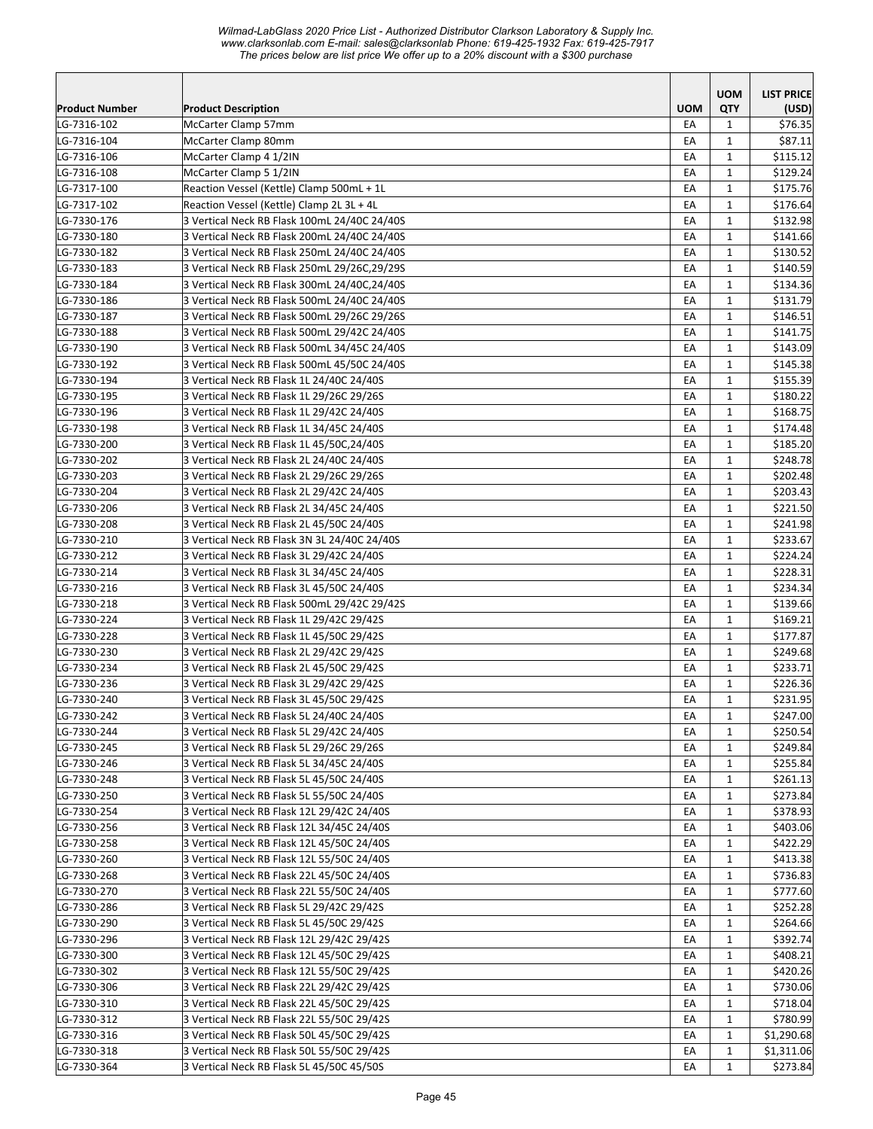| <b>Product Number</b> | <b>Product Description</b>                   | <b>UOM</b> | <b>UOM</b><br><b>QTY</b>     | <b>LIST PRICE</b><br>(USD) |
|-----------------------|----------------------------------------------|------------|------------------------------|----------------------------|
| LG-7316-102           | McCarter Clamp 57mm                          | EA         | 1                            | \$76.35                    |
| LG-7316-104           | McCarter Clamp 80mm                          | EA         | 1                            | \$87.11                    |
| LG-7316-106           | McCarter Clamp 4 1/2IN                       | EA         | $\mathbf{1}$                 | \$115.12                   |
| LG-7316-108           | McCarter Clamp 5 1/2IN                       | EA         | $\mathbf{1}$                 | \$129.24                   |
| LG-7317-100           | Reaction Vessel (Kettle) Clamp 500mL + 1L    | EA         | 1                            | \$175.76                   |
| LG-7317-102           | Reaction Vessel (Kettle) Clamp 2L 3L + 4L    | EA         | $\mathbf{1}$                 | \$176.64                   |
| LG-7330-176           | 3 Vertical Neck RB Flask 100mL 24/40C 24/40S | EA         | $\mathbf{1}$                 | \$132.98                   |
| LG-7330-180           | 3 Vertical Neck RB Flask 200mL 24/40C 24/40S | EA         | $\mathbf{1}$                 | \$141.66                   |
| LG-7330-182           | 3 Vertical Neck RB Flask 250mL 24/40C 24/40S | EA         | $\mathbf{1}$                 | \$130.52                   |
| LG-7330-183           | 3 Vertical Neck RB Flask 250mL 29/26C,29/29S | EA         | 1                            | \$140.59                   |
| LG-7330-184           | 3 Vertical Neck RB Flask 300mL 24/40C,24/40S | EA         | $\mathbf{1}$                 | \$134.36                   |
| LG-7330-186           | 3 Vertical Neck RB Flask 500mL 24/40C 24/40S | EA         | $\mathbf{1}$                 | \$131.79                   |
| LG-7330-187           | 3 Vertical Neck RB Flask 500mL 29/26C 29/26S | EA         | 1                            | \$146.51                   |
| LG-7330-188           | 3 Vertical Neck RB Flask 500mL 29/42C 24/40S | EA         | $\mathbf{1}$                 | \$141.75                   |
| LG-7330-190           | 3 Vertical Neck RB Flask 500mL 34/45C 24/40S | EA         | $\mathbf{1}$                 | \$143.09                   |
| LG-7330-192           | 3 Vertical Neck RB Flask 500mL 45/50C 24/40S | EA         | $\mathbf{1}$                 | \$145.38                   |
| LG-7330-194           | 3 Vertical Neck RB Flask 1L 24/40C 24/40S    | EA         | $\mathbf{1}$                 | \$155.39                   |
| LG-7330-195           | 3 Vertical Neck RB Flask 1L 29/26C 29/26S    | EA         | $\mathbf{1}$                 | \$180.22                   |
| LG-7330-196           | 3 Vertical Neck RB Flask 1L 29/42C 24/40S    | EA         | $\mathbf{1}$                 | \$168.75                   |
| LG-7330-198           | 3 Vertical Neck RB Flask 1L 34/45C 24/40S    | EA         | 1                            | \$174.48                   |
| LG-7330-200           | 3 Vertical Neck RB Flask 1L 45/50C,24/40S    | EA         | $\mathbf{1}$                 | \$185.20                   |
| LG-7330-202           | 3 Vertical Neck RB Flask 2L 24/40C 24/40S    | EA         | $\mathbf{1}$                 | \$248.78                   |
| LG-7330-203           | 3 Vertical Neck RB Flask 2L 29/26C 29/26S    | EA         | $\mathbf{1}$                 | \$202.48                   |
| LG-7330-204           | 3 Vertical Neck RB Flask 2L 29/42C 24/40S    | EA         | $\mathbf{1}$                 | \$203.43                   |
| LG-7330-206           | 3 Vertical Neck RB Flask 2L 34/45C 24/40S    | EA         | 1                            | \$221.50                   |
| LG-7330-208           | 3 Vertical Neck RB Flask 2L 45/50C 24/40S    | EA         | $\mathbf{1}$                 | \$241.98                   |
| LG-7330-210           | 3 Vertical Neck RB Flask 3N 3L 24/40C 24/40S | EA         | 1                            | \$233.67                   |
| LG-7330-212           | 3 Vertical Neck RB Flask 3L 29/42C 24/40S    | EA         | 1                            | \$224.24                   |
| LG-7330-214           | 3 Vertical Neck RB Flask 3L 34/45C 24/40S    | EA         | $\mathbf{1}$                 | \$228.31                   |
| LG-7330-216           | 3 Vertical Neck RB Flask 3L 45/50C 24/40S    | EA         | $\mathbf{1}$                 | \$234.34                   |
| LG-7330-218           | 3 Vertical Neck RB Flask 500mL 29/42C 29/42S | EA         | $\mathbf{1}$                 | \$139.66                   |
| LG-7330-224           | 3 Vertical Neck RB Flask 1L 29/42C 29/42S    | EA         | $\mathbf{1}$                 | \$169.21                   |
| LG-7330-228           | 3 Vertical Neck RB Flask 1L 45/50C 29/42S    | EA         | $\mathbf{1}$                 | \$177.87                   |
| LG-7330-230           | 3 Vertical Neck RB Flask 2L 29/42C 29/42S    | EA         | $\mathbf{1}$                 | \$249.68                   |
| LG-7330-234           | 3 Vertical Neck RB Flask 2L 45/50C 29/42S    | EA         | $\mathbf{1}$                 | \$233.71                   |
| LG-7330-236           | 3 Vertical Neck RB Flask 3L 29/42C 29/42S    | EA         | $\mathbf{1}$                 | \$226.36                   |
| LG-7330-240           | 3 Vertical Neck RB Flask 3L 45/50C 29/42S    | EA         | $\mathbf{1}$                 | \$231.95                   |
| LG-7330-242           | 3 Vertical Neck RB Flask 5L 24/40C 24/40S    | EA         | $\mathbf{1}$                 | \$247.00                   |
| LG-7330-244           | 3 Vertical Neck RB Flask 5L 29/42C 24/40S    | EA         | 1                            | \$250.54                   |
| LG-7330-245           | 3 Vertical Neck RB Flask 5L 29/26C 29/26S    | EA         | 1                            | \$249.84                   |
| LG-7330-246           | 3 Vertical Neck RB Flask 5L 34/45C 24/40S    | EA         | 1                            | \$255.84                   |
| LG-7330-248           | 3 Vertical Neck RB Flask 5L 45/50C 24/40S    | EA         | 1                            | \$261.13                   |
| LG-7330-250           | 3 Vertical Neck RB Flask 5L 55/50C 24/40S    | EA         | 1                            | \$273.84                   |
| LG-7330-254           | 3 Vertical Neck RB Flask 12L 29/42C 24/40S   | EA         | $\mathbf{1}$                 | \$378.93                   |
| LG-7330-256           | 3 Vertical Neck RB Flask 12L 34/45C 24/40S   | EA         | $\mathbf{1}$                 | \$403.06                   |
| LG-7330-258           | 3 Vertical Neck RB Flask 12L 45/50C 24/40S   | EA         | $\mathbf{1}$                 | \$422.29                   |
| LG-7330-260           | 3 Vertical Neck RB Flask 12L 55/50C 24/40S   | EA         | $\mathbf{1}$                 | \$413.38                   |
| LG-7330-268           | 3 Vertical Neck RB Flask 22L 45/50C 24/40S   | EA         | $\mathbf{1}$                 | \$736.83                   |
| LG-7330-270           | 3 Vertical Neck RB Flask 22L 55/50C 24/40S   | EA         | $\mathbf{1}$                 | \$777.60                   |
| LG-7330-286           | 3 Vertical Neck RB Flask 5L 29/42C 29/42S    | EA         | 1                            | \$252.28                   |
| LG-7330-290           | 3 Vertical Neck RB Flask 5L 45/50C 29/42S    | EA         | 1                            | \$264.66                   |
| LG-7330-296           | 3 Vertical Neck RB Flask 12L 29/42C 29/42S   | EA         | 1                            | \$392.74                   |
| LG-7330-300           | 3 Vertical Neck RB Flask 12L 45/50C 29/42S   | EA         | $\mathbf{1}$                 | \$408.21                   |
| LG-7330-302           | 3 Vertical Neck RB Flask 12L 55/50C 29/42S   | EA         | $\mathbf{1}$                 | \$420.26                   |
| LG-7330-306           | 3 Vertical Neck RB Flask 22L 29/42C 29/42S   | EA         | 1                            | \$730.06                   |
| LG-7330-310           | 3 Vertical Neck RB Flask 22L 45/50C 29/42S   | EA         | 1                            | \$718.04                   |
| LG-7330-312           | 3 Vertical Neck RB Flask 22L 55/50C 29/42S   | EA         | 1                            | \$780.99                   |
| LG-7330-316           | 3 Vertical Neck RB Flask 50L 45/50C 29/42S   | EA         | 1                            | \$1,290.68                 |
| LG-7330-318           | 3 Vertical Neck RB Flask 50L 55/50C 29/42S   | EA         | $\mathbf{1}$<br>$\mathbf{1}$ | \$1,311.06                 |
| LG-7330-364           | 3 Vertical Neck RB Flask 5L 45/50C 45/50S    | EA         |                              | \$273.84                   |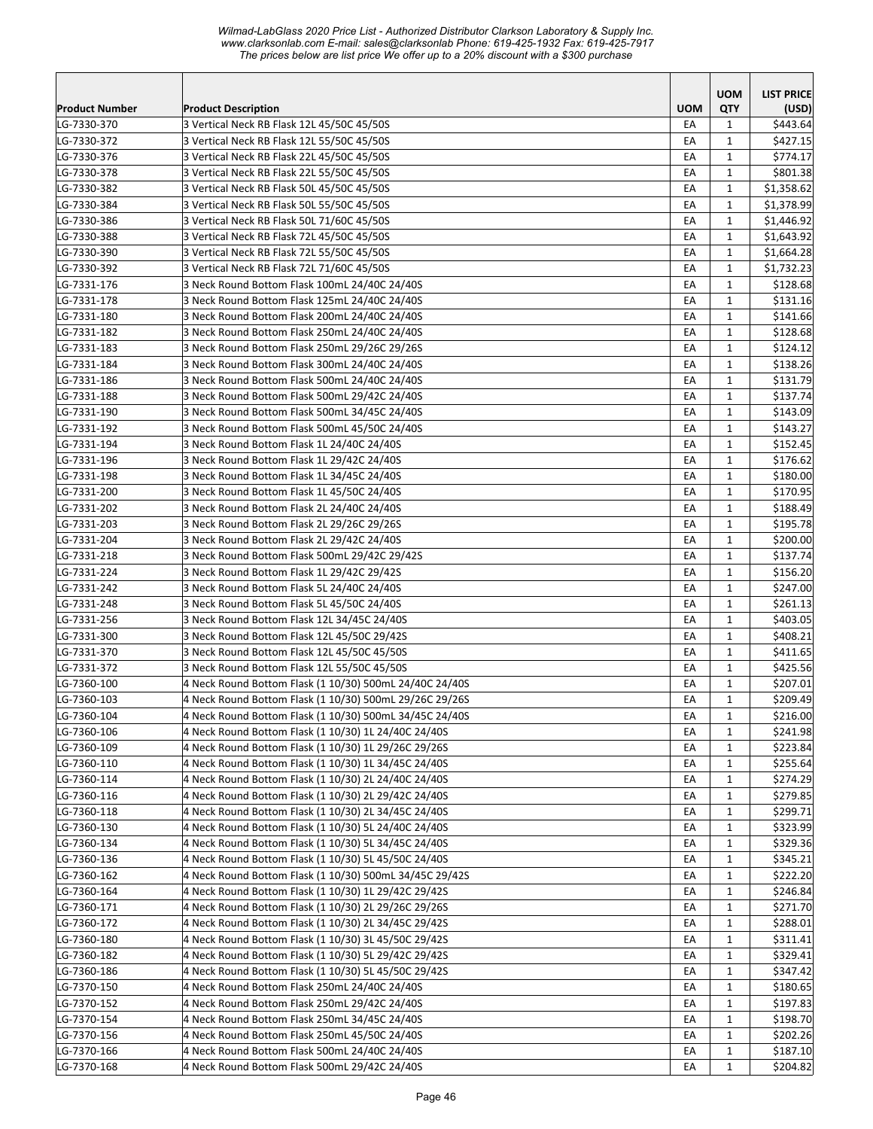|                       |                                                                                                |            | <b>UOM</b>   | <b>LIST PRICE</b> |
|-----------------------|------------------------------------------------------------------------------------------------|------------|--------------|-------------------|
| <b>Product Number</b> | <b>Product Description</b>                                                                     | <b>UOM</b> | <b>QTY</b>   | (USD)             |
| LG-7330-370           | 3 Vertical Neck RB Flask 12L 45/50C 45/50S                                                     | EA         | 1            | \$443.64          |
| LG-7330-372           | 3 Vertical Neck RB Flask 12L 55/50C 45/50S                                                     | EA         | 1            | \$427.15          |
| LG-7330-376           | 3 Vertical Neck RB Flask 22L 45/50C 45/50S                                                     | EA         | 1            | \$774.17          |
| LG-7330-378           | 3 Vertical Neck RB Flask 22L 55/50C 45/50S                                                     | EA         | $\mathbf{1}$ | \$801.38          |
| LG-7330-382           | 3 Vertical Neck RB Flask 50L 45/50C 45/50S                                                     | EA         | $\mathbf{1}$ | \$1,358.62        |
| LG-7330-384           | 3 Vertical Neck RB Flask 50L 55/50C 45/50S                                                     | EA         | $\mathbf{1}$ | \$1,378.99        |
| LG-7330-386           | 3 Vertical Neck RB Flask 50L 71/60C 45/50S                                                     | EA         | $\mathbf{1}$ | \$1,446.92        |
| LG-7330-388           | 3 Vertical Neck RB Flask 72L 45/50C 45/50S                                                     | EA         | $\mathbf{1}$ | \$1,643.92        |
| LG-7330-390           | 3 Vertical Neck RB Flask 72L 55/50C 45/50S                                                     | EA         | $\mathbf{1}$ | \$1,664.28        |
| LG-7330-392           | 3 Vertical Neck RB Flask 72L 71/60C 45/50S                                                     | EA         | $\mathbf{1}$ | \$1,732.23        |
| LG-7331-176           | 3 Neck Round Bottom Flask 100mL 24/40C 24/40S                                                  | EA         | $\mathbf{1}$ | \$128.68          |
| LG-7331-178           | 3 Neck Round Bottom Flask 125mL 24/40C 24/40S                                                  | EA         | $\mathbf{1}$ | \$131.16          |
| LG-7331-180           | 3 Neck Round Bottom Flask 200mL 24/40C 24/40S                                                  | EA         | 1            | \$141.66          |
| LG-7331-182           | 3 Neck Round Bottom Flask 250mL 24/40C 24/40S                                                  | EA         | $\mathbf{1}$ | \$128.68          |
| LG-7331-183           | 3 Neck Round Bottom Flask 250mL 29/26C 29/26S                                                  | EA         | $\mathbf{1}$ | \$124.12          |
| LG-7331-184           | 3 Neck Round Bottom Flask 300mL 24/40C 24/40S                                                  | EA         | 1            | \$138.26          |
| LG-7331-186           | 3 Neck Round Bottom Flask 500mL 24/40C 24/40S                                                  | EA         | $\mathbf{1}$ | \$131.79          |
| LG-7331-188           | 3 Neck Round Bottom Flask 500mL 29/42C 24/40S                                                  | EA         | 1            | \$137.74          |
| LG-7331-190           | 3 Neck Round Bottom Flask 500mL 34/45C 24/40S                                                  | EA         | $\mathbf{1}$ | \$143.09          |
| LG-7331-192           | 3 Neck Round Bottom Flask 500mL 45/50C 24/40S                                                  | EA         | 1            | \$143.27          |
| LG-7331-194           | 3 Neck Round Bottom Flask 1L 24/40C 24/40S                                                     | EA         | 1            | \$152.45          |
| LG-7331-196           | 3 Neck Round Bottom Flask 1L 29/42C 24/40S                                                     | EA         | $\mathbf{1}$ | \$176.62          |
| LG-7331-198           | 3 Neck Round Bottom Flask 1L 34/45C 24/40S                                                     | EA         | $\mathbf{1}$ | \$180.00          |
| LG-7331-200           | 3 Neck Round Bottom Flask 1L 45/50C 24/40S                                                     | EA         | $\mathbf{1}$ | \$170.95          |
| LG-7331-202           | 3 Neck Round Bottom Flask 2L 24/40C 24/40S                                                     | EA         | $\mathbf{1}$ | \$188.49          |
| LG-7331-203           | 3 Neck Round Bottom Flask 2L 29/26C 29/26S                                                     | EA         | $\mathbf{1}$ | \$195.78          |
| LG-7331-204           | 3 Neck Round Bottom Flask 2L 29/42C 24/40S                                                     | EA         | $\mathbf{1}$ | \$200.00          |
| LG-7331-218           | 3 Neck Round Bottom Flask 500mL 29/42C 29/42S                                                  | EA         | $\mathbf{1}$ | \$137.74          |
| LG-7331-224           | 3 Neck Round Bottom Flask 1L 29/42C 29/42S                                                     | EA         | $\mathbf{1}$ | \$156.20          |
| LG-7331-242           | 3 Neck Round Bottom Flask 5L 24/40C 24/40S                                                     | EA         | $\mathbf{1}$ | \$247.00          |
| LG-7331-248           | 3 Neck Round Bottom Flask 5L 45/50C 24/40S                                                     | EA         | $\mathbf{1}$ | \$261.13          |
| LG-7331-256           | 3 Neck Round Bottom Flask 12L 34/45C 24/40S                                                    | EA         | $\mathbf{1}$ | \$403.05          |
| LG-7331-300           | 3 Neck Round Bottom Flask 12L 45/50C 29/42S                                                    | EA         | 1            | \$408.21          |
| LG-7331-370           | 3 Neck Round Bottom Flask 12L 45/50C 45/50S                                                    | EA         | $\mathbf{1}$ | \$411.65          |
| LG-7331-372           | 3 Neck Round Bottom Flask 12L 55/50C 45/50S                                                    | EA         | 1            | \$425.56          |
| LG-7360-100           | 4 Neck Round Bottom Flask (1 10/30) 500mL 24/40C 24/40S                                        | EA         | 1            | \$207.01          |
| LG-7360-103           | 4 Neck Round Bottom Flask (1 10/30) 500mL 29/26C 29/26S                                        | EA         | $\mathbf{1}$ | \$209.49          |
| LG-7360-104           | 4 Neck Round Bottom Flask (1 10/30) 500mL 34/45C 24/40S                                        | EA         | $\mathbf{1}$ | \$216.00          |
| LG-7360-106           | 4 Neck Round Bottom Flask (1 10/30) 1L 24/40C 24/40S                                           | EA         | $\mathbf{1}$ | \$241.98          |
| LG-7360-109           | 4 Neck Round Bottom Flask (1 10/30) 1L 29/26C 29/26S                                           | EA         | 1            | \$223.84          |
| LG-7360-110           | 4 Neck Round Bottom Flask (1 10/30) 1L 34/45C 24/40S                                           | EA         | $\mathbf{1}$ | \$255.64          |
| LG-7360-114           | 4 Neck Round Bottom Flask (1 10/30) 2L 24/40C 24/40S                                           | EA         | 1            | \$274.29          |
| LG-7360-116           | 4 Neck Round Bottom Flask (1 10/30) 2L 29/42C 24/40S                                           | EA         | 1            | \$279.85          |
| LG-7360-118           | 4 Neck Round Bottom Flask (1 10/30) 2L 34/45C 24/40S                                           | EA         | $\mathbf{1}$ | \$299.71          |
| LG-7360-130           | 4 Neck Round Bottom Flask (1 10/30) 5L 24/40C 24/40S                                           | EA         | $\mathbf{1}$ | \$323.99          |
| LG-7360-134           | 4 Neck Round Bottom Flask (1 10/30) 5L 34/45C 24/40S                                           | EA         | $\mathbf{1}$ | \$329.36          |
| LG-7360-136           | 4 Neck Round Bottom Flask (1 10/30) 5L 45/50C 24/40S                                           | EA         | $\mathbf{1}$ | \$345.21          |
| LG-7360-162           | 4 Neck Round Bottom Flask (1 10/30) 500mL 34/45C 29/42S                                        | EA         | 1            | \$222.20          |
| LG-7360-164           | 4 Neck Round Bottom Flask (1 10/30) 1L 29/42C 29/42S                                           | EA         | $\mathbf{1}$ | \$246.84          |
| LG-7360-171           | 4 Neck Round Bottom Flask (1 10/30) 2L 29/26C 29/26S                                           | EA         | 1            | \$271.70          |
| LG-7360-172           | 4 Neck Round Bottom Flask (1 10/30) 2L 34/45C 29/42S                                           | EA         | 1            | \$288.01          |
| LG-7360-180           | 4 Neck Round Bottom Flask (1 10/30) 3L 45/50C 29/42S                                           | EA         | 1            | \$311.41          |
| LG-7360-182           | 4 Neck Round Bottom Flask (1 10/30) 5L 29/42C 29/42S                                           | EA         | $\mathbf{1}$ | \$329.41          |
| LG-7360-186           | 4 Neck Round Bottom Flask (1 10/30) 5L 45/50C 29/42S                                           | EA         | $\mathbf{1}$ | \$347.42          |
| LG-7370-150           | 4 Neck Round Bottom Flask 250mL 24/40C 24/40S                                                  | EA         | $\mathbf{1}$ | \$180.65          |
| LG-7370-152           | 4 Neck Round Bottom Flask 250mL 29/42C 24/40S                                                  | EA         | $\mathbf{1}$ | \$197.83          |
|                       | 4 Neck Round Bottom Flask 250mL 34/45C 24/40S                                                  |            |              |                   |
| LG-7370-154           | 4 Neck Round Bottom Flask 250mL 45/50C 24/40S                                                  | EA         | $\mathbf{1}$ | \$198.70          |
| LG-7370-156           |                                                                                                | EA         | $\mathbf{1}$ | \$202.26          |
| LG-7370-166           | 4 Neck Round Bottom Flask 500mL 24/40C 24/40S<br>4 Neck Round Bottom Flask 500mL 29/42C 24/40S | EA         | $\mathbf{1}$ | \$187.10          |
| LG-7370-168           |                                                                                                | EA         | $\mathbf{1}$ | \$204.82          |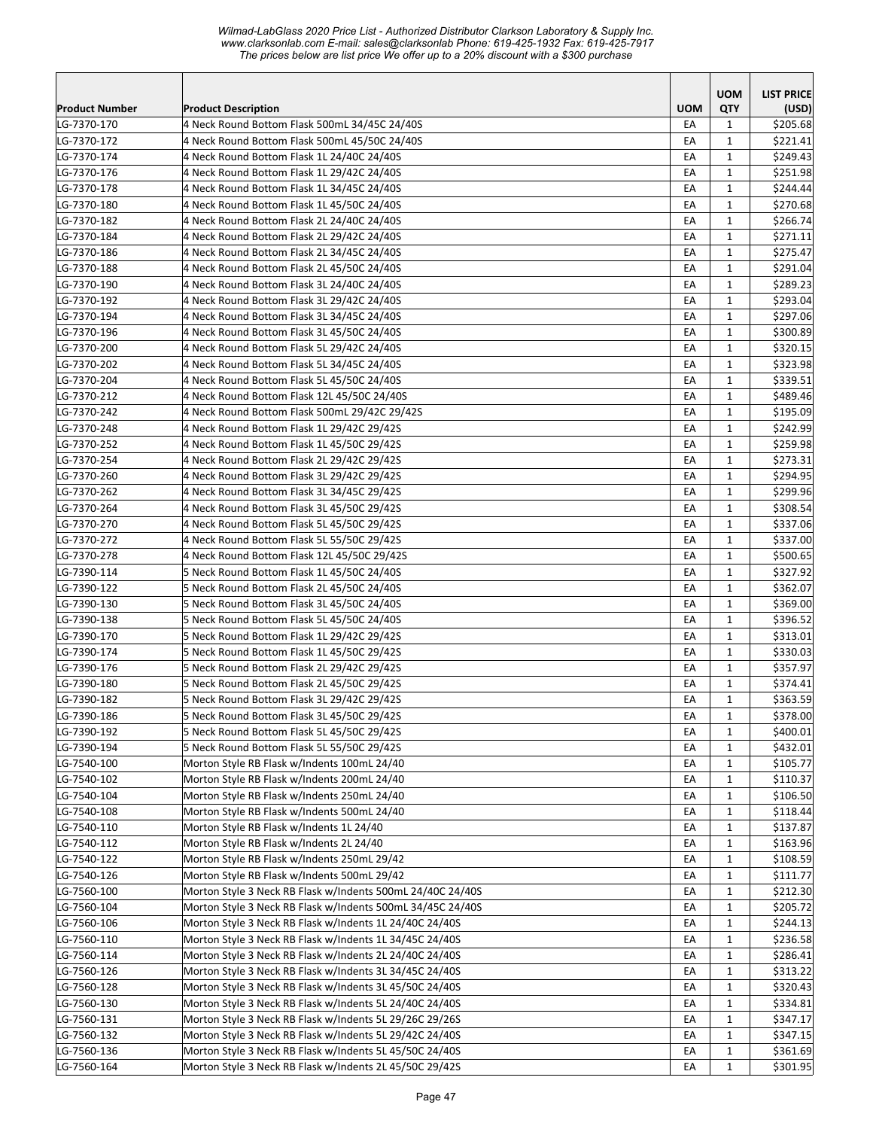*Wilmad-LabGlass 2020 Price List - Authorized Distributor Clarkson Laboratory & Supply Inc. www.clarksonlab.com E-mail: sales@clarksonlab Phone: 619-425-1932 Fax: 619-425-7917 The prices below are list price We offer up to a 20% discount with a \$300 purchase* 

|                       |                                                            |            | <b>UOM</b>   | <b>LIST PRICE</b> |
|-----------------------|------------------------------------------------------------|------------|--------------|-------------------|
| <b>Product Number</b> | <b>Product Description</b>                                 | <b>UOM</b> | QTY          | (USD)             |
| LG-7370-170           | 4 Neck Round Bottom Flask 500mL 34/45C 24/40S              | EA         | 1            | \$205.68          |
| LG-7370-172           | 4 Neck Round Bottom Flask 500mL 45/50C 24/40S              | EA         | $\mathbf{1}$ | \$221.41          |
| LG-7370-174           | 4 Neck Round Bottom Flask 1L 24/40C 24/40S                 | EA         | $\mathbf{1}$ | \$249.43          |
| LG-7370-176           | 4 Neck Round Bottom Flask 1L 29/42C 24/40S                 | EA         | $\mathbf{1}$ | \$251.98          |
| LG-7370-178           | 4 Neck Round Bottom Flask 1L 34/45C 24/40S                 | EA         | $\mathbf{1}$ | \$244.44          |
| LG-7370-180           | 4 Neck Round Bottom Flask 1L 45/50C 24/40S                 | EA         | $\mathbf{1}$ | \$270.68          |
| LG-7370-182           | 4 Neck Round Bottom Flask 2L 24/40C 24/40S                 | EA         | $\mathbf{1}$ | \$266.74          |
| LG-7370-184           | 4 Neck Round Bottom Flask 2L 29/42C 24/40S                 | EA         | $\mathbf{1}$ | \$271.11          |
| LG-7370-186           | 4 Neck Round Bottom Flask 2L 34/45C 24/40S                 | EA         | $\mathbf{1}$ | \$275.47          |
| LG-7370-188           | 4 Neck Round Bottom Flask 2L 45/50C 24/40S                 | EA         | 1            | \$291.04          |
| LG-7370-190           | 4 Neck Round Bottom Flask 3L 24/40C 24/40S                 | EA         | 1            | \$289.23          |
| LG-7370-192           | 4 Neck Round Bottom Flask 3L 29/42C 24/40S                 | EA         | $\mathbf{1}$ | \$293.04          |
| LG-7370-194           | 4 Neck Round Bottom Flask 3L 34/45C 24/40S                 | EA         | $\mathbf{1}$ | \$297.06          |
| LG-7370-196           | 4 Neck Round Bottom Flask 3L 45/50C 24/40S                 | EA         | $\mathbf{1}$ | \$300.89          |
| LG-7370-200           | 4 Neck Round Bottom Flask 5L 29/42C 24/40S                 | EA         | $\mathbf{1}$ | \$320.15          |
| LG-7370-202           | 4 Neck Round Bottom Flask 5L 34/45C 24/40S                 | EA         | $\mathbf{1}$ | \$323.98          |
| LG-7370-204           | 4 Neck Round Bottom Flask 5L 45/50C 24/40S                 | EA         | $\mathbf{1}$ | \$339.51          |
| LG-7370-212           | 4 Neck Round Bottom Flask 12L 45/50C 24/40S                | EA         | $\mathbf{1}$ | \$489.46          |
| LG-7370-242           | 4 Neck Round Bottom Flask 500mL 29/42C 29/42S              | EA         | $\mathbf{1}$ | \$195.09          |
| LG-7370-248           | 4 Neck Round Bottom Flask 1L 29/42C 29/42S                 | EA         | $\mathbf 1$  | \$242.99          |
| LG-7370-252           | 4 Neck Round Bottom Flask 1L 45/50C 29/42S                 | EA         | $\mathbf{1}$ | \$259.98          |
| LG-7370-254           | 4 Neck Round Bottom Flask 2L 29/42C 29/42S                 | EA         | $\mathbf{1}$ | \$273.31          |
| LG-7370-260           | 4 Neck Round Bottom Flask 3L 29/42C 29/42S                 | EA         | $\mathbf{1}$ | \$294.95          |
| LG-7370-262           | 4 Neck Round Bottom Flask 3L 34/45C 29/42S                 | EA         | $\mathbf{1}$ | \$299.96          |
| LG-7370-264           | 4 Neck Round Bottom Flask 3L 45/50C 29/42S                 | EA         | $\mathbf{1}$ | \$308.54          |
| LG-7370-270           | 4 Neck Round Bottom Flask 5L 45/50C 29/42S                 | EA         | $\mathbf{1}$ | \$337.06          |
| LG-7370-272           | 4 Neck Round Bottom Flask 5L 55/50C 29/42S                 | EA         | $\mathbf{1}$ | \$337.00          |
| LG-7370-278           | 4 Neck Round Bottom Flask 12L 45/50C 29/42S                | EA         | $\mathbf{1}$ | \$500.65          |
| LG-7390-114           | 5 Neck Round Bottom Flask 1L 45/50C 24/40S                 | EA         | $\mathbf{1}$ | \$327.92          |
| LG-7390-122           | 5 Neck Round Bottom Flask 2L 45/50C 24/40S                 | EA         | $\mathbf{1}$ | \$362.07          |
| LG-7390-130           | 5 Neck Round Bottom Flask 3L 45/50C 24/40S                 | EA         | $\mathbf{1}$ | \$369.00          |
| LG-7390-138           | 5 Neck Round Bottom Flask 5L 45/50C 24/40S                 | EA         | $\mathbf{1}$ | \$396.52          |
| LG-7390-170           | 5 Neck Round Bottom Flask 1L 29/42C 29/42S                 | EA         | $\mathbf{1}$ | \$313.01          |
| LG-7390-174           | 5 Neck Round Bottom Flask 1L 45/50C 29/42S                 | EA         | $\mathbf{1}$ | \$330.03          |
| LG-7390-176           | 5 Neck Round Bottom Flask 2L 29/42C 29/42S                 | EA         | $\mathbf{1}$ | \$357.97          |
| LG-7390-180           | 5 Neck Round Bottom Flask 2L 45/50C 29/42S                 | EA         | $\mathbf{1}$ | \$374.41          |
| LG-7390-182           | 5 Neck Round Bottom Flask 3L 29/42C 29/42S                 | EA         | $\mathbf{1}$ | \$363.59          |
| LG-7390-186           | 5 Neck Round Bottom Flask 3L 45/50C 29/42S                 | EA         | $\mathbf{1}$ | \$378.00          |
| LG-7390-192           | 5 Neck Round Bottom Flask 5L 45/50C 29/42S                 | EA         | 1            | \$400.01          |
| LG-7390-194           | 5 Neck Round Bottom Flask 5L 55/50C 29/42S                 | EA         | 1            | \$432.01          |
| LG-7540-100           | Morton Style RB Flask w/Indents 100mL 24/40                | EA         | 1            | \$105.77          |
| LG-7540-102           | Morton Style RB Flask w/Indents 200mL 24/40                | EA         | 1            | \$110.37          |
| LG-7540-104           | Morton Style RB Flask w/Indents 250mL 24/40                | EA         | $\mathbf{1}$ | \$106.50          |
| LG-7540-108           | Morton Style RB Flask w/Indents 500mL 24/40                | EA         | $\mathbf{1}$ | \$118.44          |
| LG-7540-110           | Morton Style RB Flask w/Indents 1L 24/40                   | EA         | $\mathbf{1}$ | \$137.87          |
| LG-7540-112           | Morton Style RB Flask w/Indents 2L 24/40                   | EA         | $\mathbf{1}$ | \$163.96          |
| LG-7540-122           | Morton Style RB Flask w/Indents 250mL 29/42                | EA         | $\mathbf{1}$ | \$108.59          |
| LG-7540-126           | Morton Style RB Flask w/Indents 500mL 29/42                | EA         | $\mathbf{1}$ | \$111.77          |
| LG-7560-100           | Morton Style 3 Neck RB Flask w/Indents 500mL 24/40C 24/40S | EA         | 1            | \$212.30          |
| LG-7560-104           | Morton Style 3 Neck RB Flask w/Indents 500mL 34/45C 24/40S | EA         | 1            | \$205.72          |
| LG-7560-106           | Morton Style 3 Neck RB Flask w/Indents 1L 24/40C 24/40S    | EA         | $\mathbf{1}$ | \$244.13          |
| LG-7560-110           | Morton Style 3 Neck RB Flask w/Indents 1L 34/45C 24/40S    | EA         | $\mathbf{1}$ | \$236.58          |
| LG-7560-114           | Morton Style 3 Neck RB Flask w/Indents 2L 24/40C 24/40S    | EA         | $\mathbf{1}$ | \$286.41          |
| LG-7560-126           | Morton Style 3 Neck RB Flask w/Indents 3L 34/45C 24/40S    | EA         | $\mathbf{1}$ | \$313.22          |
| LG-7560-128           | Morton Style 3 Neck RB Flask w/Indents 3L 45/50C 24/40S    | EA         | 1            | \$320.43          |
| LG-7560-130           | Morton Style 3 Neck RB Flask w/Indents 5L 24/40C 24/40S    | EA         | $\mathbf{1}$ | \$334.81          |
| LG-7560-131           | Morton Style 3 Neck RB Flask w/Indents 5L 29/26C 29/26S    | EA         | 1            | \$347.17          |
| LG-7560-132           | Morton Style 3 Neck RB Flask w/Indents 5L 29/42C 24/40S    | EA         | $\mathbf{1}$ | \$347.15          |
| LG-7560-136           | Morton Style 3 Neck RB Flask w/Indents 5L 45/50C 24/40S    | EА         | $\mathbf{1}$ | \$361.69          |
| LG-7560-164           | Morton Style 3 Neck RB Flask w/Indents 2L 45/50C 29/42S    | EA         | $\mathbf{1}$ | \$301.95          |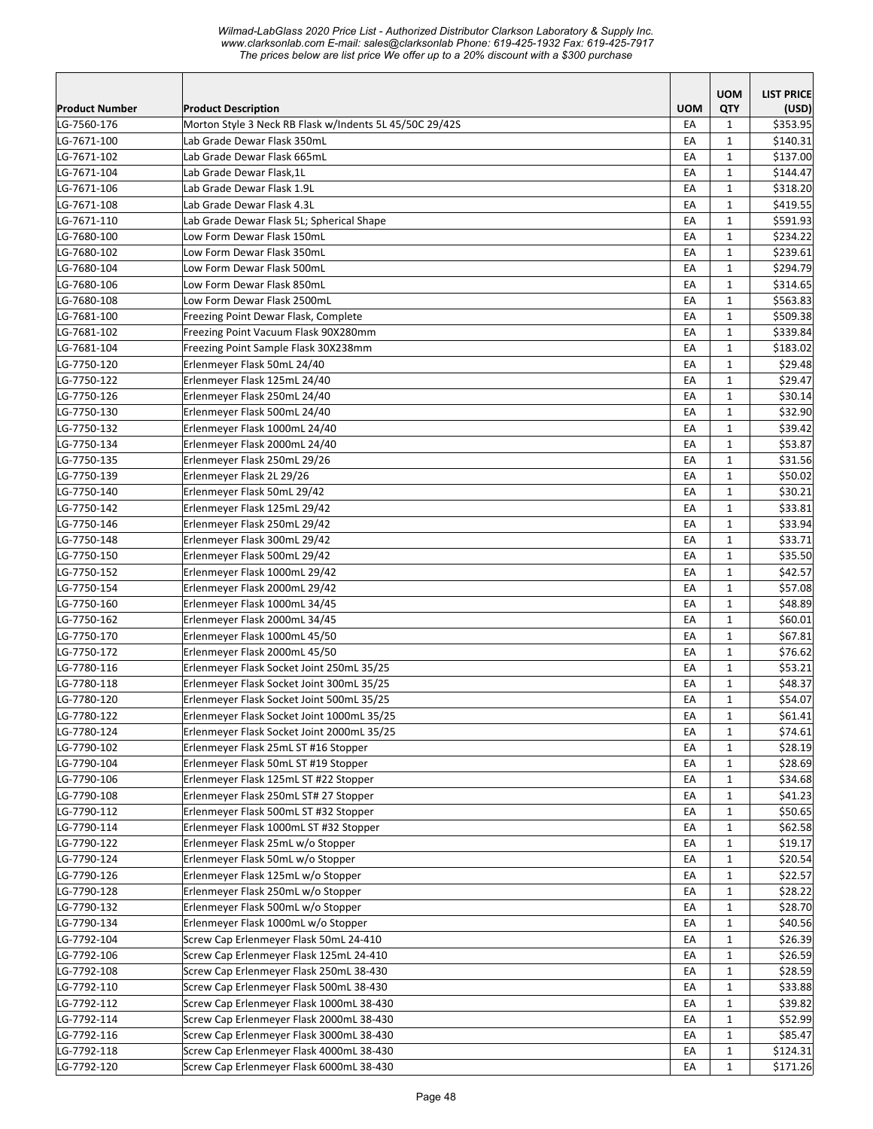|                            |                                                                          |            | <b>UOM</b>   | <b>LIST PRICE</b>  |
|----------------------------|--------------------------------------------------------------------------|------------|--------------|--------------------|
| Product Number             | <b>Product Description</b>                                               | <b>UOM</b> | QTY          | (USD)              |
| LG-7560-176                | Morton Style 3 Neck RB Flask w/Indents 5L 45/50C 29/42S                  | EA         | $\mathbf{1}$ | \$353.95           |
| LG-7671-100                | Lab Grade Dewar Flask 350mL                                              | EА         | $\mathbf{1}$ | \$140.31           |
| LG-7671-102                | Lab Grade Dewar Flask 665mL                                              | EA         | 1            | \$137.00           |
| LG-7671-104                | Lab Grade Dewar Flask, 1L                                                | EA         | $\mathbf{1}$ | \$144.47           |
| LG-7671-106                | Lab Grade Dewar Flask 1.9L                                               | EA         | $\mathbf{1}$ | \$318.20           |
| LG-7671-108                | Lab Grade Dewar Flask 4.3L                                               | EA         | $\mathbf{1}$ | \$419.55           |
| LG-7671-110                | Lab Grade Dewar Flask 5L; Spherical Shape                                | EA         | 1            | \$591.93           |
| LG-7680-100                | Low Form Dewar Flask 150mL                                               | EA         | $\mathbf{1}$ | \$234.22           |
| LG-7680-102                | Low Form Dewar Flask 350mL                                               | EA         | $\mathbf{1}$ | \$239.61           |
| LG-7680-104                | Low Form Dewar Flask 500mL                                               | EA         | $\mathbf{1}$ | \$294.79           |
| LG-7680-106                | Low Form Dewar Flask 850mL                                               | EA         | $\mathbf{1}$ | \$314.65           |
| LG-7680-108                | Low Form Dewar Flask 2500mL                                              | EA         | $\mathbf{1}$ | \$563.83           |
| LG-7681-100                | Freezing Point Dewar Flask, Complete                                     | EA         | 1            | \$509.38           |
| LG-7681-102                | Freezing Point Vacuum Flask 90X280mm                                     | EA         | 1            | \$339.84           |
| LG-7681-104                | Freezing Point Sample Flask 30X238mm                                     | EA         | 1            | \$183.02           |
| LG-7750-120                | Erlenmeyer Flask 50mL 24/40                                              | EA         | $\mathbf{1}$ | \$29.48            |
| LG-7750-122                | Erlenmeyer Flask 125mL 24/40                                             | EA         | $\mathbf{1}$ | \$29.47            |
| LG-7750-126                | Erlenmeyer Flask 250mL 24/40                                             | EA         | $\mathbf{1}$ | \$30.14            |
| LG-7750-130                | Erlenmeyer Flask 500mL 24/40                                             | EA         | $\mathbf{1}$ | \$32.90            |
| LG-7750-132                | Erlenmeyer Flask 1000mL 24/40                                            | EA         | $\mathbf{1}$ | \$39.42            |
| LG-7750-134                | Erlenmeyer Flask 2000mL 24/40                                            | EA         | $\mathbf{1}$ | \$53.87            |
| LG-7750-135                | Erlenmeyer Flask 250mL 29/26                                             | EA         | 1            | \$31.56            |
| LG-7750-139                | Erlenmeyer Flask 2L 29/26                                                | EA         | $\mathbf{1}$ | \$50.02            |
| LG-7750-140                | Erlenmeyer Flask 50mL 29/42                                              | EA         | $\mathbf{1}$ | \$30.21            |
| LG-7750-142                | Erlenmeyer Flask 125mL 29/42                                             | EA         | $\mathbf{1}$ | \$33.81            |
| LG-7750-146                | Erlenmeyer Flask 250mL 29/42                                             | EA         | $\mathbf{1}$ | \$33.94            |
| LG-7750-148                | Erlenmeyer Flask 300mL 29/42                                             | EA         | $\mathbf{1}$ | \$33.71            |
| LG-7750-150                | Erlenmeyer Flask 500mL 29/42                                             | EA         | $\mathbf{1}$ | \$35.50            |
| LG-7750-152                | Erlenmeyer Flask 1000mL 29/42                                            | EA         | 1            | \$42.57            |
| LG-7750-154                | Erlenmeyer Flask 2000mL 29/42                                            | EA         | $\mathbf{1}$ | \$57.08            |
| LG-7750-160                | Erlenmeyer Flask 1000mL 34/45                                            | EA         | $\mathbf{1}$ | \$48.89            |
| LG-7750-162                | Erlenmeyer Flask 2000mL 34/45                                            | EA         | $\mathbf{1}$ | \$60.01            |
| LG-7750-170                | Erlenmeyer Flask 1000mL 45/50                                            | EA         | 1            | \$67.81            |
| LG-7750-172                | Erlenmeyer Flask 2000mL 45/50                                            | EA         | 1            | \$76.62            |
| LG-7780-116                | Erlenmeyer Flask Socket Joint 250mL 35/25                                | EA         | $\mathbf{1}$ | \$53.21            |
| LG-7780-118                | Erlenmeyer Flask Socket Joint 300mL 35/25                                | EA         | $\mathbf{1}$ | \$48.37            |
| LG-7780-120                | Erlenmeyer Flask Socket Joint 500mL 35/25                                | EA         | $\mathbf{1}$ | \$54.07            |
| LG-7780-122                | Erlenmeyer Flask Socket Joint 1000mL 35/25                               | ŁА         | 1            | \$61.41            |
| LG-7780-124                | Erlenmeyer Flask Socket Joint 2000mL 35/25                               | EA         | $\mathbf{1}$ | \$74.61            |
| LG-7790-102                | Erlenmeyer Flask 25mL ST #16 Stopper                                     | EA         | $\mathbf{1}$ | \$28.19            |
| LG-7790-104                | Erlenmeyer Flask 50mL ST #19 Stopper                                     | EA         | $\mathbf{1}$ | \$28.69            |
| LG-7790-106                | Erlenmeyer Flask 125mL ST #22 Stopper                                    | EA         | $\mathbf{1}$ | \$34.68            |
| LG-7790-108                | Erlenmeyer Flask 250mL ST# 27 Stopper                                    | ЕA         | $\mathbf{1}$ | \$41.23            |
| LG-7790-112                | Erlenmeyer Flask 500mL ST #32 Stopper                                    | EA         | $\mathbf{1}$ | \$50.65            |
| LG-7790-114                | Erlenmeyer Flask 1000mL ST #32 Stopper                                   | EA         | $\mathbf{1}$ | \$62.58            |
| LG-7790-122                | Erlenmeyer Flask 25mL w/o Stopper                                        | EA         | $\mathbf{1}$ | \$19.17            |
|                            |                                                                          | EA         |              |                    |
| LG-7790-124                | Erlenmeyer Flask 50mL w/o Stopper                                        |            | $\mathbf{1}$ | \$20.54            |
| LG-7790-126<br>LG-7790-128 | Erlenmeyer Flask 125mL w/o Stopper<br>Erlenmeyer Flask 250mL w/o Stopper | EA         | $\mathbf{1}$ | \$22.57<br>\$28.22 |
|                            |                                                                          | EA         | $\mathbf{1}$ |                    |
| LG-7790-132                | Erlenmeyer Flask 500mL w/o Stopper                                       | EA         | $\mathbf{1}$ | \$28.70            |
| LG-7790-134                | Erlenmeyer Flask 1000mL w/o Stopper                                      | EA         | $\mathbf{1}$ | \$40.56            |
| LG-7792-104                | Screw Cap Erlenmeyer Flask 50mL 24-410                                   | EA         | $\mathbf{1}$ | \$26.39            |
| LG-7792-106                | Screw Cap Erlenmeyer Flask 125mL 24-410                                  | EA         | $\mathbf{1}$ | \$26.59            |
| LG-7792-108                | Screw Cap Erlenmeyer Flask 250mL 38-430                                  | EA         | $\mathbf{1}$ | \$28.59            |
| LG-7792-110                | Screw Cap Erlenmeyer Flask 500mL 38-430                                  | EA         | $\mathbf{1}$ | \$33.88            |
| LG-7792-112                | Screw Cap Erlenmeyer Flask 1000mL 38-430                                 | EA         | $\mathbf{1}$ | \$39.82            |
| LG-7792-114                | Screw Cap Erlenmeyer Flask 2000mL 38-430                                 | EA         | $\mathbf{1}$ | \$52.99            |
| LG-7792-116                | Screw Cap Erlenmeyer Flask 3000mL 38-430                                 | EA         | $\mathbf{1}$ | \$85.47            |
| LG-7792-118                | Screw Cap Erlenmeyer Flask 4000mL 38-430                                 | EA         | $\mathbf{1}$ | \$124.31           |
| LG-7792-120                | Screw Cap Erlenmeyer Flask 6000mL 38-430                                 | EA         | $\mathbf{1}$ | \$171.26           |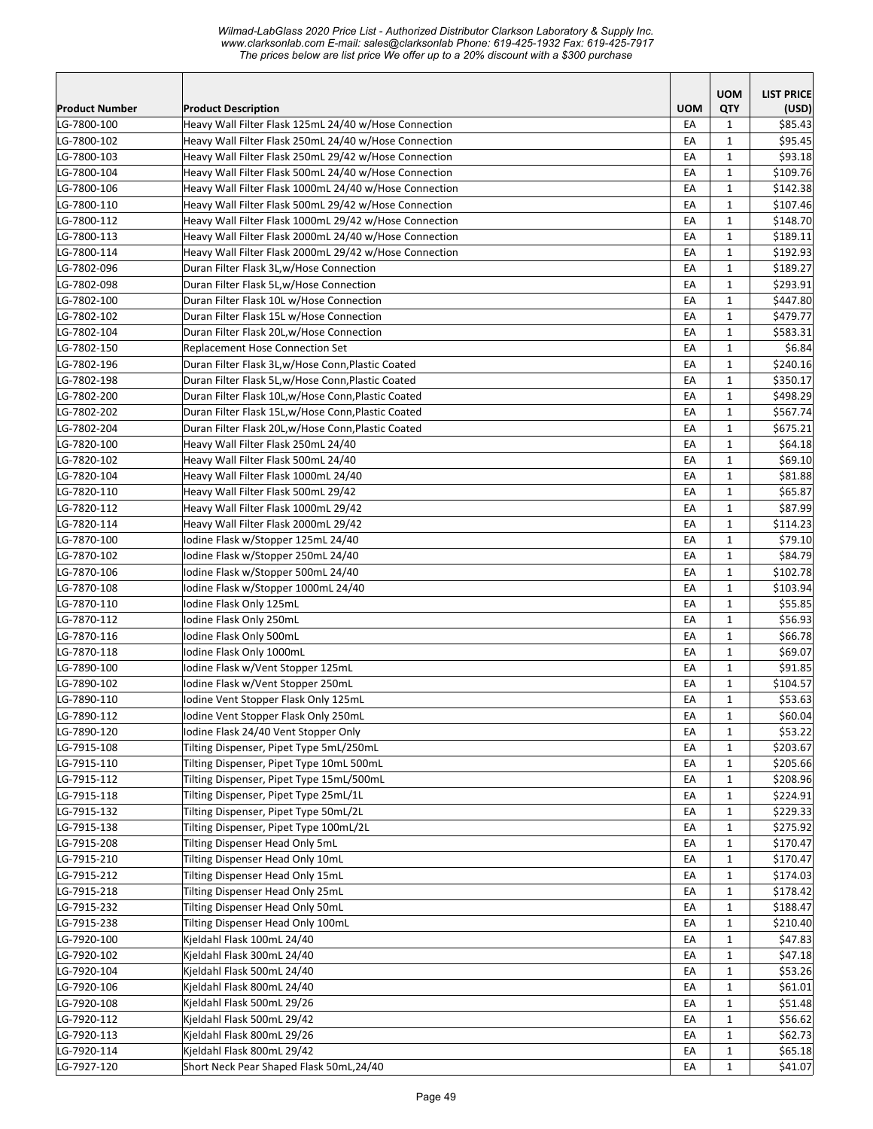|                            |                                                                                                                |            | <b>UOM</b>                 | <b>LIST PRICE</b>  |
|----------------------------|----------------------------------------------------------------------------------------------------------------|------------|----------------------------|--------------------|
| <b>Product Number</b>      | <b>Product Description</b>                                                                                     | <b>UOM</b> | QTY                        | (USD)              |
| LG-7800-100                | Heavy Wall Filter Flask 125mL 24/40 w/Hose Connection<br>Heavy Wall Filter Flask 250mL 24/40 w/Hose Connection | EA         | 1                          | \$85.43<br>\$95.45 |
| LG-7800-102<br>LG-7800-103 | Heavy Wall Filter Flask 250mL 29/42 w/Hose Connection                                                          | EA<br>EA   | 1<br>1                     | \$93.18            |
| LG-7800-104                | Heavy Wall Filter Flask 500mL 24/40 w/Hose Connection                                                          | EA         | 1                          | \$109.76           |
| LG-7800-106                | Heavy Wall Filter Flask 1000mL 24/40 w/Hose Connection                                                         | EA         | $\mathbf{1}$               | \$142.38           |
| LG-7800-110                | Heavy Wall Filter Flask 500mL 29/42 w/Hose Connection                                                          | EA         | 1                          | \$107.46           |
| LG-7800-112                | Heavy Wall Filter Flask 1000mL 29/42 w/Hose Connection                                                         | EA         | $\mathbf{1}$               | \$148.70           |
| LG-7800-113                | Heavy Wall Filter Flask 2000mL 24/40 w/Hose Connection                                                         | EA         | $\mathbf 1$                | \$189.11           |
| LG-7800-114                | Heavy Wall Filter Flask 2000mL 29/42 w/Hose Connection                                                         | EA         | $1\,$                      | \$192.93           |
| LG-7802-096                | Duran Filter Flask 3L,w/Hose Connection                                                                        | EA         | $\mathbf 1$                | \$189.27           |
| LG-7802-098                | Duran Filter Flask 5L,w/Hose Connection                                                                        | EA         | 1                          | \$293.91           |
| LG-7802-100                | Duran Filter Flask 10L w/Hose Connection                                                                       | EA         | $\mathbf 1$                | \$447.80           |
| LG-7802-102                | Duran Filter Flask 15L w/Hose Connection                                                                       | EA         | $\mathbf{1}$               | \$479.77           |
| LG-7802-104                | Duran Filter Flask 20L,w/Hose Connection                                                                       | EA         | 1                          | \$583.31           |
| LG-7802-150                | Replacement Hose Connection Set                                                                                | EA         | $\mathbf 1$                | \$6.84             |
| LG-7802-196                | Duran Filter Flask 3L,w/Hose Conn, Plastic Coated                                                              | EA         | $\mathbf 1$                | \$240.16           |
| LG-7802-198                | Duran Filter Flask 5L,w/Hose Conn, Plastic Coated                                                              | EA         | 1                          | \$350.17           |
| LG-7802-200                | Duran Filter Flask 10L,w/Hose Conn, Plastic Coated                                                             | EA         | 1                          | \$498.29           |
| LG-7802-202                | Duran Filter Flask 15L,w/Hose Conn, Plastic Coated                                                             | EA         | $\mathbf 1$                | \$567.74           |
| LG-7802-204                | Duran Filter Flask 20L,w/Hose Conn, Plastic Coated                                                             | EA         | $\mathbf 1$                | \$675.21           |
| LG-7820-100                | Heavy Wall Filter Flask 250mL 24/40                                                                            | EA         | 1                          | \$64.18            |
| LG-7820-102                | Heavy Wall Filter Flask 500mL 24/40                                                                            | EA         | $\mathbf{1}$               | \$69.10            |
| LG-7820-104                | Heavy Wall Filter Flask 1000mL 24/40                                                                           | EA         | $\mathbf 1$                | \$81.88            |
| LG-7820-110                | Heavy Wall Filter Flask 500mL 29/42                                                                            | EA         | $\mathbf 1$                | \$65.87            |
| LG-7820-112                | Heavy Wall Filter Flask 1000mL 29/42                                                                           | EA         | $\mathbf 1$                | \$87.99            |
| LG-7820-114                | Heavy Wall Filter Flask 2000mL 29/42                                                                           | EA         | 1                          | \$114.23           |
| LG-7870-100                | lodine Flask w/Stopper 125mL 24/40                                                                             | EA         | 1                          | \$79.10            |
| LG-7870-102                | Iodine Flask w/Stopper 250mL 24/40                                                                             | EA         | 1                          | \$84.79            |
| LG-7870-106                | Iodine Flask w/Stopper 500mL 24/40                                                                             | EA         | 1                          | \$102.78           |
| LG-7870-108                | Iodine Flask w/Stopper 1000mL 24/40                                                                            | EA         | 1                          | \$103.94           |
| LG-7870-110                | Iodine Flask Only 125mL                                                                                        | EA         | $\mathbf{1}$               | \$55.85            |
| LG-7870-112                | Iodine Flask Only 250mL                                                                                        | EA         | 1                          | \$56.93            |
| LG-7870-116                | Iodine Flask Only 500mL                                                                                        | EA         | 1                          | \$66.78            |
| LG-7870-118                | Iodine Flask Only 1000mL                                                                                       | EA         | 1                          | \$69.07            |
| LG-7890-100                | Iodine Flask w/Vent Stopper 125mL                                                                              | EA         | $\mathbf{1}$               | \$91.85            |
| LG-7890-102                | Iodine Flask w/Vent Stopper 250mL                                                                              | EA         | 1                          | \$104.57           |
| LG-7890-110                | Iodine Vent Stopper Flask Only 125mL                                                                           | EA         | $\mathbf{1}$               | \$53.63            |
| LG-7890-112                | Iodine Vent Stopper Flask Only 250mL                                                                           | EA         | $\mathbf 1$                | \$60.04            |
| LG-7890-120                | Iodine Flask 24/40 Vent Stopper Only                                                                           | EA         | $\mathbf{1}$               | \$53.22            |
| LG-7915-108                | Tilting Dispenser, Pipet Type 5mL/250mL                                                                        | EA         | 1                          | \$203.67           |
| LG-7915-110                | Tilting Dispenser, Pipet Type 10mL 500mL                                                                       | EA         | 1                          | \$205.66           |
| LG-7915-112                | Tilting Dispenser, Pipet Type 15mL/500mL                                                                       | EA         | 1                          | \$208.96           |
| LG-7915-118                | Tilting Dispenser, Pipet Type 25mL/1L                                                                          | EA         | 1                          | \$224.91           |
| LG-7915-132                | Tilting Dispenser, Pipet Type 50mL/2L                                                                          | EA         | 1                          | \$229.33           |
| LG-7915-138                | Tilting Dispenser, Pipet Type 100mL/2L                                                                         | EA         | 1                          | \$275.92           |
| LG-7915-208                | Tilting Dispenser Head Only 5mL                                                                                | EA         | $\mathbf 1$                | \$170.47           |
| LG-7915-210                | Tilting Dispenser Head Only 10mL                                                                               | EA         | 1                          | \$170.47           |
| LG-7915-212                | Tilting Dispenser Head Only 15mL                                                                               | EA         | $\mathbf 1$                | \$174.03           |
| LG-7915-218                | Tilting Dispenser Head Only 25mL                                                                               | EA         | 1                          | \$178.42           |
| LG-7915-232                | Tilting Dispenser Head Only 50mL                                                                               | EA         | 1                          | \$188.47           |
| LG-7915-238                | Tilting Dispenser Head Only 100mL                                                                              | EA         | 1                          | \$210.40           |
| LG-7920-100                | Kjeldahl Flask 100mL 24/40<br>Kjeldahl Flask 300mL 24/40                                                       | EA         | 1<br>$\mathbf 1$           | \$47.83<br>\$47.18 |
| LG-7920-102<br>LG-7920-104 | Kjeldahl Flask 500mL 24/40                                                                                     | EA         |                            | \$53.26            |
| LG-7920-106                | Kjeldahl Flask 800mL 24/40                                                                                     | EA<br>EA   | $\mathbf 1$<br>$\mathbf 1$ | \$61.01            |
| LG-7920-108                | Kjeldahl Flask 500mL 29/26                                                                                     | EA         | 1                          | \$51.48            |
| LG-7920-112                | Kjeldahl Flask 500mL 29/42                                                                                     | EA         | 1                          | \$56.62            |
| LG-7920-113                | Kjeldahl Flask 800mL 29/26                                                                                     | EA         | 1                          | \$62.73            |
| LG-7920-114                | Kjeldahl Flask 800mL 29/42                                                                                     | EA         | 1                          | \$65.18            |
| LG-7927-120                | Short Neck Pear Shaped Flask 50mL,24/40                                                                        | EA         | 1                          | \$41.07            |
|                            |                                                                                                                |            |                            |                    |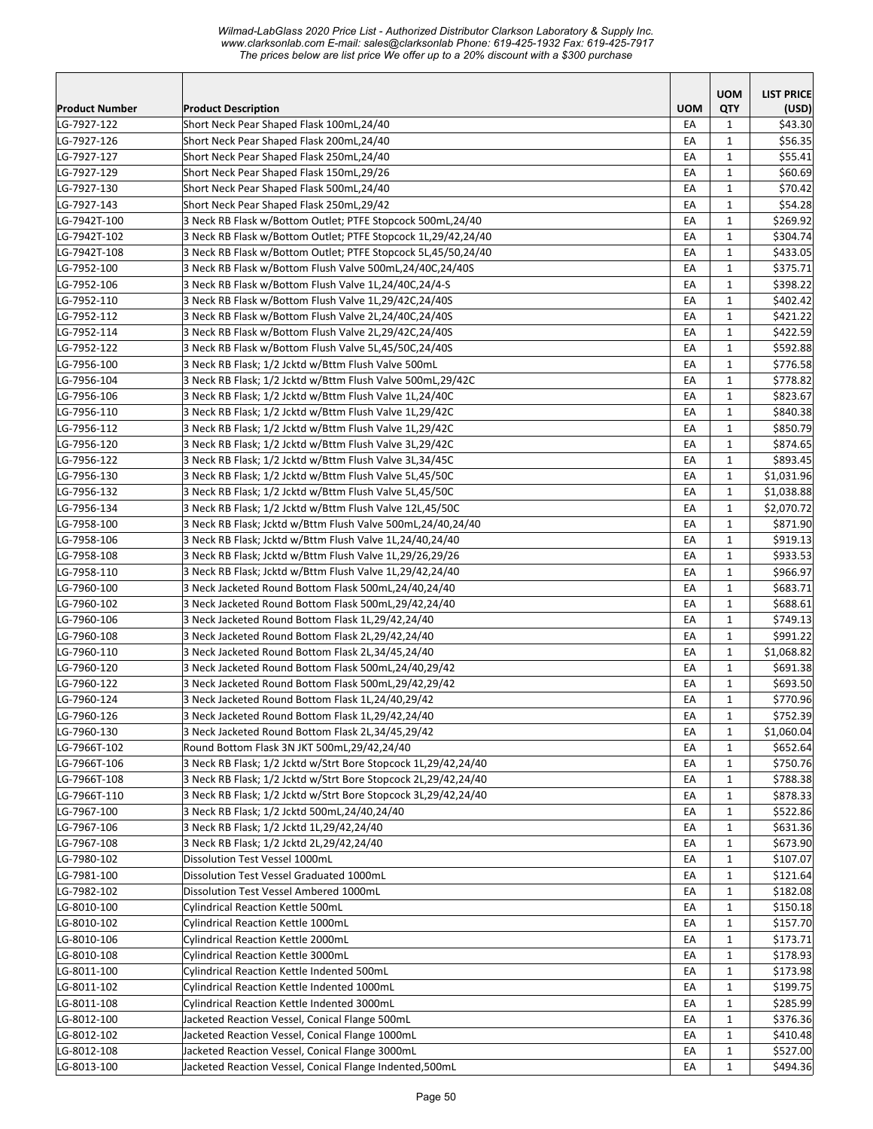*Wilmad-LabGlass 2020 Price List - Authorized Distributor Clarkson Laboratory & Supply Inc. www.clarksonlab.com E-mail: sales@clarksonlab Phone: 619-425-1932 Fax: 619-425-7917 The prices below are list price We offer up to a 20% discount with a \$300 purchase* 

|                       |                                                                |            | <b>UOM</b>   | <b>LIST PRICE</b> |
|-----------------------|----------------------------------------------------------------|------------|--------------|-------------------|
| <b>Product Number</b> | <b>Product Description</b>                                     | <b>UOM</b> | QTY          | (USD)             |
| LG-7927-122           | Short Neck Pear Shaped Flask 100mL,24/40                       | EA         | 1            | \$43.30           |
| LG-7927-126           | Short Neck Pear Shaped Flask 200mL,24/40                       | EA         | 1            | \$56.35           |
| LG-7927-127           | Short Neck Pear Shaped Flask 250mL,24/40                       | EA         | 1            | \$55.41           |
| LG-7927-129           | Short Neck Pear Shaped Flask 150mL,29/26                       | EA         | 1            | \$60.69           |
| LG-7927-130           | Short Neck Pear Shaped Flask 500mL,24/40                       | EA         | $\mathbf{1}$ | \$70.42           |
| LG-7927-143           | Short Neck Pear Shaped Flask 250mL,29/42                       | EA         | $\mathbf{1}$ | \$54.28           |
| LG-7942T-100          | 3 Neck RB Flask w/Bottom Outlet; PTFE Stopcock 500mL,24/40     | EA         | $\mathbf{1}$ | \$269.92          |
| LG-7942T-102          | 3 Neck RB Flask w/Bottom Outlet; PTFE Stopcock 1L,29/42,24/40  | EA         | $\mathbf{1}$ | \$304.74          |
| LG-7942T-108          | 3 Neck RB Flask w/Bottom Outlet; PTFE Stopcock 5L,45/50,24/40  | EA         | $\mathbf{1}$ | \$433.05          |
| LG-7952-100           | 3 Neck RB Flask w/Bottom Flush Valve 500mL,24/40C,24/40S       | EA         | $\mathbf{1}$ | \$375.71          |
| LG-7952-106           | 3 Neck RB Flask w/Bottom Flush Valve 1L,24/40C,24/4-S          | EA         | $\mathbf{1}$ | \$398.22          |
| LG-7952-110           | 3 Neck RB Flask w/Bottom Flush Valve 1L,29/42C,24/40S          | EA         | $\mathbf{1}$ | \$402.42          |
| LG-7952-112           | 3 Neck RB Flask w/Bottom Flush Valve 2L,24/40C,24/40S          | EA         | $\mathbf{1}$ | \$421.22          |
| LG-7952-114           | 3 Neck RB Flask w/Bottom Flush Valve 2L,29/42C,24/40S          | EA         | $\mathbf{1}$ | \$422.59          |
| LG-7952-122           | 3 Neck RB Flask w/Bottom Flush Valve 5L,45/50C,24/40S          | EA         | 1            | \$592.88          |
| LG-7956-100           | 3 Neck RB Flask; 1/2 Jcktd w/Bttm Flush Valve 500mL            | EA         | 1            | \$776.58          |
| LG-7956-104           | 3 Neck RB Flask; 1/2 Jcktd w/Bttm Flush Valve 500mL,29/42C     | EA         | $\mathbf{1}$ | \$778.82          |
| LG-7956-106           | 3 Neck RB Flask; 1/2 Jcktd w/Bttm Flush Valve 1L,24/40C        | EA         | 1            | \$823.67          |
| LG-7956-110           | 3 Neck RB Flask; 1/2 Jcktd w/Bttm Flush Valve 1L,29/42C        | EA         | 1            | \$840.38          |
| LG-7956-112           | 3 Neck RB Flask; 1/2 Jcktd w/Bttm Flush Valve 1L,29/42C        | EA         | $\mathbf{1}$ | \$850.79          |
| LG-7956-120           | 3 Neck RB Flask; 1/2 Jcktd w/Bttm Flush Valve 3L,29/42C        | EA         | $\mathbf{1}$ | \$874.65          |
| LG-7956-122           | 3 Neck RB Flask; 1/2 Jcktd w/Bttm Flush Valve 3L,34/45C        | EA         | $\mathbf{1}$ | \$893.45          |
| LG-7956-130           | 3 Neck RB Flask; 1/2 Jcktd w/Bttm Flush Valve 5L,45/50C        | EA         | $\mathbf{1}$ | \$1,031.96        |
| LG-7956-132           | 3 Neck RB Flask; 1/2 Jcktd w/Bttm Flush Valve 5L,45/50C        | EA         | $\mathbf{1}$ | \$1,038.88        |
| LG-7956-134           | 3 Neck RB Flask; 1/2 Jcktd w/Bttm Flush Valve 12L,45/50C       | EA         | $\mathbf{1}$ | \$2,070.72        |
| LG-7958-100           | 3 Neck RB Flask; Jcktd w/Bttm Flush Valve 500mL,24/40,24/40    | EA         | $\mathbf{1}$ | \$871.90          |
| LG-7958-106           | 3 Neck RB Flask; Jcktd w/Bttm Flush Valve 1L,24/40,24/40       | EA         | 1            | \$919.13          |
| LG-7958-108           | 3 Neck RB Flask; Jcktd w/Bttm Flush Valve 1L,29/26,29/26       | EA         | $\mathbf{1}$ | \$933.53          |
| LG-7958-110           | 3 Neck RB Flask; Jcktd w/Bttm Flush Valve 1L,29/42,24/40       | EA         | $\mathbf{1}$ | \$966.97          |
| LG-7960-100           | 3 Neck Jacketed Round Bottom Flask 500mL,24/40,24/40           | EA         | 1            | \$683.71          |
| LG-7960-102           | 3 Neck Jacketed Round Bottom Flask 500mL,29/42,24/40           | EA         | $\mathbf{1}$ | \$688.61          |
| LG-7960-106           | 3 Neck Jacketed Round Bottom Flask 1L,29/42,24/40              | EA         | $\mathbf{1}$ | \$749.13          |
| LG-7960-108           | 3 Neck Jacketed Round Bottom Flask 2L,29/42,24/40              | EА         | 1            | \$991.22          |
| LG-7960-110           | 3 Neck Jacketed Round Bottom Flask 2L,34/45,24/40              | EA         | $\mathbf{1}$ | \$1,068.82        |
| LG-7960-120           | 3 Neck Jacketed Round Bottom Flask 500mL,24/40,29/42           | EA         | $\mathbf{1}$ | \$691.38          |
| LG-7960-122           | 3 Neck Jacketed Round Bottom Flask 500mL,29/42,29/42           | EA         | $\mathbf{1}$ | \$693.50          |
| LG-7960-124           | 3 Neck Jacketed Round Bottom Flask 1L,24/40,29/42              | EA         | $\mathbf{1}$ | \$770.96          |
| LG-7960-126           | 3 Neck Jacketed Round Bottom Flask 1L,29/42,24/40              | EA         | $\mathbf{1}$ | \$752.39          |
| LG-7960-130           | 3 Neck Jacketed Round Bottom Flask 2L,34/45,29/42              | EA         | $\mathbf{1}$ | \$1,060.04        |
| LG-7966T-102          | Round Bottom Flask 3N JKT 500mL,29/42,24/40                    | EA         | 1            | \$652.64          |
| LG-7966T-106          | 3 Neck RB Flask; 1/2 Jcktd w/Strt Bore Stopcock 1L,29/42,24/40 | EA         | 1            | \$750.76          |
| LG-7966T-108          | 3 Neck RB Flask; 1/2 Jcktd w/Strt Bore Stopcock 2L,29/42,24/40 | EA         | 1            | \$788.38          |
| LG-7966T-110          | 3 Neck RB Flask; 1/2 Jcktd w/Strt Bore Stopcock 3L,29/42,24/40 | EA         | $\mathbf{1}$ | \$878.33          |
| LG-7967-100           | 3 Neck RB Flask; 1/2 Jcktd 500mL,24/40,24/40                   | EA         | $\mathbf 1$  | \$522.86          |
| LG-7967-106           | 3 Neck RB Flask; 1/2 Jcktd 1L,29/42,24/40                      | EA         | $\mathbf{1}$ | \$631.36          |
| LG-7967-108           | 3 Neck RB Flask; 1/2 Jcktd 2L, 29/42, 24/40                    | EA         | $\mathbf{1}$ | \$673.90          |
| LG-7980-102           | Dissolution Test Vessel 1000mL                                 | EA         | $\mathbf{1}$ | \$107.07          |
| LG-7981-100           | Dissolution Test Vessel Graduated 1000mL                       | EA         | 1            | \$121.64          |
| LG-7982-102           | Dissolution Test Vessel Ambered 1000mL                         | EA         | 1            | \$182.08          |
| LG-8010-100           | Cylindrical Reaction Kettle 500mL                              | EA         | 1            | \$150.18          |
| LG-8010-102           | Cylindrical Reaction Kettle 1000mL                             | EA         | $\mathbf{1}$ | \$157.70          |
| LG-8010-106           | Cylindrical Reaction Kettle 2000mL                             | EA         | $\mathbf{1}$ | \$173.71          |
| LG-8010-108           | Cylindrical Reaction Kettle 3000mL                             | EA         | $\mathbf{1}$ | \$178.93          |
| LG-8011-100           | Cylindrical Reaction Kettle Indented 500mL                     | EA         | $\mathbf{1}$ | \$173.98          |
| LG-8011-102           | Cylindrical Reaction Kettle Indented 1000mL                    | EA         | $\mathbf{1}$ | \$199.75          |
| LG-8011-108           | Cylindrical Reaction Kettle Indented 3000mL                    | EA         | 1            | \$285.99          |
| LG-8012-100           | Jacketed Reaction Vessel, Conical Flange 500mL                 | EA         | 1            | \$376.36          |
| LG-8012-102           | Jacketed Reaction Vessel, Conical Flange 1000mL                | EA         | $\mathbf{1}$ | \$410.48          |
| LG-8012-108           | Jacketed Reaction Vessel, Conical Flange 3000mL                | EA         | $\mathbf 1$  | \$527.00          |
| LG-8013-100           | Jacketed Reaction Vessel, Conical Flange Indented,500mL        | EA         | $\mathbf{1}$ | \$494.36          |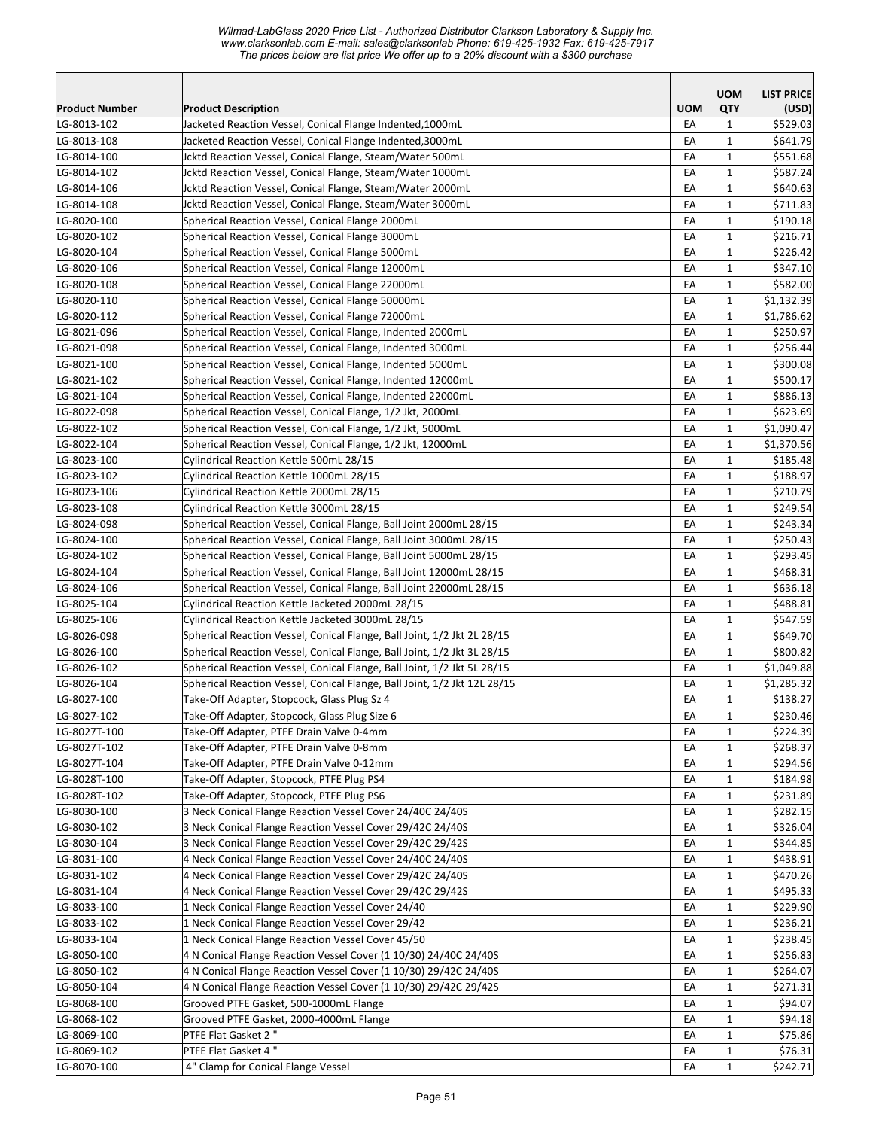|                |                                                                          |            | <b>UOM</b>   | <b>LIST PRICE</b> |
|----------------|--------------------------------------------------------------------------|------------|--------------|-------------------|
| Product Number | <b>Product Description</b>                                               | <b>UOM</b> | QTY          | (USD)             |
| LG-8013-102    | Jacketed Reaction Vessel, Conical Flange Indented, 1000mL                | EA         | 1            | \$529.03          |
| LG-8013-108    | Jacketed Reaction Vessel, Conical Flange Indented, 3000mL                | EA         | 1            | \$641.79          |
| LG-8014-100    | Jcktd Reaction Vessel, Conical Flange, Steam/Water 500mL                 | EA         | $\mathbf{1}$ | \$551.68          |
| LG-8014-102    | Jcktd Reaction Vessel, Conical Flange, Steam/Water 1000mL                | EA         | $\mathbf{1}$ | \$587.24          |
| LG-8014-106    | Jcktd Reaction Vessel, Conical Flange, Steam/Water 2000mL                | EA         | $\mathbf{1}$ | \$640.63          |
| LG-8014-108    | Jcktd Reaction Vessel, Conical Flange, Steam/Water 3000mL                | EA         | 1            | \$711.83          |
| LG-8020-100    | Spherical Reaction Vessel, Conical Flange 2000mL                         | EA         | $\mathbf{1}$ | \$190.18          |
| LG-8020-102    | Spherical Reaction Vessel, Conical Flange 3000mL                         | EA         | $\mathbf 1$  | \$216.71          |
| LG-8020-104    | Spherical Reaction Vessel, Conical Flange 5000mL                         | EA         | $\mathbf{1}$ | \$226.42          |
| LG-8020-106    | Spherical Reaction Vessel, Conical Flange 12000mL                        | EA         | $\mathbf{1}$ | \$347.10          |
| LG-8020-108    | Spherical Reaction Vessel, Conical Flange 22000mL                        | EA         | $\mathbf{1}$ | \$582.00          |
| LG-8020-110    | Spherical Reaction Vessel, Conical Flange 50000mL                        | EA         | $\mathbf 1$  | \$1,132.39        |
| LG-8020-112    | Spherical Reaction Vessel, Conical Flange 72000mL                        | EA         | 1            | \$1,786.62        |
| LG-8021-096    | Spherical Reaction Vessel, Conical Flange, Indented 2000mL               | EA         | $\mathbf{1}$ | \$250.97          |
| LG-8021-098    | Spherical Reaction Vessel, Conical Flange, Indented 3000mL               | EA         | $\mathbf{1}$ | \$256.44          |
| LG-8021-100    | Spherical Reaction Vessel, Conical Flange, Indented 5000mL               | EA         | $\mathbf{1}$ | \$300.08          |
| LG-8021-102    | Spherical Reaction Vessel, Conical Flange, Indented 12000mL              | EA         | $\mathbf{1}$ | \$500.17          |
| LG-8021-104    | Spherical Reaction Vessel, Conical Flange, Indented 22000mL              | EA         | $\mathbf{1}$ | \$886.13          |
| LG-8022-098    | Spherical Reaction Vessel, Conical Flange, 1/2 Jkt, 2000mL               | EA         | $\mathbf{1}$ | \$623.69          |
| LG-8022-102    | Spherical Reaction Vessel, Conical Flange, 1/2 Jkt, 5000mL               | EA         | $\mathbf{1}$ | \$1,090.47        |
| LG-8022-104    | Spherical Reaction Vessel, Conical Flange, 1/2 Jkt, 12000mL              | EA         | 1            | \$1,370.56        |
| LG-8023-100    | Cylindrical Reaction Kettle 500mL 28/15                                  | EA         | $\mathbf{1}$ | \$185.48          |
| LG-8023-102    | Cylindrical Reaction Kettle 1000mL 28/15                                 | EA         | $\mathbf{1}$ | \$188.97          |
| LG-8023-106    | Cylindrical Reaction Kettle 2000mL 28/15                                 | EA         | $\mathbf{1}$ | \$210.79          |
| LG-8023-108    | Cylindrical Reaction Kettle 3000mL 28/15                                 | EA         | $\mathbf{1}$ | \$249.54          |
| LG-8024-098    | Spherical Reaction Vessel, Conical Flange, Ball Joint 2000mL 28/15       | EA         | $\mathbf{1}$ | \$243.34          |
| LG-8024-100    | Spherical Reaction Vessel, Conical Flange, Ball Joint 3000mL 28/15       | EA         | $\mathbf{1}$ | \$250.43          |
| LG-8024-102    | Spherical Reaction Vessel, Conical Flange, Ball Joint 5000mL 28/15       | EA         | 1            | \$293.45          |
| LG-8024-104    | Spherical Reaction Vessel, Conical Flange, Ball Joint 12000mL 28/15      | EA         | $\mathbf{1}$ | \$468.31          |
| LG-8024-106    | Spherical Reaction Vessel, Conical Flange, Ball Joint 22000mL 28/15      | EA         | $\mathbf{1}$ | \$636.18          |
| LG-8025-104    | Cylindrical Reaction Kettle Jacketed 2000mL 28/15                        | EA         | $\mathbf{1}$ | \$488.81          |
| LG-8025-106    | Cylindrical Reaction Kettle Jacketed 3000mL 28/15                        | EA         | $\mathbf{1}$ | \$547.59          |
| LG-8026-098    | Spherical Reaction Vessel, Conical Flange, Ball Joint, 1/2 Jkt 2L 28/15  | EA         | $\mathbf{1}$ | \$649.70          |
| LG-8026-100    | Spherical Reaction Vessel, Conical Flange, Ball Joint, 1/2 Jkt 3L 28/15  | EA         | $\mathbf{1}$ | \$800.82          |
| LG-8026-102    | Spherical Reaction Vessel, Conical Flange, Ball Joint, 1/2 Jkt 5L 28/15  | EA         | $\mathbf{1}$ | \$1,049.88        |
| LG-8026-104    | Spherical Reaction Vessel, Conical Flange, Ball Joint, 1/2 Jkt 12L 28/15 | EA         | $\mathbf{1}$ | \$1,285.32        |
| LG-8027-100    | Take-Off Adapter, Stopcock, Glass Plug Sz 4                              | EA         | $\mathbf 1$  | \$138.27          |
| LG-8027-102    | Take-Off Adapter, Stopcock, Glass Plug Size 6                            | EA         | $\mathbf 1$  | \$230.46          |
| LG-8027T-100   | Take-Off Adapter, PTFE Drain Valve 0-4mm                                 | EA         | 1            | \$224.39          |
| LG-8027T-102   | Take-Off Adapter, PTFE Drain Valve 0-8mm                                 | EA         | 1            | \$268.37          |
| LG-8027T-104   | Take-Off Adapter, PTFE Drain Valve 0-12mm                                | EA         | $\mathbf{1}$ | \$294.56          |
| LG-8028T-100   | Take-Off Adapter, Stopcock, PTFE Plug PS4                                | EA         | $\mathbf 1$  | \$184.98          |
| LG-8028T-102   | Take-Off Adapter, Stopcock, PTFE Plug PS6                                | EA         | 1            | \$231.89          |
| LG-8030-100    | 3 Neck Conical Flange Reaction Vessel Cover 24/40C 24/40S                | EA         | $\mathbf 1$  | \$282.15          |
| LG-8030-102    | 3 Neck Conical Flange Reaction Vessel Cover 29/42C 24/40S                | EA         | $\mathbf{1}$ | \$326.04          |
| LG-8030-104    | 3 Neck Conical Flange Reaction Vessel Cover 29/42C 29/42S                | EA         | $\mathbf{1}$ | \$344.85          |
| LG-8031-100    | 4 Neck Conical Flange Reaction Vessel Cover 24/40C 24/40S                | EA         | $\mathbf{1}$ | \$438.91          |
| LG-8031-102    | 4 Neck Conical Flange Reaction Vessel Cover 29/42C 24/40S                | EA         | $\mathbf{1}$ | \$470.26          |
| LG-8031-104    | 4 Neck Conical Flange Reaction Vessel Cover 29/42C 29/42S                | EA         | $\mathbf{1}$ | \$495.33          |
| LG-8033-100    | 1 Neck Conical Flange Reaction Vessel Cover 24/40                        | EA         | 1            | \$229.90          |
| LG-8033-102    | 1 Neck Conical Flange Reaction Vessel Cover 29/42                        | EA         | $\mathbf 1$  | \$236.21          |
| LG-8033-104    | 1 Neck Conical Flange Reaction Vessel Cover 45/50                        | EA         | $\mathbf{1}$ | \$238.45          |
| LG-8050-100    | 4 N Conical Flange Reaction Vessel Cover (1 10/30) 24/40C 24/40S         | EA         | $\mathbf{1}$ | \$256.83          |
| LG-8050-102    | 4 N Conical Flange Reaction Vessel Cover (1 10/30) 29/42C 24/40S         | EA         | $\mathbf{1}$ | \$264.07          |
| LG-8050-104    | 4 N Conical Flange Reaction Vessel Cover (1 10/30) 29/42C 29/42S         | EA         | $\mathbf{1}$ | \$271.31          |
| LG-8068-100    | Grooved PTFE Gasket, 500-1000mL Flange                                   | EA         | $\mathbf{1}$ | \$94.07           |
| LG-8068-102    | Grooved PTFE Gasket, 2000-4000mL Flange                                  | EA         | $\mathbf{1}$ | \$94.18           |
| LG-8069-100    | PTFE Flat Gasket 2"                                                      | EA         | 1            | \$75.86           |
| LG-8069-102    | PTFE Flat Gasket 4"                                                      | EA         | $\mathbf{1}$ | \$76.31           |
| LG-8070-100    | 4" Clamp for Conical Flange Vessel                                       | EA         | $\mathbf{1}$ | \$242.71          |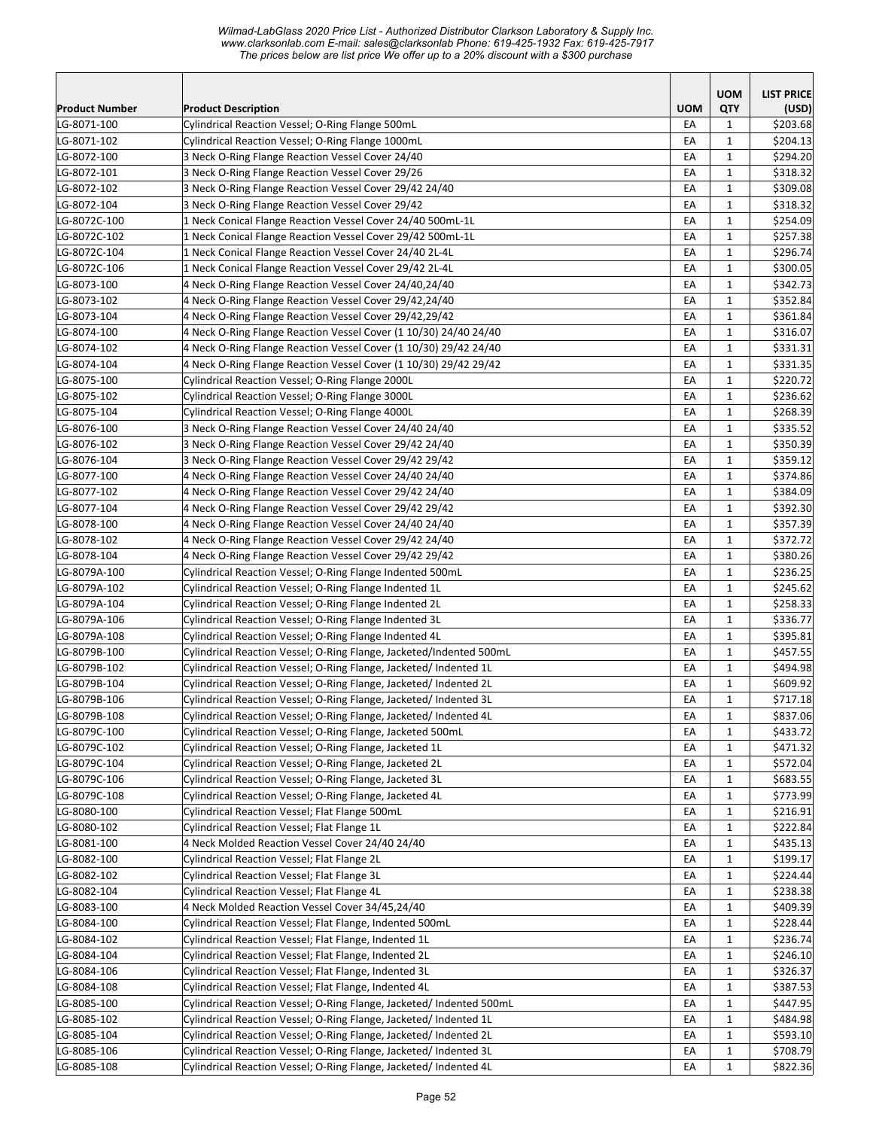*Wilmad-LabGlass 2020 Price List - Authorized Distributor Clarkson Laboratory & Supply Inc. www.clarksonlab.com E-mail: sales@clarksonlab Phone: 619-425-1932 Fax: 619-425-7917 The prices below are list price We offer up to a 20% discount with a \$300 purchase* 

|                            |                                                                                                                                        |            | <b>UOM</b>                   | <b>LIST PRICE</b>    |
|----------------------------|----------------------------------------------------------------------------------------------------------------------------------------|------------|------------------------------|----------------------|
| <b>Product Number</b>      | <b>Product Description</b>                                                                                                             | <b>UOM</b> | QTY                          | (USD)                |
| LG-8071-100                | Cylindrical Reaction Vessel; O-Ring Flange 500mL                                                                                       | EA         | 1                            | \$203.68             |
| LG-8071-102                | Cylindrical Reaction Vessel; O-Ring Flange 1000mL                                                                                      | EA         | $\mathbf{1}$                 | \$204.13             |
| LG-8072-100                | 3 Neck O-Ring Flange Reaction Vessel Cover 24/40                                                                                       | EA         | 1                            | \$294.20             |
| LG-8072-101                | 3 Neck O-Ring Flange Reaction Vessel Cover 29/26                                                                                       | EA         | $\mathbf{1}$                 | \$318.32             |
| LG-8072-102                | 3 Neck O-Ring Flange Reaction Vessel Cover 29/42 24/40                                                                                 | EA         | $\mathbf{1}$                 | \$309.08             |
| LG-8072-104                | 3 Neck O-Ring Flange Reaction Vessel Cover 29/42                                                                                       | EA         | $\mathbf{1}$                 | \$318.32             |
| LG-8072C-100               | 1 Neck Conical Flange Reaction Vessel Cover 24/40 500mL-1L                                                                             | EA         | $\mathbf{1}$                 | \$254.09             |
| LG-8072C-102               | 1 Neck Conical Flange Reaction Vessel Cover 29/42 500mL-1L                                                                             | EA         | 1                            | \$257.38             |
| LG-8072C-104               | 1 Neck Conical Flange Reaction Vessel Cover 24/40 2L-4L                                                                                | EA         | $\mathbf{1}$                 | \$296.74             |
| LG-8072C-106               | 1 Neck Conical Flange Reaction Vessel Cover 29/42 2L-4L                                                                                | EA         | $\mathbf{1}$                 | \$300.05             |
| LG-8073-100                | 4 Neck O-Ring Flange Reaction Vessel Cover 24/40,24/40                                                                                 | EA         | 1                            | \$342.73             |
| LG-8073-102                | 4 Neck O-Ring Flange Reaction Vessel Cover 29/42,24/40                                                                                 | EA         | $\mathbf{1}$                 | \$352.84             |
| LG-8073-104                | 4 Neck O-Ring Flange Reaction Vessel Cover 29/42,29/42                                                                                 | EA         | $\mathbf{1}$                 | \$361.84             |
| LG-8074-100                | 4 Neck O-Ring Flange Reaction Vessel Cover (1 10/30) 24/40 24/40                                                                       | EA         | $\mathbf{1}$                 | \$316.07             |
| LG-8074-102                | 4 Neck O-Ring Flange Reaction Vessel Cover (1 10/30) 29/42 24/40                                                                       | EA         | 1                            | \$331.31             |
| LG-8074-104                | 4 Neck O-Ring Flange Reaction Vessel Cover (1 10/30) 29/42 29/42                                                                       | EA         | $\mathbf{1}$                 | \$331.35             |
| LG-8075-100                | Cylindrical Reaction Vessel; O-Ring Flange 2000L                                                                                       | EA         | $\mathbf{1}$                 | \$220.72             |
| LG-8075-102                | Cylindrical Reaction Vessel; O-Ring Flange 3000L                                                                                       | EA         | $\mathbf{1}$                 | \$236.62             |
| LG-8075-104                | Cylindrical Reaction Vessel; O-Ring Flange 4000L                                                                                       | EA         | $\mathbf{1}$                 | \$268.39             |
| LG-8076-100                | 3 Neck O-Ring Flange Reaction Vessel Cover 24/40 24/40                                                                                 | EA         | $\mathbf{1}$                 | \$335.52             |
| LG-8076-102                | 3 Neck O-Ring Flange Reaction Vessel Cover 29/42 24/40                                                                                 | EA         | $\mathbf{1}$                 | \$350.39             |
| LG-8076-104                | 3 Neck O-Ring Flange Reaction Vessel Cover 29/42 29/42                                                                                 | EA         | 1                            | \$359.12             |
| LG-8077-100                | 4 Neck O-Ring Flange Reaction Vessel Cover 24/40 24/40                                                                                 | EA         | $\mathbf{1}$                 | \$374.86             |
| LG-8077-102                | 4 Neck O-Ring Flange Reaction Vessel Cover 29/42 24/40                                                                                 | EA         | $\mathbf{1}$                 | \$384.09             |
| LG-8077-104                | 4 Neck O-Ring Flange Reaction Vessel Cover 29/42 29/42                                                                                 | EA         | $\mathbf{1}$                 | \$392.30             |
| LG-8078-100                | 4 Neck O-Ring Flange Reaction Vessel Cover 24/40 24/40                                                                                 | EA         | 1                            | \$357.39             |
| LG-8078-102                | 4 Neck O-Ring Flange Reaction Vessel Cover 29/42 24/40                                                                                 | EA         | 1                            | \$372.72             |
| LG-8078-104                | 4 Neck O-Ring Flange Reaction Vessel Cover 29/42 29/42                                                                                 | EA         | $\mathbf{1}$                 | \$380.26             |
| LG-8079A-100               | Cylindrical Reaction Vessel; O-Ring Flange Indented 500mL                                                                              | EA         | $\mathbf{1}$                 | \$236.25             |
| LG-8079A-102               | Cylindrical Reaction Vessel; O-Ring Flange Indented 1L                                                                                 | EA         | 1                            | \$245.62             |
| LG-8079A-104               | Cylindrical Reaction Vessel; O-Ring Flange Indented 2L                                                                                 | EA         | $\mathbf{1}$                 | \$258.33             |
| LG-8079A-106               | Cylindrical Reaction Vessel; O-Ring Flange Indented 3L                                                                                 | EA         | $\mathbf{1}$                 | \$336.77             |
| LG-8079A-108               | Cylindrical Reaction Vessel; O-Ring Flange Indented 4L                                                                                 | EA         | $\mathbf{1}$                 | \$395.81             |
| LG-8079B-100               | Cylindrical Reaction Vessel; O-Ring Flange, Jacketed/Indented 500mL                                                                    | EA         | $\mathbf{1}$                 | \$457.55             |
| LG-8079B-102               | Cylindrical Reaction Vessel; O-Ring Flange, Jacketed/ Indented 1L                                                                      | EA         | $\mathbf{1}$                 | \$494.98             |
| LG-8079B-104               | Cylindrical Reaction Vessel; O-Ring Flange, Jacketed/ Indented 2L                                                                      | EA         | $\mathbf{1}$                 | \$609.92             |
| LG-8079B-106               | Cylindrical Reaction Vessel; O-Ring Flange, Jacketed/ Indented 3L                                                                      | EA         | $\mathbf{1}$                 | \$717.18             |
| LG-8079B-108               | Cylindrical Reaction Vessel; O-Ring Flange, Jacketed/ Indented 4L                                                                      | EA         | $\mathbf 1$                  | \$837.06             |
| LG-8079C-100               | Cylindrical Reaction Vessel; O-Ring Flange, Jacketed 500mL                                                                             | EA         | $\mathbf{1}$                 | \$433.72             |
| LG-8079C-102               | Cylindrical Reaction Vessel; O-Ring Flange, Jacketed 1L                                                                                | EA         | 1                            | \$471.32             |
| LG-8079C-104               | Cylindrical Reaction Vessel; O-Ring Flange, Jacketed 2L                                                                                | EA         | 1                            | \$572.04             |
| LG-8079C-106               | Cylindrical Reaction Vessel; O-Ring Flange, Jacketed 3L                                                                                | EA         | 1                            | \$683.55             |
| LG-8079C-108               | Cylindrical Reaction Vessel; O-Ring Flange, Jacketed 4L                                                                                | EA         | $\mathbf{1}$                 | \$773.99             |
| LG-8080-100                | Cylindrical Reaction Vessel; Flat Flange 500mL                                                                                         | EA         | $\mathbf{1}$                 | \$216.91             |
| LG-8080-102                | Cylindrical Reaction Vessel; Flat Flange 1L                                                                                            | EA         | $\mathbf{1}$                 | \$222.84             |
| LG-8081-100                | 4 Neck Molded Reaction Vessel Cover 24/40 24/40                                                                                        | EA         | $\mathbf{1}$                 | \$435.13             |
| LG-8082-100                | Cylindrical Reaction Vessel; Flat Flange 2L                                                                                            | EA         | $\mathbf{1}$                 | \$199.17             |
| LG-8082-102                | Cylindrical Reaction Vessel; Flat Flange 3L                                                                                            | EA         | $\mathbf{1}$                 | \$224.44             |
| LG-8082-104                | Cylindrical Reaction Vessel; Flat Flange 4L                                                                                            | EA         | $\mathbf{1}$                 | \$238.38             |
| LG-8083-100                | 4 Neck Molded Reaction Vessel Cover 34/45,24/40                                                                                        | EA         | $\mathbf{1}$                 | \$409.39             |
| LG-8084-100                | Cylindrical Reaction Vessel; Flat Flange, Indented 500mL                                                                               | EA         | $\mathbf{1}$                 | \$228.44             |
| LG-8084-102<br>LG-8084-104 | Cylindrical Reaction Vessel; Flat Flange, Indented 1L<br>Cylindrical Reaction Vessel; Flat Flange, Indented 2L                         | EA         | $\mathbf{1}$                 | \$236.74             |
|                            | Cylindrical Reaction Vessel; Flat Flange, Indented 3L                                                                                  | EA         | $\mathbf{1}$                 | \$246.10             |
| LG-8084-106                |                                                                                                                                        | EA         | $\mathbf{1}$                 | \$326.37             |
| LG-8084-108                | Cylindrical Reaction Vessel; Flat Flange, Indented 4L                                                                                  | EA         | $\mathbf{1}$                 | \$387.53             |
| LG-8085-100                | Cylindrical Reaction Vessel; O-Ring Flange, Jacketed/ Indented 500mL                                                                   | EA         | 1                            | \$447.95             |
| LG-8085-102                | Cylindrical Reaction Vessel; O-Ring Flange, Jacketed/ Indented 1L                                                                      | EA<br>EA   | $\mathbf{1}$<br>$\mathbf{1}$ | \$484.98             |
| LG-8085-104<br>LG-8085-106 | Cylindrical Reaction Vessel; O-Ring Flange, Jacketed/ Indented 2L<br>Cylindrical Reaction Vessel; O-Ring Flange, Jacketed/ Indented 3L | EA         | $\mathbf{1}$                 | \$593.10<br>\$708.79 |
| LG-8085-108                | Cylindrical Reaction Vessel; O-Ring Flange, Jacketed/ Indented 4L                                                                      | EA         | $\mathbf{1}$                 | \$822.36             |
|                            |                                                                                                                                        |            |                              |                      |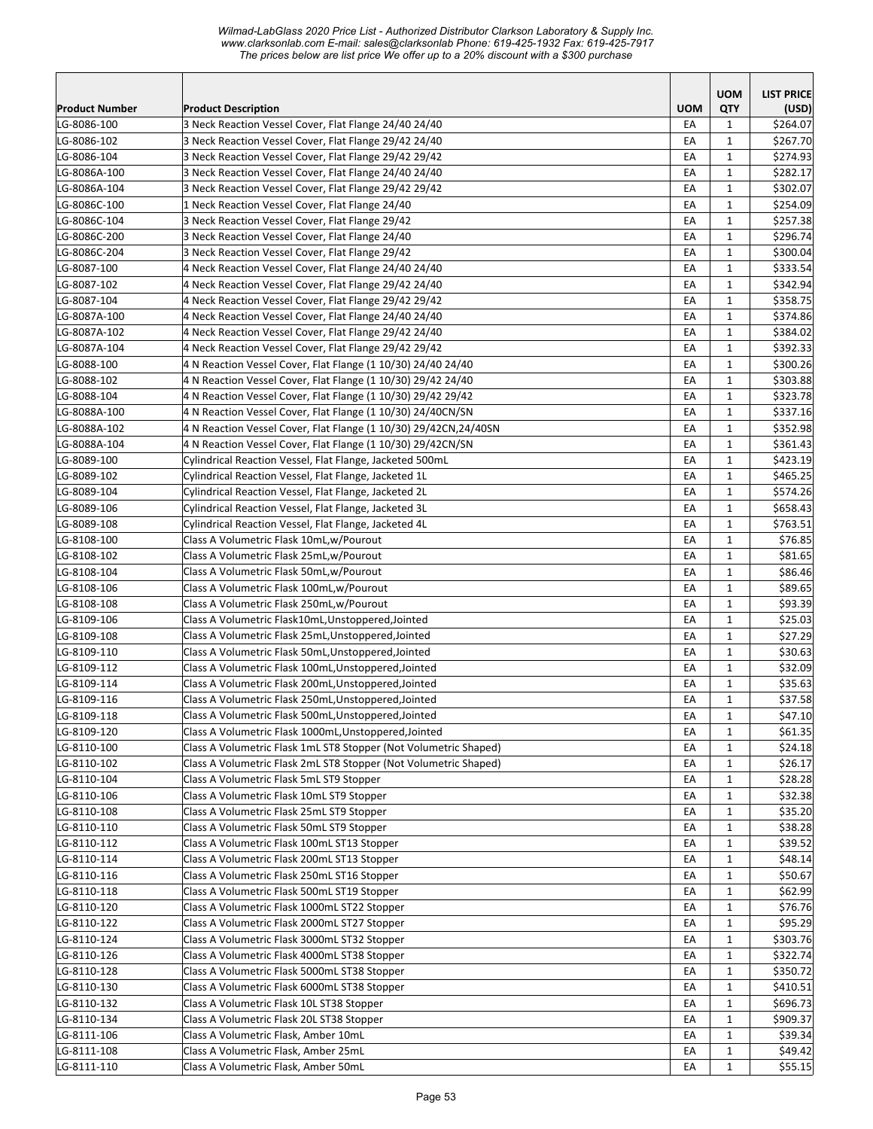*Wilmad-LabGlass 2020 Price List - Authorized Distributor Clarkson Laboratory & Supply Inc. www.clarksonlab.com E-mail: sales@clarksonlab Phone: 619-425-1932 Fax: 619-425-7917 The prices below are list price We offer up to a 20% discount with a \$300 purchase* 

|                       |                                                                   |            | <b>UOM</b>   | <b>LIST PRICE</b> |
|-----------------------|-------------------------------------------------------------------|------------|--------------|-------------------|
| <b>Product Number</b> | <b>Product Description</b>                                        | <b>UOM</b> | QTY          | (USD)             |
| LG-8086-100           | 3 Neck Reaction Vessel Cover, Flat Flange 24/40 24/40             | EA         | 1            | \$264.07          |
| LG-8086-102           | 3 Neck Reaction Vessel Cover, Flat Flange 29/42 24/40             | EA         | 1            | \$267.70          |
| LG-8086-104           | 3 Neck Reaction Vessel Cover, Flat Flange 29/42 29/42             | EA         | $\mathbf{1}$ | \$274.93          |
| LG-8086A-100          | 3 Neck Reaction Vessel Cover, Flat Flange 24/40 24/40             | EA         | 1            | \$282.17          |
| LG-8086A-104          | 3 Neck Reaction Vessel Cover, Flat Flange 29/42 29/42             | EA         | $\mathbf{1}$ | \$302.07          |
| LG-8086C-100          | 1 Neck Reaction Vessel Cover, Flat Flange 24/40                   | EA         | $\mathbf{1}$ | \$254.09          |
| LG-8086C-104          | 3 Neck Reaction Vessel Cover, Flat Flange 29/42                   | EA         | $\mathbf{1}$ | \$257.38          |
| LG-8086C-200          | 3 Neck Reaction Vessel Cover, Flat Flange 24/40                   | EA         | $\mathbf{1}$ | \$296.74          |
| LG-8086C-204          | 3 Neck Reaction Vessel Cover, Flat Flange 29/42                   | EA         | $\mathbf{1}$ | \$300.04          |
| LG-8087-100           | 4 Neck Reaction Vessel Cover, Flat Flange 24/40 24/40             | EA         | $\mathbf{1}$ | \$333.54          |
| LG-8087-102           | 4 Neck Reaction Vessel Cover, Flat Flange 29/42 24/40             | EA         | 1            | \$342.94          |
| LG-8087-104           | 4 Neck Reaction Vessel Cover, Flat Flange 29/42 29/42             | EA         | $\mathbf{1}$ | \$358.75          |
| LG-8087A-100          | 4 Neck Reaction Vessel Cover, Flat Flange 24/40 24/40             | EA         | $\mathbf{1}$ | \$374.86          |
| LG-8087A-102          | 4 Neck Reaction Vessel Cover, Flat Flange 29/42 24/40             | EA         | $\mathbf{1}$ | \$384.02          |
| LG-8087A-104          | 4 Neck Reaction Vessel Cover, Flat Flange 29/42 29/42             | EA         | 1            | \$392.33          |
| LG-8088-100           | 4 N Reaction Vessel Cover, Flat Flange (1 10/30) 24/40 24/40      | EA         | 1            | \$300.26          |
| LG-8088-102           | 4 N Reaction Vessel Cover, Flat Flange (1 10/30) 29/42 24/40      | EA         | $\mathbf{1}$ | \$303.88          |
| LG-8088-104           | 4 N Reaction Vessel Cover, Flat Flange (1 10/30) 29/42 29/42      | EA         | $\mathbf{1}$ | \$323.78          |
| LG-8088A-100          | 4 N Reaction Vessel Cover, Flat Flange (1 10/30) 24/40CN/SN       | EA         | 1            | \$337.16          |
| LG-8088A-102          | 4 N Reaction Vessel Cover, Flat Flange (1 10/30) 29/42CN, 24/40SN | EA         | $\mathbf{1}$ | \$352.98          |
| LG-8088A-104          | 4 N Reaction Vessel Cover, Flat Flange (1 10/30) 29/42CN/SN       | EA         | $\mathbf{1}$ | \$361.43          |
| LG-8089-100           | Cylindrical Reaction Vessel, Flat Flange, Jacketed 500mL          | EA         | $\mathbf{1}$ | \$423.19          |
| LG-8089-102           | Cylindrical Reaction Vessel, Flat Flange, Jacketed 1L             | EA         | $\mathbf{1}$ | \$465.25          |
| LG-8089-104           | Cylindrical Reaction Vessel, Flat Flange, Jacketed 2L             | EA         | $\mathbf{1}$ | \$574.26          |
| LG-8089-106           | Cylindrical Reaction Vessel, Flat Flange, Jacketed 3L             | EA         | $\mathbf{1}$ | \$658.43          |
| LG-8089-108           | Cylindrical Reaction Vessel, Flat Flange, Jacketed 4L             | EA         | $\mathbf{1}$ | \$763.51          |
| LG-8108-100           | Class A Volumetric Flask 10mL,w/Pourout                           | EA         | $\mathbf{1}$ | \$76.85           |
| LG-8108-102           | Class A Volumetric Flask 25mL, w/Pourout                          | EA         | $\mathbf{1}$ | \$81.65           |
| LG-8108-104           | Class A Volumetric Flask 50mL, w/Pourout                          | EA         | $\mathbf{1}$ | \$86.46           |
| LG-8108-106           | Class A Volumetric Flask 100mL,w/Pourout                          | EA         | $\mathbf{1}$ | \$89.65           |
| LG-8108-108           | Class A Volumetric Flask 250mL, w/Pourout                         | EA         | 1            | \$93.39           |
| LG-8109-106           | Class A Volumetric Flask10mL, Unstoppered, Jointed                | EA         | $\mathbf{1}$ | \$25.03           |
| LG-8109-108           | Class A Volumetric Flask 25mL, Unstoppered, Jointed               | EA         | 1            | \$27.29           |
| LG-8109-110           | Class A Volumetric Flask 50mL, Unstoppered, Jointed               | EA         | 1            | \$30.63           |
| LG-8109-112           | Class A Volumetric Flask 100mL, Unstoppered, Jointed              | EA         | $\mathbf{1}$ | \$32.09           |
| LG-8109-114           | Class A Volumetric Flask 200mL, Unstoppered, Jointed              | EA         | $\mathbf{1}$ | \$35.63           |
| LG-8109-116           | Class A Volumetric Flask 250mL, Unstoppered, Jointed              | EA         | $\mathbf{1}$ | \$37.58           |
| LG-8109-118           | Class A Volumetric Flask 500mL, Unstoppered, Jointed              | EA         | $\mathbf 1$  | \$47.10           |
| LG-8109-120           | Class A Volumetric Flask 1000mL, Unstoppered, Jointed             | EA         | $\mathbf{1}$ | \$61.35           |
| LG-8110-100           | Class A Volumetric Flask 1mL ST8 Stopper (Not Volumetric Shaped)  | EA         | 1            | \$24.18           |
| LG-8110-102           | Class A Volumetric Flask 2mL ST8 Stopper (Not Volumetric Shaped)  | EA         | $\mathbf{1}$ | \$26.17           |
| LG-8110-104           | Class A Volumetric Flask 5mL ST9 Stopper                          | EA         | 1            | \$28.28           |
| LG-8110-106           | Class A Volumetric Flask 10mL ST9 Stopper                         | EA         | $\mathbf{1}$ | \$32.38           |
| LG-8110-108           | Class A Volumetric Flask 25mL ST9 Stopper                         | EA         | $\mathbf 1$  | \$35.20           |
| LG-8110-110           | Class A Volumetric Flask 50mL ST9 Stopper                         | EA         | $\mathbf{1}$ | \$38.28           |
| LG-8110-112           | Class A Volumetric Flask 100mL ST13 Stopper                       | EA         | $\mathbf{1}$ | \$39.52           |
| LG-8110-114           | Class A Volumetric Flask 200mL ST13 Stopper                       | EA         | $\mathbf{1}$ | \$48.14           |
| LG-8110-116           | Class A Volumetric Flask 250mL ST16 Stopper                       | EA         | $\mathbf{1}$ | \$50.67           |
| LG-8110-118           | Class A Volumetric Flask 500mL ST19 Stopper                       | EA         | 1            | \$62.99           |
| LG-8110-120           | Class A Volumetric Flask 1000mL ST22 Stopper                      | EA         | 1            | \$76.76           |
| LG-8110-122           | Class A Volumetric Flask 2000mL ST27 Stopper                      | EA         | $\mathbf{1}$ | \$95.29           |
| LG-8110-124           | Class A Volumetric Flask 3000mL ST32 Stopper                      | EA         | $\mathbf{1}$ | \$303.76          |
| LG-8110-126           | Class A Volumetric Flask 4000mL ST38 Stopper                      | EA         | $\mathbf{1}$ | \$322.74          |
| LG-8110-128           | Class A Volumetric Flask 5000mL ST38 Stopper                      | EA         | $\mathbf{1}$ | \$350.72          |
| LG-8110-130           | Class A Volumetric Flask 6000mL ST38 Stopper                      | EA         | $\mathbf{1}$ | \$410.51          |
| LG-8110-132           | Class A Volumetric Flask 10L ST38 Stopper                         | EA         | $\mathbf{1}$ | \$696.73          |
| LG-8110-134           | Class A Volumetric Flask 20L ST38 Stopper                         | EA         | 1            | \$909.37          |
| LG-8111-106           | Class A Volumetric Flask, Amber 10mL                              | EA         | $\mathbf{1}$ | \$39.34           |
| LG-8111-108           | Class A Volumetric Flask, Amber 25mL                              | EA         | $\mathbf{1}$ | \$49.42           |
| LG-8111-110           | Class A Volumetric Flask, Amber 50mL                              | EA         | $\mathbf{1}$ | \$55.15           |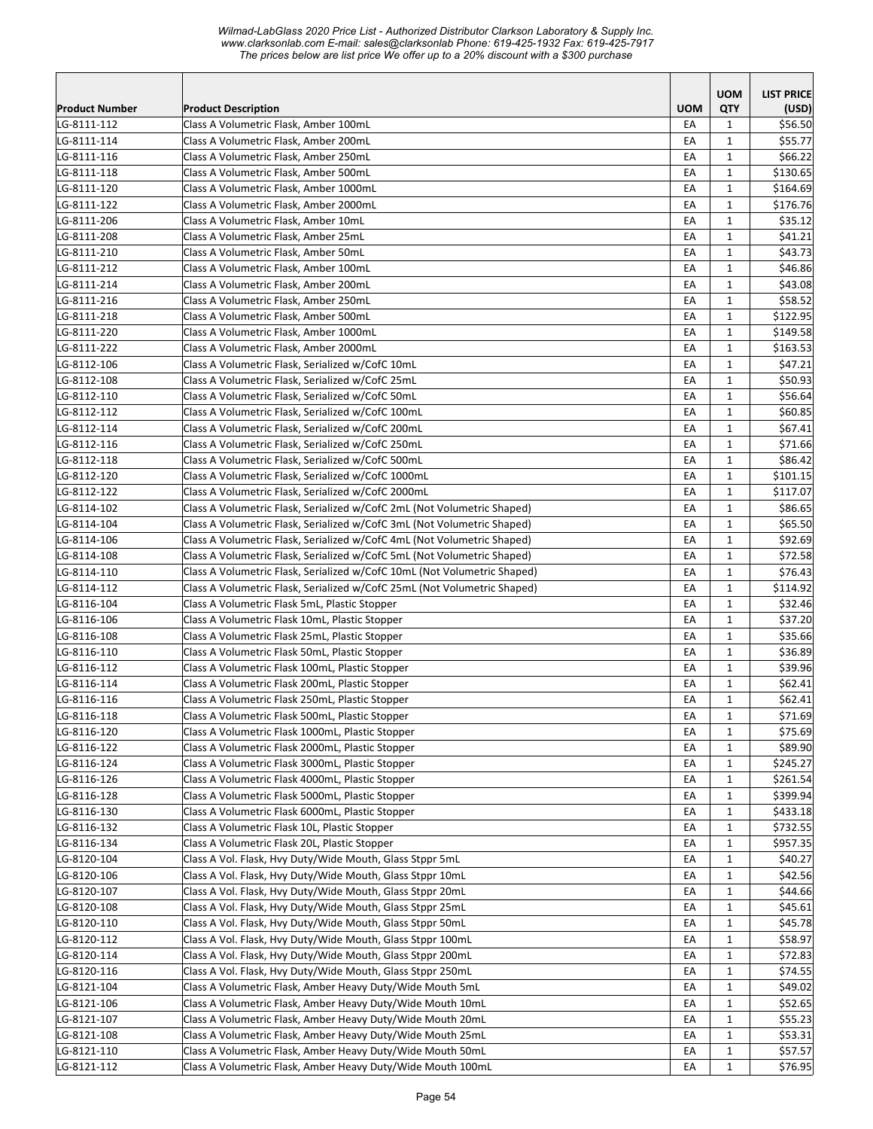|                            |                                                                                                   |            | <b>UOM</b>        | <b>LIST PRICE</b>    |
|----------------------------|---------------------------------------------------------------------------------------------------|------------|-------------------|----------------------|
| <b>Product Number</b>      | <b>Product Description</b>                                                                        | <b>UOM</b> | QTY               | (USD)                |
| LG-8111-112                | Class A Volumetric Flask, Amber 100mL                                                             | EA         | $\mathbf{1}$      | \$56.50              |
| LG-8111-114                | Class A Volumetric Flask, Amber 200mL                                                             | EA         | $\mathbf{1}$      | \$55.77              |
| LG-8111-116                | Class A Volumetric Flask, Amber 250mL                                                             | EA         | $\mathbf{1}$      | \$66.22              |
| LG-8111-118                | Class A Volumetric Flask, Amber 500mL                                                             | EA         | $\mathbf{1}$      | \$130.65             |
| LG-8111-120                | Class A Volumetric Flask, Amber 1000mL                                                            | EA         | $\mathbf{1}$      | \$164.69             |
| LG-8111-122                | Class A Volumetric Flask, Amber 2000mL                                                            | EA         | $\mathbf{1}$      | \$176.76             |
| LG-8111-206                | Class A Volumetric Flask, Amber 10mL                                                              | EA         | $\mathbf{1}$      | \$35.12              |
| LG-8111-208                | Class A Volumetric Flask, Amber 25mL                                                              | EA         | $\mathbf{1}$      | \$41.21              |
| LG-8111-210                | Class A Volumetric Flask, Amber 50mL                                                              | EA         | $\mathbf{1}$      | \$43.73              |
| LG-8111-212                | Class A Volumetric Flask, Amber 100mL                                                             | EA         | $\mathbf{1}$      | \$46.86              |
| LG-8111-214                | Class A Volumetric Flask, Amber 200mL                                                             | EA         | $\mathbf{1}$      | \$43.08              |
| LG-8111-216                | Class A Volumetric Flask, Amber 250mL                                                             | EA         | $\mathbf{1}$      | \$58.52              |
| LG-8111-218                | Class A Volumetric Flask, Amber 500mL                                                             | EA         | $\mathbf{1}$      | \$122.95             |
| LG-8111-220                | Class A Volumetric Flask, Amber 1000mL                                                            | EA         | $\mathbf{1}$      | \$149.58             |
| LG-8111-222                | Class A Volumetric Flask, Amber 2000mL                                                            | EA         | $\mathbf{1}$      | \$163.53             |
| LG-8112-106                | Class A Volumetric Flask, Serialized w/CofC 10mL                                                  | EA         | $\mathbf{1}$      | \$47.21              |
| LG-8112-108                | Class A Volumetric Flask, Serialized w/CofC 25mL                                                  | EA         | $\mathbf{1}$      | \$50.93              |
| LG-8112-110                | Class A Volumetric Flask, Serialized w/CofC 50mL                                                  | EA         | $\mathbf{1}$      | \$56.64              |
| LG-8112-112                | Class A Volumetric Flask, Serialized w/CofC 100mL                                                 | EA         | $\mathbf{1}$      | \$60.85              |
| LG-8112-114                | Class A Volumetric Flask, Serialized w/CofC 200mL                                                 | EA         | $\mathbf{1}$      | \$67.41              |
| LG-8112-116                | Class A Volumetric Flask, Serialized w/CofC 250mL                                                 | EA         | $\mathbf{1}$      | \$71.66              |
| LG-8112-118                | Class A Volumetric Flask, Serialized w/CofC 500mL                                                 | EA         | $\mathbf{1}$      | \$86.42              |
| LG-8112-120                | Class A Volumetric Flask, Serialized w/CofC 1000mL                                                | EA         | $\mathbf{1}$      | \$101.15             |
| LG-8112-122                | Class A Volumetric Flask, Serialized w/CofC 2000mL                                                | EA         | $\mathbf{1}$      | \$117.07             |
| LG-8114-102                | Class A Volumetric Flask, Serialized w/CofC 2mL (Not Volumetric Shaped)                           | EA         | $\mathbf{1}$      | \$86.65              |
| LG-8114-104                | Class A Volumetric Flask, Serialized w/CofC 3mL (Not Volumetric Shaped)                           | EA         | $\mathbf{1}$      | \$65.50              |
| LG-8114-106                | Class A Volumetric Flask, Serialized w/CofC 4mL (Not Volumetric Shaped)                           | EA         | $\mathbf{1}$      | \$92.69              |
| LG-8114-108                | Class A Volumetric Flask, Serialized w/CofC 5mL (Not Volumetric Shaped)                           | EA         | $\mathbf{1}$      | \$72.58              |
| LG-8114-110                | Class A Volumetric Flask, Serialized w/CofC 10mL (Not Volumetric Shaped)                          | EA         | $\mathbf{1}$      | \$76.43              |
| LG-8114-112                | Class A Volumetric Flask, Serialized w/CofC 25mL (Not Volumetric Shaped)                          | EA         | $\mathbf{1}$      | \$114.92             |
| LG-8116-104                | Class A Volumetric Flask 5mL, Plastic Stopper                                                     | EA         | $\mathbf{1}$      | \$32.46              |
| LG-8116-106                | Class A Volumetric Flask 10mL, Plastic Stopper                                                    | EA         | $\mathbf{1}$      | \$37.20              |
| LG-8116-108                | Class A Volumetric Flask 25mL, Plastic Stopper                                                    | EA         | $\mathbf{1}$      | \$35.66              |
| LG-8116-110                | Class A Volumetric Flask 50mL, Plastic Stopper                                                    | EA         | $\mathbf{1}$      | \$36.89              |
| LG-8116-112                | Class A Volumetric Flask 100mL, Plastic Stopper                                                   | EA         | $\mathbf{1}$      | \$39.96              |
| LG-8116-114                | Class A Volumetric Flask 200mL, Plastic Stopper                                                   | EA         | $\mathbf{1}$      | \$62.41              |
| LG-8116-116                | Class A Volumetric Flask 250mL, Plastic Stopper                                                   | EA         | $\mathbf{1}$      | \$62.41<br>\$71.69   |
| LG-8116-118                | Class A Volumetric Flask 500mL, Plastic Stopper                                                   | EA         | $\mathbf 1$       | \$75.69              |
| LG-8116-120                | Class A Volumetric Flask 1000mL, Plastic Stopper                                                  | EA         | $\mathbf{1}$      |                      |
| LG-8116-122                | Class A Volumetric Flask 2000mL, Plastic Stopper                                                  | EA         | 1                 | \$89.90              |
| LG-8116-124<br>LG-8116-126 | Class A Volumetric Flask 3000mL, Plastic Stopper                                                  | EA         | $\mathbf{1}$      | \$245.27<br>\$261.54 |
| LG-8116-128                | Class A Volumetric Flask 4000mL, Plastic Stopper                                                  | EA         | $\mathbf{1}$      | \$399.94             |
|                            | Class A Volumetric Flask 5000mL, Plastic Stopper                                                  | EA<br>EA   | 1<br>$\mathbf{1}$ | \$433.18             |
| LG-8116-130<br>LG-8116-132 | Class A Volumetric Flask 6000mL, Plastic Stopper<br>Class A Volumetric Flask 10L, Plastic Stopper | EA         | $\mathbf{1}$      | \$732.55             |
| LG-8116-134                | Class A Volumetric Flask 20L, Plastic Stopper                                                     | EA         | $\mathbf 1$       | \$957.35             |
| LG-8120-104                | Class A Vol. Flask, Hvy Duty/Wide Mouth, Glass Stppr 5mL                                          | EA         | $\mathbf{1}$      | \$40.27              |
| LG-8120-106                | Class A Vol. Flask, Hvy Duty/Wide Mouth, Glass Stppr 10mL                                         | EA         | $\mathbf 1$       | \$42.56              |
| LG-8120-107                | Class A Vol. Flask, Hvy Duty/Wide Mouth, Glass Stppr 20mL                                         | EA         | $\mathbf{1}$      | \$44.66              |
| LG-8120-108                | Class A Vol. Flask, Hvy Duty/Wide Mouth, Glass Stppr 25mL                                         | EA         | $\mathbf{1}$      | \$45.61              |
| LG-8120-110                | Class A Vol. Flask, Hvy Duty/Wide Mouth, Glass Stppr 50mL                                         | EA         | $\mathbf{1}$      | \$45.78              |
| LG-8120-112                | Class A Vol. Flask, Hvy Duty/Wide Mouth, Glass Stppr 100mL                                        | EA         | $\mathbf{1}$      | \$58.97              |
| LG-8120-114                | Class A Vol. Flask, Hvy Duty/Wide Mouth, Glass Stppr 200mL                                        | EA         | $\mathbf 1$       | \$72.83              |
| LG-8120-116                | Class A Vol. Flask, Hvy Duty/Wide Mouth, Glass Stppr 250mL                                        | EA         | $\mathbf 1$       | \$74.55              |
| LG-8121-104                | Class A Volumetric Flask, Amber Heavy Duty/Wide Mouth 5mL                                         | EA         | $\mathbf 1$       | \$49.02              |
| LG-8121-106                | Class A Volumetric Flask, Amber Heavy Duty/Wide Mouth 10mL                                        | EA         | $\mathbf{1}$      | \$52.65              |
| LG-8121-107                | Class A Volumetric Flask, Amber Heavy Duty/Wide Mouth 20mL                                        | EA         | $\mathbf{1}$      | \$55.23              |
| LG-8121-108                | Class A Volumetric Flask, Amber Heavy Duty/Wide Mouth 25mL                                        | EA         | $\mathbf{1}$      | \$53.31              |
| LG-8121-110                | Class A Volumetric Flask, Amber Heavy Duty/Wide Mouth 50mL                                        | EA         | $\mathbf{1}$      | \$57.57              |
| LG-8121-112                | Class A Volumetric Flask, Amber Heavy Duty/Wide Mouth 100mL                                       | EA         | $\mathbf{1}$      | \$76.95              |
|                            |                                                                                                   |            |                   |                      |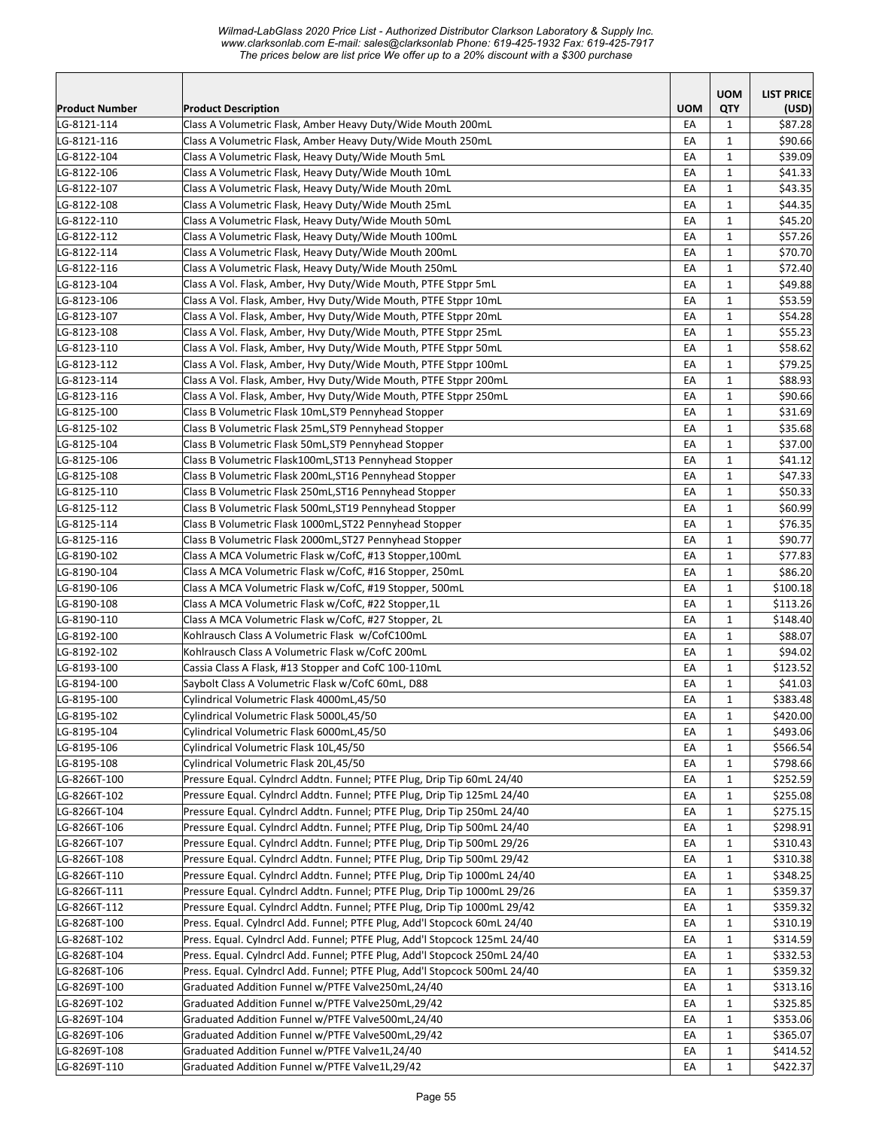|                            |                                                                                                                            |            | <b>UOM</b>   | <b>LIST PRICE</b>  |
|----------------------------|----------------------------------------------------------------------------------------------------------------------------|------------|--------------|--------------------|
| Product Number             | <b>Product Description</b>                                                                                                 | <b>UOM</b> | QTY          | (USD)              |
| LG-8121-114<br>LG-8121-116 | Class A Volumetric Flask, Amber Heavy Duty/Wide Mouth 200mL<br>Class A Volumetric Flask, Amber Heavy Duty/Wide Mouth 250mL | EA<br>EA   | 1<br>1       | \$87.28<br>\$90.66 |
| LG-8122-104                | Class A Volumetric Flask, Heavy Duty/Wide Mouth 5mL                                                                        | EA         | 1            | \$39.09            |
| LG-8122-106                | Class A Volumetric Flask, Heavy Duty/Wide Mouth 10mL                                                                       | EA         | 1            | \$41.33            |
| LG-8122-107                | Class A Volumetric Flask, Heavy Duty/Wide Mouth 20mL                                                                       | EA         | 1            | \$43.35            |
| LG-8122-108                | Class A Volumetric Flask, Heavy Duty/Wide Mouth 25mL                                                                       | EA         | 1            | \$44.35            |
| LG-8122-110                | Class A Volumetric Flask, Heavy Duty/Wide Mouth 50mL                                                                       | EA         | $\mathbf 1$  | \$45.20            |
| LG-8122-112                | Class A Volumetric Flask, Heavy Duty/Wide Mouth 100mL                                                                      | EA         | $\mathbf 1$  | \$57.26            |
| LG-8122-114                | Class A Volumetric Flask, Heavy Duty/Wide Mouth 200mL                                                                      | EA         | $\mathbf 1$  | \$70.70            |
| LG-8122-116                | Class A Volumetric Flask, Heavy Duty/Wide Mouth 250mL                                                                      | EA         | $\mathbf{1}$ | \$72.40            |
| LG-8123-104                | Class A Vol. Flask, Amber, Hvy Duty/Wide Mouth, PTFE Stppr 5mL                                                             | EA         | $\mathbf 1$  | \$49.88            |
| LG-8123-106                | Class A Vol. Flask, Amber, Hvy Duty/Wide Mouth, PTFE Stppr 10mL                                                            | EA         | $\mathbf{1}$ | \$53.59            |
| LG-8123-107                | Class A Vol. Flask, Amber, Hvy Duty/Wide Mouth, PTFE Stppr 20mL                                                            | EA         | 1            | \$54.28            |
| LG-8123-108                | Class A Vol. Flask, Amber, Hvy Duty/Wide Mouth, PTFE Stppr 25mL                                                            | EA         | $\mathbf{1}$ | \$55.23            |
| LG-8123-110                | Class A Vol. Flask, Amber, Hvy Duty/Wide Mouth, PTFE Stppr 50mL                                                            | EA         | $\mathbf 1$  | \$58.62            |
| LG-8123-112                | Class A Vol. Flask, Amber, Hvy Duty/Wide Mouth, PTFE Stppr 100mL                                                           | EA         | 1            | \$79.25            |
| LG-8123-114                | Class A Vol. Flask, Amber, Hvy Duty/Wide Mouth, PTFE Stppr 200mL                                                           | EA         | 1            | \$88.93            |
| LG-8123-116                | Class A Vol. Flask, Amber, Hvy Duty/Wide Mouth, PTFE Stppr 250mL                                                           | EA         | 1            | \$90.66            |
| LG-8125-100                | Class B Volumetric Flask 10mL, ST9 Pennyhead Stopper                                                                       | EA         | 1            | \$31.69            |
| LG-8125-102                | Class B Volumetric Flask 25mL, ST9 Pennyhead Stopper                                                                       | EA         | 1            | \$35.68            |
| LG-8125-104                | Class B Volumetric Flask 50mL, ST9 Pennyhead Stopper                                                                       | EA         | 1            | \$37.00            |
| LG-8125-106                | Class B Volumetric Flask100mL, ST13 Pennyhead Stopper                                                                      | EA         | $\mathbf{1}$ | \$41.12            |
| LG-8125-108                | Class B Volumetric Flask 200mL, ST16 Pennyhead Stopper                                                                     | EA         | $\mathbf{1}$ | \$47.33            |
| LG-8125-110                | Class B Volumetric Flask 250mL, ST16 Pennyhead Stopper                                                                     | EA         | $\mathbf{1}$ | \$50.33            |
| LG-8125-112                | Class B Volumetric Flask 500mL, ST19 Pennyhead Stopper                                                                     | EA         | $\mathbf 1$  | \$60.99            |
| LG-8125-114                | Class B Volumetric Flask 1000mL, ST22 Pennyhead Stopper                                                                    | EA         | $1\,$        | \$76.35            |
| LG-8125-116                | Class B Volumetric Flask 2000mL, ST27 Pennyhead Stopper                                                                    | EA         | $\mathbf{1}$ | \$90.77            |
| LG-8190-102                | Class A MCA Volumetric Flask w/CofC, #13 Stopper,100mL                                                                     | EA         | 1            | \$77.83            |
| LG-8190-104                | Class A MCA Volumetric Flask w/CofC, #16 Stopper, 250mL                                                                    | EA         | $\mathbf{1}$ | \$86.20            |
| LG-8190-106                | Class A MCA Volumetric Flask w/CofC, #19 Stopper, 500mL                                                                    | EA         | $\mathbf{1}$ | \$100.18           |
| LG-8190-108                | Class A MCA Volumetric Flask w/CofC, #22 Stopper,1L                                                                        | EA         | $\mathbf{1}$ | \$113.26           |
| LG-8190-110                | Class A MCA Volumetric Flask w/CofC, #27 Stopper, 2L                                                                       | EA         | 1            | \$148.40           |
| LG-8192-100                | Kohlrausch Class A Volumetric Flask w/CofC100mL                                                                            | EA         | 1            | \$88.07            |
| LG-8192-102                | Kohlrausch Class A Volumetric Flask w/CofC 200mL                                                                           | EA         | 1            | \$94.02            |
| LG-8193-100                | Cassia Class A Flask, #13 Stopper and CofC 100-110mL                                                                       | EA         | 1            | \$123.52           |
| LG-8194-100                | Saybolt Class A Volumetric Flask w/CofC 60mL, D88                                                                          | EA         | 1            | \$41.03            |
| LG-8195-100                | Cylindrical Volumetric Flask 4000mL,45/50                                                                                  | EA         | $\mathbf 1$  | \$383.48           |
| LG-8195-102                | Cylindrical Volumetric Flask 5000L,45/50                                                                                   | EA         | $\mathbf 1$  | \$420.00           |
| LG-8195-104                | Cylindrical Volumetric Flask 6000mL,45/50                                                                                  | EA         | $\mathbf 1$  | \$493.06           |
| LG-8195-106                | Cylindrical Volumetric Flask 10L,45/50                                                                                     | EA         | 1            | \$566.54           |
| LG-8195-108                | Cylindrical Volumetric Flask 20L,45/50                                                                                     | EA         | 1            | \$798.66           |
| LG-8266T-100               | Pressure Equal. Cylndrcl Addtn. Funnel; PTFE Plug, Drip Tip 60mL 24/40                                                     | EA         | 1            | \$252.59           |
| LG-8266T-102               | Pressure Equal. Cylndrcl Addtn. Funnel; PTFE Plug, Drip Tip 125mL 24/40                                                    | EA         | 1            | \$255.08           |
| LG-8266T-104               | Pressure Equal. Cylndrcl Addtn. Funnel; PTFE Plug, Drip Tip 250mL 24/40                                                    | EA         | $\mathbf 1$  | \$275.15           |
| LG-8266T-106               | Pressure Equal. Cylndrcl Addtn. Funnel; PTFE Plug, Drip Tip 500mL 24/40                                                    | EA         | 1            | \$298.91           |
| LG-8266T-107               | Pressure Equal. Cylndrcl Addtn. Funnel; PTFE Plug, Drip Tip 500mL 29/26                                                    | EA         | $\mathbf{1}$ | \$310.43           |
| LG-8266T-108               | Pressure Equal. Cylndrcl Addtn. Funnel; PTFE Plug, Drip Tip 500mL 29/42                                                    | EA         | 1            | \$310.38           |
| LG-8266T-110               | Pressure Equal. Cylndrcl Addtn. Funnel; PTFE Plug, Drip Tip 1000mL 24/40                                                   | EA         | 1            | \$348.25           |
| LG-8266T-111               | Pressure Equal. Cylndrcl Addtn. Funnel; PTFE Plug, Drip Tip 1000mL 29/26                                                   | EA         | 1            | \$359.37           |
| LG-8266T-112               | Pressure Equal. Cylndrcl Addtn. Funnel; PTFE Plug, Drip Tip 1000mL 29/42                                                   | EA         | 1            | \$359.32           |
| LG-8268T-100               | Press. Equal. Cylndrcl Add. Funnel; PTFE Plug, Add'l Stopcock 60mL 24/40                                                   | EA         | 1            | \$310.19           |
| LG-8268T-102               | Press. Equal. Cylndrcl Add. Funnel; PTFE Plug, Add'l Stopcock 125mL 24/40                                                  | EA         | 1            | \$314.59           |
| LG-8268T-104               | Press. Equal. Cylndrcl Add. Funnel; PTFE Plug, Add'l Stopcock 250mL 24/40                                                  | EA         | $1\,$        | \$332.53           |
| LG-8268T-106               | Press. Equal. Cylndrcl Add. Funnel; PTFE Plug, Add'l Stopcock 500mL 24/40                                                  | EA         | 1            | \$359.32           |
| LG-8269T-100               | Graduated Addition Funnel w/PTFE Valve250mL,24/40                                                                          | EA         | 1            | \$313.16           |
| LG-8269T-102               | Graduated Addition Funnel w/PTFE Valve250mL,29/42                                                                          | EA         | 1            | \$325.85           |
| LG-8269T-104               | Graduated Addition Funnel w/PTFE Valve500mL,24/40                                                                          | EA         | 1            | \$353.06           |
| LG-8269T-106               | Graduated Addition Funnel w/PTFE Valve500mL,29/42                                                                          | EA         | 1            | \$365.07           |
| LG-8269T-108               | Graduated Addition Funnel w/PTFE Valve1L,24/40                                                                             | EA         | 1            | \$414.52           |
| LG-8269T-110               | Graduated Addition Funnel w/PTFE Valve1L,29/42                                                                             | EA         | 1            | \$422.37           |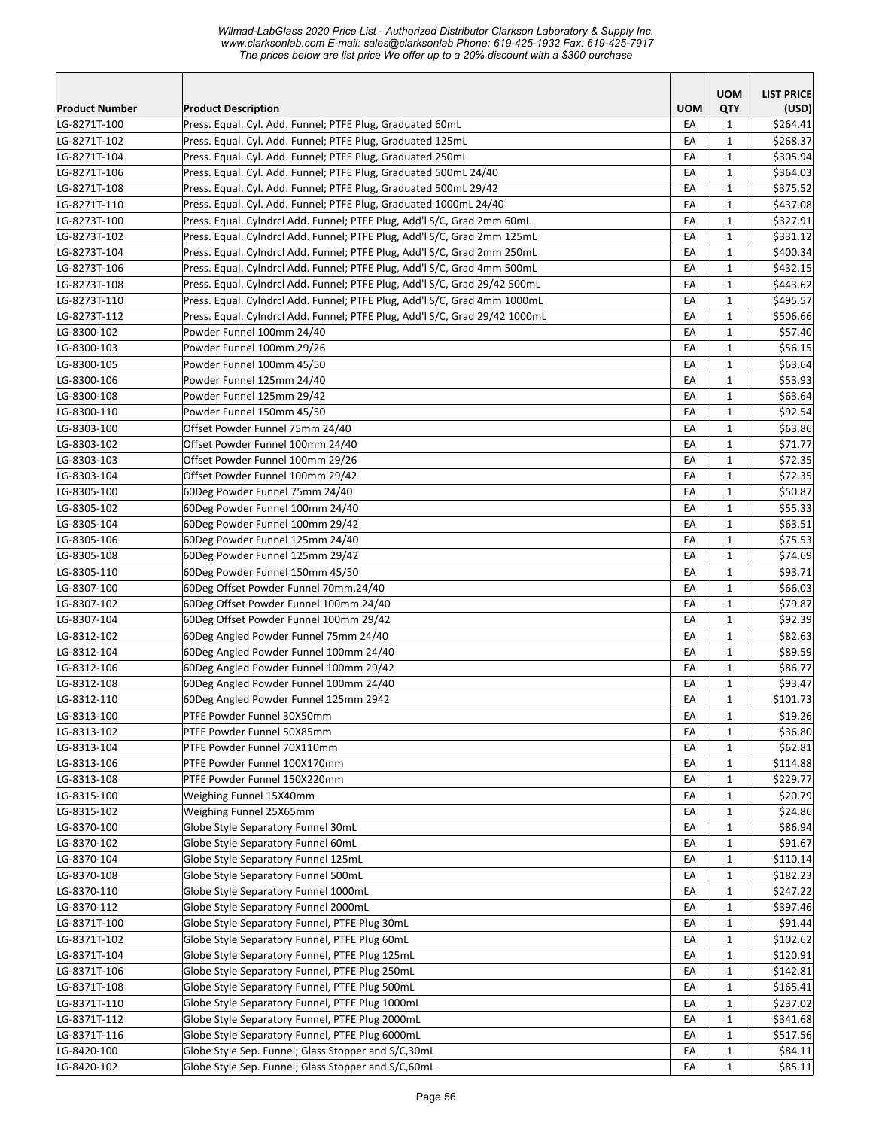| Product Number               | <b>Product Description</b>                                                                         | <b>UOM</b> | <b>UOM</b><br>QTY | <b>LIST PRICE</b><br>(USD) |
|------------------------------|----------------------------------------------------------------------------------------------------|------------|-------------------|----------------------------|
| LG-8271T-100                 | Press. Equal. Cyl. Add. Funnel; PTFE Plug, Graduated 60mL                                          | EA         | 1                 | \$264.41                   |
| LG-8271T-102                 | Press. Equal. Cyl. Add. Funnel; PTFE Plug, Graduated 125mL                                         | EA         | 1                 | \$268.37                   |
| LG-8271T-104                 | Press. Equal. Cyl. Add. Funnel; PTFE Plug, Graduated 250mL                                         | EA         | 1                 | \$305.94                   |
| LG-8271T-106                 | Press. Equal. Cyl. Add. Funnel; PTFE Plug, Graduated 500mL 24/40                                   | EA         | 1                 | \$364.03                   |
| LG-8271T-108                 | Press. Equal. Cyl. Add. Funnel; PTFE Plug, Graduated 500mL 29/42                                   | EA         | 1                 | \$375.52                   |
| LG-8271T-110                 | Press. Equal. Cyl. Add. Funnel; PTFE Plug, Graduated 1000mL 24/40                                  | EA         | $\mathbf{1}$      | \$437.08                   |
| LG-8273T-100                 | Press. Equal. Cylndrcl Add. Funnel; PTFE Plug, Add'l S/C, Grad 2mm 60mL                            | EA         | $\mathbf{1}$      | \$327.91                   |
| LG-8273T-102                 | Press. Equal. Cylndrcl Add. Funnel; PTFE Plug, Add'l S/C, Grad 2mm 125mL                           | EA         | $\mathbf 1$       | \$331.12                   |
| LG-8273T-104                 | Press. Equal. Cylndrcl Add. Funnel; PTFE Plug, Add'l S/C, Grad 2mm 250mL                           | EA         | $\mathbf{1}$      | \$400.34                   |
| LG-8273T-106                 | Press. Equal. Cylndrcl Add. Funnel; PTFE Plug, Add'l S/C, Grad 4mm 500mL                           | EA         | 1                 | \$432.15                   |
| LG-8273T-108                 | Press. Equal. Cylndrcl Add. Funnel; PTFE Plug, Add'l S/C, Grad 29/42 500mL                         | EA         | $\mathbf{1}$      | \$443.62                   |
| LG-8273T-110                 | Press. Equal. Cylndrcl Add. Funnel; PTFE Plug, Add'l S/C, Grad 4mm 1000mL                          | EA         | 1                 | \$495.57                   |
| LG-8273T-112                 | Press. Equal. Cylndrcl Add. Funnel; PTFE Plug, Add'l S/C, Grad 29/42 1000mL                        | EA         | $\mathbf{1}$      | \$506.66                   |
| LG-8300-102                  | Powder Funnel 100mm 24/40                                                                          | EA         | $\mathbf{1}$      | \$57.40                    |
| LG-8300-103                  | Powder Funnel 100mm 29/26                                                                          | EA         | $\mathbf{1}$      | \$56.15                    |
| LG-8300-105                  | Powder Funnel 100mm 45/50                                                                          | EA         | 1                 | \$63.64                    |
| LG-8300-106                  | Powder Funnel 125mm 24/40                                                                          | EA         | 1                 | \$53.93                    |
| LG-8300-108                  | Powder Funnel 125mm 29/42                                                                          | EA         | 1                 | \$63.64                    |
| LG-8300-110                  | Powder Funnel 150mm 45/50                                                                          | EA         | 1                 | \$92.54                    |
| LG-8303-100                  | Offset Powder Funnel 75mm 24/40                                                                    | EA         | 1                 | \$63.86                    |
| LG-8303-102                  | Offset Powder Funnel 100mm 24/40                                                                   | EA         | $\mathbf{1}$      | \$71.77                    |
| LG-8303-103                  | Offset Powder Funnel 100mm 29/26                                                                   | EA         | $\mathbf 1$       | \$72.35                    |
| LG-8303-104                  | Offset Powder Funnel 100mm 29/42                                                                   | EA         | $\mathbf{1}$      | \$72.35                    |
| LG-8305-100                  | 60Deg Powder Funnel 75mm 24/40                                                                     | EA         | $\mathbf{1}$      | \$50.87                    |
| LG-8305-102                  | 60Deg Powder Funnel 100mm 24/40                                                                    | EA         | $1\,$             | \$55.33                    |
| LG-8305-104                  | 60Deg Powder Funnel 100mm 29/42                                                                    | EA         | $\mathbf{1}$      | \$63.51                    |
| LG-8305-106                  | 60Deg Powder Funnel 125mm 24/40                                                                    | EA         | 1                 | \$75.53                    |
| LG-8305-108                  | 60Deg Powder Funnel 125mm 29/42                                                                    | EA         | $\mathbf{1}$      | \$74.69                    |
| LG-8305-110                  | 60Deg Powder Funnel 150mm 45/50                                                                    | EA         | $\mathbf{1}$      | \$93.71                    |
| LG-8307-100                  | 60Deg Offset Powder Funnel 70mm,24/40                                                              | EA         | $\mathbf{1}$      | \$66.03                    |
| LG-8307-102                  | 60Deg Offset Powder Funnel 100mm 24/40                                                             | EA         | 1                 | \$79.87                    |
| LG-8307-104                  | 60Deg Offset Powder Funnel 100mm 29/42                                                             | EA         | 1                 | \$92.39                    |
| LG-8312-102                  | 60Deg Angled Powder Funnel 75mm 24/40                                                              | EA         | 1                 | \$82.63                    |
| LG-8312-104                  | 60Deg Angled Powder Funnel 100mm 24/40                                                             | EA         | 1                 | \$89.59                    |
| LG-8312-106                  | 60Deg Angled Powder Funnel 100mm 29/42                                                             | EA         | 1                 | \$86.77                    |
| LG-8312-108                  | 60Deg Angled Powder Funnel 100mm 24/40                                                             | EA         | $\mathbf{1}$      | \$93.47                    |
| LG-8312-110                  | 60Deg Angled Powder Funnel 125mm 2942                                                              | EA         | $\mathbf{1}$      | \$101.73                   |
| LG-8313-100                  | PTFE Powder Funnel 30X50mm                                                                         | EA         | $\mathbf{1}$      | \$19.26                    |
| LG-8313-102                  | PTFE Powder Funnel 50X85mm                                                                         | EA         | 1                 | \$36.80                    |
| LG-8313-104                  | PTFE Powder Funnel 70X110mm                                                                        | EA         | 1                 | \$62.81                    |
| LG-8313-106                  | PTFE Powder Funnel 100X170mm                                                                       | EA         | 1                 | \$114.88                   |
| LG-8313-108                  | PTFE Powder Funnel 150X220mm                                                                       | EA         | 1                 | \$229.77                   |
| LG-8315-100                  | Weighing Funnel 15X40mm                                                                            | EA         | 1                 | \$20.79                    |
| LG-8315-102                  | Weighing Funnel 25X65mm                                                                            | EA         | $1\,$             | \$24.86                    |
| LG-8370-100                  | Globe Style Separatory Funnel 30mL                                                                 | EA         | $1\,$             | \$86.94                    |
| LG-8370-102                  | Globe Style Separatory Funnel 60mL                                                                 | EA         | $1\,$             | \$91.67                    |
| LG-8370-104                  | Globe Style Separatory Funnel 125mL                                                                | EA         | 1                 | \$110.14                   |
| LG-8370-108                  | Globe Style Separatory Funnel 500mL                                                                | EA         | 1                 | \$182.23                   |
| LG-8370-110                  | Globe Style Separatory Funnel 1000mL                                                               | EA         | 1                 | \$247.22                   |
| LG-8370-112                  | Globe Style Separatory Funnel 2000mL                                                               | EA         | 1                 | \$397.46                   |
| LG-8371T-100                 | Globe Style Separatory Funnel, PTFE Plug 30mL                                                      | EA         | 1                 | \$91.44<br>\$102.62        |
| LG-8371T-102                 | Globe Style Separatory Funnel, PTFE Plug 60mL                                                      | EA         | $1\,$             | \$120.91                   |
| LG-8371T-104                 | Globe Style Separatory Funnel, PTFE Plug 125mL                                                     | EA         | 1                 |                            |
| LG-8371T-106<br>LG-8371T-108 | Globe Style Separatory Funnel, PTFE Plug 250mL                                                     | EA         | 1                 | \$142.81<br>\$165.41       |
| LG-8371T-110                 | Globe Style Separatory Funnel, PTFE Plug 500mL<br>Globe Style Separatory Funnel, PTFE Plug 1000mL  | EA         | 1                 | \$237.02                   |
| LG-8371T-112                 |                                                                                                    | EA         | 1                 |                            |
|                              | Globe Style Separatory Funnel, PTFE Plug 2000mL<br>Globe Style Separatory Funnel, PTFE Plug 6000mL | EA         | 1                 | \$341.68                   |
| LG-8371T-116<br>LG-8420-100  | Globe Style Sep. Funnel; Glass Stopper and S/C,30mL                                                | EA<br>EA   | 1<br>$\mathbf 1$  | \$517.56<br>\$84.11        |
| LG-8420-102                  | Globe Style Sep. Funnel; Glass Stopper and S/C,60mL                                                | EA         | $1\,$             | \$85.11                    |
|                              |                                                                                                    |            |                   |                            |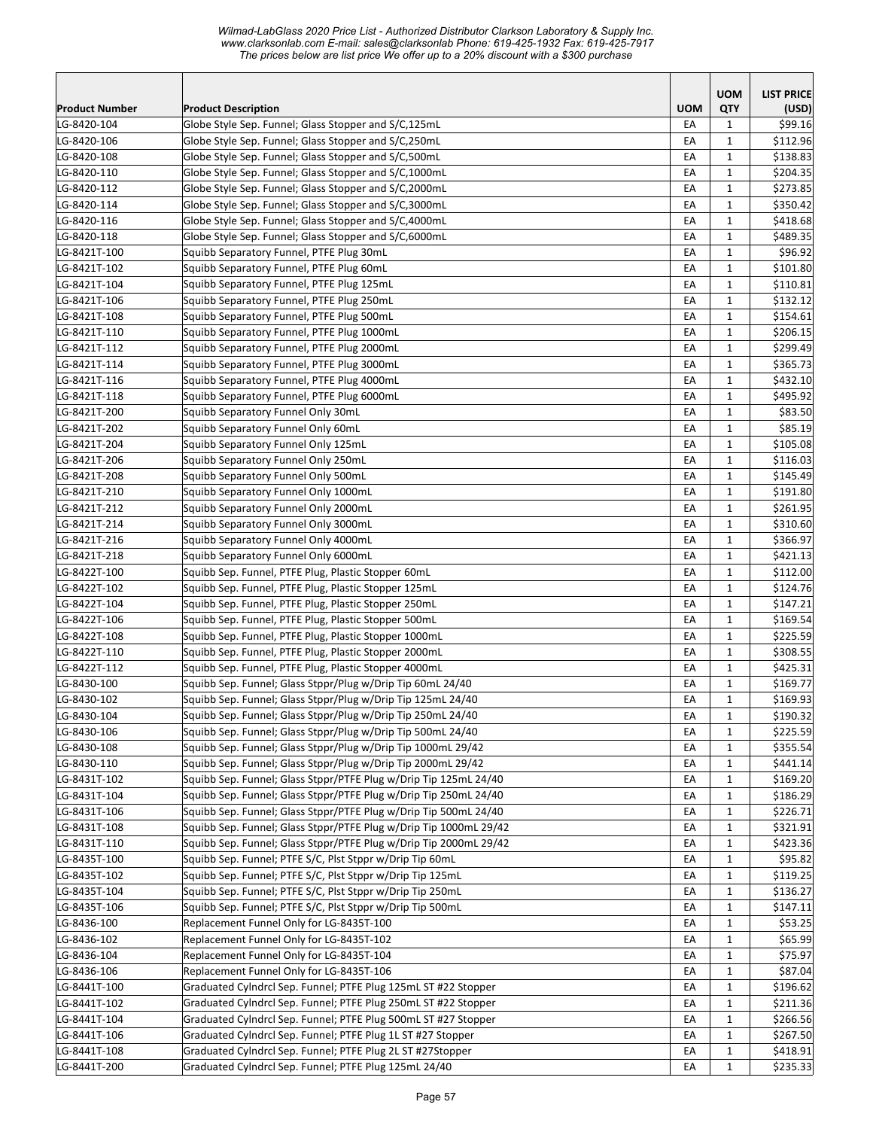*Wilmad-LabGlass 2020 Price List - Authorized Distributor Clarkson Laboratory & Supply Inc. www.clarksonlab.com E-mail: sales@clarksonlab Phone: 619-425-1932 Fax: 619-425-7917 The prices below are list price We offer up to a 20% discount with a \$300 purchase* 

|                |                                                                   |            | <b>UOM</b>   | <b>LIST PRICE</b> |
|----------------|-------------------------------------------------------------------|------------|--------------|-------------------|
| Product Number | <b>Product Description</b>                                        | <b>UOM</b> | QTY          | (USD)             |
| LG-8420-104    | Globe Style Sep. Funnel; Glass Stopper and S/C,125mL              | EA         | $\mathbf{1}$ | \$99.16           |
| LG-8420-106    | Globe Style Sep. Funnel; Glass Stopper and S/C,250mL              | EA         | $\mathbf{1}$ | \$112.96          |
| LG-8420-108    | Globe Style Sep. Funnel; Glass Stopper and S/C,500mL              | EA         | $\mathbf{1}$ | \$138.83          |
| LG-8420-110    | Globe Style Sep. Funnel; Glass Stopper and S/C,1000mL             | EA         | $\mathbf{1}$ | \$204.35          |
| LG-8420-112    | Globe Style Sep. Funnel; Glass Stopper and S/C,2000mL             | EA         | $\mathbf{1}$ | \$273.85          |
| LG-8420-114    | Globe Style Sep. Funnel; Glass Stopper and S/C,3000mL             | EA         | $\mathbf{1}$ | \$350.42          |
| LG-8420-116    | Globe Style Sep. Funnel; Glass Stopper and S/C,4000mL             | EA         | $\mathbf{1}$ | \$418.68          |
| LG-8420-118    | Globe Style Sep. Funnel; Glass Stopper and S/C,6000mL             | EA         | $\mathbf{1}$ | \$489.35          |
| LG-8421T-100   | Squibb Separatory Funnel, PTFE Plug 30mL                          | EA         | $\mathbf{1}$ | \$96.92           |
| LG-8421T-102   | Squibb Separatory Funnel, PTFE Plug 60mL                          | EA         | $\mathbf{1}$ | \$101.80          |
| LG-8421T-104   | Squibb Separatory Funnel, PTFE Plug 125mL                         | EA         | $\mathbf{1}$ | \$110.81          |
| LG-8421T-106   | Squibb Separatory Funnel, PTFE Plug 250mL                         | EA         | 1            | \$132.12          |
| LG-8421T-108   | Squibb Separatory Funnel, PTFE Plug 500mL                         | EA         | $\mathbf{1}$ | \$154.61          |
| LG-8421T-110   | Squibb Separatory Funnel, PTFE Plug 1000mL                        | EA         | $\mathbf{1}$ | \$206.15          |
| LG-8421T-112   | Squibb Separatory Funnel, PTFE Plug 2000mL                        | EA         | $\mathbf{1}$ | \$299.49          |
| LG-8421T-114   | Squibb Separatory Funnel, PTFE Plug 3000mL                        | EA         | $\mathbf{1}$ | \$365.73          |
| LG-8421T-116   | Squibb Separatory Funnel, PTFE Plug 4000mL                        | EA         | $\mathbf{1}$ | \$432.10          |
| LG-8421T-118   | Squibb Separatory Funnel, PTFE Plug 6000mL                        | EA         | $\mathbf{1}$ | \$495.92          |
| LG-8421T-200   | Squibb Separatory Funnel Only 30mL                                | EA         | $\mathbf{1}$ | \$83.50           |
| LG-8421T-202   | Squibb Separatory Funnel Only 60mL                                | EA         | $\mathbf{1}$ | \$85.19           |
| LG-8421T-204   | Squibb Separatory Funnel Only 125mL                               | EA         | $\mathbf{1}$ | \$105.08          |
| LG-8421T-206   | Squibb Separatory Funnel Only 250mL                               | EA         | $\mathbf{1}$ | \$116.03          |
| LG-8421T-208   | Squibb Separatory Funnel Only 500mL                               | EA         | $\mathbf{1}$ | \$145.49          |
| LG-8421T-210   | Squibb Separatory Funnel Only 1000mL                              | EA         | $\mathbf{1}$ | \$191.80          |
| LG-8421T-212   | Squibb Separatory Funnel Only 2000mL                              | EA         | $\mathbf{1}$ | \$261.95          |
| LG-8421T-214   | Squibb Separatory Funnel Only 3000mL                              | EA         | $\mathbf{1}$ | \$310.60          |
| LG-8421T-216   | Squibb Separatory Funnel Only 4000mL                              | EA         | 1            | \$366.97          |
| LG-8421T-218   | Squibb Separatory Funnel Only 6000mL                              | EA         | $\mathbf{1}$ | \$421.13          |
| LG-8422T-100   | Squibb Sep. Funnel, PTFE Plug, Plastic Stopper 60mL               | EA         | $\mathbf{1}$ | \$112.00          |
| LG-8422T-102   | Squibb Sep. Funnel, PTFE Plug, Plastic Stopper 125mL              | EA         | $\mathbf{1}$ | \$124.76          |
| LG-8422T-104   | Squibb Sep. Funnel, PTFE Plug, Plastic Stopper 250mL              | EA         | $\mathbf{1}$ | \$147.21          |
| LG-8422T-106   | Squibb Sep. Funnel, PTFE Plug, Plastic Stopper 500mL              | EA         | $\mathbf{1}$ | \$169.54          |
| LG-8422T-108   | Squibb Sep. Funnel, PTFE Plug, Plastic Stopper 1000mL             | EA         | $\mathbf{1}$ | \$225.59          |
| LG-8422T-110   | Squibb Sep. Funnel, PTFE Plug, Plastic Stopper 2000mL             | EA         | $\mathbf{1}$ | \$308.55          |
| LG-8422T-112   | Squibb Sep. Funnel, PTFE Plug, Plastic Stopper 4000mL             | EA         | $\mathbf{1}$ | \$425.31          |
| LG-8430-100    | Squibb Sep. Funnel; Glass Stppr/Plug w/Drip Tip 60mL 24/40        | EA         | $\mathbf{1}$ | \$169.77          |
| LG-8430-102    | Squibb Sep. Funnel; Glass Stppr/Plug w/Drip Tip 125mL 24/40       | EA         | $\mathbf{1}$ | \$169.93          |
| LG-8430-104    | Squibb Sep. Funnel; Glass Stppr/Plug w/Drip Tip 250mL 24/40       | EA         | $\mathbf 1$  | \$190.32          |
| LG-8430-106    | Squibb Sep. Funnel; Glass Stppr/Plug w/Drip Tip 500mL 24/40       | EA         | 1            | \$225.59          |
| LG-8430-108    | Squibb Sep. Funnel; Glass Stppr/Plug w/Drip Tip 1000mL 29/42      | EA         | $\mathbf{1}$ | \$355.54          |
| LG-8430-110    | Squibb Sep. Funnel; Glass Stppr/Plug w/Drip Tip 2000mL 29/42      | EA         | 1            | \$441.14          |
| LG-8431T-102   | Squibb Sep. Funnel; Glass Stppr/PTFE Plug w/Drip Tip 125mL 24/40  | EA         | 1            | \$169.20          |
| LG-8431T-104   | Squibb Sep. Funnel; Glass Stppr/PTFE Plug w/Drip Tip 250mL 24/40  | EA         | $\mathbf{1}$ | \$186.29          |
| LG-8431T-106   | Squibb Sep. Funnel; Glass Stppr/PTFE Plug w/Drip Tip 500mL 24/40  | EA         | $\mathbf{1}$ | \$226.71          |
| LG-8431T-108   | Squibb Sep. Funnel; Glass Stppr/PTFE Plug w/Drip Tip 1000mL 29/42 | EA         | $\mathbf{1}$ | \$321.91          |
| LG-8431T-110   | Squibb Sep. Funnel; Glass Stppr/PTFE Plug w/Drip Tip 2000mL 29/42 | EA         | $\mathbf{1}$ | \$423.36          |
| LG-8435T-100   | Squibb Sep. Funnel; PTFE S/C, Plst Stppr w/Drip Tip 60mL          | EA         | $\mathbf{1}$ | \$95.82           |
| LG-8435T-102   | Squibb Sep. Funnel; PTFE S/C, Plst Stppr w/Drip Tip 125mL         | EA         | $\mathbf{1}$ | \$119.25          |
| LG-8435T-104   | Squibb Sep. Funnel; PTFE S/C, Plst Stppr w/Drip Tip 250mL         | EA         | $\mathbf{1}$ | \$136.27          |
| LG-8435T-106   | Squibb Sep. Funnel; PTFE S/C, Plst Stppr w/Drip Tip 500mL         | EA         | $\mathbf{1}$ | \$147.11          |
| LG-8436-100    | Replacement Funnel Only for LG-8435T-100                          | EA         | $\mathbf{1}$ | \$53.25           |
| LG-8436-102    | Replacement Funnel Only for LG-8435T-102                          | EA         | $\mathbf{1}$ | \$65.99           |
| LG-8436-104    | Replacement Funnel Only for LG-8435T-104                          | EA         | $\mathbf{1}$ | \$75.97           |
| LG-8436-106    | Replacement Funnel Only for LG-8435T-106                          | EA         | $\mathbf{1}$ | \$87.04           |
| LG-8441T-100   | Graduated Cylndrcl Sep. Funnel; PTFE Plug 125mL ST #22 Stopper    | EA         | $\mathbf{1}$ | \$196.62          |
| LG-8441T-102   | Graduated Cylndrcl Sep. Funnel; PTFE Plug 250mL ST #22 Stopper    | EА         | 1            | \$211.36          |
| LG-8441T-104   | Graduated Cylndrcl Sep. Funnel; PTFE Plug 500mL ST #27 Stopper    | EA         | 1            | \$266.56          |
| LG-8441T-106   | Graduated Cylndrcl Sep. Funnel; PTFE Plug 1L ST #27 Stopper       | EA         | 1            | \$267.50          |
| LG-8441T-108   | Graduated Cylndrcl Sep. Funnel; PTFE Plug 2L ST #27Stopper        | EA         | $\mathbf{1}$ | \$418.91          |
| LG-8441T-200   | Graduated Cylndrcl Sep. Funnel; PTFE Plug 125mL 24/40             | EA         | $\mathbf{1}$ | \$235.33          |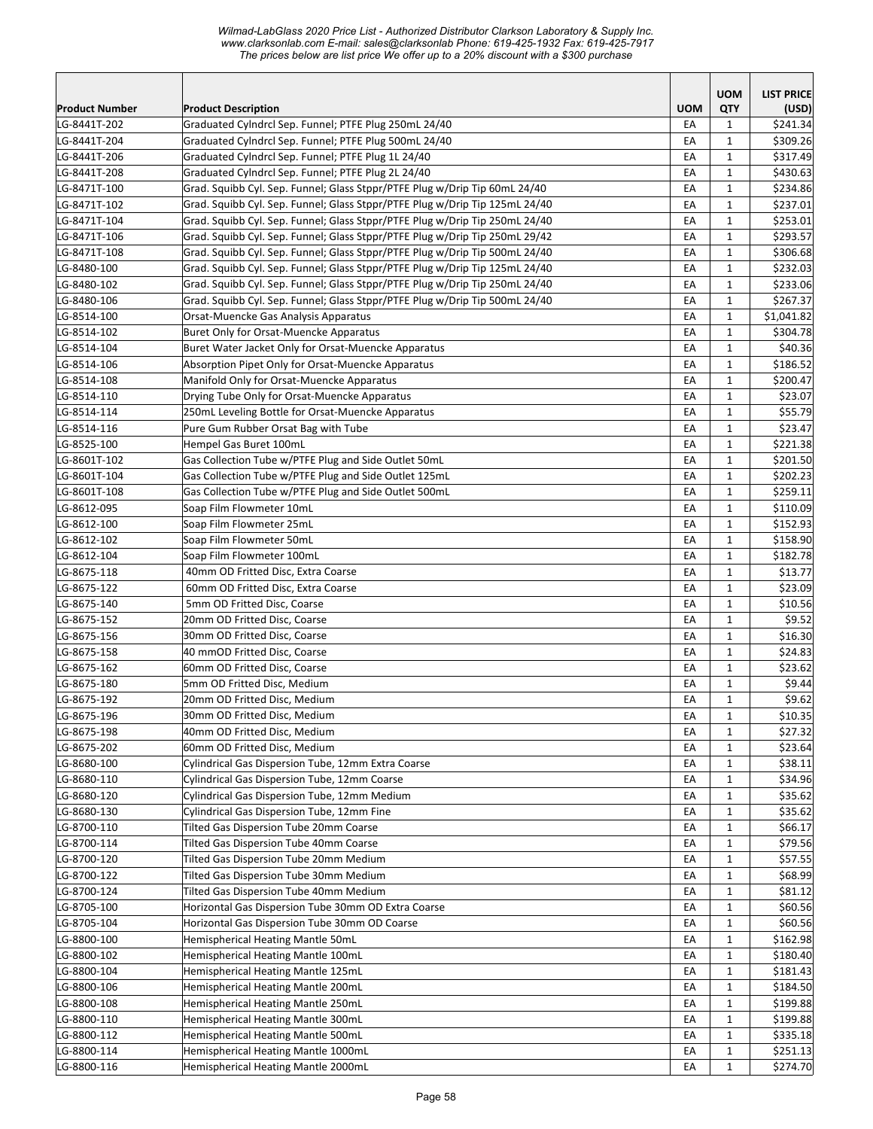*Wilmad-LabGlass 2020 Price List - Authorized Distributor Clarkson Laboratory & Supply Inc. www.clarksonlab.com E-mail: sales@clarksonlab Phone: 619-425-1932 Fax: 619-425-7917 The prices below are list price We offer up to a 20% discount with a \$300 purchase* 

|                       |                                                                             |            | <b>UOM</b>   | <b>LIST PRICE</b> |
|-----------------------|-----------------------------------------------------------------------------|------------|--------------|-------------------|
| <b>Product Number</b> | <b>Product Description</b>                                                  | <b>UOM</b> | QTY          | (USD)             |
| LG-8441T-202          | Graduated Cylndrcl Sep. Funnel; PTFE Plug 250mL 24/40                       | EA         | 1            | \$241.34          |
| LG-8441T-204          | Graduated Cylndrcl Sep. Funnel; PTFE Plug 500mL 24/40                       | EA         | $\mathbf{1}$ | \$309.26          |
| LG-8441T-206          | Graduated Cylndrcl Sep. Funnel; PTFE Plug 1L 24/40                          | EA         | 1            | \$317.49          |
| LG-8441T-208          | Graduated Cylndrcl Sep. Funnel; PTFE Plug 2L 24/40                          | EA         | $\mathbf{1}$ | \$430.63          |
| LG-8471T-100          | Grad. Squibb Cyl. Sep. Funnel; Glass Stppr/PTFE Plug w/Drip Tip 60mL 24/40  | EA         | $\mathbf{1}$ | \$234.86          |
| LG-8471T-102          | Grad. Squibb Cyl. Sep. Funnel; Glass Stppr/PTFE Plug w/Drip Tip 125mL 24/40 | EA         | $\mathbf{1}$ | \$237.01          |
| LG-8471T-104          | Grad. Squibb Cyl. Sep. Funnel; Glass Stppr/PTFE Plug w/Drip Tip 250mL 24/40 | EA         | $\mathbf{1}$ | \$253.01          |
| LG-8471T-106          | Grad. Squibb Cyl. Sep. Funnel; Glass Stppr/PTFE Plug w/Drip Tip 250mL 29/42 | EA         | $\mathbf{1}$ | \$293.57          |
| LG-8471T-108          | Grad. Squibb Cyl. Sep. Funnel; Glass Stppr/PTFE Plug w/Drip Tip 500mL 24/40 | EA         | $\mathbf{1}$ | \$306.68          |
| LG-8480-100           | Grad. Squibb Cyl. Sep. Funnel; Glass Stppr/PTFE Plug w/Drip Tip 125mL 24/40 | EA         | $\mathbf{1}$ | \$232.03          |
| LG-8480-102           | Grad. Squibb Cyl. Sep. Funnel; Glass Stppr/PTFE Plug w/Drip Tip 250mL 24/40 | EA         | $\mathbf{1}$ | \$233.06          |
| LG-8480-106           | Grad. Squibb Cyl. Sep. Funnel; Glass Stppr/PTFE Plug w/Drip Tip 500mL 24/40 | EA         | $\mathbf{1}$ | \$267.37          |
| LG-8514-100           | Orsat-Muencke Gas Analysis Apparatus                                        | EA         | $\mathbf{1}$ | \$1,041.82        |
| LG-8514-102           | Buret Only for Orsat-Muencke Apparatus                                      | EA         | $\mathbf{1}$ | \$304.78          |
| LG-8514-104           | Buret Water Jacket Only for Orsat-Muencke Apparatus                         | EA         | $\mathbf{1}$ | \$40.36           |
| LG-8514-106           | Absorption Pipet Only for Orsat-Muencke Apparatus                           | EA         | $\mathbf{1}$ | \$186.52          |
| LG-8514-108           | Manifold Only for Orsat-Muencke Apparatus                                   | EA         | $\mathbf{1}$ | \$200.47          |
| LG-8514-110           | Drying Tube Only for Orsat-Muencke Apparatus                                | EA         | $\mathbf{1}$ | \$23.07           |
| LG-8514-114           | 250mL Leveling Bottle for Orsat-Muencke Apparatus                           | EA         | $\mathbf{1}$ | \$55.79           |
| LG-8514-116           | Pure Gum Rubber Orsat Bag with Tube                                         | EA         | $\mathbf{1}$ | \$23.47           |
| LG-8525-100           | Hempel Gas Buret 100mL                                                      | EA         | $\mathbf{1}$ | \$221.38          |
| LG-8601T-102          | Gas Collection Tube w/PTFE Plug and Side Outlet 50mL                        | EA         | $\mathbf{1}$ | \$201.50          |
| LG-8601T-104          | Gas Collection Tube w/PTFE Plug and Side Outlet 125mL                       | EA         | $\mathbf{1}$ | \$202.23          |
| LG-8601T-108          | Gas Collection Tube w/PTFE Plug and Side Outlet 500mL                       | EA         | $\mathbf{1}$ | \$259.11          |
| LG-8612-095           | Soap Film Flowmeter 10mL                                                    | EA         | $\mathbf{1}$ | \$110.09          |
| LG-8612-100           | Soap Film Flowmeter 25mL                                                    | EA         | $\mathbf{1}$ | \$152.93          |
| LG-8612-102           | Soap Film Flowmeter 50mL                                                    | EA         | $\mathbf{1}$ | \$158.90          |
| LG-8612-104           | Soap Film Flowmeter 100mL                                                   | EA         | $\mathbf{1}$ | \$182.78          |
| LG-8675-118           | 40mm OD Fritted Disc, Extra Coarse                                          | EA         | $\mathbf{1}$ | \$13.77           |
| LG-8675-122           | 60mm OD Fritted Disc, Extra Coarse                                          | EA         | $\mathbf{1}$ | \$23.09           |
| LG-8675-140           | 5mm OD Fritted Disc, Coarse                                                 | EA         | $\mathbf{1}$ | \$10.56           |
| LG-8675-152           | 20mm OD Fritted Disc, Coarse                                                | EA         | $\mathbf{1}$ | \$9.52            |
| LG-8675-156           | 30mm OD Fritted Disc, Coarse                                                | EА         | $\mathbf{1}$ | \$16.30           |
| LG-8675-158           | 40 mmOD Fritted Disc, Coarse                                                | EA         | $\mathbf{1}$ | \$24.83           |
| LG-8675-162           | 60mm OD Fritted Disc, Coarse                                                | EA         | $\mathbf{1}$ | \$23.62           |
| LG-8675-180           | 5mm OD Fritted Disc, Medium                                                 | EA         | $\mathbf{1}$ | \$9.44            |
| LG-8675-192           | 20mm OD Fritted Disc, Medium                                                | EA         | $\mathbf{1}$ | \$9.62            |
| LG-8675-196           | 30mm OD Fritted Disc, Medium                                                | EA         | $\mathbf 1$  | \$10.35           |
| LG-8675-198           | 40mm OD Fritted Disc, Medium                                                | EA         | $\mathbf{1}$ | \$27.32           |
| LG-8675-202           | 60mm OD Fritted Disc, Medium                                                | EA         | 1            | \$23.64           |
| LG-8680-100           | Cylindrical Gas Dispersion Tube, 12mm Extra Coarse                          | EA         | $\mathbf{1}$ | \$38.11           |
| LG-8680-110           | Cylindrical Gas Dispersion Tube, 12mm Coarse                                | EA         | 1            | \$34.96           |
| LG-8680-120           | Cylindrical Gas Dispersion Tube, 12mm Medium                                | EA         | $\mathbf{1}$ | \$35.62           |
| LG-8680-130           | Cylindrical Gas Dispersion Tube, 12mm Fine                                  | EA         | $\mathbf 1$  | \$35.62           |
| LG-8700-110           | Tilted Gas Dispersion Tube 20mm Coarse                                      | EA         | $\mathbf{1}$ | \$66.17           |
| LG-8700-114           | Tilted Gas Dispersion Tube 40mm Coarse                                      | EA         | $\mathbf{1}$ | \$79.56           |
| LG-8700-120           | Tilted Gas Dispersion Tube 20mm Medium                                      | EA         | $\mathbf{1}$ | \$57.55           |
| LG-8700-122           | Tilted Gas Dispersion Tube 30mm Medium                                      | EA         | 1            | \$68.99           |
| LG-8700-124           | Tilted Gas Dispersion Tube 40mm Medium                                      | EA         | 1            | \$81.12           |
| LG-8705-100           | Horizontal Gas Dispersion Tube 30mm OD Extra Coarse                         | EA         | 1            | \$60.56           |
| LG-8705-104           | Horizontal Gas Dispersion Tube 30mm OD Coarse                               | EA         | $\mathbf{1}$ | \$60.56           |
| LG-8800-100           | Hemispherical Heating Mantle 50mL                                           | EA         | $\mathbf{1}$ | \$162.98          |
| LG-8800-102           | Hemispherical Heating Mantle 100mL                                          | EA         | $\mathbf{1}$ | \$180.40          |
| LG-8800-104           | Hemispherical Heating Mantle 125mL                                          | EA         | $\mathbf{1}$ | \$181.43          |
| LG-8800-106           | Hemispherical Heating Mantle 200mL                                          | EA         | $\mathbf{1}$ | \$184.50          |
| LG-8800-108           | Hemispherical Heating Mantle 250mL                                          | EA         | 1            | \$199.88          |
| LG-8800-110           | Hemispherical Heating Mantle 300mL                                          | EA         | 1            | \$199.88          |
| LG-8800-112           | Hemispherical Heating Mantle 500mL                                          | EA         | $\mathbf{1}$ | \$335.18          |
| LG-8800-114           | Hemispherical Heating Mantle 1000mL                                         | EA         | $\mathbf{1}$ | \$251.13          |
| LG-8800-116           | Hemispherical Heating Mantle 2000mL                                         | EA         | $\mathbf{1}$ | \$274.70          |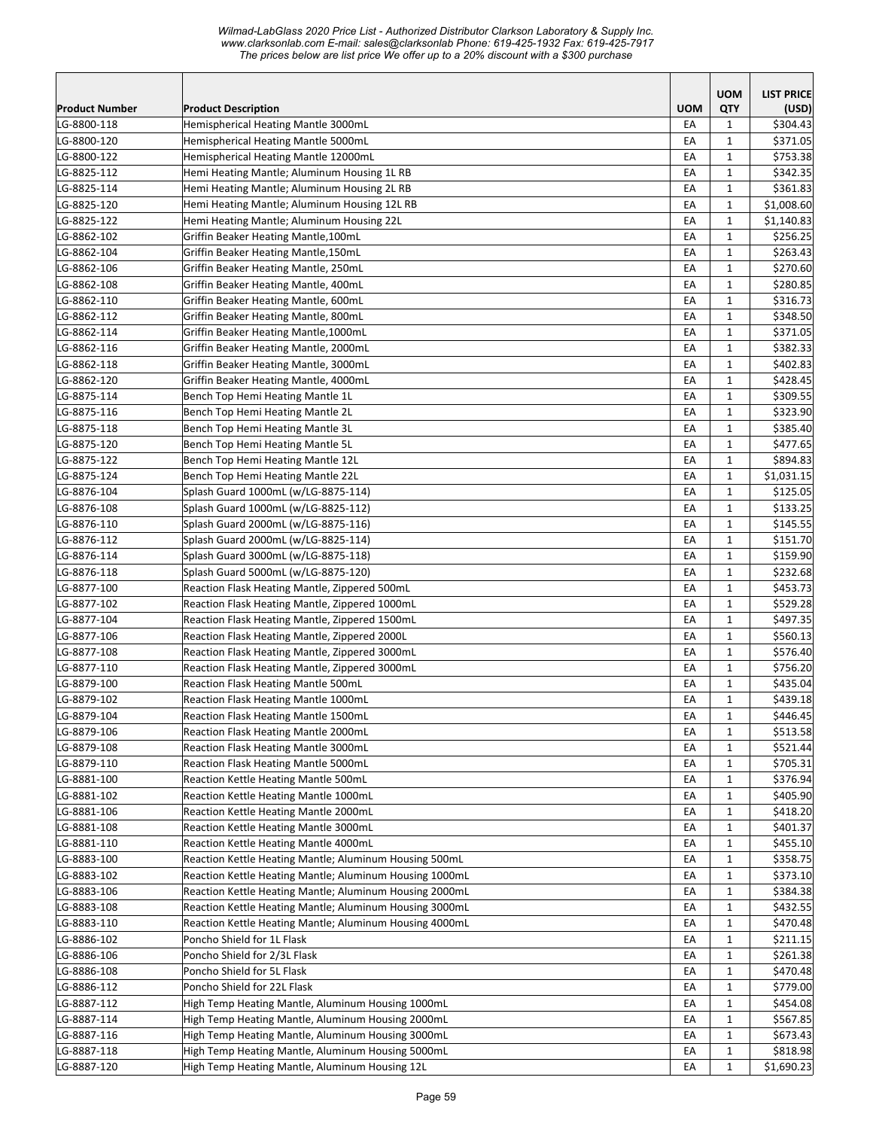| <b>UOM</b><br><b>LIST PRICE</b><br><b>UOM</b><br><b>QTY</b><br>Product Number<br><b>Product Description</b><br>(USD)<br>LG-8800-118<br>EA<br>\$304.43<br>Hemispherical Heating Mantle 3000mL<br>1<br>EA<br>$\mathbf{1}$<br>\$371.05<br>LG-8800-120<br>Hemispherical Heating Mantle 5000mL<br>\$753.38<br>LG-8800-122<br>Hemispherical Heating Mantle 12000mL<br>EA<br>$\mathbf{1}$<br>EA<br>$\mathbf{1}$<br>\$342.35<br>LG-8825-112<br>Hemi Heating Mantle; Aluminum Housing 1L RB<br>LG-8825-114<br>EA<br>\$361.83<br>Hemi Heating Mantle; Aluminum Housing 2L RB<br>1<br>\$1,008.60<br>LG-8825-120<br>EA<br>$\mathbf{1}$<br>Hemi Heating Mantle; Aluminum Housing 12L RB<br>EA<br>\$1,140.83<br>LG-8825-122<br>Hemi Heating Mantle; Aluminum Housing 22L<br>$\mathbf{1}$<br>LG-8862-102<br>EA<br>$\mathbf{1}$<br>\$256.25<br>Griffin Beaker Heating Mantle, 100mL<br>\$263.43<br>LG-8862-104<br>EA<br>$\mathbf{1}$<br>Griffin Beaker Heating Mantle, 150mL<br>\$270.60<br>EA<br>LG-8862-106<br>Griffin Beaker Heating Mantle, 250mL<br>1<br>EA<br>$\mathbf{1}$<br>\$280.85<br>LG-8862-108<br>Griffin Beaker Heating Mantle, 400mL<br>LG-8862-110<br>EA<br>$\mathbf{1}$<br>\$316.73<br>Griffin Beaker Heating Mantle, 600mL<br>EA<br>1<br>\$348.50<br>LG-8862-112<br>Griffin Beaker Heating Mantle, 800mL<br>EA<br>$\mathbf{1}$<br>\$371.05<br>LG-8862-114<br>Griffin Beaker Heating Mantle, 1000mL<br>EA<br>$\mathbf{1}$<br>\$382.33<br>LG-8862-116<br>Griffin Beaker Heating Mantle, 2000mL<br>LG-8862-118<br>EA<br>$\mathbf{1}$<br>\$402.83<br>Griffin Beaker Heating Mantle, 3000mL<br>EA<br>$\mathbf{1}$<br>\$428.45<br>LG-8862-120<br>Griffin Beaker Heating Mantle, 4000mL<br>\$309.55<br>LG-8875-114<br>Bench Top Hemi Heating Mantle 1L<br>EA<br>$\mathbf{1}$<br>EA<br>$\mathbf{1}$<br>\$323.90<br>LG-8875-116<br>Bench Top Hemi Heating Mantle 2L<br>LG-8875-118<br>EA<br>\$385.40<br>Bench Top Hemi Heating Mantle 3L<br>1<br>LG-8875-120<br>Bench Top Hemi Heating Mantle 5L<br>EA<br>1<br>\$477.65<br>EA<br>LG-8875-122<br>Bench Top Hemi Heating Mantle 12L<br>$\mathbf{1}$<br>\$894.83<br>EA<br>1<br>\$1,031.15<br>LG-8875-124<br>Bench Top Hemi Heating Mantle 22L<br>\$125.05<br>LG-8876-104<br>Splash Guard 1000mL (w/LG-8875-114)<br>EA<br>$\mathbf{1}$<br>\$133.25<br>LG-8876-108<br>Splash Guard 1000mL (w/LG-8825-112)<br>EA<br>$\mathbf{1}$<br>LG-8876-110<br>EA<br>$\mathbf{1}$<br>\$145.55<br>Splash Guard 2000mL (w/LG-8875-116)<br>LG-8876-112<br>Splash Guard 2000mL (w/LG-8825-114)<br>EA<br>\$151.70<br>1<br>EA<br>\$159.90<br>LG-8876-114<br>Splash Guard 3000mL (w/LG-8875-118)<br>1<br>EA<br>$\mathbf{1}$<br>\$232.68<br>LG-8876-118<br>Splash Guard 5000mL (w/LG-8875-120)<br>EA<br>LG-8877-100<br>Reaction Flask Heating Mantle, Zippered 500mL<br>$\mathbf{1}$<br>\$453.73<br>LG-8877-102<br>EA<br>$\mathbf{1}$<br>\$529.28<br>Reaction Flask Heating Mantle, Zippered 1000mL<br>EA<br>1<br>\$497.35<br>LG-8877-104<br>Reaction Flask Heating Mantle, Zippered 1500mL<br>LG-8877-106<br>EA<br>$\mathbf{1}$<br>\$560.13<br>Reaction Flask Heating Mantle, Zippered 2000L<br>LG-8877-108<br>Reaction Flask Heating Mantle, Zippered 3000mL<br>EA<br>$\mathbf{1}$<br>\$576.40<br>LG-8877-110<br>Reaction Flask Heating Mantle, Zippered 3000mL<br>EA<br>$\mathbf{1}$<br>\$756.20<br>EA<br>$\mathbf{1}$<br>\$435.04<br>LG-8879-100<br>Reaction Flask Heating Mantle 500mL<br>EA<br>$\mathbf{1}$<br>\$439.18<br>LG-8879-102<br>Reaction Flask Heating Mantle 1000mL<br>EA<br>$\mathbf 1$<br>\$446.45<br>LG-8879-104<br>Reaction Flask Heating Mantle 1500mL<br>LG-8879-106<br>EA<br>$\mathbf{1}$<br>\$513.58<br>Reaction Flask Heating Mantle 2000mL<br>LG-8879-108<br>\$521.44<br>Reaction Flask Heating Mantle 3000mL<br>EA<br>1<br>LG-8879-110<br>Reaction Flask Heating Mantle 5000mL<br>EA<br>\$705.31<br>1<br>LG-8881-100<br>Reaction Kettle Heating Mantle 500mL<br>EA<br>1<br>\$376.94<br>\$405.90<br>LG-8881-102<br>Reaction Kettle Heating Mantle 1000mL<br>EA<br>1<br>LG-8881-106<br>$\mathbf{1}$<br>\$418.20<br>Reaction Kettle Heating Mantle 2000mL<br>EA<br>LG-8881-108<br>EA<br>$\mathbf{1}$<br>\$401.37<br>Reaction Kettle Heating Mantle 3000mL<br>LG-8881-110<br>EA<br>$\mathbf{1}$<br>\$455.10<br>Reaction Kettle Heating Mantle 4000mL<br>LG-8883-100<br>EA<br>$\mathbf{1}$<br>\$358.75<br>Reaction Kettle Heating Mantle; Aluminum Housing 500mL<br>LG-8883-102<br>EA<br>$\mathbf{1}$<br>\$373.10<br>Reaction Kettle Heating Mantle; Aluminum Housing 1000mL<br>LG-8883-106<br>Reaction Kettle Heating Mantle; Aluminum Housing 2000mL<br>EA<br>$\mathbf{1}$<br>\$384.38<br>LG-8883-108<br>Reaction Kettle Heating Mantle; Aluminum Housing 3000mL<br>EA<br>$\mathbf{1}$<br>\$432.55<br>$\mathbf{1}$<br>\$470.48<br>LG-8883-110<br>Reaction Kettle Heating Mantle; Aluminum Housing 4000mL<br>EA<br>LG-8886-102<br>EA<br>$\mathbf{1}$<br>\$211.15<br>Poncho Shield for 1L Flask<br>LG-8886-106<br>Poncho Shield for 2/3L Flask<br>EA<br>$\mathbf{1}$<br>\$261.38<br>LG-8886-108<br>Poncho Shield for 5L Flask<br>EA<br>$\mathbf{1}$<br>\$470.48<br>LG-8886-112<br>Poncho Shield for 22L Flask<br>$\mathbf{1}$<br>\$779.00<br>EA<br>LG-8887-112<br>EA<br>\$454.08<br>High Temp Heating Mantle, Aluminum Housing 1000mL<br>$\mathbf{1}$<br>LG-8887-114<br>\$567.85<br>High Temp Heating Mantle, Aluminum Housing 2000mL<br>EA<br>1<br>LG-8887-116<br>High Temp Heating Mantle, Aluminum Housing 3000mL<br>\$673.43<br>EA<br>1<br>High Temp Heating Mantle, Aluminum Housing 5000mL<br>\$818.98<br>LG-8887-118<br>EA<br>1<br>$\mathbf{1}$<br>LG-8887-120<br>EA<br>\$1,690.23<br>High Temp Heating Mantle, Aluminum Housing 12L |  |  |  |
|-----------------------------------------------------------------------------------------------------------------------------------------------------------------------------------------------------------------------------------------------------------------------------------------------------------------------------------------------------------------------------------------------------------------------------------------------------------------------------------------------------------------------------------------------------------------------------------------------------------------------------------------------------------------------------------------------------------------------------------------------------------------------------------------------------------------------------------------------------------------------------------------------------------------------------------------------------------------------------------------------------------------------------------------------------------------------------------------------------------------------------------------------------------------------------------------------------------------------------------------------------------------------------------------------------------------------------------------------------------------------------------------------------------------------------------------------------------------------------------------------------------------------------------------------------------------------------------------------------------------------------------------------------------------------------------------------------------------------------------------------------------------------------------------------------------------------------------------------------------------------------------------------------------------------------------------------------------------------------------------------------------------------------------------------------------------------------------------------------------------------------------------------------------------------------------------------------------------------------------------------------------------------------------------------------------------------------------------------------------------------------------------------------------------------------------------------------------------------------------------------------------------------------------------------------------------------------------------------------------------------------------------------------------------------------------------------------------------------------------------------------------------------------------------------------------------------------------------------------------------------------------------------------------------------------------------------------------------------------------------------------------------------------------------------------------------------------------------------------------------------------------------------------------------------------------------------------------------------------------------------------------------------------------------------------------------------------------------------------------------------------------------------------------------------------------------------------------------------------------------------------------------------------------------------------------------------------------------------------------------------------------------------------------------------------------------------------------------------------------------------------------------------------------------------------------------------------------------------------------------------------------------------------------------------------------------------------------------------------------------------------------------------------------------------------------------------------------------------------------------------------------------------------------------------------------------------------------------------------------------------------------------------------------------------------------------------------------------------------------------------------------------------------------------------------------------------------------------------------------------------------------------------------------------------------------------------------------------------------------------------------------------------------------------------------------------------------------------------------------------------------------------------------------------------------------------------------------------------------------------------------------------------------------------------------------------------------------------------------------------------------------------------------------------------------------------------------------------------------------------------------------------------------------------------------------------------------------------------------------------------------------------------------------------------------------------------------------------------------------------------------------------------------------------------------------------------------------------------------------------------------------------------------------------------------------------------------------------------------------------------------------------------------------------------------------|--|--|--|
|                                                                                                                                                                                                                                                                                                                                                                                                                                                                                                                                                                                                                                                                                                                                                                                                                                                                                                                                                                                                                                                                                                                                                                                                                                                                                                                                                                                                                                                                                                                                                                                                                                                                                                                                                                                                                                                                                                                                                                                                                                                                                                                                                                                                                                                                                                                                                                                                                                                                                                                                                                                                                                                                                                                                                                                                                                                                                                                                                                                                                                                                                                                                                                                                                                                                                                                                                                                                                                                                                                                                                                                                                                                                                                                                                                                                                                                                                                                                                                                                                                                                                                                                                                                                                                                                                                                                                                                                                                                                                                                                                                                                                                                                                                                                                                                                                                                                                                                                                                                                                                                                                                                                                                                                                                                                                                                                                                                                                                                                                                                                                                                                                                                                                   |  |  |  |
|                                                                                                                                                                                                                                                                                                                                                                                                                                                                                                                                                                                                                                                                                                                                                                                                                                                                                                                                                                                                                                                                                                                                                                                                                                                                                                                                                                                                                                                                                                                                                                                                                                                                                                                                                                                                                                                                                                                                                                                                                                                                                                                                                                                                                                                                                                                                                                                                                                                                                                                                                                                                                                                                                                                                                                                                                                                                                                                                                                                                                                                                                                                                                                                                                                                                                                                                                                                                                                                                                                                                                                                                                                                                                                                                                                                                                                                                                                                                                                                                                                                                                                                                                                                                                                                                                                                                                                                                                                                                                                                                                                                                                                                                                                                                                                                                                                                                                                                                                                                                                                                                                                                                                                                                                                                                                                                                                                                                                                                                                                                                                                                                                                                                                   |  |  |  |
|                                                                                                                                                                                                                                                                                                                                                                                                                                                                                                                                                                                                                                                                                                                                                                                                                                                                                                                                                                                                                                                                                                                                                                                                                                                                                                                                                                                                                                                                                                                                                                                                                                                                                                                                                                                                                                                                                                                                                                                                                                                                                                                                                                                                                                                                                                                                                                                                                                                                                                                                                                                                                                                                                                                                                                                                                                                                                                                                                                                                                                                                                                                                                                                                                                                                                                                                                                                                                                                                                                                                                                                                                                                                                                                                                                                                                                                                                                                                                                                                                                                                                                                                                                                                                                                                                                                                                                                                                                                                                                                                                                                                                                                                                                                                                                                                                                                                                                                                                                                                                                                                                                                                                                                                                                                                                                                                                                                                                                                                                                                                                                                                                                                                                   |  |  |  |
|                                                                                                                                                                                                                                                                                                                                                                                                                                                                                                                                                                                                                                                                                                                                                                                                                                                                                                                                                                                                                                                                                                                                                                                                                                                                                                                                                                                                                                                                                                                                                                                                                                                                                                                                                                                                                                                                                                                                                                                                                                                                                                                                                                                                                                                                                                                                                                                                                                                                                                                                                                                                                                                                                                                                                                                                                                                                                                                                                                                                                                                                                                                                                                                                                                                                                                                                                                                                                                                                                                                                                                                                                                                                                                                                                                                                                                                                                                                                                                                                                                                                                                                                                                                                                                                                                                                                                                                                                                                                                                                                                                                                                                                                                                                                                                                                                                                                                                                                                                                                                                                                                                                                                                                                                                                                                                                                                                                                                                                                                                                                                                                                                                                                                   |  |  |  |
|                                                                                                                                                                                                                                                                                                                                                                                                                                                                                                                                                                                                                                                                                                                                                                                                                                                                                                                                                                                                                                                                                                                                                                                                                                                                                                                                                                                                                                                                                                                                                                                                                                                                                                                                                                                                                                                                                                                                                                                                                                                                                                                                                                                                                                                                                                                                                                                                                                                                                                                                                                                                                                                                                                                                                                                                                                                                                                                                                                                                                                                                                                                                                                                                                                                                                                                                                                                                                                                                                                                                                                                                                                                                                                                                                                                                                                                                                                                                                                                                                                                                                                                                                                                                                                                                                                                                                                                                                                                                                                                                                                                                                                                                                                                                                                                                                                                                                                                                                                                                                                                                                                                                                                                                                                                                                                                                                                                                                                                                                                                                                                                                                                                                                   |  |  |  |
|                                                                                                                                                                                                                                                                                                                                                                                                                                                                                                                                                                                                                                                                                                                                                                                                                                                                                                                                                                                                                                                                                                                                                                                                                                                                                                                                                                                                                                                                                                                                                                                                                                                                                                                                                                                                                                                                                                                                                                                                                                                                                                                                                                                                                                                                                                                                                                                                                                                                                                                                                                                                                                                                                                                                                                                                                                                                                                                                                                                                                                                                                                                                                                                                                                                                                                                                                                                                                                                                                                                                                                                                                                                                                                                                                                                                                                                                                                                                                                                                                                                                                                                                                                                                                                                                                                                                                                                                                                                                                                                                                                                                                                                                                                                                                                                                                                                                                                                                                                                                                                                                                                                                                                                                                                                                                                                                                                                                                                                                                                                                                                                                                                                                                   |  |  |  |
|                                                                                                                                                                                                                                                                                                                                                                                                                                                                                                                                                                                                                                                                                                                                                                                                                                                                                                                                                                                                                                                                                                                                                                                                                                                                                                                                                                                                                                                                                                                                                                                                                                                                                                                                                                                                                                                                                                                                                                                                                                                                                                                                                                                                                                                                                                                                                                                                                                                                                                                                                                                                                                                                                                                                                                                                                                                                                                                                                                                                                                                                                                                                                                                                                                                                                                                                                                                                                                                                                                                                                                                                                                                                                                                                                                                                                                                                                                                                                                                                                                                                                                                                                                                                                                                                                                                                                                                                                                                                                                                                                                                                                                                                                                                                                                                                                                                                                                                                                                                                                                                                                                                                                                                                                                                                                                                                                                                                                                                                                                                                                                                                                                                                                   |  |  |  |
|                                                                                                                                                                                                                                                                                                                                                                                                                                                                                                                                                                                                                                                                                                                                                                                                                                                                                                                                                                                                                                                                                                                                                                                                                                                                                                                                                                                                                                                                                                                                                                                                                                                                                                                                                                                                                                                                                                                                                                                                                                                                                                                                                                                                                                                                                                                                                                                                                                                                                                                                                                                                                                                                                                                                                                                                                                                                                                                                                                                                                                                                                                                                                                                                                                                                                                                                                                                                                                                                                                                                                                                                                                                                                                                                                                                                                                                                                                                                                                                                                                                                                                                                                                                                                                                                                                                                                                                                                                                                                                                                                                                                                                                                                                                                                                                                                                                                                                                                                                                                                                                                                                                                                                                                                                                                                                                                                                                                                                                                                                                                                                                                                                                                                   |  |  |  |
|                                                                                                                                                                                                                                                                                                                                                                                                                                                                                                                                                                                                                                                                                                                                                                                                                                                                                                                                                                                                                                                                                                                                                                                                                                                                                                                                                                                                                                                                                                                                                                                                                                                                                                                                                                                                                                                                                                                                                                                                                                                                                                                                                                                                                                                                                                                                                                                                                                                                                                                                                                                                                                                                                                                                                                                                                                                                                                                                                                                                                                                                                                                                                                                                                                                                                                                                                                                                                                                                                                                                                                                                                                                                                                                                                                                                                                                                                                                                                                                                                                                                                                                                                                                                                                                                                                                                                                                                                                                                                                                                                                                                                                                                                                                                                                                                                                                                                                                                                                                                                                                                                                                                                                                                                                                                                                                                                                                                                                                                                                                                                                                                                                                                                   |  |  |  |
|                                                                                                                                                                                                                                                                                                                                                                                                                                                                                                                                                                                                                                                                                                                                                                                                                                                                                                                                                                                                                                                                                                                                                                                                                                                                                                                                                                                                                                                                                                                                                                                                                                                                                                                                                                                                                                                                                                                                                                                                                                                                                                                                                                                                                                                                                                                                                                                                                                                                                                                                                                                                                                                                                                                                                                                                                                                                                                                                                                                                                                                                                                                                                                                                                                                                                                                                                                                                                                                                                                                                                                                                                                                                                                                                                                                                                                                                                                                                                                                                                                                                                                                                                                                                                                                                                                                                                                                                                                                                                                                                                                                                                                                                                                                                                                                                                                                                                                                                                                                                                                                                                                                                                                                                                                                                                                                                                                                                                                                                                                                                                                                                                                                                                   |  |  |  |
|                                                                                                                                                                                                                                                                                                                                                                                                                                                                                                                                                                                                                                                                                                                                                                                                                                                                                                                                                                                                                                                                                                                                                                                                                                                                                                                                                                                                                                                                                                                                                                                                                                                                                                                                                                                                                                                                                                                                                                                                                                                                                                                                                                                                                                                                                                                                                                                                                                                                                                                                                                                                                                                                                                                                                                                                                                                                                                                                                                                                                                                                                                                                                                                                                                                                                                                                                                                                                                                                                                                                                                                                                                                                                                                                                                                                                                                                                                                                                                                                                                                                                                                                                                                                                                                                                                                                                                                                                                                                                                                                                                                                                                                                                                                                                                                                                                                                                                                                                                                                                                                                                                                                                                                                                                                                                                                                                                                                                                                                                                                                                                                                                                                                                   |  |  |  |
|                                                                                                                                                                                                                                                                                                                                                                                                                                                                                                                                                                                                                                                                                                                                                                                                                                                                                                                                                                                                                                                                                                                                                                                                                                                                                                                                                                                                                                                                                                                                                                                                                                                                                                                                                                                                                                                                                                                                                                                                                                                                                                                                                                                                                                                                                                                                                                                                                                                                                                                                                                                                                                                                                                                                                                                                                                                                                                                                                                                                                                                                                                                                                                                                                                                                                                                                                                                                                                                                                                                                                                                                                                                                                                                                                                                                                                                                                                                                                                                                                                                                                                                                                                                                                                                                                                                                                                                                                                                                                                                                                                                                                                                                                                                                                                                                                                                                                                                                                                                                                                                                                                                                                                                                                                                                                                                                                                                                                                                                                                                                                                                                                                                                                   |  |  |  |
|                                                                                                                                                                                                                                                                                                                                                                                                                                                                                                                                                                                                                                                                                                                                                                                                                                                                                                                                                                                                                                                                                                                                                                                                                                                                                                                                                                                                                                                                                                                                                                                                                                                                                                                                                                                                                                                                                                                                                                                                                                                                                                                                                                                                                                                                                                                                                                                                                                                                                                                                                                                                                                                                                                                                                                                                                                                                                                                                                                                                                                                                                                                                                                                                                                                                                                                                                                                                                                                                                                                                                                                                                                                                                                                                                                                                                                                                                                                                                                                                                                                                                                                                                                                                                                                                                                                                                                                                                                                                                                                                                                                                                                                                                                                                                                                                                                                                                                                                                                                                                                                                                                                                                                                                                                                                                                                                                                                                                                                                                                                                                                                                                                                                                   |  |  |  |
|                                                                                                                                                                                                                                                                                                                                                                                                                                                                                                                                                                                                                                                                                                                                                                                                                                                                                                                                                                                                                                                                                                                                                                                                                                                                                                                                                                                                                                                                                                                                                                                                                                                                                                                                                                                                                                                                                                                                                                                                                                                                                                                                                                                                                                                                                                                                                                                                                                                                                                                                                                                                                                                                                                                                                                                                                                                                                                                                                                                                                                                                                                                                                                                                                                                                                                                                                                                                                                                                                                                                                                                                                                                                                                                                                                                                                                                                                                                                                                                                                                                                                                                                                                                                                                                                                                                                                                                                                                                                                                                                                                                                                                                                                                                                                                                                                                                                                                                                                                                                                                                                                                                                                                                                                                                                                                                                                                                                                                                                                                                                                                                                                                                                                   |  |  |  |
|                                                                                                                                                                                                                                                                                                                                                                                                                                                                                                                                                                                                                                                                                                                                                                                                                                                                                                                                                                                                                                                                                                                                                                                                                                                                                                                                                                                                                                                                                                                                                                                                                                                                                                                                                                                                                                                                                                                                                                                                                                                                                                                                                                                                                                                                                                                                                                                                                                                                                                                                                                                                                                                                                                                                                                                                                                                                                                                                                                                                                                                                                                                                                                                                                                                                                                                                                                                                                                                                                                                                                                                                                                                                                                                                                                                                                                                                                                                                                                                                                                                                                                                                                                                                                                                                                                                                                                                                                                                                                                                                                                                                                                                                                                                                                                                                                                                                                                                                                                                                                                                                                                                                                                                                                                                                                                                                                                                                                                                                                                                                                                                                                                                                                   |  |  |  |
|                                                                                                                                                                                                                                                                                                                                                                                                                                                                                                                                                                                                                                                                                                                                                                                                                                                                                                                                                                                                                                                                                                                                                                                                                                                                                                                                                                                                                                                                                                                                                                                                                                                                                                                                                                                                                                                                                                                                                                                                                                                                                                                                                                                                                                                                                                                                                                                                                                                                                                                                                                                                                                                                                                                                                                                                                                                                                                                                                                                                                                                                                                                                                                                                                                                                                                                                                                                                                                                                                                                                                                                                                                                                                                                                                                                                                                                                                                                                                                                                                                                                                                                                                                                                                                                                                                                                                                                                                                                                                                                                                                                                                                                                                                                                                                                                                                                                                                                                                                                                                                                                                                                                                                                                                                                                                                                                                                                                                                                                                                                                                                                                                                                                                   |  |  |  |
|                                                                                                                                                                                                                                                                                                                                                                                                                                                                                                                                                                                                                                                                                                                                                                                                                                                                                                                                                                                                                                                                                                                                                                                                                                                                                                                                                                                                                                                                                                                                                                                                                                                                                                                                                                                                                                                                                                                                                                                                                                                                                                                                                                                                                                                                                                                                                                                                                                                                                                                                                                                                                                                                                                                                                                                                                                                                                                                                                                                                                                                                                                                                                                                                                                                                                                                                                                                                                                                                                                                                                                                                                                                                                                                                                                                                                                                                                                                                                                                                                                                                                                                                                                                                                                                                                                                                                                                                                                                                                                                                                                                                                                                                                                                                                                                                                                                                                                                                                                                                                                                                                                                                                                                                                                                                                                                                                                                                                                                                                                                                                                                                                                                                                   |  |  |  |
|                                                                                                                                                                                                                                                                                                                                                                                                                                                                                                                                                                                                                                                                                                                                                                                                                                                                                                                                                                                                                                                                                                                                                                                                                                                                                                                                                                                                                                                                                                                                                                                                                                                                                                                                                                                                                                                                                                                                                                                                                                                                                                                                                                                                                                                                                                                                                                                                                                                                                                                                                                                                                                                                                                                                                                                                                                                                                                                                                                                                                                                                                                                                                                                                                                                                                                                                                                                                                                                                                                                                                                                                                                                                                                                                                                                                                                                                                                                                                                                                                                                                                                                                                                                                                                                                                                                                                                                                                                                                                                                                                                                                                                                                                                                                                                                                                                                                                                                                                                                                                                                                                                                                                                                                                                                                                                                                                                                                                                                                                                                                                                                                                                                                                   |  |  |  |
|                                                                                                                                                                                                                                                                                                                                                                                                                                                                                                                                                                                                                                                                                                                                                                                                                                                                                                                                                                                                                                                                                                                                                                                                                                                                                                                                                                                                                                                                                                                                                                                                                                                                                                                                                                                                                                                                                                                                                                                                                                                                                                                                                                                                                                                                                                                                                                                                                                                                                                                                                                                                                                                                                                                                                                                                                                                                                                                                                                                                                                                                                                                                                                                                                                                                                                                                                                                                                                                                                                                                                                                                                                                                                                                                                                                                                                                                                                                                                                                                                                                                                                                                                                                                                                                                                                                                                                                                                                                                                                                                                                                                                                                                                                                                                                                                                                                                                                                                                                                                                                                                                                                                                                                                                                                                                                                                                                                                                                                                                                                                                                                                                                                                                   |  |  |  |
|                                                                                                                                                                                                                                                                                                                                                                                                                                                                                                                                                                                                                                                                                                                                                                                                                                                                                                                                                                                                                                                                                                                                                                                                                                                                                                                                                                                                                                                                                                                                                                                                                                                                                                                                                                                                                                                                                                                                                                                                                                                                                                                                                                                                                                                                                                                                                                                                                                                                                                                                                                                                                                                                                                                                                                                                                                                                                                                                                                                                                                                                                                                                                                                                                                                                                                                                                                                                                                                                                                                                                                                                                                                                                                                                                                                                                                                                                                                                                                                                                                                                                                                                                                                                                                                                                                                                                                                                                                                                                                                                                                                                                                                                                                                                                                                                                                                                                                                                                                                                                                                                                                                                                                                                                                                                                                                                                                                                                                                                                                                                                                                                                                                                                   |  |  |  |
|                                                                                                                                                                                                                                                                                                                                                                                                                                                                                                                                                                                                                                                                                                                                                                                                                                                                                                                                                                                                                                                                                                                                                                                                                                                                                                                                                                                                                                                                                                                                                                                                                                                                                                                                                                                                                                                                                                                                                                                                                                                                                                                                                                                                                                                                                                                                                                                                                                                                                                                                                                                                                                                                                                                                                                                                                                                                                                                                                                                                                                                                                                                                                                                                                                                                                                                                                                                                                                                                                                                                                                                                                                                                                                                                                                                                                                                                                                                                                                                                                                                                                                                                                                                                                                                                                                                                                                                                                                                                                                                                                                                                                                                                                                                                                                                                                                                                                                                                                                                                                                                                                                                                                                                                                                                                                                                                                                                                                                                                                                                                                                                                                                                                                   |  |  |  |
|                                                                                                                                                                                                                                                                                                                                                                                                                                                                                                                                                                                                                                                                                                                                                                                                                                                                                                                                                                                                                                                                                                                                                                                                                                                                                                                                                                                                                                                                                                                                                                                                                                                                                                                                                                                                                                                                                                                                                                                                                                                                                                                                                                                                                                                                                                                                                                                                                                                                                                                                                                                                                                                                                                                                                                                                                                                                                                                                                                                                                                                                                                                                                                                                                                                                                                                                                                                                                                                                                                                                                                                                                                                                                                                                                                                                                                                                                                                                                                                                                                                                                                                                                                                                                                                                                                                                                                                                                                                                                                                                                                                                                                                                                                                                                                                                                                                                                                                                                                                                                                                                                                                                                                                                                                                                                                                                                                                                                                                                                                                                                                                                                                                                                   |  |  |  |
|                                                                                                                                                                                                                                                                                                                                                                                                                                                                                                                                                                                                                                                                                                                                                                                                                                                                                                                                                                                                                                                                                                                                                                                                                                                                                                                                                                                                                                                                                                                                                                                                                                                                                                                                                                                                                                                                                                                                                                                                                                                                                                                                                                                                                                                                                                                                                                                                                                                                                                                                                                                                                                                                                                                                                                                                                                                                                                                                                                                                                                                                                                                                                                                                                                                                                                                                                                                                                                                                                                                                                                                                                                                                                                                                                                                                                                                                                                                                                                                                                                                                                                                                                                                                                                                                                                                                                                                                                                                                                                                                                                                                                                                                                                                                                                                                                                                                                                                                                                                                                                                                                                                                                                                                                                                                                                                                                                                                                                                                                                                                                                                                                                                                                   |  |  |  |
|                                                                                                                                                                                                                                                                                                                                                                                                                                                                                                                                                                                                                                                                                                                                                                                                                                                                                                                                                                                                                                                                                                                                                                                                                                                                                                                                                                                                                                                                                                                                                                                                                                                                                                                                                                                                                                                                                                                                                                                                                                                                                                                                                                                                                                                                                                                                                                                                                                                                                                                                                                                                                                                                                                                                                                                                                                                                                                                                                                                                                                                                                                                                                                                                                                                                                                                                                                                                                                                                                                                                                                                                                                                                                                                                                                                                                                                                                                                                                                                                                                                                                                                                                                                                                                                                                                                                                                                                                                                                                                                                                                                                                                                                                                                                                                                                                                                                                                                                                                                                                                                                                                                                                                                                                                                                                                                                                                                                                                                                                                                                                                                                                                                                                   |  |  |  |
|                                                                                                                                                                                                                                                                                                                                                                                                                                                                                                                                                                                                                                                                                                                                                                                                                                                                                                                                                                                                                                                                                                                                                                                                                                                                                                                                                                                                                                                                                                                                                                                                                                                                                                                                                                                                                                                                                                                                                                                                                                                                                                                                                                                                                                                                                                                                                                                                                                                                                                                                                                                                                                                                                                                                                                                                                                                                                                                                                                                                                                                                                                                                                                                                                                                                                                                                                                                                                                                                                                                                                                                                                                                                                                                                                                                                                                                                                                                                                                                                                                                                                                                                                                                                                                                                                                                                                                                                                                                                                                                                                                                                                                                                                                                                                                                                                                                                                                                                                                                                                                                                                                                                                                                                                                                                                                                                                                                                                                                                                                                                                                                                                                                                                   |  |  |  |
|                                                                                                                                                                                                                                                                                                                                                                                                                                                                                                                                                                                                                                                                                                                                                                                                                                                                                                                                                                                                                                                                                                                                                                                                                                                                                                                                                                                                                                                                                                                                                                                                                                                                                                                                                                                                                                                                                                                                                                                                                                                                                                                                                                                                                                                                                                                                                                                                                                                                                                                                                                                                                                                                                                                                                                                                                                                                                                                                                                                                                                                                                                                                                                                                                                                                                                                                                                                                                                                                                                                                                                                                                                                                                                                                                                                                                                                                                                                                                                                                                                                                                                                                                                                                                                                                                                                                                                                                                                                                                                                                                                                                                                                                                                                                                                                                                                                                                                                                                                                                                                                                                                                                                                                                                                                                                                                                                                                                                                                                                                                                                                                                                                                                                   |  |  |  |
|                                                                                                                                                                                                                                                                                                                                                                                                                                                                                                                                                                                                                                                                                                                                                                                                                                                                                                                                                                                                                                                                                                                                                                                                                                                                                                                                                                                                                                                                                                                                                                                                                                                                                                                                                                                                                                                                                                                                                                                                                                                                                                                                                                                                                                                                                                                                                                                                                                                                                                                                                                                                                                                                                                                                                                                                                                                                                                                                                                                                                                                                                                                                                                                                                                                                                                                                                                                                                                                                                                                                                                                                                                                                                                                                                                                                                                                                                                                                                                                                                                                                                                                                                                                                                                                                                                                                                                                                                                                                                                                                                                                                                                                                                                                                                                                                                                                                                                                                                                                                                                                                                                                                                                                                                                                                                                                                                                                                                                                                                                                                                                                                                                                                                   |  |  |  |
|                                                                                                                                                                                                                                                                                                                                                                                                                                                                                                                                                                                                                                                                                                                                                                                                                                                                                                                                                                                                                                                                                                                                                                                                                                                                                                                                                                                                                                                                                                                                                                                                                                                                                                                                                                                                                                                                                                                                                                                                                                                                                                                                                                                                                                                                                                                                                                                                                                                                                                                                                                                                                                                                                                                                                                                                                                                                                                                                                                                                                                                                                                                                                                                                                                                                                                                                                                                                                                                                                                                                                                                                                                                                                                                                                                                                                                                                                                                                                                                                                                                                                                                                                                                                                                                                                                                                                                                                                                                                                                                                                                                                                                                                                                                                                                                                                                                                                                                                                                                                                                                                                                                                                                                                                                                                                                                                                                                                                                                                                                                                                                                                                                                                                   |  |  |  |
|                                                                                                                                                                                                                                                                                                                                                                                                                                                                                                                                                                                                                                                                                                                                                                                                                                                                                                                                                                                                                                                                                                                                                                                                                                                                                                                                                                                                                                                                                                                                                                                                                                                                                                                                                                                                                                                                                                                                                                                                                                                                                                                                                                                                                                                                                                                                                                                                                                                                                                                                                                                                                                                                                                                                                                                                                                                                                                                                                                                                                                                                                                                                                                                                                                                                                                                                                                                                                                                                                                                                                                                                                                                                                                                                                                                                                                                                                                                                                                                                                                                                                                                                                                                                                                                                                                                                                                                                                                                                                                                                                                                                                                                                                                                                                                                                                                                                                                                                                                                                                                                                                                                                                                                                                                                                                                                                                                                                                                                                                                                                                                                                                                                                                   |  |  |  |
|                                                                                                                                                                                                                                                                                                                                                                                                                                                                                                                                                                                                                                                                                                                                                                                                                                                                                                                                                                                                                                                                                                                                                                                                                                                                                                                                                                                                                                                                                                                                                                                                                                                                                                                                                                                                                                                                                                                                                                                                                                                                                                                                                                                                                                                                                                                                                                                                                                                                                                                                                                                                                                                                                                                                                                                                                                                                                                                                                                                                                                                                                                                                                                                                                                                                                                                                                                                                                                                                                                                                                                                                                                                                                                                                                                                                                                                                                                                                                                                                                                                                                                                                                                                                                                                                                                                                                                                                                                                                                                                                                                                                                                                                                                                                                                                                                                                                                                                                                                                                                                                                                                                                                                                                                                                                                                                                                                                                                                                                                                                                                                                                                                                                                   |  |  |  |
|                                                                                                                                                                                                                                                                                                                                                                                                                                                                                                                                                                                                                                                                                                                                                                                                                                                                                                                                                                                                                                                                                                                                                                                                                                                                                                                                                                                                                                                                                                                                                                                                                                                                                                                                                                                                                                                                                                                                                                                                                                                                                                                                                                                                                                                                                                                                                                                                                                                                                                                                                                                                                                                                                                                                                                                                                                                                                                                                                                                                                                                                                                                                                                                                                                                                                                                                                                                                                                                                                                                                                                                                                                                                                                                                                                                                                                                                                                                                                                                                                                                                                                                                                                                                                                                                                                                                                                                                                                                                                                                                                                                                                                                                                                                                                                                                                                                                                                                                                                                                                                                                                                                                                                                                                                                                                                                                                                                                                                                                                                                                                                                                                                                                                   |  |  |  |
|                                                                                                                                                                                                                                                                                                                                                                                                                                                                                                                                                                                                                                                                                                                                                                                                                                                                                                                                                                                                                                                                                                                                                                                                                                                                                                                                                                                                                                                                                                                                                                                                                                                                                                                                                                                                                                                                                                                                                                                                                                                                                                                                                                                                                                                                                                                                                                                                                                                                                                                                                                                                                                                                                                                                                                                                                                                                                                                                                                                                                                                                                                                                                                                                                                                                                                                                                                                                                                                                                                                                                                                                                                                                                                                                                                                                                                                                                                                                                                                                                                                                                                                                                                                                                                                                                                                                                                                                                                                                                                                                                                                                                                                                                                                                                                                                                                                                                                                                                                                                                                                                                                                                                                                                                                                                                                                                                                                                                                                                                                                                                                                                                                                                                   |  |  |  |
|                                                                                                                                                                                                                                                                                                                                                                                                                                                                                                                                                                                                                                                                                                                                                                                                                                                                                                                                                                                                                                                                                                                                                                                                                                                                                                                                                                                                                                                                                                                                                                                                                                                                                                                                                                                                                                                                                                                                                                                                                                                                                                                                                                                                                                                                                                                                                                                                                                                                                                                                                                                                                                                                                                                                                                                                                                                                                                                                                                                                                                                                                                                                                                                                                                                                                                                                                                                                                                                                                                                                                                                                                                                                                                                                                                                                                                                                                                                                                                                                                                                                                                                                                                                                                                                                                                                                                                                                                                                                                                                                                                                                                                                                                                                                                                                                                                                                                                                                                                                                                                                                                                                                                                                                                                                                                                                                                                                                                                                                                                                                                                                                                                                                                   |  |  |  |
|                                                                                                                                                                                                                                                                                                                                                                                                                                                                                                                                                                                                                                                                                                                                                                                                                                                                                                                                                                                                                                                                                                                                                                                                                                                                                                                                                                                                                                                                                                                                                                                                                                                                                                                                                                                                                                                                                                                                                                                                                                                                                                                                                                                                                                                                                                                                                                                                                                                                                                                                                                                                                                                                                                                                                                                                                                                                                                                                                                                                                                                                                                                                                                                                                                                                                                                                                                                                                                                                                                                                                                                                                                                                                                                                                                                                                                                                                                                                                                                                                                                                                                                                                                                                                                                                                                                                                                                                                                                                                                                                                                                                                                                                                                                                                                                                                                                                                                                                                                                                                                                                                                                                                                                                                                                                                                                                                                                                                                                                                                                                                                                                                                                                                   |  |  |  |
|                                                                                                                                                                                                                                                                                                                                                                                                                                                                                                                                                                                                                                                                                                                                                                                                                                                                                                                                                                                                                                                                                                                                                                                                                                                                                                                                                                                                                                                                                                                                                                                                                                                                                                                                                                                                                                                                                                                                                                                                                                                                                                                                                                                                                                                                                                                                                                                                                                                                                                                                                                                                                                                                                                                                                                                                                                                                                                                                                                                                                                                                                                                                                                                                                                                                                                                                                                                                                                                                                                                                                                                                                                                                                                                                                                                                                                                                                                                                                                                                                                                                                                                                                                                                                                                                                                                                                                                                                                                                                                                                                                                                                                                                                                                                                                                                                                                                                                                                                                                                                                                                                                                                                                                                                                                                                                                                                                                                                                                                                                                                                                                                                                                                                   |  |  |  |
|                                                                                                                                                                                                                                                                                                                                                                                                                                                                                                                                                                                                                                                                                                                                                                                                                                                                                                                                                                                                                                                                                                                                                                                                                                                                                                                                                                                                                                                                                                                                                                                                                                                                                                                                                                                                                                                                                                                                                                                                                                                                                                                                                                                                                                                                                                                                                                                                                                                                                                                                                                                                                                                                                                                                                                                                                                                                                                                                                                                                                                                                                                                                                                                                                                                                                                                                                                                                                                                                                                                                                                                                                                                                                                                                                                                                                                                                                                                                                                                                                                                                                                                                                                                                                                                                                                                                                                                                                                                                                                                                                                                                                                                                                                                                                                                                                                                                                                                                                                                                                                                                                                                                                                                                                                                                                                                                                                                                                                                                                                                                                                                                                                                                                   |  |  |  |
|                                                                                                                                                                                                                                                                                                                                                                                                                                                                                                                                                                                                                                                                                                                                                                                                                                                                                                                                                                                                                                                                                                                                                                                                                                                                                                                                                                                                                                                                                                                                                                                                                                                                                                                                                                                                                                                                                                                                                                                                                                                                                                                                                                                                                                                                                                                                                                                                                                                                                                                                                                                                                                                                                                                                                                                                                                                                                                                                                                                                                                                                                                                                                                                                                                                                                                                                                                                                                                                                                                                                                                                                                                                                                                                                                                                                                                                                                                                                                                                                                                                                                                                                                                                                                                                                                                                                                                                                                                                                                                                                                                                                                                                                                                                                                                                                                                                                                                                                                                                                                                                                                                                                                                                                                                                                                                                                                                                                                                                                                                                                                                                                                                                                                   |  |  |  |
|                                                                                                                                                                                                                                                                                                                                                                                                                                                                                                                                                                                                                                                                                                                                                                                                                                                                                                                                                                                                                                                                                                                                                                                                                                                                                                                                                                                                                                                                                                                                                                                                                                                                                                                                                                                                                                                                                                                                                                                                                                                                                                                                                                                                                                                                                                                                                                                                                                                                                                                                                                                                                                                                                                                                                                                                                                                                                                                                                                                                                                                                                                                                                                                                                                                                                                                                                                                                                                                                                                                                                                                                                                                                                                                                                                                                                                                                                                                                                                                                                                                                                                                                                                                                                                                                                                                                                                                                                                                                                                                                                                                                                                                                                                                                                                                                                                                                                                                                                                                                                                                                                                                                                                                                                                                                                                                                                                                                                                                                                                                                                                                                                                                                                   |  |  |  |
|                                                                                                                                                                                                                                                                                                                                                                                                                                                                                                                                                                                                                                                                                                                                                                                                                                                                                                                                                                                                                                                                                                                                                                                                                                                                                                                                                                                                                                                                                                                                                                                                                                                                                                                                                                                                                                                                                                                                                                                                                                                                                                                                                                                                                                                                                                                                                                                                                                                                                                                                                                                                                                                                                                                                                                                                                                                                                                                                                                                                                                                                                                                                                                                                                                                                                                                                                                                                                                                                                                                                                                                                                                                                                                                                                                                                                                                                                                                                                                                                                                                                                                                                                                                                                                                                                                                                                                                                                                                                                                                                                                                                                                                                                                                                                                                                                                                                                                                                                                                                                                                                                                                                                                                                                                                                                                                                                                                                                                                                                                                                                                                                                                                                                   |  |  |  |
|                                                                                                                                                                                                                                                                                                                                                                                                                                                                                                                                                                                                                                                                                                                                                                                                                                                                                                                                                                                                                                                                                                                                                                                                                                                                                                                                                                                                                                                                                                                                                                                                                                                                                                                                                                                                                                                                                                                                                                                                                                                                                                                                                                                                                                                                                                                                                                                                                                                                                                                                                                                                                                                                                                                                                                                                                                                                                                                                                                                                                                                                                                                                                                                                                                                                                                                                                                                                                                                                                                                                                                                                                                                                                                                                                                                                                                                                                                                                                                                                                                                                                                                                                                                                                                                                                                                                                                                                                                                                                                                                                                                                                                                                                                                                                                                                                                                                                                                                                                                                                                                                                                                                                                                                                                                                                                                                                                                                                                                                                                                                                                                                                                                                                   |  |  |  |
|                                                                                                                                                                                                                                                                                                                                                                                                                                                                                                                                                                                                                                                                                                                                                                                                                                                                                                                                                                                                                                                                                                                                                                                                                                                                                                                                                                                                                                                                                                                                                                                                                                                                                                                                                                                                                                                                                                                                                                                                                                                                                                                                                                                                                                                                                                                                                                                                                                                                                                                                                                                                                                                                                                                                                                                                                                                                                                                                                                                                                                                                                                                                                                                                                                                                                                                                                                                                                                                                                                                                                                                                                                                                                                                                                                                                                                                                                                                                                                                                                                                                                                                                                                                                                                                                                                                                                                                                                                                                                                                                                                                                                                                                                                                                                                                                                                                                                                                                                                                                                                                                                                                                                                                                                                                                                                                                                                                                                                                                                                                                                                                                                                                                                   |  |  |  |
|                                                                                                                                                                                                                                                                                                                                                                                                                                                                                                                                                                                                                                                                                                                                                                                                                                                                                                                                                                                                                                                                                                                                                                                                                                                                                                                                                                                                                                                                                                                                                                                                                                                                                                                                                                                                                                                                                                                                                                                                                                                                                                                                                                                                                                                                                                                                                                                                                                                                                                                                                                                                                                                                                                                                                                                                                                                                                                                                                                                                                                                                                                                                                                                                                                                                                                                                                                                                                                                                                                                                                                                                                                                                                                                                                                                                                                                                                                                                                                                                                                                                                                                                                                                                                                                                                                                                                                                                                                                                                                                                                                                                                                                                                                                                                                                                                                                                                                                                                                                                                                                                                                                                                                                                                                                                                                                                                                                                                                                                                                                                                                                                                                                                                   |  |  |  |
|                                                                                                                                                                                                                                                                                                                                                                                                                                                                                                                                                                                                                                                                                                                                                                                                                                                                                                                                                                                                                                                                                                                                                                                                                                                                                                                                                                                                                                                                                                                                                                                                                                                                                                                                                                                                                                                                                                                                                                                                                                                                                                                                                                                                                                                                                                                                                                                                                                                                                                                                                                                                                                                                                                                                                                                                                                                                                                                                                                                                                                                                                                                                                                                                                                                                                                                                                                                                                                                                                                                                                                                                                                                                                                                                                                                                                                                                                                                                                                                                                                                                                                                                                                                                                                                                                                                                                                                                                                                                                                                                                                                                                                                                                                                                                                                                                                                                                                                                                                                                                                                                                                                                                                                                                                                                                                                                                                                                                                                                                                                                                                                                                                                                                   |  |  |  |
|                                                                                                                                                                                                                                                                                                                                                                                                                                                                                                                                                                                                                                                                                                                                                                                                                                                                                                                                                                                                                                                                                                                                                                                                                                                                                                                                                                                                                                                                                                                                                                                                                                                                                                                                                                                                                                                                                                                                                                                                                                                                                                                                                                                                                                                                                                                                                                                                                                                                                                                                                                                                                                                                                                                                                                                                                                                                                                                                                                                                                                                                                                                                                                                                                                                                                                                                                                                                                                                                                                                                                                                                                                                                                                                                                                                                                                                                                                                                                                                                                                                                                                                                                                                                                                                                                                                                                                                                                                                                                                                                                                                                                                                                                                                                                                                                                                                                                                                                                                                                                                                                                                                                                                                                                                                                                                                                                                                                                                                                                                                                                                                                                                                                                   |  |  |  |
|                                                                                                                                                                                                                                                                                                                                                                                                                                                                                                                                                                                                                                                                                                                                                                                                                                                                                                                                                                                                                                                                                                                                                                                                                                                                                                                                                                                                                                                                                                                                                                                                                                                                                                                                                                                                                                                                                                                                                                                                                                                                                                                                                                                                                                                                                                                                                                                                                                                                                                                                                                                                                                                                                                                                                                                                                                                                                                                                                                                                                                                                                                                                                                                                                                                                                                                                                                                                                                                                                                                                                                                                                                                                                                                                                                                                                                                                                                                                                                                                                                                                                                                                                                                                                                                                                                                                                                                                                                                                                                                                                                                                                                                                                                                                                                                                                                                                                                                                                                                                                                                                                                                                                                                                                                                                                                                                                                                                                                                                                                                                                                                                                                                                                   |  |  |  |
|                                                                                                                                                                                                                                                                                                                                                                                                                                                                                                                                                                                                                                                                                                                                                                                                                                                                                                                                                                                                                                                                                                                                                                                                                                                                                                                                                                                                                                                                                                                                                                                                                                                                                                                                                                                                                                                                                                                                                                                                                                                                                                                                                                                                                                                                                                                                                                                                                                                                                                                                                                                                                                                                                                                                                                                                                                                                                                                                                                                                                                                                                                                                                                                                                                                                                                                                                                                                                                                                                                                                                                                                                                                                                                                                                                                                                                                                                                                                                                                                                                                                                                                                                                                                                                                                                                                                                                                                                                                                                                                                                                                                                                                                                                                                                                                                                                                                                                                                                                                                                                                                                                                                                                                                                                                                                                                                                                                                                                                                                                                                                                                                                                                                                   |  |  |  |
|                                                                                                                                                                                                                                                                                                                                                                                                                                                                                                                                                                                                                                                                                                                                                                                                                                                                                                                                                                                                                                                                                                                                                                                                                                                                                                                                                                                                                                                                                                                                                                                                                                                                                                                                                                                                                                                                                                                                                                                                                                                                                                                                                                                                                                                                                                                                                                                                                                                                                                                                                                                                                                                                                                                                                                                                                                                                                                                                                                                                                                                                                                                                                                                                                                                                                                                                                                                                                                                                                                                                                                                                                                                                                                                                                                                                                                                                                                                                                                                                                                                                                                                                                                                                                                                                                                                                                                                                                                                                                                                                                                                                                                                                                                                                                                                                                                                                                                                                                                                                                                                                                                                                                                                                                                                                                                                                                                                                                                                                                                                                                                                                                                                                                   |  |  |  |
|                                                                                                                                                                                                                                                                                                                                                                                                                                                                                                                                                                                                                                                                                                                                                                                                                                                                                                                                                                                                                                                                                                                                                                                                                                                                                                                                                                                                                                                                                                                                                                                                                                                                                                                                                                                                                                                                                                                                                                                                                                                                                                                                                                                                                                                                                                                                                                                                                                                                                                                                                                                                                                                                                                                                                                                                                                                                                                                                                                                                                                                                                                                                                                                                                                                                                                                                                                                                                                                                                                                                                                                                                                                                                                                                                                                                                                                                                                                                                                                                                                                                                                                                                                                                                                                                                                                                                                                                                                                                                                                                                                                                                                                                                                                                                                                                                                                                                                                                                                                                                                                                                                                                                                                                                                                                                                                                                                                                                                                                                                                                                                                                                                                                                   |  |  |  |
|                                                                                                                                                                                                                                                                                                                                                                                                                                                                                                                                                                                                                                                                                                                                                                                                                                                                                                                                                                                                                                                                                                                                                                                                                                                                                                                                                                                                                                                                                                                                                                                                                                                                                                                                                                                                                                                                                                                                                                                                                                                                                                                                                                                                                                                                                                                                                                                                                                                                                                                                                                                                                                                                                                                                                                                                                                                                                                                                                                                                                                                                                                                                                                                                                                                                                                                                                                                                                                                                                                                                                                                                                                                                                                                                                                                                                                                                                                                                                                                                                                                                                                                                                                                                                                                                                                                                                                                                                                                                                                                                                                                                                                                                                                                                                                                                                                                                                                                                                                                                                                                                                                                                                                                                                                                                                                                                                                                                                                                                                                                                                                                                                                                                                   |  |  |  |
|                                                                                                                                                                                                                                                                                                                                                                                                                                                                                                                                                                                                                                                                                                                                                                                                                                                                                                                                                                                                                                                                                                                                                                                                                                                                                                                                                                                                                                                                                                                                                                                                                                                                                                                                                                                                                                                                                                                                                                                                                                                                                                                                                                                                                                                                                                                                                                                                                                                                                                                                                                                                                                                                                                                                                                                                                                                                                                                                                                                                                                                                                                                                                                                                                                                                                                                                                                                                                                                                                                                                                                                                                                                                                                                                                                                                                                                                                                                                                                                                                                                                                                                                                                                                                                                                                                                                                                                                                                                                                                                                                                                                                                                                                                                                                                                                                                                                                                                                                                                                                                                                                                                                                                                                                                                                                                                                                                                                                                                                                                                                                                                                                                                                                   |  |  |  |
|                                                                                                                                                                                                                                                                                                                                                                                                                                                                                                                                                                                                                                                                                                                                                                                                                                                                                                                                                                                                                                                                                                                                                                                                                                                                                                                                                                                                                                                                                                                                                                                                                                                                                                                                                                                                                                                                                                                                                                                                                                                                                                                                                                                                                                                                                                                                                                                                                                                                                                                                                                                                                                                                                                                                                                                                                                                                                                                                                                                                                                                                                                                                                                                                                                                                                                                                                                                                                                                                                                                                                                                                                                                                                                                                                                                                                                                                                                                                                                                                                                                                                                                                                                                                                                                                                                                                                                                                                                                                                                                                                                                                                                                                                                                                                                                                                                                                                                                                                                                                                                                                                                                                                                                                                                                                                                                                                                                                                                                                                                                                                                                                                                                                                   |  |  |  |
|                                                                                                                                                                                                                                                                                                                                                                                                                                                                                                                                                                                                                                                                                                                                                                                                                                                                                                                                                                                                                                                                                                                                                                                                                                                                                                                                                                                                                                                                                                                                                                                                                                                                                                                                                                                                                                                                                                                                                                                                                                                                                                                                                                                                                                                                                                                                                                                                                                                                                                                                                                                                                                                                                                                                                                                                                                                                                                                                                                                                                                                                                                                                                                                                                                                                                                                                                                                                                                                                                                                                                                                                                                                                                                                                                                                                                                                                                                                                                                                                                                                                                                                                                                                                                                                                                                                                                                                                                                                                                                                                                                                                                                                                                                                                                                                                                                                                                                                                                                                                                                                                                                                                                                                                                                                                                                                                                                                                                                                                                                                                                                                                                                                                                   |  |  |  |
|                                                                                                                                                                                                                                                                                                                                                                                                                                                                                                                                                                                                                                                                                                                                                                                                                                                                                                                                                                                                                                                                                                                                                                                                                                                                                                                                                                                                                                                                                                                                                                                                                                                                                                                                                                                                                                                                                                                                                                                                                                                                                                                                                                                                                                                                                                                                                                                                                                                                                                                                                                                                                                                                                                                                                                                                                                                                                                                                                                                                                                                                                                                                                                                                                                                                                                                                                                                                                                                                                                                                                                                                                                                                                                                                                                                                                                                                                                                                                                                                                                                                                                                                                                                                                                                                                                                                                                                                                                                                                                                                                                                                                                                                                                                                                                                                                                                                                                                                                                                                                                                                                                                                                                                                                                                                                                                                                                                                                                                                                                                                                                                                                                                                                   |  |  |  |
|                                                                                                                                                                                                                                                                                                                                                                                                                                                                                                                                                                                                                                                                                                                                                                                                                                                                                                                                                                                                                                                                                                                                                                                                                                                                                                                                                                                                                                                                                                                                                                                                                                                                                                                                                                                                                                                                                                                                                                                                                                                                                                                                                                                                                                                                                                                                                                                                                                                                                                                                                                                                                                                                                                                                                                                                                                                                                                                                                                                                                                                                                                                                                                                                                                                                                                                                                                                                                                                                                                                                                                                                                                                                                                                                                                                                                                                                                                                                                                                                                                                                                                                                                                                                                                                                                                                                                                                                                                                                                                                                                                                                                                                                                                                                                                                                                                                                                                                                                                                                                                                                                                                                                                                                                                                                                                                                                                                                                                                                                                                                                                                                                                                                                   |  |  |  |
|                                                                                                                                                                                                                                                                                                                                                                                                                                                                                                                                                                                                                                                                                                                                                                                                                                                                                                                                                                                                                                                                                                                                                                                                                                                                                                                                                                                                                                                                                                                                                                                                                                                                                                                                                                                                                                                                                                                                                                                                                                                                                                                                                                                                                                                                                                                                                                                                                                                                                                                                                                                                                                                                                                                                                                                                                                                                                                                                                                                                                                                                                                                                                                                                                                                                                                                                                                                                                                                                                                                                                                                                                                                                                                                                                                                                                                                                                                                                                                                                                                                                                                                                                                                                                                                                                                                                                                                                                                                                                                                                                                                                                                                                                                                                                                                                                                                                                                                                                                                                                                                                                                                                                                                                                                                                                                                                                                                                                                                                                                                                                                                                                                                                                   |  |  |  |
|                                                                                                                                                                                                                                                                                                                                                                                                                                                                                                                                                                                                                                                                                                                                                                                                                                                                                                                                                                                                                                                                                                                                                                                                                                                                                                                                                                                                                                                                                                                                                                                                                                                                                                                                                                                                                                                                                                                                                                                                                                                                                                                                                                                                                                                                                                                                                                                                                                                                                                                                                                                                                                                                                                                                                                                                                                                                                                                                                                                                                                                                                                                                                                                                                                                                                                                                                                                                                                                                                                                                                                                                                                                                                                                                                                                                                                                                                                                                                                                                                                                                                                                                                                                                                                                                                                                                                                                                                                                                                                                                                                                                                                                                                                                                                                                                                                                                                                                                                                                                                                                                                                                                                                                                                                                                                                                                                                                                                                                                                                                                                                                                                                                                                   |  |  |  |
|                                                                                                                                                                                                                                                                                                                                                                                                                                                                                                                                                                                                                                                                                                                                                                                                                                                                                                                                                                                                                                                                                                                                                                                                                                                                                                                                                                                                                                                                                                                                                                                                                                                                                                                                                                                                                                                                                                                                                                                                                                                                                                                                                                                                                                                                                                                                                                                                                                                                                                                                                                                                                                                                                                                                                                                                                                                                                                                                                                                                                                                                                                                                                                                                                                                                                                                                                                                                                                                                                                                                                                                                                                                                                                                                                                                                                                                                                                                                                                                                                                                                                                                                                                                                                                                                                                                                                                                                                                                                                                                                                                                                                                                                                                                                                                                                                                                                                                                                                                                                                                                                                                                                                                                                                                                                                                                                                                                                                                                                                                                                                                                                                                                                                   |  |  |  |
|                                                                                                                                                                                                                                                                                                                                                                                                                                                                                                                                                                                                                                                                                                                                                                                                                                                                                                                                                                                                                                                                                                                                                                                                                                                                                                                                                                                                                                                                                                                                                                                                                                                                                                                                                                                                                                                                                                                                                                                                                                                                                                                                                                                                                                                                                                                                                                                                                                                                                                                                                                                                                                                                                                                                                                                                                                                                                                                                                                                                                                                                                                                                                                                                                                                                                                                                                                                                                                                                                                                                                                                                                                                                                                                                                                                                                                                                                                                                                                                                                                                                                                                                                                                                                                                                                                                                                                                                                                                                                                                                                                                                                                                                                                                                                                                                                                                                                                                                                                                                                                                                                                                                                                                                                                                                                                                                                                                                                                                                                                                                                                                                                                                                                   |  |  |  |
|                                                                                                                                                                                                                                                                                                                                                                                                                                                                                                                                                                                                                                                                                                                                                                                                                                                                                                                                                                                                                                                                                                                                                                                                                                                                                                                                                                                                                                                                                                                                                                                                                                                                                                                                                                                                                                                                                                                                                                                                                                                                                                                                                                                                                                                                                                                                                                                                                                                                                                                                                                                                                                                                                                                                                                                                                                                                                                                                                                                                                                                                                                                                                                                                                                                                                                                                                                                                                                                                                                                                                                                                                                                                                                                                                                                                                                                                                                                                                                                                                                                                                                                                                                                                                                                                                                                                                                                                                                                                                                                                                                                                                                                                                                                                                                                                                                                                                                                                                                                                                                                                                                                                                                                                                                                                                                                                                                                                                                                                                                                                                                                                                                                                                   |  |  |  |
|                                                                                                                                                                                                                                                                                                                                                                                                                                                                                                                                                                                                                                                                                                                                                                                                                                                                                                                                                                                                                                                                                                                                                                                                                                                                                                                                                                                                                                                                                                                                                                                                                                                                                                                                                                                                                                                                                                                                                                                                                                                                                                                                                                                                                                                                                                                                                                                                                                                                                                                                                                                                                                                                                                                                                                                                                                                                                                                                                                                                                                                                                                                                                                                                                                                                                                                                                                                                                                                                                                                                                                                                                                                                                                                                                                                                                                                                                                                                                                                                                                                                                                                                                                                                                                                                                                                                                                                                                                                                                                                                                                                                                                                                                                                                                                                                                                                                                                                                                                                                                                                                                                                                                                                                                                                                                                                                                                                                                                                                                                                                                                                                                                                                                   |  |  |  |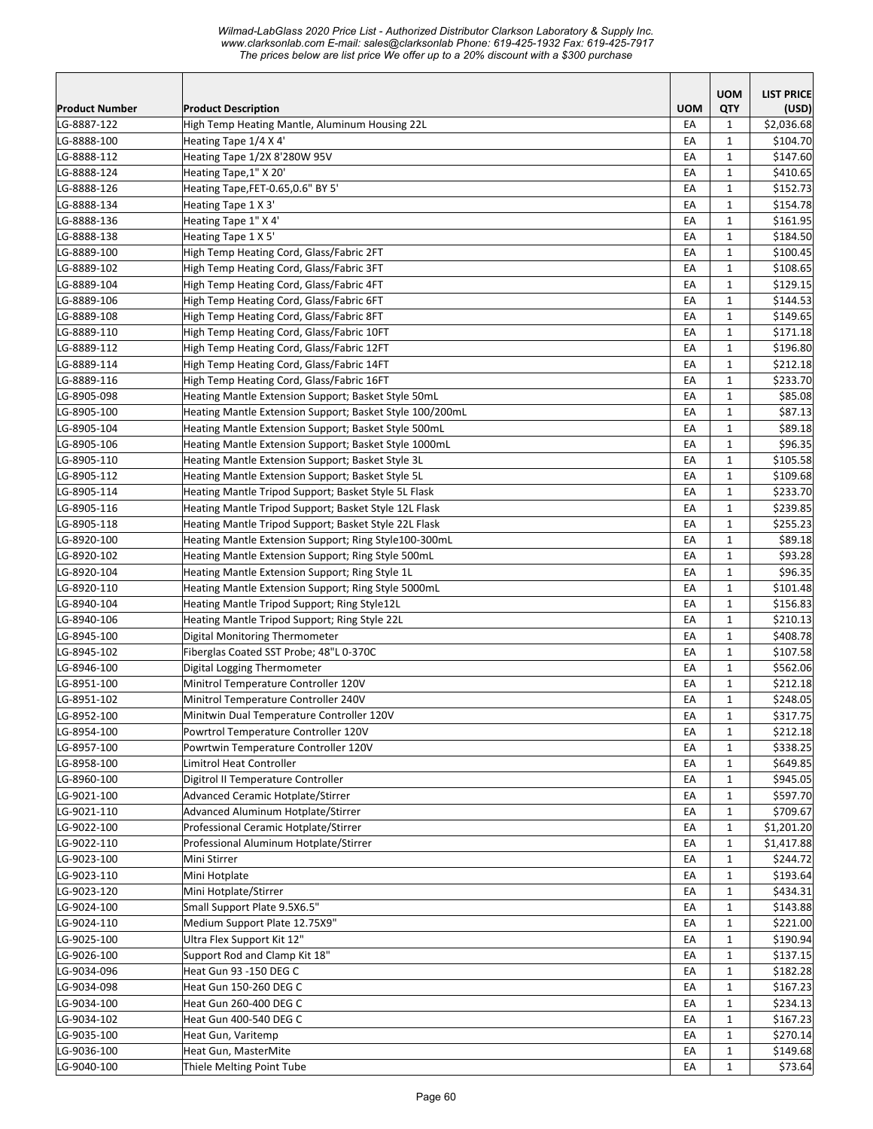*Wilmad-LabGlass 2020 Price List - Authorized Distributor Clarkson Laboratory & Supply Inc. www.clarksonlab.com E-mail: sales@clarksonlab Phone: 619-425-1932 Fax: 619-425-7917 The prices below are list price We offer up to a 20% discount with a \$300 purchase* 

|                            |                                                                                 |            | <b>UOM</b>                   | <b>LIST PRICE</b>      |
|----------------------------|---------------------------------------------------------------------------------|------------|------------------------------|------------------------|
| Product Number             | <b>Product Description</b>                                                      | <b>UOM</b> | QTY                          | (USD)                  |
| LG-8887-122                | High Temp Heating Mantle, Aluminum Housing 22L                                  | EA         | 1                            | \$2,036.68             |
| LG-8888-100                | Heating Tape 1/4 X 4'                                                           | EA         | 1                            | \$104.70               |
| LG-8888-112                | Heating Tape 1/2X 8'280W 95V                                                    | EA         | 1                            | \$147.60               |
| LG-8888-124                | Heating Tape, 1" X 20'                                                          | EA         | $\mathbf{1}$                 | \$410.65               |
| LG-8888-126                | Heating Tape, FET-0.65, 0.6" BY 5'                                              | EA         | $\mathbf{1}$                 | \$152.73               |
| LG-8888-134                | Heating Tape 1 X 3'                                                             | EA         | $\mathbf{1}$                 | \$154.78               |
| LG-8888-136                | Heating Tape 1" X 4'                                                            | EA         | $\mathbf{1}$                 | \$161.95               |
| LG-8888-138                | Heating Tape 1 X 5'                                                             | EA         | 1                            | \$184.50               |
| LG-8889-100                | High Temp Heating Cord, Glass/Fabric 2FT                                        | EA         | 1                            | \$100.45               |
| LG-8889-102                | High Temp Heating Cord, Glass/Fabric 3FT                                        | EA         | $\mathbf{1}$                 | \$108.65               |
| LG-8889-104                | High Temp Heating Cord, Glass/Fabric 4FT                                        | EA         | 1                            | \$129.15               |
| LG-8889-106                | High Temp Heating Cord, Glass/Fabric 6FT                                        | EA         | 1                            | \$144.53               |
| LG-8889-108                | High Temp Heating Cord, Glass/Fabric 8FT                                        | EA         | $\mathbf{1}$                 | \$149.65               |
| LG-8889-110                | High Temp Heating Cord, Glass/Fabric 10FT                                       | EA         | $\mathbf{1}$                 | \$171.18               |
| LG-8889-112                | High Temp Heating Cord, Glass/Fabric 12FT                                       | EA         | 1                            | \$196.80               |
| LG-8889-114                | High Temp Heating Cord, Glass/Fabric 14FT                                       | EA         | 1                            | \$212.18               |
| LG-8889-116                | High Temp Heating Cord, Glass/Fabric 16FT                                       | EA         | $\mathbf{1}$                 | \$233.70               |
| LG-8905-098                | Heating Mantle Extension Support; Basket Style 50mL                             | EA         | 1                            | \$85.08                |
| LG-8905-100                | Heating Mantle Extension Support; Basket Style 100/200mL                        | EA         | $\mathbf{1}$                 | \$87.13                |
| LG-8905-104                | Heating Mantle Extension Support; Basket Style 500mL                            | EA         | $\mathbf{1}$                 | \$89.18                |
| LG-8905-106                | Heating Mantle Extension Support; Basket Style 1000mL                           | EA         | $\mathbf{1}$                 | \$96.35                |
| LG-8905-110                | Heating Mantle Extension Support; Basket Style 3L                               | EA         | $\mathbf{1}$                 | \$105.58               |
| LG-8905-112                | Heating Mantle Extension Support; Basket Style 5L                               | EA         | 1                            | \$109.68               |
| LG-8905-114                | Heating Mantle Tripod Support; Basket Style 5L Flask                            | EA         | $\mathbf{1}$                 | \$233.70               |
| LG-8905-116                | Heating Mantle Tripod Support; Basket Style 12L Flask                           | EA         | 1                            | \$239.85               |
| LG-8905-118                | Heating Mantle Tripod Support; Basket Style 22L Flask                           | EA         | 1                            | \$255.23               |
| LG-8920-100                | Heating Mantle Extension Support; Ring Style100-300mL                           | EA         | 1                            | \$89.18                |
| LG-8920-102                | Heating Mantle Extension Support; Ring Style 500mL                              | EA         | $\mathbf{1}$                 | \$93.28                |
| LG-8920-104                | Heating Mantle Extension Support; Ring Style 1L                                 | EA         | $\mathbf{1}$                 | \$96.35                |
| LG-8920-110                | Heating Mantle Extension Support; Ring Style 5000mL                             | EA         | 1                            | \$101.48               |
| LG-8940-104                | Heating Mantle Tripod Support; Ring Style12L                                    | EA         | 1                            | \$156.83               |
| LG-8940-106                | Heating Mantle Tripod Support; Ring Style 22L                                   | EA         | $\mathbf{1}$                 | \$210.13               |
| LG-8945-100                | Digital Monitoring Thermometer                                                  | EA         | 1                            | \$408.78               |
| LG-8945-102                | Fiberglas Coated SST Probe; 48"L 0-370C                                         | EA         | 1                            | \$107.58               |
| LG-8946-100                | Digital Logging Thermometer                                                     | EA         | 1                            | \$562.06               |
| LG-8951-100                | Minitrol Temperature Controller 120V                                            | EA         | $\mathbf{1}$                 | \$212.18               |
| LG-8951-102                | Minitrol Temperature Controller 240V                                            | EA         | $\mathbf{1}$                 | \$248.05               |
| LG-8952-100                | Minitwin Dual Temperature Controller 120V                                       | EA         | $\mathbf 1$                  | \$317.75               |
| LG-8954-100                | Powrtrol Temperature Controller 120V                                            | EA         | $\mathbf{1}$                 | \$212.18               |
| LG-8957-100                | Powrtwin Temperature Controller 120V                                            | EA         | 1                            | \$338.25               |
| LG-8958-100                | Limitrol Heat Controller                                                        | EA         | $\mathbf 1$                  | \$649.85               |
| LG-8960-100                | Digitrol II Temperature Controller                                              | EA         | 1                            | \$945.05               |
| LG-9021-100                | Advanced Ceramic Hotplate/Stirrer<br>Advanced Aluminum Hotplate/Stirrer         | EA         | 1                            | \$597.70               |
| LG-9021-110                |                                                                                 | EA         | $\mathbf{1}$                 | \$709.67               |
| LG-9022-100<br>LG-9022-110 | Professional Ceramic Hotplate/Stirrer<br>Professional Aluminum Hotplate/Stirrer | EA         | $\mathbf{1}$                 | \$1,201.20             |
| LG-9023-100                |                                                                                 | EA         | $\mathbf{1}$                 | \$1,417.88<br>\$244.72 |
| LG-9023-110                | Mini Stirrer                                                                    | EA<br>EA   | $\mathbf{1}$                 | \$193.64               |
| LG-9023-120                | Mini Hotplate<br>Mini Hotplate/Stirrer                                          |            | $\mathbf{1}$                 | \$434.31               |
|                            |                                                                                 | EA         | $\mathbf 1$                  |                        |
| LG-9024-100<br>LG-9024-110 | Small Support Plate 9.5X6.5"<br>Medium Support Plate 12.75X9"                   | EA<br>EA   | $\mathbf{1}$<br>$\mathbf{1}$ | \$143.88<br>\$221.00   |
| LG-9025-100                | Ultra Flex Support Kit 12"                                                      | EA         | $\mathbf{1}$                 | \$190.94               |
| LG-9026-100                | Support Rod and Clamp Kit 18"                                                   | EA         | $\mathbf{1}$                 | \$137.15               |
| LG-9034-096                | Heat Gun 93 -150 DEG C                                                          | EA         | $\mathbf{1}$                 | \$182.28               |
| LG-9034-098                | Heat Gun 150-260 DEG C                                                          | EA         | $\mathbf{1}$                 | \$167.23               |
| LG-9034-100                | Heat Gun 260-400 DEG C                                                          | EA         | $\mathbf 1$                  | \$234.13               |
| LG-9034-102                | Heat Gun 400-540 DEG C                                                          | EA         | $\mathbf{1}$                 | \$167.23               |
| LG-9035-100                | Heat Gun, Varitemp                                                              | EA         | 1                            | \$270.14               |
| LG-9036-100                | Heat Gun, MasterMite                                                            | EA         | $\mathbf{1}$                 | \$149.68               |
| LG-9040-100                | Thiele Melting Point Tube                                                       | EA         | $\mathbf{1}$                 | \$73.64                |
|                            |                                                                                 |            |                              |                        |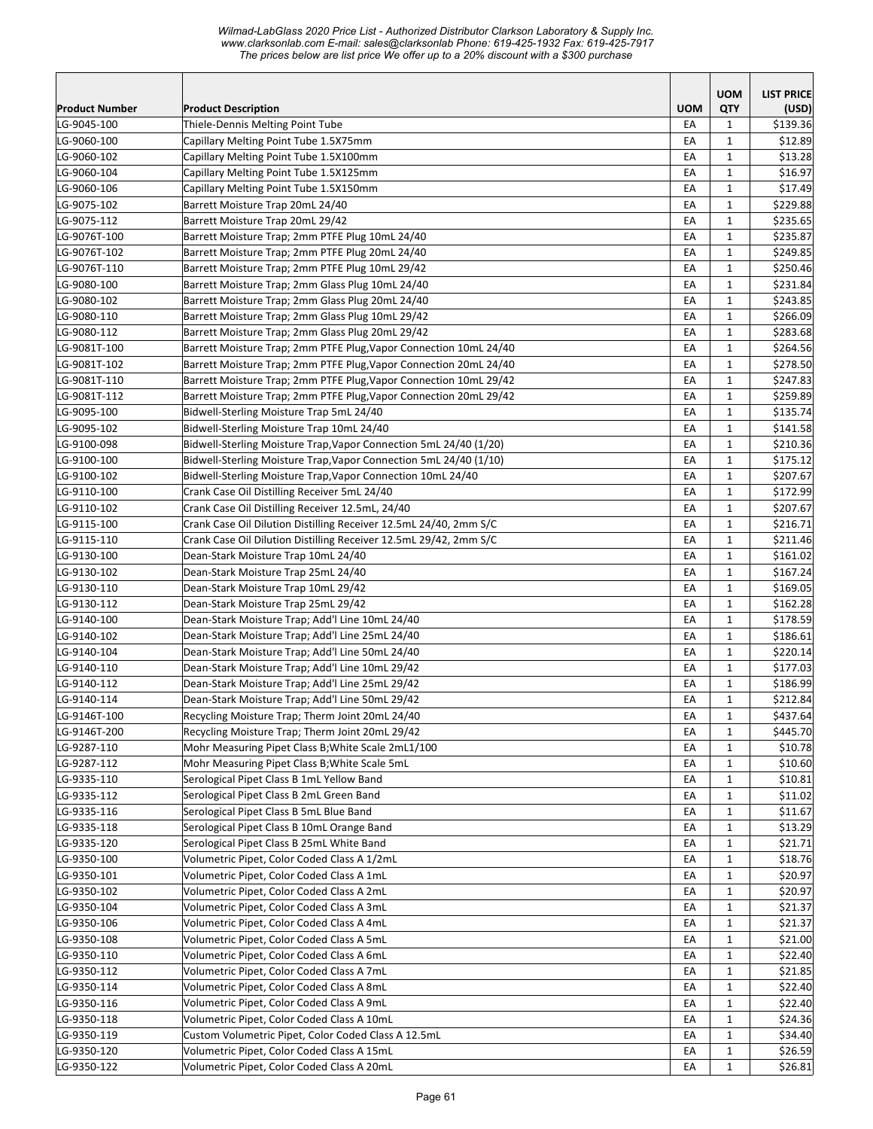|                       |                                                                   |            | <b>UOM</b>   | <b>LIST PRICE</b> |
|-----------------------|-------------------------------------------------------------------|------------|--------------|-------------------|
| <b>Product Number</b> | <b>Product Description</b>                                        | <b>UOM</b> | QTY          | (USD)             |
| LG-9045-100           | Thiele-Dennis Melting Point Tube                                  | EA         | 1            | \$139.36          |
| LG-9060-100           | Capillary Melting Point Tube 1.5X75mm                             | EA         | $\mathbf{1}$ | \$12.89           |
| LG-9060-102           | Capillary Melting Point Tube 1.5X100mm                            | EA         | 1            | \$13.28           |
| LG-9060-104           | Capillary Melting Point Tube 1.5X125mm                            | EA         | $\mathbf{1}$ | \$16.97           |
| LG-9060-106           | Capillary Melting Point Tube 1.5X150mm                            | EA         | $\mathbf{1}$ | \$17.49           |
| LG-9075-102           | Barrett Moisture Trap 20mL 24/40                                  | EA         | $\mathbf{1}$ | \$229.88          |
| LG-9075-112           | Barrett Moisture Trap 20mL 29/42                                  | EA         | $\mathbf{1}$ | \$235.65          |
| LG-9076T-100          | Barrett Moisture Trap; 2mm PTFE Plug 10mL 24/40                   | EA         | $\mathbf{1}$ | \$235.87          |
| LG-9076T-102          | Barrett Moisture Trap; 2mm PTFE Plug 20mL 24/40                   | EA         | $\mathbf{1}$ | \$249.85          |
| LG-9076T-110          | Barrett Moisture Trap; 2mm PTFE Plug 10mL 29/42                   | EA         | $\mathbf{1}$ | \$250.46          |
| LG-9080-100           | Barrett Moisture Trap; 2mm Glass Plug 10mL 24/40                  | EA         | $\mathbf{1}$ | \$231.84          |
| LG-9080-102           | Barrett Moisture Trap; 2mm Glass Plug 20mL 24/40                  | EA         | $\mathbf{1}$ | \$243.85          |
| LG-9080-110           | Barrett Moisture Trap; 2mm Glass Plug 10mL 29/42                  | EA         | 1            | \$266.09          |
| LG-9080-112           | Barrett Moisture Trap; 2mm Glass Plug 20mL 29/42                  | EA         | 1            | \$283.68          |
| LG-9081T-100          | Barrett Moisture Trap; 2mm PTFE Plug, Vapor Connection 10mL 24/40 | EA         | $\mathbf{1}$ | \$264.56          |
| LG-9081T-102          | Barrett Moisture Trap; 2mm PTFE Plug, Vapor Connection 20mL 24/40 | EA         | 1            | \$278.50          |
| LG-9081T-110          | Barrett Moisture Trap; 2mm PTFE Plug, Vapor Connection 10mL 29/42 | EA         | $\mathbf{1}$ | \$247.83          |
| LG-9081T-112          | Barrett Moisture Trap; 2mm PTFE Plug, Vapor Connection 20mL 29/42 | EA         | 1            | \$259.89          |
| LG-9095-100           | Bidwell-Sterling Moisture Trap 5mL 24/40                          | EA         | $\mathbf{1}$ | \$135.74          |
| LG-9095-102           | Bidwell-Sterling Moisture Trap 10mL 24/40                         | EA         | $\mathbf{1}$ | \$141.58          |
| LG-9100-098           | Bidwell-Sterling Moisture Trap, Vapor Connection 5mL 24/40 (1/20) | EA         | $\mathbf{1}$ | \$210.36          |
| LG-9100-100           | Bidwell-Sterling Moisture Trap, Vapor Connection 5mL 24/40 (1/10) | EA         | $\mathbf{1}$ | \$175.12          |
| LG-9100-102           | Bidwell-Sterling Moisture Trap, Vapor Connection 10mL 24/40       | EA         | $\mathbf{1}$ | \$207.67          |
| LG-9110-100           | Crank Case Oil Distilling Receiver 5mL 24/40                      | EA         | $\mathbf{1}$ | \$172.99          |
| LG-9110-102           | Crank Case Oil Distilling Receiver 12.5mL, 24/40                  | EA         | $\mathbf{1}$ | \$207.67          |
| LG-9115-100           | Crank Case Oil Dilution Distilling Receiver 12.5mL 24/40, 2mm S/C | EA         | $\mathbf{1}$ | \$216.71          |
| LG-9115-110           | Crank Case Oil Dilution Distilling Receiver 12.5mL 29/42, 2mm S/C | EA         | $\mathbf{1}$ | \$211.46          |
| LG-9130-100           | Dean-Stark Moisture Trap 10mL 24/40                               | EA         | $\mathbf{1}$ | \$161.02          |
| LG-9130-102           | Dean-Stark Moisture Trap 25mL 24/40                               | EA         | $\mathbf{1}$ | \$167.24          |
| LG-9130-110           | Dean-Stark Moisture Trap 10mL 29/42                               | EA         | $\mathbf{1}$ | \$169.05          |
| LG-9130-112           | Dean-Stark Moisture Trap 25mL 29/42                               | EA         | $\mathbf{1}$ | \$162.28          |
| LG-9140-100           | Dean-Stark Moisture Trap; Add'l Line 10mL 24/40                   | EA         | $\mathbf{1}$ | \$178.59          |
| LG-9140-102           | Dean-Stark Moisture Trap; Add'l Line 25mL 24/40                   | EA         | 1            | \$186.61          |
| LG-9140-104           | Dean-Stark Moisture Trap; Add'l Line 50mL 24/40                   | EA         | $\mathbf{1}$ | \$220.14]         |
| LG-9140-110           | Dean-Stark Moisture Trap; Add'l Line 10mL 29/42                   | EA         | 1            | \$177.03          |
| LG-9140-112           | Dean-Stark Moisture Trap; Add'l Line 25mL 29/42                   | EA         | $\mathbf{1}$ | \$186.99          |
| LG-9140-114           | Dean-Stark Moisture Trap; Add'l Line 50mL 29/42                   | EA         | $\mathbf{1}$ | \$212.84          |
| LG-9146T-100          | Recycling Moisture Trap; Therm Joint 20mL 24/40                   | EA         | $\mathbf 1$  | \$437.64          |
| LG-9146T-200          | Recycling Moisture Trap; Therm Joint 20mL 29/42                   | EA         | $\mathbf{1}$ | \$445.70          |
| LG-9287-110           | Mohr Measuring Pipet Class B; White Scale 2mL1/100                | EA         | 1            | \$10.78           |
| LG-9287-112           | Mohr Measuring Pipet Class B; White Scale 5mL                     | EA         | $\mathbf{1}$ | \$10.60           |
| LG-9335-110           | Serological Pipet Class B 1mL Yellow Band                         | EA         | $\mathbf{1}$ | \$10.81           |
| LG-9335-112           | Serological Pipet Class B 2mL Green Band                          | EA         | $\mathbf{1}$ | \$11.02           |
| LG-9335-116           | Serological Pipet Class B 5mL Blue Band                           | EA         | $\mathbf{1}$ | \$11.67           |
| LG-9335-118           | Serological Pipet Class B 10mL Orange Band                        | EA         | $\mathbf{1}$ | \$13.29           |
| LG-9335-120           | Serological Pipet Class B 25mL White Band                         | EA         | $\mathbf{1}$ | \$21.71           |
| LG-9350-100           | Volumetric Pipet, Color Coded Class A 1/2mL                       | EA         | $\mathbf{1}$ | \$18.76           |
| LG-9350-101           | Volumetric Pipet, Color Coded Class A 1mL                         | EA         | $\mathbf{1}$ | \$20.97           |
| LG-9350-102           | Volumetric Pipet, Color Coded Class A 2mL                         | EA         | $\mathbf{1}$ | \$20.97           |
| LG-9350-104           | Volumetric Pipet, Color Coded Class A 3mL                         | EA         | 1            | \$21.37           |
| LG-9350-106           | Volumetric Pipet, Color Coded Class A 4mL                         | EA         | $\mathbf{1}$ | \$21.37           |
| LG-9350-108           | Volumetric Pipet, Color Coded Class A 5mL                         | EA         | $\mathbf{1}$ | \$21.00           |
| LG-9350-110           | Volumetric Pipet, Color Coded Class A 6mL                         | EA         | $\mathbf{1}$ | \$22.40           |
|                       |                                                                   |            |              |                   |
| LG-9350-112           | Volumetric Pipet, Color Coded Class A 7mL                         | EA         | $\mathbf{1}$ | \$21.85           |
| LG-9350-114           | Volumetric Pipet, Color Coded Class A 8mL                         | EA         | $\mathbf{1}$ | \$22.40           |
| LG-9350-116           | Volumetric Pipet, Color Coded Class A 9mL                         | EA         | $\mathbf{1}$ | \$22.40           |
| LG-9350-118           | Volumetric Pipet, Color Coded Class A 10mL                        | EA         | $\mathbf{1}$ | \$24.36           |
| LG-9350-119           | Custom Volumetric Pipet, Color Coded Class A 12.5mL               | EA         | $\mathbf{1}$ | \$34.40           |
| LG-9350-120           | Volumetric Pipet, Color Coded Class A 15mL                        | EA         | $\mathbf{1}$ | \$26.59           |
| LG-9350-122           | Volumetric Pipet, Color Coded Class A 20mL                        | EA         | $\mathbf{1}$ | \$26.81           |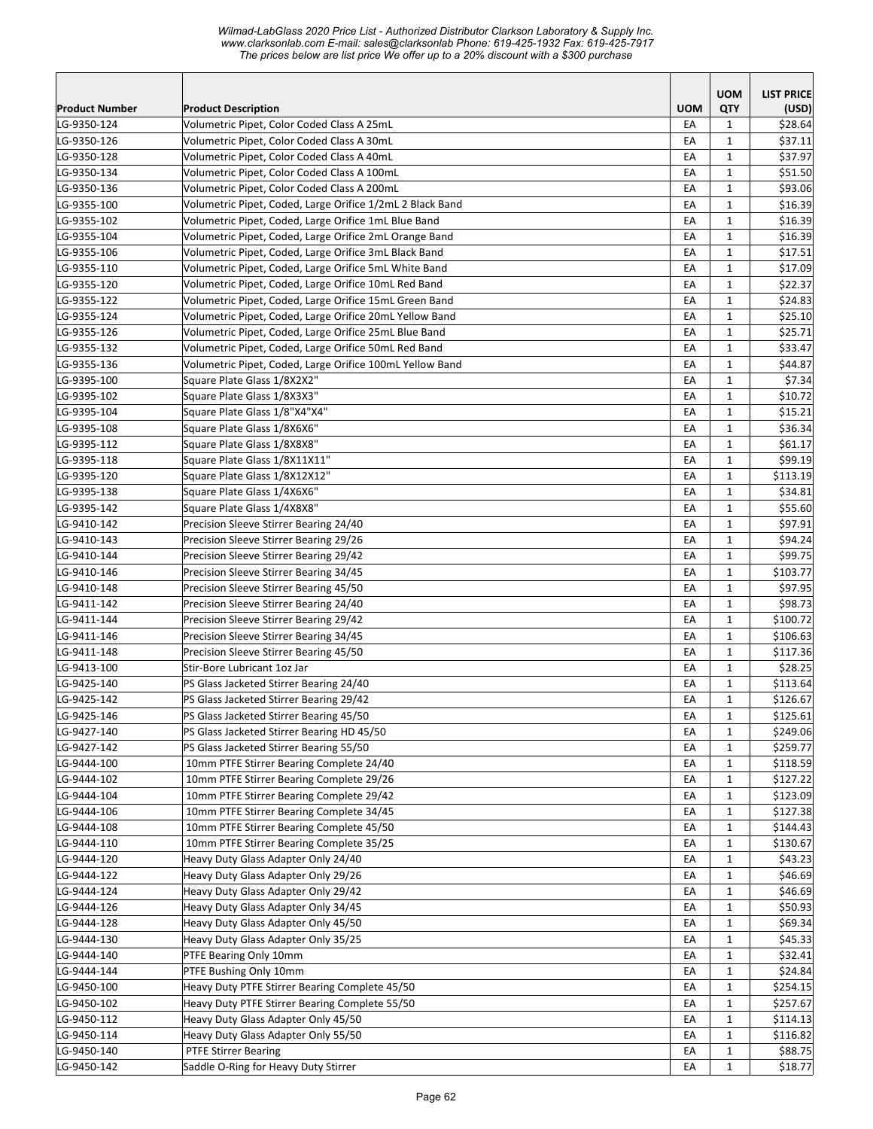*Wilmad-LabGlass 2020 Price List - Authorized Distributor Clarkson Laboratory & Supply Inc. www.clarksonlab.com E-mail: sales@clarksonlab Phone: 619-425-1932 Fax: 619-425-7917 The prices below are list price We offer up to a 20% discount with a \$300 purchase* 

|                       |                                                           |            | <b>UOM</b>   | <b>LIST PRICE</b> |
|-----------------------|-----------------------------------------------------------|------------|--------------|-------------------|
| <b>Product Number</b> | <b>Product Description</b>                                | <b>UOM</b> | <b>QTY</b>   | (USD)             |
| LG-9350-124           | Volumetric Pipet. Color Coded Class A 25mL                | EA         | $\mathbf{1}$ | \$28.64           |
| LG-9350-126           | Volumetric Pipet, Color Coded Class A 30mL                | EA         | $\mathbf{1}$ | \$37.11           |
| LG-9350-128           | Volumetric Pipet, Color Coded Class A 40mL                | EA         | $\mathbf{1}$ | \$37.97           |
| LG-9350-134           | Volumetric Pipet, Color Coded Class A 100mL               | EA         | $\mathbf{1}$ | \$51.50           |
| LG-9350-136           | Volumetric Pipet, Color Coded Class A 200mL               | EA         | $\mathbf{1}$ | \$93.06           |
| LG-9355-100           | Volumetric Pipet, Coded, Large Orifice 1/2mL 2 Black Band | EA         | $\mathbf{1}$ | \$16.39           |
| LG-9355-102           | Volumetric Pipet, Coded, Large Orifice 1mL Blue Band      | EA         | $\mathbf{1}$ | \$16.39           |
| LG-9355-104           | Volumetric Pipet, Coded, Large Orifice 2mL Orange Band    | EA         | $\mathbf{1}$ | \$16.39           |
| LG-9355-106           | Volumetric Pipet, Coded, Large Orifice 3mL Black Band     | EA         | $\mathbf{1}$ | \$17.51           |
| LG-9355-110           | Volumetric Pipet, Coded, Large Orifice 5mL White Band     | EA         | $\mathbf{1}$ | \$17.09           |
| LG-9355-120           | Volumetric Pipet, Coded, Large Orifice 10mL Red Band      | EA         | $\mathbf{1}$ | \$22.37           |
| LG-9355-122           | Volumetric Pipet, Coded, Large Orifice 15mL Green Band    | EA         | $\mathbf{1}$ | \$24.83           |
| LG-9355-124           | Volumetric Pipet, Coded, Large Orifice 20mL Yellow Band   | EA         | $\mathbf{1}$ | \$25.10           |
| LG-9355-126           | Volumetric Pipet, Coded, Large Orifice 25mL Blue Band     | EA         | $\mathbf{1}$ | \$25.71           |
| LG-9355-132           | Volumetric Pipet, Coded, Large Orifice 50mL Red Band      | EA         | $\mathbf{1}$ | \$33.47           |
| LG-9355-136           | Volumetric Pipet, Coded, Large Orifice 100mL Yellow Band  | EA         | $\mathbf{1}$ | \$44.87           |
| LG-9395-100           | Square Plate Glass 1/8X2X2"                               | EA         | $\mathbf{1}$ | \$7.34            |
| LG-9395-102           | Square Plate Glass 1/8X3X3"                               | EA         | $\mathbf{1}$ | \$10.72           |
| LG-9395-104           | Square Plate Glass 1/8"X4"X4"                             | EA         | $\mathbf{1}$ | \$15.21           |
| LG-9395-108           | Square Plate Glass 1/8X6X6"                               | EA         | $\mathbf{1}$ | \$36.34           |
| LG-9395-112           | Square Plate Glass 1/8X8X8"                               | EA         | $\mathbf{1}$ | \$61.17           |
| LG-9395-118           | Square Plate Glass 1/8X11X11"                             | EA         | $\mathbf{1}$ | \$99.19           |
| LG-9395-120           | Square Plate Glass 1/8X12X12"                             | EA         | $\mathbf{1}$ | \$113.19          |
| LG-9395-138           | Square Plate Glass 1/4X6X6"                               | EA         | $\mathbf{1}$ | \$34.81           |
| LG-9395-142           | Square Plate Glass 1/4X8X8"                               | EA         | $\mathbf{1}$ | \$55.60           |
| LG-9410-142           | Precision Sleeve Stirrer Bearing 24/40                    | EA         | $\mathbf{1}$ | \$97.91           |
| LG-9410-143           | Precision Sleeve Stirrer Bearing 29/26                    | EA         | $\mathbf{1}$ | \$94.24           |
| LG-9410-144           | Precision Sleeve Stirrer Bearing 29/42                    | EA         | $\mathbf{1}$ | \$99.75           |
| LG-9410-146           | Precision Sleeve Stirrer Bearing 34/45                    | EA         | $\mathbf{1}$ | \$103.77          |
| LG-9410-148           | Precision Sleeve Stirrer Bearing 45/50                    | EA         | $\mathbf{1}$ | \$97.95           |
| LG-9411-142           | Precision Sleeve Stirrer Bearing 24/40                    | EA         | $\mathbf{1}$ | \$98.73           |
| LG-9411-144           | Precision Sleeve Stirrer Bearing 29/42                    | EA         | $\mathbf{1}$ | \$100.72          |
| LG-9411-146           | Precision Sleeve Stirrer Bearing 34/45                    | EA         | $\mathbf{1}$ | \$106.63          |
| LG-9411-148           | Precision Sleeve Stirrer Bearing 45/50                    | EA         | $\mathbf{1}$ | \$117.36          |
| LG-9413-100           | Stir-Bore Lubricant 1oz Jar                               | EA         | $\mathbf{1}$ | \$28.25           |
| LG-9425-140           | PS Glass Jacketed Stirrer Bearing 24/40                   | EA         | $\mathbf{1}$ | \$113.64          |
| LG-9425-142           | PS Glass Jacketed Stirrer Bearing 29/42                   | EA         | $\mathbf{1}$ | \$126.67          |
| LG-9425-146           | PS Glass Jacketed Stirrer Bearing 45/50                   | EA         | $\mathbf 1$  | \$125.61          |
| LG-9427-140           | PS Glass Jacketed Stirrer Bearing HD 45/50                | EA         | $\mathbf{1}$ | \$249.06          |
| LG-9427-142           | PS Glass Jacketed Stirrer Bearing 55/50                   | EA         | 1            | \$259.77          |
| LG-9444-100           | 10mm PTFE Stirrer Bearing Complete 24/40                  | EA         | 1            | \$118.59          |
| LG-9444-102           | 10mm PTFE Stirrer Bearing Complete 29/26                  | EA         | 1            | \$127.22          |
| LG-9444-104           | 10mm PTFE Stirrer Bearing Complete 29/42                  | EA         | $\mathbf{1}$ | \$123.09          |
| LG-9444-106           | 10mm PTFE Stirrer Bearing Complete 34/45                  | EA         | $\mathbf{1}$ | \$127.38          |
| LG-9444-108           | 10mm PTFE Stirrer Bearing Complete 45/50                  | EA         | $\mathbf{1}$ | \$144.43          |
| LG-9444-110           | 10mm PTFE Stirrer Bearing Complete 35/25                  | EA         | $\mathbf{1}$ | \$130.67          |
| LG-9444-120           | Heavy Duty Glass Adapter Only 24/40                       | EA         | $\mathbf{1}$ | \$43.23           |
| LG-9444-122           | Heavy Duty Glass Adapter Only 29/26                       | EA         | $\mathbf{1}$ | \$46.69           |
| LG-9444-124           | Heavy Duty Glass Adapter Only 29/42                       | EA         | $\mathbf{1}$ | \$46.69           |
| LG-9444-126           | Heavy Duty Glass Adapter Only 34/45                       | EA         | $\mathbf{1}$ | \$50.93           |
| LG-9444-128           | Heavy Duty Glass Adapter Only 45/50                       | EA         | $\mathbf{1}$ | \$69.34           |
| LG-9444-130           | Heavy Duty Glass Adapter Only 35/25                       | EA         | $\mathbf{1}$ | \$45.33           |
| LG-9444-140           | PTFE Bearing Only 10mm                                    | EA         | $\mathbf{1}$ | \$32.41           |
| LG-9444-144           | PTFE Bushing Only 10mm                                    | EA         | $\mathbf{1}$ | \$24.84           |
| LG-9450-100           | Heavy Duty PTFE Stirrer Bearing Complete 45/50            | EA         | $\mathbf{1}$ | \$254.15          |
| LG-9450-102           | Heavy Duty PTFE Stirrer Bearing Complete 55/50            | EA         | 1            | \$257.67          |
| LG-9450-112           | Heavy Duty Glass Adapter Only 45/50                       | EA         | 1            | \$114.13          |
| LG-9450-114           | Heavy Duty Glass Adapter Only 55/50                       | EA         | $\mathbf{1}$ | \$116.82          |
| LG-9450-140           | <b>PTFE Stirrer Bearing</b>                               | EA         | $\mathbf{1}$ | \$88.75           |
| LG-9450-142           | Saddle O-Ring for Heavy Duty Stirrer                      | EA         | $\mathbf{1}$ | \$18.77           |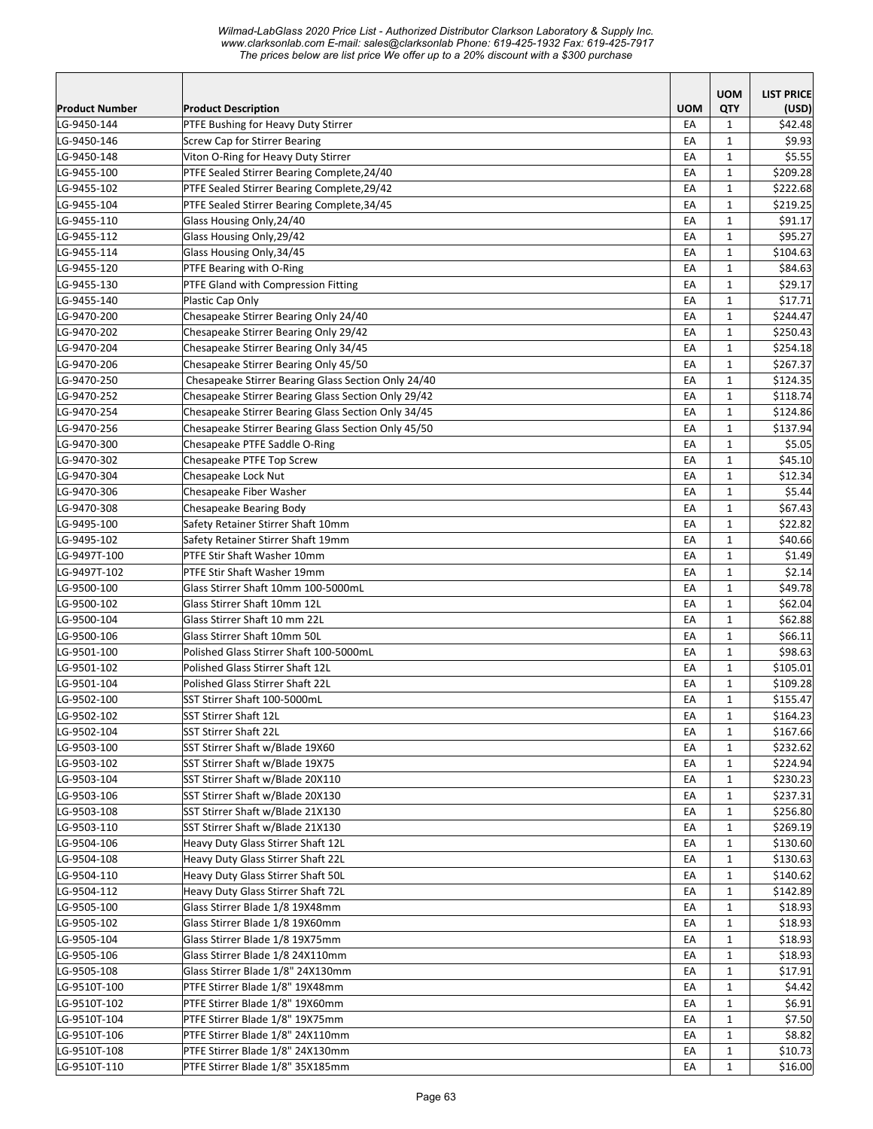|                            |                                                                             |            | <b>UOM</b>                   | <b>LIST PRICE</b> |
|----------------------------|-----------------------------------------------------------------------------|------------|------------------------------|-------------------|
| <b>Product Number</b>      | <b>Product Description</b>                                                  | <b>UOM</b> | QTY                          | (USD)             |
| LG-9450-144                | PTFE Bushing for Heavy Duty Stirrer                                         | EA<br>EA   | $\mathbf{1}$<br>$\mathbf{1}$ | \$42.48<br>\$9.93 |
| LG-9450-146<br>LG-9450-148 | <b>Screw Cap for Stirrer Bearing</b><br>Viton O-Ring for Heavy Duty Stirrer | EA         | $\mathbf{1}$                 | \$5.55            |
| LG-9455-100                | PTFE Sealed Stirrer Bearing Complete, 24/40                                 | EA         | $\mathbf{1}$                 | \$209.28          |
| LG-9455-102                | PTFE Sealed Stirrer Bearing Complete, 29/42                                 | EA         | $\mathbf{1}$                 | \$222.68          |
| LG-9455-104                | PTFE Sealed Stirrer Bearing Complete, 34/45                                 | EA         | $\mathbf{1}$                 | \$219.25          |
| LG-9455-110                | Glass Housing Only, 24/40                                                   | EA         | $\mathbf{1}$                 | \$91.17           |
| LG-9455-112                | Glass Housing Only, 29/42                                                   | EA         | $\mathbf{1}$                 | \$95.27           |
| LG-9455-114                | Glass Housing Only, 34/45                                                   | EA         | $\mathbf{1}$                 | \$104.63          |
| LG-9455-120                | PTFE Bearing with O-Ring                                                    | EA         | $\mathbf{1}$                 | \$84.63           |
| LG-9455-130                | <b>PTFE Gland with Compression Fitting</b>                                  | EA         | $\mathbf{1}$                 | \$29.17           |
| LG-9455-140                | Plastic Cap Only                                                            | EA         | $\mathbf{1}$                 | \$17.71           |
| LG-9470-200                | Chesapeake Stirrer Bearing Only 24/40                                       | EA         | $\mathbf{1}$                 | \$244.47          |
| LG-9470-202                | Chesapeake Stirrer Bearing Only 29/42                                       | EA         | $\mathbf{1}$                 | \$250.43          |
| LG-9470-204                | Chesapeake Stirrer Bearing Only 34/45                                       | EA         | 1                            | \$254.18          |
| LG-9470-206                | Chesapeake Stirrer Bearing Only 45/50                                       | EA         | $\mathbf{1}$                 | \$267.37          |
| LG-9470-250                | Chesapeake Stirrer Bearing Glass Section Only 24/40                         | EA         | $\mathbf{1}$                 | \$124.35          |
| LG-9470-252                | Chesapeake Stirrer Bearing Glass Section Only 29/42                         | EA         | $\mathbf{1}$                 | \$118.74          |
| LG-9470-254                | Chesapeake Stirrer Bearing Glass Section Only 34/45                         | EA         | $\mathbf{1}$                 | \$124.86          |
| LG-9470-256                | Chesapeake Stirrer Bearing Glass Section Only 45/50                         | EA         | $\mathbf{1}$                 | \$137.94          |
| LG-9470-300                | Chesapeake PTFE Saddle O-Ring                                               | EA         | $\mathbf{1}$                 | \$5.05            |
| LG-9470-302                | Chesapeake PTFE Top Screw                                                   | EA         | $\mathbf{1}$                 | \$45.10           |
| LG-9470-304                | Chesapeake Lock Nut                                                         | EA         | $\mathbf{1}$                 | \$12.34           |
| LG-9470-306                | Chesapeake Fiber Washer                                                     | EA         | $\mathbf{1}$                 | \$5.44            |
| LG-9470-308                | Chesapeake Bearing Body                                                     | EA         | $\mathbf{1}$                 | \$67.43           |
| LG-9495-100                | Safety Retainer Stirrer Shaft 10mm                                          | EA         | $\mathbf{1}$                 | \$22.82           |
| LG-9495-102                | Safety Retainer Stirrer Shaft 19mm                                          | EA         | $\mathbf{1}$                 | \$40.66           |
| LG-9497T-100               | PTFE Stir Shaft Washer 10mm                                                 | EA         | $\mathbf{1}$                 | \$1.49            |
| LG-9497T-102               | PTFE Stir Shaft Washer 19mm                                                 | EA         | $\mathbf{1}$                 | \$2.14]           |
| LG-9500-100                | Glass Stirrer Shaft 10mm 100-5000mL                                         | EA         | $\mathbf{1}$                 | \$49.78           |
| LG-9500-102                | Glass Stirrer Shaft 10mm 12L                                                | EA         | $\mathbf{1}$                 | \$62.04           |
| LG-9500-104                | Glass Stirrer Shaft 10 mm 22L                                               | EA         | $\mathbf{1}$                 | \$62.88           |
| LG-9500-106                | Glass Stirrer Shaft 10mm 50L                                                | EA         | $\mathbf{1}$                 | \$66.11           |
| LG-9501-100                | Polished Glass Stirrer Shaft 100-5000mL                                     | EA         | $\mathbf{1}$                 | \$98.63           |
| LG-9501-102                | Polished Glass Stirrer Shaft 12L                                            | EA         | $\mathbf{1}$                 | \$105.01          |
| LG-9501-104                | Polished Glass Stirrer Shaft 22L                                            | EA         | $\mathbf{1}$                 | \$109.28          |
| LG-9502-100                | SST Stirrer Shaft 100-5000mL                                                | EA         | $\mathbf{1}$                 | \$155.47          |
| LG-9502-102                | SST Stirrer Shaft 12L                                                       | EA         | 1                            | \$164.23          |
| LG-9502-104                | SST Stirrer Shaft 22L                                                       | EA         | $\mathbf{1}$                 | \$167.66          |
| LG-9503-100                | SST Stirrer Shaft w/Blade 19X60                                             | EA         | 1                            | \$232.62          |
| LG-9503-102                | SST Stirrer Shaft w/Blade 19X75                                             | EA         | $\mathbf{1}$                 | \$224.94          |
| LG-9503-104                | SST Stirrer Shaft w/Blade 20X110                                            | EA         | $\mathbf{1}$                 | \$230.23          |
| LG-9503-106                | SST Stirrer Shaft w/Blade 20X130                                            | EA         | $\mathbf{1}$                 | \$237.31          |
| LG-9503-108                | SST Stirrer Shaft w/Blade 21X130                                            | EA         | 1                            | \$256.80          |
| LG-9503-110                | SST Stirrer Shaft w/Blade 21X130                                            | EA         | 1                            | \$269.19          |
| LG-9504-106                | Heavy Duty Glass Stirrer Shaft 12L                                          | EA         | $\mathbf{1}$                 | \$130.60          |
| LG-9504-108                | Heavy Duty Glass Stirrer Shaft 22L                                          | EA         | $\mathbf{1}$                 | \$130.63          |
| LG-9504-110                | Heavy Duty Glass Stirrer Shaft 50L                                          | EA         | $\mathbf{1}$                 | \$140.62          |
| LG-9504-112                | Heavy Duty Glass Stirrer Shaft 72L                                          | EA         | $\mathbf{1}$                 | \$142.89          |
| LG-9505-100                | Glass Stirrer Blade 1/8 19X48mm                                             | EA         | $\mathbf{1}$                 | \$18.93           |
| LG-9505-102                | Glass Stirrer Blade 1/8 19X60mm                                             | EA         | $\mathbf{1}$                 | \$18.93           |
| LG-9505-104                | Glass Stirrer Blade 1/8 19X75mm                                             | EA         | $\mathbf{1}$                 | \$18.93           |
| LG-9505-106                | Glass Stirrer Blade 1/8 24X110mm                                            | EA         | $\mathbf{1}$                 | \$18.93           |
| LG-9505-108                | Glass Stirrer Blade 1/8" 24X130mm                                           | EA         | $\mathbf{1}$                 | \$17.91           |
| LG-9510T-100               | PTFE Stirrer Blade 1/8" 19X48mm                                             | EA         | $\mathbf 1$                  | \$4.42            |
| LG-9510T-102               | PTFE Stirrer Blade 1/8" 19X60mm                                             | EA         | $\mathbf{1}$                 | \$6.91            |
| LG-9510T-104               | PTFE Stirrer Blade 1/8" 19X75mm                                             | EA         | $\mathbf{1}$                 | \$7.50            |
| LG-9510T-106               | PTFE Stirrer Blade 1/8" 24X110mm                                            | EA         | $\mathbf{1}$                 | \$8.82            |
| LG-9510T-108               | PTFE Stirrer Blade 1/8" 24X130mm                                            | EA         | $\mathbf{1}$                 | \$10.73           |
| LG-9510T-110               | PTFE Stirrer Blade 1/8" 35X185mm                                            | EA         | $\mathbf{1}$                 | \$16.00           |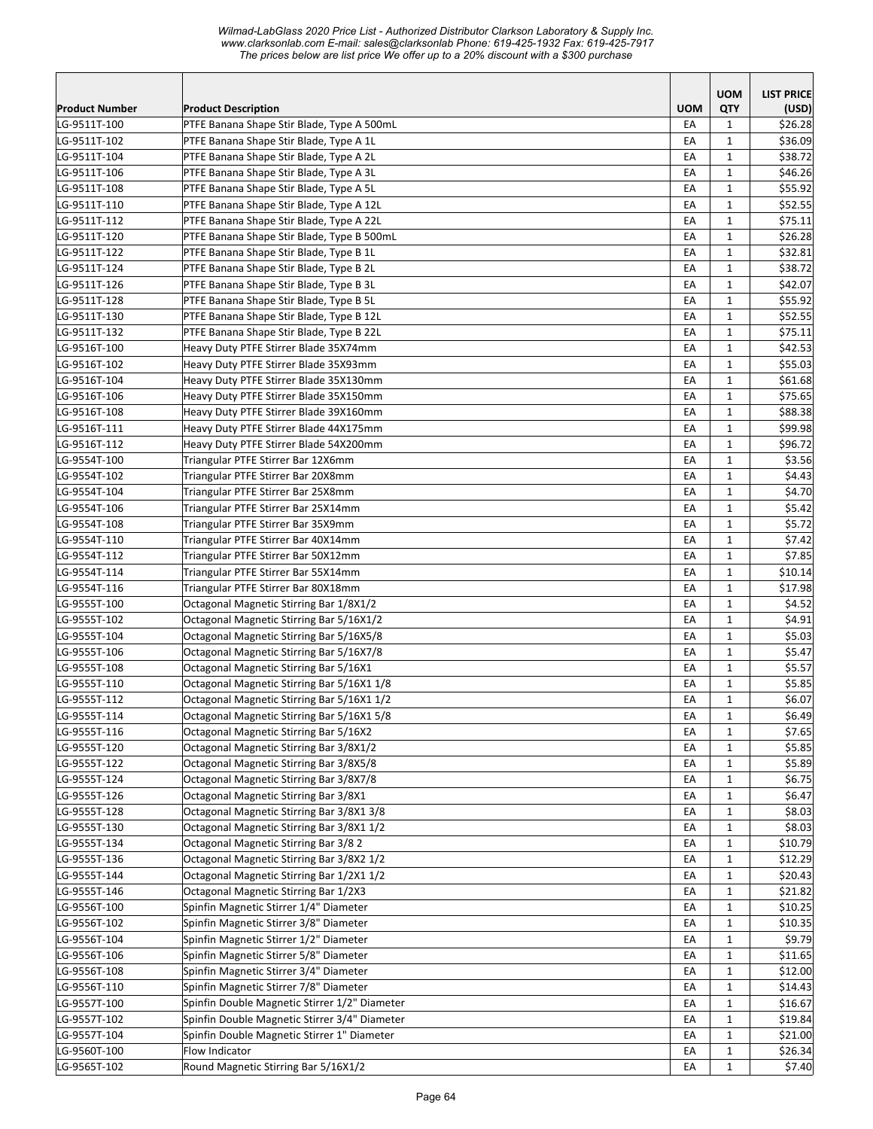|                       |                                               |            | <b>UOM</b>   | <b>LIST PRICE</b> |
|-----------------------|-----------------------------------------------|------------|--------------|-------------------|
| <b>Product Number</b> | <b>Product Description</b>                    | <b>UOM</b> | QTY          | (USD)             |
| LG-9511T-100          | PTFE Banana Shape Stir Blade, Type A 500mL    | EA         | 1            | \$26.28           |
| LG-9511T-102          | PTFE Banana Shape Stir Blade, Type A 1L       | EA         | $\mathbf{1}$ | \$36.09           |
| LG-9511T-104          | PTFE Banana Shape Stir Blade, Type A 2L       | EA         | 1            | \$38.72           |
| LG-9511T-106          | PTFE Banana Shape Stir Blade, Type A 3L       | EA         | $\mathbf{1}$ | \$46.26           |
| LG-9511T-108          | PTFE Banana Shape Stir Blade, Type A 5L       | EA         | $\mathbf{1}$ | \$55.92           |
| LG-9511T-110          | PTFE Banana Shape Stir Blade, Type A 12L      | EA         | $\mathbf{1}$ | \$52.55           |
| LG-9511T-112          | PTFE Banana Shape Stir Blade, Type A 22L      | EA         | $\mathbf{1}$ | \$75.11           |
| LG-9511T-120          | PTFE Banana Shape Stir Blade, Type B 500mL    | EA         | $\mathbf{1}$ | \$26.28           |
| LG-9511T-122          | PTFE Banana Shape Stir Blade, Type B 1L       | EA         | $\mathbf{1}$ | \$32.81           |
| LG-9511T-124          | PTFE Banana Shape Stir Blade, Type B 2L       | EA         | $\mathbf{1}$ | \$38.72           |
| LG-9511T-126          | PTFE Banana Shape Stir Blade, Type B 3L       | EA         | $\mathbf{1}$ | \$42.07           |
| LG-9511T-128          | PTFE Banana Shape Stir Blade, Type B 5L       | EA         | $\mathbf{1}$ | \$55.92           |
| LG-9511T-130          | PTFE Banana Shape Stir Blade, Type B 12L      | EA         | $\mathbf{1}$ | \$52.55           |
| LG-9511T-132          | PTFE Banana Shape Stir Blade, Type B 22L      | EA         | $\mathbf{1}$ | \$75.11           |
| LG-9516T-100          | Heavy Duty PTFE Stirrer Blade 35X74mm         | EA         | $\mathbf{1}$ | \$42.53           |
| LG-9516T-102          | Heavy Duty PTFE Stirrer Blade 35X93mm         | EA         | $\mathbf{1}$ | \$55.03           |
| LG-9516T-104          | Heavy Duty PTFE Stirrer Blade 35X130mm        | EA         | $\mathbf{1}$ | \$61.68           |
| LG-9516T-106          | Heavy Duty PTFE Stirrer Blade 35X150mm        | EA         | 1            | \$75.65           |
| LG-9516T-108          | Heavy Duty PTFE Stirrer Blade 39X160mm        | EA         | $\mathbf{1}$ | \$88.38           |
| LG-9516T-111          | Heavy Duty PTFE Stirrer Blade 44X175mm        | EA         | $\mathbf{1}$ | \$99.98           |
| LG-9516T-112          | Heavy Duty PTFE Stirrer Blade 54X200mm        | EA         | 1            | \$96.72           |
| LG-9554T-100          | Triangular PTFE Stirrer Bar 12X6mm            | EA         | $\mathbf{1}$ | \$3.56            |
| LG-9554T-102          | Triangular PTFE Stirrer Bar 20X8mm            | EA         | $\mathbf{1}$ | \$4.43            |
| LG-9554T-104          | Triangular PTFE Stirrer Bar 25X8mm            | EA         | $\mathbf{1}$ | \$4.70            |
| LG-9554T-106          | Triangular PTFE Stirrer Bar 25X14mm           | EA         | $\mathbf{1}$ | \$5.42            |
| LG-9554T-108          | Triangular PTFE Stirrer Bar 35X9mm            | EA         | $\mathbf{1}$ | \$5.72            |
| LG-9554T-110          | Triangular PTFE Stirrer Bar 40X14mm           | EA         | $\mathbf{1}$ | \$7.42            |
| LG-9554T-112          | Triangular PTFE Stirrer Bar 50X12mm           | EA         | $\mathbf{1}$ | \$7.85            |
| LG-9554T-114          | Triangular PTFE Stirrer Bar 55X14mm           | EA         | $\mathbf{1}$ | \$10.14           |
| LG-9554T-116          | Triangular PTFE Stirrer Bar 80X18mm           | EA         | $\mathbf{1}$ | \$17.98           |
| LG-9555T-100          | Octagonal Magnetic Stirring Bar 1/8X1/2       | EA         | $\mathbf{1}$ | \$4.52            |
| LG-9555T-102          | Octagonal Magnetic Stirring Bar 5/16X1/2      | EA         | $\mathbf{1}$ | \$4.91            |
| LG-9555T-104          | Octagonal Magnetic Stirring Bar 5/16X5/8      | EA         | $\mathbf{1}$ | \$5.03            |
| LG-9555T-106          | Octagonal Magnetic Stirring Bar 5/16X7/8      | EA         | $\mathbf{1}$ | \$5.47            |
| LG-9555T-108          | Octagonal Magnetic Stirring Bar 5/16X1        | EA         | $\mathbf{1}$ | \$5.57            |
| LG-9555T-110          | Octagonal Magnetic Stirring Bar 5/16X1 1/8    | EA         | $\mathbf{1}$ | \$5.85            |
| LG-9555T-112          | Octagonal Magnetic Stirring Bar 5/16X1 1/2    | EA         | $\mathbf{1}$ | \$6.07            |
| LG-9555T-114          | Octagonal Magnetic Stirring Bar 5/16X1 5/8    | EA         | $\mathbf 1$  | \$6.49            |
| LG-9555T-116          | Octagonal Magnetic Stirring Bar 5/16X2        | EA         | $\mathbf{1}$ | \$7.65            |
| LG-9555T-120          | Octagonal Magnetic Stirring Bar 3/8X1/2       | EA         | $\mathbf{1}$ | \$5.85            |
| LG-9555T-122          | Octagonal Magnetic Stirring Bar 3/8X5/8       | EA         | $\mathbf{1}$ | \$5.89            |
| LG-9555T-124          | Octagonal Magnetic Stirring Bar 3/8X7/8       | EA         | $\mathbf 1$  | \$6.75            |
| LG-9555T-126          | Octagonal Magnetic Stirring Bar 3/8X1         | EA         | $\mathbf{1}$ | \$6.47            |
| LG-9555T-128          | Octagonal Magnetic Stirring Bar 3/8X1 3/8     | EA         | $\mathbf{1}$ | \$8.03            |
| LG-9555T-130          | Octagonal Magnetic Stirring Bar 3/8X1 1/2     | EA         | $\mathbf 1$  | \$8.03<br>\$10.79 |
| LG-9555T-134          | Octagonal Magnetic Stirring Bar 3/8 2         | EA         | $\mathbf 1$  |                   |
| LG-9555T-136          | Octagonal Magnetic Stirring Bar 3/8X2 1/2     | EA         | $\mathbf 1$  | \$12.29           |
| LG-9555T-144          | Octagonal Magnetic Stirring Bar 1/2X1 1/2     | EA         | $\mathbf{1}$ | \$20.43           |
| LG-9555T-146          | Octagonal Magnetic Stirring Bar 1/2X3         | EA         | $\mathbf{1}$ | \$21.82           |
| LG-9556T-100          | Spinfin Magnetic Stirrer 1/4" Diameter        | EA         | $\mathbf{1}$ | \$10.25           |
| LG-9556T-102          | Spinfin Magnetic Stirrer 3/8" Diameter        | EA         | $\mathbf{1}$ | \$10.35           |
| LG-9556T-104          | Spinfin Magnetic Stirrer 1/2" Diameter        | EA         | $\mathbf{1}$ | \$9.79            |
| LG-9556T-106          | Spinfin Magnetic Stirrer 5/8" Diameter        | EA         | $\mathbf{1}$ | \$11.65           |
| LG-9556T-108          | Spinfin Magnetic Stirrer 3/4" Diameter        | EA         | $\mathbf{1}$ | \$12.00           |
| LG-9556T-110          | Spinfin Magnetic Stirrer 7/8" Diameter        | EA         | $\mathbf{1}$ | \$14.43           |
| LG-9557T-100          | Spinfin Double Magnetic Stirrer 1/2" Diameter | EA         | $\mathbf{1}$ | \$16.67           |
| LG-9557T-102          | Spinfin Double Magnetic Stirrer 3/4" Diameter | EA         | $\mathbf 1$  | \$19.84           |
| LG-9557T-104          | Spinfin Double Magnetic Stirrer 1" Diameter   | EA         | $\mathbf{1}$ | \$21.00           |
| LG-9560T-100          | Flow Indicator                                | EA         | $\mathbf{1}$ | \$26.34           |
| LG-9565T-102          | Round Magnetic Stirring Bar 5/16X1/2          | EA         | $\mathbf{1}$ | \$7.40            |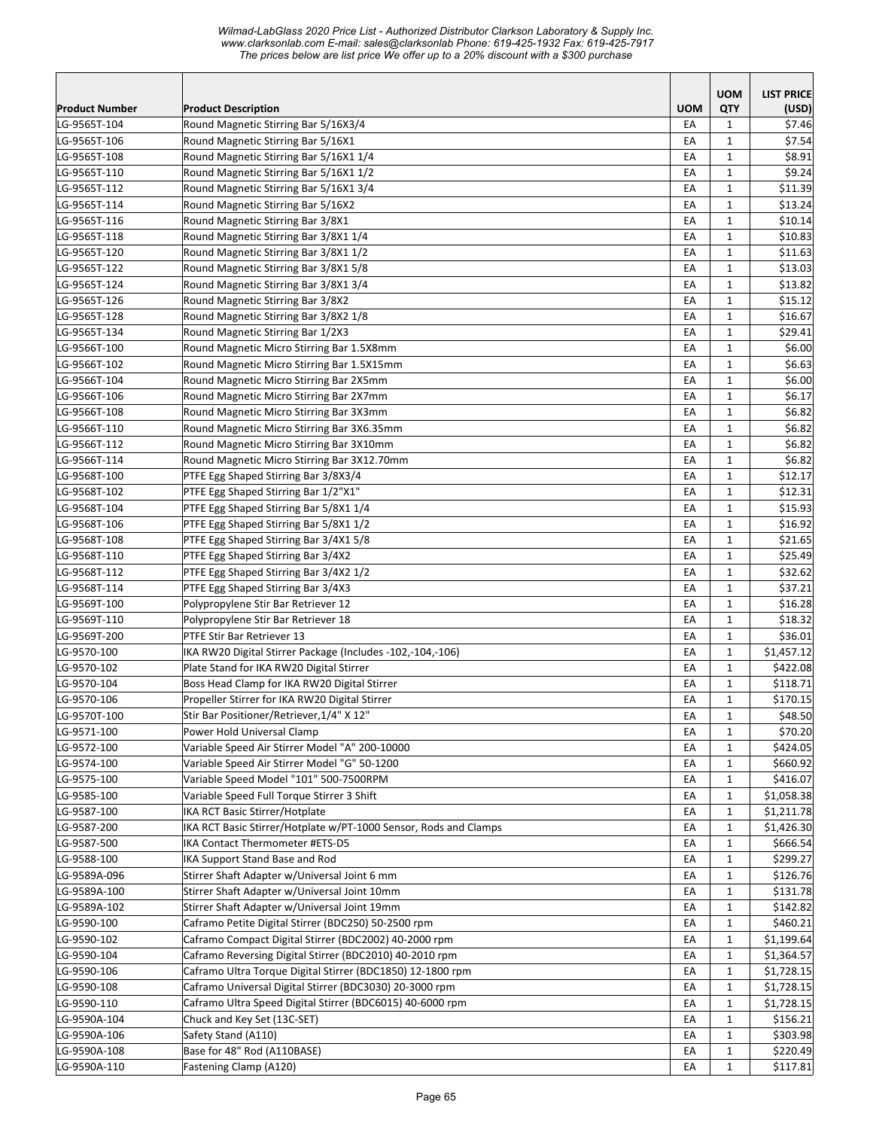|                              |                                                                              |                  | <b>UOM</b>                   | <b>LIST PRICE</b> |
|------------------------------|------------------------------------------------------------------------------|------------------|------------------------------|-------------------|
| <b>Product Number</b>        | <b>Product Description</b>                                                   | <b>UOM</b><br>EA | QTY                          | (USD)             |
| LG-9565T-104<br>LG-9565T-106 | Round Magnetic Stirring Bar 5/16X3/4                                         | EA               | $\mathbf{1}$<br>$\mathbf{1}$ | \$7.46<br>\$7.54  |
| LG-9565T-108                 | Round Magnetic Stirring Bar 5/16X1<br>Round Magnetic Stirring Bar 5/16X1 1/4 | EA               | $\mathbf{1}$                 | \$8.91            |
| LG-9565T-110                 | Round Magnetic Stirring Bar 5/16X1 1/2                                       | EA               | $\mathbf{1}$                 | \$9.24            |
| LG-9565T-112                 | Round Magnetic Stirring Bar 5/16X1 3/4                                       | EA               | $\mathbf{1}$                 | \$11.39           |
| LG-9565T-114                 | Round Magnetic Stirring Bar 5/16X2                                           | EA               | $\mathbf{1}$                 | \$13.24           |
| LG-9565T-116                 | Round Magnetic Stirring Bar 3/8X1                                            | EA               | $\mathbf{1}$                 | \$10.14           |
| LG-9565T-118                 | Round Magnetic Stirring Bar 3/8X1 1/4                                        | EA               | $\mathbf{1}$                 | \$10.83           |
| LG-9565T-120                 | Round Magnetic Stirring Bar 3/8X1 1/2                                        | EA               | $\mathbf 1$                  | \$11.63           |
| LG-9565T-122                 | Round Magnetic Stirring Bar 3/8X1 5/8                                        | EA               | $\mathbf 1$                  | \$13.03           |
| LG-9565T-124                 | Round Magnetic Stirring Bar 3/8X1 3/4                                        | EA               | $\mathbf{1}$                 | \$13.82           |
| LG-9565T-126                 | Round Magnetic Stirring Bar 3/8X2                                            | EA               | $\mathbf{1}$                 | \$15.12           |
| LG-9565T-128                 | Round Magnetic Stirring Bar 3/8X2 1/8                                        | EA               | $\mathbf{1}$                 | \$16.67           |
| LG-9565T-134                 | Round Magnetic Stirring Bar 1/2X3                                            | EA               | 1                            | \$29.41           |
| LG-9566T-100                 | Round Magnetic Micro Stirring Bar 1.5X8mm                                    | EA               | $\mathbf{1}$                 | \$6.00            |
| LG-9566T-102                 | Round Magnetic Micro Stirring Bar 1.5X15mm                                   | EA               | $\mathbf{1}$                 | \$6.63            |
| LG-9566T-104                 | Round Magnetic Micro Stirring Bar 2X5mm                                      | EA               | $\mathbf{1}$                 | \$6.00            |
| LG-9566T-106                 | Round Magnetic Micro Stirring Bar 2X7mm                                      | EA               | $\mathbf{1}$                 | \$6.17            |
| LG-9566T-108                 | Round Magnetic Micro Stirring Bar 3X3mm                                      | EA               | $\mathbf{1}$                 | \$6.82            |
| LG-9566T-110                 | Round Magnetic Micro Stirring Bar 3X6.35mm                                   | EA               | $\mathbf{1}$                 | \$6.82            |
| LG-9566T-112                 | Round Magnetic Micro Stirring Bar 3X10mm                                     | EA               | $\mathbf{1}$                 | \$6.82            |
| LG-9566T-114                 | Round Magnetic Micro Stirring Bar 3X12.70mm                                  | EA               | $\mathbf{1}$                 | \$6.82            |
| LG-9568T-100                 | PTFE Egg Shaped Stirring Bar 3/8X3/4                                         | EA               | $\mathbf{1}$                 | \$12.17           |
| LG-9568T-102                 | PTFE Egg Shaped Stirring Bar 1/2"X1"                                         | EA               | $\mathbf 1$                  | \$12.31           |
| LG-9568T-104                 | PTFE Egg Shaped Stirring Bar 5/8X1 1/4                                       | EA               | $\mathbf{1}$                 | \$15.93           |
| LG-9568T-106                 | PTFE Egg Shaped Stirring Bar 5/8X1 1/2                                       | EA               | $\mathbf{1}$                 | \$16.92           |
| LG-9568T-108                 | PTFE Egg Shaped Stirring Bar 3/4X1 5/8                                       | EA               | $\mathbf 1$                  | \$21.65           |
| LG-9568T-110                 | PTFE Egg Shaped Stirring Bar 3/4X2                                           | EA               | $\mathbf{1}$                 | \$25.49           |
| LG-9568T-112                 | PTFE Egg Shaped Stirring Bar 3/4X2 1/2                                       | EA               | $\mathbf{1}$                 | \$32.62           |
| LG-9568T-114                 | PTFE Egg Shaped Stirring Bar 3/4X3                                           | EA               | $\mathbf{1}$                 | \$37.21           |
| LG-9569T-100                 | Polypropylene Stir Bar Retriever 12                                          | EA               | $\mathbf{1}$                 | \$16.28           |
| LG-9569T-110                 | Polypropylene Stir Bar Retriever 18                                          | EA               | $\mathbf{1}$                 | \$18.32           |
| LG-9569T-200                 | PTFE Stir Bar Retriever 13                                                   | EA               | $\mathbf{1}$                 | \$36.01           |
| LG-9570-100                  | IKA RW20 Digital Stirrer Package (Includes -102,-104,-106)                   | EA               | $\mathbf{1}$                 | \$1,457.12        |
| LG-9570-102                  | Plate Stand for IKA RW20 Digital Stirrer                                     | EA               | $\mathbf{1}$                 | \$422.08          |
| LG-9570-104                  | Boss Head Clamp for IKA RW20 Digital Stirrer                                 | EA               | $\mathbf{1}$                 | \$118.71          |
| LG-9570-106                  | Propeller Stirrer for IKA RW20 Digital Stirrer                               | EA               | 1                            | \$170.15          |
| LG-9570T-100                 | Stir Bar Positioner/Retriever, 1/4" X 12"                                    | ŁА               | 1                            | \$48.50           |
| LG-9571-100                  | Power Hold Universal Clamp                                                   | EA               | $\mathbf{1}$                 | \$70.20           |
| LG-9572-100                  | Variable Speed Air Stirrer Model "A" 200-10000                               | EA               | $\mathbf{1}$                 | \$424.05          |
| LG-9574-100                  | Variable Speed Air Stirrer Model "G" 50-1200                                 | EA               | $\mathbf{1}$                 | \$660.92          |
| LG-9575-100                  | Variable Speed Model "101" 500-7500RPM                                       | EA               | $\mathbf{1}$                 | \$416.07          |
| LG-9585-100                  | Variable Speed Full Torque Stirrer 3 Shift                                   | EA               | $\mathbf{1}$                 | \$1,058.38        |
| LG-9587-100                  | IKA RCT Basic Stirrer/Hotplate                                               | EA               | $\mathbf{1}$                 | \$1,211.78        |
| LG-9587-200                  | IKA RCT Basic Stirrer/Hotplate w/PT-1000 Sensor, Rods and Clamps             | EA               | $\mathbf 1$                  | \$1,426.30        |
| LG-9587-500                  | IKA Contact Thermometer #ETS-D5                                              | EA               | $\mathbf{1}$                 | \$666.54          |
| LG-9588-100                  | IKA Support Stand Base and Rod                                               | EA               | $\mathbf 1$                  | \$299.27          |
| LG-9589A-096                 | Stirrer Shaft Adapter w/Universal Joint 6 mm                                 | EA               | $\mathbf{1}$                 | \$126.76          |
| LG-9589A-100                 | Stirrer Shaft Adapter w/Universal Joint 10mm                                 | EA               | $\mathbf{1}$                 | \$131.78          |
| LG-9589A-102                 | Stirrer Shaft Adapter w/Universal Joint 19mm                                 | EA               | $\mathbf{1}$                 | \$142.82          |
| LG-9590-100                  | Caframo Petite Digital Stirrer (BDC250) 50-2500 rpm                          | EA               | 1                            | \$460.21          |
| LG-9590-102                  | Caframo Compact Digital Stirrer (BDC2002) 40-2000 rpm                        | EA               | 1                            | \$1,199.64        |
| LG-9590-104                  | Caframo Reversing Digital Stirrer (BDC2010) 40-2010 rpm                      | EA               | $\mathbf{1}$                 | \$1,364.57        |
| LG-9590-106                  | Caframo Ultra Torque Digital Stirrer (BDC1850) 12-1800 rpm                   | EA               | $\mathbf{1}$                 | \$1,728.15        |
| LG-9590-108                  | Caframo Universal Digital Stirrer (BDC3030) 20-3000 rpm                      | EA               | $\mathbf{1}$                 | \$1,728.15        |
| LG-9590-110                  | Caframo Ultra Speed Digital Stirrer (BDC6015) 40-6000 rpm                    | EA               | $\mathbf{1}$                 | \$1,728.15        |
| LG-9590A-104                 | Chuck and Key Set (13C-SET)                                                  | EA               | $\mathbf{1}$                 | \$156.21          |
| LG-9590A-106                 | Safety Stand (A110)                                                          | EA               | $\mathbf{1}$                 | \$303.98          |
| LG-9590A-108<br>LG-9590A-110 | Base for 48" Rod (A110BASE)                                                  | EA               | $\mathbf{1}$<br>$\mathbf{1}$ | \$220.49          |
|                              | Fastening Clamp (A120)                                                       | EA               |                              | \$117.81          |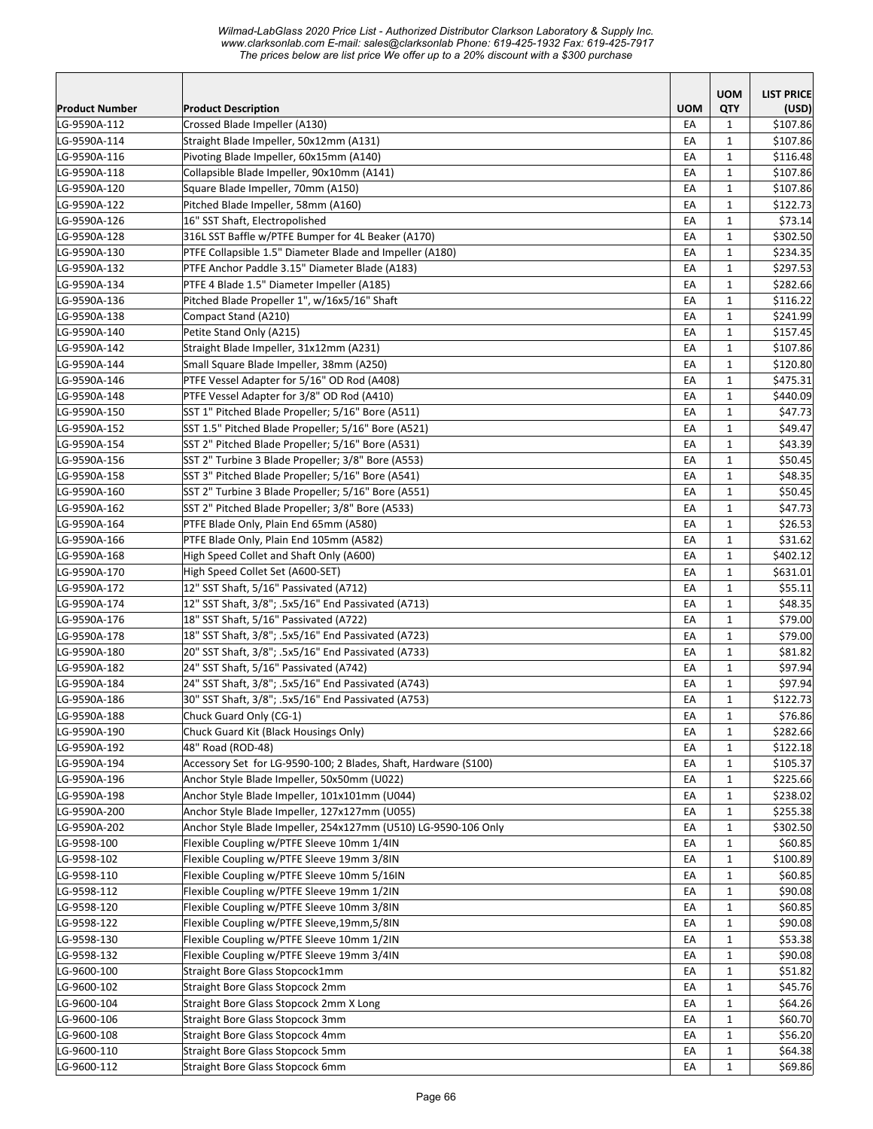*Wilmad-LabGlass 2020 Price List - Authorized Distributor Clarkson Laboratory & Supply Inc. www.clarksonlab.com E-mail: sales@clarksonlab Phone: 619-425-1932 Fax: 619-425-7917 The prices below are list price We offer up to a 20% discount with a \$300 purchase* 

|                              |                                                                                    |            | <b>UOM</b>                 | <b>LIST PRICE</b>   |
|------------------------------|------------------------------------------------------------------------------------|------------|----------------------------|---------------------|
| <b>Product Number</b>        | <b>Product Description</b>                                                         | <b>UOM</b> | QTY                        | (USD)               |
| LG-9590A-112                 | Crossed Blade Impeller (A130)                                                      | EA         | $\mathbf{1}$               | \$107.86            |
| LG-9590A-114                 | Straight Blade Impeller, 50x12mm (A131)                                            | EA         | 1                          | \$107.86            |
| LG-9590A-116                 | Pivoting Blade Impeller, 60x15mm (A140)                                            | EA         | 1                          | \$116.48            |
| LG-9590A-118                 | Collapsible Blade Impeller, 90x10mm (A141)                                         | EA         | $\mathbf{1}$               | \$107.86            |
| LG-9590A-120                 | Square Blade Impeller, 70mm (A150)                                                 | EA         | $\mathbf{1}$               | \$107.86            |
| LG-9590A-122                 | Pitched Blade Impeller, 58mm (A160)                                                | EA         | $\mathbf{1}$               | \$122.73            |
| LG-9590A-126                 | 16" SST Shaft, Electropolished                                                     | EA         | $\mathbf{1}$               | \$73.14             |
| LG-9590A-128                 | 316L SST Baffle w/PTFE Bumper for 4L Beaker (A170)                                 | EA         | $\mathbf{1}$               | \$302.50            |
| LG-9590A-130                 | PTFE Collapsible 1.5" Diameter Blade and Impeller (A180)                           | EA         | $\mathbf{1}$               | \$234.35            |
| LG-9590A-132                 | PTFE Anchor Paddle 3.15" Diameter Blade (A183)                                     | EA         | $\mathbf{1}$               | \$297.53            |
| LG-9590A-134                 | PTFE 4 Blade 1.5" Diameter Impeller (A185)                                         | EA         | 1                          | \$282.66            |
| LG-9590A-136                 | Pitched Blade Propeller 1", w/16x5/16" Shaft                                       | EA         | $\mathbf{1}$               | \$116.22            |
| LG-9590A-138                 | Compact Stand (A210)                                                               | EA         | $\mathbf{1}$               | \$241.99            |
| LG-9590A-140                 | Petite Stand Only (A215)                                                           | EA         | $\mathbf{1}$               | \$157.45            |
| LG-9590A-142                 | Straight Blade Impeller, 31x12mm (A231)                                            | EA         | $\mathbf{1}$               | \$107.86            |
| LG-9590A-144                 | Small Square Blade Impeller, 38mm (A250)                                           | EA         | $\mathbf{1}$               | \$120.80            |
| LG-9590A-146                 | PTFE Vessel Adapter for 5/16" OD Rod (A408)                                        | EA         | 1                          | \$475.31            |
| LG-9590A-148                 | PTFE Vessel Adapter for 3/8" OD Rod (A410)                                         | EA         | 1                          | \$440.09            |
| LG-9590A-150                 | SST 1" Pitched Blade Propeller; 5/16" Bore (A511)                                  | EA         | $\mathbf{1}$               | \$47.73             |
| LG-9590A-152                 | SST 1.5" Pitched Blade Propeller; 5/16" Bore (A521)                                | EA         | $\mathbf{1}$               | \$49.47             |
| LG-9590A-154                 | SST 2" Pitched Blade Propeller; 5/16" Bore (A531)                                  | EA         | $\mathbf{1}$               | \$43.39             |
| LG-9590A-156                 | SST 2" Turbine 3 Blade Propeller; 3/8" Bore (A553)                                 | EA         | $\mathbf{1}$               | \$50.45             |
| LG-9590A-158                 | SST 3" Pitched Blade Propeller; 5/16" Bore (A541)                                  | EA         | $\mathbf{1}$               | \$48.35             |
| LG-9590A-160                 | SST 2" Turbine 3 Blade Propeller; 5/16" Bore (A551)                                | EA         | $\mathbf 1$                | \$50.45             |
| LG-9590A-162                 | SST 2" Pitched Blade Propeller; 3/8" Bore (A533)                                   | EA         | 1                          | \$47.73             |
| LG-9590A-164                 | PTFE Blade Only, Plain End 65mm (A580)                                             | EA         | 1                          | \$26.53             |
| LG-9590A-166<br>LG-9590A-168 | PTFE Blade Only, Plain End 105mm (A582)<br>High Speed Collet and Shaft Only (A600) | EA<br>EA   | $\mathbf 1$<br>$\mathbf 1$ | \$31.62<br>\$402.12 |
| LG-9590A-170                 | High Speed Collet Set (A600-SET)                                                   | EA         | $\mathbf{1}$               | \$631.01            |
| LG-9590A-172                 | 12" SST Shaft, 5/16" Passivated (A712)                                             | EA         | $\mathbf{1}$               | \$55.11             |
| LG-9590A-174                 | 12" SST Shaft, 3/8"; .5x5/16" End Passivated (A713)                                | EA         | $\mathbf{1}$               | \$48.35             |
| LG-9590A-176                 | 18" SST Shaft, 5/16" Passivated (A722)                                             | EA         | 1                          | \$79.00             |
| LG-9590A-178                 | 18" SST Shaft, 3/8"; .5x5/16" End Passivated (A723)                                | EA         | $\mathbf{1}$               | \$79.00             |
| LG-9590A-180                 | 20" SST Shaft, 3/8"; .5x5/16" End Passivated (A733)                                | EA         | 1                          | \$81.82             |
| LG-9590A-182                 | 24" SST Shaft, 5/16" Passivated (A742)                                             | EA         | $\mathbf{1}$               | \$97.94             |
| LG-9590A-184                 | 24" SST Shaft, 3/8"; .5x5/16" End Passivated (A743)                                | EA         | $\mathbf{1}$               | \$97.94             |
| LG-9590A-186                 | 30" SST Shaft, 3/8"; .5x5/16" End Passivated (A753)                                | EA         | $\mathbf{1}$               | \$122.73            |
| LG-9590A-188                 | Chuck Guard Only (CG-1)                                                            | EA         | $\mathbf 1$                | \$76.86             |
| LG-9590A-190                 | Chuck Guard Kit (Black Housings Only)                                              | EA         | 1                          | \$282.66            |
| LG-9590A-192                 | 48" Road (ROD-48)                                                                  | EA         | 1                          | \$122.18            |
| LG-9590A-194                 | Accessory Set for LG-9590-100; 2 Blades, Shaft, Hardware (S100)                    | EA         | 1                          | \$105.37            |
| LG-9590A-196                 | Anchor Style Blade Impeller, 50x50mm (U022)                                        | EA         | 1                          | \$225.66            |
| LG-9590A-198                 | Anchor Style Blade Impeller, 101x101mm (U044)                                      | EA         | 1                          | \$238.02            |
| LG-9590A-200                 | Anchor Style Blade Impeller, 127x127mm (U055)                                      | EA         | $\mathbf{1}$               | \$255.38            |
| LG-9590A-202                 | Anchor Style Blade Impeller, 254x127mm (U510) LG-9590-106 Only                     | EA         | $\mathbf{1}$               | \$302.50            |
| LG-9598-100                  | Flexible Coupling w/PTFE Sleeve 10mm 1/4IN                                         | EA         | $\mathbf{1}$               | \$60.85             |
| LG-9598-102                  | Flexible Coupling w/PTFE Sleeve 19mm 3/8IN                                         | EA         | 1                          | \$100.89            |
| LG-9598-110                  | Flexible Coupling w/PTFE Sleeve 10mm 5/16IN                                        | EA         | 1                          | \$60.85             |
| LG-9598-112                  | Flexible Coupling w/PTFE Sleeve 19mm 1/2IN                                         | EA         | 1                          | \$90.08             |
| LG-9598-120                  | Flexible Coupling w/PTFE Sleeve 10mm 3/8IN                                         | EA         | $\mathbf{1}$               | \$60.85             |
| LG-9598-122                  | Flexible Coupling w/PTFE Sleeve,19mm,5/8IN                                         | EA         | 1                          | \$90.08             |
| LG-9598-130                  | Flexible Coupling w/PTFE Sleeve 10mm 1/2IN                                         | EA         | $\mathbf{1}$               | \$53.38             |
| LG-9598-132                  | Flexible Coupling w/PTFE Sleeve 19mm 3/4IN                                         | EA         | 1                          | \$90.08             |
| LG-9600-100                  | Straight Bore Glass Stopcock1mm                                                    | EA         | 1                          | \$51.82             |
| LG-9600-102                  | Straight Bore Glass Stopcock 2mm                                                   | EA         | 1                          | \$45.76             |
| LG-9600-104                  | Straight Bore Glass Stopcock 2mm X Long                                            | EA         | 1                          | \$64.26             |
| LG-9600-106                  | Straight Bore Glass Stopcock 3mm                                                   | EA         | 1                          | \$60.70             |
| LG-9600-108                  | Straight Bore Glass Stopcock 4mm                                                   | EA         | $\mathbf 1$                | \$56.20             |
| LG-9600-110                  | Straight Bore Glass Stopcock 5mm                                                   | EA         | $1\,$                      | \$64.38             |
| LG-9600-112                  | Straight Bore Glass Stopcock 6mm                                                   | EA         | 1                          | \$69.86             |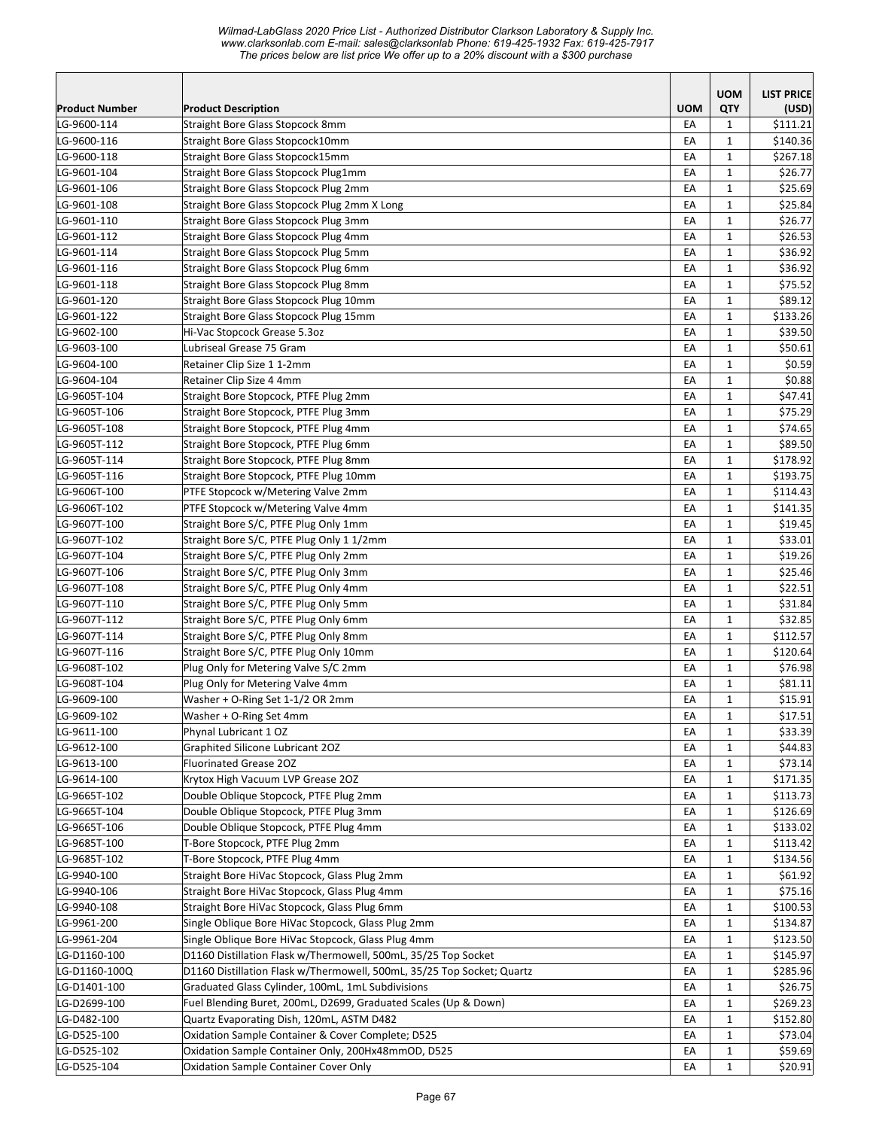|                       |                                                                                                |            | <b>UOM</b>   | <b>LIST PRICE</b> |
|-----------------------|------------------------------------------------------------------------------------------------|------------|--------------|-------------------|
| <b>Product Number</b> | <b>Product Description</b>                                                                     | <b>UOM</b> | QTY          | (USD)             |
| LG-9600-114           | Straight Bore Glass Stopcock 8mm                                                               | EA         | $\mathbf{1}$ | \$111.21          |
| LG-9600-116           | Straight Bore Glass Stopcock10mm                                                               | EA         | $\mathbf{1}$ | \$140.36          |
| LG-9600-118           | Straight Bore Glass Stopcock15mm                                                               | EA         | $\mathbf{1}$ | \$267.18          |
| LG-9601-104           | Straight Bore Glass Stopcock Plug1mm                                                           | EA         | $\mathbf{1}$ | \$26.77           |
| LG-9601-106           | Straight Bore Glass Stopcock Plug 2mm                                                          | EA         | $\mathbf{1}$ | \$25.69           |
| LG-9601-108           | Straight Bore Glass Stopcock Plug 2mm X Long                                                   | EA         | $\mathbf{1}$ | \$25.84           |
| LG-9601-110           | Straight Bore Glass Stopcock Plug 3mm                                                          | EA         | $\mathbf{1}$ | \$26.77           |
| LG-9601-112           | Straight Bore Glass Stopcock Plug 4mm                                                          | EA         | $\mathbf{1}$ | \$26.53           |
| LG-9601-114           | Straight Bore Glass Stopcock Plug 5mm                                                          | EA         | $\mathbf 1$  | \$36.92           |
| LG-9601-116           | Straight Bore Glass Stopcock Plug 6mm                                                          | EA         | $\mathbf{1}$ | \$36.92           |
| LG-9601-118           | Straight Bore Glass Stopcock Plug 8mm                                                          | EA         | $\mathbf{1}$ | \$75.52           |
| LG-9601-120           | Straight Bore Glass Stopcock Plug 10mm                                                         | EA         | $\mathbf{1}$ | \$89.12           |
| LG-9601-122           | Straight Bore Glass Stopcock Plug 15mm                                                         | EA         | $\mathbf 1$  | \$133.26          |
| LG-9602-100           | Hi-Vac Stopcock Grease 5.3oz                                                                   | EA         | $\mathbf{1}$ | \$39.50           |
| LG-9603-100           | Lubriseal Grease 75 Gram                                                                       | EA         | $\mathbf{1}$ | \$50.61           |
| LG-9604-100           | Retainer Clip Size 1 1-2mm                                                                     | EA         | $\mathbf{1}$ | \$0.59            |
| LG-9604-104           | Retainer Clip Size 4 4mm                                                                       | EA         | $\mathbf{1}$ | \$0.88            |
| LG-9605T-104          | Straight Bore Stopcock, PTFE Plug 2mm                                                          | EA         | $\mathbf{1}$ | \$47.41           |
| LG-9605T-106          | Straight Bore Stopcock, PTFE Plug 3mm                                                          | EA         | $\mathbf{1}$ | \$75.29           |
| LG-9605T-108          | Straight Bore Stopcock, PTFE Plug 4mm                                                          | EA         | $\mathbf{1}$ | \$74.65           |
| LG-9605T-112          | Straight Bore Stopcock, PTFE Plug 6mm                                                          | EA         | $\mathbf{1}$ | \$89.50           |
| LG-9605T-114          | Straight Bore Stopcock, PTFE Plug 8mm                                                          | EA         | $\mathbf{1}$ | \$178.92          |
| LG-9605T-116          | Straight Bore Stopcock, PTFE Plug 10mm                                                         | EA         | $\mathbf{1}$ | \$193.75          |
| LG-9606T-100          | PTFE Stopcock w/Metering Valve 2mm                                                             | EA         | $\mathbf{1}$ | \$114.43          |
| LG-9606T-102          | PTFE Stopcock w/Metering Valve 4mm                                                             | EA         | $\mathbf{1}$ | \$141.35          |
| LG-9607T-100          | Straight Bore S/C, PTFE Plug Only 1mm                                                          | EA         | $\mathbf{1}$ | \$19.45           |
| LG-9607T-102          | Straight Bore S/C, PTFE Plug Only 1 1/2mm                                                      | EA         | $\mathbf{1}$ | \$33.01           |
| LG-9607T-104          | Straight Bore S/C, PTFE Plug Only 2mm                                                          | EA         | $\mathbf 1$  | \$19.26           |
| LG-9607T-106          | Straight Bore S/C, PTFE Plug Only 3mm                                                          | EA         | $\mathbf{1}$ | \$25.46           |
| LG-9607T-108          | Straight Bore S/C, PTFE Plug Only 4mm                                                          | EA         | $\mathbf{1}$ | \$22.51           |
| LG-9607T-110          | Straight Bore S/C, PTFE Plug Only 5mm                                                          | EA         | $\mathbf{1}$ | \$31.84           |
| LG-9607T-112          | Straight Bore S/C, PTFE Plug Only 6mm                                                          | EA         | $\mathbf{1}$ | \$32.85           |
| LG-9607T-114          | Straight Bore S/C, PTFE Plug Only 8mm                                                          | EA         | $\mathbf{1}$ | \$112.57          |
| LG-9607T-116          | Straight Bore S/C, PTFE Plug Only 10mm                                                         | EA         | $\mathbf{1}$ | \$120.64          |
| LG-9608T-102          | Plug Only for Metering Valve S/C 2mm                                                           | EA         | $\mathbf{1}$ | \$76.98           |
| LG-9608T-104          | Plug Only for Metering Valve 4mm                                                               | EA         | $\mathbf{1}$ | \$81.11           |
| LG-9609-100           | Washer + O-Ring Set 1-1/2 OR 2mm                                                               | EA         | $\mathbf{1}$ | \$15.91           |
| LG-9609-102           | Washer + O-Ring Set 4mm                                                                        | ŁА         | 1            | \$17.51           |
| LG-9611-100           | Phynal Lubricant 1 OZ                                                                          | EA         | $\mathbf{1}$ | \$33.39           |
| LG-9612-100           | Graphited Silicone Lubricant 20Z                                                               | EA         | $\mathbf{1}$ | \$44.83           |
| LG-9613-100           | <b>Fluorinated Grease 202</b>                                                                  | EA         | $\mathbf{1}$ | \$73.14           |
| LG-9614-100           | Krytox High Vacuum LVP Grease 20Z                                                              | EA         | $\mathbf{1}$ | \$171.35          |
| LG-9665T-102          | Double Oblique Stopcock, PTFE Plug 2mm                                                         | EA         | $\mathbf{1}$ | \$113.73          |
| LG-9665T-104          | Double Oblique Stopcock, PTFE Plug 3mm                                                         | EA         | $\mathbf{1}$ | \$126.69          |
| LG-9665T-106          | Double Oblique Stopcock, PTFE Plug 4mm                                                         | EA         | $\mathbf{1}$ | \$133.02          |
| LG-9685T-100          | T-Bore Stopcock, PTFE Plug 2mm                                                                 | EA         | $\mathbf{1}$ | \$113.42          |
| LG-9685T-102          | T-Bore Stopcock, PTFE Plug 4mm                                                                 | EA         | $\mathbf{1}$ | \$134.56          |
| LG-9940-100           | Straight Bore HiVac Stopcock, Glass Plug 2mm                                                   | EA         | $\mathbf{1}$ | \$61.92           |
| LG-9940-106           | Straight Bore HiVac Stopcock, Glass Plug 4mm                                                   | EA         | $\mathbf{1}$ | \$75.16           |
| LG-9940-108           | Straight Bore HiVac Stopcock, Glass Plug 6mm                                                   | EA         | $\mathbf{1}$ | \$100.53          |
| LG-9961-200           | Single Oblique Bore HiVac Stopcock, Glass Plug 2mm                                             | EA         | $\mathbf{1}$ | \$134.87          |
| LG-9961-204           | Single Oblique Bore HiVac Stopcock, Glass Plug 4mm                                             | EA         | $\mathbf{1}$ | \$123.50          |
| LG-D1160-100          | D1160 Distillation Flask w/Thermowell, 500mL, 35/25 Top Socket                                 | EA         | $\mathbf{1}$ | \$145.97          |
| LG-D1160-100Q         | D1160 Distillation Flask w/Thermowell, 500mL, 35/25 Top Socket; Quartz                         | EA         | $\mathbf{1}$ | \$285.96          |
| LG-D1401-100          | Graduated Glass Cylinder, 100mL, 1mL Subdivisions                                              | EA         | $\mathbf{1}$ | \$26.75           |
| LG-D2699-100          | Fuel Blending Buret, 200mL, D2699, Graduated Scales (Up & Down)                                | EA         | $\mathbf{1}$ | \$269.23          |
| LG-D482-100           |                                                                                                |            |              | \$152.80          |
| LG-D525-100           | Quartz Evaporating Dish, 120mL, ASTM D482<br>Oxidation Sample Container & Cover Complete; D525 | EA         | $\mathbf{1}$ |                   |
|                       |                                                                                                | EA         | $\mathbf{1}$ | \$73.04           |
| LG-D525-102           | Oxidation Sample Container Only, 200Hx48mmOD, D525                                             | EA         | $\mathbf{1}$ | \$59.69           |
| LG-D525-104           | Oxidation Sample Container Cover Only                                                          | EA         | $\mathbf{1}$ | \$20.91           |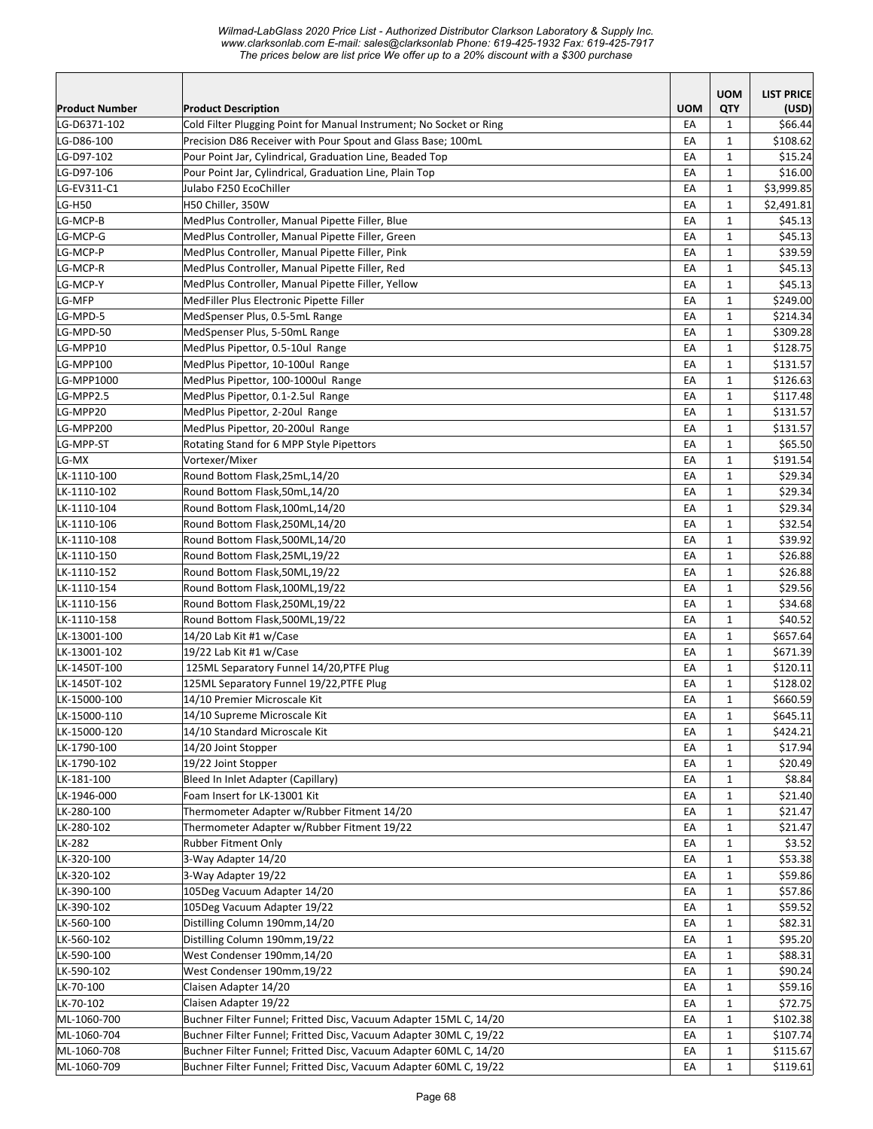*Wilmad-LabGlass 2020 Price List - Authorized Distributor Clarkson Laboratory & Supply Inc. www.clarksonlab.com E-mail: sales@clarksonlab Phone: 619-425-1932 Fax: 619-425-7917 The prices below are list price We offer up to a 20% discount with a \$300 purchase* 

|                |                                                                     |            | <b>UOM</b>   | <b>LIST PRICE</b> |
|----------------|---------------------------------------------------------------------|------------|--------------|-------------------|
| Product Number | <b>Product Description</b>                                          | <b>UOM</b> | QTY          | (USD)             |
| LG-D6371-102   | Cold Filter Plugging Point for Manual Instrument; No Socket or Ring | EA         | $\mathbf{1}$ | \$66.44           |
| LG-D86-100     | Precision D86 Receiver with Pour Spout and Glass Base; 100mL        | EA         | $\mathbf{1}$ | \$108.62          |
| LG-D97-102     | Pour Point Jar, Cylindrical, Graduation Line, Beaded Top            | EA         | $\mathbf{1}$ | \$15.24           |
| LG-D97-106     | Pour Point Jar, Cylindrical, Graduation Line, Plain Top             | EA         | $\mathbf{1}$ | \$16.00           |
| LG-EV311-C1    | Julabo F250 EcoChiller                                              | EA         | $\mathbf{1}$ | \$3,999.85        |
| <b>LG-H50</b>  | H50 Chiller, 350W                                                   | EA         | $\mathbf{1}$ | \$2,491.81        |
| LG-MCP-B       | MedPlus Controller, Manual Pipette Filler, Blue                     | EA         | $\mathbf{1}$ | \$45.13           |
| LG-MCP-G       | MedPlus Controller, Manual Pipette Filler, Green                    | EA         | $\mathbf{1}$ | \$45.13           |
| LG-MCP-P       | MedPlus Controller, Manual Pipette Filler, Pink                     | EA         | $\mathbf{1}$ | \$39.59           |
| LG-MCP-R       | MedPlus Controller, Manual Pipette Filler, Red                      | EA         | $\mathbf{1}$ | \$45.13           |
| LG-MCP-Y       | MedPlus Controller, Manual Pipette Filler, Yellow                   | EA         | $\mathbf{1}$ | \$45.13           |
| LG-MFP         | MedFiller Plus Electronic Pipette Filler                            | EA         | $\mathbf{1}$ | \$249.00          |
| LG-MPD-5       | MedSpenser Plus, 0.5-5mL Range                                      | EA         | $\mathbf{1}$ | \$214.34          |
| LG-MPD-50      | MedSpenser Plus, 5-50mL Range                                       | EA         | $\mathbf{1}$ | \$309.28          |
| LG-MPP10       | MedPlus Pipettor, 0.5-10ul Range                                    | EA         | $\mathbf{1}$ | \$128.75          |
| LG-MPP100      | MedPlus Pipettor, 10-100ul Range                                    | EA         | $\mathbf{1}$ | \$131.57          |
| LG-MPP1000     | MedPlus Pipettor, 100-1000ul Range                                  | EA         | $\mathbf{1}$ | \$126.63          |
| LG-MPP2.5      | MedPlus Pipettor, 0.1-2.5ul Range                                   | EA         | $\mathbf{1}$ | \$117.48          |
| LG-MPP20       | MedPlus Pipettor, 2-20ul Range                                      | EA         | $\mathbf{1}$ | \$131.57          |
| LG-MPP200      | MedPlus Pipettor, 20-200ul Range                                    | EA         | $\mathbf{1}$ | \$131.57          |
| LG-MPP-ST      | Rotating Stand for 6 MPP Style Pipettors                            | EA         | $\mathbf{1}$ | \$65.50           |
| LG-MX          | Vortexer/Mixer                                                      | EA         | $\mathbf{1}$ | \$191.54          |
| LK-1110-100    | Round Bottom Flask, 25mL, 14/20                                     | EA         | $\mathbf{1}$ | \$29.34           |
| LK-1110-102    | Round Bottom Flask, 50mL, 14/20                                     | EA         | $\mathbf{1}$ | \$29.34           |
| LK-1110-104    | Round Bottom Flask, 100mL, 14/20                                    | EA         | $\mathbf{1}$ | \$29.34           |
| LK-1110-106    | Round Bottom Flask, 250ML, 14/20                                    | EA         | $\mathbf{1}$ | \$32.54           |
| LK-1110-108    | Round Bottom Flask, 500ML, 14/20                                    | EA         | 1            | \$39.92           |
| LK-1110-150    | Round Bottom Flask, 25ML, 19/22                                     | EA         | $\mathbf{1}$ | \$26.88           |
| LK-1110-152    | Round Bottom Flask, 50ML, 19/22                                     | EA         | $\mathbf{1}$ | \$26.88           |
| LK-1110-154    | Round Bottom Flask, 100ML, 19/22                                    | EA         | $\mathbf{1}$ | \$29.56           |
| LK-1110-156    | Round Bottom Flask, 250ML, 19/22                                    | EA         | $\mathbf{1}$ | \$34.68           |
| LK-1110-158    | Round Bottom Flask,500ML,19/22                                      | EA         | $\mathbf{1}$ | \$40.52           |
| LK-13001-100   | 14/20 Lab Kit #1 w/Case                                             | EA         | $\mathbf{1}$ | \$657.64          |
| LK-13001-102   | 19/22 Lab Kit #1 w/Case                                             | EA         | $\mathbf{1}$ | \$671.39          |
| LK-1450T-100   | 125ML Separatory Funnel 14/20, PTFE Plug                            | EA         | $\mathbf{1}$ | \$120.11          |
| LK-1450T-102   | 125ML Separatory Funnel 19/22, PTFE Plug                            | EA         | $\mathbf{1}$ | \$128.02          |
| LK-15000-100   | 14/10 Premier Microscale Kit                                        | EA         | $\mathbf{1}$ | \$660.59          |
| LK-15000-110   | 14/10 Supreme Microscale Kit                                        | EA         | $\mathbf 1$  | \$645.11          |
| LK-15000-120   | 14/10 Standard Microscale Kit                                       | EA         | $\mathbf{1}$ | \$424.21          |
| LK-1790-100    | 14/20 Joint Stopper                                                 | EA         | $\mathbf{1}$ | \$17.94           |
| LK-1790-102    | 19/22 Joint Stopper                                                 | EA         | $\mathbf{1}$ | \$20.49           |
| LK-181-100     | Bleed In Inlet Adapter (Capillary)                                  | EA         | 1            | \$8.84            |
| LK-1946-000    | Foam Insert for LK-13001 Kit                                        | EA         | $\mathbf{1}$ | \$21.40           |
| LK-280-100     | Thermometer Adapter w/Rubber Fitment 14/20                          | EA         | $\mathbf{1}$ | \$21.47           |
| LK-280-102     | Thermometer Adapter w/Rubber Fitment 19/22                          | EA         | $\mathbf{1}$ | \$21.47           |
| LK-282         | <b>Rubber Fitment Only</b>                                          | EA         | $\mathbf{1}$ | \$3.52            |
| LK-320-100     | 3-Way Adapter 14/20                                                 | EA         | $\mathbf{1}$ | \$53.38           |
| LK-320-102     | 3-Way Adapter 19/22                                                 | EA         | $\mathbf{1}$ | \$59.86           |
| LK-390-100     | 105Deg Vacuum Adapter 14/20                                         | EA         | $\mathbf{1}$ | \$57.86           |
| LK-390-102     | 105Deg Vacuum Adapter 19/22                                         | EA         | $\mathbf{1}$ | \$59.52           |
| LK-560-100     | Distilling Column 190mm, 14/20                                      | EA         | $\mathbf{1}$ | \$82.31           |
| LK-560-102     | Distilling Column 190mm, 19/22                                      | EA         | $\mathbf{1}$ | \$95.20           |
| LK-590-100     | West Condenser 190mm, 14/20                                         | EA         | $\mathbf{1}$ | \$88.31           |
| LK-590-102     | West Condenser 190mm, 19/22                                         | EA         | $\mathbf{1}$ | \$90.24           |
| LK-70-100      | Claisen Adapter 14/20                                               | EA         | $\mathbf{1}$ | \$59.16           |
| LK-70-102      | Claisen Adapter 19/22                                               | EA         | $\mathbf{1}$ | \$72.75           |
| ML-1060-700    | Buchner Filter Funnel; Fritted Disc, Vacuum Adapter 15ML C, 14/20   | EA         | 1            | \$102.38          |
| ML-1060-704    | Buchner Filter Funnel; Fritted Disc, Vacuum Adapter 30ML C, 19/22   | EA         | $\mathbf{1}$ | \$107.74          |
| ML-1060-708    | Buchner Filter Funnel; Fritted Disc, Vacuum Adapter 60ML C, 14/20   | EA         | $\mathbf{1}$ | \$115.67          |
| ML-1060-709    | Buchner Filter Funnel; Fritted Disc, Vacuum Adapter 60ML C, 19/22   | EA         | $\mathbf{1}$ | \$119.61          |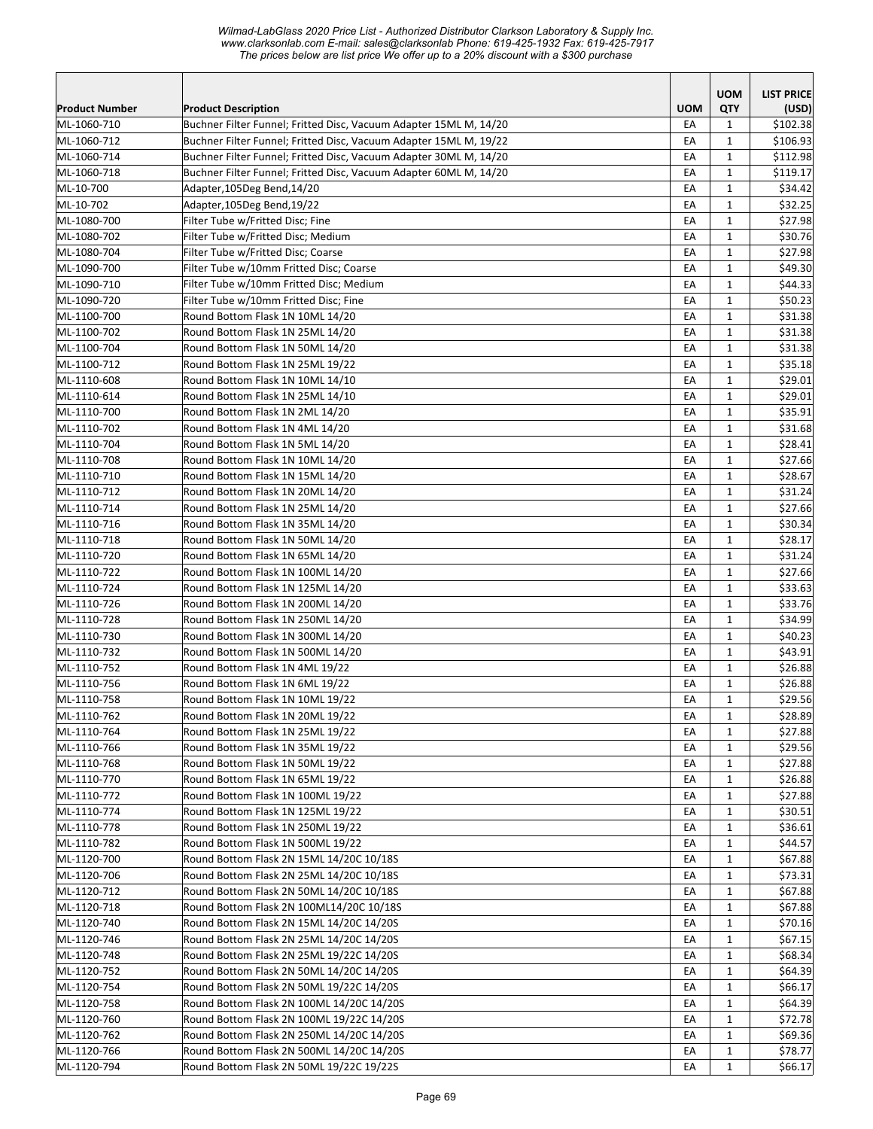*Wilmad-LabGlass 2020 Price List - Authorized Distributor Clarkson Laboratory & Supply Inc. www.clarksonlab.com E-mail: sales@clarksonlab Phone: 619-425-1932 Fax: 619-425-7917 The prices below are list price We offer up to a 20% discount with a \$300 purchase* 

|                            |                                                                        |            | <b>UOM</b>        | <b>LIST PRICE</b>  |
|----------------------------|------------------------------------------------------------------------|------------|-------------------|--------------------|
| <b>Product Number</b>      | <b>Product Description</b>                                             | <b>UOM</b> | QTY               | (USD)              |
| ML-1060-710                | Buchner Filter Funnel; Fritted Disc, Vacuum Adapter 15ML M, 14/20      | EA         | $\mathbf{1}$      | \$102.38           |
| ML-1060-712                | Buchner Filter Funnel; Fritted Disc, Vacuum Adapter 15ML M, 19/22      | EA         | $\mathbf{1}$      | \$106.93           |
| ML-1060-714                | Buchner Filter Funnel; Fritted Disc, Vacuum Adapter 30ML M, 14/20      | EA         | $\mathbf{1}$      | \$112.98           |
| ML-1060-718                | Buchner Filter Funnel; Fritted Disc, Vacuum Adapter 60ML M, 14/20      | EA<br>EA   | 1<br>$\mathbf{1}$ | \$119.17           |
| ML-10-700                  | Adapter,105Deg Bend,14/20                                              |            | $\mathbf{1}$      | \$34.42            |
| ML-10-702                  | Adapter,105Deg Bend,19/22                                              | EA         |                   | \$32.25            |
| ML-1080-700<br>ML-1080-702 | Filter Tube w/Fritted Disc; Fine<br>Filter Tube w/Fritted Disc; Medium | EA<br>EA   | $\mathbf{1}$<br>1 | \$27.98<br>\$30.76 |
| ML-1080-704                | Filter Tube w/Fritted Disc; Coarse                                     | EA         | $\mathbf{1}$      | \$27.98            |
| ML-1090-700                | Filter Tube w/10mm Fritted Disc; Coarse                                | EA         | $\mathbf{1}$      | \$49.30            |
| ML-1090-710                | Filter Tube w/10mm Fritted Disc; Medium                                | EA         | $\mathbf{1}$      | \$44.33            |
| ML-1090-720                | Filter Tube w/10mm Fritted Disc; Fine                                  | EA         | 1                 | \$50.23            |
| ML-1100-700                | Round Bottom Flask 1N 10ML 14/20                                       | EA         | $\mathbf{1}$      | \$31.38            |
| ML-1100-702                | Round Bottom Flask 1N 25ML 14/20                                       | EA         | $\mathbf{1}$      | \$31.38            |
| ML-1100-704                | Round Bottom Flask 1N 50ML 14/20                                       | EA         | 1                 | \$31.38            |
| ML-1100-712                | Round Bottom Flask 1N 25ML 19/22                                       | EA         | 1                 | \$35.18            |
| ML-1110-608                | Round Bottom Flask 1N 10ML 14/10                                       | EA         | $\mathbf{1}$      | \$29.01            |
| ML-1110-614                | Round Bottom Flask 1N 25ML 14/10                                       | EA         | $\mathbf{1}$      | \$29.01            |
| ML-1110-700                | Round Bottom Flask 1N 2ML 14/20                                        | EA         | 1                 | \$35.91            |
| ML-1110-702                | Round Bottom Flask 1N 4ML 14/20                                        | EA         | $\mathbf{1}$      | \$31.68            |
| ML-1110-704                | Round Bottom Flask 1N 5ML 14/20                                        | EA         | $\mathbf{1}$      | \$28.41            |
| ML-1110-708                | Round Bottom Flask 1N 10ML 14/20                                       | EA         | $\mathbf{1}$      | \$27.66            |
| ML-1110-710                | Round Bottom Flask 1N 15ML 14/20                                       | EA         | 1                 | \$28.67            |
| ML-1110-712                | Round Bottom Flask 1N 20ML 14/20                                       | EA         | $\mathbf{1}$      | \$31.24            |
| ML-1110-714                | Round Bottom Flask 1N 25ML 14/20                                       | EA         | $\mathbf{1}$      | \$27.66            |
| ML-1110-716                | Round Bottom Flask 1N 35ML 14/20                                       | EA         | $\mathbf{1}$      | \$30.34            |
| ML-1110-718                | Round Bottom Flask 1N 50ML 14/20                                       | EA         | 1                 | \$28.17            |
| ML-1110-720                | Round Bottom Flask 1N 65ML 14/20                                       | EA         | $\mathbf{1}$      | \$31.24            |
| ML-1110-722                | Round Bottom Flask 1N 100ML 14/20                                      | EA         | $\mathbf{1}$      | \$27.66            |
| ML-1110-724                | Round Bottom Flask 1N 125ML 14/20                                      | EA         | 1                 | \$33.63            |
| ML-1110-726                | Round Bottom Flask 1N 200ML 14/20                                      | EA         | 1                 | \$33.76            |
| ML-1110-728                | Round Bottom Flask 1N 250ML 14/20                                      | EA         | $\mathbf{1}$      | \$34.99            |
| ML-1110-730                | Round Bottom Flask 1N 300ML 14/20                                      | EA         | $\mathbf{1}$      | \$40.23            |
| ML-1110-732                | Round Bottom Flask 1N 500ML 14/20                                      | EA         | $\mathbf{1}$      | \$43.91            |
| ML-1110-752                | Round Bottom Flask 1N 4ML 19/22                                        | EA         | 1                 | \$26.88            |
| ML-1110-756                | Round Bottom Flask 1N 6ML 19/22                                        | EA         | $\mathbf{1}$      | \$26.88            |
| ML-1110-758                | Round Bottom Flask 1N 10ML 19/22                                       | EA         | $\mathbf{1}$      | \$29.56            |
| ML-1110-762                | Round Bottom Flask 1N 20ML 19/22                                       | EA         | $\mathbf 1$       | \$28.89            |
| ML-1110-764                | Round Bottom Flask 1N 25ML 19/22                                       | EA         | 1                 | \$27.88            |
| ML-1110-766                | Round Bottom Flask 1N 35ML 19/22                                       | EA         | 1                 | \$29.56            |
| ML-1110-768                | Round Bottom Flask 1N 50ML 19/22                                       | EA         | 1                 | \$27.88            |
| ML-1110-770                | Round Bottom Flask 1N 65ML 19/22                                       | EA         | 1                 | \$26.88            |
| ML-1110-772                | Round Bottom Flask 1N 100ML 19/22                                      | EA         | $\mathbf{1}$      | \$27.88            |
| ML-1110-774                | Round Bottom Flask 1N 125ML 19/22                                      | EA         | $\mathbf{1}$      | \$30.51            |
| ML-1110-778                | Round Bottom Flask 1N 250ML 19/22                                      | EA         | $\mathbf{1}$      | \$36.61            |
| ML-1110-782                | Round Bottom Flask 1N 500ML 19/22                                      | EA         | $\mathbf{1}$      | \$44.57            |
| ML-1120-700                | Round Bottom Flask 2N 15ML 14/20C 10/18S                               | EA         | $\mathbf{1}$      | \$67.88            |
| ML-1120-706                | Round Bottom Flask 2N 25ML 14/20C 10/18S                               | EA         | $\mathbf{1}$      | \$73.31            |
| ML-1120-712                | Round Bottom Flask 2N 50ML 14/20C 10/18S                               | EA         | $\mathbf{1}$      | \$67.88            |
| ML-1120-718                | Round Bottom Flask 2N 100ML14/20C 10/18S                               | EA         | 1                 | \$67.88            |
| ML-1120-740                | Round Bottom Flask 2N 15ML 14/20C 14/20S                               | EA         | $\mathbf{1}$      | \$70.16            |
| ML-1120-746                | Round Bottom Flask 2N 25ML 14/20C 14/20S                               | EA         | $\mathbf{1}$      | \$67.15            |
| ML-1120-748                | Round Bottom Flask 2N 25ML 19/22C 14/20S                               | EA         | $\mathbf{1}$      | \$68.34            |
| ML-1120-752                | Round Bottom Flask 2N 50ML 14/20C 14/20S                               | EA         | $\mathbf{1}$      | \$64.39            |
| ML-1120-754                | Round Bottom Flask 2N 50ML 19/22C 14/20S                               | EA         | $\mathbf{1}$      | \$66.17            |
| ML-1120-758                | Round Bottom Flask 2N 100ML 14/20C 14/20S                              | EA         | 1                 | \$64.39            |
| ML-1120-760                | Round Bottom Flask 2N 100ML 19/22C 14/20S                              | EA         | 1                 | \$72.78            |
| ML-1120-762                | Round Bottom Flask 2N 250ML 14/20C 14/20S                              | EA         | 1                 | \$69.36            |
| ML-1120-766                | Round Bottom Flask 2N 500ML 14/20C 14/20S                              | EA         | $\mathbf{1}$      | \$78.77            |
| ML-1120-794                | Round Bottom Flask 2N 50ML 19/22C 19/22S                               | EA         | $\mathbf{1}$      | \$66.17            |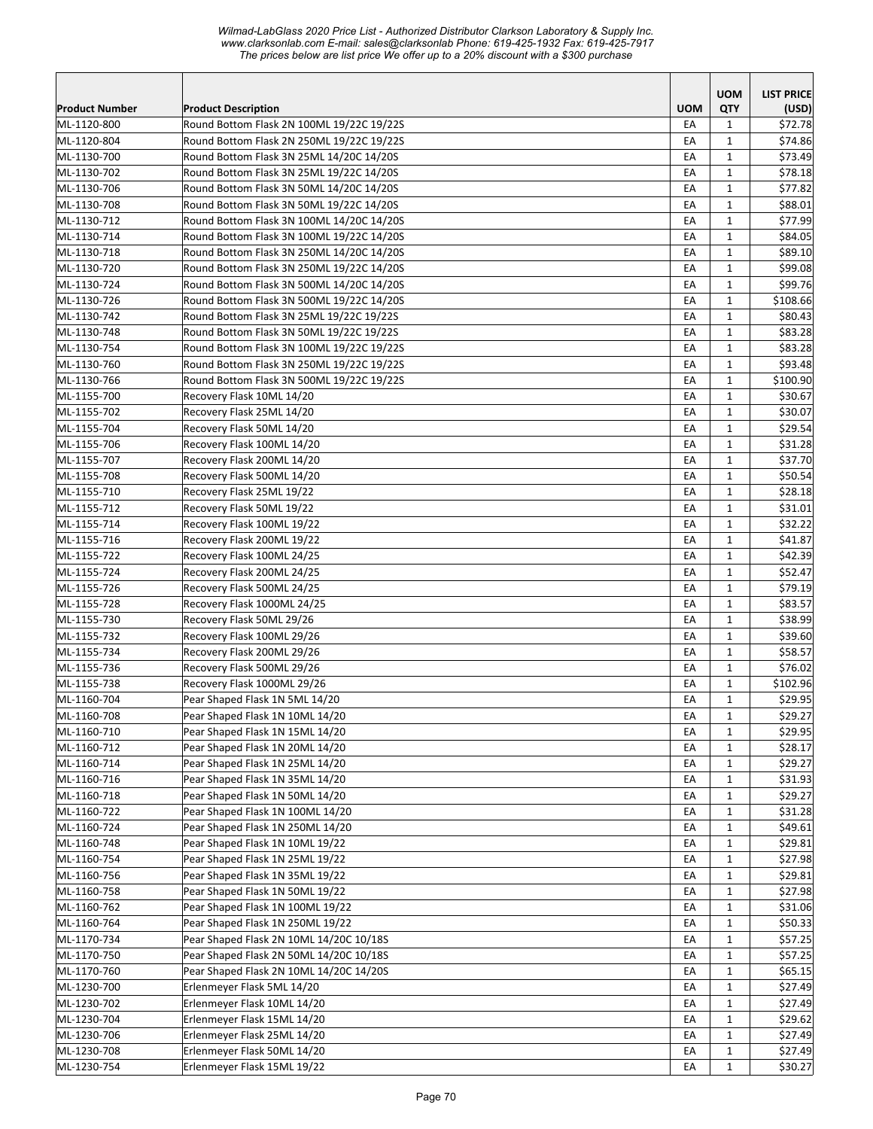*Wilmad-LabGlass 2020 Price List - Authorized Distributor Clarkson Laboratory & Supply Inc. www.clarksonlab.com E-mail: sales@clarksonlab Phone: 619-425-1932 Fax: 619-425-7917 The prices below are list price We offer up to a 20% discount with a \$300 purchase* 

|                       |                                           |            | <b>UOM</b>   | <b>LIST PRICE</b> |
|-----------------------|-------------------------------------------|------------|--------------|-------------------|
| <b>Product Number</b> | <b>Product Description</b>                | <b>UOM</b> | QTY          | (USD)             |
| ML-1120-800           | Round Bottom Flask 2N 100ML 19/22C 19/22S | EA         | $\mathbf{1}$ | \$72.78           |
| ML-1120-804           | Round Bottom Flask 2N 250ML 19/22C 19/22S | EA         | $\mathbf{1}$ | \$74.86           |
| ML-1130-700           | Round Bottom Flask 3N 25ML 14/20C 14/20S  | EA         | $\mathbf{1}$ | \$73.49           |
| ML-1130-702           | Round Bottom Flask 3N 25ML 19/22C 14/20S  | EA         | $\mathbf{1}$ | \$78.18           |
| ML-1130-706           | Round Bottom Flask 3N 50ML 14/20C 14/20S  | EA         | $\mathbf{1}$ | \$77.82           |
| ML-1130-708           | Round Bottom Flask 3N 50ML 19/22C 14/20S  | EA         | $\mathbf{1}$ | \$88.01           |
| ML-1130-712           | Round Bottom Flask 3N 100ML 14/20C 14/20S | EA         | 1            | \$77.99           |
| ML-1130-714           | Round Bottom Flask 3N 100ML 19/22C 14/20S | EA         | 1            | \$84.05           |
| ML-1130-718           | Round Bottom Flask 3N 250ML 14/20C 14/20S | EA         | $\mathbf{1}$ | \$89.10           |
| ML-1130-720           | Round Bottom Flask 3N 250ML 19/22C 14/20S | EA         | 1            | \$99.08           |
| ML-1130-724           | Round Bottom Flask 3N 500ML 14/20C 14/20S | EA         | 1            | \$99.76           |
| ML-1130-726           | Round Bottom Flask 3N 500ML 19/22C 14/20S | EA         | 1            | \$108.66          |
| ML-1130-742           | Round Bottom Flask 3N 25ML 19/22C 19/22S  | EA         | $\mathbf{1}$ | \$80.43           |
| ML-1130-748           | Round Bottom Flask 3N 50ML 19/22C 19/22S  | EA         | $\mathbf{1}$ | \$83.28           |
| ML-1130-754           | Round Bottom Flask 3N 100ML 19/22C 19/22S | EA         | 1            | \$83.28           |
| ML-1130-760           | Round Bottom Flask 3N 250ML 19/22C 19/22S | EA         | $\mathbf{1}$ | \$93.48           |
| ML-1130-766           | Round Bottom Flask 3N 500ML 19/22C 19/22S | EA         | $\mathbf{1}$ | \$100.90          |
| ML-1155-700           | Recovery Flask 10ML 14/20                 | EA         | 1            | \$30.67           |
| ML-1155-702           | Recovery Flask 25ML 14/20                 | EA         | $\mathbf{1}$ | \$30.07           |
| ML-1155-704           | Recovery Flask 50ML 14/20                 | EA         | $\mathbf{1}$ | \$29.54           |
| ML-1155-706           | Recovery Flask 100ML 14/20                | EA         | $\mathbf{1}$ | \$31.28           |
| ML-1155-707           | Recovery Flask 200ML 14/20                | EA         | 1            | \$37.70           |
| ML-1155-708           | Recovery Flask 500ML 14/20                | EA         | 1            | \$50.54           |
| ML-1155-710           | Recovery Flask 25ML 19/22                 | EA         | $\mathbf{1}$ | \$28.18           |
| ML-1155-712           | Recovery Flask 50ML 19/22                 | EA         | $\mathbf{1}$ | \$31.01           |
| ML-1155-714           | Recovery Flask 100ML 19/22                | EA         | 1            | \$32.22           |
| ML-1155-716           | Recovery Flask 200ML 19/22                | EA         | $\mathbf{1}$ | \$41.87           |
| ML-1155-722           | Recovery Flask 100ML 24/25                | EA         | $\mathbf{1}$ | \$42.39           |
| ML-1155-724           | Recovery Flask 200ML 24/25                | EA         | 1            | \$52.47           |
| ML-1155-726           | Recovery Flask 500ML 24/25                | EA         | 1            | \$79.19           |
| ML-1155-728           | Recovery Flask 1000ML 24/25               | EA         | $\mathbf{1}$ | \$83.57           |
| ML-1155-730           | Recovery Flask 50ML 29/26                 | EA         | $\mathbf{1}$ | \$38.99           |
| ML-1155-732           | Recovery Flask 100ML 29/26                | EA         | $\mathbf{1}$ | \$39.60           |
| ML-1155-734           | Recovery Flask 200ML 29/26                | EA         | 1            | \$58.57           |
| ML-1155-736           | Recovery Flask 500ML 29/26                | EA         | $\mathbf{1}$ | \$76.02           |
| ML-1155-738           | Recovery Flask 1000ML 29/26               | EA         | $\mathbf{1}$ | \$102.96          |
| ML-1160-704           | Pear Shaped Flask 1N 5ML 14/20            | EA         | 1            | \$29.95           |
| ML-1160-708           | Pear Shaped Flask 1N 10ML 14/20           | EA         | $\mathbf{1}$ | \$29.27           |
| ML-1160-710           | Pear Shaped Flask 1N 15ML 14/20           | EA         | $\mathbf{1}$ | \$29.95           |
| ML-1160-712           | Pear Shaped Flask 1N 20ML 14/20           | EA         | 1            | \$28.17           |
| ML-1160-714           | Pear Shaped Flask 1N 25ML 14/20           | EA         | 1            | \$29.27           |
| ML-1160-716           | Pear Shaped Flask 1N 35ML 14/20           | EA         | 1            | \$31.93           |
| ML-1160-718           | Pear Shaped Flask 1N 50ML 14/20           | EA         | $\mathbf{1}$ | \$29.27           |
| ML-1160-722           | Pear Shaped Flask 1N 100ML 14/20          | EA         | $\mathbf{1}$ | \$31.28           |
| ML-1160-724           | Pear Shaped Flask 1N 250ML 14/20          | EA         | $\mathbf{1}$ | \$49.61           |
| ML-1160-748           | Pear Shaped Flask 1N 10ML 19/22           | EA         | $\mathbf{1}$ | \$29.81           |
| ML-1160-754           | Pear Shaped Flask 1N 25ML 19/22           | EA         | $\mathbf{1}$ | \$27.98           |
| ML-1160-756           | Pear Shaped Flask 1N 35ML 19/22           | EA         | $\mathbf{1}$ | \$29.81           |
| ML-1160-758           | Pear Shaped Flask 1N 50ML 19/22           | EA         | 1            | \$27.98           |
| ML-1160-762           | Pear Shaped Flask 1N 100ML 19/22          | EA         | $\mathbf{1}$ | \$31.06           |
| ML-1160-764           | Pear Shaped Flask 1N 250ML 19/22          | EA         | $\mathbf{1}$ | \$50.33           |
| ML-1170-734           | Pear Shaped Flask 2N 10ML 14/20C 10/18S   | EA         | $\mathbf{1}$ | \$57.25           |
| ML-1170-750           | Pear Shaped Flask 2N 50ML 14/20C 10/18S   |            | $\mathbf{1}$ | \$57.25           |
| ML-1170-760           |                                           | EA         |              |                   |
|                       | Pear Shaped Flask 2N 10ML 14/20C 14/20S   | EA         | $\mathbf{1}$ | \$65.15           |
| ML-1230-700           | Erlenmeyer Flask 5ML 14/20                | EA         | $\mathbf{1}$ | \$27.49           |
| ML-1230-702           | Erlenmeyer Flask 10ML 14/20               | EA         | $\mathbf{1}$ | \$27.49           |
| ML-1230-704           | Erlenmeyer Flask 15ML 14/20               | EA         | 1            | \$29.62           |
| ML-1230-706           | Erlenmeyer Flask 25ML 14/20               | EA         | $\mathbf{1}$ | \$27.49           |
| ML-1230-708           | Erlenmeyer Flask 50ML 14/20               | EA         | $\mathbf{1}$ | \$27.49           |
| ML-1230-754           | Erlenmeyer Flask 15ML 19/22               | EA         | $\mathbf{1}$ | \$30.27           |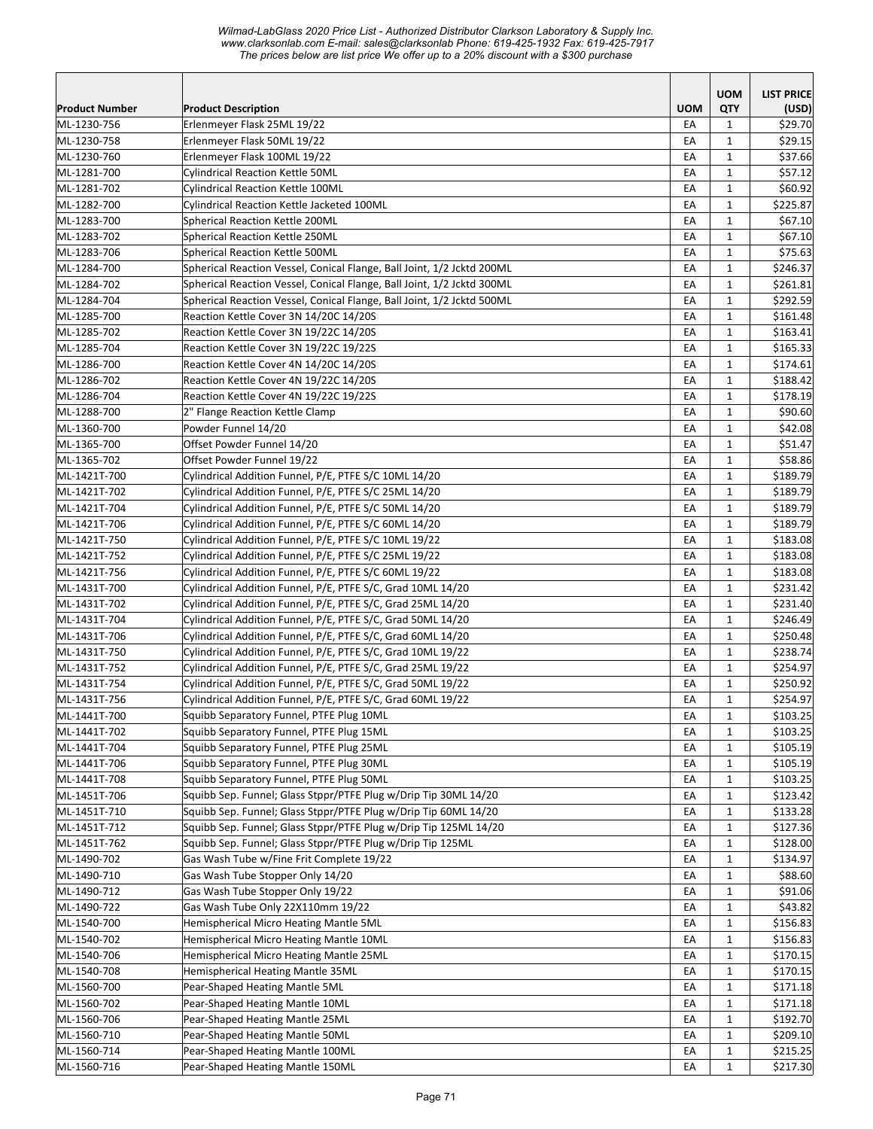*Wilmad-LabGlass 2020 Price List - Authorized Distributor Clarkson Laboratory & Supply Inc. www.clarksonlab.com E-mail: sales@clarksonlab Phone: 619-425-1932 Fax: 619-425-7917 The prices below are list price We offer up to a 20% discount with a \$300 purchase* 

|                       |                                                                        |            | <b>UOM</b>   | <b>LIST PRICE</b> |
|-----------------------|------------------------------------------------------------------------|------------|--------------|-------------------|
| <b>Product Number</b> | <b>Product Description</b>                                             | <b>UOM</b> | <b>QTY</b>   | (USD)             |
| ML-1230-756           | Erlenmeyer Flask 25ML 19/22                                            | EA         | 1            | \$29.70           |
| ML-1230-758           | Erlenmeyer Flask 50ML 19/22                                            | EA         | $\mathbf{1}$ | \$29.15           |
| ML-1230-760           | Erlenmeyer Flask 100ML 19/22                                           | EA         | 1            | \$37.66           |
| ML-1281-700           | Cylindrical Reaction Kettle 50ML                                       | EA         | 1            | \$57.12           |
| ML-1281-702           | <b>Cylindrical Reaction Kettle 100ML</b>                               | EA         | $\mathbf{1}$ | \$60.92           |
| ML-1282-700           | Cylindrical Reaction Kettle Jacketed 100ML                             | EA         | $\mathbf{1}$ | \$225.87          |
| ML-1283-700           | <b>Spherical Reaction Kettle 200ML</b>                                 | EA         | $\mathbf{1}$ | \$67.10           |
| ML-1283-702           | <b>Spherical Reaction Kettle 250ML</b>                                 | EA         | $\mathbf{1}$ | \$67.10           |
| ML-1283-706           | <b>Spherical Reaction Kettle 500ML</b>                                 | EA         | $\mathbf{1}$ | \$75.63           |
| ML-1284-700           | Spherical Reaction Vessel, Conical Flange, Ball Joint, 1/2 Jcktd 200ML | EA         | $\mathbf{1}$ | \$246.37          |
| ML-1284-702           | Spherical Reaction Vessel, Conical Flange, Ball Joint, 1/2 Jcktd 300ML | EA         | $\mathbf{1}$ | \$261.81          |
| ML-1284-704           | Spherical Reaction Vessel, Conical Flange, Ball Joint, 1/2 Jcktd 500ML | EA         | $\mathbf{1}$ | \$292.59          |
| ML-1285-700           | Reaction Kettle Cover 3N 14/20C 14/20S                                 | EA         | $\mathbf{1}$ | \$161.48          |
| ML-1285-702           | Reaction Kettle Cover 3N 19/22C 14/20S                                 | EA         | $\mathbf{1}$ | \$163.41          |
| ML-1285-704           | Reaction Kettle Cover 3N 19/22C 19/22S                                 | EA         | $\mathbf{1}$ | \$165.33          |
| ML-1286-700           | Reaction Kettle Cover 4N 14/20C 14/20S                                 | EA         | $\mathbf{1}$ | \$174.61          |
| ML-1286-702           | Reaction Kettle Cover 4N 19/22C 14/20S                                 | EA         | $\mathbf{1}$ | \$188.42          |
| ML-1286-704           | Reaction Kettle Cover 4N 19/22C 19/22S                                 | EA         | 1            | \$178.19          |
| ML-1288-700           | 2" Flange Reaction Kettle Clamp                                        | EA         | 1            | \$90.60           |
| ML-1360-700           | Powder Funnel 14/20                                                    | EA         | $\mathbf{1}$ | \$42.08           |
| ML-1365-700           | Offset Powder Funnel 14/20                                             | EA         | $\mathbf{1}$ | \$51.47           |
| ML-1365-702           | Offset Powder Funnel 19/22                                             | EA         | $\mathbf{1}$ | \$58.86           |
| ML-1421T-700          | Cylindrical Addition Funnel, P/E, PTFE S/C 10ML 14/20                  | EA         | $\mathbf{1}$ | \$189.79          |
| ML-1421T-702          | Cylindrical Addition Funnel, P/E, PTFE S/C 25ML 14/20                  | EA         | $\mathbf{1}$ | \$189.79          |
| ML-1421T-704          | Cylindrical Addition Funnel, P/E, PTFE S/C 50ML 14/20                  | EA         | $\mathbf{1}$ | \$189.79          |
| ML-1421T-706          | Cylindrical Addition Funnel, P/E, PTFE S/C 60ML 14/20                  | EA         | $\mathbf{1}$ | \$189.79          |
| ML-1421T-750          | Cylindrical Addition Funnel, P/E, PTFE S/C 10ML 19/22                  | EA         | $\mathbf{1}$ | \$183.08          |
| ML-1421T-752          | Cylindrical Addition Funnel, P/E, PTFE S/C 25ML 19/22                  | EA         | $\mathbf{1}$ | \$183.08          |
| ML-1421T-756          | Cylindrical Addition Funnel, P/E, PTFE S/C 60ML 19/22                  | EA         | $\mathbf{1}$ | \$183.08          |
| ML-1431T-700          | Cylindrical Addition Funnel, P/E, PTFE S/C, Grad 10ML 14/20            | EA         | $\mathbf{1}$ | \$231.42          |
| ML-1431T-702          | Cylindrical Addition Funnel, P/E, PTFE S/C, Grad 25ML 14/20            | EA         | $\mathbf{1}$ | \$231.40          |
| ML-1431T-704          | Cylindrical Addition Funnel, P/E, PTFE S/C, Grad 50ML 14/20            | EA         | $\mathbf{1}$ | \$246.49          |
| ML-1431T-706          | Cylindrical Addition Funnel, P/E, PTFE S/C, Grad 60ML 14/20            | EA         | 1            | \$250.48          |
| ML-1431T-750          | Cylindrical Addition Funnel, P/E, PTFE S/C, Grad 10ML 19/22            | EA         | $\mathbf{1}$ | \$238.74          |
| ML-1431T-752          | Cylindrical Addition Funnel, P/E, PTFE S/C, Grad 25ML 19/22            | EA         | 1            | \$254.97          |
| ML-1431T-754          | Cylindrical Addition Funnel, P/E, PTFE S/C, Grad 50ML 19/22            | EA         | $\mathbf{1}$ | \$250.92          |
| ML-1431T-756          | Cylindrical Addition Funnel, P/E, PTFE S/C, Grad 60ML 19/22            | EA         | $\mathbf{1}$ | \$254.97          |
| ML-1441T-700          | Squibb Separatory Funnel, PTFE Plug 10ML                               | EA         | $\mathbf 1$  | \$103.25          |
| ML-1441T-702          | Squibb Separatory Funnel, PTFE Plug 15ML                               | EA         | $\mathbf{1}$ | \$103.25          |
| ML-1441T-704          | Squibb Separatory Funnel, PTFE Plug 25ML                               | EA         | 1            | \$105.19          |
| ML-1441T-706          | Squibb Separatory Funnel, PTFE Plug 30ML                               | EA         | $\mathbf{1}$ | \$105.19          |
| ML-1441T-708          | Squibb Separatory Funnel, PTFE Plug 50ML                               | EA         | 1            | \$103.25          |
| ML-1451T-706          | Squibb Sep. Funnel; Glass Stppr/PTFE Plug w/Drip Tip 30ML 14/20        | EA         | $\mathbf{1}$ | \$123.42          |
| ML-1451T-710          | Squibb Sep. Funnel; Glass Stppr/PTFE Plug w/Drip Tip 60ML 14/20        | EA         | $\mathbf 1$  | \$133.28          |
| ML-1451T-712          | Squibb Sep. Funnel; Glass Stppr/PTFE Plug w/Drip Tip 125ML 14/20       | EA         | $\mathbf{1}$ | \$127.36          |
| ML-1451T-762          | Squibb Sep. Funnel; Glass Stppr/PTFE Plug w/Drip Tip 125ML             | EA         | $\mathbf{1}$ | \$128.00          |
| ML-1490-702           | Gas Wash Tube w/Fine Frit Complete 19/22                               | EA         | $\mathbf{1}$ | \$134.97          |
| ML-1490-710           | Gas Wash Tube Stopper Only 14/20                                       | EA         | 1            | \$88.60           |
| ML-1490-712           | Gas Wash Tube Stopper Only 19/22                                       | EA         | 1            | \$91.06           |
| ML-1490-722           | Gas Wash Tube Only 22X110mm 19/22                                      | EA         | 1            | \$43.82           |
| ML-1540-700           | Hemispherical Micro Heating Mantle 5ML                                 | EA         | $\mathbf{1}$ | \$156.83          |
| ML-1540-702           | Hemispherical Micro Heating Mantle 10ML                                | EA         | $\mathbf{1}$ | \$156.83          |
| ML-1540-706           | Hemispherical Micro Heating Mantle 25ML                                | EA         | $\mathbf{1}$ | \$170.15          |
| ML-1540-708           | Hemispherical Heating Mantle 35ML                                      | EA         | $\mathbf{1}$ | \$170.15          |
| ML-1560-700           | Pear-Shaped Heating Mantle 5ML                                         | EA         | $\mathbf{1}$ | \$171.18          |
| ML-1560-702           | Pear-Shaped Heating Mantle 10ML                                        | EA         | $\mathbf{1}$ | \$171.18          |
| ML-1560-706           | Pear-Shaped Heating Mantle 25ML                                        | EA         | 1            | \$192.70          |
| ML-1560-710           | Pear-Shaped Heating Mantle 50ML                                        | EA         | $\mathbf{1}$ | \$209.10          |
| ML-1560-714           | Pear-Shaped Heating Mantle 100ML                                       | EA         | $\mathbf{1}$ | \$215.25          |
| ML-1560-716           | Pear-Shaped Heating Mantle 150ML                                       | EA         | $\mathbf{1}$ | \$217.30          |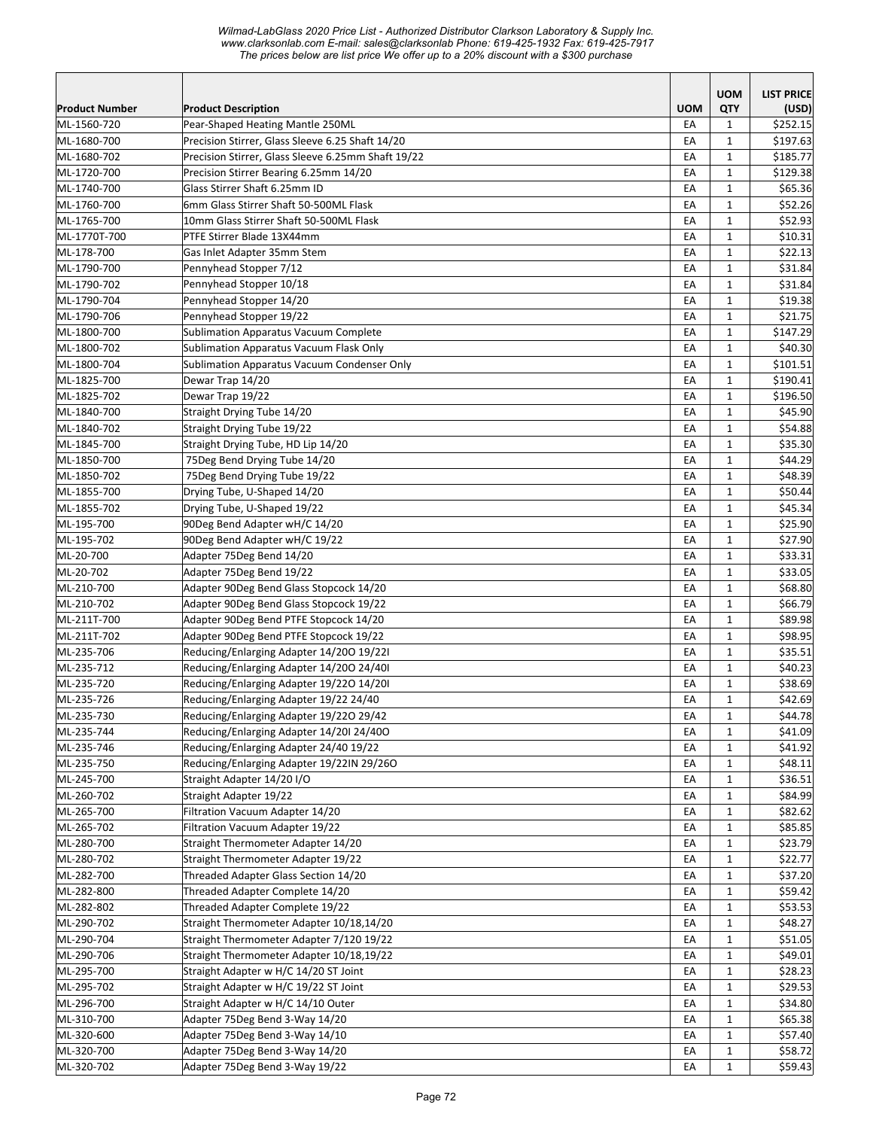*Wilmad-LabGlass 2020 Price List - Authorized Distributor Clarkson Laboratory & Supply Inc. www.clarksonlab.com E-mail: sales@clarksonlab Phone: 619-425-1932 Fax: 619-425-7917 The prices below are list price We offer up to a 20% discount with a \$300 purchase* 

|                          |                                                                                      |            | <b>UOM</b>                   | <b>LIST PRICE</b>  |
|--------------------------|--------------------------------------------------------------------------------------|------------|------------------------------|--------------------|
| <b>Product Number</b>    | <b>Product Description</b>                                                           | <b>UOM</b> | QTY                          | (USD)              |
| ML-1560-720              | Pear-Shaped Heating Mantle 250ML                                                     | EA         | $\mathbf{1}$                 | \$252.15           |
| ML-1680-700              | Precision Stirrer, Glass Sleeve 6.25 Shaft 14/20                                     | EA         | $\mathbf{1}$                 | \$197.63           |
| ML-1680-702              | Precision Stirrer, Glass Sleeve 6.25mm Shaft 19/22                                   | EA         | $\mathbf{1}$                 | \$185.77           |
| ML-1720-700              | Precision Stirrer Bearing 6.25mm 14/20                                               | EA         | $\mathbf{1}$                 | \$129.38           |
| ML-1740-700              | Glass Stirrer Shaft 6.25mm ID                                                        | EA         | $\mathbf{1}$                 | \$65.36            |
| ML-1760-700              | 6mm Glass Stirrer Shaft 50-500ML Flask                                               | EA         | $\mathbf{1}$                 | \$52.26            |
| ML-1765-700              | 10mm Glass Stirrer Shaft 50-500ML Flask                                              | EA         | $\mathbf{1}$                 | \$52.93            |
| ML-1770T-700             | PTFE Stirrer Blade 13X44mm                                                           | EA         | $\mathbf{1}$                 | \$10.31            |
| ML-178-700               | Gas Inlet Adapter 35mm Stem                                                          | EA         | $\mathbf{1}$                 | \$22.13            |
| ML-1790-700              | Pennyhead Stopper 7/12                                                               | EA         | $\mathbf{1}$                 | \$31.84            |
| ML-1790-702              | Pennyhead Stopper 10/18                                                              | EA         | $\mathbf{1}$                 | \$31.84            |
| ML-1790-704              | Pennyhead Stopper 14/20                                                              | EA         | $\mathbf{1}$                 | \$19.38            |
| ML-1790-706              | Pennyhead Stopper 19/22                                                              | EA         | $\mathbf{1}$                 | \$21.75            |
| ML-1800-700              | Sublimation Apparatus Vacuum Complete                                                | EA         | $\mathbf{1}$                 | \$147.29           |
| ML-1800-702              | Sublimation Apparatus Vacuum Flask Only                                              | EA         | $\mathbf{1}$                 | \$40.30            |
| ML-1800-704              | Sublimation Apparatus Vacuum Condenser Only                                          | EA         | $\mathbf{1}$                 | \$101.51           |
| ML-1825-700              | Dewar Trap 14/20                                                                     | EA         | $\mathbf{1}$                 | \$190.41           |
| ML-1825-702              | Dewar Trap 19/22                                                                     | EA         | $\mathbf{1}$                 | \$196.50           |
| ML-1840-700              | Straight Drying Tube 14/20                                                           | EA         | $\mathbf{1}$                 | \$45.90            |
| ML-1840-702              | Straight Drying Tube 19/22                                                           | EA         | $\mathbf{1}$                 | \$54.88            |
| ML-1845-700              | Straight Drying Tube, HD Lip 14/20                                                   | EA         | $\mathbf{1}$                 | \$35.30            |
| ML-1850-700              | 75Deg Bend Drying Tube 14/20                                                         | EA         | $\mathbf{1}$                 | \$44.29            |
| ML-1850-702              | 75Deg Bend Drying Tube 19/22                                                         | EA         | $\mathbf{1}$                 | \$48.39            |
| ML-1855-700              | Drying Tube, U-Shaped 14/20                                                          | EA         | $\mathbf{1}$                 | \$50.44            |
| ML-1855-702              | Drying Tube, U-Shaped 19/22                                                          | EA         | $\mathbf{1}$                 | \$45.34            |
| ML-195-700               | 90Deg Bend Adapter wH/C 14/20                                                        | EA         | $\mathbf{1}$                 | \$25.90            |
| ML-195-702               | 90Deg Bend Adapter wH/C 19/22                                                        | EA         | 1                            | \$27.90            |
| ML-20-700                | Adapter 75Deg Bend 14/20                                                             | EA         | $\mathbf{1}$                 | \$33.31            |
| ML-20-702                | Adapter 75Deg Bend 19/22                                                             | EA         | $\mathbf{1}$                 | \$33.05            |
| ML-210-700               | Adapter 90Deg Bend Glass Stopcock 14/20                                              | EA         | $\mathbf{1}$                 | \$68.80            |
| ML-210-702               | Adapter 90Deg Bend Glass Stopcock 19/22                                              | EA         | $\mathbf{1}$                 | \$66.79            |
| ML-211T-700              | Adapter 90Deg Bend PTFE Stopcock 14/20                                               | EA         | $\mathbf{1}$                 | \$89.98            |
| ML-211T-702              | Adapter 90Deg Bend PTFE Stopcock 19/22                                               | EA         | $\mathbf{1}$                 | \$98.95            |
| ML-235-706               | Reducing/Enlarging Adapter 14/200 19/221                                             | EA         | $\mathbf{1}$                 | \$35.51            |
| ML-235-712               | Reducing/Enlarging Adapter 14/200 24/40I                                             | EA         | $\mathbf{1}$                 | \$40.23            |
| ML-235-720               | Reducing/Enlarging Adapter 19/220 14/20I                                             | EA         | $\mathbf{1}$                 | \$38.69            |
| ML-235-726               | Reducing/Enlarging Adapter 19/22 24/40                                               | EA         | $\mathbf{1}$                 | \$42.69            |
| ML-235-730               | Reducing/Enlarging Adapter 19/220 29/42                                              | EA         | $\mathbf 1$                  | \$44.78            |
| ML-235-744               | Reducing/Enlarging Adapter 14/20I 24/40O                                             | EA         | $\mathbf{1}$                 | \$41.09            |
| ML-235-746               | Reducing/Enlarging Adapter 24/40 19/22                                               | EA         | $\mathbf{1}$                 | \$41.92            |
| ML-235-750               | Reducing/Enlarging Adapter 19/22IN 29/26O                                            | EA         | 1                            | \$48.11            |
| ML-245-700               | Straight Adapter 14/20 I/O                                                           | EA         | 1                            | \$36.51            |
| ML-260-702               | Straight Adapter 19/22                                                               | EA         | $\mathbf{1}$                 | \$84.99            |
| ML-265-700               | Filtration Vacuum Adapter 14/20                                                      | EA         | $\mathbf{1}$                 | \$82.62            |
| ML-265-702               | Filtration Vacuum Adapter 19/22                                                      | EA         | $\mathbf{1}$                 | \$85.85            |
| ML-280-700<br>ML-280-702 | Straight Thermometer Adapter 14/20                                                   | EA         | $\mathbf{1}$                 | \$23.79            |
|                          | Straight Thermometer Adapter 19/22                                                   | EA         | $\mathbf{1}$                 | \$22.77            |
| ML-282-700               | Threaded Adapter Glass Section 14/20                                                 | EA         | $\mathbf{1}$                 | \$37.20            |
| ML-282-800               | Threaded Adapter Complete 14/20<br>Threaded Adapter Complete 19/22                   | EA         | $\mathbf{1}$                 | \$59.42<br>\$53.53 |
| ML-282-802<br>ML-290-702 | Straight Thermometer Adapter 10/18,14/20                                             | EA<br>EA   | $\mathbf{1}$<br>$\mathbf{1}$ | \$48.27            |
| ML-290-704               |                                                                                      | EA         | $\mathbf{1}$                 |                    |
| ML-290-706               | Straight Thermometer Adapter 7/120 19/22<br>Straight Thermometer Adapter 10/18,19/22 | EA         | $\mathbf{1}$                 | \$51.05<br>\$49.01 |
| ML-295-700               |                                                                                      |            |                              | \$28.23            |
| ML-295-702               | Straight Adapter w H/C 14/20 ST Joint<br>Straight Adapter w H/C 19/22 ST Joint       | EA<br>EA   | $\mathbf{1}$<br>$\mathbf{1}$ | \$29.53            |
| ML-296-700               | Straight Adapter w H/C 14/10 Outer                                                   | EA         | $\mathbf{1}$                 | \$34.80            |
| ML-310-700               | Adapter 75Deg Bend 3-Way 14/20                                                       | EA         |                              | \$65.38            |
| ML-320-600               | Adapter 75Deg Bend 3-Way 14/10                                                       | EA         | 1<br>1                       | \$57.40            |
| ML-320-700               | Adapter 75Deg Bend 3-Way 14/20                                                       | EA         | $\mathbf{1}$                 | \$58.72            |
| ML-320-702               | Adapter 75Deg Bend 3-Way 19/22                                                       | EA         | $\mathbf{1}$                 | \$59.43            |
|                          |                                                                                      |            |                              |                    |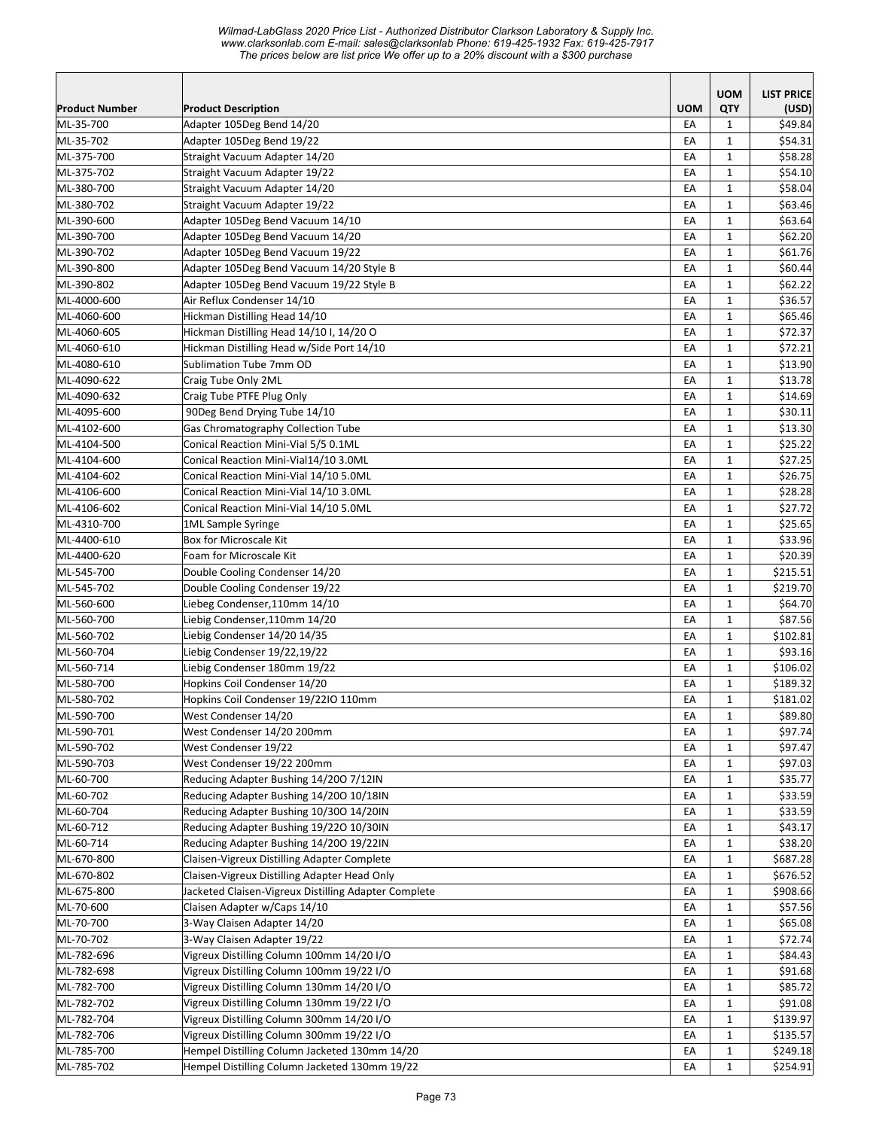|                        |                                                        |                  | <b>UOM</b>   | <b>LIST PRICE</b> |
|------------------------|--------------------------------------------------------|------------------|--------------|-------------------|
| <b>Product Number</b>  | <b>Product Description</b>                             | <b>UOM</b><br>EA | QTY          | (USD)<br>\$49.84  |
| ML-35-700<br>ML-35-702 | Adapter 105Deg Bend 14/20<br>Adapter 105Deg Bend 19/22 | EA               | 1<br>1       | \$54.31           |
| ML-375-700             | Straight Vacuum Adapter 14/20                          | EA               | $\mathbf{1}$ | \$58.28           |
| ML-375-702             | Straight Vacuum Adapter 19/22                          | EA               | $\mathbf{1}$ | \$54.10           |
| ML-380-700             | Straight Vacuum Adapter 14/20                          | EA               | $\mathbf{1}$ | \$58.04           |
| ML-380-702             | Straight Vacuum Adapter 19/22                          | EA               | $\mathbf{1}$ | \$63.46           |
| ML-390-600             | Adapter 105Deg Bend Vacuum 14/10                       | EA               | $\mathbf{1}$ | \$63.64           |
| ML-390-700             | Adapter 105Deg Bend Vacuum 14/20                       | EA               | $\mathbf{1}$ | \$62.20           |
| ML-390-702             | Adapter 105Deg Bend Vacuum 19/22                       | EA               | $\mathbf 1$  | \$61.76           |
| ML-390-800             | Adapter 105Deg Bend Vacuum 14/20 Style B               | EA               | $\mathbf{1}$ | \$60.44           |
| ML-390-802             | Adapter 105Deg Bend Vacuum 19/22 Style B               | EA               | $\mathbf{1}$ | \$62.22           |
| ML-4000-600            | Air Reflux Condenser 14/10                             | EA               | $\mathbf{1}$ | \$36.57           |
| ML-4060-600            | Hickman Distilling Head 14/10                          | EA               | $\mathbf{1}$ | \$65.46           |
| ML-4060-605            | Hickman Distilling Head 14/10 I, 14/20 O               | EA               | 1            | \$72.37           |
| ML-4060-610            | Hickman Distilling Head w/Side Port 14/10              | EA               | $\mathbf{1}$ | \$72.21           |
| ML-4080-610            | Sublimation Tube 7mm OD                                | EA               | $\mathbf 1$  | \$13.90           |
| ML-4090-622            | Craig Tube Only 2ML                                    | EA               | $\mathbf{1}$ | \$13.78           |
| ML-4090-632            | Craig Tube PTFE Plug Only                              | EA               | $\mathbf{1}$ | \$14.69           |
| ML-4095-600            | 90Deg Bend Drying Tube 14/10                           | EA               | $\mathbf{1}$ | \$30.11           |
| ML-4102-600            | Gas Chromatography Collection Tube                     | EA               | $\mathbf{1}$ | \$13.30           |
| ML-4104-500            | Conical Reaction Mini-Vial 5/5 0.1ML                   | EA               | $\mathbf{1}$ | \$25.22           |
| ML-4104-600            | Conical Reaction Mini-Vial14/10 3.0ML                  | EA               | $\mathbf{1}$ | \$27.25           |
| ML-4104-602            | Conical Reaction Mini-Vial 14/10 5.0ML                 | EA               | $\mathbf{1}$ | \$26.75           |
| ML-4106-600            | Conical Reaction Mini-Vial 14/10 3.0ML                 | EA               | $\mathbf{1}$ | \$28.28           |
| ML-4106-602            | Conical Reaction Mini-Vial 14/10 5.0ML                 | EA               | $\mathbf{1}$ | \$27.72           |
| ML-4310-700            | 1ML Sample Syringe                                     | EA               | $\mathbf{1}$ | \$25.65           |
| ML-4400-610            | Box for Microscale Kit                                 | EA               | $\mathbf{1}$ | \$33.96           |
| ML-4400-620            | Foam for Microscale Kit                                | EA               | $\mathbf{1}$ | \$20.39           |
| ML-545-700             | Double Cooling Condenser 14/20                         | EA               | $\mathbf 1$  | \$215.51          |
| ML-545-702             | Double Cooling Condenser 19/22                         | EA               | $\mathbf{1}$ | \$219.70          |
| ML-560-600             | Liebeg Condenser,110mm 14/10                           | EA               | $\mathbf{1}$ | \$64.70           |
| ML-560-700             | Liebig Condenser,110mm 14/20                           | EA               | $\mathbf{1}$ | \$87.56           |
| ML-560-702             | Liebig Condenser 14/20 14/35                           | EA               | $\mathbf{1}$ | \$102.81          |
| ML-560-704             | Liebig Condenser 19/22,19/22                           | EA               | $\mathbf{1}$ | \$93.16           |
| ML-560-714             | Liebig Condenser 180mm 19/22                           | EA               | 1            | \$106.02          |
| ML-580-700             | Hopkins Coil Condenser 14/20                           | EA               | $\mathbf{1}$ | \$189.32          |
| ML-580-702             | Hopkins Coil Condenser 19/22IO 110mm                   | EA               | $\mathbf{1}$ | \$181.02          |
| ML-590-700             | West Condenser 14/20                                   | EA               | $\mathbf 1$  | \$89.80           |
| ML-590-701             | West Condenser 14/20 200mm                             | EA               | $\mathbf{1}$ | \$97.74           |
| ML-590-702             | West Condenser 19/22                                   | EA               | 1            | \$97.47           |
| ML-590-703             | West Condenser 19/22 200mm                             | EA               | $\mathbf{1}$ | \$97.03           |
| ML-60-700              | Reducing Adapter Bushing 14/200 7/12IN                 | EA               | $\mathbf{1}$ | \$35.77           |
| ML-60-702              | Reducing Adapter Bushing 14/200 10/18IN                | EA               | 1            | \$33.59           |
| ML-60-704              | Reducing Adapter Bushing 10/300 14/20IN                | EA               | $\mathbf{1}$ | \$33.59           |
| ML-60-712              | Reducing Adapter Bushing 19/220 10/30IN                | EA               | $\mathbf{1}$ | \$43.17           |
| ML-60-714              | Reducing Adapter Bushing 14/200 19/22IN                | EA               | $\mathbf{1}$ | \$38.20           |
| ML-670-800             | Claisen-Vigreux Distilling Adapter Complete            | EA               | $\mathbf{1}$ | \$687.28          |
| ML-670-802             | Claisen-Vigreux Distilling Adapter Head Only           | EA               | $\mathbf{1}$ | \$676.52          |
| ML-675-800             | Jacketed Claisen-Vigreux Distilling Adapter Complete   | EA               | $\mathbf{1}$ | \$908.66          |
| ML-70-600              | Claisen Adapter w/Caps 14/10                           | EA               | 1            | \$57.56           |
| ML-70-700              | 3-Way Claisen Adapter 14/20                            | EA               | 1            | \$65.08           |
| ML-70-702              | 3-Way Claisen Adapter 19/22                            | EA               | $\mathbf{1}$ | \$72.74           |
| ML-782-696             | Vigreux Distilling Column 100mm 14/20 I/O              | EA               | $\mathbf{1}$ | \$84.43           |
| ML-782-698             | Vigreux Distilling Column 100mm 19/22 I/O              | EA               | $\mathbf{1}$ | \$91.68           |
| ML-782-700             | Vigreux Distilling Column 130mm 14/20 I/O              | EA               | $\mathbf{1}$ | \$85.72           |
| ML-782-702             | Vigreux Distilling Column 130mm 19/22 I/O              | EA               | $\mathbf{1}$ | \$91.08           |
| ML-782-704             | Vigreux Distilling Column 300mm 14/20 I/O              | EA               | $\mathbf{1}$ | \$139.97          |
| ML-782-706             | Vigreux Distilling Column 300mm 19/22 I/O              | EA               | $\mathbf{1}$ | \$135.57          |
| ML-785-700             | Hempel Distilling Column Jacketed 130mm 14/20          | EA               | $\mathbf{1}$ | \$249.18          |
| ML-785-702             | Hempel Distilling Column Jacketed 130mm 19/22          | EA               | $\mathbf{1}$ | \$254.91          |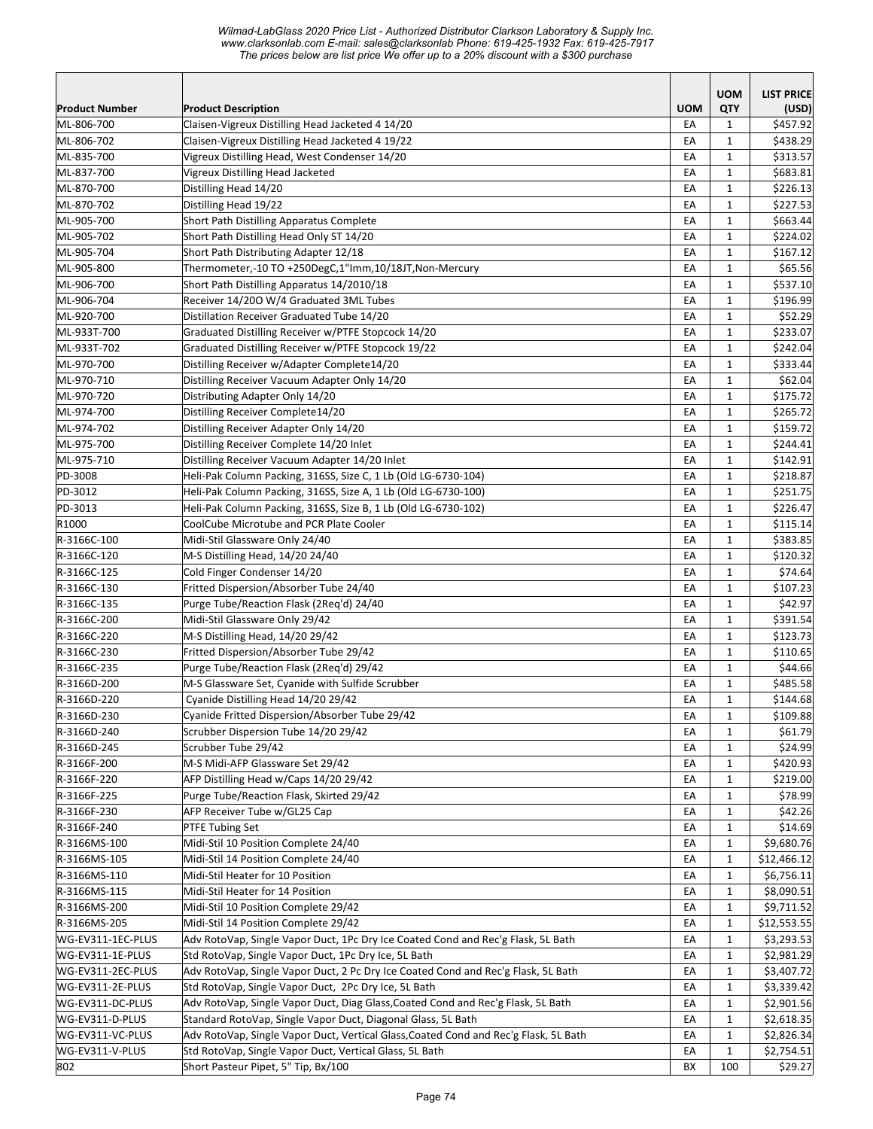*Wilmad-LabGlass 2020 Price List - Authorized Distributor Clarkson Laboratory & Supply Inc. www.clarksonlab.com E-mail: sales@clarksonlab Phone: 619-425-1932 Fax: 619-425-7917 The prices below are list price We offer up to a 20% discount with a \$300 purchase* 

| Product Number    |                                                                                      | <b>UOM</b> | <b>UOM</b><br>QTY | <b>LIST PRICE</b> |
|-------------------|--------------------------------------------------------------------------------------|------------|-------------------|-------------------|
| ML-806-700        | <b>Product Description</b><br>Claisen-Vigreux Distilling Head Jacketed 4 14/20       | EA         | $\mathbf{1}$      | (USD)<br>\$457.92 |
| ML-806-702        | Claisen-Vigreux Distilling Head Jacketed 4 19/22                                     | EA         | $\mathbf{1}$      | \$438.29          |
| ML-835-700        | Vigreux Distilling Head, West Condenser 14/20                                        | EA         | $\mathbf{1}$      | \$313.57          |
| ML-837-700        | Vigreux Distilling Head Jacketed                                                     | EA         | $\mathbf{1}$      | \$683.81          |
| ML-870-700        | Distilling Head 14/20                                                                | EA         | $\mathbf{1}$      | \$226.13          |
| ML-870-702        | Distilling Head 19/22                                                                | EA         | $\mathbf{1}$      | \$227.53          |
| ML-905-700        | Short Path Distilling Apparatus Complete                                             | EA         | $\mathbf{1}$      | \$663.44          |
| ML-905-702        | Short Path Distilling Head Only ST 14/20                                             | EA         | $\mathbf{1}$      | \$224.02          |
| ML-905-704        | Short Path Distributing Adapter 12/18                                                | EA         | $\mathbf{1}$      | \$167.12          |
| ML-905-800        | Thermometer,-10 TO +250DegC,1"Imm,10/18JT,Non-Mercury                                | EA         | $\mathbf{1}$      | \$65.56           |
| ML-906-700        | Short Path Distilling Apparatus 14/2010/18                                           | EA         | $\mathbf{1}$      | \$537.10          |
| ML-906-704        | Receiver 14/200 W/4 Graduated 3ML Tubes                                              | EA         | 1                 | \$196.99          |
| ML-920-700        | Distillation Receiver Graduated Tube 14/20                                           | EA         | $\mathbf{1}$      | \$52.29           |
| ML-933T-700       | Graduated Distilling Receiver w/PTFE Stopcock 14/20                                  | EA         | $\mathbf{1}$      | \$233.07          |
| ML-933T-702       | Graduated Distilling Receiver w/PTFE Stopcock 19/22                                  | EA         | $\mathbf{1}$      | \$242.04          |
| ML-970-700        | Distilling Receiver w/Adapter Complete14/20                                          | EA         | $\mathbf{1}$      | \$333.44          |
| ML-970-710        | Distilling Receiver Vacuum Adapter Only 14/20                                        | EA         | $\mathbf{1}$      | \$62.04           |
| ML-970-720        | Distributing Adapter Only 14/20                                                      | EA         | $\mathbf{1}$      | \$175.72          |
| ML-974-700        | Distilling Receiver Complete14/20                                                    | EA         | $\mathbf{1}$      | \$265.72          |
| ML-974-702        | Distilling Receiver Adapter Only 14/20                                               | EA         | $\mathbf{1}$      | \$159.72          |
| ML-975-700        | Distilling Receiver Complete 14/20 Inlet                                             | EA         | $\mathbf{1}$      | \$244.41          |
| ML-975-710        | Distilling Receiver Vacuum Adapter 14/20 Inlet                                       | EA         | $\mathbf{1}$      | \$142.91          |
| PD-3008           | Heli-Pak Column Packing, 316SS, Size C, 1 Lb (Old LG-6730-104)                       | EA         | $\mathbf{1}$      | \$218.87          |
| PD-3012           | Heli-Pak Column Packing, 316SS, Size A, 1 Lb (Old LG-6730-100)                       | EA         | $\mathbf{1}$      | \$251.75          |
| PD-3013           | Heli-Pak Column Packing, 316SS, Size B, 1 Lb (Old LG-6730-102)                       | EA         | $\mathbf{1}$      | \$226.47          |
| R1000             | CoolCube Microtube and PCR Plate Cooler                                              | EA         | $\mathbf{1}$      | \$115.14          |
| R-3166C-100       | Midi-Stil Glassware Only 24/40                                                       | EA         | 1                 | \$383.85          |
| R-3166C-120       | M-S Distilling Head, 14/20 24/40                                                     | EA         | $\mathbf{1}$      | \$120.32          |
| R-3166C-125       | Cold Finger Condenser 14/20                                                          | EA         | $\mathbf{1}$      | \$74.64           |
| R-3166C-130       | Fritted Dispersion/Absorber Tube 24/40                                               | EA         | $\mathbf{1}$      | \$107.23          |
| R-3166C-135       | Purge Tube/Reaction Flask (2Req'd) 24/40                                             | EA         | $\mathbf{1}$      | \$42.97           |
| R-3166C-200       | Midi-Stil Glassware Only 29/42                                                       | EA         | $\mathbf{1}$      | \$391.54          |
| R-3166C-220       | M-S Distilling Head, 14/20 29/42                                                     | EA         | $\mathbf{1}$      | \$123.73          |
| R-3166C-230       | Fritted Dispersion/Absorber Tube 29/42                                               | EA         | $\mathbf{1}$      | \$110.65          |
| R-3166C-235       | Purge Tube/Reaction Flask (2Reg'd) 29/42                                             | EA         | $\mathbf{1}$      | \$44.66           |
| R-3166D-200       | M-S Glassware Set, Cyanide with Sulfide Scrubber                                     | EA         | $\mathbf{1}$      | \$485.58          |
| R-3166D-220       | Cyanide Distilling Head 14/20 29/42                                                  | EA         | $\mathbf{1}$      | \$144.68          |
| R-3166D-230       | Cyanide Fritted Dispersion/Absorber Tube 29/42                                       | EA         | $\mathbf 1$       | \$109.88          |
| R-3166D-240       | Scrubber Dispersion Tube 14/20 29/42                                                 | EA         | 1                 | \$61.79           |
| R-3166D-245       | Scrubber Tube 29/42                                                                  | EA         | $\mathbf{1}$      | \$24.99           |
| R-3166F-200       | M-S Midi-AFP Glassware Set 29/42                                                     | EA         | 1                 | \$420.93          |
| R-3166F-220       | AFP Distilling Head w/Caps 14/20 29/42                                               | EA         | 1                 | \$219.00          |
| R-3166F-225       | Purge Tube/Reaction Flask, Skirted 29/42                                             | EA         | $\mathbf{1}$      | \$78.99           |
| R-3166F-230       | AFP Receiver Tube w/GL25 Cap                                                         | EA         | $\mathbf{1}$      | \$42.26           |
| R-3166F-240       | <b>PTFE Tubing Set</b>                                                               | EA         | $\mathbf{1}$      | \$14.69           |
| R-3166MS-100      | Midi-Stil 10 Position Complete 24/40                                                 | EA         | $\mathbf{1}$      | \$9,680.76        |
| R-3166MS-105      | Midi-Stil 14 Position Complete 24/40                                                 | EA         | $\mathbf{1}$      | \$12,466.12       |
| R-3166MS-110      | Midi-Stil Heater for 10 Position                                                     | EA         | $\mathbf{1}$      | \$6,756.11        |
| R-3166MS-115      | Midi-Stil Heater for 14 Position                                                     | EA         | $\mathbf{1}$      | \$8,090.51        |
| R-3166MS-200      | Midi-Stil 10 Position Complete 29/42                                                 | EA         | 1                 | \$9,711.52        |
| R-3166MS-205      | Midi-Stil 14 Position Complete 29/42                                                 | EA         | $\mathbf{1}$      | \$12,553.55       |
| WG-EV311-1EC-PLUS | Adv RotoVap, Single Vapor Duct, 1Pc Dry Ice Coated Cond and Rec'g Flask, 5L Bath     | EA         | $\mathbf{1}$      | \$3,293.53        |
| WG-EV311-1E-PLUS  | Std RotoVap, Single Vapor Duct, 1Pc Dry Ice, 5L Bath                                 | EA         | $\mathbf{1}$      | \$2,981.29        |
| WG-EV311-2EC-PLUS | Adv RotoVap, Single Vapor Duct, 2 Pc Dry Ice Coated Cond and Rec'g Flask, 5L Bath    | EA         | $\mathbf{1}$      | \$3,407.72        |
| WG-EV311-2E-PLUS  | Std RotoVap, Single Vapor Duct, 2Pc Dry Ice, 5L Bath                                 | EA         | $\mathbf{1}$      | \$3,339.42        |
| WG-EV311-DC-PLUS  | Adv RotoVap, Single Vapor Duct, Diag Glass, Coated Cond and Rec'g Flask, 5L Bath     | EA         | $\mathbf{1}$      | \$2,901.56        |
| WG-EV311-D-PLUS   | Standard RotoVap, Single Vapor Duct, Diagonal Glass, 5L Bath                         | EA         | 1                 | \$2,618.35        |
| WG-EV311-VC-PLUS  | Adv RotoVap, Single Vapor Duct, Vertical Glass, Coated Cond and Rec'g Flask, 5L Bath | EA         | 1                 | \$2,826.34        |
| WG-EV311-V-PLUS   | Std RotoVap, Single Vapor Duct, Vertical Glass, 5L Bath                              | EA         | $\mathbf{1}$      | \$2,754.51        |
| 802               | Short Pasteur Pipet, 5" Tip, Bx/100                                                  | BX         | 100               | \$29.27           |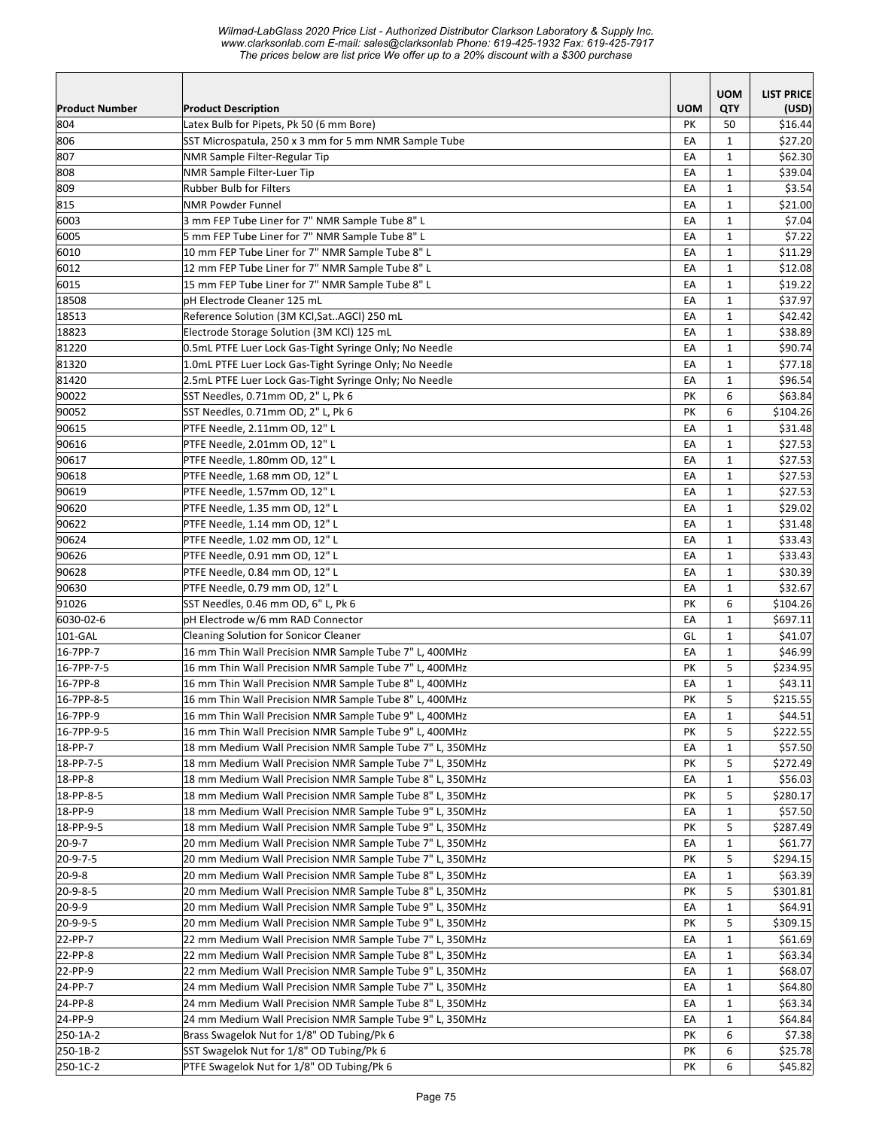*Wilmad-LabGlass 2020 Price List - Authorized Distributor Clarkson Laboratory & Supply Inc. www.clarksonlab.com E-mail: sales@clarksonlab Phone: 619-425-1932 Fax: 619-425-7917 The prices below are list price We offer up to a 20% discount with a \$300 purchase* 

| <b>UOM</b><br>QTY<br><b>Product Description</b><br>(USD)<br>Latex Bulb for Pipets, Pk 50 (6 mm Bore)<br><b>PK</b><br>50<br>\$16.44<br>SST Microspatula, 250 x 3 mm for 5 mm NMR Sample Tube<br>EA<br>$\mathbf{1}$<br>\$27.20<br>EA<br>NMR Sample Filter-Regular Tip<br>$\mathbf{1}$<br>\$62.30<br><b>NMR Sample Filter-Luer Tip</b><br>EA<br>$\mathbf{1}$<br>\$39.04<br>$\mathbf{1}$<br>\$3.54<br><b>Rubber Bulb for Filters</b><br>EA<br>EA<br>$\mathbf{1}$<br><b>NMR Powder Funnel</b><br>\$21.00<br>EA<br>$\mathbf{1}$<br>3 mm FEP Tube Liner for 7" NMR Sample Tube 8" L<br>\$7.04<br>5 mm FEP Tube Liner for 7" NMR Sample Tube 8" L<br>EA<br>$\mathbf{1}$<br>\$7.22<br>10 mm FEP Tube Liner for 7" NMR Sample Tube 8" L<br>\$11.29<br>EA<br>$\mathbf{1}$<br>12 mm FEP Tube Liner for 7" NMR Sample Tube 8" L<br>EA<br>$\mathbf{1}$<br>\$12.08<br>15 mm FEP Tube Liner for 7" NMR Sample Tube 8" L<br>EA<br>$\mathbf{1}$<br>\$19.22<br>pH Electrode Cleaner 125 mL<br>EA<br>$\mathbf{1}$<br>\$37.97<br>\$42.42<br>Reference Solution (3M KCl,SatAGCl) 250 mL<br>EA<br>$\mathbf{1}$<br>EA<br>$\mathbf{1}$<br>Electrode Storage Solution (3M KCl) 125 mL<br>\$38.89<br>81220<br>\$90.74<br>0.5mL PTFE Luer Lock Gas-Tight Syringe Only; No Needle<br>EA<br>$\mathbf{1}$<br>81320<br>1.0mL PTFE Luer Lock Gas-Tight Syringe Only; No Needle<br>EA<br>$\mathbf{1}$<br>\$77.18<br>2.5mL PTFE Luer Lock Gas-Tight Syringe Only; No Needle<br>\$96.54<br>EA<br>$\mathbf{1}$<br>PK<br>6<br>\$63.84<br>SST Needles, 0.71mm OD, 2" L, Pk 6<br>90052<br>SST Needles, 0.71mm OD, 2" L, Pk 6<br>PK<br>6<br>\$104.26<br>$\mathbf{1}$<br>PTFE Needle, 2.11mm OD, 12" L<br>EA<br>\$31.48<br>PTFE Needle, 2.01mm OD, 12" L<br>EA<br>$\mathbf{1}$<br>\$27.53<br>EA<br>$\mathbf{1}$<br>90617<br>PTFE Needle, 1.80mm OD, 12" L<br>\$27.53<br>\$27.53<br>PTFE Needle, 1.68 mm OD, 12" L<br>EA<br>$\mathbf{1}$<br>90619<br>PTFE Needle, 1.57mm OD, 12" L<br>EA<br>$\mathbf{1}$<br>\$27.53<br>PTFE Needle, 1.35 mm OD, 12" L<br>EA<br>90620<br>$\mathbf{1}$<br>\$29.02<br>90622<br>PTFE Needle, 1.14 mm OD, 12" L<br>EA<br>$\mathbf{1}$<br>\$31.48<br>90624<br>PTFE Needle, 1.02 mm OD, 12" L<br>EA<br>1<br>\$33.43<br>PTFE Needle, 0.91 mm OD, 12" L<br>EA<br>$\mathbf{1}$<br>\$33.43<br>90626<br>EA<br>$\mathbf{1}$<br>90628<br>PTFE Needle, 0.84 mm OD, 12" L<br>\$30.39<br>90630<br>PTFE Needle, 0.79 mm OD, 12" L<br>\$32.67<br>EA<br>$\mathbf{1}$<br>91026<br>SST Needles, 0.46 mm OD, 6" L, Pk 6<br>PK<br>6<br>\$104.26<br>6030-02-6<br>pH Electrode w/6 mm RAD Connector<br>EA<br>$\mathbf{1}$<br>\$697.11<br>101-GAL<br>$\mathbf{1}$<br>Cleaning Solution for Sonicor Cleaner<br>GL<br>\$41.07<br>16-7PP-7<br>16 mm Thin Wall Precision NMR Sample Tube 7" L, 400MHz<br>EA<br>$\mathbf{1}$<br>\$46.99<br>5<br>16-7PP-7-5<br>16 mm Thin Wall Precision NMR Sample Tube 7" L, 400MHz<br>PK<br>\$234.95<br>16 mm Thin Wall Precision NMR Sample Tube 8" L, 400MHz<br>EA<br>$\mathbf{1}$<br>\$43.11<br>16-7PP-8<br>16-7PP-8-5<br>PK<br>5<br>16 mm Thin Wall Precision NMR Sample Tube 8" L, 400MHz<br>\$215.55<br>16-7PP-9<br>\$44.51<br>EA<br>$\mathbf 1$<br>16 mm Thin Wall Precision NMR Sample Tube 9" L, 400MHz<br>5<br>16-7PP-9-5<br>16 mm Thin Wall Precision NMR Sample Tube 9" L, 400MHz<br>PK<br>\$222.55<br>18-PP-7<br>18 mm Medium Wall Precision NMR Sample Tube 7" L, 350MHz<br>\$57.50<br>EA<br>$\mathbf{1}$<br>18-PP-7-5<br>18 mm Medium Wall Precision NMR Sample Tube 7" L, 350MHz<br>PK<br>5<br>\$272.49<br>18-PP-8<br>18 mm Medium Wall Precision NMR Sample Tube 8" L, 350MHz<br>EA<br>\$56.03<br>1<br>5<br>18-PP-8-5<br>18 mm Medium Wall Precision NMR Sample Tube 8" L, 350MHz<br>\$280.17<br>PK<br>$\mathbf{1}$<br>\$57.50<br>18-PP-9<br>18 mm Medium Wall Precision NMR Sample Tube 9" L, 350MHz<br>EA<br>18-PP-9-5<br>18 mm Medium Wall Precision NMR Sample Tube 9" L, 350MHz<br>PΚ<br>5<br>\$287.49<br>20-9-7<br>$\mathbf{1}$<br>20 mm Medium Wall Precision NMR Sample Tube 7" L, 350MHz<br>EA<br>\$61.77<br>20-9-7-5<br>20 mm Medium Wall Precision NMR Sample Tube 7" L, 350MHz<br>5<br>PK<br>\$294.15<br>20-9-8<br>20 mm Medium Wall Precision NMR Sample Tube 8" L, 350MHz<br>EA<br>$\mathbf{1}$<br>\$63.39<br>20-9-8-5<br>20 mm Medium Wall Precision NMR Sample Tube 8" L, 350MHz<br>PΚ<br>5<br>\$301.81<br>20-9-9<br>20 mm Medium Wall Precision NMR Sample Tube 9" L, 350MHz<br>EA<br>$\mathbf{1}$<br>\$64.91<br>5<br>20-9-9-5<br>20 mm Medium Wall Precision NMR Sample Tube 9" L, 350MHz<br>PK<br>\$309.15<br>22-PP-7<br>$\mathbf{1}$<br>22 mm Medium Wall Precision NMR Sample Tube 7" L, 350MHz<br>EA<br>\$61.69<br>22-PP-8<br>22 mm Medium Wall Precision NMR Sample Tube 8" L, 350MHz<br>EA<br>$\mathbf{1}$<br>\$63.34<br>22-PP-9<br>22 mm Medium Wall Precision NMR Sample Tube 9" L, 350MHz<br>EA<br>$\mathbf{1}$<br>\$68.07<br>24-PP-7<br>24 mm Medium Wall Precision NMR Sample Tube 7" L, 350MHz<br>EA<br>$\mathbf{1}$<br>\$64.80<br>24-PP-8<br>24 mm Medium Wall Precision NMR Sample Tube 8" L, 350MHz<br>\$63.34<br>EA<br>1<br>24 mm Medium Wall Precision NMR Sample Tube 9" L, 350MHz<br>24-PP-9<br>\$64.84<br>EA<br>1<br>Brass Swagelok Nut for 1/8" OD Tubing/Pk 6<br>250-1A-2<br>6<br>\$7.38<br>PK<br>SST Swagelok Nut for 1/8" OD Tubing/Pk 6<br>6<br>250-1B-2<br>PK<br>\$25.78<br>PTFE Swagelok Nut for 1/8" OD Tubing/Pk 6<br>PΚ<br>6<br>\$45.82 |                       |  | <b>UOM</b> | <b>LIST PRICE</b> |
|-------------------------------------------------------------------------------------------------------------------------------------------------------------------------------------------------------------------------------------------------------------------------------------------------------------------------------------------------------------------------------------------------------------------------------------------------------------------------------------------------------------------------------------------------------------------------------------------------------------------------------------------------------------------------------------------------------------------------------------------------------------------------------------------------------------------------------------------------------------------------------------------------------------------------------------------------------------------------------------------------------------------------------------------------------------------------------------------------------------------------------------------------------------------------------------------------------------------------------------------------------------------------------------------------------------------------------------------------------------------------------------------------------------------------------------------------------------------------------------------------------------------------------------------------------------------------------------------------------------------------------------------------------------------------------------------------------------------------------------------------------------------------------------------------------------------------------------------------------------------------------------------------------------------------------------------------------------------------------------------------------------------------------------------------------------------------------------------------------------------------------------------------------------------------------------------------------------------------------------------------------------------------------------------------------------------------------------------------------------------------------------------------------------------------------------------------------------------------------------------------------------------------------------------------------------------------------------------------------------------------------------------------------------------------------------------------------------------------------------------------------------------------------------------------------------------------------------------------------------------------------------------------------------------------------------------------------------------------------------------------------------------------------------------------------------------------------------------------------------------------------------------------------------------------------------------------------------------------------------------------------------------------------------------------------------------------------------------------------------------------------------------------------------------------------------------------------------------------------------------------------------------------------------------------------------------------------------------------------------------------------------------------------------------------------------------------------------------------------------------------------------------------------------------------------------------------------------------------------------------------------------------------------------------------------------------------------------------------------------------------------------------------------------------------------------------------------------------------------------------------------------------------------------------------------------------------------------------------------------------------------------------------------------------------------------------------------------------------------------------------------------------------------------------------------------------------------------------------------------------------------------------------------------------------------------------------------------------------------------------------------------------------------------------------------------------------------------------------------------------------------------------------------------------------------------------------------------------------------------------------------------------------------------------------------------------------------------------------------------------------------------------------------------------------------------------------------------------------------------------------------------------------------------------------------------------------------------------------------------------------------------------------------------------------------------------------------------------------------------------------------------------------|-----------------------|--|------------|-------------------|
|                                                                                                                                                                                                                                                                                                                                                                                                                                                                                                                                                                                                                                                                                                                                                                                                                                                                                                                                                                                                                                                                                                                                                                                                                                                                                                                                                                                                                                                                                                                                                                                                                                                                                                                                                                                                                                                                                                                                                                                                                                                                                                                                                                                                                                                                                                                                                                                                                                                                                                                                                                                                                                                                                                                                                                                                                                                                                                                                                                                                                                                                                                                                                                                                                                                                                                                                                                                                                                                                                                                                                                                                                                                                                                                                                                                                                                                                                                                                                                                                                                                                                                                                                                                                                                                                                                                                                                                                                                                                                                                                                                                                                                                                                                                                                                                                                                                                                                                                                                                                                                                                                                                                                                                                                                                                                                                                                                                                 | <b>Product Number</b> |  |            |                   |
|                                                                                                                                                                                                                                                                                                                                                                                                                                                                                                                                                                                                                                                                                                                                                                                                                                                                                                                                                                                                                                                                                                                                                                                                                                                                                                                                                                                                                                                                                                                                                                                                                                                                                                                                                                                                                                                                                                                                                                                                                                                                                                                                                                                                                                                                                                                                                                                                                                                                                                                                                                                                                                                                                                                                                                                                                                                                                                                                                                                                                                                                                                                                                                                                                                                                                                                                                                                                                                                                                                                                                                                                                                                                                                                                                                                                                                                                                                                                                                                                                                                                                                                                                                                                                                                                                                                                                                                                                                                                                                                                                                                                                                                                                                                                                                                                                                                                                                                                                                                                                                                                                                                                                                                                                                                                                                                                                                                                 | 804                   |  |            |                   |
|                                                                                                                                                                                                                                                                                                                                                                                                                                                                                                                                                                                                                                                                                                                                                                                                                                                                                                                                                                                                                                                                                                                                                                                                                                                                                                                                                                                                                                                                                                                                                                                                                                                                                                                                                                                                                                                                                                                                                                                                                                                                                                                                                                                                                                                                                                                                                                                                                                                                                                                                                                                                                                                                                                                                                                                                                                                                                                                                                                                                                                                                                                                                                                                                                                                                                                                                                                                                                                                                                                                                                                                                                                                                                                                                                                                                                                                                                                                                                                                                                                                                                                                                                                                                                                                                                                                                                                                                                                                                                                                                                                                                                                                                                                                                                                                                                                                                                                                                                                                                                                                                                                                                                                                                                                                                                                                                                                                                 | 806                   |  |            |                   |
|                                                                                                                                                                                                                                                                                                                                                                                                                                                                                                                                                                                                                                                                                                                                                                                                                                                                                                                                                                                                                                                                                                                                                                                                                                                                                                                                                                                                                                                                                                                                                                                                                                                                                                                                                                                                                                                                                                                                                                                                                                                                                                                                                                                                                                                                                                                                                                                                                                                                                                                                                                                                                                                                                                                                                                                                                                                                                                                                                                                                                                                                                                                                                                                                                                                                                                                                                                                                                                                                                                                                                                                                                                                                                                                                                                                                                                                                                                                                                                                                                                                                                                                                                                                                                                                                                                                                                                                                                                                                                                                                                                                                                                                                                                                                                                                                                                                                                                                                                                                                                                                                                                                                                                                                                                                                                                                                                                                                 | 807                   |  |            |                   |
|                                                                                                                                                                                                                                                                                                                                                                                                                                                                                                                                                                                                                                                                                                                                                                                                                                                                                                                                                                                                                                                                                                                                                                                                                                                                                                                                                                                                                                                                                                                                                                                                                                                                                                                                                                                                                                                                                                                                                                                                                                                                                                                                                                                                                                                                                                                                                                                                                                                                                                                                                                                                                                                                                                                                                                                                                                                                                                                                                                                                                                                                                                                                                                                                                                                                                                                                                                                                                                                                                                                                                                                                                                                                                                                                                                                                                                                                                                                                                                                                                                                                                                                                                                                                                                                                                                                                                                                                                                                                                                                                                                                                                                                                                                                                                                                                                                                                                                                                                                                                                                                                                                                                                                                                                                                                                                                                                                                                 | 808                   |  |            |                   |
|                                                                                                                                                                                                                                                                                                                                                                                                                                                                                                                                                                                                                                                                                                                                                                                                                                                                                                                                                                                                                                                                                                                                                                                                                                                                                                                                                                                                                                                                                                                                                                                                                                                                                                                                                                                                                                                                                                                                                                                                                                                                                                                                                                                                                                                                                                                                                                                                                                                                                                                                                                                                                                                                                                                                                                                                                                                                                                                                                                                                                                                                                                                                                                                                                                                                                                                                                                                                                                                                                                                                                                                                                                                                                                                                                                                                                                                                                                                                                                                                                                                                                                                                                                                                                                                                                                                                                                                                                                                                                                                                                                                                                                                                                                                                                                                                                                                                                                                                                                                                                                                                                                                                                                                                                                                                                                                                                                                                 | 809                   |  |            |                   |
|                                                                                                                                                                                                                                                                                                                                                                                                                                                                                                                                                                                                                                                                                                                                                                                                                                                                                                                                                                                                                                                                                                                                                                                                                                                                                                                                                                                                                                                                                                                                                                                                                                                                                                                                                                                                                                                                                                                                                                                                                                                                                                                                                                                                                                                                                                                                                                                                                                                                                                                                                                                                                                                                                                                                                                                                                                                                                                                                                                                                                                                                                                                                                                                                                                                                                                                                                                                                                                                                                                                                                                                                                                                                                                                                                                                                                                                                                                                                                                                                                                                                                                                                                                                                                                                                                                                                                                                                                                                                                                                                                                                                                                                                                                                                                                                                                                                                                                                                                                                                                                                                                                                                                                                                                                                                                                                                                                                                 | 815                   |  |            |                   |
|                                                                                                                                                                                                                                                                                                                                                                                                                                                                                                                                                                                                                                                                                                                                                                                                                                                                                                                                                                                                                                                                                                                                                                                                                                                                                                                                                                                                                                                                                                                                                                                                                                                                                                                                                                                                                                                                                                                                                                                                                                                                                                                                                                                                                                                                                                                                                                                                                                                                                                                                                                                                                                                                                                                                                                                                                                                                                                                                                                                                                                                                                                                                                                                                                                                                                                                                                                                                                                                                                                                                                                                                                                                                                                                                                                                                                                                                                                                                                                                                                                                                                                                                                                                                                                                                                                                                                                                                                                                                                                                                                                                                                                                                                                                                                                                                                                                                                                                                                                                                                                                                                                                                                                                                                                                                                                                                                                                                 | 6003                  |  |            |                   |
|                                                                                                                                                                                                                                                                                                                                                                                                                                                                                                                                                                                                                                                                                                                                                                                                                                                                                                                                                                                                                                                                                                                                                                                                                                                                                                                                                                                                                                                                                                                                                                                                                                                                                                                                                                                                                                                                                                                                                                                                                                                                                                                                                                                                                                                                                                                                                                                                                                                                                                                                                                                                                                                                                                                                                                                                                                                                                                                                                                                                                                                                                                                                                                                                                                                                                                                                                                                                                                                                                                                                                                                                                                                                                                                                                                                                                                                                                                                                                                                                                                                                                                                                                                                                                                                                                                                                                                                                                                                                                                                                                                                                                                                                                                                                                                                                                                                                                                                                                                                                                                                                                                                                                                                                                                                                                                                                                                                                 | 6005                  |  |            |                   |
|                                                                                                                                                                                                                                                                                                                                                                                                                                                                                                                                                                                                                                                                                                                                                                                                                                                                                                                                                                                                                                                                                                                                                                                                                                                                                                                                                                                                                                                                                                                                                                                                                                                                                                                                                                                                                                                                                                                                                                                                                                                                                                                                                                                                                                                                                                                                                                                                                                                                                                                                                                                                                                                                                                                                                                                                                                                                                                                                                                                                                                                                                                                                                                                                                                                                                                                                                                                                                                                                                                                                                                                                                                                                                                                                                                                                                                                                                                                                                                                                                                                                                                                                                                                                                                                                                                                                                                                                                                                                                                                                                                                                                                                                                                                                                                                                                                                                                                                                                                                                                                                                                                                                                                                                                                                                                                                                                                                                 | 6010                  |  |            |                   |
|                                                                                                                                                                                                                                                                                                                                                                                                                                                                                                                                                                                                                                                                                                                                                                                                                                                                                                                                                                                                                                                                                                                                                                                                                                                                                                                                                                                                                                                                                                                                                                                                                                                                                                                                                                                                                                                                                                                                                                                                                                                                                                                                                                                                                                                                                                                                                                                                                                                                                                                                                                                                                                                                                                                                                                                                                                                                                                                                                                                                                                                                                                                                                                                                                                                                                                                                                                                                                                                                                                                                                                                                                                                                                                                                                                                                                                                                                                                                                                                                                                                                                                                                                                                                                                                                                                                                                                                                                                                                                                                                                                                                                                                                                                                                                                                                                                                                                                                                                                                                                                                                                                                                                                                                                                                                                                                                                                                                 | 6012                  |  |            |                   |
|                                                                                                                                                                                                                                                                                                                                                                                                                                                                                                                                                                                                                                                                                                                                                                                                                                                                                                                                                                                                                                                                                                                                                                                                                                                                                                                                                                                                                                                                                                                                                                                                                                                                                                                                                                                                                                                                                                                                                                                                                                                                                                                                                                                                                                                                                                                                                                                                                                                                                                                                                                                                                                                                                                                                                                                                                                                                                                                                                                                                                                                                                                                                                                                                                                                                                                                                                                                                                                                                                                                                                                                                                                                                                                                                                                                                                                                                                                                                                                                                                                                                                                                                                                                                                                                                                                                                                                                                                                                                                                                                                                                                                                                                                                                                                                                                                                                                                                                                                                                                                                                                                                                                                                                                                                                                                                                                                                                                 | 6015                  |  |            |                   |
|                                                                                                                                                                                                                                                                                                                                                                                                                                                                                                                                                                                                                                                                                                                                                                                                                                                                                                                                                                                                                                                                                                                                                                                                                                                                                                                                                                                                                                                                                                                                                                                                                                                                                                                                                                                                                                                                                                                                                                                                                                                                                                                                                                                                                                                                                                                                                                                                                                                                                                                                                                                                                                                                                                                                                                                                                                                                                                                                                                                                                                                                                                                                                                                                                                                                                                                                                                                                                                                                                                                                                                                                                                                                                                                                                                                                                                                                                                                                                                                                                                                                                                                                                                                                                                                                                                                                                                                                                                                                                                                                                                                                                                                                                                                                                                                                                                                                                                                                                                                                                                                                                                                                                                                                                                                                                                                                                                                                 | 18508                 |  |            |                   |
|                                                                                                                                                                                                                                                                                                                                                                                                                                                                                                                                                                                                                                                                                                                                                                                                                                                                                                                                                                                                                                                                                                                                                                                                                                                                                                                                                                                                                                                                                                                                                                                                                                                                                                                                                                                                                                                                                                                                                                                                                                                                                                                                                                                                                                                                                                                                                                                                                                                                                                                                                                                                                                                                                                                                                                                                                                                                                                                                                                                                                                                                                                                                                                                                                                                                                                                                                                                                                                                                                                                                                                                                                                                                                                                                                                                                                                                                                                                                                                                                                                                                                                                                                                                                                                                                                                                                                                                                                                                                                                                                                                                                                                                                                                                                                                                                                                                                                                                                                                                                                                                                                                                                                                                                                                                                                                                                                                                                 | 18513                 |  |            |                   |
|                                                                                                                                                                                                                                                                                                                                                                                                                                                                                                                                                                                                                                                                                                                                                                                                                                                                                                                                                                                                                                                                                                                                                                                                                                                                                                                                                                                                                                                                                                                                                                                                                                                                                                                                                                                                                                                                                                                                                                                                                                                                                                                                                                                                                                                                                                                                                                                                                                                                                                                                                                                                                                                                                                                                                                                                                                                                                                                                                                                                                                                                                                                                                                                                                                                                                                                                                                                                                                                                                                                                                                                                                                                                                                                                                                                                                                                                                                                                                                                                                                                                                                                                                                                                                                                                                                                                                                                                                                                                                                                                                                                                                                                                                                                                                                                                                                                                                                                                                                                                                                                                                                                                                                                                                                                                                                                                                                                                 | 18823                 |  |            |                   |
|                                                                                                                                                                                                                                                                                                                                                                                                                                                                                                                                                                                                                                                                                                                                                                                                                                                                                                                                                                                                                                                                                                                                                                                                                                                                                                                                                                                                                                                                                                                                                                                                                                                                                                                                                                                                                                                                                                                                                                                                                                                                                                                                                                                                                                                                                                                                                                                                                                                                                                                                                                                                                                                                                                                                                                                                                                                                                                                                                                                                                                                                                                                                                                                                                                                                                                                                                                                                                                                                                                                                                                                                                                                                                                                                                                                                                                                                                                                                                                                                                                                                                                                                                                                                                                                                                                                                                                                                                                                                                                                                                                                                                                                                                                                                                                                                                                                                                                                                                                                                                                                                                                                                                                                                                                                                                                                                                                                                 |                       |  |            |                   |
|                                                                                                                                                                                                                                                                                                                                                                                                                                                                                                                                                                                                                                                                                                                                                                                                                                                                                                                                                                                                                                                                                                                                                                                                                                                                                                                                                                                                                                                                                                                                                                                                                                                                                                                                                                                                                                                                                                                                                                                                                                                                                                                                                                                                                                                                                                                                                                                                                                                                                                                                                                                                                                                                                                                                                                                                                                                                                                                                                                                                                                                                                                                                                                                                                                                                                                                                                                                                                                                                                                                                                                                                                                                                                                                                                                                                                                                                                                                                                                                                                                                                                                                                                                                                                                                                                                                                                                                                                                                                                                                                                                                                                                                                                                                                                                                                                                                                                                                                                                                                                                                                                                                                                                                                                                                                                                                                                                                                 |                       |  |            |                   |
|                                                                                                                                                                                                                                                                                                                                                                                                                                                                                                                                                                                                                                                                                                                                                                                                                                                                                                                                                                                                                                                                                                                                                                                                                                                                                                                                                                                                                                                                                                                                                                                                                                                                                                                                                                                                                                                                                                                                                                                                                                                                                                                                                                                                                                                                                                                                                                                                                                                                                                                                                                                                                                                                                                                                                                                                                                                                                                                                                                                                                                                                                                                                                                                                                                                                                                                                                                                                                                                                                                                                                                                                                                                                                                                                                                                                                                                                                                                                                                                                                                                                                                                                                                                                                                                                                                                                                                                                                                                                                                                                                                                                                                                                                                                                                                                                                                                                                                                                                                                                                                                                                                                                                                                                                                                                                                                                                                                                 | 81420                 |  |            |                   |
|                                                                                                                                                                                                                                                                                                                                                                                                                                                                                                                                                                                                                                                                                                                                                                                                                                                                                                                                                                                                                                                                                                                                                                                                                                                                                                                                                                                                                                                                                                                                                                                                                                                                                                                                                                                                                                                                                                                                                                                                                                                                                                                                                                                                                                                                                                                                                                                                                                                                                                                                                                                                                                                                                                                                                                                                                                                                                                                                                                                                                                                                                                                                                                                                                                                                                                                                                                                                                                                                                                                                                                                                                                                                                                                                                                                                                                                                                                                                                                                                                                                                                                                                                                                                                                                                                                                                                                                                                                                                                                                                                                                                                                                                                                                                                                                                                                                                                                                                                                                                                                                                                                                                                                                                                                                                                                                                                                                                 | 90022                 |  |            |                   |
|                                                                                                                                                                                                                                                                                                                                                                                                                                                                                                                                                                                                                                                                                                                                                                                                                                                                                                                                                                                                                                                                                                                                                                                                                                                                                                                                                                                                                                                                                                                                                                                                                                                                                                                                                                                                                                                                                                                                                                                                                                                                                                                                                                                                                                                                                                                                                                                                                                                                                                                                                                                                                                                                                                                                                                                                                                                                                                                                                                                                                                                                                                                                                                                                                                                                                                                                                                                                                                                                                                                                                                                                                                                                                                                                                                                                                                                                                                                                                                                                                                                                                                                                                                                                                                                                                                                                                                                                                                                                                                                                                                                                                                                                                                                                                                                                                                                                                                                                                                                                                                                                                                                                                                                                                                                                                                                                                                                                 |                       |  |            |                   |
|                                                                                                                                                                                                                                                                                                                                                                                                                                                                                                                                                                                                                                                                                                                                                                                                                                                                                                                                                                                                                                                                                                                                                                                                                                                                                                                                                                                                                                                                                                                                                                                                                                                                                                                                                                                                                                                                                                                                                                                                                                                                                                                                                                                                                                                                                                                                                                                                                                                                                                                                                                                                                                                                                                                                                                                                                                                                                                                                                                                                                                                                                                                                                                                                                                                                                                                                                                                                                                                                                                                                                                                                                                                                                                                                                                                                                                                                                                                                                                                                                                                                                                                                                                                                                                                                                                                                                                                                                                                                                                                                                                                                                                                                                                                                                                                                                                                                                                                                                                                                                                                                                                                                                                                                                                                                                                                                                                                                 | 90615                 |  |            |                   |
|                                                                                                                                                                                                                                                                                                                                                                                                                                                                                                                                                                                                                                                                                                                                                                                                                                                                                                                                                                                                                                                                                                                                                                                                                                                                                                                                                                                                                                                                                                                                                                                                                                                                                                                                                                                                                                                                                                                                                                                                                                                                                                                                                                                                                                                                                                                                                                                                                                                                                                                                                                                                                                                                                                                                                                                                                                                                                                                                                                                                                                                                                                                                                                                                                                                                                                                                                                                                                                                                                                                                                                                                                                                                                                                                                                                                                                                                                                                                                                                                                                                                                                                                                                                                                                                                                                                                                                                                                                                                                                                                                                                                                                                                                                                                                                                                                                                                                                                                                                                                                                                                                                                                                                                                                                                                                                                                                                                                 | 90616                 |  |            |                   |
|                                                                                                                                                                                                                                                                                                                                                                                                                                                                                                                                                                                                                                                                                                                                                                                                                                                                                                                                                                                                                                                                                                                                                                                                                                                                                                                                                                                                                                                                                                                                                                                                                                                                                                                                                                                                                                                                                                                                                                                                                                                                                                                                                                                                                                                                                                                                                                                                                                                                                                                                                                                                                                                                                                                                                                                                                                                                                                                                                                                                                                                                                                                                                                                                                                                                                                                                                                                                                                                                                                                                                                                                                                                                                                                                                                                                                                                                                                                                                                                                                                                                                                                                                                                                                                                                                                                                                                                                                                                                                                                                                                                                                                                                                                                                                                                                                                                                                                                                                                                                                                                                                                                                                                                                                                                                                                                                                                                                 |                       |  |            |                   |
|                                                                                                                                                                                                                                                                                                                                                                                                                                                                                                                                                                                                                                                                                                                                                                                                                                                                                                                                                                                                                                                                                                                                                                                                                                                                                                                                                                                                                                                                                                                                                                                                                                                                                                                                                                                                                                                                                                                                                                                                                                                                                                                                                                                                                                                                                                                                                                                                                                                                                                                                                                                                                                                                                                                                                                                                                                                                                                                                                                                                                                                                                                                                                                                                                                                                                                                                                                                                                                                                                                                                                                                                                                                                                                                                                                                                                                                                                                                                                                                                                                                                                                                                                                                                                                                                                                                                                                                                                                                                                                                                                                                                                                                                                                                                                                                                                                                                                                                                                                                                                                                                                                                                                                                                                                                                                                                                                                                                 | 90618                 |  |            |                   |
|                                                                                                                                                                                                                                                                                                                                                                                                                                                                                                                                                                                                                                                                                                                                                                                                                                                                                                                                                                                                                                                                                                                                                                                                                                                                                                                                                                                                                                                                                                                                                                                                                                                                                                                                                                                                                                                                                                                                                                                                                                                                                                                                                                                                                                                                                                                                                                                                                                                                                                                                                                                                                                                                                                                                                                                                                                                                                                                                                                                                                                                                                                                                                                                                                                                                                                                                                                                                                                                                                                                                                                                                                                                                                                                                                                                                                                                                                                                                                                                                                                                                                                                                                                                                                                                                                                                                                                                                                                                                                                                                                                                                                                                                                                                                                                                                                                                                                                                                                                                                                                                                                                                                                                                                                                                                                                                                                                                                 |                       |  |            |                   |
|                                                                                                                                                                                                                                                                                                                                                                                                                                                                                                                                                                                                                                                                                                                                                                                                                                                                                                                                                                                                                                                                                                                                                                                                                                                                                                                                                                                                                                                                                                                                                                                                                                                                                                                                                                                                                                                                                                                                                                                                                                                                                                                                                                                                                                                                                                                                                                                                                                                                                                                                                                                                                                                                                                                                                                                                                                                                                                                                                                                                                                                                                                                                                                                                                                                                                                                                                                                                                                                                                                                                                                                                                                                                                                                                                                                                                                                                                                                                                                                                                                                                                                                                                                                                                                                                                                                                                                                                                                                                                                                                                                                                                                                                                                                                                                                                                                                                                                                                                                                                                                                                                                                                                                                                                                                                                                                                                                                                 |                       |  |            |                   |
|                                                                                                                                                                                                                                                                                                                                                                                                                                                                                                                                                                                                                                                                                                                                                                                                                                                                                                                                                                                                                                                                                                                                                                                                                                                                                                                                                                                                                                                                                                                                                                                                                                                                                                                                                                                                                                                                                                                                                                                                                                                                                                                                                                                                                                                                                                                                                                                                                                                                                                                                                                                                                                                                                                                                                                                                                                                                                                                                                                                                                                                                                                                                                                                                                                                                                                                                                                                                                                                                                                                                                                                                                                                                                                                                                                                                                                                                                                                                                                                                                                                                                                                                                                                                                                                                                                                                                                                                                                                                                                                                                                                                                                                                                                                                                                                                                                                                                                                                                                                                                                                                                                                                                                                                                                                                                                                                                                                                 |                       |  |            |                   |
|                                                                                                                                                                                                                                                                                                                                                                                                                                                                                                                                                                                                                                                                                                                                                                                                                                                                                                                                                                                                                                                                                                                                                                                                                                                                                                                                                                                                                                                                                                                                                                                                                                                                                                                                                                                                                                                                                                                                                                                                                                                                                                                                                                                                                                                                                                                                                                                                                                                                                                                                                                                                                                                                                                                                                                                                                                                                                                                                                                                                                                                                                                                                                                                                                                                                                                                                                                                                                                                                                                                                                                                                                                                                                                                                                                                                                                                                                                                                                                                                                                                                                                                                                                                                                                                                                                                                                                                                                                                                                                                                                                                                                                                                                                                                                                                                                                                                                                                                                                                                                                                                                                                                                                                                                                                                                                                                                                                                 |                       |  |            |                   |
|                                                                                                                                                                                                                                                                                                                                                                                                                                                                                                                                                                                                                                                                                                                                                                                                                                                                                                                                                                                                                                                                                                                                                                                                                                                                                                                                                                                                                                                                                                                                                                                                                                                                                                                                                                                                                                                                                                                                                                                                                                                                                                                                                                                                                                                                                                                                                                                                                                                                                                                                                                                                                                                                                                                                                                                                                                                                                                                                                                                                                                                                                                                                                                                                                                                                                                                                                                                                                                                                                                                                                                                                                                                                                                                                                                                                                                                                                                                                                                                                                                                                                                                                                                                                                                                                                                                                                                                                                                                                                                                                                                                                                                                                                                                                                                                                                                                                                                                                                                                                                                                                                                                                                                                                                                                                                                                                                                                                 |                       |  |            |                   |
|                                                                                                                                                                                                                                                                                                                                                                                                                                                                                                                                                                                                                                                                                                                                                                                                                                                                                                                                                                                                                                                                                                                                                                                                                                                                                                                                                                                                                                                                                                                                                                                                                                                                                                                                                                                                                                                                                                                                                                                                                                                                                                                                                                                                                                                                                                                                                                                                                                                                                                                                                                                                                                                                                                                                                                                                                                                                                                                                                                                                                                                                                                                                                                                                                                                                                                                                                                                                                                                                                                                                                                                                                                                                                                                                                                                                                                                                                                                                                                                                                                                                                                                                                                                                                                                                                                                                                                                                                                                                                                                                                                                                                                                                                                                                                                                                                                                                                                                                                                                                                                                                                                                                                                                                                                                                                                                                                                                                 |                       |  |            |                   |
|                                                                                                                                                                                                                                                                                                                                                                                                                                                                                                                                                                                                                                                                                                                                                                                                                                                                                                                                                                                                                                                                                                                                                                                                                                                                                                                                                                                                                                                                                                                                                                                                                                                                                                                                                                                                                                                                                                                                                                                                                                                                                                                                                                                                                                                                                                                                                                                                                                                                                                                                                                                                                                                                                                                                                                                                                                                                                                                                                                                                                                                                                                                                                                                                                                                                                                                                                                                                                                                                                                                                                                                                                                                                                                                                                                                                                                                                                                                                                                                                                                                                                                                                                                                                                                                                                                                                                                                                                                                                                                                                                                                                                                                                                                                                                                                                                                                                                                                                                                                                                                                                                                                                                                                                                                                                                                                                                                                                 |                       |  |            |                   |
|                                                                                                                                                                                                                                                                                                                                                                                                                                                                                                                                                                                                                                                                                                                                                                                                                                                                                                                                                                                                                                                                                                                                                                                                                                                                                                                                                                                                                                                                                                                                                                                                                                                                                                                                                                                                                                                                                                                                                                                                                                                                                                                                                                                                                                                                                                                                                                                                                                                                                                                                                                                                                                                                                                                                                                                                                                                                                                                                                                                                                                                                                                                                                                                                                                                                                                                                                                                                                                                                                                                                                                                                                                                                                                                                                                                                                                                                                                                                                                                                                                                                                                                                                                                                                                                                                                                                                                                                                                                                                                                                                                                                                                                                                                                                                                                                                                                                                                                                                                                                                                                                                                                                                                                                                                                                                                                                                                                                 |                       |  |            |                   |
|                                                                                                                                                                                                                                                                                                                                                                                                                                                                                                                                                                                                                                                                                                                                                                                                                                                                                                                                                                                                                                                                                                                                                                                                                                                                                                                                                                                                                                                                                                                                                                                                                                                                                                                                                                                                                                                                                                                                                                                                                                                                                                                                                                                                                                                                                                                                                                                                                                                                                                                                                                                                                                                                                                                                                                                                                                                                                                                                                                                                                                                                                                                                                                                                                                                                                                                                                                                                                                                                                                                                                                                                                                                                                                                                                                                                                                                                                                                                                                                                                                                                                                                                                                                                                                                                                                                                                                                                                                                                                                                                                                                                                                                                                                                                                                                                                                                                                                                                                                                                                                                                                                                                                                                                                                                                                                                                                                                                 |                       |  |            |                   |
|                                                                                                                                                                                                                                                                                                                                                                                                                                                                                                                                                                                                                                                                                                                                                                                                                                                                                                                                                                                                                                                                                                                                                                                                                                                                                                                                                                                                                                                                                                                                                                                                                                                                                                                                                                                                                                                                                                                                                                                                                                                                                                                                                                                                                                                                                                                                                                                                                                                                                                                                                                                                                                                                                                                                                                                                                                                                                                                                                                                                                                                                                                                                                                                                                                                                                                                                                                                                                                                                                                                                                                                                                                                                                                                                                                                                                                                                                                                                                                                                                                                                                                                                                                                                                                                                                                                                                                                                                                                                                                                                                                                                                                                                                                                                                                                                                                                                                                                                                                                                                                                                                                                                                                                                                                                                                                                                                                                                 |                       |  |            |                   |
|                                                                                                                                                                                                                                                                                                                                                                                                                                                                                                                                                                                                                                                                                                                                                                                                                                                                                                                                                                                                                                                                                                                                                                                                                                                                                                                                                                                                                                                                                                                                                                                                                                                                                                                                                                                                                                                                                                                                                                                                                                                                                                                                                                                                                                                                                                                                                                                                                                                                                                                                                                                                                                                                                                                                                                                                                                                                                                                                                                                                                                                                                                                                                                                                                                                                                                                                                                                                                                                                                                                                                                                                                                                                                                                                                                                                                                                                                                                                                                                                                                                                                                                                                                                                                                                                                                                                                                                                                                                                                                                                                                                                                                                                                                                                                                                                                                                                                                                                                                                                                                                                                                                                                                                                                                                                                                                                                                                                 |                       |  |            |                   |
|                                                                                                                                                                                                                                                                                                                                                                                                                                                                                                                                                                                                                                                                                                                                                                                                                                                                                                                                                                                                                                                                                                                                                                                                                                                                                                                                                                                                                                                                                                                                                                                                                                                                                                                                                                                                                                                                                                                                                                                                                                                                                                                                                                                                                                                                                                                                                                                                                                                                                                                                                                                                                                                                                                                                                                                                                                                                                                                                                                                                                                                                                                                                                                                                                                                                                                                                                                                                                                                                                                                                                                                                                                                                                                                                                                                                                                                                                                                                                                                                                                                                                                                                                                                                                                                                                                                                                                                                                                                                                                                                                                                                                                                                                                                                                                                                                                                                                                                                                                                                                                                                                                                                                                                                                                                                                                                                                                                                 |                       |  |            |                   |
|                                                                                                                                                                                                                                                                                                                                                                                                                                                                                                                                                                                                                                                                                                                                                                                                                                                                                                                                                                                                                                                                                                                                                                                                                                                                                                                                                                                                                                                                                                                                                                                                                                                                                                                                                                                                                                                                                                                                                                                                                                                                                                                                                                                                                                                                                                                                                                                                                                                                                                                                                                                                                                                                                                                                                                                                                                                                                                                                                                                                                                                                                                                                                                                                                                                                                                                                                                                                                                                                                                                                                                                                                                                                                                                                                                                                                                                                                                                                                                                                                                                                                                                                                                                                                                                                                                                                                                                                                                                                                                                                                                                                                                                                                                                                                                                                                                                                                                                                                                                                                                                                                                                                                                                                                                                                                                                                                                                                 |                       |  |            |                   |
|                                                                                                                                                                                                                                                                                                                                                                                                                                                                                                                                                                                                                                                                                                                                                                                                                                                                                                                                                                                                                                                                                                                                                                                                                                                                                                                                                                                                                                                                                                                                                                                                                                                                                                                                                                                                                                                                                                                                                                                                                                                                                                                                                                                                                                                                                                                                                                                                                                                                                                                                                                                                                                                                                                                                                                                                                                                                                                                                                                                                                                                                                                                                                                                                                                                                                                                                                                                                                                                                                                                                                                                                                                                                                                                                                                                                                                                                                                                                                                                                                                                                                                                                                                                                                                                                                                                                                                                                                                                                                                                                                                                                                                                                                                                                                                                                                                                                                                                                                                                                                                                                                                                                                                                                                                                                                                                                                                                                 |                       |  |            |                   |
|                                                                                                                                                                                                                                                                                                                                                                                                                                                                                                                                                                                                                                                                                                                                                                                                                                                                                                                                                                                                                                                                                                                                                                                                                                                                                                                                                                                                                                                                                                                                                                                                                                                                                                                                                                                                                                                                                                                                                                                                                                                                                                                                                                                                                                                                                                                                                                                                                                                                                                                                                                                                                                                                                                                                                                                                                                                                                                                                                                                                                                                                                                                                                                                                                                                                                                                                                                                                                                                                                                                                                                                                                                                                                                                                                                                                                                                                                                                                                                                                                                                                                                                                                                                                                                                                                                                                                                                                                                                                                                                                                                                                                                                                                                                                                                                                                                                                                                                                                                                                                                                                                                                                                                                                                                                                                                                                                                                                 |                       |  |            |                   |
|                                                                                                                                                                                                                                                                                                                                                                                                                                                                                                                                                                                                                                                                                                                                                                                                                                                                                                                                                                                                                                                                                                                                                                                                                                                                                                                                                                                                                                                                                                                                                                                                                                                                                                                                                                                                                                                                                                                                                                                                                                                                                                                                                                                                                                                                                                                                                                                                                                                                                                                                                                                                                                                                                                                                                                                                                                                                                                                                                                                                                                                                                                                                                                                                                                                                                                                                                                                                                                                                                                                                                                                                                                                                                                                                                                                                                                                                                                                                                                                                                                                                                                                                                                                                                                                                                                                                                                                                                                                                                                                                                                                                                                                                                                                                                                                                                                                                                                                                                                                                                                                                                                                                                                                                                                                                                                                                                                                                 |                       |  |            |                   |
|                                                                                                                                                                                                                                                                                                                                                                                                                                                                                                                                                                                                                                                                                                                                                                                                                                                                                                                                                                                                                                                                                                                                                                                                                                                                                                                                                                                                                                                                                                                                                                                                                                                                                                                                                                                                                                                                                                                                                                                                                                                                                                                                                                                                                                                                                                                                                                                                                                                                                                                                                                                                                                                                                                                                                                                                                                                                                                                                                                                                                                                                                                                                                                                                                                                                                                                                                                                                                                                                                                                                                                                                                                                                                                                                                                                                                                                                                                                                                                                                                                                                                                                                                                                                                                                                                                                                                                                                                                                                                                                                                                                                                                                                                                                                                                                                                                                                                                                                                                                                                                                                                                                                                                                                                                                                                                                                                                                                 |                       |  |            |                   |
|                                                                                                                                                                                                                                                                                                                                                                                                                                                                                                                                                                                                                                                                                                                                                                                                                                                                                                                                                                                                                                                                                                                                                                                                                                                                                                                                                                                                                                                                                                                                                                                                                                                                                                                                                                                                                                                                                                                                                                                                                                                                                                                                                                                                                                                                                                                                                                                                                                                                                                                                                                                                                                                                                                                                                                                                                                                                                                                                                                                                                                                                                                                                                                                                                                                                                                                                                                                                                                                                                                                                                                                                                                                                                                                                                                                                                                                                                                                                                                                                                                                                                                                                                                                                                                                                                                                                                                                                                                                                                                                                                                                                                                                                                                                                                                                                                                                                                                                                                                                                                                                                                                                                                                                                                                                                                                                                                                                                 |                       |  |            |                   |
|                                                                                                                                                                                                                                                                                                                                                                                                                                                                                                                                                                                                                                                                                                                                                                                                                                                                                                                                                                                                                                                                                                                                                                                                                                                                                                                                                                                                                                                                                                                                                                                                                                                                                                                                                                                                                                                                                                                                                                                                                                                                                                                                                                                                                                                                                                                                                                                                                                                                                                                                                                                                                                                                                                                                                                                                                                                                                                                                                                                                                                                                                                                                                                                                                                                                                                                                                                                                                                                                                                                                                                                                                                                                                                                                                                                                                                                                                                                                                                                                                                                                                                                                                                                                                                                                                                                                                                                                                                                                                                                                                                                                                                                                                                                                                                                                                                                                                                                                                                                                                                                                                                                                                                                                                                                                                                                                                                                                 |                       |  |            |                   |
|                                                                                                                                                                                                                                                                                                                                                                                                                                                                                                                                                                                                                                                                                                                                                                                                                                                                                                                                                                                                                                                                                                                                                                                                                                                                                                                                                                                                                                                                                                                                                                                                                                                                                                                                                                                                                                                                                                                                                                                                                                                                                                                                                                                                                                                                                                                                                                                                                                                                                                                                                                                                                                                                                                                                                                                                                                                                                                                                                                                                                                                                                                                                                                                                                                                                                                                                                                                                                                                                                                                                                                                                                                                                                                                                                                                                                                                                                                                                                                                                                                                                                                                                                                                                                                                                                                                                                                                                                                                                                                                                                                                                                                                                                                                                                                                                                                                                                                                                                                                                                                                                                                                                                                                                                                                                                                                                                                                                 |                       |  |            |                   |
|                                                                                                                                                                                                                                                                                                                                                                                                                                                                                                                                                                                                                                                                                                                                                                                                                                                                                                                                                                                                                                                                                                                                                                                                                                                                                                                                                                                                                                                                                                                                                                                                                                                                                                                                                                                                                                                                                                                                                                                                                                                                                                                                                                                                                                                                                                                                                                                                                                                                                                                                                                                                                                                                                                                                                                                                                                                                                                                                                                                                                                                                                                                                                                                                                                                                                                                                                                                                                                                                                                                                                                                                                                                                                                                                                                                                                                                                                                                                                                                                                                                                                                                                                                                                                                                                                                                                                                                                                                                                                                                                                                                                                                                                                                                                                                                                                                                                                                                                                                                                                                                                                                                                                                                                                                                                                                                                                                                                 |                       |  |            |                   |
|                                                                                                                                                                                                                                                                                                                                                                                                                                                                                                                                                                                                                                                                                                                                                                                                                                                                                                                                                                                                                                                                                                                                                                                                                                                                                                                                                                                                                                                                                                                                                                                                                                                                                                                                                                                                                                                                                                                                                                                                                                                                                                                                                                                                                                                                                                                                                                                                                                                                                                                                                                                                                                                                                                                                                                                                                                                                                                                                                                                                                                                                                                                                                                                                                                                                                                                                                                                                                                                                                                                                                                                                                                                                                                                                                                                                                                                                                                                                                                                                                                                                                                                                                                                                                                                                                                                                                                                                                                                                                                                                                                                                                                                                                                                                                                                                                                                                                                                                                                                                                                                                                                                                                                                                                                                                                                                                                                                                 |                       |  |            |                   |
|                                                                                                                                                                                                                                                                                                                                                                                                                                                                                                                                                                                                                                                                                                                                                                                                                                                                                                                                                                                                                                                                                                                                                                                                                                                                                                                                                                                                                                                                                                                                                                                                                                                                                                                                                                                                                                                                                                                                                                                                                                                                                                                                                                                                                                                                                                                                                                                                                                                                                                                                                                                                                                                                                                                                                                                                                                                                                                                                                                                                                                                                                                                                                                                                                                                                                                                                                                                                                                                                                                                                                                                                                                                                                                                                                                                                                                                                                                                                                                                                                                                                                                                                                                                                                                                                                                                                                                                                                                                                                                                                                                                                                                                                                                                                                                                                                                                                                                                                                                                                                                                                                                                                                                                                                                                                                                                                                                                                 |                       |  |            |                   |
|                                                                                                                                                                                                                                                                                                                                                                                                                                                                                                                                                                                                                                                                                                                                                                                                                                                                                                                                                                                                                                                                                                                                                                                                                                                                                                                                                                                                                                                                                                                                                                                                                                                                                                                                                                                                                                                                                                                                                                                                                                                                                                                                                                                                                                                                                                                                                                                                                                                                                                                                                                                                                                                                                                                                                                                                                                                                                                                                                                                                                                                                                                                                                                                                                                                                                                                                                                                                                                                                                                                                                                                                                                                                                                                                                                                                                                                                                                                                                                                                                                                                                                                                                                                                                                                                                                                                                                                                                                                                                                                                                                                                                                                                                                                                                                                                                                                                                                                                                                                                                                                                                                                                                                                                                                                                                                                                                                                                 |                       |  |            |                   |
|                                                                                                                                                                                                                                                                                                                                                                                                                                                                                                                                                                                                                                                                                                                                                                                                                                                                                                                                                                                                                                                                                                                                                                                                                                                                                                                                                                                                                                                                                                                                                                                                                                                                                                                                                                                                                                                                                                                                                                                                                                                                                                                                                                                                                                                                                                                                                                                                                                                                                                                                                                                                                                                                                                                                                                                                                                                                                                                                                                                                                                                                                                                                                                                                                                                                                                                                                                                                                                                                                                                                                                                                                                                                                                                                                                                                                                                                                                                                                                                                                                                                                                                                                                                                                                                                                                                                                                                                                                                                                                                                                                                                                                                                                                                                                                                                                                                                                                                                                                                                                                                                                                                                                                                                                                                                                                                                                                                                 |                       |  |            |                   |
|                                                                                                                                                                                                                                                                                                                                                                                                                                                                                                                                                                                                                                                                                                                                                                                                                                                                                                                                                                                                                                                                                                                                                                                                                                                                                                                                                                                                                                                                                                                                                                                                                                                                                                                                                                                                                                                                                                                                                                                                                                                                                                                                                                                                                                                                                                                                                                                                                                                                                                                                                                                                                                                                                                                                                                                                                                                                                                                                                                                                                                                                                                                                                                                                                                                                                                                                                                                                                                                                                                                                                                                                                                                                                                                                                                                                                                                                                                                                                                                                                                                                                                                                                                                                                                                                                                                                                                                                                                                                                                                                                                                                                                                                                                                                                                                                                                                                                                                                                                                                                                                                                                                                                                                                                                                                                                                                                                                                 |                       |  |            |                   |
|                                                                                                                                                                                                                                                                                                                                                                                                                                                                                                                                                                                                                                                                                                                                                                                                                                                                                                                                                                                                                                                                                                                                                                                                                                                                                                                                                                                                                                                                                                                                                                                                                                                                                                                                                                                                                                                                                                                                                                                                                                                                                                                                                                                                                                                                                                                                                                                                                                                                                                                                                                                                                                                                                                                                                                                                                                                                                                                                                                                                                                                                                                                                                                                                                                                                                                                                                                                                                                                                                                                                                                                                                                                                                                                                                                                                                                                                                                                                                                                                                                                                                                                                                                                                                                                                                                                                                                                                                                                                                                                                                                                                                                                                                                                                                                                                                                                                                                                                                                                                                                                                                                                                                                                                                                                                                                                                                                                                 |                       |  |            |                   |
|                                                                                                                                                                                                                                                                                                                                                                                                                                                                                                                                                                                                                                                                                                                                                                                                                                                                                                                                                                                                                                                                                                                                                                                                                                                                                                                                                                                                                                                                                                                                                                                                                                                                                                                                                                                                                                                                                                                                                                                                                                                                                                                                                                                                                                                                                                                                                                                                                                                                                                                                                                                                                                                                                                                                                                                                                                                                                                                                                                                                                                                                                                                                                                                                                                                                                                                                                                                                                                                                                                                                                                                                                                                                                                                                                                                                                                                                                                                                                                                                                                                                                                                                                                                                                                                                                                                                                                                                                                                                                                                                                                                                                                                                                                                                                                                                                                                                                                                                                                                                                                                                                                                                                                                                                                                                                                                                                                                                 |                       |  |            |                   |
|                                                                                                                                                                                                                                                                                                                                                                                                                                                                                                                                                                                                                                                                                                                                                                                                                                                                                                                                                                                                                                                                                                                                                                                                                                                                                                                                                                                                                                                                                                                                                                                                                                                                                                                                                                                                                                                                                                                                                                                                                                                                                                                                                                                                                                                                                                                                                                                                                                                                                                                                                                                                                                                                                                                                                                                                                                                                                                                                                                                                                                                                                                                                                                                                                                                                                                                                                                                                                                                                                                                                                                                                                                                                                                                                                                                                                                                                                                                                                                                                                                                                                                                                                                                                                                                                                                                                                                                                                                                                                                                                                                                                                                                                                                                                                                                                                                                                                                                                                                                                                                                                                                                                                                                                                                                                                                                                                                                                 |                       |  |            |                   |
|                                                                                                                                                                                                                                                                                                                                                                                                                                                                                                                                                                                                                                                                                                                                                                                                                                                                                                                                                                                                                                                                                                                                                                                                                                                                                                                                                                                                                                                                                                                                                                                                                                                                                                                                                                                                                                                                                                                                                                                                                                                                                                                                                                                                                                                                                                                                                                                                                                                                                                                                                                                                                                                                                                                                                                                                                                                                                                                                                                                                                                                                                                                                                                                                                                                                                                                                                                                                                                                                                                                                                                                                                                                                                                                                                                                                                                                                                                                                                                                                                                                                                                                                                                                                                                                                                                                                                                                                                                                                                                                                                                                                                                                                                                                                                                                                                                                                                                                                                                                                                                                                                                                                                                                                                                                                                                                                                                                                 |                       |  |            |                   |
|                                                                                                                                                                                                                                                                                                                                                                                                                                                                                                                                                                                                                                                                                                                                                                                                                                                                                                                                                                                                                                                                                                                                                                                                                                                                                                                                                                                                                                                                                                                                                                                                                                                                                                                                                                                                                                                                                                                                                                                                                                                                                                                                                                                                                                                                                                                                                                                                                                                                                                                                                                                                                                                                                                                                                                                                                                                                                                                                                                                                                                                                                                                                                                                                                                                                                                                                                                                                                                                                                                                                                                                                                                                                                                                                                                                                                                                                                                                                                                                                                                                                                                                                                                                                                                                                                                                                                                                                                                                                                                                                                                                                                                                                                                                                                                                                                                                                                                                                                                                                                                                                                                                                                                                                                                                                                                                                                                                                 |                       |  |            |                   |
|                                                                                                                                                                                                                                                                                                                                                                                                                                                                                                                                                                                                                                                                                                                                                                                                                                                                                                                                                                                                                                                                                                                                                                                                                                                                                                                                                                                                                                                                                                                                                                                                                                                                                                                                                                                                                                                                                                                                                                                                                                                                                                                                                                                                                                                                                                                                                                                                                                                                                                                                                                                                                                                                                                                                                                                                                                                                                                                                                                                                                                                                                                                                                                                                                                                                                                                                                                                                                                                                                                                                                                                                                                                                                                                                                                                                                                                                                                                                                                                                                                                                                                                                                                                                                                                                                                                                                                                                                                                                                                                                                                                                                                                                                                                                                                                                                                                                                                                                                                                                                                                                                                                                                                                                                                                                                                                                                                                                 |                       |  |            |                   |
|                                                                                                                                                                                                                                                                                                                                                                                                                                                                                                                                                                                                                                                                                                                                                                                                                                                                                                                                                                                                                                                                                                                                                                                                                                                                                                                                                                                                                                                                                                                                                                                                                                                                                                                                                                                                                                                                                                                                                                                                                                                                                                                                                                                                                                                                                                                                                                                                                                                                                                                                                                                                                                                                                                                                                                                                                                                                                                                                                                                                                                                                                                                                                                                                                                                                                                                                                                                                                                                                                                                                                                                                                                                                                                                                                                                                                                                                                                                                                                                                                                                                                                                                                                                                                                                                                                                                                                                                                                                                                                                                                                                                                                                                                                                                                                                                                                                                                                                                                                                                                                                                                                                                                                                                                                                                                                                                                                                                 |                       |  |            |                   |
|                                                                                                                                                                                                                                                                                                                                                                                                                                                                                                                                                                                                                                                                                                                                                                                                                                                                                                                                                                                                                                                                                                                                                                                                                                                                                                                                                                                                                                                                                                                                                                                                                                                                                                                                                                                                                                                                                                                                                                                                                                                                                                                                                                                                                                                                                                                                                                                                                                                                                                                                                                                                                                                                                                                                                                                                                                                                                                                                                                                                                                                                                                                                                                                                                                                                                                                                                                                                                                                                                                                                                                                                                                                                                                                                                                                                                                                                                                                                                                                                                                                                                                                                                                                                                                                                                                                                                                                                                                                                                                                                                                                                                                                                                                                                                                                                                                                                                                                                                                                                                                                                                                                                                                                                                                                                                                                                                                                                 |                       |  |            |                   |
|                                                                                                                                                                                                                                                                                                                                                                                                                                                                                                                                                                                                                                                                                                                                                                                                                                                                                                                                                                                                                                                                                                                                                                                                                                                                                                                                                                                                                                                                                                                                                                                                                                                                                                                                                                                                                                                                                                                                                                                                                                                                                                                                                                                                                                                                                                                                                                                                                                                                                                                                                                                                                                                                                                                                                                                                                                                                                                                                                                                                                                                                                                                                                                                                                                                                                                                                                                                                                                                                                                                                                                                                                                                                                                                                                                                                                                                                                                                                                                                                                                                                                                                                                                                                                                                                                                                                                                                                                                                                                                                                                                                                                                                                                                                                                                                                                                                                                                                                                                                                                                                                                                                                                                                                                                                                                                                                                                                                 |                       |  |            |                   |
|                                                                                                                                                                                                                                                                                                                                                                                                                                                                                                                                                                                                                                                                                                                                                                                                                                                                                                                                                                                                                                                                                                                                                                                                                                                                                                                                                                                                                                                                                                                                                                                                                                                                                                                                                                                                                                                                                                                                                                                                                                                                                                                                                                                                                                                                                                                                                                                                                                                                                                                                                                                                                                                                                                                                                                                                                                                                                                                                                                                                                                                                                                                                                                                                                                                                                                                                                                                                                                                                                                                                                                                                                                                                                                                                                                                                                                                                                                                                                                                                                                                                                                                                                                                                                                                                                                                                                                                                                                                                                                                                                                                                                                                                                                                                                                                                                                                                                                                                                                                                                                                                                                                                                                                                                                                                                                                                                                                                 | 250-1C-2              |  |            |                   |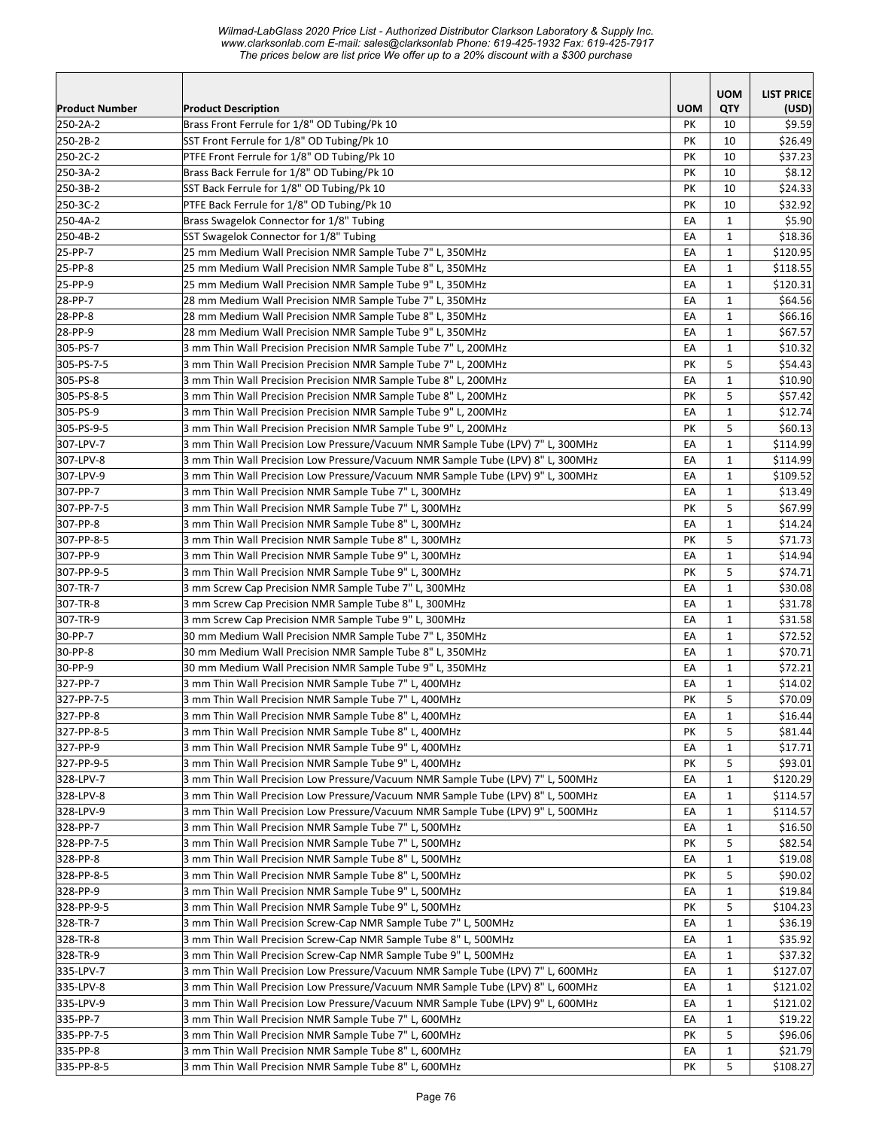*Wilmad-LabGlass 2020 Price List - Authorized Distributor Clarkson Laboratory & Supply Inc. www.clarksonlab.com E-mail: sales@clarksonlab Phone: 619-425-1932 Fax: 619-425-7917 The prices below are list price We offer up to a 20% discount with a \$300 purchase* 

|                        |                                                                                                                |            | <b>UOM</b>        | <b>LIST PRICE</b>  |
|------------------------|----------------------------------------------------------------------------------------------------------------|------------|-------------------|--------------------|
| <b>Product Number</b>  | <b>Product Description</b>                                                                                     | <b>UOM</b> | QTY               | (USD)              |
| 250-2A-2               | Brass Front Ferrule for 1/8" OD Tubing/Pk 10                                                                   | PK         | 10                | \$9.59             |
| 250-2B-2               | SST Front Ferrule for 1/8" OD Tubing/Pk 10                                                                     | PK         | 10                | \$26.49            |
| 250-2C-2               | PTFE Front Ferrule for 1/8" OD Tubing/Pk 10                                                                    | PK         | 10                | \$37.23            |
| 250-3A-2               | Brass Back Ferrule for 1/8" OD Tubing/Pk 10                                                                    | PK         | 10                | \$8.12             |
| 250-3B-2               | SST Back Ferrule for 1/8" OD Tubing/Pk 10                                                                      | PK         | 10                | \$24.33            |
| 250-3C-2               | PTFE Back Ferrule for 1/8" OD Tubing/Pk 10                                                                     | PK         | 10                | \$32.92            |
| 250-4A-2               | Brass Swagelok Connector for 1/8" Tubing                                                                       | EA         | $\mathbf{1}$      | \$5.90             |
| 250-4B-2               | SST Swagelok Connector for 1/8" Tubing                                                                         | EA         | $\mathbf{1}$      | \$18.36            |
| 25-PP-7                | 25 mm Medium Wall Precision NMR Sample Tube 7" L, 350MHz                                                       | EA         | $\mathbf{1}$      | \$120.95           |
| 25-PP-8                | 25 mm Medium Wall Precision NMR Sample Tube 8" L, 350MHz                                                       | EA         | 1                 | \$118.55           |
| 25-PP-9                | 25 mm Medium Wall Precision NMR Sample Tube 9" L, 350MHz                                                       | EA         | $\mathbf{1}$      | \$120.31           |
| 28-PP-7                | 28 mm Medium Wall Precision NMR Sample Tube 7" L, 350MHz                                                       | EA         | $\mathbf{1}$      | \$64.56            |
| 28-PP-8                | 28 mm Medium Wall Precision NMR Sample Tube 8" L, 350MHz                                                       | EA         | $\mathbf{1}$      | \$66.16            |
| 28-PP-9                | 28 mm Medium Wall Precision NMR Sample Tube 9" L, 350MHz                                                       | EA         | $\mathbf{1}$      | \$67.57            |
| 305-PS-7               | 3 mm Thin Wall Precision Precision NMR Sample Tube 7" L, 200MHz                                                | EA         | $\mathbf{1}$      | \$10.32            |
| 305-PS-7-5             | 3 mm Thin Wall Precision Precision NMR Sample Tube 7" L, 200MHz                                                | PK         | 5                 | \$54.43            |
| 305-PS-8               | 3 mm Thin Wall Precision Precision NMR Sample Tube 8" L, 200MHz                                                | EA         | $\mathbf{1}$      | \$10.90            |
| 305-PS-8-5             | 3 mm Thin Wall Precision Precision NMR Sample Tube 8" L, 200MHz                                                | PΚ         | 5                 | \$57.42            |
| 305-PS-9               | 3 mm Thin Wall Precision Precision NMR Sample Tube 9" L, 200MHz                                                | EA         | $\mathbf{1}$      | \$12.74            |
| 305-PS-9-5             | 3 mm Thin Wall Precision Precision NMR Sample Tube 9" L, 200MHz                                                | PK         | 5                 | \$60.13            |
| 307-LPV-7              | 3 mm Thin Wall Precision Low Pressure/Vacuum NMR Sample Tube (LPV) 7" L, 300MHz                                | EA         | $\mathbf{1}$      | \$114.99           |
| 307-LPV-8              | 3 mm Thin Wall Precision Low Pressure/Vacuum NMR Sample Tube (LPV) 8" L, 300MHz                                | EA         | $\mathbf{1}$      | \$114.99           |
| 307-LPV-9              | 3 mm Thin Wall Precision Low Pressure/Vacuum NMR Sample Tube (LPV) 9" L, 300MHz                                | EA         | $\mathbf{1}$      | \$109.52           |
| 307-PP-7               | 3 mm Thin Wall Precision NMR Sample Tube 7" L, 300MHz                                                          | EA         | $\mathbf{1}$      | \$13.49            |
| 307-PP-7-5             | 3 mm Thin Wall Precision NMR Sample Tube 7" L, 300MHz                                                          | PΚ<br>EA   | 5<br>$\mathbf{1}$ | \$67.99            |
| 307-PP-8<br>307-PP-8-5 | 3 mm Thin Wall Precision NMR Sample Tube 8" L, 300MHz                                                          | PK         | 5                 | \$14.24            |
| 307-PP-9               | 3 mm Thin Wall Precision NMR Sample Tube 8" L, 300MHz<br>3 mm Thin Wall Precision NMR Sample Tube 9" L, 300MHz | EA         | $\mathbf{1}$      | \$71.73<br>\$14.94 |
| 307-PP-9-5             | 3 mm Thin Wall Precision NMR Sample Tube 9" L, 300MHz                                                          | PK         | 5                 | \$74.71            |
| 307-TR-7               | 3 mm Screw Cap Precision NMR Sample Tube 7" L, 300MHz                                                          | EA         | $\mathbf{1}$      | \$30.08            |
| 307-TR-8               | 3 mm Screw Cap Precision NMR Sample Tube 8" L, 300MHz                                                          | EA         | $\mathbf{1}$      | \$31.78            |
| 307-TR-9               | 3 mm Screw Cap Precision NMR Sample Tube 9" L, 300MHz                                                          | EA         | $\mathbf{1}$      | \$31.58            |
| 30-PP-7                | 30 mm Medium Wall Precision NMR Sample Tube 7" L, 350MHz                                                       | EA         | $\mathbf{1}$      | \$72.52            |
| 30-PP-8                | 30 mm Medium Wall Precision NMR Sample Tube 8" L, 350MHz                                                       | EA         | $\mathbf{1}$      | \$70.71            |
| 30-PP-9                | 30 mm Medium Wall Precision NMR Sample Tube 9" L, 350MHz                                                       | EA         | $\mathbf{1}$      | \$72.21            |
| 327-PP-7               | 3 mm Thin Wall Precision NMR Sample Tube 7" L, 400MHz                                                          | EA         | $\mathbf{1}$      | \$14.02            |
| 327-PP-7-5             | 3 mm Thin Wall Precision NMR Sample Tube 7" L, 400MHz                                                          | PK         | 5                 | \$70.09            |
| 327-PP-8               | 3 mm Thin Wall Precision NMR Sample Tube 8" L, 400MHz                                                          | EA         | $\mathbf 1$       | \$16.44            |
| 327-PP-8-5             | 3 mm Thin Wall Precision NMR Sample Tube 8" L, 400MHz                                                          | PK         | 5                 | \$81.44            |
| 327-PP-9               | 3 mm Thin Wall Precision NMR Sample Tube 9" L, 400MHz                                                          | EA         | 1                 | \$17.71            |
| 327-PP-9-5             | 3 mm Thin Wall Precision NMR Sample Tube 9" L, 400MHz                                                          | PΚ         | 5                 | \$93.01            |
| 328-LPV-7              | 3 mm Thin Wall Precision Low Pressure/Vacuum NMR Sample Tube (LPV) 7" L, 500MHz                                | EA         | 1                 | \$120.29           |
| 328-LPV-8              | 3 mm Thin Wall Precision Low Pressure/Vacuum NMR Sample Tube (LPV) 8" L, 500MHz                                | EA         | $\mathbf{1}$      | \$114.57           |
| 328-LPV-9              | 3 mm Thin Wall Precision Low Pressure/Vacuum NMR Sample Tube (LPV) 9" L, 500MHz                                | EA         | $\mathbf{1}$      | \$114.57           |
| 328-PP-7               | 3 mm Thin Wall Precision NMR Sample Tube 7" L, 500MHz                                                          | EA         | $\mathbf{1}$      | \$16.50            |
| 328-PP-7-5             | 3 mm Thin Wall Precision NMR Sample Tube 7" L, 500MHz                                                          | PK         | 5                 | \$82.54            |
| 328-PP-8               | 3 mm Thin Wall Precision NMR Sample Tube 8" L, 500MHz                                                          | EA         | $\mathbf{1}$      | \$19.08            |
| 328-PP-8-5             | 3 mm Thin Wall Precision NMR Sample Tube 8" L, 500MHz                                                          | PK         | 5                 | \$90.02            |
| 328-PP-9               | 3 mm Thin Wall Precision NMR Sample Tube 9" L, 500MHz                                                          | EA         | $\mathbf{1}$      | \$19.84            |
| 328-PP-9-5             | 3 mm Thin Wall Precision NMR Sample Tube 9" L, 500MHz                                                          | PK         | 5                 | \$104.23           |
| 328-TR-7               | 3 mm Thin Wall Precision Screw-Cap NMR Sample Tube 7" L, 500MHz                                                | EA         | $\mathbf{1}$      | \$36.19            |
| 328-TR-8               | 3 mm Thin Wall Precision Screw-Cap NMR Sample Tube 8" L, 500MHz                                                | EA         | $\mathbf{1}$      | \$35.92            |
| 328-TR-9               | 3 mm Thin Wall Precision Screw-Cap NMR Sample Tube 9" L, 500MHz                                                | EA         | $\mathbf{1}$      | \$37.32            |
| 335-LPV-7              | 3 mm Thin Wall Precision Low Pressure/Vacuum NMR Sample Tube (LPV) 7" L, 600MHz                                | EA         | $\mathbf{1}$      | \$127.07           |
| 335-LPV-8              | 3 mm Thin Wall Precision Low Pressure/Vacuum NMR Sample Tube (LPV) 8" L, 600MHz                                | EA         | $\mathbf{1}$      | \$121.02           |
| 335-LPV-9              | 3 mm Thin Wall Precision Low Pressure/Vacuum NMR Sample Tube (LPV) 9" L, 600MHz                                | EA         | 1                 | \$121.02           |
| 335-PP-7               | 3 mm Thin Wall Precision NMR Sample Tube 7" L, 600MHz                                                          | EA         | 1                 | \$19.22            |
| 335-PP-7-5             | 3 mm Thin Wall Precision NMR Sample Tube 7" L, 600MHz                                                          | PK         | 5                 | \$96.06            |
| 335-PP-8               | 3 mm Thin Wall Precision NMR Sample Tube 8" L, 600MHz                                                          | EA         | $\mathbf 1$       | \$21.79            |
| 335-PP-8-5             | 3 mm Thin Wall Precision NMR Sample Tube 8" L, 600MHz                                                          | PK         | 5                 | \$108.27           |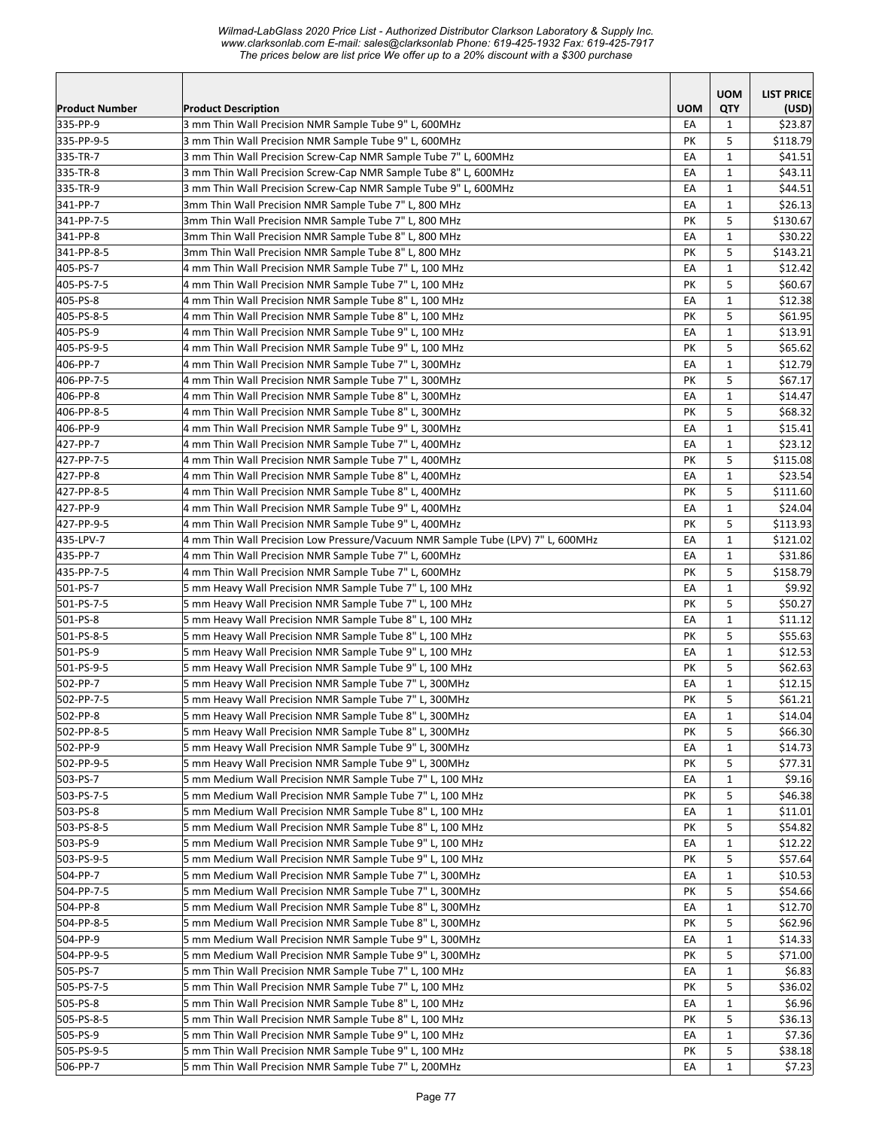|                        |                                                                                                                          |            | <b>UOM</b>   | <b>LIST PRICE</b>   |
|------------------------|--------------------------------------------------------------------------------------------------------------------------|------------|--------------|---------------------|
| <b>Product Number</b>  | <b>Product Description</b>                                                                                               | <b>UOM</b> | <b>QTY</b>   | (USD)               |
| 335-PP-9               | 3 mm Thin Wall Precision NMR Sample Tube 9" L, 600MHz                                                                    | EA         | 1            | \$23.87             |
| 335-PP-9-5<br>335-TR-7 | 3 mm Thin Wall Precision NMR Sample Tube 9" L, 600MHz<br>3 mm Thin Wall Precision Screw-Cap NMR Sample Tube 7" L, 600MHz | PK<br>EA   | 5<br>1       | \$118.79<br>\$41.51 |
| 335-TR-8               | 3 mm Thin Wall Precision Screw-Cap NMR Sample Tube 8" L, 600MHz                                                          | EA         | $\mathbf{1}$ | \$43.11             |
| 335-TR-9               | 3 mm Thin Wall Precision Screw-Cap NMR Sample Tube 9" L, 600MHz                                                          | EA         | $\mathbf{1}$ | \$44.51             |
| 341-PP-7               | 3mm Thin Wall Precision NMR Sample Tube 7" L, 800 MHz                                                                    | EA         | $\mathbf{1}$ | \$26.13             |
| 341-PP-7-5             | 3mm Thin Wall Precision NMR Sample Tube 7" L, 800 MHz                                                                    | PK         | 5            | \$130.67            |
| 341-PP-8               | 3mm Thin Wall Precision NMR Sample Tube 8" L, 800 MHz                                                                    | EA         | $\mathbf{1}$ | \$30.22             |
| 341-PP-8-5             | 3mm Thin Wall Precision NMR Sample Tube 8" L, 800 MHz                                                                    | PK         | 5            | \$143.21            |
| 405-PS-7               | 4 mm Thin Wall Precision NMR Sample Tube 7" L, 100 MHz                                                                   | EA         | $\mathbf{1}$ | \$12.42             |
| 405-PS-7-5             | 4 mm Thin Wall Precision NMR Sample Tube 7" L, 100 MHz                                                                   | PK         | 5            | \$60.67             |
| 405-PS-8               | 4 mm Thin Wall Precision NMR Sample Tube 8" L, 100 MHz                                                                   | EA         | $\mathbf{1}$ | \$12.38             |
| 405-PS-8-5             | 4 mm Thin Wall Precision NMR Sample Tube 8" L, 100 MHz                                                                   | PΚ         | 5            | \$61.95             |
| 405-PS-9               | 4 mm Thin Wall Precision NMR Sample Tube 9" L, 100 MHz                                                                   | EA         | $\mathbf{1}$ | \$13.91             |
| 405-PS-9-5             | 4 mm Thin Wall Precision NMR Sample Tube 9" L, 100 MHz                                                                   | PK         | 5            | \$65.62             |
| 406-PP-7               | 4 mm Thin Wall Precision NMR Sample Tube 7" L, 300MHz                                                                    | EA         | $\mathbf{1}$ | \$12.79             |
| 406-PP-7-5             | 4 mm Thin Wall Precision NMR Sample Tube 7" L, 300MHz                                                                    | PK         | 5            | \$67.17             |
| 406-PP-8               | 4 mm Thin Wall Precision NMR Sample Tube 8" L, 300MHz                                                                    | EA         | 1            | \$14.47             |
| 406-PP-8-5             | 4 mm Thin Wall Precision NMR Sample Tube 8" L, 300MHz                                                                    | PK         | 5            | \$68.32             |
| 406-PP-9               | 4 mm Thin Wall Precision NMR Sample Tube 9" L, 300MHz                                                                    | EA         | $\mathbf{1}$ | \$15.41             |
| 427-PP-7               | 4 mm Thin Wall Precision NMR Sample Tube 7" L, 400MHz                                                                    | EA         | $\mathbf{1}$ | \$23.12             |
| 427-PP-7-5             | 4 mm Thin Wall Precision NMR Sample Tube 7" L, 400MHz                                                                    | PK         | 5            | \$115.08            |
| 427-PP-8               | 4 mm Thin Wall Precision NMR Sample Tube 8" L, 400MHz                                                                    | EA         | $\mathbf{1}$ | \$23.54             |
| 427-PP-8-5             | 4 mm Thin Wall Precision NMR Sample Tube 8" L, 400MHz                                                                    | PK         | 5            | \$111.60            |
| 427-PP-9               | 4 mm Thin Wall Precision NMR Sample Tube 9" L, 400MHz                                                                    | EA         | $\mathbf{1}$ | \$24.04             |
| 427-PP-9-5             | 4 mm Thin Wall Precision NMR Sample Tube 9" L, 400MHz                                                                    | PK         | 5            | \$113.93            |
| 435-LPV-7              | 4 mm Thin Wall Precision Low Pressure/Vacuum NMR Sample Tube (LPV) 7" L, 600MHz                                          | EA         | $\mathbf{1}$ | \$121.02            |
| 435-PP-7               | 4 mm Thin Wall Precision NMR Sample Tube 7" L, 600MHz                                                                    | EA         | $\mathbf{1}$ | \$31.86             |
| 435-PP-7-5             | 4 mm Thin Wall Precision NMR Sample Tube 7" L, 600MHz                                                                    | PK         | 5            | \$158.79            |
| 501-PS-7               | 5 mm Heavy Wall Precision NMR Sample Tube 7" L, 100 MHz                                                                  | EA         | $\mathbf{1}$ | \$9.92              |
| 501-PS-7-5             | 5 mm Heavy Wall Precision NMR Sample Tube 7" L, 100 MHz                                                                  | PK         | 5            | \$50.27             |
| 501-PS-8               | 5 mm Heavy Wall Precision NMR Sample Tube 8" L, 100 MHz                                                                  | EA         | $\mathbf{1}$ | \$11.12             |
| 501-PS-8-5             | 5 mm Heavy Wall Precision NMR Sample Tube 8" L, 100 MHz                                                                  | PΚ         | 5            | \$55.63             |
| 501-PS-9               | 5 mm Heavy Wall Precision NMR Sample Tube 9" L, 100 MHz                                                                  | EA         | $\mathbf{1}$ | \$12.53             |
| 501-PS-9-5             | 5 mm Heavy Wall Precision NMR Sample Tube 9" L, 100 MHz                                                                  | PК         | 5            | \$62.63             |
| 502-PP-7               | 5 mm Heavy Wall Precision NMR Sample Tube 7" L, 300MHz                                                                   | EA         | $\mathbf{1}$ | \$12.15             |
| 502-PP-7-5             | 5 mm Heavy Wall Precision NMR Sample Tube 7" L, 300MHz                                                                   | PK         | 5            | \$61.21             |
| 502-PP-8               | 5 mm Heavy Wall Precision NMR Sample Tube 8" L, 300MHz                                                                   | EA         | $\mathbf{1}$ | \$14.04             |
| 502-PP-8-5             | 5 mm Heavy Wall Precision NMR Sample Tube 8" L, 300MHz                                                                   | PK         | 5            | \$66.30             |
| 502-PP-9               | 5 mm Heavy Wall Precision NMR Sample Tube 9" L, 300MHz                                                                   | EA         | 1            | \$14.73             |
| 502-PP-9-5             | 5 mm Heavy Wall Precision NMR Sample Tube 9" L, 300MHz                                                                   | PK         | 5            | \$77.31             |
| 503-PS-7               | 5 mm Medium Wall Precision NMR Sample Tube 7" L, 100 MHz                                                                 | EA         | $\mathbf{1}$ | \$9.16              |
| 503-PS-7-5             | 5 mm Medium Wall Precision NMR Sample Tube 7" L, 100 MHz                                                                 | PK         | 5            | \$46.38             |
| 503-PS-8               | 5 mm Medium Wall Precision NMR Sample Tube 8" L, 100 MHz                                                                 | EA         | $\mathbf{1}$ | \$11.01             |
| 503-PS-8-5             | 5 mm Medium Wall Precision NMR Sample Tube 8" L, 100 MHz                                                                 | PK         | 5            | \$54.82             |
| 503-PS-9               | 5 mm Medium Wall Precision NMR Sample Tube 9" L, 100 MHz                                                                 | EA         | $\mathbf 1$  | \$12.22             |
| 503-PS-9-5             | 5 mm Medium Wall Precision NMR Sample Tube 9" L, 100 MHz                                                                 | PΚ         | 5            | \$57.64             |
| 504-PP-7               | 5 mm Medium Wall Precision NMR Sample Tube 7" L, 300MHz                                                                  | EA         | $\mathbf{1}$ | \$10.53             |
| 504-PP-7-5             | 5 mm Medium Wall Precision NMR Sample Tube 7" L, 300MHz                                                                  | PK         | 5            | \$54.66             |
| 504-PP-8<br>504-PP-8-5 | 5 mm Medium Wall Precision NMR Sample Tube 8" L, 300MHz<br>5 mm Medium Wall Precision NMR Sample Tube 8" L, 300MHz       | EA<br>PК   | 1<br>5       | \$12.70<br>\$62.96  |
| 504-PP-9               | 5 mm Medium Wall Precision NMR Sample Tube 9" L, 300MHz                                                                  | EA         | $\mathbf{1}$ | \$14.33             |
| 504-PP-9-5             | 5 mm Medium Wall Precision NMR Sample Tube 9" L, 300MHz                                                                  | PK         | 5            | \$71.00             |
| 505-PS-7               | 5 mm Thin Wall Precision NMR Sample Tube 7" L, 100 MHz                                                                   | EA         | $\mathbf{1}$ | \$6.83              |
| 505-PS-7-5             | 5 mm Thin Wall Precision NMR Sample Tube 7" L, 100 MHz                                                                   | PК         | 5            | \$36.02             |
| 505-PS-8               | 5 mm Thin Wall Precision NMR Sample Tube 8" L, 100 MHz                                                                   | EA         | $\mathbf{1}$ | \$6.96              |
| 505-PS-8-5             | 5 mm Thin Wall Precision NMR Sample Tube 8" L, 100 MHz                                                                   | PК         | 5            | \$36.13             |
| 505-PS-9               | 5 mm Thin Wall Precision NMR Sample Tube 9" L, 100 MHz                                                                   | EA         | $\mathbf{1}$ | \$7.36              |
| 505-PS-9-5             | 5 mm Thin Wall Precision NMR Sample Tube 9" L, 100 MHz                                                                   | PК         | 5            | \$38.18             |
| 506-PP-7               | 5 mm Thin Wall Precision NMR Sample Tube 7" L, 200MHz                                                                    | EA         | $\mathbf{1}$ | \$7.23              |
|                        |                                                                                                                          |            |              |                     |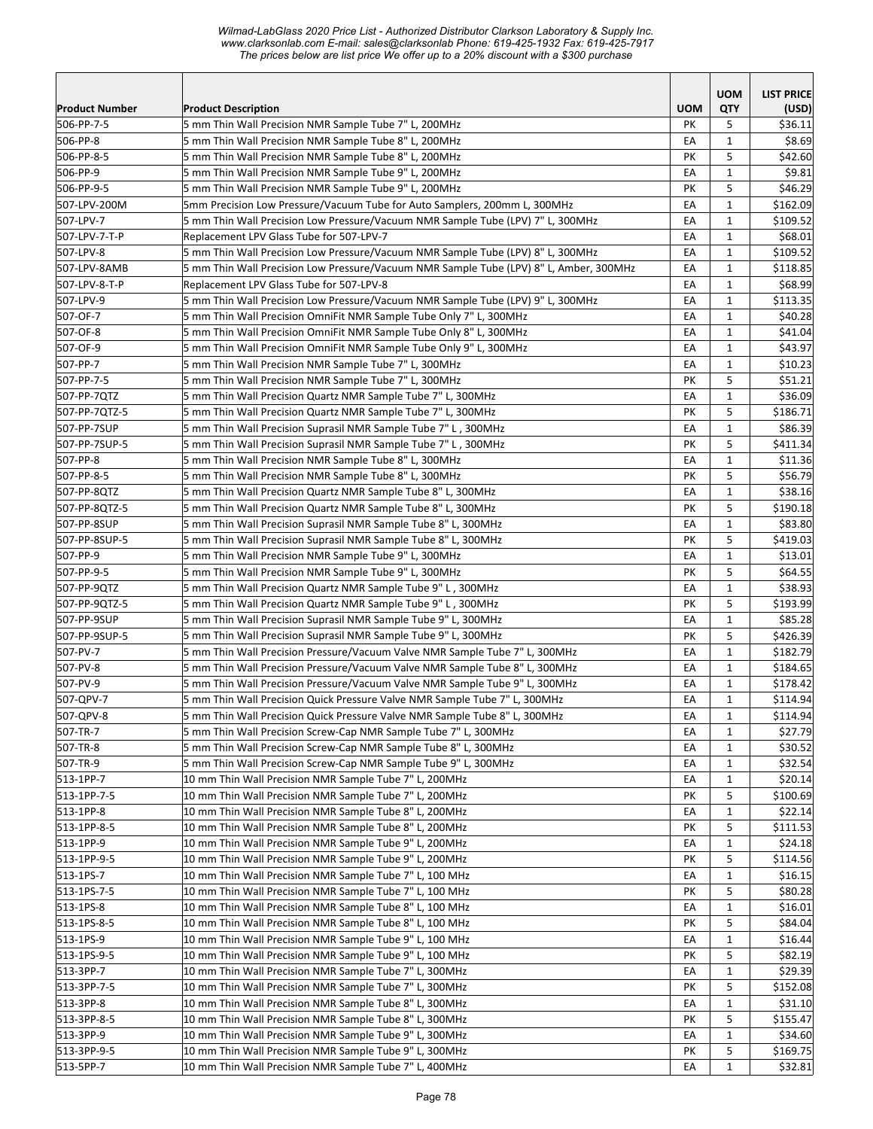*Wilmad-LabGlass 2020 Price List - Authorized Distributor Clarkson Laboratory & Supply Inc. www.clarksonlab.com E-mail: sales@clarksonlab Phone: 619-425-1932 Fax: 619-425-7917 The prices below are list price We offer up to a 20% discount with a \$300 purchase* 

|                              |                                                                                                                                               |            | <b>UOM</b>        | <b>LIST PRICE</b>    |
|------------------------------|-----------------------------------------------------------------------------------------------------------------------------------------------|------------|-------------------|----------------------|
| <b>Product Number</b>        | <b>Product Description</b>                                                                                                                    | <b>UOM</b> | QTY               | (USD)                |
| 506-PP-7-5                   | 5 mm Thin Wall Precision NMR Sample Tube 7" L, 200MHz                                                                                         | PΚ         | 5                 | \$36.11              |
| 506-PP-8                     | 5 mm Thin Wall Precision NMR Sample Tube 8" L, 200MHz                                                                                         | EA         | $\mathbf{1}$      | \$8.69               |
| 506-PP-8-5                   | 5 mm Thin Wall Precision NMR Sample Tube 8" L, 200MHz                                                                                         | PΚ         | 5                 | \$42.60              |
| 506-PP-9                     | 5 mm Thin Wall Precision NMR Sample Tube 9" L, 200MHz                                                                                         | EA         | $\mathbf{1}$      | \$9.81               |
| 506-PP-9-5                   | 5 mm Thin Wall Precision NMR Sample Tube 9" L, 200MHz                                                                                         | PK         | 5                 | \$46.29              |
| 507-LPV-200M                 | 5mm Precision Low Pressure/Vacuum Tube for Auto Samplers, 200mm L, 300MHz                                                                     | EA         | $\mathbf{1}$      | \$162.09             |
| 507-LPV-7                    | 5 mm Thin Wall Precision Low Pressure/Vacuum NMR Sample Tube (LPV) 7" L, 300MHz                                                               | EA         | $\mathbf{1}$      | \$109.52             |
| 507-LPV-7-T-P                | Replacement LPV Glass Tube for 507-LPV-7                                                                                                      | EA         | $\mathbf{1}$      | \$68.01              |
| 507-LPV-8                    | 5 mm Thin Wall Precision Low Pressure/Vacuum NMR Sample Tube (LPV) 8" L, 300MHz                                                               | EA         | $\mathbf{1}$      | \$109.52             |
| 507-LPV-8AMB                 | 5 mm Thin Wall Precision Low Pressure/Vacuum NMR Sample Tube (LPV) 8" L, Amber, 300MHz                                                        | EA         | $\mathbf{1}$      | \$118.85             |
| 507-LPV-8-T-P                | Replacement LPV Glass Tube for 507-LPV-8                                                                                                      | EA         | $\mathbf{1}$      | \$68.99              |
| 507-LPV-9                    | 5 mm Thin Wall Precision Low Pressure/Vacuum NMR Sample Tube (LPV) 9" L, 300MHz                                                               | EA         | 1                 | \$113.35             |
| 507-OF-7                     | 5 mm Thin Wall Precision OmniFit NMR Sample Tube Only 7" L, 300MHz                                                                            | EA         | $\mathbf{1}$      | \$40.28              |
| 507-OF-8                     | 5 mm Thin Wall Precision OmniFit NMR Sample Tube Only 8" L, 300MHz                                                                            | EA         | $\mathbf{1}$      | \$41.04              |
| 507-OF-9                     | 5 mm Thin Wall Precision OmniFit NMR Sample Tube Only 9" L, 300MHz                                                                            | EA         | $\mathbf{1}$      | \$43.97              |
| 507-PP-7                     | 5 mm Thin Wall Precision NMR Sample Tube 7" L, 300MHz                                                                                         | EA         | $\mathbf{1}$      | \$10.23              |
| 507-PP-7-5                   | 5 mm Thin Wall Precision NMR Sample Tube 7" L, 300MHz                                                                                         | PΚ         | 5                 | \$51.21              |
| 507-PP-7QTZ                  | 5 mm Thin Wall Precision Quartz NMR Sample Tube 7" L, 300MHz                                                                                  | EA         | $\mathbf{1}$      | \$36.09              |
| 507-PP-7QTZ-5                | 5 mm Thin Wall Precision Quartz NMR Sample Tube 7" L, 300MHz                                                                                  | PΚ         | 5                 | \$186.71             |
| 507-PP-7SUP                  | 5 mm Thin Wall Precision Suprasil NMR Sample Tube 7" L, 300MHz                                                                                | EA         | $\mathbf{1}$      | \$86.39              |
| 507-PP-7SUP-5                | 5 mm Thin Wall Precision Suprasil NMR Sample Tube 7" L, 300MHz                                                                                | PK         | 5                 | \$411.34             |
| 507-PP-8                     | 5 mm Thin Wall Precision NMR Sample Tube 8" L, 300MHz                                                                                         | EA         | $\mathbf{1}$      | \$11.36              |
| 507-PP-8-5                   | 5 mm Thin Wall Precision NMR Sample Tube 8" L, 300MHz                                                                                         | PΚ         | 5                 | \$56.79              |
| 507-PP-8QTZ                  | 5 mm Thin Wall Precision Quartz NMR Sample Tube 8" L, 300MHz                                                                                  | EA         | $\mathbf{1}$      | \$38.16              |
| 507-PP-8QTZ-5                | 5 mm Thin Wall Precision Quartz NMR Sample Tube 8" L, 300MHz                                                                                  | PΚ         | 5                 | \$190.18             |
| 507-PP-8SUP                  | 5 mm Thin Wall Precision Suprasil NMR Sample Tube 8" L, 300MHz                                                                                | EA         | $\mathbf{1}$      | \$83.80              |
| 507-PP-8SUP-5                | 5 mm Thin Wall Precision Suprasil NMR Sample Tube 8" L, 300MHz                                                                                | PΚ         | 5                 | \$419.03             |
| 507-PP-9                     | 5 mm Thin Wall Precision NMR Sample Tube 9" L, 300MHz                                                                                         | EA         | $\mathbf{1}$      | \$13.01              |
| 507-PP-9-5                   | 5 mm Thin Wall Precision NMR Sample Tube 9" L, 300MHz                                                                                         | PΚ         | 5                 | \$64.55              |
| 507-PP-9QTZ                  | 5 mm Thin Wall Precision Quartz NMR Sample Tube 9" L, 300MHz                                                                                  | EA         | $\mathbf{1}$      | \$38.93              |
| 507-PP-9QTZ-5                | 5 mm Thin Wall Precision Quartz NMR Sample Tube 9" L, 300MHz                                                                                  | PΚ         | 5                 | \$193.99             |
| 507-PP-9SUP<br>507-PP-9SUP-5 | 5 mm Thin Wall Precision Suprasil NMR Sample Tube 9" L, 300MHz                                                                                | EA<br>PΚ   | $\mathbf{1}$<br>5 | \$85.28              |
| 507-PV-7                     | 5 mm Thin Wall Precision Suprasil NMR Sample Tube 9" L, 300MHz<br>5 mm Thin Wall Precision Pressure/Vacuum Valve NMR Sample Tube 7" L, 300MHz | EA         | $\mathbf{1}$      | \$426.39<br>\$182.79 |
| 507-PV-8                     | 5 mm Thin Wall Precision Pressure/Vacuum Valve NMR Sample Tube 8" L, 300MHz                                                                   | EA         | 1                 | \$184.65             |
| 507-PV-9                     | 5 mm Thin Wall Precision Pressure/Vacuum Valve NMR Sample Tube 9" L, 300MHz                                                                   | EA         | $\mathbf{1}$      | \$178.42             |
| 507-QPV-7                    | 5 mm Thin Wall Precision Quick Pressure Valve NMR Sample Tube 7" L, 300MHz                                                                    | EA         | $\mathbf{1}$      | \$114.94             |
| 507-QPV-8                    | 5 mm Thin Wall Precision Quick Pressure Valve NMR Sample Tube 8" L, 300MHz                                                                    | EA         | $\mathbf 1$       | \$114.94             |
| 507-TR-7                     | 5 mm Thin Wall Precision Screw-Cap NMR Sample Tube 7" L, 300MHz                                                                               | EA         | 1                 | \$27.79              |
| 507-TR-8                     | 5 mm Thin Wall Precision Screw-Cap NMR Sample Tube 8" L, 300MHz                                                                               | EA         | $\mathbf{1}$      | \$30.52              |
| 507-TR-9                     | 5 mm Thin Wall Precision Screw-Cap NMR Sample Tube 9" L, 300MHz                                                                               | EA         | 1                 | \$32.54              |
| 513-1PP-7                    | 10 mm Thin Wall Precision NMR Sample Tube 7" L, 200MHz                                                                                        | EA         | 1                 | \$20.14]             |
| 513-1PP-7-5                  | 10 mm Thin Wall Precision NMR Sample Tube 7" L, 200MHz                                                                                        | PΚ         | 5                 | \$100.69             |
| 513-1PP-8                    | 10 mm Thin Wall Precision NMR Sample Tube 8" L, 200MHz                                                                                        | EA         | $\mathbf{1}$      | \$22.14              |
| 513-1PP-8-5                  | 10 mm Thin Wall Precision NMR Sample Tube 8" L, 200MHz                                                                                        | PΚ         | 5                 | \$111.53             |
| 513-1PP-9                    | 10 mm Thin Wall Precision NMR Sample Tube 9" L, 200MHz                                                                                        | EA         | $\mathbf{1}$      | \$24.18              |
| 513-1PP-9-5                  | 10 mm Thin Wall Precision NMR Sample Tube 9" L, 200MHz                                                                                        | PΚ         | 5                 | \$114.56             |
| 513-1PS-7                    | 10 mm Thin Wall Precision NMR Sample Tube 7" L, 100 MHz                                                                                       | EA         | $\mathbf{1}$      | \$16.15              |
| 513-1PS-7-5                  | 10 mm Thin Wall Precision NMR Sample Tube 7" L, 100 MHz                                                                                       | PΚ         | 5                 | \$80.28              |
| 513-1PS-8                    | 10 mm Thin Wall Precision NMR Sample Tube 8" L, 100 MHz                                                                                       | EA         | 1                 | \$16.01              |
| 513-1PS-8-5                  | 10 mm Thin Wall Precision NMR Sample Tube 8" L, 100 MHz                                                                                       | PΚ         | 5                 | \$84.04              |
| 513-1PS-9                    | 10 mm Thin Wall Precision NMR Sample Tube 9" L, 100 MHz                                                                                       | EA         | $\mathbf{1}$      | \$16.44              |
| 513-1PS-9-5                  | 10 mm Thin Wall Precision NMR Sample Tube 9" L, 100 MHz                                                                                       | PΚ         | 5                 | \$82.19              |
| 513-3PP-7                    | 10 mm Thin Wall Precision NMR Sample Tube 7" L, 300MHz                                                                                        | EA         | $\mathbf{1}$      | \$29.39              |
| 513-3PP-7-5                  | 10 mm Thin Wall Precision NMR Sample Tube 7" L, 300MHz                                                                                        | PΚ         | 5                 | \$152.08             |
| 513-3PP-8                    | 10 mm Thin Wall Precision NMR Sample Tube 8" L, 300MHz                                                                                        | EA         | 1                 | \$31.10              |
| 513-3PP-8-5                  | 10 mm Thin Wall Precision NMR Sample Tube 8" L, 300MHz                                                                                        | PΚ         | 5                 | \$155.47             |
| 513-3PP-9                    | 10 mm Thin Wall Precision NMR Sample Tube 9" L, 300MHz                                                                                        | EA         | 1                 | \$34.60              |
| 513-3PP-9-5                  | 10 mm Thin Wall Precision NMR Sample Tube 9" L, 300MHz                                                                                        | PΚ         | 5                 | \$169.75             |
| 513-5PP-7                    | 10 mm Thin Wall Precision NMR Sample Tube 7" L, 400MHz                                                                                        | EA         | $\mathbf{1}$      | \$32.81              |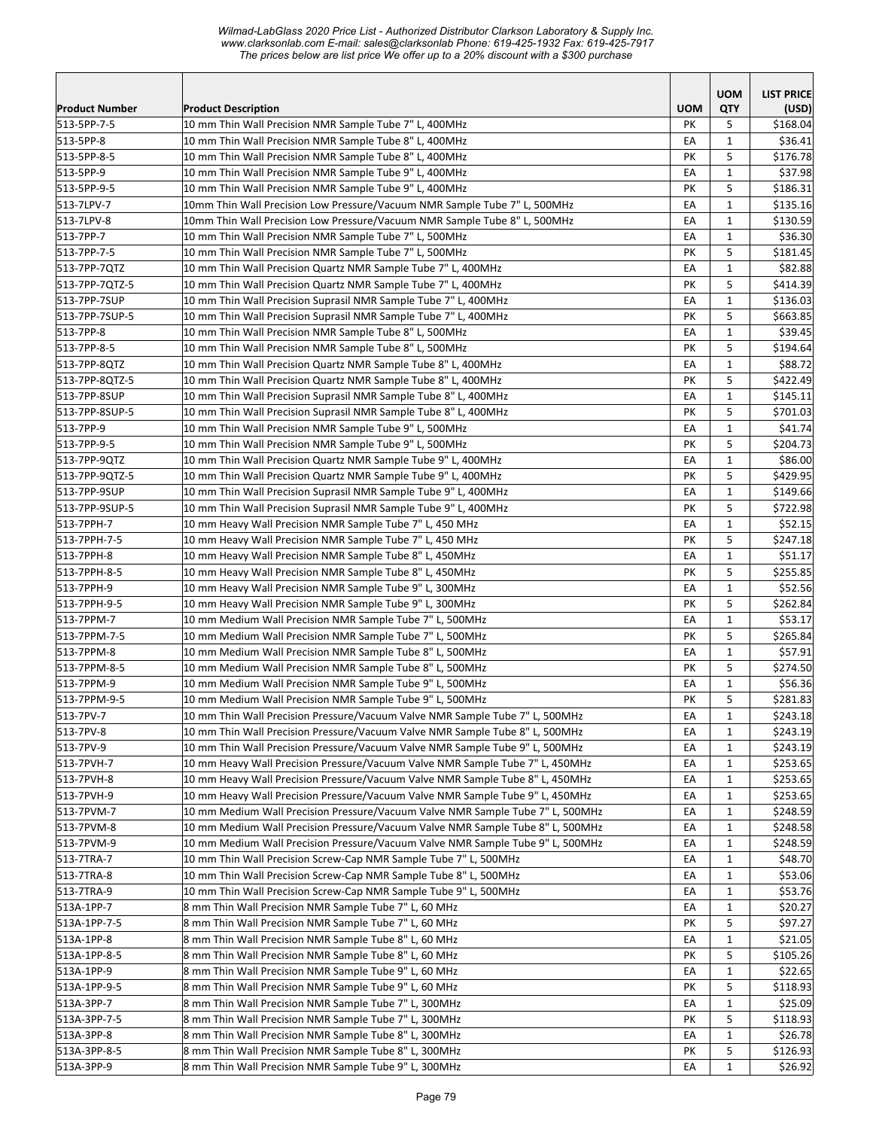|                                      |                                                                                                                | <b>UOM</b> | <b>UOM</b>        | <b>LIST PRICE</b>   |
|--------------------------------------|----------------------------------------------------------------------------------------------------------------|------------|-------------------|---------------------|
| <b>Product Number</b><br>513-5PP-7-5 | <b>Product Description</b><br>10 mm Thin Wall Precision NMR Sample Tube 7" L, 400MHz                           | PК         | QTY<br>5          | (USD)<br>\$168.04   |
| 513-5PP-8                            | 10 mm Thin Wall Precision NMR Sample Tube 8" L, 400MHz                                                         | EA         | $\mathbf{1}$      | \$36.41             |
| 513-5PP-8-5                          | 10 mm Thin Wall Precision NMR Sample Tube 8" L, 400MHz                                                         | PK         | 5                 | \$176.78            |
| 513-5PP-9                            | 10 mm Thin Wall Precision NMR Sample Tube 9" L, 400MHz                                                         | EA         | $\mathbf{1}$      | \$37.98             |
| 513-5PP-9-5                          | 10 mm Thin Wall Precision NMR Sample Tube 9" L, 400MHz                                                         | PΚ         | 5                 | \$186.31            |
| 513-7LPV-7                           | 10mm Thin Wall Precision Low Pressure/Vacuum NMR Sample Tube 7" L, 500MHz                                      | EA         | $\mathbf{1}$      | \$135.16            |
| 513-7LPV-8                           | 10mm Thin Wall Precision Low Pressure/Vacuum NMR Sample Tube 8" L, 500MHz                                      | EA         | $\mathbf{1}$      | \$130.59            |
| 513-7PP-7                            | 10 mm Thin Wall Precision NMR Sample Tube 7" L, 500MHz                                                         | EA         | $\mathbf{1}$      | \$36.30             |
| 513-7PP-7-5                          | 10 mm Thin Wall Precision NMR Sample Tube 7" L, 500MHz                                                         | PK         | 5                 | \$181.45            |
| 513-7PP-7QTZ                         | 10 mm Thin Wall Precision Quartz NMR Sample Tube 7" L, 400MHz                                                  | EA         | $\mathbf{1}$      | \$82.88             |
| 513-7PP-7QTZ-5                       | 10 mm Thin Wall Precision Quartz NMR Sample Tube 7" L, 400MHz                                                  | PK         | 5                 | \$414.39            |
| 513-7PP-7SUP                         | 10 mm Thin Wall Precision Suprasil NMR Sample Tube 7" L, 400MHz                                                | EA         | $\mathbf{1}$      | \$136.03            |
| 513-7PP-7SUP-5                       | 10 mm Thin Wall Precision Suprasil NMR Sample Tube 7" L, 400MHz                                                | PK         | 5                 | \$663.85            |
| 513-7PP-8                            | 10 mm Thin Wall Precision NMR Sample Tube 8" L, 500MHz                                                         | EA         | $\mathbf{1}$      | \$39.45             |
| 513-7PP-8-5                          | 10 mm Thin Wall Precision NMR Sample Tube 8" L, 500MHz                                                         | PK         | 5                 | \$194.64            |
| 513-7PP-8QTZ                         | 10 mm Thin Wall Precision Quartz NMR Sample Tube 8" L, 400MHz                                                  | EA         | $\mathbf{1}$      | \$88.72             |
| 513-7PP-8QTZ-5                       | 10 mm Thin Wall Precision Quartz NMR Sample Tube 8" L, 400MHz                                                  | PK         | 5                 | \$422.49            |
| 513-7PP-8SUP                         | 10 mm Thin Wall Precision Suprasil NMR Sample Tube 8" L, 400MHz                                                | EA         | 1                 | \$145.11            |
| 513-7PP-8SUP-5                       | 10 mm Thin Wall Precision Suprasil NMR Sample Tube 8" L, 400MHz                                                | PK         | 5                 | \$701.03            |
| 513-7PP-9                            | 10 mm Thin Wall Precision NMR Sample Tube 9" L, 500MHz                                                         | EA         | $\mathbf{1}$      | \$41.74             |
| 513-7PP-9-5                          | 10 mm Thin Wall Precision NMR Sample Tube 9" L, 500MHz                                                         | PK         | 5                 | \$204.73            |
| 513-7PP-9QTZ                         | 10 mm Thin Wall Precision Quartz NMR Sample Tube 9" L, 400MHz                                                  | EA         | $\mathbf{1}$      | \$86.00             |
| 513-7PP-9QTZ-5                       | 10 mm Thin Wall Precision Quartz NMR Sample Tube 9" L, 400MHz                                                  | PΚ         | 5                 | \$429.95            |
| 513-7PP-9SUP                         | 10 mm Thin Wall Precision Suprasil NMR Sample Tube 9" L, 400MHz                                                | EA         | $\mathbf{1}$      | \$149.66            |
| 513-7PP-9SUP-5                       | 10 mm Thin Wall Precision Suprasil NMR Sample Tube 9" L, 400MHz                                                | PK         | 5                 | \$722.98            |
| 513-7PPH-7                           | 10 mm Heavy Wall Precision NMR Sample Tube 7" L, 450 MHz                                                       | EA         | $\mathbf 1$       | \$52.15             |
| 513-7PPH-7-5                         | 10 mm Heavy Wall Precision NMR Sample Tube 7" L, 450 MHz                                                       | PK         | 5                 | \$247.18            |
| 513-7PPH-8                           | 10 mm Heavy Wall Precision NMR Sample Tube 8" L, 450MHz                                                        | EA         | $\mathbf{1}$      | \$51.17             |
| 513-7PPH-8-5                         | 10 mm Heavy Wall Precision NMR Sample Tube 8" L, 450MHz                                                        | PK         | 5                 | \$255.85            |
| 513-7PPH-9                           | 10 mm Heavy Wall Precision NMR Sample Tube 9" L, 300MHz                                                        | EA         | $\mathbf{1}$      | \$52.56             |
| 513-7PPH-9-5                         | 10 mm Heavy Wall Precision NMR Sample Tube 9" L, 300MHz                                                        | PK         | 5                 | \$262.84            |
| 513-7PPM-7                           | 10 mm Medium Wall Precision NMR Sample Tube 7" L, 500MHz                                                       | EA         | $\mathbf{1}$      | \$53.17             |
| 513-7PPM-7-5                         | 10 mm Medium Wall Precision NMR Sample Tube 7" L, 500MHz                                                       | PK         | 5                 | \$265.84            |
| 513-7PPM-8                           | 10 mm Medium Wall Precision NMR Sample Tube 8" L, 500MHz                                                       | EA         | $\mathbf{1}$      | \$57.91             |
| 513-7PPM-8-5                         | 10 mm Medium Wall Precision NMR Sample Tube 8" L, 500MHz                                                       | PΚ         | 5                 | \$274.50            |
| 513-7PPM-9                           | 10 mm Medium Wall Precision NMR Sample Tube 9" L, 500MHz                                                       | EA         | $\mathbf{1}$      | \$56.36             |
| 513-7PPM-9-5                         | 10 mm Medium Wall Precision NMR Sample Tube 9" L, 500MHz                                                       | PK         | 5                 | \$281.83            |
| 513-7PV-7                            | 10 mm Thin Wall Precision Pressure/Vacuum Valve NMR Sample Tube 7" L, 500MHz                                   | EA         | $\mathbf 1$       | \$243.18            |
| 513-7PV-8                            | 10 mm Thin Wall Precision Pressure/Vacuum Valve NMR Sample Tube 8" L, 500MHz                                   | EA         | $\mathbf{1}$      | \$243.19            |
| 513-7PV-9                            | 10 mm Thin Wall Precision Pressure/Vacuum Valve NMR Sample Tube 9" L, 500MHz                                   | EA         | 1                 | \$243.19            |
| 513-7PVH-7                           | 10 mm Heavy Wall Precision Pressure/Vacuum Valve NMR Sample Tube 7" L, 450MHz                                  | EA         | 1                 | \$253.65            |
| 513-7PVH-8                           | 10 mm Heavy Wall Precision Pressure/Vacuum Valve NMR Sample Tube 8" L, 450MHz                                  | EA         | $\mathbf{1}$      | \$253.65            |
| 513-7PVH-9                           | 10 mm Heavy Wall Precision Pressure/Vacuum Valve NMR Sample Tube 9" L, 450MHz                                  | EA         | 1                 | \$253.65            |
| 513-7PVM-7                           | 10 mm Medium Wall Precision Pressure/Vacuum Valve NMR Sample Tube 7" L, 500MHz                                 | ΕA         | 1                 | \$248.59            |
| 513-7PVM-8                           | 10 mm Medium Wall Precision Pressure/Vacuum Valve NMR Sample Tube 8" L, 500MHz                                 | EA         | $\mathbf{1}$      | \$248.58            |
| 513-7PVM-9                           | 10 mm Medium Wall Precision Pressure/Vacuum Valve NMR Sample Tube 9" L, 500MHz                                 | EА         | $\mathbf{1}$      | \$248.59            |
| 513-7TRA-7                           | 10 mm Thin Wall Precision Screw-Cap NMR Sample Tube 7" L, 500MHz                                               | EA         | $\mathbf{1}$      | \$48.70             |
| 513-7TRA-8                           | 10 mm Thin Wall Precision Screw-Cap NMR Sample Tube 8" L, 500MHz                                               | EA         | 1                 | \$53.06             |
| 513-7TRA-9                           | 10 mm Thin Wall Precision Screw-Cap NMR Sample Tube 9" L, 500MHz                                               | EA         | $\mathbf{1}$      | \$53.76             |
| 513A-1PP-7                           | 8 mm Thin Wall Precision NMR Sample Tube 7" L, 60 MHz                                                          | EA         | 1                 | \$20.27             |
| 513A-1PP-7-5                         | 8 mm Thin Wall Precision NMR Sample Tube 7" L, 60 MHz                                                          | PΚ         | 5                 | \$97.27             |
| 513A-1PP-8                           | 8 mm Thin Wall Precision NMR Sample Tube 8" L, 60 MHz<br>8 mm Thin Wall Precision NMR Sample Tube 8" L, 60 MHz | EA         | $\mathbf{1}$      | \$21.05             |
| 513A-1PP-8-5                         |                                                                                                                | PК         | 5                 | \$105.26            |
| 513A-1PP-9                           | 8 mm Thin Wall Precision NMR Sample Tube 9" L, 60 MHz                                                          | EA         | $\mathbf{1}$      | \$22.65             |
| 513A-1PP-9-5<br>513A-3PP-7           | 8 mm Thin Wall Precision NMR Sample Tube 9" L, 60 MHz<br>8 mm Thin Wall Precision NMR Sample Tube 7" L, 300MHz | PK         | 5                 | \$118.93<br>\$25.09 |
| 513A-3PP-7-5                         | 8 mm Thin Wall Precision NMR Sample Tube 7" L, 300MHz                                                          | EA         | 1<br>5            | \$118.93            |
| 513A-3PP-8                           | 8 mm Thin Wall Precision NMR Sample Tube 8" L, 300MHz                                                          | PК<br>EA   |                   | \$26.78             |
| 513A-3PP-8-5                         | 8 mm Thin Wall Precision NMR Sample Tube 8" L, 300MHz                                                          | PΚ         | $\mathbf{1}$<br>5 | \$126.93            |
| 513A-3PP-9                           | 8 mm Thin Wall Precision NMR Sample Tube 9" L, 300MHz                                                          | EA         | $\mathbf{1}$      | \$26.92             |
|                                      |                                                                                                                |            |                   |                     |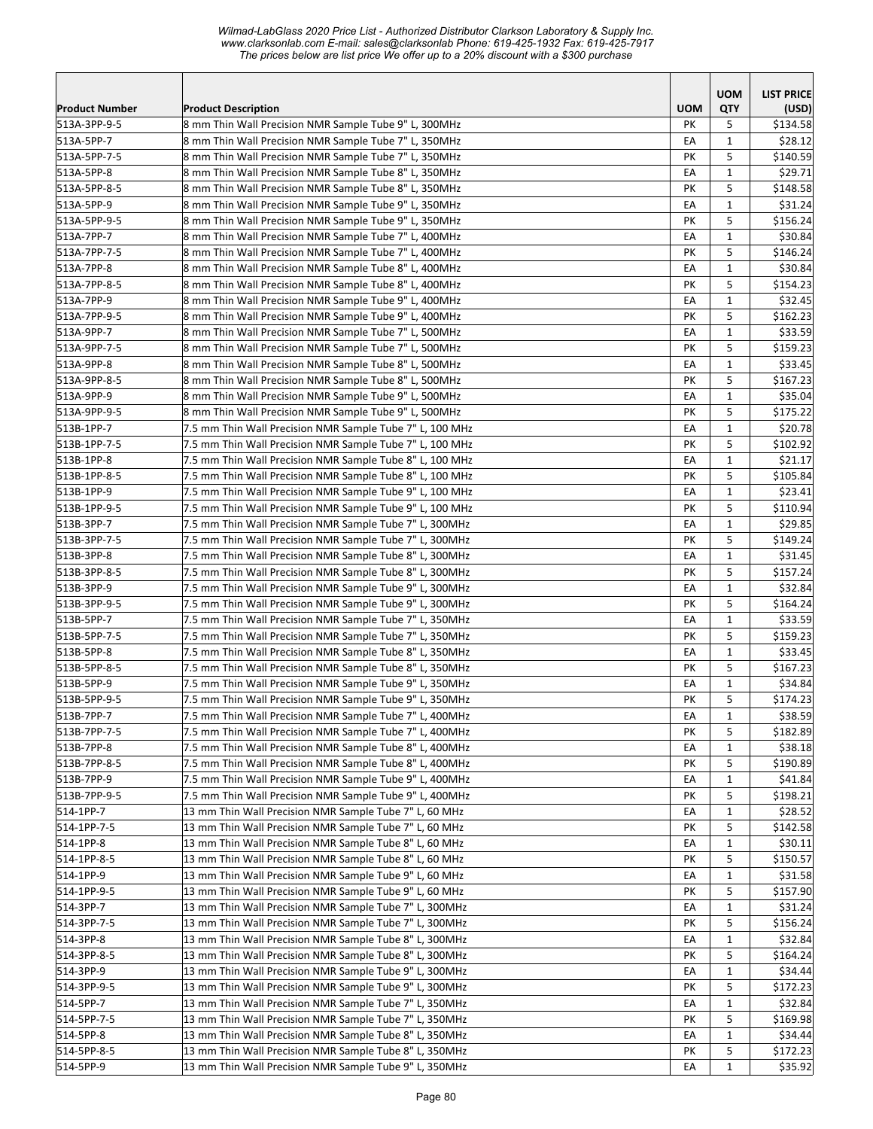|                            |                                                                                                                  |            | <b>UOM</b>        | <b>LIST PRICE</b>   |
|----------------------------|------------------------------------------------------------------------------------------------------------------|------------|-------------------|---------------------|
| <b>Product Number</b>      | <b>Product Description</b>                                                                                       | <b>UOM</b> | <b>QTY</b>        | (USD)               |
| 513A-3PP-9-5               | 8 mm Thin Wall Precision NMR Sample Tube 9" L, 300MHz                                                            | PK         | 5                 | \$134.58            |
| 513A-5PP-7                 | 8 mm Thin Wall Precision NMR Sample Tube 7" L, 350MHz                                                            | EA<br>PΚ   | $\mathbf{1}$<br>5 | \$28.12<br>\$140.59 |
| 513A-5PP-7-5<br>513A-5PP-8 | 8 mm Thin Wall Precision NMR Sample Tube 7" L, 350MHz<br>8 mm Thin Wall Precision NMR Sample Tube 8" L, 350MHz   | EA         | $\mathbf{1}$      | \$29.71             |
| 513A-5PP-8-5               | 8 mm Thin Wall Precision NMR Sample Tube 8" L, 350MHz                                                            | PК         | 5                 | \$148.58            |
| 513A-5PP-9                 | 8 mm Thin Wall Precision NMR Sample Tube 9" L, 350MHz                                                            | EA         | $\mathbf{1}$      | \$31.24             |
| 513A-5PP-9-5               | 8 mm Thin Wall Precision NMR Sample Tube 9" L, 350MHz                                                            | PK         | 5                 | \$156.24            |
| 513A-7PP-7                 | 8 mm Thin Wall Precision NMR Sample Tube 7" L, 400MHz                                                            | EA         | $\mathbf{1}$      | \$30.84             |
| 513A-7PP-7-5               | 8 mm Thin Wall Precision NMR Sample Tube 7" L, 400MHz                                                            | PK         | 5                 | \$146.24            |
| 513A-7PP-8                 | 8 mm Thin Wall Precision NMR Sample Tube 8" L, 400MHz                                                            | EA         | $\mathbf{1}$      | \$30.84             |
| 513A-7PP-8-5               | 8 mm Thin Wall Precision NMR Sample Tube 8" L, 400MHz                                                            | PK         | 5                 | \$154.23            |
| 513A-7PP-9                 | 8 mm Thin Wall Precision NMR Sample Tube 9" L, 400MHz                                                            | EA         | $\mathbf{1}$      | \$32.45             |
| 513A-7PP-9-5               | 8 mm Thin Wall Precision NMR Sample Tube 9" L, 400MHz                                                            | PK         | 5                 | \$162.23            |
| 513A-9PP-7                 | 8 mm Thin Wall Precision NMR Sample Tube 7" L, 500MHz                                                            | EA         | $\mathbf{1}$      | \$33.59             |
| 513A-9PP-7-5               | 8 mm Thin Wall Precision NMR Sample Tube 7" L, 500MHz                                                            | PK         | 5                 | \$159.23            |
| 513A-9PP-8                 | 8 mm Thin Wall Precision NMR Sample Tube 8" L, 500MHz                                                            | EA         | $\mathbf{1}$      | \$33.45             |
| 513A-9PP-8-5               | 8 mm Thin Wall Precision NMR Sample Tube 8" L, 500MHz                                                            | PK         | 5                 | \$167.23            |
| 513A-9PP-9                 | 8 mm Thin Wall Precision NMR Sample Tube 9" L, 500MHz                                                            | EA         | $\mathbf{1}$      | \$35.04             |
| 513A-9PP-9-5               | 8 mm Thin Wall Precision NMR Sample Tube 9" L, 500MHz                                                            | PK         | 5                 | \$175.22            |
| 513B-1PP-7                 | 7.5 mm Thin Wall Precision NMR Sample Tube 7" L, 100 MHz                                                         | EA         | $\mathbf{1}$      | \$20.78             |
| 513B-1PP-7-5               | 7.5 mm Thin Wall Precision NMR Sample Tube 7" L, 100 MHz                                                         | PK         | 5                 | \$102.92            |
| 513B-1PP-8                 | 7.5 mm Thin Wall Precision NMR Sample Tube 8" L, 100 MHz                                                         | EA         | $\mathbf{1}$      | \$21.17             |
| 513B-1PP-8-5               | 7.5 mm Thin Wall Precision NMR Sample Tube 8" L, 100 MHz                                                         | PK         | 5                 | \$105.84            |
| 513B-1PP-9                 | 7.5 mm Thin Wall Precision NMR Sample Tube 9" L, 100 MHz                                                         | EA         | $\mathbf{1}$      | \$23.41             |
| 513B-1PP-9-5               | 7.5 mm Thin Wall Precision NMR Sample Tube 9" L, 100 MHz                                                         | PΚ         | 5                 | \$110.94            |
| 513B-3PP-7                 | 7.5 mm Thin Wall Precision NMR Sample Tube 7" L, 300MHz                                                          | EA         | $\mathbf{1}$      | \$29.85             |
| 513B-3PP-7-5               | 7.5 mm Thin Wall Precision NMR Sample Tube 7" L, 300MHz                                                          | PK         | 5                 | \$149.24            |
| 513B-3PP-8                 | 7.5 mm Thin Wall Precision NMR Sample Tube 8" L, 300MHz                                                          | EA         | $\mathbf{1}$      | \$31.45             |
| 513B-3PP-8-5               | 7.5 mm Thin Wall Precision NMR Sample Tube 8" L, 300MHz                                                          | PK         | 5                 | \$157.24            |
| 513B-3PP-9                 | 7.5 mm Thin Wall Precision NMR Sample Tube 9" L, 300MHz                                                          | EA         | $\mathbf{1}$      | \$32.84             |
| 513B-3PP-9-5               | 7.5 mm Thin Wall Precision NMR Sample Tube 9" L, 300MHz                                                          | PK         | 5                 | \$164.24            |
| 513B-5PP-7                 | 7.5 mm Thin Wall Precision NMR Sample Tube 7" L, 350MHz                                                          | EA         | $\mathbf{1}$      | \$33.59             |
| 513B-5PP-7-5               | 7.5 mm Thin Wall Precision NMR Sample Tube 7" L, 350MHz                                                          | PK         | 5                 | \$159.23            |
| 513B-5PP-8                 | 7.5 mm Thin Wall Precision NMR Sample Tube 8" L, 350MHz                                                          | EA         | $\mathbf{1}$      | \$33.45             |
| 513B-5PP-8-5               | 7.5 mm Thin Wall Precision NMR Sample Tube 8" L, 350MHz                                                          | PК         | 5                 | \$167.23            |
| 513B-5PP-9                 | 7.5 mm Thin Wall Precision NMR Sample Tube 9" L, 350MHz                                                          | EA         | $\mathbf{1}$      | \$34.84             |
| 513B-5PP-9-5               | 7.5 mm Thin Wall Precision NMR Sample Tube 9" L, 350MHz                                                          | PК         | 5                 | \$174.23            |
| 513B-7PP-7                 | 7.5 mm Thin Wall Precision NMR Sample Tube 7" L, 400MHz                                                          | EA         | $\mathbf 1$       | \$38.59             |
| 513B-7PP-7-5               | 7.5 mm Thin Wall Precision NMR Sample Tube 7" L, 400MHz                                                          | PK         | 5                 | \$182.89            |
| 513B-7PP-8                 | 7.5 mm Thin Wall Precision NMR Sample Tube 8" L, 400MHz                                                          | EA         | 1                 | \$38.18             |
| 513B-7PP-8-5               | 7.5 mm Thin Wall Precision NMR Sample Tube 8" L, 400MHz                                                          | PК         | 5                 | \$190.89            |
| 513B-7PP-9                 | 7.5 mm Thin Wall Precision NMR Sample Tube 9" L, 400MHz                                                          | EA         | $\mathbf{1}$      | \$41.84             |
| 513B-7PP-9-5               | 7.5 mm Thin Wall Precision NMR Sample Tube 9" L, 400MHz                                                          | PК         | 5                 | \$198.21            |
| 514-1PP-7                  | 13 mm Thin Wall Precision NMR Sample Tube 7" L, 60 MHz                                                           | EA         | 1                 | \$28.52             |
| 514-1PP-7-5                | 13 mm Thin Wall Precision NMR Sample Tube 7" L, 60 MHz                                                           | PK         | 5                 | \$142.58            |
| 514-1PP-8                  | 13 mm Thin Wall Precision NMR Sample Tube 8" L, 60 MHz                                                           | EA         | $\mathbf{1}$      | \$30.11             |
| 514-1PP-8-5                | 13 mm Thin Wall Precision NMR Sample Tube 8" L, 60 MHz                                                           | PК         | 5                 | \$150.57            |
| 514-1PP-9<br>514-1PP-9-5   | 13 mm Thin Wall Precision NMR Sample Tube 9" L, 60 MHz                                                           | EA         | $\mathbf{1}$      | \$31.58             |
| 514-3PP-7                  | 13 mm Thin Wall Precision NMR Sample Tube 9" L, 60 MHz<br>13 mm Thin Wall Precision NMR Sample Tube 7" L, 300MHz | PΚ<br>EA   | 5<br>$\mathbf{1}$ | \$157.90<br>\$31.24 |
| 514-3PP-7-5                | 13 mm Thin Wall Precision NMR Sample Tube 7" L, 300MHz                                                           | PΚ         | 5                 | \$156.24            |
| 514-3PP-8                  | 13 mm Thin Wall Precision NMR Sample Tube 8" L, 300MHz                                                           | EA         | $\mathbf{1}$      | \$32.84             |
| 514-3PP-8-5                | 13 mm Thin Wall Precision NMR Sample Tube 8" L, 300MHz                                                           | PK         | 5                 | \$164.24            |
| 514-3PP-9                  | 13 mm Thin Wall Precision NMR Sample Tube 9" L, 300MHz                                                           | EA         | $\mathbf{1}$      | \$34.44             |
| 514-3PP-9-5                | 13 mm Thin Wall Precision NMR Sample Tube 9" L, 300MHz                                                           | PΚ         | 5                 | \$172.23            |
| 514-5PP-7                  | 13 mm Thin Wall Precision NMR Sample Tube 7" L, 350MHz                                                           | EA         | 1                 | \$32.84             |
| 514-5PP-7-5                | 13 mm Thin Wall Precision NMR Sample Tube 7" L, 350MHz                                                           | PК         | 5                 | \$169.98            |
| 514-5PP-8                  | 13 mm Thin Wall Precision NMR Sample Tube 8" L, 350MHz                                                           | EA         | 1                 | \$34.44             |
| 514-5PP-8-5                | 13 mm Thin Wall Precision NMR Sample Tube 8" L, 350MHz                                                           | PК         | 5                 | \$172.23            |
| 514-5PP-9                  | 13 mm Thin Wall Precision NMR Sample Tube 9" L, 350MHz                                                           | EA         | $\mathbf{1}$      | \$35.92             |
|                            |                                                                                                                  |            |                   |                     |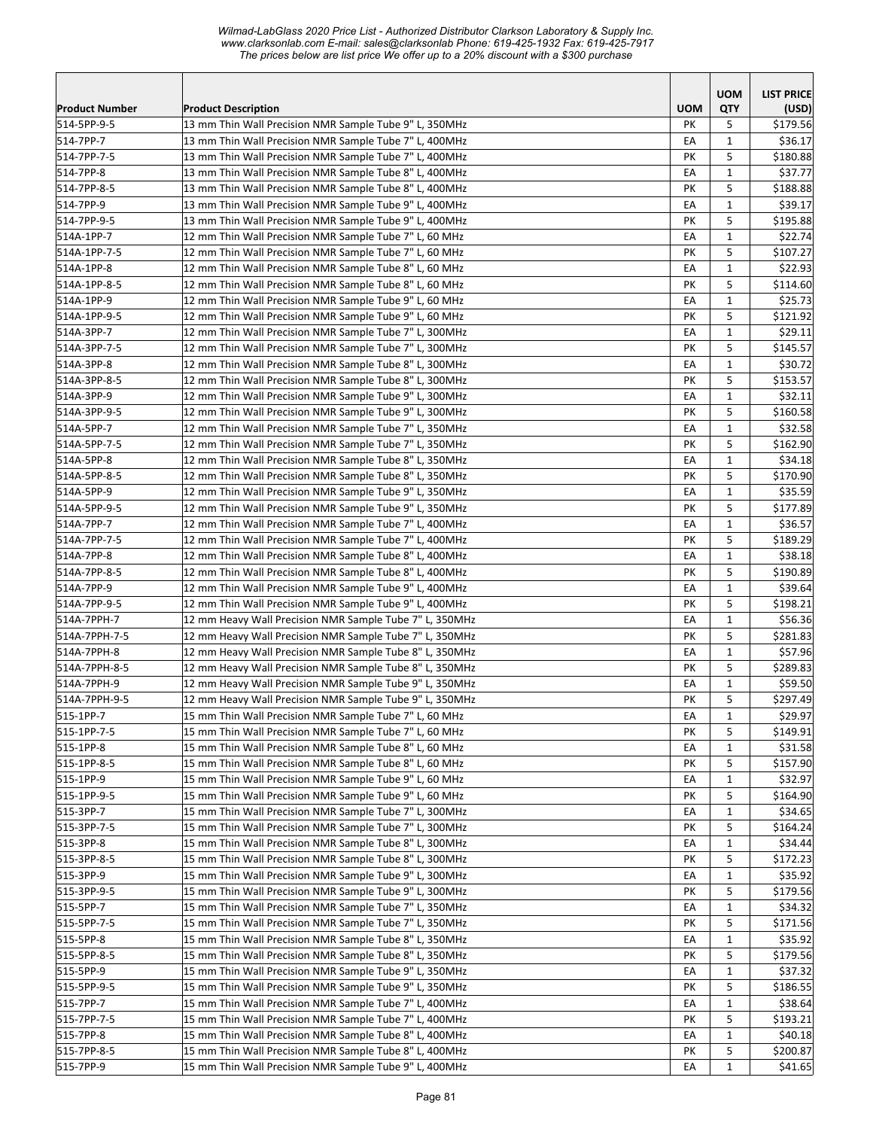|                       |                                                         |            | <b>UOM</b>   | <b>LIST PRICE</b> |
|-----------------------|---------------------------------------------------------|------------|--------------|-------------------|
| <b>Product Number</b> | <b>Product Description</b>                              | <b>UOM</b> | <b>QTY</b>   | (USD)             |
| 514-5PP-9-5           | 13 mm Thin Wall Precision NMR Sample Tube 9" L, 350MHz  | PK         | 5            | \$179.56          |
| 514-7PP-7             | 13 mm Thin Wall Precision NMR Sample Tube 7" L, 400MHz  | EA         | $\mathbf{1}$ | \$36.17           |
| 514-7PP-7-5           | 13 mm Thin Wall Precision NMR Sample Tube 7" L, 400MHz  | PK         | 5            | \$180.88          |
| 514-7PP-8             | 13 mm Thin Wall Precision NMR Sample Tube 8" L, 400MHz  | EA         | $\mathbf{1}$ | \$37.77           |
| 514-7PP-8-5           | 13 mm Thin Wall Precision NMR Sample Tube 8" L, 400MHz  | PΚ         | 5            | \$188.88          |
| 514-7PP-9             | 13 mm Thin Wall Precision NMR Sample Tube 9" L, 400MHz  | EA         | $\mathbf{1}$ | \$39.17           |
| 514-7PP-9-5           | 13 mm Thin Wall Precision NMR Sample Tube 9" L, 400MHz  | PK         | 5            | \$195.88          |
| 514A-1PP-7            | 12 mm Thin Wall Precision NMR Sample Tube 7" L, 60 MHz  | EA         | $\mathbf{1}$ | \$22.74           |
| 514A-1PP-7-5          | 12 mm Thin Wall Precision NMR Sample Tube 7" L, 60 MHz  | PΚ         | 5            | \$107.27          |
| 514A-1PP-8            | 12 mm Thin Wall Precision NMR Sample Tube 8" L, 60 MHz  | EA         | 1            | \$22.93           |
| 514A-1PP-8-5          | 12 mm Thin Wall Precision NMR Sample Tube 8" L, 60 MHz  | PК         | 5            | \$114.60          |
| 514A-1PP-9            | 12 mm Thin Wall Precision NMR Sample Tube 9" L, 60 MHz  | EA         | $\mathbf{1}$ | \$25.73           |
| 514A-1PP-9-5          | 12 mm Thin Wall Precision NMR Sample Tube 9" L, 60 MHz  | PΚ         | 5            | \$121.92          |
| 514A-3PP-7            | 12 mm Thin Wall Precision NMR Sample Tube 7" L, 300MHz  | EA         | $\mathbf{1}$ | \$29.11           |
| 514A-3PP-7-5          | 12 mm Thin Wall Precision NMR Sample Tube 7" L, 300MHz  | PK         | 5            | \$145.57          |
| 514A-3PP-8            | 12 mm Thin Wall Precision NMR Sample Tube 8" L, 300MHz  | EA         | $\mathbf{1}$ | \$30.72           |
| 514A-3PP-8-5          | 12 mm Thin Wall Precision NMR Sample Tube 8" L, 300MHz  | PK         | 5            | \$153.57          |
| 514A-3PP-9            | 12 mm Thin Wall Precision NMR Sample Tube 9" L, 300MHz  | EA         | $\mathbf{1}$ | \$32.11           |
| 514A-3PP-9-5          | 12 mm Thin Wall Precision NMR Sample Tube 9" L, 300MHz  | PΚ         | 5            | \$160.58          |
| 514A-5PP-7            | 12 mm Thin Wall Precision NMR Sample Tube 7" L, 350MHz  | EA         | $\mathbf{1}$ | \$32.58           |
| 514A-5PP-7-5          | 12 mm Thin Wall Precision NMR Sample Tube 7" L, 350MHz  | PK         | 5            | \$162.90          |
| 514A-5PP-8            | 12 mm Thin Wall Precision NMR Sample Tube 8" L, 350MHz  | EA         | $\mathbf{1}$ | \$34.18           |
| 514A-5PP-8-5          | 12 mm Thin Wall Precision NMR Sample Tube 8" L, 350MHz  | PK         | 5            | \$170.90          |
| 514A-5PP-9            | 12 mm Thin Wall Precision NMR Sample Tube 9" L, 350MHz  | EA         | $\mathbf{1}$ | \$35.59           |
| 514A-5PP-9-5          | 12 mm Thin Wall Precision NMR Sample Tube 9" L, 350MHz  | PК         | 5            | \$177.89          |
| 514A-7PP-7            | 12 mm Thin Wall Precision NMR Sample Tube 7" L, 400MHz  | EA         | $\mathbf{1}$ | \$36.57           |
| 514A-7PP-7-5          | 12 mm Thin Wall Precision NMR Sample Tube 7" L, 400MHz  | PΚ         | 5            | \$189.29          |
| 514A-7PP-8            | 12 mm Thin Wall Precision NMR Sample Tube 8" L, 400MHz  | EA         | $\mathbf{1}$ | \$38.18           |
| 514A-7PP-8-5          | 12 mm Thin Wall Precision NMR Sample Tube 8" L, 400MHz  | PK         | 5            | \$190.89          |
| 514A-7PP-9            | 12 mm Thin Wall Precision NMR Sample Tube 9" L, 400MHz  | EA         | $\mathbf{1}$ | \$39.64           |
| 514A-7PP-9-5          | 12 mm Thin Wall Precision NMR Sample Tube 9" L, 400MHz  | PK         | 5            | \$198.21          |
| 514A-7PPH-7           | 12 mm Heavy Wall Precision NMR Sample Tube 7" L, 350MHz | EA         | $\mathbf{1}$ | \$56.36           |
| 514A-7PPH-7-5         | 12 mm Heavy Wall Precision NMR Sample Tube 7" L, 350MHz | PK         | 5            | \$281.83          |
| 514A-7PPH-8           | 12 mm Heavy Wall Precision NMR Sample Tube 8" L, 350MHz | EA         | $\mathbf{1}$ | \$57.96           |
| 514A-7PPH-8-5         | 12 mm Heavy Wall Precision NMR Sample Tube 8" L, 350MHz | PΚ         | 5            | \$289.83          |
| 514A-7PPH-9           | 12 mm Heavy Wall Precision NMR Sample Tube 9" L, 350MHz | EA         | $\mathbf{1}$ | \$59.50           |
| 514A-7PPH-9-5         | 12 mm Heavy Wall Precision NMR Sample Tube 9" L, 350MHz | PK         | 5            | \$297.49          |
| 515-1PP-7             | 15 mm Thin Wall Precision NMR Sample Tube 7" L, 60 MHz  | EA         | $\mathbf{1}$ | \$29.97           |
| 515-1PP-7-5           | 15 mm Thin Wall Precision NMR Sample Tube 7" L, 60 MHz  | PK         | 5            | \$149.91          |
| 515-1PP-8             | 15 mm Thin Wall Precision NMR Sample Tube 8" L, 60 MHz  | EA         | 1            | \$31.58           |
| 515-1PP-8-5           | 15 mm Thin Wall Precision NMR Sample Tube 8" L, 60 MHz  | PК         | 5            | \$157.90          |
| 515-1PP-9             | 15 mm Thin Wall Precision NMR Sample Tube 9" L, 60 MHz  | EA         | 1            | \$32.97           |
| 515-1PP-9-5           | 15 mm Thin Wall Precision NMR Sample Tube 9" L, 60 MHz  | PК         | 5            | \$164.90          |
| 515-3PP-7             | 15 mm Thin Wall Precision NMR Sample Tube 7" L, 300MHz  | EA         | $\mathbf{1}$ | \$34.65           |
| 515-3PP-7-5           | 15 mm Thin Wall Precision NMR Sample Tube 7" L, 300MHz  | PK         | 5            | \$164.24          |
| 515-3PP-8             | 15 mm Thin Wall Precision NMR Sample Tube 8" L, 300MHz  | EA         | $\mathbf{1}$ | \$34.44           |
| 515-3PP-8-5           | 15 mm Thin Wall Precision NMR Sample Tube 8" L, 300MHz  | PК         | 5            | \$172.23          |
| 515-3PP-9             | 15 mm Thin Wall Precision NMR Sample Tube 9" L, 300MHz  | EA         | $\mathbf{1}$ | \$35.92           |
| 515-3PP-9-5           | 15 mm Thin Wall Precision NMR Sample Tube 9" L, 300MHz  | PК         | 5            | \$179.56          |
| 515-5PP-7             | 15 mm Thin Wall Precision NMR Sample Tube 7" L, 350MHz  | EA         | 1            | \$34.32           |
| 515-5PP-7-5           | 15 mm Thin Wall Precision NMR Sample Tube 7" L, 350MHz  | PК         | 5            | \$171.56          |
| 515-5PP-8             | 15 mm Thin Wall Precision NMR Sample Tube 8" L, 350MHz  | EA         | $\mathbf{1}$ | \$35.92           |
| 515-5PP-8-5           | 15 mm Thin Wall Precision NMR Sample Tube 8" L, 350MHz  | PΚ         | 5            | \$179.56          |
| 515-5PP-9             | 15 mm Thin Wall Precision NMR Sample Tube 9" L, 350MHz  | EA         | $\mathbf{1}$ | \$37.32           |
| 515-5PP-9-5           | 15 mm Thin Wall Precision NMR Sample Tube 9" L, 350MHz  | PΚ         | 5            | \$186.55          |
| 515-7PP-7             | 15 mm Thin Wall Precision NMR Sample Tube 7" L, 400MHz  | EA         | $\mathbf{1}$ | \$38.64           |
| 515-7PP-7-5           | 15 mm Thin Wall Precision NMR Sample Tube 7" L, 400MHz  | PК         | 5            | \$193.21          |
| 515-7PP-8             | 15 mm Thin Wall Precision NMR Sample Tube 8" L, 400MHz  | EA         | 1            | \$40.18           |
| 515-7PP-8-5           | 15 mm Thin Wall Precision NMR Sample Tube 8" L, 400MHz  | PК         | 5            | \$200.87          |
| 515-7PP-9             | 15 mm Thin Wall Precision NMR Sample Tube 9" L, 400MHz  | EA         | $\mathbf{1}$ | \$41.65           |
|                       |                                                         |            |              |                   |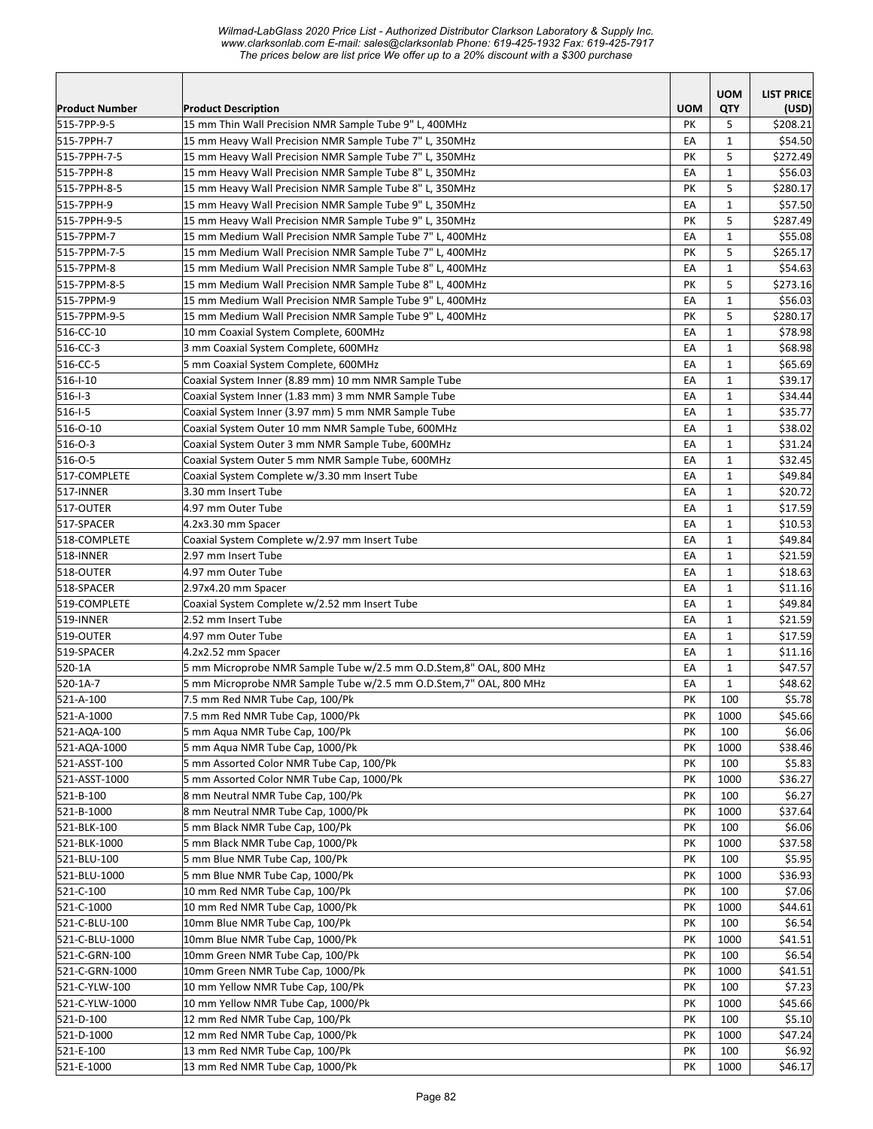*Wilmad-LabGlass 2020 Price List - Authorized Distributor Clarkson Laboratory & Supply Inc. www.clarksonlab.com E-mail: sales@clarksonlab Phone: 619-425-1932 Fax: 619-425-7917 The prices below are list price We offer up to a 20% discount with a \$300 purchase* 

|                               |                                                                             |            | <b>UOM</b>                   | <b>LIST PRICE</b> |
|-------------------------------|-----------------------------------------------------------------------------|------------|------------------------------|-------------------|
| <b>Product Number</b>         | <b>Product Description</b>                                                  | <b>UOM</b> | QTY                          | (USD)             |
| 515-7PP-9-5                   | 15 mm Thin Wall Precision NMR Sample Tube 9" L, 400MHz                      | <b>PK</b>  | 5                            | \$208.21          |
| 515-7PPH-7                    | 15 mm Heavy Wall Precision NMR Sample Tube 7" L, 350MHz                     | EA         | $\mathbf{1}$                 | \$54.50           |
| 515-7PPH-7-5                  | 15 mm Heavy Wall Precision NMR Sample Tube 7" L, 350MHz                     | PK         | 5                            | \$272.49          |
| 515-7PPH-8                    | 15 mm Heavy Wall Precision NMR Sample Tube 8" L, 350MHz                     | EA         | $\mathbf{1}$                 | \$56.03           |
| 515-7PPH-8-5                  | 15 mm Heavy Wall Precision NMR Sample Tube 8" L, 350MHz                     | PK         | 5                            | \$280.17          |
| 515-7PPH-9                    | 15 mm Heavy Wall Precision NMR Sample Tube 9" L, 350MHz                     | EA         | $\mathbf{1}$                 | \$57.50           |
| 515-7PPH-9-5                  | 15 mm Heavy Wall Precision NMR Sample Tube 9" L, 350MHz                     | PK         | 5                            | \$287.49          |
| 515-7PPM-7                    | 15 mm Medium Wall Precision NMR Sample Tube 7" L, 400MHz                    | EA         | $\mathbf{1}$                 | \$55.08           |
| 515-7PPM-7-5                  | 15 mm Medium Wall Precision NMR Sample Tube 7" L, 400MHz                    | PK         | 5                            | \$265.17          |
| 515-7PPM-8                    | 15 mm Medium Wall Precision NMR Sample Tube 8" L, 400MHz                    | EA         | $\mathbf{1}$                 | \$54.63           |
| 515-7PPM-8-5                  | 15 mm Medium Wall Precision NMR Sample Tube 8" L, 400MHz                    | PK         | 5                            | \$273.16          |
| 515-7PPM-9                    | 15 mm Medium Wall Precision NMR Sample Tube 9" L, 400MHz                    | EA         | $\mathbf{1}$                 | \$56.03           |
| 515-7PPM-9-5                  | 15 mm Medium Wall Precision NMR Sample Tube 9" L, 400MHz                    | PK         | 5                            | \$280.17          |
| 516-CC-10                     | 10 mm Coaxial System Complete, 600MHz                                       | EA         | $\mathbf{1}$                 | \$78.98           |
| 516-CC-3                      | 3 mm Coaxial System Complete, 600MHz                                        | EA         | $\mathbf{1}$                 | \$68.98           |
| 516-CC-5                      | 5 mm Coaxial System Complete, 600MHz                                        | EA         | $\mathbf{1}$                 | \$65.69           |
| 516-1-10                      | Coaxial System Inner (8.89 mm) 10 mm NMR Sample Tube                        | EA         | $\mathbf{1}$                 | \$39.17           |
| 516-1-3                       | Coaxial System Inner (1.83 mm) 3 mm NMR Sample Tube                         | EA         | $\mathbf{1}$                 | \$34.44           |
| $ 516 -   -5 $                | Coaxial System Inner (3.97 mm) 5 mm NMR Sample Tube                         | EA         | $\mathbf{1}$                 | \$35.77           |
| 516-0-10                      | Coaxial System Outer 10 mm NMR Sample Tube, 600MHz                          | EA         | $\mathbf{1}$                 | \$38.02           |
| $ 516 - 0 - 3 $               | Coaxial System Outer 3 mm NMR Sample Tube, 600MHz                           | EA         | $\mathbf{1}$                 | \$31.24           |
| 516-0-5                       | Coaxial System Outer 5 mm NMR Sample Tube, 600MHz                           | EA         | $\mathbf{1}$                 | \$32.45           |
| 517-COMPLETE                  | Coaxial System Complete w/3.30 mm Insert Tube                               | EA         | $\mathbf{1}$                 | \$49.84           |
| 517-INNER                     | 3.30 mm Insert Tube                                                         | EA         | $\mathbf{1}$                 | \$20.72           |
| 517-OUTER                     | 4.97 mm Outer Tube                                                          | EA         | $\mathbf{1}$                 | \$17.59           |
| 517-SPACER                    | 4.2x3.30 mm Spacer                                                          | EA         | $\mathbf{1}$                 | \$10.53           |
| 518-COMPLETE                  | Coaxial System Complete w/2.97 mm Insert Tube                               | EA         | $\mathbf{1}$                 | \$49.84           |
| 518-INNER                     | 2.97 mm Insert Tube                                                         | EA         | $\mathbf{1}$                 | \$21.59           |
| 518-OUTER                     | 4.97 mm Outer Tube                                                          | EA         | $\mathbf{1}$                 | \$18.63           |
| 518-SPACER                    | 2.97x4.20 mm Spacer                                                         | EA         | $\mathbf{1}$                 | \$11.16           |
| 519-COMPLETE                  | Coaxial System Complete w/2.52 mm Insert Tube                               | EA         | $\mathbf{1}$                 | \$49.84           |
| 519-INNER                     | 2.52 mm Insert Tube                                                         | EA         | $\mathbf{1}$                 | \$21.59           |
| 519-OUTER                     | 4.97 mm Outer Tube                                                          | EA         | $\mathbf{1}$                 | \$17.59           |
| 519-SPACER                    | 4.2x2.52 mm Spacer                                                          | EA         | $\mathbf{1}$                 | \$11.16           |
| 520-1A                        | 5 mm Microprobe NMR Sample Tube w/2.5 mm O.D.Stem,8" OAL, 800 MHz           | EA         | $\mathbf{1}$<br>$\mathbf{1}$ | \$47.57           |
| 520-1A-7                      | 5 mm Microprobe NMR Sample Tube w/2.5 mm O.D.Stem,7" OAL, 800 MHz           | EA         |                              | \$48.62           |
| 521-A-100                     | 7.5 mm Red NMR Tube Cap, 100/Pk                                             | PK         | 100                          | \$5.78            |
| 521-A-1000                    | 7.5 mm Red NMR Tube Cap, 1000/Pk                                            | PK         | 1000                         | \$45.66           |
| 521-AQA-100                   | 5 mm Aqua NMR Tube Cap, 100/Pk                                              | PK         | 100                          | \$6.06            |
| 521-AQA-1000                  | 5 mm Agua NMR Tube Cap, 1000/Pk<br>5 mm Assorted Color NMR Tube Cap, 100/Pk | PK         | 1000<br>100                  | \$38.46           |
| 521-ASST-100<br>521-ASST-1000 | 5 mm Assorted Color NMR Tube Cap, 1000/Pk                                   | PK<br>PK   | 1000                         | \$5.83<br>\$36.27 |
| 521-B-100                     | 8 mm Neutral NMR Tube Cap, 100/Pk                                           | PK         | 100                          | \$6.27            |
| 521-B-1000                    | 8 mm Neutral NMR Tube Cap, 1000/Pk                                          | PK         | 1000                         | \$37.64           |
| 521-BLK-100                   | 5 mm Black NMR Tube Cap, 100/Pk                                             | PK         | 100                          | \$6.06            |
| 521-BLK-1000                  | 5 mm Black NMR Tube Cap, 1000/Pk                                            | PK         | 1000                         | \$37.58           |
| 521-BLU-100                   | 5 mm Blue NMR Tube Cap, 100/Pk                                              | PK         | 100                          | \$5.95            |
| 521-BLU-1000                  | 5 mm Blue NMR Tube Cap, 1000/Pk                                             | PΚ         | 1000                         | \$36.93           |
| 521-C-100                     | 10 mm Red NMR Tube Cap, 100/Pk                                              | PK         | 100                          | \$7.06            |
| 521-C-1000                    | 10 mm Red NMR Tube Cap, 1000/Pk                                             | PK         | 1000                         | \$44.61           |
| 521-C-BLU-100                 | 10mm Blue NMR Tube Cap, 100/Pk                                              | PK         | 100                          | \$6.54            |
| 521-C-BLU-1000                | 10mm Blue NMR Tube Cap, 1000/Pk                                             | PK         | 1000                         | \$41.51           |
| 521-C-GRN-100                 | 10mm Green NMR Tube Cap, 100/Pk                                             | PK         | 100                          | \$6.54            |
| 521-C-GRN-1000                | 10mm Green NMR Tube Cap, 1000/Pk                                            | PK         | 1000                         | \$41.51           |
| 521-C-YLW-100                 | 10 mm Yellow NMR Tube Cap, 100/Pk                                           | PK         | 100                          | \$7.23            |
| 521-C-YLW-1000                | 10 mm Yellow NMR Tube Cap, 1000/Pk                                          | PK         | 1000                         | \$45.66           |
| 521-D-100                     | 12 mm Red NMR Tube Cap, 100/Pk                                              | PK         | 100                          | \$5.10            |
| 521-D-1000                    | 12 mm Red NMR Tube Cap, 1000/Pk                                             | PK         | 1000                         | \$47.24           |
| 521-E-100                     | 13 mm Red NMR Tube Cap, 100/Pk                                              | PK         | 100                          | \$6.92            |
| 521-E-1000                    | 13 mm Red NMR Tube Cap, 1000/Pk                                             | PK         | 1000                         | \$46.17           |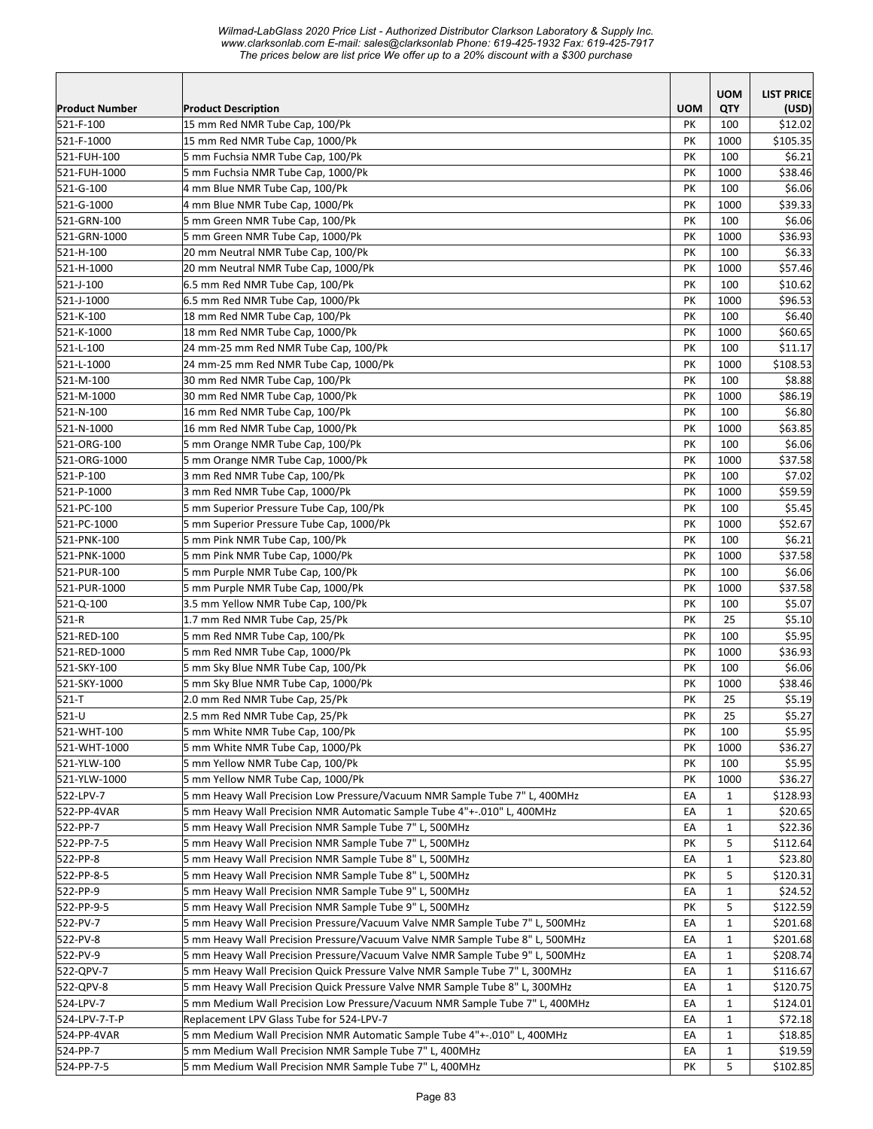|                           |                                                                              |            | <b>UOM</b>   | <b>LIST PRICE</b> |
|---------------------------|------------------------------------------------------------------------------|------------|--------------|-------------------|
| <b>Product Number</b>     | <b>Product Description</b>                                                   | <b>UOM</b> | QTY          | (USD)             |
| 521-F-100                 | 15 mm Red NMR Tube Cap, 100/Pk                                               | PK         | 100          | \$12.02           |
| 521-F-1000<br>521-FUH-100 | 15 mm Red NMR Tube Cap, 1000/Pk                                              | PK<br>PK   | 1000<br>100  | \$105.35          |
| 521-FUH-1000              | 5 mm Fuchsia NMR Tube Cap, 100/Pk<br>5 mm Fuchsia NMR Tube Cap, 1000/Pk      | PK         | 1000         | \$6.21<br>\$38.46 |
| 521-G-100                 | 4 mm Blue NMR Tube Cap, 100/Pk                                               | PK         | 100          | \$6.06            |
| 521-G-1000                | 4 mm Blue NMR Tube Cap, 1000/Pk                                              | PK         | 1000         | \$39.33           |
| 521-GRN-100               | 5 mm Green NMR Tube Cap, 100/Pk                                              | PK         | 100          | \$6.06            |
| 521-GRN-1000              | 5 mm Green NMR Tube Cap, 1000/Pk                                             | PK         | 1000         | \$36.93           |
| 521-H-100                 | 20 mm Neutral NMR Tube Cap, 100/Pk                                           | PK         | 100          | \$6.33            |
| 521-H-1000                | 20 mm Neutral NMR Tube Cap, 1000/Pk                                          | PK         | 1000         | \$57.46           |
| 521-J-100                 | 6.5 mm Red NMR Tube Cap, 100/Pk                                              | PK         | 100          | \$10.62           |
| 521-J-1000                | 6.5 mm Red NMR Tube Cap, 1000/Pk                                             | PK         | 1000         | \$96.53           |
| 521-K-100                 | 18 mm Red NMR Tube Cap, 100/Pk                                               | PK         | 100          | \$6.40            |
| 521-K-1000                | 18 mm Red NMR Tube Cap, 1000/Pk                                              | PK         | 1000         | \$60.65           |
| 521-L-100                 | 24 mm-25 mm Red NMR Tube Cap, 100/Pk                                         | PK         | 100          | \$11.17           |
| 521-L-1000                | 24 mm-25 mm Red NMR Tube Cap, 1000/Pk                                        | PK         | 1000         | \$108.53          |
| 521-M-100                 | 30 mm Red NMR Tube Cap, 100/Pk                                               | PK         | 100          | \$8.88            |
| 521-M-1000                | 30 mm Red NMR Tube Cap, 1000/Pk                                              | PK         | 1000         | \$86.19           |
| 521-N-100                 | 16 mm Red NMR Tube Cap, 100/Pk                                               | PK         | 100          | \$6.80            |
| 521-N-1000                | 16 mm Red NMR Tube Cap, 1000/Pk                                              | PK         | 1000         | \$63.85           |
| 521-ORG-100               | 5 mm Orange NMR Tube Cap, 100/Pk                                             | PK         | 100          | \$6.06            |
| 521-ORG-1000              | 5 mm Orange NMR Tube Cap, 1000/Pk                                            | PK         | 1000         | \$37.58           |
| 521-P-100                 | 3 mm Red NMR Tube Cap, 100/Pk                                                | PK         | 100          | \$7.02            |
| 521-P-1000                | 3 mm Red NMR Tube Cap, 1000/Pk                                               | PK         | 1000         | \$59.59           |
| 521-PC-100                | 5 mm Superior Pressure Tube Cap, 100/Pk                                      | PK         | 100          | \$5.45            |
| 521-PC-1000               | 5 mm Superior Pressure Tube Cap, 1000/Pk                                     | PK         | 1000         | \$52.67           |
| 521-PNK-100               | 5 mm Pink NMR Tube Cap, 100/Pk                                               | PK         | 100          | \$6.21            |
| 521-PNK-1000              | 5 mm Pink NMR Tube Cap, 1000/Pk                                              | PK         | 1000         | \$37.58           |
| 521-PUR-100               | 5 mm Purple NMR Tube Cap, 100/Pk                                             | PK         | 100          | \$6.06            |
| 521-PUR-1000              | 5 mm Purple NMR Tube Cap, 1000/Pk                                            | PK         | 1000         | \$37.58           |
| 521-Q-100                 | 3.5 mm Yellow NMR Tube Cap, 100/Pk                                           | PK         | 100          | \$5.07            |
| 521-R                     | 1.7 mm Red NMR Tube Cap, 25/Pk                                               | PK         | 25           | \$5.10            |
| 521-RED-100               | 5 mm Red NMR Tube Cap, 100/Pk                                                | PK         | 100          | \$5.95            |
| 521-RED-1000              | 5 mm Red NMR Tube Cap, 1000/Pk                                               | PK         | 1000         | \$36.93           |
| 521-SKY-100               | 5 mm Sky Blue NMR Tube Cap, 100/Pk                                           | PK         | 100          | \$6.06            |
| 521-SKY-1000              | 5 mm Sky Blue NMR Tube Cap, 1000/Pk                                          | PK         | 1000         | \$38.46           |
| 521-T                     | 2.0 mm Red NMR Tube Cap, 25/Pk                                               | PK         | 25           | \$5.19            |
| 521-U                     | 2.5 mm Red NMR Tube Cap, 25/Pk                                               | PK         | 25           | \$5.27            |
| 521-WHT-100               | 5 mm White NMR Tube Cap, 100/Pk                                              | PK         | 100          | \$5.95            |
| 521-WHT-1000              | 5 mm White NMR Tube Cap, 1000/Pk                                             | PΚ         | 1000         | \$36.27           |
| 521-YLW-100               | 5 mm Yellow NMR Tube Cap, 100/Pk                                             | PΚ         | 100          | \$5.95            |
| 521-YLW-1000              | 5 mm Yellow NMR Tube Cap, 1000/Pk                                            | PK         | 1000         | \$36.27           |
| 522-LPV-7                 | 5 mm Heavy Wall Precision Low Pressure/Vacuum NMR Sample Tube 7" L, 400MHz   | EA         | $\mathbf{1}$ | \$128.93          |
| 522-PP-4VAR               | 5 mm Heavy Wall Precision NMR Automatic Sample Tube 4"+-.010" L, 400MHz      | EA         | 1            | \$20.65           |
| 522-PP-7                  | 5 mm Heavy Wall Precision NMR Sample Tube 7" L, 500MHz                       | EA         | $\mathbf{1}$ | \$22.36           |
| 522-PP-7-5                | 5 mm Heavy Wall Precision NMR Sample Tube 7" L, 500MHz                       | PK         | 5            | \$112.64          |
| 522-PP-8                  | 5 mm Heavy Wall Precision NMR Sample Tube 8" L, 500MHz                       | EA         | $\mathbf{1}$ | \$23.80           |
| 522-PP-8-5                | 5 mm Heavy Wall Precision NMR Sample Tube 8" L, 500MHz                       | PK         | 5            | \$120.31          |
| 522-PP-9                  | 5 mm Heavy Wall Precision NMR Sample Tube 9" L, 500MHz                       | EA         | $\mathbf{1}$ | \$24.52           |
| 522-PP-9-5                | 5 mm Heavy Wall Precision NMR Sample Tube 9" L, 500MHz                       | PK         | 5            | \$122.59          |
| 522-PV-7                  | 5 mm Heavy Wall Precision Pressure/Vacuum Valve NMR Sample Tube 7" L, 500MHz | EA         | $\mathbf{1}$ | \$201.68          |
| 522-PV-8                  | 5 mm Heavy Wall Precision Pressure/Vacuum Valve NMR Sample Tube 8" L, 500MHz | EA         | $\mathbf{1}$ | \$201.68          |
| 522-PV-9                  | 5 mm Heavy Wall Precision Pressure/Vacuum Valve NMR Sample Tube 9" L, 500MHz | EA         | $\mathbf{1}$ | \$208.74          |
| 522-QPV-7                 | 5 mm Heavy Wall Precision Quick Pressure Valve NMR Sample Tube 7" L, 300MHz  | EA         | $\mathbf 1$  | \$116.67          |
| 522-QPV-8                 | 5 mm Heavy Wall Precision Quick Pressure Valve NMR Sample Tube 8" L, 300MHz  | EA         | $\mathbf{1}$ | \$120.75          |
| 524-LPV-7                 | 5 mm Medium Wall Precision Low Pressure/Vacuum NMR Sample Tube 7" L, 400MHz  | EA         | $\mathbf{1}$ | \$124.01          |
| 524-LPV-7-T-P             | Replacement LPV Glass Tube for 524-LPV-7                                     | EA         | $\mathbf{1}$ | \$72.18           |
| 524-PP-4VAR               | 5 mm Medium Wall Precision NMR Automatic Sample Tube 4"+-.010" L, 400MHz     | EA         | 1            | \$18.85           |
| 524-PP-7                  | 5 mm Medium Wall Precision NMR Sample Tube 7" L, 400MHz                      | EA         | 1            | \$19.59           |
| 524-PP-7-5                | 5 mm Medium Wall Precision NMR Sample Tube 7" L, 400MHz                      | PΚ         | 5            | \$102.85          |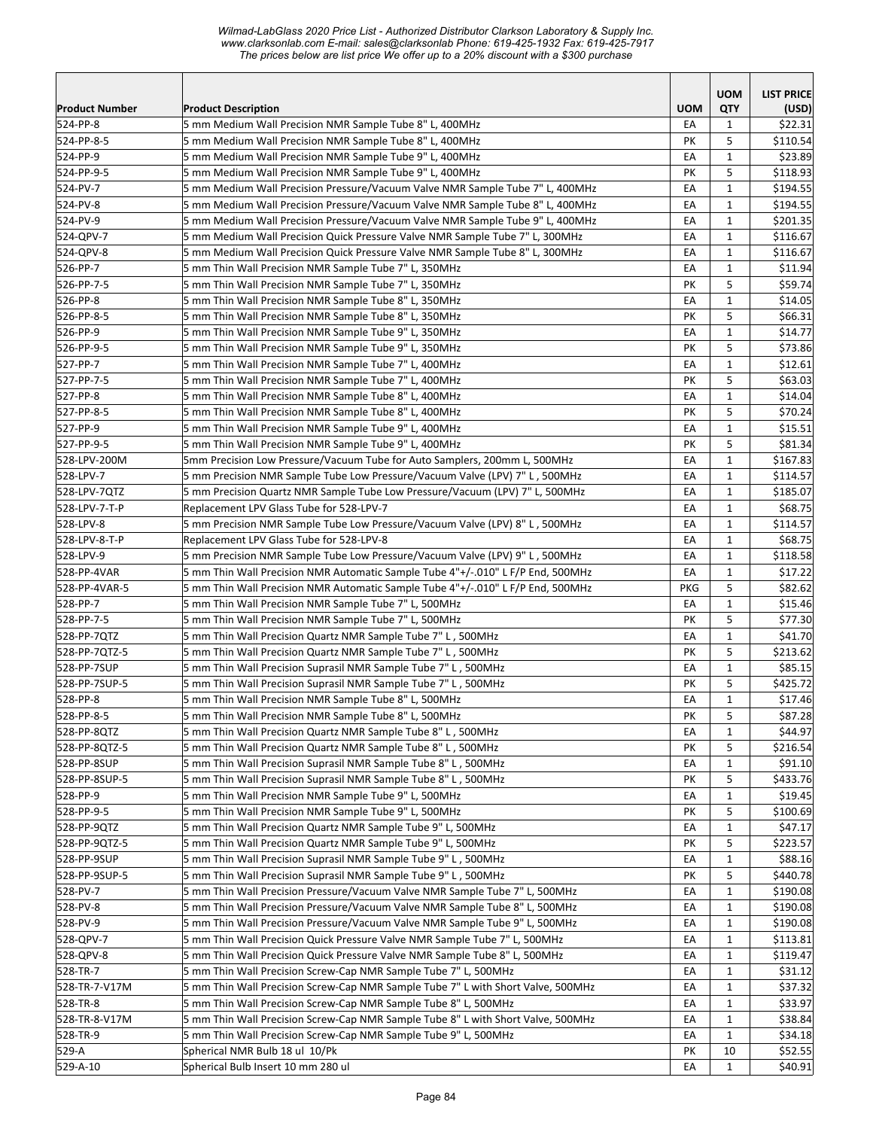| <b>Product Number</b> | <b>Product Description</b>                                                                                                                                | <b>UOM</b> | <b>UOM</b><br>QTY            | <b>LIST PRICE</b><br>(USD) |
|-----------------------|-----------------------------------------------------------------------------------------------------------------------------------------------------------|------------|------------------------------|----------------------------|
| 524-PP-8              | 5 mm Medium Wall Precision NMR Sample Tube 8" L, 400MHz                                                                                                   | EA         | 1                            | \$22.31                    |
| 524-PP-8-5            | 5 mm Medium Wall Precision NMR Sample Tube 8" L, 400MHz                                                                                                   | PK         | 5                            | \$110.54                   |
| 524-PP-9              | 5 mm Medium Wall Precision NMR Sample Tube 9" L, 400MHz                                                                                                   | EA         | $\mathbf{1}$                 | \$23.89                    |
| 524-PP-9-5            | 5 mm Medium Wall Precision NMR Sample Tube 9" L, 400MHz                                                                                                   | PK         | 5                            | \$118.93                   |
| 524-PV-7              | 5 mm Medium Wall Precision Pressure/Vacuum Valve NMR Sample Tube 7" L, 400MHz                                                                             | EA         | $\mathbf{1}$                 | \$194.55                   |
| 524-PV-8              | 5 mm Medium Wall Precision Pressure/Vacuum Valve NMR Sample Tube 8" L, 400MHz                                                                             | EA         | $\mathbf{1}$                 | \$194.55                   |
| 524-PV-9              | 5 mm Medium Wall Precision Pressure/Vacuum Valve NMR Sample Tube 9" L, 400MHz                                                                             | EA         | $\mathbf{1}$                 | \$201.35                   |
| 524-QPV-7             | 5 mm Medium Wall Precision Quick Pressure Valve NMR Sample Tube 7" L, 300MHz                                                                              | EA         | $\mathbf{1}$                 | \$116.67                   |
| 524-QPV-8             | 5 mm Medium Wall Precision Quick Pressure Valve NMR Sample Tube 8" L, 300MHz                                                                              | EA         | $\mathbf{1}$                 | \$116.67                   |
| 526-PP-7              | 5 mm Thin Wall Precision NMR Sample Tube 7" L, 350MHz                                                                                                     | EA         | $\mathbf{1}$                 | \$11.94                    |
| 526-PP-7-5            | 5 mm Thin Wall Precision NMR Sample Tube 7" L, 350MHz                                                                                                     | PK         | 5                            | \$59.74                    |
| 526-PP-8              | 5 mm Thin Wall Precision NMR Sample Tube 8" L, 350MHz                                                                                                     | EA         | $\mathbf{1}$                 | \$14.05                    |
| 526-PP-8-5            | 5 mm Thin Wall Precision NMR Sample Tube 8" L, 350MHz                                                                                                     | PK         | 5                            | \$66.31                    |
| 526-PP-9              | 5 mm Thin Wall Precision NMR Sample Tube 9" L, 350MHz                                                                                                     | EA         | $\mathbf{1}$                 | \$14.77                    |
| 526-PP-9-5            | 5 mm Thin Wall Precision NMR Sample Tube 9" L, 350MHz                                                                                                     | PK         | 5                            | \$73.86                    |
| 527-PP-7              | 5 mm Thin Wall Precision NMR Sample Tube 7" L, 400MHz                                                                                                     | EA         | $\mathbf{1}$                 | \$12.61                    |
| 527-PP-7-5            | 5 mm Thin Wall Precision NMR Sample Tube 7" L, 400MHz                                                                                                     | PK         | 5                            | \$63.03                    |
| 527-PP-8              | 5 mm Thin Wall Precision NMR Sample Tube 8" L, 400MHz                                                                                                     | EA         | $\mathbf{1}$                 | \$14.04                    |
| 527-PP-8-5            | 5 mm Thin Wall Precision NMR Sample Tube 8" L, 400MHz                                                                                                     | PK         | 5                            | \$70.24                    |
| 527-PP-9              | 5 mm Thin Wall Precision NMR Sample Tube 9" L, 400MHz                                                                                                     | EA         | $\mathbf{1}$                 | \$15.51                    |
| 527-PP-9-5            | 5 mm Thin Wall Precision NMR Sample Tube 9" L, 400MHz                                                                                                     | PK         | 5                            | \$81.34                    |
| 528-LPV-200M          | 5mm Precision Low Pressure/Vacuum Tube for Auto Samplers, 200mm L, 500MHz                                                                                 | EA         | $\mathbf{1}$                 | \$167.83                   |
| 528-LPV-7             | 5 mm Precision NMR Sample Tube Low Pressure/Vacuum Valve (LPV) 7" L, 500MHz                                                                               | EA         | $\mathbf{1}$                 | \$114.57                   |
| 528-LPV-7QTZ          | 5 mm Precision Quartz NMR Sample Tube Low Pressure/Vacuum (LPV) 7" L, 500MHz                                                                              | EA         | $\mathbf{1}$                 | \$185.07                   |
| 528-LPV-7-T-P         | Replacement LPV Glass Tube for 528-LPV-7                                                                                                                  | EA         | $\mathbf{1}$                 | \$68.75                    |
| 528-LPV-8             | 5 mm Precision NMR Sample Tube Low Pressure/Vacuum Valve (LPV) 8" L, 500MHz                                                                               | EA         | $\mathbf{1}$                 | \$114.57                   |
| 528-LPV-8-T-P         | Replacement LPV Glass Tube for 528-LPV-8                                                                                                                  | EA         | $\mathbf{1}$                 | \$68.75                    |
| 528-LPV-9             | 5 mm Precision NMR Sample Tube Low Pressure/Vacuum Valve (LPV) 9" L, 500MHz                                                                               | EA         | $\mathbf{1}$                 | \$118.58                   |
| 528-PP-4VAR           | 5 mm Thin Wall Precision NMR Automatic Sample Tube 4"+/-.010" L F/P End, 500MHz                                                                           | EA         | $\mathbf{1}$                 | \$17.22                    |
| 528-PP-4VAR-5         | 5 mm Thin Wall Precision NMR Automatic Sample Tube 4"+/-.010" L F/P End, 500MHz                                                                           | PKG        | 5                            | \$82.62                    |
| 528-PP-7              | 5 mm Thin Wall Precision NMR Sample Tube 7" L, 500MHz                                                                                                     | EA         | $\mathbf{1}$                 | \$15.46                    |
| 528-PP-7-5            | 5 mm Thin Wall Precision NMR Sample Tube 7" L, 500MHz                                                                                                     | PK         | 5                            | \$77.30                    |
| 528-PP-7QTZ           | 5 mm Thin Wall Precision Quartz NMR Sample Tube 7" L, 500MHz                                                                                              | EA         | $\mathbf{1}$                 | \$41.70                    |
| 528-PP-7QTZ-5         | 5 mm Thin Wall Precision Quartz NMR Sample Tube 7" L, 500MHz                                                                                              | PK         | 5                            | \$213.62                   |
| 528-PP-7SUP           | 5 mm Thin Wall Precision Suprasil NMR Sample Tube 7" L, 500MHz                                                                                            | EA         | $\mathbf{1}$                 | \$85.15                    |
| 528-PP-7SUP-5         | 5 mm Thin Wall Precision Suprasil NMR Sample Tube 7" L, 500MHz                                                                                            | PK         | 5                            | \$425.72                   |
| 528-PP-8              | 5 mm Thin Wall Precision NMR Sample Tube 8" L, 500MHz                                                                                                     | EA         | $\mathbf 1$                  | \$17.46                    |
| 528-PP-8-5            | 5 mm Thin Wall Precision NMR Sample Tube 8" L, 500MHz                                                                                                     | PK         | 5                            | \$87.28                    |
| 528-PP-8QTZ           | 5 mm Thin Wall Precision Quartz NMR Sample Tube 8" L, 500MHz                                                                                              | EA         | $\mathbf{1}$                 | \$44.97                    |
| 528-PP-8QTZ-5         | 5 mm Thin Wall Precision Quartz NMR Sample Tube 8" L, 500MHz                                                                                              | PΚ         | 5                            | \$216.54                   |
| 528-PP-8SUP           | 5 mm Thin Wall Precision Suprasil NMR Sample Tube 8" L, 500MHz                                                                                            | EA         | $\mathbf{1}$                 | \$91.10                    |
| 528-PP-8SUP-5         | 5 mm Thin Wall Precision Suprasil NMR Sample Tube 8" L, 500MHz                                                                                            | PК         | 5                            | \$433.76                   |
| 528-PP-9              | 5 mm Thin Wall Precision NMR Sample Tube 9" L, 500MHz                                                                                                     | EA         | 1                            | \$19.45                    |
| 528-PP-9-5            | 5 mm Thin Wall Precision NMR Sample Tube 9" L, 500MHz                                                                                                     | PK         | 5                            | \$100.69                   |
| 528-PP-9QTZ           | 5 mm Thin Wall Precision Quartz NMR Sample Tube 9" L, 500MHz                                                                                              | EA         | $\mathbf{1}$                 | \$47.17                    |
| 528-PP-9QTZ-5         | 5 mm Thin Wall Precision Quartz NMR Sample Tube 9" L, 500MHz                                                                                              | PΚ         | 5                            | \$223.57                   |
| 528-PP-9SUP           | 5 mm Thin Wall Precision Suprasil NMR Sample Tube 9" L, 500MHz                                                                                            | EA         | $\mathbf{1}$                 | \$88.16                    |
| 528-PP-9SUP-5         | 5 mm Thin Wall Precision Suprasil NMR Sample Tube 9" L, 500MHz<br>5 mm Thin Wall Precision Pressure/Vacuum Valve NMR Sample Tube 7" L, 500MHz             | PK         | 5                            | \$440.78                   |
| 528-PV-7              |                                                                                                                                                           | EA         | $\mathbf{1}$                 | \$190.08                   |
| 528-PV-8              | 5 mm Thin Wall Precision Pressure/Vacuum Valve NMR Sample Tube 8" L, 500MHz                                                                               | EA         | $\mathbf{1}$                 | \$190.08                   |
| 528-PV-9<br>528-QPV-7 | 5 mm Thin Wall Precision Pressure/Vacuum Valve NMR Sample Tube 9" L, 500MHz<br>5 mm Thin Wall Precision Quick Pressure Valve NMR Sample Tube 7" L, 500MHz | EA         | $\mathbf{1}$<br>$\mathbf{1}$ | \$190.08<br>\$113.81       |
| 528-QPV-8             | 5 mm Thin Wall Precision Quick Pressure Valve NMR Sample Tube 8" L, 500MHz                                                                                | EA<br>EA   | $\mathbf{1}$                 | \$119.47                   |
| 528-TR-7              | 5 mm Thin Wall Precision Screw-Cap NMR Sample Tube 7" L, 500MHz                                                                                           | EA         | $\mathbf{1}$                 | \$31.12                    |
| 528-TR-7-V17M         | 5 mm Thin Wall Precision Screw-Cap NMR Sample Tube 7" L with Short Valve, 500MHz                                                                          | EA         | $\mathbf{1}$                 | \$37.32                    |
| 528-TR-8              | 5 mm Thin Wall Precision Screw-Cap NMR Sample Tube 8" L, 500MHz                                                                                           | EA         | $\mathbf{1}$                 | \$33.97                    |
| 528-TR-8-V17M         | 5 mm Thin Wall Precision Screw-Cap NMR Sample Tube 8" L with Short Valve, 500MHz                                                                          | EA         | 1                            | \$38.84                    |
| 528-TR-9              | 5 mm Thin Wall Precision Screw-Cap NMR Sample Tube 9" L, 500MHz                                                                                           | EA         | 1                            | \$34.18                    |
| 529-A                 | Spherical NMR Bulb 18 ul 10/Pk                                                                                                                            | PΚ         | 10                           | \$52.55                    |
| 529-A-10              | Spherical Bulb Insert 10 mm 280 ul                                                                                                                        | EA         | $\mathbf{1}$                 | \$40.91                    |
|                       |                                                                                                                                                           |            |                              |                            |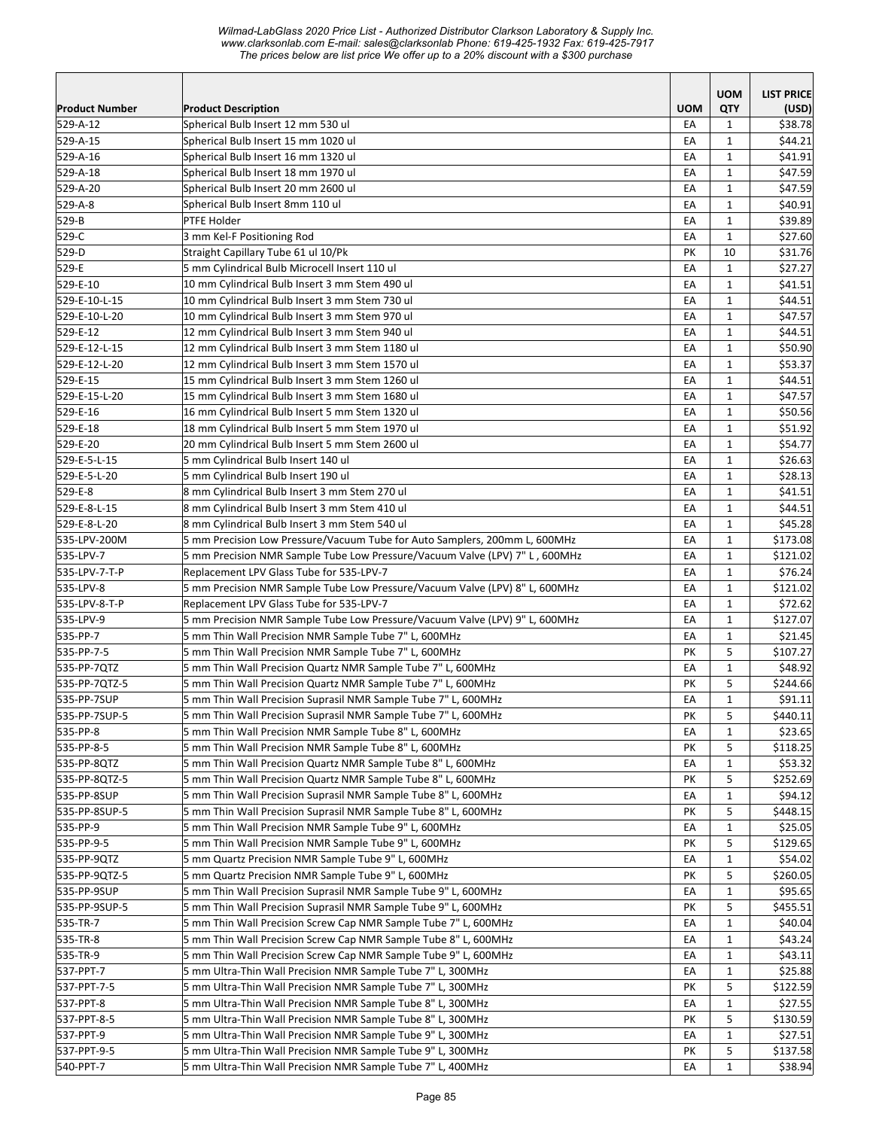|                              |                                                                                                                                  |            | <b>UOM</b>        | <b>LIST PRICE</b>   |
|------------------------------|----------------------------------------------------------------------------------------------------------------------------------|------------|-------------------|---------------------|
| <b>Product Number</b>        | <b>Product Description</b>                                                                                                       | <b>UOM</b> | QTY               | (USD)               |
| 529-A-12                     | Spherical Bulb Insert 12 mm 530 ul                                                                                               | EA         | $\mathbf{1}$      | \$38.78             |
| 529-A-15                     | Spherical Bulb Insert 15 mm 1020 ul                                                                                              | EA         | $\mathbf{1}$      | \$44.21             |
| 529-A-16                     | Spherical Bulb Insert 16 mm 1320 ul                                                                                              | EA         | $\mathbf{1}$      | \$41.91             |
| 529-A-18                     | Spherical Bulb Insert 18 mm 1970 ul                                                                                              | EA         | $\mathbf{1}$      | \$47.59             |
| 529-A-20                     | Spherical Bulb Insert 20 mm 2600 ul                                                                                              | EA         | $\mathbf{1}$      | \$47.59             |
| 529-A-8                      | Spherical Bulb Insert 8mm 110 ul                                                                                                 | EA         | $\mathbf{1}$      | \$40.91             |
| 529-B                        | PTFE Holder                                                                                                                      | EA         | $\mathbf{1}$      | \$39.89             |
| 529-C                        | 3 mm Kel-F Positioning Rod                                                                                                       | EA         | $\mathbf{1}$      | \$27.60             |
| 529-D                        | Straight Capillary Tube 61 ul 10/Pk                                                                                              | PΚ         | 10                | \$31.76             |
| 529-E                        | 5 mm Cylindrical Bulb Microcell Insert 110 ul                                                                                    | EA         | $\mathbf{1}$      | \$27.27             |
| 529-E-10                     | 10 mm Cylindrical Bulb Insert 3 mm Stem 490 ul                                                                                   | EA         | $\mathbf{1}$      | \$41.51             |
| 529-E-10-L-15                | 10 mm Cylindrical Bulb Insert 3 mm Stem 730 ul                                                                                   | EA         | $\mathbf{1}$      | \$44.51             |
| 529-E-10-L-20                | 10 mm Cylindrical Bulb Insert 3 mm Stem 970 ul                                                                                   | EA         | $\mathbf{1}$      | \$47.57             |
| 529-E-12                     | 12 mm Cylindrical Bulb Insert 3 mm Stem 940 ul                                                                                   | EA         | $\mathbf{1}$      | \$44.51             |
| 529-E-12-L-15                | 12 mm Cylindrical Bulb Insert 3 mm Stem 1180 ul                                                                                  | EA         | $\mathbf{1}$      | \$50.90             |
| 529-E-12-L-20                | 12 mm Cylindrical Bulb Insert 3 mm Stem 1570 ul                                                                                  | EA         | $\mathbf{1}$      | \$53.37             |
| 529-E-15                     | 15 mm Cylindrical Bulb Insert 3 mm Stem 1260 ul                                                                                  | EA         | $\mathbf{1}$      | \$44.51             |
| 529-E-15-L-20                | 15 mm Cylindrical Bulb Insert 3 mm Stem 1680 ul                                                                                  | EA         | $\mathbf{1}$      | \$47.57             |
| 529-E-16                     | 16 mm Cylindrical Bulb Insert 5 mm Stem 1320 ul                                                                                  | EA         | $\mathbf{1}$      | \$50.56             |
| 529-E-18                     | 18 mm Cylindrical Bulb Insert 5 mm Stem 1970 ul                                                                                  | EA         | $\mathbf{1}$      | \$51.92             |
| 529-E-20                     | 20 mm Cylindrical Bulb Insert 5 mm Stem 2600 ul                                                                                  | EA         | 1                 | \$54.77             |
| 529-E-5-L-15                 | 5 mm Cylindrical Bulb Insert 140 ul                                                                                              | EA         | $\mathbf{1}$      | \$26.63             |
| 529-E-5-L-20                 | 5 mm Cylindrical Bulb Insert 190 ul                                                                                              | EA         | $\mathbf{1}$      | \$28.13             |
| 529-E-8                      | 8 mm Cylindrical Bulb Insert 3 mm Stem 270 ul                                                                                    | EA         | $\mathbf{1}$      | \$41.51             |
| 529-E-8-L-15                 | 8 mm Cylindrical Bulb Insert 3 mm Stem 410 ul                                                                                    | EA         | $\mathbf{1}$      | \$44.51             |
| 529-E-8-L-20                 | 8 mm Cylindrical Bulb Insert 3 mm Stem 540 ul                                                                                    | EA         | $\mathbf{1}$      | \$45.28             |
| 535-LPV-200M                 | 5 mm Precision Low Pressure/Vacuum Tube for Auto Samplers, 200mm L, 600MHz                                                       | EA         | $\mathbf{1}$      | \$173.08            |
| 535-LPV-7                    | 5 mm Precision NMR Sample Tube Low Pressure/Vacuum Valve (LPV) 7" L, 600MHz                                                      | EA         | $\mathbf{1}$      | \$121.02            |
| 535-LPV-7-T-P                | Replacement LPV Glass Tube for 535-LPV-7                                                                                         | EA         | $\mathbf{1}$      | \$76.24             |
| 535-LPV-8                    | 5 mm Precision NMR Sample Tube Low Pressure/Vacuum Valve (LPV) 8" L, 600MHz                                                      | EA         | $\mathbf{1}$      | \$121.02            |
| 535-LPV-8-T-P                | Replacement LPV Glass Tube for 535-LPV-7                                                                                         | EA         | $\mathbf{1}$      | \$72.62             |
| 535-LPV-9                    | 5 mm Precision NMR Sample Tube Low Pressure/Vacuum Valve (LPV) 9" L, 600MHz                                                      | EA         | $\mathbf{1}$      | \$127.07            |
| 535-PP-7                     | 5 mm Thin Wall Precision NMR Sample Tube 7" L, 600MHz                                                                            | EA         | $\mathbf{1}$      | \$21.45             |
| 535-PP-7-5                   | 5 mm Thin Wall Precision NMR Sample Tube 7" L, 600MHz<br>5 mm Thin Wall Precision Quartz NMR Sample Tube 7" L, 600MHz            | PК         | 5                 | \$107.27            |
| 535-PP-7QTZ                  |                                                                                                                                  | EA<br>PК   | $\mathbf{1}$<br>5 | \$48.92<br>\$244.66 |
| 535-PP-7QTZ-5                | 5 mm Thin Wall Precision Quartz NMR Sample Tube 7" L, 600MHz                                                                     | EA         | 1                 |                     |
| 535-PP-7SUP<br>535-PP-7SUP-5 | 5 mm Thin Wall Precision Suprasil NMR Sample Tube 7" L, 600MHz<br>5 mm Thin Wall Precision Suprasil NMR Sample Tube 7" L, 600MHz | PK         | 5                 | \$91.11<br>\$440.11 |
| 535-PP-8                     |                                                                                                                                  | EA         | $\mathbf{1}$      |                     |
|                              | 5 mm Thin Wall Precision NMR Sample Tube 8" L, 600MHz                                                                            |            | 5                 | \$23.65<br>\$118.25 |
| 535-PP-8-5<br>535-PP-8QTZ    | 5 mm Thin Wall Precision NMR Sample Tube 8" L, 600MHz                                                                            | PΚ         |                   |                     |
| 535-PP-8QTZ-5                | 5 mm Thin Wall Precision Quartz NMR Sample Tube 8" L, 600MHz<br>5 mm Thin Wall Precision Quartz NMR Sample Tube 8" L, 600MHz     | EA<br>PK   | 1<br>5            | \$53.32<br>\$252.69 |
| 535-PP-8SUP                  | 5 mm Thin Wall Precision Suprasil NMR Sample Tube 8" L, 600MHz                                                                   | EA         | $\mathbf{1}$      | \$94.12             |
| 535-PP-8SUP-5                | 5 mm Thin Wall Precision Suprasil NMR Sample Tube 8" L, 600MHz                                                                   | PК         | 5                 | \$448.15            |
| 535-PP-9                     | 5 mm Thin Wall Precision NMR Sample Tube 9" L, 600MHz                                                                            | EA         | $\mathbf{1}$      | \$25.05             |
| 535-PP-9-5                   | 5 mm Thin Wall Precision NMR Sample Tube 9" L, 600MHz                                                                            | PK         | 5                 | \$129.65            |
| 535-PP-9QTZ                  | 5 mm Quartz Precision NMR Sample Tube 9" L, 600MHz                                                                               | EA         | $\mathbf{1}$      | \$54.02             |
| 535-PP-90TZ-5                | 5 mm Quartz Precision NMR Sample Tube 9" L, 600MHz                                                                               | PΚ         | 5                 | \$260.05            |
| 535-PP-9SUP                  | 5 mm Thin Wall Precision Suprasil NMR Sample Tube 9" L, 600MHz                                                                   | EA         | $\mathbf{1}$      | \$95.65             |
| 535-PP-9SUP-5                | 5 mm Thin Wall Precision Suprasil NMR Sample Tube 9" L, 600MHz                                                                   | PК         | 5                 | \$455.51            |
| 535-TR-7                     | 5 mm Thin Wall Precision Screw Cap NMR Sample Tube 7" L, 600MHz                                                                  | EA         | $\mathbf{1}$      | \$40.04             |
| 535-TR-8                     | 5 mm Thin Wall Precision Screw Cap NMR Sample Tube 8" L, 600MHz                                                                  | EA         | $\mathbf{1}$      | \$43.24             |
| 535-TR-9                     | 5 mm Thin Wall Precision Screw Cap NMR Sample Tube 9" L, 600MHz                                                                  | EA         | $\mathbf{1}$      | \$43.11             |
| 537-PPT-7                    | 5 mm Ultra-Thin Wall Precision NMR Sample Tube 7" L, 300MHz                                                                      | EA         | $\mathbf{1}$      | \$25.88             |
| 537-PPT-7-5                  | 5 mm Ultra-Thin Wall Precision NMR Sample Tube 7" L, 300MHz                                                                      | PK         | 5                 | \$122.59            |
| 537-PPT-8                    | 5 mm Ultra-Thin Wall Precision NMR Sample Tube 8" L, 300MHz                                                                      | EA         | 1                 | \$27.55             |
| 537-PPT-8-5                  | 5 mm Ultra-Thin Wall Precision NMR Sample Tube 8" L, 300MHz                                                                      | PK         | 5                 | \$130.59            |
| 537-PPT-9                    | 5 mm Ultra-Thin Wall Precision NMR Sample Tube 9" L, 300MHz                                                                      | EA         | 1                 | \$27.51             |
| 537-PPT-9-5                  | 5 mm Ultra-Thin Wall Precision NMR Sample Tube 9" L, 300MHz                                                                      | PΚ         | 5                 | \$137.58            |
| 540-PPT-7                    | 5 mm Ultra-Thin Wall Precision NMR Sample Tube 7" L, 400MHz                                                                      | EA         | $\mathbf{1}$      | \$38.94             |
|                              |                                                                                                                                  |            |                   |                     |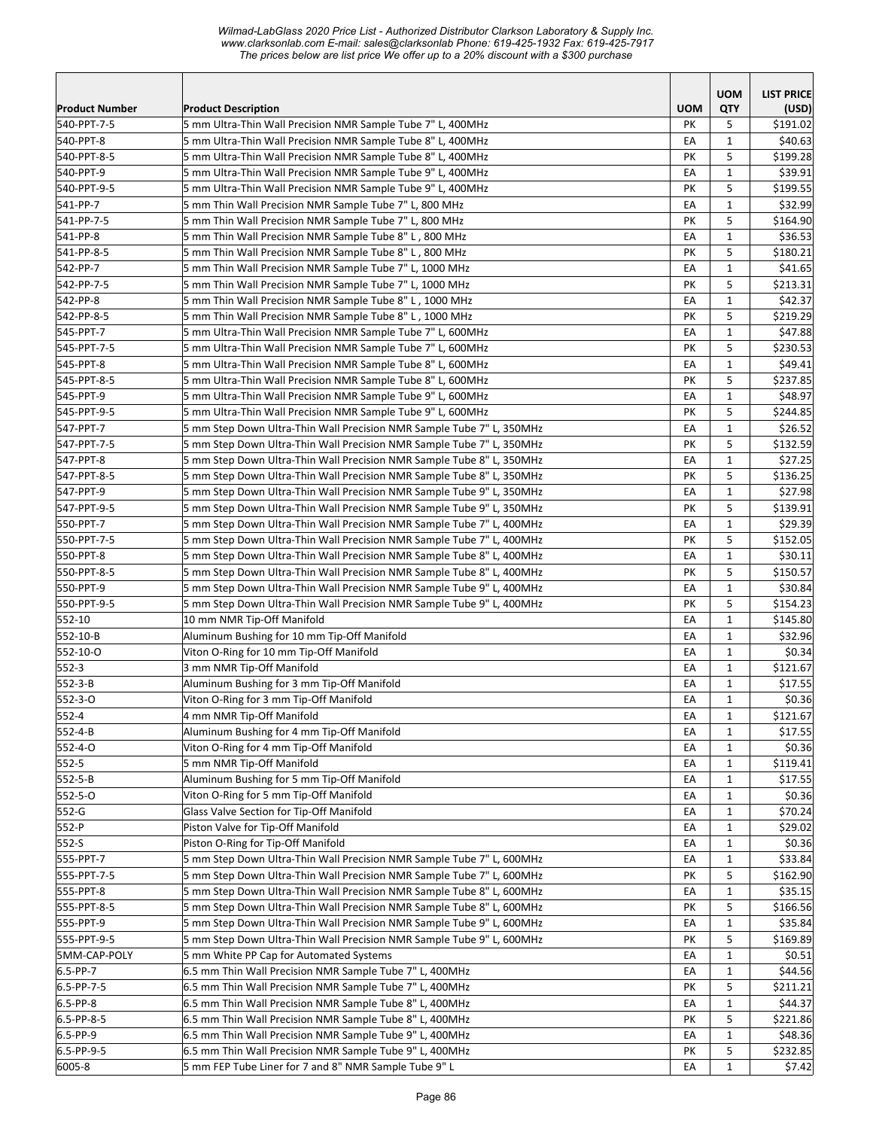*Wilmad-LabGlass 2020 Price List - Authorized Distributor Clarkson Laboratory & Supply Inc. www.clarksonlab.com E-mail: sales@clarksonlab Phone: 619-425-1932 Fax: 619-425-7917 The prices below are list price We offer up to a 20% discount with a \$300 purchase* 

|                       |                                                                       |            | <b>UOM</b>   | <b>LIST PRICE</b> |
|-----------------------|-----------------------------------------------------------------------|------------|--------------|-------------------|
| <b>Product Number</b> | <b>Product Description</b>                                            | <b>UOM</b> | QTY          | (USD)             |
| 540-PPT-7-5           | 5 mm Ultra-Thin Wall Precision NMR Sample Tube 7" L, 400MHz           | <b>PK</b>  | 5            | \$191.02          |
| 540-PPT-8             | 5 mm Ultra-Thin Wall Precision NMR Sample Tube 8" L, 400MHz           | EA         | $\mathbf{1}$ | \$40.63           |
| 540-PPT-8-5           | 5 mm Ultra-Thin Wall Precision NMR Sample Tube 8" L, 400MHz           | PK         | 5            | \$199.28          |
| 540-PPT-9             | 5 mm Ultra-Thin Wall Precision NMR Sample Tube 9" L, 400MHz           | EA         | 1            | \$39.91           |
| 540-PPT-9-5           | 5 mm Ultra-Thin Wall Precision NMR Sample Tube 9" L, 400MHz           | PK         | 5            | \$199.55          |
| 541-PP-7              | 5 mm Thin Wall Precision NMR Sample Tube 7" L, 800 MHz                | EA         | $\mathbf{1}$ | \$32.99           |
| 541-PP-7-5            | 5 mm Thin Wall Precision NMR Sample Tube 7" L, 800 MHz                | PK         | 5            | \$164.90          |
| 541-PP-8              | 5 mm Thin Wall Precision NMR Sample Tube 8" L, 800 MHz                | EA         | $\mathbf{1}$ | \$36.53           |
| 541-PP-8-5            | 5 mm Thin Wall Precision NMR Sample Tube 8" L, 800 MHz                | PK         | 5            | \$180.21          |
| 542-PP-7              | 5 mm Thin Wall Precision NMR Sample Tube 7" L, 1000 MHz               | EA         | $\mathbf{1}$ | \$41.65           |
| 542-PP-7-5            | 5 mm Thin Wall Precision NMR Sample Tube 7" L, 1000 MHz               | PK         | 5            | \$213.31          |
| 542-PP-8              | 5 mm Thin Wall Precision NMR Sample Tube 8" L, 1000 MHz               | EA         | $\mathbf{1}$ | \$42.37           |
| 542-PP-8-5            | 5 mm Thin Wall Precision NMR Sample Tube 8" L, 1000 MHz               | PK         | 5            | \$219.29          |
| 545-PPT-7             | 5 mm Ultra-Thin Wall Precision NMR Sample Tube 7" L, 600MHz           | EA         | $\mathbf{1}$ | \$47.88           |
| 545-PPT-7-5           | 5 mm Ultra-Thin Wall Precision NMR Sample Tube 7" L, 600MHz           | PK         | 5            | \$230.53          |
| 545-PPT-8             | 5 mm Ultra-Thin Wall Precision NMR Sample Tube 8" L, 600MHz           | EA         | $\mathbf{1}$ | \$49.41           |
| 545-PPT-8-5           | 5 mm Ultra-Thin Wall Precision NMR Sample Tube 8" L, 600MHz           | PK         | 5            | \$237.85          |
| 545-PPT-9             | 5 mm Ultra-Thin Wall Precision NMR Sample Tube 9" L, 600MHz           | EA         | 1            | \$48.97           |
| 545-PPT-9-5           | 5 mm Ultra-Thin Wall Precision NMR Sample Tube 9" L, 600MHz           | PK         | 5            | \$244.85          |
| 547-PPT-7             | 5 mm Step Down Ultra-Thin Wall Precision NMR Sample Tube 7" L, 350MHz | EA         | $\mathbf{1}$ | \$26.52           |
| 547-PPT-7-5           | 5 mm Step Down Ultra-Thin Wall Precision NMR Sample Tube 7" L, 350MHz | PK         | 5            | \$132.59          |
| 547-PPT-8             | 5 mm Step Down Ultra-Thin Wall Precision NMR Sample Tube 8" L, 350MHz | EA         | $\mathbf{1}$ | \$27.25           |
| 547-PPT-8-5           | 5 mm Step Down Ultra-Thin Wall Precision NMR Sample Tube 8" L, 350MHz | PK         | 5            | \$136.25          |
| 547-PPT-9             | 5 mm Step Down Ultra-Thin Wall Precision NMR Sample Tube 9" L, 350MHz | EA         | $\mathbf{1}$ | \$27.98           |
| 547-PPT-9-5           | 5 mm Step Down Ultra-Thin Wall Precision NMR Sample Tube 9" L, 350MHz | PK         | 5            | \$139.91          |
| 550-PPT-7             | 5 mm Step Down Ultra-Thin Wall Precision NMR Sample Tube 7" L, 400MHz | EA         | 1            | \$29.39           |
| 550-PPT-7-5           | 5 mm Step Down Ultra-Thin Wall Precision NMR Sample Tube 7" L, 400MHz | PK         | 5            | \$152.05          |
| 550-PPT-8             | 5 mm Step Down Ultra-Thin Wall Precision NMR Sample Tube 8" L, 400MHz | EA         | $\mathbf{1}$ | \$30.11           |
| 550-PPT-8-5           | 5 mm Step Down Ultra-Thin Wall Precision NMR Sample Tube 8" L, 400MHz | PK         | 5            | \$150.57          |
| 550-PPT-9             | 5 mm Step Down Ultra-Thin Wall Precision NMR Sample Tube 9" L, 400MHz | EA         | $\mathbf{1}$ | \$30.84           |
| 550-PPT-9-5           | 5 mm Step Down Ultra-Thin Wall Precision NMR Sample Tube 9" L, 400MHz | PK         | 5            | \$154.23          |
| 552-10                | 10 mm NMR Tip-Off Manifold                                            | EA         | $\mathbf{1}$ | \$145.80          |
| 552-10-B              | Aluminum Bushing for 10 mm Tip-Off Manifold                           | EA         | 1            | \$32.96           |
| 552-10-0              | Viton O-Ring for 10 mm Tip-Off Manifold                               | EA         | $\mathbf{1}$ | \$0.34            |
| 552-3                 | 3 mm NMR Tip-Off Manifold                                             | EA         | $\mathbf{1}$ | \$121.67          |
| $ 552-3-B $           | Aluminum Bushing for 3 mm Tip-Off Manifold                            | EA         | $\mathbf{1}$ | \$17.55           |
| 552-3-0               | Viton O-Ring for 3 mm Tip-Off Manifold                                | EA         | $\mathbf{1}$ | \$0.36            |
| 552-4                 | 4 mm NMR Tip-Off Manifold                                             | EA         | $\mathbf 1$  | \$121.67          |
| 552-4-B               | Aluminum Bushing for 4 mm Tip-Off Manifold                            | EA         | $\mathbf{1}$ | \$17.55           |
| 552-4-0               | Viton O-Ring for 4 mm Tip-Off Manifold                                | EA         | $\mathbf{1}$ | \$0.36            |
| 552-5                 | 5 mm NMR Tip-Off Manifold                                             | EA         | $\mathbf{1}$ | \$119.41          |
| 552-5-B               | Aluminum Bushing for 5 mm Tip-Off Manifold                            | EA         | 1            | \$17.55           |
| 552-5-0               | Viton O-Ring for 5 mm Tip-Off Manifold                                | EA         | $\mathbf{1}$ | \$0.36            |
| 552-G                 | Glass Valve Section for Tip-Off Manifold                              | EA         | $\mathbf{1}$ | \$70.24           |
| 552-P                 | Piston Valve for Tip-Off Manifold                                     | EA         | $\mathbf{1}$ | \$29.02           |
| 552-S                 | Piston O-Ring for Tip-Off Manifold                                    | EA         | $\mathbf{1}$ | \$0.36            |
| 555-PPT-7             | 5 mm Step Down Ultra-Thin Wall Precision NMR Sample Tube 7" L, 600MHz | EA         | $\mathbf{1}$ | \$33.84           |
| 555-PPT-7-5           | 5 mm Step Down Ultra-Thin Wall Precision NMR Sample Tube 7" L, 600MHz | PК         | 5            | \$162.90          |
| 555-PPT-8             | 5 mm Step Down Ultra-Thin Wall Precision NMR Sample Tube 8" L, 600MHz | EA         | 1            | \$35.15           |
| 555-PPT-8-5           | 5 mm Step Down Ultra-Thin Wall Precision NMR Sample Tube 8" L, 600MHz | PΚ         | 5            | \$166.56          |
| 555-PPT-9             | 5 mm Step Down Ultra-Thin Wall Precision NMR Sample Tube 9" L, 600MHz | EA         | $\mathbf{1}$ | \$35.84           |
| 555-PPT-9-5           | 5 mm Step Down Ultra-Thin Wall Precision NMR Sample Tube 9" L, 600MHz | PK         | 5            | \$169.89          |
| 5MM-CAP-POLY          | 5 mm White PP Cap for Automated Systems                               | EA         | $\mathbf{1}$ | \$0.51            |
| $6.5-PP-7$            | 6.5 mm Thin Wall Precision NMR Sample Tube 7" L, 400MHz               | EA         | $\mathbf{1}$ | \$44.56           |
| $6.5-PP-7-5$          | 6.5 mm Thin Wall Precision NMR Sample Tube 7" L, 400MHz               | PK         | 5            | \$211.21          |
| $6.5-PP-8$            | 6.5 mm Thin Wall Precision NMR Sample Tube 8" L, 400MHz               | EA         | 1            | \$44.37           |
| $6.5-PP-8-5$          | 6.5 mm Thin Wall Precision NMR Sample Tube 8" L, 400MHz               | PK         | 5            | \$221.86          |
| $6.5-PP-9$            | 6.5 mm Thin Wall Precision NMR Sample Tube 9" L, 400MHz               | EA         | $\mathbf{1}$ | \$48.36           |
| $6.5-PP-9-5$          | 6.5 mm Thin Wall Precision NMR Sample Tube 9" L, 400MHz               | PK         | 5            | \$232.85          |
| 6005-8                | 5 mm FEP Tube Liner for 7 and 8" NMR Sample Tube 9" L                 | EA         | $\mathbf{1}$ | \$7.42            |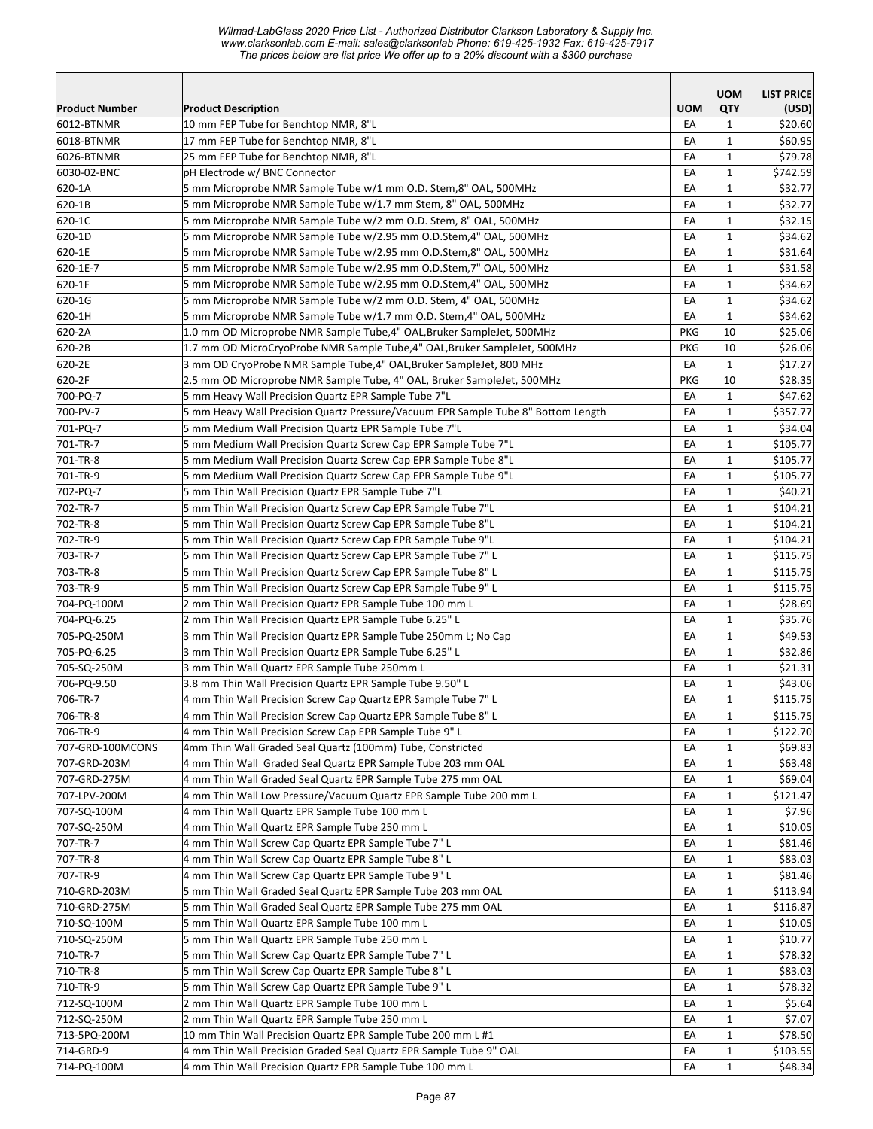*Wilmad-LabGlass 2020 Price List - Authorized Distributor Clarkson Laboratory & Supply Inc. www.clarksonlab.com E-mail: sales@clarksonlab Phone: 619-425-1932 Fax: 619-425-7917 The prices below are list price We offer up to a 20% discount with a \$300 purchase* 

|                            |                                                                                                                      |            | <b>UOM</b>                   | <b>LIST PRICE</b>  |
|----------------------------|----------------------------------------------------------------------------------------------------------------------|------------|------------------------------|--------------------|
| <b>Product Number</b>      | <b>Product Description</b>                                                                                           | <b>UOM</b> | <b>QTY</b>                   | (USD)              |
| 6012-BTNMR                 | 10 mm FEP Tube for Benchtop NMR, 8"L                                                                                 | EA         | 1                            | \$20.60            |
| 6018-BTNMR                 | 17 mm FEP Tube for Benchtop NMR, 8"L                                                                                 | EA         | $\mathbf{1}$                 | \$60.95            |
| 6026-BTNMR                 | 25 mm FEP Tube for Benchtop NMR, 8"L                                                                                 | EA         | 1                            | \$79.78            |
| 6030-02-BNC                | pH Electrode w/ BNC Connector                                                                                        | EA         | $\mathbf{1}$                 | \$742.59           |
| 620-1A                     | 5 mm Microprobe NMR Sample Tube w/1 mm O.D. Stem,8" OAL, 500MHz                                                      | EA         | $\mathbf{1}$                 | \$32.77            |
| 620-1B                     | 5 mm Microprobe NMR Sample Tube w/1.7 mm Stem, 8" OAL, 500MHz                                                        | EA         | $\mathbf{1}$                 | \$32.77            |
| 620-1C                     | 5 mm Microprobe NMR Sample Tube w/2 mm O.D. Stem, 8" OAL, 500MHz                                                     | EA         | $\mathbf{1}$                 | \$32.15            |
| 620-1D                     | 5 mm Microprobe NMR Sample Tube w/2.95 mm O.D.Stem,4" OAL, 500MHz                                                    | EA         | $\mathbf{1}$                 | \$34.62            |
| 620-1E                     | 5 mm Microprobe NMR Sample Tube w/2.95 mm O.D.Stem,8" OAL, 500MHz                                                    | EA         | $\mathbf 1$                  | \$31.64            |
| 620-1E-7                   | 5 mm Microprobe NMR Sample Tube w/2.95 mm O.D.Stem,7" OAL, 500MHz                                                    | EA         | $\mathbf{1}$                 | \$31.58            |
| 620-1F                     | 5 mm Microprobe NMR Sample Tube w/2.95 mm O.D.Stem,4" OAL, 500MHz                                                    | EA         | $\mathbf{1}$                 | \$34.62            |
| 620-1G                     | 5 mm Microprobe NMR Sample Tube w/2 mm O.D. Stem, 4" OAL, 500MHz                                                     | EA         | $\mathbf{1}$                 | \$34.62            |
| 620-1H                     | 5 mm Microprobe NMR Sample Tube w/1.7 mm O.D. Stem,4" OAL, 500MHz                                                    | EA         | $\mathbf{1}$                 | \$34.62            |
| 620-2A                     | 1.0 mm OD Microprobe NMR Sample Tube,4" OAL, Bruker SampleJet, 500MHz                                                | <b>PKG</b> | 10                           | \$25.06            |
| 620-2B                     | 1.7 mm OD MicroCryoProbe NMR Sample Tube,4" OAL, Bruker SampleJet, 500MHz                                            | <b>PKG</b> | 10                           | \$26.06            |
| 620-2E                     | 3 mm OD CryoProbe NMR Sample Tube,4" OAL,Bruker SampleJet, 800 MHz                                                   | EА         | $\mathbf{1}$                 | \$17.27            |
| 620-2F                     | 2.5 mm OD Microprobe NMR Sample Tube, 4" OAL, Bruker SampleJet, 500MHz                                               | <b>PKG</b> | 10                           | \$28.35            |
| 700-PQ-7                   | 5 mm Heavy Wall Precision Quartz EPR Sample Tube 7"L                                                                 | EA         | 1                            | \$47.62            |
| 700-PV-7                   | 5 mm Heavy Wall Precision Quartz Pressure/Vacuum EPR Sample Tube 8" Bottom Length                                    | EA         | $\mathbf{1}$                 | \$357.77           |
| 701-PQ-7                   | 5 mm Medium Wall Precision Quartz EPR Sample Tube 7"L                                                                | EA         | $\mathbf{1}$                 | \$34.04            |
| 701-TR-7                   | 5 mm Medium Wall Precision Quartz Screw Cap EPR Sample Tube 7"L                                                      | EA         | $\mathbf{1}$                 | \$105.77           |
| 701-TR-8                   | 5 mm Medium Wall Precision Quartz Screw Cap EPR Sample Tube 8"L                                                      | EA         | $\mathbf{1}$                 | \$105.77           |
| 701-TR-9                   | 5 mm Medium Wall Precision Quartz Screw Cap EPR Sample Tube 9"L                                                      | EA         | $\mathbf{1}$                 | \$105.77           |
| 702-PQ-7                   | 5 mm Thin Wall Precision Quartz EPR Sample Tube 7"L                                                                  | EA         | $\mathbf{1}$                 | \$40.21            |
| 702-TR-7                   | 5 mm Thin Wall Precision Quartz Screw Cap EPR Sample Tube 7"L                                                        | EA         | $\mathbf{1}$                 | \$104.21           |
| 702-TR-8                   | 5 mm Thin Wall Precision Quartz Screw Cap EPR Sample Tube 8"L                                                        | EA         | $\mathbf{1}$                 | \$104.21           |
| 702-TR-9                   | 5 mm Thin Wall Precision Quartz Screw Cap EPR Sample Tube 9"L                                                        | EA         | $\mathbf{1}$                 | \$104.21           |
| 703-TR-7                   | 5 mm Thin Wall Precision Quartz Screw Cap EPR Sample Tube 7" L                                                       | EA         | $\mathbf{1}$                 | \$115.75           |
| 703-TR-8                   | 5 mm Thin Wall Precision Quartz Screw Cap EPR Sample Tube 8" L                                                       | EA         | $\mathbf{1}$                 | \$115.75           |
| 703-TR-9                   | 5 mm Thin Wall Precision Quartz Screw Cap EPR Sample Tube 9" L                                                       | EA         | $\mathbf{1}$                 | \$115.75           |
| 704-PQ-100M                | 2 mm Thin Wall Precision Quartz EPR Sample Tube 100 mm L                                                             | EA         | $\mathbf{1}$                 | \$28.69            |
| 704-PQ-6.25                | 2 mm Thin Wall Precision Quartz EPR Sample Tube 6.25" L                                                              | EA         | $\mathbf{1}$                 | \$35.76            |
| 705-PQ-250M                | 3 mm Thin Wall Precision Quartz EPR Sample Tube 250mm L; No Cap                                                      | EA         | 1                            | \$49.53            |
| 705-PQ-6.25                | 3 mm Thin Wall Precision Quartz EPR Sample Tube 6.25" L                                                              | EA         | $\mathbf{1}$                 | \$32.86            |
| 705-SQ-250M                | 3 mm Thin Wall Quartz EPR Sample Tube 250mm L                                                                        | EA         | $\mathbf{1}$                 | \$21.31            |
| 706-PQ-9.50                | 3.8 mm Thin Wall Precision Quartz EPR Sample Tube 9.50" L                                                            | EA         | $\mathbf{1}$                 | \$43.06            |
| 706-TR-7                   | 4 mm Thin Wall Precision Screw Cap Quartz EPR Sample Tube 7" L                                                       | EA         | $\mathbf{1}$                 | \$115.75           |
| 706-TR-8                   | 4 mm Thin Wall Precision Screw Cap Quartz EPR Sample Tube 8" L                                                       | EA         | $\mathbf 1$                  | \$115.75           |
| 706-TR-9                   | 4 mm Thin Wall Precision Screw Cap EPR Sample Tube 9" L                                                              | EA         | 1                            | \$122.70           |
| 707-GRD-100MCONS           | 4mm Thin Wall Graded Seal Quartz (100mm) Tube, Constricted                                                           | EA         | 1                            | \$69.83            |
| 707-GRD-203M               | 4 mm Thin Wall Graded Seal Quartz EPR Sample Tube 203 mm OAL                                                         | EA         | $\mathbf{1}$                 | \$63.48            |
| 707-GRD-275M               | 4 mm Thin Wall Graded Seal Quartz EPR Sample Tube 275 mm OAL                                                         | EA         | 1                            | \$69.04            |
| 707-LPV-200M               | 4 mm Thin Wall Low Pressure/Vacuum Quartz EPR Sample Tube 200 mm L                                                   | EA         | $\mathbf{1}$                 | \$121.47           |
| 707-SQ-100M                | 4 mm Thin Wall Quartz EPR Sample Tube 100 mm L                                                                       | EA         | $\mathbf 1$                  | \$7.96             |
| 707-SQ-250M                | 4 mm Thin Wall Quartz EPR Sample Tube 250 mm L                                                                       | EA         | $\mathbf{1}$                 | \$10.05            |
| 707-TR-7                   | 4 mm Thin Wall Screw Cap Quartz EPR Sample Tube 7" L<br>4 mm Thin Wall Screw Cap Quartz EPR Sample Tube 8" L         | EA         | $\mathbf{1}$                 | \$81.46            |
| 707-TR-8                   |                                                                                                                      | EA         | $\mathbf{1}$                 | \$83.03            |
| 707-TR-9                   | 4 mm Thin Wall Screw Cap Quartz EPR Sample Tube 9" L<br>5 mm Thin Wall Graded Seal Quartz EPR Sample Tube 203 mm OAL | EA         | 1                            | \$81.46            |
| 710-GRD-203M               |                                                                                                                      | EA         | 1                            | \$113.94           |
| 710-GRD-275M               | 5 mm Thin Wall Graded Seal Quartz EPR Sample Tube 275 mm OAL                                                         | EA         | 1                            | \$116.87           |
| 710-SQ-100M<br>710-SQ-250M | 5 mm Thin Wall Quartz EPR Sample Tube 100 mm L<br>5 mm Thin Wall Quartz EPR Sample Tube 250 mm L                     | EA<br>EA   | $\mathbf{1}$<br>$\mathbf{1}$ | \$10.05<br>\$10.77 |
| 710-TR-7                   | 5 mm Thin Wall Screw Cap Quartz EPR Sample Tube 7" L                                                                 | EA         | $\mathbf{1}$                 | \$78.32            |
| 710-TR-8                   | 5 mm Thin Wall Screw Cap Quartz EPR Sample Tube 8" L                                                                 | EA         | $\mathbf{1}$                 | \$83.03            |
| 710-TR-9                   | 5 mm Thin Wall Screw Cap Quartz EPR Sample Tube 9" L                                                                 | EA         | $\mathbf{1}$                 | \$78.32            |
| 712-SQ-100M                | 2 mm Thin Wall Quartz EPR Sample Tube 100 mm L                                                                       | EA         | $\mathbf{1}$                 | \$5.64             |
| 712-SQ-250M                | 2 mm Thin Wall Quartz EPR Sample Tube 250 mm L                                                                       | EA         | 1                            | \$7.07             |
| 713-5PQ-200M               | 10 mm Thin Wall Precision Quartz EPR Sample Tube 200 mm L #1                                                         | EA         | $\mathbf{1}$                 | \$78.50            |
| 714-GRD-9                  | 4 mm Thin Wall Precision Graded Seal Quartz EPR Sample Tube 9" OAL                                                   | EA         | $\mathbf 1$                  | \$103.55           |
| 714-PQ-100M                | 4 mm Thin Wall Precision Quartz EPR Sample Tube 100 mm L                                                             | EA         | $\mathbf{1}$                 | \$48.34            |
|                            |                                                                                                                      |            |                              |                    |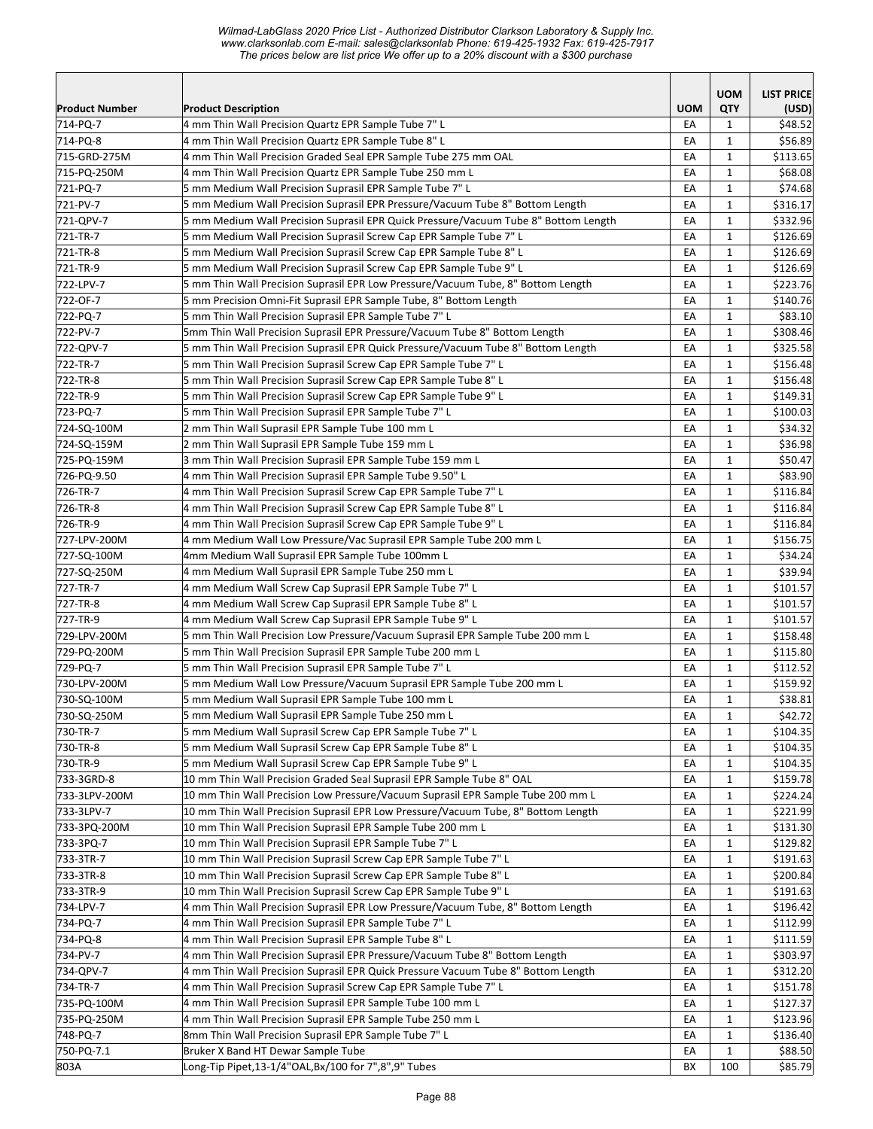*Wilmad-LabGlass 2020 Price List - Authorized Distributor Clarkson Laboratory & Supply Inc. www.clarksonlab.com E-mail: sales@clarksonlab Phone: 619-425-1932 Fax: 619-425-7917 The prices below are list price We offer up to a 20% discount with a \$300 purchase* 

|                         |                                                                                                                |            | <b>UOM</b>                   | <b>LIST PRICE</b>  |
|-------------------------|----------------------------------------------------------------------------------------------------------------|------------|------------------------------|--------------------|
| <b>Product Number</b>   | <b>Product Description</b>                                                                                     | <b>UOM</b> | QTY                          | (USD)              |
| 714-PQ-7                | 4 mm Thin Wall Precision Quartz EPR Sample Tube 7" L                                                           | EA         | 1                            | \$48.52            |
| 714-PQ-8                | 4 mm Thin Wall Precision Quartz EPR Sample Tube 8" L                                                           | EA         | 1                            | \$56.89            |
| 715-GRD-275M            | 4 mm Thin Wall Precision Graded Seal EPR Sample Tube 275 mm OAL                                                | EA         | 1                            | \$113.65           |
| 715-PQ-250M             | 4 mm Thin Wall Precision Quartz EPR Sample Tube 250 mm L                                                       | EA         | $\mathbf 1$                  | \$68.08            |
| 721-PQ-7                | 5 mm Medium Wall Precision Suprasil EPR Sample Tube 7" L                                                       | EA         | $\mathbf 1$                  | \$74.68            |
| 721-PV-7                | 5 mm Medium Wall Precision Suprasil EPR Pressure/Vacuum Tube 8" Bottom Length                                  | EA         | 1                            | \$316.17           |
| 721-QPV-7               | 5 mm Medium Wall Precision Suprasil EPR Quick Pressure/Vacuum Tube 8" Bottom Length                            | EA         | $\mathbf{1}$                 | \$332.96           |
| 721-TR-7                | 5 mm Medium Wall Precision Suprasil Screw Cap EPR Sample Tube 7" L                                             | EA         | $\mathbf 1$                  | \$126.69           |
| 721-TR-8                | 5 mm Medium Wall Precision Suprasil Screw Cap EPR Sample Tube 8" L                                             | EA         | $\mathbf{1}$                 | \$126.69           |
| 721-TR-9                | 5 mm Medium Wall Precision Suprasil Screw Cap EPR Sample Tube 9" L                                             | EA         | 1                            | \$126.69           |
| 722-LPV-7               | 5 mm Thin Wall Precision Suprasil EPR Low Pressure/Vacuum Tube, 8" Bottom Length                               | EA         | $\mathbf{1}$                 | \$223.76           |
| 722-OF-7                | 5 mm Precision Omni-Fit Suprasil EPR Sample Tube, 8" Bottom Length                                             | EA         | $\mathbf{1}$                 | \$140.76           |
| 722-PQ-7                | 5 mm Thin Wall Precision Suprasil EPR Sample Tube 7" L                                                         | EA         | $\mathbf{1}$                 | \$83.10            |
| 722-PV-7                | 5mm Thin Wall Precision Suprasil EPR Pressure/Vacuum Tube 8" Bottom Length                                     | EA         | 1                            | \$308.46           |
| 722-QPV-7               | 5 mm Thin Wall Precision Suprasil EPR Quick Pressure/Vacuum Tube 8" Bottom Length                              | EA         | 1                            | \$325.58           |
| 722-TR-7                | 5 mm Thin Wall Precision Suprasil Screw Cap EPR Sample Tube 7" L                                               | EA         | 1                            | \$156.48           |
| 722-TR-8                | 5 mm Thin Wall Precision Suprasil Screw Cap EPR Sample Tube 8" L                                               | EA         | 1                            | \$156.48           |
| 722-TR-9                | 5 mm Thin Wall Precision Suprasil Screw Cap EPR Sample Tube 9" L                                               | EA         | 1                            | \$149.31           |
| 723-PQ-7                | 5 mm Thin Wall Precision Suprasil EPR Sample Tube 7" L                                                         | EA         | $\mathbf{1}$                 | \$100.03           |
| 724-SQ-100M             | 2 mm Thin Wall Suprasil EPR Sample Tube 100 mm L                                                               | EA         | $\mathbf{1}$                 | \$34.32            |
| 724-SQ-159M             | 2 mm Thin Wall Suprasil EPR Sample Tube 159 mm L                                                               | EA         | $\mathbf 1$                  | \$36.98            |
| 725-PQ-159M             | 3 mm Thin Wall Precision Suprasil EPR Sample Tube 159 mm L                                                     | EA         | $\mathbf{1}$                 | \$50.47            |
| 726-PQ-9.50             | 4 mm Thin Wall Precision Suprasil EPR Sample Tube 9.50" L                                                      | EA         | $\mathbf 1$                  | \$83.90            |
| 726-TR-7                | 4 mm Thin Wall Precision Suprasil Screw Cap EPR Sample Tube 7" L                                               | EA         | $\mathbf{1}$                 | \$116.84           |
| 726-TR-8                | 4 mm Thin Wall Precision Suprasil Screw Cap EPR Sample Tube 8" L                                               | EA         | 1                            | \$116.84           |
| 726-TR-9                | 4 mm Thin Wall Precision Suprasil Screw Cap EPR Sample Tube 9" L                                               | EA         | $\mathbf{1}$                 | \$116.84           |
| 727-LPV-200M            | 4 mm Medium Wall Low Pressure/Vac Suprasil EPR Sample Tube 200 mm L                                            | EA<br>EA   | $\mathbf{1}$<br>$\mathbf{1}$ | \$156.75           |
| 727-SQ-100M             | 4mm Medium Wall Suprasil EPR Sample Tube 100mm L                                                               | EA         |                              | \$34.24<br>\$39.94 |
| 727-SQ-250M<br>727-TR-7 | 4 mm Medium Wall Suprasil EPR Sample Tube 250 mm L<br>4 mm Medium Wall Screw Cap Suprasil EPR Sample Tube 7" L | EA         | 1<br>$\mathbf 1$             | \$101.57           |
| 727-TR-8                | 4 mm Medium Wall Screw Cap Suprasil EPR Sample Tube 8" L                                                       | EA         | $\mathbf 1$                  | \$101.57           |
| 727-TR-9                | 4 mm Medium Wall Screw Cap Suprasil EPR Sample Tube 9" L                                                       | EA         | 1                            | \$101.57           |
| 729-LPV-200M            | 5 mm Thin Wall Precision Low Pressure/Vacuum Suprasil EPR Sample Tube 200 mm L                                 | EA         | 1                            | \$158.48           |
| 729-PQ-200M             | 5 mm Thin Wall Precision Suprasil EPR Sample Tube 200 mm L                                                     | EA         | $\mathbf{1}$                 | \$115.80           |
| 729-PQ-7                | 5 mm Thin Wall Precision Suprasil EPR Sample Tube 7" L                                                         | EA         | $\mathbf{1}$                 | \$112.52           |
| 730-LPV-200M            | 5 mm Medium Wall Low Pressure/Vacuum Suprasil EPR Sample Tube 200 mm L                                         | EA         | $\mathbf 1$                  | \$159.92           |
| 730-SQ-100M             | 5 mm Medium Wall Suprasil EPR Sample Tube 100 mm L                                                             | EA         | $\mathbf 1$                  | \$38.81            |
| 730-SQ-250M             | 5 mm Medium Wall Suprasil EPR Sample Tube 250 mm L                                                             | EA         | 1                            | \$42.72            |
| 730-TR-7                | 5 mm Medium Wall Suprasil Screw Cap EPR Sample Tube 7" L                                                       | EA         | 1                            | \$104.35           |
| 730-TR-8                | 5 mm Medium Wall Suprasil Screw Cap EPR Sample Tube 8" L                                                       | EA         | 1                            | \$104.35           |
| 730-TR-9                | 5 mm Medium Wall Suprasil Screw Cap EPR Sample Tube 9" L                                                       | EA         | 1                            | \$104.35           |
| 733-3GRD-8              | 10 mm Thin Wall Precision Graded Seal Suprasil EPR Sample Tube 8" OAL                                          | EA         | $\mathbf 1$                  | \$159.78           |
| 733-3LPV-200M           | 10 mm Thin Wall Precision Low Pressure/Vacuum Suprasil EPR Sample Tube 200 mm L                                | EA         | $\mathbf 1$                  | \$224.24           |
| 733-3LPV-7              | 10 mm Thin Wall Precision Suprasil EPR Low Pressure/Vacuum Tube, 8" Bottom Length                              | EA         | 1                            | \$221.99           |
| 733-3PQ-200M            | 10 mm Thin Wall Precision Suprasil EPR Sample Tube 200 mm L                                                    | EA         | 1                            | \$131.30           |
| 733-3PQ-7               | 10 mm Thin Wall Precision Suprasil EPR Sample Tube 7" L                                                        | EA         | 1                            | \$129.82           |
| 733-3TR-7               | 10 mm Thin Wall Precision Suprasil Screw Cap EPR Sample Tube 7" L                                              | EA         | 1                            | \$191.63           |
| 733-3TR-8               | 10 mm Thin Wall Precision Suprasil Screw Cap EPR Sample Tube 8" L                                              | EA         | 1                            | \$200.84           |
| 733-3TR-9               | 10 mm Thin Wall Precision Suprasil Screw Cap EPR Sample Tube 9" L                                              | EA         | 1                            | \$191.63           |
| 734-LPV-7               | 4 mm Thin Wall Precision Suprasil EPR Low Pressure/Vacuum Tube, 8" Bottom Length                               | EA         | 1                            | \$196.42           |
| 734-PQ-7                | 4 mm Thin Wall Precision Suprasil EPR Sample Tube 7" L                                                         | EA         | 1                            | \$112.99           |
| 734-PQ-8                | 4 mm Thin Wall Precision Suprasil EPR Sample Tube 8" L                                                         | EA         | 1                            | \$111.59           |
| 734-PV-7                | 4 mm Thin Wall Precision Suprasil EPR Pressure/Vacuum Tube 8" Bottom Length                                    | EA         | 1                            | \$303.97           |
| 734-QPV-7               | 4 mm Thin Wall Precision Suprasil EPR Quick Pressure Vacuum Tube 8" Bottom Length                              | EA         | 1                            | \$312.20           |
| 734-TR-7                | 4 mm Thin Wall Precision Suprasil Screw Cap EPR Sample Tube 7" L                                               | EA         | 1                            | \$151.78           |
| 735-PQ-100M             | 4 mm Thin Wall Precision Suprasil EPR Sample Tube 100 mm L                                                     | EA         | 1                            | \$127.37           |
| 735-PQ-250M             | 4 mm Thin Wall Precision Suprasil EPR Sample Tube 250 mm L                                                     | EA         | $\mathbf 1$                  | \$123.96           |
| 748-PQ-7                | 8mm Thin Wall Precision Suprasil EPR Sample Tube 7" L                                                          | EA         | $\mathbf{1}$                 | \$136.40           |
| 750-PQ-7.1              | Bruker X Band HT Dewar Sample Tube                                                                             | EA         | 1                            | \$88.50            |
| 803A                    | Long-Tip Pipet,13-1/4"OAL,Bx/100 for 7",8",9" Tubes                                                            | BX         | 100                          | \$85.79            |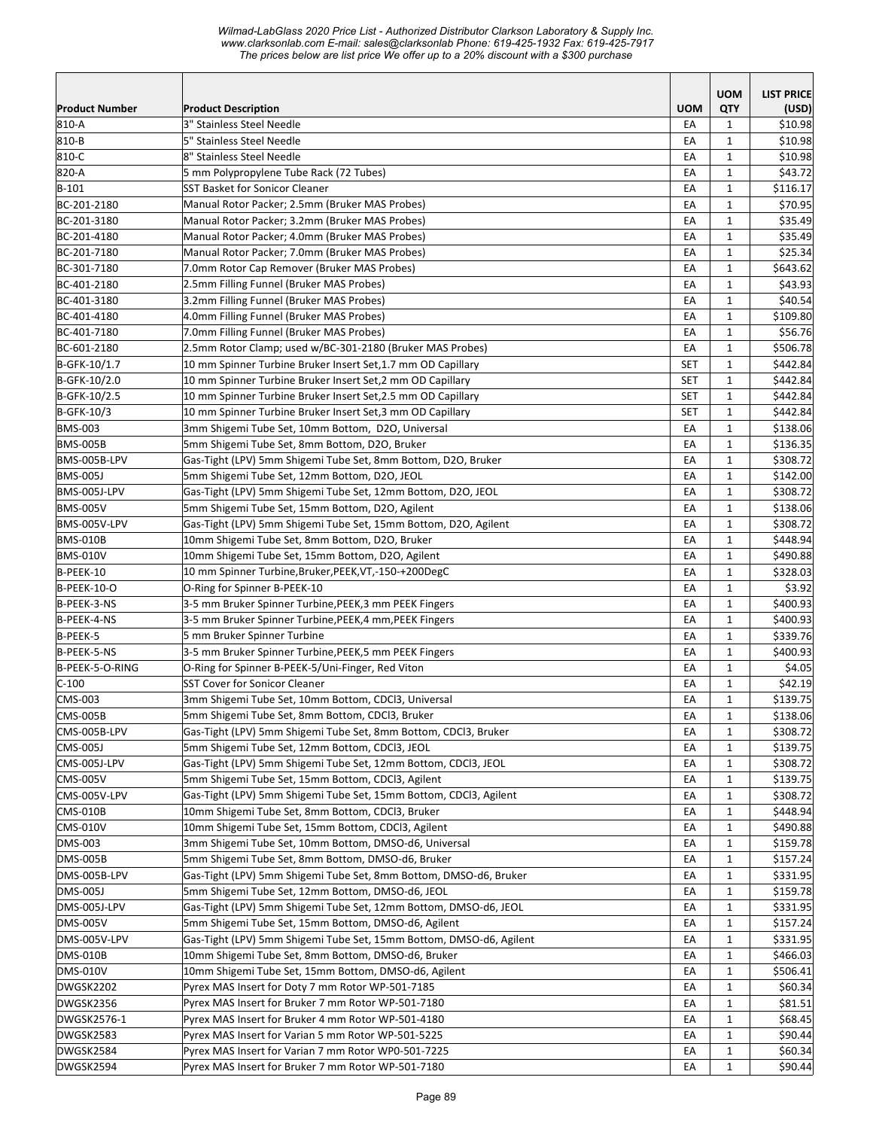|                       |                                                                     |            | <b>UOM</b>                   | <b>LIST PRICE</b> |
|-----------------------|---------------------------------------------------------------------|------------|------------------------------|-------------------|
| <b>Product Number</b> | <b>Product Description</b>                                          | <b>UOM</b> | <b>QTY</b>                   | (USD)             |
| 810-A                 | 3" Stainless Steel Needle                                           | EA         | $\mathbf{1}$                 | \$10.98           |
| 810-B                 | 5" Stainless Steel Needle                                           | EA         | $\mathbf{1}$                 | \$10.98           |
| 810-C                 | 8" Stainless Steel Needle                                           | EA         | $\mathbf{1}$                 | \$10.98           |
| 820-A                 | 5 mm Polypropylene Tube Rack (72 Tubes)                             | EA         | $\mathbf{1}$                 | \$43.72           |
| $ B-101$              | <b>SST Basket for Sonicor Cleaner</b>                               | EA         | $\mathbf{1}$                 | \$116.17          |
| BC-201-2180           | Manual Rotor Packer; 2.5mm (Bruker MAS Probes)                      | EA         | $\mathbf{1}$                 | \$70.95           |
| BC-201-3180           | Manual Rotor Packer; 3.2mm (Bruker MAS Probes)                      | EA         | $\mathbf{1}$                 | \$35.49           |
| BC-201-4180           | Manual Rotor Packer; 4.0mm (Bruker MAS Probes)                      | EA         | $\mathbf{1}$                 | \$35.49           |
| BC-201-7180           | Manual Rotor Packer; 7.0mm (Bruker MAS Probes)                      | EA         | $\mathbf{1}$                 | \$25.34           |
| BC-301-7180           | 7.0mm Rotor Cap Remover (Bruker MAS Probes)                         | EA         | $\mathbf{1}$                 | \$643.62          |
| BC-401-2180           | 2.5mm Filling Funnel (Bruker MAS Probes)                            | EA         | $\mathbf{1}$                 | \$43.93           |
| BC-401-3180           | 3.2mm Filling Funnel (Bruker MAS Probes)                            | EA         | $\mathbf{1}$                 | \$40.54           |
| BC-401-4180           | 4.0mm Filling Funnel (Bruker MAS Probes)                            | EA         | $\mathbf{1}$                 | \$109.80          |
| BC-401-7180           | 7.0mm Filling Funnel (Bruker MAS Probes)                            | EA         | $\mathbf{1}$                 | \$56.76           |
| BC-601-2180           | 2.5mm Rotor Clamp; used w/BC-301-2180 (Bruker MAS Probes)           | EA         | $\mathbf{1}$                 | \$506.78          |
| B-GFK-10/1.7          | 10 mm Spinner Turbine Bruker Insert Set, 1.7 mm OD Capillary        | <b>SET</b> | $\mathbf{1}$                 | \$442.84          |
| B-GFK-10/2.0          | 10 mm Spinner Turbine Bruker Insert Set,2 mm OD Capillary           | <b>SET</b> | $\mathbf{1}$                 | \$442.84          |
| B-GFK-10/2.5          | 10 mm Spinner Turbine Bruker Insert Set, 2.5 mm OD Capillary        | <b>SET</b> | $\mathbf{1}$                 | \$442.84          |
| B-GFK-10/3            | 10 mm Spinner Turbine Bruker Insert Set, 3 mm OD Capillary          | SET        | $\mathbf{1}$                 | \$442.84          |
| <b>BMS-003</b>        | 3mm Shigemi Tube Set, 10mm Bottom, D2O, Universal                   | EA         | $\mathbf{1}$                 | \$138.06          |
| <b>BMS-005B</b>       | 5mm Shigemi Tube Set, 8mm Bottom, D2O, Bruker                       | EA         | $\mathbf{1}$                 | \$136.35          |
| BMS-005B-LPV          | Gas-Tight (LPV) 5mm Shigemi Tube Set, 8mm Bottom, D2O, Bruker       | EA         | $\mathbf{1}$                 | \$308.72          |
| <b>BMS-005J</b>       | 5mm Shigemi Tube Set, 12mm Bottom, D2O, JEOL                        | EA         | $\mathbf{1}$                 | \$142.00          |
| BMS-005J-LPV          | Gas-Tight (LPV) 5mm Shigemi Tube Set, 12mm Bottom, D2O, JEOL        | EA         | $\mathbf{1}$                 | \$308.72          |
| <b>BMS-005V</b>       | 5mm Shigemi Tube Set, 15mm Bottom, D2O, Agilent                     | EA         | $\mathbf{1}$                 | \$138.06          |
| BMS-005V-LPV          | Gas-Tight (LPV) 5mm Shigemi Tube Set, 15mm Bottom, D2O, Agilent     | EA         | $\mathbf{1}$                 | \$308.72          |
| <b>BMS-010B</b>       | 10mm Shigemi Tube Set, 8mm Bottom, D2O, Bruker                      | EA         | 1                            | \$448.94          |
| BMS-010V              | 10mm Shigemi Tube Set, 15mm Bottom, D2O, Agilent                    | EA         | $\mathbf{1}$                 | \$490.88          |
| B-PEEK-10             | 10 mm Spinner Turbine, Bruker, PEEK, VT, -150-+200DegC              | EA         | $\mathbf{1}$                 | \$328.03          |
| <b>B-PEEK-10-O</b>    | O-Ring for Spinner B-PEEK-10                                        | EA         | $\mathbf{1}$                 | \$3.92            |
| B-PEEK-3-NS           | 3-5 mm Bruker Spinner Turbine,PEEK,3 mm PEEK Fingers                | EA         | $\mathbf{1}$                 | \$400.93          |
| B-PEEK-4-NS           | 3-5 mm Bruker Spinner Turbine, PEEK, 4 mm, PEEK Fingers             | EA         | $\mathbf{1}$                 | \$400.93          |
| B-PEEK-5              | 5 mm Bruker Spinner Turbine                                         | EA         | $\mathbf{1}$                 | \$339.76          |
| B-PEEK-5-NS           | 3-5 mm Bruker Spinner Turbine, PEEK, 5 mm PEEK Fingers              | EA         | $\mathbf{1}$                 | \$400.93          |
| B-PEEK-5-O-RING       | O-Ring for Spinner B-PEEK-5/Uni-Finger, Red Viton                   | EA         | $\mathbf{1}$                 | \$4.05            |
| $C-100$               | SST Cover for Sonicor Cleaner                                       | EA         | $\mathbf{1}$                 | \$42.19           |
| CMS-003               | 3mm Shigemi Tube Set, 10mm Bottom, CDCl3, Universal                 | EA         | $\mathbf{1}$                 | \$139.75          |
| CMS-005B              | 5mm Shigemi Tube Set, 8mm Bottom, CDCl3, Bruker                     | EA         | $\mathbf 1$                  | \$138.06          |
| CMS-005B-LPV          | Gas-Tight (LPV) 5mm Shigemi Tube Set, 8mm Bottom, CDCl3, Bruker     | EA         | $\mathbf{1}$                 | \$308.72          |
| CMS-005J              | 5mm Shigemi Tube Set, 12mm Bottom, CDCl3, JEOL                      | EA         | 1                            | \$139.75          |
| CMS-005J-LPV          | Gas-Tight (LPV) 5mm Shigemi Tube Set, 12mm Bottom, CDCl3, JEOL      | EA         | $\mathbf{1}$                 | \$308.72          |
| <b>CMS-005V</b>       | 5mm Shigemi Tube Set, 15mm Bottom, CDCl3, Agilent                   | EA         | 1                            | \$139.75          |
| CMS-005V-LPV          | Gas-Tight (LPV) 5mm Shigemi Tube Set, 15mm Bottom, CDCl3, Agilent   | EA         | 1                            | \$308.72          |
| CMS-010B              | 10mm Shigemi Tube Set, 8mm Bottom, CDCl3, Bruker                    | EA         | $\mathbf{1}$                 | \$448.94          |
| <b>CMS-010V</b>       | 10mm Shigemi Tube Set, 15mm Bottom, CDCl3, Agilent                  | EA         | $\mathbf{1}$                 | \$490.88          |
| <b>DMS-003</b>        | 3mm Shigemi Tube Set, 10mm Bottom, DMSO-d6, Universal               | EA         | $\mathbf{1}$                 | \$159.78          |
| <b>DMS-005B</b>       | 5mm Shigemi Tube Set, 8mm Bottom, DMSO-d6, Bruker                   | EA         | $\mathbf{1}$                 | \$157.24          |
| DMS-005B-LPV          | Gas-Tight (LPV) 5mm Shigemi Tube Set, 8mm Bottom, DMSO-d6, Bruker   | EA         | $\mathbf{1}$                 | \$331.95          |
| <b>DMS-005J</b>       | 5mm Shigemi Tube Set, 12mm Bottom, DMSO-d6, JEOL                    | EA         | $\mathbf{1}$                 | \$159.78          |
| DMS-005J-LPV          | Gas-Tight (LPV) 5mm Shigemi Tube Set, 12mm Bottom, DMSO-d6, JEOL    | EA         | 1                            | \$331.95          |
| <b>DMS-005V</b>       | 5mm Shigemi Tube Set, 15mm Bottom, DMSO-d6, Agilent                 | EA         | 1                            | \$157.24          |
| DMS-005V-LPV          | Gas-Tight (LPV) 5mm Shigemi Tube Set, 15mm Bottom, DMSO-d6, Agilent | EA         | $\mathbf{1}$                 | \$331.95          |
| DMS-010B              | 10mm Shigemi Tube Set, 8mm Bottom, DMSO-d6, Bruker                  | EA         | $\mathbf{1}$                 | \$466.03          |
| <b>DMS-010V</b>       | 10mm Shigemi Tube Set, 15mm Bottom, DMSO-d6, Agilent                | EA         | $\mathbf{1}$                 | \$506.41          |
| DWGSK2202             | Pyrex MAS Insert for Doty 7 mm Rotor WP-501-7185                    | EА         | $\mathbf{1}$                 | \$60.34           |
| DWGSK2356             | Pyrex MAS Insert for Bruker 7 mm Rotor WP-501-7180                  | EA         | $\mathbf{1}$                 | \$81.51           |
| DWGSK2576-1           | Pyrex MAS Insert for Bruker 4 mm Rotor WP-501-4180                  | EA         | 1                            | \$68.45           |
| DWGSK2583             | Pyrex MAS Insert for Varian 5 mm Rotor WP-501-5225                  |            |                              | \$90.44           |
|                       | Pyrex MAS Insert for Varian 7 mm Rotor WP0-501-7225                 | EA         | 1                            |                   |
| DWGSK2584             | Pyrex MAS Insert for Bruker 7 mm Rotor WP-501-7180                  | EA<br>EA   | $\mathbf{1}$<br>$\mathbf{1}$ | \$60.34           |
| DWGSK2594             |                                                                     |            |                              | \$90.44           |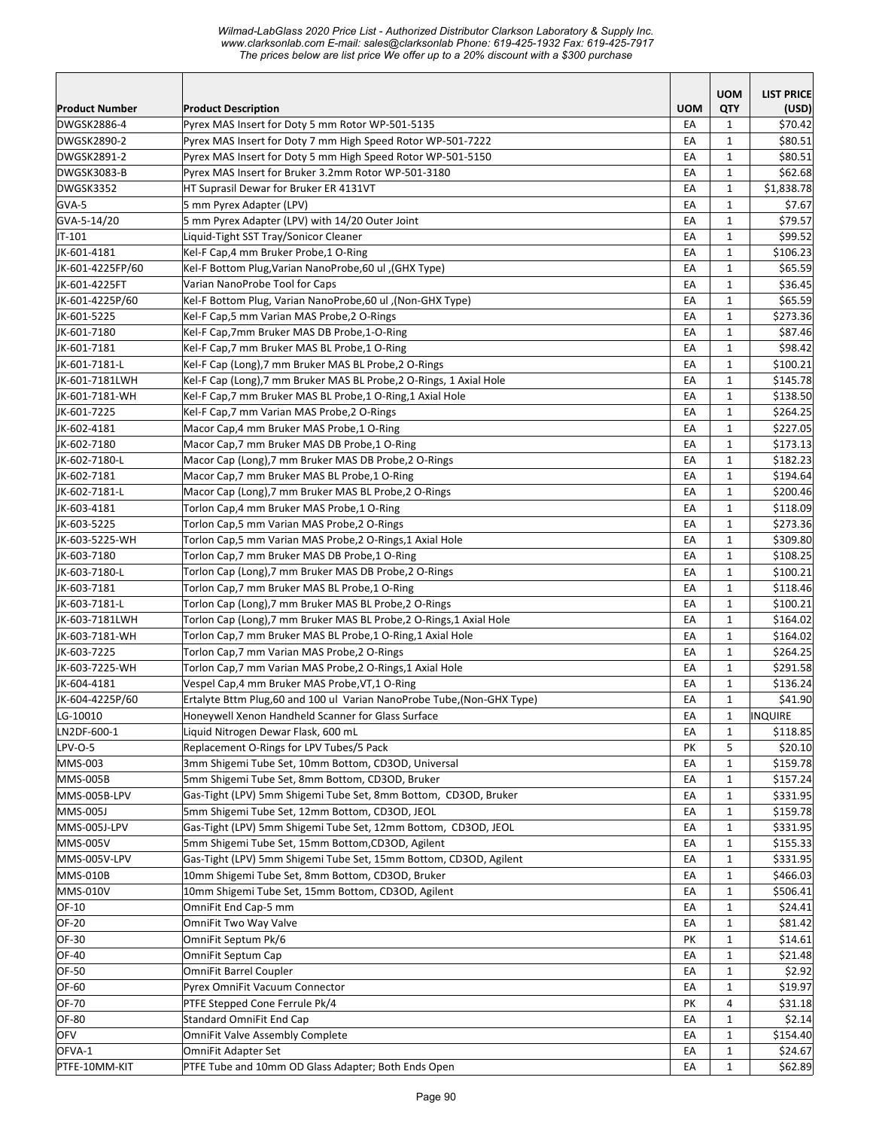*Wilmad-LabGlass 2020 Price List - Authorized Distributor Clarkson Laboratory & Supply Inc. www.clarksonlab.com E-mail: sales@clarksonlab Phone: 619-425-1932 Fax: 619-425-7917 The prices below are list price We offer up to a 20% discount with a \$300 purchase* 

| <b>Product Number</b> | <b>Product Description</b>                                              | <b>UOM</b> | <b>UOM</b><br>QTY | <b>LIST PRICE</b><br>(USD) |
|-----------------------|-------------------------------------------------------------------------|------------|-------------------|----------------------------|
| DWGSK2886-4           | Pyrex MAS Insert for Doty 5 mm Rotor WP-501-5135                        | EA         | 1                 | \$70.42                    |
| DWGSK2890-2           | Pyrex MAS Insert for Doty 7 mm High Speed Rotor WP-501-7222             | EA         | $\mathbf{1}$      | \$80.51                    |
| <b>DWGSK2891-2</b>    | Pyrex MAS Insert for Doty 5 mm High Speed Rotor WP-501-5150             | EA         | $\mathbf{1}$      | \$80.51                    |
| DWGSK3083-B           | Pyrex MAS Insert for Bruker 3.2mm Rotor WP-501-3180                     | EA         | 1                 | \$62.68                    |
| DWGSK3352             | HT Suprasil Dewar for Bruker ER 4131VT                                  | EA         | 1                 | \$1,838.78                 |
| GVA-5                 | 5 mm Pyrex Adapter (LPV)                                                | EA         | $\mathbf{1}$      | \$7.67                     |
| GVA-5-14/20           | 5 mm Pyrex Adapter (LPV) with 14/20 Outer Joint                         | EA         | $\mathbf{1}$      | \$79.57                    |
| $IT-101$              | Liquid-Tight SST Tray/Sonicor Cleaner                                   | EA         | 1                 | \$99.52                    |
| JK-601-4181           | Kel-F Cap, 4 mm Bruker Probe, 1 O-Ring                                  | EA         | $\mathbf{1}$      | \$106.23                   |
| JK-601-4225FP/60      | (GHX Type), Kel-F Bottom Plug, Varian NanoProbe, 60 ul                  | EA         | $\mathbf{1}$      | \$65.59                    |
| JK-601-4225FT         | Varian NanoProbe Tool for Caps                                          | EA         | $\mathbf{1}$      | \$36.45                    |
| JK-601-4225P/60       | (Non-GHX Type), Kel-F Bottom Plug, Varian NanoProbe,60 ul               | EA         | 1                 | \$65.59                    |
| JK-601-5225           | Kel-F Cap,5 mm Varian MAS Probe,2 O-Rings                               | EA         | 1                 | \$273.36                   |
| JK-601-7180           | Kel-F Cap,7mm Bruker MAS DB Probe,1-O-Ring                              | EA         | $\mathbf{1}$      | \$87.46                    |
| JK-601-7181           | Kel-F Cap,7 mm Bruker MAS BL Probe,1 O-Ring                             | EA         | $\mathbf{1}$      | \$98.42                    |
| JK-601-7181-L         | Kel-F Cap (Long),7 mm Bruker MAS BL Probe,2 O-Rings                     | EA         | $\mathbf{1}$      | \$100.21                   |
| JK-601-7181LWH        | Kel-F Cap (Long),7 mm Bruker MAS BL Probe,2 O-Rings, 1 Axial Hole       | EA         | $\mathbf{1}$      | \$145.78                   |
| JK-601-7181-WH        | Kel-F Cap, 7 mm Bruker MAS BL Probe, 1 O-Ring, 1 Axial Hole             | EA         | $\mathbf{1}$      | \$138.50                   |
| JK-601-7225           | Kel-F Cap, 7 mm Varian MAS Probe, 2 O-Rings                             | EA         | $\mathbf{1}$      | \$264.25                   |
| JK-602-4181           | Macor Cap,4 mm Bruker MAS Probe,1 O-Ring                                | EA         | 1                 | \$227.05                   |
| JK-602-7180           | Macor Cap, 7 mm Bruker MAS DB Probe, 1 O-Ring                           | EA         | 1                 | \$173.13                   |
| JK-602-7180-L         | Macor Cap (Long),7 mm Bruker MAS DB Probe,2 O-Rings                     | EA         | $\mathbf{1}$      | \$182.23                   |
| JK-602-7181           | Macor Cap, 7 mm Bruker MAS BL Probe, 1 O-Ring                           | EA         | 1                 | \$194.64                   |
| JK-602-7181-L         | Macor Cap (Long),7 mm Bruker MAS BL Probe,2 O-Rings                     | EA         | $\mathbf{1}$      | \$200.46                   |
| JK-603-4181           | Torlon Cap,4 mm Bruker MAS Probe,1 O-Ring                               | EA         | 1                 | \$118.09                   |
| JK-603-5225           | Torlon Cap,5 mm Varian MAS Probe,2 O-Rings                              | EA         | $\mathbf{1}$      | \$273.36                   |
| JK-603-5225-WH        | Torlon Cap,5 mm Varian MAS Probe,2 O-Rings,1 Axial Hole                 | EA         | 1                 | \$309.80                   |
| JK-603-7180           | Torlon Cap,7 mm Bruker MAS DB Probe,1 O-Ring                            | EA         | 1                 | \$108.25                   |
| JK-603-7180-L         | Torlon Cap (Long),7 mm Bruker MAS DB Probe,2 O-Rings                    | EA         | 1                 | \$100.21                   |
| JK-603-7181           | Torlon Cap,7 mm Bruker MAS BL Probe,1 O-Ring                            | EA         | $\mathbf{1}$      | \$118.46                   |
| JK-603-7181-L         | Torlon Cap (Long),7 mm Bruker MAS BL Probe,2 O-Rings                    | EA         | $\mathbf{1}$      | \$100.21                   |
| JK-603-7181LWH        | Torlon Cap (Long),7 mm Bruker MAS BL Probe,2 O-Rings,1 Axial Hole       | EA         | $\mathbf{1}$      | \$164.02                   |
| JK-603-7181-WH        | Torlon Cap,7 mm Bruker MAS BL Probe,1 O-Ring,1 Axial Hole               | EA         | $\mathbf{1}$      | \$164.02                   |
| JK-603-7225           | Torlon Cap, 7 mm Varian MAS Probe, 2 O-Rings                            | EA         | 1                 | \$264.25                   |
| JK-603-7225-WH        | Torlon Cap,7 mm Varian MAS Probe,2 O-Rings,1 Axial Hole                 | EA         | 1                 | \$291.58                   |
| JK-604-4181           | Vespel Cap,4 mm Bruker MAS Probe, VT,1 O-Ring                           | EA         | $\mathbf{1}$      | \$136.24                   |
| JK-604-4225P/60       | Ertalyte Bttm Plug, 60 and 100 ul Varian NanoProbe Tube, (Non-GHX Type) | EA         | $\mathbf{1}$      | \$41.90                    |
| LG-10010              | Honeywell Xenon Handheld Scanner for Glass Surface                      | EA         | $\mathbf{1}$      | <b>INQUIRE</b>             |
| LN2DF-600-1           | Liquid Nitrogen Dewar Flask, 600 mL                                     | EA         | $\mathbf{1}$      | \$118.85                   |
| LPV-O-5               | Replacement O-Rings for LPV Tubes/5 Pack                                | PΚ         | 5                 | \$20.10                    |
| MMS-003               | 3mm Shigemi Tube Set, 10mm Bottom, CD3OD, Universal                     | EA         | $\mathbf{1}$      | \$159.78                   |
| <b>MMS-005B</b>       | 5mm Shigemi Tube Set, 8mm Bottom, CD3OD, Bruker                         | EA         | 1                 | \$157.24                   |
| MMS-005B-LPV          | Gas-Tight (LPV) 5mm Shigemi Tube Set, 8mm Bottom, CD3OD, Bruker         | EA         | 1                 | \$331.95                   |
| MMS-005J              | 5mm Shigemi Tube Set, 12mm Bottom, CD3OD, JEOL                          | EA         | $\mathbf{1}$      | \$159.78                   |
| MMS-005J-LPV          | Gas-Tight (LPV) 5mm Shigemi Tube Set, 12mm Bottom, CD3OD, JEOL          | EA         | $\mathbf 1$       | \$331.95                   |
| <b>MMS-005V</b>       | 5mm Shigemi Tube Set, 15mm Bottom, CD3OD, Agilent                       | EA         | $\mathbf{1}$      | \$155.33                   |
| MMS-005V-LPV          | Gas-Tight (LPV) 5mm Shigemi Tube Set, 15mm Bottom, CD3OD, Agilent       | EA         | $\mathbf{1}$      | \$331.95                   |
| <b>MMS-010B</b>       | 10mm Shigemi Tube Set, 8mm Bottom, CD3OD, Bruker                        | EA         | $\mathbf{1}$      | \$466.03                   |
| <b>MMS-010V</b>       | 10mm Shigemi Tube Set, 15mm Bottom, CD3OD, Agilent                      | EA         | $\mathbf{1}$      | \$506.41                   |
| OF-10                 | OmniFit End Cap-5 mm                                                    | EA         | $\mathbf{1}$      | \$24.41                    |
| OF-20                 | OmniFit Two Way Valve                                                   | EA         | $\mathbf{1}$      | \$81.42                    |
| OF-30                 | OmniFit Septum Pk/6                                                     | PΚ         | $\mathbf{1}$      | \$14.61                    |
| OF-40                 | OmniFit Septum Cap                                                      | EA         | $\mathbf{1}$      | \$21.48                    |
| OF-50                 | <b>OmniFit Barrel Coupler</b>                                           | EA         | $\mathbf{1}$      | \$2.92                     |
| OF-60                 | Pyrex OmniFit Vacuum Connector                                          | EA         | $\mathbf{1}$      | \$19.97                    |
| OF-70                 | PTFE Stepped Cone Ferrule Pk/4                                          | PΚ         | 4                 | \$31.18                    |
| OF-80                 | Standard OmniFit End Cap                                                | EA         | 1                 | \$2.14                     |
| OFV                   | <b>OmniFit Valve Assembly Complete</b><br>OmniFit Adapter Set           | EA         | 1                 | \$154.40                   |
| OFVA-1                |                                                                         | EA         | 1                 | \$24.67                    |
| PTFE-10MM-KIT         | PTFE Tube and 10mm OD Glass Adapter; Both Ends Open                     | EA         | $\mathbf{1}$      | \$62.89                    |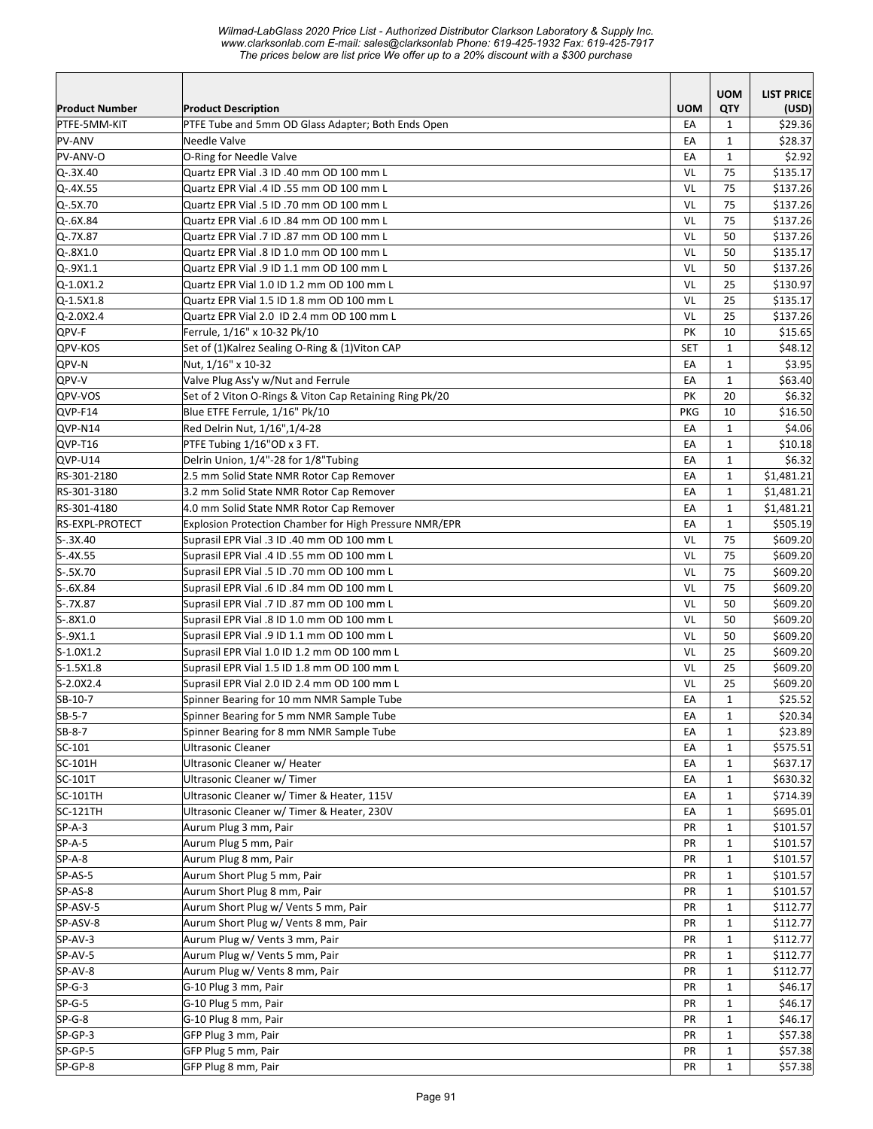*Wilmad-LabGlass 2020 Price List - Authorized Distributor Clarkson Laboratory & Supply Inc. www.clarksonlab.com E-mail: sales@clarksonlab Phone: 619-425-1932 Fax: 619-425-7917 The prices below are list price We offer up to a 20% discount with a \$300 purchase* 

|                       |                                                               |            | <b>UOM</b>   | <b>LIST PRICE</b> |
|-----------------------|---------------------------------------------------------------|------------|--------------|-------------------|
| <b>Product Number</b> | <b>Product Description</b>                                    | <b>UOM</b> | QTY          | (USD)             |
| PTFE-5MM-KIT          | PTFE Tube and 5mm OD Glass Adapter; Both Ends Open            | EA         | $\mathbf{1}$ | \$29.36           |
| PV-ANV                | Needle Valve                                                  | EA         | $\mathbf{1}$ | \$28.37           |
| PV-ANV-O              | O-Ring for Needle Valve                                       | EA         | $\mathbf{1}$ | \$2.92            |
| $Q - 3X.40$           | Quartz EPR Vial .3 ID .40 mm OD 100 mm L                      | VL         | 75           | \$135.17          |
| $Q - 4X.55$           | Quartz EPR Vial .4 ID .55 mm OD 100 mm L                      | VL         | 75           | \$137.26          |
| Q-.5X.70              | Quartz EPR Vial .5 ID .70 mm OD 100 mm L                      | VL         | 75           | \$137.26          |
| $Q-.6X.84$            | Quartz EPR Vial .6 ID .84 mm OD 100 mm L                      | VL         | 75           | \$137.26          |
| $Q - 7X.87$           | Quartz EPR Vial .7 ID .87 mm OD 100 mm L                      | VL         | 50           | \$137.26          |
| $Q - 8X1.0$           | Quartz EPR Vial .8 ID 1.0 mm OD 100 mm L                      | VL         | 50           | \$135.17          |
| $Q-.9X1.1$            | Quartz EPR Vial .9 ID 1.1 mm OD 100 mm L                      | VL         | 50           | \$137.26          |
| $Q - 1.0X1.2$         | Quartz EPR Vial 1.0 ID 1.2 mm OD 100 mm L                     | VL         | 25           | \$130.97          |
| $Q - 1.5X1.8$         | Quartz EPR Vial 1.5 ID 1.8 mm OD 100 mm L                     | VL         | 25           | \$135.17          |
| $Q - 2.0X2.4$         | Quartz EPR Vial 2.0 ID 2.4 mm OD 100 mm L                     | VL         | 25           | \$137.26          |
| QPV-F                 | Ferrule, 1/16" x 10-32 Pk/10                                  | PK         | 10           | \$15.65           |
| QPV-KOS               | Set of (1)Kalrez Sealing O-Ring & (1)Viton CAP                | <b>SET</b> | $\mathbf{1}$ | \$48.12           |
| <b>QPV-N</b>          | Nut, 1/16" x 10-32                                            | EA         | $\mathbf{1}$ | \$3.95            |
| QPV-V                 | Valve Plug Ass'y w/Nut and Ferrule                            | EA         | $\mathbf{1}$ | \$63.40           |
| QPV-VOS               | Set of 2 Viton O-Rings & Viton Cap Retaining Ring Pk/20       | PK         | 20           | \$6.32            |
| QVP-F14               | Blue ETFE Ferrule, 1/16" Pk/10                                | <b>PKG</b> | 10           | \$16.50           |
| QVP-N14               | Red Delrin Nut, 1/16", 1/4-28                                 | EA         | $\mathbf{1}$ | \$4.06            |
| $QVP-T16$             | PTFE Tubing 1/16"OD x 3 FT.                                   | EA         | $\mathbf{1}$ | \$10.18           |
| QVP-U14               | Delrin Union, 1/4"-28 for 1/8"Tubing                          | EA         | $\mathbf{1}$ | \$6.32            |
| RS-301-2180           | 2.5 mm Solid State NMR Rotor Cap Remover                      | EA         | $\mathbf{1}$ | \$1,481.21        |
| RS-301-3180           | 3.2 mm Solid State NMR Rotor Cap Remover                      | EA         | $\mathbf{1}$ | \$1,481.21        |
| RS-301-4180           | 4.0 mm Solid State NMR Rotor Cap Remover                      | EA         | 1            | \$1,481.21        |
| RS-EXPL-PROTECT       | <b>Explosion Protection Chamber for High Pressure NMR/EPR</b> | EA         | $\mathbf{1}$ | \$505.19          |
| $S-.3X.40$            | Suprasil EPR Vial .3 ID .40 mm OD 100 mm L                    | VL         | 75           | \$609.20          |
| $S-.4X.55$            | Suprasil EPR Vial .4 ID .55 mm OD 100 mm L                    | VL         | 75           | \$609.20          |
| $S-.5X.70$            | Suprasil EPR Vial .5 ID .70 mm OD 100 mm L                    | VL         | 75           | \$609.20          |
| $S-.6X.84$            | Suprasil EPR Vial .6 ID .84 mm OD 100 mm L                    | VL         | 75           | \$609.20          |
| $S-.7X.87$            | Suprasil EPR Vial .7 ID .87 mm OD 100 mm L                    | VL         | 50           | \$609.20          |
| $S-.8X1.0$            | Suprasil EPR Vial .8 ID 1.0 mm OD 100 mm L                    | VL         | 50           | \$609.20          |
| $S-9X1.1$             | Suprasil EPR Vial .9 ID 1.1 mm OD 100 mm L                    | VL         | 50           | \$609.20          |
| $S-1.0X1.2$           | Suprasil EPR Vial 1.0 ID 1.2 mm OD 100 mm L                   | VL         | 25           | \$609.20          |
| $S-1.5X1.8$           | Suprasil EPR Vial 1.5 ID 1.8 mm OD 100 mm L                   | VL         | 25           | \$609.20          |
| S-2.0X2.4             | Suprasil EPR Vial 2.0 ID 2.4 mm OD 100 mm L                   | VL         | 25           | \$609.20          |
| SB-10-7               | Spinner Bearing for 10 mm NMR Sample Tube                     | EA         | $\mathbf{1}$ | \$25.52           |
| SB-5-7                | Spinner Bearing for 5 mm NMR Sample Tube                      | EA         | $\mathbf 1$  | \$20.34           |
| SB-8-7                | Spinner Bearing for 8 mm NMR Sample Tube                      | EA         | $\mathbf{1}$ | \$23.89           |
| SC-101                | Ultrasonic Cleaner                                            | EA         | 1            | \$575.51          |
| SC-101H               | Ultrasonic Cleaner w/ Heater                                  | EA         | 1            | \$637.17          |
| SC-101T               | Ultrasonic Cleaner w/ Timer                                   | EA         | 1            | \$630.32          |
| SC-101TH              | Ultrasonic Cleaner w/ Timer & Heater, 115V                    | EA         | $\mathbf{1}$ | \$714.39          |
| SC-121TH              | Ultrasonic Cleaner w/ Timer & Heater, 230V                    | EA         | $\mathbf{1}$ | \$695.01          |
| $SP-A-3$              | Aurum Plug 3 mm, Pair                                         | PR         | $\mathbf{1}$ | \$101.57          |
| $SP-A-5$              | Aurum Plug 5 mm, Pair                                         | PR         | $\mathbf{1}$ | \$101.57          |
| $SP-A-8$              | Aurum Plug 8 mm, Pair                                         | PR         | $\mathbf{1}$ | \$101.57          |
| SP-AS-5               | Aurum Short Plug 5 mm, Pair                                   | PR         | $\mathbf{1}$ | \$101.57          |
| SP-AS-8               | Aurum Short Plug 8 mm, Pair                                   | PR         | $\mathbf{1}$ | \$101.57          |
| SP-ASV-5              | Aurum Short Plug w/ Vents 5 mm, Pair                          | PR         | $\mathbf{1}$ | \$112.77          |
| SP-ASV-8              | Aurum Short Plug w/ Vents 8 mm, Pair                          | PR         | $\mathbf{1}$ | \$112.77          |
| SP-AV-3               | Aurum Plug w/ Vents 3 mm, Pair                                | PR         | $\mathbf{1}$ | \$112.77          |
| SP-AV-5               | Aurum Plug w/ Vents 5 mm, Pair                                | PR         | $\mathbf{1}$ | \$112.77          |
| SP-AV-8               | Aurum Plug w/ Vents 8 mm, Pair                                | PR         | $\mathbf{1}$ | \$112.77          |
| $SP-G-3$              | G-10 Plug 3 mm, Pair                                          | PR         | $\mathbf{1}$ | \$46.17           |
| $SP-G-5$              | G-10 Plug 5 mm, Pair                                          | PR         | $\mathbf{1}$ | \$46.17           |
| $SP-G-8$              | G-10 Plug 8 mm, Pair                                          | PR         | $\mathbf{1}$ | \$46.17           |
| $SP-GP-3$             | GFP Plug 3 mm, Pair                                           | PR         | $\mathbf{1}$ | \$57.38           |
| SP-GP-5               | GFP Plug 5 mm, Pair                                           | PR         | $\mathbf{1}$ | \$57.38           |
| SP-GP-8               | GFP Plug 8 mm, Pair                                           | PR         | $\mathbf{1}$ | \$57.38           |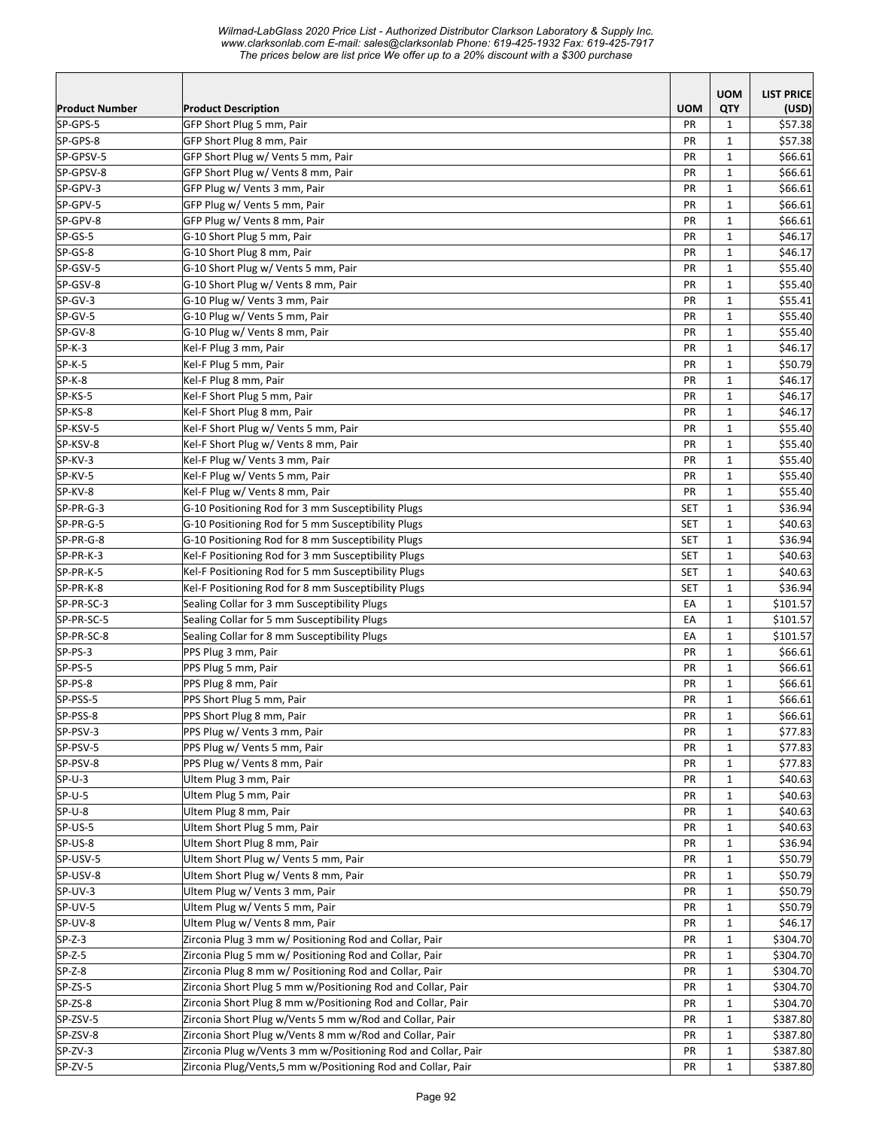*Wilmad-LabGlass 2020 Price List - Authorized Distributor Clarkson Laboratory & Supply Inc. www.clarksonlab.com E-mail: sales@clarksonlab Phone: 619-425-1932 Fax: 619-425-7917 The prices below are list price We offer up to a 20% discount with a \$300 purchase* 

|                       |                                                               |            | <b>UOM</b>   | <b>LIST PRICE</b> |
|-----------------------|---------------------------------------------------------------|------------|--------------|-------------------|
| <b>Product Number</b> | <b>Product Description</b>                                    | <b>UOM</b> | QTY          | (USD)             |
| SP-GPS-5              | GFP Short Plug 5 mm, Pair                                     | <b>PR</b>  | $\mathbf{1}$ | \$57.38           |
| SP-GPS-8              | GFP Short Plug 8 mm, Pair                                     | PR         | $\mathbf{1}$ | \$57.38           |
| SP-GPSV-5             | GFP Short Plug w/ Vents 5 mm, Pair                            | PR         | $\mathbf{1}$ | \$66.61           |
| SP-GPSV-8             | GFP Short Plug w/ Vents 8 mm, Pair                            | PR         | $\mathbf{1}$ | \$66.61           |
| SP-GPV-3              | GFP Plug w/ Vents 3 mm, Pair                                  | PR         | $\mathbf{1}$ | \$66.61           |
| SP-GPV-5              | GFP Plug w/ Vents 5 mm, Pair                                  | PR         | $\mathbf{1}$ | \$66.61           |
| SP-GPV-8              | GFP Plug w/ Vents 8 mm, Pair                                  | PR         | $\mathbf{1}$ | \$66.61           |
| SP-GS-5               | G-10 Short Plug 5 mm, Pair                                    | PR         | $\mathbf{1}$ | \$46.17           |
| SP-GS-8               | G-10 Short Plug 8 mm, Pair                                    | PR         | $\mathbf{1}$ | \$46.17           |
| SP-GSV-5              | G-10 Short Plug w/ Vents 5 mm, Pair                           | PR         | $\mathbf{1}$ | \$55.40           |
| SP-GSV-8              | G-10 Short Plug w/ Vents 8 mm, Pair                           | PR         | $\mathbf{1}$ | \$55.40           |
| SP-GV-3               | G-10 Plug w/ Vents 3 mm, Pair                                 | PR         | 1            | \$55.41           |
| SP-GV-5               | G-10 Plug w/ Vents 5 mm, Pair                                 | <b>PR</b>  | $\mathbf{1}$ | \$55.40           |
| SP-GV-8               | G-10 Plug w/ Vents 8 mm, Pair                                 | PR         | $\mathbf{1}$ | \$55.40           |
| $SP-K-3$              | Kel-F Plug 3 mm, Pair                                         | PR         | $\mathbf{1}$ | \$46.17           |
| $SP-K-5$              | Kel-F Plug 5 mm, Pair                                         | PR         | $\mathbf{1}$ | \$50.79           |
| $SP-K-8$              | Kel-F Plug 8 mm, Pair                                         | PR         | $\mathbf{1}$ | \$46.17           |
| SP-KS-5               | Kel-F Short Plug 5 mm, Pair                                   | <b>PR</b>  | $\mathbf{1}$ | \$46.17           |
| SP-KS-8               | Kel-F Short Plug 8 mm, Pair                                   | PR         | $\mathbf{1}$ | \$46.17           |
| SP-KSV-5              | Kel-F Short Plug w/ Vents 5 mm, Pair                          | PR         | $\mathbf{1}$ | \$55.40           |
| SP-KSV-8              | Kel-F Short Plug w/ Vents 8 mm, Pair                          | PR         | $\mathbf{1}$ | \$55.40           |
| SP-KV-3               | Kel-F Plug w/ Vents 3 mm, Pair                                | PR         | $\mathbf{1}$ | \$55.40           |
| SP-KV-5               | Kel-F Plug w/ Vents 5 mm, Pair                                | PR         | $\mathbf{1}$ | \$55.40           |
| SP-KV-8               | Kel-F Plug w/ Vents 8 mm, Pair                                | PR         | $\mathbf{1}$ | \$55.40           |
| SP-PR-G-3             | G-10 Positioning Rod for 3 mm Susceptibility Plugs            | <b>SET</b> | $\mathbf{1}$ | \$36.94           |
| SP-PR-G-5             | G-10 Positioning Rod for 5 mm Susceptibility Plugs            | <b>SET</b> | $\mathbf{1}$ | \$40.63           |
| SP-PR-G-8             | G-10 Positioning Rod for 8 mm Susceptibility Plugs            | <b>SET</b> | 1            | \$36.94           |
| SP-PR-K-3             | Kel-F Positioning Rod for 3 mm Susceptibility Plugs           | <b>SET</b> | $\mathbf{1}$ | \$40.63           |
| SP-PR-K-5             | Kel-F Positioning Rod for 5 mm Susceptibility Plugs           | <b>SET</b> | $\mathbf{1}$ | \$40.63           |
| SP-PR-K-8             | Kel-F Positioning Rod for 8 mm Susceptibility Plugs           | <b>SET</b> | $\mathbf{1}$ | \$36.94           |
| SP-PR-SC-3            | Sealing Collar for 3 mm Susceptibility Plugs                  | EA         | $\mathbf{1}$ | \$101.57          |
| SP-PR-SC-5            | Sealing Collar for 5 mm Susceptibility Plugs                  | EA         | $\mathbf{1}$ | \$101.57          |
| SP-PR-SC-8            | Sealing Collar for 8 mm Susceptibility Plugs                  | EA         | $\mathbf{1}$ | \$101.57          |
| SP-PS-3               | PPS Plug 3 mm, Pair                                           | PR         | $\mathbf{1}$ | \$66.61           |
| SP-PS-5               | PPS Plug 5 mm, Pair                                           | PR         | $\mathbf{1}$ | \$66.61           |
| SP-PS-8               | PPS Plug 8 mm, Pair                                           | PR         | $\mathbf{1}$ | \$66.61           |
| SP-PSS-5              | PPS Short Plug 5 mm, Pair                                     | PR         | $\mathbf{1}$ | \$66.61           |
| SP-PSS-8              | PPS Short Plug 8 mm, Pair                                     | PR         | $\mathbf 1$  | \$66.61           |
| SP-PSV-3              | PPS Plug w/ Vents 3 mm, Pair                                  | PR         | $\mathbf{1}$ | \$77.83           |
| SP-PSV-5              | PPS Plug w/ Vents 5 mm, Pair                                  | PR         | $\mathbf{1}$ | \$77.83           |
| SP-PSV-8              | PPS Plug w/ Vents 8 mm, Pair                                  | PR         | $\mathbf{1}$ | \$77.83           |
| $SP-U-3$              | Ultem Plug 3 mm, Pair                                         | PR         | 1            | \$40.63           |
| $SP-U-5$              | Ultem Plug 5 mm, Pair                                         | PR         | $\mathbf{1}$ | \$40.63           |
| $SP-U-8$              | Ultem Plug 8 mm, Pair                                         | PR         | $\mathbf{1}$ | \$40.63           |
| SP-US-5               | Ultem Short Plug 5 mm, Pair                                   | PR         | $\mathbf{1}$ | \$40.63           |
| SP-US-8               | Ultem Short Plug 8 mm, Pair                                   | PR         | $\mathbf{1}$ | \$36.94           |
| SP-USV-5              | Ultem Short Plug w/ Vents 5 mm, Pair                          | PR         | $\mathbf{1}$ | \$50.79           |
| SP-USV-8              | Ultem Short Plug w/ Vents 8 mm, Pair                          | PR         | $\mathbf{1}$ | \$50.79           |
| SP-UV-3               | Ultem Plug w/ Vents 3 mm, Pair                                | PR         | $\mathbf{1}$ | \$50.79           |
| SP-UV-5               | Ultem Plug w/ Vents 5 mm, Pair                                | PR         | $\mathbf{1}$ | \$50.79           |
| SP-UV-8               | Ultem Plug w/ Vents 8 mm, Pair                                | PR         | $\mathbf{1}$ | \$46.17           |
| $SP-Z-3$              | Zirconia Plug 3 mm w/ Positioning Rod and Collar, Pair        | PR         | $\mathbf{1}$ | \$304.70          |
| $SP-Z-5$              | Zirconia Plug 5 mm w/ Positioning Rod and Collar, Pair        | PR         | $\mathbf{1}$ | \$304.70          |
| $SP-Z-8$              | Zirconia Plug 8 mm w/ Positioning Rod and Collar, Pair        | PR         | $\mathbf{1}$ | \$304.70          |
| SP-ZS-5               | Zirconia Short Plug 5 mm w/Positioning Rod and Collar, Pair   | PR         | $\mathbf{1}$ | \$304.70          |
| SP-ZS-8               | Zirconia Short Plug 8 mm w/Positioning Rod and Collar, Pair   | PR         | $\mathbf{1}$ | \$304.70          |
| SP-ZSV-5              | Zirconia Short Plug w/Vents 5 mm w/Rod and Collar, Pair       | PR         | 1            | \$387.80          |
| SP-ZSV-8              | Zirconia Short Plug w/Vents 8 mm w/Rod and Collar, Pair       | PR         | $\mathbf{1}$ | \$387.80          |
| SP-ZV-3               | Zirconia Plug w/Vents 3 mm w/Positioning Rod and Collar, Pair | PR         | $\mathbf{1}$ | \$387.80          |
| SP-ZV-5               | Zirconia Plug/Vents,5 mm w/Positioning Rod and Collar, Pair   | PR         | $\mathbf{1}$ | \$387.80          |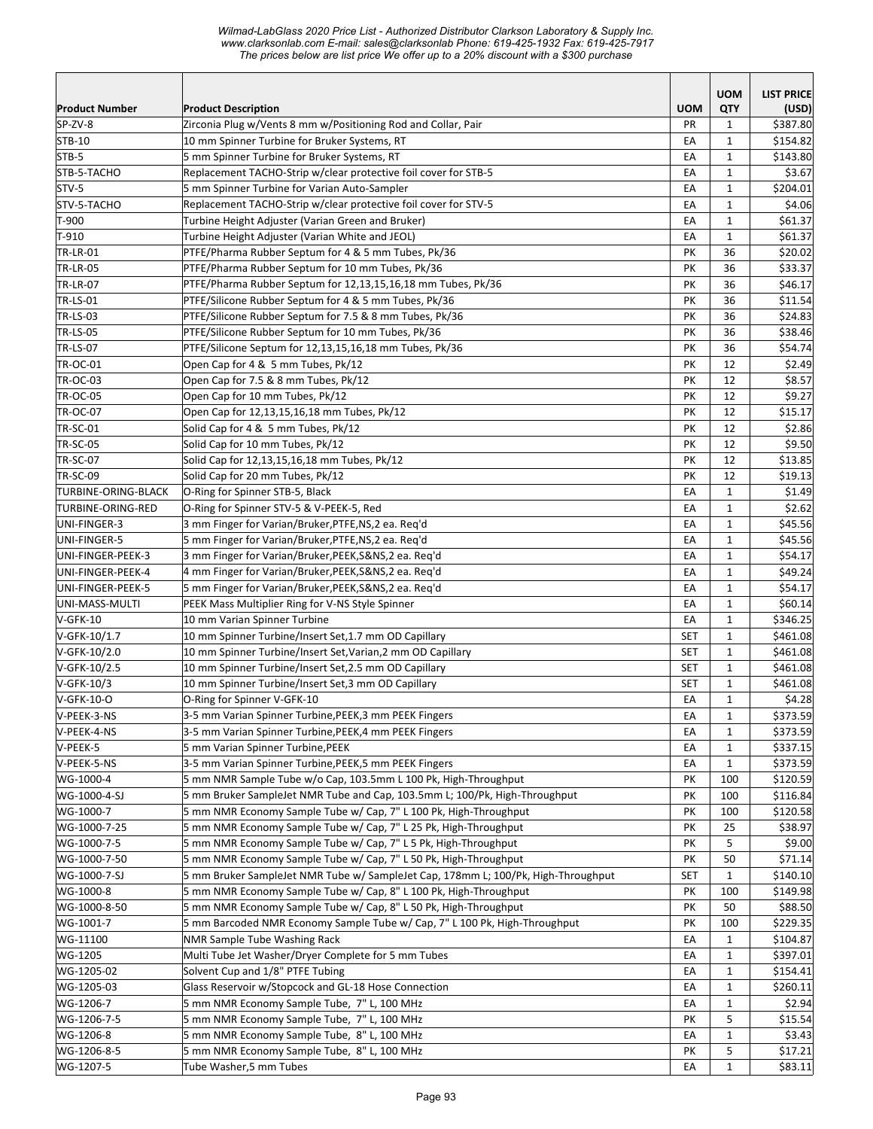*Wilmad-LabGlass 2020 Price List - Authorized Distributor Clarkson Laboratory & Supply Inc. www.clarksonlab.com E-mail: sales@clarksonlab Phone: 619-425-1932 Fax: 619-425-7917 The prices below are list price We offer up to a 20% discount with a \$300 purchase* 

|                       |                                                                                   |            | <b>UOM</b>   | <b>LIST PRICE</b> |
|-----------------------|-----------------------------------------------------------------------------------|------------|--------------|-------------------|
| <b>Product Number</b> | <b>Product Description</b>                                                        | <b>UOM</b> | QTY          | (USD)             |
| SP-ZV-8               | Zirconia Plug w/Vents 8 mm w/Positioning Rod and Collar, Pair                     | <b>PR</b>  | 1            | \$387.80          |
| STB-10                | 10 mm Spinner Turbine for Bruker Systems, RT                                      | EA         | $\mathbf{1}$ | \$154.82          |
| STB-5                 | 5 mm Spinner Turbine for Bruker Systems, RT                                       | EA         | 1            | \$143.80          |
| STB-5-TACHO           | Replacement TACHO-Strip w/clear protective foil cover for STB-5                   | EA         | $\mathbf{1}$ | \$3.67            |
| STV-5                 | 5 mm Spinner Turbine for Varian Auto-Sampler                                      | EA         | $\mathbf{1}$ | \$204.01          |
| STV-5-TACHO           | Replacement TACHO-Strip w/clear protective foil cover for STV-5                   | EA         | $\mathbf{1}$ | \$4.06            |
| T-900                 | Turbine Height Adjuster (Varian Green and Bruker)                                 | EA         | $\mathbf{1}$ | \$61.37           |
| T-910                 | Turbine Height Adjuster (Varian White and JEOL)                                   | EA         | $\mathbf{1}$ | \$61.37           |
| <b>TR-LR-01</b>       | PTFE/Pharma Rubber Septum for 4 & 5 mm Tubes, Pk/36                               | PK         | 36           | \$20.02           |
| <b>TR-LR-05</b>       | PTFE/Pharma Rubber Septum for 10 mm Tubes, Pk/36                                  | PK         | 36           | \$33.37           |
| <b>TR-LR-07</b>       | PTFE/Pharma Rubber Septum for 12,13,15,16,18 mm Tubes, Pk/36                      | PK         | 36           | \$46.17           |
| <b>TR-LS-01</b>       | PTFE/Silicone Rubber Septum for 4 & 5 mm Tubes, Pk/36                             | PK         | 36           | \$11.54           |
| <b>TR-LS-03</b>       | PTFE/Silicone Rubber Septum for 7.5 & 8 mm Tubes, Pk/36                           | PK         | 36           | \$24.83           |
| <b>TR-LS-05</b>       | PTFE/Silicone Rubber Septum for 10 mm Tubes, Pk/36                                | PK         | 36           | \$38.46           |
| <b>TR-LS-07</b>       | PTFE/Silicone Septum for 12,13,15,16,18 mm Tubes, Pk/36                           | PK         | 36           | \$54.74           |
| <b>TR-OC-01</b>       | Open Cap for 4 & 5 mm Tubes, Pk/12                                                | PK         | 12           | \$2.49            |
| <b>TR-OC-03</b>       | Open Cap for 7.5 & 8 mm Tubes, Pk/12                                              | PK         | 12           | \$8.57            |
| <b>TR-OC-05</b>       | Open Cap for 10 mm Tubes, Pk/12                                                   | PK         | 12           | \$9.27            |
| <b>TR-OC-07</b>       | Open Cap for 12,13,15,16,18 mm Tubes, Pk/12                                       | PK         | 12           | \$15.17           |
| <b>TR-SC-01</b>       | Solid Cap for 4 & 5 mm Tubes, Pk/12                                               | PK         | 12           | \$2.86            |
| <b>TR-SC-05</b>       | Solid Cap for 10 mm Tubes, Pk/12                                                  | PK         | 12           | \$9.50            |
| <b>TR-SC-07</b>       | Solid Cap for 12,13,15,16,18 mm Tubes, Pk/12                                      | PK         | 12           | \$13.85           |
| <b>TR-SC-09</b>       | Solid Cap for 20 mm Tubes, Pk/12                                                  | PK         | 12           | \$19.13           |
| TURBINE-ORING-BLACK   | O-Ring for Spinner STB-5, Black                                                   | EA         | $\mathbf{1}$ | \$1.49            |
| TURBINE-ORING-RED     | O-Ring for Spinner STV-5 & V-PEEK-5, Red                                          | EA         | $\mathbf{1}$ | \$2.62            |
| UNI-FINGER-3          | 3 mm Finger for Varian/Bruker, PTFE, NS, 2 ea. Reg'd                              | EA         | $\mathbf{1}$ | \$45.56           |
| UNI-FINGER-5          | 5 mm Finger for Varian/Bruker, PTFE, NS, 2 ea. Reg'd                              | EA         | $\mathbf{1}$ | \$45.56           |
| UNI-FINGER-PEEK-3     | 3 mm Finger for Varian/Bruker, PEEK, S&NS, 2 ea. Req'd                            | EA         | $\mathbf{1}$ | \$54.17           |
| UNI-FINGER-PEEK-4     | 4 mm Finger for Varian/Bruker, PEEK, S&NS, 2 ea. Req'd                            | EA         | $\mathbf{1}$ | \$49.24           |
| UNI-FINGER-PEEK-5     | 5 mm Finger for Varian/Bruker,PEEK,S&NS,2 ea. Reg'd                               | EA         | $\mathbf{1}$ | \$54.17           |
| UNI-MASS-MULTI        | PEEK Mass Multiplier Ring for V-NS Style Spinner                                  | EA         | $\mathbf{1}$ | \$60.14]          |
| $V-GFK-10$            | 10 mm Varian Spinner Turbine                                                      | EA         | $\mathbf{1}$ | \$346.25          |
| V-GFK-10/1.7          | 10 mm Spinner Turbine/Insert Set, 1.7 mm OD Capillary                             | <b>SET</b> | $\mathbf{1}$ | \$461.08          |
| V-GFK-10/2.0          | 10 mm Spinner Turbine/Insert Set, Varian, 2 mm OD Capillary                       | SET        | $\mathbf{1}$ | \$461.08          |
| V-GFK-10/2.5          | 10 mm Spinner Turbine/Insert Set, 2.5 mm OD Capillary                             | SET        | $\mathbf{1}$ | \$461.08          |
| V-GFK-10/3            | 10 mm Spinner Turbine/Insert Set, 3 mm OD Capillary                               | <b>SET</b> | $\mathbf{1}$ | \$461.08          |
| V-GFK-10-O            | O-Ring for Spinner V-GFK-10                                                       | EA         | $\mathbf{1}$ | \$4.28            |
| V-PEEK-3-NS           | 3-5 mm Varian Spinner Turbine, PEEK, 3 mm PEEK Fingers                            | EA         | $\mathbf 1$  | \$373.59          |
| V-PEEK-4-NS           | 3-5 mm Varian Spinner Turbine, PEEK, 4 mm PEEK Fingers                            | EA         | $\mathbf{1}$ | \$373.59          |
| V-PEEK-5              | 5 mm Varian Spinner Turbine, PEEK                                                 | EA         | 1            | \$337.15          |
| V-PEEK-5-NS           | 3-5 mm Varian Spinner Turbine, PEEK, 5 mm PEEK Fingers                            | EA         | $\mathbf{1}$ | \$373.59          |
| WG-1000-4             | 5 mm NMR Sample Tube w/o Cap, 103.5mm L 100 Pk, High-Throughput                   | PK         | 100          | \$120.59          |
| WG-1000-4-SJ          | 5 mm Bruker SampleJet NMR Tube and Cap, 103.5mm L; 100/Pk, High-Throughput        | PK         | 100          | \$116.84          |
| WG-1000-7             | 5 mm NMR Economy Sample Tube w/ Cap, 7" L 100 Pk, High-Throughput                 | PK         | 100          | \$120.58          |
| WG-1000-7-25          | 5 mm NMR Economy Sample Tube w/ Cap, 7" L 25 Pk, High-Throughput                  | PK         | 25           | \$38.97           |
| WG-1000-7-5           | 5 mm NMR Economy Sample Tube w/ Cap, 7" L 5 Pk, High-Throughput                   | PK         | 5            | \$9.00            |
| WG-1000-7-50          | 5 mm NMR Economy Sample Tube w/ Cap, 7" L 50 Pk, High-Throughput                  | PK         | 50           | \$71.14           |
| WG-1000-7-SJ          | 5 mm Bruker SampleJet NMR Tube w/ SampleJet Cap, 178mm L; 100/Pk, High-Throughput | SET        | $\mathbf{1}$ | \$140.10          |
| WG-1000-8             | 5 mm NMR Economy Sample Tube w/ Cap, 8" L 100 Pk, High-Throughput                 | PK         | 100          | \$149.98          |
| WG-1000-8-50          | 5 mm NMR Economy Sample Tube w/ Cap, 8" L 50 Pk, High-Throughput                  | PK         | 50           | \$88.50           |
| WG-1001-7             | 5 mm Barcoded NMR Economy Sample Tube w/ Cap, 7" L 100 Pk, High-Throughput        | PK         | 100          | \$229.35          |
| WG-11100              | NMR Sample Tube Washing Rack                                                      | EA         | $\mathbf{1}$ | \$104.87          |
| WG-1205               | Multi Tube Jet Washer/Dryer Complete for 5 mm Tubes                               | EA         | $\mathbf{1}$ | \$397.01          |
| WG-1205-02            | Solvent Cup and 1/8" PTFE Tubing                                                  | EA         | $\mathbf{1}$ | \$154.41          |
| WG-1205-03            | Glass Reservoir w/Stopcock and GL-18 Hose Connection                              | EA         | $\mathbf{1}$ | \$260.11          |
| WG-1206-7             | 5 mm NMR Economy Sample Tube, 7" L, 100 MHz                                       | EA         | 1            | \$2.94            |
| WG-1206-7-5           | 5 mm NMR Economy Sample Tube, 7" L, 100 MHz                                       | PK         | 5            | \$15.54           |
| WG-1206-8             | 5 mm NMR Economy Sample Tube, 8" L, 100 MHz                                       | EA         | $\mathbf{1}$ | \$3.43            |
| WG-1206-8-5           | 5 mm NMR Economy Sample Tube, 8" L, 100 MHz                                       | PK         | 5            | \$17.21           |
| WG-1207-5             | Tube Washer,5 mm Tubes                                                            | EA         | $\mathbf{1}$ | \$83.11           |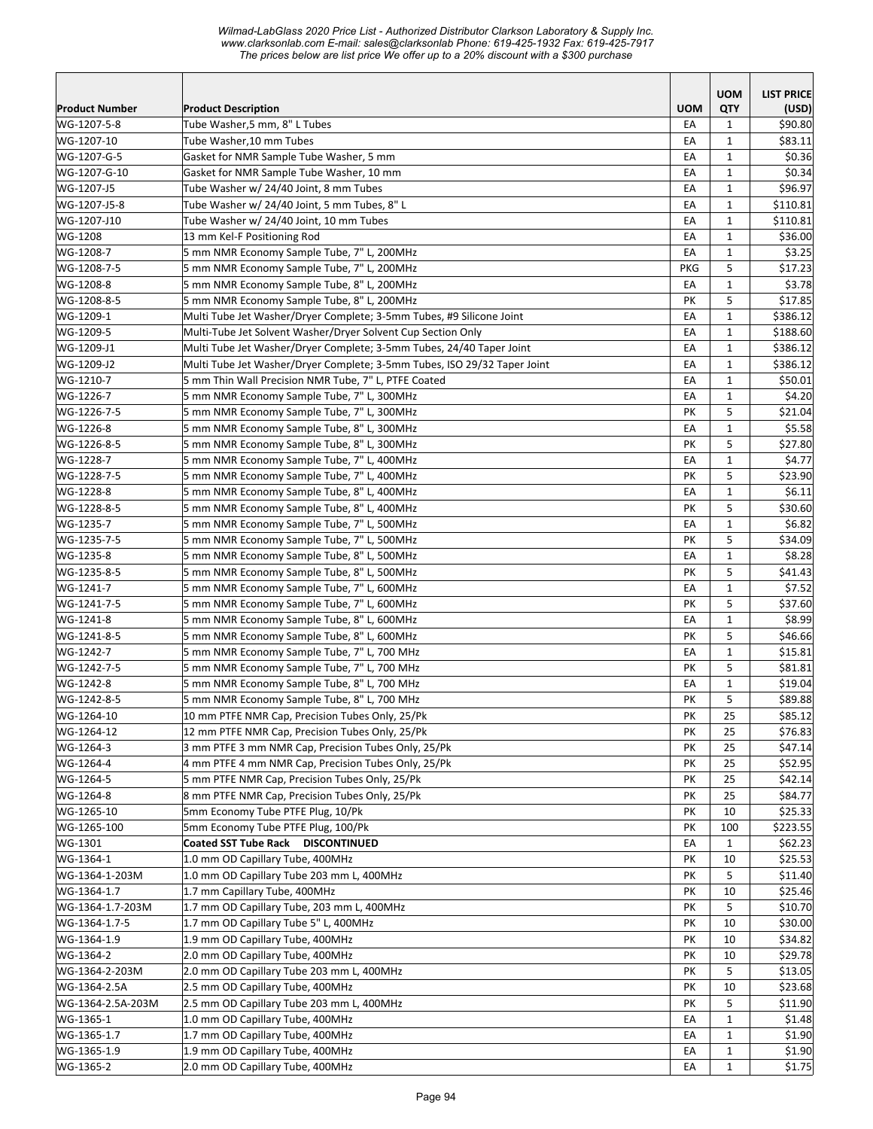#### *Wilmad-LabGlass 2020 Price List - Authorized Distributor Clarkson Laboratory & Supply Inc. www.clarksonlab.com E-mail: sales@clarksonlab Phone: 619-425-1932 Fax: 619-425-7917 The prices below are list price We offer up to a 20% discount with a \$300 purchase*  12 mm Coated SST Tube Rack **DISCONTINUED12 mm Coated SST Tube Rack DISCONTINUED12**  *Milmad-LabGlass 2020 Price List - Authorized Distributor Clarkson Laboratory & Supply Inc.* **Coated SST Tube Rack DISCONTINUED12 mm Coated SST Tube Rack DISCONTINUED12 mm Coated SST Tube Rack DISCONTINUED12 mm Coated SST Tube Rack DISCONTINUED12 mm**

|                       |                                                                          |            | <b>UOM</b>   | <b>LIST PRICE</b>   |
|-----------------------|--------------------------------------------------------------------------|------------|--------------|---------------------|
| <b>Product Number</b> | <b>Product Description</b>                                               | <b>UOM</b> | QTY          | (USD)               |
| WG-1207-5-8           | Tube Washer,5 mm, 8" L Tubes                                             | EA         | $\mathbf{1}$ | \$90.80             |
| WG-1207-10            | Tube Washer,10 mm Tubes                                                  | EA         | 1            | \$83.11             |
| WG-1207-G-5           | Gasket for NMR Sample Tube Washer, 5 mm                                  | EA         | $\mathbf{1}$ | \$0.36              |
| WG-1207-G-10          | Gasket for NMR Sample Tube Washer, 10 mm                                 | EA         | $\mathbf{1}$ | \$0.34              |
| WG-1207-J5            | Tube Washer w/ 24/40 Joint, 8 mm Tubes                                   | EA         | $\mathbf{1}$ | \$96.97             |
| WG-1207-J5-8          | Tube Washer w/ 24/40 Joint, 5 mm Tubes, 8" L                             | EA         | $\mathbf{1}$ | \$110.81            |
| WG-1207-J10           | Tube Washer w/ 24/40 Joint, 10 mm Tubes                                  | EA         | $\mathbf{1}$ | \$110.81            |
| WG-1208               | 13 mm Kel-F Positioning Rod                                              | EA         | $\mathbf{1}$ | \$36.00             |
| WG-1208-7             | 5 mm NMR Economy Sample Tube, 7" L, 200MHz                               | EA         | $\mathbf{1}$ | \$3.25              |
| WG-1208-7-5           | 5 mm NMR Economy Sample Tube, 7" L, 200MHz                               | <b>PKG</b> | 5            | \$17.23             |
| WG-1208-8             | 5 mm NMR Economy Sample Tube, 8" L, 200MHz                               | EA         | $\mathbf{1}$ | \$3.78              |
| WG-1208-8-5           | 5 mm NMR Economy Sample Tube, 8" L, 200MHz                               | PK         | 5            | \$17.85             |
| WG-1209-1             | Multi Tube Jet Washer/Dryer Complete; 3-5mm Tubes, #9 Silicone Joint     | EA         | $\mathbf 1$  | \$386.12            |
| WG-1209-5             | Multi-Tube Jet Solvent Washer/Dryer Solvent Cup Section Only             | EA         | 1            | \$188.60            |
| WG-1209-J1            | Multi Tube Jet Washer/Dryer Complete; 3-5mm Tubes, 24/40 Taper Joint     | EA         | 1            | \$386.12            |
| WG-1209-J2            | Multi Tube Jet Washer/Dryer Complete; 3-5mm Tubes, ISO 29/32 Taper Joint | EA         | $\mathbf{1}$ | \$386.12            |
| WG-1210-7             | 5 mm Thin Wall Precision NMR Tube, 7" L, PTFE Coated                     | EA         | $\mathbf{1}$ | \$50.01             |
| WG-1226-7             | 5 mm NMR Economy Sample Tube, 7" L, 300MHz                               | EA         | $\mathbf{1}$ | \$4.20              |
| WG-1226-7-5           | 5 mm NMR Economy Sample Tube, 7" L, 300MHz                               | PK         | 5            | \$21.04             |
| WG-1226-8             | 5 mm NMR Economy Sample Tube, 8" L, 300MHz                               | EA         | $\mathbf{1}$ | \$5.58              |
| WG-1226-8-5           | 5 mm NMR Economy Sample Tube, 8" L, 300MHz                               | PΚ         | 5            | \$27.80             |
| WG-1228-7             | 5 mm NMR Economy Sample Tube, 7" L, 400MHz                               | EA         | $\mathbf{1}$ | \$4.77              |
| WG-1228-7-5           | 5 mm NMR Economy Sample Tube, 7" L, 400MHz                               | PK         | 5            | \$23.90             |
| WG-1228-8             | 5 mm NMR Economy Sample Tube, 8" L, 400MHz                               | EA         | $\mathbf{1}$ | \$6.11              |
| WG-1228-8-5           | 5 mm NMR Economy Sample Tube, 8" L, 400MHz                               | PK         | 5            | \$30.60             |
| WG-1235-7             | 5 mm NMR Economy Sample Tube, 7" L, 500MHz                               | EA         | $\mathbf{1}$ | \$6.82              |
| WG-1235-7-5           | 5 mm NMR Economy Sample Tube, 7" L, 500MHz                               | PK         | 5            | \$34.09             |
| WG-1235-8             | 5 mm NMR Economy Sample Tube, 8" L, 500MHz                               | EA         | $\mathbf 1$  | \$8.28              |
| WG-1235-8-5           | 5 mm NMR Economy Sample Tube, 8" L, 500MHz                               | PΚ         | 5            | \$41.43             |
| WG-1241-7             | 5 mm NMR Economy Sample Tube, 7" L, 600MHz                               | EA         | $\mathbf{1}$ | \$7.52              |
| WG-1241-7-5           | 5 mm NMR Economy Sample Tube, 7" L, 600MHz                               | PK         | 5            | \$37.60             |
| WG-1241-8             | 5 mm NMR Economy Sample Tube, 8" L, 600MHz                               | EA         | $\mathbf{1}$ | \$8.99              |
| WG-1241-8-5           | 5 mm NMR Economy Sample Tube, 8" L, 600MHz                               | PK         | 5            | \$46.66             |
| WG-1242-7             | 5 mm NMR Economy Sample Tube, 7" L, 700 MHz                              | EA         | $\mathbf{1}$ | \$15.81             |
| WG-1242-7-5           | 5 mm NMR Economy Sample Tube, 7" L, 700 MHz                              | PK         | 5            | \$81.81             |
| WG-1242-8             | 5 mm NMR Economy Sample Tube, 8" L, 700 MHz                              | EA         | $\mathbf{1}$ | \$19.04             |
| WG-1242-8-5           | 5 mm NMR Economy Sample Tube, 8" L, 700 MHz                              | PΚ         | 5            | \$89.88             |
| WG-1264-10            | 10 mm PTFE NMR Cap, Precision Tubes Only, 25/Pk                          | PК         | 25           | \$85.12             |
| WG-1264-12            | 12 mm PTFE NMR Cap, Precision Tubes Only, 25/Pk                          | PK         | 25           | \$76.83             |
| WG-1264-3             | 3 mm PTFE 3 mm NMR Cap, Precision Tubes Only, 25/Pk                      | PК         | 25           | \$47.14             |
| WG-1264-4             | 4 mm PTFE 4 mm NMR Cap, Precision Tubes Only, 25/Pk                      | PК         | 25           | \$52.95             |
| WG-1264-5             | 5 mm PTFE NMR Cap, Precision Tubes Only, 25/Pk                           | PK         | 25           | \$42.14             |
| WG-1264-8             | 8 mm PTFE NMR Cap, Precision Tubes Only, 25/Pk                           | PК         | 25           | \$84.77             |
| WG-1265-10            | 5mm Economy Tube PTFE Plug, 10/Pk                                        | PΚ         | 10           | \$25.33             |
| WG-1265-100           | 5mm Economy Tube PTFE Plug, 100/Pk                                       |            |              |                     |
|                       | Coated SST Tube Rack DISCONTINUED                                        | PΚ         | 100          | \$223.55<br>\$62.23 |
| WG-1301               |                                                                          | EA         | $\mathbf{1}$ |                     |
| WG-1364-1             | 1.0 mm OD Capillary Tube, 400MHz                                         | PК         | 10           | \$25.53             |
| WG-1364-1-203M        | 1.0 mm OD Capillary Tube 203 mm L, 400MHz                                | PΚ         | 5            | \$11.40             |
| WG-1364-1.7           | 1.7 mm Capillary Tube, 400MHz                                            | PК         | 10           | \$25.46             |
| WG-1364-1.7-203M      | 1.7 mm OD Capillary Tube, 203 mm L, 400MHz                               | PК         | 5            | \$10.70             |
| WG-1364-1.7-5         | 1.7 mm OD Capillary Tube 5" L, 400MHz                                    | PК         | 10           | \$30.00             |
| WG-1364-1.9           | 1.9 mm OD Capillary Tube, 400MHz                                         | PК         | 10           | \$34.82             |
| WG-1364-2             | 2.0 mm OD Capillary Tube, 400MHz                                         | PК         | 10           | \$29.78             |
| WG-1364-2-203M        | 2.0 mm OD Capillary Tube 203 mm L, 400MHz                                | PК         | 5            | \$13.05             |
| WG-1364-2.5A          | 2.5 mm OD Capillary Tube, 400MHz                                         | PК         | 10           | \$23.68             |
| WG-1364-2.5A-203M     | 2.5 mm OD Capillary Tube 203 mm L, 400MHz                                | PК         | 5            | \$11.90             |
| WG-1365-1             | 1.0 mm OD Capillary Tube, 400MHz                                         | EA         | $\mathbf{1}$ | \$1.48              |
| WG-1365-1.7           | 1.7 mm OD Capillary Tube, 400MHz                                         | EA         | $\mathbf{1}$ | \$1.90              |
| WG-1365-1.9           | 1.9 mm OD Capillary Tube, 400MHz                                         | EA         | $\mathbf{1}$ | \$1.90              |
| WG-1365-2             | 2.0 mm OD Capillary Tube, 400MHz                                         | EA         | $\mathbf{1}$ | \$1.75              |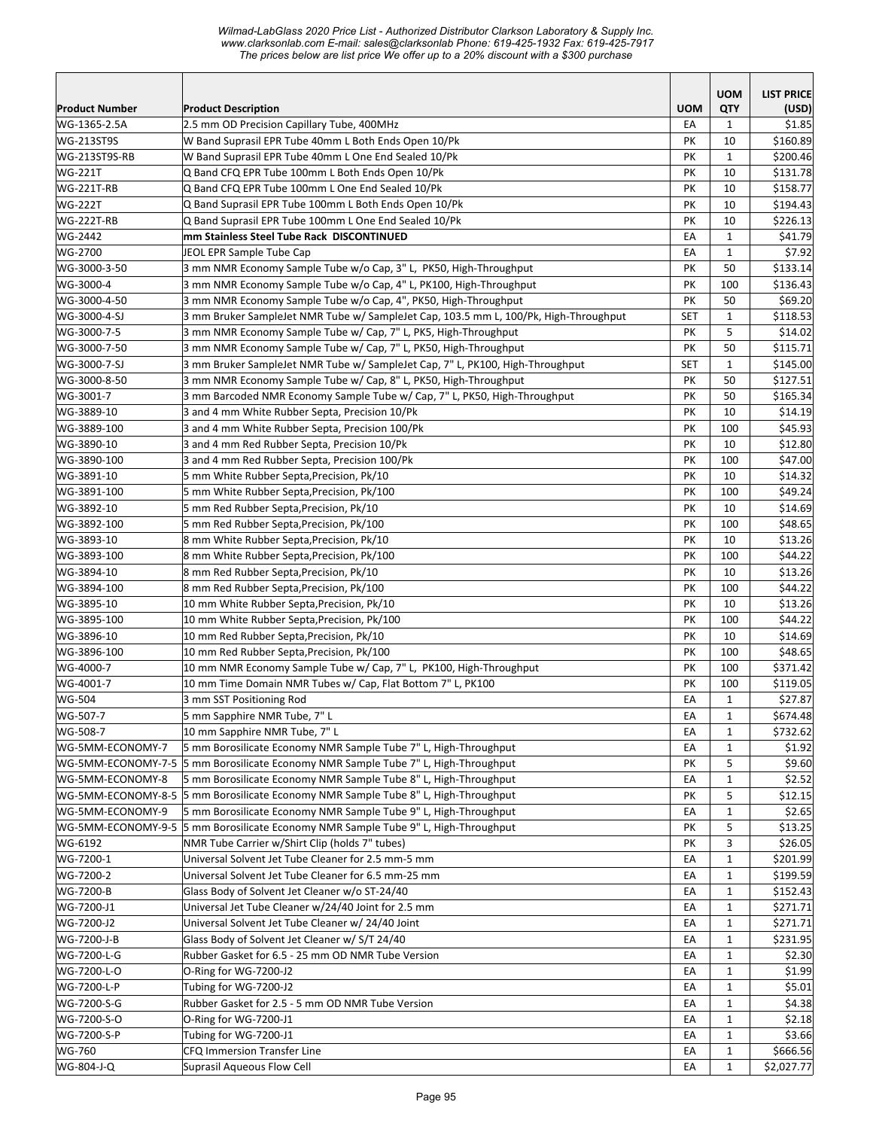*Wilmad-LabGlass 2020 Price List - Authorized Distributor Clarkson Laboratory & Supply Inc. www.clarksonlab.com E-mail: sales@clarksonlab Phone: 619-425-1932 Fax: 619-425-7917 The prices below are list price We offer up to a 20% discount with a \$300 purchase Milmad-LabGlass 2020 Price List - Authorized Distributor Clarkson Laboratory & Supply Inc* **mw.ClainSontial.Comtinues Steel Tube Rack Discontinued Tube Rack Discontinue Discontinue Discontinue Discontinue**<br>Stephen Stephen Stephen Stephen Stephen Stephen Stephen Stephen Stephen Stephen Stephen Stephen Stephen Ste mo phoed below allowed phoen to ench up to a Ec<sub>2</sub>0 algoed. Will a pool parented

|                           |                                                                                                                                         |            | <b>UOM</b>   | <b>LIST PRICE</b>    |
|---------------------------|-----------------------------------------------------------------------------------------------------------------------------------------|------------|--------------|----------------------|
| Product Number            | <b>Product Description</b>                                                                                                              | <b>UOM</b> | <b>QTY</b>   | (USD)                |
| WG-1365-2.5A              | 2.5 mm OD Precision Capillary Tube, 400MHz                                                                                              | EA         | 1            | \$1.85               |
| <b>WG-213ST9S</b>         | W Band Suprasil EPR Tube 40mm L Both Ends Open 10/Pk                                                                                    | PK         | 10           | \$160.89             |
| WG-213ST9S-RB             | W Band Suprasil EPR Tube 40mm L One End Sealed 10/Pk                                                                                    | PΚ         | $\mathbf{1}$ | \$200.46             |
| <b>WG-221T</b>            | Q Band CFQ EPR Tube 100mm L Both Ends Open 10/Pk                                                                                        | PK         | 10           | \$131.78             |
| <b>WG-221T-RB</b>         | Q Band CFQ EPR Tube 100mm L One End Sealed 10/Pk                                                                                        | PK         | 10           | \$158.77             |
| <b>WG-222T</b>            | Q Band Suprasil EPR Tube 100mm L Both Ends Open 10/Pk                                                                                   | PK         | 10           | \$194.43             |
| <b>WG-222T-RB</b>         | Q Band Suprasil EPR Tube 100mm L One End Sealed 10/Pk                                                                                   | PK         | 10           | \$226.13             |
| WG-2442                   | mm Stainless Steel Tube Rack DISCONTINUED                                                                                               | EA         | $\mathbf{1}$ | \$41.79              |
| WG-2700                   | JEOL EPR Sample Tube Cap                                                                                                                | EA         | $\mathbf{1}$ | \$7.92               |
| WG-3000-3-50<br>WG-3000-4 | 3 mm NMR Economy Sample Tube w/o Cap, 3" L, PK50, High-Throughput<br>3 mm NMR Economy Sample Tube w/o Cap, 4" L, PK100, High-Throughput | PK<br>PK   | 50<br>100    | \$133.14<br>\$136.43 |
| WG-3000-4-50              | 3 mm NMR Economy Sample Tube w/o Cap, 4", PK50, High-Throughput                                                                         | PK         | 50           | \$69.20              |
| WG-3000-4-SJ              | 3 mm Bruker SampleJet NMR Tube w/ SampleJet Cap, 103.5 mm L, 100/Pk, High-Throughput                                                    | <b>SET</b> | $\mathbf{1}$ | \$118.53             |
| WG-3000-7-5               | 3 mm NMR Economy Sample Tube w/ Cap, 7" L, PK5, High-Throughput                                                                         | PK         | 5            | \$14.02              |
| WG-3000-7-50              | 3 mm NMR Economy Sample Tube w/ Cap, 7" L, PK50, High-Throughput                                                                        | PK         | 50           | \$115.71             |
| WG-3000-7-SJ              | 3 mm Bruker SampleJet NMR Tube w/ SampleJet Cap, 7" L, PK100, High-Throughput                                                           | <b>SET</b> | $\mathbf{1}$ | \$145.00             |
| WG-3000-8-50              | 3 mm NMR Economy Sample Tube w/ Cap, 8" L, PK50, High-Throughput                                                                        | PK         | 50           | \$127.51             |
| WG-3001-7                 | 3 mm Barcoded NMR Economy Sample Tube w/ Cap, 7" L, PK50, High-Throughput                                                               | PК         | 50           | \$165.34             |
| WG-3889-10                | 3 and 4 mm White Rubber Septa, Precision 10/Pk                                                                                          | PK         | 10           | \$14.19              |
| WG-3889-100               | 3 and 4 mm White Rubber Septa, Precision 100/Pk                                                                                         | PK         | 100          | \$45.93              |
| WG-3890-10                | 3 and 4 mm Red Rubber Septa, Precision 10/Pk                                                                                            | PK         | 10           | \$12.80              |
| WG-3890-100               | 3 and 4 mm Red Rubber Septa, Precision 100/Pk                                                                                           | PK         | 100          | \$47.00              |
| WG-3891-10                | 5 mm White Rubber Septa, Precision, Pk/10                                                                                               | PK         | 10           | \$14.32              |
| WG-3891-100               | 5 mm White Rubber Septa, Precision, Pk/100                                                                                              | PK         | 100          | \$49.24              |
| WG-3892-10                | 5 mm Red Rubber Septa, Precision, Pk/10                                                                                                 | PK         | 10           | \$14.69              |
| WG-3892-100               | 5 mm Red Rubber Septa, Precision, Pk/100                                                                                                | PK         | 100          | \$48.65              |
| WG-3893-10                | 8 mm White Rubber Septa, Precision, Pk/10                                                                                               | PK         | 10           | \$13.26              |
| WG-3893-100               | 8 mm White Rubber Septa, Precision, Pk/100                                                                                              | PK         | 100          | \$44.22              |
| WG-3894-10                | 8 mm Red Rubber Septa,Precision, Pk/10                                                                                                  | PK         | 10           | \$13.26              |
| WG-3894-100               | 8 mm Red Rubber Septa, Precision, Pk/100                                                                                                | PK         | 100          | \$44.22              |
| WG-3895-10                | 10 mm White Rubber Septa, Precision, Pk/10                                                                                              | PK         | 10           | \$13.26              |
| WG-3895-100               | 10 mm White Rubber Septa, Precision, Pk/100                                                                                             | PK         | 100          | \$44.22              |
| WG-3896-10                | 10 mm Red Rubber Septa, Precision, Pk/10                                                                                                | PК         | 10           | \$14.69              |
| WG-3896-100               | 10 mm Red Rubber Septa, Precision, Pk/100                                                                                               | PK         | 100          | \$48.65              |
| WG-4000-7                 | 10 mm NMR Economy Sample Tube w/ Cap, 7" L, PK100, High-Throughput                                                                      | PK         | 100          | \$371.42             |
| WG-4001-7                 | 10 mm Time Domain NMR Tubes w/ Cap, Flat Bottom 7" L, PK100                                                                             | PK         | 100          | \$119.05             |
| WG-504                    | 3 mm SST Positioning Rod                                                                                                                | EA         | $\mathbf{1}$ | \$27.87              |
| WG-507-7                  | 5 mm Sapphire NMR Tube, 7" L                                                                                                            | EA         | $\mathbf 1$  | \$674.48             |
| WG-508-7                  | 10 mm Sapphire NMR Tube, 7" L                                                                                                           | EA         | 1            | \$732.62             |
| WG-5MM-ECONOMY-7          | 5 mm Borosilicate Economy NMR Sample Tube 7" L, High-Throughput                                                                         | EA         | 1            | \$1.92               |
| WG-5MM-ECONOMY-7-5        | 5 mm Borosilicate Economy NMR Sample Tube 7" L, High-Throughput                                                                         | PK         | 5            | \$9.60               |
| WG-5MM-ECONOMY-8          | 5 mm Borosilicate Economy NMR Sample Tube 8" L, High-Throughput                                                                         | EA         | $\mathbf{1}$ | \$2.52               |
|                           | WG-5MM-ECONOMY-8-5 5 mm Borosilicate Economy NMR Sample Tube 8" L, High-Throughput                                                      | PK         | 5            | \$12.15              |
| WG-5MM-ECONOMY-9          | 5 mm Borosilicate Economy NMR Sample Tube 9" L, High-Throughput                                                                         | EA         | $\mathbf{1}$ | \$2.65               |
|                           | WG-5MM-ECONOMY-9-5 5 mm Borosilicate Economy NMR Sample Tube 9" L, High-Throughput                                                      | PΚ         | 5            | \$13.25              |
| WG-6192                   | NMR Tube Carrier w/Shirt Clip (holds 7" tubes)                                                                                          | PK         | 3            | \$26.05              |
| WG-7200-1                 | Universal Solvent Jet Tube Cleaner for 2.5 mm-5 mm                                                                                      | EA         | $\mathbf{1}$ | \$201.99             |
| WG-7200-2                 | Universal Solvent Jet Tube Cleaner for 6.5 mm-25 mm                                                                                     | EA         | 1            | \$199.59             |
| WG-7200-B                 | Glass Body of Solvent Jet Cleaner w/o ST-24/40                                                                                          | EA         | 1            | \$152.43             |
| WG-7200-J1                | Universal Jet Tube Cleaner w/24/40 Joint for 2.5 mm                                                                                     | EA         | 1            | \$271.71             |
| WG-7200-J2                | Universal Solvent Jet Tube Cleaner w/ 24/40 Joint                                                                                       | EA         | $\mathbf{1}$ | \$271.71             |
| WG-7200-J-B               | Glass Body of Solvent Jet Cleaner w/ S/T 24/40                                                                                          | EA         | $\mathbf{1}$ | \$231.95             |
| WG-7200-L-G               | Rubber Gasket for 6.5 - 25 mm OD NMR Tube Version                                                                                       | EA         | $\mathbf{1}$ | \$2.30               |
| WG-7200-L-O               | O-Ring for WG-7200-J2                                                                                                                   | EA         | $\mathbf{1}$ | \$1.99               |
| WG-7200-L-P               | Tubing for WG-7200-J2                                                                                                                   | EA         | $\mathbf{1}$ | \$5.01               |
| WG-7200-S-G               | Rubber Gasket for 2.5 - 5 mm OD NMR Tube Version                                                                                        | EA         | $\mathbf{1}$ | \$4.38               |
| WG-7200-S-O               | O-Ring for WG-7200-J1                                                                                                                   | EA         | 1            | \$2.18               |
| WG-7200-S-P               | Tubing for WG-7200-J1                                                                                                                   | EA         | $\mathbf{1}$ | \$3.66               |
| WG-760                    | CFQ Immersion Transfer Line                                                                                                             | EA         | $\mathbf 1$  | \$666.56             |
| WG-804-J-Q                | Suprasil Aqueous Flow Cell                                                                                                              | EA         | $\mathbf{1}$ | \$2,027.77           |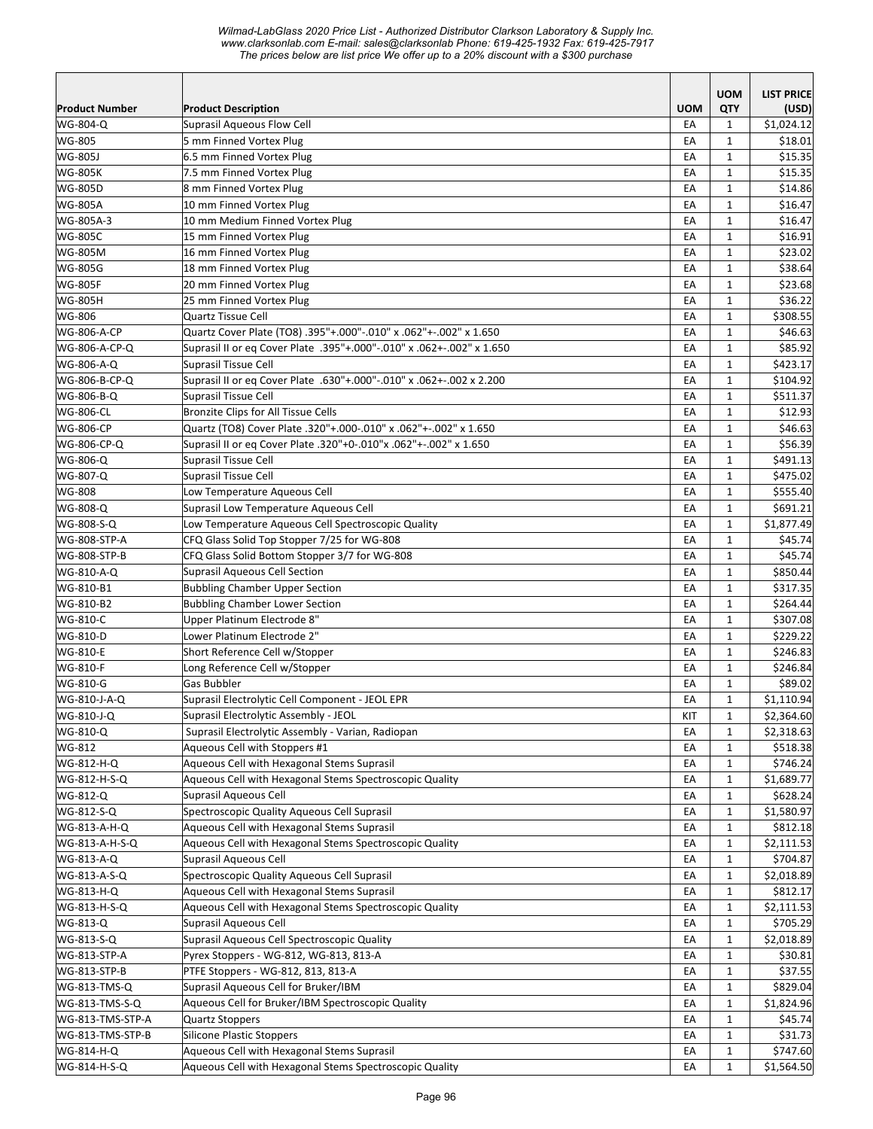*Wilmad-LabGlass 2020 Price List - Authorized Distributor Clarkson Laboratory & Supply Inc. www.clarksonlab.com E-mail: sales@clarksonlab Phone: 619-425-1932 Fax: 619-425-7917 The prices below are list price We offer up to a 20% discount with a \$300 purchase* 

| <b>Product Number</b>        | <b>Product Description</b>                                                 | <b>UOM</b> | <b>UOM</b><br>QTY            | <b>LIST PRICE</b><br>(USD) |
|------------------------------|----------------------------------------------------------------------------|------------|------------------------------|----------------------------|
| WG-804-Q                     | Suprasil Agueous Flow Cell                                                 | EA         | $\mathbf{1}$                 | \$1,024.12                 |
| WG-805                       | 5 mm Finned Vortex Plug                                                    | EA         | $\mathbf{1}$                 | \$18.01                    |
| WG-805J                      | 6.5 mm Finned Vortex Plug                                                  | EA         | $\mathbf{1}$                 | \$15.35                    |
| <b>WG-805K</b>               | 7.5 mm Finned Vortex Plug                                                  | EA         | $\mathbf{1}$                 | \$15.35                    |
| WG-805D                      | 8 mm Finned Vortex Plug                                                    | EA         | $\mathbf{1}$                 | \$14.86                    |
| <b>WG-805A</b>               | 10 mm Finned Vortex Plug                                                   | EA         | $\mathbf{1}$                 | \$16.47                    |
| WG-805A-3                    | 10 mm Medium Finned Vortex Plug                                            | EA         | $\mathbf{1}$                 | \$16.47                    |
| WG-805C                      | 15 mm Finned Vortex Plug                                                   | EA         | $\mathbf{1}$                 | \$16.91                    |
| WG-805M                      | 16 mm Finned Vortex Plug                                                   | EA         | $\mathbf{1}$                 | \$23.02                    |
| WG-805G                      | 18 mm Finned Vortex Plug                                                   | EA         | $\mathbf{1}$                 | \$38.64                    |
| <b>WG-805F</b>               | 20 mm Finned Vortex Plug                                                   | EA         | $\mathbf{1}$                 | \$23.68                    |
| <b>WG-805H</b>               | 25 mm Finned Vortex Plug                                                   | EA         | $\mathbf{1}$                 | \$36.22                    |
| WG-806                       | <b>Quartz Tissue Cell</b>                                                  | EA         | $\mathbf{1}$                 | \$308.55                   |
| <b>WG-806-A-CP</b>           | Quartz Cover Plate (TO8) .395"+.000"-.010" x .062"+-.002" x 1.650          | EA         | $\mathbf{1}$                 | \$46.63                    |
| WG-806-A-CP-Q                | Suprasil II or eq Cover Plate .395"+.000"-.010" x .062+-.002" x 1.650      | EA         | $\mathbf{1}$                 | \$85.92                    |
| WG-806-A-Q                   | Suprasil Tissue Cell                                                       | EA         | $\mathbf{1}$                 | \$423.17                   |
| WG-806-B-CP-Q                | Suprasil II or eq Cover Plate .630"+.000"-.010" x .062+-.002 x 2.200       | EA         | $\mathbf{1}$                 | \$104.92                   |
| WG-806-B-Q                   | <b>Suprasil Tissue Cell</b>                                                | EA         | $\mathbf{1}$                 | \$511.37                   |
| <b>WG-806-CL</b>             | <b>Bronzite Clips for All Tissue Cells</b>                                 | EA         | $\mathbf{1}$                 | \$12.93                    |
| WG-806-CP                    | Quartz (TO8) Cover Plate .320"+.000-.010" x .062"+-.002" x 1.650           | EA         | $\mathbf{1}$                 | \$46.63                    |
| WG-806-CP-Q                  | Suprasil II or eg Cover Plate .320"+0-.010"x .062"+-.002" x 1.650          | EA         | $\mathbf{1}$                 | \$56.39                    |
| WG-806-Q                     | Suprasil Tissue Cell                                                       | EA         | $\mathbf{1}$                 | \$491.13                   |
| WG-807-Q                     | <b>Suprasil Tissue Cell</b>                                                | EA         | $\mathbf{1}$                 | \$475.02                   |
| WG-808                       | Low Temperature Aqueous Cell                                               | EA         | $\mathbf{1}$                 | \$555.40                   |
| WG-808-Q                     | Suprasil Low Temperature Aqueous Cell                                      | EA         | $\mathbf{1}$                 | \$691.21                   |
| WG-808-S-Q                   | Low Temperature Aqueous Cell Spectroscopic Quality                         | EA         | $\mathbf{1}$                 | \$1,877.49                 |
| WG-808-STP-A                 | CFQ Glass Solid Top Stopper 7/25 for WG-808                                | EA         | $\mathbf{1}$                 | \$45.74                    |
| WG-808-STP-B                 | CFQ Glass Solid Bottom Stopper 3/7 for WG-808                              | EA         | $\mathbf{1}$                 | \$45.74                    |
| WG-810-A-Q                   | <b>Suprasil Aqueous Cell Section</b>                                       | EA         | $\mathbf{1}$                 | \$850.44                   |
| WG-810-B1                    | <b>Bubbling Chamber Upper Section</b>                                      | EA         | $\mathbf{1}$                 | \$317.35                   |
| WG-810-B2                    | <b>Bubbling Chamber Lower Section</b>                                      | EA         | $\mathbf{1}$                 | \$264.44                   |
| WG-810-C                     | Upper Platinum Electrode 8"                                                | EA         | $\mathbf{1}$                 | \$307.08                   |
| WG-810-D                     | Lower Platinum Electrode 2"                                                | EA         | $\mathbf{1}$                 | \$229.22                   |
| <b>WG-810-E</b>              | Short Reference Cell w/Stopper                                             | EA         | $\mathbf{1}$                 | \$246.83                   |
| WG-810-F                     | Long Reference Cell w/Stopper                                              | EA         | $\mathbf{1}$                 | \$246.84                   |
| WG-810-G                     | Gas Bubbler                                                                | EA         | $\mathbf{1}$                 | \$89.02                    |
| WG-810-J-A-Q                 | Suprasil Electrolytic Cell Component - JEOL EPR                            | EA         | $\mathbf{1}$                 | \$1,110.94                 |
| WG-810-J-Q                   | Suprasil Electrolytic Assembly - JEOL                                      | KIT        | $\mathbf{1}$                 | \$2,364.60                 |
| WG-810-Q                     | Suprasil Electrolytic Assembly - Varian, Radiopan                          | EA         | 1                            | \$2,318.63                 |
| WG-812                       | Aqueous Cell with Stoppers #1                                              | EA         | $\mathbf{1}$                 | \$518.38                   |
| WG-812-H-Q                   | Aqueous Cell with Hexagonal Stems Suprasil                                 | EA         | 1                            | \$746.24                   |
| WG-812-H-S-Q                 | Aqueous Cell with Hexagonal Stems Spectroscopic Quality                    | EA         | $\mathbf{1}$                 | \$1,689.77                 |
| WG-812-Q                     | Suprasil Aqueous Cell                                                      | EA         | $\mathbf{1}$                 | \$628.24                   |
| WG-812-S-Q                   | Spectroscopic Quality Aqueous Cell Suprasil                                | EA         | $\mathbf{1}$                 | \$1,580.97                 |
| WG-813-A-H-Q                 | Aqueous Cell with Hexagonal Stems Suprasil                                 | EA         | $\mathbf{1}$                 | \$812.18                   |
| WG-813-A-H-S-Q               | Aqueous Cell with Hexagonal Stems Spectroscopic Quality                    | EA         | $\mathbf{1}$                 | \$2,111.53                 |
| WG-813-A-Q                   | Suprasil Aqueous Cell                                                      | EA         | $\mathbf{1}$                 | \$704.87                   |
| WG-813-A-S-Q                 | Spectroscopic Quality Aqueous Cell Suprasil                                | EA         | $\mathbf{1}$                 | \$2,018.89                 |
| WG-813-H-Q                   | Aqueous Cell with Hexagonal Stems Suprasil                                 | EA         | $\mathbf{1}$                 | \$812.17                   |
| WG-813-H-S-Q                 | Aqueous Cell with Hexagonal Stems Spectroscopic Quality                    | EA         | 1                            | \$2,111.53                 |
| WG-813-Q<br>WG-813-S-Q       | Suprasil Aqueous Cell<br>Suprasil Aqueous Cell Spectroscopic Quality       | EA<br>EA   | $\mathbf{1}$<br>$\mathbf{1}$ | \$705.29<br>\$2,018.89     |
| WG-813-STP-A                 | Pyrex Stoppers - WG-812, WG-813, 813-A                                     | EA         | $\mathbf{1}$                 | \$30.81                    |
|                              |                                                                            |            |                              | \$37.55                    |
| WG-813-STP-B<br>WG-813-TMS-Q | PTFE Stoppers - WG-812, 813, 813-A<br>Suprasil Aqueous Cell for Bruker/IBM | EA<br>EA   | $\mathbf{1}$<br>$\mathbf{1}$ | \$829.04                   |
| WG-813-TMS-S-Q               | Aqueous Cell for Bruker/IBM Spectroscopic Quality                          | EА         | 1                            | \$1,824.96                 |
| WG-813-TMS-STP-A             | Quartz Stoppers                                                            | EA         | 1                            | \$45.74                    |
| WG-813-TMS-STP-B             | Silicone Plastic Stoppers                                                  | EA         | $\mathbf{1}$                 | \$31.73                    |
| WG-814-H-Q                   | Aqueous Cell with Hexagonal Stems Suprasil                                 | EA         | $\mathbf{1}$                 | \$747.60                   |
| WG-814-H-S-Q                 | Aqueous Cell with Hexagonal Stems Spectroscopic Quality                    | EA         | $\mathbf{1}$                 | \$1,564.50                 |
|                              |                                                                            |            |                              |                            |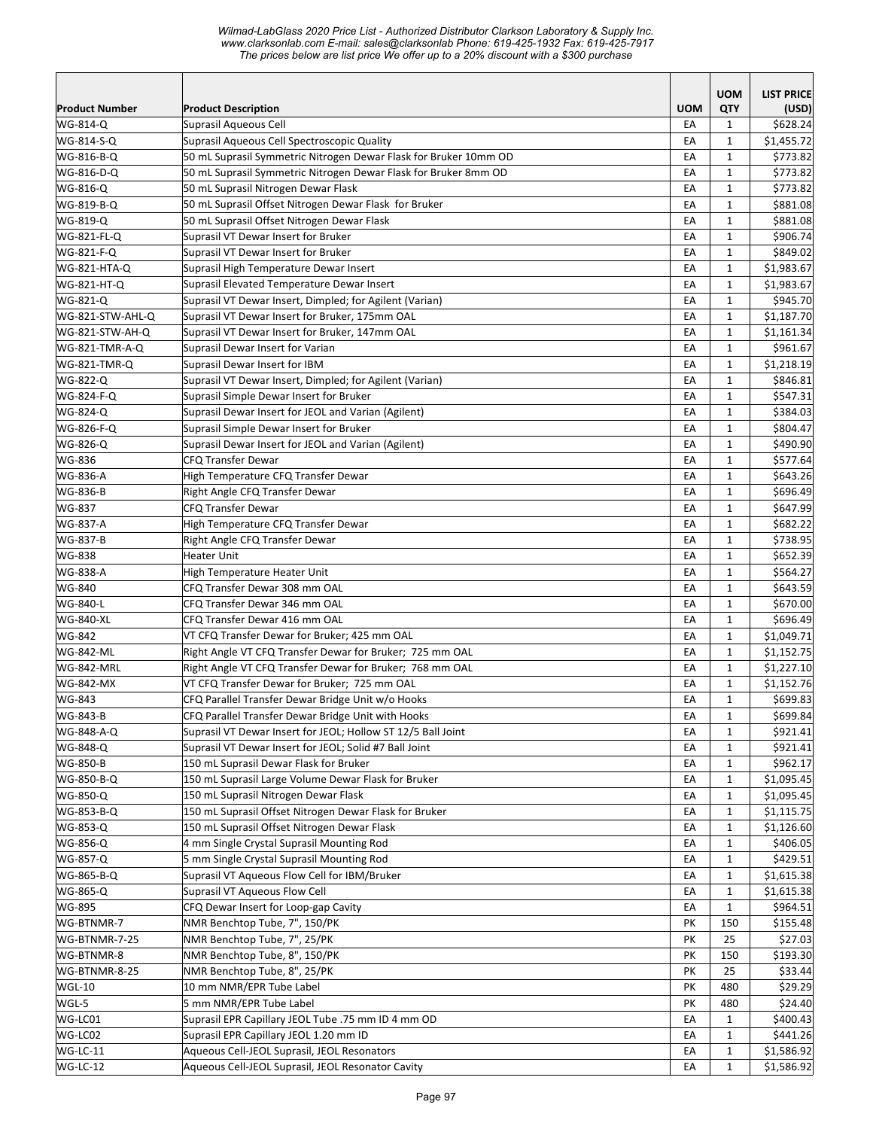|                       |                                                                  |            | <b>UOM</b>   | <b>LIST PRICE</b> |
|-----------------------|------------------------------------------------------------------|------------|--------------|-------------------|
| <b>Product Number</b> | <b>Product Description</b>                                       | <b>UOM</b> | QTY          | (USD)             |
| WG-814-Q              | Suprasil Aqueous Cell                                            | EA         | $\mathbf{1}$ | \$628.24          |
| WG-814-S-Q            | Suprasil Aqueous Cell Spectroscopic Quality                      | EA         | $\mathbf{1}$ | \$1,455.72        |
| WG-816-B-Q            | 50 mL Suprasil Symmetric Nitrogen Dewar Flask for Bruker 10mm OD | EA         | $\mathbf{1}$ | \$773.82          |
| WG-816-D-Q            | 50 mL Suprasil Symmetric Nitrogen Dewar Flask for Bruker 8mm OD  | EA         | $\mathbf{1}$ | \$773.82          |
| WG-816-Q              | 50 mL Suprasil Nitrogen Dewar Flask                              | EA         | $\mathbf{1}$ | \$773.82          |
| WG-819-B-Q            | 50 mL Suprasil Offset Nitrogen Dewar Flask for Bruker            | EA         | $\mathbf{1}$ | \$881.08          |
| WG-819-Q              | 50 mL Suprasil Offset Nitrogen Dewar Flask                       | EA         | $\mathbf{1}$ | \$881.08          |
| WG-821-FL-Q           | Suprasil VT Dewar Insert for Bruker                              | EA         | $\mathbf{1}$ | \$906.74          |
| WG-821-F-Q            | Suprasil VT Dewar Insert for Bruker                              | EA         | $\mathbf{1}$ | \$849.02          |
| WG-821-HTA-Q          | Suprasil High Temperature Dewar Insert                           | EA         | $\mathbf{1}$ | \$1,983.67        |
| WG-821-HT-Q           | Suprasil Elevated Temperature Dewar Insert                       | EA         | $\mathbf{1}$ | \$1,983.67        |
| WG-821-Q              | Suprasil VT Dewar Insert, Dimpled; for Agilent (Varian)          | EA         | $\mathbf{1}$ | \$945.70          |
| WG-821-STW-AHL-Q      | Suprasil VT Dewar Insert for Bruker, 175mm OAL                   | EA         | $\mathbf{1}$ | \$1,187.70        |
| WG-821-STW-AH-Q       | Suprasil VT Dewar Insert for Bruker, 147mm OAL                   | EA         | $\mathbf{1}$ | \$1,161.34        |
| WG-821-TMR-A-Q        | Suprasil Dewar Insert for Varian                                 | EA         | $\mathbf{1}$ | \$961.67          |
| WG-821-TMR-Q          | Suprasil Dewar Insert for IBM                                    | EA         | $\mathbf{1}$ | \$1,218.19        |
| WG-822-Q              | Suprasil VT Dewar Insert, Dimpled; for Agilent (Varian)          | EA         | $\mathbf{1}$ | \$846.81          |
| WG-824-F-Q            | Suprasil Simple Dewar Insert for Bruker                          | EA         | $\mathbf{1}$ | \$547.31          |
| WG-824-Q              | Suprasil Dewar Insert for JEOL and Varian (Agilent)              | EA         | $\mathbf{1}$ | \$384.03          |
| WG-826-F-Q            | Suprasil Simple Dewar Insert for Bruker                          | EA         | $\mathbf{1}$ | \$804.47          |
| WG-826-Q              | Suprasil Dewar Insert for JEOL and Varian (Agilent)              | EA         | $\mathbf{1}$ | \$490.90          |
| WG-836                | <b>CFQ Transfer Dewar</b>                                        | EA         | $\mathbf{1}$ | \$577.64          |
| WG-836-A              | High Temperature CFQ Transfer Dewar                              | EA         | $\mathbf{1}$ | \$643.26          |
| WG-836-B              | Right Angle CFQ Transfer Dewar                                   | EA         | $\mathbf{1}$ | \$696.49          |
| WG-837                | <b>CFQ Transfer Dewar</b>                                        | EA         | $\mathbf{1}$ | \$647.99          |
| <b>WG-837-A</b>       | High Temperature CFQ Transfer Dewar                              | EA         | $\mathbf{1}$ | \$682.22          |
| WG-837-B              | Right Angle CFQ Transfer Dewar                                   | EA         | $\mathbf{1}$ | \$738.95          |
| WG-838                | Heater Unit                                                      | EA         | $\mathbf{1}$ | \$652.39          |
| WG-838-A              | High Temperature Heater Unit                                     | EA         | $\mathbf{1}$ | \$564.27          |
| WG-840                | CFQ Transfer Dewar 308 mm OAL                                    | EA         | $\mathbf{1}$ | \$643.59          |
| WG-840-L              | CFQ Transfer Dewar 346 mm OAL                                    | EA         | $\mathbf{1}$ | \$670.00          |
| <b>WG-840-XL</b>      | CFQ Transfer Dewar 416 mm OAL                                    | EA         | $\mathbf{1}$ | \$696.49          |
| WG-842                | VT CFQ Transfer Dewar for Bruker; 425 mm OAL                     | EA         | $\mathbf{1}$ | \$1,049.71        |
| <b>WG-842-ML</b>      | Right Angle VT CFQ Transfer Dewar for Bruker; 725 mm OAL         | EA         | $\mathbf{1}$ | \$1,152.75        |
| WG-842-MRL            | Right Angle VT CFQ Transfer Dewar for Bruker; 768 mm OAL         | EA         | $\mathbf{1}$ | \$1,227.10        |
| WG-842-MX             | VT CFQ Transfer Dewar for Bruker; 725 mm OAL                     | EA         | $\mathbf{1}$ | \$1,152.76        |
| WG-843                | CFQ Parallel Transfer Dewar Bridge Unit w/o Hooks                | EA         | $\mathbf{1}$ | \$699.83          |
| WG-843-B              | CFQ Parallel Transfer Dewar Bridge Unit with Hooks               | EA         | $\mathbf 1$  | \$699.84          |
| WG-848-A-Q            | Suprasil VT Dewar Insert for JEOL; Hollow ST 12/5 Ball Joint     | EA         | $\mathbf{1}$ | \$921.41          |
| WG-848-Q              | Suprasil VT Dewar Insert for JEOL; Solid #7 Ball Joint           | EA         | $\mathbf{1}$ | \$921.41          |
| WG-850-B              | 150 mL Suprasil Dewar Flask for Bruker                           | EA         | 1            | \$962.17          |
| WG-850-B-Q            | 150 mL Suprasil Large Volume Dewar Flask for Bruker              | EA         | $\mathbf{1}$ | \$1,095.45        |
| WG-850-Q              | 150 mL Suprasil Nitrogen Dewar Flask                             | EA         | $\mathbf{1}$ | \$1,095.45        |
| WG-853-B-Q            | 150 mL Suprasil Offset Nitrogen Dewar Flask for Bruker           | EA         | $\mathbf{1}$ | \$1,115.75        |
| WG-853-Q              | 150 mL Suprasil Offset Nitrogen Dewar Flask                      | EA         | $\mathbf{1}$ | \$1,126.60        |
| WG-856-Q              | 4 mm Single Crystal Suprasil Mounting Rod                        | EA         | $\mathbf{1}$ | \$406.05          |
| WG-857-Q              | 5 mm Single Crystal Suprasil Mounting Rod                        | EA         | $\mathbf{1}$ | \$429.51          |
| WG-865-B-Q            | Suprasil VT Aqueous Flow Cell for IBM/Bruker                     | EA         | $\mathbf{1}$ | \$1,615.38        |
| WG-865-Q              | Suprasil VT Aqueous Flow Cell                                    | EA         | $\mathbf{1}$ | \$1,615.38        |
| WG-895                | CFQ Dewar Insert for Loop-gap Cavity                             | EA         | $\mathbf{1}$ | \$964.51          |
| WG-BTNMR-7            | NMR Benchtop Tube, 7", 150/PK                                    | PK         | 150          | \$155.48          |
| WG-BTNMR-7-25         | NMR Benchtop Tube, 7", 25/PK                                     | PK         | 25           | \$27.03           |
| WG-BTNMR-8            | NMR Benchtop Tube, 8", 150/PK                                    | PK         | 150          | \$193.30          |
| WG-BTNMR-8-25         | NMR Benchtop Tube, 8", 25/PK                                     | PK         | 25           | \$33.44           |
| WGL-10                | 10 mm NMR/EPR Tube Label                                         | PΚ         | 480          | \$29.29           |
| WGL-5                 | 5 mm NMR/EPR Tube Label                                          | PK         | 480          | \$24.40           |
| WG-LC01               | Suprasil EPR Capillary JEOL Tube .75 mm ID 4 mm OD               | EA         | $\mathbf{1}$ | \$400.43          |
| WG-LC02               | Suprasil EPR Capillary JEOL 1.20 mm ID                           | EA         | 1            | \$441.26          |
| WG-LC-11              | Aqueous Cell-JEOL Suprasil, JEOL Resonators                      | EA         | $\mathbf{1}$ | \$1,586.92        |
| WG-LC-12              | Aqueous Cell-JEOL Suprasil, JEOL Resonator Cavity                |            | $\mathbf{1}$ | \$1,586.92        |
|                       |                                                                  | EA         |              |                   |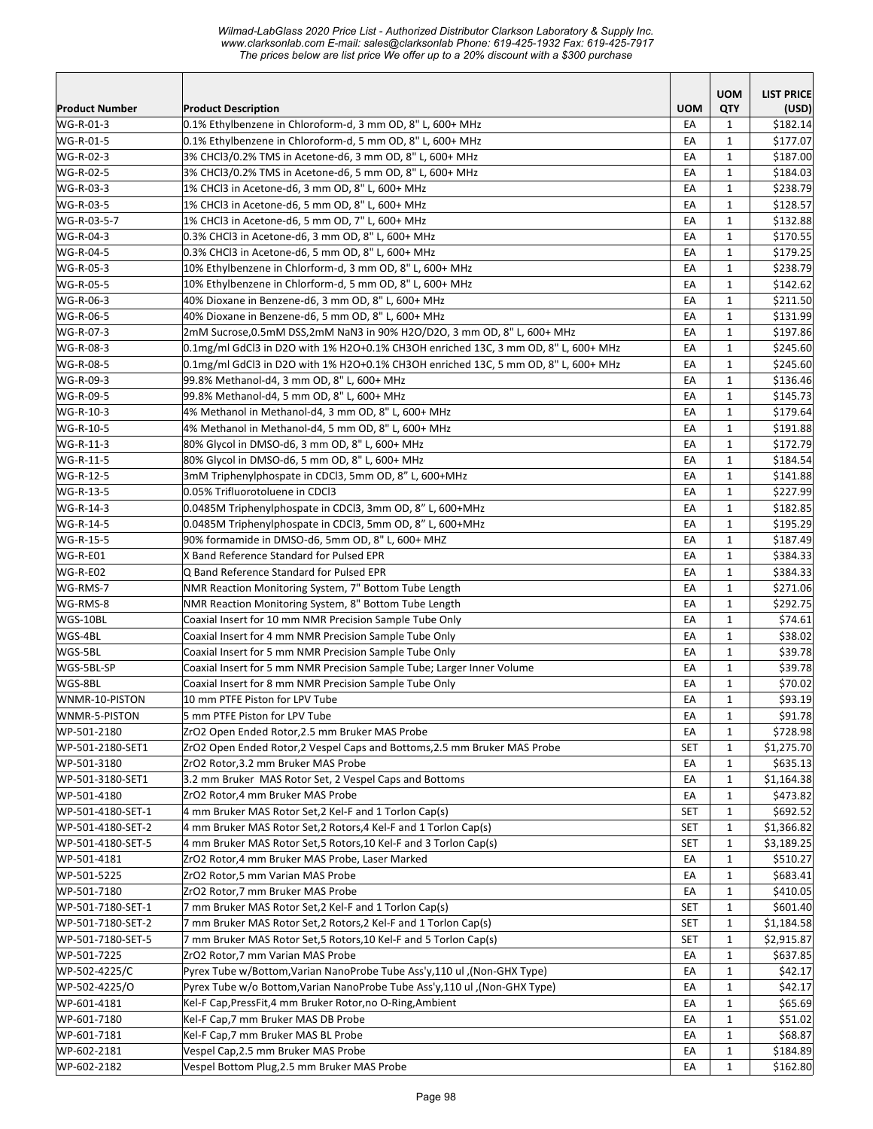*Wilmad-LabGlass 2020 Price List - Authorized Distributor Clarkson Laboratory & Supply Inc. www.clarksonlab.com E-mail: sales@clarksonlab Phone: 619-425-1932 Fax: 619-425-7917 The prices below are list price We offer up to a 20% discount with a \$300 purchase* 

| <b>UOM</b><br><b>Product Description</b><br><b>QTY</b><br>(USD)<br>0.1% Ethylbenzene in Chloroform-d, 3 mm OD, 8" L, 600+ MHz<br>EA<br>$\mathbf{1}$<br>\$182.14<br>0.1% Ethylbenzene in Chloroform-d, 5 mm OD, 8" L, 600+ MHz<br>EA<br>$\mathbf{1}$<br>\$177.07<br>3% CHCl3/0.2% TMS in Acetone-d6, 3 mm OD, 8" L, 600+ MHz<br>EA<br>$\mathbf{1}$<br>\$187.00<br>EA<br>$\mathbf{1}$<br>3% CHCl3/0.2% TMS in Acetone-d6, 5 mm OD, 8" L, 600+ MHz<br>\$184.03<br>EA<br>$\mathbf{1}$<br>\$238.79<br>1% CHCl3 in Acetone-d6, 3 mm OD, 8" L, 600+ MHz<br>EA<br>$\mathbf{1}$<br>1% CHCl3 in Acetone-d6, 5 mm OD, 8" L, 600+ MHz<br>\$128.57<br>1% CHCl3 in Acetone-d6, 5 mm OD, 7" L, 600+ MHz<br>EA<br>$\mathbf{1}$<br>\$132.88<br>0.3% CHCl3 in Acetone-d6, 3 mm OD, 8" L, 600+ MHz<br>EA<br>\$170.55<br>$\mathbf{1}$<br>0.3% CHCl3 in Acetone-d6, 5 mm OD, 8" L, 600+ MHz<br>EA<br>$\mathbf{1}$<br>\$179.25<br>10% Ethylbenzene in Chlorform-d, 3 mm OD, 8" L, 600+ MHz<br>EA<br>$\mathbf{1}$<br>\$238.79<br>EA<br>$\mathbf{1}$<br>\$142.62<br>10% Ethylbenzene in Chlorform-d, 5 mm OD, 8" L, 600+ MHz<br>40% Dioxane in Benzene-d6, 3 mm OD, 8" L, 600+ MHz<br>EA<br>$\mathbf{1}$<br>\$211.50<br>EA<br>$\mathbf{1}$<br>40% Dioxane in Benzene-d6, 5 mm OD, 8" L, 600+ MHz<br>\$131.99<br>2mM Sucrose,0.5mM DSS,2mM NaN3 in 90% H2O/D2O, 3 mm OD, 8" L, 600+ MHz<br>EA<br>$\mathbf{1}$<br>\$197.86<br>EA<br>0.1mg/ml GdCl3 in D2O with 1% H2O+0.1% CH3OH enriched 13C, 3 mm OD, 8" L, 600+ MHz<br>$\mathbf{1}$<br>\$245.60<br>0.1mg/ml GdCl3 in D2O with 1% H2O+0.1% CH3OH enriched 13C, 5 mm OD, 8" L, 600+ MHz<br>EA<br>$\mathbf{1}$<br>\$245.60<br>EA<br>$\mathbf{1}$<br>99.8% Methanol-d4, 3 mm OD, 8" L, 600+ MHz<br>\$136.46<br>99.8% Methanol-d4, 5 mm OD, 8" L, 600+ MHz<br>\$145.73<br>EA<br>$\mathbf{1}$<br>EA<br>$\mathbf{1}$<br>\$179.64<br>4% Methanol in Methanol-d4, 3 mm OD, 8" L, 600+ MHz<br>EA<br>$\mathbf{1}$<br>4% Methanol in Methanol-d4, 5 mm OD, 8" L, 600+ MHz<br>\$191.88<br>EA<br>$\mathbf{1}$<br>80% Glycol in DMSO-d6, 3 mm OD, 8" L, 600+ MHz<br>\$172.79<br>EA<br>$\mathbf{1}$<br>\$184.54<br>80% Glycol in DMSO-d6, 5 mm OD, 8" L, 600+ MHz<br>3mM Triphenylphospate in CDCl3, 5mm OD, 8" L, 600+MHz<br>EA<br>$\mathbf{1}$<br>\$141.88<br>0.05% Trifluorotoluene in CDCl3<br>EA<br>\$227.99<br>$\mathbf{1}$<br>0.0485M Triphenylphospate in CDCl3, 3mm OD, 8" L, 600+MHz<br>EA<br>$\mathbf{1}$<br>\$182.85<br>0.0485M Triphenylphospate in CDCl3, 5mm OD, 8" L, 600+MHz<br>EA<br>$\mathbf{1}$<br>\$195.29<br>90% formamide in DMSO-d6, 5mm OD, 8" L, 600+ MHZ<br>EA<br>$\mathbf{1}$<br>\$187.49<br>EA<br>$\mathbf{1}$<br>WG-R-E01<br>X Band Reference Standard for Pulsed EPR<br>\$384.33<br>WG-R-E02<br>Q Band Reference Standard for Pulsed EPR<br>EA<br>$\mathbf{1}$<br>\$384.33<br>WG-RMS-7<br>NMR Reaction Monitoring System, 7" Bottom Tube Length<br>EA<br>$\mathbf{1}$<br>\$271.06<br>NMR Reaction Monitoring System, 8" Bottom Tube Length<br>WG-RMS-8<br>EA<br>$\mathbf{1}$<br>\$292.75<br>WGS-10BL<br>EA<br>$\mathbf{1}$<br>Coaxial Insert for 10 mm NMR Precision Sample Tube Only<br>\$74.61<br>WGS-4BL<br>Coaxial Insert for 4 mm NMR Precision Sample Tube Only<br>EA<br>$\mathbf{1}$<br>\$38.02<br>EA<br>$\mathbf{1}$<br>\$39.78<br>WGS-5BL<br>Coaxial Insert for 5 mm NMR Precision Sample Tube Only<br>EA<br>$\mathbf{1}$<br>\$39.78<br>WGS-5BL-SP<br>Coaxial Insert for 5 mm NMR Precision Sample Tube; Larger Inner Volume<br>WGS-8BL<br>EA<br>$\mathbf{1}$<br>\$70.02<br>Coaxial Insert for 8 mm NMR Precision Sample Tube Only<br>EA<br>$\mathbf{1}$<br>\$93.19<br>WNMR-10-PISTON<br>10 mm PTFE Piston for LPV Tube<br>EA<br>\$91.78<br>WNMR-5-PISTON<br>$\mathbf 1$<br>5 mm PTFE Piston for LPV Tube<br>WP-501-2180<br>ZrO2 Open Ended Rotor, 2.5 mm Bruker MAS Probe<br>EA<br>\$728.98<br>$\mathbf{1}$<br>WP-501-2180-SET1<br>ZrO2 Open Ended Rotor, 2 Vespel Caps and Bottoms, 2.5 mm Bruker MAS Probe<br>\$1,275.70<br>SET<br>1<br>WP-501-3180<br>ZrO2 Rotor,3.2 mm Bruker MAS Probe<br>EA<br>\$635.13<br>1<br>3.2 mm Bruker MAS Rotor Set, 2 Vespel Caps and Bottoms<br>WP-501-3180-SET1<br>\$1,164.38<br>EA<br>1<br>ZrO2 Rotor,4 mm Bruker MAS Probe<br>EA<br>$\mathbf{1}$<br>\$473.82<br>WP-501-4180<br>WP-501-4180-SET-1<br>4 mm Bruker MAS Rotor Set, 2 Kel-F and 1 Torlon Cap(s)<br>SET<br>$\mathbf{1}$<br>\$692.52<br>WP-501-4180-SET-2<br>4 mm Bruker MAS Rotor Set, 2 Rotors, 4 Kel-F and 1 Torlon Cap(s)<br><b>SET</b><br>$\mathbf{1}$<br>\$1,366.82<br>4 mm Bruker MAS Rotor Set, 5 Rotors, 10 Kel-F and 3 Torlon Cap(s)<br>\$3,189.25<br>WP-501-4180-SET-5<br><b>SET</b><br>$\mathbf{1}$<br>WP-501-4181<br>ZrO2 Rotor,4 mm Bruker MAS Probe, Laser Marked<br>EA<br>$\mathbf{1}$<br>\$510.27<br>WP-501-5225<br>ZrO2 Rotor,5 mm Varian MAS Probe<br>\$683.41<br>EA<br>1<br>ZrO2 Rotor,7 mm Bruker MAS Probe<br>EA<br>\$410.05<br>WP-501-7180<br>1<br>WP-501-7180-SET-1<br>7 mm Bruker MAS Rotor Set, 2 Kel-F and 1 Torlon Cap(s)<br><b>SET</b><br>\$601.40<br>1<br>WP-501-7180-SET-2<br>7 mm Bruker MAS Rotor Set, 2 Rotors, 2 Kel-F and 1 Torlon Cap(s)<br>SET<br>$\mathbf{1}$<br>\$1,184.58<br>WP-501-7180-SET-5<br>7 mm Bruker MAS Rotor Set, 5 Rotors, 10 Kel-F and 5 Torlon Cap(s)<br>$\mathbf{1}$<br>\$2,915.87<br>SET<br>WP-501-7225<br>ZrO2 Rotor,7 mm Varian MAS Probe<br>EA<br>$\mathbf{1}$<br>\$637.85<br>\$42.17<br>WP-502-4225/C<br>(Non-GHX Type), Pyrex Tube w/Bottom, Varian NanoProbe Tube Ass'y, 110 ul.<br>EA<br>$\mathbf{1}$<br>(Non-GHX Type), Pyrex Tube w/o Bottom, Varian NanoProbe Tube Ass'y, 110 ul<br>WP-502-4225/O<br>EA<br>$\mathbf{1}$<br>\$42.17<br>WP-601-4181<br>Kel-F Cap, PressFit, 4 mm Bruker Rotor, no O-Ring, Ambient<br>\$65.69<br>EA<br>1<br>WP-601-7180<br>Kel-F Cap, 7 mm Bruker MAS DB Probe<br>\$51.02<br>EA<br>1<br>Kel-F Cap, 7 mm Bruker MAS BL Probe<br>\$68.87<br>WP-601-7181<br>EA<br>$\mathbf{1}$<br>Vespel Cap, 2.5 mm Bruker MAS Probe<br>WP-602-2181<br>EA<br>$\mathbf{1}$<br>\$184.89<br>Vespel Bottom Plug, 2.5 mm Bruker MAS Probe<br>$\mathbf{1}$<br>\$162.80<br>EA |                       |  | <b>UOM</b> | <b>LIST PRICE</b> |
|----------------------------------------------------------------------------------------------------------------------------------------------------------------------------------------------------------------------------------------------------------------------------------------------------------------------------------------------------------------------------------------------------------------------------------------------------------------------------------------------------------------------------------------------------------------------------------------------------------------------------------------------------------------------------------------------------------------------------------------------------------------------------------------------------------------------------------------------------------------------------------------------------------------------------------------------------------------------------------------------------------------------------------------------------------------------------------------------------------------------------------------------------------------------------------------------------------------------------------------------------------------------------------------------------------------------------------------------------------------------------------------------------------------------------------------------------------------------------------------------------------------------------------------------------------------------------------------------------------------------------------------------------------------------------------------------------------------------------------------------------------------------------------------------------------------------------------------------------------------------------------------------------------------------------------------------------------------------------------------------------------------------------------------------------------------------------------------------------------------------------------------------------------------------------------------------------------------------------------------------------------------------------------------------------------------------------------------------------------------------------------------------------------------------------------------------------------------------------------------------------------------------------------------------------------------------------------------------------------------------------------------------------------------------------------------------------------------------------------------------------------------------------------------------------------------------------------------------------------------------------------------------------------------------------------------------------------------------------------------------------------------------------------------------------------------------------------------------------------------------------------------------------------------------------------------------------------------------------------------------------------------------------------------------------------------------------------------------------------------------------------------------------------------------------------------------------------------------------------------------------------------------------------------------------------------------------------------------------------------------------------------------------------------------------------------------------------------------------------------------------------------------------------------------------------------------------------------------------------------------------------------------------------------------------------------------------------------------------------------------------------------------------------------------------------------------------------------------------------------------------------------------------------------------------------------------------------------------------------------------------------------------------------------------------------------------------------------------------------------------------------------------------------------------------------------------------------------------------------------------------------------------------------------------------------------------------------------------------------------------------------------------------------------------------------------------------------------------------------------------------------------------------------------------------------------------------------------------------------------------------------------------------------------------------------------------------------------------------------------------------------------------------------------------------------------------------------------------------------------------------------------------------------------------------------------------------------------------------------------------------------------------------------------------------------------------------------------------------------------------------------------------------------------------------------------------------------------------------------------------------------------------------------------------------------------------------------------------------------------------------------------------------------------------------------------------------------------------------------------------------------------------------------------------------------------------------------------------------------------------------------------------------------------------------------------------------------------------------------------------------------------------------------------------------------------------------------------------------|-----------------------|--|------------|-------------------|
|                                                                                                                                                                                                                                                                                                                                                                                                                                                                                                                                                                                                                                                                                                                                                                                                                                                                                                                                                                                                                                                                                                                                                                                                                                                                                                                                                                                                                                                                                                                                                                                                                                                                                                                                                                                                                                                                                                                                                                                                                                                                                                                                                                                                                                                                                                                                                                                                                                                                                                                                                                                                                                                                                                                                                                                                                                                                                                                                                                                                                                                                                                                                                                                                                                                                                                                                                                                                                                                                                                                                                                                                                                                                                                                                                                                                                                                                                                                                                                                                                                                                                                                                                                                                                                                                                                                                                                                                                                                                                                                                                                                                                                                                                                                                                                                                                                                                                                                                                                                                                                                                                                                                                                                                                                                                                                                                                                                                                                                                                                                                                                                                                                                                                                                                                                                                                                                                                                                                                                                                                                                                                                    | <b>Product Number</b> |  |            |                   |
|                                                                                                                                                                                                                                                                                                                                                                                                                                                                                                                                                                                                                                                                                                                                                                                                                                                                                                                                                                                                                                                                                                                                                                                                                                                                                                                                                                                                                                                                                                                                                                                                                                                                                                                                                                                                                                                                                                                                                                                                                                                                                                                                                                                                                                                                                                                                                                                                                                                                                                                                                                                                                                                                                                                                                                                                                                                                                                                                                                                                                                                                                                                                                                                                                                                                                                                                                                                                                                                                                                                                                                                                                                                                                                                                                                                                                                                                                                                                                                                                                                                                                                                                                                                                                                                                                                                                                                                                                                                                                                                                                                                                                                                                                                                                                                                                                                                                                                                                                                                                                                                                                                                                                                                                                                                                                                                                                                                                                                                                                                                                                                                                                                                                                                                                                                                                                                                                                                                                                                                                                                                                                                    | WG-R-01-3             |  |            |                   |
|                                                                                                                                                                                                                                                                                                                                                                                                                                                                                                                                                                                                                                                                                                                                                                                                                                                                                                                                                                                                                                                                                                                                                                                                                                                                                                                                                                                                                                                                                                                                                                                                                                                                                                                                                                                                                                                                                                                                                                                                                                                                                                                                                                                                                                                                                                                                                                                                                                                                                                                                                                                                                                                                                                                                                                                                                                                                                                                                                                                                                                                                                                                                                                                                                                                                                                                                                                                                                                                                                                                                                                                                                                                                                                                                                                                                                                                                                                                                                                                                                                                                                                                                                                                                                                                                                                                                                                                                                                                                                                                                                                                                                                                                                                                                                                                                                                                                                                                                                                                                                                                                                                                                                                                                                                                                                                                                                                                                                                                                                                                                                                                                                                                                                                                                                                                                                                                                                                                                                                                                                                                                                                    | WG-R-01-5             |  |            |                   |
|                                                                                                                                                                                                                                                                                                                                                                                                                                                                                                                                                                                                                                                                                                                                                                                                                                                                                                                                                                                                                                                                                                                                                                                                                                                                                                                                                                                                                                                                                                                                                                                                                                                                                                                                                                                                                                                                                                                                                                                                                                                                                                                                                                                                                                                                                                                                                                                                                                                                                                                                                                                                                                                                                                                                                                                                                                                                                                                                                                                                                                                                                                                                                                                                                                                                                                                                                                                                                                                                                                                                                                                                                                                                                                                                                                                                                                                                                                                                                                                                                                                                                                                                                                                                                                                                                                                                                                                                                                                                                                                                                                                                                                                                                                                                                                                                                                                                                                                                                                                                                                                                                                                                                                                                                                                                                                                                                                                                                                                                                                                                                                                                                                                                                                                                                                                                                                                                                                                                                                                                                                                                                                    | WG-R-02-3             |  |            |                   |
|                                                                                                                                                                                                                                                                                                                                                                                                                                                                                                                                                                                                                                                                                                                                                                                                                                                                                                                                                                                                                                                                                                                                                                                                                                                                                                                                                                                                                                                                                                                                                                                                                                                                                                                                                                                                                                                                                                                                                                                                                                                                                                                                                                                                                                                                                                                                                                                                                                                                                                                                                                                                                                                                                                                                                                                                                                                                                                                                                                                                                                                                                                                                                                                                                                                                                                                                                                                                                                                                                                                                                                                                                                                                                                                                                                                                                                                                                                                                                                                                                                                                                                                                                                                                                                                                                                                                                                                                                                                                                                                                                                                                                                                                                                                                                                                                                                                                                                                                                                                                                                                                                                                                                                                                                                                                                                                                                                                                                                                                                                                                                                                                                                                                                                                                                                                                                                                                                                                                                                                                                                                                                                    | WG-R-02-5             |  |            |                   |
|                                                                                                                                                                                                                                                                                                                                                                                                                                                                                                                                                                                                                                                                                                                                                                                                                                                                                                                                                                                                                                                                                                                                                                                                                                                                                                                                                                                                                                                                                                                                                                                                                                                                                                                                                                                                                                                                                                                                                                                                                                                                                                                                                                                                                                                                                                                                                                                                                                                                                                                                                                                                                                                                                                                                                                                                                                                                                                                                                                                                                                                                                                                                                                                                                                                                                                                                                                                                                                                                                                                                                                                                                                                                                                                                                                                                                                                                                                                                                                                                                                                                                                                                                                                                                                                                                                                                                                                                                                                                                                                                                                                                                                                                                                                                                                                                                                                                                                                                                                                                                                                                                                                                                                                                                                                                                                                                                                                                                                                                                                                                                                                                                                                                                                                                                                                                                                                                                                                                                                                                                                                                                                    | WG-R-03-3             |  |            |                   |
|                                                                                                                                                                                                                                                                                                                                                                                                                                                                                                                                                                                                                                                                                                                                                                                                                                                                                                                                                                                                                                                                                                                                                                                                                                                                                                                                                                                                                                                                                                                                                                                                                                                                                                                                                                                                                                                                                                                                                                                                                                                                                                                                                                                                                                                                                                                                                                                                                                                                                                                                                                                                                                                                                                                                                                                                                                                                                                                                                                                                                                                                                                                                                                                                                                                                                                                                                                                                                                                                                                                                                                                                                                                                                                                                                                                                                                                                                                                                                                                                                                                                                                                                                                                                                                                                                                                                                                                                                                                                                                                                                                                                                                                                                                                                                                                                                                                                                                                                                                                                                                                                                                                                                                                                                                                                                                                                                                                                                                                                                                                                                                                                                                                                                                                                                                                                                                                                                                                                                                                                                                                                                                    | WG-R-03-5             |  |            |                   |
|                                                                                                                                                                                                                                                                                                                                                                                                                                                                                                                                                                                                                                                                                                                                                                                                                                                                                                                                                                                                                                                                                                                                                                                                                                                                                                                                                                                                                                                                                                                                                                                                                                                                                                                                                                                                                                                                                                                                                                                                                                                                                                                                                                                                                                                                                                                                                                                                                                                                                                                                                                                                                                                                                                                                                                                                                                                                                                                                                                                                                                                                                                                                                                                                                                                                                                                                                                                                                                                                                                                                                                                                                                                                                                                                                                                                                                                                                                                                                                                                                                                                                                                                                                                                                                                                                                                                                                                                                                                                                                                                                                                                                                                                                                                                                                                                                                                                                                                                                                                                                                                                                                                                                                                                                                                                                                                                                                                                                                                                                                                                                                                                                                                                                                                                                                                                                                                                                                                                                                                                                                                                                                    | WG-R-03-5-7           |  |            |                   |
|                                                                                                                                                                                                                                                                                                                                                                                                                                                                                                                                                                                                                                                                                                                                                                                                                                                                                                                                                                                                                                                                                                                                                                                                                                                                                                                                                                                                                                                                                                                                                                                                                                                                                                                                                                                                                                                                                                                                                                                                                                                                                                                                                                                                                                                                                                                                                                                                                                                                                                                                                                                                                                                                                                                                                                                                                                                                                                                                                                                                                                                                                                                                                                                                                                                                                                                                                                                                                                                                                                                                                                                                                                                                                                                                                                                                                                                                                                                                                                                                                                                                                                                                                                                                                                                                                                                                                                                                                                                                                                                                                                                                                                                                                                                                                                                                                                                                                                                                                                                                                                                                                                                                                                                                                                                                                                                                                                                                                                                                                                                                                                                                                                                                                                                                                                                                                                                                                                                                                                                                                                                                                                    | WG-R-04-3             |  |            |                   |
|                                                                                                                                                                                                                                                                                                                                                                                                                                                                                                                                                                                                                                                                                                                                                                                                                                                                                                                                                                                                                                                                                                                                                                                                                                                                                                                                                                                                                                                                                                                                                                                                                                                                                                                                                                                                                                                                                                                                                                                                                                                                                                                                                                                                                                                                                                                                                                                                                                                                                                                                                                                                                                                                                                                                                                                                                                                                                                                                                                                                                                                                                                                                                                                                                                                                                                                                                                                                                                                                                                                                                                                                                                                                                                                                                                                                                                                                                                                                                                                                                                                                                                                                                                                                                                                                                                                                                                                                                                                                                                                                                                                                                                                                                                                                                                                                                                                                                                                                                                                                                                                                                                                                                                                                                                                                                                                                                                                                                                                                                                                                                                                                                                                                                                                                                                                                                                                                                                                                                                                                                                                                                                    | WG-R-04-5             |  |            |                   |
|                                                                                                                                                                                                                                                                                                                                                                                                                                                                                                                                                                                                                                                                                                                                                                                                                                                                                                                                                                                                                                                                                                                                                                                                                                                                                                                                                                                                                                                                                                                                                                                                                                                                                                                                                                                                                                                                                                                                                                                                                                                                                                                                                                                                                                                                                                                                                                                                                                                                                                                                                                                                                                                                                                                                                                                                                                                                                                                                                                                                                                                                                                                                                                                                                                                                                                                                                                                                                                                                                                                                                                                                                                                                                                                                                                                                                                                                                                                                                                                                                                                                                                                                                                                                                                                                                                                                                                                                                                                                                                                                                                                                                                                                                                                                                                                                                                                                                                                                                                                                                                                                                                                                                                                                                                                                                                                                                                                                                                                                                                                                                                                                                                                                                                                                                                                                                                                                                                                                                                                                                                                                                                    | WG-R-05-3             |  |            |                   |
|                                                                                                                                                                                                                                                                                                                                                                                                                                                                                                                                                                                                                                                                                                                                                                                                                                                                                                                                                                                                                                                                                                                                                                                                                                                                                                                                                                                                                                                                                                                                                                                                                                                                                                                                                                                                                                                                                                                                                                                                                                                                                                                                                                                                                                                                                                                                                                                                                                                                                                                                                                                                                                                                                                                                                                                                                                                                                                                                                                                                                                                                                                                                                                                                                                                                                                                                                                                                                                                                                                                                                                                                                                                                                                                                                                                                                                                                                                                                                                                                                                                                                                                                                                                                                                                                                                                                                                                                                                                                                                                                                                                                                                                                                                                                                                                                                                                                                                                                                                                                                                                                                                                                                                                                                                                                                                                                                                                                                                                                                                                                                                                                                                                                                                                                                                                                                                                                                                                                                                                                                                                                                                    | WG-R-05-5             |  |            |                   |
|                                                                                                                                                                                                                                                                                                                                                                                                                                                                                                                                                                                                                                                                                                                                                                                                                                                                                                                                                                                                                                                                                                                                                                                                                                                                                                                                                                                                                                                                                                                                                                                                                                                                                                                                                                                                                                                                                                                                                                                                                                                                                                                                                                                                                                                                                                                                                                                                                                                                                                                                                                                                                                                                                                                                                                                                                                                                                                                                                                                                                                                                                                                                                                                                                                                                                                                                                                                                                                                                                                                                                                                                                                                                                                                                                                                                                                                                                                                                                                                                                                                                                                                                                                                                                                                                                                                                                                                                                                                                                                                                                                                                                                                                                                                                                                                                                                                                                                                                                                                                                                                                                                                                                                                                                                                                                                                                                                                                                                                                                                                                                                                                                                                                                                                                                                                                                                                                                                                                                                                                                                                                                                    | WG-R-06-3             |  |            |                   |
|                                                                                                                                                                                                                                                                                                                                                                                                                                                                                                                                                                                                                                                                                                                                                                                                                                                                                                                                                                                                                                                                                                                                                                                                                                                                                                                                                                                                                                                                                                                                                                                                                                                                                                                                                                                                                                                                                                                                                                                                                                                                                                                                                                                                                                                                                                                                                                                                                                                                                                                                                                                                                                                                                                                                                                                                                                                                                                                                                                                                                                                                                                                                                                                                                                                                                                                                                                                                                                                                                                                                                                                                                                                                                                                                                                                                                                                                                                                                                                                                                                                                                                                                                                                                                                                                                                                                                                                                                                                                                                                                                                                                                                                                                                                                                                                                                                                                                                                                                                                                                                                                                                                                                                                                                                                                                                                                                                                                                                                                                                                                                                                                                                                                                                                                                                                                                                                                                                                                                                                                                                                                                                    | WG-R-06-5             |  |            |                   |
|                                                                                                                                                                                                                                                                                                                                                                                                                                                                                                                                                                                                                                                                                                                                                                                                                                                                                                                                                                                                                                                                                                                                                                                                                                                                                                                                                                                                                                                                                                                                                                                                                                                                                                                                                                                                                                                                                                                                                                                                                                                                                                                                                                                                                                                                                                                                                                                                                                                                                                                                                                                                                                                                                                                                                                                                                                                                                                                                                                                                                                                                                                                                                                                                                                                                                                                                                                                                                                                                                                                                                                                                                                                                                                                                                                                                                                                                                                                                                                                                                                                                                                                                                                                                                                                                                                                                                                                                                                                                                                                                                                                                                                                                                                                                                                                                                                                                                                                                                                                                                                                                                                                                                                                                                                                                                                                                                                                                                                                                                                                                                                                                                                                                                                                                                                                                                                                                                                                                                                                                                                                                                                    | WG-R-07-3             |  |            |                   |
|                                                                                                                                                                                                                                                                                                                                                                                                                                                                                                                                                                                                                                                                                                                                                                                                                                                                                                                                                                                                                                                                                                                                                                                                                                                                                                                                                                                                                                                                                                                                                                                                                                                                                                                                                                                                                                                                                                                                                                                                                                                                                                                                                                                                                                                                                                                                                                                                                                                                                                                                                                                                                                                                                                                                                                                                                                                                                                                                                                                                                                                                                                                                                                                                                                                                                                                                                                                                                                                                                                                                                                                                                                                                                                                                                                                                                                                                                                                                                                                                                                                                                                                                                                                                                                                                                                                                                                                                                                                                                                                                                                                                                                                                                                                                                                                                                                                                                                                                                                                                                                                                                                                                                                                                                                                                                                                                                                                                                                                                                                                                                                                                                                                                                                                                                                                                                                                                                                                                                                                                                                                                                                    | WG-R-08-3             |  |            |                   |
|                                                                                                                                                                                                                                                                                                                                                                                                                                                                                                                                                                                                                                                                                                                                                                                                                                                                                                                                                                                                                                                                                                                                                                                                                                                                                                                                                                                                                                                                                                                                                                                                                                                                                                                                                                                                                                                                                                                                                                                                                                                                                                                                                                                                                                                                                                                                                                                                                                                                                                                                                                                                                                                                                                                                                                                                                                                                                                                                                                                                                                                                                                                                                                                                                                                                                                                                                                                                                                                                                                                                                                                                                                                                                                                                                                                                                                                                                                                                                                                                                                                                                                                                                                                                                                                                                                                                                                                                                                                                                                                                                                                                                                                                                                                                                                                                                                                                                                                                                                                                                                                                                                                                                                                                                                                                                                                                                                                                                                                                                                                                                                                                                                                                                                                                                                                                                                                                                                                                                                                                                                                                                                    | WG-R-08-5             |  |            |                   |
|                                                                                                                                                                                                                                                                                                                                                                                                                                                                                                                                                                                                                                                                                                                                                                                                                                                                                                                                                                                                                                                                                                                                                                                                                                                                                                                                                                                                                                                                                                                                                                                                                                                                                                                                                                                                                                                                                                                                                                                                                                                                                                                                                                                                                                                                                                                                                                                                                                                                                                                                                                                                                                                                                                                                                                                                                                                                                                                                                                                                                                                                                                                                                                                                                                                                                                                                                                                                                                                                                                                                                                                                                                                                                                                                                                                                                                                                                                                                                                                                                                                                                                                                                                                                                                                                                                                                                                                                                                                                                                                                                                                                                                                                                                                                                                                                                                                                                                                                                                                                                                                                                                                                                                                                                                                                                                                                                                                                                                                                                                                                                                                                                                                                                                                                                                                                                                                                                                                                                                                                                                                                                                    | WG-R-09-3             |  |            |                   |
|                                                                                                                                                                                                                                                                                                                                                                                                                                                                                                                                                                                                                                                                                                                                                                                                                                                                                                                                                                                                                                                                                                                                                                                                                                                                                                                                                                                                                                                                                                                                                                                                                                                                                                                                                                                                                                                                                                                                                                                                                                                                                                                                                                                                                                                                                                                                                                                                                                                                                                                                                                                                                                                                                                                                                                                                                                                                                                                                                                                                                                                                                                                                                                                                                                                                                                                                                                                                                                                                                                                                                                                                                                                                                                                                                                                                                                                                                                                                                                                                                                                                                                                                                                                                                                                                                                                                                                                                                                                                                                                                                                                                                                                                                                                                                                                                                                                                                                                                                                                                                                                                                                                                                                                                                                                                                                                                                                                                                                                                                                                                                                                                                                                                                                                                                                                                                                                                                                                                                                                                                                                                                                    | WG-R-09-5             |  |            |                   |
|                                                                                                                                                                                                                                                                                                                                                                                                                                                                                                                                                                                                                                                                                                                                                                                                                                                                                                                                                                                                                                                                                                                                                                                                                                                                                                                                                                                                                                                                                                                                                                                                                                                                                                                                                                                                                                                                                                                                                                                                                                                                                                                                                                                                                                                                                                                                                                                                                                                                                                                                                                                                                                                                                                                                                                                                                                                                                                                                                                                                                                                                                                                                                                                                                                                                                                                                                                                                                                                                                                                                                                                                                                                                                                                                                                                                                                                                                                                                                                                                                                                                                                                                                                                                                                                                                                                                                                                                                                                                                                                                                                                                                                                                                                                                                                                                                                                                                                                                                                                                                                                                                                                                                                                                                                                                                                                                                                                                                                                                                                                                                                                                                                                                                                                                                                                                                                                                                                                                                                                                                                                                                                    | WG-R-10-3             |  |            |                   |
|                                                                                                                                                                                                                                                                                                                                                                                                                                                                                                                                                                                                                                                                                                                                                                                                                                                                                                                                                                                                                                                                                                                                                                                                                                                                                                                                                                                                                                                                                                                                                                                                                                                                                                                                                                                                                                                                                                                                                                                                                                                                                                                                                                                                                                                                                                                                                                                                                                                                                                                                                                                                                                                                                                                                                                                                                                                                                                                                                                                                                                                                                                                                                                                                                                                                                                                                                                                                                                                                                                                                                                                                                                                                                                                                                                                                                                                                                                                                                                                                                                                                                                                                                                                                                                                                                                                                                                                                                                                                                                                                                                                                                                                                                                                                                                                                                                                                                                                                                                                                                                                                                                                                                                                                                                                                                                                                                                                                                                                                                                                                                                                                                                                                                                                                                                                                                                                                                                                                                                                                                                                                                                    | WG-R-10-5             |  |            |                   |
|                                                                                                                                                                                                                                                                                                                                                                                                                                                                                                                                                                                                                                                                                                                                                                                                                                                                                                                                                                                                                                                                                                                                                                                                                                                                                                                                                                                                                                                                                                                                                                                                                                                                                                                                                                                                                                                                                                                                                                                                                                                                                                                                                                                                                                                                                                                                                                                                                                                                                                                                                                                                                                                                                                                                                                                                                                                                                                                                                                                                                                                                                                                                                                                                                                                                                                                                                                                                                                                                                                                                                                                                                                                                                                                                                                                                                                                                                                                                                                                                                                                                                                                                                                                                                                                                                                                                                                                                                                                                                                                                                                                                                                                                                                                                                                                                                                                                                                                                                                                                                                                                                                                                                                                                                                                                                                                                                                                                                                                                                                                                                                                                                                                                                                                                                                                                                                                                                                                                                                                                                                                                                                    | WG-R-11-3             |  |            |                   |
|                                                                                                                                                                                                                                                                                                                                                                                                                                                                                                                                                                                                                                                                                                                                                                                                                                                                                                                                                                                                                                                                                                                                                                                                                                                                                                                                                                                                                                                                                                                                                                                                                                                                                                                                                                                                                                                                                                                                                                                                                                                                                                                                                                                                                                                                                                                                                                                                                                                                                                                                                                                                                                                                                                                                                                                                                                                                                                                                                                                                                                                                                                                                                                                                                                                                                                                                                                                                                                                                                                                                                                                                                                                                                                                                                                                                                                                                                                                                                                                                                                                                                                                                                                                                                                                                                                                                                                                                                                                                                                                                                                                                                                                                                                                                                                                                                                                                                                                                                                                                                                                                                                                                                                                                                                                                                                                                                                                                                                                                                                                                                                                                                                                                                                                                                                                                                                                                                                                                                                                                                                                                                                    | WG-R-11-5             |  |            |                   |
|                                                                                                                                                                                                                                                                                                                                                                                                                                                                                                                                                                                                                                                                                                                                                                                                                                                                                                                                                                                                                                                                                                                                                                                                                                                                                                                                                                                                                                                                                                                                                                                                                                                                                                                                                                                                                                                                                                                                                                                                                                                                                                                                                                                                                                                                                                                                                                                                                                                                                                                                                                                                                                                                                                                                                                                                                                                                                                                                                                                                                                                                                                                                                                                                                                                                                                                                                                                                                                                                                                                                                                                                                                                                                                                                                                                                                                                                                                                                                                                                                                                                                                                                                                                                                                                                                                                                                                                                                                                                                                                                                                                                                                                                                                                                                                                                                                                                                                                                                                                                                                                                                                                                                                                                                                                                                                                                                                                                                                                                                                                                                                                                                                                                                                                                                                                                                                                                                                                                                                                                                                                                                                    | WG-R-12-5             |  |            |                   |
|                                                                                                                                                                                                                                                                                                                                                                                                                                                                                                                                                                                                                                                                                                                                                                                                                                                                                                                                                                                                                                                                                                                                                                                                                                                                                                                                                                                                                                                                                                                                                                                                                                                                                                                                                                                                                                                                                                                                                                                                                                                                                                                                                                                                                                                                                                                                                                                                                                                                                                                                                                                                                                                                                                                                                                                                                                                                                                                                                                                                                                                                                                                                                                                                                                                                                                                                                                                                                                                                                                                                                                                                                                                                                                                                                                                                                                                                                                                                                                                                                                                                                                                                                                                                                                                                                                                                                                                                                                                                                                                                                                                                                                                                                                                                                                                                                                                                                                                                                                                                                                                                                                                                                                                                                                                                                                                                                                                                                                                                                                                                                                                                                                                                                                                                                                                                                                                                                                                                                                                                                                                                                                    | WG-R-13-5             |  |            |                   |
|                                                                                                                                                                                                                                                                                                                                                                                                                                                                                                                                                                                                                                                                                                                                                                                                                                                                                                                                                                                                                                                                                                                                                                                                                                                                                                                                                                                                                                                                                                                                                                                                                                                                                                                                                                                                                                                                                                                                                                                                                                                                                                                                                                                                                                                                                                                                                                                                                                                                                                                                                                                                                                                                                                                                                                                                                                                                                                                                                                                                                                                                                                                                                                                                                                                                                                                                                                                                                                                                                                                                                                                                                                                                                                                                                                                                                                                                                                                                                                                                                                                                                                                                                                                                                                                                                                                                                                                                                                                                                                                                                                                                                                                                                                                                                                                                                                                                                                                                                                                                                                                                                                                                                                                                                                                                                                                                                                                                                                                                                                                                                                                                                                                                                                                                                                                                                                                                                                                                                                                                                                                                                                    | WG-R-14-3             |  |            |                   |
|                                                                                                                                                                                                                                                                                                                                                                                                                                                                                                                                                                                                                                                                                                                                                                                                                                                                                                                                                                                                                                                                                                                                                                                                                                                                                                                                                                                                                                                                                                                                                                                                                                                                                                                                                                                                                                                                                                                                                                                                                                                                                                                                                                                                                                                                                                                                                                                                                                                                                                                                                                                                                                                                                                                                                                                                                                                                                                                                                                                                                                                                                                                                                                                                                                                                                                                                                                                                                                                                                                                                                                                                                                                                                                                                                                                                                                                                                                                                                                                                                                                                                                                                                                                                                                                                                                                                                                                                                                                                                                                                                                                                                                                                                                                                                                                                                                                                                                                                                                                                                                                                                                                                                                                                                                                                                                                                                                                                                                                                                                                                                                                                                                                                                                                                                                                                                                                                                                                                                                                                                                                                                                    | WG-R-14-5             |  |            |                   |
|                                                                                                                                                                                                                                                                                                                                                                                                                                                                                                                                                                                                                                                                                                                                                                                                                                                                                                                                                                                                                                                                                                                                                                                                                                                                                                                                                                                                                                                                                                                                                                                                                                                                                                                                                                                                                                                                                                                                                                                                                                                                                                                                                                                                                                                                                                                                                                                                                                                                                                                                                                                                                                                                                                                                                                                                                                                                                                                                                                                                                                                                                                                                                                                                                                                                                                                                                                                                                                                                                                                                                                                                                                                                                                                                                                                                                                                                                                                                                                                                                                                                                                                                                                                                                                                                                                                                                                                                                                                                                                                                                                                                                                                                                                                                                                                                                                                                                                                                                                                                                                                                                                                                                                                                                                                                                                                                                                                                                                                                                                                                                                                                                                                                                                                                                                                                                                                                                                                                                                                                                                                                                                    | WG-R-15-5             |  |            |                   |
|                                                                                                                                                                                                                                                                                                                                                                                                                                                                                                                                                                                                                                                                                                                                                                                                                                                                                                                                                                                                                                                                                                                                                                                                                                                                                                                                                                                                                                                                                                                                                                                                                                                                                                                                                                                                                                                                                                                                                                                                                                                                                                                                                                                                                                                                                                                                                                                                                                                                                                                                                                                                                                                                                                                                                                                                                                                                                                                                                                                                                                                                                                                                                                                                                                                                                                                                                                                                                                                                                                                                                                                                                                                                                                                                                                                                                                                                                                                                                                                                                                                                                                                                                                                                                                                                                                                                                                                                                                                                                                                                                                                                                                                                                                                                                                                                                                                                                                                                                                                                                                                                                                                                                                                                                                                                                                                                                                                                                                                                                                                                                                                                                                                                                                                                                                                                                                                                                                                                                                                                                                                                                                    |                       |  |            |                   |
|                                                                                                                                                                                                                                                                                                                                                                                                                                                                                                                                                                                                                                                                                                                                                                                                                                                                                                                                                                                                                                                                                                                                                                                                                                                                                                                                                                                                                                                                                                                                                                                                                                                                                                                                                                                                                                                                                                                                                                                                                                                                                                                                                                                                                                                                                                                                                                                                                                                                                                                                                                                                                                                                                                                                                                                                                                                                                                                                                                                                                                                                                                                                                                                                                                                                                                                                                                                                                                                                                                                                                                                                                                                                                                                                                                                                                                                                                                                                                                                                                                                                                                                                                                                                                                                                                                                                                                                                                                                                                                                                                                                                                                                                                                                                                                                                                                                                                                                                                                                                                                                                                                                                                                                                                                                                                                                                                                                                                                                                                                                                                                                                                                                                                                                                                                                                                                                                                                                                                                                                                                                                                                    |                       |  |            |                   |
|                                                                                                                                                                                                                                                                                                                                                                                                                                                                                                                                                                                                                                                                                                                                                                                                                                                                                                                                                                                                                                                                                                                                                                                                                                                                                                                                                                                                                                                                                                                                                                                                                                                                                                                                                                                                                                                                                                                                                                                                                                                                                                                                                                                                                                                                                                                                                                                                                                                                                                                                                                                                                                                                                                                                                                                                                                                                                                                                                                                                                                                                                                                                                                                                                                                                                                                                                                                                                                                                                                                                                                                                                                                                                                                                                                                                                                                                                                                                                                                                                                                                                                                                                                                                                                                                                                                                                                                                                                                                                                                                                                                                                                                                                                                                                                                                                                                                                                                                                                                                                                                                                                                                                                                                                                                                                                                                                                                                                                                                                                                                                                                                                                                                                                                                                                                                                                                                                                                                                                                                                                                                                                    |                       |  |            |                   |
|                                                                                                                                                                                                                                                                                                                                                                                                                                                                                                                                                                                                                                                                                                                                                                                                                                                                                                                                                                                                                                                                                                                                                                                                                                                                                                                                                                                                                                                                                                                                                                                                                                                                                                                                                                                                                                                                                                                                                                                                                                                                                                                                                                                                                                                                                                                                                                                                                                                                                                                                                                                                                                                                                                                                                                                                                                                                                                                                                                                                                                                                                                                                                                                                                                                                                                                                                                                                                                                                                                                                                                                                                                                                                                                                                                                                                                                                                                                                                                                                                                                                                                                                                                                                                                                                                                                                                                                                                                                                                                                                                                                                                                                                                                                                                                                                                                                                                                                                                                                                                                                                                                                                                                                                                                                                                                                                                                                                                                                                                                                                                                                                                                                                                                                                                                                                                                                                                                                                                                                                                                                                                                    |                       |  |            |                   |
|                                                                                                                                                                                                                                                                                                                                                                                                                                                                                                                                                                                                                                                                                                                                                                                                                                                                                                                                                                                                                                                                                                                                                                                                                                                                                                                                                                                                                                                                                                                                                                                                                                                                                                                                                                                                                                                                                                                                                                                                                                                                                                                                                                                                                                                                                                                                                                                                                                                                                                                                                                                                                                                                                                                                                                                                                                                                                                                                                                                                                                                                                                                                                                                                                                                                                                                                                                                                                                                                                                                                                                                                                                                                                                                                                                                                                                                                                                                                                                                                                                                                                                                                                                                                                                                                                                                                                                                                                                                                                                                                                                                                                                                                                                                                                                                                                                                                                                                                                                                                                                                                                                                                                                                                                                                                                                                                                                                                                                                                                                                                                                                                                                                                                                                                                                                                                                                                                                                                                                                                                                                                                                    |                       |  |            |                   |
|                                                                                                                                                                                                                                                                                                                                                                                                                                                                                                                                                                                                                                                                                                                                                                                                                                                                                                                                                                                                                                                                                                                                                                                                                                                                                                                                                                                                                                                                                                                                                                                                                                                                                                                                                                                                                                                                                                                                                                                                                                                                                                                                                                                                                                                                                                                                                                                                                                                                                                                                                                                                                                                                                                                                                                                                                                                                                                                                                                                                                                                                                                                                                                                                                                                                                                                                                                                                                                                                                                                                                                                                                                                                                                                                                                                                                                                                                                                                                                                                                                                                                                                                                                                                                                                                                                                                                                                                                                                                                                                                                                                                                                                                                                                                                                                                                                                                                                                                                                                                                                                                                                                                                                                                                                                                                                                                                                                                                                                                                                                                                                                                                                                                                                                                                                                                                                                                                                                                                                                                                                                                                                    |                       |  |            |                   |
|                                                                                                                                                                                                                                                                                                                                                                                                                                                                                                                                                                                                                                                                                                                                                                                                                                                                                                                                                                                                                                                                                                                                                                                                                                                                                                                                                                                                                                                                                                                                                                                                                                                                                                                                                                                                                                                                                                                                                                                                                                                                                                                                                                                                                                                                                                                                                                                                                                                                                                                                                                                                                                                                                                                                                                                                                                                                                                                                                                                                                                                                                                                                                                                                                                                                                                                                                                                                                                                                                                                                                                                                                                                                                                                                                                                                                                                                                                                                                                                                                                                                                                                                                                                                                                                                                                                                                                                                                                                                                                                                                                                                                                                                                                                                                                                                                                                                                                                                                                                                                                                                                                                                                                                                                                                                                                                                                                                                                                                                                                                                                                                                                                                                                                                                                                                                                                                                                                                                                                                                                                                                                                    |                       |  |            |                   |
|                                                                                                                                                                                                                                                                                                                                                                                                                                                                                                                                                                                                                                                                                                                                                                                                                                                                                                                                                                                                                                                                                                                                                                                                                                                                                                                                                                                                                                                                                                                                                                                                                                                                                                                                                                                                                                                                                                                                                                                                                                                                                                                                                                                                                                                                                                                                                                                                                                                                                                                                                                                                                                                                                                                                                                                                                                                                                                                                                                                                                                                                                                                                                                                                                                                                                                                                                                                                                                                                                                                                                                                                                                                                                                                                                                                                                                                                                                                                                                                                                                                                                                                                                                                                                                                                                                                                                                                                                                                                                                                                                                                                                                                                                                                                                                                                                                                                                                                                                                                                                                                                                                                                                                                                                                                                                                                                                                                                                                                                                                                                                                                                                                                                                                                                                                                                                                                                                                                                                                                                                                                                                                    |                       |  |            |                   |
|                                                                                                                                                                                                                                                                                                                                                                                                                                                                                                                                                                                                                                                                                                                                                                                                                                                                                                                                                                                                                                                                                                                                                                                                                                                                                                                                                                                                                                                                                                                                                                                                                                                                                                                                                                                                                                                                                                                                                                                                                                                                                                                                                                                                                                                                                                                                                                                                                                                                                                                                                                                                                                                                                                                                                                                                                                                                                                                                                                                                                                                                                                                                                                                                                                                                                                                                                                                                                                                                                                                                                                                                                                                                                                                                                                                                                                                                                                                                                                                                                                                                                                                                                                                                                                                                                                                                                                                                                                                                                                                                                                                                                                                                                                                                                                                                                                                                                                                                                                                                                                                                                                                                                                                                                                                                                                                                                                                                                                                                                                                                                                                                                                                                                                                                                                                                                                                                                                                                                                                                                                                                                                    |                       |  |            |                   |
|                                                                                                                                                                                                                                                                                                                                                                                                                                                                                                                                                                                                                                                                                                                                                                                                                                                                                                                                                                                                                                                                                                                                                                                                                                                                                                                                                                                                                                                                                                                                                                                                                                                                                                                                                                                                                                                                                                                                                                                                                                                                                                                                                                                                                                                                                                                                                                                                                                                                                                                                                                                                                                                                                                                                                                                                                                                                                                                                                                                                                                                                                                                                                                                                                                                                                                                                                                                                                                                                                                                                                                                                                                                                                                                                                                                                                                                                                                                                                                                                                                                                                                                                                                                                                                                                                                                                                                                                                                                                                                                                                                                                                                                                                                                                                                                                                                                                                                                                                                                                                                                                                                                                                                                                                                                                                                                                                                                                                                                                                                                                                                                                                                                                                                                                                                                                                                                                                                                                                                                                                                                                                                    |                       |  |            |                   |
|                                                                                                                                                                                                                                                                                                                                                                                                                                                                                                                                                                                                                                                                                                                                                                                                                                                                                                                                                                                                                                                                                                                                                                                                                                                                                                                                                                                                                                                                                                                                                                                                                                                                                                                                                                                                                                                                                                                                                                                                                                                                                                                                                                                                                                                                                                                                                                                                                                                                                                                                                                                                                                                                                                                                                                                                                                                                                                                                                                                                                                                                                                                                                                                                                                                                                                                                                                                                                                                                                                                                                                                                                                                                                                                                                                                                                                                                                                                                                                                                                                                                                                                                                                                                                                                                                                                                                                                                                                                                                                                                                                                                                                                                                                                                                                                                                                                                                                                                                                                                                                                                                                                                                                                                                                                                                                                                                                                                                                                                                                                                                                                                                                                                                                                                                                                                                                                                                                                                                                                                                                                                                                    |                       |  |            |                   |
|                                                                                                                                                                                                                                                                                                                                                                                                                                                                                                                                                                                                                                                                                                                                                                                                                                                                                                                                                                                                                                                                                                                                                                                                                                                                                                                                                                                                                                                                                                                                                                                                                                                                                                                                                                                                                                                                                                                                                                                                                                                                                                                                                                                                                                                                                                                                                                                                                                                                                                                                                                                                                                                                                                                                                                                                                                                                                                                                                                                                                                                                                                                                                                                                                                                                                                                                                                                                                                                                                                                                                                                                                                                                                                                                                                                                                                                                                                                                                                                                                                                                                                                                                                                                                                                                                                                                                                                                                                                                                                                                                                                                                                                                                                                                                                                                                                                                                                                                                                                                                                                                                                                                                                                                                                                                                                                                                                                                                                                                                                                                                                                                                                                                                                                                                                                                                                                                                                                                                                                                                                                                                                    |                       |  |            |                   |
|                                                                                                                                                                                                                                                                                                                                                                                                                                                                                                                                                                                                                                                                                                                                                                                                                                                                                                                                                                                                                                                                                                                                                                                                                                                                                                                                                                                                                                                                                                                                                                                                                                                                                                                                                                                                                                                                                                                                                                                                                                                                                                                                                                                                                                                                                                                                                                                                                                                                                                                                                                                                                                                                                                                                                                                                                                                                                                                                                                                                                                                                                                                                                                                                                                                                                                                                                                                                                                                                                                                                                                                                                                                                                                                                                                                                                                                                                                                                                                                                                                                                                                                                                                                                                                                                                                                                                                                                                                                                                                                                                                                                                                                                                                                                                                                                                                                                                                                                                                                                                                                                                                                                                                                                                                                                                                                                                                                                                                                                                                                                                                                                                                                                                                                                                                                                                                                                                                                                                                                                                                                                                                    |                       |  |            |                   |
|                                                                                                                                                                                                                                                                                                                                                                                                                                                                                                                                                                                                                                                                                                                                                                                                                                                                                                                                                                                                                                                                                                                                                                                                                                                                                                                                                                                                                                                                                                                                                                                                                                                                                                                                                                                                                                                                                                                                                                                                                                                                                                                                                                                                                                                                                                                                                                                                                                                                                                                                                                                                                                                                                                                                                                                                                                                                                                                                                                                                                                                                                                                                                                                                                                                                                                                                                                                                                                                                                                                                                                                                                                                                                                                                                                                                                                                                                                                                                                                                                                                                                                                                                                                                                                                                                                                                                                                                                                                                                                                                                                                                                                                                                                                                                                                                                                                                                                                                                                                                                                                                                                                                                                                                                                                                                                                                                                                                                                                                                                                                                                                                                                                                                                                                                                                                                                                                                                                                                                                                                                                                                                    |                       |  |            |                   |
|                                                                                                                                                                                                                                                                                                                                                                                                                                                                                                                                                                                                                                                                                                                                                                                                                                                                                                                                                                                                                                                                                                                                                                                                                                                                                                                                                                                                                                                                                                                                                                                                                                                                                                                                                                                                                                                                                                                                                                                                                                                                                                                                                                                                                                                                                                                                                                                                                                                                                                                                                                                                                                                                                                                                                                                                                                                                                                                                                                                                                                                                                                                                                                                                                                                                                                                                                                                                                                                                                                                                                                                                                                                                                                                                                                                                                                                                                                                                                                                                                                                                                                                                                                                                                                                                                                                                                                                                                                                                                                                                                                                                                                                                                                                                                                                                                                                                                                                                                                                                                                                                                                                                                                                                                                                                                                                                                                                                                                                                                                                                                                                                                                                                                                                                                                                                                                                                                                                                                                                                                                                                                                    |                       |  |            |                   |
|                                                                                                                                                                                                                                                                                                                                                                                                                                                                                                                                                                                                                                                                                                                                                                                                                                                                                                                                                                                                                                                                                                                                                                                                                                                                                                                                                                                                                                                                                                                                                                                                                                                                                                                                                                                                                                                                                                                                                                                                                                                                                                                                                                                                                                                                                                                                                                                                                                                                                                                                                                                                                                                                                                                                                                                                                                                                                                                                                                                                                                                                                                                                                                                                                                                                                                                                                                                                                                                                                                                                                                                                                                                                                                                                                                                                                                                                                                                                                                                                                                                                                                                                                                                                                                                                                                                                                                                                                                                                                                                                                                                                                                                                                                                                                                                                                                                                                                                                                                                                                                                                                                                                                                                                                                                                                                                                                                                                                                                                                                                                                                                                                                                                                                                                                                                                                                                                                                                                                                                                                                                                                                    |                       |  |            |                   |
|                                                                                                                                                                                                                                                                                                                                                                                                                                                                                                                                                                                                                                                                                                                                                                                                                                                                                                                                                                                                                                                                                                                                                                                                                                                                                                                                                                                                                                                                                                                                                                                                                                                                                                                                                                                                                                                                                                                                                                                                                                                                                                                                                                                                                                                                                                                                                                                                                                                                                                                                                                                                                                                                                                                                                                                                                                                                                                                                                                                                                                                                                                                                                                                                                                                                                                                                                                                                                                                                                                                                                                                                                                                                                                                                                                                                                                                                                                                                                                                                                                                                                                                                                                                                                                                                                                                                                                                                                                                                                                                                                                                                                                                                                                                                                                                                                                                                                                                                                                                                                                                                                                                                                                                                                                                                                                                                                                                                                                                                                                                                                                                                                                                                                                                                                                                                                                                                                                                                                                                                                                                                                                    |                       |  |            |                   |
|                                                                                                                                                                                                                                                                                                                                                                                                                                                                                                                                                                                                                                                                                                                                                                                                                                                                                                                                                                                                                                                                                                                                                                                                                                                                                                                                                                                                                                                                                                                                                                                                                                                                                                                                                                                                                                                                                                                                                                                                                                                                                                                                                                                                                                                                                                                                                                                                                                                                                                                                                                                                                                                                                                                                                                                                                                                                                                                                                                                                                                                                                                                                                                                                                                                                                                                                                                                                                                                                                                                                                                                                                                                                                                                                                                                                                                                                                                                                                                                                                                                                                                                                                                                                                                                                                                                                                                                                                                                                                                                                                                                                                                                                                                                                                                                                                                                                                                                                                                                                                                                                                                                                                                                                                                                                                                                                                                                                                                                                                                                                                                                                                                                                                                                                                                                                                                                                                                                                                                                                                                                                                                    |                       |  |            |                   |
|                                                                                                                                                                                                                                                                                                                                                                                                                                                                                                                                                                                                                                                                                                                                                                                                                                                                                                                                                                                                                                                                                                                                                                                                                                                                                                                                                                                                                                                                                                                                                                                                                                                                                                                                                                                                                                                                                                                                                                                                                                                                                                                                                                                                                                                                                                                                                                                                                                                                                                                                                                                                                                                                                                                                                                                                                                                                                                                                                                                                                                                                                                                                                                                                                                                                                                                                                                                                                                                                                                                                                                                                                                                                                                                                                                                                                                                                                                                                                                                                                                                                                                                                                                                                                                                                                                                                                                                                                                                                                                                                                                                                                                                                                                                                                                                                                                                                                                                                                                                                                                                                                                                                                                                                                                                                                                                                                                                                                                                                                                                                                                                                                                                                                                                                                                                                                                                                                                                                                                                                                                                                                                    |                       |  |            |                   |
|                                                                                                                                                                                                                                                                                                                                                                                                                                                                                                                                                                                                                                                                                                                                                                                                                                                                                                                                                                                                                                                                                                                                                                                                                                                                                                                                                                                                                                                                                                                                                                                                                                                                                                                                                                                                                                                                                                                                                                                                                                                                                                                                                                                                                                                                                                                                                                                                                                                                                                                                                                                                                                                                                                                                                                                                                                                                                                                                                                                                                                                                                                                                                                                                                                                                                                                                                                                                                                                                                                                                                                                                                                                                                                                                                                                                                                                                                                                                                                                                                                                                                                                                                                                                                                                                                                                                                                                                                                                                                                                                                                                                                                                                                                                                                                                                                                                                                                                                                                                                                                                                                                                                                                                                                                                                                                                                                                                                                                                                                                                                                                                                                                                                                                                                                                                                                                                                                                                                                                                                                                                                                                    |                       |  |            |                   |
|                                                                                                                                                                                                                                                                                                                                                                                                                                                                                                                                                                                                                                                                                                                                                                                                                                                                                                                                                                                                                                                                                                                                                                                                                                                                                                                                                                                                                                                                                                                                                                                                                                                                                                                                                                                                                                                                                                                                                                                                                                                                                                                                                                                                                                                                                                                                                                                                                                                                                                                                                                                                                                                                                                                                                                                                                                                                                                                                                                                                                                                                                                                                                                                                                                                                                                                                                                                                                                                                                                                                                                                                                                                                                                                                                                                                                                                                                                                                                                                                                                                                                                                                                                                                                                                                                                                                                                                                                                                                                                                                                                                                                                                                                                                                                                                                                                                                                                                                                                                                                                                                                                                                                                                                                                                                                                                                                                                                                                                                                                                                                                                                                                                                                                                                                                                                                                                                                                                                                                                                                                                                                                    |                       |  |            |                   |
|                                                                                                                                                                                                                                                                                                                                                                                                                                                                                                                                                                                                                                                                                                                                                                                                                                                                                                                                                                                                                                                                                                                                                                                                                                                                                                                                                                                                                                                                                                                                                                                                                                                                                                                                                                                                                                                                                                                                                                                                                                                                                                                                                                                                                                                                                                                                                                                                                                                                                                                                                                                                                                                                                                                                                                                                                                                                                                                                                                                                                                                                                                                                                                                                                                                                                                                                                                                                                                                                                                                                                                                                                                                                                                                                                                                                                                                                                                                                                                                                                                                                                                                                                                                                                                                                                                                                                                                                                                                                                                                                                                                                                                                                                                                                                                                                                                                                                                                                                                                                                                                                                                                                                                                                                                                                                                                                                                                                                                                                                                                                                                                                                                                                                                                                                                                                                                                                                                                                                                                                                                                                                                    |                       |  |            |                   |
|                                                                                                                                                                                                                                                                                                                                                                                                                                                                                                                                                                                                                                                                                                                                                                                                                                                                                                                                                                                                                                                                                                                                                                                                                                                                                                                                                                                                                                                                                                                                                                                                                                                                                                                                                                                                                                                                                                                                                                                                                                                                                                                                                                                                                                                                                                                                                                                                                                                                                                                                                                                                                                                                                                                                                                                                                                                                                                                                                                                                                                                                                                                                                                                                                                                                                                                                                                                                                                                                                                                                                                                                                                                                                                                                                                                                                                                                                                                                                                                                                                                                                                                                                                                                                                                                                                                                                                                                                                                                                                                                                                                                                                                                                                                                                                                                                                                                                                                                                                                                                                                                                                                                                                                                                                                                                                                                                                                                                                                                                                                                                                                                                                                                                                                                                                                                                                                                                                                                                                                                                                                                                                    |                       |  |            |                   |
|                                                                                                                                                                                                                                                                                                                                                                                                                                                                                                                                                                                                                                                                                                                                                                                                                                                                                                                                                                                                                                                                                                                                                                                                                                                                                                                                                                                                                                                                                                                                                                                                                                                                                                                                                                                                                                                                                                                                                                                                                                                                                                                                                                                                                                                                                                                                                                                                                                                                                                                                                                                                                                                                                                                                                                                                                                                                                                                                                                                                                                                                                                                                                                                                                                                                                                                                                                                                                                                                                                                                                                                                                                                                                                                                                                                                                                                                                                                                                                                                                                                                                                                                                                                                                                                                                                                                                                                                                                                                                                                                                                                                                                                                                                                                                                                                                                                                                                                                                                                                                                                                                                                                                                                                                                                                                                                                                                                                                                                                                                                                                                                                                                                                                                                                                                                                                                                                                                                                                                                                                                                                                                    |                       |  |            |                   |
|                                                                                                                                                                                                                                                                                                                                                                                                                                                                                                                                                                                                                                                                                                                                                                                                                                                                                                                                                                                                                                                                                                                                                                                                                                                                                                                                                                                                                                                                                                                                                                                                                                                                                                                                                                                                                                                                                                                                                                                                                                                                                                                                                                                                                                                                                                                                                                                                                                                                                                                                                                                                                                                                                                                                                                                                                                                                                                                                                                                                                                                                                                                                                                                                                                                                                                                                                                                                                                                                                                                                                                                                                                                                                                                                                                                                                                                                                                                                                                                                                                                                                                                                                                                                                                                                                                                                                                                                                                                                                                                                                                                                                                                                                                                                                                                                                                                                                                                                                                                                                                                                                                                                                                                                                                                                                                                                                                                                                                                                                                                                                                                                                                                                                                                                                                                                                                                                                                                                                                                                                                                                                                    |                       |  |            |                   |
|                                                                                                                                                                                                                                                                                                                                                                                                                                                                                                                                                                                                                                                                                                                                                                                                                                                                                                                                                                                                                                                                                                                                                                                                                                                                                                                                                                                                                                                                                                                                                                                                                                                                                                                                                                                                                                                                                                                                                                                                                                                                                                                                                                                                                                                                                                                                                                                                                                                                                                                                                                                                                                                                                                                                                                                                                                                                                                                                                                                                                                                                                                                                                                                                                                                                                                                                                                                                                                                                                                                                                                                                                                                                                                                                                                                                                                                                                                                                                                                                                                                                                                                                                                                                                                                                                                                                                                                                                                                                                                                                                                                                                                                                                                                                                                                                                                                                                                                                                                                                                                                                                                                                                                                                                                                                                                                                                                                                                                                                                                                                                                                                                                                                                                                                                                                                                                                                                                                                                                                                                                                                                                    |                       |  |            |                   |
|                                                                                                                                                                                                                                                                                                                                                                                                                                                                                                                                                                                                                                                                                                                                                                                                                                                                                                                                                                                                                                                                                                                                                                                                                                                                                                                                                                                                                                                                                                                                                                                                                                                                                                                                                                                                                                                                                                                                                                                                                                                                                                                                                                                                                                                                                                                                                                                                                                                                                                                                                                                                                                                                                                                                                                                                                                                                                                                                                                                                                                                                                                                                                                                                                                                                                                                                                                                                                                                                                                                                                                                                                                                                                                                                                                                                                                                                                                                                                                                                                                                                                                                                                                                                                                                                                                                                                                                                                                                                                                                                                                                                                                                                                                                                                                                                                                                                                                                                                                                                                                                                                                                                                                                                                                                                                                                                                                                                                                                                                                                                                                                                                                                                                                                                                                                                                                                                                                                                                                                                                                                                                                    |                       |  |            |                   |
|                                                                                                                                                                                                                                                                                                                                                                                                                                                                                                                                                                                                                                                                                                                                                                                                                                                                                                                                                                                                                                                                                                                                                                                                                                                                                                                                                                                                                                                                                                                                                                                                                                                                                                                                                                                                                                                                                                                                                                                                                                                                                                                                                                                                                                                                                                                                                                                                                                                                                                                                                                                                                                                                                                                                                                                                                                                                                                                                                                                                                                                                                                                                                                                                                                                                                                                                                                                                                                                                                                                                                                                                                                                                                                                                                                                                                                                                                                                                                                                                                                                                                                                                                                                                                                                                                                                                                                                                                                                                                                                                                                                                                                                                                                                                                                                                                                                                                                                                                                                                                                                                                                                                                                                                                                                                                                                                                                                                                                                                                                                                                                                                                                                                                                                                                                                                                                                                                                                                                                                                                                                                                                    |                       |  |            |                   |
|                                                                                                                                                                                                                                                                                                                                                                                                                                                                                                                                                                                                                                                                                                                                                                                                                                                                                                                                                                                                                                                                                                                                                                                                                                                                                                                                                                                                                                                                                                                                                                                                                                                                                                                                                                                                                                                                                                                                                                                                                                                                                                                                                                                                                                                                                                                                                                                                                                                                                                                                                                                                                                                                                                                                                                                                                                                                                                                                                                                                                                                                                                                                                                                                                                                                                                                                                                                                                                                                                                                                                                                                                                                                                                                                                                                                                                                                                                                                                                                                                                                                                                                                                                                                                                                                                                                                                                                                                                                                                                                                                                                                                                                                                                                                                                                                                                                                                                                                                                                                                                                                                                                                                                                                                                                                                                                                                                                                                                                                                                                                                                                                                                                                                                                                                                                                                                                                                                                                                                                                                                                                                                    |                       |  |            |                   |
|                                                                                                                                                                                                                                                                                                                                                                                                                                                                                                                                                                                                                                                                                                                                                                                                                                                                                                                                                                                                                                                                                                                                                                                                                                                                                                                                                                                                                                                                                                                                                                                                                                                                                                                                                                                                                                                                                                                                                                                                                                                                                                                                                                                                                                                                                                                                                                                                                                                                                                                                                                                                                                                                                                                                                                                                                                                                                                                                                                                                                                                                                                                                                                                                                                                                                                                                                                                                                                                                                                                                                                                                                                                                                                                                                                                                                                                                                                                                                                                                                                                                                                                                                                                                                                                                                                                                                                                                                                                                                                                                                                                                                                                                                                                                                                                                                                                                                                                                                                                                                                                                                                                                                                                                                                                                                                                                                                                                                                                                                                                                                                                                                                                                                                                                                                                                                                                                                                                                                                                                                                                                                                    |                       |  |            |                   |
|                                                                                                                                                                                                                                                                                                                                                                                                                                                                                                                                                                                                                                                                                                                                                                                                                                                                                                                                                                                                                                                                                                                                                                                                                                                                                                                                                                                                                                                                                                                                                                                                                                                                                                                                                                                                                                                                                                                                                                                                                                                                                                                                                                                                                                                                                                                                                                                                                                                                                                                                                                                                                                                                                                                                                                                                                                                                                                                                                                                                                                                                                                                                                                                                                                                                                                                                                                                                                                                                                                                                                                                                                                                                                                                                                                                                                                                                                                                                                                                                                                                                                                                                                                                                                                                                                                                                                                                                                                                                                                                                                                                                                                                                                                                                                                                                                                                                                                                                                                                                                                                                                                                                                                                                                                                                                                                                                                                                                                                                                                                                                                                                                                                                                                                                                                                                                                                                                                                                                                                                                                                                                                    |                       |  |            |                   |
|                                                                                                                                                                                                                                                                                                                                                                                                                                                                                                                                                                                                                                                                                                                                                                                                                                                                                                                                                                                                                                                                                                                                                                                                                                                                                                                                                                                                                                                                                                                                                                                                                                                                                                                                                                                                                                                                                                                                                                                                                                                                                                                                                                                                                                                                                                                                                                                                                                                                                                                                                                                                                                                                                                                                                                                                                                                                                                                                                                                                                                                                                                                                                                                                                                                                                                                                                                                                                                                                                                                                                                                                                                                                                                                                                                                                                                                                                                                                                                                                                                                                                                                                                                                                                                                                                                                                                                                                                                                                                                                                                                                                                                                                                                                                                                                                                                                                                                                                                                                                                                                                                                                                                                                                                                                                                                                                                                                                                                                                                                                                                                                                                                                                                                                                                                                                                                                                                                                                                                                                                                                                                                    | WP-602-2182           |  |            |                   |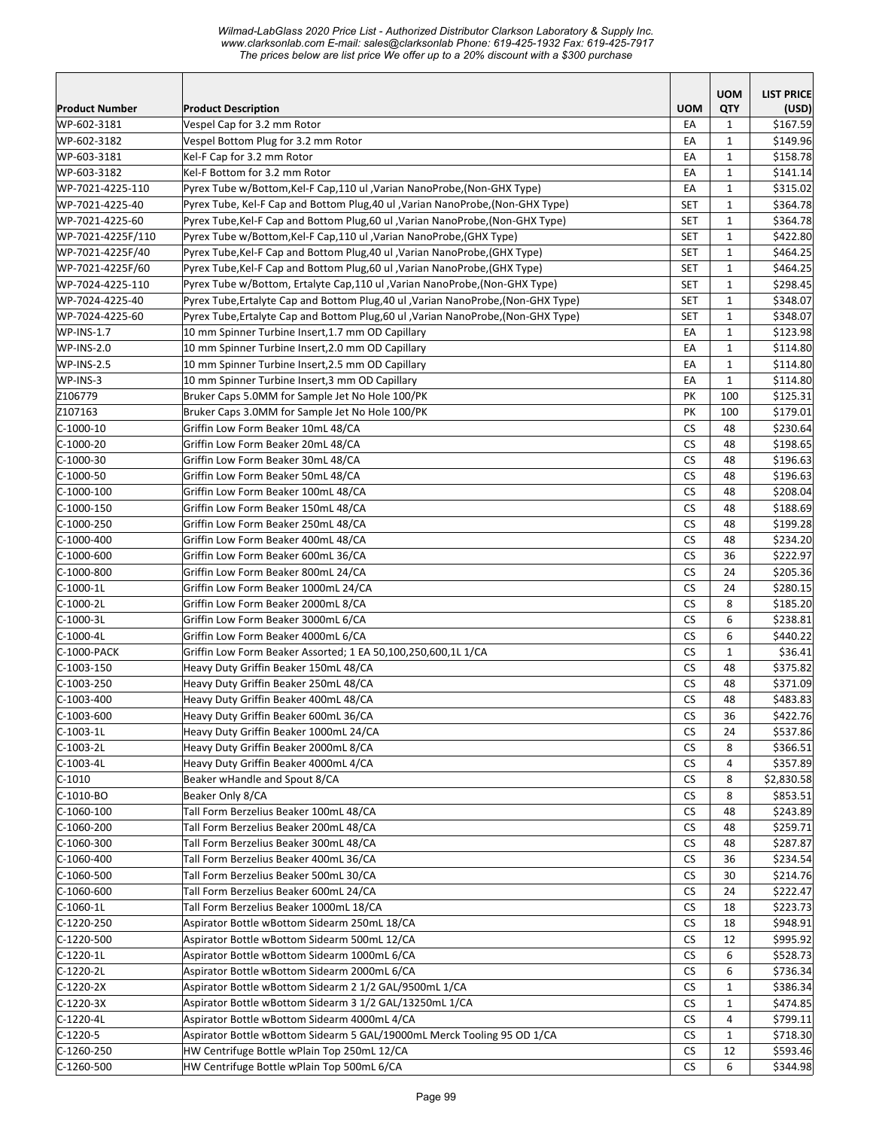|                                     |                                                                                                                                                              |                  | <b>UOM</b>                   | <b>LIST PRICE</b>    |
|-------------------------------------|--------------------------------------------------------------------------------------------------------------------------------------------------------------|------------------|------------------------------|----------------------|
| <b>Product Number</b>               | <b>Product Description</b>                                                                                                                                   | <b>UOM</b>       | <b>QTY</b>                   | (USD)                |
| WP-602-3181                         | Vespel Cap for 3.2 mm Rotor                                                                                                                                  | EA               | 1                            | \$167.59             |
| WP-602-3182                         | Vespel Bottom Plug for 3.2 mm Rotor                                                                                                                          | EA               | $\mathbf{1}$                 | \$149.96             |
| WP-603-3181                         | Kel-F Cap for 3.2 mm Rotor                                                                                                                                   | EA               | $\mathbf{1}$                 | \$158.78             |
| WP-603-3182                         | Kel-F Bottom for 3.2 mm Rotor                                                                                                                                | EA               | $\mathbf{1}$                 | \$141.14             |
| WP-7021-4225-110<br>WP-7021-4225-40 | Pyrex Tube w/Bottom, Kel-F Cap, 110 ul , Varian NanoProbe, (Non-GHX Type)<br>Pyrex Tube, Kel-F Cap and Bottom Plug, 40 ul , Varian NanoProbe, (Non-GHX Type) | EA<br><b>SET</b> | $\mathbf{1}$<br>$\mathbf{1}$ | \$315.02<br>\$364.78 |
| WP-7021-4225-60                     | Pyrex Tube, Kel-F Cap and Bottom Plug, 60 ul, Varian NanoProbe, (Non-GHX Type)                                                                               | <b>SET</b>       | $\mathbf{1}$                 | \$364.78             |
| WP-7021-4225F/110                   | Pyrex Tube w/Bottom, Kel-F Cap, 110 ul , Varian NanoProbe, (GHX Type)                                                                                        | <b>SET</b>       | $\mathbf{1}$                 | \$422.80             |
| WP-7021-4225F/40                    | Pyrex Tube, Kel-F Cap and Bottom Plug, 40 ul, Varian NanoProbe, (GHX Type)                                                                                   | <b>SET</b>       | $\mathbf{1}$                 | \$464.25             |
| WP-7021-4225F/60                    | Pyrex Tube, Kel-F Cap and Bottom Plug, 60 ul, Varian NanoProbe, (GHX Type)                                                                                   | <b>SET</b>       | $\mathbf{1}$                 | \$464.25             |
| WP-7024-4225-110                    | Pyrex Tube w/Bottom, Ertalyte Cap,110 ul , Varian NanoProbe, (Non-GHX Type)                                                                                  | <b>SET</b>       | $\mathbf{1}$                 | \$298.45             |
| WP-7024-4225-40                     | Pyrex Tube, Ertalyte Cap and Bottom Plug, 40 ul, Varian NanoProbe, (Non-GHX Type)                                                                            | <b>SET</b>       | $\mathbf{1}$                 | \$348.07             |
| WP-7024-4225-60                     | Pyrex Tube, Ertalyte Cap and Bottom Plug, 60 ul , Varian NanoProbe, (Non-GHX Type)                                                                           | <b>SET</b>       | $\mathbf{1}$                 | \$348.07             |
| <b>WP-INS-1.7</b>                   | 10 mm Spinner Turbine Insert, 1.7 mm OD Capillary                                                                                                            | EA               | $\mathbf{1}$                 | \$123.98             |
| <b>WP-INS-2.0</b>                   | 10 mm Spinner Turbine Insert, 2.0 mm OD Capillary                                                                                                            | EA               | $\mathbf{1}$                 | \$114.80             |
| WP-INS-2.5                          | 10 mm Spinner Turbine Insert, 2.5 mm OD Capillary                                                                                                            | EA               | $\mathbf{1}$                 | \$114.80             |
| WP-INS-3                            | 10 mm Spinner Turbine Insert, 3 mm OD Capillary                                                                                                              | EA               | $\mathbf{1}$                 | \$114.80             |
| Z106779                             | Bruker Caps 5.0MM for Sample Jet No Hole 100/PK                                                                                                              | PK               | 100                          | \$125.31             |
| Z107163                             | Bruker Caps 3.0MM for Sample Jet No Hole 100/PK                                                                                                              | PK               | 100                          | \$179.01             |
| C-1000-10                           | Griffin Low Form Beaker 10mL 48/CA                                                                                                                           | <b>CS</b>        | 48                           | \$230.64             |
| $ C-1000-20$                        | Griffin Low Form Beaker 20mL 48/CA                                                                                                                           | <b>CS</b>        | 48                           | \$198.65             |
| C-1000-30                           | Griffin Low Form Beaker 30mL 48/CA                                                                                                                           | CS               | 48                           | \$196.63             |
| $C-1000-50$                         | Griffin Low Form Beaker 50mL 48/CA                                                                                                                           | CS               | 48                           | \$196.63             |
| $C-1000-100$                        | Griffin Low Form Beaker 100mL 48/CA                                                                                                                          | <b>CS</b>        | 48                           | \$208.04             |
| $C-1000-150$                        | Griffin Low Form Beaker 150mL 48/CA                                                                                                                          | <b>CS</b>        | 48                           | \$188.69             |
| C-1000-250                          | Griffin Low Form Beaker 250mL 48/CA                                                                                                                          | CS               | 48                           | \$199.28             |
| C-1000-400                          | Griffin Low Form Beaker 400mL 48/CA                                                                                                                          | <b>CS</b>        | 48                           | \$234.20             |
| C-1000-600                          | Griffin Low Form Beaker 600mL 36/CA                                                                                                                          | <b>CS</b>        | 36                           | \$222.97             |
| C-1000-800                          | Griffin Low Form Beaker 800mL 24/CA                                                                                                                          | <b>CS</b>        | 24                           | \$205.36             |
| C-1000-1L                           | Griffin Low Form Beaker 1000mL 24/CA                                                                                                                         | <b>CS</b>        | 24                           | \$280.15             |
| $C-1000-2L$                         | Griffin Low Form Beaker 2000mL 8/CA                                                                                                                          | <b>CS</b>        | 8                            | \$185.20             |
| $C-1000-3L$                         | Griffin Low Form Beaker 3000mL 6/CA                                                                                                                          | <b>CS</b>        | 6                            | \$238.81             |
| $C-1000-4L$                         | Griffin Low Form Beaker 4000mL 6/CA                                                                                                                          | <b>CS</b>        | 6                            | \$440.22             |
| C-1000-PACK                         | Griffin Low Form Beaker Assorted; 1 EA 50,100,250,600,1L 1/CA                                                                                                | <b>CS</b>        | $\mathbf{1}$                 | \$36.41              |
| $ C-1003-150$                       | Heavy Duty Griffin Beaker 150mL 48/CA                                                                                                                        | <b>CS</b>        | 48                           | \$375.82             |
| $C-1003-250$                        | Heavy Duty Griffin Beaker 250mL 48/CA                                                                                                                        | <b>CS</b>        | 48                           | \$371.09             |
| C-1003-400                          | Heavy Duty Griffin Beaker 400mL 48/CA                                                                                                                        | CS               | 48                           | \$483.83             |
| $C-1003-600$                        | Heavy Duty Griffin Beaker 600mL 36/CA                                                                                                                        | CS               | 36                           | \$422.76             |
| C-1003-1L                           | Heavy Duty Griffin Beaker 1000mL 24/CA                                                                                                                       | CS               | 24                           | \$537.86             |
| $C-1003-2L$                         | Heavy Duty Griffin Beaker 2000mL 8/CA                                                                                                                        | CS               | 8                            | \$366.51             |
| $C-1003-4L$                         | Heavy Duty Griffin Beaker 4000mL 4/CA                                                                                                                        | СS               | 4                            | \$357.89             |
| $C-1010$                            | Beaker wHandle and Spout 8/CA<br>Beaker Only 8/CA                                                                                                            | CS<br><b>CS</b>  | 8<br>8                       | \$2,830.58           |
| $C-1010-BO$<br>$C-1060-100$         | Tall Form Berzelius Beaker 100mL 48/CA                                                                                                                       | <b>CS</b>        | 48                           | \$853.51             |
| $C-1060-200$                        | Tall Form Berzelius Beaker 200mL 48/CA                                                                                                                       | <b>CS</b>        | 48                           | \$243.89<br>\$259.71 |
| $C-1060-300$                        | Tall Form Berzelius Beaker 300mL 48/CA                                                                                                                       | <b>CS</b>        | 48                           | \$287.87             |
| $C-1060-400$                        | Tall Form Berzelius Beaker 400mL 36/CA                                                                                                                       | <b>CS</b>        | 36                           | \$234.54             |
| $C-1060-500$                        | Tall Form Berzelius Beaker 500mL 30/CA                                                                                                                       | <b>CS</b>        | 30                           | \$214.76             |
| $C-1060-600$                        | Tall Form Berzelius Beaker 600mL 24/CA                                                                                                                       | CS               | 24                           | \$222.47             |
| C-1060-1L                           | Tall Form Berzelius Beaker 1000mL 18/CA                                                                                                                      | CS               | 18                           | \$223.73             |
| C-1220-250                          | Aspirator Bottle wBottom Sidearm 250mL 18/CA                                                                                                                 | <b>CS</b>        | 18                           | \$948.91             |
| C-1220-500                          | Aspirator Bottle wBottom Sidearm 500mL 12/CA                                                                                                                 | СS               | 12                           | \$995.92             |
| C-1220-1L                           | Aspirator Bottle wBottom Sidearm 1000mL 6/CA                                                                                                                 | СS               | 6                            | \$528.73             |
| $C-1220-2L$                         | Aspirator Bottle wBottom Sidearm 2000mL 6/CA                                                                                                                 | CS               | 6                            | \$736.34             |
| $C-1220-2X$                         | Aspirator Bottle wBottom Sidearm 2 1/2 GAL/9500mL 1/CA                                                                                                       | CS               | $\mathbf{1}$                 | \$386.34             |
| $C-1220-3X$                         | Aspirator Bottle wBottom Sidearm 3 1/2 GAL/13250mL 1/CA                                                                                                      | CS               | $\mathbf{1}$                 | \$474.85             |
| $C-1220-4L$                         | Aspirator Bottle wBottom Sidearm 4000mL 4/CA                                                                                                                 | CS               | 4                            | \$799.11             |
| C-1220-5                            | Aspirator Bottle wBottom Sidearm 5 GAL/19000mL Merck Tooling 95 OD 1/CA                                                                                      | CS               | 1                            | \$718.30             |
| $C-1260-250$                        | HW Centrifuge Bottle wPlain Top 250mL 12/CA                                                                                                                  | <b>CS</b>        | 12                           | \$593.46             |
| $C-1260-500$                        | HW Centrifuge Bottle wPlain Top 500mL 6/CA                                                                                                                   | <b>CS</b>        | 6                            | \$344.98             |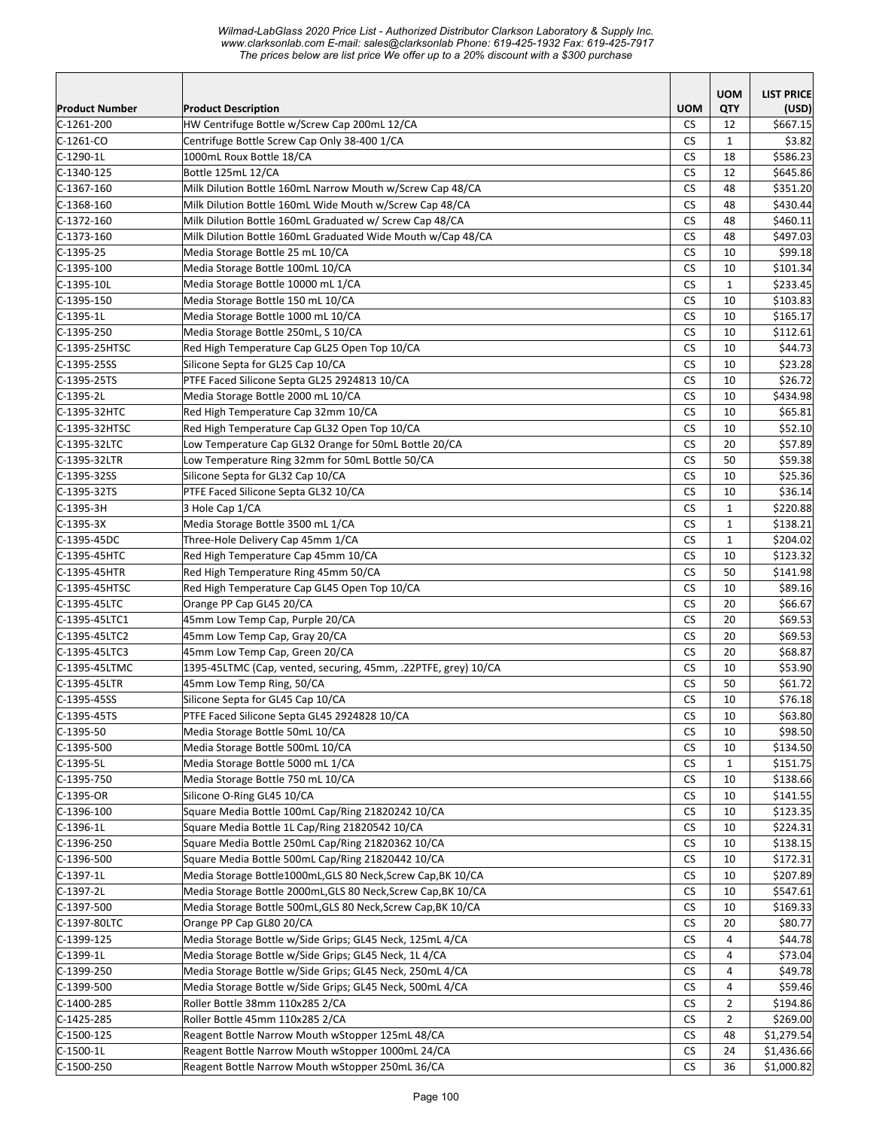*Wilmad-LabGlass 2020 Price List - Authorized Distributor Clarkson Laboratory & Supply Inc. www.clarksonlab.com E-mail: sales@clarksonlab Phone: 619-425-1932 Fax: 619-425-7917 The prices below are list price We offer up to a 20% discount with a \$300 purchase* 

|                       |                                                                |            | <b>UOM</b>     | <b>LIST PRICE</b> |
|-----------------------|----------------------------------------------------------------|------------|----------------|-------------------|
| <b>Product Number</b> | <b>Product Description</b>                                     | <b>UOM</b> | QTY            | (USD)             |
| $C-1261-200$          | HW Centrifuge Bottle w/Screw Cap 200mL 12/CA                   | <b>CS</b>  | 12             | \$667.15          |
| $C-1261-CO$           | Centrifuge Bottle Screw Cap Only 38-400 1/CA                   | CS         | $\mathbf{1}$   | \$3.82            |
| $C-1290-1L$           | 1000mL Roux Bottle 18/CA                                       | <b>CS</b>  | 18             | \$586.23          |
| C-1340-125            | Bottle 125mL 12/CA                                             | CS         | 12             | \$645.86          |
| $C-1367-160$          | Milk Dilution Bottle 160mL Narrow Mouth w/Screw Cap 48/CA      | <b>CS</b>  | 48             | \$351.20          |
| $C-1368-160$          | Milk Dilution Bottle 160mL Wide Mouth w/Screw Cap 48/CA        | <b>CS</b>  | 48             | \$430.44          |
| $C-1372-160$          | Milk Dilution Bottle 160mL Graduated w/ Screw Cap 48/CA        | CS         | 48             | \$460.11          |
| $C-1373-160$          | Milk Dilution Bottle 160mL Graduated Wide Mouth w/Cap 48/CA    | <b>CS</b>  | 48             | \$497.03          |
| $C-1395-25$           | Media Storage Bottle 25 mL 10/CA                               | CS         | 10             | \$99.18           |
| $C-1395-100$          | Media Storage Bottle 100mL 10/CA                               | <b>CS</b>  | 10             | \$101.34          |
| $C-1395-10L$          | Media Storage Bottle 10000 mL 1/CA                             | СS         | $\mathbf{1}$   | \$233.45          |
| $C-1395-150$          | Media Storage Bottle 150 mL 10/CA                              | <b>CS</b>  | 10             | \$103.83          |
| $C-1395-1L$           | Media Storage Bottle 1000 mL 10/CA                             | CS         | 10             | \$165.17          |
| $C-1395-250$          | Media Storage Bottle 250mL, S 10/CA                            | <b>CS</b>  | 10             | \$112.61          |
| C-1395-25HTSC         | Red High Temperature Cap GL25 Open Top 10/CA                   | <b>CS</b>  | 10             | \$44.73           |
| $C-1395-25SS$         | Silicone Septa for GL25 Cap 10/CA                              | <b>CS</b>  | 10             | \$23.28           |
| $C-1395-25TS$         | PTFE Faced Silicone Septa GL25 2924813 10/CA                   | <b>CS</b>  | 10             | \$26.72           |
| $C-1395-2L$           | Media Storage Bottle 2000 mL 10/CA                             | <b>CS</b>  | 10             | \$434.98          |
| C-1395-32HTC          | Red High Temperature Cap 32mm 10/CA                            | CS         | 10             | \$65.81           |
| C-1395-32HTSC         | Red High Temperature Cap GL32 Open Top 10/CA                   | <b>CS</b>  | 10             | \$52.10           |
| C-1395-32LTC          | Low Temperature Cap GL32 Orange for 50mL Bottle 20/CA          | <b>CS</b>  | 20             | \$57.89           |
| C-1395-32LTR          | Low Temperature Ring 32mm for 50mL Bottle 50/CA                | CS         | 50             | \$59.38           |
| C-1395-32SS           | Silicone Septa for GL32 Cap 10/CA                              | <b>CS</b>  | 10             | \$25.36           |
| C-1395-32TS           | PTFE Faced Silicone Septa GL32 10/CA                           | CS         | 10             | \$36.14           |
| C-1395-3H             | 3 Hole Cap 1/CA                                                | <b>CS</b>  | $\mathbf{1}$   | \$220.88          |
| C-1395-3X             | Media Storage Bottle 3500 mL 1/CA                              | CS         | $\mathbf{1}$   | \$138.21          |
| C-1395-45DC           | Three-Hole Delivery Cap 45mm 1/CA                              | <b>CS</b>  | $\mathbf{1}$   | \$204.02          |
| C-1395-45HTC          | Red High Temperature Cap 45mm 10/CA                            | CS         | 10             | \$123.32          |
| C-1395-45HTR          | Red High Temperature Ring 45mm 50/CA                           | <b>CS</b>  | 50             | \$141.98          |
| C-1395-45HTSC         | Red High Temperature Cap GL45 Open Top 10/CA                   | <b>CS</b>  | 10             | \$89.16           |
| C-1395-45LTC          | Orange PP Cap GL45 20/CA                                       | <b>CS</b>  | 20             | \$66.67           |
| C-1395-45LTC1         | 45mm Low Temp Cap, Purple 20/CA                                | <b>CS</b>  | 20             | \$69.53           |
| C-1395-45LTC2         | 45mm Low Temp Cap, Gray 20/CA                                  | <b>CS</b>  | 20             | \$69.53           |
| C-1395-45LTC3         | 45mm Low Temp Cap, Green 20/CA                                 | <b>CS</b>  | 20             | \$68.87           |
| C-1395-45LTMC         | 1395-45LTMC (Cap, vented, securing, 45mm, .22PTFE, grey) 10/CA | <b>CS</b>  | 10             | \$53.90           |
| C-1395-45LTR          | 45mm Low Temp Ring, 50/CA                                      | <b>CS</b>  | 50             | \$61.72           |
| $C-1395-45SS$         | Silicone Septa for GL45 Cap 10/CA                              | <b>CS</b>  | 10             | \$76.18           |
| $C-1395-45TS$         | PTFE Faced Silicone Septa GL45 2924828 10/CA                   | CS         | 10             | \$63.80           |
| $C-1395-50$           | Media Storage Bottle 50mL 10/CA                                | <b>CS</b>  | 10             | \$98.50           |
| $C-1395-500$          | Media Storage Bottle 500mL 10/CA                               | CS         | 10             | \$134.50          |
| $C-1395-5L$           | Media Storage Bottle 5000 mL 1/CA                              | CS         | $\mathbf{1}$   | \$151.75          |
| $ C-1395-750$         | Media Storage Bottle 750 mL 10/CA                              | CS         | 10             | \$138.66          |
| C-1395-OR             | Silicone O-Ring GL45 10/CA                                     | СS         | 10             | \$141.55          |
| $C-1396-100$          | Square Media Bottle 100mL Cap/Ring 21820242 10/CA              | <b>CS</b>  | 10             | \$123.35          |
| $C-1396-1L$           | Square Media Bottle 1L Cap/Ring 21820542 10/CA                 | <b>CS</b>  | 10             | \$224.31          |
| $C-1396-250$          | Square Media Bottle 250mL Cap/Ring 21820362 10/CA              | <b>CS</b>  | 10             | \$138.15          |
| $C-1396-500$          | Square Media Bottle 500mL Cap/Ring 21820442 10/CA              | <b>CS</b>  | 10             | \$172.31          |
| C-1397-1L             | Media Storage Bottle1000mL, GLS 80 Neck, Screw Cap, BK 10/CA   | CS         | 10             | \$207.89          |
| C-1397-2L             | Media Storage Bottle 2000mL, GLS 80 Neck, Screw Cap, BK 10/CA  | CS         | 10             | \$547.61          |
| $C-1397-500$          | Media Storage Bottle 500mL, GLS 80 Neck, Screw Cap, BK 10/CA   | CS         | 10             | \$169.33          |
| C-1397-80LTC          | Orange PP Cap GL80 20/CA                                       | <b>CS</b>  | 20             | \$80.77           |
| $C-1399-125$          | Media Storage Bottle w/Side Grips; GL45 Neck, 125mL 4/CA       | СS         | 4              | \$44.78           |
| $C-1399-1L$           | Media Storage Bottle w/Side Grips; GL45 Neck, 1L 4/CA          | <b>CS</b>  | 4              | \$73.04           |
| $C-1399-250$          | Media Storage Bottle w/Side Grips; GL45 Neck, 250mL 4/CA       | <b>CS</b>  | 4              | \$49.78           |
| $C-1399-500$          | Media Storage Bottle w/Side Grips; GL45 Neck, 500mL 4/CA       | CS         | 4              | \$59.46           |
| $C-1400-285$          | Roller Bottle 38mm 110x285 2/CA                                | CS         | 2              | \$194.86          |
| $C-1425-285$          | Roller Bottle 45mm 110x285 2/CA                                | CS         | $\overline{2}$ | \$269.00          |
| $C-1500-125$          | Reagent Bottle Narrow Mouth wStopper 125mL 48/CA               | СS         | 48             | \$1,279.54        |
| $C-1500-1L$           | Reagent Bottle Narrow Mouth wStopper 1000mL 24/CA              | <b>CS</b>  | 24             | \$1,436.66        |
| $C-1500-250$          | Reagent Bottle Narrow Mouth wStopper 250mL 36/CA               | CS         | 36             | \$1,000.82        |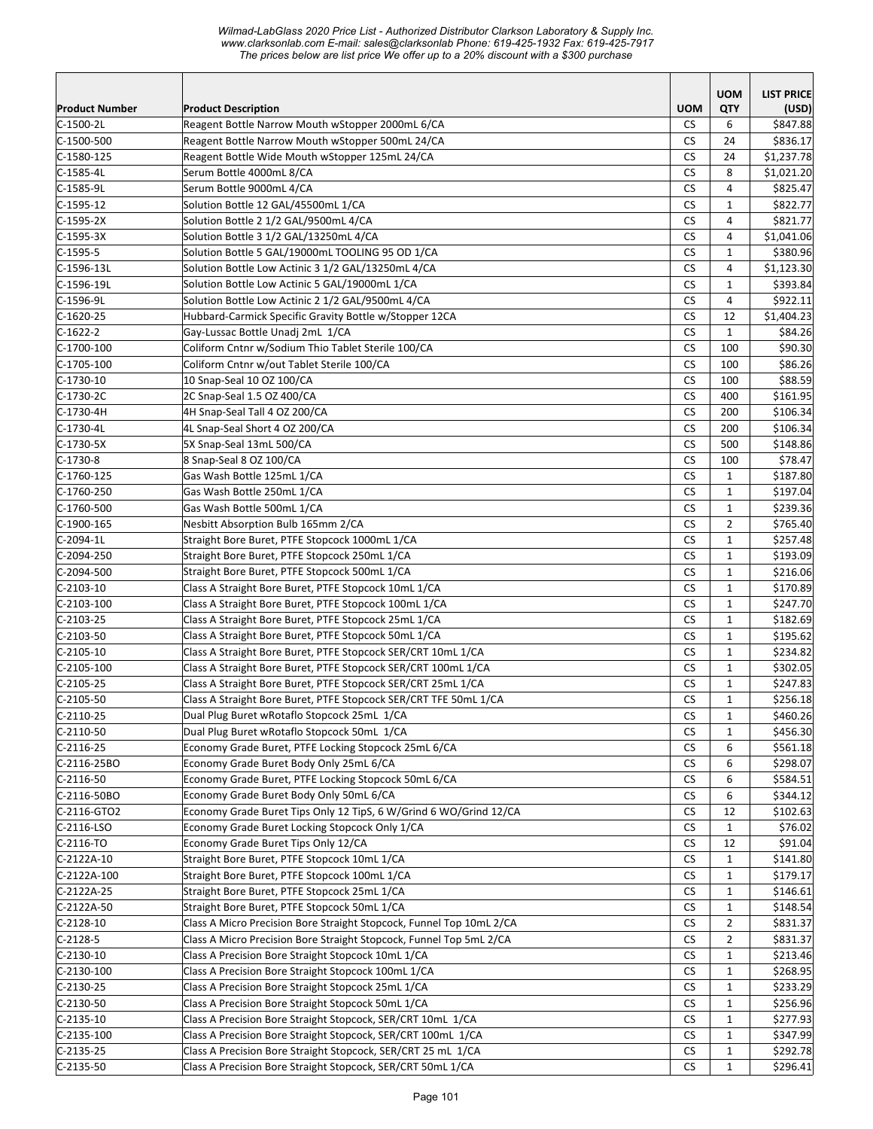*Wilmad-LabGlass 2020 Price List - Authorized Distributor Clarkson Laboratory & Supply Inc. www.clarksonlab.com E-mail: sales@clarksonlab Phone: 619-425-1932 Fax: 619-425-7917 The prices below are list price We offer up to a 20% discount with a \$300 purchase* 

|                       |                                                                      |                      | <b>UOM</b>     | <b>LIST PRICE</b> |
|-----------------------|----------------------------------------------------------------------|----------------------|----------------|-------------------|
| <b>Product Number</b> | <b>Product Description</b>                                           | <b>UOM</b>           | QTY            | (USD)             |
| $C-1500-2L$           | Reagent Bottle Narrow Mouth wStopper 2000mL 6/CA                     | CS.                  | 6              | \$847.88          |
| $C-1500-500$          | Reagent Bottle Narrow Mouth wStopper 500mL 24/CA                     | <b>CS</b>            | 24             | \$836.17          |
| $C-1580-125$          | Reagent Bottle Wide Mouth wStopper 125mL 24/CA                       | <b>CS</b>            | 24             | \$1,237.78        |
| C-1585-4L             | Serum Bottle 4000mL 8/CA                                             | CS                   | 8              | \$1,021.20        |
| C-1585-9L             | Serum Bottle 9000mL 4/CA                                             | <b>CS</b>            | $\overline{4}$ | \$825.47          |
| $C-1595-12$           | Solution Bottle 12 GAL/45500mL 1/CA                                  | CS                   | $\mathbf{1}$   | \$822.77          |
| $C-1595-2X$           | Solution Bottle 2 1/2 GAL/9500mL 4/CA                                | <b>CS</b>            | 4              | \$821.77          |
| $C-1595-3X$           | Solution Bottle 3 1/2 GAL/13250mL 4/CA                               | <b>CS</b>            | $\overline{4}$ | \$1,041.06        |
| $C-1595-5$            | Solution Bottle 5 GAL/19000mL TOOLING 95 OD 1/CA                     | <b>CS</b>            | $\mathbf{1}$   | \$380.96          |
| $C-1596-13L$          | Solution Bottle Low Actinic 3 1/2 GAL/13250mL 4/CA                   | CS                   | 4              | \$1,123.30        |
| $C-1596-19L$          | Solution Bottle Low Actinic 5 GAL/19000mL 1/CA                       | <b>CS</b>            | $\mathbf{1}$   | \$393.84          |
| C-1596-9L             | Solution Bottle Low Actinic 2 1/2 GAL/9500mL 4/CA                    | <b>CS</b>            | $\overline{4}$ | \$922.11          |
| $C-1620-25$           | Hubbard-Carmick Specific Gravity Bottle w/Stopper 12CA               | <b>CS</b>            | 12             | \$1,404.23        |
| $C-1622-2$            | Gay-Lussac Bottle Unadj 2mL 1/CA                                     | <b>CS</b>            | $\mathbf{1}$   | \$84.26           |
| $C-1700-100$          | Coliform Cntnr w/Sodium Thio Tablet Sterile 100/CA                   | <b>CS</b>            | 100            | \$90.30           |
| $C-1705-100$          | Coliform Cntnr w/out Tablet Sterile 100/CA                           | <b>CS</b>            | 100            | \$86.26           |
| $C-1730-10$           | 10 Snap-Seal 10 OZ 100/CA                                            | <b>CS</b>            | 100            | \$88.59           |
| C-1730-2C             | 2C Snap-Seal 1.5 OZ 400/CA                                           | <b>CS</b>            | 400            | \$161.95          |
| C-1730-4H             | 4H Snap-Seal Tall 4 OZ 200/CA                                        | СS                   | 200            | \$106.34          |
| C-1730-4L             | 4L Snap-Seal Short 4 OZ 200/CA                                       | <b>CS</b>            | 200            | \$106.34          |
| $C-1730-5X$           | 5X Snap-Seal 13mL 500/CA                                             | CS                   | 500            | \$148.86          |
| $C-1730-8$            | 8 Snap-Seal 8 OZ 100/CA                                              | <b>CS</b>            | 100            | \$78.47           |
| $C-1760-125$          | Gas Wash Bottle 125mL 1/CA                                           | <b>CS</b>            | $\mathbf{1}$   | \$187.80          |
| $C-1760-250$          | Gas Wash Bottle 250mL 1/CA                                           | <b>CS</b>            | $\mathbf{1}$   | \$197.04          |
| $C-1760-500$          | Gas Wash Bottle 500mL 1/CA                                           | CS                   | $\mathbf{1}$   | \$239.36          |
| $C-1900-165$          | Nesbitt Absorption Bulb 165mm 2/CA                                   | <b>CS</b>            | $\overline{2}$ | \$765.40          |
| C-2094-1L             | Straight Bore Buret, PTFE Stopcock 1000mL 1/CA                       | CS                   | $\mathbf{1}$   | \$257.48          |
| C-2094-250            | Straight Bore Buret, PTFE Stopcock 250mL 1/CA                        | <b>CS</b>            | $\mathbf{1}$   | \$193.09          |
| C-2094-500            | Straight Bore Buret, PTFE Stopcock 500mL 1/CA                        | <b>CS</b>            | $\mathbf{1}$   | \$216.06          |
| $C-2103-10$           | Class A Straight Bore Buret, PTFE Stopcock 10mL 1/CA                 | <b>CS</b>            | $\mathbf{1}$   | \$170.89          |
| $C-2103-100$          | Class A Straight Bore Buret, PTFE Stopcock 100mL 1/CA                | <b>CS</b>            | $\mathbf{1}$   | \$247.70          |
| $C-2103-25$           | Class A Straight Bore Buret, PTFE Stopcock 25mL 1/CA                 | <b>CS</b>            | $\mathbf{1}$   | \$182.69          |
| $C-2103-50$           | Class A Straight Bore Buret, PTFE Stopcock 50mL 1/CA                 | <b>CS</b>            | 1              | \$195.62          |
| $C-2105-10$           | Class A Straight Bore Buret, PTFE Stopcock SER/CRT 10mL 1/CA         | CS                   | $\mathbf{1}$   | \$234.82          |
| C-2105-100            | Class A Straight Bore Buret, PTFE Stopcock SER/CRT 100mL 1/CA        | СS                   | $\mathbf{1}$   | \$302.05          |
| $C-2105-25$           | Class A Straight Bore Buret, PTFE Stopcock SER/CRT 25mL 1/CA         | CS                   | $\mathbf{1}$   | \$247.83          |
| $C-2105-50$           | Class A Straight Bore Buret, PTFE Stopcock SER/CRT TFE 50mL 1/CA     | <b>CS</b>            | $\mathbf{1}$   | \$256.18          |
| $C-2110-25$           | Dual Plug Buret wRotaflo Stopcock 25mL 1/CA                          | $\mathsf{CS}\xspace$ | $\mathbf 1$    | \$460.26          |
| C-2110-50             | Dual Plug Buret wRotaflo Stopcock 50mL 1/CA                          | CS                   | $\mathbf{1}$   | \$456.30          |
| $C-2116-25$           | Economy Grade Buret, PTFE Locking Stopcock 25mL 6/CA                 | CS                   | 6              | \$561.18          |
| C-2116-25BO           | Economy Grade Buret Body Only 25mL 6/CA                              | CS                   | 6              | \$298.07          |
| C-2116-50             | Economy Grade Buret, PTFE Locking Stopcock 50mL 6/CA                 | CS                   | 6              | \$584.51          |
| C-2116-50BO           | Economy Grade Buret Body Only 50mL 6/CA                              | <b>CS</b>            | 6              | \$344.12          |
| C-2116-GTO2           | Economy Grade Buret Tips Only 12 TipS, 6 W/Grind 6 WO/Grind 12/CA    | <b>CS</b>            | 12             | \$102.63          |
| C-2116-LSO            | Economy Grade Buret Locking Stopcock Only 1/CA                       | <b>CS</b>            | $\mathbf{1}$   | \$76.02           |
| $C-2116-TO$           | Economy Grade Buret Tips Only 12/CA                                  | <b>CS</b>            | 12             | \$91.04           |
| C-2122A-10            | Straight Bore Buret, PTFE Stopcock 10mL 1/CA                         | CS                   | $\mathbf{1}$   | \$141.80          |
| C-2122A-100           | Straight Bore Buret, PTFE Stopcock 100mL 1/CA                        | CS                   | 1              | \$179.17          |
| $C-2122A-25$          | Straight Bore Buret, PTFE Stopcock 25mL 1/CA                         | CS                   | 1              | \$146.61          |
| C-2122A-50            | Straight Bore Buret, PTFE Stopcock 50mL 1/CA                         | CS                   | 1              | \$148.54          |
| $C-2128-10$           | Class A Micro Precision Bore Straight Stopcock, Funnel Top 10mL 2/CA | СS                   | $\overline{2}$ | \$831.37          |
| $C-2128-5$            | Class A Micro Precision Bore Straight Stopcock, Funnel Top 5mL 2/CA  | CS                   | $\overline{2}$ | \$831.37          |
| $C-2130-10$           | Class A Precision Bore Straight Stopcock 10mL 1/CA                   | CS                   | $\mathbf{1}$   | \$213.46          |
| $C-2130-100$          | Class A Precision Bore Straight Stopcock 100mL 1/CA                  | CS                   | $\mathbf{1}$   | \$268.95          |
| C-2130-25             | Class A Precision Bore Straight Stopcock 25mL 1/CA                   | CS                   | $\mathbf{1}$   | \$233.29          |
| $C-2130-50$           | Class A Precision Bore Straight Stopcock 50mL 1/CA                   | CS                   | 1              | \$256.96          |
| C-2135-10             | Class A Precision Bore Straight Stopcock, SER/CRT 10mL 1/CA          | CS                   | 1              | \$277.93          |
| $C-2135-100$          | Class A Precision Bore Straight Stopcock, SER/CRT 100mL 1/CA         | СS                   | $\mathbf{1}$   | \$347.99          |
| $C-2135-25$           | Class A Precision Bore Straight Stopcock, SER/CRT 25 mL 1/CA         | CS                   | $\mathbf{1}$   | \$292.78          |
| $C-2135-50$           | Class A Precision Bore Straight Stopcock, SER/CRT 50mL 1/CA          | CS.                  | $\mathbf{1}$   | \$296.41          |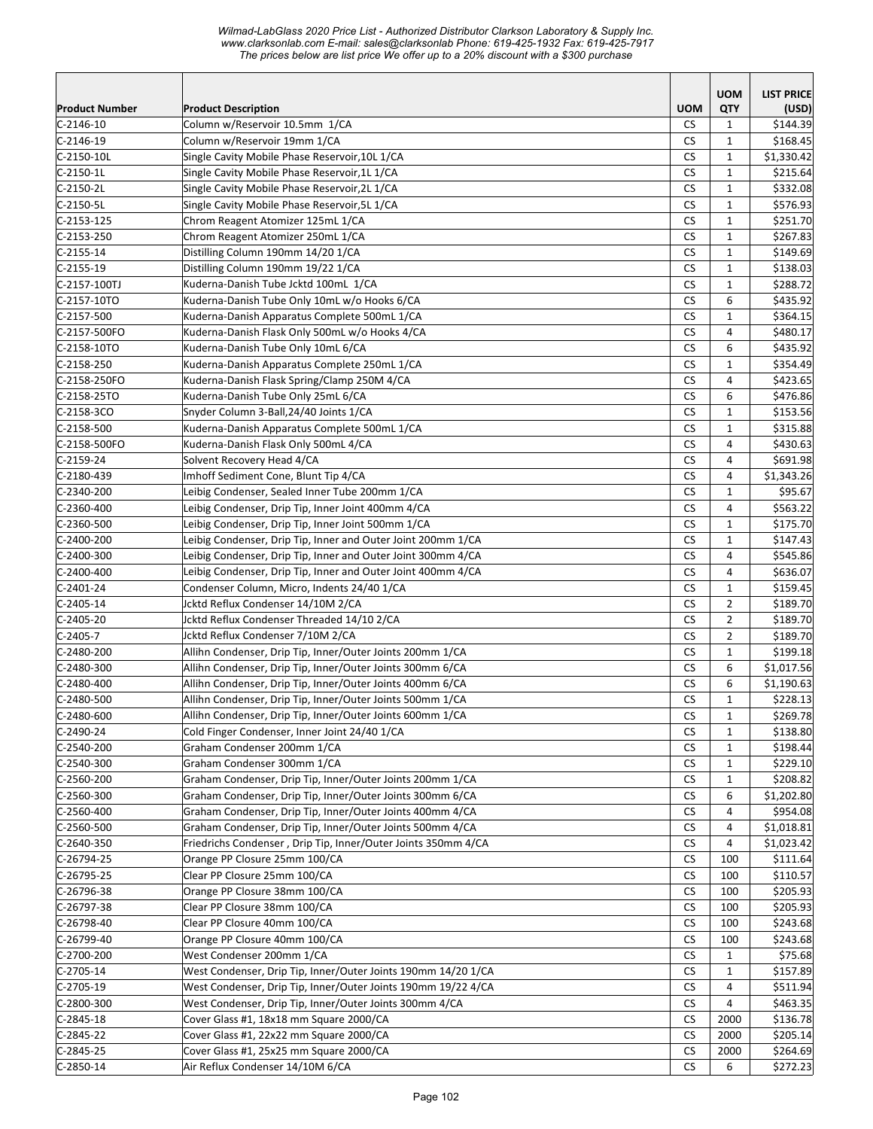|                       |                                                                             |            | <b>UOM</b>     | <b>LIST PRICE</b> |
|-----------------------|-----------------------------------------------------------------------------|------------|----------------|-------------------|
| <b>Product Number</b> | <b>Product Description</b>                                                  | <b>UOM</b> | QTY            | (USD)             |
| $C-2146-10$           | Column w/Reservoir 10.5mm 1/CA                                              | CS         | $\mathbf{1}$   | \$144.39          |
| $C-2146-19$           | Column w/Reservoir 19mm 1/CA                                                | СS         | $\mathbf{1}$   | \$168.45          |
| $C-2150-10L$          | Single Cavity Mobile Phase Reservoir, 10L 1/CA                              | CS         | $\mathbf{1}$   | \$1,330.42        |
| $C-2150-1L$           | Single Cavity Mobile Phase Reservoir, 1L 1/CA                               | <b>CS</b>  | $\mathbf{1}$   | \$215.64          |
| $C-2150-2L$           | Single Cavity Mobile Phase Reservoir, 2L 1/CA                               | <b>CS</b>  | $\mathbf{1}$   | \$332.08          |
| $C-2150-5L$           | Single Cavity Mobile Phase Reservoir, 5L 1/CA                               | <b>CS</b>  | $\mathbf{1}$   | \$576.93          |
| C-2153-125            | Chrom Reagent Atomizer 125mL 1/CA                                           | <b>CS</b>  | $\mathbf{1}$   | \$251.70          |
| $C-2153-250$          | Chrom Reagent Atomizer 250mL 1/CA                                           | CS         | $\mathbf{1}$   | \$267.83          |
| $C-2155-14$           | Distilling Column 190mm 14/20 1/CA                                          | <b>CS</b>  | $\mathbf{1}$   | \$149.69          |
| $C-2155-19$           | Distilling Column 190mm 19/22 1/CA                                          | CS         | $\mathbf{1}$   | \$138.03          |
| C-2157-100TJ          | Kuderna-Danish Tube Jcktd 100mL 1/CA                                        | <b>CS</b>  | $\mathbf{1}$   | \$288.72          |
| C-2157-10TO           | Kuderna-Danish Tube Only 10mL w/o Hooks 6/CA                                | CS         | 6              | \$435.92          |
| $C-2157-500$          | Kuderna-Danish Apparatus Complete 500mL 1/CA                                | <b>CS</b>  | $\mathbf{1}$   | \$364.15          |
| C-2157-500FO          | Kuderna-Danish Flask Only 500mL w/o Hooks 4/CA                              | <b>CS</b>  | 4              | \$480.17          |
| C-2158-10TO           | Kuderna-Danish Tube Only 10mL 6/CA                                          | <b>CS</b>  | 6              | \$435.92          |
| $C-2158-250$          | Kuderna-Danish Apparatus Complete 250mL 1/CA                                | CS         | $\mathbf{1}$   | \$354.49          |
| C-2158-250FO          | Kuderna-Danish Flask Spring/Clamp 250M 4/CA                                 | <b>CS</b>  | 4              | \$423.65          |
| $C-2158-25TO$         | Kuderna-Danish Tube Only 25mL 6/CA                                          | <b>CS</b>  | 6              | \$476.86          |
| $C-2158-3C0$          | Snyder Column 3-Ball, 24/40 Joints 1/CA                                     | <b>CS</b>  | $\mathbf{1}$   | \$153.56          |
| $C-2158-500$          | Kuderna-Danish Apparatus Complete 500mL 1/CA                                | <b>CS</b>  | $\mathbf{1}$   | \$315.88          |
| C-2158-500FO          | Kuderna-Danish Flask Only 500mL 4/CA                                        | <b>CS</b>  | 4              | \$430.63          |
| $C-2159-24$           | Solvent Recovery Head 4/CA                                                  | <b>CS</b>  | $\overline{4}$ | \$691.98          |
| $C-2180-439$          | Imhoff Sediment Cone, Blunt Tip 4/CA                                        | CS         | 4              | \$1,343.26        |
| $C-2340-200$          | Leibig Condenser, Sealed Inner Tube 200mm 1/CA                              | <b>CS</b>  | $\mathbf{1}$   | \$95.67           |
| $C-2360-400$          | Leibig Condenser, Drip Tip, Inner Joint 400mm 4/CA                          | <b>CS</b>  | $\overline{4}$ | \$563.22          |
| $C-2360-500$          | Leibig Condenser, Drip Tip, Inner Joint 500mm 1/CA                          | <b>CS</b>  | $\mathbf{1}$   | \$175.70          |
| $C-2400-200$          | Leibig Condenser, Drip Tip, Inner and Outer Joint 200mm 1/CA                | <b>CS</b>  | $\mathbf{1}$   | \$147.43          |
| $C-2400-300$          | Leibig Condenser, Drip Tip, Inner and Outer Joint 300mm 4/CA                | <b>CS</b>  | 4              | \$545.86          |
| C-2400-400            | Leibig Condenser, Drip Tip, Inner and Outer Joint 400mm 4/CA                | <b>CS</b>  | 4              | \$636.07          |
| $C-2401-24$           | Condenser Column, Micro, Indents 24/40 1/CA                                 | <b>CS</b>  | $\mathbf{1}$   | \$159.45          |
| $C-2405-14$           | Jcktd Reflux Condenser 14/10M 2/CA                                          | CS         | $\overline{2}$ | \$189.70          |
| $C-2405-20$           | Jcktd Reflux Condenser Threaded 14/10 2/CA                                  | <b>CS</b>  | $\overline{2}$ | \$189.70          |
| $C-2405-7$            | Jcktd Reflux Condenser 7/10M 2/CA                                           | <b>CS</b>  | $\overline{2}$ | \$189.70          |
| $C-2480-200$          | Allihn Condenser, Drip Tip, Inner/Outer Joints 200mm 1/CA                   | <b>CS</b>  | $\mathbf{1}$   | \$199.18          |
| $C-2480-300$          | Allihn Condenser, Drip Tip, Inner/Outer Joints 300mm 6/CA                   | CS         | 6              | \$1,017.56        |
| $C-2480-400$          | Allihn Condenser, Drip Tip, Inner/Outer Joints 400mm 6/CA                   | <b>CS</b>  | 6              | \$1,190.63        |
| $C-2480-500$          | Allihn Condenser, Drip Tip, Inner/Outer Joints 500mm 1/CA                   | CS         | $\mathbf{1}$   | \$228.13          |
| $C-2480-600$          | Allihn Condenser, Drip Tip, Inner/Outer Joints 600mm 1/CA                   | ${\sf CS}$ | $\mathbf 1$    | \$269.78          |
| C-2490-24             | Cold Finger Condenser, Inner Joint 24/40 1/CA                               | <b>CS</b>  | $\mathbf{1}$   | \$138.80          |
| $C-2540-200$          | Graham Condenser 200mm 1/CA                                                 | CS         | $\mathbf{1}$   | \$198.44          |
| $C-2540-300$          | Graham Condenser 300mm 1/CA                                                 | <b>CS</b>  | 1              | \$229.10          |
| $C-2560-200$          | Graham Condenser, Drip Tip, Inner/Outer Joints 200mm 1/CA                   | <b>CS</b>  | $\mathbf{1}$   | \$208.82          |
| $C-2560-300$          | Graham Condenser, Drip Tip, Inner/Outer Joints 300mm 6/CA                   | CS         | 6              | \$1,202.80        |
| $C-2560-400$          | Graham Condenser, Drip Tip, Inner/Outer Joints 400mm 4/CA                   | CS         | 4              | \$954.08          |
| $C-2560-500$          | Graham Condenser, Drip Tip, Inner/Outer Joints 500mm 4/CA                   | CS         | 4              | \$1,018.81        |
| $C-2640-350$          | Friedrichs Condenser, Drip Tip, Inner/Outer Joints 350mm 4/CA               | CS         | 4              | \$1,023.42        |
| $C-26794-25$          | Orange PP Closure 25mm 100/CA                                               | <b>CS</b>  | 100            | \$111.64          |
| $C-26795-25$          | Clear PP Closure 25mm 100/CA                                                | <b>CS</b>  | 100            | \$110.57          |
| $C-26796-38$          | Orange PP Closure 38mm 100/CA                                               | <b>CS</b>  | 100            | \$205.93          |
| $C-26797-38$          | Clear PP Closure 38mm 100/CA                                                | <b>CS</b>  | 100            | \$205.93          |
| $C-26798-40$          | Clear PP Closure 40mm 100/CA                                                | CS         | 100            | \$243.68          |
| $C-26799-40$          | Orange PP Closure 40mm 100/CA                                               | <b>CS</b>  | 100            | \$243.68          |
| $C-2700-200$          | West Condenser 200mm 1/CA                                                   | <b>CS</b>  | $\mathbf{1}$   | \$75.68           |
| $C-2705-14$           | West Condenser, Drip Tip, Inner/Outer Joints 190mm 14/20 1/CA               | <b>CS</b>  | $\mathbf{1}$   | \$157.89          |
| $C-2705-19$           | West Condenser, Drip Tip, Inner/Outer Joints 190mm 19/22 4/CA               | <b>CS</b>  | $\overline{4}$ | \$511.94          |
| $C-2800-300$          | West Condenser, Drip Tip, Inner/Outer Joints 300mm 4/CA                     | <b>CS</b>  | 4              | \$463.35          |
| $C-2845-18$           | Cover Glass #1, 18x18 mm Square 2000/CA                                     |            |                | \$136.78          |
| $C-2845-22$           | Cover Glass #1, 22x22 mm Square 2000/CA                                     | CS         | 2000<br>2000   |                   |
|                       |                                                                             | CS         |                | \$205.14]         |
| $C-2845-25$           | Cover Glass #1, 25x25 mm Square 2000/CA<br>Air Reflux Condenser 14/10M 6/CA | CS         | 2000           | \$264.69          |
| $C-2850-14$           |                                                                             | CS         | 6              | \$272.23          |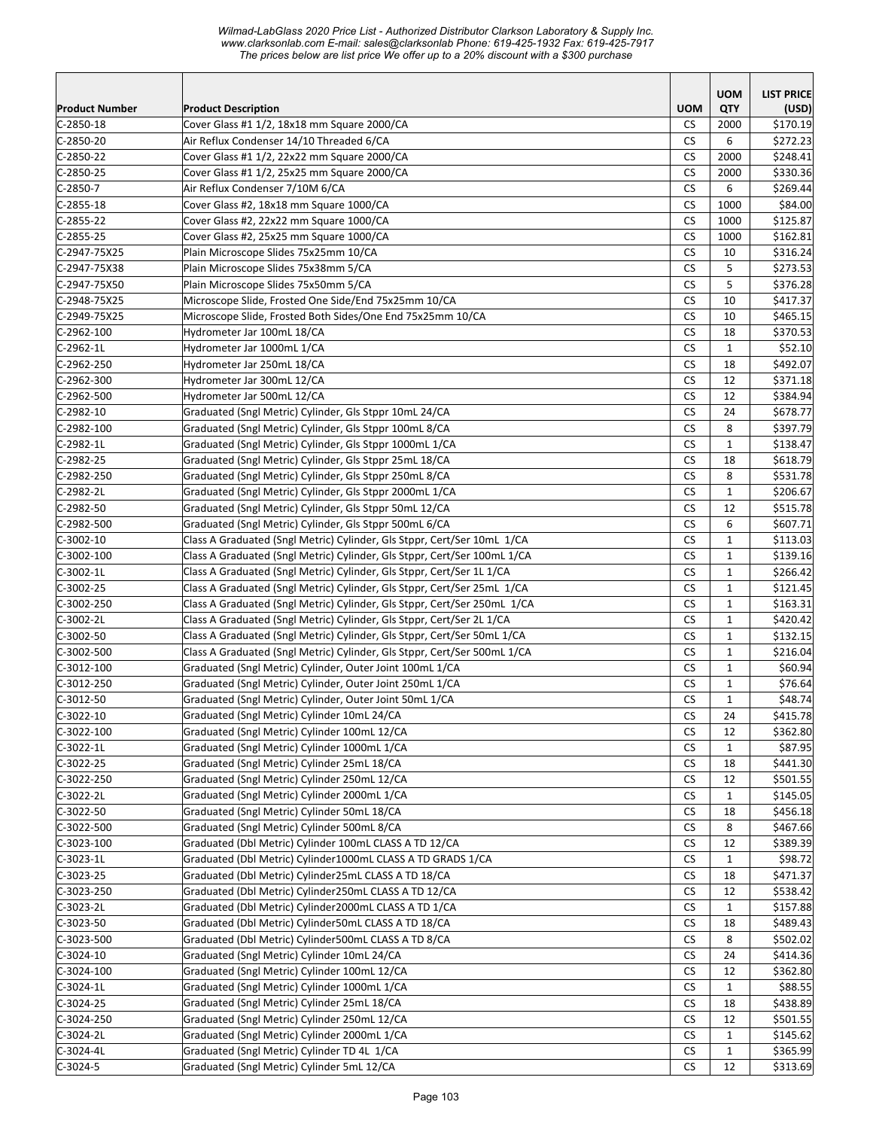*Wilmad-LabGlass 2020 Price List - Authorized Distributor Clarkson Laboratory & Supply Inc. www.clarksonlab.com E-mail: sales@clarksonlab Phone: 619-425-1932 Fax: 619-425-7917 The prices below are list price We offer up to a 20% discount with a \$300 purchase* 

| Product Number<br><b>Product Description</b><br>$C-2850-18$<br>Cover Glass #1 1/2, 18x18 mm Square 2000/CA<br><b>CS</b><br>2000<br>$C-2850-20$<br>Air Reflux Condenser 14/10 Threaded 6/CA<br><b>CS</b><br>6<br>Cover Glass #1 1/2, 22x22 mm Square 2000/CA<br>CS<br>2000<br><b>CS</b><br>C-2850-25<br>Cover Glass #1 1/2, 25x25 mm Square 2000/CA<br>2000<br><b>CS</b><br>6<br>C-2850-7<br>Air Reflux Condenser 7/10M 6/CA<br><b>CS</b><br>1000<br>\$84.00<br>C-2855-18<br>Cover Glass #2, 18x18 mm Square 1000/CA<br><b>CS</b><br>1000<br>C-2855-22<br>Cover Glass #2, 22x22 mm Square 1000/CA<br>\$125.87<br><b>CS</b><br>\$162.81<br>Cover Glass #2, 25x25 mm Square 1000/CA<br>1000<br>C-2947-75X25<br><b>CS</b><br>Plain Microscope Slides 75x25mm 10/CA<br>\$316.24<br>10<br><b>CS</b><br>C-2947-75X38<br>Plain Microscope Slides 75x38mm 5/CA<br>5<br>\$273.53<br>C-2947-75X50<br>Plain Microscope Slides 75x50mm 5/CA<br>СS<br>5<br>\$376.28<br><b>CS</b><br>Microscope Slide, Frosted One Side/End 75x25mm 10/CA<br>10<br>\$417.37<br>C-2948-75X25<br><b>CS</b><br>C-2949-75X25<br>Microscope Slide, Frosted Both Sides/One End 75x25mm 10/CA<br>10<br>\$465.15<br>CS<br>C-2962-100<br>Hydrometer Jar 100mL 18/CA<br>18<br>\$370.53<br><b>CS</b><br>\$52.10<br>$C-2962-1L$<br>Hydrometer Jar 1000mL 1/CA<br>$\mathbf{1}$<br><b>CS</b><br>\$492.07<br>Hydrometer Jar 250mL 18/CA<br>18<br>$C-2962-300$<br>Hydrometer Jar 300mL 12/CA<br><b>CS</b><br>12<br>\$371.18<br>$C-2962-500$<br>CS<br>Hydrometer Jar 500mL 12/CA<br>12<br>\$384.94<br><b>CS</b><br>C-2982-10<br>Graduated (Sngl Metric) Cylinder, Gls Stppr 10mL 24/CA<br>24<br>\$678.77<br><b>CS</b><br>8<br>C-2982-100<br>Graduated (Sngl Metric) Cylinder, Gls Stppr 100mL 8/CA<br>\$397.79<br><b>CS</b><br>$\mathbf{1}$<br>C-2982-1L<br>Graduated (Sngl Metric) Cylinder, Gls Stppr 1000mL 1/CA<br>\$138.47<br><b>CS</b><br>18<br>C-2982-25<br>Graduated (Sngl Metric) Cylinder, Gls Stppr 25mL 18/CA<br>\$618.79<br><b>CS</b><br>8<br>Graduated (Sngl Metric) Cylinder, Gls Stppr 250mL 8/CA<br>\$531.78<br><b>CS</b><br>Graduated (Sngl Metric) Cylinder, Gls Stppr 2000mL 1/CA<br>$\mathbf{1}$<br>\$206.67<br>Graduated (Sngl Metric) Cylinder, Gls Stppr 50mL 12/CA<br><b>CS</b><br>$C-2982-50$<br>12<br>\$515.78<br><b>CS</b><br>C-2982-500<br>Graduated (Sngl Metric) Cylinder, Gls Stppr 500mL 6/CA<br>6<br>\$607.71<br>Class A Graduated (Sngl Metric) Cylinder, Gls Stppr, Cert/Ser 10mL 1/CA<br>C-3002-10<br>CS<br>1<br>\$113.03<br><b>CS</b><br>$\mathbf{1}$<br>C-3002-100<br>Class A Graduated (Sngl Metric) Cylinder, Gls Stppr, Cert/Ser 100mL 1/CA<br>\$139.16<br>CS<br>$\mathbf{1}$<br>$C-3002-1L$<br>Class A Graduated (Sngl Metric) Cylinder, Gls Stppr, Cert/Ser 1L 1/CA<br>\$266.42<br><b>CS</b><br>Class A Graduated (Sngl Metric) Cylinder, Gls Stppr, Cert/Ser 25mL 1/CA<br>$\mathbf{1}$<br>\$121.45<br><b>CS</b><br>Class A Graduated (Sngl Metric) Cylinder, Gls Stppr, Cert/Ser 250mL 1/CA<br>$\mathbf{1}$<br>\$163.31<br>Class A Graduated (Sngl Metric) Cylinder, Gls Stppr, Cert/Ser 2L 1/CA<br><b>CS</b><br>$\mathbf{1}$<br>\$420.42 |             |                                                                         |            | <b>UOM</b>   | <b>LIST PRICE</b> |
|----------------------------------------------------------------------------------------------------------------------------------------------------------------------------------------------------------------------------------------------------------------------------------------------------------------------------------------------------------------------------------------------------------------------------------------------------------------------------------------------------------------------------------------------------------------------------------------------------------------------------------------------------------------------------------------------------------------------------------------------------------------------------------------------------------------------------------------------------------------------------------------------------------------------------------------------------------------------------------------------------------------------------------------------------------------------------------------------------------------------------------------------------------------------------------------------------------------------------------------------------------------------------------------------------------------------------------------------------------------------------------------------------------------------------------------------------------------------------------------------------------------------------------------------------------------------------------------------------------------------------------------------------------------------------------------------------------------------------------------------------------------------------------------------------------------------------------------------------------------------------------------------------------------------------------------------------------------------------------------------------------------------------------------------------------------------------------------------------------------------------------------------------------------------------------------------------------------------------------------------------------------------------------------------------------------------------------------------------------------------------------------------------------------------------------------------------------------------------------------------------------------------------------------------------------------------------------------------------------------------------------------------------------------------------------------------------------------------------------------------------------------------------------------------------------------------------------------------------------------------------------------------------------------------------------------------------------------------------------------------------------------------------------------------------------------------------------------------------------------------------------------|-------------|-------------------------------------------------------------------------|------------|--------------|-------------------|
|                                                                                                                                                                                                                                                                                                                                                                                                                                                                                                                                                                                                                                                                                                                                                                                                                                                                                                                                                                                                                                                                                                                                                                                                                                                                                                                                                                                                                                                                                                                                                                                                                                                                                                                                                                                                                                                                                                                                                                                                                                                                                                                                                                                                                                                                                                                                                                                                                                                                                                                                                                                                                                                                                                                                                                                                                                                                                                                                                                                                                                                                                                                                        |             |                                                                         | <b>UOM</b> | QTY          | (USD)             |
| $C-2850-22$<br>$C-2855-25$<br>C-2962-250<br>C-2982-250<br>C-2982-2L<br>$C-3002-25$<br>C-3002-250<br>C-3002-2L                                                                                                                                                                                                                                                                                                                                                                                                                                                                                                                                                                                                                                                                                                                                                                                                                                                                                                                                                                                                                                                                                                                                                                                                                                                                                                                                                                                                                                                                                                                                                                                                                                                                                                                                                                                                                                                                                                                                                                                                                                                                                                                                                                                                                                                                                                                                                                                                                                                                                                                                                                                                                                                                                                                                                                                                                                                                                                                                                                                                                          |             |                                                                         |            |              | \$170.19          |
|                                                                                                                                                                                                                                                                                                                                                                                                                                                                                                                                                                                                                                                                                                                                                                                                                                                                                                                                                                                                                                                                                                                                                                                                                                                                                                                                                                                                                                                                                                                                                                                                                                                                                                                                                                                                                                                                                                                                                                                                                                                                                                                                                                                                                                                                                                                                                                                                                                                                                                                                                                                                                                                                                                                                                                                                                                                                                                                                                                                                                                                                                                                                        |             |                                                                         |            |              | \$272.23          |
|                                                                                                                                                                                                                                                                                                                                                                                                                                                                                                                                                                                                                                                                                                                                                                                                                                                                                                                                                                                                                                                                                                                                                                                                                                                                                                                                                                                                                                                                                                                                                                                                                                                                                                                                                                                                                                                                                                                                                                                                                                                                                                                                                                                                                                                                                                                                                                                                                                                                                                                                                                                                                                                                                                                                                                                                                                                                                                                                                                                                                                                                                                                                        |             |                                                                         |            |              | \$248.41          |
|                                                                                                                                                                                                                                                                                                                                                                                                                                                                                                                                                                                                                                                                                                                                                                                                                                                                                                                                                                                                                                                                                                                                                                                                                                                                                                                                                                                                                                                                                                                                                                                                                                                                                                                                                                                                                                                                                                                                                                                                                                                                                                                                                                                                                                                                                                                                                                                                                                                                                                                                                                                                                                                                                                                                                                                                                                                                                                                                                                                                                                                                                                                                        |             |                                                                         |            |              | \$330.36          |
|                                                                                                                                                                                                                                                                                                                                                                                                                                                                                                                                                                                                                                                                                                                                                                                                                                                                                                                                                                                                                                                                                                                                                                                                                                                                                                                                                                                                                                                                                                                                                                                                                                                                                                                                                                                                                                                                                                                                                                                                                                                                                                                                                                                                                                                                                                                                                                                                                                                                                                                                                                                                                                                                                                                                                                                                                                                                                                                                                                                                                                                                                                                                        |             |                                                                         |            |              | \$269.44          |
|                                                                                                                                                                                                                                                                                                                                                                                                                                                                                                                                                                                                                                                                                                                                                                                                                                                                                                                                                                                                                                                                                                                                                                                                                                                                                                                                                                                                                                                                                                                                                                                                                                                                                                                                                                                                                                                                                                                                                                                                                                                                                                                                                                                                                                                                                                                                                                                                                                                                                                                                                                                                                                                                                                                                                                                                                                                                                                                                                                                                                                                                                                                                        |             |                                                                         |            |              |                   |
|                                                                                                                                                                                                                                                                                                                                                                                                                                                                                                                                                                                                                                                                                                                                                                                                                                                                                                                                                                                                                                                                                                                                                                                                                                                                                                                                                                                                                                                                                                                                                                                                                                                                                                                                                                                                                                                                                                                                                                                                                                                                                                                                                                                                                                                                                                                                                                                                                                                                                                                                                                                                                                                                                                                                                                                                                                                                                                                                                                                                                                                                                                                                        |             |                                                                         |            |              |                   |
|                                                                                                                                                                                                                                                                                                                                                                                                                                                                                                                                                                                                                                                                                                                                                                                                                                                                                                                                                                                                                                                                                                                                                                                                                                                                                                                                                                                                                                                                                                                                                                                                                                                                                                                                                                                                                                                                                                                                                                                                                                                                                                                                                                                                                                                                                                                                                                                                                                                                                                                                                                                                                                                                                                                                                                                                                                                                                                                                                                                                                                                                                                                                        |             |                                                                         |            |              |                   |
|                                                                                                                                                                                                                                                                                                                                                                                                                                                                                                                                                                                                                                                                                                                                                                                                                                                                                                                                                                                                                                                                                                                                                                                                                                                                                                                                                                                                                                                                                                                                                                                                                                                                                                                                                                                                                                                                                                                                                                                                                                                                                                                                                                                                                                                                                                                                                                                                                                                                                                                                                                                                                                                                                                                                                                                                                                                                                                                                                                                                                                                                                                                                        |             |                                                                         |            |              |                   |
|                                                                                                                                                                                                                                                                                                                                                                                                                                                                                                                                                                                                                                                                                                                                                                                                                                                                                                                                                                                                                                                                                                                                                                                                                                                                                                                                                                                                                                                                                                                                                                                                                                                                                                                                                                                                                                                                                                                                                                                                                                                                                                                                                                                                                                                                                                                                                                                                                                                                                                                                                                                                                                                                                                                                                                                                                                                                                                                                                                                                                                                                                                                                        |             |                                                                         |            |              |                   |
|                                                                                                                                                                                                                                                                                                                                                                                                                                                                                                                                                                                                                                                                                                                                                                                                                                                                                                                                                                                                                                                                                                                                                                                                                                                                                                                                                                                                                                                                                                                                                                                                                                                                                                                                                                                                                                                                                                                                                                                                                                                                                                                                                                                                                                                                                                                                                                                                                                                                                                                                                                                                                                                                                                                                                                                                                                                                                                                                                                                                                                                                                                                                        |             |                                                                         |            |              |                   |
|                                                                                                                                                                                                                                                                                                                                                                                                                                                                                                                                                                                                                                                                                                                                                                                                                                                                                                                                                                                                                                                                                                                                                                                                                                                                                                                                                                                                                                                                                                                                                                                                                                                                                                                                                                                                                                                                                                                                                                                                                                                                                                                                                                                                                                                                                                                                                                                                                                                                                                                                                                                                                                                                                                                                                                                                                                                                                                                                                                                                                                                                                                                                        |             |                                                                         |            |              |                   |
|                                                                                                                                                                                                                                                                                                                                                                                                                                                                                                                                                                                                                                                                                                                                                                                                                                                                                                                                                                                                                                                                                                                                                                                                                                                                                                                                                                                                                                                                                                                                                                                                                                                                                                                                                                                                                                                                                                                                                                                                                                                                                                                                                                                                                                                                                                                                                                                                                                                                                                                                                                                                                                                                                                                                                                                                                                                                                                                                                                                                                                                                                                                                        |             |                                                                         |            |              |                   |
|                                                                                                                                                                                                                                                                                                                                                                                                                                                                                                                                                                                                                                                                                                                                                                                                                                                                                                                                                                                                                                                                                                                                                                                                                                                                                                                                                                                                                                                                                                                                                                                                                                                                                                                                                                                                                                                                                                                                                                                                                                                                                                                                                                                                                                                                                                                                                                                                                                                                                                                                                                                                                                                                                                                                                                                                                                                                                                                                                                                                                                                                                                                                        |             |                                                                         |            |              |                   |
|                                                                                                                                                                                                                                                                                                                                                                                                                                                                                                                                                                                                                                                                                                                                                                                                                                                                                                                                                                                                                                                                                                                                                                                                                                                                                                                                                                                                                                                                                                                                                                                                                                                                                                                                                                                                                                                                                                                                                                                                                                                                                                                                                                                                                                                                                                                                                                                                                                                                                                                                                                                                                                                                                                                                                                                                                                                                                                                                                                                                                                                                                                                                        |             |                                                                         |            |              |                   |
|                                                                                                                                                                                                                                                                                                                                                                                                                                                                                                                                                                                                                                                                                                                                                                                                                                                                                                                                                                                                                                                                                                                                                                                                                                                                                                                                                                                                                                                                                                                                                                                                                                                                                                                                                                                                                                                                                                                                                                                                                                                                                                                                                                                                                                                                                                                                                                                                                                                                                                                                                                                                                                                                                                                                                                                                                                                                                                                                                                                                                                                                                                                                        |             |                                                                         |            |              |                   |
|                                                                                                                                                                                                                                                                                                                                                                                                                                                                                                                                                                                                                                                                                                                                                                                                                                                                                                                                                                                                                                                                                                                                                                                                                                                                                                                                                                                                                                                                                                                                                                                                                                                                                                                                                                                                                                                                                                                                                                                                                                                                                                                                                                                                                                                                                                                                                                                                                                                                                                                                                                                                                                                                                                                                                                                                                                                                                                                                                                                                                                                                                                                                        |             |                                                                         |            |              |                   |
|                                                                                                                                                                                                                                                                                                                                                                                                                                                                                                                                                                                                                                                                                                                                                                                                                                                                                                                                                                                                                                                                                                                                                                                                                                                                                                                                                                                                                                                                                                                                                                                                                                                                                                                                                                                                                                                                                                                                                                                                                                                                                                                                                                                                                                                                                                                                                                                                                                                                                                                                                                                                                                                                                                                                                                                                                                                                                                                                                                                                                                                                                                                                        |             |                                                                         |            |              |                   |
|                                                                                                                                                                                                                                                                                                                                                                                                                                                                                                                                                                                                                                                                                                                                                                                                                                                                                                                                                                                                                                                                                                                                                                                                                                                                                                                                                                                                                                                                                                                                                                                                                                                                                                                                                                                                                                                                                                                                                                                                                                                                                                                                                                                                                                                                                                                                                                                                                                                                                                                                                                                                                                                                                                                                                                                                                                                                                                                                                                                                                                                                                                                                        |             |                                                                         |            |              |                   |
|                                                                                                                                                                                                                                                                                                                                                                                                                                                                                                                                                                                                                                                                                                                                                                                                                                                                                                                                                                                                                                                                                                                                                                                                                                                                                                                                                                                                                                                                                                                                                                                                                                                                                                                                                                                                                                                                                                                                                                                                                                                                                                                                                                                                                                                                                                                                                                                                                                                                                                                                                                                                                                                                                                                                                                                                                                                                                                                                                                                                                                                                                                                                        |             |                                                                         |            |              |                   |
|                                                                                                                                                                                                                                                                                                                                                                                                                                                                                                                                                                                                                                                                                                                                                                                                                                                                                                                                                                                                                                                                                                                                                                                                                                                                                                                                                                                                                                                                                                                                                                                                                                                                                                                                                                                                                                                                                                                                                                                                                                                                                                                                                                                                                                                                                                                                                                                                                                                                                                                                                                                                                                                                                                                                                                                                                                                                                                                                                                                                                                                                                                                                        |             |                                                                         |            |              |                   |
|                                                                                                                                                                                                                                                                                                                                                                                                                                                                                                                                                                                                                                                                                                                                                                                                                                                                                                                                                                                                                                                                                                                                                                                                                                                                                                                                                                                                                                                                                                                                                                                                                                                                                                                                                                                                                                                                                                                                                                                                                                                                                                                                                                                                                                                                                                                                                                                                                                                                                                                                                                                                                                                                                                                                                                                                                                                                                                                                                                                                                                                                                                                                        |             |                                                                         |            |              |                   |
|                                                                                                                                                                                                                                                                                                                                                                                                                                                                                                                                                                                                                                                                                                                                                                                                                                                                                                                                                                                                                                                                                                                                                                                                                                                                                                                                                                                                                                                                                                                                                                                                                                                                                                                                                                                                                                                                                                                                                                                                                                                                                                                                                                                                                                                                                                                                                                                                                                                                                                                                                                                                                                                                                                                                                                                                                                                                                                                                                                                                                                                                                                                                        |             |                                                                         |            |              |                   |
|                                                                                                                                                                                                                                                                                                                                                                                                                                                                                                                                                                                                                                                                                                                                                                                                                                                                                                                                                                                                                                                                                                                                                                                                                                                                                                                                                                                                                                                                                                                                                                                                                                                                                                                                                                                                                                                                                                                                                                                                                                                                                                                                                                                                                                                                                                                                                                                                                                                                                                                                                                                                                                                                                                                                                                                                                                                                                                                                                                                                                                                                                                                                        |             |                                                                         |            |              |                   |
|                                                                                                                                                                                                                                                                                                                                                                                                                                                                                                                                                                                                                                                                                                                                                                                                                                                                                                                                                                                                                                                                                                                                                                                                                                                                                                                                                                                                                                                                                                                                                                                                                                                                                                                                                                                                                                                                                                                                                                                                                                                                                                                                                                                                                                                                                                                                                                                                                                                                                                                                                                                                                                                                                                                                                                                                                                                                                                                                                                                                                                                                                                                                        |             |                                                                         |            |              |                   |
|                                                                                                                                                                                                                                                                                                                                                                                                                                                                                                                                                                                                                                                                                                                                                                                                                                                                                                                                                                                                                                                                                                                                                                                                                                                                                                                                                                                                                                                                                                                                                                                                                                                                                                                                                                                                                                                                                                                                                                                                                                                                                                                                                                                                                                                                                                                                                                                                                                                                                                                                                                                                                                                                                                                                                                                                                                                                                                                                                                                                                                                                                                                                        |             |                                                                         |            |              |                   |
|                                                                                                                                                                                                                                                                                                                                                                                                                                                                                                                                                                                                                                                                                                                                                                                                                                                                                                                                                                                                                                                                                                                                                                                                                                                                                                                                                                                                                                                                                                                                                                                                                                                                                                                                                                                                                                                                                                                                                                                                                                                                                                                                                                                                                                                                                                                                                                                                                                                                                                                                                                                                                                                                                                                                                                                                                                                                                                                                                                                                                                                                                                                                        |             |                                                                         |            |              |                   |
|                                                                                                                                                                                                                                                                                                                                                                                                                                                                                                                                                                                                                                                                                                                                                                                                                                                                                                                                                                                                                                                                                                                                                                                                                                                                                                                                                                                                                                                                                                                                                                                                                                                                                                                                                                                                                                                                                                                                                                                                                                                                                                                                                                                                                                                                                                                                                                                                                                                                                                                                                                                                                                                                                                                                                                                                                                                                                                                                                                                                                                                                                                                                        |             |                                                                         |            |              |                   |
|                                                                                                                                                                                                                                                                                                                                                                                                                                                                                                                                                                                                                                                                                                                                                                                                                                                                                                                                                                                                                                                                                                                                                                                                                                                                                                                                                                                                                                                                                                                                                                                                                                                                                                                                                                                                                                                                                                                                                                                                                                                                                                                                                                                                                                                                                                                                                                                                                                                                                                                                                                                                                                                                                                                                                                                                                                                                                                                                                                                                                                                                                                                                        |             |                                                                         |            |              |                   |
|                                                                                                                                                                                                                                                                                                                                                                                                                                                                                                                                                                                                                                                                                                                                                                                                                                                                                                                                                                                                                                                                                                                                                                                                                                                                                                                                                                                                                                                                                                                                                                                                                                                                                                                                                                                                                                                                                                                                                                                                                                                                                                                                                                                                                                                                                                                                                                                                                                                                                                                                                                                                                                                                                                                                                                                                                                                                                                                                                                                                                                                                                                                                        |             |                                                                         |            |              |                   |
|                                                                                                                                                                                                                                                                                                                                                                                                                                                                                                                                                                                                                                                                                                                                                                                                                                                                                                                                                                                                                                                                                                                                                                                                                                                                                                                                                                                                                                                                                                                                                                                                                                                                                                                                                                                                                                                                                                                                                                                                                                                                                                                                                                                                                                                                                                                                                                                                                                                                                                                                                                                                                                                                                                                                                                                                                                                                                                                                                                                                                                                                                                                                        |             |                                                                         |            |              |                   |
|                                                                                                                                                                                                                                                                                                                                                                                                                                                                                                                                                                                                                                                                                                                                                                                                                                                                                                                                                                                                                                                                                                                                                                                                                                                                                                                                                                                                                                                                                                                                                                                                                                                                                                                                                                                                                                                                                                                                                                                                                                                                                                                                                                                                                                                                                                                                                                                                                                                                                                                                                                                                                                                                                                                                                                                                                                                                                                                                                                                                                                                                                                                                        | $C-3002-50$ | Class A Graduated (Sngl Metric) Cylinder, Gls Stppr, Cert/Ser 50mL 1/CA | <b>CS</b>  | $\mathbf{1}$ | \$132.15          |
| Class A Graduated (Sngl Metric) Cylinder, Gls Stppr, Cert/Ser 500mL 1/CA<br><b>CS</b><br>$C-3002-500$<br>$\mathbf{1}$                                                                                                                                                                                                                                                                                                                                                                                                                                                                                                                                                                                                                                                                                                                                                                                                                                                                                                                                                                                                                                                                                                                                                                                                                                                                                                                                                                                                                                                                                                                                                                                                                                                                                                                                                                                                                                                                                                                                                                                                                                                                                                                                                                                                                                                                                                                                                                                                                                                                                                                                                                                                                                                                                                                                                                                                                                                                                                                                                                                                                  |             |                                                                         |            |              | \$216.04          |
| Graduated (Sngl Metric) Cylinder, Outer Joint 100mL 1/CA<br><b>CS</b><br>$C-3012-100$<br>$\mathbf{1}$                                                                                                                                                                                                                                                                                                                                                                                                                                                                                                                                                                                                                                                                                                                                                                                                                                                                                                                                                                                                                                                                                                                                                                                                                                                                                                                                                                                                                                                                                                                                                                                                                                                                                                                                                                                                                                                                                                                                                                                                                                                                                                                                                                                                                                                                                                                                                                                                                                                                                                                                                                                                                                                                                                                                                                                                                                                                                                                                                                                                                                  |             |                                                                         |            |              | \$60.94           |
| Graduated (Sngl Metric) Cylinder, Outer Joint 250mL 1/CA<br><b>CS</b><br>$\mathbf{1}$<br>$C-3012-250$                                                                                                                                                                                                                                                                                                                                                                                                                                                                                                                                                                                                                                                                                                                                                                                                                                                                                                                                                                                                                                                                                                                                                                                                                                                                                                                                                                                                                                                                                                                                                                                                                                                                                                                                                                                                                                                                                                                                                                                                                                                                                                                                                                                                                                                                                                                                                                                                                                                                                                                                                                                                                                                                                                                                                                                                                                                                                                                                                                                                                                  |             |                                                                         |            |              | \$76.64           |
| CS<br>$C-3012-50$<br>$\mathbf{1}$<br>Graduated (Sngl Metric) Cylinder, Outer Joint 50mL 1/CA                                                                                                                                                                                                                                                                                                                                                                                                                                                                                                                                                                                                                                                                                                                                                                                                                                                                                                                                                                                                                                                                                                                                                                                                                                                                                                                                                                                                                                                                                                                                                                                                                                                                                                                                                                                                                                                                                                                                                                                                                                                                                                                                                                                                                                                                                                                                                                                                                                                                                                                                                                                                                                                                                                                                                                                                                                                                                                                                                                                                                                           |             |                                                                         |            |              | \$48.74           |
| $C-3022-10$<br>CS<br>24<br>Graduated (Sngl Metric) Cylinder 10mL 24/CA                                                                                                                                                                                                                                                                                                                                                                                                                                                                                                                                                                                                                                                                                                                                                                                                                                                                                                                                                                                                                                                                                                                                                                                                                                                                                                                                                                                                                                                                                                                                                                                                                                                                                                                                                                                                                                                                                                                                                                                                                                                                                                                                                                                                                                                                                                                                                                                                                                                                                                                                                                                                                                                                                                                                                                                                                                                                                                                                                                                                                                                                 |             |                                                                         |            |              | \$415.78          |
| <b>CS</b><br>C-3022-100<br>Graduated (Sngl Metric) Cylinder 100mL 12/CA<br>12                                                                                                                                                                                                                                                                                                                                                                                                                                                                                                                                                                                                                                                                                                                                                                                                                                                                                                                                                                                                                                                                                                                                                                                                                                                                                                                                                                                                                                                                                                                                                                                                                                                                                                                                                                                                                                                                                                                                                                                                                                                                                                                                                                                                                                                                                                                                                                                                                                                                                                                                                                                                                                                                                                                                                                                                                                                                                                                                                                                                                                                          |             |                                                                         |            |              | \$362.80          |
| $C-3022-1L$<br>Graduated (Sngl Metric) Cylinder 1000mL 1/CA<br><b>CS</b><br>$\mathbf{1}$                                                                                                                                                                                                                                                                                                                                                                                                                                                                                                                                                                                                                                                                                                                                                                                                                                                                                                                                                                                                                                                                                                                                                                                                                                                                                                                                                                                                                                                                                                                                                                                                                                                                                                                                                                                                                                                                                                                                                                                                                                                                                                                                                                                                                                                                                                                                                                                                                                                                                                                                                                                                                                                                                                                                                                                                                                                                                                                                                                                                                                               |             |                                                                         |            |              | \$87.95           |
| $C-3022-25$<br>Graduated (Sngl Metric) Cylinder 25mL 18/CA<br>CS<br>18                                                                                                                                                                                                                                                                                                                                                                                                                                                                                                                                                                                                                                                                                                                                                                                                                                                                                                                                                                                                                                                                                                                                                                                                                                                                                                                                                                                                                                                                                                                                                                                                                                                                                                                                                                                                                                                                                                                                                                                                                                                                                                                                                                                                                                                                                                                                                                                                                                                                                                                                                                                                                                                                                                                                                                                                                                                                                                                                                                                                                                                                 |             |                                                                         |            |              | \$441.30          |
| Graduated (Sngl Metric) Cylinder 250mL 12/CA<br>C-3022-250<br>CS<br>12                                                                                                                                                                                                                                                                                                                                                                                                                                                                                                                                                                                                                                                                                                                                                                                                                                                                                                                                                                                                                                                                                                                                                                                                                                                                                                                                                                                                                                                                                                                                                                                                                                                                                                                                                                                                                                                                                                                                                                                                                                                                                                                                                                                                                                                                                                                                                                                                                                                                                                                                                                                                                                                                                                                                                                                                                                                                                                                                                                                                                                                                 |             |                                                                         |            |              | \$501.55          |
| $C-3022-2L$<br>Graduated (Sngl Metric) Cylinder 2000mL 1/CA<br>CS<br>$\mathbf{1}$                                                                                                                                                                                                                                                                                                                                                                                                                                                                                                                                                                                                                                                                                                                                                                                                                                                                                                                                                                                                                                                                                                                                                                                                                                                                                                                                                                                                                                                                                                                                                                                                                                                                                                                                                                                                                                                                                                                                                                                                                                                                                                                                                                                                                                                                                                                                                                                                                                                                                                                                                                                                                                                                                                                                                                                                                                                                                                                                                                                                                                                      |             |                                                                         |            |              | \$145.05          |
| $C-3022-50$<br>Graduated (Sngl Metric) Cylinder 50mL 18/CA<br>СS<br>18                                                                                                                                                                                                                                                                                                                                                                                                                                                                                                                                                                                                                                                                                                                                                                                                                                                                                                                                                                                                                                                                                                                                                                                                                                                                                                                                                                                                                                                                                                                                                                                                                                                                                                                                                                                                                                                                                                                                                                                                                                                                                                                                                                                                                                                                                                                                                                                                                                                                                                                                                                                                                                                                                                                                                                                                                                                                                                                                                                                                                                                                 |             |                                                                         |            |              | \$456.18          |
| C-3022-500<br>Graduated (Sngl Metric) Cylinder 500mL 8/CA<br><b>CS</b><br>8                                                                                                                                                                                                                                                                                                                                                                                                                                                                                                                                                                                                                                                                                                                                                                                                                                                                                                                                                                                                                                                                                                                                                                                                                                                                                                                                                                                                                                                                                                                                                                                                                                                                                                                                                                                                                                                                                                                                                                                                                                                                                                                                                                                                                                                                                                                                                                                                                                                                                                                                                                                                                                                                                                                                                                                                                                                                                                                                                                                                                                                            |             |                                                                         |            |              | \$467.66          |
| C-3023-100<br>Graduated (Dbl Metric) Cylinder 100mL CLASS A TD 12/CA<br><b>CS</b><br>12                                                                                                                                                                                                                                                                                                                                                                                                                                                                                                                                                                                                                                                                                                                                                                                                                                                                                                                                                                                                                                                                                                                                                                                                                                                                                                                                                                                                                                                                                                                                                                                                                                                                                                                                                                                                                                                                                                                                                                                                                                                                                                                                                                                                                                                                                                                                                                                                                                                                                                                                                                                                                                                                                                                                                                                                                                                                                                                                                                                                                                                |             |                                                                         |            |              | \$389.39          |
| $C-3023-1L$<br>Graduated (Dbl Metric) Cylinder1000mL CLASS A TD GRADS 1/CA<br><b>CS</b><br>$\mathbf{1}$                                                                                                                                                                                                                                                                                                                                                                                                                                                                                                                                                                                                                                                                                                                                                                                                                                                                                                                                                                                                                                                                                                                                                                                                                                                                                                                                                                                                                                                                                                                                                                                                                                                                                                                                                                                                                                                                                                                                                                                                                                                                                                                                                                                                                                                                                                                                                                                                                                                                                                                                                                                                                                                                                                                                                                                                                                                                                                                                                                                                                                |             |                                                                         |            |              | \$98.72           |
| $C-3023-25$<br>Graduated (Dbl Metric) Cylinder25mL CLASS A TD 18/CA<br><b>CS</b><br>18                                                                                                                                                                                                                                                                                                                                                                                                                                                                                                                                                                                                                                                                                                                                                                                                                                                                                                                                                                                                                                                                                                                                                                                                                                                                                                                                                                                                                                                                                                                                                                                                                                                                                                                                                                                                                                                                                                                                                                                                                                                                                                                                                                                                                                                                                                                                                                                                                                                                                                                                                                                                                                                                                                                                                                                                                                                                                                                                                                                                                                                 |             |                                                                         |            |              | \$471.37          |
| $C-3023-250$<br>Graduated (Dbl Metric) Cylinder250mL CLASS A TD 12/CA<br>CS<br>12                                                                                                                                                                                                                                                                                                                                                                                                                                                                                                                                                                                                                                                                                                                                                                                                                                                                                                                                                                                                                                                                                                                                                                                                                                                                                                                                                                                                                                                                                                                                                                                                                                                                                                                                                                                                                                                                                                                                                                                                                                                                                                                                                                                                                                                                                                                                                                                                                                                                                                                                                                                                                                                                                                                                                                                                                                                                                                                                                                                                                                                      |             |                                                                         |            |              | \$538.42          |
| Graduated (Dbl Metric) Cylinder2000mL CLASS A TD 1/CA<br><b>CS</b><br>C-3023-2L<br>1                                                                                                                                                                                                                                                                                                                                                                                                                                                                                                                                                                                                                                                                                                                                                                                                                                                                                                                                                                                                                                                                                                                                                                                                                                                                                                                                                                                                                                                                                                                                                                                                                                                                                                                                                                                                                                                                                                                                                                                                                                                                                                                                                                                                                                                                                                                                                                                                                                                                                                                                                                                                                                                                                                                                                                                                                                                                                                                                                                                                                                                   |             |                                                                         |            |              | \$157.88          |
| Graduated (Dbl Metric) Cylinder50mL CLASS A TD 18/CA<br><b>CS</b><br>C-3023-50<br>18                                                                                                                                                                                                                                                                                                                                                                                                                                                                                                                                                                                                                                                                                                                                                                                                                                                                                                                                                                                                                                                                                                                                                                                                                                                                                                                                                                                                                                                                                                                                                                                                                                                                                                                                                                                                                                                                                                                                                                                                                                                                                                                                                                                                                                                                                                                                                                                                                                                                                                                                                                                                                                                                                                                                                                                                                                                                                                                                                                                                                                                   |             |                                                                         |            |              | \$489.43          |
| <b>CS</b><br>8<br>C-3023-500<br>Graduated (Dbl Metric) Cylinder500mL CLASS A TD 8/CA                                                                                                                                                                                                                                                                                                                                                                                                                                                                                                                                                                                                                                                                                                                                                                                                                                                                                                                                                                                                                                                                                                                                                                                                                                                                                                                                                                                                                                                                                                                                                                                                                                                                                                                                                                                                                                                                                                                                                                                                                                                                                                                                                                                                                                                                                                                                                                                                                                                                                                                                                                                                                                                                                                                                                                                                                                                                                                                                                                                                                                                   |             |                                                                         |            |              | \$502.02          |
| $C-3024-10$<br>Graduated (Sngl Metric) Cylinder 10mL 24/CA<br><b>CS</b><br>24                                                                                                                                                                                                                                                                                                                                                                                                                                                                                                                                                                                                                                                                                                                                                                                                                                                                                                                                                                                                                                                                                                                                                                                                                                                                                                                                                                                                                                                                                                                                                                                                                                                                                                                                                                                                                                                                                                                                                                                                                                                                                                                                                                                                                                                                                                                                                                                                                                                                                                                                                                                                                                                                                                                                                                                                                                                                                                                                                                                                                                                          |             |                                                                         |            |              | \$414.36          |
| $C-3024-100$<br>Graduated (Sngl Metric) Cylinder 100mL 12/CA<br><b>CS</b><br>12                                                                                                                                                                                                                                                                                                                                                                                                                                                                                                                                                                                                                                                                                                                                                                                                                                                                                                                                                                                                                                                                                                                                                                                                                                                                                                                                                                                                                                                                                                                                                                                                                                                                                                                                                                                                                                                                                                                                                                                                                                                                                                                                                                                                                                                                                                                                                                                                                                                                                                                                                                                                                                                                                                                                                                                                                                                                                                                                                                                                                                                        |             |                                                                         |            |              | \$362.80          |
| $C-3024-1L$<br>Graduated (Sngl Metric) Cylinder 1000mL 1/CA<br><b>CS</b><br>$\mathbf{1}$                                                                                                                                                                                                                                                                                                                                                                                                                                                                                                                                                                                                                                                                                                                                                                                                                                                                                                                                                                                                                                                                                                                                                                                                                                                                                                                                                                                                                                                                                                                                                                                                                                                                                                                                                                                                                                                                                                                                                                                                                                                                                                                                                                                                                                                                                                                                                                                                                                                                                                                                                                                                                                                                                                                                                                                                                                                                                                                                                                                                                                               |             |                                                                         |            |              | \$88.55           |
| $C-3024-25$<br>Graduated (Sngl Metric) Cylinder 25mL 18/CA<br>CS<br>18                                                                                                                                                                                                                                                                                                                                                                                                                                                                                                                                                                                                                                                                                                                                                                                                                                                                                                                                                                                                                                                                                                                                                                                                                                                                                                                                                                                                                                                                                                                                                                                                                                                                                                                                                                                                                                                                                                                                                                                                                                                                                                                                                                                                                                                                                                                                                                                                                                                                                                                                                                                                                                                                                                                                                                                                                                                                                                                                                                                                                                                                 |             |                                                                         |            |              | \$438.89          |
| Graduated (Sngl Metric) Cylinder 250mL 12/CA<br>C-3024-250<br>CS<br>12                                                                                                                                                                                                                                                                                                                                                                                                                                                                                                                                                                                                                                                                                                                                                                                                                                                                                                                                                                                                                                                                                                                                                                                                                                                                                                                                                                                                                                                                                                                                                                                                                                                                                                                                                                                                                                                                                                                                                                                                                                                                                                                                                                                                                                                                                                                                                                                                                                                                                                                                                                                                                                                                                                                                                                                                                                                                                                                                                                                                                                                                 |             |                                                                         |            |              | \$501.55          |
| Graduated (Sngl Metric) Cylinder 2000mL 1/CA<br>$C-3024-2L$<br><b>CS</b><br>1                                                                                                                                                                                                                                                                                                                                                                                                                                                                                                                                                                                                                                                                                                                                                                                                                                                                                                                                                                                                                                                                                                                                                                                                                                                                                                                                                                                                                                                                                                                                                                                                                                                                                                                                                                                                                                                                                                                                                                                                                                                                                                                                                                                                                                                                                                                                                                                                                                                                                                                                                                                                                                                                                                                                                                                                                                                                                                                                                                                                                                                          |             |                                                                         |            |              | \$145.62          |
| Graduated (Sngl Metric) Cylinder TD 4L 1/CA<br>$C-3024-4L$<br><b>CS</b><br>$\mathbf{1}$                                                                                                                                                                                                                                                                                                                                                                                                                                                                                                                                                                                                                                                                                                                                                                                                                                                                                                                                                                                                                                                                                                                                                                                                                                                                                                                                                                                                                                                                                                                                                                                                                                                                                                                                                                                                                                                                                                                                                                                                                                                                                                                                                                                                                                                                                                                                                                                                                                                                                                                                                                                                                                                                                                                                                                                                                                                                                                                                                                                                                                                |             |                                                                         |            |              | \$365.99          |
| $C-3024-5$<br>Graduated (Sngl Metric) Cylinder 5mL 12/CA<br>12<br>СS                                                                                                                                                                                                                                                                                                                                                                                                                                                                                                                                                                                                                                                                                                                                                                                                                                                                                                                                                                                                                                                                                                                                                                                                                                                                                                                                                                                                                                                                                                                                                                                                                                                                                                                                                                                                                                                                                                                                                                                                                                                                                                                                                                                                                                                                                                                                                                                                                                                                                                                                                                                                                                                                                                                                                                                                                                                                                                                                                                                                                                                                   |             |                                                                         |            |              | \$313.69          |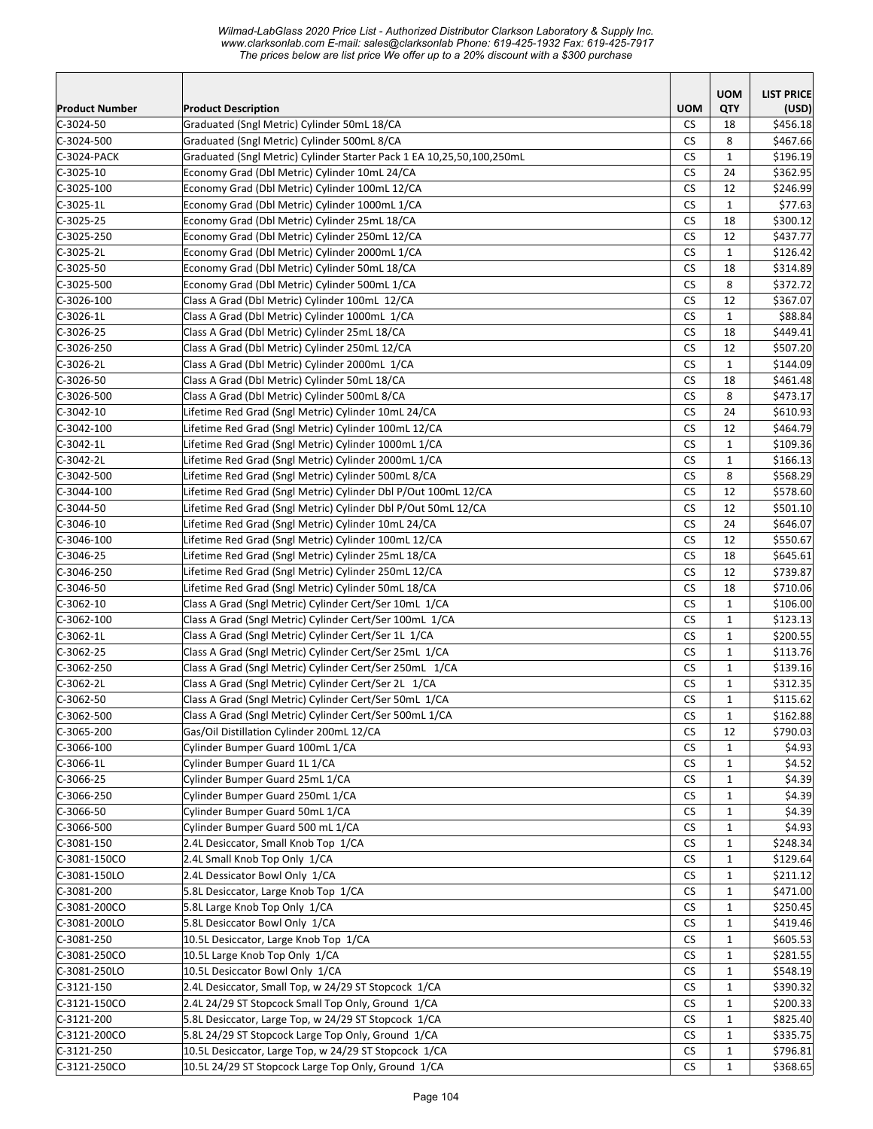*Wilmad-LabGlass 2020 Price List - Authorized Distributor Clarkson Laboratory & Supply Inc. www.clarksonlab.com E-mail: sales@clarksonlab Phone: 619-425-1932 Fax: 619-425-7917 The prices below are list price We offer up to a 20% discount with a \$300 purchase* 

|                       |                                                                                                             |                      | <b>UOM</b>                   | <b>LIST PRICE</b> |
|-----------------------|-------------------------------------------------------------------------------------------------------------|----------------------|------------------------------|-------------------|
| <b>Product Number</b> | <b>Product Description</b>                                                                                  | <b>UOM</b>           | <b>QTY</b>                   | (USD)             |
| $C-3024-50$           | Graduated (Sngl Metric) Cylinder 50mL 18/CA                                                                 | CS.                  | 18                           | \$456.18          |
| $C-3024-500$          | Graduated (Sngl Metric) Cylinder 500mL 8/CA                                                                 | <b>CS</b>            | 8                            | \$467.66          |
| C-3024-PACK           | Graduated (Sngl Metric) Cylinder Starter Pack 1 EA 10,25,50,100,250mL                                       | СS                   | $\mathbf{1}$                 | \$196.19          |
| C-3025-10             | Economy Grad (Dbl Metric) Cylinder 10mL 24/CA                                                               | <b>CS</b>            | 24                           | \$362.95          |
| C-3025-100            | Economy Grad (Dbl Metric) Cylinder 100mL 12/CA                                                              | <b>CS</b>            | 12                           | \$246.99          |
| C-3025-1L             | Economy Grad (Dbl Metric) Cylinder 1000mL 1/CA                                                              | CS                   | $\mathbf{1}$                 | \$77.63           |
| $C-3025-25$           | Economy Grad (Dbl Metric) Cylinder 25mL 18/CA                                                               | <b>CS</b>            | 18                           | \$300.12          |
| C-3025-250            | Economy Grad (Dbl Metric) Cylinder 250mL 12/CA                                                              | <b>CS</b>            | 12                           | \$437.77          |
| C-3025-2L             | Economy Grad (Dbl Metric) Cylinder 2000mL 1/CA                                                              | <b>CS</b>            | $\mathbf{1}$                 | \$126.42          |
| $C-3025-50$           | Economy Grad (Dbl Metric) Cylinder 50mL 18/CA                                                               | CS                   | 18                           | \$314.89          |
| C-3025-500            | Economy Grad (Dbl Metric) Cylinder 500mL 1/CA                                                               | <b>CS</b>            | 8                            | \$372.72          |
| C-3026-100            | Class A Grad (Dbl Metric) Cylinder 100mL 12/CA                                                              | <b>CS</b>            | 12                           | \$367.07          |
| $C-3026-1L$           | Class A Grad (Dbl Metric) Cylinder 1000mL 1/CA                                                              | <b>CS</b>            | $\mathbf{1}$                 | \$88.84           |
| $C-3026-25$           | Class A Grad (Dbl Metric) Cylinder 25mL 18/CA                                                               | <b>CS</b>            | 18                           | \$449.41          |
| $C-3026-250$          | Class A Grad (Dbl Metric) Cylinder 250mL 12/CA                                                              | <b>CS</b>            | 12                           | \$507.20          |
| C-3026-2L             | Class A Grad (Dbl Metric) Cylinder 2000mL 1/CA                                                              | <b>CS</b>            | $\mathbf{1}$                 | \$144.09          |
| $C-3026-50$           | Class A Grad (Dbl Metric) Cylinder 50mL 18/CA                                                               | <b>CS</b>            | 18                           | \$461.48          |
| $C-3026-500$          | Class A Grad (Dbl Metric) Cylinder 500mL 8/CA                                                               | <b>CS</b>            | 8                            | \$473.17          |
| C-3042-10             | Lifetime Red Grad (Sngl Metric) Cylinder 10mL 24/CA                                                         | CS.                  | 24                           | \$610.93          |
| C-3042-100            | Lifetime Red Grad (Sngl Metric) Cylinder 100mL 12/CA                                                        | <b>CS</b>            | 12                           | \$464.79          |
| $C-3042-1L$           | Lifetime Red Grad (Sngl Metric) Cylinder 1000mL 1/CA                                                        | CS                   | $\mathbf{1}$                 | \$109.36          |
| $C-3042-2L$           | Lifetime Red Grad (Sngl Metric) Cylinder 2000mL 1/CA                                                        | <b>CS</b>            | $\mathbf{1}$                 | \$166.13          |
| $C-3042-500$          | Lifetime Red Grad (Sngl Metric) Cylinder 500mL 8/CA                                                         | <b>CS</b>            | 8                            | \$568.29          |
| $C-3044-100$          | Lifetime Red Grad (Sngl Metric) Cylinder Dbl P/Out 100mL 12/CA                                              | <b>CS</b>            | 12                           | \$578.60          |
| $C-3044-50$           | Lifetime Red Grad (Sngl Metric) Cylinder Dbl P/Out 50mL 12/CA                                               | CS                   | 12                           | \$501.10          |
| C-3046-10             | Lifetime Red Grad (Sngl Metric) Cylinder 10mL 24/CA                                                         | <b>CS</b>            | 24                           | \$646.07          |
| C-3046-100            | Lifetime Red Grad (Sngl Metric) Cylinder 100mL 12/CA                                                        | <b>CS</b>            | 12                           | \$550.67          |
| $C-3046-25$           | Lifetime Red Grad (Sngl Metric) Cylinder 25mL 18/CA                                                         | <b>CS</b>            | 18                           | \$645.61          |
| C-3046-250            | Lifetime Red Grad (Sngl Metric) Cylinder 250mL 12/CA                                                        | <b>CS</b>            | 12                           | \$739.87          |
| $C-3046-50$           | Lifetime Red Grad (Sngl Metric) Cylinder 50mL 18/CA                                                         | <b>CS</b>            | 18                           | \$710.06          |
| $C-3062-10$           | Class A Grad (Sngl Metric) Cylinder Cert/Ser 10mL 1/CA                                                      | <b>CS</b>            | $\mathbf{1}$                 | \$106.00          |
| $C-3062-100$          | Class A Grad (Sngl Metric) Cylinder Cert/Ser 100mL 1/CA                                                     | <b>CS</b>            | $\mathbf{1}$                 | \$123.13          |
| $C-3062-1L$           | Class A Grad (Sngl Metric) Cylinder Cert/Ser 1L 1/CA                                                        | <b>CS</b>            | 1                            | \$200.55          |
| C-3062-25             | Class A Grad (Sngl Metric) Cylinder Cert/Ser 25mL 1/CA                                                      | CS                   | $\mathbf{1}$                 | \$113.76          |
| C-3062-250            | Class A Grad (Sngl Metric) Cylinder Cert/Ser 250mL 1/CA                                                     | CS                   | 1                            | \$139.16          |
| $C-3062-2L$           | Class A Grad (Sngl Metric) Cylinder Cert/Ser 2L 1/CA                                                        | <b>CS</b>            | $\mathbf{1}$                 | \$312.35          |
| $C-3062-50$           | Class A Grad (Sngl Metric) Cylinder Cert/Ser 50mL 1/CA                                                      | <b>CS</b>            | $\mathbf{1}$                 | \$115.62          |
| $C-3062-500$          | Class A Grad (Sngl Metric) Cylinder Cert/Ser 500mL 1/CA                                                     | $\mathsf{CS}\xspace$ | $\mathbf 1$                  | \$162.88          |
| C-3065-200            | Gas/Oil Distillation Cylinder 200mL 12/CA                                                                   | <b>CS</b>            | 12                           | \$790.03          |
| $C-3066-100$          | Cylinder Bumper Guard 100mL 1/CA                                                                            | CS                   | $\mathbf{1}$                 | \$4.93            |
| $C-3066-1L$           | Cylinder Bumper Guard 1L 1/CA                                                                               | CS                   | $\mathbf{1}$                 | \$4.52            |
| C-3066-25             | Cylinder Bumper Guard 25mL 1/CA                                                                             | CS                   | $\mathbf{1}$                 | \$4.39            |
| C-3066-250            | Cylinder Bumper Guard 250mL 1/CA                                                                            | <b>CS</b>            | $\mathbf{1}$                 | \$4.39            |
| $C-3066-50$           | Cylinder Bumper Guard 50mL 1/CA                                                                             | <b>CS</b>            | $\mathbf{1}$                 | \$4.39            |
| C-3066-500            | Cylinder Bumper Guard 500 mL 1/CA                                                                           | <b>CS</b>            | $\mathbf{1}$                 | \$4.93            |
| $C-3081-150$          | 2.4L Desiccator, Small Knob Top 1/CA                                                                        | <b>CS</b>            | $\mathbf{1}$                 | \$248.34          |
| C-3081-150CO          | 2.4L Small Knob Top Only 1/CA                                                                               | <b>CS</b>            | $\mathbf{1}$                 | \$129.64          |
| $C-3081-150LO$        | 2.4L Dessicator Bowl Only 1/CA                                                                              | CS                   | 1                            | \$211.12          |
| C-3081-200            | 5.8L Desiccator, Large Knob Top 1/CA                                                                        | CS                   | 1                            | \$471.00          |
| C-3081-200CO          | 5.8L Large Knob Top Only 1/CA                                                                               | CS                   | 1                            | \$250.45          |
| C-3081-200LO          | 5.8L Desiccator Bowl Only 1/CA                                                                              | CS.                  | $\mathbf{1}$                 | \$419.46          |
| $C-3081-250$          | 10.5L Desiccator, Large Knob Top 1/CA                                                                       | CS                   | $\mathbf{1}$                 | \$605.53          |
| C-3081-250CO          | 10.5L Large Knob Top Only 1/CA                                                                              | <b>CS</b>            | $\mathbf{1}$                 | \$281.55          |
| C-3081-250LO          | 10.5L Desiccator Bowl Only 1/CA                                                                             | CS                   | $\mathbf{1}$                 | \$548.19          |
| C-3121-150            | 2.4L Desiccator, Small Top, w 24/29 ST Stopcock 1/CA                                                        | CS                   | $\mathbf{1}$                 | \$390.32          |
| $C-3121-150CO$        | 2.4L 24/29 ST Stopcock Small Top Only, Ground 1/CA                                                          | CS                   | $\mathbf{1}$                 | \$200.33          |
| $C-3121-200$          | 5.8L Desiccator, Large Top, w 24/29 ST Stopcock 1/CA                                                        | CS                   | 1                            | \$825.40          |
| C-3121-200CO          | 5.8L 24/29 ST Stopcock Large Top Only, Ground 1/CA<br>10.5L Desiccator, Large Top, w 24/29 ST Stopcock 1/CA | CS                   | $\mathbf{1}$                 | \$335.75          |
| $C-3121-250$          |                                                                                                             | CS<br><b>CS</b>      | $\mathbf{1}$<br>$\mathbf{1}$ | \$796.81          |
| $C-3121-250CO$        | 10.5L 24/29 ST Stopcock Large Top Only, Ground 1/CA                                                         |                      |                              | \$368.65          |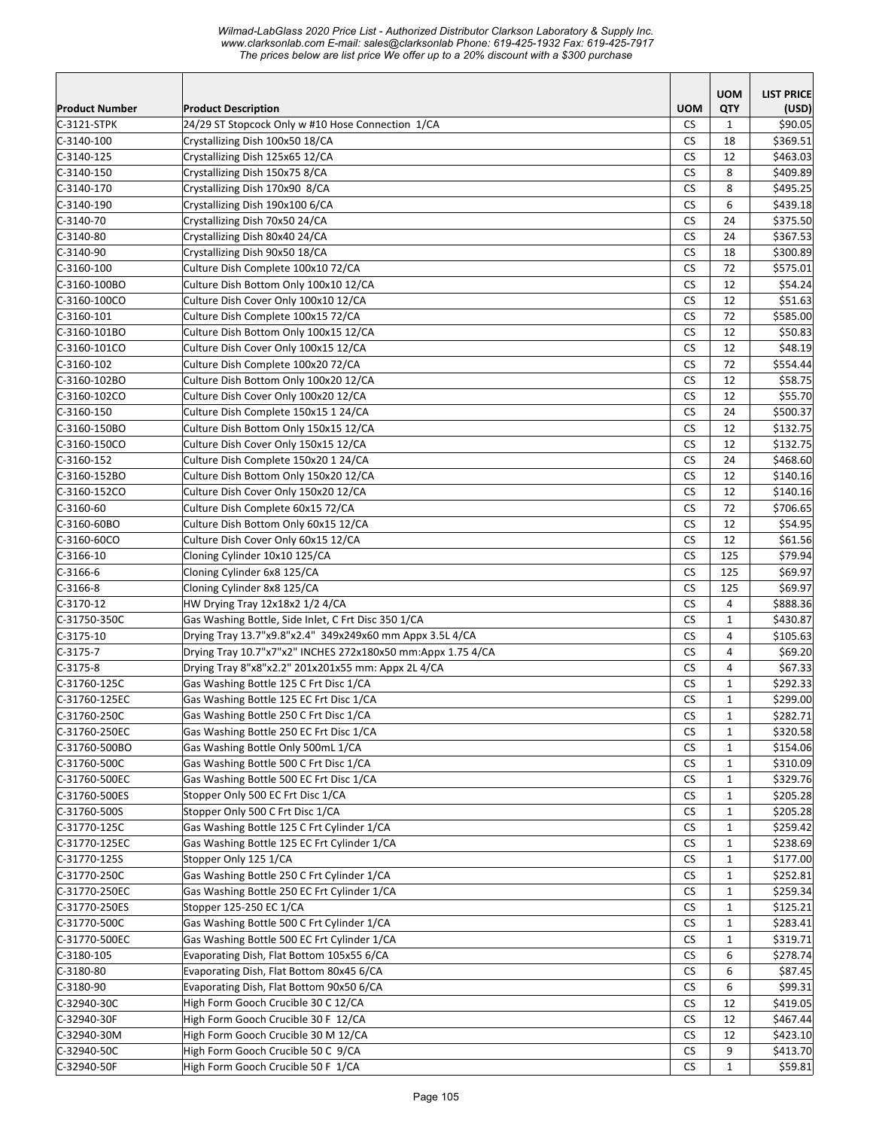*Wilmad-LabGlass 2020 Price List - Authorized Distributor Clarkson Laboratory & Supply Inc. www.clarksonlab.com E-mail: sales@clarksonlab Phone: 619-425-1932 Fax: 619-425-7917 The prices below are list price We offer up to a 20% discount with a \$300 purchase* 

|                               |                                                                        |                      | <b>UOM</b>                   | <b>LIST PRICE</b>    |
|-------------------------------|------------------------------------------------------------------------|----------------------|------------------------------|----------------------|
| <b>Product Number</b>         | <b>Product Description</b>                                             | <b>UOM</b>           | QTY                          | (USD)                |
| $C-3121-STPK$                 | 24/29 ST Stopcock Only w #10 Hose Connection 1/CA                      | <b>CS</b>            | $\mathbf{1}$                 | \$90.05              |
| $C-3140-100$                  | Crystallizing Dish 100x50 18/CA                                        | CS                   | 18                           | \$369.51             |
| $C-3140-125$                  | Crystallizing Dish 125x65 12/CA                                        | <b>CS</b>            | 12                           | \$463.03             |
| C-3140-150                    | Crystallizing Dish 150x75 8/CA                                         | <b>CS</b>            | 8                            | \$409.89             |
| C-3140-170                    | Crystallizing Dish 170x90 8/CA                                         | <b>CS</b>            | 8                            | \$495.25             |
| C-3140-190                    | Crystallizing Dish 190x100 6/CA                                        | <b>CS</b>            | 6                            | \$439.18             |
| $C-3140-70$                   | Crystallizing Dish 70x50 24/CA                                         | <b>CS</b>            | 24                           | \$375.50             |
| $C-3140-80$                   | Crystallizing Dish 80x40 24/CA                                         | <b>CS</b>            | 24                           | \$367.53             |
| $C-3140-90$                   | Crystallizing Dish 90x50 18/CA                                         | <b>CS</b>            | 18                           | \$300.89             |
| $C-3160-100$                  | Culture Dish Complete 100x10 72/CA                                     | <b>CS</b>            | 72                           | \$575.01             |
| C-3160-100BO                  | Culture Dish Bottom Only 100x10 12/CA                                  | <b>CS</b>            | 12                           | \$54.24              |
| C-3160-100CO                  | Culture Dish Cover Only 100x10 12/CA                                   | <b>CS</b>            | 12                           | \$51.63              |
| $C-3160-101$                  | Culture Dish Complete 100x15 72/CA                                     | <b>CS</b>            | 72                           | \$585.00             |
| C-3160-101BO                  | Culture Dish Bottom Only 100x15 12/CA                                  | <b>CS</b>            | 12                           | \$50.83              |
| $C-3160-101C0$                | Culture Dish Cover Only 100x15 12/CA                                   | <b>CS</b>            | 12                           | \$48.19              |
| $C-3160-102$                  | Culture Dish Complete 100x20 72/CA                                     | <b>CS</b>            | 72                           | \$554.44             |
| C-3160-102BO                  | Culture Dish Bottom Only 100x20 12/CA                                  | CS                   | 12                           | \$58.75              |
| C-3160-102CO                  | Culture Dish Cover Only 100x20 12/CA                                   | <b>CS</b>            | 12                           | \$55.70              |
| $C-3160-150$                  | Culture Dish Complete 150x15 1 24/CA                                   | <b>CS</b>            | 24                           | \$500.37             |
| C-3160-150BO                  | Culture Dish Bottom Only 150x15 12/CA                                  | <b>CS</b>            | 12                           | \$132.75             |
| $C-3160-150CO$                | Culture Dish Cover Only 150x15 12/CA                                   | <b>CS</b>            | 12                           | \$132.75             |
| $C-3160-152$                  | Culture Dish Complete 150x20 1 24/CA                                   | <b>CS</b>            | 24                           | \$468.60             |
| C-3160-152BO                  | Culture Dish Bottom Only 150x20 12/CA                                  | <b>CS</b>            | 12                           | \$140.16             |
| C-3160-152CO                  | Culture Dish Cover Only 150x20 12/CA                                   | <b>CS</b>            | 12                           | \$140.16             |
| $C-3160-60$                   | Culture Dish Complete 60x15 72/CA                                      | CS                   | 72                           | \$706.65             |
| C-3160-60BO                   | Culture Dish Bottom Only 60x15 12/CA                                   | <b>CS</b>            | 12                           | \$54.95              |
| C-3160-60CO                   | Culture Dish Cover Only 60x15 12/CA                                    | <b>CS</b>            | 12                           | \$61.56              |
| $C-3166-10$                   | Cloning Cylinder 10x10 125/CA                                          | <b>CS</b>            | 125                          | \$79.94              |
| $C-3166-6$                    | Cloning Cylinder 6x8 125/CA                                            | <b>CS</b>            | 125                          | \$69.97              |
| $C-3166-8$                    | Cloning Cylinder 8x8 125/CA                                            | <b>CS</b>            | 125                          | \$69.97              |
| $C-3170-12$                   | HW Drying Tray 12x18x2 1/2 4/CA                                        | <b>CS</b>            | 4                            | \$888.36             |
| C-31750-350C                  | Gas Washing Bottle, Side Inlet, C Frt Disc 350 1/CA                    | <b>CS</b>            | $\mathbf{1}$                 | \$430.87             |
| $C-3175-10$                   | Drying Tray 13.7"x9.8"x2.4" 349x249x60 mm Appx 3.5L 4/CA               | <b>CS</b>            | 4                            | \$105.63             |
| C-3175-7                      | Drying Tray 10.7"x7"x2" INCHES 272x180x50 mm:Appx 1.75 4/CA            | <b>CS</b>            | 4                            | \$69.20              |
| $C-3175-8$                    | Drying Tray 8"x8"x2.2" 201x201x55 mm: Appx 2L 4/CA                     | <b>CS</b>            | $\overline{4}$               | \$67.33              |
| C-31760-125C                  | Gas Washing Bottle 125 C Frt Disc 1/CA                                 | <b>CS</b>            | $\mathbf{1}$                 | \$292.33             |
| C-31760-125EC                 | Gas Washing Bottle 125 EC Frt Disc 1/CA                                | <b>CS</b>            | $\mathbf{1}$                 | \$299.00             |
| C-31760-250C                  | Gas Washing Bottle 250 C Frt Disc 1/CA                                 | $\mathsf{CS}\xspace$ | $\mathbf 1$                  | \$282.71             |
| C-31760-250EC                 | Gas Washing Bottle 250 EC Frt Disc 1/CA                                | <b>CS</b>            | 1                            | \$320.58             |
| C-31760-500BO                 | Gas Washing Bottle Only 500mL 1/CA                                     | CS                   | 1                            | \$154.06             |
| C-31760-500C                  | Gas Washing Bottle 500 C Frt Disc 1/CA                                 | CS                   | 1                            | \$310.09             |
| C-31760-500EC                 | Gas Washing Bottle 500 EC Frt Disc 1/CA                                | CS                   | 1                            | \$329.76             |
| C-31760-500ES                 | Stopper Only 500 EC Frt Disc 1/CA                                      | CS.                  | $\mathbf{1}$                 | \$205.28             |
| C-31760-500S                  | Stopper Only 500 C Frt Disc 1/CA                                       | CS                   | $\mathbf{1}$                 | \$205.28             |
| C-31770-125C                  | Gas Washing Bottle 125 C Frt Cylinder 1/CA                             | <b>CS</b>            | $\mathbf{1}$                 | \$259.42             |
| C-31770-125EC                 | Gas Washing Bottle 125 EC Frt Cylinder 1/CA                            | CS                   | $\mathbf{1}$                 | \$238.69             |
| C-31770-125S                  | Stopper Only 125 1/CA                                                  | <b>CS</b>            | $\mathbf{1}$                 | \$177.00             |
| C-31770-250C                  | Gas Washing Bottle 250 C Frt Cylinder 1/CA                             | CS                   | $\mathbf{1}$                 | \$252.81             |
| C-31770-250EC                 | Gas Washing Bottle 250 EC Frt Cylinder 1/CA<br>Stopper 125-250 EC 1/CA | CS                   | 1                            | \$259.34             |
| C-31770-250ES<br>C-31770-500C | Gas Washing Bottle 500 C Frt Cylinder 1/CA                             | CS<br><b>CS</b>      | $\mathbf{1}$<br>$\mathbf{1}$ | \$125.21<br>\$283.41 |
| C-31770-500EC                 | Gas Washing Bottle 500 EC Frt Cylinder 1/CA                            | <b>CS</b>            | $\mathbf{1}$                 | \$319.71             |
| $C-3180-105$                  | Evaporating Dish, Flat Bottom 105x55 6/CA                              | <b>CS</b>            | 6                            | \$278.74             |
| C-3180-80                     | Evaporating Dish, Flat Bottom 80x45 6/CA                               | <b>CS</b>            | 6                            | \$87.45              |
| $C-3180-90$                   | Evaporating Dish, Flat Bottom 90x50 6/CA                               | CS                   | 6                            | \$99.31              |
| C-32940-30C                   | High Form Gooch Crucible 30 C 12/CA                                    | CS                   | 12                           | \$419.05             |
| C-32940-30F                   | High Form Gooch Crucible 30 F 12/CA                                    | <b>CS</b>            | 12                           | \$467.44             |
| C-32940-30M                   | High Form Gooch Crucible 30 M 12/CA                                    | <b>CS</b>            | 12                           | \$423.10             |
| C-32940-50C                   | High Form Gooch Crucible 50 C 9/CA                                     | CS                   | 9                            | \$413.70             |
| C-32940-50F                   | High Form Gooch Crucible 50 F 1/CA                                     | CS.                  | $\mathbf{1}$                 | \$59.81              |
|                               |                                                                        |                      |                              |                      |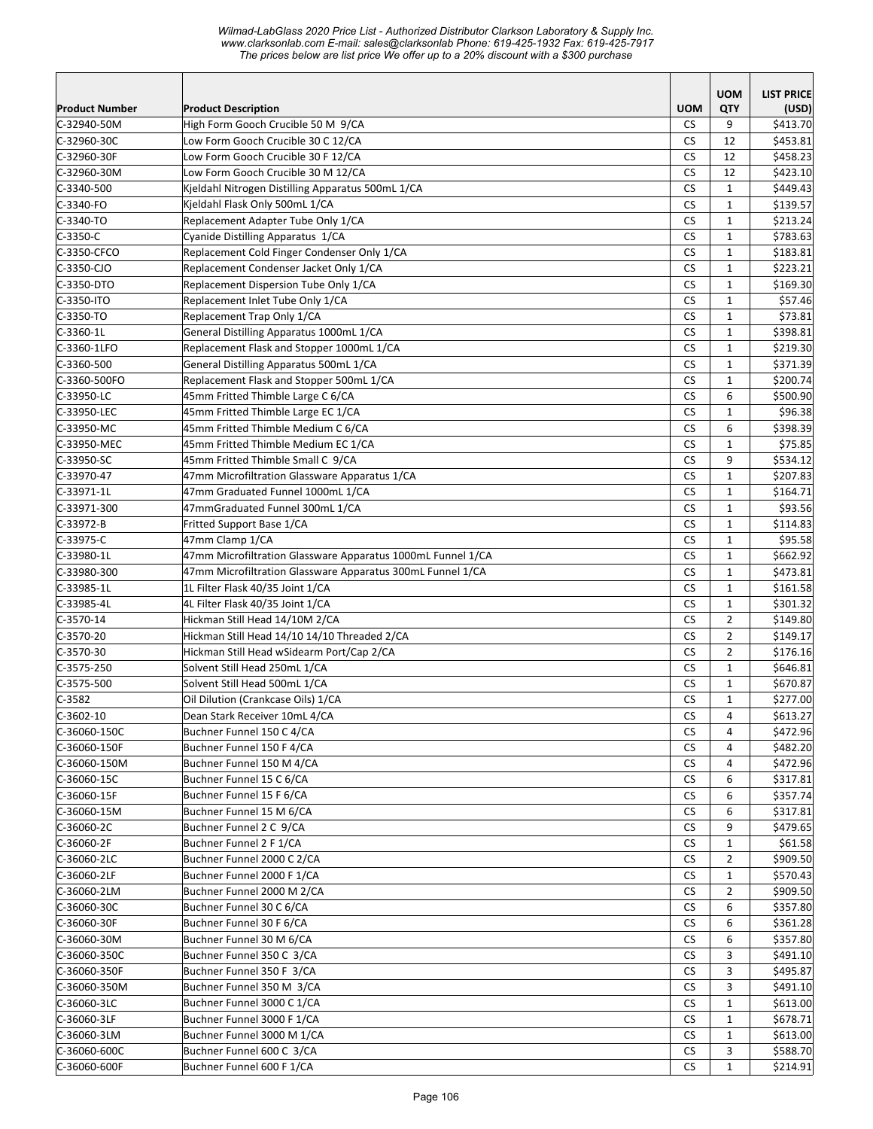|                       |                                                             |            | <b>UOM</b>     | <b>LIST PRICE</b> |
|-----------------------|-------------------------------------------------------------|------------|----------------|-------------------|
| <b>Product Number</b> | <b>Product Description</b>                                  | <b>UOM</b> | QTY            | (USD)             |
| C-32940-50M           | High Form Gooch Crucible 50 M 9/CA                          | <b>CS</b>  | 9              | \$413.70          |
| C-32960-30C           | Low Form Gooch Crucible 30 C 12/CA                          | <b>CS</b>  | 12             | \$453.81          |
| C-32960-30F           | Low Form Gooch Crucible 30 F 12/CA                          | <b>CS</b>  | 12             | \$458.23          |
| C-32960-30M           | Low Form Gooch Crucible 30 M 12/CA                          | <b>CS</b>  | 12             | \$423.10          |
| $C-3340-500$          | Kjeldahl Nitrogen Distilling Apparatus 500mL 1/CA           | <b>CS</b>  | $\mathbf{1}$   | \$449.43          |
| C-3340-FO             | Kjeldahl Flask Only 500mL 1/CA                              | <b>CS</b>  | $\mathbf{1}$   | \$139.57          |
| C-3340-TO             | Replacement Adapter Tube Only 1/CA                          | <b>CS</b>  | $\mathbf{1}$   | \$213.24          |
| C-3350-C              | Cyanide Distilling Apparatus 1/CA                           | CS         | $\mathbf{1}$   | \$783.63          |
| C-3350-CFCO           | Replacement Cold Finger Condenser Only 1/CA                 | <b>CS</b>  | $\mathbf{1}$   | \$183.81          |
| C-3350-CJO            | Replacement Condenser Jacket Only 1/CA                      | CS         | $\mathbf{1}$   | \$223.21          |
| C-3350-DTO            | Replacement Dispersion Tube Only 1/CA                       | <b>CS</b>  | $\mathbf{1}$   | \$169.30          |
| C-3350-ITO            | Replacement Inlet Tube Only 1/CA                            | CS         | $\mathbf{1}$   | \$57.46           |
| C-3350-TO             | Replacement Trap Only 1/CA                                  | <b>CS</b>  | $\mathbf{1}$   | \$73.81           |
| $C-3360-1L$           | General Distilling Apparatus 1000mL 1/CA                    | <b>CS</b>  | $\mathbf{1}$   | \$398.81          |
| C-3360-1LFO           | Replacement Flask and Stopper 1000mL 1/CA                   | <b>CS</b>  | $\mathbf{1}$   | \$219.30          |
| $C-3360-500$          | General Distilling Apparatus 500mL 1/CA                     | CS         | $\mathbf{1}$   | \$371.39          |
| C-3360-500FO          | Replacement Flask and Stopper 500mL 1/CA                    | <b>CS</b>  | $\mathbf{1}$   | \$200.74          |
| C-33950-LC            | 45mm Fritted Thimble Large C 6/CA                           | <b>CS</b>  | 6              | \$500.90          |
| C-33950-LEC           | 45mm Fritted Thimble Large EC 1/CA                          | <b>CS</b>  | $\mathbf{1}$   | \$96.38           |
| C-33950-MC            | 45mm Fritted Thimble Medium C 6/CA                          | <b>CS</b>  | 6              | \$398.39          |
| C-33950-MEC           | 45mm Fritted Thimble Medium EC 1/CA                         | <b>CS</b>  | $\mathbf{1}$   | \$75.85           |
| C-33950-SC            | 45mm Fritted Thimble Small C 9/CA                           | CS         | 9              | \$534.12          |
| C-33970-47            | 47mm Microfiltration Glassware Apparatus 1/CA               | <b>CS</b>  | $\mathbf{1}$   | \$207.83          |
| C-33971-1L            | 47mm Graduated Funnel 1000mL 1/CA                           | <b>CS</b>  | $\mathbf{1}$   | \$164.71          |
| C-33971-300           | 47mmGraduated Funnel 300mL 1/CA                             | <b>CS</b>  | $\mathbf{1}$   | \$93.56           |
| C-33972-B             | Fritted Support Base 1/CA                                   | <b>CS</b>  | $\mathbf{1}$   | \$114.83          |
| C-33975-C             | 47mm Clamp 1/CA                                             | <b>CS</b>  | $\mathbf{1}$   | \$95.58           |
| $C-33980-1L$          | 47mm Microfiltration Glassware Apparatus 1000mL Funnel 1/CA | <b>CS</b>  | $\mathbf{1}$   | \$662.92          |
| C-33980-300           | 47mm Microfiltration Glassware Apparatus 300mL Funnel 1/CA  | <b>CS</b>  | $\mathbf{1}$   | \$473.81          |
| C-33985-1L            | 1L Filter Flask 40/35 Joint 1/CA                            | <b>CS</b>  | $\mathbf{1}$   | \$161.58          |
| C-33985-4L            | 4L Filter Flask 40/35 Joint 1/CA                            | CS         | $\mathbf{1}$   | \$301.32          |
| $C-3570-14$           | Hickman Still Head 14/10M 2/CA                              | <b>CS</b>  | $\overline{2}$ | \$149.80          |
| C-3570-20             | Hickman Still Head 14/10 14/10 Threaded 2/CA                | <b>CS</b>  | $\overline{2}$ | \$149.17          |
| $C-3570-30$           | Hickman Still Head wSidearm Port/Cap 2/CA                   | <b>CS</b>  | $\overline{2}$ | \$176.16          |
| $C-3575-250$          | Solvent Still Head 250mL 1/CA                               | <b>CS</b>  | $\mathbf{1}$   | \$646.81          |
| $C-3575-500$          | Solvent Still Head 500mL 1/CA                               | <b>CS</b>  | $\mathbf{1}$   | \$670.87          |
| $C-3582$              | Oil Dilution (Crankcase Oils) 1/CA                          | CS         | $\mathbf{1}$   | \$277.00          |
| $C-3602-10$           | Dean Stark Receiver 10mL 4/CA                               | ${\sf CS}$ | 4              | \$613.27          |
| C-36060-150C          | Buchner Funnel 150 C 4/CA                                   | CS         | 4              | \$472.96          |
| C-36060-150F          | Buchner Funnel 150 F 4/CA                                   | CS         | 4              | \$482.20          |
| C-36060-150M          | Buchner Funnel 150 M 4/CA                                   | CS         | 4              | \$472.96          |
| C-36060-15C           | Buchner Funnel 15 C 6/CA                                    | CS         | 6              | \$317.81          |
| C-36060-15F           | Buchner Funnel 15 F 6/CA                                    | CS         | 6              | \$357.74          |
| C-36060-15M           | Buchner Funnel 15 M 6/CA                                    | CS         | 6              | \$317.81          |
| C-36060-2C            | Buchner Funnel 2 C 9/CA                                     | CS         | 9              | \$479.65          |
| C-36060-2F            | Buchner Funnel 2 F 1/CA                                     | СS         | $\mathbf{1}$   | \$61.58           |
| C-36060-2LC           | Buchner Funnel 2000 C 2/CA                                  | CS         | 2              | \$909.50          |
| C-36060-2LF           | Buchner Funnel 2000 F 1/CA                                  | CS         | $\mathbf{1}$   | \$570.43          |
| C-36060-2LM           | Buchner Funnel 2000 M 2/CA                                  | CS         | $\overline{2}$ | \$909.50          |
| C-36060-30C           | Buchner Funnel 30 C 6/CA                                    | <b>CS</b>  | 6              | \$357.80          |
| C-36060-30F           | Buchner Funnel 30 F 6/CA                                    | CS         | 6              | \$361.28          |
| C-36060-30M           | Buchner Funnel 30 M 6/CA                                    | CS         | 6              | \$357.80          |
| C-36060-350C          | Buchner Funnel 350 C 3/CA                                   | <b>CS</b>  | 3              | \$491.10          |
| C-36060-350F          | Buchner Funnel 350 F 3/CA                                   | <b>CS</b>  | 3              | \$495.87          |
| C-36060-350M          | Buchner Funnel 350 M 3/CA                                   | CS         | 3              | \$491.10          |
| C-36060-3LC           | Buchner Funnel 3000 C 1/CA                                  | CS         | 1              | \$613.00          |
| C-36060-3LF           | Buchner Funnel 3000 F 1/CA                                  | CS         | 1              | \$678.71          |
| C-36060-3LM           | Buchner Funnel 3000 M 1/CA                                  | CS         | 1              | \$613.00          |
| C-36060-600C          | Buchner Funnel 600 C 3/CA                                   | CS         | 3              | \$588.70          |
| C-36060-600F          | Buchner Funnel 600 F 1/CA                                   | CS         | $\mathbf{1}$   | \$214.91          |
|                       |                                                             |            |                |                   |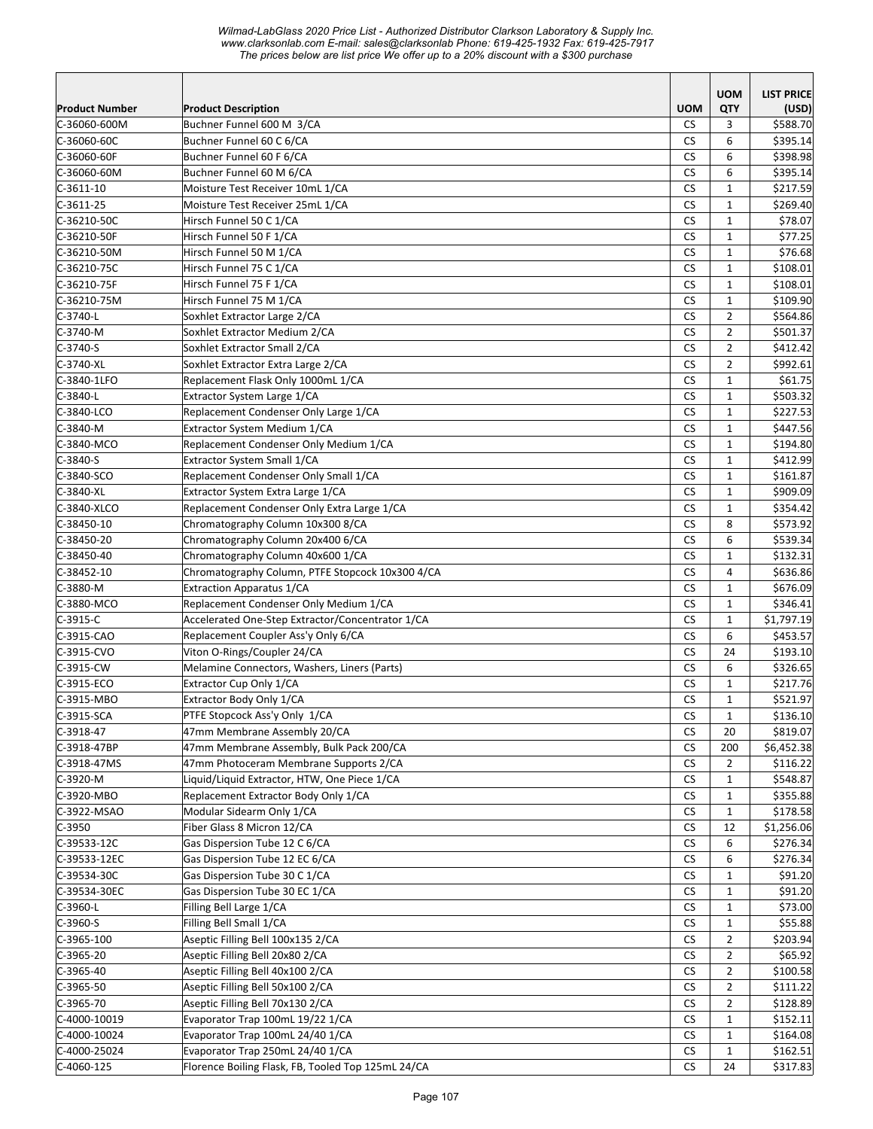*Wilmad-LabGlass 2020 Price List - Authorized Distributor Clarkson Laboratory & Supply Inc. www.clarksonlab.com E-mail: sales@clarksonlab Phone: 619-425-1932 Fax: 619-425-7917 The prices below are list price We offer up to a 20% discount with a \$300 purchase* 

|                              |                                                                      |                      | <b>UOM</b>                   | <b>LIST PRICE</b>    |
|------------------------------|----------------------------------------------------------------------|----------------------|------------------------------|----------------------|
| <b>Product Number</b>        | <b>Product Description</b>                                           | <b>UOM</b>           | QTY                          | (USD)                |
| C-36060-600M                 | Buchner Funnel 600 M 3/CA                                            | <b>CS</b>            | 3                            | \$588.70             |
| C-36060-60C                  | Buchner Funnel 60 C 6/CA                                             | <b>CS</b>            | 6                            | \$395.14             |
| C-36060-60F                  | Buchner Funnel 60 F 6/CA                                             | <b>CS</b>            | 6                            | \$398.98             |
| C-36060-60M                  | Buchner Funnel 60 M 6/CA                                             | <b>CS</b>            | 6                            | \$395.14             |
| $C-3611-10$                  | Moisture Test Receiver 10mL 1/CA                                     | <b>CS</b>            | $\mathbf{1}$                 | \$217.59             |
| $C-3611-25$                  | Moisture Test Receiver 25mL 1/CA                                     | CS                   | $\mathbf{1}$                 | \$269.40             |
| C-36210-50C                  | Hirsch Funnel 50 C 1/CA                                              | <b>CS</b>            | $\mathbf{1}$                 | \$78.07              |
| C-36210-50F                  | Hirsch Funnel 50 F 1/CA                                              | <b>CS</b>            | $\mathbf{1}$                 | \$77.25              |
| C-36210-50M                  | Hirsch Funnel 50 M 1/CA                                              | <b>CS</b>            | $\mathbf{1}$                 | \$76.68              |
| C-36210-75C                  | Hirsch Funnel 75 C 1/CA                                              | CS                   | $\mathbf{1}$                 | \$108.01             |
| C-36210-75F                  | Hirsch Funnel 75 F 1/CA                                              | <b>CS</b>            | $\mathbf{1}$                 | \$108.01             |
| C-36210-75M                  | Hirsch Funnel 75 M 1/CA                                              | <b>CS</b>            | $\mathbf{1}$                 | \$109.90             |
| C-3740-L                     | Soxhlet Extractor Large 2/CA                                         | <b>CS</b>            | $\overline{2}$               | \$564.86             |
| C-3740-M                     | Soxhlet Extractor Medium 2/CA                                        | CS                   | $\overline{2}$               | \$501.37             |
| $C-3740-S$                   | Soxhlet Extractor Small 2/CA                                         | <b>CS</b>            | $\overline{2}$               | \$412.42             |
| $C-3740-XL$                  | Soxhlet Extractor Extra Large 2/CA                                   | <b>CS</b>            | $\overline{2}$               | \$992.61             |
| C-3840-1LFO                  | Replacement Flask Only 1000mL 1/CA                                   | <b>CS</b>            | $\mathbf{1}$                 | \$61.75              |
| C-3840-L                     | Extractor System Large 1/CA                                          | <b>CS</b>            | $\mathbf{1}$                 | \$503.32             |
| C-3840-LCO                   | Replacement Condenser Only Large 1/CA                                | СS                   | $\mathbf{1}$                 | \$227.53             |
| C-3840-M                     | Extractor System Medium 1/CA                                         | <b>CS</b>            | $\mathbf{1}$                 | \$447.56             |
| C-3840-MCO                   | Replacement Condenser Only Medium 1/CA                               | CS                   | $\mathbf{1}$                 | \$194.80             |
| $C-3840-S$                   | Extractor System Small 1/CA                                          | <b>CS</b>            | $\mathbf{1}$                 | \$412.99             |
| C-3840-SCO                   | Replacement Condenser Only Small 1/CA                                | <b>CS</b>            | $\mathbf{1}$                 | \$161.87             |
| $C-3840-XL$                  | Extractor System Extra Large 1/CA                                    | <b>CS</b>            | $\mathbf{1}$                 | \$909.09             |
| C-3840-XLCO                  | Replacement Condenser Only Extra Large 1/CA                          | <b>CS</b>            | $\mathbf{1}$                 | \$354.42             |
| C-38450-10                   | Chromatography Column 10x300 8/CA                                    | <b>CS</b>            | 8                            | \$573.92             |
| C-38450-20                   | Chromatography Column 20x400 6/CA                                    | <b>CS</b>            | 6                            | \$539.34             |
| C-38450-40                   | Chromatography Column 40x600 1/CA                                    | <b>CS</b>            | $\mathbf{1}$                 | \$132.31             |
| $C-38452-10$                 | Chromatography Column, PTFE Stopcock 10x300 4/CA                     | <b>CS</b>            | $\overline{4}$               | \$636.86             |
| C-3880-M                     | Extraction Apparatus 1/CA                                            | <b>CS</b>            | $\mathbf{1}$                 | \$676.09             |
| C-3880-MCO                   | Replacement Condenser Only Medium 1/CA                               | <b>CS</b>            | $\mathbf{1}$                 | \$346.41             |
| $C-3915-C$                   | Accelerated One-Step Extractor/Concentrator 1/CA                     | <b>CS</b>            | $\mathbf{1}$                 | \$1,797.19           |
| $C-3915-CAO$                 | Replacement Coupler Ass'y Only 6/CA                                  | <b>CS</b>            | 6                            | \$453.57             |
| C-3915-CVO                   | Viton O-Rings/Coupler 24/CA                                          | CS                   | 24                           | \$193.10             |
| C-3915-CW                    | Melamine Connectors, Washers, Liners (Parts)                         | <b>CS</b>            | 6                            | \$326.65             |
| C-3915-ECO                   | Extractor Cup Only 1/CA                                              | CS                   | $\mathbf{1}$                 | \$217.76             |
| C-3915-MBO                   | Extractor Body Only 1/CA                                             | <b>CS</b>            | $\mathbf{1}$                 | \$521.97             |
| $C-3915-SCA$                 | PTFE Stopcock Ass'y Only 1/CA                                        | $\mathsf{CS}\xspace$ | $\mathbf 1$                  | \$136.10             |
| C-3918-47                    | 47mm Membrane Assembly 20/CA                                         | <b>CS</b>            | 20                           | \$819.07             |
| C-3918-47BP                  | 47mm Membrane Assembly, Bulk Pack 200/CA                             | <b>CS</b>            | 200                          | \$6,452.38           |
| C-3918-47MS                  | 47mm Photoceram Membrane Supports 2/CA                               | <b>CS</b>            | $\overline{2}$               | \$116.22             |
| C-3920-M                     | Liquid/Liquid Extractor, HTW, One Piece 1/CA                         | <b>CS</b>            | 1                            | \$548.87             |
| C-3920-MBO                   | Replacement Extractor Body Only 1/CA                                 | <b>CS</b>            | $\mathbf{1}$                 | \$355.88             |
| C-3922-MSAO<br>$C-3950$      | Modular Sidearm Only 1/CA                                            | <b>CS</b>            | $\mathbf{1}$                 | \$178.58             |
|                              | Fiber Glass 8 Micron 12/CA                                           | <b>CS</b>            | 12                           | \$1,256.06           |
| $C-39533-12C$                | Gas Dispersion Tube 12 C 6/CA                                        | <b>CS</b>            | 6                            | \$276.34             |
| C-39533-12EC<br>C-39534-30C  | Gas Dispersion Tube 12 EC 6/CA                                       | <b>CS</b>            | 6                            | \$276.34             |
|                              | Gas Dispersion Tube 30 C 1/CA                                        | CS                   | $\mathbf{1}$                 | \$91.20              |
| C-39534-30EC                 | Gas Dispersion Tube 30 EC 1/CA                                       | CS                   | 1                            | \$91.20              |
| C-3960-L                     | Filling Bell Large 1/CA                                              | CS<br>CS.            | 1<br>$\mathbf{1}$            | \$73.00              |
| C-3960-S<br>$C-3965-100$     | Filling Bell Small 1/CA<br>Aseptic Filling Bell 100x135 2/CA         | CS                   | $\overline{2}$               | \$55.88<br>\$203.94  |
| $C-3965-20$                  |                                                                      | <b>CS</b>            | $\overline{2}$               | \$65.92              |
| $C-3965-40$                  | Aseptic Filling Bell 20x80 2/CA<br>Aseptic Filling Bell 40x100 2/CA  | CS                   | $\overline{2}$               | \$100.58             |
| $C-3965-50$                  | Aseptic Filling Bell 50x100 2/CA                                     | CS                   | $\overline{2}$               | \$111.22             |
|                              |                                                                      |                      |                              |                      |
| C-3965-70                    | Aseptic Filling Bell 70x130 2/CA<br>Evaporator Trap 100mL 19/22 1/CA | CS                   | 2                            | \$128.89             |
| C-4000-10019                 | Evaporator Trap 100mL 24/40 1/CA                                     | CS<br><b>CS</b>      | 1                            | \$152.11             |
| C-4000-10024                 | Evaporator Trap 250mL 24/40 1/CA                                     | <b>CS</b>            | $\mathbf{1}$<br>$\mathbf{1}$ | \$164.08             |
| C-4000-25024<br>$C-4060-125$ | Florence Boiling Flask, FB, Tooled Top 125mL 24/CA                   | <b>CS</b>            | 24                           | \$162.51<br>\$317.83 |
|                              |                                                                      |                      |                              |                      |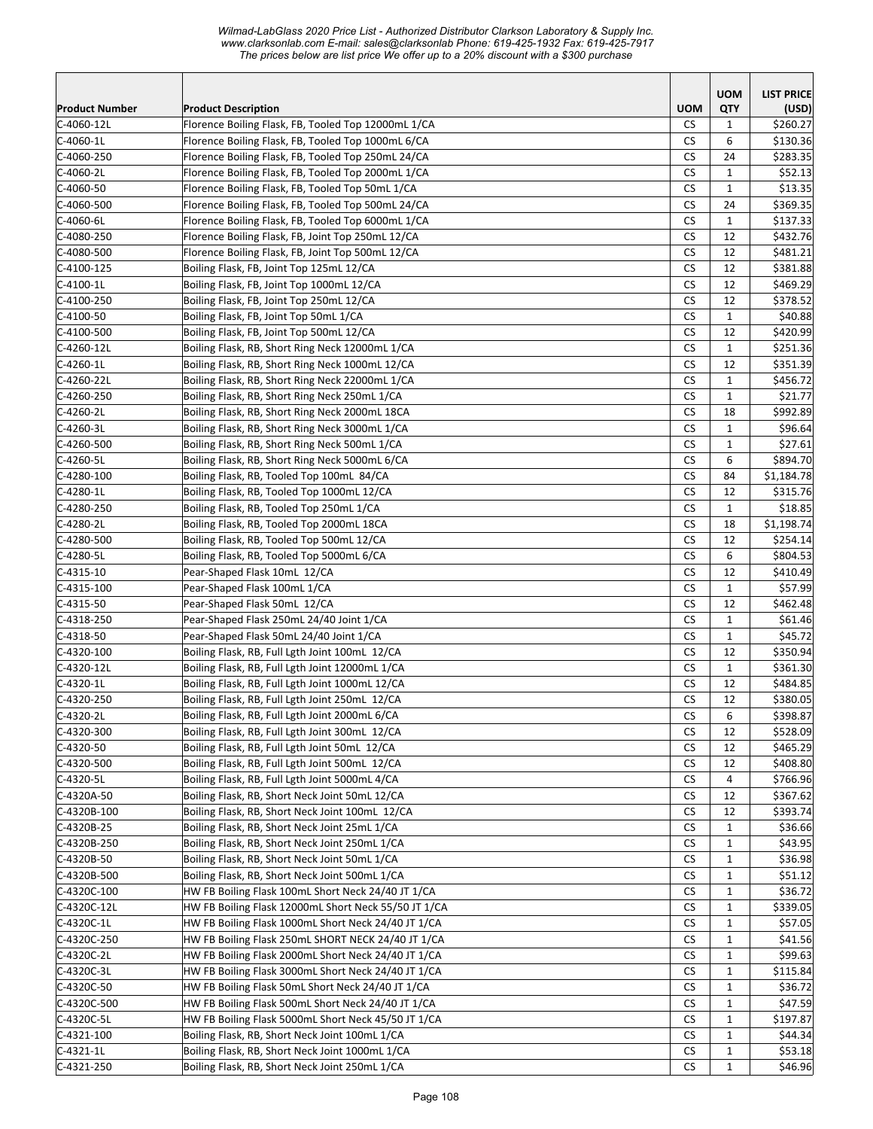*Wilmad-LabGlass 2020 Price List - Authorized Distributor Clarkson Laboratory & Supply Inc. www.clarksonlab.com E-mail: sales@clarksonlab Phone: 619-425-1932 Fax: 619-425-7917 The prices below are list price We offer up to a 20% discount with a \$300 purchase* 

|                          |                                                                           |                        | <b>UOM</b>   | <b>LIST PRICE</b>    |
|--------------------------|---------------------------------------------------------------------------|------------------------|--------------|----------------------|
| <b>Product Number</b>    | <b>Product Description</b>                                                | <b>UOM</b>             | QTY          | (USD)                |
| C-4060-12L               | Florence Boiling Flask, FB, Tooled Top 12000mL 1/CA                       | <b>CS</b>              | 1            | \$260.27             |
| $C-4060-1L$              | Florence Boiling Flask, FB, Tooled Top 1000mL 6/CA                        | СS                     | 6            | \$130.36             |
| $C-4060-250$             | Florence Boiling Flask, FB, Tooled Top 250mL 24/CA                        | СS                     | 24           | \$283.35             |
| C-4060-2L                | Florence Boiling Flask, FB, Tooled Top 2000mL 1/CA                        | <b>CS</b>              | $\mathbf{1}$ | \$52.13              |
| $C-4060-50$              | Florence Boiling Flask, FB, Tooled Top 50mL 1/CA                          | CS                     | $\mathbf{1}$ | \$13.35              |
| C-4060-500               | Florence Boiling Flask, FB, Tooled Top 500mL 24/CA                        | <b>CS</b>              | 24           | \$369.35             |
| C-4060-6L                | Florence Boiling Flask, FB, Tooled Top 6000mL 1/CA                        | <b>CS</b>              | $\mathbf{1}$ | \$137.33             |
| $C-4080-250$             | Florence Boiling Flask, FB, Joint Top 250mL 12/CA                         | <b>CS</b>              | 12           | \$432.76             |
| C-4080-500               | Florence Boiling Flask, FB, Joint Top 500mL 12/CA                         | CS                     | 12           | \$481.21             |
| $C-4100-125$             | Boiling Flask, FB, Joint Top 125mL 12/CA                                  | <b>CS</b>              | 12           | \$381.88             |
| $C-4100-1L$              | Boiling Flask, FB, Joint Top 1000mL 12/CA                                 | CS                     | 12           | \$469.29             |
| $C-4100-250$             | Boiling Flask, FB, Joint Top 250mL 12/CA                                  | <b>CS</b>              | 12           | \$378.52             |
| $C-4100-50$              | Boiling Flask, FB, Joint Top 50mL 1/CA                                    | <b>CS</b>              | $\mathbf{1}$ | \$40.88              |
| $C-4100-500$             | Boiling Flask, FB, Joint Top 500mL 12/CA                                  | <b>CS</b>              | 12           | \$420.99             |
| $C-4260-12L$             | Boiling Flask, RB, Short Ring Neck 12000mL 1/CA                           | <b>CS</b>              | $\mathbf{1}$ | \$251.36             |
| $C-4260-1L$              | Boiling Flask, RB, Short Ring Neck 1000mL 12/CA                           | <b>CS</b>              | 12           | \$351.39             |
| C-4260-22L               | Boiling Flask, RB, Short Ring Neck 22000mL 1/CA                           | <b>CS</b>              | 1            | \$456.72             |
| $C-4260-250$             | Boiling Flask, RB, Short Ring Neck 250mL 1/CA                             | CS                     | 1            | \$21.77              |
| C-4260-2L                | Boiling Flask, RB, Short Ring Neck 2000mL 18CA                            | <b>CS</b>              | 18           | \$992.89             |
| C-4260-3L                | Boiling Flask, RB, Short Ring Neck 3000mL 1/CA                            | CS                     | $\mathbf{1}$ | \$96.64              |
| C-4260-500               | Boiling Flask, RB, Short Ring Neck 500mL 1/CA                             | <b>CS</b>              | $\mathbf{1}$ | \$27.61              |
| C-4260-5L                | Boiling Flask, RB, Short Ring Neck 5000mL 6/CA                            | <b>CS</b>              | 6            | \$894.70             |
| $C-4280-100$             | Boiling Flask, RB, Tooled Top 100mL 84/CA                                 | <b>CS</b>              | 84           | \$1,184.78           |
| $C-4280-1L$              | Boiling Flask, RB, Tooled Top 1000mL 12/CA                                | CS                     | 12           | \$315.76             |
| $C-4280-250$             | Boiling Flask, RB, Tooled Top 250mL 1/CA                                  | <b>CS</b>              | $\mathbf{1}$ | \$18.85              |
| C-4280-2L                | Boiling Flask, RB, Tooled Top 2000mL 18CA                                 | CS                     | 18           | \$1,198.74           |
| $C-4280-500$             | Boiling Flask, RB, Tooled Top 500mL 12/CA                                 | <b>CS</b><br><b>CS</b> | 12<br>6      | \$254.14             |
| C-4280-5L<br>$C-4315-10$ | Boiling Flask, RB, Tooled Top 5000mL 6/CA<br>Pear-Shaped Flask 10mL 12/CA | <b>CS</b>              | 12           | \$804.53<br>\$410.49 |
| $C-4315-100$             | Pear-Shaped Flask 100mL 1/CA                                              | <b>CS</b>              | $\mathbf{1}$ | \$57.99              |
| $C-4315-50$              | Pear-Shaped Flask 50mL 12/CA                                              | <b>CS</b>              | 12           | \$462.48             |
| $C-4318-250$             | Pear-Shaped Flask 250mL 24/40 Joint 1/CA                                  | <b>CS</b>              | $\mathbf{1}$ | \$61.46              |
| $C-4318-50$              | Pear-Shaped Flask 50mL 24/40 Joint 1/CA                                   | СS                     | $\mathbf{1}$ | \$45.72              |
| $C-4320-100$             | Boiling Flask, RB, Full Lgth Joint 100mL 12/CA                            | <b>CS</b>              | 12           | \$350.94             |
| C-4320-12L               | Boiling Flask, RB, Full Lgth Joint 12000mL 1/CA                           | <b>CS</b>              | $\mathbf{1}$ | \$361.30             |
| $C-4320-1L$              | Boiling Flask, RB, Full Lgth Joint 1000mL 12/CA                           | <b>CS</b>              | 12           | \$484.85             |
| C-4320-250               | Boiling Flask, RB, Full Lgth Joint 250mL 12/CA                            | <b>CS</b>              | 12           | \$380.05             |
| $C-4320-2L$              | Boiling Flask, RB, Full Lgth Joint 2000mL 6/CA                            | ${\sf CS}$             | 6            | \$398.87             |
| $C-4320-300$             | Boiling Flask, RB, Full Lgth Joint 300mL 12/CA                            | СS                     | 12           | \$528.09             |
| C-4320-50                | Boiling Flask, RB, Full Lgth Joint 50mL 12/CA                             | СS                     | 12           | \$465.29             |
| C-4320-500               | Boiling Flask, RB, Full Lgth Joint 500mL 12/CA                            | CS                     | 12           | \$408.80             |
| C-4320-5L                | Boiling Flask, RB, Full Lgth Joint 5000mL 4/CA                            | СS                     | 4            | \$766.96             |
| C-4320A-50               | Boiling Flask, RB, Short Neck Joint 50mL 12/CA                            | <b>CS</b>              | 12           | \$367.62             |
| C-4320B-100              | Boiling Flask, RB, Short Neck Joint 100mL 12/CA                           | <b>CS</b>              | 12           | \$393.74             |
| $C-4320B-25$             | Boiling Flask, RB, Short Neck Joint 25mL 1/CA                             | <b>CS</b>              | $\mathbf{1}$ | \$36.66              |
| C-4320B-250              | Boiling Flask, RB, Short Neck Joint 250mL 1/CA                            | <b>CS</b>              | $\mathbf{1}$ | \$43.95              |
| C-4320B-50               | Boiling Flask, RB, Short Neck Joint 50mL 1/CA                             | CS                     | 1            | \$36.98              |
| C-4320B-500              | Boiling Flask, RB, Short Neck Joint 500mL 1/CA                            | CS                     | 1            | \$51.12              |
| C-4320C-100              | HW FB Boiling Flask 100mL Short Neck 24/40 JT 1/CA                        | CS                     | 1            | \$36.72              |
| C-4320C-12L              | HW FB Boiling Flask 12000mL Short Neck 55/50 JT 1/CA                      | СS                     | $\mathbf{1}$ | \$339.05             |
| C-4320C-1L               | HW FB Boiling Flask 1000mL Short Neck 24/40 JT 1/CA                       | СS                     | $\mathbf{1}$ | \$57.05              |
| C-4320C-250              | HW FB Boiling Flask 250mL SHORT NECK 24/40 JT 1/CA                        | CS                     | $\mathbf{1}$ | \$41.56              |
| C-4320C-2L               | HW FB Boiling Flask 2000mL Short Neck 24/40 JT 1/CA                       | CS                     | $\mathbf{1}$ | \$99.63              |
| C-4320C-3L               | HW FB Boiling Flask 3000mL Short Neck 24/40 JT 1/CA                       | CS                     | $\mathbf{1}$ | \$115.84             |
| C-4320C-50               | HW FB Boiling Flask 50mL Short Neck 24/40 JT 1/CA                         | CS                     | 1            | \$36.72              |
| C-4320C-500              | HW FB Boiling Flask 500mL Short Neck 24/40 JT 1/CA                        | CS                     | 1            | \$47.59              |
| C-4320C-5L               | HW FB Boiling Flask 5000mL Short Neck 45/50 JT 1/CA                       | CS                     | $\mathbf{1}$ | \$197.87             |
| C-4321-100               | Boiling Flask, RB, Short Neck Joint 100mL 1/CA                            | СS                     | $\mathbf{1}$ | \$44.34              |
| $C-4321-1L$              | Boiling Flask, RB, Short Neck Joint 1000mL 1/CA                           | <b>CS</b>              | $\mathbf{1}$ | \$53.18              |
| $C-4321-250$             | Boiling Flask, RB, Short Neck Joint 250mL 1/CA                            | CS                     | $\mathbf{1}$ | \$46.96              |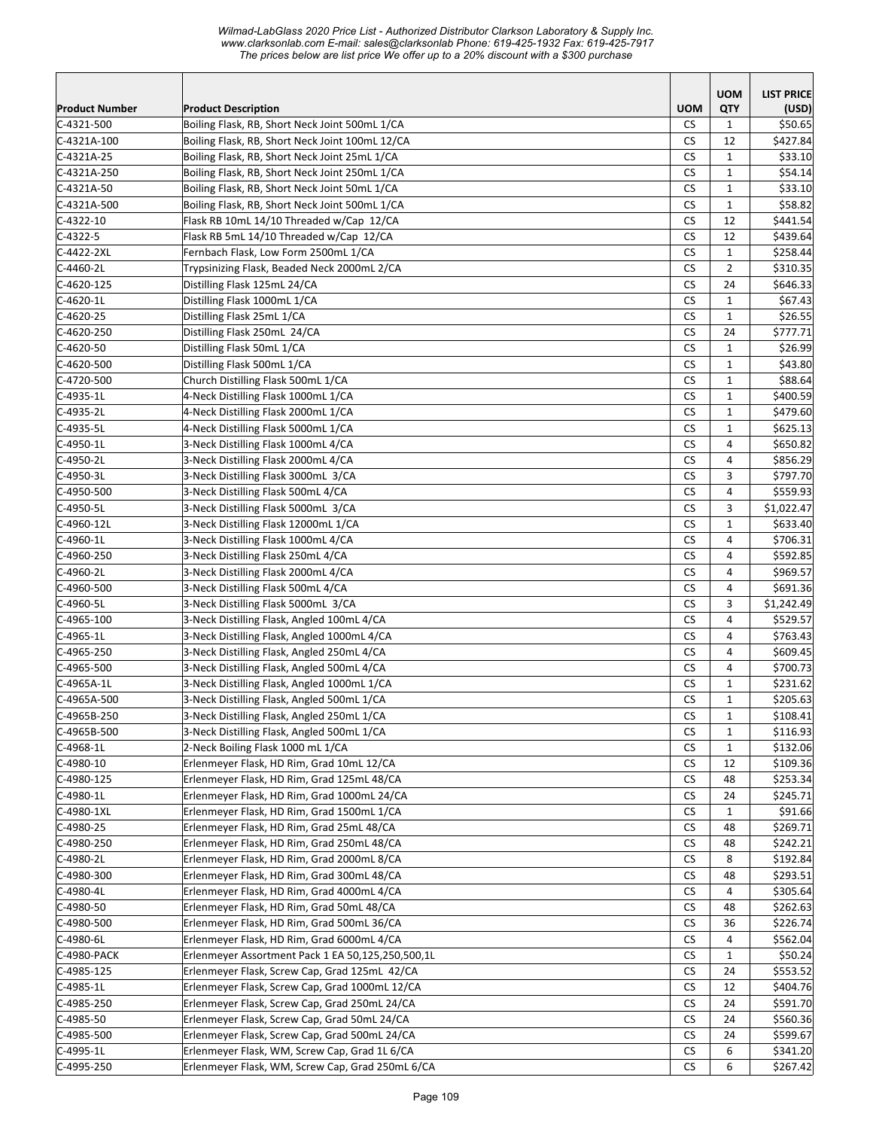## *Wilmad-LabGlass 2020 Price List - Authorized Distributor Clarkson Laboratory & Supply Inc. www.clarksonlab.com E-mail: sales@clarksonlab Phone: 619-425-1932 Fax: 619-425-7917 The prices below are list price We offer up to a 20% discount with a \$300 purchase*

|                            |                                                                                                 |                        | <b>UOM</b>        | <b>LIST PRICE</b>    |
|----------------------------|-------------------------------------------------------------------------------------------------|------------------------|-------------------|----------------------|
| Product Number             | <b>Product Description</b>                                                                      | <b>UOM</b>             | QTY               | (USD)                |
| C-4321-500                 | Boiling Flask, RB, Short Neck Joint 500mL 1/CA                                                  | <b>CS</b>              | 1                 | \$50.65              |
| C-4321A-100                | Boiling Flask, RB, Short Neck Joint 100mL 12/CA                                                 | <b>CS</b>              | 12                | \$427.84             |
| $C-4321A-25$               | Boiling Flask, RB, Short Neck Joint 25mL 1/CA                                                   | <b>CS</b><br><b>CS</b> | 1<br>$\mathbf{1}$ | \$33.10<br>\$54.14   |
| C-4321A-250<br>C-4321A-50  | Boiling Flask, RB, Short Neck Joint 250mL 1/CA<br>Boiling Flask, RB, Short Neck Joint 50mL 1/CA | CS                     | $\mathbf{1}$      | \$33.10              |
| C-4321A-500                | Boiling Flask, RB, Short Neck Joint 500mL 1/CA                                                  | <b>CS</b>              | $\mathbf{1}$      | \$58.82              |
| $C-4322-10$                | Flask RB 10mL 14/10 Threaded w/Cap 12/CA                                                        | <b>CS</b>              | 12                | \$441.54             |
| $C-4322-5$                 | Flask RB 5mL 14/10 Threaded w/Cap 12/CA                                                         | <b>CS</b>              | 12                | \$439.64             |
| C-4422-2XL                 | Fernbach Flask, Low Form 2500mL 1/CA                                                            | <b>CS</b>              | $\mathbf{1}$      | \$258.44             |
| C-4460-2L                  | Trypsinizing Flask, Beaded Neck 2000mL 2/CA                                                     | <b>CS</b>              | $\overline{2}$    | \$310.35             |
| $C-4620-125$               | Distilling Flask 125mL 24/CA                                                                    | <b>CS</b>              | 24                | \$646.33             |
| $C-4620-1L$                | Distilling Flask 1000mL 1/CA                                                                    | CS                     | $\mathbf{1}$      | \$67.43              |
| $C-4620-25$                | Distilling Flask 25mL 1/CA                                                                      | <b>CS</b>              | $\mathbf{1}$      | \$26.55              |
| C-4620-250                 | Distilling Flask 250mL 24/CA                                                                    | <b>CS</b>              | 24                | \$777.71             |
| $C-4620-50$                | Distilling Flask 50mL 1/CA                                                                      | <b>CS</b>              | $\mathbf{1}$      | \$26.99              |
| C-4620-500                 | Distilling Flask 500mL 1/CA                                                                     | CS                     | $\mathbf{1}$      | \$43.80              |
| C-4720-500                 | Church Distilling Flask 500mL 1/CA                                                              | <b>CS</b>              | $\mathbf{1}$      | \$88.64              |
| C-4935-1L                  | 4-Neck Distilling Flask 1000mL 1/CA                                                             | <b>CS</b>              | 1                 | \$400.59             |
| C-4935-2L                  | 4-Neck Distilling Flask 2000mL 1/CA                                                             | <b>CS</b>              | $\mathbf{1}$      | \$479.60             |
| C-4935-5L                  | 4-Neck Distilling Flask 5000mL 1/CA                                                             | <b>CS</b>              | 1                 | \$625.13             |
| C-4950-1L                  | 3-Neck Distilling Flask 1000mL 4/CA                                                             | <b>CS</b>              | 4                 | \$650.82             |
| C-4950-2L                  | 3-Neck Distilling Flask 2000mL 4/CA                                                             | <b>CS</b>              | 4                 | \$856.29             |
| C-4950-3L                  | 3-Neck Distilling Flask 3000mL 3/CA                                                             | <b>CS</b>              | 3                 | \$797.70             |
| C-4950-500                 | 3-Neck Distilling Flask 500mL 4/CA                                                              | <b>CS</b>              | 4                 | \$559.93             |
| C-4950-5L                  | 3-Neck Distilling Flask 5000mL 3/CA                                                             | <b>CS</b>              | 3                 | \$1,022.47           |
| C-4960-12L                 | 3-Neck Distilling Flask 12000mL 1/CA                                                            | <b>CS</b>              | $\mathbf{1}$      | \$633.40             |
| $C-4960-1L$                | 3-Neck Distilling Flask 1000mL 4/CA                                                             | <b>CS</b>              | 4                 | \$706.31             |
| C-4960-250                 | 3-Neck Distilling Flask 250mL 4/CA                                                              | <b>CS</b>              | 4                 | \$592.85             |
| C-4960-2L                  | 3-Neck Distilling Flask 2000mL 4/CA                                                             | <b>CS</b>              | $\overline{4}$    | \$969.57             |
| C-4960-500                 | 3-Neck Distilling Flask 500mL 4/CA                                                              | <b>CS</b>              | 4                 | \$691.36             |
| C-4960-5L                  | 3-Neck Distilling Flask 5000mL 3/CA                                                             | CS                     | 3                 | \$1,242.49           |
| $C-4965-100$               | 3-Neck Distilling Flask, Angled 100mL 4/CA                                                      | <b>CS</b>              | 4                 | \$529.57             |
| C-4965-1L                  | 3-Neck Distilling Flask, Angled 1000mL 4/CA                                                     | CS                     | 4                 | \$763.43             |
| C-4965-250                 | 3-Neck Distilling Flask, Angled 250mL 4/CA                                                      | <b>CS</b>              | 4                 | \$609.45             |
| $C-4965-500$<br>C-4965A-1L | 3-Neck Distilling Flask, Angled 500mL 4/CA<br>3-Neck Distilling Flask, Angled 1000mL 1/CA       | <b>CS</b><br><b>CS</b> | 4<br>1            | \$700.73<br>\$231.62 |
| C-4965A-500                | 3-Neck Distilling Flask, Angled 500mL 1/CA                                                      | CS                     | $\mathbf{1}$      | \$205.63             |
| $C-4965B-250$              | 3-Neck Distilling Flask, Angled 250mL 1/CA                                                      | <b>CS</b>              | $\mathbf 1$       | \$108.41             |
| C-4965B-500                | 3-Neck Distilling Flask, Angled 500mL 1/CA                                                      | <b>CS</b>              | $\mathbf{1}$      | \$116.93             |
| $C-4968-1L$                | 2-Neck Boiling Flask 1000 mL 1/CA                                                               | CS                     | 1                 | \$132.06             |
| $C-4980-10$                | Erlenmeyer Flask, HD Rim, Grad 10mL 12/CA                                                       | CS                     | 12                | \$109.36             |
| $C-4980-125$               | Erlenmeyer Flask, HD Rim, Grad 125mL 48/CA                                                      | CS                     | 48                | \$253.34             |
| C-4980-1L                  | Erlenmeyer Flask, HD Rim, Grad 1000mL 24/CA                                                     | CS                     | 24                | \$245.71             |
| C-4980-1XL                 | Erlenmeyer Flask, HD Rim, Grad 1500mL 1/CA                                                      | <b>CS</b>              | 1                 | \$91.66              |
| $C-4980-25$                | Erlenmeyer Flask, HD Rim, Grad 25mL 48/CA                                                       | <b>CS</b>              | 48                | \$269.71             |
| $C-4980-250$               | Erlenmeyer Flask, HD Rim, Grad 250mL 48/CA                                                      | CS                     | 48                | \$242.21             |
| C-4980-2L                  | Erlenmeyer Flask, HD Rim, Grad 2000mL 8/CA                                                      | CS                     | 8                 | \$192.84             |
| $C-4980-300$               | Erlenmeyer Flask, HD Rim, Grad 300mL 48/CA                                                      | CS                     | 48                | \$293.51             |
| $C-4980-4L$                | Erlenmeyer Flask, HD Rim, Grad 4000mL 4/CA                                                      | <b>CS</b>              | 4                 | \$305.64             |
| $C-4980-50$                | Erlenmeyer Flask, HD Rim, Grad 50mL 48/CA                                                       | CS                     | 48                | \$262.63             |
| C-4980-500                 | Erlenmeyer Flask, HD Rim, Grad 500mL 36/CA                                                      | CS                     | 36                | \$226.74             |
| C-4980-6L                  | Erlenmeyer Flask, HD Rim, Grad 6000mL 4/CA                                                      | <b>CS</b>              | 4                 | \$562.04             |
| C-4980-PACK                | Erlenmeyer Assortment Pack 1 EA 50,125,250,500,1L                                               | <b>CS</b>              | $\mathbf{1}$      | \$50.24              |
| $C-4985-125$               | Erlenmeyer Flask, Screw Cap, Grad 125mL 42/CA                                                   | CS                     | 24                | \$553.52             |
| C-4985-1L                  | Erlenmeyer Flask, Screw Cap, Grad 1000mL 12/CA                                                  | CS                     | 12                | \$404.76             |
| $C-4985-250$               | Erlenmeyer Flask, Screw Cap, Grad 250mL 24/CA                                                   | CS                     | 24                | \$591.70             |
| $C-4985-50$                | Erlenmeyer Flask, Screw Cap, Grad 50mL 24/CA                                                    | CS                     | 24                | \$560.36             |
| $C-4985-500$               | Erlenmeyer Flask, Screw Cap, Grad 500mL 24/CA                                                   | CS                     | 24                | \$599.67             |
| C-4995-1L                  | Erlenmeyer Flask, WM, Screw Cap, Grad 1L 6/CA                                                   | CS                     | 6                 | \$341.20             |
| C-4995-250                 | Erlenmeyer Flask, WM, Screw Cap, Grad 250mL 6/CA                                                | CS                     | 6                 | \$267.42             |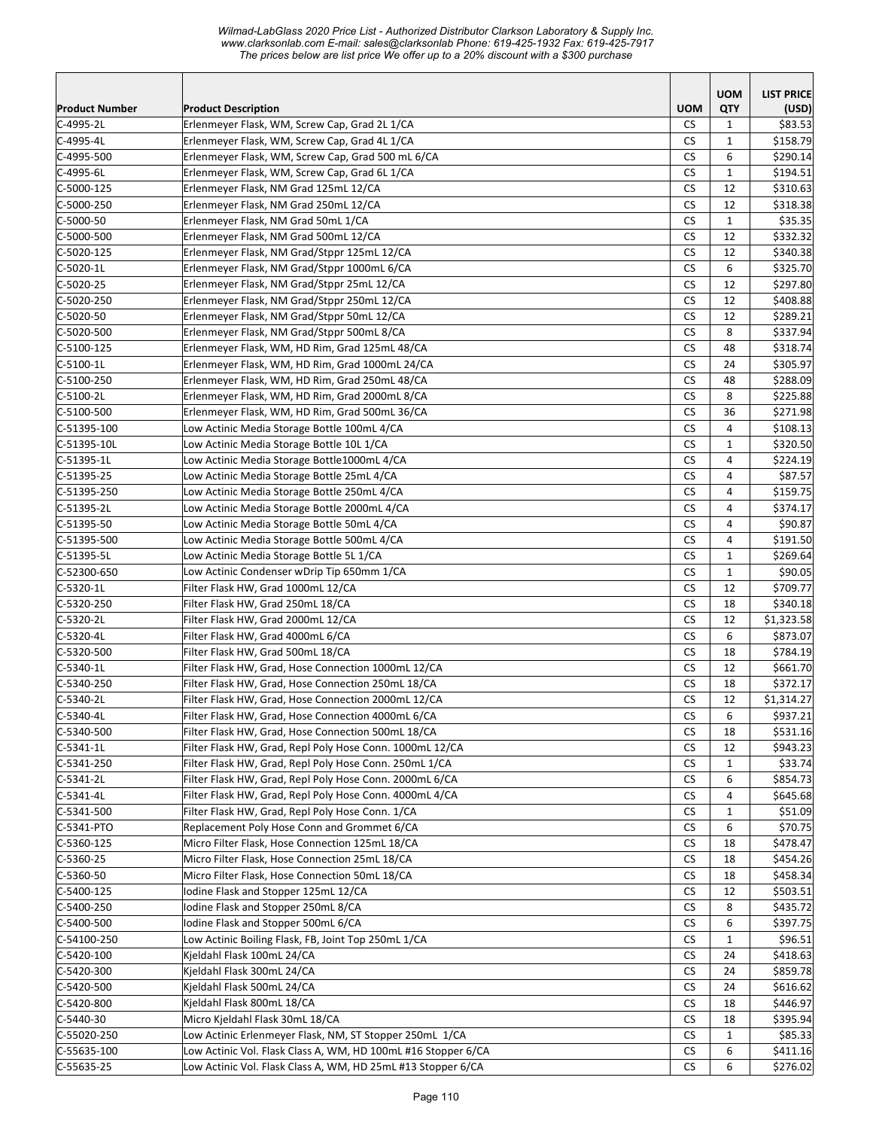*Wilmad-LabGlass 2020 Price List - Authorized Distributor Clarkson Laboratory & Supply Inc. www.clarksonlab.com E-mail: sales@clarksonlab Phone: 619-425-1932 Fax: 619-425-7917 The prices below are list price We offer up to a 20% discount with a \$300 purchase* 

|                          |                                                                        |                 | <b>UOM</b>     | <b>LIST PRICE</b>      |
|--------------------------|------------------------------------------------------------------------|-----------------|----------------|------------------------|
| <b>Product Number</b>    | <b>Product Description</b>                                             | <b>UOM</b>      | QTY            | (USD)                  |
| C-4995-2L                | Erlenmeyer Flask, WM, Screw Cap, Grad 2L 1/CA                          | <b>CS</b>       | 1              | \$83.53                |
| C-4995-4L                | Erlenmeyer Flask, WM, Screw Cap, Grad 4L 1/CA                          | CS              | 1              | \$158.79               |
| C-4995-500               | Erlenmeyer Flask, WM, Screw Cap, Grad 500 mL 6/CA                      | <b>CS</b>       | 6              | \$290.14]              |
| C-4995-6L                | Erlenmeyer Flask, WM, Screw Cap, Grad 6L 1/CA                          | CS              | $\mathbf{1}$   | \$194.51               |
| $C-5000-125$             | Erlenmeyer Flask, NM Grad 125mL 12/CA                                  | <b>CS</b>       | 12             | \$310.63               |
| C-5000-250               | Erlenmeyer Flask, NM Grad 250mL 12/CA                                  | <b>CS</b>       | 12             | \$318.38               |
| C-5000-50                | Erlenmeyer Flask, NM Grad 50mL 1/CA                                    | <b>CS</b>       | $\mathbf{1}$   | \$35.35                |
| C-5000-500               | Erlenmeyer Flask, NM Grad 500mL 12/CA                                  | <b>CS</b>       | 12             | \$332.32               |
| $C-5020-125$             | Erlenmeyer Flask, NM Grad/Stppr 125mL 12/CA                            | CS              | 12             | \$340.38               |
| $C-5020-1L$              | Erlenmeyer Flask, NM Grad/Stppr 1000mL 6/CA                            | <b>CS</b>       | 6              | \$325.70               |
| C-5020-25                | Erlenmeyer Flask, NM Grad/Stppr 25mL 12/CA                             | СS              | 12             | \$297.80               |
| C-5020-250               | Erlenmeyer Flask, NM Grad/Stppr 250mL 12/CA                            | <b>CS</b>       | 12             | \$408.88               |
| $C-5020-50$              | Erlenmeyer Flask, NM Grad/Stppr 50mL 12/CA                             | CS              | 12             | \$289.21               |
| C-5020-500               | Erlenmeyer Flask, NM Grad/Stppr 500mL 8/CA                             | <b>CS</b>       | 8              | \$337.94               |
| $C-5100-125$             | Erlenmeyer Flask, WM, HD Rim, Grad 125mL 48/CA                         | <b>CS</b>       | 48             | \$318.74               |
| $C-5100-1L$              | Erlenmeyer Flask, WM, HD Rim, Grad 1000mL 24/CA                        | <b>CS</b>       | 24             | \$305.97               |
| C-5100-250               | Erlenmeyer Flask, WM, HD Rim, Grad 250mL 48/CA                         | CS              | 48             | \$288.09               |
| $C-5100-2L$              | Erlenmeyer Flask, WM, HD Rim, Grad 2000mL 8/CA                         | <b>CS</b>       | 8              | \$225.88               |
| $C-5100-500$             | Erlenmeyer Flask, WM, HD Rim, Grad 500mL 36/CA                         | CS              | 36             | \$271.98               |
| C-51395-100              | Low Actinic Media Storage Bottle 100mL 4/CA                            | <b>CS</b>       | 4              | \$108.13               |
| C-51395-10L              | Low Actinic Media Storage Bottle 10L 1/CA                              | <b>CS</b>       | $\mathbf{1}$   | \$320.50               |
| C-51395-1L               | Low Actinic Media Storage Bottle1000mL 4/CA                            | CS              | $\overline{4}$ | \$224.19               |
| $C-51395-25$             | Low Actinic Media Storage Bottle 25mL 4/CA                             | <b>CS</b>       | 4              | \$87.57                |
| $C-51395-250$            | Low Actinic Media Storage Bottle 250mL 4/CA                            | CS              | 4              | \$159.75               |
| C-51395-2L               | Low Actinic Media Storage Bottle 2000mL 4/CA                           | <b>CS</b>       | 4              | \$374.17               |
| C-51395-50               | Low Actinic Media Storage Bottle 50mL 4/CA                             | CS              | 4              | \$90.87                |
| C-51395-500              | Low Actinic Media Storage Bottle 500mL 4/CA                            | <b>CS</b>       | 4              | \$191.50               |
| C-51395-5L               | Low Actinic Media Storage Bottle 5L 1/CA                               | CS              | $\mathbf{1}$   | \$269.64               |
| C-52300-650              | Low Actinic Condenser wDrip Tip 650mm 1/CA                             | СS              | $\mathbf{1}$   | \$90.05                |
| $C-5320-1L$              | Filter Flask HW, Grad 1000mL 12/CA                                     | CS              | 12             | \$709.77               |
| $C-5320-250$             | Filter Flask HW, Grad 250mL 18/CA                                      | <b>CS</b>       | 18             | \$340.18               |
| C-5320-2L<br>$C-5320-4L$ | Filter Flask HW, Grad 2000mL 12/CA                                     | CS<br><b>CS</b> | 12<br>6        | \$1,323.58<br>\$873.07 |
| C-5320-500               | Filter Flask HW, Grad 4000mL 6/CA<br>Filter Flask HW, Grad 500mL 18/CA | <b>CS</b>       | 18             | \$784.19               |
| $C-5340-1L$              | Filter Flask HW, Grad, Hose Connection 1000mL 12/CA                    | <b>CS</b>       | 12             | \$661.70               |
| C-5340-250               | Filter Flask HW, Grad, Hose Connection 250mL 18/CA                     | <b>CS</b>       | 18             | \$372.17               |
| $C-5340-2L$              | Filter Flask HW, Grad, Hose Connection 2000mL 12/CA                    | <b>CS</b>       | 12             | \$1,314.27             |
| C-5340-4L                | Filter Flask HW, Grad, Hose Connection 4000mL 6/CA                     | CS              | 6              | \$937.21               |
| C-5340-500               | Filter Flask HW, Grad, Hose Connection 500mL 18/CA                     | CS              | 18             | \$531.16               |
| $C-5341-1L$              | Filter Flask HW, Grad, Repl Poly Hose Conn. 1000mL 12/CA               | CS              | 12             | \$943.23               |
| $C-5341-250$             | Filter Flask HW, Grad, Repl Poly Hose Conn. 250mL 1/CA                 | CS              | 1              | \$33.74                |
| C-5341-2L                | Filter Flask HW, Grad, Repl Poly Hose Conn. 2000mL 6/CA                | CS              | 6              | \$854.73               |
| C-5341-4L                | Filter Flask HW, Grad, Repl Poly Hose Conn. 4000mL 4/CA                | СS              | 4              | \$645.68               |
| $C-5341-500$             | Filter Flask HW, Grad, Repl Poly Hose Conn. 1/CA                       | CS              | $\mathbf{1}$   | \$51.09                |
| C-5341-PTO               | Replacement Poly Hose Conn and Grommet 6/CA                            | CS              | 6              | \$70.75                |
| $C-5360-125$             | Micro Filter Flask, Hose Connection 125mL 18/CA                        | CS              | 18             | \$478.47               |
| $C-5360-25$              | Micro Filter Flask, Hose Connection 25mL 18/CA                         | CS              | 18             | \$454.26               |
| C-5360-50                | Micro Filter Flask, Hose Connection 50mL 18/CA                         | CS              | 18             | \$458.34               |
| C-5400-125               | Iodine Flask and Stopper 125mL 12/CA                                   | CS              | 12             | \$503.51               |
| C-5400-250               | Iodine Flask and Stopper 250mL 8/CA                                    | CS              | 8              | \$435.72               |
| C-5400-500               | Iodine Flask and Stopper 500mL 6/CA                                    | CS              | 6              | \$397.75               |
| C-54100-250              | Low Actinic Boiling Flask, FB, Joint Top 250mL 1/CA                    | CS              | $\mathbf{1}$   | \$96.51                |
| $C-5420-100$             | Kjeldahl Flask 100mL 24/CA                                             | <b>CS</b>       | 24             | \$418.63               |
| C-5420-300               | Kjeldahl Flask 300mL 24/CA                                             | <b>CS</b>       | 24             | \$859.78               |
| C-5420-500               | Kjeldahl Flask 500mL 24/CA                                             | CS              | 24             | \$616.62               |
| $C-5420-800$             | Kjeldahl Flask 800mL 18/CA                                             | CS              | 18             | \$446.97               |
| C-5440-30                | Micro Kjeldahl Flask 30mL 18/CA                                        | CS              | 18             | \$395.94               |
| C-55020-250              | Low Actinic Erlenmeyer Flask, NM, ST Stopper 250mL 1/CA                | СS              | $\mathbf{1}$   | \$85.33                |
| $C-55635-100$            | Low Actinic Vol. Flask Class A, WM, HD 100mL #16 Stopper 6/CA          | CS              | 6              | \$411.16               |
| $C-55635-25$             | Low Actinic Vol. Flask Class A, WM, HD 25mL #13 Stopper 6/CA           | СS              | 6              | \$276.02               |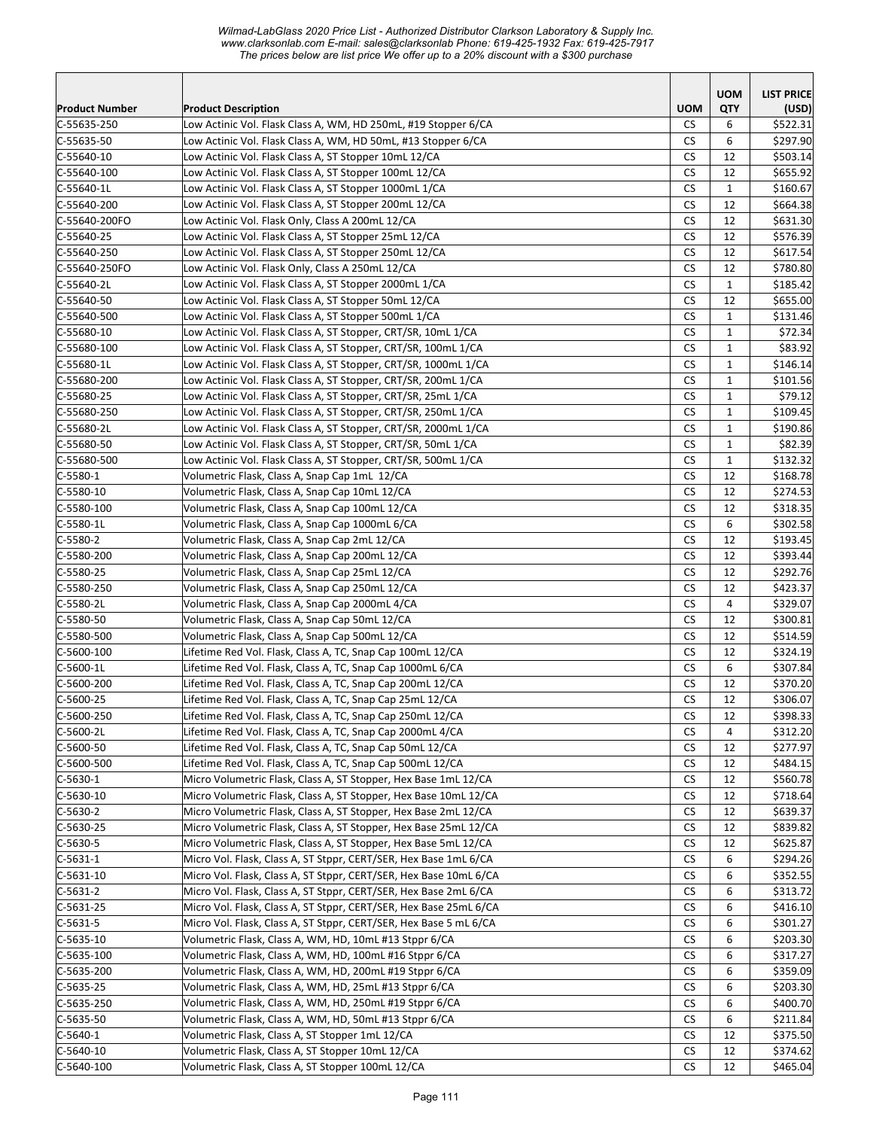*Wilmad-LabGlass 2020 Price List - Authorized Distributor Clarkson Laboratory & Supply Inc. www.clarksonlab.com E-mail: sales@clarksonlab Phone: 619-425-1932 Fax: 619-425-7917 The prices below are list price We offer up to a 20% discount with a \$300 purchase* 

|                         |                                                                                                                             |                      | <b>UOM</b>   | <b>LIST PRICE</b>    |
|-------------------------|-----------------------------------------------------------------------------------------------------------------------------|----------------------|--------------|----------------------|
| <b>Product Number</b>   | <b>Product Description</b>                                                                                                  | <b>UOM</b>           | QTY          | (USD)                |
| C-55635-250             | Low Actinic Vol. Flask Class A, WM, HD 250mL, #19 Stopper 6/CA                                                              | CS.                  | 6            | \$522.31             |
| C-55635-50              | Low Actinic Vol. Flask Class A, WM, HD 50mL, #13 Stopper 6/CA                                                               | <b>CS</b>            | 6            | \$297.90             |
| C-55640-10              | Low Actinic Vol. Flask Class A, ST Stopper 10mL 12/CA                                                                       | <b>CS</b>            | 12           | \$503.14             |
| C-55640-100             | Low Actinic Vol. Flask Class A, ST Stopper 100mL 12/CA                                                                      | CS                   | 12           | \$655.92             |
| C-55640-1L              | Low Actinic Vol. Flask Class A, ST Stopper 1000mL 1/CA                                                                      | CS                   | $\mathbf{1}$ | \$160.67             |
| C-55640-200             | Low Actinic Vol. Flask Class A, ST Stopper 200mL 12/CA                                                                      | <b>CS</b>            | 12           | \$664.38             |
| C-55640-200FO           | Low Actinic Vol. Flask Only, Class A 200mL 12/CA                                                                            | <b>CS</b>            | 12           | \$631.30             |
| C-55640-25              | Low Actinic Vol. Flask Class A, ST Stopper 25mL 12/CA                                                                       | <b>CS</b>            | 12           | \$576.39             |
| C-55640-250             | Low Actinic Vol. Flask Class A, ST Stopper 250mL 12/CA                                                                      | <b>CS</b>            | 12           | \$617.54             |
| C-55640-250FO           | Low Actinic Vol. Flask Only, Class A 250mL 12/CA                                                                            | <b>CS</b>            | 12           | \$780.80             |
| C-55640-2L              | Low Actinic Vol. Flask Class A, ST Stopper 2000mL 1/CA                                                                      | <b>CS</b>            | $\mathbf{1}$ | \$185.42             |
| C-55640-50              | Low Actinic Vol. Flask Class A, ST Stopper 50mL 12/CA                                                                       | <b>CS</b>            | 12           | \$655.00             |
| C-55640-500             | Low Actinic Vol. Flask Class A, ST Stopper 500mL 1/CA                                                                       | <b>CS</b>            | $\mathbf{1}$ | \$131.46             |
| C-55680-10              | Low Actinic Vol. Flask Class A, ST Stopper, CRT/SR, 10mL 1/CA                                                               | <b>CS</b>            | $\mathbf{1}$ | \$72.34              |
| $C-55680-100$           | Low Actinic Vol. Flask Class A, ST Stopper, CRT/SR, 100mL 1/CA                                                              | <b>CS</b>            | $\mathbf{1}$ | \$83.92              |
| C-55680-1L              | Low Actinic Vol. Flask Class A, ST Stopper, CRT/SR, 1000mL 1/CA                                                             | <b>CS</b>            | $\mathbf{1}$ | \$146.14             |
| C-55680-200             | Low Actinic Vol. Flask Class A, ST Stopper, CRT/SR, 200mL 1/CA                                                              | <b>CS</b>            | $\mathbf{1}$ | \$101.56             |
| C-55680-25              | Low Actinic Vol. Flask Class A, ST Stopper, CRT/SR, 25mL 1/CA                                                               | <b>CS</b>            | $\mathbf{1}$ | \$79.12              |
| C-55680-250             | Low Actinic Vol. Flask Class A, ST Stopper, CRT/SR, 250mL 1/CA                                                              | <b>CS</b>            | $\mathbf{1}$ | \$109.45             |
| C-55680-2L              | Low Actinic Vol. Flask Class A, ST Stopper, CRT/SR, 2000mL 1/CA                                                             | <b>CS</b>            | $\mathbf{1}$ | \$190.86             |
| C-55680-50              | Low Actinic Vol. Flask Class A, ST Stopper, CRT/SR, 50mL 1/CA                                                               | <b>CS</b>            | $\mathbf{1}$ | \$82.39              |
| C-55680-500             | Low Actinic Vol. Flask Class A, ST Stopper, CRT/SR, 500mL 1/CA                                                              | <b>CS</b>            | $\mathbf{1}$ | \$132.32             |
| $C-5580-1$              | Volumetric Flask, Class A, Snap Cap 1mL 12/CA                                                                               | <b>CS</b>            | 12           | \$168.78             |
| C-5580-10               | Volumetric Flask, Class A, Snap Cap 10mL 12/CA                                                                              | <b>CS</b>            | 12           | \$274.53             |
| C-5580-100              | Volumetric Flask, Class A, Snap Cap 100mL 12/CA                                                                             | CS                   | 12           | \$318.35             |
| C-5580-1L               | Volumetric Flask, Class A, Snap Cap 1000mL 6/CA                                                                             | <b>CS</b>            | 6            | \$302.58             |
| C-5580-2                | Volumetric Flask, Class A, Snap Cap 2mL 12/CA                                                                               | <b>CS</b>            | 12           | \$193.45             |
| C-5580-200              | Volumetric Flask, Class A, Snap Cap 200mL 12/CA                                                                             | <b>CS</b>            | 12           | \$393.44             |
| C-5580-25               | Volumetric Flask, Class A, Snap Cap 25mL 12/CA                                                                              | <b>CS</b>            | 12           | \$292.76             |
| C-5580-250              | Volumetric Flask, Class A, Snap Cap 250mL 12/CA                                                                             | <b>CS</b>            | 12           | \$423.37             |
| C-5580-2L               | Volumetric Flask, Class A, Snap Cap 2000mL 4/CA                                                                             | <b>CS</b>            | 4            | \$329.07             |
| C-5580-50               | Volumetric Flask, Class A, Snap Cap 50mL 12/CA                                                                              | <b>CS</b>            | 12           | \$300.81             |
| C-5580-500              | Volumetric Flask, Class A, Snap Cap 500mL 12/CA                                                                             | <b>CS</b>            | 12           | \$514.59             |
| C-5600-100              | Lifetime Red Vol. Flask, Class A, TC, Snap Cap 100mL 12/CA                                                                  | <b>CS</b>            | 12           | \$324.19             |
| C-5600-1L               | Lifetime Red Vol. Flask, Class A, TC, Snap Cap 1000mL 6/CA                                                                  | <b>CS</b>            | 6            | \$307.84             |
| C-5600-200              | Lifetime Red Vol. Flask, Class A, TC, Snap Cap 200mL 12/CA                                                                  | <b>CS</b>            | 12           | \$370.20             |
| $C-5600-25$             | Lifetime Red Vol. Flask, Class A, TC, Snap Cap 25mL 12/CA                                                                   | <b>CS</b>            | 12           | \$306.07             |
| C-5600-250              | Lifetime Red Vol. Flask, Class A, TC, Snap Cap 250mL 12/CA                                                                  | $\mathsf{CS}\xspace$ | 12           | \$398.33             |
| C-5600-2L               | Lifetime Red Vol. Flask, Class A, TC, Snap Cap 2000mL 4/CA                                                                  | CS                   | 4            | \$312.20             |
| $C-5600-50$             | Lifetime Red Vol. Flask, Class A, TC, Snap Cap 50mL 12/CA                                                                   | CS.                  | 12           | \$277.97             |
| C-5600-500              | Lifetime Red Vol. Flask, Class A, TC, Snap Cap 500mL 12/CA                                                                  | CS                   | 12           | \$484.15             |
| $C-5630-1$              | Micro Volumetric Flask, Class A, ST Stopper, Hex Base 1mL 12/CA                                                             | CS                   | 12           | \$560.78             |
| $C-5630-10$             | Micro Volumetric Flask, Class A, ST Stopper, Hex Base 10mL 12/CA                                                            | CS.                  | 12           | \$718.64             |
| C-5630-2                | Micro Volumetric Flask, Class A, ST Stopper, Hex Base 2mL 12/CA                                                             | <b>CS</b>            | 12           | \$639.37             |
| $C-5630-25$             | Micro Volumetric Flask, Class A, ST Stopper, Hex Base 25mL 12/CA                                                            | <b>CS</b>            | 12           | \$839.82             |
| $C-5630-5$              | Micro Volumetric Flask, Class A, ST Stopper, Hex Base 5mL 12/CA                                                             | CS                   | 12           | \$625.87             |
| $C-5631-1$              | Micro Vol. Flask, Class A, ST Stppr, CERT/SER, Hex Base 1mL 6/CA                                                            | <b>CS</b>            | 6            | \$294.26             |
| $C-5631-10$             | Micro Vol. Flask, Class A, ST Stppr, CERT/SER, Hex Base 10mL 6/CA                                                           | CS                   | 6            | \$352.55             |
| $C-5631-2$              | Micro Vol. Flask, Class A, ST Stppr, CERT/SER, Hex Base 2mL 6/CA                                                            | CS                   | 6<br>6       | \$313.72             |
| $C-5631-25$             | Micro Vol. Flask, Class A, ST Stppr, CERT/SER, Hex Base 25mL 6/CA                                                           | CS<br><b>CS</b>      | 6            | \$416.10<br>\$301.27 |
| $C-5631-5$<br>C-5635-10 | Micro Vol. Flask, Class A, ST Stppr, CERT/SER, Hex Base 5 mL 6/CA<br>Volumetric Flask, Class A, WM, HD, 10mL #13 Stppr 6/CA | <b>CS</b>            | 6            | \$203.30             |
| $C-5635-100$            | Volumetric Flask, Class A, WM, HD, 100mL #16 Stppr 6/CA                                                                     | <b>CS</b>            | 6            | \$317.27             |
| C-5635-200              | Volumetric Flask, Class A, WM, HD, 200mL #19 Stppr 6/CA                                                                     | <b>CS</b>            | 6            | \$359.09             |
| $C-5635-25$             | Volumetric Flask, Class A, WM, HD, 25mL #13 Stppr 6/CA                                                                      | <b>CS</b>            | 6            | \$203.30             |
| C-5635-250              | Volumetric Flask, Class A, WM, HD, 250mL #19 Stppr 6/CA                                                                     | CS                   | 6            | \$400.70             |
| C-5635-50               | Volumetric Flask, Class A, WM, HD, 50mL #13 Stppr 6/CA                                                                      | CS                   | 6            | \$211.84             |
| $C-5640-1$              | Volumetric Flask, Class A, ST Stopper 1mL 12/CA                                                                             | CS.                  | 12           | \$375.50             |
| $C-5640-10$             | Volumetric Flask, Class A, ST Stopper 10mL 12/CA                                                                            | <b>CS</b>            | 12           | \$374.62             |
| $C-5640-100$            | Volumetric Flask, Class A, ST Stopper 100mL 12/CA                                                                           | CS.                  | 12           | \$465.04             |
|                         |                                                                                                                             |                      |              |                      |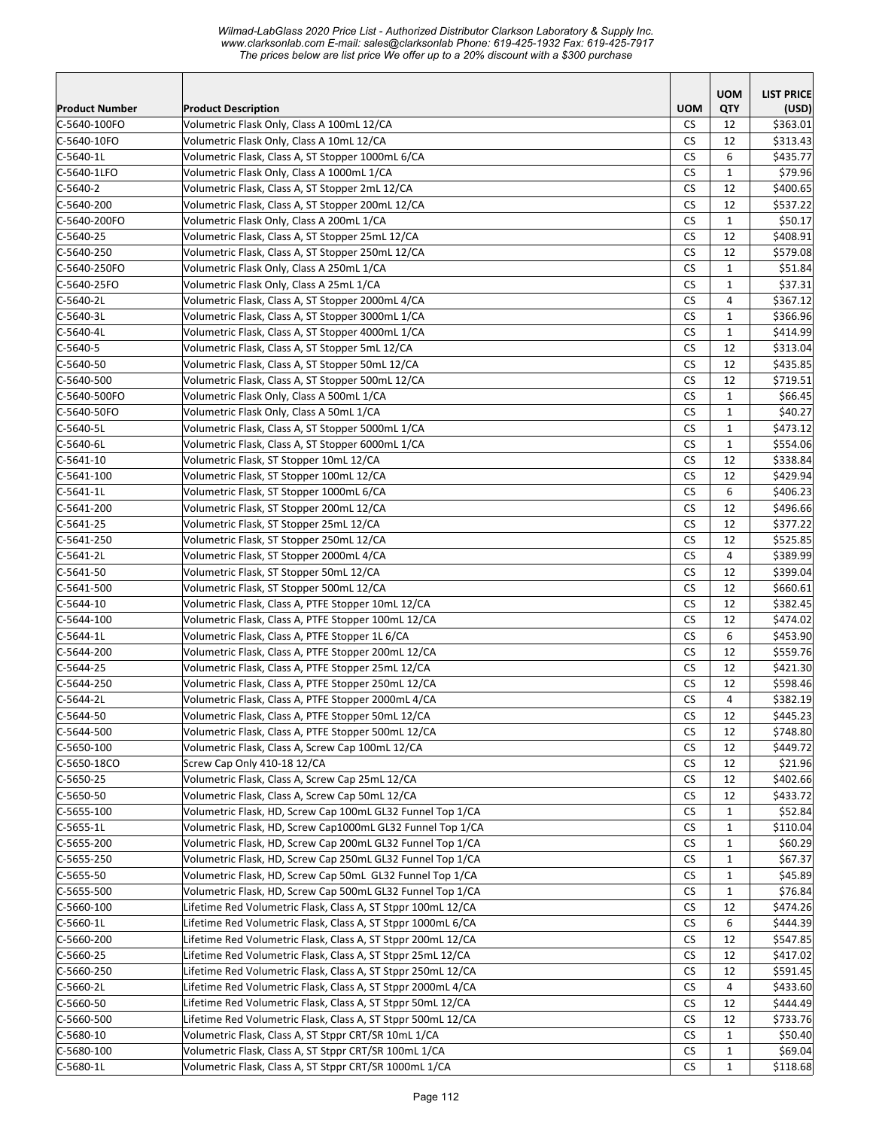*Wilmad-LabGlass 2020 Price List - Authorized Distributor Clarkson Laboratory & Supply Inc. www.clarksonlab.com E-mail: sales@clarksonlab Phone: 619-425-1932 Fax: 619-425-7917 The prices below are list price We offer up to a 20% discount with a \$300 purchase* 

|                       |                                                              |                      | <b>UOM</b>     | <b>LIST PRICE</b> |
|-----------------------|--------------------------------------------------------------|----------------------|----------------|-------------------|
| <b>Product Number</b> | <b>Product Description</b>                                   | <b>UOM</b>           | QTY            | (USD)             |
| C-5640-100FO          | Volumetric Flask Only, Class A 100mL 12/CA                   | <b>CS</b>            | 12             | \$363.01          |
| C-5640-10FO           | Volumetric Flask Only, Class A 10mL 12/CA                    | <b>CS</b>            | 12             | \$313.43          |
| C-5640-1L             | Volumetric Flask, Class A, ST Stopper 1000mL 6/CA            | <b>CS</b>            | 6              | \$435.77          |
| C-5640-1LFO           | Volumetric Flask Only, Class A 1000mL 1/CA                   | CS                   | $\mathbf{1}$   | \$79.96           |
| $C-5640-2$            | Volumetric Flask, Class A, ST Stopper 2mL 12/CA              | CS                   | 12             | \$400.65          |
| C-5640-200            | Volumetric Flask, Class A, ST Stopper 200mL 12/CA            | <b>CS</b>            | 12             | \$537.22          |
| C-5640-200FO          | Volumetric Flask Only, Class A 200mL 1/CA                    | <b>CS</b>            | $\mathbf{1}$   | \$50.17           |
| C-5640-25             | Volumetric Flask, Class A, ST Stopper 25mL 12/CA             | <b>CS</b>            | 12             | \$408.91          |
| C-5640-250            | Volumetric Flask, Class A, ST Stopper 250mL 12/CA            | <b>CS</b>            | 12             | \$579.08          |
| C-5640-250FO          | Volumetric Flask Only, Class A 250mL 1/CA                    | <b>CS</b>            | $\mathbf{1}$   | \$51.84           |
| C-5640-25FO           | Volumetric Flask Only, Class A 25mL 1/CA                     | <b>CS</b>            | $\mathbf{1}$   | \$37.31           |
| C-5640-2L             | Volumetric Flask, Class A, ST Stopper 2000mL 4/CA            | <b>CS</b>            | 4              | \$367.12          |
| C-5640-3L             | Volumetric Flask, Class A, ST Stopper 3000mL 1/CA            | <b>CS</b>            | $\mathbf{1}$   | \$366.96          |
| C-5640-4L             | Volumetric Flask, Class A, ST Stopper 4000mL 1/CA            | <b>CS</b>            | $\mathbf{1}$   | \$414.99          |
| $C - 5640 - 5$        | Volumetric Flask, Class A, ST Stopper 5mL 12/CA              | <b>CS</b>            | 12             | \$313.04          |
| C-5640-50             | Volumetric Flask, Class A, ST Stopper 50mL 12/CA             | <b>CS</b>            | 12             | \$435.85          |
| C-5640-500            | Volumetric Flask, Class A, ST Stopper 500mL 12/CA            | <b>CS</b>            | 12             | \$719.51          |
| C-5640-500FO          | Volumetric Flask Only, Class A 500mL 1/CA                    | <b>CS</b>            | $\mathbf{1}$   | \$66.45           |
| C-5640-50FO           | Volumetric Flask Only, Class A 50mL 1/CA                     | <b>CS</b>            | $\mathbf{1}$   | \$40.27           |
| C-5640-5L             | Volumetric Flask, Class A, ST Stopper 5000mL 1/CA            | CS                   | $\mathbf{1}$   | \$473.12          |
| C-5640-6L             | Volumetric Flask, Class A, ST Stopper 6000mL 1/CA            | CS                   | $\mathbf{1}$   | \$554.06          |
| $C-5641-10$           | Volumetric Flask, ST Stopper 10mL 12/CA                      | <b>CS</b>            | 12             | \$338.84          |
| $C-5641-100$          | Volumetric Flask, ST Stopper 100mL 12/CA                     | <b>CS</b>            | 12             | \$429.94          |
| C-5641-1L             | Volumetric Flask, ST Stopper 1000mL 6/CA                     | <b>CS</b>            | 6              | \$406.23          |
| C-5641-200            | Volumetric Flask, ST Stopper 200mL 12/CA                     | <b>CS</b>            | 12             | \$496.66          |
| C-5641-25             | Volumetric Flask, ST Stopper 25mL 12/CA                      | <b>CS</b>            | 12             | \$377.22          |
| C-5641-250            | Volumetric Flask, ST Stopper 250mL 12/CA                     | <b>CS</b>            | 12             | \$525.85          |
| C-5641-2L             | Volumetric Flask, ST Stopper 2000mL 4/CA                     | <b>CS</b>            | $\overline{4}$ | \$389.99          |
| C-5641-50             | Volumetric Flask, ST Stopper 50mL 12/CA                      | <b>CS</b>            | 12             | \$399.04          |
| $C-5641-500$          | Volumetric Flask, ST Stopper 500mL 12/CA                     | <b>CS</b>            | 12             | \$660.61          |
| C-5644-10             | Volumetric Flask, Class A, PTFE Stopper 10mL 12/CA           | <b>CS</b>            | 12             | \$382.45          |
| C-5644-100            | Volumetric Flask, Class A, PTFE Stopper 100mL 12/CA          | <b>CS</b>            | 12             | \$474.02          |
| C-5644-1L             | Volumetric Flask, Class A, PTFE Stopper 1L 6/CA              | <b>CS</b>            | 6              | \$453.90          |
| C-5644-200            | Volumetric Flask, Class A, PTFE Stopper 200mL 12/CA          | <b>CS</b>            | 12             | \$559.76          |
| C-5644-25             | Volumetric Flask, Class A, PTFE Stopper 25mL 12/CA           | <b>CS</b>            | 12             | \$421.30          |
| C-5644-250            | Volumetric Flask, Class A, PTFE Stopper 250mL 12/CA          | CS                   | 12             | \$598.46          |
| $C-5644-2L$           | Volumetric Flask, Class A, PTFE Stopper 2000mL 4/CA          | <b>CS</b>            | $\overline{4}$ | \$382.19          |
| $C-5644-50$           | Volumetric Flask, Class A, PTFE Stopper 50mL 12/CA           | $\mathsf{CS}\xspace$ | 12             | \$445.23          |
| C-5644-500            | Volumetric Flask, Class A, PTFE Stopper 500mL 12/CA          | CS                   | 12             | \$748.80          |
| $C-5650-100$          | Volumetric Flask, Class A, Screw Cap 100mL 12/CA             | CS.                  | 12             | \$449.72          |
| C-5650-18CO           | Screw Cap Only 410-18 12/CA                                  | CS                   | 12             | \$21.96           |
| C-5650-25             | Volumetric Flask, Class A, Screw Cap 25mL 12/CA              | CS                   | 12             | \$402.66          |
| C-5650-50             | Volumetric Flask, Class A, Screw Cap 50mL 12/CA              | <b>CS</b>            | 12             | \$433.72          |
| C-5655-100            | Volumetric Flask, HD, Screw Cap 100mL GL32 Funnel Top 1/CA   | <b>CS</b>            | $\mathbf{1}$   | \$52.84           |
| $C-5655-1L$           | Volumetric Flask, HD, Screw Cap1000mL GL32 Funnel Top 1/CA   | <b>CS</b>            | $\mathbf{1}$   | \$110.04          |
| C-5655-200            | Volumetric Flask, HD, Screw Cap 200mL GL32 Funnel Top 1/CA   | CS                   | $\mathbf{1}$   | \$60.29           |
| $C-5655-250$          | Volumetric Flask, HD, Screw Cap 250mL GL32 Funnel Top 1/CA   | <b>CS</b>            | $\mathbf{1}$   | \$67.37           |
| C-5655-50             | Volumetric Flask, HD, Screw Cap 50mL GL32 Funnel Top 1/CA    | СS                   | $\mathbf{1}$   | \$45.89           |
| C-5655-500            | Volumetric Flask, HD, Screw Cap 500mL GL32 Funnel Top 1/CA   | CS                   | $\mathbf{1}$   | \$76.84           |
| C-5660-100            | Lifetime Red Volumetric Flask, Class A, ST Stppr 100mL 12/CA | <b>CS</b>            | 12             | \$474.26          |
| C-5660-1L             | Lifetime Red Volumetric Flask, Class A, ST Stppr 1000mL 6/CA | <b>CS</b>            | 6              | \$444.39          |
| C-5660-200            | Lifetime Red Volumetric Flask, Class A, ST Stppr 200mL 12/CA | <b>CS</b>            | 12             | \$547.85          |
| $C-5660-25$           | Lifetime Red Volumetric Flask, Class A, ST Stppr 25mL 12/CA  | <b>CS</b>            | 12             | \$417.02          |
| $C-5660-250$          | Lifetime Red Volumetric Flask, Class A, ST Stppr 250mL 12/CA | <b>CS</b>            | 12             | \$591.45          |
| $C-5660-2L$           | Lifetime Red Volumetric Flask, Class A, ST Stppr 2000mL 4/CA | <b>CS</b>            | 4              | \$433.60          |
| C-5660-50             | Lifetime Red Volumetric Flask, Class A, ST Stppr 50mL 12/CA  | CS                   | 12             | \$444.49          |
| C-5660-500            | Lifetime Red Volumetric Flask, Class A, ST Stppr 500mL 12/CA | CS                   | 12             | \$733.76          |
| C-5680-10             | Volumetric Flask, Class A, ST Stppr CRT/SR 10mL 1/CA         | CS.                  | $\mathbf{1}$   | \$50.40           |
| $C-5680-100$          | Volumetric Flask, Class A, ST Stppr CRT/SR 100mL 1/CA        | <b>CS</b>            | $\mathbf{1}$   | \$69.04           |
| $C-5680-1L$           | Volumetric Flask, Class A, ST Stppr CRT/SR 1000mL 1/CA       | CS.                  | $\mathbf{1}$   | \$118.68          |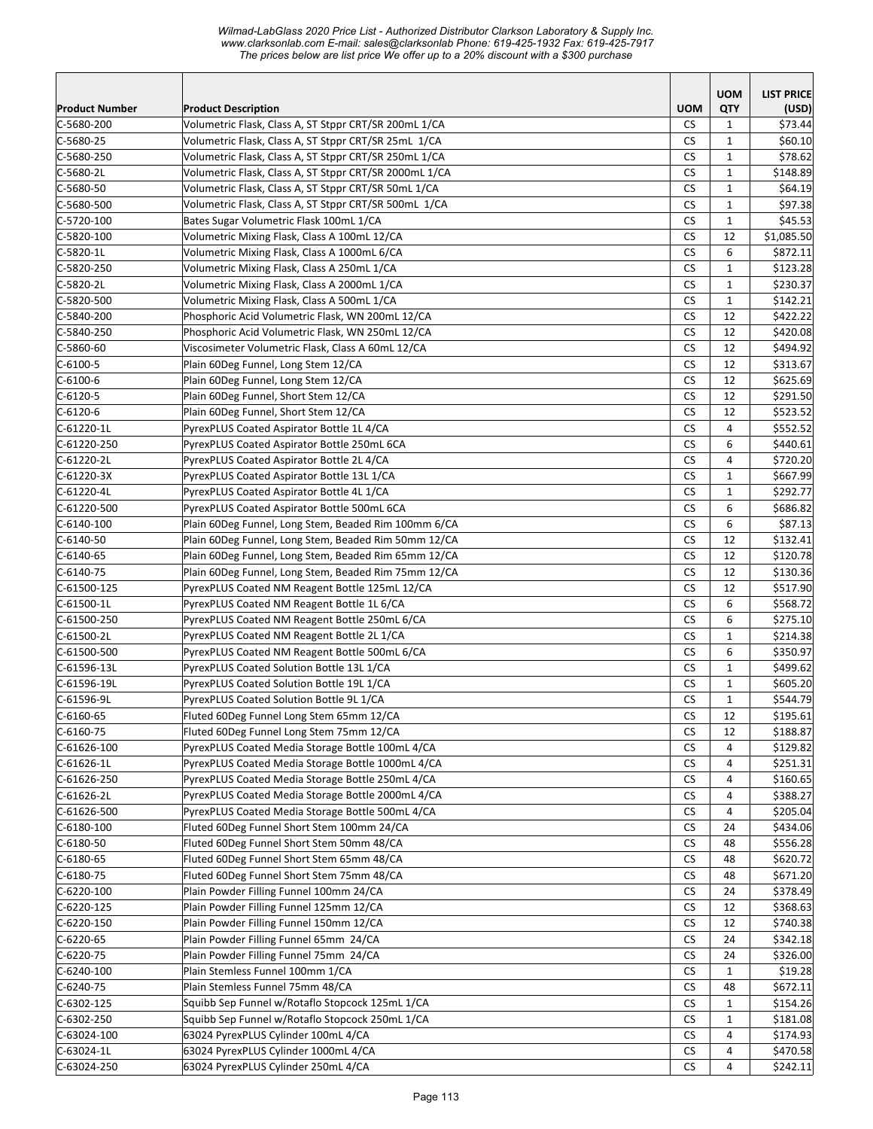*Wilmad-LabGlass 2020 Price List - Authorized Distributor Clarkson Laboratory & Supply Inc. www.clarksonlab.com E-mail: sales@clarksonlab Phone: 619-425-1932 Fax: 619-425-7917 The prices below are list price We offer up to a 20% discount with a \$300 purchase* 

|                           |                                                                                       |                      | <b>UOM</b>                   | <b>LIST PRICE</b>    |
|---------------------------|---------------------------------------------------------------------------------------|----------------------|------------------------------|----------------------|
| <b>Product Number</b>     | <b>Product Description</b>                                                            | <b>UOM</b>           | QTY                          | (USD)                |
| $C-5680-200$              | Volumetric Flask, Class A, ST Stppr CRT/SR 200mL 1/CA                                 | CS.                  | 1                            | \$73.44              |
| $C-5680-25$               | Volumetric Flask, Class A, ST Stppr CRT/SR 25mL 1/CA                                  | <b>CS</b>            | $\mathbf{1}$                 | \$60.10              |
| $C-5680-250$              | Volumetric Flask, Class A, ST Stppr CRT/SR 250mL 1/CA                                 | СS                   | 1                            | \$78.62              |
| C-5680-2L                 | Volumetric Flask, Class A, ST Stppr CRT/SR 2000mL 1/CA                                | <b>CS</b>            | $\mathbf{1}$                 | \$148.89             |
| $C-5680-50$               | Volumetric Flask, Class A, ST Stppr CRT/SR 50mL 1/CA                                  | <b>CS</b>            | $\mathbf{1}$                 | \$64.19              |
| $C-5680-500$              | Volumetric Flask, Class A, ST Stppr CRT/SR 500mL 1/CA                                 | CS                   | $\mathbf{1}$                 | \$97.38              |
| C-5720-100                | Bates Sugar Volumetric Flask 100mL 1/CA                                               | <b>CS</b>            | $\mathbf{1}$                 | \$45.53              |
| C-5820-100                | Volumetric Mixing Flask, Class A 100mL 12/CA                                          | <b>CS</b>            | 12                           | \$1,085.50           |
| $C-5820-1L$               | Volumetric Mixing Flask, Class A 1000mL 6/CA                                          | <b>CS</b>            | 6                            | \$872.11             |
| C-5820-250                | Volumetric Mixing Flask, Class A 250mL 1/CA                                           | CS                   | $\mathbf{1}$                 | \$123.28             |
| C-5820-2L                 | Volumetric Mixing Flask, Class A 2000mL 1/CA                                          | <b>CS</b>            | $\mathbf{1}$                 | \$230.37             |
| $C-5820-500$              | Volumetric Mixing Flask, Class A 500mL 1/CA                                           | <b>CS</b>            | $\mathbf{1}$                 | \$142.21             |
| $C-5840-200$              | Phosphoric Acid Volumetric Flask, WN 200mL 12/CA                                      | <b>CS</b>            | 12                           | \$422.22             |
| $C-5840-250$              | Phosphoric Acid Volumetric Flask, WN 250mL 12/CA                                      | <b>CS</b>            | 12                           | \$420.08             |
| $C-5860-60$               | Viscosimeter Volumetric Flask, Class A 60mL 12/CA                                     | <b>CS</b>            | 12                           | \$494.92             |
| $C - 6100 - 5$            | Plain 60Deg Funnel, Long Stem 12/CA                                                   | <b>CS</b>            | 12                           | \$313.67             |
| $C-6100-6$                | Plain 60Deg Funnel, Long Stem 12/CA                                                   | <b>CS</b>            | 12                           | \$625.69             |
| $C-6120-5$                | Plain 60Deg Funnel, Short Stem 12/CA                                                  | <b>CS</b>            | 12                           | \$291.50             |
| C-6120-6                  | Plain 60Deg Funnel, Short Stem 12/CA                                                  | CS.                  | 12                           | \$523.52             |
| C-61220-1L                | PyrexPLUS Coated Aspirator Bottle 1L 4/CA                                             | <b>CS</b>            | 4                            | \$552.52             |
| C-61220-250               | PyrexPLUS Coated Aspirator Bottle 250mL 6CA                                           | CS                   | 6                            | \$440.61             |
| C-61220-2L                | PyrexPLUS Coated Aspirator Bottle 2L 4/CA                                             | <b>CS</b>            | 4                            | \$720.20             |
| $C-61220-3X$              | PyrexPLUS Coated Aspirator Bottle 13L 1/CA                                            | <b>CS</b>            | $\mathbf{1}$                 | \$667.99             |
| C-61220-4L                | PyrexPLUS Coated Aspirator Bottle 4L 1/CA                                             | <b>CS</b>            | $\mathbf{1}$                 | \$292.77             |
| C-61220-500               | PyrexPLUS Coated Aspirator Bottle 500mL 6CA                                           | CS                   | 6                            | \$686.82             |
| C-6140-100                | Plain 60Deg Funnel, Long Stem, Beaded Rim 100mm 6/CA                                  | <b>CS</b>            | 6                            | \$87.13              |
| C-6140-50                 | Plain 60Deg Funnel, Long Stem, Beaded Rim 50mm 12/CA                                  | <b>CS</b>            | 12                           | \$132.41             |
| $C-6140-65$               | Plain 60Deg Funnel, Long Stem, Beaded Rim 65mm 12/CA                                  | <b>CS</b>            | 12                           | \$120.78             |
| $C-6140-75$               | Plain 60Deg Funnel, Long Stem, Beaded Rim 75mm 12/CA                                  | <b>CS</b>            | 12                           | \$130.36             |
| $C-61500-125$             | PyrexPLUS Coated NM Reagent Bottle 125mL 12/CA                                        | <b>CS</b>            | 12                           | \$517.90             |
| $C-61500-1L$              | PyrexPLUS Coated NM Reagent Bottle 1L 6/CA                                            | <b>CS</b>            | 6                            | \$568.72             |
| $C-61500-250$             | PyrexPLUS Coated NM Reagent Bottle 250mL 6/CA                                         | <b>CS</b>            | 6                            | \$275.10             |
| C-61500-2L                | PyrexPLUS Coated NM Reagent Bottle 2L 1/CA                                            | <b>CS</b>            | 1                            | \$214.38             |
| $C-61500-500$             | PyrexPLUS Coated NM Reagent Bottle 500mL 6/CA                                         | CS                   | 6                            | \$350.97             |
| C-61596-13L               | PyrexPLUS Coated Solution Bottle 13L 1/CA                                             | CS<br><b>CS</b>      | $\mathbf{1}$<br>$\mathbf{1}$ | \$499.62             |
| C-61596-19L<br>C-61596-9L | PyrexPLUS Coated Solution Bottle 19L 1/CA<br>PyrexPLUS Coated Solution Bottle 9L 1/CA | <b>CS</b>            | $\mathbf{1}$                 | \$605.20<br>\$544.79 |
| $C - 6160 - 65$           | Fluted 60Deg Funnel Long Stem 65mm 12/CA                                              | $\mathsf{CS}\xspace$ | 12                           | \$195.61             |
| C-6160-75                 | Fluted 60Deg Funnel Long Stem 75mm 12/CA                                              | <b>CS</b>            | 12                           | \$188.87             |
| $C-61626-100$             | PyrexPLUS Coated Media Storage Bottle 100mL 4/CA                                      | CS                   | 4                            | \$129.82             |
| $C-61626-1L$              | PyrexPLUS Coated Media Storage Bottle 1000mL 4/CA                                     | CS                   | 4                            | \$251.31             |
| C-61626-250               | PyrexPLUS Coated Media Storage Bottle 250mL 4/CA                                      | CS                   | 4                            | \$160.65             |
| $C - 61626 - 2L$          | PyrexPLUS Coated Media Storage Bottle 2000mL 4/CA                                     | <b>CS</b>            | 4                            | \$388.27             |
| $C - 61626 - 500$         | PyrexPLUS Coated Media Storage Bottle 500mL 4/CA                                      | CS                   | 4                            | \$205.04             |
| C-6180-100                | Fluted 60Deg Funnel Short Stem 100mm 24/CA                                            | <b>CS</b>            | 24                           | \$434.06             |
| $C - 6180 - 50$           | Fluted 60Deg Funnel Short Stem 50mm 48/CA                                             | <b>CS</b>            | 48                           | \$556.28             |
| C-6180-65                 | Fluted 60Deg Funnel Short Stem 65mm 48/CA                                             | CS                   | 48                           | \$620.72             |
| C-6180-75                 | Fluted 60Deg Funnel Short Stem 75mm 48/CA                                             | CS                   | 48                           | \$671.20             |
| C-6220-100                | Plain Powder Filling Funnel 100mm 24/CA                                               | CS                   | 24                           | \$378.49             |
| C-6220-125                | Plain Powder Filling Funnel 125mm 12/CA                                               | CS                   | 12                           | \$368.63             |
| C-6220-150                | Plain Powder Filling Funnel 150mm 12/CA                                               | CS                   | 12                           | \$740.38             |
| C-6220-65                 | Plain Powder Filling Funnel 65mm 24/CA                                                | СS                   | 24                           | \$342.18             |
| C-6220-75                 | Plain Powder Filling Funnel 75mm 24/CA                                                | CS                   | 24                           | \$326.00             |
| $C-6240-100$              | Plain Stemless Funnel 100mm 1/CA                                                      | CS                   | $\mathbf{1}$                 | \$19.28              |
| C-6240-75                 | Plain Stemless Funnel 75mm 48/CA                                                      | CS                   | 48                           | \$672.11             |
| $C-6302-125$              | Squibb Sep Funnel w/Rotaflo Stopcock 125mL 1/CA                                       | CS                   | 1                            | \$154.26             |
| C-6302-250                | Squibb Sep Funnel w/Rotaflo Stopcock 250mL 1/CA                                       | CS                   | 1                            | \$181.08             |
| C-63024-100               | 63024 PyrexPLUS Cylinder 100mL 4/CA                                                   | CS                   | 4                            | \$174.93             |
| C-63024-1L                | 63024 PyrexPLUS Cylinder 1000mL 4/CA                                                  | CS                   | 4                            | \$470.58             |
| $C-63024-250$             | 63024 PyrexPLUS Cylinder 250mL 4/CA                                                   | CS.                  | 4                            | \$242.11             |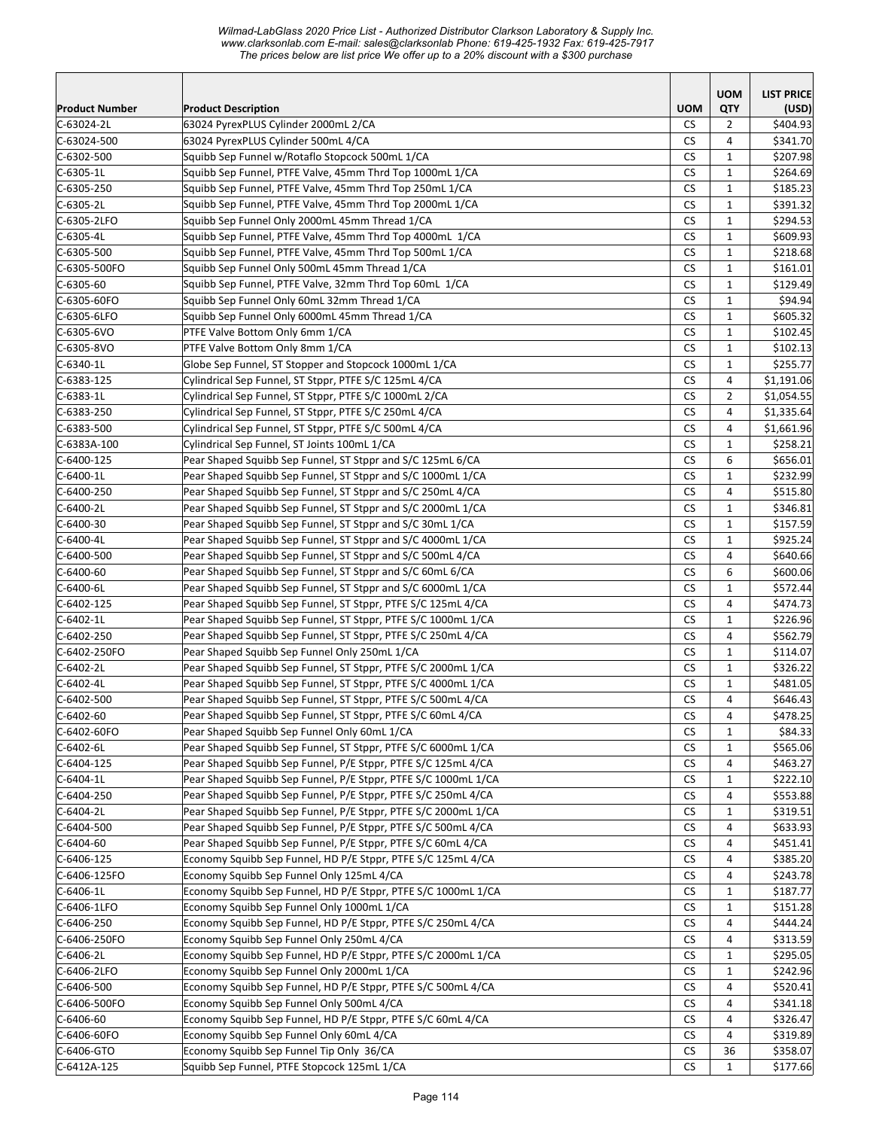*Wilmad-LabGlass 2020 Price List - Authorized Distributor Clarkson Laboratory & Supply Inc. www.clarksonlab.com E-mail: sales@clarksonlab Phone: 619-425-1932 Fax: 619-425-7917 The prices below are list price We offer up to a 20% discount with a \$300 purchase* 

|                       |                                                                |                      | <b>UOM</b>     | <b>LIST PRICE</b> |
|-----------------------|----------------------------------------------------------------|----------------------|----------------|-------------------|
| <b>Product Number</b> | <b>Product Description</b>                                     | <b>UOM</b>           | QTY            | (USD)             |
| C-63024-2L            | 63024 PyrexPLUS Cylinder 2000mL 2/CA                           | <b>CS</b>            | 2              | \$404.93          |
| C-63024-500           | 63024 PyrexPLUS Cylinder 500mL 4/CA                            | CS                   | 4              | \$341.70          |
| $C-6302-500$          | Squibb Sep Funnel w/Rotaflo Stopcock 500mL 1/CA                | <b>CS</b>            | $\mathbf{1}$   | \$207.98          |
| C-6305-1L             | Squibb Sep Funnel, PTFE Valve, 45mm Thrd Top 1000mL 1/CA       | <b>CS</b>            | $\mathbf{1}$   | \$264.69          |
| C-6305-250            | Squibb Sep Funnel, PTFE Valve, 45mm Thrd Top 250mL 1/CA        | <b>CS</b>            | $\mathbf{1}$   | \$185.23          |
| C-6305-2L             | Squibb Sep Funnel, PTFE Valve, 45mm Thrd Top 2000mL 1/CA       | CS                   | $\mathbf{1}$   | \$391.32          |
| C-6305-2LFO           | Squibb Sep Funnel Only 2000mL 45mm Thread 1/CA                 | <b>CS</b>            | $\mathbf{1}$   | \$294.53          |
| $C-6305-4L$           | Squibb Sep Funnel, PTFE Valve, 45mm Thrd Top 4000mL 1/CA       | <b>CS</b>            | $\mathbf{1}$   | \$609.93          |
| C-6305-500            | Squibb Sep Funnel, PTFE Valve, 45mm Thrd Top 500mL 1/CA        | <b>CS</b>            | $\mathbf{1}$   | \$218.68          |
| C-6305-500FO          | Squibb Sep Funnel Only 500mL 45mm Thread 1/CA                  | <b>CS</b>            | $\mathbf{1}$   | \$161.01          |
| $C-6305-60$           | Squibb Sep Funnel, PTFE Valve, 32mm Thrd Top 60mL 1/CA         | <b>CS</b>            | $\mathbf{1}$   | \$129.49          |
| C-6305-60FO           | Squibb Sep Funnel Only 60mL 32mm Thread 1/CA                   | <b>CS</b>            | $\mathbf{1}$   | \$94.94           |
| C-6305-6LFO           | Squibb Sep Funnel Only 6000mL 45mm Thread 1/CA                 | CS                   | $\mathbf{1}$   | \$605.32          |
| C-6305-6VO            | PTFE Valve Bottom Only 6mm 1/CA                                | <b>CS</b>            | $\mathbf{1}$   | \$102.45          |
| C-6305-8VO            | PTFE Valve Bottom Only 8mm 1/CA                                | <b>CS</b>            | $\mathbf{1}$   | \$102.13          |
| $C - 6340 - 1L$       | Globe Sep Funnel, ST Stopper and Stopcock 1000mL 1/CA          | <b>CS</b>            | $\mathbf{1}$   | \$255.77          |
| $C-6383-125$          | Cylindrical Sep Funnel, ST Stppr, PTFE S/C 125mL 4/CA          | CS                   | $\overline{4}$ | \$1,191.06        |
| $C-6383-1L$           | Cylindrical Sep Funnel, ST Stppr, PTFE S/C 1000mL 2/CA         | <b>CS</b>            | $\overline{2}$ | \$1,054.55        |
| C-6383-250            | Cylindrical Sep Funnel, ST Stppr, PTFE S/C 250mL 4/CA          | <b>CS</b>            | $\overline{4}$ | \$1,335.64        |
| C-6383-500            | Cylindrical Sep Funnel, ST Stppr, PTFE S/C 500mL 4/CA          | <b>CS</b>            | 4              | \$1,661.96        |
| C-6383A-100           | Cylindrical Sep Funnel, ST Joints 100mL 1/CA                   | <b>CS</b>            | $\mathbf{1}$   | \$258.21          |
| $C-6400-125$          | Pear Shaped Squibb Sep Funnel, ST Stppr and S/C 125mL 6/CA     | <b>CS</b>            | 6              | \$656.01          |
| $C - 6400 - 1L$       | Pear Shaped Squibb Sep Funnel, ST Stppr and S/C 1000mL 1/CA    | <b>CS</b>            | $\mathbf{1}$   | \$232.99          |
| C-6400-250            | Pear Shaped Squibb Sep Funnel, ST Stppr and S/C 250mL 4/CA     | <b>CS</b>            | 4              | \$515.80          |
| C-6400-2L             | Pear Shaped Squibb Sep Funnel, ST Stppr and S/C 2000mL 1/CA    | <b>CS</b>            | 1              | \$346.81          |
| C-6400-30             | Pear Shaped Squibb Sep Funnel, ST Stppr and S/C 30mL 1/CA      | <b>CS</b>            | $\mathbf{1}$   | \$157.59          |
| C-6400-4L             | Pear Shaped Squibb Sep Funnel, ST Stppr and S/C 4000mL 1/CA    | <b>CS</b>            | $\mathbf{1}$   | \$925.24          |
| C-6400-500            | Pear Shaped Squibb Sep Funnel, ST Stppr and S/C 500mL 4/CA     | CS                   | $\overline{4}$ | \$640.66          |
| $C-6400-60$           | Pear Shaped Squibb Sep Funnel, ST Stppr and S/C 60mL 6/CA      | <b>CS</b>            | 6              | \$600.06          |
| C-6400-6L             | Pear Shaped Squibb Sep Funnel, ST Stppr and S/C 6000mL 1/CA    | <b>CS</b>            | $\mathbf{1}$   | \$572.44          |
| $C-6402-125$          | Pear Shaped Squibb Sep Funnel, ST Stppr, PTFE S/C 125mL 4/CA   | <b>CS</b>            | 4              | \$474.73          |
| $C-6402-1L$           | Pear Shaped Squibb Sep Funnel, ST Stppr, PTFE S/C 1000mL 1/CA  | <b>CS</b>            | $\mathbf{1}$   | \$226.96          |
| $C-6402-250$          | Pear Shaped Squibb Sep Funnel, ST Stppr, PTFE S/C 250mL 4/CA   | <b>CS</b>            | 4              | \$562.79          |
| C-6402-250FO          | Pear Shaped Squibb Sep Funnel Only 250mL 1/CA                  | <b>CS</b>            | $\mathbf{1}$   | \$114.07          |
| C-6402-2L             | Pear Shaped Squibb Sep Funnel, ST Stppr, PTFE S/C 2000mL 1/CA  | <b>CS</b>            | $\mathbf{1}$   | \$326.22          |
| C-6402-4L             | Pear Shaped Squibb Sep Funnel, ST Stppr, PTFE S/C 4000mL 1/CA  | <b>CS</b>            | $\mathbf{1}$   | \$481.05          |
| C-6402-500            | Pear Shaped Squibb Sep Funnel, ST Stppr, PTFE S/C 500mL 4/CA   | <b>CS</b>            | 4              | \$646.43          |
| $C - 6402 - 60$       | Pear Shaped Squibb Sep Funnel, ST Stppr, PTFE S/C 60mL 4/CA    | $\mathsf{CS}\xspace$ | 4              | \$478.25          |
| C-6402-60FO           | Pear Shaped Squibb Sep Funnel Only 60mL 1/CA                   | <b>CS</b>            | 1              | \$84.33           |
| $C-6402 - 6L$         | Pear Shaped Squibb Sep Funnel, ST Stppr, PTFE S/C 6000mL 1/CA  | CS                   | 1              | \$565.06          |
| C-6404-125            | Pear Shaped Squibb Sep Funnel, P/E Stppr, PTFE S/C 125mL 4/CA  | CS                   | 4              | \$463.27          |
| C-6404-1L             | Pear Shaped Squibb Sep Funnel, P/E Stppr, PTFE S/C 1000mL 1/CA | CS                   | 1              | \$222.10          |
| C-6404-250            | Pear Shaped Squibb Sep Funnel, P/E Stppr, PTFE S/C 250mL 4/CA  | СS                   | 4              | \$553.88          |
| C-6404-2L             | Pear Shaped Squibb Sep Funnel, P/E Stppr, PTFE S/C 2000mL 1/CA | CS                   | $\mathbf{1}$   | \$319.51          |
| $C - 6404 - 500$      | Pear Shaped Squibb Sep Funnel, P/E Stppr, PTFE S/C 500mL 4/CA  | CS                   | 4              | \$633.93          |
| $C - 6404 - 60$       | Pear Shaped Squibb Sep Funnel, P/E Stppr, PTFE S/C 60mL 4/CA   | CS                   | 4              | \$451.41          |
| C-6406-125            | Economy Squibb Sep Funnel, HD P/E Stppr, PTFE S/C 125mL 4/CA   | CS                   | 4              | \$385.20          |
| C-6406-125FO          | Economy Squibb Sep Funnel Only 125mL 4/CA                      | CS                   | 4              | \$243.78          |
| C-6406-1L             | Economy Squibb Sep Funnel, HD P/E Stppr, PTFE S/C 1000mL 1/CA  | CS                   | 1              | \$187.77          |
| C-6406-1LFO           | Economy Squibb Sep Funnel Only 1000mL 1/CA                     | CS                   | $\mathbf{1}$   | \$151.28          |
| C-6406-250            | Economy Squibb Sep Funnel, HD P/E Stppr, PTFE S/C 250mL 4/CA   | CS                   | 4              | \$444.24          |
| C-6406-250FO          | Economy Squibb Sep Funnel Only 250mL 4/CA                      | <b>CS</b>            | 4              | \$313.59          |
| $C-6406-2L$           | Economy Squibb Sep Funnel, HD P/E Stppr, PTFE S/C 2000mL 1/CA  | <b>CS</b>            | $\mathbf{1}$   | \$295.05          |
| C-6406-2LFO           | Economy Squibb Sep Funnel Only 2000mL 1/CA                     | <b>CS</b>            | $\mathbf{1}$   | \$242.96          |
| C-6406-500            | Economy Squibb Sep Funnel, HD P/E Stppr, PTFE S/C 500mL 4/CA   | CS                   | 4              | \$520.41          |
| C-6406-500FO          | Economy Squibb Sep Funnel Only 500mL 4/CA                      | CS                   | 4              | \$341.18          |
| C-6406-60             | Economy Squibb Sep Funnel, HD P/E Stppr, PTFE S/C 60mL 4/CA    | CS                   | 4              | \$326.47          |
| C-6406-60FO           | Economy Squibb Sep Funnel Only 60mL 4/CA                       | СS                   | 4              | \$319.89          |
| C-6406-GTO            | Economy Squibb Sep Funnel Tip Only 36/CA                       | CS                   | 36             | \$358.07          |
| $C-6412A-125$         | Squibb Sep Funnel, PTFE Stopcock 125mL 1/CA                    | CS.                  | $\mathbf{1}$   | \$177.66          |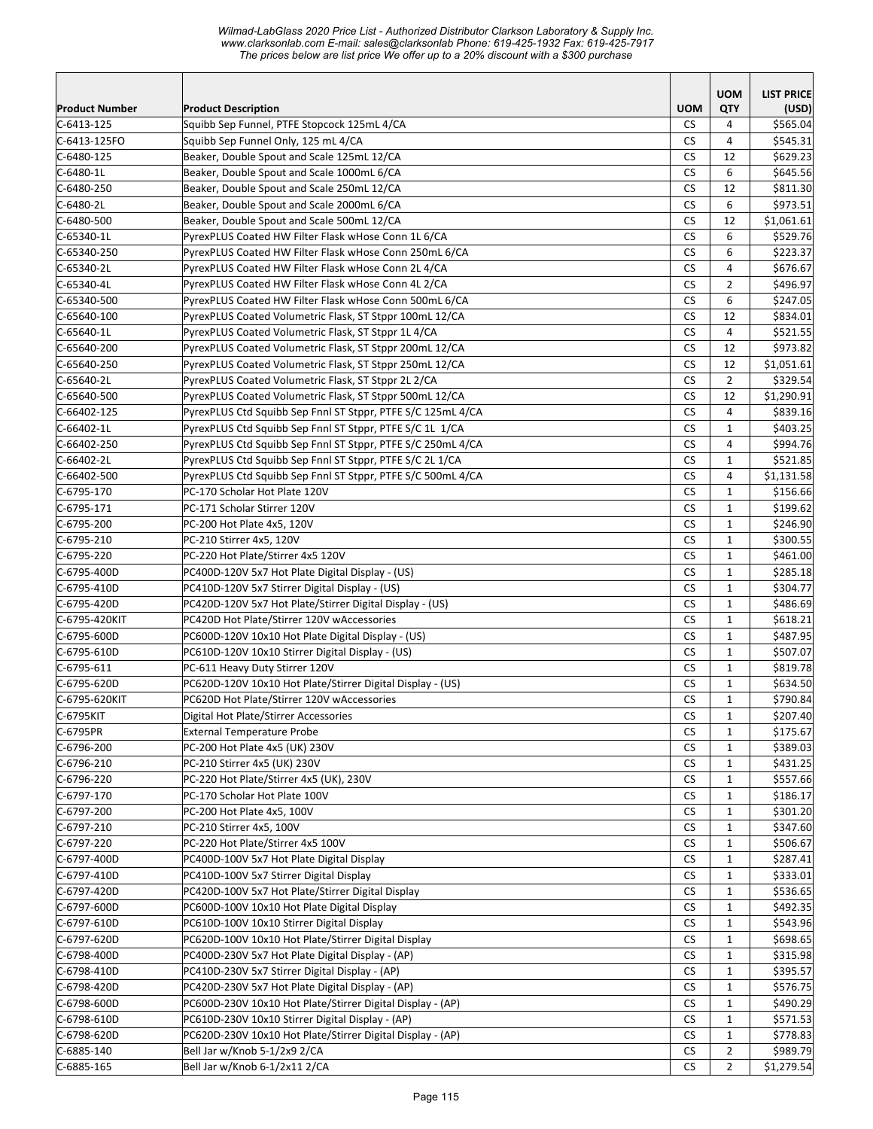*Wilmad-LabGlass 2020 Price List - Authorized Distributor Clarkson Laboratory & Supply Inc. www.clarksonlab.com E-mail: sales@clarksonlab Phone: 619-425-1932 Fax: 619-425-7917 The prices below are list price We offer up to a 20% discount with a \$300 purchase* 

|                       |                                                             |            | <b>UOM</b>     | <b>LIST PRICE</b> |
|-----------------------|-------------------------------------------------------------|------------|----------------|-------------------|
| <b>Product Number</b> | <b>Product Description</b>                                  | <b>UOM</b> | QTY            | (USD)             |
| $C - 6413 - 125$      | Squibb Sep Funnel, PTFE Stopcock 125mL 4/CA                 | <b>CS</b>  | 4              | \$565.04          |
| C-6413-125FO          | Squibb Sep Funnel Only, 125 mL 4/CA                         | <b>CS</b>  | 4              | \$545.31          |
| $C-6480-125$          | Beaker, Double Spout and Scale 125mL 12/CA                  | <b>CS</b>  | 12             | \$629.23          |
| $C-6480-1L$           | Beaker, Double Spout and Scale 1000mL 6/CA                  | CS         | 6              | \$645.56          |
| $C-6480-250$          | Beaker, Double Spout and Scale 250mL 12/CA                  | <b>CS</b>  | 12             | \$811.30          |
| $C-6480-2L$           | Beaker, Double Spout and Scale 2000mL 6/CA                  | <b>CS</b>  | 6              | \$973.51          |
| $C-6480-500$          | Beaker, Double Spout and Scale 500mL 12/CA                  | CS         | 12             | \$1,061.61        |
| C-65340-1L            | PyrexPLUS Coated HW Filter Flask wHose Conn 1L 6/CA         | <b>CS</b>  | 6              | \$529.76          |
| C-65340-250           | PyrexPLUS Coated HW Filter Flask wHose Conn 250mL 6/CA      | <b>CS</b>  | 6              | \$223.37          |
| C-65340-2L            | PyrexPLUS Coated HW Filter Flask wHose Conn 2L 4/CA         | <b>CS</b>  | 4              | \$676.67          |
| C-65340-4L            | PyrexPLUS Coated HW Filter Flask wHose Conn 4L 2/CA         | СS         | 2              | \$496.97          |
| C-65340-500           | PyrexPLUS Coated HW Filter Flask wHose Conn 500mL 6/CA      | <b>CS</b>  | 6              | \$247.05          |
| $C-65640-100$         | PyrexPLUS Coated Volumetric Flask, ST Stppr 100mL 12/CA     | CS         | 12             | \$834.01          |
| C-65640-1L            | PyrexPLUS Coated Volumetric Flask, ST Stppr 1L 4/CA         | <b>CS</b>  | 4              | \$521.55          |
| C-65640-200           | PyrexPLUS Coated Volumetric Flask, ST Stppr 200mL 12/CA     | <b>CS</b>  | 12             | \$973.82          |
| C-65640-250           | PyrexPLUS Coated Volumetric Flask, ST Stppr 250mL 12/CA     | <b>CS</b>  | 12             | \$1,051.61        |
| C-65640-2L            | PyrexPLUS Coated Volumetric Flask, ST Stppr 2L 2/CA         | <b>CS</b>  | $\overline{2}$ | \$329.54          |
| C-65640-500           | PyrexPLUS Coated Volumetric Flask, ST Stppr 500mL 12/CA     | <b>CS</b>  | 12             | \$1,290.91        |
| C-66402-125           | PyrexPLUS Ctd Squibb Sep Fnnl ST Stppr, PTFE S/C 125mL 4/CA | CS         | $\overline{4}$ | \$839.16          |
| C-66402-1L            | PyrexPLUS Ctd Squibb Sep Fnnl ST Stppr, PTFE S/C 1L 1/CA    | <b>CS</b>  | $\mathbf{1}$   | \$403.25          |
| C-66402-250           | PyrexPLUS Ctd Squibb Sep Fnnl ST Stppr, PTFE S/C 250mL 4/CA | <b>CS</b>  | $\overline{4}$ | \$994.76          |
| C-66402-2L            | PyrexPLUS Ctd Squibb Sep Fnnl ST Stppr, PTFE S/C 2L 1/CA    | <b>CS</b>  | $\mathbf{1}$   | \$521.85          |
| C-66402-500           | PyrexPLUS Ctd Squibb Sep Fnnl ST Stppr, PTFE S/C 500mL 4/CA | <b>CS</b>  | 4              | \$1,131.58        |
| C-6795-170            | PC-170 Scholar Hot Plate 120V                               | CS         | $\mathbf{1}$   | \$156.66          |
| $C-6795-171$          | PC-171 Scholar Stirrer 120V                                 | <b>CS</b>  | $\mathbf{1}$   | \$199.62          |
| C-6795-200            | PC-200 Hot Plate 4x5, 120V                                  | <b>CS</b>  | $\mathbf{1}$   | \$246.90          |
| $C-6795-210$          | PC-210 Stirrer 4x5, 120V                                    | <b>CS</b>  | $\mathbf{1}$   | \$300.55          |
| C-6795-220            | PC-220 Hot Plate/Stirrer 4x5 120V                           | CS         | $\mathbf{1}$   | \$461.00          |
| C-6795-400D           | PC400D-120V 5x7 Hot Plate Digital Display - (US)            | <b>CS</b>  | $\mathbf{1}$   | \$285.18          |
| $ C-6795-410D$        | PC410D-120V 5x7 Stirrer Digital Display - (US)              | <b>CS</b>  | $\mathbf{1}$   | \$304.77          |
| C-6795-420D           | PC420D-120V 5x7 Hot Plate/Stirrer Digital Display - (US)    | <b>CS</b>  | $\mathbf{1}$   | \$486.69          |
| C-6795-420KIT         | PC420D Hot Plate/Stirrer 120V wAccessories                  | <b>CS</b>  | $\mathbf{1}$   | \$618.21          |
| C-6795-600D           | PC600D-120V 10x10 Hot Plate Digital Display - (US)          | <b>CS</b>  | $\mathbf{1}$   | \$487.95          |
| C-6795-610D           | PC610D-120V 10x10 Stirrer Digital Display - (US)            | <b>CS</b>  | $\mathbf{1}$   | \$507.07          |
| $C-6795-611$          | PC-611 Heavy Duty Stirrer 120V                              | <b>CS</b>  | $\mathbf{1}$   | \$819.78          |
| C-6795-620D           | PC620D-120V 10x10 Hot Plate/Stirrer Digital Display - (US)  | <b>CS</b>  | $\mathbf{1}$   | \$634.50          |
| C-6795-620KIT         | PC620D Hot Plate/Stirrer 120V wAccessories                  | <b>CS</b>  | $\mathbf{1}$   | \$790.84          |
| C-6795KIT             | Digital Hot Plate/Stirrer Accessories                       | CS         | $\mathbf 1$    | \$207.40          |
| C-6795PR              | <b>External Temperature Probe</b>                           | <b>CS</b>  | 1              | \$175.67          |
| $C-6796-200$          | PC-200 Hot Plate 4x5 (UK) 230V                              | CS         | 1              | \$389.03          |
| C-6796-210            | PC-210 Stirrer 4x5 (UK) 230V                                | CS         | 1              | \$431.25          |
| C-6796-220            | PC-220 Hot Plate/Stirrer 4x5 (UK), 230V                     | CS         | 1              | \$557.66          |
| C-6797-170            | PC-170 Scholar Hot Plate 100V                               | СS         | $\mathbf{1}$   | \$186.17          |
| C-6797-200            | PC-200 Hot Plate 4x5, 100V                                  | CS         | $\mathbf{1}$   | \$301.20          |
| $C-6797-210$          | PC-210 Stirrer 4x5, 100V                                    | <b>CS</b>  | $\mathbf{1}$   | \$347.60          |
| $C-6797-220$          | PC-220 Hot Plate/Stirrer 4x5 100V                           | <b>CS</b>  | $\mathbf{1}$   | \$506.67          |
| C-6797-400D           | PC400D-100V 5x7 Hot Plate Digital Display                   | <b>CS</b>  | $\mathbf{1}$   | \$287.41          |
| $C-6797-410D$         | PC410D-100V 5x7 Stirrer Digital Display                     | CS         | $\mathbf{1}$   | \$333.01          |
| C-6797-420D           | PC420D-100V 5x7 Hot Plate/Stirrer Digital Display           | CS         | 1              | \$536.65          |
| C-6797-600D           | PC600D-100V 10x10 Hot Plate Digital Display                 | <b>CS</b>  | $\mathbf{1}$   | \$492.35          |
| C-6797-610D           | PC610D-100V 10x10 Stirrer Digital Display                   | <b>CS</b>  | $\mathbf{1}$   | \$543.96          |
| C-6797-620D           | PC620D-100V 10x10 Hot Plate/Stirrer Digital Display         | CS         | $\mathbf{1}$   | \$698.65          |
| $C-6798-400D$         | PC400D-230V 5x7 Hot Plate Digital Display - (AP)            | <b>CS</b>  | $\mathbf{1}$   | \$315.98          |
| $C-6798-410D$         | PC410D-230V 5x7 Stirrer Digital Display - (AP)              | <b>CS</b>  | $\mathbf{1}$   | \$395.57          |
| C-6798-420D           | PC420D-230V 5x7 Hot Plate Digital Display - (AP)            | <b>CS</b>  | $\mathbf{1}$   | \$576.75          |
| C-6798-600D           | PC600D-230V 10x10 Hot Plate/Stirrer Digital Display - (AP)  | CS         | 1              | \$490.29          |
| $C-6798-610D$         | PC610D-230V 10x10 Stirrer Digital Display - (AP)            | CS         | 1              | \$571.53          |
| C-6798-620D           | PC620D-230V 10x10 Hot Plate/Stirrer Digital Display - (AP)  | CS         | $\mathbf{1}$   | \$778.83          |
| $C-6885-140$          | Bell Jar w/Knob 5-1/2x9 2/CA                                | <b>CS</b>  | $\overline{2}$ | \$989.79          |
| $C-6885-165$          | Bell Jar w/Knob 6-1/2x11 2/CA                               | CS         | $\overline{2}$ | \$1,279.54        |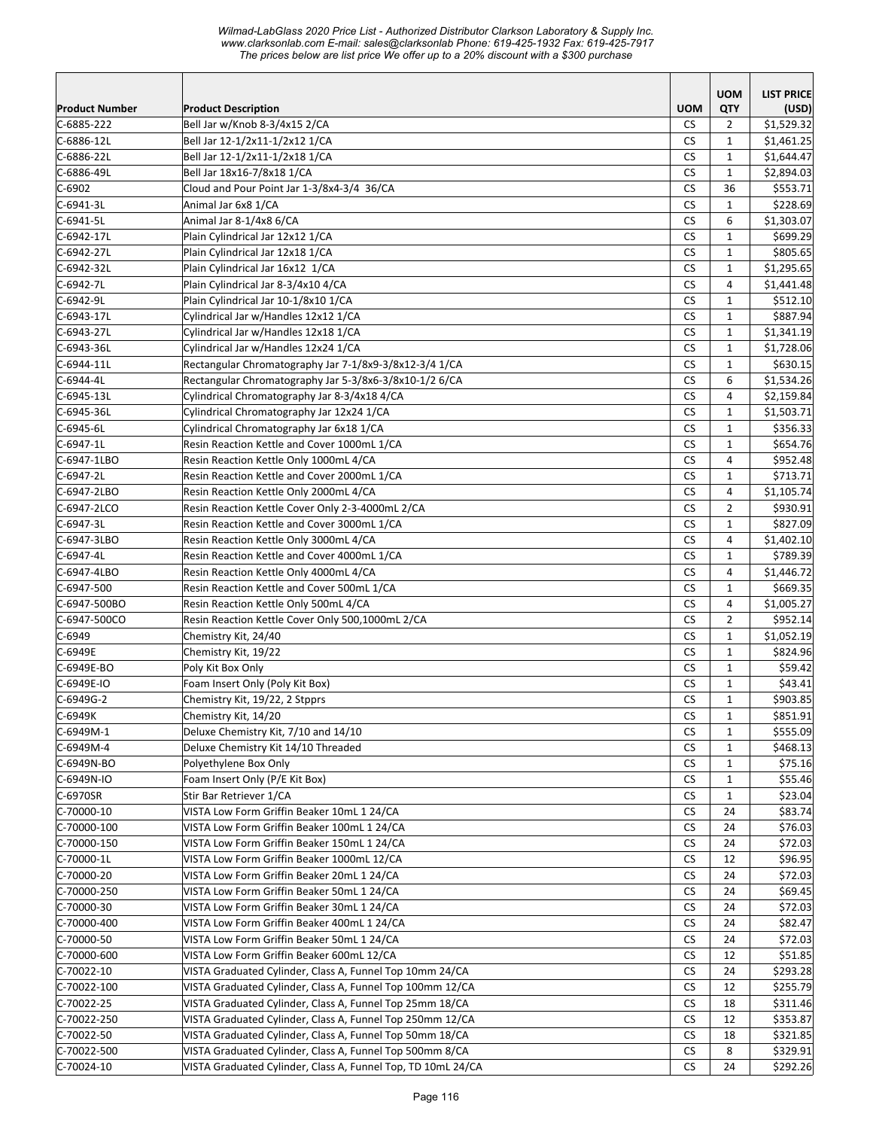*Wilmad-LabGlass 2020 Price List - Authorized Distributor Clarkson Laboratory & Supply Inc. www.clarksonlab.com E-mail: sales@clarksonlab Phone: 619-425-1932 Fax: 619-425-7917 The prices below are list price We offer up to a 20% discount with a \$300 purchase* 

|                           |                                                                                           |                 | <b>UOM</b>     | <b>LIST PRICE</b>  |
|---------------------------|-------------------------------------------------------------------------------------------|-----------------|----------------|--------------------|
| <b>Product Number</b>     | <b>Product Description</b>                                                                | <b>UOM</b>      | QTY            | (USD)              |
| $C-6885-222$              | Bell Jar w/Knob 8-3/4x15 2/CA                                                             | <b>CS</b>       | 2              | \$1,529.32         |
| C-6886-12L                | Bell Jar 12-1/2x11-1/2x12 1/CA                                                            | <b>CS</b>       | $\mathbf{1}$   | \$1,461.25         |
| C-6886-22L                | Bell Jar 12-1/2x11-1/2x18 1/CA                                                            | <b>CS</b>       | $\mathbf{1}$   | \$1,644.47         |
| C-6886-49L                | Bell Jar 18x16-7/8x18 1/CA                                                                | <b>CS</b>       | $\mathbf{1}$   | \$2,894.03         |
| $C-6902$                  | Cloud and Pour Point Jar 1-3/8x4-3/4 36/CA                                                | CS              | 36             | \$553.71           |
| $C-6941-3L$               | Animal Jar 6x8 1/CA                                                                       | <b>CS</b>       | $\mathbf{1}$   | \$228.69           |
| $C-6941-5L$               | Animal Jar 8-1/4x8 6/CA                                                                   | <b>CS</b>       | 6              | \$1,303.07         |
| C-6942-17L                | Plain Cylindrical Jar 12x12 1/CA                                                          | CS              | $\mathbf{1}$   | \$699.29           |
| C-6942-27L                | Plain Cylindrical Jar 12x18 1/CA                                                          | <b>CS</b>       | $\mathbf{1}$   | \$805.65           |
| C-6942-32L                | Plain Cylindrical Jar 16x12 1/CA                                                          | <b>CS</b>       | $\mathbf{1}$   | \$1,295.65         |
| C-6942-7L                 | Plain Cylindrical Jar 8-3/4x10 4/CA                                                       | <b>CS</b>       | 4              | \$1,441.48         |
| C-6942-9L                 | Plain Cylindrical Jar 10-1/8x10 1/CA                                                      | <b>CS</b>       | $\mathbf{1}$   | \$512.10           |
| C-6943-17L                | Cylindrical Jar w/Handles 12x12 1/CA                                                      | <b>CS</b>       | $\mathbf{1}$   | \$887.94           |
| C-6943-27L                | Cylindrical Jar w/Handles 12x18 1/CA                                                      | CS              | $\mathbf{1}$   | \$1,341.19         |
| C-6943-36L                | Cylindrical Jar w/Handles 12x24 1/CA                                                      | <b>CS</b>       | $\mathbf{1}$   | \$1,728.06         |
| $C-6944-11L$              | Rectangular Chromatography Jar 7-1/8x9-3/8x12-3/4 1/CA                                    | CS              | $\mathbf{1}$   | \$630.15           |
| C-6944-4L                 | Rectangular Chromatography Jar 5-3/8x6-3/8x10-1/2 6/CA                                    | <b>CS</b>       | 6              | \$1,534.26         |
| C-6945-13L                | Cylindrical Chromatography Jar 8-3/4x18 4/CA                                              | <b>CS</b>       | 4              | \$2,159.84         |
| C-6945-36L                | Cylindrical Chromatography Jar 12x24 1/CA                                                 | <b>CS</b>       | $\mathbf{1}$   | \$1,503.71         |
| $C-6945 - 6L$             | Cylindrical Chromatography Jar 6x18 1/CA                                                  | CS              | $\mathbf{1}$   | \$356.33           |
| C-6947-1L                 | Resin Reaction Kettle and Cover 1000mL 1/CA                                               | <b>CS</b>       | $\mathbf{1}$   | \$654.76           |
| C-6947-1LBO               | Resin Reaction Kettle Only 1000mL 4/CA                                                    | <b>CS</b>       | $\overline{4}$ | \$952.48           |
| C-6947-2L                 | Resin Reaction Kettle and Cover 2000mL 1/CA                                               | CS              | $\mathbf{1}$   | \$713.71           |
| C-6947-2LBO               | Resin Reaction Kettle Only 2000mL 4/CA                                                    | <b>CS</b>       | $\overline{4}$ | \$1,105.74         |
| C-6947-2LCO               | Resin Reaction Kettle Cover Only 2-3-4000mL 2/CA                                          | <b>CS</b>       | $\overline{2}$ | \$930.91           |
| C-6947-3L                 | Resin Reaction Kettle and Cover 3000mL 1/CA                                               | <b>CS</b>       | $\mathbf{1}$   | \$827.09           |
| C-6947-3LBO               | Resin Reaction Kettle Only 3000mL 4/CA                                                    | <b>CS</b>       | 4              | \$1,402.10         |
| C-6947-4L                 | Resin Reaction Kettle and Cover 4000mL 1/CA                                               | <b>CS</b>       | $\mathbf{1}$   | \$789.39           |
| C-6947-4LBO               | Resin Reaction Kettle Only 4000mL 4/CA                                                    | CS              | $\overline{4}$ | \$1,446.72         |
| C-6947-500                | Resin Reaction Kettle and Cover 500mL 1/CA                                                | <b>CS</b>       | $\mathbf{1}$   | \$669.35           |
| C-6947-500BO              | Resin Reaction Kettle Only 500mL 4/CA                                                     | CS              | 4              | \$1,005.27         |
| C-6947-500CO              | Resin Reaction Kettle Cover Only 500,1000mL 2/CA                                          | <b>CS</b>       | $\overline{2}$ | \$952.14           |
| $C-6949$                  | Chemistry Kit, 24/40                                                                      | <b>CS</b>       | $\mathbf{1}$   | \$1,052.19         |
| C-6949E                   | Chemistry Kit, 19/22                                                                      | <b>CS</b>       | $\mathbf{1}$   | \$824.96           |
| C-6949E-BO                | Poly Kit Box Only                                                                         | <b>CS</b>       | $\mathbf{1}$   | \$59.42            |
| C-6949E-IO                | Foam Insert Only (Poly Kit Box)                                                           | <b>CS</b>       | $\mathbf{1}$   | \$43.41            |
| $C-6949G-2$               | Chemistry Kit, 19/22, 2 Stpprs                                                            | CS              | $\mathbf{1}$   | \$903.85           |
| $C-6949K$                 | Chemistry Kit, 14/20                                                                      | ${\sf CS}$      | $\mathbf 1$    | \$851.91           |
| C-6949M-1                 | Deluxe Chemistry Kit, 7/10 and 14/10                                                      | <b>CS</b>       | 1              | \$555.09           |
| C-6949M-4                 | Deluxe Chemistry Kit 14/10 Threaded                                                       | <b>CS</b>       | $\mathbf{1}$   | \$468.13           |
| C-6949N-BO                | Polyethylene Box Only                                                                     | CS              | 1              | \$75.16            |
| C-6949N-IO                | Foam Insert Only (P/E Kit Box)                                                            | CS              | 1              | \$55.46            |
| C-6970SR                  | Stir Bar Retriever 1/CA                                                                   | CS              | $\mathbf{1}$   | \$23.04            |
| C-70000-10                | VISTA Low Form Griffin Beaker 10mL 1 24/CA                                                | CS              | 24             | \$83.74            |
| C-70000-100               | VISTA Low Form Griffin Beaker 100mL 1 24/CA                                               | CS<br><b>CS</b> | 24             | \$76.03            |
| C-70000-150<br>C-70000-1L | VISTA Low Form Griffin Beaker 150mL 1 24/CA<br>VISTA Low Form Griffin Beaker 1000mL 12/CA | <b>CS</b>       | 24             | \$72.03<br>\$96.95 |
| C-70000-20                | VISTA Low Form Griffin Beaker 20mL 1 24/CA                                                | <b>CS</b>       | 12             |                    |
|                           | VISTA Low Form Griffin Beaker 50mL 1 24/CA                                                |                 | 24             | \$72.03            |
| C-70000-250               | VISTA Low Form Griffin Beaker 30mL 1 24/CA                                                | CS              | 24             | \$69.45            |
| C-70000-30<br>C-70000-400 | VISTA Low Form Griffin Beaker 400mL 1 24/CA                                               | CS<br><b>CS</b> | 24<br>24       | \$72.03<br>\$82.47 |
| C-70000-50                | VISTA Low Form Griffin Beaker 50mL 1 24/CA                                                | <b>CS</b>       | 24             | \$72.03            |
| C-70000-600               | VISTA Low Form Griffin Beaker 600mL 12/CA                                                 | <b>CS</b>       | 12             | \$51.85            |
| $C-70022-10$              | VISTA Graduated Cylinder, Class A, Funnel Top 10mm 24/CA                                  | <b>CS</b>       | 24             | \$293.28           |
| $C-70022-100$             | VISTA Graduated Cylinder, Class A, Funnel Top 100mm 12/CA                                 | <b>CS</b>       | 12             | \$255.79           |
| $C-70022-25$              | VISTA Graduated Cylinder, Class A, Funnel Top 25mm 18/CA                                  | CS              | 18             | \$311.46           |
| C-70022-250               | VISTA Graduated Cylinder, Class A, Funnel Top 250mm 12/CA                                 | CS              | 12             | \$353.87           |
| C-70022-50                | VISTA Graduated Cylinder, Class A, Funnel Top 50mm 18/CA                                  | CS              | 18             | \$321.85           |
| C-70022-500               | VISTA Graduated Cylinder, Class A, Funnel Top 500mm 8/CA                                  | <b>CS</b>       | 8              | \$329.91           |
| $C-70024-10$              | VISTA Graduated Cylinder, Class A, Funnel Top, TD 10mL 24/CA                              | CS              | 24             | \$292.26           |
|                           |                                                                                           |                 |                |                    |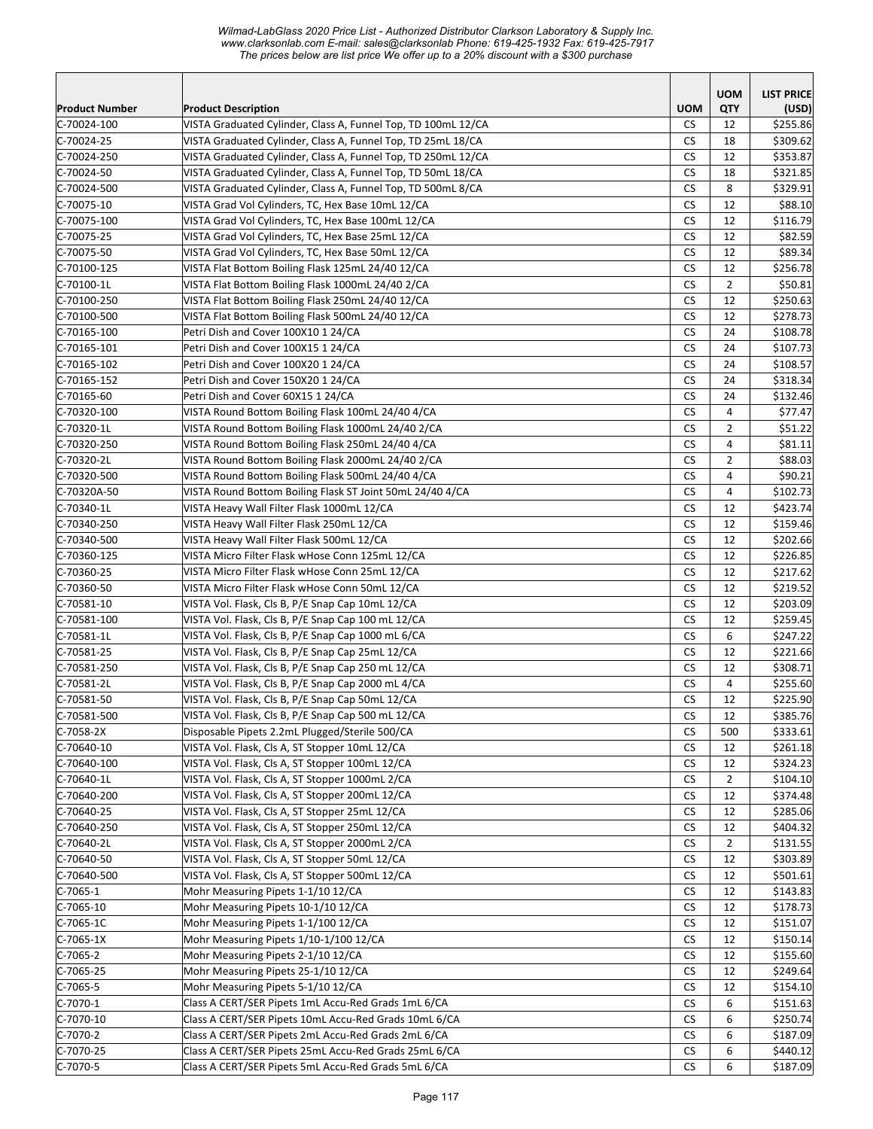*Wilmad-LabGlass 2020 Price List - Authorized Distributor Clarkson Laboratory & Supply Inc. www.clarksonlab.com E-mail: sales@clarksonlab Phone: 619-425-1932 Fax: 619-425-7917 The prices below are list price We offer up to a 20% discount with a \$300 purchase* 

|                           |                                                                                                  |                 | <b>UOM</b>           | <b>LIST PRICE</b>    |
|---------------------------|--------------------------------------------------------------------------------------------------|-----------------|----------------------|----------------------|
| <b>Product Number</b>     | <b>Product Description</b>                                                                       | <b>UOM</b>      | QTY                  | (USD)                |
| C-70024-100               | VISTA Graduated Cylinder, Class A, Funnel Top, TD 100mL 12/CA                                    | CS.             | 12                   | \$255.86             |
| $C-70024-25$              | VISTA Graduated Cylinder, Class A, Funnel Top, TD 25mL 18/CA                                     | <b>CS</b>       | 18                   | \$309.62             |
| C-70024-250               | VISTA Graduated Cylinder, Class A, Funnel Top, TD 250mL 12/CA                                    | <b>CS</b>       | 12                   | \$353.87             |
| C-70024-50                | VISTA Graduated Cylinder, Class A, Funnel Top, TD 50mL 18/CA                                     | <b>CS</b>       | 18                   | \$321.85             |
| C-70024-500               | VISTA Graduated Cylinder, Class A, Funnel Top, TD 500mL 8/CA                                     | <b>CS</b>       | 8                    | \$329.91             |
| C-70075-10                | VISTA Grad Vol Cylinders, TC, Hex Base 10mL 12/CA                                                | <b>CS</b>       | 12                   | \$88.10              |
| C-70075-100               | VISTA Grad Vol Cylinders, TC, Hex Base 100mL 12/CA                                               | <b>CS</b>       | 12                   | \$116.79             |
| C-70075-25                | VISTA Grad Vol Cylinders, TC, Hex Base 25mL 12/CA                                                | <b>CS</b>       | 12                   | \$82.59              |
| C-70075-50                | VISTA Grad Vol Cylinders, TC, Hex Base 50mL 12/CA                                                | <b>CS</b>       | 12                   | \$89.34              |
| $C-70100-125$             | VISTA Flat Bottom Boiling Flask 125mL 24/40 12/CA                                                | CS              | 12                   | \$256.78             |
| C-70100-1L                | VISTA Flat Bottom Boiling Flask 1000mL 24/40 2/CA                                                | <b>CS</b>       | $\overline{2}$       | \$50.81              |
| C-70100-250               | VISTA Flat Bottom Boiling Flask 250mL 24/40 12/CA                                                | <b>CS</b>       | 12                   | \$250.63             |
| C-70100-500               | VISTA Flat Bottom Boiling Flask 500mL 24/40 12/CA                                                | <b>CS</b>       | 12                   | \$278.73             |
| C-70165-100               | Petri Dish and Cover 100X10 1 24/CA                                                              | <b>CS</b>       | 24                   | \$108.78             |
| $C-70165-101$             | Petri Dish and Cover 100X15 1 24/CA                                                              | <b>CS</b>       | 24                   | \$107.73             |
| $C-70165-102$             | Petri Dish and Cover 100X20 1 24/CA                                                              | <b>CS</b>       | 24                   | \$108.57             |
| $C-70165-152$             | Petri Dish and Cover 150X20 1 24/CA                                                              | <b>CS</b>       | 24                   | \$318.34             |
| $C-70165-60$              | Petri Dish and Cover 60X15 1 24/CA                                                               | <b>CS</b>       | 24                   | \$132.46             |
| C-70320-100               | VISTA Round Bottom Boiling Flask 100mL 24/40 4/CA                                                | CS.             | 4                    | \$77.47              |
| C-70320-1L                | VISTA Round Bottom Boiling Flask 1000mL 24/40 2/CA                                               | <b>CS</b>       | $\overline{2}$       | \$51.22              |
| C-70320-250               | VISTA Round Bottom Boiling Flask 250mL 24/40 4/CA                                                | <b>CS</b>       | $\overline{4}$       | \$81.11              |
| C-70320-2L                | VISTA Round Bottom Boiling Flask 2000mL 24/40 2/CA                                               | <b>CS</b>       | $\overline{2}$       | \$88.03              |
| C-70320-500               | VISTA Round Bottom Boiling Flask 500mL 24/40 4/CA                                                | <b>CS</b>       | $\overline{4}$       | \$90.21              |
| C-70320A-50               | VISTA Round Bottom Boiling Flask ST Joint 50mL 24/40 4/CA                                        | <b>CS</b>       | 4                    | \$102.73             |
| C-70340-1L                | VISTA Heavy Wall Filter Flask 1000mL 12/CA                                                       | <b>CS</b>       | 12                   | \$423.74             |
| C-70340-250               | VISTA Heavy Wall Filter Flask 250mL 12/CA                                                        | <b>CS</b>       | 12                   | \$159.46             |
| C-70340-500               | VISTA Heavy Wall Filter Flask 500mL 12/CA                                                        | <b>CS</b>       | 12                   | \$202.66             |
| C-70360-125               | VISTA Micro Filter Flask wHose Conn 125mL 12/CA                                                  | <b>CS</b>       | 12                   | \$226.85             |
| C-70360-25                | VISTA Micro Filter Flask wHose Conn 25mL 12/CA                                                   | <b>CS</b>       | 12                   | \$217.62             |
| C-70360-50                | VISTA Micro Filter Flask wHose Conn 50mL 12/CA                                                   | <b>CS</b>       | 12                   | \$219.52             |
| $C-70581-10$              | VISTA Vol. Flask, Cls B, P/E Snap Cap 10mL 12/CA                                                 | <b>CS</b>       | 12                   | \$203.09             |
| $C-70581-100$             | VISTA Vol. Flask, Cls B, P/E Snap Cap 100 mL 12/CA                                               | <b>CS</b>       | 12                   | \$259.45             |
| $C-70581-1L$              | VISTA Vol. Flask, Cls B, P/E Snap Cap 1000 mL 6/CA                                               | <b>CS</b>       | 6                    | \$247.22             |
| C-70581-25                | VISTA Vol. Flask, Cls B, P/E Snap Cap 25mL 12/CA                                                 | CS.             | 12                   | \$221.66             |
| C-70581-250               | VISTA Vol. Flask, Cls B, P/E Snap Cap 250 mL 12/CA                                               | CS.             | 12                   | \$308.71             |
| C-70581-2L                | VISTA Vol. Flask, Cls B, P/E Snap Cap 2000 mL 4/CA                                               | <b>CS</b>       | $\overline{4}$       | \$255.60             |
| C-70581-50                | VISTA Vol. Flask, Cls B, P/E Snap Cap 50mL 12/CA                                                 | <b>CS</b>       | 12                   | \$225.90             |
| $C-70581-500$             | VISTA Vol. Flask, Cls B, P/E Snap Cap 500 mL 12/CA                                               | CS              | 12                   | \$385.76             |
| C-7058-2X<br>$C-70640-10$ | Disposable Pipets 2.2mL Plugged/Sterile 500/CA<br>VISTA Vol. Flask, Cls A, ST Stopper 10mL 12/CA | <b>CS</b>       | 500                  | \$333.61             |
|                           | VISTA Vol. Flask, Cls A, ST Stopper 100mL 12/CA                                                  | CS.             | 12                   | \$261.18             |
| C-70640-100               | VISTA Vol. Flask, Cls A, ST Stopper 1000mL 2/CA                                                  | СS              | 12                   | \$324.23             |
| C-70640-1L<br>C-70640-200 | VISTA Vol. Flask, Cls A, ST Stopper 200mL 12/CA                                                  | CS<br><b>CS</b> | $\overline{2}$<br>12 | \$104.10<br>\$374.48 |
| $C-70640-25$              | VISTA Vol. Flask, Cls A, ST Stopper 25mL 12/CA                                                   | <b>CS</b>       | 12                   | \$285.06             |
| C-70640-250               | VISTA Vol. Flask, Cls A, ST Stopper 250mL 12/CA                                                  | <b>CS</b>       | 12                   | \$404.32             |
| C-70640-2L                | VISTA Vol. Flask, Cls A, ST Stopper 2000mL 2/CA                                                  | <b>CS</b>       | $\overline{2}$       | \$131.55             |
| C-70640-50                | VISTA Vol. Flask, Cls A, ST Stopper 50mL 12/CA                                                   | <b>CS</b>       | 12                   | \$303.89             |
| C-70640-500               | VISTA Vol. Flask, Cls A, ST Stopper 500mL 12/CA                                                  | CS              | 12                   | \$501.61             |
| C-7065-1                  | Mohr Measuring Pipets 1-1/10 12/CA                                                               | CS              | 12                   | \$143.83             |
| $C-7065-10$               | Mohr Measuring Pipets 10-1/10 12/CA                                                              | CS              | 12                   | \$178.73             |
| C-7065-1C                 | Mohr Measuring Pipets 1-1/100 12/CA                                                              | CS              | 12                   | \$151.07             |
| $C-7065-1X$               | Mohr Measuring Pipets 1/10-1/100 12/CA                                                           | СS              | 12                   | \$150.14             |
| $C-7065-2$                | Mohr Measuring Pipets 2-1/10 12/CA                                                               | <b>CS</b>       | 12                   | \$155.60             |
| $C-7065-25$               | Mohr Measuring Pipets 25-1/10 12/CA                                                              | CS              | 12                   | \$249.64             |
| $C-7065-5$                | Mohr Measuring Pipets 5-1/10 12/CA                                                               | CS              | 12                   | \$154.10             |
| $C-7070-1$                | Class A CERT/SER Pipets 1mL Accu-Red Grads 1mL 6/CA                                              | CS              | 6                    | \$151.63             |
| C-7070-10                 | Class A CERT/SER Pipets 10mL Accu-Red Grads 10mL 6/CA                                            | CS              | 6                    | \$250.74             |
| $C-7070-2$                | Class A CERT/SER Pipets 2mL Accu-Red Grads 2mL 6/CA                                              | <b>CS</b>       | 6                    | \$187.09             |
| $C-7070-25$               | Class A CERT/SER Pipets 25mL Accu-Red Grads 25mL 6/CA                                            | <b>CS</b>       | 6                    | \$440.12             |
| C-7070-5                  | Class A CERT/SER Pipets 5mL Accu-Red Grads 5mL 6/CA                                              | <b>CS</b>       | 6                    | \$187.09             |
|                           |                                                                                                  |                 |                      |                      |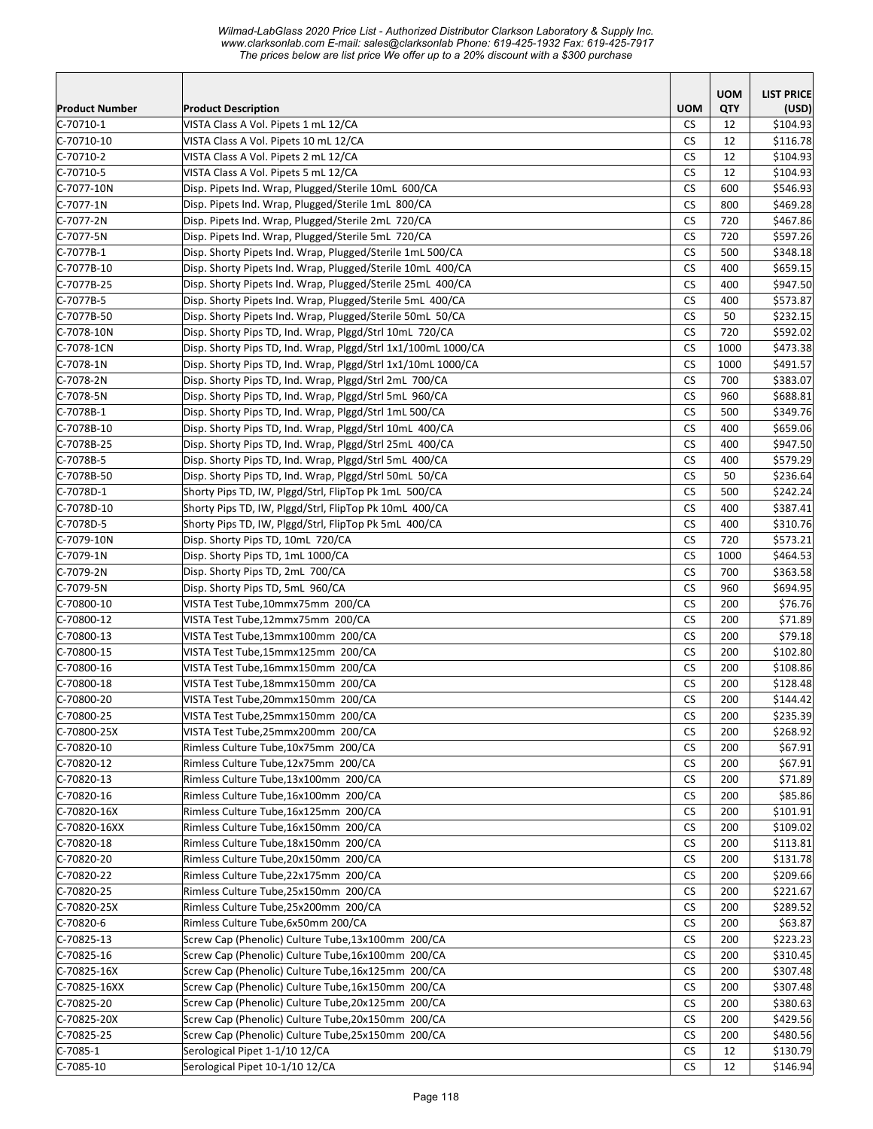*Wilmad-LabGlass 2020 Price List - Authorized Distributor Clarkson Laboratory & Supply Inc. www.clarksonlab.com E-mail: sales@clarksonlab Phone: 619-425-1932 Fax: 619-425-7917 The prices below are list price We offer up to a 20% discount with a \$300 purchase* 

| <b>Product Number</b><br><b>UOM</b><br><b>QTY</b><br><b>Product Description</b><br>(USD)<br>VISTA Class A Vol. Pipets 1 mL 12/CA<br>\$104.93<br><b>CS</b><br>12<br>VISTA Class A Vol. Pipets 10 mL 12/CA<br>CS<br>C-70710-10<br>12<br>\$116.78<br>VISTA Class A Vol. Pipets 2 mL 12/CA<br><b>CS</b><br>12<br>\$104.93<br>CS<br>VISTA Class A Vol. Pipets 5 mL 12/CA<br>12<br>\$104.93<br><b>CS</b><br>600<br>\$546.93<br>Disp. Pipets Ind. Wrap, Plugged/Sterile 10mL 600/CA<br><b>CS</b><br>800<br>\$469.28<br>Disp. Pipets Ind. Wrap, Plugged/Sterile 1mL 800/CA<br><b>CS</b><br>\$467.86<br>Disp. Pipets Ind. Wrap, Plugged/Sterile 2mL 720/CA<br>720<br>Disp. Pipets Ind. Wrap, Plugged/Sterile 5mL 720/CA<br><b>CS</b><br>\$597.26<br>720<br><b>CS</b><br>Disp. Shorty Pipets Ind. Wrap, Plugged/Sterile 1mL 500/CA<br>\$348.18<br>500<br>Disp. Shorty Pipets Ind. Wrap, Plugged/Sterile 10mL 400/CA<br><b>CS</b><br>400<br>\$659.15<br>Disp. Shorty Pipets Ind. Wrap, Plugged/Sterile 25mL 400/CA<br>СS<br>400<br>\$947.50<br><b>CS</b><br>Disp. Shorty Pipets Ind. Wrap, Plugged/Sterile 5mL 400/CA<br>400<br>\$573.87<br>CS<br>50<br>Disp. Shorty Pipets Ind. Wrap, Plugged/Sterile 50mL 50/CA<br>\$232.15<br><b>CS</b><br>Disp. Shorty Pips TD, Ind. Wrap, Plggd/Strl 10mL 720/CA<br>720<br>\$592.02<br>C-7078-1CN<br><b>CS</b><br>Disp. Shorty Pips TD, Ind. Wrap, Plggd/Strl 1x1/100mL 1000/CA<br>1000<br>\$473.38<br>Disp. Shorty Pips TD, Ind. Wrap, Plggd/Strl 1x1/10mL 1000/CA<br><b>CS</b><br>\$491.57<br>1000<br>Disp. Shorty Pips TD, Ind. Wrap, Plggd/Strl 2mL 700/CA<br><b>CS</b><br>700<br>\$383.07<br>Disp. Shorty Pips TD, Ind. Wrap, Plggd/Strl 5mL 960/CA<br><b>CS</b><br>960<br>\$688.81<br>CS<br>Disp. Shorty Pips TD, Ind. Wrap, Plggd/Strl 1mL 500/CA<br>500<br>\$349.76<br><b>CS</b><br>\$659.06<br>Disp. Shorty Pips TD, Ind. Wrap, Plggd/Strl 10mL 400/CA<br>400<br><b>CS</b><br>400<br>Disp. Shorty Pips TD, Ind. Wrap, Plggd/Strl 25mL 400/CA<br>\$947.50<br>CS<br>\$579.29<br>Disp. Shorty Pips TD, Ind. Wrap, Plggd/Strl 5mL 400/CA<br>400<br>C-7078B-50<br><b>CS</b><br>Disp. Shorty Pips TD, Ind. Wrap, Plggd/Strl 50mL 50/CA<br>50<br>\$236.64<br>Shorty Pips TD, IW, Plggd/Strl, FlipTop Pk 1mL 500/CA<br><b>CS</b><br>\$242.24<br>C-7078D-1<br>500<br>Shorty Pips TD, IW, Plggd/Strl, FlipTop Pk 10mL 400/CA<br><b>CS</b><br>400<br>C-7078D-10<br>\$387.41<br><b>CS</b><br>C-7078D-5<br>Shorty Pips TD, IW, Plggd/Strl, FlipTop Pk 5mL 400/CA<br>400<br>\$310.76<br>CS<br>Disp. Shorty Pips TD, 10mL 720/CA<br>720<br>C-7079-10N<br>\$573.21<br>CS<br>C-7079-1N<br>Disp. Shorty Pips TD, 1mL 1000/CA<br>1000<br>\$464.53<br>C-7079-2N<br>Disp. Shorty Pips TD, 2mL 700/CA<br>СS<br>700<br>\$363.58<br><b>CS</b><br>C-7079-5N<br>Disp. Shorty Pips TD, 5mL 960/CA<br>\$694.95<br>960<br><b>CS</b><br>\$76.76<br>$C-70800-10$<br>VISTA Test Tube,10mmx75mm 200/CA<br>200<br><b>CS</b><br>$C-70800-12$<br>VISTA Test Tube,12mmx75mm 200/CA<br>200<br>\$71.89<br><b>CS</b><br>\$79.18<br>$C-70800-13$<br>VISTA Test Tube,13mmx100mm 200/CA<br>200<br><b>CS</b><br>$C-70800-15$<br>VISTA Test Tube,15mmx125mm 200/CA<br>200<br>\$102.80<br><b>CS</b><br>200<br>\$108.86<br>$C-70800-16$<br>VISTA Test Tube,16mmx150mm 200/CA<br><b>CS</b><br>200<br>\$128.48<br>$C-70800-18$<br>VISTA Test Tube, 18mmx150mm 200/CA<br>C-70800-20<br><b>CS</b><br>\$144.42<br>VISTA Test Tube, 20mmx150mm 200/CA<br>200<br>C-70800-25<br>CS<br>\$235.39<br>200<br>VISTA Test Tube, 25mmx150mm 200/CA<br>C-70800-25X<br>VISTA Test Tube,25mmx200mm 200/CA<br><b>CS</b><br>200<br>\$268.92<br>$C-70820-10$<br>Rimless Culture Tube, 10x75mm 200/CA<br>CS<br>200<br>\$67.91<br><b>CS</b><br>\$67.91<br>$C-70820-12$<br>Rimless Culture Tube,12x75mm 200/CA<br>200<br><b>CS</b><br>$C-70820-13$<br>Rimless Culture Tube,13x100mm 200/CA<br>200<br>\$71.89<br>\$85.86<br>$C-70820-16$<br>Rimless Culture Tube, 16x100mm 200/CA<br>CS<br>200<br><b>CS</b><br>\$101.91<br>C-70820-16X<br>Rimless Culture Tube, 16x125mm 200/CA<br>200<br><b>CS</b><br>\$109.02<br>C-70820-16XX<br>Rimless Culture Tube, 16x150mm 200/CA<br>200<br>$C-70820-18$<br>Rimless Culture Tube, 18x150mm 200/CA<br><b>CS</b><br>\$113.81<br>200<br>$C-70820-20$<br><b>CS</b><br>\$131.78<br>Rimless Culture Tube, 20x150mm 200/CA<br>200<br>C-70820-22<br>Rimless Culture Tube, 22x175mm 200/CA<br>CS<br>200<br>\$209.66<br><b>CS</b><br>$C-70820-25$<br>Rimless Culture Tube,25x150mm 200/CA<br>200<br>\$221.67<br>Rimless Culture Tube, 25x200mm 200/CA<br><b>CS</b><br>\$289.52<br>C-70820-25X<br>200<br><b>CS</b><br>200<br>\$63.87<br>$C-70820-6$<br>Rimless Culture Tube, 6x50mm 200/CA<br><b>CS</b><br>\$223.23<br>$C-70825-13$<br>Screw Cap (Phenolic) Culture Tube,13x100mm 200/CA<br>200<br>Screw Cap (Phenolic) Culture Tube,16x100mm 200/CA<br><b>CS</b><br>\$310.45<br>200<br>Screw Cap (Phenolic) Culture Tube,16x125mm 200/CA<br><b>CS</b><br>\$307.48<br>200<br>Screw Cap (Phenolic) Culture Tube,16x150mm 200/CA<br><b>CS</b><br>200<br>\$307.48<br>Screw Cap (Phenolic) Culture Tube,20x125mm 200/CA<br>CS<br>200<br>\$380.63<br>Screw Cap (Phenolic) Culture Tube, 20x150mm 200/CA<br><b>CS</b><br>\$429.56<br>200<br>Screw Cap (Phenolic) Culture Tube, 25x150mm 200/CA<br><b>CS</b><br>\$480.56<br>200<br>Serological Pipet 1-1/10 12/CA<br><b>CS</b><br>\$130.79<br>12<br>Serological Pipet 10-1/10 12/CA<br>\$146.94<br>CS<br>12 |               |  | <b>UOM</b> | <b>LIST PRICE</b> |
|---------------------------------------------------------------------------------------------------------------------------------------------------------------------------------------------------------------------------------------------------------------------------------------------------------------------------------------------------------------------------------------------------------------------------------------------------------------------------------------------------------------------------------------------------------------------------------------------------------------------------------------------------------------------------------------------------------------------------------------------------------------------------------------------------------------------------------------------------------------------------------------------------------------------------------------------------------------------------------------------------------------------------------------------------------------------------------------------------------------------------------------------------------------------------------------------------------------------------------------------------------------------------------------------------------------------------------------------------------------------------------------------------------------------------------------------------------------------------------------------------------------------------------------------------------------------------------------------------------------------------------------------------------------------------------------------------------------------------------------------------------------------------------------------------------------------------------------------------------------------------------------------------------------------------------------------------------------------------------------------------------------------------------------------------------------------------------------------------------------------------------------------------------------------------------------------------------------------------------------------------------------------------------------------------------------------------------------------------------------------------------------------------------------------------------------------------------------------------------------------------------------------------------------------------------------------------------------------------------------------------------------------------------------------------------------------------------------------------------------------------------------------------------------------------------------------------------------------------------------------------------------------------------------------------------------------------------------------------------------------------------------------------------------------------------------------------------------------------------------------------------------------------------------------------------------------------------------------------------------------------------------------------------------------------------------------------------------------------------------------------------------------------------------------------------------------------------------------------------------------------------------------------------------------------------------------------------------------------------------------------------------------------------------------------------------------------------------------------------------------------------------------------------------------------------------------------------------------------------------------------------------------------------------------------------------------------------------------------------------------------------------------------------------------------------------------------------------------------------------------------------------------------------------------------------------------------------------------------------------------------------------------------------------------------------------------------------------------------------------------------------------------------------------------------------------------------------------------------------------------------------------------------------------------------------------------------------------------------------------------------------------------------------------------------------------------------------------------------------------------------------------------------------------------------------------------------------------------------------------------------------------------------------------------------------------------------------------------------------------------------------------------------------------------------------------------------------------------------------------------------------------------------------------------------------------------------------------------------------------------------------------------------------------------------------------------------------------------------------------------------------------------------------------------------------------------|---------------|--|------------|-------------------|
|                                                                                                                                                                                                                                                                                                                                                                                                                                                                                                                                                                                                                                                                                                                                                                                                                                                                                                                                                                                                                                                                                                                                                                                                                                                                                                                                                                                                                                                                                                                                                                                                                                                                                                                                                                                                                                                                                                                                                                                                                                                                                                                                                                                                                                                                                                                                                                                                                                                                                                                                                                                                                                                                                                                                                                                                                                                                                                                                                                                                                                                                                                                                                                                                                                                                                                                                                                                                                                                                                                                                                                                                                                                                                                                                                                                                                                                                                                                                                                                                                                                                                                                                                                                                                                                                                                                                                                                                                                                                                                                                                                                                                                                                                                                                                                                                                                                                                                                                                                                                                                                                                                                                                                                                                                                                                                                                                                                                                                             |               |  |            |                   |
|                                                                                                                                                                                                                                                                                                                                                                                                                                                                                                                                                                                                                                                                                                                                                                                                                                                                                                                                                                                                                                                                                                                                                                                                                                                                                                                                                                                                                                                                                                                                                                                                                                                                                                                                                                                                                                                                                                                                                                                                                                                                                                                                                                                                                                                                                                                                                                                                                                                                                                                                                                                                                                                                                                                                                                                                                                                                                                                                                                                                                                                                                                                                                                                                                                                                                                                                                                                                                                                                                                                                                                                                                                                                                                                                                                                                                                                                                                                                                                                                                                                                                                                                                                                                                                                                                                                                                                                                                                                                                                                                                                                                                                                                                                                                                                                                                                                                                                                                                                                                                                                                                                                                                                                                                                                                                                                                                                                                                                             | $C-70710-1$   |  |            |                   |
|                                                                                                                                                                                                                                                                                                                                                                                                                                                                                                                                                                                                                                                                                                                                                                                                                                                                                                                                                                                                                                                                                                                                                                                                                                                                                                                                                                                                                                                                                                                                                                                                                                                                                                                                                                                                                                                                                                                                                                                                                                                                                                                                                                                                                                                                                                                                                                                                                                                                                                                                                                                                                                                                                                                                                                                                                                                                                                                                                                                                                                                                                                                                                                                                                                                                                                                                                                                                                                                                                                                                                                                                                                                                                                                                                                                                                                                                                                                                                                                                                                                                                                                                                                                                                                                                                                                                                                                                                                                                                                                                                                                                                                                                                                                                                                                                                                                                                                                                                                                                                                                                                                                                                                                                                                                                                                                                                                                                                                             |               |  |            |                   |
|                                                                                                                                                                                                                                                                                                                                                                                                                                                                                                                                                                                                                                                                                                                                                                                                                                                                                                                                                                                                                                                                                                                                                                                                                                                                                                                                                                                                                                                                                                                                                                                                                                                                                                                                                                                                                                                                                                                                                                                                                                                                                                                                                                                                                                                                                                                                                                                                                                                                                                                                                                                                                                                                                                                                                                                                                                                                                                                                                                                                                                                                                                                                                                                                                                                                                                                                                                                                                                                                                                                                                                                                                                                                                                                                                                                                                                                                                                                                                                                                                                                                                                                                                                                                                                                                                                                                                                                                                                                                                                                                                                                                                                                                                                                                                                                                                                                                                                                                                                                                                                                                                                                                                                                                                                                                                                                                                                                                                                             | $C-70710-2$   |  |            |                   |
|                                                                                                                                                                                                                                                                                                                                                                                                                                                                                                                                                                                                                                                                                                                                                                                                                                                                                                                                                                                                                                                                                                                                                                                                                                                                                                                                                                                                                                                                                                                                                                                                                                                                                                                                                                                                                                                                                                                                                                                                                                                                                                                                                                                                                                                                                                                                                                                                                                                                                                                                                                                                                                                                                                                                                                                                                                                                                                                                                                                                                                                                                                                                                                                                                                                                                                                                                                                                                                                                                                                                                                                                                                                                                                                                                                                                                                                                                                                                                                                                                                                                                                                                                                                                                                                                                                                                                                                                                                                                                                                                                                                                                                                                                                                                                                                                                                                                                                                                                                                                                                                                                                                                                                                                                                                                                                                                                                                                                                             | C-70710-5     |  |            |                   |
|                                                                                                                                                                                                                                                                                                                                                                                                                                                                                                                                                                                                                                                                                                                                                                                                                                                                                                                                                                                                                                                                                                                                                                                                                                                                                                                                                                                                                                                                                                                                                                                                                                                                                                                                                                                                                                                                                                                                                                                                                                                                                                                                                                                                                                                                                                                                                                                                                                                                                                                                                                                                                                                                                                                                                                                                                                                                                                                                                                                                                                                                                                                                                                                                                                                                                                                                                                                                                                                                                                                                                                                                                                                                                                                                                                                                                                                                                                                                                                                                                                                                                                                                                                                                                                                                                                                                                                                                                                                                                                                                                                                                                                                                                                                                                                                                                                                                                                                                                                                                                                                                                                                                                                                                                                                                                                                                                                                                                                             | C-7077-10N    |  |            |                   |
|                                                                                                                                                                                                                                                                                                                                                                                                                                                                                                                                                                                                                                                                                                                                                                                                                                                                                                                                                                                                                                                                                                                                                                                                                                                                                                                                                                                                                                                                                                                                                                                                                                                                                                                                                                                                                                                                                                                                                                                                                                                                                                                                                                                                                                                                                                                                                                                                                                                                                                                                                                                                                                                                                                                                                                                                                                                                                                                                                                                                                                                                                                                                                                                                                                                                                                                                                                                                                                                                                                                                                                                                                                                                                                                                                                                                                                                                                                                                                                                                                                                                                                                                                                                                                                                                                                                                                                                                                                                                                                                                                                                                                                                                                                                                                                                                                                                                                                                                                                                                                                                                                                                                                                                                                                                                                                                                                                                                                                             | C-7077-1N     |  |            |                   |
|                                                                                                                                                                                                                                                                                                                                                                                                                                                                                                                                                                                                                                                                                                                                                                                                                                                                                                                                                                                                                                                                                                                                                                                                                                                                                                                                                                                                                                                                                                                                                                                                                                                                                                                                                                                                                                                                                                                                                                                                                                                                                                                                                                                                                                                                                                                                                                                                                                                                                                                                                                                                                                                                                                                                                                                                                                                                                                                                                                                                                                                                                                                                                                                                                                                                                                                                                                                                                                                                                                                                                                                                                                                                                                                                                                                                                                                                                                                                                                                                                                                                                                                                                                                                                                                                                                                                                                                                                                                                                                                                                                                                                                                                                                                                                                                                                                                                                                                                                                                                                                                                                                                                                                                                                                                                                                                                                                                                                                             | C-7077-2N     |  |            |                   |
|                                                                                                                                                                                                                                                                                                                                                                                                                                                                                                                                                                                                                                                                                                                                                                                                                                                                                                                                                                                                                                                                                                                                                                                                                                                                                                                                                                                                                                                                                                                                                                                                                                                                                                                                                                                                                                                                                                                                                                                                                                                                                                                                                                                                                                                                                                                                                                                                                                                                                                                                                                                                                                                                                                                                                                                                                                                                                                                                                                                                                                                                                                                                                                                                                                                                                                                                                                                                                                                                                                                                                                                                                                                                                                                                                                                                                                                                                                                                                                                                                                                                                                                                                                                                                                                                                                                                                                                                                                                                                                                                                                                                                                                                                                                                                                                                                                                                                                                                                                                                                                                                                                                                                                                                                                                                                                                                                                                                                                             | $C-7077-5N$   |  |            |                   |
|                                                                                                                                                                                                                                                                                                                                                                                                                                                                                                                                                                                                                                                                                                                                                                                                                                                                                                                                                                                                                                                                                                                                                                                                                                                                                                                                                                                                                                                                                                                                                                                                                                                                                                                                                                                                                                                                                                                                                                                                                                                                                                                                                                                                                                                                                                                                                                                                                                                                                                                                                                                                                                                                                                                                                                                                                                                                                                                                                                                                                                                                                                                                                                                                                                                                                                                                                                                                                                                                                                                                                                                                                                                                                                                                                                                                                                                                                                                                                                                                                                                                                                                                                                                                                                                                                                                                                                                                                                                                                                                                                                                                                                                                                                                                                                                                                                                                                                                                                                                                                                                                                                                                                                                                                                                                                                                                                                                                                                             | C-7077B-1     |  |            |                   |
|                                                                                                                                                                                                                                                                                                                                                                                                                                                                                                                                                                                                                                                                                                                                                                                                                                                                                                                                                                                                                                                                                                                                                                                                                                                                                                                                                                                                                                                                                                                                                                                                                                                                                                                                                                                                                                                                                                                                                                                                                                                                                                                                                                                                                                                                                                                                                                                                                                                                                                                                                                                                                                                                                                                                                                                                                                                                                                                                                                                                                                                                                                                                                                                                                                                                                                                                                                                                                                                                                                                                                                                                                                                                                                                                                                                                                                                                                                                                                                                                                                                                                                                                                                                                                                                                                                                                                                                                                                                                                                                                                                                                                                                                                                                                                                                                                                                                                                                                                                                                                                                                                                                                                                                                                                                                                                                                                                                                                                             | C-7077B-10    |  |            |                   |
|                                                                                                                                                                                                                                                                                                                                                                                                                                                                                                                                                                                                                                                                                                                                                                                                                                                                                                                                                                                                                                                                                                                                                                                                                                                                                                                                                                                                                                                                                                                                                                                                                                                                                                                                                                                                                                                                                                                                                                                                                                                                                                                                                                                                                                                                                                                                                                                                                                                                                                                                                                                                                                                                                                                                                                                                                                                                                                                                                                                                                                                                                                                                                                                                                                                                                                                                                                                                                                                                                                                                                                                                                                                                                                                                                                                                                                                                                                                                                                                                                                                                                                                                                                                                                                                                                                                                                                                                                                                                                                                                                                                                                                                                                                                                                                                                                                                                                                                                                                                                                                                                                                                                                                                                                                                                                                                                                                                                                                             | C-7077B-25    |  |            |                   |
|                                                                                                                                                                                                                                                                                                                                                                                                                                                                                                                                                                                                                                                                                                                                                                                                                                                                                                                                                                                                                                                                                                                                                                                                                                                                                                                                                                                                                                                                                                                                                                                                                                                                                                                                                                                                                                                                                                                                                                                                                                                                                                                                                                                                                                                                                                                                                                                                                                                                                                                                                                                                                                                                                                                                                                                                                                                                                                                                                                                                                                                                                                                                                                                                                                                                                                                                                                                                                                                                                                                                                                                                                                                                                                                                                                                                                                                                                                                                                                                                                                                                                                                                                                                                                                                                                                                                                                                                                                                                                                                                                                                                                                                                                                                                                                                                                                                                                                                                                                                                                                                                                                                                                                                                                                                                                                                                                                                                                                             | C-7077B-5     |  |            |                   |
|                                                                                                                                                                                                                                                                                                                                                                                                                                                                                                                                                                                                                                                                                                                                                                                                                                                                                                                                                                                                                                                                                                                                                                                                                                                                                                                                                                                                                                                                                                                                                                                                                                                                                                                                                                                                                                                                                                                                                                                                                                                                                                                                                                                                                                                                                                                                                                                                                                                                                                                                                                                                                                                                                                                                                                                                                                                                                                                                                                                                                                                                                                                                                                                                                                                                                                                                                                                                                                                                                                                                                                                                                                                                                                                                                                                                                                                                                                                                                                                                                                                                                                                                                                                                                                                                                                                                                                                                                                                                                                                                                                                                                                                                                                                                                                                                                                                                                                                                                                                                                                                                                                                                                                                                                                                                                                                                                                                                                                             | C-7077B-50    |  |            |                   |
|                                                                                                                                                                                                                                                                                                                                                                                                                                                                                                                                                                                                                                                                                                                                                                                                                                                                                                                                                                                                                                                                                                                                                                                                                                                                                                                                                                                                                                                                                                                                                                                                                                                                                                                                                                                                                                                                                                                                                                                                                                                                                                                                                                                                                                                                                                                                                                                                                                                                                                                                                                                                                                                                                                                                                                                                                                                                                                                                                                                                                                                                                                                                                                                                                                                                                                                                                                                                                                                                                                                                                                                                                                                                                                                                                                                                                                                                                                                                                                                                                                                                                                                                                                                                                                                                                                                                                                                                                                                                                                                                                                                                                                                                                                                                                                                                                                                                                                                                                                                                                                                                                                                                                                                                                                                                                                                                                                                                                                             | C-7078-10N    |  |            |                   |
|                                                                                                                                                                                                                                                                                                                                                                                                                                                                                                                                                                                                                                                                                                                                                                                                                                                                                                                                                                                                                                                                                                                                                                                                                                                                                                                                                                                                                                                                                                                                                                                                                                                                                                                                                                                                                                                                                                                                                                                                                                                                                                                                                                                                                                                                                                                                                                                                                                                                                                                                                                                                                                                                                                                                                                                                                                                                                                                                                                                                                                                                                                                                                                                                                                                                                                                                                                                                                                                                                                                                                                                                                                                                                                                                                                                                                                                                                                                                                                                                                                                                                                                                                                                                                                                                                                                                                                                                                                                                                                                                                                                                                                                                                                                                                                                                                                                                                                                                                                                                                                                                                                                                                                                                                                                                                                                                                                                                                                             |               |  |            |                   |
|                                                                                                                                                                                                                                                                                                                                                                                                                                                                                                                                                                                                                                                                                                                                                                                                                                                                                                                                                                                                                                                                                                                                                                                                                                                                                                                                                                                                                                                                                                                                                                                                                                                                                                                                                                                                                                                                                                                                                                                                                                                                                                                                                                                                                                                                                                                                                                                                                                                                                                                                                                                                                                                                                                                                                                                                                                                                                                                                                                                                                                                                                                                                                                                                                                                                                                                                                                                                                                                                                                                                                                                                                                                                                                                                                                                                                                                                                                                                                                                                                                                                                                                                                                                                                                                                                                                                                                                                                                                                                                                                                                                                                                                                                                                                                                                                                                                                                                                                                                                                                                                                                                                                                                                                                                                                                                                                                                                                                                             | $C-7078-1N$   |  |            |                   |
|                                                                                                                                                                                                                                                                                                                                                                                                                                                                                                                                                                                                                                                                                                                                                                                                                                                                                                                                                                                                                                                                                                                                                                                                                                                                                                                                                                                                                                                                                                                                                                                                                                                                                                                                                                                                                                                                                                                                                                                                                                                                                                                                                                                                                                                                                                                                                                                                                                                                                                                                                                                                                                                                                                                                                                                                                                                                                                                                                                                                                                                                                                                                                                                                                                                                                                                                                                                                                                                                                                                                                                                                                                                                                                                                                                                                                                                                                                                                                                                                                                                                                                                                                                                                                                                                                                                                                                                                                                                                                                                                                                                                                                                                                                                                                                                                                                                                                                                                                                                                                                                                                                                                                                                                                                                                                                                                                                                                                                             | C-7078-2N     |  |            |                   |
|                                                                                                                                                                                                                                                                                                                                                                                                                                                                                                                                                                                                                                                                                                                                                                                                                                                                                                                                                                                                                                                                                                                                                                                                                                                                                                                                                                                                                                                                                                                                                                                                                                                                                                                                                                                                                                                                                                                                                                                                                                                                                                                                                                                                                                                                                                                                                                                                                                                                                                                                                                                                                                                                                                                                                                                                                                                                                                                                                                                                                                                                                                                                                                                                                                                                                                                                                                                                                                                                                                                                                                                                                                                                                                                                                                                                                                                                                                                                                                                                                                                                                                                                                                                                                                                                                                                                                                                                                                                                                                                                                                                                                                                                                                                                                                                                                                                                                                                                                                                                                                                                                                                                                                                                                                                                                                                                                                                                                                             | C-7078-5N     |  |            |                   |
|                                                                                                                                                                                                                                                                                                                                                                                                                                                                                                                                                                                                                                                                                                                                                                                                                                                                                                                                                                                                                                                                                                                                                                                                                                                                                                                                                                                                                                                                                                                                                                                                                                                                                                                                                                                                                                                                                                                                                                                                                                                                                                                                                                                                                                                                                                                                                                                                                                                                                                                                                                                                                                                                                                                                                                                                                                                                                                                                                                                                                                                                                                                                                                                                                                                                                                                                                                                                                                                                                                                                                                                                                                                                                                                                                                                                                                                                                                                                                                                                                                                                                                                                                                                                                                                                                                                                                                                                                                                                                                                                                                                                                                                                                                                                                                                                                                                                                                                                                                                                                                                                                                                                                                                                                                                                                                                                                                                                                                             | C-7078B-1     |  |            |                   |
|                                                                                                                                                                                                                                                                                                                                                                                                                                                                                                                                                                                                                                                                                                                                                                                                                                                                                                                                                                                                                                                                                                                                                                                                                                                                                                                                                                                                                                                                                                                                                                                                                                                                                                                                                                                                                                                                                                                                                                                                                                                                                                                                                                                                                                                                                                                                                                                                                                                                                                                                                                                                                                                                                                                                                                                                                                                                                                                                                                                                                                                                                                                                                                                                                                                                                                                                                                                                                                                                                                                                                                                                                                                                                                                                                                                                                                                                                                                                                                                                                                                                                                                                                                                                                                                                                                                                                                                                                                                                                                                                                                                                                                                                                                                                                                                                                                                                                                                                                                                                                                                                                                                                                                                                                                                                                                                                                                                                                                             | C-7078B-10    |  |            |                   |
|                                                                                                                                                                                                                                                                                                                                                                                                                                                                                                                                                                                                                                                                                                                                                                                                                                                                                                                                                                                                                                                                                                                                                                                                                                                                                                                                                                                                                                                                                                                                                                                                                                                                                                                                                                                                                                                                                                                                                                                                                                                                                                                                                                                                                                                                                                                                                                                                                                                                                                                                                                                                                                                                                                                                                                                                                                                                                                                                                                                                                                                                                                                                                                                                                                                                                                                                                                                                                                                                                                                                                                                                                                                                                                                                                                                                                                                                                                                                                                                                                                                                                                                                                                                                                                                                                                                                                                                                                                                                                                                                                                                                                                                                                                                                                                                                                                                                                                                                                                                                                                                                                                                                                                                                                                                                                                                                                                                                                                             | C-7078B-25    |  |            |                   |
|                                                                                                                                                                                                                                                                                                                                                                                                                                                                                                                                                                                                                                                                                                                                                                                                                                                                                                                                                                                                                                                                                                                                                                                                                                                                                                                                                                                                                                                                                                                                                                                                                                                                                                                                                                                                                                                                                                                                                                                                                                                                                                                                                                                                                                                                                                                                                                                                                                                                                                                                                                                                                                                                                                                                                                                                                                                                                                                                                                                                                                                                                                                                                                                                                                                                                                                                                                                                                                                                                                                                                                                                                                                                                                                                                                                                                                                                                                                                                                                                                                                                                                                                                                                                                                                                                                                                                                                                                                                                                                                                                                                                                                                                                                                                                                                                                                                                                                                                                                                                                                                                                                                                                                                                                                                                                                                                                                                                                                             | C-7078B-5     |  |            |                   |
|                                                                                                                                                                                                                                                                                                                                                                                                                                                                                                                                                                                                                                                                                                                                                                                                                                                                                                                                                                                                                                                                                                                                                                                                                                                                                                                                                                                                                                                                                                                                                                                                                                                                                                                                                                                                                                                                                                                                                                                                                                                                                                                                                                                                                                                                                                                                                                                                                                                                                                                                                                                                                                                                                                                                                                                                                                                                                                                                                                                                                                                                                                                                                                                                                                                                                                                                                                                                                                                                                                                                                                                                                                                                                                                                                                                                                                                                                                                                                                                                                                                                                                                                                                                                                                                                                                                                                                                                                                                                                                                                                                                                                                                                                                                                                                                                                                                                                                                                                                                                                                                                                                                                                                                                                                                                                                                                                                                                                                             |               |  |            |                   |
|                                                                                                                                                                                                                                                                                                                                                                                                                                                                                                                                                                                                                                                                                                                                                                                                                                                                                                                                                                                                                                                                                                                                                                                                                                                                                                                                                                                                                                                                                                                                                                                                                                                                                                                                                                                                                                                                                                                                                                                                                                                                                                                                                                                                                                                                                                                                                                                                                                                                                                                                                                                                                                                                                                                                                                                                                                                                                                                                                                                                                                                                                                                                                                                                                                                                                                                                                                                                                                                                                                                                                                                                                                                                                                                                                                                                                                                                                                                                                                                                                                                                                                                                                                                                                                                                                                                                                                                                                                                                                                                                                                                                                                                                                                                                                                                                                                                                                                                                                                                                                                                                                                                                                                                                                                                                                                                                                                                                                                             |               |  |            |                   |
|                                                                                                                                                                                                                                                                                                                                                                                                                                                                                                                                                                                                                                                                                                                                                                                                                                                                                                                                                                                                                                                                                                                                                                                                                                                                                                                                                                                                                                                                                                                                                                                                                                                                                                                                                                                                                                                                                                                                                                                                                                                                                                                                                                                                                                                                                                                                                                                                                                                                                                                                                                                                                                                                                                                                                                                                                                                                                                                                                                                                                                                                                                                                                                                                                                                                                                                                                                                                                                                                                                                                                                                                                                                                                                                                                                                                                                                                                                                                                                                                                                                                                                                                                                                                                                                                                                                                                                                                                                                                                                                                                                                                                                                                                                                                                                                                                                                                                                                                                                                                                                                                                                                                                                                                                                                                                                                                                                                                                                             |               |  |            |                   |
|                                                                                                                                                                                                                                                                                                                                                                                                                                                                                                                                                                                                                                                                                                                                                                                                                                                                                                                                                                                                                                                                                                                                                                                                                                                                                                                                                                                                                                                                                                                                                                                                                                                                                                                                                                                                                                                                                                                                                                                                                                                                                                                                                                                                                                                                                                                                                                                                                                                                                                                                                                                                                                                                                                                                                                                                                                                                                                                                                                                                                                                                                                                                                                                                                                                                                                                                                                                                                                                                                                                                                                                                                                                                                                                                                                                                                                                                                                                                                                                                                                                                                                                                                                                                                                                                                                                                                                                                                                                                                                                                                                                                                                                                                                                                                                                                                                                                                                                                                                                                                                                                                                                                                                                                                                                                                                                                                                                                                                             |               |  |            |                   |
|                                                                                                                                                                                                                                                                                                                                                                                                                                                                                                                                                                                                                                                                                                                                                                                                                                                                                                                                                                                                                                                                                                                                                                                                                                                                                                                                                                                                                                                                                                                                                                                                                                                                                                                                                                                                                                                                                                                                                                                                                                                                                                                                                                                                                                                                                                                                                                                                                                                                                                                                                                                                                                                                                                                                                                                                                                                                                                                                                                                                                                                                                                                                                                                                                                                                                                                                                                                                                                                                                                                                                                                                                                                                                                                                                                                                                                                                                                                                                                                                                                                                                                                                                                                                                                                                                                                                                                                                                                                                                                                                                                                                                                                                                                                                                                                                                                                                                                                                                                                                                                                                                                                                                                                                                                                                                                                                                                                                                                             |               |  |            |                   |
|                                                                                                                                                                                                                                                                                                                                                                                                                                                                                                                                                                                                                                                                                                                                                                                                                                                                                                                                                                                                                                                                                                                                                                                                                                                                                                                                                                                                                                                                                                                                                                                                                                                                                                                                                                                                                                                                                                                                                                                                                                                                                                                                                                                                                                                                                                                                                                                                                                                                                                                                                                                                                                                                                                                                                                                                                                                                                                                                                                                                                                                                                                                                                                                                                                                                                                                                                                                                                                                                                                                                                                                                                                                                                                                                                                                                                                                                                                                                                                                                                                                                                                                                                                                                                                                                                                                                                                                                                                                                                                                                                                                                                                                                                                                                                                                                                                                                                                                                                                                                                                                                                                                                                                                                                                                                                                                                                                                                                                             |               |  |            |                   |
|                                                                                                                                                                                                                                                                                                                                                                                                                                                                                                                                                                                                                                                                                                                                                                                                                                                                                                                                                                                                                                                                                                                                                                                                                                                                                                                                                                                                                                                                                                                                                                                                                                                                                                                                                                                                                                                                                                                                                                                                                                                                                                                                                                                                                                                                                                                                                                                                                                                                                                                                                                                                                                                                                                                                                                                                                                                                                                                                                                                                                                                                                                                                                                                                                                                                                                                                                                                                                                                                                                                                                                                                                                                                                                                                                                                                                                                                                                                                                                                                                                                                                                                                                                                                                                                                                                                                                                                                                                                                                                                                                                                                                                                                                                                                                                                                                                                                                                                                                                                                                                                                                                                                                                                                                                                                                                                                                                                                                                             |               |  |            |                   |
|                                                                                                                                                                                                                                                                                                                                                                                                                                                                                                                                                                                                                                                                                                                                                                                                                                                                                                                                                                                                                                                                                                                                                                                                                                                                                                                                                                                                                                                                                                                                                                                                                                                                                                                                                                                                                                                                                                                                                                                                                                                                                                                                                                                                                                                                                                                                                                                                                                                                                                                                                                                                                                                                                                                                                                                                                                                                                                                                                                                                                                                                                                                                                                                                                                                                                                                                                                                                                                                                                                                                                                                                                                                                                                                                                                                                                                                                                                                                                                                                                                                                                                                                                                                                                                                                                                                                                                                                                                                                                                                                                                                                                                                                                                                                                                                                                                                                                                                                                                                                                                                                                                                                                                                                                                                                                                                                                                                                                                             |               |  |            |                   |
|                                                                                                                                                                                                                                                                                                                                                                                                                                                                                                                                                                                                                                                                                                                                                                                                                                                                                                                                                                                                                                                                                                                                                                                                                                                                                                                                                                                                                                                                                                                                                                                                                                                                                                                                                                                                                                                                                                                                                                                                                                                                                                                                                                                                                                                                                                                                                                                                                                                                                                                                                                                                                                                                                                                                                                                                                                                                                                                                                                                                                                                                                                                                                                                                                                                                                                                                                                                                                                                                                                                                                                                                                                                                                                                                                                                                                                                                                                                                                                                                                                                                                                                                                                                                                                                                                                                                                                                                                                                                                                                                                                                                                                                                                                                                                                                                                                                                                                                                                                                                                                                                                                                                                                                                                                                                                                                                                                                                                                             |               |  |            |                   |
|                                                                                                                                                                                                                                                                                                                                                                                                                                                                                                                                                                                                                                                                                                                                                                                                                                                                                                                                                                                                                                                                                                                                                                                                                                                                                                                                                                                                                                                                                                                                                                                                                                                                                                                                                                                                                                                                                                                                                                                                                                                                                                                                                                                                                                                                                                                                                                                                                                                                                                                                                                                                                                                                                                                                                                                                                                                                                                                                                                                                                                                                                                                                                                                                                                                                                                                                                                                                                                                                                                                                                                                                                                                                                                                                                                                                                                                                                                                                                                                                                                                                                                                                                                                                                                                                                                                                                                                                                                                                                                                                                                                                                                                                                                                                                                                                                                                                                                                                                                                                                                                                                                                                                                                                                                                                                                                                                                                                                                             |               |  |            |                   |
|                                                                                                                                                                                                                                                                                                                                                                                                                                                                                                                                                                                                                                                                                                                                                                                                                                                                                                                                                                                                                                                                                                                                                                                                                                                                                                                                                                                                                                                                                                                                                                                                                                                                                                                                                                                                                                                                                                                                                                                                                                                                                                                                                                                                                                                                                                                                                                                                                                                                                                                                                                                                                                                                                                                                                                                                                                                                                                                                                                                                                                                                                                                                                                                                                                                                                                                                                                                                                                                                                                                                                                                                                                                                                                                                                                                                                                                                                                                                                                                                                                                                                                                                                                                                                                                                                                                                                                                                                                                                                                                                                                                                                                                                                                                                                                                                                                                                                                                                                                                                                                                                                                                                                                                                                                                                                                                                                                                                                                             |               |  |            |                   |
|                                                                                                                                                                                                                                                                                                                                                                                                                                                                                                                                                                                                                                                                                                                                                                                                                                                                                                                                                                                                                                                                                                                                                                                                                                                                                                                                                                                                                                                                                                                                                                                                                                                                                                                                                                                                                                                                                                                                                                                                                                                                                                                                                                                                                                                                                                                                                                                                                                                                                                                                                                                                                                                                                                                                                                                                                                                                                                                                                                                                                                                                                                                                                                                                                                                                                                                                                                                                                                                                                                                                                                                                                                                                                                                                                                                                                                                                                                                                                                                                                                                                                                                                                                                                                                                                                                                                                                                                                                                                                                                                                                                                                                                                                                                                                                                                                                                                                                                                                                                                                                                                                                                                                                                                                                                                                                                                                                                                                                             |               |  |            |                   |
|                                                                                                                                                                                                                                                                                                                                                                                                                                                                                                                                                                                                                                                                                                                                                                                                                                                                                                                                                                                                                                                                                                                                                                                                                                                                                                                                                                                                                                                                                                                                                                                                                                                                                                                                                                                                                                                                                                                                                                                                                                                                                                                                                                                                                                                                                                                                                                                                                                                                                                                                                                                                                                                                                                                                                                                                                                                                                                                                                                                                                                                                                                                                                                                                                                                                                                                                                                                                                                                                                                                                                                                                                                                                                                                                                                                                                                                                                                                                                                                                                                                                                                                                                                                                                                                                                                                                                                                                                                                                                                                                                                                                                                                                                                                                                                                                                                                                                                                                                                                                                                                                                                                                                                                                                                                                                                                                                                                                                                             |               |  |            |                   |
|                                                                                                                                                                                                                                                                                                                                                                                                                                                                                                                                                                                                                                                                                                                                                                                                                                                                                                                                                                                                                                                                                                                                                                                                                                                                                                                                                                                                                                                                                                                                                                                                                                                                                                                                                                                                                                                                                                                                                                                                                                                                                                                                                                                                                                                                                                                                                                                                                                                                                                                                                                                                                                                                                                                                                                                                                                                                                                                                                                                                                                                                                                                                                                                                                                                                                                                                                                                                                                                                                                                                                                                                                                                                                                                                                                                                                                                                                                                                                                                                                                                                                                                                                                                                                                                                                                                                                                                                                                                                                                                                                                                                                                                                                                                                                                                                                                                                                                                                                                                                                                                                                                                                                                                                                                                                                                                                                                                                                                             |               |  |            |                   |
|                                                                                                                                                                                                                                                                                                                                                                                                                                                                                                                                                                                                                                                                                                                                                                                                                                                                                                                                                                                                                                                                                                                                                                                                                                                                                                                                                                                                                                                                                                                                                                                                                                                                                                                                                                                                                                                                                                                                                                                                                                                                                                                                                                                                                                                                                                                                                                                                                                                                                                                                                                                                                                                                                                                                                                                                                                                                                                                                                                                                                                                                                                                                                                                                                                                                                                                                                                                                                                                                                                                                                                                                                                                                                                                                                                                                                                                                                                                                                                                                                                                                                                                                                                                                                                                                                                                                                                                                                                                                                                                                                                                                                                                                                                                                                                                                                                                                                                                                                                                                                                                                                                                                                                                                                                                                                                                                                                                                                                             |               |  |            |                   |
|                                                                                                                                                                                                                                                                                                                                                                                                                                                                                                                                                                                                                                                                                                                                                                                                                                                                                                                                                                                                                                                                                                                                                                                                                                                                                                                                                                                                                                                                                                                                                                                                                                                                                                                                                                                                                                                                                                                                                                                                                                                                                                                                                                                                                                                                                                                                                                                                                                                                                                                                                                                                                                                                                                                                                                                                                                                                                                                                                                                                                                                                                                                                                                                                                                                                                                                                                                                                                                                                                                                                                                                                                                                                                                                                                                                                                                                                                                                                                                                                                                                                                                                                                                                                                                                                                                                                                                                                                                                                                                                                                                                                                                                                                                                                                                                                                                                                                                                                                                                                                                                                                                                                                                                                                                                                                                                                                                                                                                             |               |  |            |                   |
|                                                                                                                                                                                                                                                                                                                                                                                                                                                                                                                                                                                                                                                                                                                                                                                                                                                                                                                                                                                                                                                                                                                                                                                                                                                                                                                                                                                                                                                                                                                                                                                                                                                                                                                                                                                                                                                                                                                                                                                                                                                                                                                                                                                                                                                                                                                                                                                                                                                                                                                                                                                                                                                                                                                                                                                                                                                                                                                                                                                                                                                                                                                                                                                                                                                                                                                                                                                                                                                                                                                                                                                                                                                                                                                                                                                                                                                                                                                                                                                                                                                                                                                                                                                                                                                                                                                                                                                                                                                                                                                                                                                                                                                                                                                                                                                                                                                                                                                                                                                                                                                                                                                                                                                                                                                                                                                                                                                                                                             |               |  |            |                   |
|                                                                                                                                                                                                                                                                                                                                                                                                                                                                                                                                                                                                                                                                                                                                                                                                                                                                                                                                                                                                                                                                                                                                                                                                                                                                                                                                                                                                                                                                                                                                                                                                                                                                                                                                                                                                                                                                                                                                                                                                                                                                                                                                                                                                                                                                                                                                                                                                                                                                                                                                                                                                                                                                                                                                                                                                                                                                                                                                                                                                                                                                                                                                                                                                                                                                                                                                                                                                                                                                                                                                                                                                                                                                                                                                                                                                                                                                                                                                                                                                                                                                                                                                                                                                                                                                                                                                                                                                                                                                                                                                                                                                                                                                                                                                                                                                                                                                                                                                                                                                                                                                                                                                                                                                                                                                                                                                                                                                                                             |               |  |            |                   |
|                                                                                                                                                                                                                                                                                                                                                                                                                                                                                                                                                                                                                                                                                                                                                                                                                                                                                                                                                                                                                                                                                                                                                                                                                                                                                                                                                                                                                                                                                                                                                                                                                                                                                                                                                                                                                                                                                                                                                                                                                                                                                                                                                                                                                                                                                                                                                                                                                                                                                                                                                                                                                                                                                                                                                                                                                                                                                                                                                                                                                                                                                                                                                                                                                                                                                                                                                                                                                                                                                                                                                                                                                                                                                                                                                                                                                                                                                                                                                                                                                                                                                                                                                                                                                                                                                                                                                                                                                                                                                                                                                                                                                                                                                                                                                                                                                                                                                                                                                                                                                                                                                                                                                                                                                                                                                                                                                                                                                                             |               |  |            |                   |
|                                                                                                                                                                                                                                                                                                                                                                                                                                                                                                                                                                                                                                                                                                                                                                                                                                                                                                                                                                                                                                                                                                                                                                                                                                                                                                                                                                                                                                                                                                                                                                                                                                                                                                                                                                                                                                                                                                                                                                                                                                                                                                                                                                                                                                                                                                                                                                                                                                                                                                                                                                                                                                                                                                                                                                                                                                                                                                                                                                                                                                                                                                                                                                                                                                                                                                                                                                                                                                                                                                                                                                                                                                                                                                                                                                                                                                                                                                                                                                                                                                                                                                                                                                                                                                                                                                                                                                                                                                                                                                                                                                                                                                                                                                                                                                                                                                                                                                                                                                                                                                                                                                                                                                                                                                                                                                                                                                                                                                             |               |  |            |                   |
|                                                                                                                                                                                                                                                                                                                                                                                                                                                                                                                                                                                                                                                                                                                                                                                                                                                                                                                                                                                                                                                                                                                                                                                                                                                                                                                                                                                                                                                                                                                                                                                                                                                                                                                                                                                                                                                                                                                                                                                                                                                                                                                                                                                                                                                                                                                                                                                                                                                                                                                                                                                                                                                                                                                                                                                                                                                                                                                                                                                                                                                                                                                                                                                                                                                                                                                                                                                                                                                                                                                                                                                                                                                                                                                                                                                                                                                                                                                                                                                                                                                                                                                                                                                                                                                                                                                                                                                                                                                                                                                                                                                                                                                                                                                                                                                                                                                                                                                                                                                                                                                                                                                                                                                                                                                                                                                                                                                                                                             |               |  |            |                   |
|                                                                                                                                                                                                                                                                                                                                                                                                                                                                                                                                                                                                                                                                                                                                                                                                                                                                                                                                                                                                                                                                                                                                                                                                                                                                                                                                                                                                                                                                                                                                                                                                                                                                                                                                                                                                                                                                                                                                                                                                                                                                                                                                                                                                                                                                                                                                                                                                                                                                                                                                                                                                                                                                                                                                                                                                                                                                                                                                                                                                                                                                                                                                                                                                                                                                                                                                                                                                                                                                                                                                                                                                                                                                                                                                                                                                                                                                                                                                                                                                                                                                                                                                                                                                                                                                                                                                                                                                                                                                                                                                                                                                                                                                                                                                                                                                                                                                                                                                                                                                                                                                                                                                                                                                                                                                                                                                                                                                                                             |               |  |            |                   |
|                                                                                                                                                                                                                                                                                                                                                                                                                                                                                                                                                                                                                                                                                                                                                                                                                                                                                                                                                                                                                                                                                                                                                                                                                                                                                                                                                                                                                                                                                                                                                                                                                                                                                                                                                                                                                                                                                                                                                                                                                                                                                                                                                                                                                                                                                                                                                                                                                                                                                                                                                                                                                                                                                                                                                                                                                                                                                                                                                                                                                                                                                                                                                                                                                                                                                                                                                                                                                                                                                                                                                                                                                                                                                                                                                                                                                                                                                                                                                                                                                                                                                                                                                                                                                                                                                                                                                                                                                                                                                                                                                                                                                                                                                                                                                                                                                                                                                                                                                                                                                                                                                                                                                                                                                                                                                                                                                                                                                                             |               |  |            |                   |
|                                                                                                                                                                                                                                                                                                                                                                                                                                                                                                                                                                                                                                                                                                                                                                                                                                                                                                                                                                                                                                                                                                                                                                                                                                                                                                                                                                                                                                                                                                                                                                                                                                                                                                                                                                                                                                                                                                                                                                                                                                                                                                                                                                                                                                                                                                                                                                                                                                                                                                                                                                                                                                                                                                                                                                                                                                                                                                                                                                                                                                                                                                                                                                                                                                                                                                                                                                                                                                                                                                                                                                                                                                                                                                                                                                                                                                                                                                                                                                                                                                                                                                                                                                                                                                                                                                                                                                                                                                                                                                                                                                                                                                                                                                                                                                                                                                                                                                                                                                                                                                                                                                                                                                                                                                                                                                                                                                                                                                             |               |  |            |                   |
|                                                                                                                                                                                                                                                                                                                                                                                                                                                                                                                                                                                                                                                                                                                                                                                                                                                                                                                                                                                                                                                                                                                                                                                                                                                                                                                                                                                                                                                                                                                                                                                                                                                                                                                                                                                                                                                                                                                                                                                                                                                                                                                                                                                                                                                                                                                                                                                                                                                                                                                                                                                                                                                                                                                                                                                                                                                                                                                                                                                                                                                                                                                                                                                                                                                                                                                                                                                                                                                                                                                                                                                                                                                                                                                                                                                                                                                                                                                                                                                                                                                                                                                                                                                                                                                                                                                                                                                                                                                                                                                                                                                                                                                                                                                                                                                                                                                                                                                                                                                                                                                                                                                                                                                                                                                                                                                                                                                                                                             |               |  |            |                   |
|                                                                                                                                                                                                                                                                                                                                                                                                                                                                                                                                                                                                                                                                                                                                                                                                                                                                                                                                                                                                                                                                                                                                                                                                                                                                                                                                                                                                                                                                                                                                                                                                                                                                                                                                                                                                                                                                                                                                                                                                                                                                                                                                                                                                                                                                                                                                                                                                                                                                                                                                                                                                                                                                                                                                                                                                                                                                                                                                                                                                                                                                                                                                                                                                                                                                                                                                                                                                                                                                                                                                                                                                                                                                                                                                                                                                                                                                                                                                                                                                                                                                                                                                                                                                                                                                                                                                                                                                                                                                                                                                                                                                                                                                                                                                                                                                                                                                                                                                                                                                                                                                                                                                                                                                                                                                                                                                                                                                                                             |               |  |            |                   |
|                                                                                                                                                                                                                                                                                                                                                                                                                                                                                                                                                                                                                                                                                                                                                                                                                                                                                                                                                                                                                                                                                                                                                                                                                                                                                                                                                                                                                                                                                                                                                                                                                                                                                                                                                                                                                                                                                                                                                                                                                                                                                                                                                                                                                                                                                                                                                                                                                                                                                                                                                                                                                                                                                                                                                                                                                                                                                                                                                                                                                                                                                                                                                                                                                                                                                                                                                                                                                                                                                                                                                                                                                                                                                                                                                                                                                                                                                                                                                                                                                                                                                                                                                                                                                                                                                                                                                                                                                                                                                                                                                                                                                                                                                                                                                                                                                                                                                                                                                                                                                                                                                                                                                                                                                                                                                                                                                                                                                                             |               |  |            |                   |
|                                                                                                                                                                                                                                                                                                                                                                                                                                                                                                                                                                                                                                                                                                                                                                                                                                                                                                                                                                                                                                                                                                                                                                                                                                                                                                                                                                                                                                                                                                                                                                                                                                                                                                                                                                                                                                                                                                                                                                                                                                                                                                                                                                                                                                                                                                                                                                                                                                                                                                                                                                                                                                                                                                                                                                                                                                                                                                                                                                                                                                                                                                                                                                                                                                                                                                                                                                                                                                                                                                                                                                                                                                                                                                                                                                                                                                                                                                                                                                                                                                                                                                                                                                                                                                                                                                                                                                                                                                                                                                                                                                                                                                                                                                                                                                                                                                                                                                                                                                                                                                                                                                                                                                                                                                                                                                                                                                                                                                             |               |  |            |                   |
|                                                                                                                                                                                                                                                                                                                                                                                                                                                                                                                                                                                                                                                                                                                                                                                                                                                                                                                                                                                                                                                                                                                                                                                                                                                                                                                                                                                                                                                                                                                                                                                                                                                                                                                                                                                                                                                                                                                                                                                                                                                                                                                                                                                                                                                                                                                                                                                                                                                                                                                                                                                                                                                                                                                                                                                                                                                                                                                                                                                                                                                                                                                                                                                                                                                                                                                                                                                                                                                                                                                                                                                                                                                                                                                                                                                                                                                                                                                                                                                                                                                                                                                                                                                                                                                                                                                                                                                                                                                                                                                                                                                                                                                                                                                                                                                                                                                                                                                                                                                                                                                                                                                                                                                                                                                                                                                                                                                                                                             |               |  |            |                   |
|                                                                                                                                                                                                                                                                                                                                                                                                                                                                                                                                                                                                                                                                                                                                                                                                                                                                                                                                                                                                                                                                                                                                                                                                                                                                                                                                                                                                                                                                                                                                                                                                                                                                                                                                                                                                                                                                                                                                                                                                                                                                                                                                                                                                                                                                                                                                                                                                                                                                                                                                                                                                                                                                                                                                                                                                                                                                                                                                                                                                                                                                                                                                                                                                                                                                                                                                                                                                                                                                                                                                                                                                                                                                                                                                                                                                                                                                                                                                                                                                                                                                                                                                                                                                                                                                                                                                                                                                                                                                                                                                                                                                                                                                                                                                                                                                                                                                                                                                                                                                                                                                                                                                                                                                                                                                                                                                                                                                                                             | $C-70825-16$  |  |            |                   |
|                                                                                                                                                                                                                                                                                                                                                                                                                                                                                                                                                                                                                                                                                                                                                                                                                                                                                                                                                                                                                                                                                                                                                                                                                                                                                                                                                                                                                                                                                                                                                                                                                                                                                                                                                                                                                                                                                                                                                                                                                                                                                                                                                                                                                                                                                                                                                                                                                                                                                                                                                                                                                                                                                                                                                                                                                                                                                                                                                                                                                                                                                                                                                                                                                                                                                                                                                                                                                                                                                                                                                                                                                                                                                                                                                                                                                                                                                                                                                                                                                                                                                                                                                                                                                                                                                                                                                                                                                                                                                                                                                                                                                                                                                                                                                                                                                                                                                                                                                                                                                                                                                                                                                                                                                                                                                                                                                                                                                                             | C-70825-16X   |  |            |                   |
|                                                                                                                                                                                                                                                                                                                                                                                                                                                                                                                                                                                                                                                                                                                                                                                                                                                                                                                                                                                                                                                                                                                                                                                                                                                                                                                                                                                                                                                                                                                                                                                                                                                                                                                                                                                                                                                                                                                                                                                                                                                                                                                                                                                                                                                                                                                                                                                                                                                                                                                                                                                                                                                                                                                                                                                                                                                                                                                                                                                                                                                                                                                                                                                                                                                                                                                                                                                                                                                                                                                                                                                                                                                                                                                                                                                                                                                                                                                                                                                                                                                                                                                                                                                                                                                                                                                                                                                                                                                                                                                                                                                                                                                                                                                                                                                                                                                                                                                                                                                                                                                                                                                                                                                                                                                                                                                                                                                                                                             | C-70825-16XX  |  |            |                   |
|                                                                                                                                                                                                                                                                                                                                                                                                                                                                                                                                                                                                                                                                                                                                                                                                                                                                                                                                                                                                                                                                                                                                                                                                                                                                                                                                                                                                                                                                                                                                                                                                                                                                                                                                                                                                                                                                                                                                                                                                                                                                                                                                                                                                                                                                                                                                                                                                                                                                                                                                                                                                                                                                                                                                                                                                                                                                                                                                                                                                                                                                                                                                                                                                                                                                                                                                                                                                                                                                                                                                                                                                                                                                                                                                                                                                                                                                                                                                                                                                                                                                                                                                                                                                                                                                                                                                                                                                                                                                                                                                                                                                                                                                                                                                                                                                                                                                                                                                                                                                                                                                                                                                                                                                                                                                                                                                                                                                                                             | C-70825-20    |  |            |                   |
|                                                                                                                                                                                                                                                                                                                                                                                                                                                                                                                                                                                                                                                                                                                                                                                                                                                                                                                                                                                                                                                                                                                                                                                                                                                                                                                                                                                                                                                                                                                                                                                                                                                                                                                                                                                                                                                                                                                                                                                                                                                                                                                                                                                                                                                                                                                                                                                                                                                                                                                                                                                                                                                                                                                                                                                                                                                                                                                                                                                                                                                                                                                                                                                                                                                                                                                                                                                                                                                                                                                                                                                                                                                                                                                                                                                                                                                                                                                                                                                                                                                                                                                                                                                                                                                                                                                                                                                                                                                                                                                                                                                                                                                                                                                                                                                                                                                                                                                                                                                                                                                                                                                                                                                                                                                                                                                                                                                                                                             | $C-70825-20X$ |  |            |                   |
|                                                                                                                                                                                                                                                                                                                                                                                                                                                                                                                                                                                                                                                                                                                                                                                                                                                                                                                                                                                                                                                                                                                                                                                                                                                                                                                                                                                                                                                                                                                                                                                                                                                                                                                                                                                                                                                                                                                                                                                                                                                                                                                                                                                                                                                                                                                                                                                                                                                                                                                                                                                                                                                                                                                                                                                                                                                                                                                                                                                                                                                                                                                                                                                                                                                                                                                                                                                                                                                                                                                                                                                                                                                                                                                                                                                                                                                                                                                                                                                                                                                                                                                                                                                                                                                                                                                                                                                                                                                                                                                                                                                                                                                                                                                                                                                                                                                                                                                                                                                                                                                                                                                                                                                                                                                                                                                                                                                                                                             | C-70825-25    |  |            |                   |
|                                                                                                                                                                                                                                                                                                                                                                                                                                                                                                                                                                                                                                                                                                                                                                                                                                                                                                                                                                                                                                                                                                                                                                                                                                                                                                                                                                                                                                                                                                                                                                                                                                                                                                                                                                                                                                                                                                                                                                                                                                                                                                                                                                                                                                                                                                                                                                                                                                                                                                                                                                                                                                                                                                                                                                                                                                                                                                                                                                                                                                                                                                                                                                                                                                                                                                                                                                                                                                                                                                                                                                                                                                                                                                                                                                                                                                                                                                                                                                                                                                                                                                                                                                                                                                                                                                                                                                                                                                                                                                                                                                                                                                                                                                                                                                                                                                                                                                                                                                                                                                                                                                                                                                                                                                                                                                                                                                                                                                             | $C-7085-1$    |  |            |                   |
|                                                                                                                                                                                                                                                                                                                                                                                                                                                                                                                                                                                                                                                                                                                                                                                                                                                                                                                                                                                                                                                                                                                                                                                                                                                                                                                                                                                                                                                                                                                                                                                                                                                                                                                                                                                                                                                                                                                                                                                                                                                                                                                                                                                                                                                                                                                                                                                                                                                                                                                                                                                                                                                                                                                                                                                                                                                                                                                                                                                                                                                                                                                                                                                                                                                                                                                                                                                                                                                                                                                                                                                                                                                                                                                                                                                                                                                                                                                                                                                                                                                                                                                                                                                                                                                                                                                                                                                                                                                                                                                                                                                                                                                                                                                                                                                                                                                                                                                                                                                                                                                                                                                                                                                                                                                                                                                                                                                                                                             | $C-7085-10$   |  |            |                   |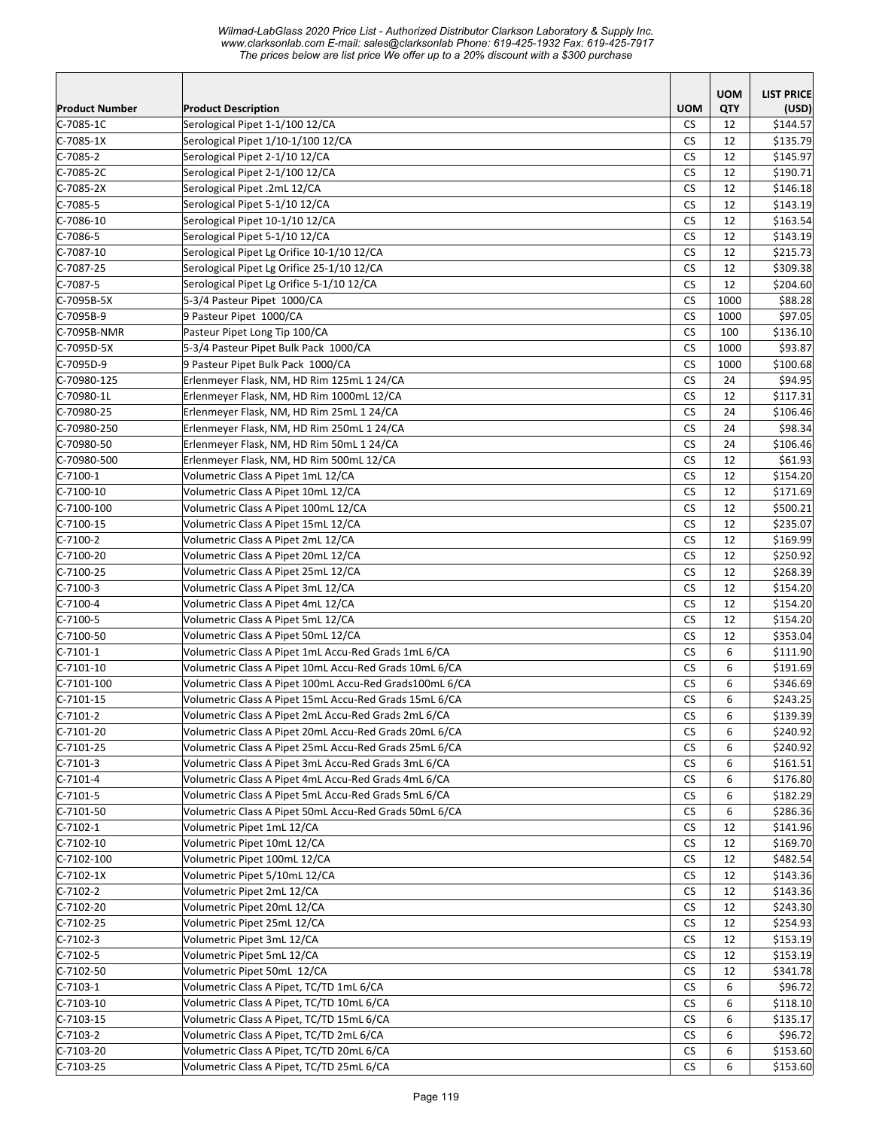*Wilmad-LabGlass 2020 Price List - Authorized Distributor Clarkson Laboratory & Supply Inc. www.clarksonlab.com E-mail: sales@clarksonlab Phone: 619-425-1932 Fax: 619-425-7917 The prices below are list price We offer up to a 20% discount with a \$300 purchase* 

| <b>Product Number</b> |                                                               | <b>UOM</b>           | <b>UOM</b> | <b>LIST PRICE</b>    |
|-----------------------|---------------------------------------------------------------|----------------------|------------|----------------------|
| $C-7085-1C$           | <b>Product Description</b><br>Serological Pipet 1-1/100 12/CA | <b>CS</b>            | QTY<br>12  | (USD)<br>\$144.57    |
| $C-7085-1X$           | Serological Pipet 1/10-1/100 12/CA                            | <b>CS</b>            | 12         |                      |
| $C-7085-2$            | Serological Pipet 2-1/10 12/CA                                | CS                   | 12         | \$135.79<br>\$145.97 |
| C-7085-2C             | Serological Pipet 2-1/100 12/CA                               | <b>CS</b>            | 12         | \$190.71             |
| $C-7085-2X$           | Serological Pipet .2mL 12/CA                                  | <b>CS</b>            | 12         | \$146.18             |
|                       | Serological Pipet 5-1/10 12/CA                                | <b>CS</b>            | 12         | \$143.19             |
| C-7085-5              |                                                               |                      |            |                      |
| $C-7086-10$           | Serological Pipet 10-1/10 12/CA                               | <b>CS</b>            | 12         | \$163.54             |
| $C-7086-5$            | Serological Pipet 5-1/10 12/CA                                | <b>CS</b>            | 12         | \$143.19             |
| $C-7087-10$           | Serological Pipet Lg Orifice 10-1/10 12/CA                    | <b>CS</b>            | 12         | \$215.73             |
| $C-7087-25$           | Serological Pipet Lg Orifice 25-1/10 12/CA                    | <b>CS</b>            | 12         | \$309.38             |
| $C-7087-5$            | Serological Pipet Lg Orifice 5-1/10 12/CA                     | СS                   | 12         | \$204.60             |
| C-7095B-5X            | 5-3/4 Pasteur Pipet 1000/CA                                   | <b>CS</b>            | 1000       | \$88.28              |
| C-7095B-9             | 9 Pasteur Pipet 1000/CA                                       | <b>CS</b>            | 1000       | \$97.05              |
| C-7095B-NMR           | Pasteur Pipet Long Tip 100/CA                                 | <b>CS</b>            | 100        | \$136.10             |
| C-7095D-5X            | 5-3/4 Pasteur Pipet Bulk Pack 1000/CA                         | <b>CS</b>            | 1000       | \$93.87              |
| C-7095D-9             | 9 Pasteur Pipet Bulk Pack 1000/CA                             | <b>CS</b>            | 1000       | \$100.68             |
| C-70980-125           | Erlenmeyer Flask, NM, HD Rim 125mL 1 24/CA                    | <b>CS</b>            | 24         | \$94.95              |
| C-70980-1L            | Erlenmeyer Flask, NM, HD Rim 1000mL 12/CA                     | CS                   | 12         | \$117.31             |
| C-70980-25            | Erlenmeyer Flask, NM, HD Rim 25mL 1 24/CA                     | <b>CS</b>            | 24         | \$106.46             |
| C-70980-250           | Erlenmeyer Flask, NM, HD Rim 250mL 1 24/CA                    | <b>CS</b>            | 24         | \$98.34              |
| C-70980-50            | Erlenmeyer Flask, NM, HD Rim 50mL 1 24/CA                     | <b>CS</b>            | 24         | \$106.46             |
| C-70980-500           | Erlenmeyer Flask, NM, HD Rim 500mL 12/CA                      | <b>CS</b>            | 12         | \$61.93              |
| $C-7100-1$            | Volumetric Class A Pipet 1mL 12/CA                            | <b>CS</b>            | 12         | \$154.20             |
| $C-7100-10$           | Volumetric Class A Pipet 10mL 12/CA                           | <b>CS</b>            | 12         | \$171.69             |
| $C-7100-100$          | Volumetric Class A Pipet 100mL 12/CA                          | <b>CS</b>            | 12         | \$500.21             |
| $C-7100-15$           | Volumetric Class A Pipet 15mL 12/CA                           | <b>CS</b>            | 12         | \$235.07             |
| $C-7100-2$            | Volumetric Class A Pipet 2mL 12/CA                            | СS                   | 12         | \$169.99             |
| $C-7100-20$           | Volumetric Class A Pipet 20mL 12/CA                           | <b>CS</b>            | 12         | \$250.92             |
| $C-7100-25$           | Volumetric Class A Pipet 25mL 12/CA                           | CS                   | 12         | \$268.39             |
| $C-7100-3$            | Volumetric Class A Pipet 3mL 12/CA                            | <b>CS</b>            | 12         | \$154.20             |
| $C-7100-4$            | Volumetric Class A Pipet 4mL 12/CA                            | <b>CS</b>            | 12         | \$154.20             |
| $C-7100-5$            | Volumetric Class A Pipet 5mL 12/CA                            | <b>CS</b>            | 12         | \$154.20             |
| $C-7100-50$           | Volumetric Class A Pipet 50mL 12/CA                           | <b>CS</b>            | 12         | \$353.04             |
| $C-7101-1$            | Volumetric Class A Pipet 1mL Accu-Red Grads 1mL 6/CA          | <b>CS</b>            | 6          | \$111.90             |
| $C-7101-10$           | Volumetric Class A Pipet 10mL Accu-Red Grads 10mL 6/CA        | <b>CS</b>            | 6          | \$191.69             |
| $C-7101-100$          | Volumetric Class A Pipet 100mL Accu-Red Grads100mL 6/CA       | <b>CS</b>            | 6          | \$346.69             |
| $C-7101-15$           | Volumetric Class A Pipet 15mL Accu-Red Grads 15mL 6/CA        | <b>CS</b>            | 6          | \$243.25             |
| $C-7101-2$            | Volumetric Class A Pipet 2mL Accu-Red Grads 2mL 6/CA          | $\mathsf{CS}\xspace$ | 6          | \$139.39             |
| $C-7101-20$           | Volumetric Class A Pipet 20mL Accu-Red Grads 20mL 6/CA        | <b>CS</b>            | 6          | \$240.92             |
| $C-7101-25$           | Volumetric Class A Pipet 25mL Accu-Red Grads 25mL 6/CA        | <b>CS</b>            | 6          | \$240.92             |
| $C-7101-3$            | Volumetric Class A Pipet 3mL Accu-Red Grads 3mL 6/CA          |                      |            |                      |
|                       | Volumetric Class A Pipet 4mL Accu-Red Grads 4mL 6/CA          | CS                   | 6          | \$161.51             |
| $C-7101-4$            |                                                               | CS                   | 6          | \$176.80             |
| $C-7101-5$            | Volumetric Class A Pipet 5mL Accu-Red Grads 5mL 6/CA          | CS.                  | 6          | \$182.29             |
| $C-7101-50$           | Volumetric Class A Pipet 50mL Accu-Red Grads 50mL 6/CA        | CS.                  | 6          | \$286.36             |
| $C-7102-1$            | Volumetric Pipet 1mL 12/CA                                    | CS                   | 12         | \$141.96             |
| $C-7102-10$           | Volumetric Pipet 10mL 12/CA                                   | <b>CS</b>            | 12         | \$169.70             |
| $C-7102-100$          | Volumetric Pipet 100mL 12/CA                                  | <b>CS</b>            | 12         | \$482.54             |
| $C-7102-1X$           | Volumetric Pipet 5/10mL 12/CA                                 | <b>CS</b>            | 12         | \$143.36             |
| C-7102-2              | Volumetric Pipet 2mL 12/CA                                    | CS                   | 12         | \$143.36             |
| $C-7102-20$           | Volumetric Pipet 20mL 12/CA                                   | CS                   | 12         | \$243.30             |
| $C-7102-25$           | Volumetric Pipet 25mL 12/CA                                   | <b>CS</b>            | 12         | \$254.93             |
| $C-7102-3$            | Volumetric Pipet 3mL 12/CA                                    | <b>CS</b>            | 12         | \$153.19             |
| $C-7102-5$            | Volumetric Pipet 5mL 12/CA                                    | <b>CS</b>            | 12         | \$153.19             |
| $C-7102-50$           | Volumetric Pipet 50mL 12/CA                                   | <b>CS</b>            | 12         | \$341.78             |
| $C-7103-1$            | Volumetric Class A Pipet, TC/TD 1mL 6/CA                      | <b>CS</b>            | 6          | \$96.72              |
| $C-7103-10$           | Volumetric Class A Pipet, TC/TD 10mL 6/CA                     | CS                   | 6          | \$118.10             |
| $C-7103-15$           | Volumetric Class A Pipet, TC/TD 15mL 6/CA                     | CS                   | 6          | \$135.17             |
| C-7103-2              | Volumetric Class A Pipet, TC/TD 2mL 6/CA                      | CS                   | 6          | \$96.72              |
| C-7103-20             | Volumetric Class A Pipet, TC/TD 20mL 6/CA                     | <b>CS</b>            | 6          | \$153.60             |
| $C-7103-25$           | Volumetric Class A Pipet, TC/TD 25mL 6/CA                     | CS                   | 6          | \$153.60             |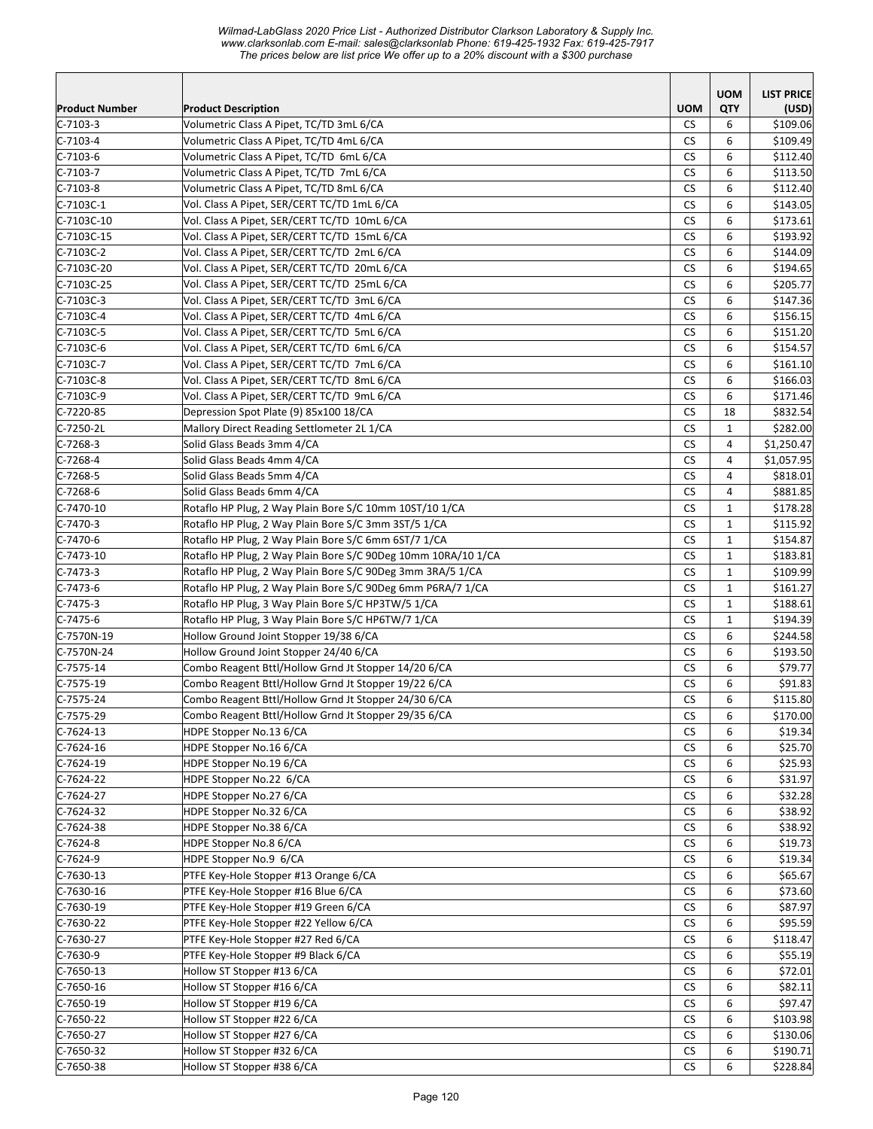*Wilmad-LabGlass 2020 Price List - Authorized Distributor Clarkson Laboratory & Supply Inc. www.clarksonlab.com E-mail: sales@clarksonlab Phone: 619-425-1932 Fax: 619-425-7917 The prices below are list price We offer up to a 20% discount with a \$300 purchase* 

| <b>Product Description</b><br><b>UOM</b><br>QTY<br>(USD)<br>$C-7103-3$<br>Volumetric Class A Pipet, TC/TD 3mL 6/CA<br>CS.<br>\$109.06<br>6<br>$C-7103-4$<br>Volumetric Class A Pipet, TC/TD 4mL 6/CA<br><b>CS</b><br>6<br>\$109.49<br>Volumetric Class A Pipet, TC/TD 6mL 6/CA<br>$C-7103-6$<br>СS<br>6<br>\$112.40<br><b>CS</b><br>Volumetric Class A Pipet, TC/TD 7mL 6/CA<br>6<br>\$113.50<br>C-7103-7<br><b>CS</b><br>6<br>$C-7103-8$<br>Volumetric Class A Pipet, TC/TD 8mL 6/CA<br>\$112.40<br><b>CS</b><br>6<br>C-7103C-1<br>Vol. Class A Pipet, SER/CERT TC/TD 1mL 6/CA<br>\$143.05<br>Vol. Class A Pipet, SER/CERT TC/TD 10mL 6/CA<br><b>CS</b><br>C-7103C-10<br>6<br>\$173.61<br>$C-7103C-15$<br>Vol. Class A Pipet, SER/CERT TC/TD 15mL 6/CA<br><b>CS</b><br>6<br>\$193.92<br>$C-7103C-2$<br>Vol. Class A Pipet, SER/CERT TC/TD 2mL 6/CA<br><b>CS</b><br>\$144.09<br>6<br>Vol. Class A Pipet, SER/CERT TC/TD 20mL 6/CA<br>CS<br>C-7103C-20<br>6<br>\$194.65<br><b>CS</b><br>C-7103C-25<br>Vol. Class A Pipet, SER/CERT TC/TD 25mL 6/CA<br>6<br>\$205.77<br><b>CS</b><br>Vol. Class A Pipet, SER/CERT TC/TD 3mL 6/CA<br>6<br>C-7103C-3<br>\$147.36<br><b>CS</b><br>6<br>$C-7103C-4$<br>Vol. Class A Pipet, SER/CERT TC/TD 4mL 6/CA<br>\$156.15<br><b>CS</b><br>6<br>C-7103C-5<br>Vol. Class A Pipet, SER/CERT TC/TD 5mL 6/CA<br>\$151.20<br>Vol. Class A Pipet, SER/CERT TC/TD 6mL 6/CA<br>C-7103C-6<br><b>CS</b><br>6<br>\$154.57<br>C-7103C-7<br>Vol. Class A Pipet, SER/CERT TC/TD 7mL 6/CA<br><b>CS</b><br>6<br>\$161.10<br>$C-7103C-8$<br>Vol. Class A Pipet, SER/CERT TC/TD 8mL 6/CA<br><b>CS</b><br>6<br>\$166.03<br>Vol. Class A Pipet, SER/CERT TC/TD 9mL 6/CA<br><b>CS</b><br>6<br>\$171.46<br>Depression Spot Plate (9) 85x100 18/CA<br>CS.<br>\$832.54<br>18<br><b>CS</b><br>Mallory Direct Reading Settlometer 2L 1/CA<br>$\mathbf{1}$<br>\$282.00<br><b>CS</b><br>$\overline{4}$<br>\$1,250.47<br>Solid Glass Beads 3mm 4/CA<br>Solid Glass Beads 4mm 4/CA<br><b>CS</b><br>4<br>\$1,057.95<br><b>CS</b><br>$\overline{4}$<br>Solid Glass Beads 5mm 4/CA<br>\$818.01<br>Solid Glass Beads 6mm 4/CA<br><b>CS</b><br>\$881.85<br>4<br>Rotaflo HP Plug, 2 Way Plain Bore S/C 10mm 10ST/10 1/CA<br><b>CS</b><br>$\mathbf{1}$<br>\$178.28<br>Rotaflo HP Plug, 2 Way Plain Bore S/C 3mm 3ST/5 1/CA<br>CS.<br>\$115.92<br>1<br>Rotaflo HP Plug, 2 Way Plain Bore S/C 6mm 6ST/7 1/CA<br><b>CS</b><br>$\mathbf{1}$<br>\$154.87<br><b>CS</b><br>$\mathbf{1}$<br>Rotaflo HP Plug, 2 Way Plain Bore S/C 90Deg 10mm 10RA/10 1/CA<br>\$183.81<br>Rotaflo HP Plug, 2 Way Plain Bore S/C 90Deg 3mm 3RA/5 1/CA<br><b>CS</b><br>$\mathbf{1}$<br>\$109.99<br><b>CS</b><br>\$161.27<br>Rotaflo HP Plug, 2 Way Plain Bore S/C 90Deg 6mm P6RA/7 1/CA<br>$\mathbf{1}$<br><b>CS</b><br>Rotaflo HP Plug, 3 Way Plain Bore S/C HP3TW/5 1/CA<br>$\mathbf{1}$<br>\$188.61<br><b>CS</b><br>Rotaflo HP Plug, 3 Way Plain Bore S/C HP6TW/7 1/CA<br>$\mathbf{1}$<br>\$194.39<br><b>CS</b><br>Hollow Ground Joint Stopper 19/38 6/CA<br>6<br>\$244.58<br>Hollow Ground Joint Stopper 24/40 6/CA<br>CS.<br>6<br>\$193.50<br>Combo Reagent Bttl/Hollow Grnd Jt Stopper 14/20 6/CA<br>6<br>CS<br>\$79.77<br>Combo Reagent Bttl/Hollow Grnd Jt Stopper 19/22 6/CA<br><b>CS</b><br>6<br>\$91.83<br>$C-7575-24$<br><b>CS</b><br>Combo Reagent Bttl/Hollow Grnd Jt Stopper 24/30 6/CA<br>6<br>\$115.80<br>$C-7575-29$<br>CS<br>\$170.00<br>6<br>Combo Reagent Bttl/Hollow Grnd Jt Stopper 29/35 6/CA<br>\$19.34<br>C-7624-13<br>HDPE Stopper No.13 6/CA<br><b>CS</b><br>6<br>$C-7624-16$<br>HDPE Stopper No.16 6/CA<br>CS<br>\$25.70<br>6<br>HDPE Stopper No.19 6/CA<br>\$25.93<br>$C-7624-19$<br>CS<br>6<br>HDPE Stopper No.22 6/CA<br>$C - 7624 - 22$<br>CS<br>6<br>\$31.97<br>HDPE Stopper No.27 6/CA<br><b>CS</b><br>6<br>$C - 7624 - 27$<br>\$32.28<br><b>CS</b><br>6<br>\$38.92<br>$C - 7624 - 32$<br>HDPE Stopper No.32 6/CA<br>HDPE Stopper No.38 6/CA<br><b>CS</b><br>6<br>\$38.92<br>$C - 7624 - 38$<br>$C-7624-8$<br><b>CS</b><br>6<br>\$19.73<br>HDPE Stopper No.8 6/CA<br>HDPE Stopper No.9 6/CA<br><b>CS</b><br>C-7624-9<br>6<br>\$19.34<br>$C-7630-13$<br>PTFE Key-Hole Stopper #13 Orange 6/CA<br>CS<br>6<br>\$65.67<br>PTFE Key-Hole Stopper #16 Blue 6/CA<br>C-7630-16<br>CS<br>6<br>\$73.60<br>PTFE Key-Hole Stopper #19 Green 6/CA<br>$C-7630-19$<br>CS<br>6<br>\$87.97<br>6<br>$C-7630-22$<br>PTFE Key-Hole Stopper #22 Yellow 6/CA<br>СS<br>\$95.59<br>$C-7630-27$<br>PTFE Key-Hole Stopper #27 Red 6/CA<br>CS<br>6<br>\$118.47<br>$C-7630-9$<br>PTFE Key-Hole Stopper #9 Black 6/CA<br><b>CS</b><br>6<br>\$55.19<br>$C-7650-13$<br>Hollow ST Stopper #13 6/CA<br>CS<br>6<br>\$72.01<br>Hollow ST Stopper #16 6/CA<br>$C-7650-16$<br>CS<br>6<br>\$82.11<br>\$97.47<br>$C-7650-19$<br>Hollow ST Stopper #19 6/CA<br>CS<br>6<br>$C-7650-22$<br>Hollow ST Stopper #22 6/CA<br>CS<br>6<br>\$103.98<br>Hollow ST Stopper #27 6/CA<br><b>CS</b><br>6<br>$C-7650-27$<br>\$130.06<br>Hollow ST Stopper #32 6/CA<br><b>CS</b><br>6<br>$C-7650-32$<br>\$190.71<br>$C-7650-38$<br>Hollow ST Stopper #38 6/CA<br><b>CS</b><br>6<br>\$228.84 |                       |  | <b>UOM</b> | <b>LIST PRICE</b> |
|--------------------------------------------------------------------------------------------------------------------------------------------------------------------------------------------------------------------------------------------------------------------------------------------------------------------------------------------------------------------------------------------------------------------------------------------------------------------------------------------------------------------------------------------------------------------------------------------------------------------------------------------------------------------------------------------------------------------------------------------------------------------------------------------------------------------------------------------------------------------------------------------------------------------------------------------------------------------------------------------------------------------------------------------------------------------------------------------------------------------------------------------------------------------------------------------------------------------------------------------------------------------------------------------------------------------------------------------------------------------------------------------------------------------------------------------------------------------------------------------------------------------------------------------------------------------------------------------------------------------------------------------------------------------------------------------------------------------------------------------------------------------------------------------------------------------------------------------------------------------------------------------------------------------------------------------------------------------------------------------------------------------------------------------------------------------------------------------------------------------------------------------------------------------------------------------------------------------------------------------------------------------------------------------------------------------------------------------------------------------------------------------------------------------------------------------------------------------------------------------------------------------------------------------------------------------------------------------------------------------------------------------------------------------------------------------------------------------------------------------------------------------------------------------------------------------------------------------------------------------------------------------------------------------------------------------------------------------------------------------------------------------------------------------------------------------------------------------------------------------------------------------------------------------------------------------------------------------------------------------------------------------------------------------------------------------------------------------------------------------------------------------------------------------------------------------------------------------------------------------------------------------------------------------------------------------------------------------------------------------------------------------------------------------------------------------------------------------------------------------------------------------------------------------------------------------------------------------------------------------------------------------------------------------------------------------------------------------------------------------------------------------------------------------------------------------------------------------------------------------------------------------------------------------------------------------------------------------------------------------------------------------------------------------------------------------------------------------------------------------------------------------------------------------------------------------------------------------------------------------------------------------------------------------------------------------------------------------------------------------------------------------------------------------------------------------------------------------------------------------------------------------------------------------------------------------------------------------------------------------------------------------------------------------------------------------------------------------------------------------------------------------------------------------------------------------------------------------------------------------------------------|-----------------------|--|------------|-------------------|
|                                                                                                                                                                                                                                                                                                                                                                                                                                                                                                                                                                                                                                                                                                                                                                                                                                                                                                                                                                                                                                                                                                                                                                                                                                                                                                                                                                                                                                                                                                                                                                                                                                                                                                                                                                                                                                                                                                                                                                                                                                                                                                                                                                                                                                                                                                                                                                                                                                                                                                                                                                                                                                                                                                                                                                                                                                                                                                                                                                                                                                                                                                                                                                                                                                                                                                                                                                                                                                                                                                                                                                                                                                                                                                                                                                                                                                                                                                                                                                                                                                                                                                                                                                                                                                                                                                                                                                                                                                                                                                                                                                                                                                                                                                                                                                                                                                                                                                                                                                                                                                                                                                                                      | <b>Product Number</b> |  |            |                   |
|                                                                                                                                                                                                                                                                                                                                                                                                                                                                                                                                                                                                                                                                                                                                                                                                                                                                                                                                                                                                                                                                                                                                                                                                                                                                                                                                                                                                                                                                                                                                                                                                                                                                                                                                                                                                                                                                                                                                                                                                                                                                                                                                                                                                                                                                                                                                                                                                                                                                                                                                                                                                                                                                                                                                                                                                                                                                                                                                                                                                                                                                                                                                                                                                                                                                                                                                                                                                                                                                                                                                                                                                                                                                                                                                                                                                                                                                                                                                                                                                                                                                                                                                                                                                                                                                                                                                                                                                                                                                                                                                                                                                                                                                                                                                                                                                                                                                                                                                                                                                                                                                                                                                      |                       |  |            |                   |
|                                                                                                                                                                                                                                                                                                                                                                                                                                                                                                                                                                                                                                                                                                                                                                                                                                                                                                                                                                                                                                                                                                                                                                                                                                                                                                                                                                                                                                                                                                                                                                                                                                                                                                                                                                                                                                                                                                                                                                                                                                                                                                                                                                                                                                                                                                                                                                                                                                                                                                                                                                                                                                                                                                                                                                                                                                                                                                                                                                                                                                                                                                                                                                                                                                                                                                                                                                                                                                                                                                                                                                                                                                                                                                                                                                                                                                                                                                                                                                                                                                                                                                                                                                                                                                                                                                                                                                                                                                                                                                                                                                                                                                                                                                                                                                                                                                                                                                                                                                                                                                                                                                                                      |                       |  |            |                   |
|                                                                                                                                                                                                                                                                                                                                                                                                                                                                                                                                                                                                                                                                                                                                                                                                                                                                                                                                                                                                                                                                                                                                                                                                                                                                                                                                                                                                                                                                                                                                                                                                                                                                                                                                                                                                                                                                                                                                                                                                                                                                                                                                                                                                                                                                                                                                                                                                                                                                                                                                                                                                                                                                                                                                                                                                                                                                                                                                                                                                                                                                                                                                                                                                                                                                                                                                                                                                                                                                                                                                                                                                                                                                                                                                                                                                                                                                                                                                                                                                                                                                                                                                                                                                                                                                                                                                                                                                                                                                                                                                                                                                                                                                                                                                                                                                                                                                                                                                                                                                                                                                                                                                      |                       |  |            |                   |
|                                                                                                                                                                                                                                                                                                                                                                                                                                                                                                                                                                                                                                                                                                                                                                                                                                                                                                                                                                                                                                                                                                                                                                                                                                                                                                                                                                                                                                                                                                                                                                                                                                                                                                                                                                                                                                                                                                                                                                                                                                                                                                                                                                                                                                                                                                                                                                                                                                                                                                                                                                                                                                                                                                                                                                                                                                                                                                                                                                                                                                                                                                                                                                                                                                                                                                                                                                                                                                                                                                                                                                                                                                                                                                                                                                                                                                                                                                                                                                                                                                                                                                                                                                                                                                                                                                                                                                                                                                                                                                                                                                                                                                                                                                                                                                                                                                                                                                                                                                                                                                                                                                                                      |                       |  |            |                   |
|                                                                                                                                                                                                                                                                                                                                                                                                                                                                                                                                                                                                                                                                                                                                                                                                                                                                                                                                                                                                                                                                                                                                                                                                                                                                                                                                                                                                                                                                                                                                                                                                                                                                                                                                                                                                                                                                                                                                                                                                                                                                                                                                                                                                                                                                                                                                                                                                                                                                                                                                                                                                                                                                                                                                                                                                                                                                                                                                                                                                                                                                                                                                                                                                                                                                                                                                                                                                                                                                                                                                                                                                                                                                                                                                                                                                                                                                                                                                                                                                                                                                                                                                                                                                                                                                                                                                                                                                                                                                                                                                                                                                                                                                                                                                                                                                                                                                                                                                                                                                                                                                                                                                      |                       |  |            |                   |
|                                                                                                                                                                                                                                                                                                                                                                                                                                                                                                                                                                                                                                                                                                                                                                                                                                                                                                                                                                                                                                                                                                                                                                                                                                                                                                                                                                                                                                                                                                                                                                                                                                                                                                                                                                                                                                                                                                                                                                                                                                                                                                                                                                                                                                                                                                                                                                                                                                                                                                                                                                                                                                                                                                                                                                                                                                                                                                                                                                                                                                                                                                                                                                                                                                                                                                                                                                                                                                                                                                                                                                                                                                                                                                                                                                                                                                                                                                                                                                                                                                                                                                                                                                                                                                                                                                                                                                                                                                                                                                                                                                                                                                                                                                                                                                                                                                                                                                                                                                                                                                                                                                                                      |                       |  |            |                   |
|                                                                                                                                                                                                                                                                                                                                                                                                                                                                                                                                                                                                                                                                                                                                                                                                                                                                                                                                                                                                                                                                                                                                                                                                                                                                                                                                                                                                                                                                                                                                                                                                                                                                                                                                                                                                                                                                                                                                                                                                                                                                                                                                                                                                                                                                                                                                                                                                                                                                                                                                                                                                                                                                                                                                                                                                                                                                                                                                                                                                                                                                                                                                                                                                                                                                                                                                                                                                                                                                                                                                                                                                                                                                                                                                                                                                                                                                                                                                                                                                                                                                                                                                                                                                                                                                                                                                                                                                                                                                                                                                                                                                                                                                                                                                                                                                                                                                                                                                                                                                                                                                                                                                      |                       |  |            |                   |
|                                                                                                                                                                                                                                                                                                                                                                                                                                                                                                                                                                                                                                                                                                                                                                                                                                                                                                                                                                                                                                                                                                                                                                                                                                                                                                                                                                                                                                                                                                                                                                                                                                                                                                                                                                                                                                                                                                                                                                                                                                                                                                                                                                                                                                                                                                                                                                                                                                                                                                                                                                                                                                                                                                                                                                                                                                                                                                                                                                                                                                                                                                                                                                                                                                                                                                                                                                                                                                                                                                                                                                                                                                                                                                                                                                                                                                                                                                                                                                                                                                                                                                                                                                                                                                                                                                                                                                                                                                                                                                                                                                                                                                                                                                                                                                                                                                                                                                                                                                                                                                                                                                                                      |                       |  |            |                   |
|                                                                                                                                                                                                                                                                                                                                                                                                                                                                                                                                                                                                                                                                                                                                                                                                                                                                                                                                                                                                                                                                                                                                                                                                                                                                                                                                                                                                                                                                                                                                                                                                                                                                                                                                                                                                                                                                                                                                                                                                                                                                                                                                                                                                                                                                                                                                                                                                                                                                                                                                                                                                                                                                                                                                                                                                                                                                                                                                                                                                                                                                                                                                                                                                                                                                                                                                                                                                                                                                                                                                                                                                                                                                                                                                                                                                                                                                                                                                                                                                                                                                                                                                                                                                                                                                                                                                                                                                                                                                                                                                                                                                                                                                                                                                                                                                                                                                                                                                                                                                                                                                                                                                      |                       |  |            |                   |
|                                                                                                                                                                                                                                                                                                                                                                                                                                                                                                                                                                                                                                                                                                                                                                                                                                                                                                                                                                                                                                                                                                                                                                                                                                                                                                                                                                                                                                                                                                                                                                                                                                                                                                                                                                                                                                                                                                                                                                                                                                                                                                                                                                                                                                                                                                                                                                                                                                                                                                                                                                                                                                                                                                                                                                                                                                                                                                                                                                                                                                                                                                                                                                                                                                                                                                                                                                                                                                                                                                                                                                                                                                                                                                                                                                                                                                                                                                                                                                                                                                                                                                                                                                                                                                                                                                                                                                                                                                                                                                                                                                                                                                                                                                                                                                                                                                                                                                                                                                                                                                                                                                                                      |                       |  |            |                   |
|                                                                                                                                                                                                                                                                                                                                                                                                                                                                                                                                                                                                                                                                                                                                                                                                                                                                                                                                                                                                                                                                                                                                                                                                                                                                                                                                                                                                                                                                                                                                                                                                                                                                                                                                                                                                                                                                                                                                                                                                                                                                                                                                                                                                                                                                                                                                                                                                                                                                                                                                                                                                                                                                                                                                                                                                                                                                                                                                                                                                                                                                                                                                                                                                                                                                                                                                                                                                                                                                                                                                                                                                                                                                                                                                                                                                                                                                                                                                                                                                                                                                                                                                                                                                                                                                                                                                                                                                                                                                                                                                                                                                                                                                                                                                                                                                                                                                                                                                                                                                                                                                                                                                      |                       |  |            |                   |
|                                                                                                                                                                                                                                                                                                                                                                                                                                                                                                                                                                                                                                                                                                                                                                                                                                                                                                                                                                                                                                                                                                                                                                                                                                                                                                                                                                                                                                                                                                                                                                                                                                                                                                                                                                                                                                                                                                                                                                                                                                                                                                                                                                                                                                                                                                                                                                                                                                                                                                                                                                                                                                                                                                                                                                                                                                                                                                                                                                                                                                                                                                                                                                                                                                                                                                                                                                                                                                                                                                                                                                                                                                                                                                                                                                                                                                                                                                                                                                                                                                                                                                                                                                                                                                                                                                                                                                                                                                                                                                                                                                                                                                                                                                                                                                                                                                                                                                                                                                                                                                                                                                                                      |                       |  |            |                   |
|                                                                                                                                                                                                                                                                                                                                                                                                                                                                                                                                                                                                                                                                                                                                                                                                                                                                                                                                                                                                                                                                                                                                                                                                                                                                                                                                                                                                                                                                                                                                                                                                                                                                                                                                                                                                                                                                                                                                                                                                                                                                                                                                                                                                                                                                                                                                                                                                                                                                                                                                                                                                                                                                                                                                                                                                                                                                                                                                                                                                                                                                                                                                                                                                                                                                                                                                                                                                                                                                                                                                                                                                                                                                                                                                                                                                                                                                                                                                                                                                                                                                                                                                                                                                                                                                                                                                                                                                                                                                                                                                                                                                                                                                                                                                                                                                                                                                                                                                                                                                                                                                                                                                      |                       |  |            |                   |
|                                                                                                                                                                                                                                                                                                                                                                                                                                                                                                                                                                                                                                                                                                                                                                                                                                                                                                                                                                                                                                                                                                                                                                                                                                                                                                                                                                                                                                                                                                                                                                                                                                                                                                                                                                                                                                                                                                                                                                                                                                                                                                                                                                                                                                                                                                                                                                                                                                                                                                                                                                                                                                                                                                                                                                                                                                                                                                                                                                                                                                                                                                                                                                                                                                                                                                                                                                                                                                                                                                                                                                                                                                                                                                                                                                                                                                                                                                                                                                                                                                                                                                                                                                                                                                                                                                                                                                                                                                                                                                                                                                                                                                                                                                                                                                                                                                                                                                                                                                                                                                                                                                                                      |                       |  |            |                   |
|                                                                                                                                                                                                                                                                                                                                                                                                                                                                                                                                                                                                                                                                                                                                                                                                                                                                                                                                                                                                                                                                                                                                                                                                                                                                                                                                                                                                                                                                                                                                                                                                                                                                                                                                                                                                                                                                                                                                                                                                                                                                                                                                                                                                                                                                                                                                                                                                                                                                                                                                                                                                                                                                                                                                                                                                                                                                                                                                                                                                                                                                                                                                                                                                                                                                                                                                                                                                                                                                                                                                                                                                                                                                                                                                                                                                                                                                                                                                                                                                                                                                                                                                                                                                                                                                                                                                                                                                                                                                                                                                                                                                                                                                                                                                                                                                                                                                                                                                                                                                                                                                                                                                      |                       |  |            |                   |
|                                                                                                                                                                                                                                                                                                                                                                                                                                                                                                                                                                                                                                                                                                                                                                                                                                                                                                                                                                                                                                                                                                                                                                                                                                                                                                                                                                                                                                                                                                                                                                                                                                                                                                                                                                                                                                                                                                                                                                                                                                                                                                                                                                                                                                                                                                                                                                                                                                                                                                                                                                                                                                                                                                                                                                                                                                                                                                                                                                                                                                                                                                                                                                                                                                                                                                                                                                                                                                                                                                                                                                                                                                                                                                                                                                                                                                                                                                                                                                                                                                                                                                                                                                                                                                                                                                                                                                                                                                                                                                                                                                                                                                                                                                                                                                                                                                                                                                                                                                                                                                                                                                                                      |                       |  |            |                   |
|                                                                                                                                                                                                                                                                                                                                                                                                                                                                                                                                                                                                                                                                                                                                                                                                                                                                                                                                                                                                                                                                                                                                                                                                                                                                                                                                                                                                                                                                                                                                                                                                                                                                                                                                                                                                                                                                                                                                                                                                                                                                                                                                                                                                                                                                                                                                                                                                                                                                                                                                                                                                                                                                                                                                                                                                                                                                                                                                                                                                                                                                                                                                                                                                                                                                                                                                                                                                                                                                                                                                                                                                                                                                                                                                                                                                                                                                                                                                                                                                                                                                                                                                                                                                                                                                                                                                                                                                                                                                                                                                                                                                                                                                                                                                                                                                                                                                                                                                                                                                                                                                                                                                      | $C-7103C-9$           |  |            |                   |
|                                                                                                                                                                                                                                                                                                                                                                                                                                                                                                                                                                                                                                                                                                                                                                                                                                                                                                                                                                                                                                                                                                                                                                                                                                                                                                                                                                                                                                                                                                                                                                                                                                                                                                                                                                                                                                                                                                                                                                                                                                                                                                                                                                                                                                                                                                                                                                                                                                                                                                                                                                                                                                                                                                                                                                                                                                                                                                                                                                                                                                                                                                                                                                                                                                                                                                                                                                                                                                                                                                                                                                                                                                                                                                                                                                                                                                                                                                                                                                                                                                                                                                                                                                                                                                                                                                                                                                                                                                                                                                                                                                                                                                                                                                                                                                                                                                                                                                                                                                                                                                                                                                                                      | C-7220-85             |  |            |                   |
|                                                                                                                                                                                                                                                                                                                                                                                                                                                                                                                                                                                                                                                                                                                                                                                                                                                                                                                                                                                                                                                                                                                                                                                                                                                                                                                                                                                                                                                                                                                                                                                                                                                                                                                                                                                                                                                                                                                                                                                                                                                                                                                                                                                                                                                                                                                                                                                                                                                                                                                                                                                                                                                                                                                                                                                                                                                                                                                                                                                                                                                                                                                                                                                                                                                                                                                                                                                                                                                                                                                                                                                                                                                                                                                                                                                                                                                                                                                                                                                                                                                                                                                                                                                                                                                                                                                                                                                                                                                                                                                                                                                                                                                                                                                                                                                                                                                                                                                                                                                                                                                                                                                                      | C-7250-2L             |  |            |                   |
|                                                                                                                                                                                                                                                                                                                                                                                                                                                                                                                                                                                                                                                                                                                                                                                                                                                                                                                                                                                                                                                                                                                                                                                                                                                                                                                                                                                                                                                                                                                                                                                                                                                                                                                                                                                                                                                                                                                                                                                                                                                                                                                                                                                                                                                                                                                                                                                                                                                                                                                                                                                                                                                                                                                                                                                                                                                                                                                                                                                                                                                                                                                                                                                                                                                                                                                                                                                                                                                                                                                                                                                                                                                                                                                                                                                                                                                                                                                                                                                                                                                                                                                                                                                                                                                                                                                                                                                                                                                                                                                                                                                                                                                                                                                                                                                                                                                                                                                                                                                                                                                                                                                                      | C-7268-3              |  |            |                   |
|                                                                                                                                                                                                                                                                                                                                                                                                                                                                                                                                                                                                                                                                                                                                                                                                                                                                                                                                                                                                                                                                                                                                                                                                                                                                                                                                                                                                                                                                                                                                                                                                                                                                                                                                                                                                                                                                                                                                                                                                                                                                                                                                                                                                                                                                                                                                                                                                                                                                                                                                                                                                                                                                                                                                                                                                                                                                                                                                                                                                                                                                                                                                                                                                                                                                                                                                                                                                                                                                                                                                                                                                                                                                                                                                                                                                                                                                                                                                                                                                                                                                                                                                                                                                                                                                                                                                                                                                                                                                                                                                                                                                                                                                                                                                                                                                                                                                                                                                                                                                                                                                                                                                      | $C-7268-4$            |  |            |                   |
|                                                                                                                                                                                                                                                                                                                                                                                                                                                                                                                                                                                                                                                                                                                                                                                                                                                                                                                                                                                                                                                                                                                                                                                                                                                                                                                                                                                                                                                                                                                                                                                                                                                                                                                                                                                                                                                                                                                                                                                                                                                                                                                                                                                                                                                                                                                                                                                                                                                                                                                                                                                                                                                                                                                                                                                                                                                                                                                                                                                                                                                                                                                                                                                                                                                                                                                                                                                                                                                                                                                                                                                                                                                                                                                                                                                                                                                                                                                                                                                                                                                                                                                                                                                                                                                                                                                                                                                                                                                                                                                                                                                                                                                                                                                                                                                                                                                                                                                                                                                                                                                                                                                                      | $C-7268-5$            |  |            |                   |
|                                                                                                                                                                                                                                                                                                                                                                                                                                                                                                                                                                                                                                                                                                                                                                                                                                                                                                                                                                                                                                                                                                                                                                                                                                                                                                                                                                                                                                                                                                                                                                                                                                                                                                                                                                                                                                                                                                                                                                                                                                                                                                                                                                                                                                                                                                                                                                                                                                                                                                                                                                                                                                                                                                                                                                                                                                                                                                                                                                                                                                                                                                                                                                                                                                                                                                                                                                                                                                                                                                                                                                                                                                                                                                                                                                                                                                                                                                                                                                                                                                                                                                                                                                                                                                                                                                                                                                                                                                                                                                                                                                                                                                                                                                                                                                                                                                                                                                                                                                                                                                                                                                                                      | $C-7268-6$            |  |            |                   |
|                                                                                                                                                                                                                                                                                                                                                                                                                                                                                                                                                                                                                                                                                                                                                                                                                                                                                                                                                                                                                                                                                                                                                                                                                                                                                                                                                                                                                                                                                                                                                                                                                                                                                                                                                                                                                                                                                                                                                                                                                                                                                                                                                                                                                                                                                                                                                                                                                                                                                                                                                                                                                                                                                                                                                                                                                                                                                                                                                                                                                                                                                                                                                                                                                                                                                                                                                                                                                                                                                                                                                                                                                                                                                                                                                                                                                                                                                                                                                                                                                                                                                                                                                                                                                                                                                                                                                                                                                                                                                                                                                                                                                                                                                                                                                                                                                                                                                                                                                                                                                                                                                                                                      | $C-7470-10$           |  |            |                   |
|                                                                                                                                                                                                                                                                                                                                                                                                                                                                                                                                                                                                                                                                                                                                                                                                                                                                                                                                                                                                                                                                                                                                                                                                                                                                                                                                                                                                                                                                                                                                                                                                                                                                                                                                                                                                                                                                                                                                                                                                                                                                                                                                                                                                                                                                                                                                                                                                                                                                                                                                                                                                                                                                                                                                                                                                                                                                                                                                                                                                                                                                                                                                                                                                                                                                                                                                                                                                                                                                                                                                                                                                                                                                                                                                                                                                                                                                                                                                                                                                                                                                                                                                                                                                                                                                                                                                                                                                                                                                                                                                                                                                                                                                                                                                                                                                                                                                                                                                                                                                                                                                                                                                      | $C-7470-3$            |  |            |                   |
|                                                                                                                                                                                                                                                                                                                                                                                                                                                                                                                                                                                                                                                                                                                                                                                                                                                                                                                                                                                                                                                                                                                                                                                                                                                                                                                                                                                                                                                                                                                                                                                                                                                                                                                                                                                                                                                                                                                                                                                                                                                                                                                                                                                                                                                                                                                                                                                                                                                                                                                                                                                                                                                                                                                                                                                                                                                                                                                                                                                                                                                                                                                                                                                                                                                                                                                                                                                                                                                                                                                                                                                                                                                                                                                                                                                                                                                                                                                                                                                                                                                                                                                                                                                                                                                                                                                                                                                                                                                                                                                                                                                                                                                                                                                                                                                                                                                                                                                                                                                                                                                                                                                                      | C-7470-6              |  |            |                   |
|                                                                                                                                                                                                                                                                                                                                                                                                                                                                                                                                                                                                                                                                                                                                                                                                                                                                                                                                                                                                                                                                                                                                                                                                                                                                                                                                                                                                                                                                                                                                                                                                                                                                                                                                                                                                                                                                                                                                                                                                                                                                                                                                                                                                                                                                                                                                                                                                                                                                                                                                                                                                                                                                                                                                                                                                                                                                                                                                                                                                                                                                                                                                                                                                                                                                                                                                                                                                                                                                                                                                                                                                                                                                                                                                                                                                                                                                                                                                                                                                                                                                                                                                                                                                                                                                                                                                                                                                                                                                                                                                                                                                                                                                                                                                                                                                                                                                                                                                                                                                                                                                                                                                      | $C-7473-10$           |  |            |                   |
|                                                                                                                                                                                                                                                                                                                                                                                                                                                                                                                                                                                                                                                                                                                                                                                                                                                                                                                                                                                                                                                                                                                                                                                                                                                                                                                                                                                                                                                                                                                                                                                                                                                                                                                                                                                                                                                                                                                                                                                                                                                                                                                                                                                                                                                                                                                                                                                                                                                                                                                                                                                                                                                                                                                                                                                                                                                                                                                                                                                                                                                                                                                                                                                                                                                                                                                                                                                                                                                                                                                                                                                                                                                                                                                                                                                                                                                                                                                                                                                                                                                                                                                                                                                                                                                                                                                                                                                                                                                                                                                                                                                                                                                                                                                                                                                                                                                                                                                                                                                                                                                                                                                                      | $C-7473-3$            |  |            |                   |
|                                                                                                                                                                                                                                                                                                                                                                                                                                                                                                                                                                                                                                                                                                                                                                                                                                                                                                                                                                                                                                                                                                                                                                                                                                                                                                                                                                                                                                                                                                                                                                                                                                                                                                                                                                                                                                                                                                                                                                                                                                                                                                                                                                                                                                                                                                                                                                                                                                                                                                                                                                                                                                                                                                                                                                                                                                                                                                                                                                                                                                                                                                                                                                                                                                                                                                                                                                                                                                                                                                                                                                                                                                                                                                                                                                                                                                                                                                                                                                                                                                                                                                                                                                                                                                                                                                                                                                                                                                                                                                                                                                                                                                                                                                                                                                                                                                                                                                                                                                                                                                                                                                                                      | $C-7473-6$            |  |            |                   |
|                                                                                                                                                                                                                                                                                                                                                                                                                                                                                                                                                                                                                                                                                                                                                                                                                                                                                                                                                                                                                                                                                                                                                                                                                                                                                                                                                                                                                                                                                                                                                                                                                                                                                                                                                                                                                                                                                                                                                                                                                                                                                                                                                                                                                                                                                                                                                                                                                                                                                                                                                                                                                                                                                                                                                                                                                                                                                                                                                                                                                                                                                                                                                                                                                                                                                                                                                                                                                                                                                                                                                                                                                                                                                                                                                                                                                                                                                                                                                                                                                                                                                                                                                                                                                                                                                                                                                                                                                                                                                                                                                                                                                                                                                                                                                                                                                                                                                                                                                                                                                                                                                                                                      | $C - 7475 - 3$        |  |            |                   |
|                                                                                                                                                                                                                                                                                                                                                                                                                                                                                                                                                                                                                                                                                                                                                                                                                                                                                                                                                                                                                                                                                                                                                                                                                                                                                                                                                                                                                                                                                                                                                                                                                                                                                                                                                                                                                                                                                                                                                                                                                                                                                                                                                                                                                                                                                                                                                                                                                                                                                                                                                                                                                                                                                                                                                                                                                                                                                                                                                                                                                                                                                                                                                                                                                                                                                                                                                                                                                                                                                                                                                                                                                                                                                                                                                                                                                                                                                                                                                                                                                                                                                                                                                                                                                                                                                                                                                                                                                                                                                                                                                                                                                                                                                                                                                                                                                                                                                                                                                                                                                                                                                                                                      | $C-7475-6$            |  |            |                   |
|                                                                                                                                                                                                                                                                                                                                                                                                                                                                                                                                                                                                                                                                                                                                                                                                                                                                                                                                                                                                                                                                                                                                                                                                                                                                                                                                                                                                                                                                                                                                                                                                                                                                                                                                                                                                                                                                                                                                                                                                                                                                                                                                                                                                                                                                                                                                                                                                                                                                                                                                                                                                                                                                                                                                                                                                                                                                                                                                                                                                                                                                                                                                                                                                                                                                                                                                                                                                                                                                                                                                                                                                                                                                                                                                                                                                                                                                                                                                                                                                                                                                                                                                                                                                                                                                                                                                                                                                                                                                                                                                                                                                                                                                                                                                                                                                                                                                                                                                                                                                                                                                                                                                      | C-7570N-19            |  |            |                   |
|                                                                                                                                                                                                                                                                                                                                                                                                                                                                                                                                                                                                                                                                                                                                                                                                                                                                                                                                                                                                                                                                                                                                                                                                                                                                                                                                                                                                                                                                                                                                                                                                                                                                                                                                                                                                                                                                                                                                                                                                                                                                                                                                                                                                                                                                                                                                                                                                                                                                                                                                                                                                                                                                                                                                                                                                                                                                                                                                                                                                                                                                                                                                                                                                                                                                                                                                                                                                                                                                                                                                                                                                                                                                                                                                                                                                                                                                                                                                                                                                                                                                                                                                                                                                                                                                                                                                                                                                                                                                                                                                                                                                                                                                                                                                                                                                                                                                                                                                                                                                                                                                                                                                      | C-7570N-24            |  |            |                   |
|                                                                                                                                                                                                                                                                                                                                                                                                                                                                                                                                                                                                                                                                                                                                                                                                                                                                                                                                                                                                                                                                                                                                                                                                                                                                                                                                                                                                                                                                                                                                                                                                                                                                                                                                                                                                                                                                                                                                                                                                                                                                                                                                                                                                                                                                                                                                                                                                                                                                                                                                                                                                                                                                                                                                                                                                                                                                                                                                                                                                                                                                                                                                                                                                                                                                                                                                                                                                                                                                                                                                                                                                                                                                                                                                                                                                                                                                                                                                                                                                                                                                                                                                                                                                                                                                                                                                                                                                                                                                                                                                                                                                                                                                                                                                                                                                                                                                                                                                                                                                                                                                                                                                      | C-7575-14             |  |            |                   |
|                                                                                                                                                                                                                                                                                                                                                                                                                                                                                                                                                                                                                                                                                                                                                                                                                                                                                                                                                                                                                                                                                                                                                                                                                                                                                                                                                                                                                                                                                                                                                                                                                                                                                                                                                                                                                                                                                                                                                                                                                                                                                                                                                                                                                                                                                                                                                                                                                                                                                                                                                                                                                                                                                                                                                                                                                                                                                                                                                                                                                                                                                                                                                                                                                                                                                                                                                                                                                                                                                                                                                                                                                                                                                                                                                                                                                                                                                                                                                                                                                                                                                                                                                                                                                                                                                                                                                                                                                                                                                                                                                                                                                                                                                                                                                                                                                                                                                                                                                                                                                                                                                                                                      | $C-7575-19$           |  |            |                   |
|                                                                                                                                                                                                                                                                                                                                                                                                                                                                                                                                                                                                                                                                                                                                                                                                                                                                                                                                                                                                                                                                                                                                                                                                                                                                                                                                                                                                                                                                                                                                                                                                                                                                                                                                                                                                                                                                                                                                                                                                                                                                                                                                                                                                                                                                                                                                                                                                                                                                                                                                                                                                                                                                                                                                                                                                                                                                                                                                                                                                                                                                                                                                                                                                                                                                                                                                                                                                                                                                                                                                                                                                                                                                                                                                                                                                                                                                                                                                                                                                                                                                                                                                                                                                                                                                                                                                                                                                                                                                                                                                                                                                                                                                                                                                                                                                                                                                                                                                                                                                                                                                                                                                      |                       |  |            |                   |
|                                                                                                                                                                                                                                                                                                                                                                                                                                                                                                                                                                                                                                                                                                                                                                                                                                                                                                                                                                                                                                                                                                                                                                                                                                                                                                                                                                                                                                                                                                                                                                                                                                                                                                                                                                                                                                                                                                                                                                                                                                                                                                                                                                                                                                                                                                                                                                                                                                                                                                                                                                                                                                                                                                                                                                                                                                                                                                                                                                                                                                                                                                                                                                                                                                                                                                                                                                                                                                                                                                                                                                                                                                                                                                                                                                                                                                                                                                                                                                                                                                                                                                                                                                                                                                                                                                                                                                                                                                                                                                                                                                                                                                                                                                                                                                                                                                                                                                                                                                                                                                                                                                                                      |                       |  |            |                   |
|                                                                                                                                                                                                                                                                                                                                                                                                                                                                                                                                                                                                                                                                                                                                                                                                                                                                                                                                                                                                                                                                                                                                                                                                                                                                                                                                                                                                                                                                                                                                                                                                                                                                                                                                                                                                                                                                                                                                                                                                                                                                                                                                                                                                                                                                                                                                                                                                                                                                                                                                                                                                                                                                                                                                                                                                                                                                                                                                                                                                                                                                                                                                                                                                                                                                                                                                                                                                                                                                                                                                                                                                                                                                                                                                                                                                                                                                                                                                                                                                                                                                                                                                                                                                                                                                                                                                                                                                                                                                                                                                                                                                                                                                                                                                                                                                                                                                                                                                                                                                                                                                                                                                      |                       |  |            |                   |
|                                                                                                                                                                                                                                                                                                                                                                                                                                                                                                                                                                                                                                                                                                                                                                                                                                                                                                                                                                                                                                                                                                                                                                                                                                                                                                                                                                                                                                                                                                                                                                                                                                                                                                                                                                                                                                                                                                                                                                                                                                                                                                                                                                                                                                                                                                                                                                                                                                                                                                                                                                                                                                                                                                                                                                                                                                                                                                                                                                                                                                                                                                                                                                                                                                                                                                                                                                                                                                                                                                                                                                                                                                                                                                                                                                                                                                                                                                                                                                                                                                                                                                                                                                                                                                                                                                                                                                                                                                                                                                                                                                                                                                                                                                                                                                                                                                                                                                                                                                                                                                                                                                                                      |                       |  |            |                   |
|                                                                                                                                                                                                                                                                                                                                                                                                                                                                                                                                                                                                                                                                                                                                                                                                                                                                                                                                                                                                                                                                                                                                                                                                                                                                                                                                                                                                                                                                                                                                                                                                                                                                                                                                                                                                                                                                                                                                                                                                                                                                                                                                                                                                                                                                                                                                                                                                                                                                                                                                                                                                                                                                                                                                                                                                                                                                                                                                                                                                                                                                                                                                                                                                                                                                                                                                                                                                                                                                                                                                                                                                                                                                                                                                                                                                                                                                                                                                                                                                                                                                                                                                                                                                                                                                                                                                                                                                                                                                                                                                                                                                                                                                                                                                                                                                                                                                                                                                                                                                                                                                                                                                      |                       |  |            |                   |
|                                                                                                                                                                                                                                                                                                                                                                                                                                                                                                                                                                                                                                                                                                                                                                                                                                                                                                                                                                                                                                                                                                                                                                                                                                                                                                                                                                                                                                                                                                                                                                                                                                                                                                                                                                                                                                                                                                                                                                                                                                                                                                                                                                                                                                                                                                                                                                                                                                                                                                                                                                                                                                                                                                                                                                                                                                                                                                                                                                                                                                                                                                                                                                                                                                                                                                                                                                                                                                                                                                                                                                                                                                                                                                                                                                                                                                                                                                                                                                                                                                                                                                                                                                                                                                                                                                                                                                                                                                                                                                                                                                                                                                                                                                                                                                                                                                                                                                                                                                                                                                                                                                                                      |                       |  |            |                   |
|                                                                                                                                                                                                                                                                                                                                                                                                                                                                                                                                                                                                                                                                                                                                                                                                                                                                                                                                                                                                                                                                                                                                                                                                                                                                                                                                                                                                                                                                                                                                                                                                                                                                                                                                                                                                                                                                                                                                                                                                                                                                                                                                                                                                                                                                                                                                                                                                                                                                                                                                                                                                                                                                                                                                                                                                                                                                                                                                                                                                                                                                                                                                                                                                                                                                                                                                                                                                                                                                                                                                                                                                                                                                                                                                                                                                                                                                                                                                                                                                                                                                                                                                                                                                                                                                                                                                                                                                                                                                                                                                                                                                                                                                                                                                                                                                                                                                                                                                                                                                                                                                                                                                      |                       |  |            |                   |
|                                                                                                                                                                                                                                                                                                                                                                                                                                                                                                                                                                                                                                                                                                                                                                                                                                                                                                                                                                                                                                                                                                                                                                                                                                                                                                                                                                                                                                                                                                                                                                                                                                                                                                                                                                                                                                                                                                                                                                                                                                                                                                                                                                                                                                                                                                                                                                                                                                                                                                                                                                                                                                                                                                                                                                                                                                                                                                                                                                                                                                                                                                                                                                                                                                                                                                                                                                                                                                                                                                                                                                                                                                                                                                                                                                                                                                                                                                                                                                                                                                                                                                                                                                                                                                                                                                                                                                                                                                                                                                                                                                                                                                                                                                                                                                                                                                                                                                                                                                                                                                                                                                                                      |                       |  |            |                   |
|                                                                                                                                                                                                                                                                                                                                                                                                                                                                                                                                                                                                                                                                                                                                                                                                                                                                                                                                                                                                                                                                                                                                                                                                                                                                                                                                                                                                                                                                                                                                                                                                                                                                                                                                                                                                                                                                                                                                                                                                                                                                                                                                                                                                                                                                                                                                                                                                                                                                                                                                                                                                                                                                                                                                                                                                                                                                                                                                                                                                                                                                                                                                                                                                                                                                                                                                                                                                                                                                                                                                                                                                                                                                                                                                                                                                                                                                                                                                                                                                                                                                                                                                                                                                                                                                                                                                                                                                                                                                                                                                                                                                                                                                                                                                                                                                                                                                                                                                                                                                                                                                                                                                      |                       |  |            |                   |
|                                                                                                                                                                                                                                                                                                                                                                                                                                                                                                                                                                                                                                                                                                                                                                                                                                                                                                                                                                                                                                                                                                                                                                                                                                                                                                                                                                                                                                                                                                                                                                                                                                                                                                                                                                                                                                                                                                                                                                                                                                                                                                                                                                                                                                                                                                                                                                                                                                                                                                                                                                                                                                                                                                                                                                                                                                                                                                                                                                                                                                                                                                                                                                                                                                                                                                                                                                                                                                                                                                                                                                                                                                                                                                                                                                                                                                                                                                                                                                                                                                                                                                                                                                                                                                                                                                                                                                                                                                                                                                                                                                                                                                                                                                                                                                                                                                                                                                                                                                                                                                                                                                                                      |                       |  |            |                   |
|                                                                                                                                                                                                                                                                                                                                                                                                                                                                                                                                                                                                                                                                                                                                                                                                                                                                                                                                                                                                                                                                                                                                                                                                                                                                                                                                                                                                                                                                                                                                                                                                                                                                                                                                                                                                                                                                                                                                                                                                                                                                                                                                                                                                                                                                                                                                                                                                                                                                                                                                                                                                                                                                                                                                                                                                                                                                                                                                                                                                                                                                                                                                                                                                                                                                                                                                                                                                                                                                                                                                                                                                                                                                                                                                                                                                                                                                                                                                                                                                                                                                                                                                                                                                                                                                                                                                                                                                                                                                                                                                                                                                                                                                                                                                                                                                                                                                                                                                                                                                                                                                                                                                      |                       |  |            |                   |
|                                                                                                                                                                                                                                                                                                                                                                                                                                                                                                                                                                                                                                                                                                                                                                                                                                                                                                                                                                                                                                                                                                                                                                                                                                                                                                                                                                                                                                                                                                                                                                                                                                                                                                                                                                                                                                                                                                                                                                                                                                                                                                                                                                                                                                                                                                                                                                                                                                                                                                                                                                                                                                                                                                                                                                                                                                                                                                                                                                                                                                                                                                                                                                                                                                                                                                                                                                                                                                                                                                                                                                                                                                                                                                                                                                                                                                                                                                                                                                                                                                                                                                                                                                                                                                                                                                                                                                                                                                                                                                                                                                                                                                                                                                                                                                                                                                                                                                                                                                                                                                                                                                                                      |                       |  |            |                   |
|                                                                                                                                                                                                                                                                                                                                                                                                                                                                                                                                                                                                                                                                                                                                                                                                                                                                                                                                                                                                                                                                                                                                                                                                                                                                                                                                                                                                                                                                                                                                                                                                                                                                                                                                                                                                                                                                                                                                                                                                                                                                                                                                                                                                                                                                                                                                                                                                                                                                                                                                                                                                                                                                                                                                                                                                                                                                                                                                                                                                                                                                                                                                                                                                                                                                                                                                                                                                                                                                                                                                                                                                                                                                                                                                                                                                                                                                                                                                                                                                                                                                                                                                                                                                                                                                                                                                                                                                                                                                                                                                                                                                                                                                                                                                                                                                                                                                                                                                                                                                                                                                                                                                      |                       |  |            |                   |
|                                                                                                                                                                                                                                                                                                                                                                                                                                                                                                                                                                                                                                                                                                                                                                                                                                                                                                                                                                                                                                                                                                                                                                                                                                                                                                                                                                                                                                                                                                                                                                                                                                                                                                                                                                                                                                                                                                                                                                                                                                                                                                                                                                                                                                                                                                                                                                                                                                                                                                                                                                                                                                                                                                                                                                                                                                                                                                                                                                                                                                                                                                                                                                                                                                                                                                                                                                                                                                                                                                                                                                                                                                                                                                                                                                                                                                                                                                                                                                                                                                                                                                                                                                                                                                                                                                                                                                                                                                                                                                                                                                                                                                                                                                                                                                                                                                                                                                                                                                                                                                                                                                                                      |                       |  |            |                   |
|                                                                                                                                                                                                                                                                                                                                                                                                                                                                                                                                                                                                                                                                                                                                                                                                                                                                                                                                                                                                                                                                                                                                                                                                                                                                                                                                                                                                                                                                                                                                                                                                                                                                                                                                                                                                                                                                                                                                                                                                                                                                                                                                                                                                                                                                                                                                                                                                                                                                                                                                                                                                                                                                                                                                                                                                                                                                                                                                                                                                                                                                                                                                                                                                                                                                                                                                                                                                                                                                                                                                                                                                                                                                                                                                                                                                                                                                                                                                                                                                                                                                                                                                                                                                                                                                                                                                                                                                                                                                                                                                                                                                                                                                                                                                                                                                                                                                                                                                                                                                                                                                                                                                      |                       |  |            |                   |
|                                                                                                                                                                                                                                                                                                                                                                                                                                                                                                                                                                                                                                                                                                                                                                                                                                                                                                                                                                                                                                                                                                                                                                                                                                                                                                                                                                                                                                                                                                                                                                                                                                                                                                                                                                                                                                                                                                                                                                                                                                                                                                                                                                                                                                                                                                                                                                                                                                                                                                                                                                                                                                                                                                                                                                                                                                                                                                                                                                                                                                                                                                                                                                                                                                                                                                                                                                                                                                                                                                                                                                                                                                                                                                                                                                                                                                                                                                                                                                                                                                                                                                                                                                                                                                                                                                                                                                                                                                                                                                                                                                                                                                                                                                                                                                                                                                                                                                                                                                                                                                                                                                                                      |                       |  |            |                   |
|                                                                                                                                                                                                                                                                                                                                                                                                                                                                                                                                                                                                                                                                                                                                                                                                                                                                                                                                                                                                                                                                                                                                                                                                                                                                                                                                                                                                                                                                                                                                                                                                                                                                                                                                                                                                                                                                                                                                                                                                                                                                                                                                                                                                                                                                                                                                                                                                                                                                                                                                                                                                                                                                                                                                                                                                                                                                                                                                                                                                                                                                                                                                                                                                                                                                                                                                                                                                                                                                                                                                                                                                                                                                                                                                                                                                                                                                                                                                                                                                                                                                                                                                                                                                                                                                                                                                                                                                                                                                                                                                                                                                                                                                                                                                                                                                                                                                                                                                                                                                                                                                                                                                      |                       |  |            |                   |
|                                                                                                                                                                                                                                                                                                                                                                                                                                                                                                                                                                                                                                                                                                                                                                                                                                                                                                                                                                                                                                                                                                                                                                                                                                                                                                                                                                                                                                                                                                                                                                                                                                                                                                                                                                                                                                                                                                                                                                                                                                                                                                                                                                                                                                                                                                                                                                                                                                                                                                                                                                                                                                                                                                                                                                                                                                                                                                                                                                                                                                                                                                                                                                                                                                                                                                                                                                                                                                                                                                                                                                                                                                                                                                                                                                                                                                                                                                                                                                                                                                                                                                                                                                                                                                                                                                                                                                                                                                                                                                                                                                                                                                                                                                                                                                                                                                                                                                                                                                                                                                                                                                                                      |                       |  |            |                   |
|                                                                                                                                                                                                                                                                                                                                                                                                                                                                                                                                                                                                                                                                                                                                                                                                                                                                                                                                                                                                                                                                                                                                                                                                                                                                                                                                                                                                                                                                                                                                                                                                                                                                                                                                                                                                                                                                                                                                                                                                                                                                                                                                                                                                                                                                                                                                                                                                                                                                                                                                                                                                                                                                                                                                                                                                                                                                                                                                                                                                                                                                                                                                                                                                                                                                                                                                                                                                                                                                                                                                                                                                                                                                                                                                                                                                                                                                                                                                                                                                                                                                                                                                                                                                                                                                                                                                                                                                                                                                                                                                                                                                                                                                                                                                                                                                                                                                                                                                                                                                                                                                                                                                      |                       |  |            |                   |
|                                                                                                                                                                                                                                                                                                                                                                                                                                                                                                                                                                                                                                                                                                                                                                                                                                                                                                                                                                                                                                                                                                                                                                                                                                                                                                                                                                                                                                                                                                                                                                                                                                                                                                                                                                                                                                                                                                                                                                                                                                                                                                                                                                                                                                                                                                                                                                                                                                                                                                                                                                                                                                                                                                                                                                                                                                                                                                                                                                                                                                                                                                                                                                                                                                                                                                                                                                                                                                                                                                                                                                                                                                                                                                                                                                                                                                                                                                                                                                                                                                                                                                                                                                                                                                                                                                                                                                                                                                                                                                                                                                                                                                                                                                                                                                                                                                                                                                                                                                                                                                                                                                                                      |                       |  |            |                   |
|                                                                                                                                                                                                                                                                                                                                                                                                                                                                                                                                                                                                                                                                                                                                                                                                                                                                                                                                                                                                                                                                                                                                                                                                                                                                                                                                                                                                                                                                                                                                                                                                                                                                                                                                                                                                                                                                                                                                                                                                                                                                                                                                                                                                                                                                                                                                                                                                                                                                                                                                                                                                                                                                                                                                                                                                                                                                                                                                                                                                                                                                                                                                                                                                                                                                                                                                                                                                                                                                                                                                                                                                                                                                                                                                                                                                                                                                                                                                                                                                                                                                                                                                                                                                                                                                                                                                                                                                                                                                                                                                                                                                                                                                                                                                                                                                                                                                                                                                                                                                                                                                                                                                      |                       |  |            |                   |
|                                                                                                                                                                                                                                                                                                                                                                                                                                                                                                                                                                                                                                                                                                                                                                                                                                                                                                                                                                                                                                                                                                                                                                                                                                                                                                                                                                                                                                                                                                                                                                                                                                                                                                                                                                                                                                                                                                                                                                                                                                                                                                                                                                                                                                                                                                                                                                                                                                                                                                                                                                                                                                                                                                                                                                                                                                                                                                                                                                                                                                                                                                                                                                                                                                                                                                                                                                                                                                                                                                                                                                                                                                                                                                                                                                                                                                                                                                                                                                                                                                                                                                                                                                                                                                                                                                                                                                                                                                                                                                                                                                                                                                                                                                                                                                                                                                                                                                                                                                                                                                                                                                                                      |                       |  |            |                   |
|                                                                                                                                                                                                                                                                                                                                                                                                                                                                                                                                                                                                                                                                                                                                                                                                                                                                                                                                                                                                                                                                                                                                                                                                                                                                                                                                                                                                                                                                                                                                                                                                                                                                                                                                                                                                                                                                                                                                                                                                                                                                                                                                                                                                                                                                                                                                                                                                                                                                                                                                                                                                                                                                                                                                                                                                                                                                                                                                                                                                                                                                                                                                                                                                                                                                                                                                                                                                                                                                                                                                                                                                                                                                                                                                                                                                                                                                                                                                                                                                                                                                                                                                                                                                                                                                                                                                                                                                                                                                                                                                                                                                                                                                                                                                                                                                                                                                                                                                                                                                                                                                                                                                      |                       |  |            |                   |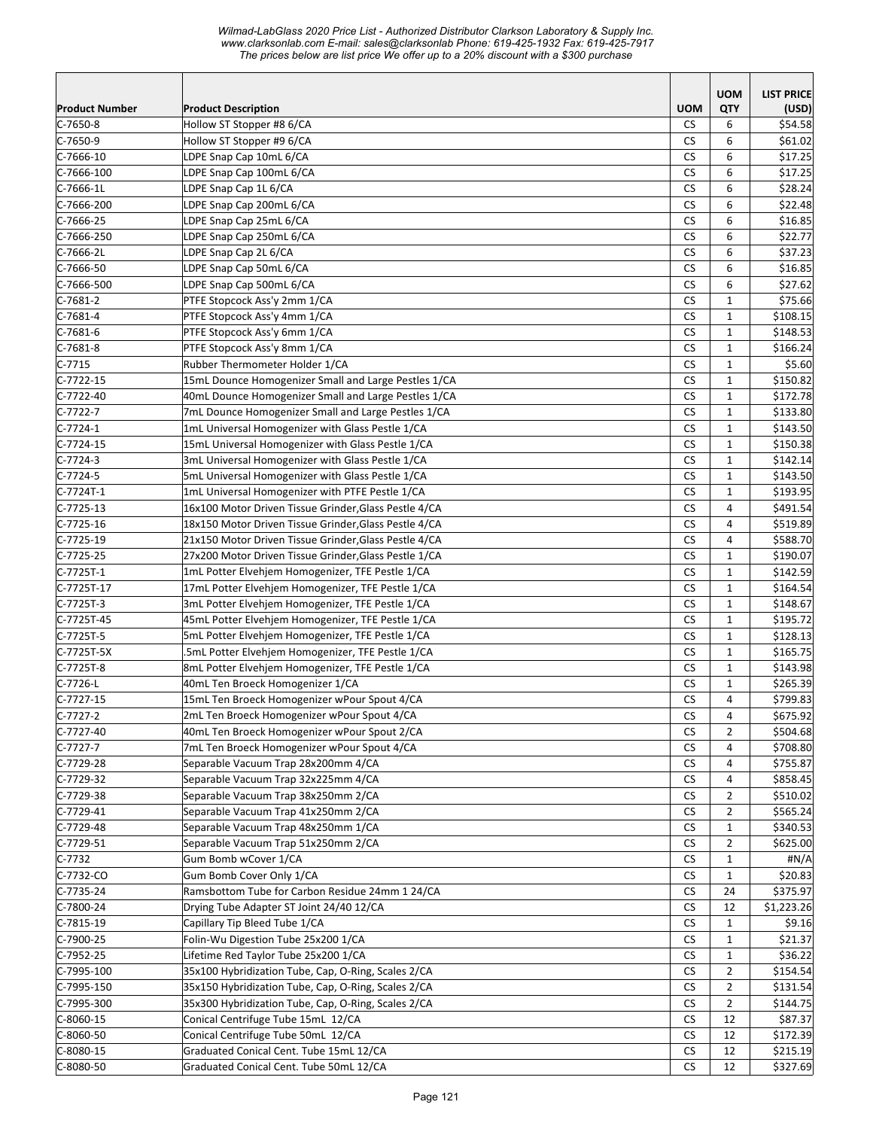*Wilmad-LabGlass 2020 Price List - Authorized Distributor Clarkson Laboratory & Supply Inc. www.clarksonlab.com E-mail: sales@clarksonlab Phone: 619-425-1932 Fax: 619-425-7917 The prices below are list price We offer up to a 20% discount with a \$300 purchase* 

| <b>Product Number</b> | <b>Product Description</b>                            | <b>UOM</b> | <b>UOM</b><br><b>QTY</b> | <b>LIST PRICE</b><br>(USD) |
|-----------------------|-------------------------------------------------------|------------|--------------------------|----------------------------|
| $C-7650-8$            | Hollow ST Stopper #8 6/CA                             | CS.        | 6                        | \$54.58                    |
| $C-7650-9$            | Hollow ST Stopper #9 6/CA                             | <b>CS</b>  | 6                        | \$61.02                    |
| $C-7666-10$           | LDPE Snap Cap 10mL 6/CA                               | <b>CS</b>  | 6                        | \$17.25                    |
| $C-7666-100$          | LDPE Snap Cap 100mL 6/CA                              | <b>CS</b>  | 6                        | \$17.25                    |
| C-7666-1L             | LDPE Snap Cap 1L 6/CA                                 | <b>CS</b>  | 6                        | \$28.24                    |
| C-7666-200            | LDPE Snap Cap 200mL 6/CA                              | <b>CS</b>  | 6                        | \$22.48                    |
| C-7666-25             | LDPE Snap Cap 25mL 6/CA                               | <b>CS</b>  | 6                        | \$16.85                    |
| C-7666-250            | LDPE Snap Cap 250mL 6/CA                              | <b>CS</b>  | 6                        | \$22.77                    |
| $C-7666-2L$           | LDPE Snap Cap 2L 6/CA                                 | <b>CS</b>  | 6                        | \$37.23                    |
| C-7666-50             | LDPE Snap Cap 50mL 6/CA                               | <b>CS</b>  | 6                        | \$16.85                    |
| C-7666-500            | LDPE Snap Cap 500mL 6/CA                              | <b>CS</b>  | 6                        | \$27.62                    |
| $C-7681-2$            | PTFE Stopcock Ass'y 2mm 1/CA                          | CS         | $\mathbf{1}$             | \$75.66                    |
| C-7681-4              | PTFE Stopcock Ass'y 4mm 1/CA                          | CS         | $\mathbf{1}$             | \$108.15                   |
| $C-7681-6$            | PTFE Stopcock Ass'y 6mm 1/CA                          | <b>CS</b>  | $\mathbf{1}$             | \$148.53                   |
| $C-7681-8$            | PTFE Stopcock Ass'y 8mm 1/CA                          | CS         | $\mathbf{1}$             | \$166.24                   |
| $C-7715$              | Rubber Thermometer Holder 1/CA                        | <b>CS</b>  | $\mathbf{1}$             | \$5.60                     |
| $C-7722-15$           | 15mL Dounce Homogenizer Small and Large Pestles 1/CA  | <b>CS</b>  | $\mathbf{1}$             | \$150.82                   |
| $C-7722-40$           | 40mL Dounce Homogenizer Small and Large Pestles 1/CA  | <b>CS</b>  | $\mathbf{1}$             | \$172.78                   |
| $C-7722-7$            | 7mL Dounce Homogenizer Small and Large Pestles 1/CA   | <b>CS</b>  | $\mathbf{1}$             | \$133.80                   |
| $C-7724-1$            | 1mL Universal Homogenizer with Glass Pestle 1/CA      | <b>CS</b>  | $\mathbf{1}$             | \$143.50                   |
| C-7724-15             | 15mL Universal Homogenizer with Glass Pestle 1/CA     | <b>CS</b>  | $\mathbf{1}$             | \$150.38                   |
| C-7724-3              | 3mL Universal Homogenizer with Glass Pestle 1/CA      | <b>CS</b>  | $\mathbf{1}$             | \$142.14                   |
| C-7724-5              | 5mL Universal Homogenizer with Glass Pestle 1/CA      | <b>CS</b>  | $\mathbf{1}$             | \$143.50                   |
| C-7724T-1             | 1mL Universal Homogenizer with PTFE Pestle 1/CA       | <b>CS</b>  | $\mathbf{1}$             | \$193.95                   |
| $C-7725-13$           | 16x100 Motor Driven Tissue Grinder, Glass Pestle 4/CA | <b>CS</b>  | 4                        | \$491.54                   |
| $C-7725-16$           | 18x150 Motor Driven Tissue Grinder, Glass Pestle 4/CA | <b>CS</b>  | $\overline{4}$           | \$519.89                   |
| C-7725-19             | 21x150 Motor Driven Tissue Grinder, Glass Pestle 4/CA | <b>CS</b>  | 4                        | \$588.70                   |
| C-7725-25             | 27x200 Motor Driven Tissue Grinder, Glass Pestle 1/CA | CS         | 1                        | \$190.07                   |
| $C-7725T-1$           | 1mL Potter Elvehjem Homogenizer, TFE Pestle 1/CA      | <b>CS</b>  | $\mathbf{1}$             | \$142.59                   |
| C-7725T-17            | 17mL Potter Elvehjem Homogenizer, TFE Pestle 1/CA     | CS         | $\mathbf{1}$             | \$164.54                   |
| C-7725T-3             | 3mL Potter Elvehjem Homogenizer, TFE Pestle 1/CA      | <b>CS</b>  | $\mathbf{1}$             | \$148.67                   |
| C-7725T-45            | 45mL Potter Elvehjem Homogenizer, TFE Pestle 1/CA     | <b>CS</b>  | $\mathbf{1}$             | \$195.72                   |
| C-7725T-5             | 5mL Potter Elvehjem Homogenizer, TFE Pestle 1/CA      | <b>CS</b>  | $\mathbf{1}$             | \$128.13                   |
| C-7725T-5X            | .5mL Potter Elvehjem Homogenizer, TFE Pestle 1/CA     | <b>CS</b>  | $\mathbf{1}$             | \$165.75                   |
| C-7725T-8             | 8mL Potter Elvehjem Homogenizer, TFE Pestle 1/CA      | <b>CS</b>  | $\mathbf{1}$             | \$143.98                   |
| $C-7726-L$            | 40mL Ten Broeck Homogenizer 1/CA                      | <b>CS</b>  | $\mathbf{1}$             | \$265.39                   |
| $C-7727-15$           | 15mL Ten Broeck Homogenizer wPour Spout 4/CA          | <b>CS</b>  | 4                        | \$799.83                   |
| $C-7727-2$            | 2mL Ten Broeck Homogenizer wPour Spout 4/CA           | ${\sf CS}$ | 4                        | \$675.92                   |
| C-7727-40             | 40mL Ten Broeck Homogenizer wPour Spout 2/CA          | <b>CS</b>  | $\overline{2}$           | \$504.68                   |
| $C-7727-7$            | 7mL Ten Broeck Homogenizer wPour Spout 4/CA           | CS         | 4                        | \$708.80                   |
| $C-7729-28$           | Separable Vacuum Trap 28x200mm 4/CA                   | <b>CS</b>  | 4                        | \$755.87                   |
| $C-7729-32$           | Separable Vacuum Trap 32x225mm 4/CA                   | CS         | 4                        | \$858.45                   |
| $C-7729-38$           | Separable Vacuum Trap 38x250mm 2/CA                   | CS         | 2                        | \$510.02                   |
| $C-7729-41$           | Separable Vacuum Trap 41x250mm 2/CA                   | CS         | $\overline{2}$           | \$565.24                   |
| C-7729-48             | Separable Vacuum Trap 48x250mm 1/CA                   | CS.        | $\mathbf{1}$             | \$340.53                   |
| $C-7729-51$           | Separable Vacuum Trap 51x250mm 2/CA                   | CS         | $\overline{2}$           | \$625.00                   |
| $C-7732$              | Gum Bomb wCover 1/CA                                  | <b>CS</b>  | $\mathbf{1}$             | #N/A                       |
| $C-7732-CO$           | Gum Bomb Cover Only 1/CA                              | <b>CS</b>  | $\mathbf{1}$             | \$20.83                    |
| C-7735-24             | Ramsbottom Tube for Carbon Residue 24mm 1 24/CA       | <b>CS</b>  | 24                       | \$375.97                   |
| $C-7800-24$           | Drying Tube Adapter ST Joint 24/40 12/CA              | CS         | 12                       | \$1,223.26                 |
| $C-7815-19$           | Capillary Tip Bleed Tube 1/CA                         | <b>CS</b>  | $\mathbf{1}$             | \$9.16                     |
| C-7900-25             | Folin-Wu Digestion Tube 25x200 1/CA                   | <b>CS</b>  | $\mathbf{1}$             | \$21.37                    |
| $C-7952-25$           | Lifetime Red Taylor Tube 25x200 1/CA                  | <b>CS</b>  | $\mathbf{1}$             | \$36.22                    |
| $C-7995-100$          | 35x100 Hybridization Tube, Cap, O-Ring, Scales 2/CA   | <b>CS</b>  | $\overline{2}$           | \$154.54                   |
| $C-7995-150$          | 35x150 Hybridization Tube, Cap, O-Ring, Scales 2/CA   | <b>CS</b>  | $\overline{2}$           | \$131.54                   |
| C-7995-300            | 35x300 Hybridization Tube, Cap, O-Ring, Scales 2/CA   | <b>CS</b>  | $\overline{2}$           | \$144.75                   |
| $C-8060-15$           | Conical Centrifuge Tube 15mL 12/CA                    | CS         | 12                       | \$87.37                    |
| C-8060-50             | Conical Centrifuge Tube 50mL 12/CA                    | CS         | 12                       | \$172.39                   |
| C-8080-15             | Graduated Conical Cent. Tube 15mL 12/CA               | <b>CS</b>  | 12                       | \$215.19                   |
| $C-8080-50$           | Graduated Conical Cent. Tube 50mL 12/CA               | CS.        | 12                       | \$327.69                   |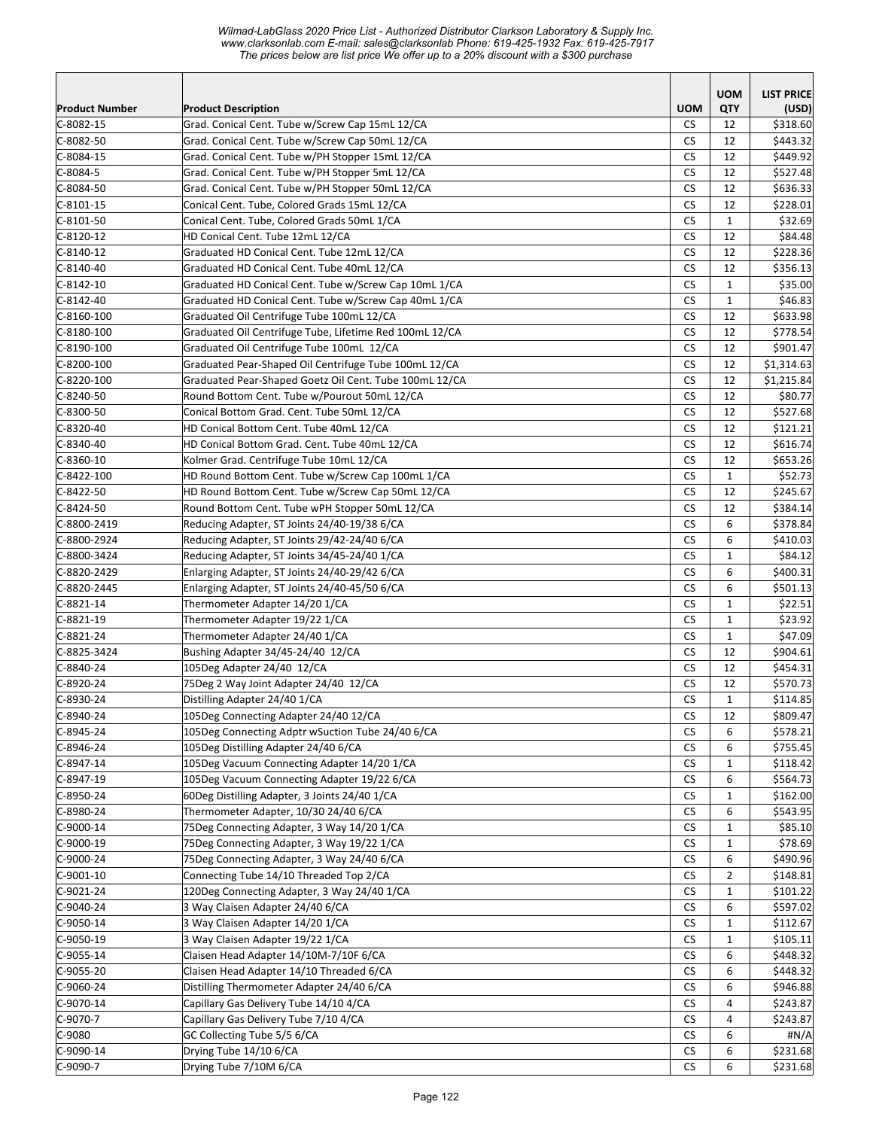*Wilmad-LabGlass 2020 Price List - Authorized Distributor Clarkson Laboratory & Supply Inc. www.clarksonlab.com E-mail: sales@clarksonlab Phone: 619-425-1932 Fax: 619-425-7917 The prices below are list price We offer up to a 20% discount with a \$300 purchase* 

|                       |                                                         |                      | <b>UOM</b>     | <b>LIST PRICE</b> |
|-----------------------|---------------------------------------------------------|----------------------|----------------|-------------------|
| <b>Product Number</b> | <b>Product Description</b>                              | <b>UOM</b>           | QTY            | (USD)             |
| $C-8082-15$           | Grad. Conical Cent. Tube w/Screw Cap 15mL 12/CA         | CS.                  | 12             | \$318.60          |
| $C-8082-50$           | Grad. Conical Cent. Tube w/Screw Cap 50mL 12/CA         | <b>CS</b>            | 12             | \$443.32          |
| $C-8084-15$           | Grad. Conical Cent. Tube w/PH Stopper 15mL 12/CA        | <b>CS</b>            | 12             | \$449.92          |
| C-8084-5              | Grad. Conical Cent. Tube w/PH Stopper 5mL 12/CA         | <b>CS</b>            | 12             | \$527.48          |
| C-8084-50             | Grad. Conical Cent. Tube w/PH Stopper 50mL 12/CA        | <b>CS</b>            | 12             | \$636.33          |
| C-8101-15             | Conical Cent. Tube, Colored Grads 15mL 12/CA            | CS                   | 12             | \$228.01          |
| $C-8101-50$           | Conical Cent. Tube, Colored Grads 50mL 1/CA             | <b>CS</b>            | $\mathbf{1}$   | \$32.69           |
| $C-8120-12$           | HD Conical Cent. Tube 12mL 12/CA                        | <b>CS</b>            | 12             | \$84.48           |
| $C-8140-12$           | Graduated HD Conical Cent. Tube 12mL 12/CA              | <b>CS</b>            | 12             | \$228.36          |
| $C-8140-40$           | Graduated HD Conical Cent. Tube 40mL 12/CA              | CS                   | 12             | \$356.13          |
| $C-8142-10$           | Graduated HD Conical Cent. Tube w/Screw Cap 10mL 1/CA   | <b>CS</b>            | $\mathbf{1}$   | \$35.00           |
| $C-8142-40$           | Graduated HD Conical Cent. Tube w/Screw Cap 40mL 1/CA   | <b>CS</b>            | $\mathbf{1}$   | \$46.83           |
| $C-8160-100$          | Graduated Oil Centrifuge Tube 100mL 12/CA               | <b>CS</b>            | 12             | \$633.98          |
| $C-8180-100$          | Graduated Oil Centrifuge Tube, Lifetime Red 100mL 12/CA | <b>CS</b>            | 12             | \$778.54          |
| $C-8190-100$          | Graduated Oil Centrifuge Tube 100mL 12/CA               | <b>CS</b>            | 12             | \$901.47          |
| $C-8200-100$          | Graduated Pear-Shaped Oil Centrifuge Tube 100mL 12/CA   | <b>CS</b>            | 12             | \$1,314.63        |
| $C-8220-100$          | Graduated Pear-Shaped Goetz Oil Cent. Tube 100mL 12/CA  | <b>CS</b>            | 12             | \$1,215.84        |
| $C-8240-50$           | Round Bottom Cent. Tube w/Pourout 50mL 12/CA            | <b>CS</b>            | 12             | \$80.77           |
| C-8300-50             | Conical Bottom Grad. Cent. Tube 50mL 12/CA              | СS                   | 12             | \$527.68          |
| C-8320-40             | HD Conical Bottom Cent. Tube 40mL 12/CA                 | <b>CS</b>            | 12             | \$121.21          |
| C-8340-40             | HD Conical Bottom Grad. Cent. Tube 40mL 12/CA           | CS                   | 12             | \$616.74          |
| $C-8360-10$           | Kolmer Grad. Centrifuge Tube 10mL 12/CA                 | <b>CS</b>            | 12             | \$653.26          |
| $C-8422-100$          | HD Round Bottom Cent. Tube w/Screw Cap 100mL 1/CA       | <b>CS</b>            | $\mathbf{1}$   | \$52.73           |
| $C-8422-50$           | HD Round Bottom Cent. Tube w/Screw Cap 50mL 12/CA       | <b>CS</b>            | 12             | \$245.67          |
| $C-8424-50$           | Round Bottom Cent. Tube wPH Stopper 50mL 12/CA          | CS                   | 12             | \$384.14          |
| C-8800-2419           | Reducing Adapter, ST Joints 24/40-19/38 6/CA            | <b>CS</b>            | 6              | \$378.84          |
| C-8800-2924           | Reducing Adapter, ST Joints 29/42-24/40 6/CA            | <b>CS</b>            | 6              | \$410.03          |
| C-8800-3424           | Reducing Adapter, ST Joints 34/45-24/40 1/CA            | <b>CS</b>            | $\mathbf{1}$   | \$84.12           |
| C-8820-2429           | Enlarging Adapter, ST Joints 24/40-29/42 6/CA           | <b>CS</b>            | 6              | \$400.31          |
| C-8820-2445           | Enlarging Adapter, ST Joints 24/40-45/50 6/CA           | <b>CS</b>            | 6              | \$501.13          |
| $C-8821-14$           | Thermometer Adapter 14/20 1/CA                          | <b>CS</b>            | $\mathbf{1}$   | \$22.51           |
| $C-8821-19$           | Thermometer Adapter 19/22 1/CA                          | <b>CS</b>            | $\mathbf{1}$   | \$23.92           |
| $C-8821-24$           | Thermometer Adapter 24/40 1/CA                          | <b>CS</b>            | $\mathbf{1}$   | \$47.09           |
| C-8825-3424           | Bushing Adapter 34/45-24/40 12/CA                       | <b>CS</b>            | 12             | \$904.61          |
| C-8840-24             | 105Deg Adapter 24/40 12/CA                              | <b>CS</b>            | 12             | \$454.31          |
| C-8920-24             | 75Deg 2 Way Joint Adapter 24/40 12/CA                   | <b>CS</b>            | 12             | \$570.73          |
| $C-8930-24$           | Distilling Adapter 24/40 1/CA                           | <b>CS</b>            | $\mathbf{1}$   | \$114.85          |
| $C-8940-24$           | 105Deg Connecting Adapter 24/40 12/CA                   | $\mathsf{CS}\xspace$ | 12             | \$809.47          |
| $C-8945-24$           | 105Deg Connecting Adptr wSuction Tube 24/40 6/CA        | <b>CS</b>            | 6              | \$578.21          |
| $C-8946-24$           | 105Deg Distilling Adapter 24/40 6/CA                    | CS                   | 6              | \$755.45          |
| $C-8947-14$           | 105Deg Vacuum Connecting Adapter 14/20 1/CA             | CS                   | 1              | \$118.42          |
| C-8947-19             | 105Deg Vacuum Connecting Adapter 19/22 6/CA             | CS                   | 6              | \$564.73          |
| C-8950-24             | 60Deg Distilling Adapter, 3 Joints 24/40 1/CA           | <b>CS</b>            | $\mathbf{1}$   | \$162.00          |
| $C-8980-24$           | Thermometer Adapter, 10/30 24/40 6/CA                   | <b>CS</b>            | 6              | \$543.95          |
| $C-9000-14$           | 75Deg Connecting Adapter, 3 Way 14/20 1/CA              | <b>CS</b>            | $\mathbf{1}$   | \$85.10           |
| C-9000-19             | 75Deg Connecting Adapter, 3 Way 19/22 1/CA              | <b>CS</b>            | $\mathbf{1}$   | \$78.69           |
| $C-9000-24$           | 75Deg Connecting Adapter, 3 Way 24/40 6/CA              | <b>CS</b>            | 6              | \$490.96          |
| $C-9001-10$           | Connecting Tube 14/10 Threaded Top 2/CA                 |                      |                |                   |
|                       |                                                         | CS                   | $\overline{2}$ | \$148.81          |
| C-9021-24             | 120Deg Connecting Adapter, 3 Way 24/40 1/CA             | CS                   | 1              | \$101.22          |
| C-9040-24             | 3 Way Claisen Adapter 24/40 6/CA                        | CS                   | 6              | \$597.02          |
| $C-9050-14$           | 3 Way Claisen Adapter 14/20 1/CA                        | СS                   | $\mathbf{1}$   | \$112.67          |
| $C-9050-19$           | 3 Way Claisen Adapter 19/22 1/CA                        | CS                   | $\mathbf{1}$   | \$105.11          |
| $C-9055-14$           | Claisen Head Adapter 14/10M-7/10F 6/CA                  | <b>CS</b>            | 6              | \$448.32          |
| $C-9055-20$           | Claisen Head Adapter 14/10 Threaded 6/CA                | CS                   | 6              | \$448.32          |
| $C-9060-24$           | Distilling Thermometer Adapter 24/40 6/CA               | CS                   | 6              | \$946.88          |
| $C-9070-14$           | Capillary Gas Delivery Tube 14/10 4/CA                  | CS                   | 4              | \$243.87          |
| C-9070-7              | Capillary Gas Delivery Tube 7/10 4/CA                   | CS                   | 4              | \$243.87          |
| C-9080                | GC Collecting Tube 5/5 6/CA                             | <b>CS</b>            | 6              | #N/A              |
| $C-9090-14$           | Drying Tube 14/10 6/CA                                  | <b>CS</b>            | 6              | \$231.68          |
| $C-9090-7$            | Drying Tube 7/10M 6/CA                                  | <b>CS</b>            | 6              | \$231.68          |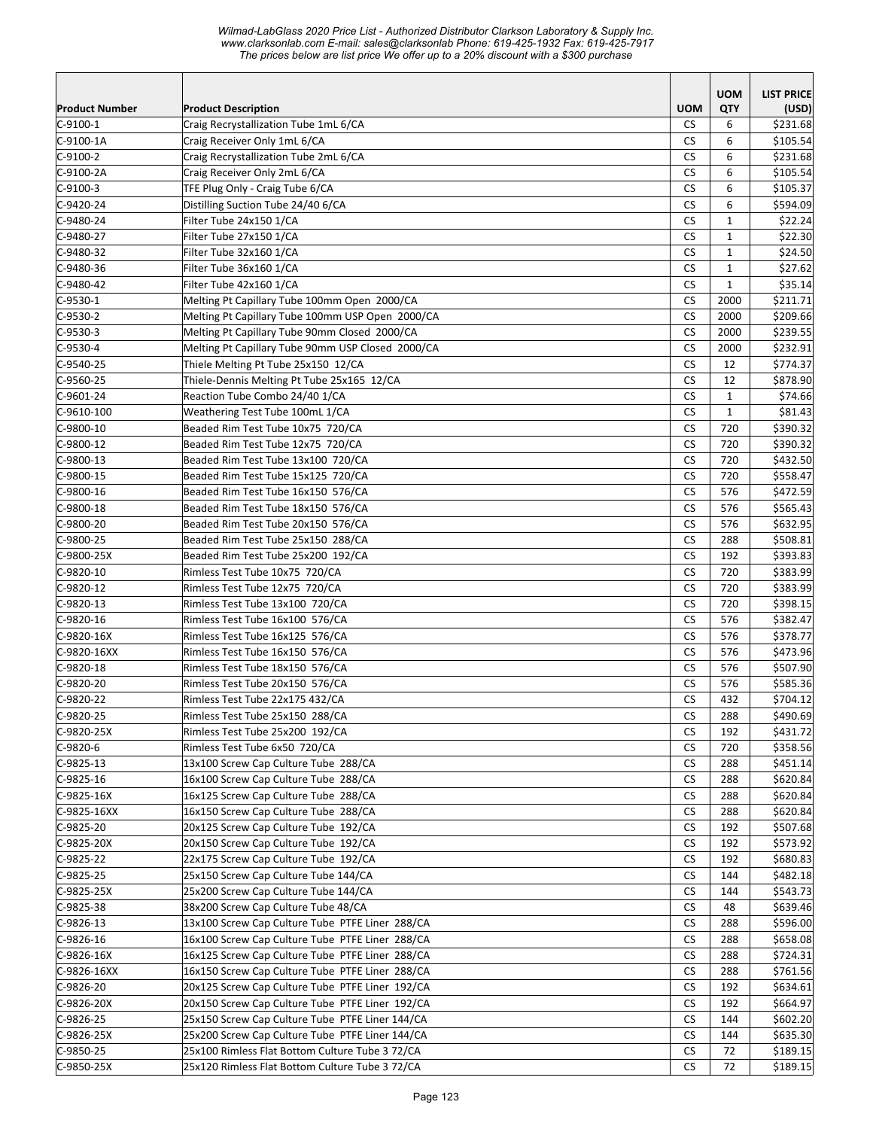## *Wilmad-LabGlass 2020 Price List - Authorized Distributor Clarkson Laboratory & Supply Inc. www.clarksonlab.com E-mail: sales@clarksonlab Phone: 619-425-1932 Fax: 619-425-7917 The prices below are list price We offer up to a 20% discount with a \$300 purchase*

| Product Number             | <b>Product Description</b>                                       | <b>UOM</b>             | <b>UOM</b><br>QTY | <b>LIST PRICE</b><br>(USD) |
|----------------------------|------------------------------------------------------------------|------------------------|-------------------|----------------------------|
| $C-9100-1$                 | Craig Recrystallization Tube 1mL 6/CA                            | <b>CS</b>              | 6                 | \$231.68                   |
| C-9100-1A                  | Craig Receiver Only 1mL 6/CA                                     | <b>CS</b>              | 6                 | \$105.54                   |
| $C-9100-2$                 | Craig Recrystallization Tube 2mL 6/CA                            | <b>CS</b>              | 6                 | \$231.68                   |
| C-9100-2A                  | Craig Receiver Only 2mL 6/CA                                     | CS                     | 6                 | \$105.54                   |
| $C-9100-3$                 | TFE Plug Only - Craig Tube 6/CA                                  | CS                     | 6                 | \$105.37                   |
| $C-9420-24$                | Distilling Suction Tube 24/40 6/CA                               | <b>CS</b>              | 6                 | \$594.09                   |
| $C-9480-24$                | Filter Tube 24x150 1/CA                                          | <b>CS</b>              | $\mathbf{1}$      | \$22.24                    |
| $C-9480-27$                | Filter Tube 27x150 1/CA                                          | <b>CS</b>              | $\mathbf{1}$      | \$22.30                    |
| $C-9480-32$                | Filter Tube 32x160 1/CA                                          | <b>CS</b>              | $\mathbf{1}$      | \$24.50                    |
| $C-9480-36$                | Filter Tube 36x160 1/CA                                          | <b>CS</b>              | $\mathbf{1}$      | \$27.62                    |
| $C-9480-42$                | Filter Tube 42x160 1/CA                                          | <b>CS</b>              | $\mathbf{1}$      | \$35.14                    |
| $C-9530-1$                 | Melting Pt Capillary Tube 100mm Open 2000/CA                     | <b>CS</b>              | 2000              | \$211.71                   |
| $C-9530-2$                 | Melting Pt Capillary Tube 100mm USP Open 2000/CA                 | <b>CS</b>              | 2000              | \$209.66                   |
| $C-9530-3$                 | Melting Pt Capillary Tube 90mm Closed 2000/CA                    | <b>CS</b>              | 2000              | \$239.55                   |
| $C-9530-4$                 | Melting Pt Capillary Tube 90mm USP Closed 2000/CA                | CS                     | 2000              | \$232.91                   |
| $C-9540-25$                | Thiele Melting Pt Tube 25x150 12/CA                              | <b>CS</b>              | 12                | \$774.37                   |
| $C-9560-25$                | Thiele-Dennis Melting Pt Tube 25x165 12/CA                       | CS                     | 12                | \$878.90                   |
| $C-9601-24$                | Reaction Tube Combo 24/40 1/CA                                   | <b>CS</b>              | $\mathbf{1}$      | \$74.66                    |
| $C-9610-100$               | Weathering Test Tube 100mL 1/CA                                  | CS                     | $\mathbf{1}$      | \$81.43                    |
| $C-9800-10$                | Beaded Rim Test Tube 10x75 720/CA                                | CS                     | 720               | \$390.32                   |
| $C-9800-12$                | Beaded Rim Test Tube 12x75 720/CA                                | <b>CS</b>              | 720               | \$390.32                   |
| $C-9800-13$                | Beaded Rim Test Tube 13x100 720/CA                               | <b>CS</b>              | 720               | \$432.50                   |
| $C-9800-15$                | Beaded Rim Test Tube 15x125 720/CA                               | CS                     | 720               | \$558.47                   |
| $C-9800-16$                | Beaded Rim Test Tube 16x150 576/CA                               | <b>CS</b>              | 576               | \$472.59                   |
| $C-9800-18$                | Beaded Rim Test Tube 18x150 576/CA                               | <b>CS</b>              | 576               | \$565.43                   |
| $C-9800-20$                | Beaded Rim Test Tube 20x150 576/CA                               | <b>CS</b>              | 576               | \$632.95                   |
| $C-9800-25$                | Beaded Rim Test Tube 25x150 288/CA                               | <b>CS</b>              | 288               | \$508.81                   |
| C-9800-25X                 | Beaded Rim Test Tube 25x200 192/CA                               | <b>CS</b>              | 192               | \$393.83                   |
| $C-9820-10$                | Rimless Test Tube 10x75 720/CA<br>Rimless Test Tube 12x75 720/CA | <b>CS</b><br><b>CS</b> | 720               | \$383.99<br>\$383.99       |
| $C-9820-12$<br>$C-9820-13$ | Rimless Test Tube 13x100 720/CA                                  | <b>CS</b>              | 720<br>720        | \$398.15                   |
| $C-9820-16$                | Rimless Test Tube 16x100 576/CA                                  | <b>CS</b>              | 576               | \$382.47                   |
| $C-9820-16X$               | Rimless Test Tube 16x125 576/CA                                  | <b>CS</b>              | 576               | \$378.77                   |
| C-9820-16XX                | Rimless Test Tube 16x150 576/CA                                  | <b>CS</b>              | 576               | \$473.96                   |
| $C-9820-18$                | Rimless Test Tube 18x150 576/CA                                  | <b>CS</b>              | 576               | \$507.90                   |
| $C-9820-20$                | Rimless Test Tube 20x150 576/CA                                  | <b>CS</b>              | 576               | \$585.36                   |
| C-9820-22                  | Rimless Test Tube 22x175 432/CA                                  | CS                     | 432               | \$704.12                   |
| C-9820-25                  | Rimless Test Tube 25x150 288/CA                                  | CS                     | 288               | \$490.69                   |
| C-9820-25X                 | Rimless Test Tube 25x200 192/CA                                  | CS                     | 192               | \$431.72                   |
| C-9820-6                   | Rimless Test Tube 6x50 720/CA                                    | CS                     | 720               | \$358.56                   |
| $C-9825-13$                | 13x100 Screw Cap Culture Tube 288/CA                             | CS.                    | 288               | \$451.14]                  |
| $C-9825-16$                | 16x100 Screw Cap Culture Tube 288/CA                             | CS.                    | 288               | \$620.84                   |
| C-9825-16X                 | 16x125 Screw Cap Culture Tube 288/CA                             | CS.                    | 288               | \$620.84                   |
| $C-9825-16XX$              | 16x150 Screw Cap Culture Tube 288/CA                             | CS.                    | 288               | \$620.84                   |
| C-9825-20                  | 20x125 Screw Cap Culture Tube 192/CA                             | CS.                    | 192               | \$507.68                   |
| $C-9825-20X$               | 20x150 Screw Cap Culture Tube 192/CA                             | CS.                    | 192               | \$573.92                   |
| $C-9825-22$                | 22x175 Screw Cap Culture Tube 192/CA                             | CS.                    | 192               | \$680.83                   |
| $C-9825-25$                | 25x150 Screw Cap Culture Tube 144/CA                             | CS.                    | 144               | \$482.18                   |
| C-9825-25X                 | 25x200 Screw Cap Culture Tube 144/CA                             | CS                     | 144               | \$543.73                   |
| $C-9825-38$                | 38x200 Screw Cap Culture Tube 48/CA                              | CS.                    | 48                | \$639.46                   |
| C-9826-13                  | 13x100 Screw Cap Culture Tube PTFE Liner 288/CA                  | CS.                    | 288               | \$596.00                   |
| C-9826-16                  | 16x100 Screw Cap Culture Tube PTFE Liner 288/CA                  | CS.                    | 288               | \$658.08                   |
| C-9826-16X                 | 16x125 Screw Cap Culture Tube PTFE Liner 288/CA                  | <b>CS</b>              | 288               | \$724.31                   |
| C-9826-16XX                | 16x150 Screw Cap Culture Tube PTFE Liner 288/CA                  | <b>CS</b>              | 288               | \$761.56                   |
| $C-9826-20$                | 20x125 Screw Cap Culture Tube PTFE Liner 192/CA                  | CS.                    | 192               | \$634.61                   |
| C-9826-20X                 | 20x150 Screw Cap Culture Tube PTFE Liner 192/CA                  | CS.                    | 192               | \$664.97                   |
| $C-9826-25$                | 25x150 Screw Cap Culture Tube PTFE Liner 144/CA                  | CS                     | 144               | \$602.20                   |
| C-9826-25X                 | 25x200 Screw Cap Culture Tube PTFE Liner 144/CA                  | CS.                    | 144               | \$635.30                   |
| $C-9850-25$                | 25x100 Rimless Flat Bottom Culture Tube 3 72/CA                  | CS.                    | 72                | \$189.15                   |
| C-9850-25X                 | 25x120 Rimless Flat Bottom Culture Tube 3 72/CA                  | CS.                    | 72                | \$189.15                   |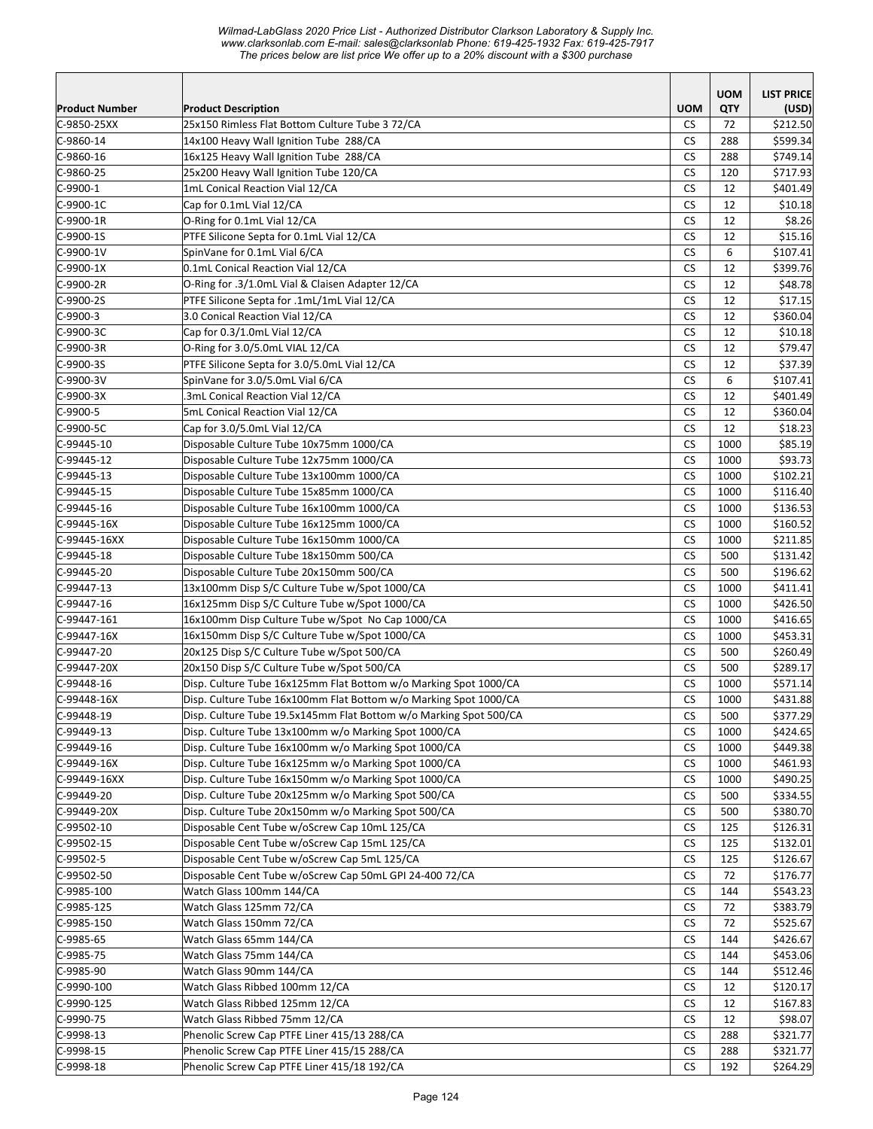*Wilmad-LabGlass 2020 Price List - Authorized Distributor Clarkson Laboratory & Supply Inc. www.clarksonlab.com E-mail: sales@clarksonlab Phone: 619-425-1932 Fax: 619-425-7917 The prices below are list price We offer up to a 20% discount with a \$300 purchase* 

|                            |                                                                                          |                        | <b>UOM</b>  | <b>LIST PRICE</b>    |
|----------------------------|------------------------------------------------------------------------------------------|------------------------|-------------|----------------------|
| Product Number             | <b>Product Description</b>                                                               | <b>UOM</b>             | <b>QTY</b>  | (USD)                |
| C-9850-25XX                | 25x150 Rimless Flat Bottom Culture Tube 3 72/CA                                          | <b>CS</b>              | 72          | \$212.50             |
| $C-9860-14$                | 14x100 Heavy Wall Ignition Tube 288/CA                                                   | <b>CS</b>              | 288         | \$599.34             |
| $C-9860-16$                | 16x125 Heavy Wall Ignition Tube 288/CA                                                   | <b>CS</b>              | 288         | \$749.14             |
| $C-9860-25$                | 25x200 Heavy Wall Ignition Tube 120/CA                                                   | СS                     | 120         | \$717.93             |
| C-9900-1                   | 1mL Conical Reaction Vial 12/CA                                                          | <b>CS</b>              | 12          | \$401.49             |
| C-9900-1C                  | Cap for 0.1mL Vial 12/CA                                                                 | <b>CS</b>              | 12          | \$10.18              |
| C-9900-1R                  | O-Ring for 0.1mL Vial 12/CA                                                              | CS                     | 12          | \$8.26               |
| C-9900-1S                  | PTFE Silicone Septa for 0.1mL Vial 12/CA                                                 | <b>CS</b>              | 12          | \$15.16              |
| C-9900-1V                  | SpinVane for 0.1mL Vial 6/CA                                                             | <b>CS</b>              | 6           | \$107.41             |
| $C-9900-1X$                | 0.1mL Conical Reaction Vial 12/CA                                                        | <b>CS</b>              | 12          | \$399.76             |
| C-9900-2R                  | O-Ring for .3/1.0mL Vial & Claisen Adapter 12/CA                                         | <b>CS</b>              | 12          | \$48.78              |
| C-9900-2S                  | PTFE Silicone Septa for .1mL/1mL Vial 12/CA                                              | <b>CS</b>              | 12          | \$17.15              |
| $C-9900-3$                 | 3.0 Conical Reaction Vial 12/CA                                                          | <b>CS</b>              | 12          | \$360.04             |
| C-9900-3C                  | Cap for 0.3/1.0mL Vial 12/CA                                                             | <b>CS</b>              | 12          | \$10.18              |
| C-9900-3R                  | O-Ring for 3.0/5.0mL VIAL 12/CA                                                          | <b>CS</b>              | 12          | \$79.47              |
| C-9900-3S                  | PTFE Silicone Septa for 3.0/5.0mL Vial 12/CA                                             | <b>CS</b>              | 12          | \$37.39              |
| C-9900-3V                  | SpinVane for 3.0/5.0mL Vial 6/CA                                                         | <b>CS</b>              | 6           | \$107.41             |
| C-9900-3X                  | 3mL Conical Reaction Vial 12/CA                                                          | <b>CS</b>              | 12          | \$401.49             |
| C-9900-5                   | 5mL Conical Reaction Vial 12/CA                                                          | <b>CS</b>              | 12          | \$360.04             |
| C-9900-5C                  | Cap for 3.0/5.0mL Vial 12/CA                                                             | CS.                    | 12          | \$18.23              |
| $C-99445-10$               | Disposable Culture Tube 10x75mm 1000/CA                                                  | <b>CS</b>              | 1000        | \$85.19              |
| $C-99445-12$               | Disposable Culture Tube 12x75mm 1000/CA                                                  | <b>CS</b>              | 1000        | \$93.73              |
| $C-99445-13$               | Disposable Culture Tube 13x100mm 1000/CA                                                 | <b>CS</b>              | 1000        | \$102.21             |
| C-99445-15                 | Disposable Culture Tube 15x85mm 1000/CA                                                  | <b>CS</b>              | 1000        | \$116.40             |
| $C-99445-16$               | Disposable Culture Tube 16x100mm 1000/CA                                                 | <b>CS</b>              | 1000        | \$136.53             |
| C-99445-16X                | Disposable Culture Tube 16x125mm 1000/CA                                                 | CS                     | 1000        | \$160.52             |
| C-99445-16XX               | Disposable Culture Tube 16x150mm 1000/CA                                                 | <b>CS</b>              | 1000        | \$211.85             |
| C-99445-18                 | Disposable Culture Tube 18x150mm 500/CA                                                  | <b>CS</b><br><b>CS</b> | 500         | \$131.42             |
| C-99445-20<br>$C-99447-13$ | Disposable Culture Tube 20x150mm 500/CA<br>13x100mm Disp S/C Culture Tube w/Spot 1000/CA | <b>CS</b>              | 500<br>1000 | \$196.62             |
| C-99447-16                 | 16x125mm Disp S/C Culture Tube w/Spot 1000/CA                                            | <b>CS</b>              | 1000        | \$411.41<br>\$426.50 |
| $C-99447-161$              | 16x100mm Disp Culture Tube w/Spot No Cap 1000/CA                                         | <b>CS</b>              | 1000        | \$416.65             |
| C-99447-16X                | 16x150mm Disp S/C Culture Tube w/Spot 1000/CA                                            | <b>CS</b>              | 1000        | \$453.31             |
| C-99447-20                 | 20x125 Disp S/C Culture Tube w/Spot 500/CA                                               | <b>CS</b>              | 500         | \$260.49             |
| C-99447-20X                | 20x150 Disp S/C Culture Tube w/Spot 500/CA                                               | <b>CS</b>              | 500         | \$289.17             |
| $C-99448-16$               | Disp. Culture Tube 16x125mm Flat Bottom w/o Marking Spot 1000/CA                         | <b>CS</b>              | 1000        | \$571.14]            |
| $C-99448-16X$              | Disp. Culture Tube 16x100mm Flat Bottom w/o Marking Spot 1000/CA                         | <b>CS</b>              | 1000        | \$431.88             |
| $C-99448-19$               | Disp. Culture Tube 19.5x145mm Flat Bottom w/o Marking Spot 500/CA                        | ${\sf CS}$             | 500         | \$377.29             |
| C-99449-13                 | Disp. Culture Tube 13x100mm w/o Marking Spot 1000/CA                                     | <b>CS</b>              | 1000        | \$424.65             |
| $C-99449-16$               | Disp. Culture Tube 16x100mm w/o Marking Spot 1000/CA                                     | <b>CS</b>              | 1000        | \$449.38             |
| $C-99449-16X$              | Disp. Culture Tube 16x125mm w/o Marking Spot 1000/CA                                     | <b>CS</b>              | 1000        | \$461.93             |
| C-99449-16XX               | Disp. Culture Tube 16x150mm w/o Marking Spot 1000/CA                                     | <b>CS</b>              | 1000        | \$490.25             |
| C-99449-20                 | Disp. Culture Tube 20x125mm w/o Marking Spot 500/CA                                      | <b>CS</b>              | 500         | \$334.55             |
| C-99449-20X                | Disp. Culture Tube 20x150mm w/o Marking Spot 500/CA                                      | <b>CS</b>              | 500         | \$380.70             |
| $C-99502-10$               | Disposable Cent Tube w/oScrew Cap 10mL 125/CA                                            | <b>CS</b>              | 125         | \$126.31             |
| C-99502-15                 | Disposable Cent Tube w/oScrew Cap 15mL 125/CA                                            | <b>CS</b>              | 125         | \$132.01             |
| $C-99502-5$                | Disposable Cent Tube w/oScrew Cap 5mL 125/CA                                             | <b>CS</b>              | 125         | \$126.67             |
| C-99502-50                 | Disposable Cent Tube w/oScrew Cap 50mL GPI 24-400 72/CA                                  | <b>CS</b>              | 72          | \$176.77             |
| $C-9985-100$               | Watch Glass 100mm 144/CA                                                                 | CS                     | 144         | \$543.23             |
| C-9985-125                 | Watch Glass 125mm 72/CA                                                                  | CS                     | 72          | \$383.79             |
| C-9985-150                 | Watch Glass 150mm 72/CA                                                                  | CS                     | 72          | \$525.67             |
| C-9985-65                  | Watch Glass 65mm 144/CA                                                                  | CS.                    | 144         | \$426.67             |
| C-9985-75                  | Watch Glass 75mm 144/CA                                                                  | CS                     | 144         | \$453.06             |
| C-9985-90                  | Watch Glass 90mm 144/CA                                                                  | <b>CS</b>              | 144         | \$512.46             |
| $C-9990-100$               | Watch Glass Ribbed 100mm 12/CA                                                           | <b>CS</b>              | 12          | \$120.17             |
| $C-9990-125$               | Watch Glass Ribbed 125mm 12/CA                                                           | CS                     | 12          | \$167.83             |
| C-9990-75                  | Watch Glass Ribbed 75mm 12/CA                                                            | СS                     | 12          | \$98.07              |
| C-9998-13                  | Phenolic Screw Cap PTFE Liner 415/13 288/CA                                              | CS                     | 288         | \$321.77             |
| $C-9998-15$                | Phenolic Screw Cap PTFE Liner 415/15 288/CA                                              | <b>CS</b>              | 288         | \$321.77             |
| $C-9998-18$                | Phenolic Screw Cap PTFE Liner 415/18 192/CA                                              | <b>CS</b>              | 192         | \$264.29             |